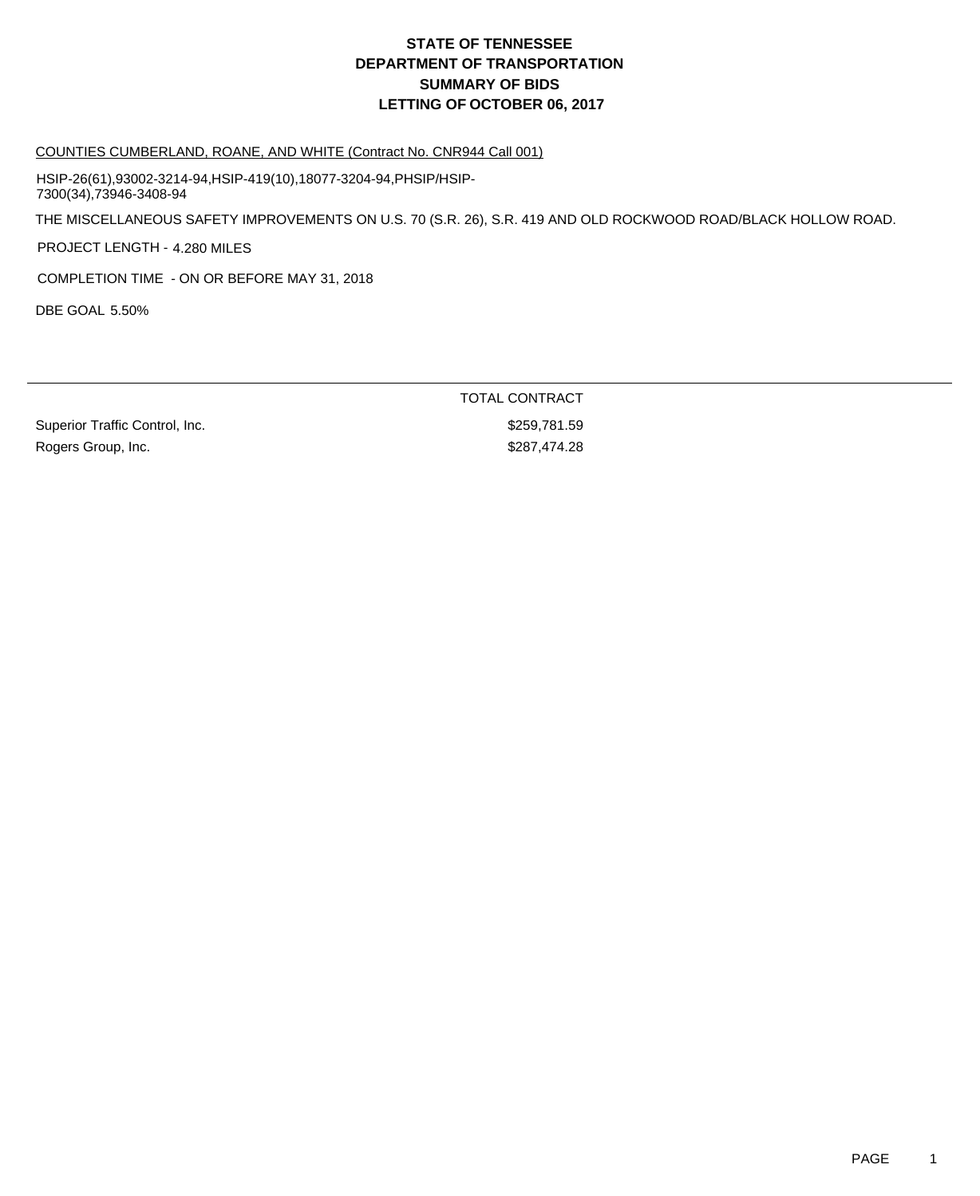#### COUNTIES CUMBERLAND, ROANE, AND WHITE (Contract No. CNR944 Call 001)

HSIP-26(61),93002-3214-94,HSIP-419(10),18077-3204-94,PHSIP/HSIP-7300(34),73946-3408-94

THE MISCELLANEOUS SAFETY IMPROVEMENTS ON U.S. 70 (S.R. 26), S.R. 419 AND OLD ROCKWOOD ROAD/BLACK HOLLOW ROAD.

PROJECT LENGTH - 4.280 MILES

COMPLETION TIME - ON OR BEFORE MAY 31, 2018

DBE GOAL 5.50%

| TOTAL CONTRACT |  |
|----------------|--|
| \$259.781.59   |  |
| \$287.474.28   |  |
|                |  |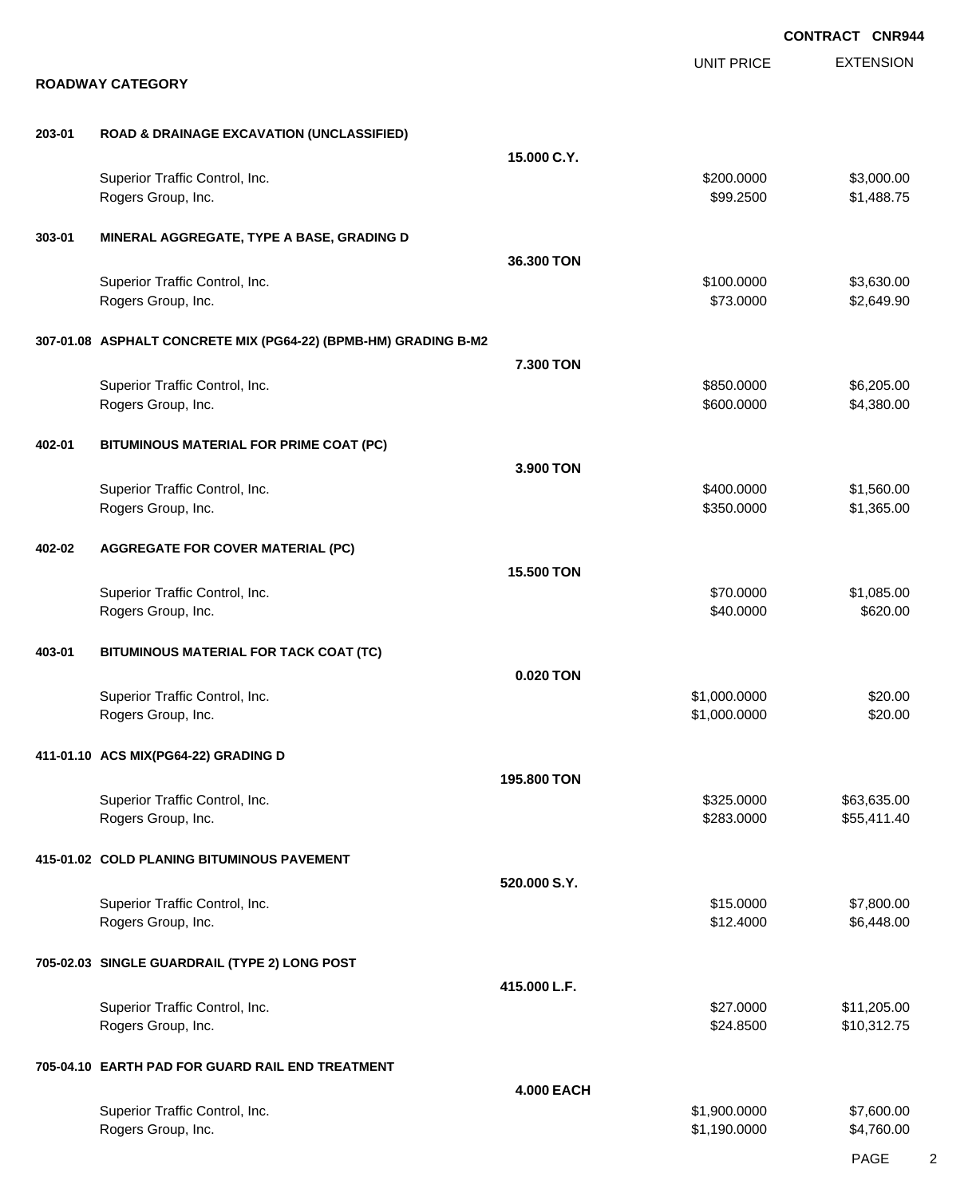|        |                                                                 |                   | <b>CONTRACT CNR944</b>   |                            |
|--------|-----------------------------------------------------------------|-------------------|--------------------------|----------------------------|
|        | <b>ROADWAY CATEGORY</b>                                         |                   | <b>UNIT PRICE</b>        | <b>EXTENSION</b>           |
|        |                                                                 |                   |                          |                            |
| 203-01 | <b>ROAD &amp; DRAINAGE EXCAVATION (UNCLASSIFIED)</b>            |                   |                          |                            |
|        |                                                                 | 15.000 C.Y.       |                          |                            |
|        | Superior Traffic Control, Inc.<br>Rogers Group, Inc.            |                   | \$200.0000<br>\$99.2500  | \$3,000.00<br>\$1,488.75   |
| 303-01 | MINERAL AGGREGATE, TYPE A BASE, GRADING D                       |                   |                          |                            |
|        |                                                                 | 36.300 TON        |                          |                            |
|        | Superior Traffic Control, Inc.<br>Rogers Group, Inc.            |                   | \$100.0000<br>\$73.0000  | \$3,630.00<br>\$2,649.90   |
|        | 307-01.08 ASPHALT CONCRETE MIX (PG64-22) (BPMB-HM) GRADING B-M2 |                   |                          |                            |
|        |                                                                 | 7.300 TON         |                          |                            |
|        | Superior Traffic Control, Inc.<br>Rogers Group, Inc.            |                   | \$850.0000<br>\$600.0000 | \$6,205.00<br>\$4,380.00   |
| 402-01 | BITUMINOUS MATERIAL FOR PRIME COAT (PC)                         |                   |                          |                            |
|        |                                                                 | 3.900 TON         |                          |                            |
|        | Superior Traffic Control, Inc.                                  |                   | \$400.0000<br>\$350.0000 | \$1,560.00<br>\$1,365.00   |
|        | Rogers Group, Inc.                                              |                   |                          |                            |
| 402-02 | <b>AGGREGATE FOR COVER MATERIAL (PC)</b>                        |                   |                          |                            |
|        |                                                                 | 15.500 TON        |                          |                            |
|        | Superior Traffic Control, Inc.<br>Rogers Group, Inc.            |                   | \$70.0000<br>\$40.0000   | \$1,085.00<br>\$620.00     |
| 403-01 | BITUMINOUS MATERIAL FOR TACK COAT (TC)                          |                   |                          |                            |
|        |                                                                 | 0.020 TON         |                          |                            |
|        | Superior Traffic Control, Inc.                                  |                   | \$1,000.0000             | \$20.00                    |
|        | Rogers Group, Inc.                                              |                   | \$1,000.0000             | \$20.00                    |
|        | 411-01.10 ACS MIX(PG64-22) GRADING D                            |                   |                          |                            |
|        |                                                                 | 195,800 TON       |                          |                            |
|        | Superior Traffic Control, Inc.<br>Rogers Group, Inc.            |                   | \$325.0000<br>\$283.0000 | \$63,635.00<br>\$55,411.40 |
|        | 415-01.02 COLD PLANING BITUMINOUS PAVEMENT                      |                   |                          |                            |
|        |                                                                 | 520.000 S.Y.      |                          |                            |
|        | Superior Traffic Control, Inc.                                  |                   | \$15.0000                | \$7,800.00                 |
|        | Rogers Group, Inc.                                              |                   | \$12.4000                | \$6,448.00                 |
|        | 705-02.03 SINGLE GUARDRAIL (TYPE 2) LONG POST                   |                   |                          |                            |
|        |                                                                 | 415.000 L.F.      | \$27.0000                |                            |
|        | Superior Traffic Control, Inc.<br>Rogers Group, Inc.            |                   | \$24.8500                | \$11,205.00<br>\$10,312.75 |
|        | 705-04.10 EARTH PAD FOR GUARD RAIL END TREATMENT                |                   |                          |                            |
|        |                                                                 | <b>4.000 EACH</b> |                          |                            |
|        | Superior Traffic Control, Inc.                                  |                   | \$1,900.0000             | \$7,600.00                 |
|        | Rogers Group, Inc.                                              |                   | \$1,190.0000             | \$4,760.00                 |

PAGE 2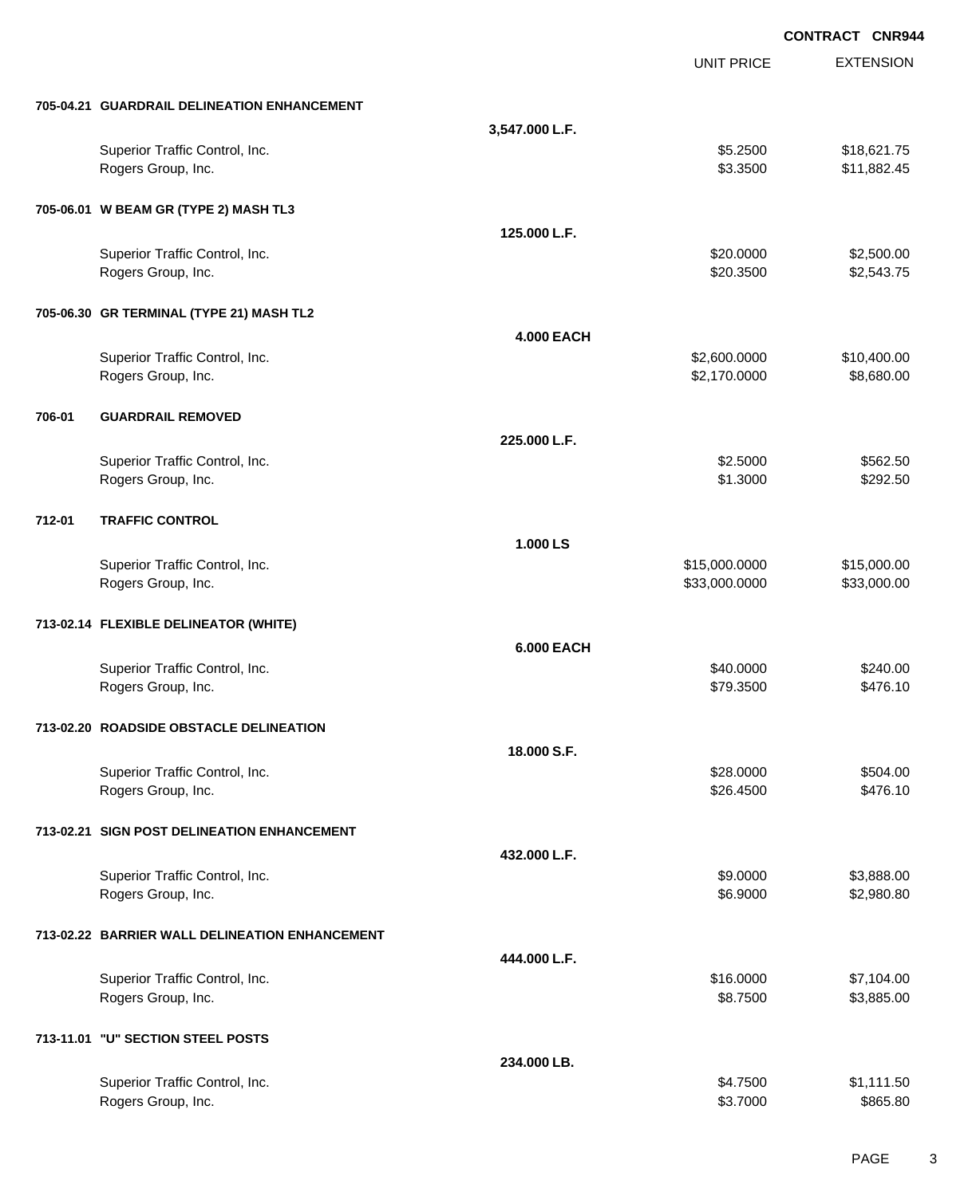|        |                                                |                   |                   | <b>CONTRACT CNR944</b> |
|--------|------------------------------------------------|-------------------|-------------------|------------------------|
|        |                                                |                   | <b>UNIT PRICE</b> | <b>EXTENSION</b>       |
|        | 705-04.21 GUARDRAIL DELINEATION ENHANCEMENT    |                   |                   |                        |
|        |                                                | 3,547.000 L.F.    |                   |                        |
|        | Superior Traffic Control, Inc.                 |                   | \$5.2500          | \$18,621.75            |
|        | Rogers Group, Inc.                             |                   | \$3.3500          | \$11,882.45            |
|        | 705-06.01 W BEAM GR (TYPE 2) MASH TL3          |                   |                   |                        |
|        |                                                | 125.000 L.F.      |                   |                        |
|        | Superior Traffic Control, Inc.                 |                   | \$20.0000         | \$2,500.00             |
|        | Rogers Group, Inc.                             |                   | \$20.3500         | \$2,543.75             |
|        | 705-06.30 GR TERMINAL (TYPE 21) MASH TL2       |                   |                   |                        |
|        |                                                | <b>4.000 EACH</b> |                   |                        |
|        | Superior Traffic Control, Inc.                 |                   | \$2,600.0000      | \$10,400.00            |
|        | Rogers Group, Inc.                             |                   | \$2,170.0000      | \$8,680.00             |
| 706-01 | <b>GUARDRAIL REMOVED</b>                       |                   |                   |                        |
|        |                                                | 225.000 L.F.      |                   |                        |
|        | Superior Traffic Control, Inc.                 |                   | \$2.5000          | \$562.50               |
|        | Rogers Group, Inc.                             |                   | \$1.3000          | \$292.50               |
| 712-01 | <b>TRAFFIC CONTROL</b>                         |                   |                   |                        |
|        |                                                | 1.000 LS          |                   |                        |
|        | Superior Traffic Control, Inc.                 |                   | \$15,000.0000     | \$15,000.00            |
|        | Rogers Group, Inc.                             |                   | \$33,000.0000     | \$33,000.00            |
|        | 713-02.14 FLEXIBLE DELINEATOR (WHITE)          |                   |                   |                        |
|        |                                                | <b>6.000 EACH</b> |                   |                        |
|        | Superior Traffic Control, Inc.                 |                   | \$40.0000         | \$240.00               |
|        | Rogers Group, Inc.                             |                   | \$79.3500         | \$476.10               |
|        | 713-02.20 ROADSIDE OBSTACLE DELINEATION        |                   |                   |                        |
|        |                                                | 18.000 S.F.       |                   |                        |
|        | Superior Traffic Control, Inc.                 |                   | \$28,0000         | \$504.00               |
|        | Rogers Group, Inc.                             |                   | \$26.4500         | \$476.10               |
|        | 713-02.21 SIGN POST DELINEATION ENHANCEMENT    |                   |                   |                        |
|        |                                                | 432.000 L.F.      |                   |                        |
|        | Superior Traffic Control, Inc.                 |                   | \$9.0000          | \$3,888.00             |
|        | Rogers Group, Inc.                             |                   | \$6.9000          | \$2,980.80             |
|        | 713-02.22 BARRIER WALL DELINEATION ENHANCEMENT |                   |                   |                        |
|        |                                                | 444.000 L.F.      |                   |                        |
|        | Superior Traffic Control, Inc.                 |                   | \$16.0000         | \$7,104.00             |
|        | Rogers Group, Inc.                             |                   | \$8.7500          | \$3,885.00             |
|        | 713-11.01 "U" SECTION STEEL POSTS              |                   |                   |                        |
|        |                                                | 234.000 LB.       |                   |                        |
|        | Superior Traffic Control, Inc.                 |                   | \$4.7500          | \$1,111.50             |
|        | Rogers Group, Inc.                             |                   | \$3.7000          | \$865.80               |
|        |                                                |                   |                   |                        |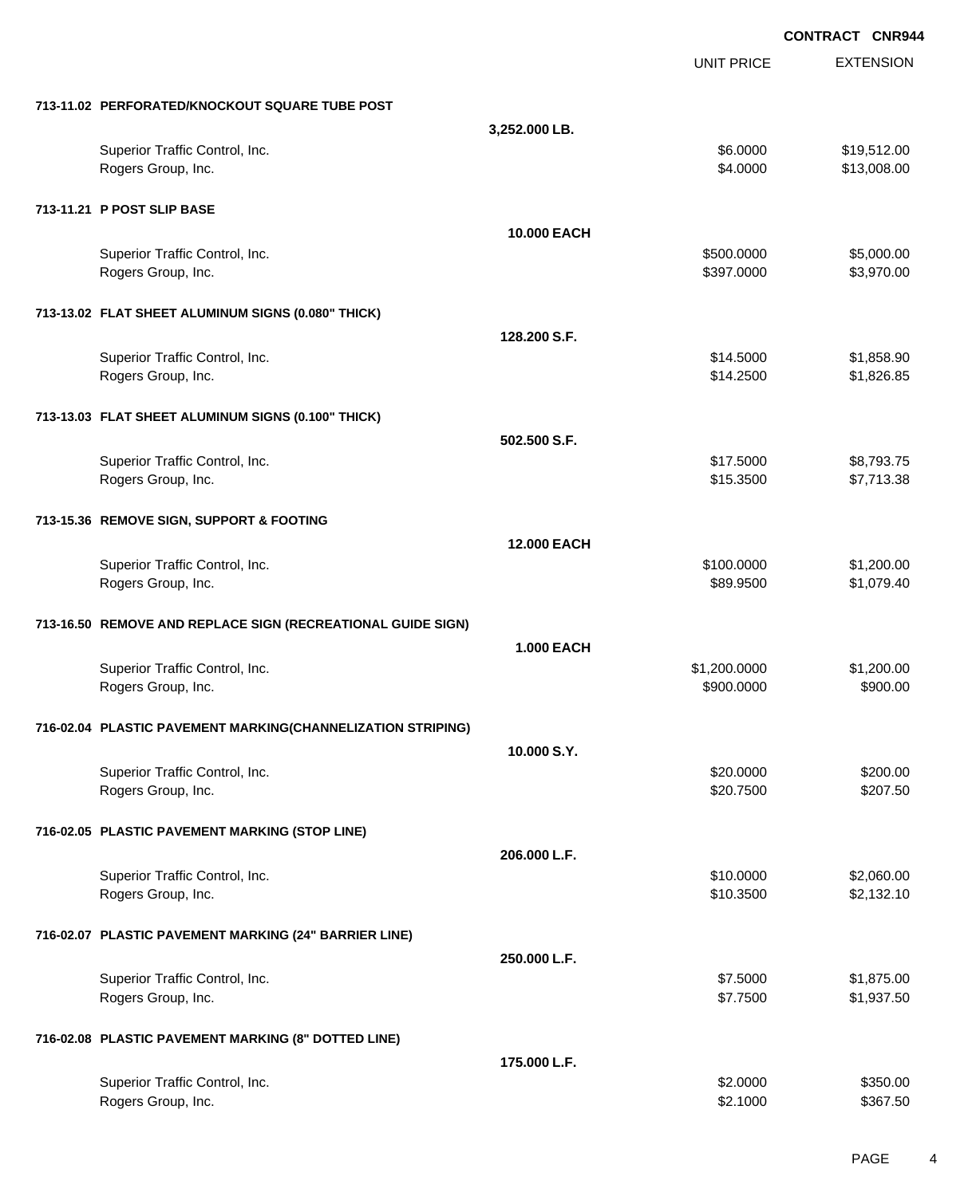|                                          |                                                             |                    |                   | <b>CONTRACT CNR944</b> |
|------------------------------------------|-------------------------------------------------------------|--------------------|-------------------|------------------------|
|                                          |                                                             |                    | <b>UNIT PRICE</b> | <b>EXTENSION</b>       |
|                                          | 713-11.02 PERFORATED/KNOCKOUT SQUARE TUBE POST              |                    |                   |                        |
|                                          |                                                             | 3,252.000 LB.      |                   |                        |
| Superior Traffic Control, Inc.           |                                                             |                    | \$6.0000          | \$19,512.00            |
| Rogers Group, Inc.                       |                                                             |                    | \$4.0000          | \$13,008.00            |
| 713-11.21 P POST SLIP BASE               |                                                             |                    |                   |                        |
|                                          |                                                             | 10.000 EACH        |                   |                        |
| Superior Traffic Control, Inc.           |                                                             |                    | \$500.0000        | \$5,000.00             |
| Rogers Group, Inc.                       |                                                             |                    | \$397.0000        | \$3,970.00             |
|                                          | 713-13.02 FLAT SHEET ALUMINUM SIGNS (0.080" THICK)          |                    |                   |                        |
|                                          |                                                             | 128.200 S.F.       |                   |                        |
| Superior Traffic Control, Inc.           |                                                             |                    | \$14.5000         | \$1,858.90             |
| Rogers Group, Inc.                       |                                                             |                    | \$14.2500         | \$1,826.85             |
|                                          | 713-13.03 FLAT SHEET ALUMINUM SIGNS (0.100" THICK)          |                    |                   |                        |
|                                          |                                                             | 502,500 S.F.       |                   |                        |
| Superior Traffic Control, Inc.           |                                                             |                    | \$17.5000         | \$8,793.75             |
| Rogers Group, Inc.                       |                                                             |                    | \$15.3500         | \$7,713.38             |
| 713-15.36 REMOVE SIGN, SUPPORT & FOOTING |                                                             |                    |                   |                        |
|                                          |                                                             | <b>12.000 EACH</b> |                   |                        |
| Superior Traffic Control, Inc.           |                                                             |                    | \$100.0000        | \$1,200.00             |
| Rogers Group, Inc.                       |                                                             |                    | \$89.9500         | \$1,079.40             |
|                                          | 713-16.50 REMOVE AND REPLACE SIGN (RECREATIONAL GUIDE SIGN) |                    |                   |                        |
|                                          |                                                             | <b>1.000 EACH</b>  |                   |                        |
| Superior Traffic Control, Inc.           |                                                             |                    | \$1,200.0000      | \$1,200.00             |
| Rogers Group, Inc.                       |                                                             |                    | \$900.0000        | \$900.00               |
|                                          | 716-02.04 PLASTIC PAVEMENT MARKING(CHANNELIZATION STRIPING) |                    |                   |                        |
|                                          |                                                             | 10.000 S.Y.        |                   |                        |
| Superior Traffic Control, Inc.           |                                                             |                    | \$20.0000         | \$200.00               |
| Rogers Group, Inc.                       |                                                             |                    | \$20.7500         | \$207.50               |
|                                          | 716-02.05 PLASTIC PAVEMENT MARKING (STOP LINE)              |                    |                   |                        |
|                                          |                                                             | 206.000 L.F.       |                   |                        |
| Superior Traffic Control, Inc.           |                                                             |                    | \$10.0000         | \$2,060.00             |
| Rogers Group, Inc.                       |                                                             |                    | \$10.3500         | \$2,132.10             |
|                                          | 716-02.07 PLASTIC PAVEMENT MARKING (24" BARRIER LINE)       |                    |                   |                        |
|                                          |                                                             | 250.000 L.F.       |                   |                        |
| Superior Traffic Control, Inc.           |                                                             |                    | \$7.5000          | \$1,875.00             |
| Rogers Group, Inc.                       |                                                             |                    | \$7.7500          | \$1,937.50             |
|                                          | 716-02.08 PLASTIC PAVEMENT MARKING (8" DOTTED LINE)         |                    |                   |                        |
|                                          |                                                             | 175.000 L.F.       |                   |                        |
| Superior Traffic Control, Inc.           |                                                             |                    | \$2.0000          | \$350.00               |
| Rogers Group, Inc.                       |                                                             |                    | \$2.1000          | \$367.50               |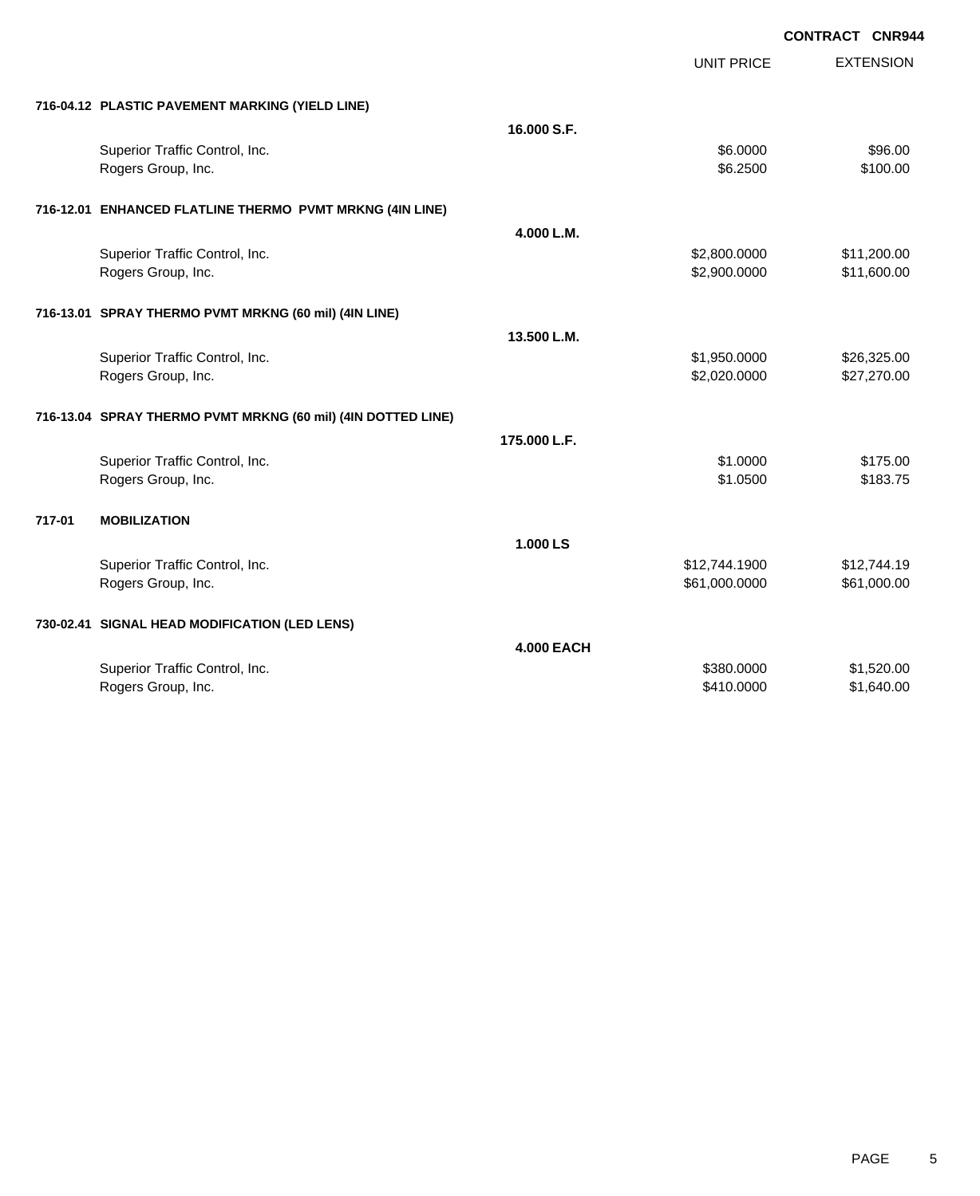UNIT PRICE

EXTENSION

| 716-04.12 PLASTIC PAVEMENT MARKING (YIELD LINE) |  |
|-------------------------------------------------|--|

|        | 710-04.12 PLASTIC PAVEMENT MARKING (TIELD LINE)              |                   |               |             |
|--------|--------------------------------------------------------------|-------------------|---------------|-------------|
|        |                                                              | 16,000 S.F.       |               |             |
|        | Superior Traffic Control, Inc.                               |                   | \$6.0000      | \$96.00     |
|        | Rogers Group, Inc.                                           |                   | \$6.2500      | \$100.00    |
|        | 716-12.01 ENHANCED FLATLINE THERMO PVMT MRKNG (4IN LINE)     |                   |               |             |
|        |                                                              | 4.000 L.M.        |               |             |
|        | Superior Traffic Control, Inc.                               |                   | \$2,800.0000  | \$11,200.00 |
|        | Rogers Group, Inc.                                           |                   | \$2,900.0000  | \$11,600.00 |
|        | 716-13.01 SPRAY THERMO PVMT MRKNG (60 mil) (4IN LINE)        |                   |               |             |
|        |                                                              | 13.500 L.M.       |               |             |
|        | Superior Traffic Control, Inc.                               |                   | \$1,950.0000  | \$26,325.00 |
|        | Rogers Group, Inc.                                           |                   | \$2,020.0000  | \$27,270.00 |
|        | 716-13.04 SPRAY THERMO PVMT MRKNG (60 mil) (4IN DOTTED LINE) |                   |               |             |
|        |                                                              | 175.000 L.F.      |               |             |
|        |                                                              |                   |               |             |
|        | Superior Traffic Control, Inc.                               |                   | \$1,0000      | \$175.00    |
|        | Rogers Group, Inc.                                           |                   | \$1.0500      | \$183.75    |
| 717-01 | <b>MOBILIZATION</b>                                          |                   |               |             |
|        |                                                              | 1.000 LS          |               |             |
|        | Superior Traffic Control, Inc.                               |                   | \$12,744.1900 | \$12,744.19 |
|        | Rogers Group, Inc.                                           |                   | \$61,000.0000 | \$61,000.00 |
|        | 730-02.41 SIGNAL HEAD MODIFICATION (LED LENS)                |                   |               |             |
|        |                                                              | <b>4.000 EACH</b> |               |             |
|        | Superior Traffic Control, Inc.                               |                   | \$380.0000    | \$1,520.00  |
|        | Rogers Group, Inc.                                           |                   | \$410.0000    | \$1,640.00  |
|        |                                                              |                   |               |             |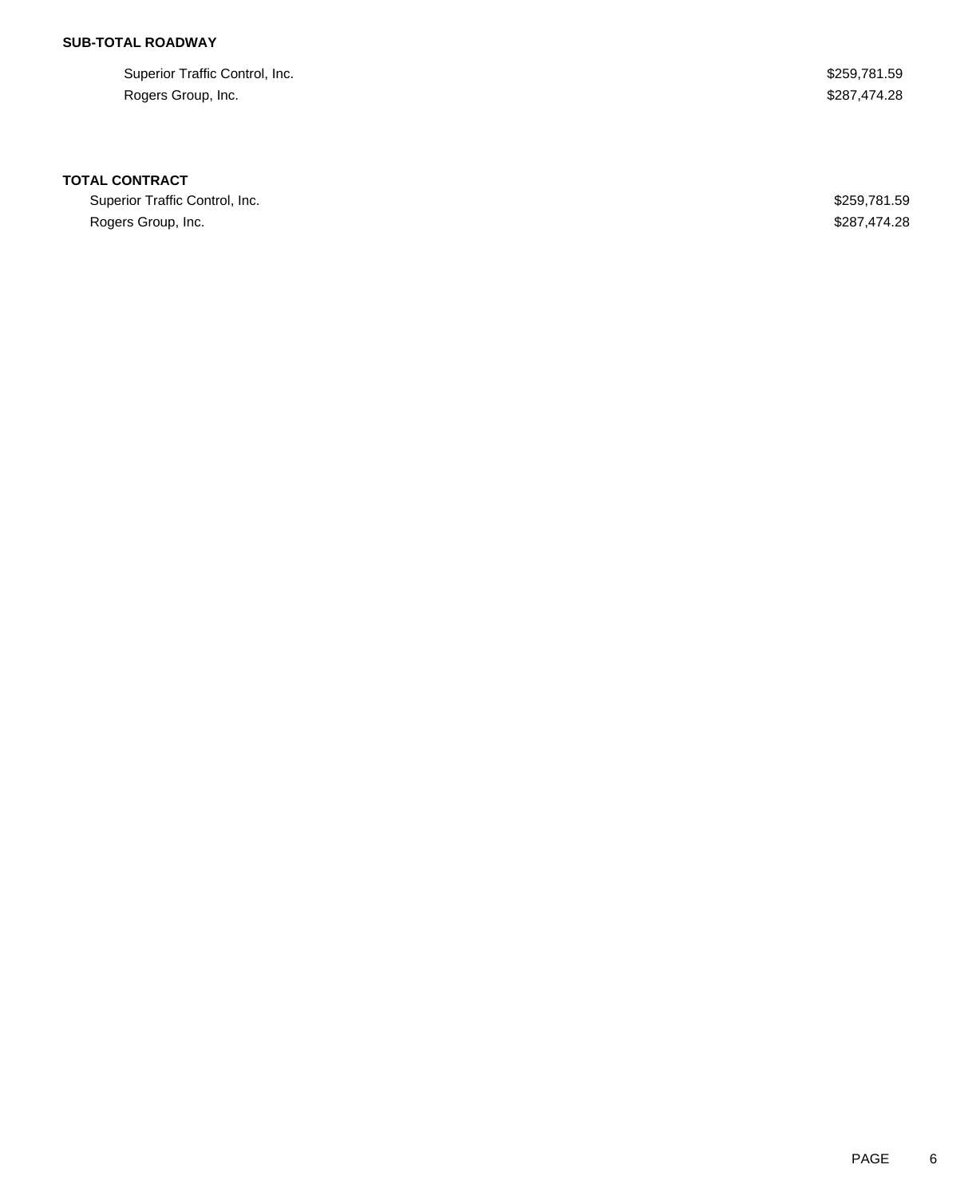## **SUB-TOTAL ROADWAY**

Superior Traffic Control, Inc. 6. The Superior Traffic Control, Inc. 6. The Superior Traffic Control, Inc. Rogers Group, Inc. \$287,474.28

#### **TOTAL CONTRACT**

Superior Traffic Control, Inc. 6. The Superior Traffic Control, Inc. 6. The Superior Traffic Control, Inc. Rogers Group, Inc. \$287,474.28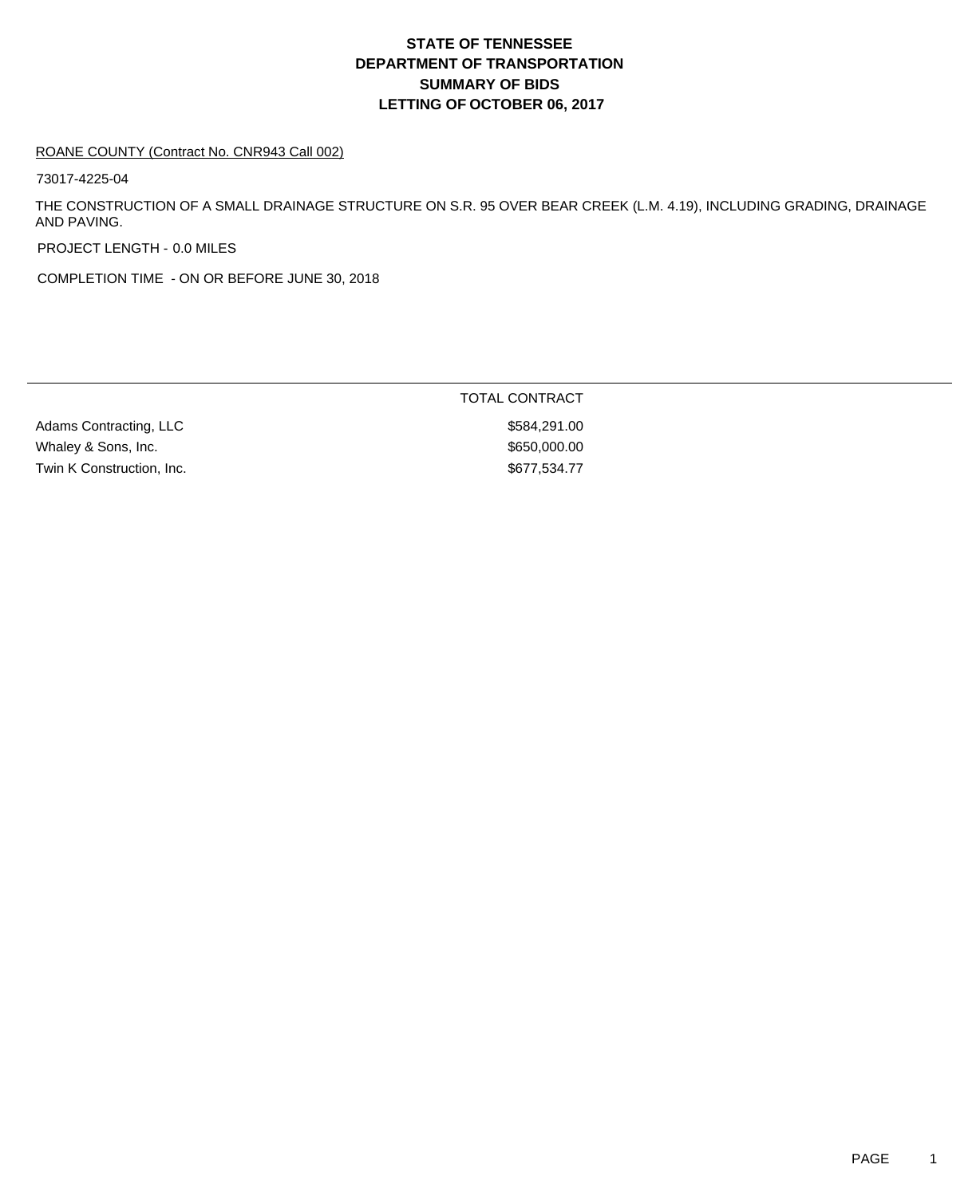#### ROANE COUNTY (Contract No. CNR943 Call 002)

73017-4225-04

THE CONSTRUCTION OF A SMALL DRAINAGE STRUCTURE ON S.R. 95 OVER BEAR CREEK (L.M. 4.19), INCLUDING GRADING, DRAINAGE AND PAVING.

PROJECT LENGTH - 0.0 MILES

COMPLETION TIME - ON OR BEFORE JUNE 30, 2018

|                           | TOTAL CONTRACT |
|---------------------------|----------------|
| Adams Contracting, LLC    | \$584,291.00   |
| Whaley & Sons, Inc.       | \$650,000,00   |
| Twin K Construction, Inc. | \$677,534.77   |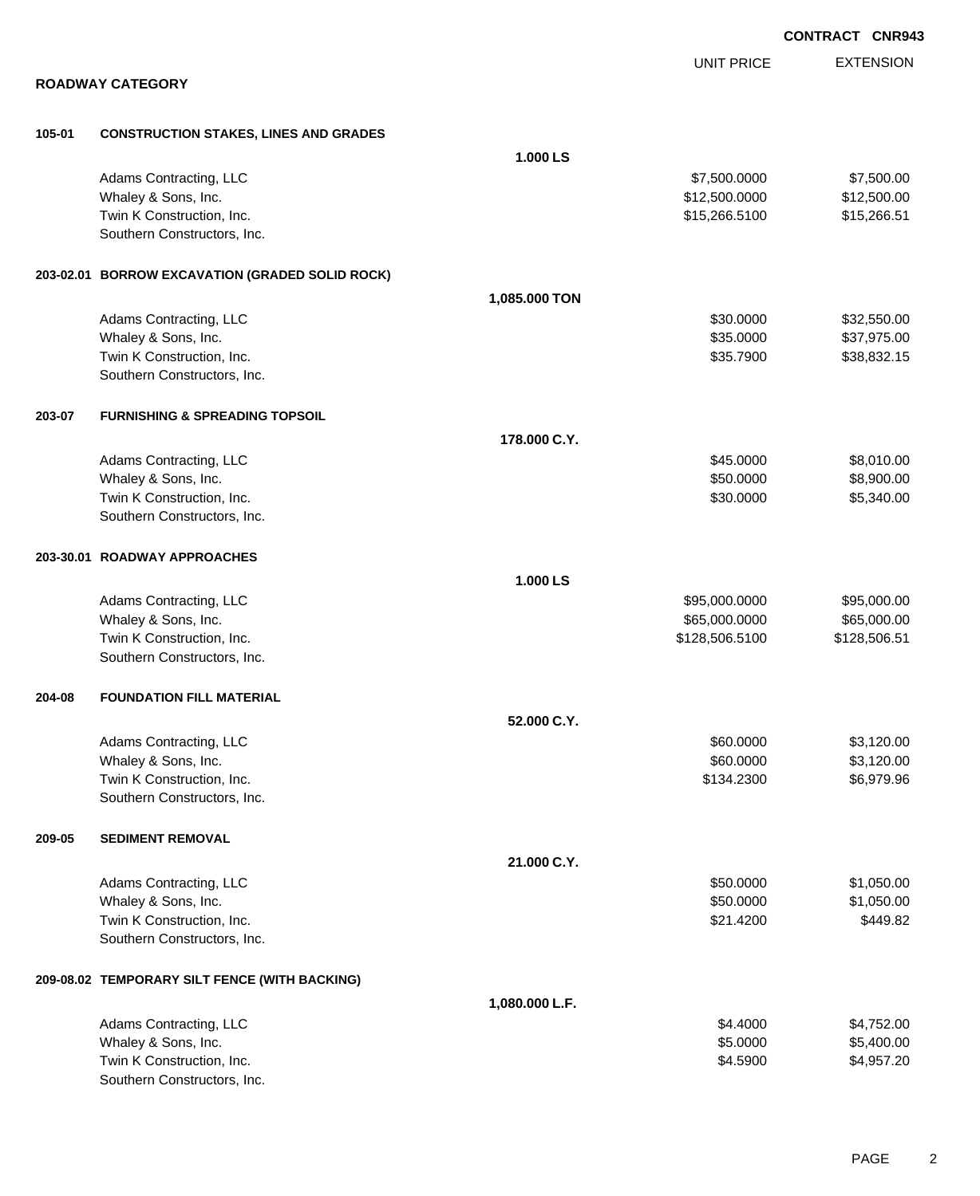|        |                                                 |                |                   | <b>CONTRACT CNR943</b> |
|--------|-------------------------------------------------|----------------|-------------------|------------------------|
|        |                                                 |                | <b>UNIT PRICE</b> | <b>EXTENSION</b>       |
|        | <b>ROADWAY CATEGORY</b>                         |                |                   |                        |
| 105-01 | <b>CONSTRUCTION STAKES, LINES AND GRADES</b>    |                |                   |                        |
|        |                                                 | 1.000 LS       |                   |                        |
|        | Adams Contracting, LLC                          |                | \$7,500.0000      | \$7,500.00             |
|        | Whaley & Sons, Inc.                             |                | \$12,500.0000     | \$12,500.00            |
|        | Twin K Construction, Inc.                       |                | \$15,266.5100     | \$15,266.51            |
|        | Southern Constructors, Inc.                     |                |                   |                        |
|        | 203-02.01 BORROW EXCAVATION (GRADED SOLID ROCK) |                |                   |                        |
|        |                                                 | 1,085.000 TON  |                   |                        |
|        | Adams Contracting, LLC                          |                | \$30.0000         | \$32,550.00            |
|        | Whaley & Sons, Inc.                             |                | \$35.0000         | \$37,975.00            |
|        | Twin K Construction, Inc.                       |                | \$35.7900         | \$38,832.15            |
|        | Southern Constructors, Inc.                     |                |                   |                        |
| 203-07 | <b>FURNISHING &amp; SPREADING TOPSOIL</b>       |                |                   |                        |
|        |                                                 | 178.000 C.Y.   |                   |                        |
|        | Adams Contracting, LLC                          |                | \$45.0000         | \$8,010.00             |
|        | Whaley & Sons, Inc.                             |                | \$50.0000         | \$8,900.00             |
|        | Twin K Construction, Inc.                       |                | \$30.0000         | \$5,340.00             |
|        | Southern Constructors, Inc.                     |                |                   |                        |
|        | 203-30.01 ROADWAY APPROACHES                    |                |                   |                        |
|        |                                                 | 1.000 LS       |                   |                        |
|        | Adams Contracting, LLC                          |                | \$95,000.0000     | \$95,000.00            |
|        | Whaley & Sons, Inc.                             |                | \$65,000.0000     | \$65,000.00            |
|        | Twin K Construction, Inc.                       |                | \$128,506.5100    | \$128,506.51           |
|        | Southern Constructors, Inc.                     |                |                   |                        |
| 204-08 | <b>FOUNDATION FILL MATERIAL</b>                 |                |                   |                        |
|        |                                                 | 52.000 C.Y.    |                   |                        |
|        | Adams Contracting, LLC                          |                | \$60.0000         | \$3,120.00             |
|        | Whaley & Sons, Inc.                             |                | \$60.0000         | \$3,120.00             |
|        | Twin K Construction, Inc.                       |                | \$134.2300        | \$6,979.96             |
|        | Southern Constructors, Inc.                     |                |                   |                        |
| 209-05 | <b>SEDIMENT REMOVAL</b>                         |                |                   |                        |
|        |                                                 | 21.000 C.Y.    |                   |                        |
|        | Adams Contracting, LLC                          |                | \$50.0000         | \$1,050.00             |
|        | Whaley & Sons, Inc.                             |                | \$50.0000         | \$1,050.00             |
|        | Twin K Construction, Inc.                       |                | \$21.4200         | \$449.82               |
|        | Southern Constructors, Inc.                     |                |                   |                        |
|        | 209-08.02 TEMPORARY SILT FENCE (WITH BACKING)   |                |                   |                        |
|        |                                                 | 1,080.000 L.F. |                   |                        |
|        | Adams Contracting, LLC                          |                | \$4.4000          | \$4,752.00             |
|        | Whaley & Sons, Inc.                             |                | \$5.0000          | \$5,400.00             |
|        | Twin K Construction, Inc.                       |                | \$4.5900          | \$4,957.20             |
|        | Southern Constructors, Inc.                     |                |                   |                        |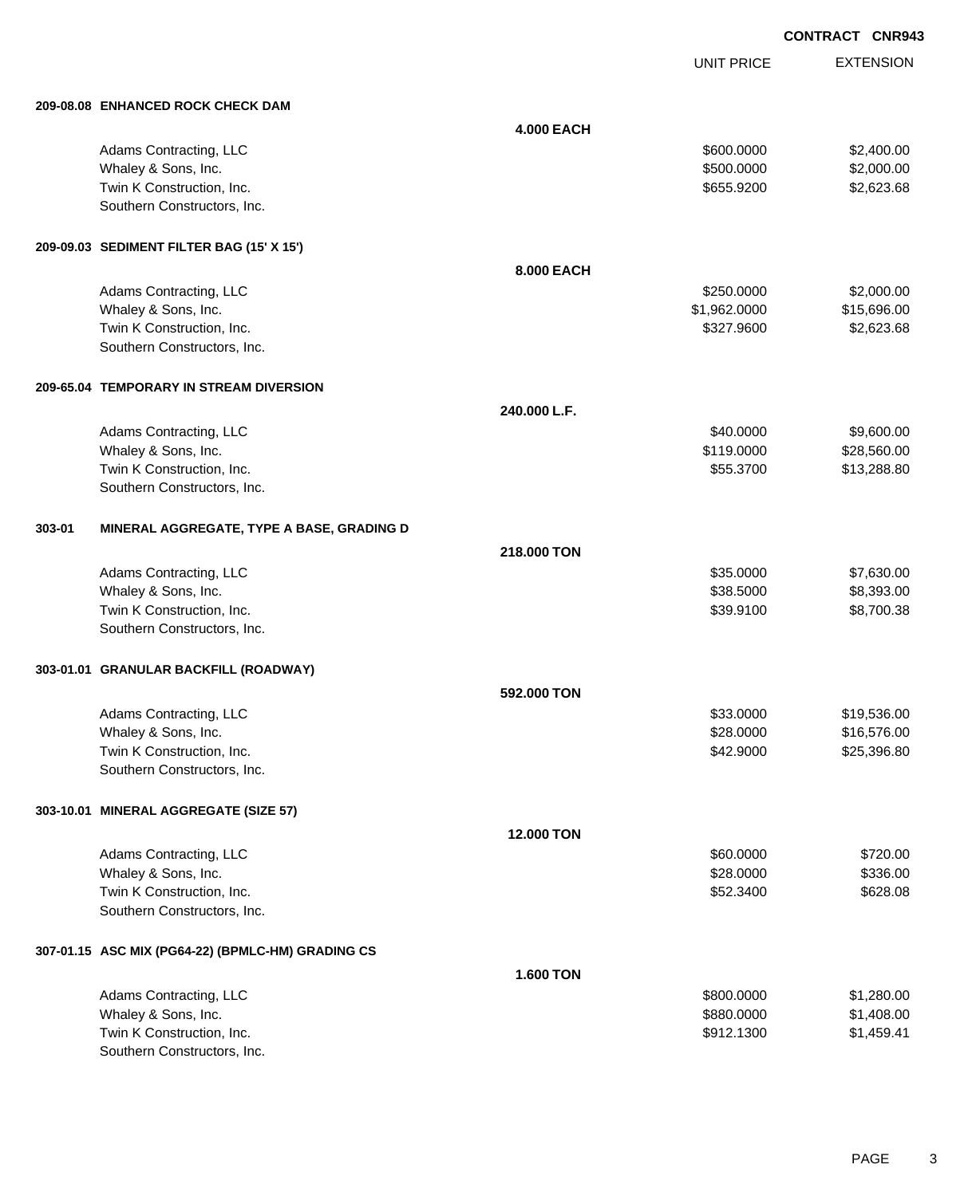EXTENSION **CONTRACT CNR943**

UNIT PRICE

|        | 209-08.08 ENHANCED ROCK CHECK DAM                 |                   |              |             |
|--------|---------------------------------------------------|-------------------|--------------|-------------|
|        |                                                   | <b>4.000 EACH</b> |              |             |
|        | Adams Contracting, LLC                            |                   | \$600.0000   | \$2,400.00  |
|        | Whaley & Sons, Inc.                               |                   | \$500.0000   | \$2,000.00  |
|        | Twin K Construction, Inc.                         |                   | \$655.9200   | \$2,623.68  |
|        | Southern Constructors, Inc.                       |                   |              |             |
|        |                                                   |                   |              |             |
|        | 209-09.03 SEDIMENT FILTER BAG (15' X 15')         |                   |              |             |
|        |                                                   | 8.000 EACH        |              |             |
|        | Adams Contracting, LLC                            |                   | \$250.0000   | \$2,000.00  |
|        | Whaley & Sons, Inc.                               |                   | \$1,962.0000 | \$15,696.00 |
|        | Twin K Construction, Inc.                         |                   | \$327.9600   | \$2,623.68  |
|        | Southern Constructors, Inc.                       |                   |              |             |
|        |                                                   |                   |              |             |
|        | 209-65.04 TEMPORARY IN STREAM DIVERSION           |                   |              |             |
|        |                                                   | 240.000 L.F.      |              |             |
|        | Adams Contracting, LLC                            |                   | \$40.0000    | \$9,600.00  |
|        | Whaley & Sons, Inc.                               |                   | \$119.0000   | \$28,560.00 |
|        | Twin K Construction, Inc.                         |                   | \$55.3700    | \$13,288.80 |
|        | Southern Constructors, Inc.                       |                   |              |             |
|        |                                                   |                   |              |             |
| 303-01 | MINERAL AGGREGATE, TYPE A BASE, GRADING D         |                   |              |             |
|        |                                                   | 218,000 TON       |              |             |
|        | Adams Contracting, LLC                            |                   | \$35.0000    | \$7,630.00  |
|        | Whaley & Sons, Inc.                               |                   | \$38.5000    | \$8,393.00  |
|        | Twin K Construction, Inc.                         |                   | \$39.9100    | \$8,700.38  |
|        | Southern Constructors, Inc.                       |                   |              |             |
|        |                                                   |                   |              |             |
|        | 303-01.01 GRANULAR BACKFILL (ROADWAY)             |                   |              |             |
|        |                                                   | 592.000 TON       |              |             |
|        | Adams Contracting, LLC                            |                   | \$33.0000    | \$19,536.00 |
|        | Whaley & Sons, Inc.                               |                   | \$28.0000    | \$16,576.00 |
|        | Twin K Construction, Inc.                         |                   | \$42.9000    | \$25,396.80 |
|        | Southern Constructors, Inc.                       |                   |              |             |
|        |                                                   |                   |              |             |
|        | 303-10.01 MINERAL AGGREGATE (SIZE 57)             |                   |              |             |
|        |                                                   | <b>12.000 TON</b> |              |             |
|        | Adams Contracting, LLC                            |                   | \$60.0000    | \$720.00    |
|        | Whaley & Sons, Inc.                               |                   | \$28.0000    | \$336.00    |
|        | Twin K Construction, Inc.                         |                   | \$52.3400    | \$628.08    |
|        | Southern Constructors, Inc.                       |                   |              |             |
|        |                                                   |                   |              |             |
|        | 307-01.15 ASC MIX (PG64-22) (BPMLC-HM) GRADING CS |                   |              |             |
|        |                                                   | <b>1.600 TON</b>  |              |             |
|        | Adams Contracting, LLC                            |                   | \$800.0000   | \$1,280.00  |
|        | Whaley & Sons, Inc.                               |                   | \$880.0000   | \$1,408.00  |
|        | Twin K Construction, Inc.                         |                   | \$912.1300   | \$1,459.41  |
|        | Southern Constructors, Inc.                       |                   |              |             |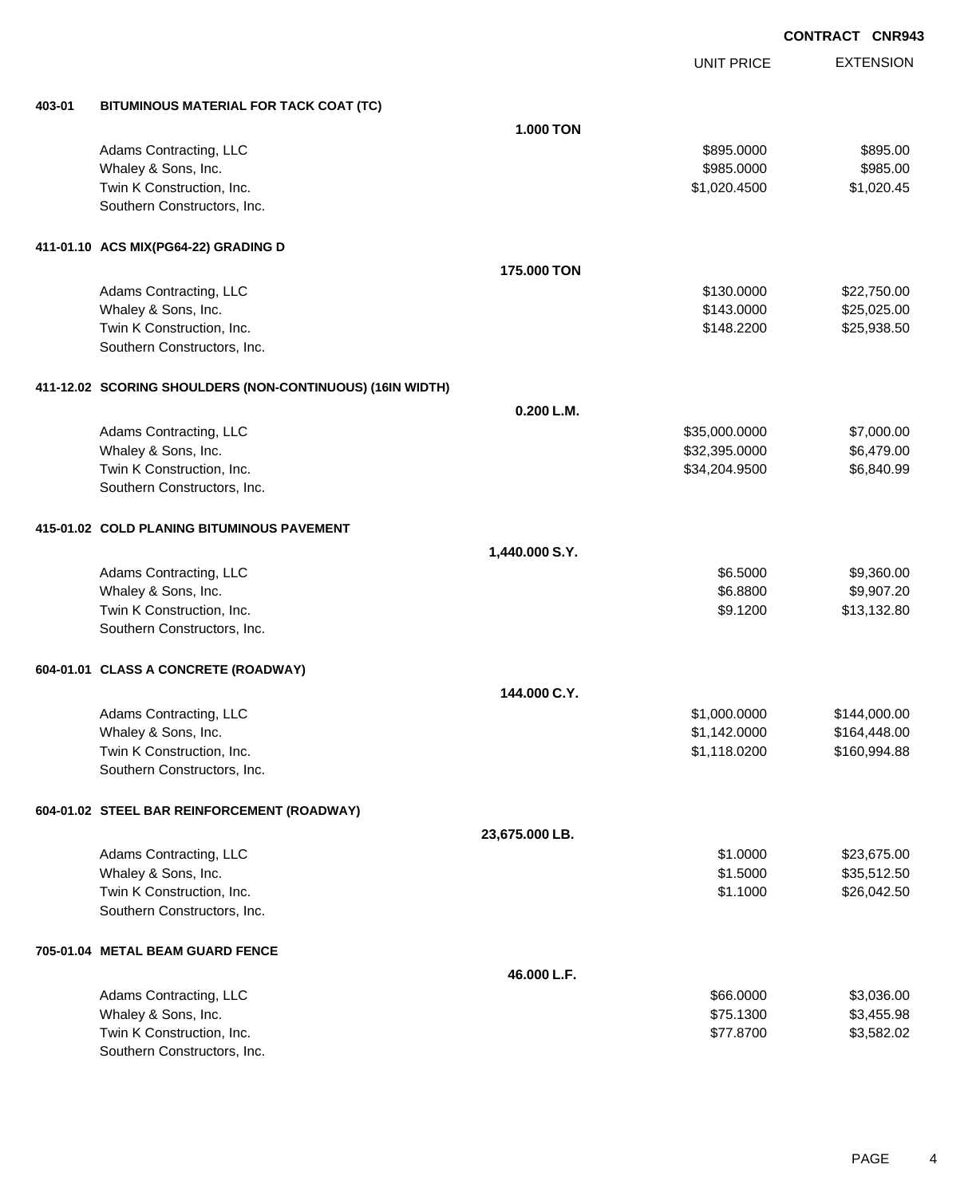UNIT PRICE

EXTENSION

**403-01 BITUMINOUS MATERIAL FOR TACK COAT (TC)**

| 403-01 | BITUMINOUS MATERIAL FOR TACK COAT (TC)                    |                  |               |              |
|--------|-----------------------------------------------------------|------------------|---------------|--------------|
|        |                                                           | <b>1.000 TON</b> |               |              |
|        | Adams Contracting, LLC                                    |                  | \$895.0000    | \$895.00     |
|        | Whaley & Sons, Inc.                                       |                  | \$985.0000    | \$985.00     |
|        | Twin K Construction, Inc.                                 |                  | \$1,020.4500  | \$1,020.45   |
|        | Southern Constructors, Inc.                               |                  |               |              |
|        | 411-01.10 ACS MIX(PG64-22) GRADING D                      |                  |               |              |
|        |                                                           | 175.000 TON      |               |              |
|        | Adams Contracting, LLC                                    |                  | \$130.0000    | \$22,750.00  |
|        | Whaley & Sons, Inc.                                       |                  | \$143.0000    | \$25,025.00  |
|        | Twin K Construction, Inc.                                 |                  | \$148.2200    | \$25,938.50  |
|        | Southern Constructors, Inc.                               |                  |               |              |
|        | 411-12.02 SCORING SHOULDERS (NON-CONTINUOUS) (16IN WIDTH) |                  |               |              |
|        |                                                           | 0.200 L.M.       |               |              |
|        | Adams Contracting, LLC                                    |                  | \$35,000.0000 | \$7,000.00   |
|        | Whaley & Sons, Inc.                                       |                  | \$32,395.0000 | \$6,479.00   |
|        | Twin K Construction, Inc.                                 |                  | \$34,204.9500 | \$6,840.99   |
|        | Southern Constructors, Inc.                               |                  |               |              |
|        | 415-01.02 COLD PLANING BITUMINOUS PAVEMENT                |                  |               |              |
|        |                                                           | 1,440.000 S.Y.   |               |              |
|        | Adams Contracting, LLC                                    |                  | \$6.5000      | \$9,360.00   |
|        | Whaley & Sons, Inc.                                       |                  | \$6.8800      | \$9,907.20   |
|        | Twin K Construction, Inc.                                 |                  | \$9.1200      | \$13,132.80  |
|        | Southern Constructors, Inc.                               |                  |               |              |
|        | 604-01.01 CLASS A CONCRETE (ROADWAY)                      |                  |               |              |
|        |                                                           | 144.000 C.Y.     |               |              |
|        | Adams Contracting, LLC                                    |                  | \$1,000.0000  | \$144,000.00 |
|        | Whaley & Sons, Inc.                                       |                  | \$1,142.0000  | \$164,448.00 |
|        | Twin K Construction, Inc.                                 |                  | \$1,118.0200  | \$160,994.88 |
|        | Southern Constructors, Inc.                               |                  |               |              |
|        | 604-01.02 STEEL BAR REINFORCEMENT (ROADWAY)               |                  |               |              |
|        |                                                           | 23,675.000 LB.   |               |              |
|        | Adams Contracting, LLC                                    |                  | \$1.0000      | \$23,675.00  |
|        | Whaley & Sons, Inc.                                       |                  | \$1.5000      | \$35,512.50  |
|        | Twin K Construction, Inc.                                 |                  | \$1.1000      | \$26,042.50  |
|        | Southern Constructors, Inc.                               |                  |               |              |
|        | 705-01.04 METAL BEAM GUARD FENCE                          |                  |               |              |
|        |                                                           | 46.000 L.F.      |               |              |
|        | Adams Contracting, LLC                                    |                  | \$66.0000     | \$3,036.00   |
|        | Whaley & Sons, Inc.                                       |                  | \$75.1300     | \$3,455.98   |
|        | Twin K Construction, Inc.                                 |                  | \$77.8700     | \$3,582.02   |
|        | Southern Constructors, Inc.                               |                  |               |              |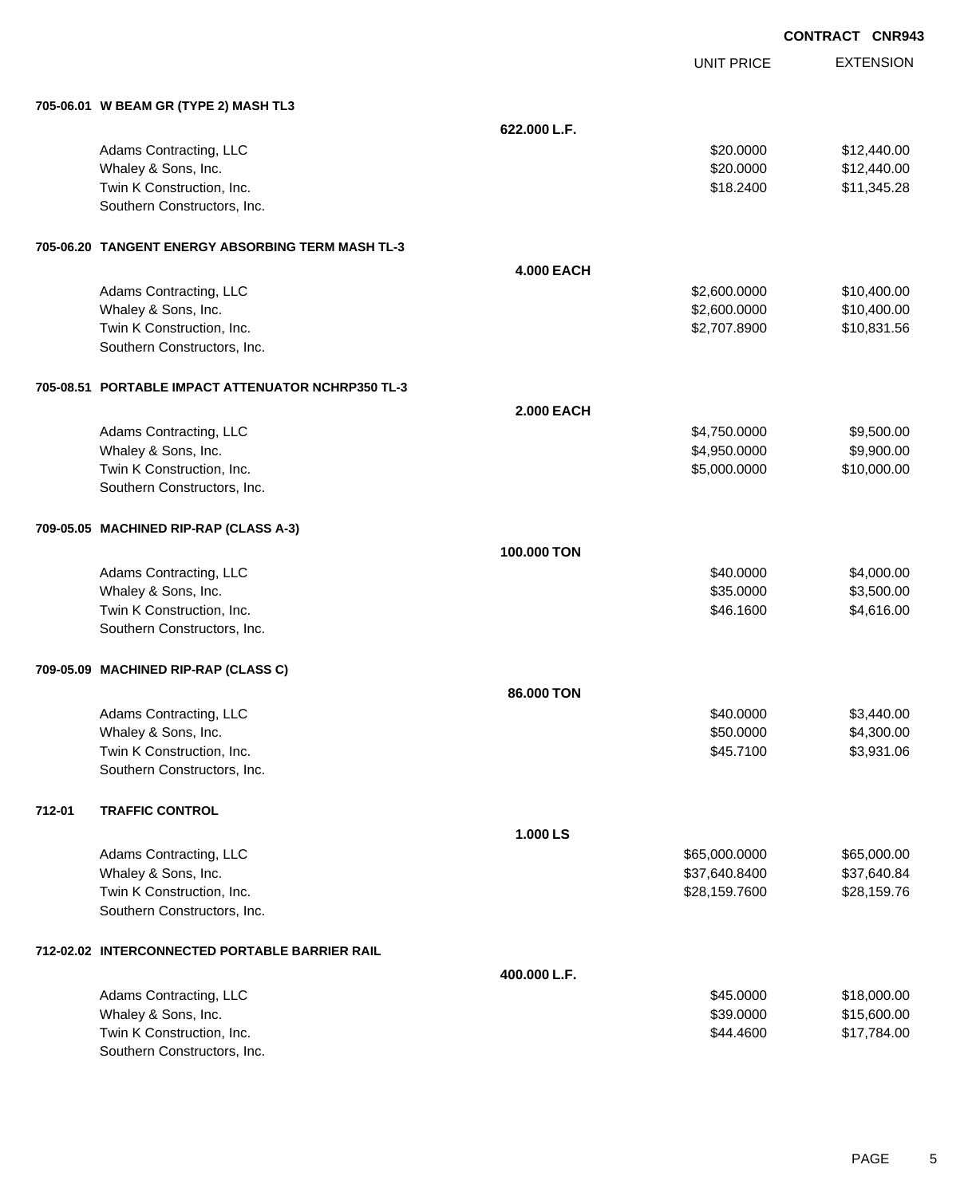|  |  | <b>CONTRACT CNR943</b> |
|--|--|------------------------|
|--|--|------------------------|

|                                                    |                   | UNIT PRICE    | <b>EXTENSION</b> |
|----------------------------------------------------|-------------------|---------------|------------------|
| 705-06.01 W BEAM GR (TYPE 2) MASH TL3              |                   |               |                  |
|                                                    | 622.000 L.F.      |               |                  |
| Adams Contracting, LLC                             |                   | \$20.0000     | \$12,440.00      |
| Whaley & Sons, Inc.                                |                   | \$20.0000     | \$12,440.00      |
| Twin K Construction, Inc.                          |                   | \$18.2400     | \$11,345.28      |
| Southern Constructors, Inc.                        |                   |               |                  |
| 705-06.20 TANGENT ENERGY ABSORBING TERM MASH TL-3  |                   |               |                  |
|                                                    | <b>4.000 EACH</b> |               |                  |
| Adams Contracting, LLC                             |                   | \$2,600.0000  | \$10,400.00      |
| Whaley & Sons, Inc.                                |                   | \$2,600.0000  | \$10,400.00      |
| Twin K Construction, Inc.                          |                   | \$2,707.8900  | \$10,831.56      |
| Southern Constructors, Inc.                        |                   |               |                  |
| 705-08.51 PORTABLE IMPACT ATTENUATOR NCHRP350 TL-3 |                   |               |                  |
|                                                    | <b>2.000 EACH</b> |               |                  |
| Adams Contracting, LLC                             |                   | \$4,750.0000  | \$9,500.00       |
| Whaley & Sons, Inc.                                |                   | \$4,950.0000  | \$9,900.00       |
| Twin K Construction, Inc.                          |                   | \$5,000.0000  | \$10,000.00      |
| Southern Constructors, Inc.                        |                   |               |                  |
| 709-05.05 MACHINED RIP-RAP (CLASS A-3)             |                   |               |                  |
|                                                    | 100,000 TON       |               |                  |
| Adams Contracting, LLC                             |                   | \$40.0000     | \$4,000.00       |
| Whaley & Sons, Inc.                                |                   | \$35.0000     | \$3,500.00       |
| Twin K Construction, Inc.                          |                   | \$46.1600     | \$4,616.00       |
| Southern Constructors, Inc.                        |                   |               |                  |
| 709-05.09 MACHINED RIP-RAP (CLASS C)               |                   |               |                  |
|                                                    | 86,000 TON        |               |                  |
| Adams Contracting, LLC                             |                   | \$40.0000     | \$3,440.00       |
| Whaley & Sons, Inc.                                |                   | \$50.0000     | \$4,300.00       |
| Twin K Construction, Inc.                          |                   | \$45.7100     | \$3,931.06       |
| Southern Constructors, Inc.                        |                   |               |                  |
| 712-01<br><b>TRAFFIC CONTROL</b>                   |                   |               |                  |
|                                                    | 1.000 LS          |               |                  |
| Adams Contracting, LLC                             |                   | \$65,000.0000 | \$65,000.00      |
| Whaley & Sons, Inc.                                |                   | \$37,640.8400 | \$37,640.84      |
| Twin K Construction, Inc.                          |                   | \$28,159.7600 | \$28,159.76      |
| Southern Constructors, Inc.                        |                   |               |                  |
| 712-02.02 INTERCONNECTED PORTABLE BARRIER RAIL     |                   |               |                  |
|                                                    | 400.000 L.F.      |               |                  |
| Adams Contracting, LLC                             |                   | \$45.0000     | \$18,000.00      |
| Whaley & Sons, Inc.                                |                   | \$39.0000     | \$15,600.00      |
| Twin K Construction, Inc.                          |                   | \$44.4600     | \$17,784.00      |
| Southern Constructors, Inc.                        |                   |               |                  |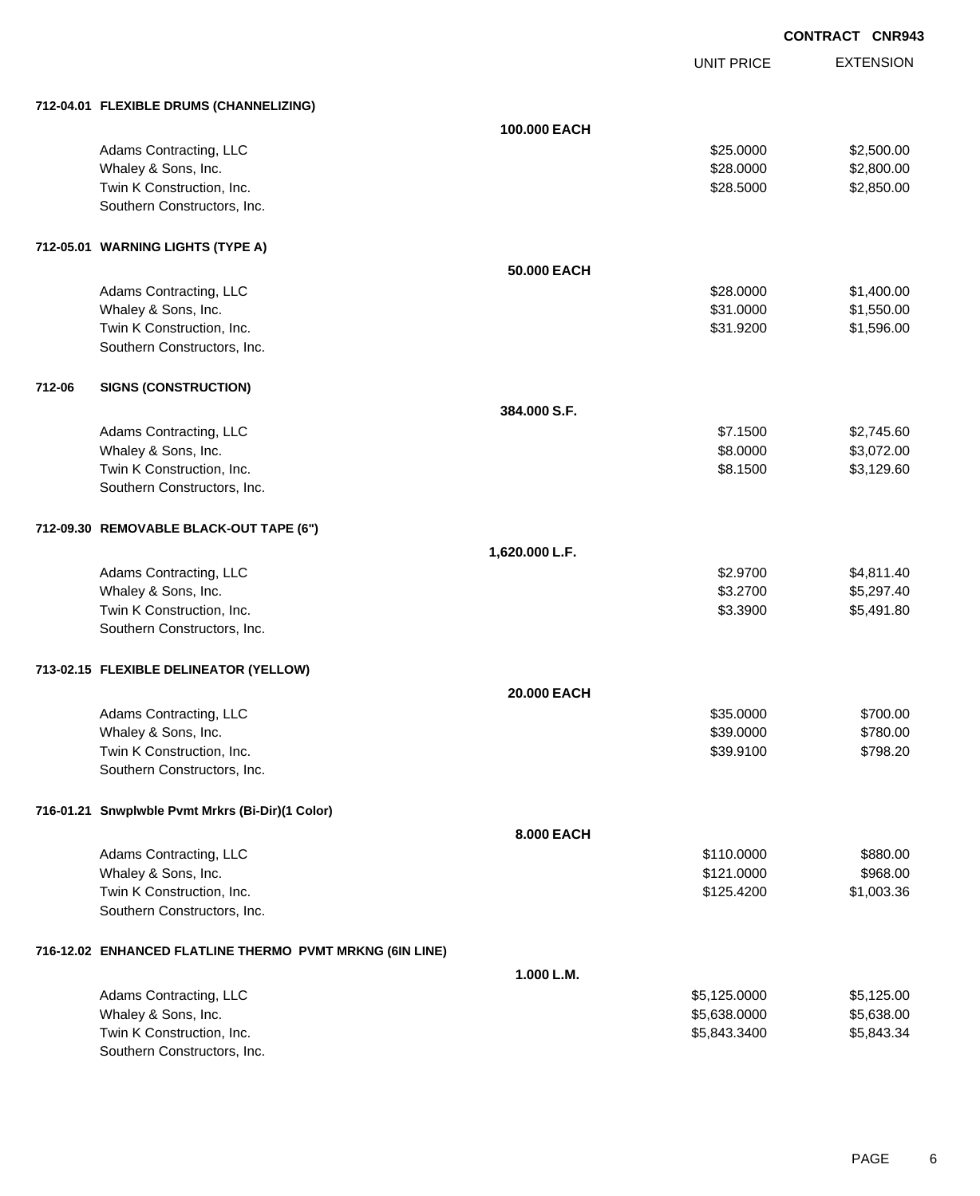EXTENSION **CONTRACT CNR943**

UNIT PRICE

| 712-04.01 FLEXIBLE DRUMS (CHANNELIZING) |  |
|-----------------------------------------|--|
|                                         |  |

|        | 712-04.01 FLEXIBLE DRUMS (CHANNELIZING)                  |                |              |            |
|--------|----------------------------------------------------------|----------------|--------------|------------|
|        |                                                          | 100.000 EACH   |              |            |
|        | Adams Contracting, LLC                                   |                | \$25.0000    | \$2,500.00 |
|        | Whaley & Sons, Inc.                                      |                | \$28.0000    | \$2,800.00 |
|        | Twin K Construction, Inc.                                |                | \$28.5000    | \$2,850.00 |
|        | Southern Constructors, Inc.                              |                |              |            |
|        | 712-05.01 WARNING LIGHTS (TYPE A)                        |                |              |            |
|        |                                                          | 50.000 EACH    |              |            |
|        | Adams Contracting, LLC                                   |                | \$28.0000    | \$1,400.00 |
|        | Whaley & Sons, Inc.                                      |                | \$31.0000    | \$1,550.00 |
|        | Twin K Construction, Inc.                                |                | \$31.9200    | \$1,596.00 |
|        | Southern Constructors, Inc.                              |                |              |            |
| 712-06 | <b>SIGNS (CONSTRUCTION)</b>                              |                |              |            |
|        |                                                          | 384.000 S.F.   |              |            |
|        | Adams Contracting, LLC                                   |                | \$7.1500     | \$2,745.60 |
|        | Whaley & Sons, Inc.                                      |                | \$8.0000     | \$3,072.00 |
|        | Twin K Construction, Inc.                                |                | \$8.1500     | \$3,129.60 |
|        | Southern Constructors, Inc.                              |                |              |            |
|        | 712-09.30 REMOVABLE BLACK-OUT TAPE (6")                  |                |              |            |
|        |                                                          | 1,620.000 L.F. |              |            |
|        | Adams Contracting, LLC                                   |                | \$2.9700     | \$4,811.40 |
|        | Whaley & Sons, Inc.                                      |                | \$3.2700     | \$5,297.40 |
|        | Twin K Construction, Inc.                                |                | \$3.3900     | \$5,491.80 |
|        | Southern Constructors, Inc.                              |                |              |            |
|        | 713-02.15 FLEXIBLE DELINEATOR (YELLOW)                   |                |              |            |
|        |                                                          | 20.000 EACH    |              |            |
|        | Adams Contracting, LLC                                   |                | \$35.0000    | \$700.00   |
|        | Whaley & Sons, Inc.                                      |                | \$39.0000    | \$780.00   |
|        | Twin K Construction, Inc.                                |                | \$39.9100    | \$798.20   |
|        | Southern Constructors, Inc.                              |                |              |            |
|        | 716-01.21 Snwplwble Pvmt Mrkrs (Bi-Dir)(1 Color)         |                |              |            |
|        |                                                          | 8.000 EACH     |              |            |
|        | Adams Contracting, LLC                                   |                | \$110.0000   | \$880.00   |
|        | Whaley & Sons, Inc.                                      |                | \$121.0000   | \$968.00   |
|        | Twin K Construction, Inc.                                |                | \$125.4200   | \$1,003.36 |
|        | Southern Constructors, Inc.                              |                |              |            |
|        | 716-12.02 ENHANCED FLATLINE THERMO PVMT MRKNG (6IN LINE) |                |              |            |
|        |                                                          | 1.000 L.M.     |              |            |
|        | Adams Contracting, LLC                                   |                | \$5,125.0000 | \$5,125.00 |
|        | Whaley & Sons, Inc.                                      |                | \$5,638.0000 | \$5,638.00 |
|        | Twin K Construction, Inc.                                |                | \$5,843.3400 | \$5,843.34 |
|        | Southern Constructors, Inc.                              |                |              |            |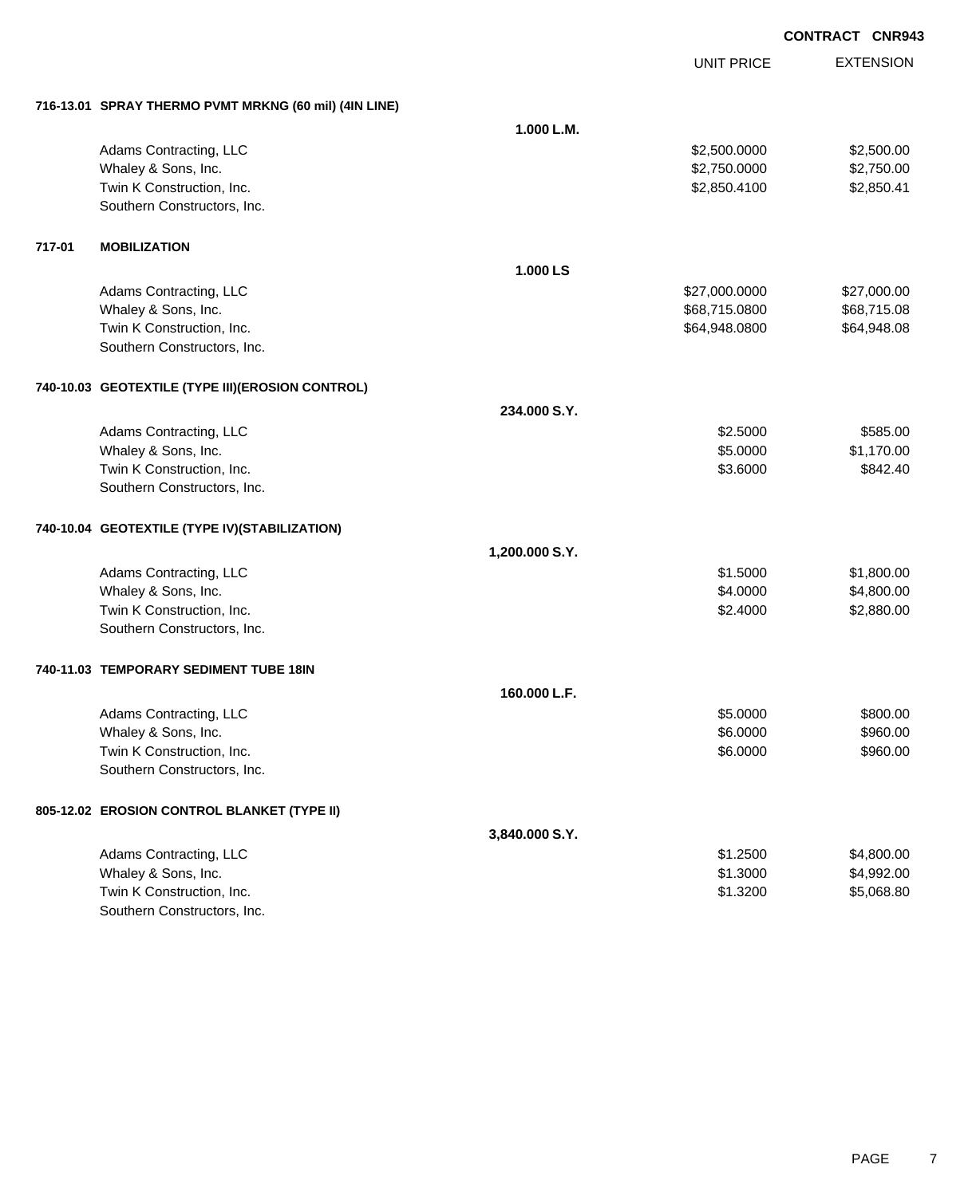|        |                                                       |                | <b>UNIT PRICE</b> | <b>EXTENSION</b> |
|--------|-------------------------------------------------------|----------------|-------------------|------------------|
|        | 716-13.01 SPRAY THERMO PVMT MRKNG (60 mil) (4IN LINE) |                |                   |                  |
|        |                                                       | 1.000 L.M.     |                   |                  |
|        | Adams Contracting, LLC                                |                | \$2,500.0000      | \$2,500.00       |
|        | Whaley & Sons, Inc.                                   |                | \$2,750.0000      | \$2,750.00       |
|        | Twin K Construction, Inc.                             |                | \$2,850.4100      | \$2,850.41       |
|        | Southern Constructors, Inc.                           |                |                   |                  |
| 717-01 | <b>MOBILIZATION</b>                                   |                |                   |                  |
|        |                                                       | 1.000 LS       |                   |                  |
|        | Adams Contracting, LLC                                |                | \$27,000.0000     | \$27,000.00      |
|        | Whaley & Sons, Inc.                                   |                | \$68,715.0800     | \$68,715.08      |
|        | Twin K Construction, Inc.                             |                | \$64,948.0800     | \$64,948.08      |
|        | Southern Constructors, Inc.                           |                |                   |                  |
|        | 740-10.03 GEOTEXTILE (TYPE III) (EROSION CONTROL)     |                |                   |                  |
|        |                                                       | 234.000 S.Y.   |                   |                  |
|        | Adams Contracting, LLC                                |                | \$2.5000          | \$585.00         |
|        | Whaley & Sons, Inc.                                   |                | \$5.0000          | \$1,170.00       |
|        | Twin K Construction, Inc.                             |                | \$3.6000          | \$842.40         |
|        | Southern Constructors, Inc.                           |                |                   |                  |
|        | 740-10.04 GEOTEXTILE (TYPE IV)(STABILIZATION)         |                |                   |                  |
|        |                                                       | 1,200.000 S.Y. |                   |                  |
|        | Adams Contracting, LLC                                |                | \$1.5000          | \$1,800.00       |
|        | Whaley & Sons, Inc.                                   |                | \$4.0000          | \$4,800.00       |
|        | Twin K Construction, Inc.                             |                | \$2.4000          | \$2,880.00       |
|        | Southern Constructors, Inc.                           |                |                   |                  |
|        | 740-11.03 TEMPORARY SEDIMENT TUBE 18IN                |                |                   |                  |
|        |                                                       | 160.000 L.F.   |                   |                  |
|        | Adams Contracting, LLC                                |                | \$5.0000          | \$800.00         |
|        | Whaley & Sons, Inc.                                   |                | \$6.0000          | \$960.00         |
|        | Twin K Construction, Inc.                             |                | \$6.0000          | \$960.00         |
|        | Southern Constructors, Inc.                           |                |                   |                  |
|        | 805-12.02 EROSION CONTROL BLANKET (TYPE II)           |                |                   |                  |
|        |                                                       | 3,840.000 S.Y. |                   |                  |
|        | Adams Contracting, LLC                                |                | \$1.2500          | \$4,800.00       |
|        | Whaley & Sons, Inc.                                   |                | \$1.3000          | \$4,992.00       |
|        | Twin K Construction, Inc.                             |                | \$1.3200          | \$5,068.80       |
|        | Southern Constructors, Inc.                           |                |                   |                  |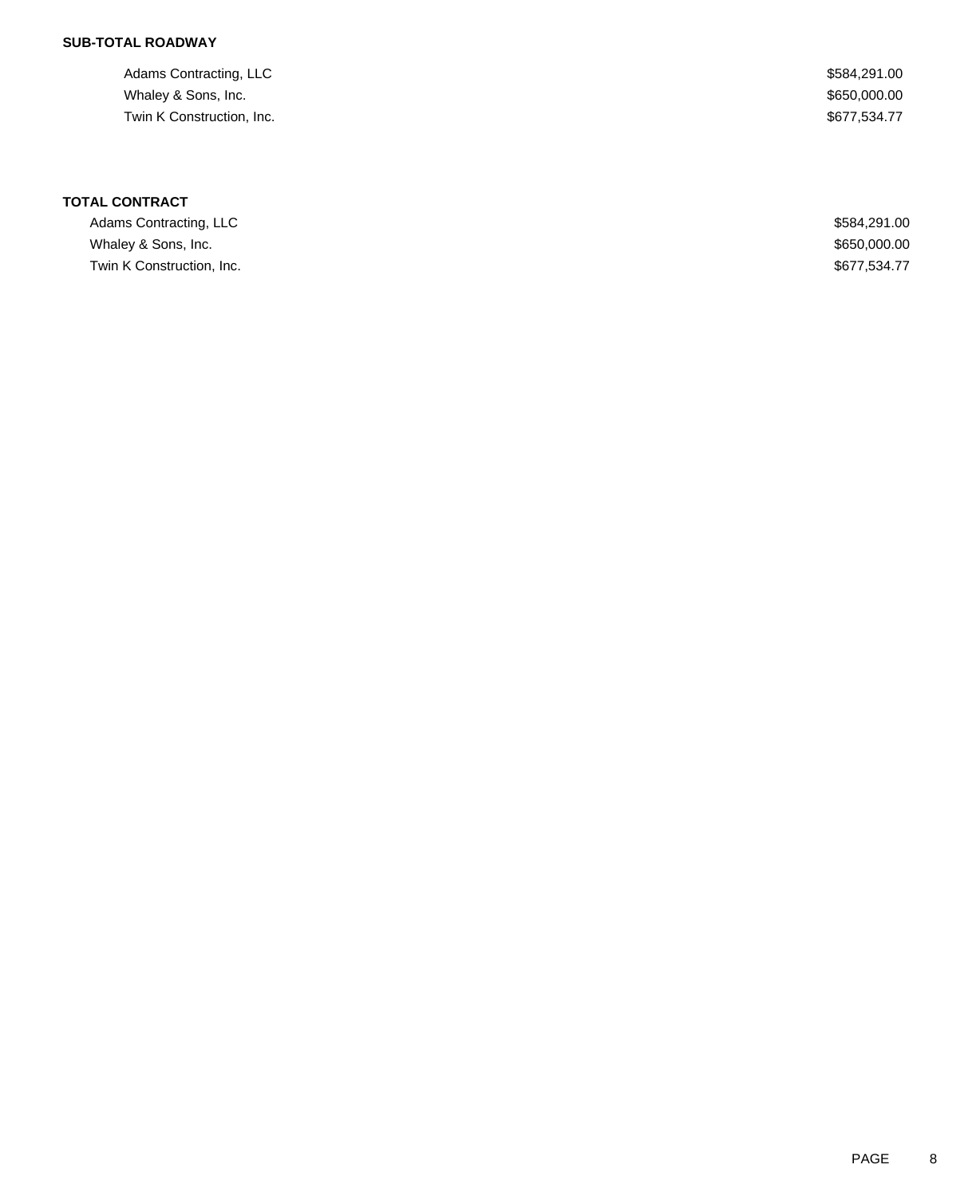## **SUB-TOTAL ROADWAY**

| Adams Contracting, LLC    | \$584,291.00 |
|---------------------------|--------------|
| Whaley & Sons, Inc.       | \$650,000.00 |
| Twin K Construction, Inc. | \$677.534.77 |

# **TOTAL CONTRACT**

| Adams Contracting, LLC    | \$584,291.00 |
|---------------------------|--------------|
| Whaley & Sons, Inc.       | \$650,000.00 |
| Twin K Construction, Inc. | \$677.534.77 |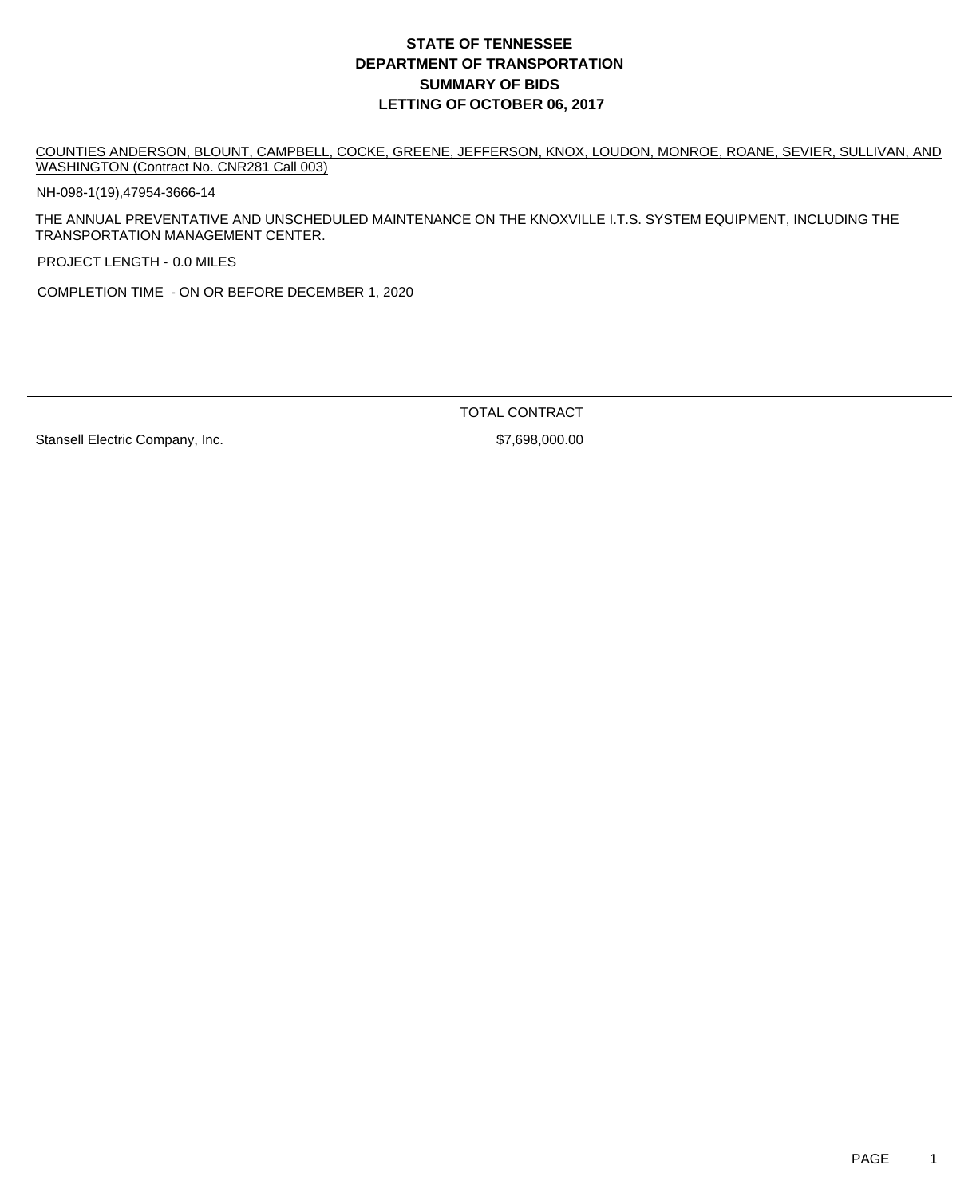COUNTIES ANDERSON, BLOUNT, CAMPBELL, COCKE, GREENE, JEFFERSON, KNOX, LOUDON, MONROE, ROANE, SEVIER, SULLIVAN, AND WASHINGTON (Contract No. CNR281 Call 003)

NH-098-1(19),47954-3666-14

THE ANNUAL PREVENTATIVE AND UNSCHEDULED MAINTENANCE ON THE KNOXVILLE I.T.S. SYSTEM EQUIPMENT, INCLUDING THE TRANSPORTATION MANAGEMENT CENTER.

PROJECT LENGTH - 0.0 MILES

COMPLETION TIME - ON OR BEFORE DECEMBER 1, 2020

Stansell Electric Company, Inc.  $$7,698,000.00$ 

TOTAL CONTRACT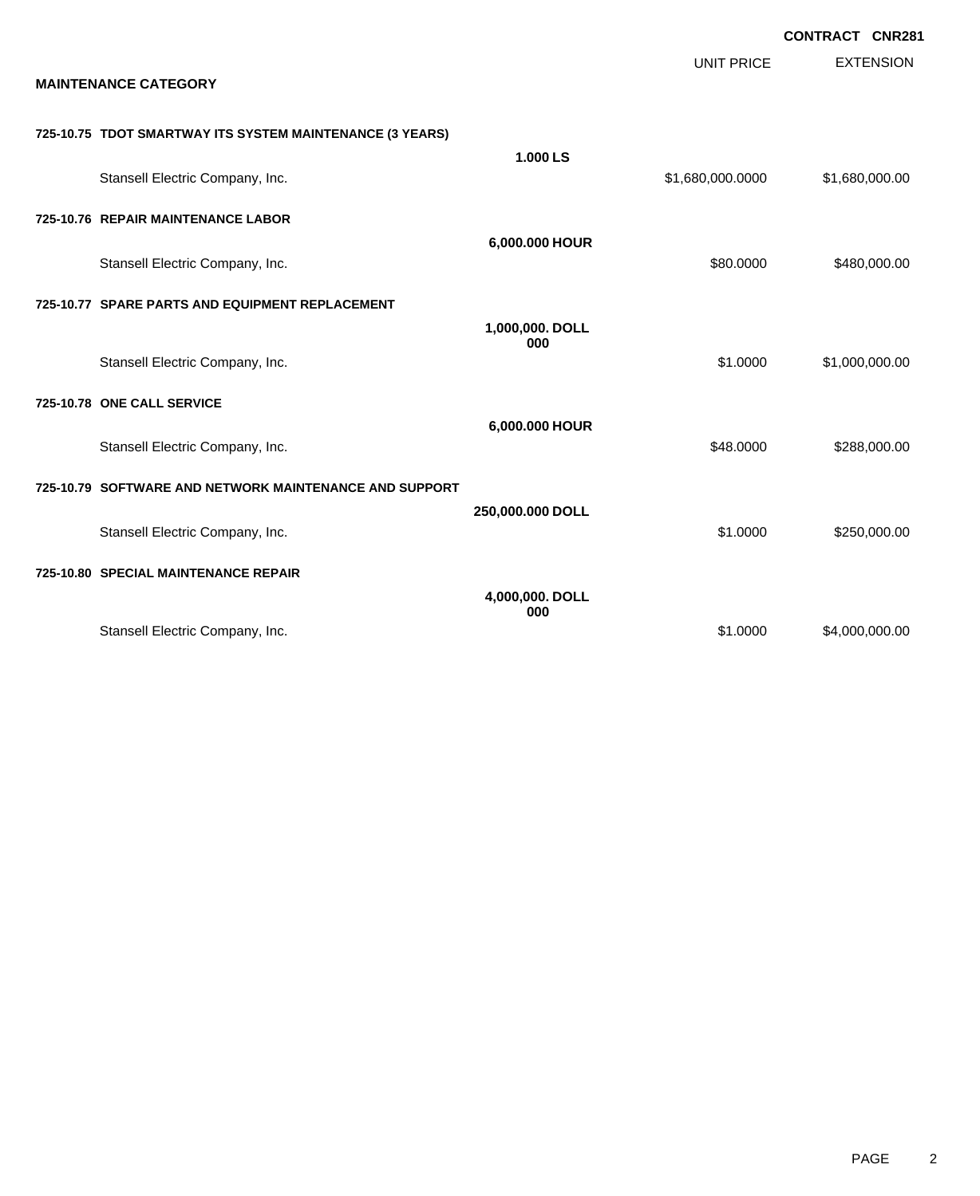| <b>MAINTENANCE CATEGORY</b>                              |                        | <b>UNIT PRICE</b> | <b>CONTRACT CNR281</b><br><b>EXTENSION</b> |
|----------------------------------------------------------|------------------------|-------------------|--------------------------------------------|
| 725-10.75 TDOT SMARTWAY ITS SYSTEM MAINTENANCE (3 YEARS) |                        |                   |                                            |
| Stansell Electric Company, Inc.                          | 1.000 LS               | \$1,680,000.0000  | \$1,680,000.00                             |
| 725-10.76 REPAIR MAINTENANCE LABOR                       |                        |                   |                                            |
| Stansell Electric Company, Inc.                          | 6,000.000 HOUR         | \$80.0000         | \$480,000.00                               |
| 725-10.77 SPARE PARTS AND EQUIPMENT REPLACEMENT          |                        |                   |                                            |
| Stansell Electric Company, Inc.                          | 1,000,000. DOLL<br>000 | \$1,0000          | \$1,000,000.00                             |
| 725-10.78 ONE CALL SERVICE                               |                        |                   |                                            |
| Stansell Electric Company, Inc.                          | 6,000.000 HOUR         | \$48.0000         | \$288,000.00                               |
| 725-10.79 SOFTWARE AND NETWORK MAINTENANCE AND SUPPORT   |                        |                   |                                            |
| Stansell Electric Company, Inc.                          | 250,000.000 DOLL       | \$1.0000          | \$250,000.00                               |
| 725-10.80 SPECIAL MAINTENANCE REPAIR                     |                        |                   |                                            |
|                                                          | 4,000,000. DOLL<br>000 |                   |                                            |
| Stansell Electric Company, Inc.                          |                        | \$1.0000          | \$4,000,000.00                             |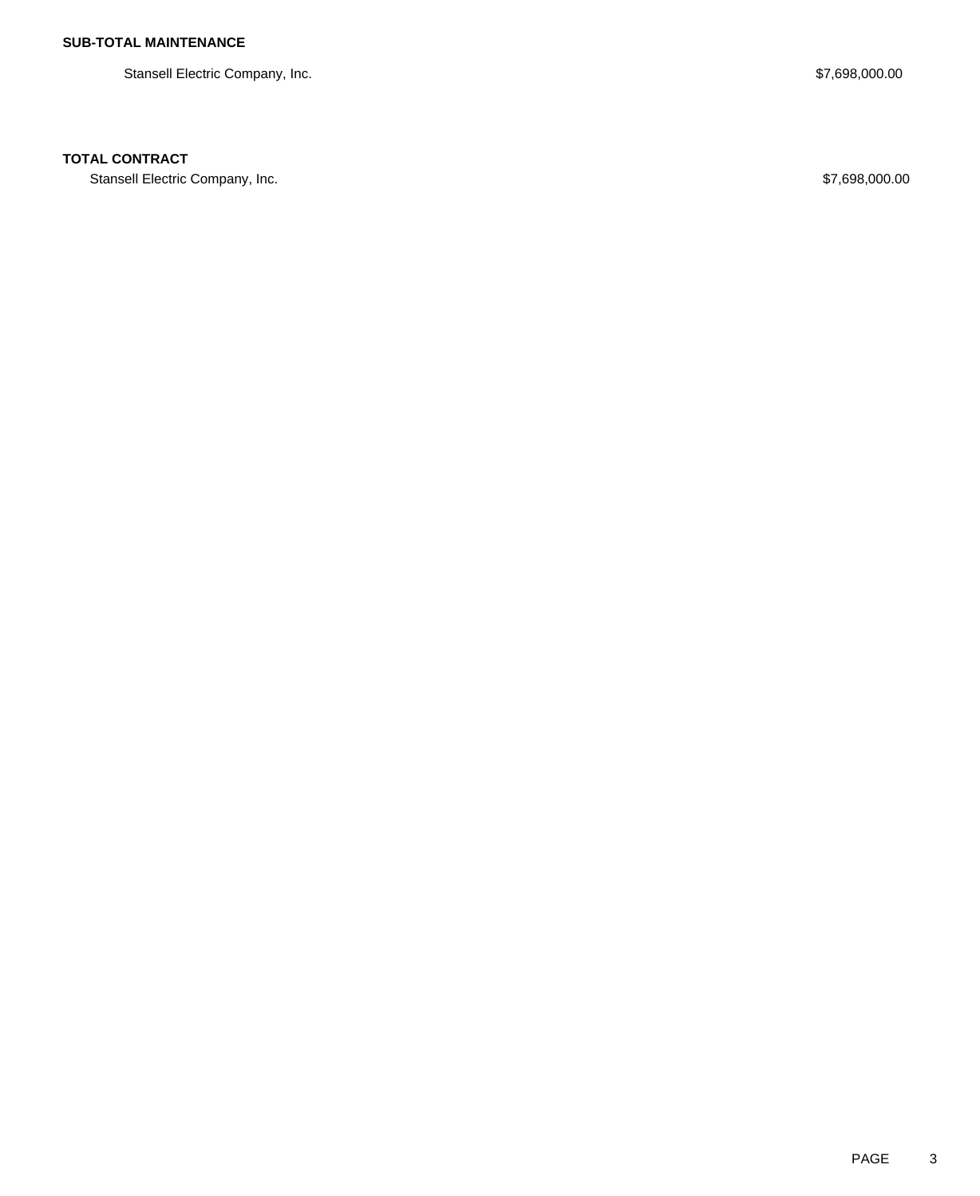Stansell Electric Company, Inc. 6. The Stansell Electric Company, Inc. 6. The Stansell Electric Company, Inc.

### **TOTAL CONTRACT**

Stansell Electric Company, Inc. 6. The Standard Company, Inc. 6. The Standard Company, Inc. 6. The Standard Company, Inc.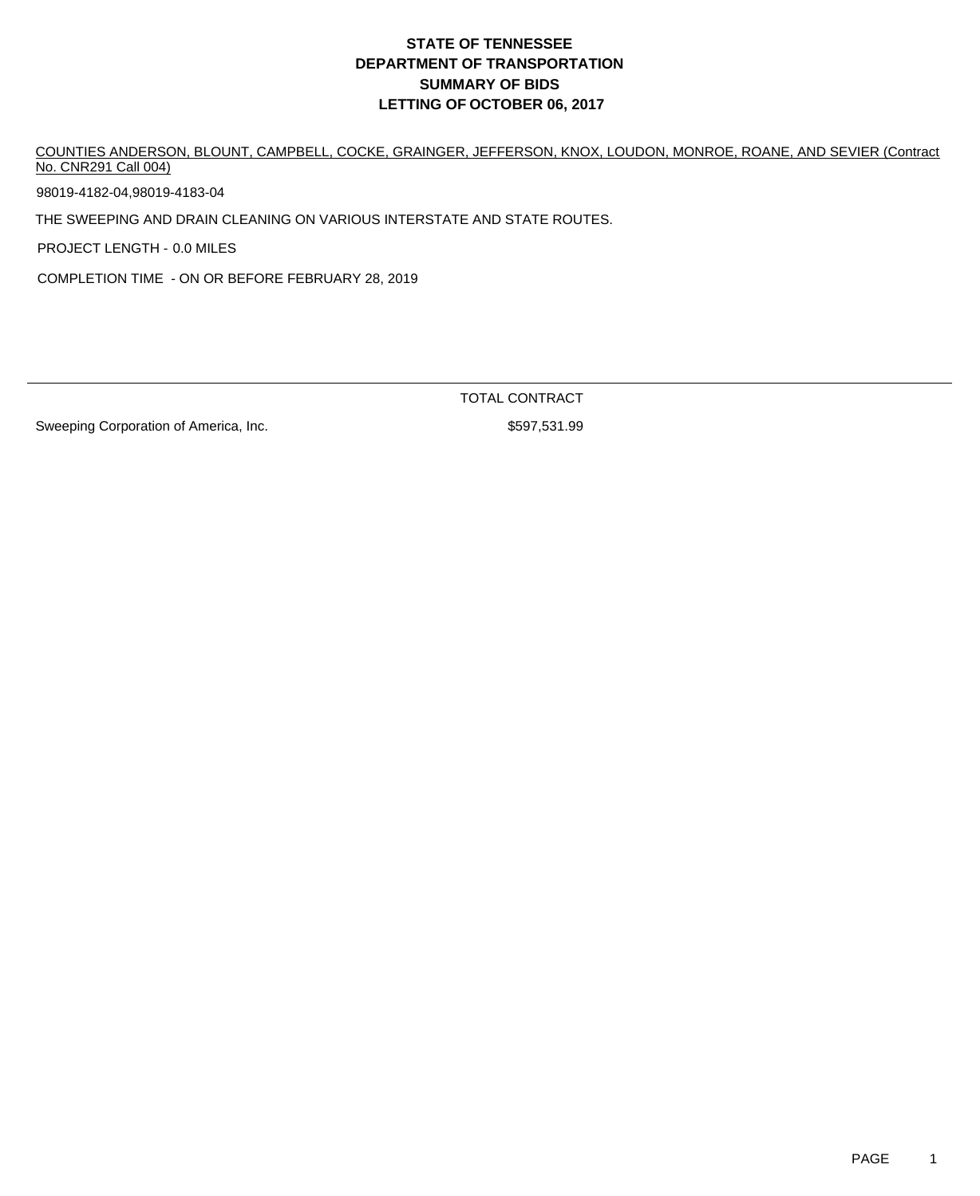COUNTIES ANDERSON, BLOUNT, CAMPBELL, COCKE, GRAINGER, JEFFERSON, KNOX, LOUDON, MONROE, ROANE, AND SEVIER (Contract No. CNR291 Call 004)

98019-4182-04,98019-4183-04

THE SWEEPING AND DRAIN CLEANING ON VARIOUS INTERSTATE AND STATE ROUTES.

PROJECT LENGTH - 0.0 MILES

COMPLETION TIME - ON OR BEFORE FEBRUARY 28, 2019

TOTAL CONTRACT

Sweeping Corporation of America, Inc. 67 (1995) 8597,531.99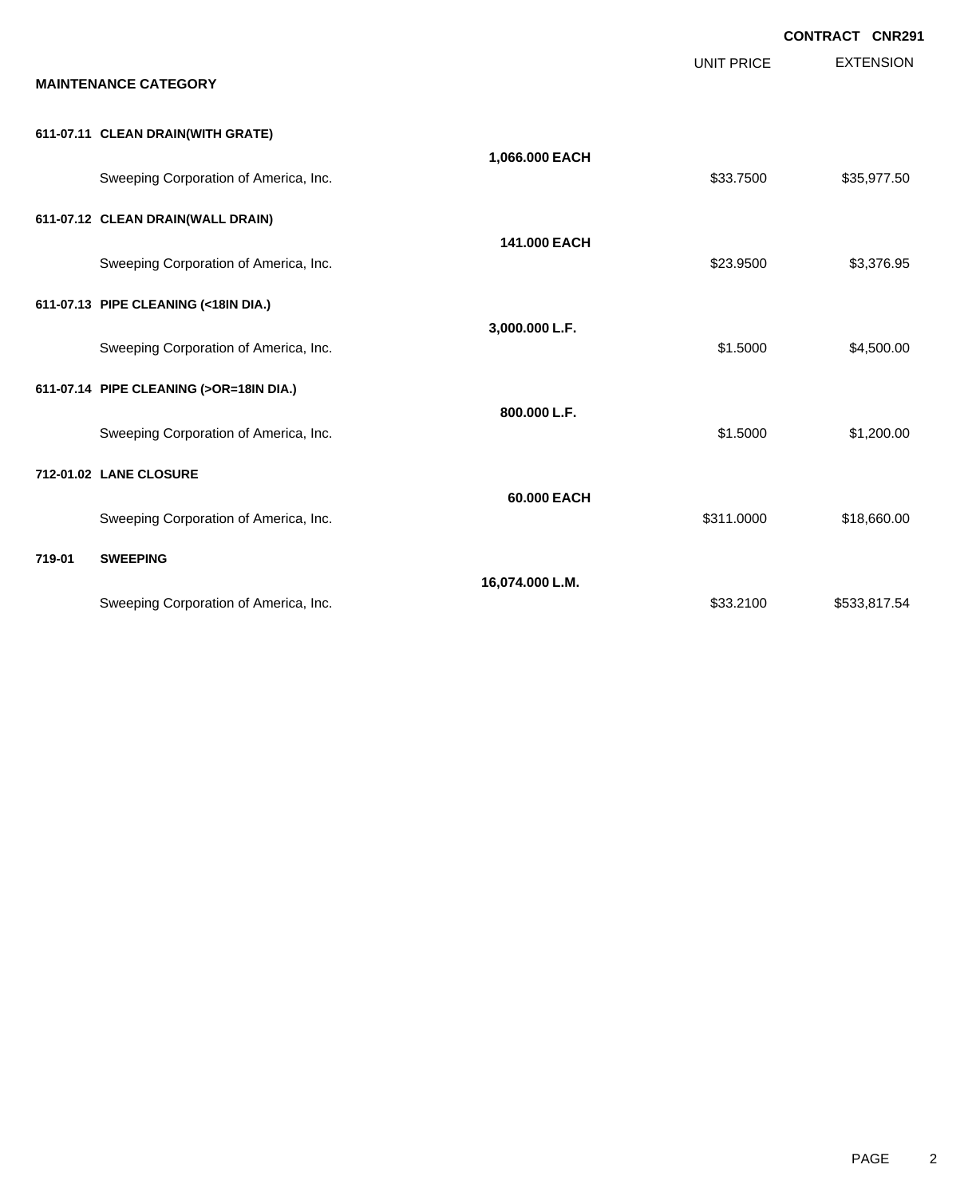|        |                                         |                 |                   | <b>CONTRACT CNR291</b> |
|--------|-----------------------------------------|-----------------|-------------------|------------------------|
|        | <b>MAINTENANCE CATEGORY</b>             |                 | <b>UNIT PRICE</b> | <b>EXTENSION</b>       |
|        | 611-07.11 CLEAN DRAIN(WITH GRATE)       |                 |                   |                        |
|        | Sweeping Corporation of America, Inc.   | 1,066.000 EACH  | \$33.7500         | \$35,977.50            |
|        | 611-07.12 CLEAN DRAIN(WALL DRAIN)       |                 |                   |                        |
|        | Sweeping Corporation of America, Inc.   | 141.000 EACH    | \$23.9500         | \$3,376.95             |
|        | 611-07.13 PIPE CLEANING (<18IN DIA.)    |                 |                   |                        |
|        | Sweeping Corporation of America, Inc.   | 3,000.000 L.F.  | \$1.5000          | \$4,500.00             |
|        | 611-07.14 PIPE CLEANING (>OR=18IN DIA.) |                 |                   |                        |
|        | Sweeping Corporation of America, Inc.   | 800.000 L.F.    | \$1.5000          | \$1,200.00             |
|        | 712-01.02 LANE CLOSURE                  |                 |                   |                        |
|        | Sweeping Corporation of America, Inc.   | 60.000 EACH     | \$311.0000        | \$18,660.00            |
| 719-01 | <b>SWEEPING</b>                         |                 |                   |                        |
|        | Sweeping Corporation of America, Inc.   | 16,074.000 L.M. | \$33,2100         | \$533,817.54           |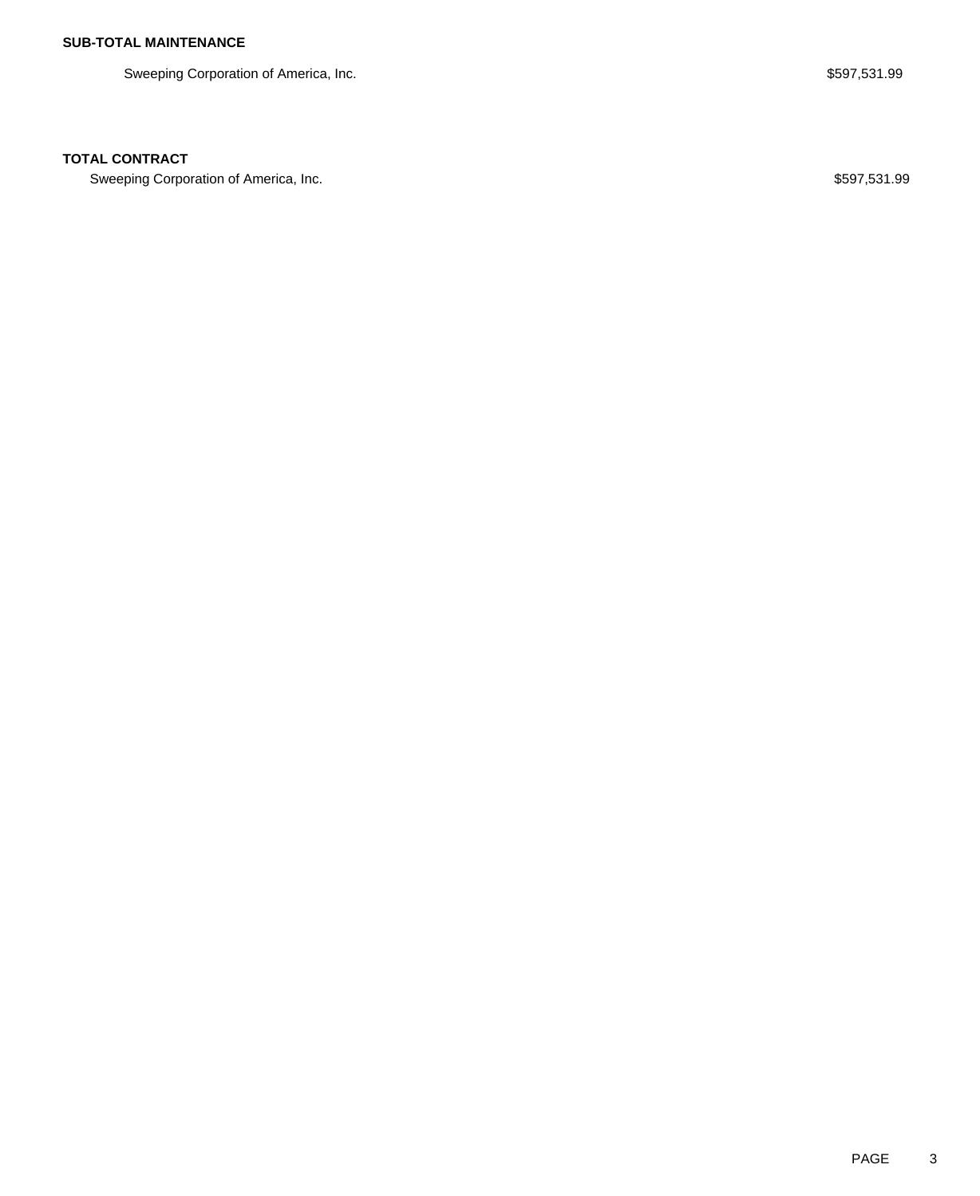Sweeping Corporation of America, Inc. **\$597,531.99** Sweeping Corporation of America, Inc.

### **TOTAL CONTRACT**

Sweeping Corporation of America, Inc. 6. The State of America, Inc. \$597,531.99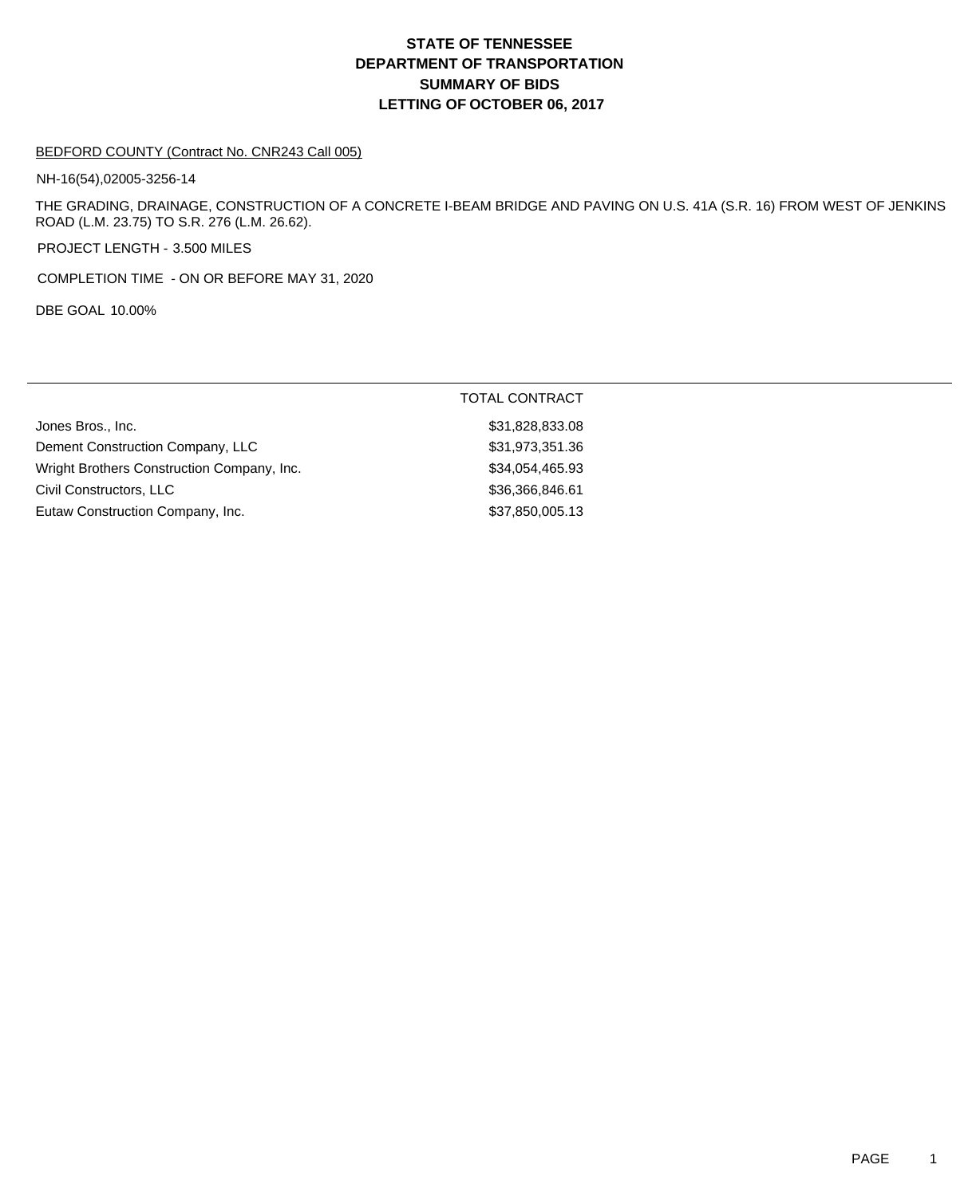#### BEDFORD COUNTY (Contract No. CNR243 Call 005)

NH-16(54),02005-3256-14

THE GRADING, DRAINAGE, CONSTRUCTION OF A CONCRETE I-BEAM BRIDGE AND PAVING ON U.S. 41A (S.R. 16) FROM WEST OF JENKINS ROAD (L.M. 23.75) TO S.R. 276 (L.M. 26.62).

PROJECT LENGTH - 3.500 MILES

COMPLETION TIME - ON OR BEFORE MAY 31, 2020

DBE GOAL 10.00%

|                                            | TOTAL CONTRACT  |
|--------------------------------------------|-----------------|
| Jones Bros., Inc.                          | \$31,828,833.08 |
| Dement Construction Company, LLC           | \$31,973,351.36 |
| Wright Brothers Construction Company, Inc. | \$34,054,465.93 |
| Civil Constructors, LLC                    | \$36,366,846.61 |
| Eutaw Construction Company, Inc.           | \$37,850,005.13 |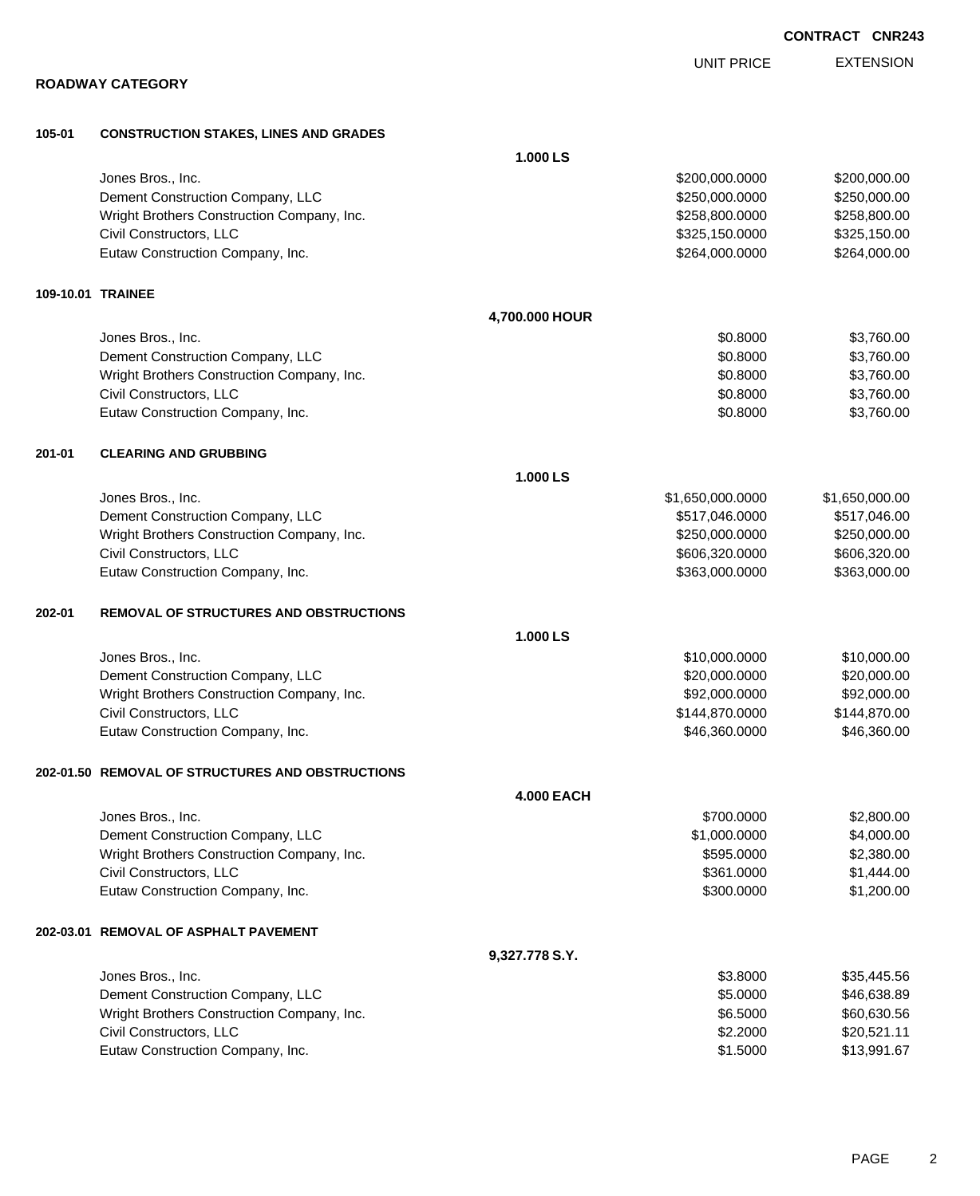|        | ו טטטוואט ואזישאטו                               |                   |                  |                |
|--------|--------------------------------------------------|-------------------|------------------|----------------|
| 105-01 | <b>CONSTRUCTION STAKES, LINES AND GRADES</b>     |                   |                  |                |
|        |                                                  | 1.000 LS          |                  |                |
|        | Jones Bros., Inc.                                |                   | \$200,000.0000   | \$200,000.00   |
|        | Dement Construction Company, LLC                 |                   | \$250,000.0000   | \$250,000.00   |
|        | Wright Brothers Construction Company, Inc.       |                   | \$258,800.0000   | \$258,800.00   |
|        | Civil Constructors, LLC                          |                   | \$325,150.0000   | \$325,150.00   |
|        | Eutaw Construction Company, Inc.                 |                   | \$264,000.0000   | \$264,000.00   |
|        | 109-10.01 TRAINEE                                |                   |                  |                |
|        |                                                  | 4,700.000 HOUR    |                  |                |
|        | Jones Bros., Inc.                                |                   | \$0.8000         | \$3,760.00     |
|        | Dement Construction Company, LLC                 |                   | \$0.8000         | \$3,760.00     |
|        | Wright Brothers Construction Company, Inc.       |                   | \$0.8000         | \$3,760.00     |
|        | Civil Constructors, LLC                          |                   | \$0.8000         | \$3,760.00     |
|        | Eutaw Construction Company, Inc.                 |                   | \$0.8000         | \$3,760.00     |
| 201-01 | <b>CLEARING AND GRUBBING</b>                     |                   |                  |                |
|        |                                                  | 1.000 LS          |                  |                |
|        | Jones Bros., Inc.                                |                   | \$1,650,000.0000 | \$1,650,000.00 |
|        | Dement Construction Company, LLC                 |                   | \$517,046.0000   | \$517,046.00   |
|        | Wright Brothers Construction Company, Inc.       |                   | \$250,000.0000   | \$250,000.00   |
|        | Civil Constructors, LLC                          |                   | \$606,320.0000   | \$606,320.00   |
|        | Eutaw Construction Company, Inc.                 |                   | \$363,000.0000   | \$363,000.00   |
| 202-01 | <b>REMOVAL OF STRUCTURES AND OBSTRUCTIONS</b>    |                   |                  |                |
|        |                                                  | 1.000 LS          |                  |                |
|        | Jones Bros., Inc.                                |                   | \$10,000.0000    | \$10,000.00    |
|        | Dement Construction Company, LLC                 |                   | \$20,000.0000    | \$20,000.00    |
|        | Wright Brothers Construction Company, Inc.       |                   | \$92,000.0000    | \$92,000.00    |
|        | Civil Constructors, LLC                          |                   | \$144,870.0000   | \$144,870.00   |
|        | Eutaw Construction Company, Inc.                 |                   | \$46,360.0000    | \$46,360.00    |
|        | 202-01.50 REMOVAL OF STRUCTURES AND OBSTRUCTIONS |                   |                  |                |
|        |                                                  | <b>4.000 EACH</b> |                  |                |
|        | Jones Bros., Inc.                                |                   | \$700.0000       | \$2,800.00     |
|        | Dement Construction Company, LLC                 |                   | \$1,000.0000     | \$4,000.00     |
|        | Wright Brothers Construction Company, Inc.       |                   | \$595.0000       | \$2,380.00     |
|        | Civil Constructors, LLC                          |                   | \$361.0000       | \$1,444.00     |
|        | Eutaw Construction Company, Inc.                 |                   | \$300.0000       | \$1,200.00     |
|        | 202-03.01 REMOVAL OF ASPHALT PAVEMENT            |                   |                  |                |
|        |                                                  | 9,327.778 S.Y.    |                  |                |
|        | Jones Bros., Inc.                                |                   | \$3.8000         | \$35,445.56    |
|        | Dement Construction Company, LLC                 |                   | \$5.0000         | \$46,638.89    |
|        | Wright Brothers Construction Company, Inc.       |                   | \$6.5000         | \$60,630.56    |
|        | Civil Constructors, LLC                          |                   | \$2.2000         | \$20,521.11    |

Eutaw Construction Company, Inc. 67 and the construction Company, Inc. 67

**CONTRACT CNR243**

EXTENSION UNIT PRICE

## **ROADWAY CATEGORY**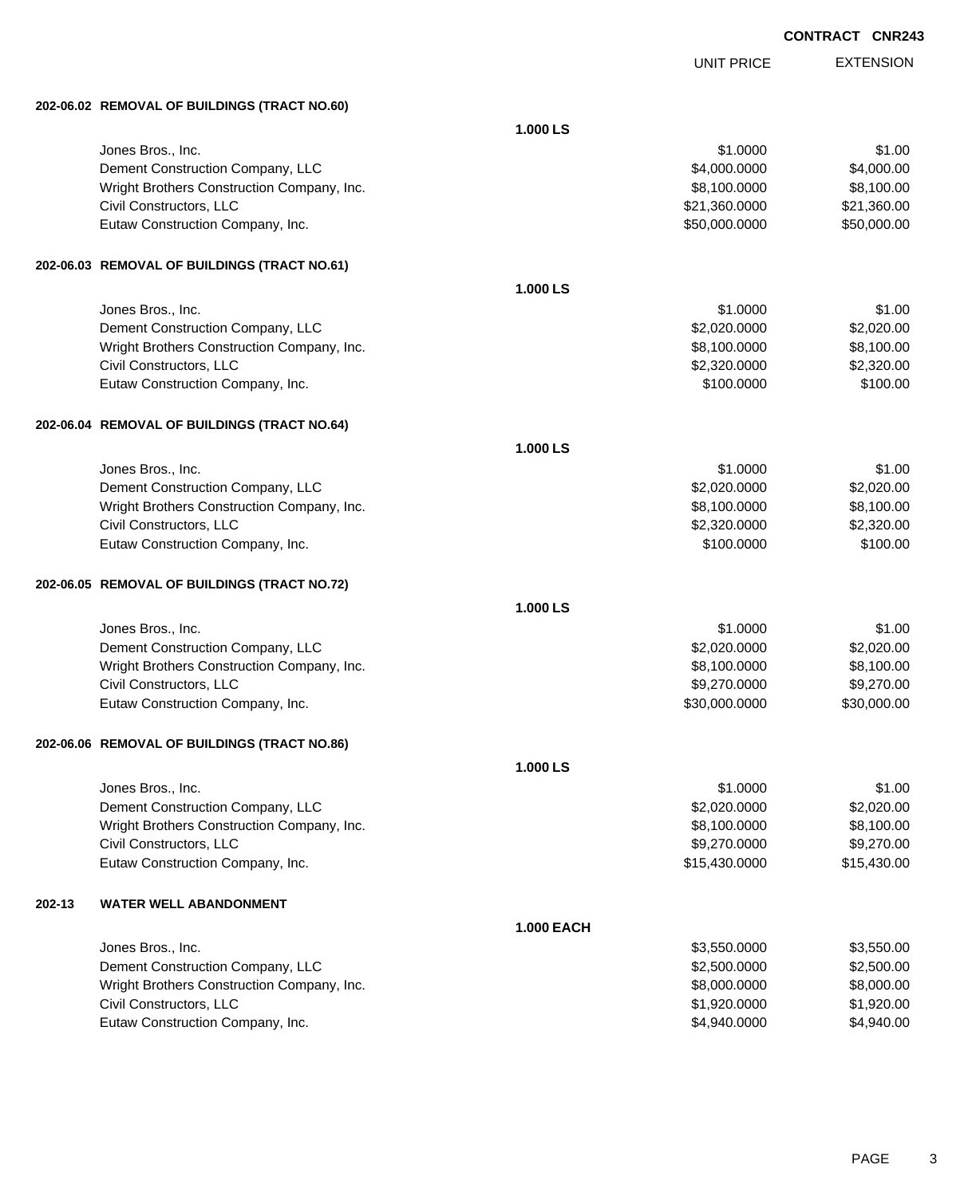UNIT PRICE EXTENSION

**202-06.02 REMOVAL OF BUILDINGS (TRACT NO.60)**

|        | 202-06.02 REMOVAL OF BUILDINGS (TRACT NO.60) |                   |               |             |
|--------|----------------------------------------------|-------------------|---------------|-------------|
|        |                                              | 1.000 LS          |               |             |
|        | Jones Bros., Inc.                            |                   | \$1.0000      | \$1.00      |
|        | Dement Construction Company, LLC             |                   | \$4,000.0000  | \$4,000.00  |
|        | Wright Brothers Construction Company, Inc.   |                   | \$8,100.0000  | \$8,100.00  |
|        | Civil Constructors, LLC                      |                   | \$21,360.0000 | \$21,360.00 |
|        | Eutaw Construction Company, Inc.             |                   | \$50,000.0000 | \$50,000.00 |
|        |                                              |                   |               |             |
|        | 202-06.03 REMOVAL OF BUILDINGS (TRACT NO.61) |                   |               |             |
|        |                                              | 1.000 LS          |               |             |
|        | Jones Bros., Inc.                            |                   | \$1.0000      | \$1.00      |
|        | Dement Construction Company, LLC             |                   | \$2,020.0000  | \$2,020.00  |
|        | Wright Brothers Construction Company, Inc.   |                   | \$8,100.0000  | \$8,100.00  |
|        | Civil Constructors, LLC                      |                   | \$2,320.0000  | \$2,320.00  |
|        | Eutaw Construction Company, Inc.             |                   | \$100.0000    | \$100.00    |
|        | 202-06.04 REMOVAL OF BUILDINGS (TRACT NO.64) |                   |               |             |
|        |                                              | 1.000 LS          |               |             |
|        | Jones Bros., Inc.                            |                   | \$1.0000      | \$1.00      |
|        | Dement Construction Company, LLC             |                   | \$2,020.0000  | \$2,020.00  |
|        | Wright Brothers Construction Company, Inc.   |                   | \$8,100.0000  | \$8,100.00  |
|        | Civil Constructors, LLC                      |                   | \$2,320.0000  | \$2,320.00  |
|        | Eutaw Construction Company, Inc.             |                   | \$100.0000    | \$100.00    |
|        | 202-06.05 REMOVAL OF BUILDINGS (TRACT NO.72) |                   |               |             |
|        |                                              | 1.000 LS          |               |             |
|        | Jones Bros., Inc.                            |                   | \$1.0000      | \$1.00      |
|        | Dement Construction Company, LLC             |                   | \$2,020.0000  | \$2,020.00  |
|        | Wright Brothers Construction Company, Inc.   |                   | \$8,100.0000  | \$8,100.00  |
|        | Civil Constructors, LLC                      |                   | \$9,270.0000  | \$9,270.00  |
|        | Eutaw Construction Company, Inc.             |                   | \$30,000.0000 | \$30,000.00 |
|        | 202-06.06 REMOVAL OF BUILDINGS (TRACT NO.86) |                   |               |             |
|        |                                              | 1.000 LS          |               |             |
|        | Jones Bros., Inc.                            |                   | \$1.0000      | \$1.00      |
|        | Dement Construction Company, LLC             |                   | \$2,020.0000  | \$2,020.00  |
|        | Wright Brothers Construction Company, Inc.   |                   | \$8,100.0000  | \$8,100.00  |
|        | Civil Constructors, LLC                      |                   | \$9,270.0000  | \$9,270.00  |
|        | Eutaw Construction Company, Inc.             |                   | \$15,430.0000 | \$15,430.00 |
| 202-13 | <b>WATER WELL ABANDONMENT</b>                |                   |               |             |
|        |                                              | <b>1.000 EACH</b> |               |             |
|        | Jones Bros., Inc.                            |                   | \$3,550.0000  | \$3,550.00  |
|        | Dement Construction Company, LLC             |                   | \$2,500.0000  | \$2,500.00  |
|        | Wright Brothers Construction Company, Inc.   |                   | \$8,000.0000  | \$8,000.00  |
|        | Civil Constructors, LLC                      |                   | \$1,920.0000  | \$1,920.00  |
|        | Eutaw Construction Company, Inc.             |                   | \$4,940.0000  | \$4,940.00  |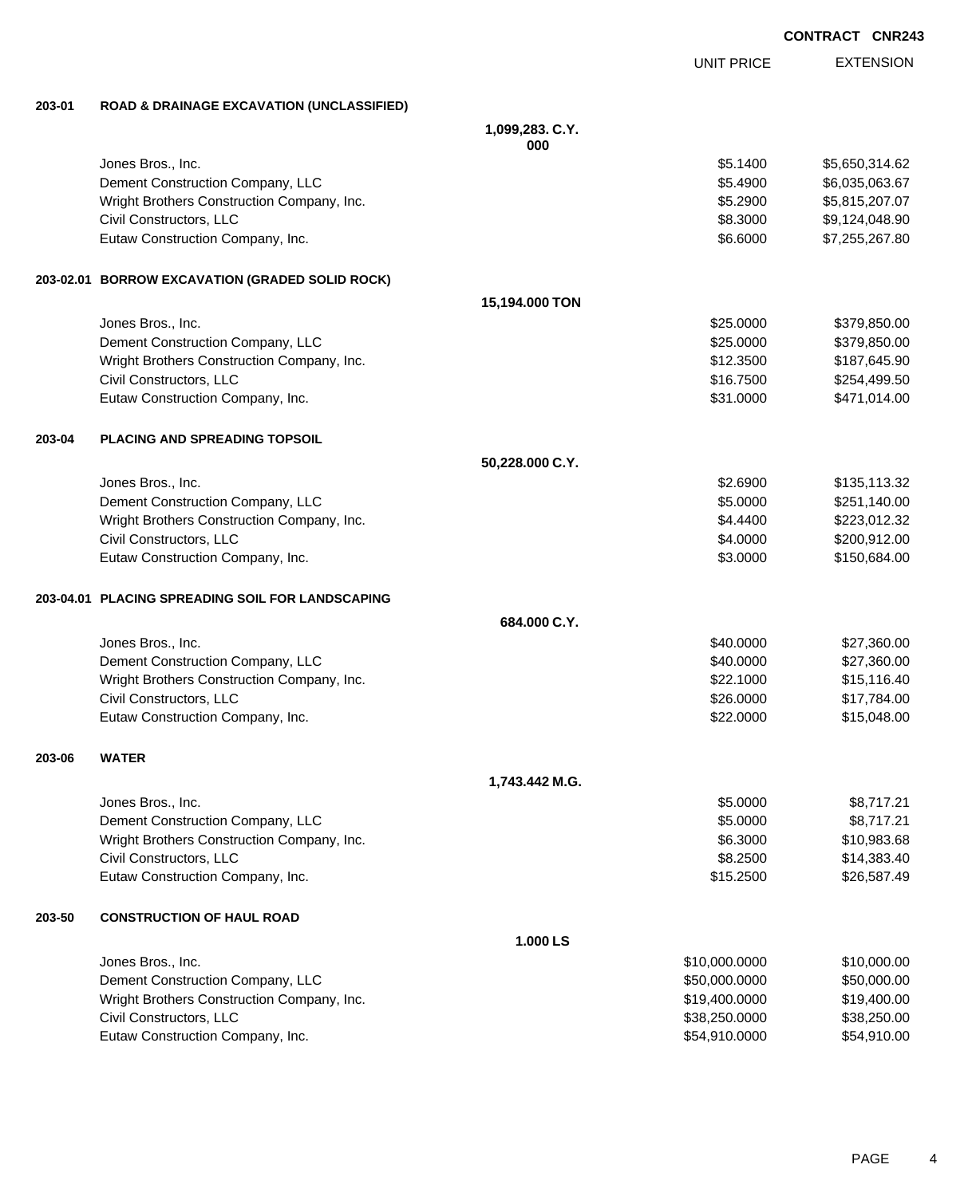|        |                                                      |                 | UNII FNIUL    | יוטוטי         |
|--------|------------------------------------------------------|-----------------|---------------|----------------|
| 203-01 | <b>ROAD &amp; DRAINAGE EXCAVATION (UNCLASSIFIED)</b> |                 |               |                |
|        |                                                      | 1,099,283. C.Y. |               |                |
|        |                                                      | 000             |               |                |
|        | Jones Bros., Inc.                                    |                 | \$5.1400      | \$5,650,314.62 |
|        | Dement Construction Company, LLC                     |                 | \$5.4900      | \$6,035,063.67 |
|        | Wright Brothers Construction Company, Inc.           |                 | \$5.2900      | \$5,815,207.07 |
|        | Civil Constructors, LLC                              |                 | \$8.3000      | \$9,124,048.90 |
|        | Eutaw Construction Company, Inc.                     |                 | \$6.6000      | \$7,255,267.80 |
|        | 203-02.01 BORROW EXCAVATION (GRADED SOLID ROCK)      |                 |               |                |
|        |                                                      | 15,194.000 TON  |               |                |
|        | Jones Bros., Inc.                                    |                 | \$25.0000     | \$379,850.00   |
|        | Dement Construction Company, LLC                     |                 | \$25.0000     | \$379,850.00   |
|        | Wright Brothers Construction Company, Inc.           |                 | \$12.3500     | \$187,645.90   |
|        | Civil Constructors, LLC                              |                 | \$16.7500     | \$254,499.50   |
|        | Eutaw Construction Company, Inc.                     |                 | \$31.0000     | \$471,014.00   |
| 203-04 | PLACING AND SPREADING TOPSOIL                        |                 |               |                |
|        |                                                      | 50,228.000 C.Y. |               |                |
|        | Jones Bros., Inc.                                    |                 | \$2.6900      | \$135,113.32   |
|        | Dement Construction Company, LLC                     |                 | \$5.0000      | \$251,140.00   |
|        | Wright Brothers Construction Company, Inc.           |                 | \$4.4400      | \$223,012.32   |
|        | Civil Constructors, LLC                              |                 | \$4.0000      | \$200,912.00   |
|        | Eutaw Construction Company, Inc.                     |                 | \$3.0000      | \$150,684.00   |
|        | 203-04.01 PLACING SPREADING SOIL FOR LANDSCAPING     |                 |               |                |
|        |                                                      | 684.000 C.Y.    |               |                |
|        | Jones Bros., Inc.                                    |                 | \$40.0000     | \$27,360.00    |
|        | Dement Construction Company, LLC                     |                 | \$40.0000     | \$27,360.00    |
|        | Wright Brothers Construction Company, Inc.           |                 | \$22.1000     | \$15,116.40    |
|        | Civil Constructors, LLC                              |                 | \$26.0000     | \$17,784.00    |
|        | Eutaw Construction Company, Inc.                     |                 | \$22.0000     | \$15,048.00    |
| 203-06 | <b>WATER</b>                                         |                 |               |                |
|        |                                                      | 1,743.442 M.G.  |               |                |
|        | Jones Bros., Inc.                                    |                 | \$5.0000      | \$8,717.21     |
|        | Dement Construction Company, LLC                     |                 | \$5.0000      | \$8,717.21     |
|        | Wright Brothers Construction Company, Inc.           |                 | \$6.3000      | \$10,983.68    |
|        | Civil Constructors, LLC                              |                 | \$8.2500      | \$14,383.40    |
|        | Eutaw Construction Company, Inc.                     |                 | \$15.2500     | \$26,587.49    |
| 203-50 | <b>CONSTRUCTION OF HAUL ROAD</b>                     |                 |               |                |
|        |                                                      | 1.000 LS        |               |                |
|        | Jones Bros., Inc.                                    |                 | \$10,000.0000 | \$10,000.00    |
|        | Dement Construction Company, LLC                     |                 | \$50,000.0000 | \$50,000.00    |
|        | Wright Brothers Construction Company, Inc.           |                 | \$19,400.0000 | \$19,400.00    |
|        | Civil Constructors, LLC                              |                 | \$38,250.0000 | \$38,250.00    |

Eutaw Construction Company, Inc. 6. The Construction Company, Inc. 6. The Construction Company, Inc.

EXTENSION UNIT PRICE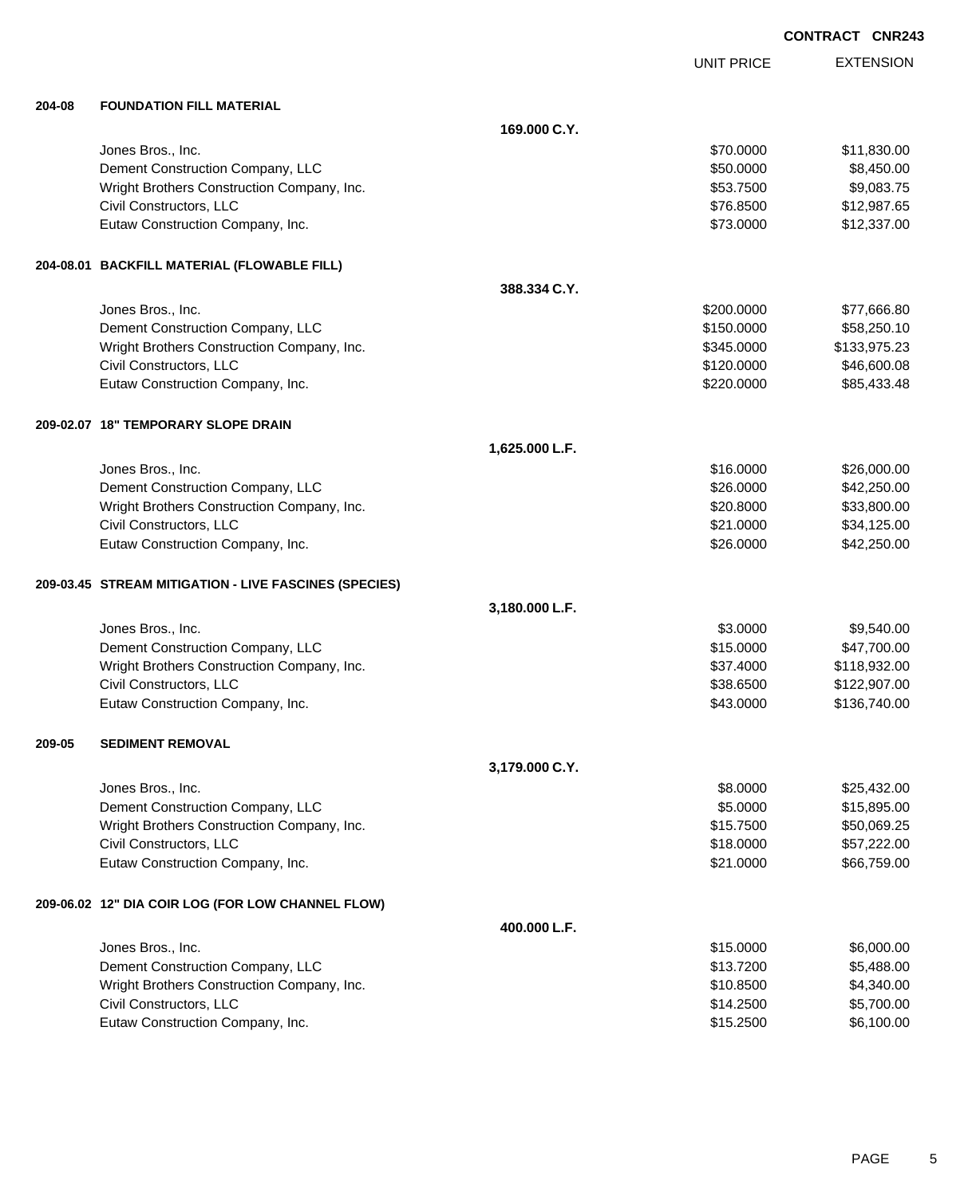|  |  |  | CONTRACT CNR243 |
|--|--|--|-----------------|
|--|--|--|-----------------|

|        |                                                       |                |                   | UUNIKAUI UNKZ43  |
|--------|-------------------------------------------------------|----------------|-------------------|------------------|
|        |                                                       |                | <b>UNIT PRICE</b> | <b>EXTENSION</b> |
| 204-08 | <b>FOUNDATION FILL MATERIAL</b>                       |                |                   |                  |
|        |                                                       | 169,000 C.Y.   |                   |                  |
|        | Jones Bros., Inc.                                     |                | \$70.0000         | \$11,830.00      |
|        | Dement Construction Company, LLC                      |                | \$50.0000         | \$8,450.00       |
|        | Wright Brothers Construction Company, Inc.            |                | \$53.7500         | \$9,083.75       |
|        | Civil Constructors, LLC                               |                | \$76.8500         | \$12,987.65      |
|        | Eutaw Construction Company, Inc.                      |                | \$73.0000         | \$12,337.00      |
|        | 204-08.01 BACKFILL MATERIAL (FLOWABLE FILL)           |                |                   |                  |
|        |                                                       | 388.334 C.Y.   |                   |                  |
|        | Jones Bros., Inc.                                     |                | \$200.0000        | \$77,666.80      |
|        | Dement Construction Company, LLC                      |                | \$150.0000        | \$58,250.10      |
|        | Wright Brothers Construction Company, Inc.            |                | \$345.0000        | \$133,975.23     |
|        | Civil Constructors, LLC                               |                | \$120.0000        | \$46,600.08      |
|        | Eutaw Construction Company, Inc.                      |                | \$220.0000        | \$85,433.48      |
|        | 209-02.07 18" TEMPORARY SLOPE DRAIN                   |                |                   |                  |
|        |                                                       | 1,625.000 L.F. |                   |                  |
|        | Jones Bros., Inc.                                     |                | \$16.0000         | \$26,000.00      |
|        | Dement Construction Company, LLC                      |                | \$26.0000         | \$42,250.00      |
|        | Wright Brothers Construction Company, Inc.            |                | \$20.8000         | \$33,800.00      |
|        | Civil Constructors, LLC                               |                | \$21.0000         | \$34,125.00      |
|        | Eutaw Construction Company, Inc.                      |                | \$26.0000         | \$42,250.00      |
|        | 209-03.45 STREAM MITIGATION - LIVE FASCINES (SPECIES) |                |                   |                  |
|        |                                                       | 3,180.000 L.F. |                   |                  |
|        | Jones Bros., Inc.                                     |                | \$3.0000          | \$9,540.00       |
|        | Dement Construction Company, LLC                      |                | \$15.0000         | \$47,700.00      |
|        | Wright Brothers Construction Company, Inc.            |                | \$37.4000         | \$118,932.00     |
|        | Civil Constructors, LLC                               |                | \$38.6500         | \$122,907.00     |
|        | Eutaw Construction Company, Inc.                      |                | \$43.0000         | \$136,740.00     |
| 209-05 | <b>SEDIMENT REMOVAL</b>                               |                |                   |                  |
|        |                                                       | 3,179.000 C.Y. |                   |                  |
|        | Jones Bros., Inc.                                     |                | \$8.0000          | \$25,432.00      |
|        | Dement Construction Company, LLC                      |                | \$5.0000          | \$15,895.00      |
|        | Wright Brothers Construction Company, Inc.            |                | \$15.7500         | \$50,069.25      |
|        | Civil Constructors, LLC                               |                | \$18.0000         | \$57,222.00      |
|        | Eutaw Construction Company, Inc.                      |                | \$21.0000         | \$66,759.00      |
|        | 209-06.02 12" DIA COIR LOG (FOR LOW CHANNEL FLOW)     |                |                   |                  |
|        |                                                       | 400.000 L.F.   |                   |                  |
|        | Jones Bros., Inc.                                     |                | \$15.0000         | \$6,000.00       |
|        | Dement Construction Company, LLC                      |                | \$13.7200         | \$5,488.00       |
|        | Wright Brothers Construction Company, Inc.            |                | \$10.8500         | \$4,340.00       |
|        | Civil Constructors, LLC                               |                | \$14.2500         | \$5,700.00       |
|        | Eutaw Construction Company, Inc.                      |                | \$15.2500         | \$6,100.00       |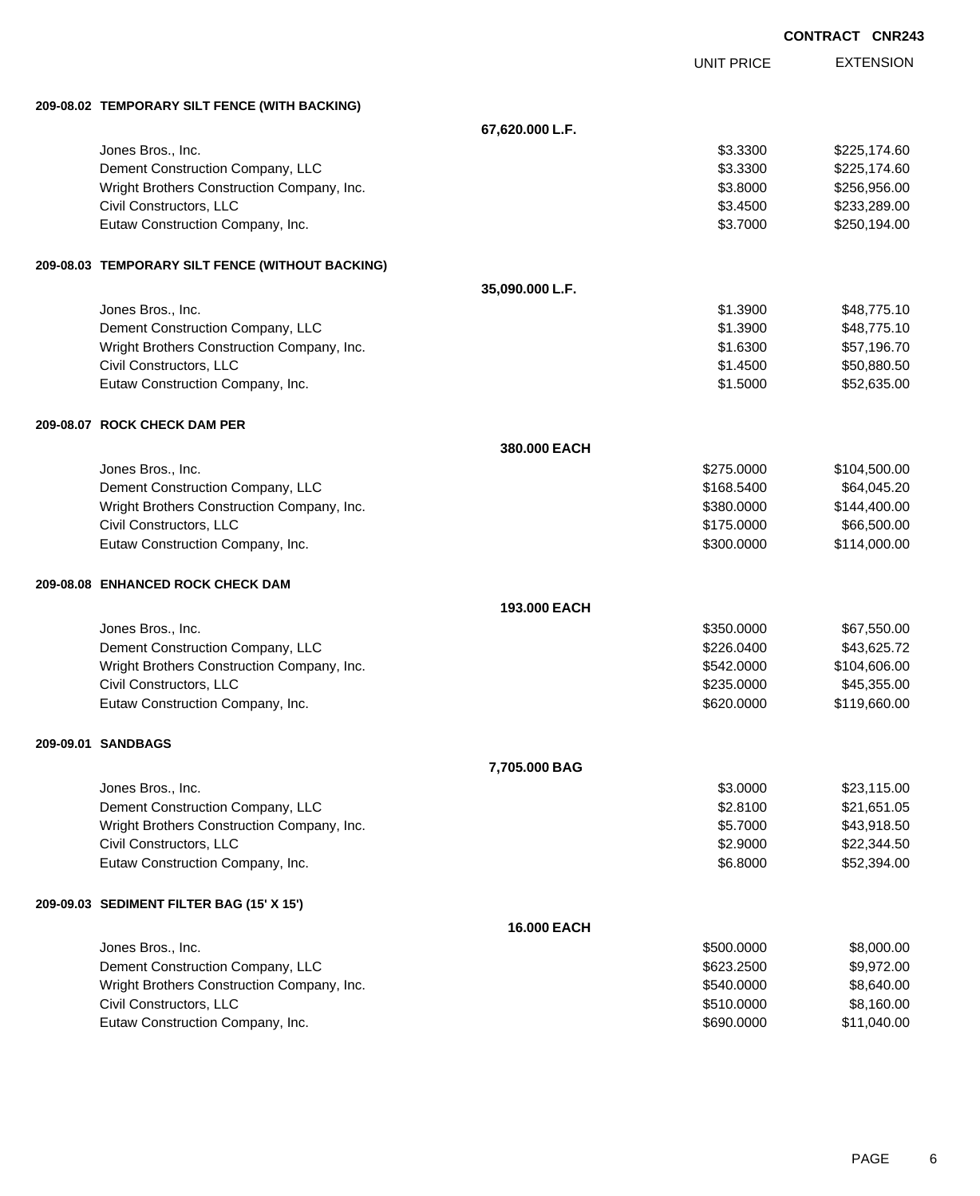|                                                  |                    |                   | <b>CONTRACT CNR243</b> |                  |
|--------------------------------------------------|--------------------|-------------------|------------------------|------------------|
|                                                  |                    | <b>UNIT PRICE</b> |                        | <b>EXTENSION</b> |
| 209-08.02 TEMPORARY SILT FENCE (WITH BACKING)    |                    |                   |                        |                  |
|                                                  | 67,620.000 L.F.    |                   |                        |                  |
| Jones Bros., Inc.                                |                    | \$3.3300          |                        | \$225,174.60     |
| Dement Construction Company, LLC                 |                    | \$3.3300          |                        | \$225,174.60     |
| Wright Brothers Construction Company, Inc.       |                    | \$3.8000          |                        | \$256,956.00     |
| Civil Constructors, LLC                          |                    | \$3.4500          |                        | \$233,289.00     |
| Eutaw Construction Company, Inc.                 |                    | \$3.7000          |                        | \$250,194.00     |
| 209-08.03 TEMPORARY SILT FENCE (WITHOUT BACKING) |                    |                   |                        |                  |
|                                                  | 35,090.000 L.F.    |                   |                        |                  |
| Jones Bros., Inc.                                |                    | \$1.3900          |                        | \$48,775.10      |
| Dement Construction Company, LLC                 |                    | \$1.3900          |                        | \$48,775.10      |
| Wright Brothers Construction Company, Inc.       |                    | \$1.6300          |                        | \$57,196.70      |
| Civil Constructors, LLC                          |                    | \$1.4500          |                        | \$50,880.50      |
| Eutaw Construction Company, Inc.                 |                    | \$1.5000          |                        | \$52,635.00      |
| 209-08.07 ROCK CHECK DAM PER                     |                    |                   |                        |                  |
|                                                  | 380.000 EACH       |                   |                        |                  |
| Jones Bros., Inc.                                |                    | \$275.0000        |                        | \$104,500.00     |
| Dement Construction Company, LLC                 |                    | \$168.5400        |                        | \$64,045.20      |
| Wright Brothers Construction Company, Inc.       |                    | \$380.0000        |                        | \$144,400.00     |
| Civil Constructors, LLC                          |                    | \$175.0000        |                        | \$66,500.00      |
| Eutaw Construction Company, Inc.                 |                    | \$300.0000        |                        | \$114,000.00     |
| 209-08.08 ENHANCED ROCK CHECK DAM                |                    |                   |                        |                  |
|                                                  | 193.000 EACH       |                   |                        |                  |
| Jones Bros., Inc.                                |                    | \$350.0000        |                        | \$67,550.00      |
| Dement Construction Company, LLC                 |                    | \$226.0400        |                        | \$43,625.72      |
| Wright Brothers Construction Company, Inc.       |                    | \$542.0000        |                        | \$104,606.00     |
| Civil Constructors, LLC                          |                    | \$235.0000        |                        | \$45,355.00      |
| Eutaw Construction Company, Inc.                 |                    | \$620.0000        |                        | \$119,660.00     |
| 209-09.01 SANDBAGS                               |                    |                   |                        |                  |
|                                                  | 7,705.000 BAG      |                   |                        |                  |
| Jones Bros., Inc.                                |                    | \$3.0000          |                        | \$23,115.00      |
| Dement Construction Company, LLC                 |                    | \$2.8100          |                        | \$21,651.05      |
| Wright Brothers Construction Company, Inc.       |                    | \$5.7000          |                        | \$43,918.50      |
| Civil Constructors, LLC                          |                    | \$2.9000          |                        | \$22,344.50      |
| Eutaw Construction Company, Inc.                 |                    | \$6.8000          |                        | \$52,394.00      |
| 209-09.03 SEDIMENT FILTER BAG (15' X 15')        |                    |                   |                        |                  |
|                                                  | <b>16.000 EACH</b> |                   |                        |                  |
| Jones Bros., Inc.                                |                    | \$500.0000        |                        | \$8,000.00       |
| Dement Construction Company, LLC                 |                    | \$623.2500        |                        | \$9,972.00       |
| Wright Brothers Construction Company, Inc.       |                    | \$540.0000        |                        | \$8,640.00       |
| Civil Constructors, LLC                          |                    | \$510.0000        |                        | \$8,160.00       |
| Eutaw Construction Company, Inc.                 |                    | \$690.0000        |                        | \$11,040.00      |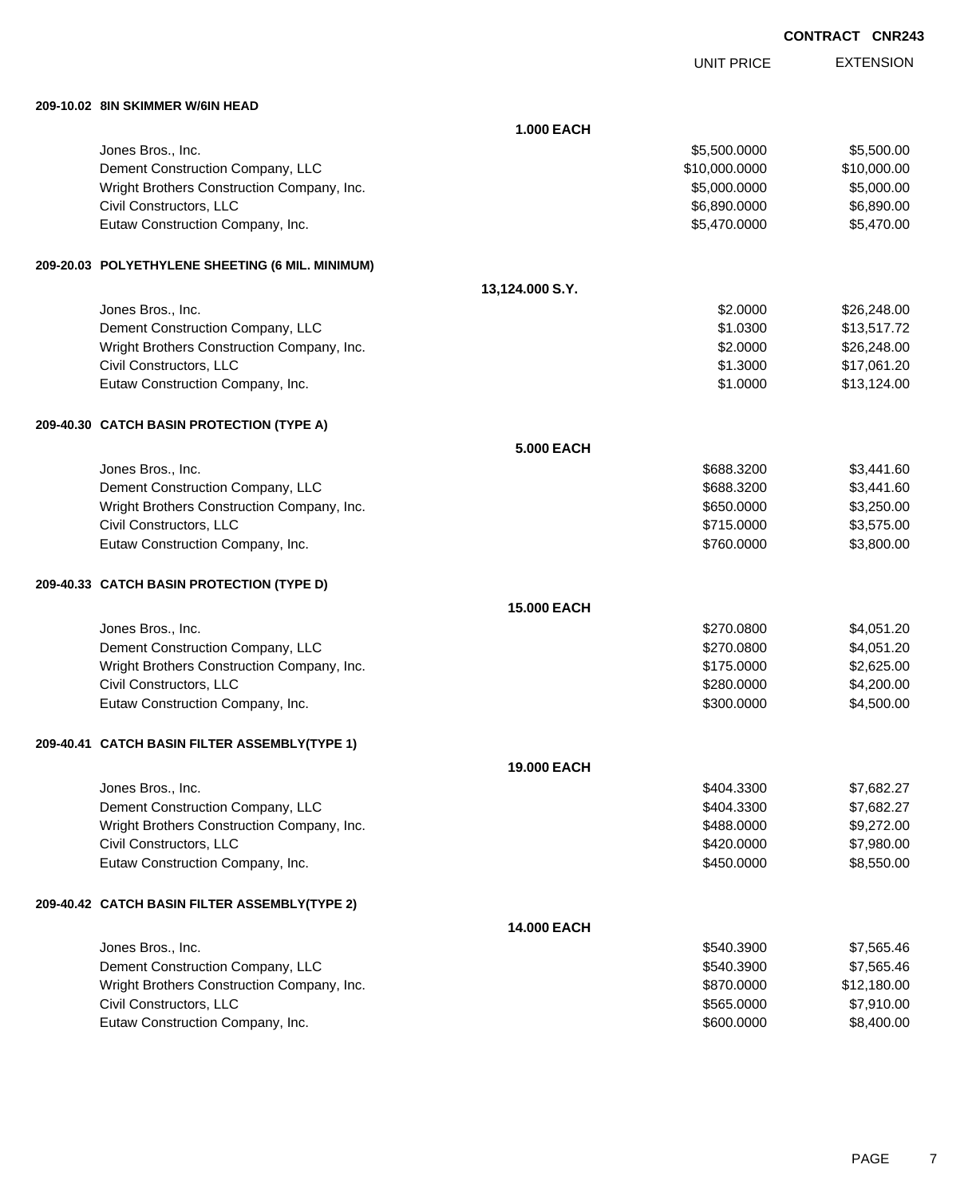| <b>CONTRACT CNR243</b> |  |
|------------------------|--|
|------------------------|--|

UNIT PRICE

EXTENSION

**209-10.02 8IN SKIMMER W/6IN HEAD**

| 209-10.02  8IN SKIMMER W/6IN HEAD                |                    |               |             |
|--------------------------------------------------|--------------------|---------------|-------------|
|                                                  | <b>1.000 EACH</b>  |               |             |
| Jones Bros., Inc.                                |                    | \$5,500.0000  | \$5,500.00  |
| Dement Construction Company, LLC                 |                    | \$10,000.0000 | \$10,000.00 |
| Wright Brothers Construction Company, Inc.       |                    | \$5,000.0000  | \$5,000.00  |
| Civil Constructors, LLC                          |                    | \$6,890.0000  | \$6,890.00  |
| Eutaw Construction Company, Inc.                 |                    | \$5,470.0000  | \$5,470.00  |
|                                                  |                    |               |             |
| 209-20.03 POLYETHYLENE SHEETING (6 MIL. MINIMUM) |                    |               |             |
|                                                  | 13,124.000 S.Y.    |               |             |
| Jones Bros., Inc.                                |                    | \$2.0000      | \$26,248.00 |
| Dement Construction Company, LLC                 |                    | \$1.0300      | \$13,517.72 |
| Wright Brothers Construction Company, Inc.       |                    | \$2.0000      | \$26,248.00 |
| Civil Constructors, LLC                          |                    | \$1.3000      | \$17,061.20 |
| Eutaw Construction Company, Inc.                 |                    | \$1.0000      | \$13,124.00 |
| 209-40.30 CATCH BASIN PROTECTION (TYPE A)        |                    |               |             |
|                                                  | <b>5.000 EACH</b>  |               |             |
| Jones Bros., Inc.                                |                    | \$688.3200    | \$3,441.60  |
| Dement Construction Company, LLC                 |                    | \$688.3200    | \$3,441.60  |
| Wright Brothers Construction Company, Inc.       |                    | \$650.0000    | \$3,250.00  |
| Civil Constructors, LLC                          |                    | \$715.0000    | \$3,575.00  |
| Eutaw Construction Company, Inc.                 |                    | \$760.0000    | \$3,800.00  |
| 209-40.33 CATCH BASIN PROTECTION (TYPE D)        |                    |               |             |
|                                                  | <b>15,000 EACH</b> |               |             |
| Jones Bros., Inc.                                |                    | \$270.0800    | \$4,051.20  |
| Dement Construction Company, LLC                 |                    | \$270.0800    | \$4,051.20  |
| Wright Brothers Construction Company, Inc.       |                    | \$175.0000    | \$2,625.00  |
| Civil Constructors, LLC                          |                    | \$280.0000    | \$4,200.00  |
| Eutaw Construction Company, Inc.                 |                    | \$300.0000    | \$4,500.00  |
| 209-40.41 CATCH BASIN FILTER ASSEMBLY(TYPE 1)    |                    |               |             |
|                                                  | 19.000 EACH        |               |             |
| Jones Bros., Inc.                                |                    | \$404.3300    | \$7,682.27  |
| Dement Construction Company, LLC                 |                    | \$404.3300    | \$7,682.27  |
| Wright Brothers Construction Company, Inc.       |                    | \$488.0000    | \$9,272.00  |
| Civil Constructors, LLC                          |                    | \$420.0000    | \$7,980.00  |
| Eutaw Construction Company, Inc.                 |                    | \$450.0000    | \$8,550.00  |
| 209-40.42 CATCH BASIN FILTER ASSEMBLY(TYPE 2)    |                    |               |             |
|                                                  | 14.000 EACH        |               |             |
| Jones Bros., Inc.                                |                    | \$540.3900    | \$7,565.46  |
| Dement Construction Company, LLC                 |                    | \$540.3900    | \$7,565.46  |
| Wright Brothers Construction Company, Inc.       |                    | \$870.0000    | \$12,180.00 |
| Civil Constructors, LLC                          |                    | \$565.0000    | \$7,910.00  |
| Eutaw Construction Company, Inc.                 |                    | \$600.0000    | \$8,400.00  |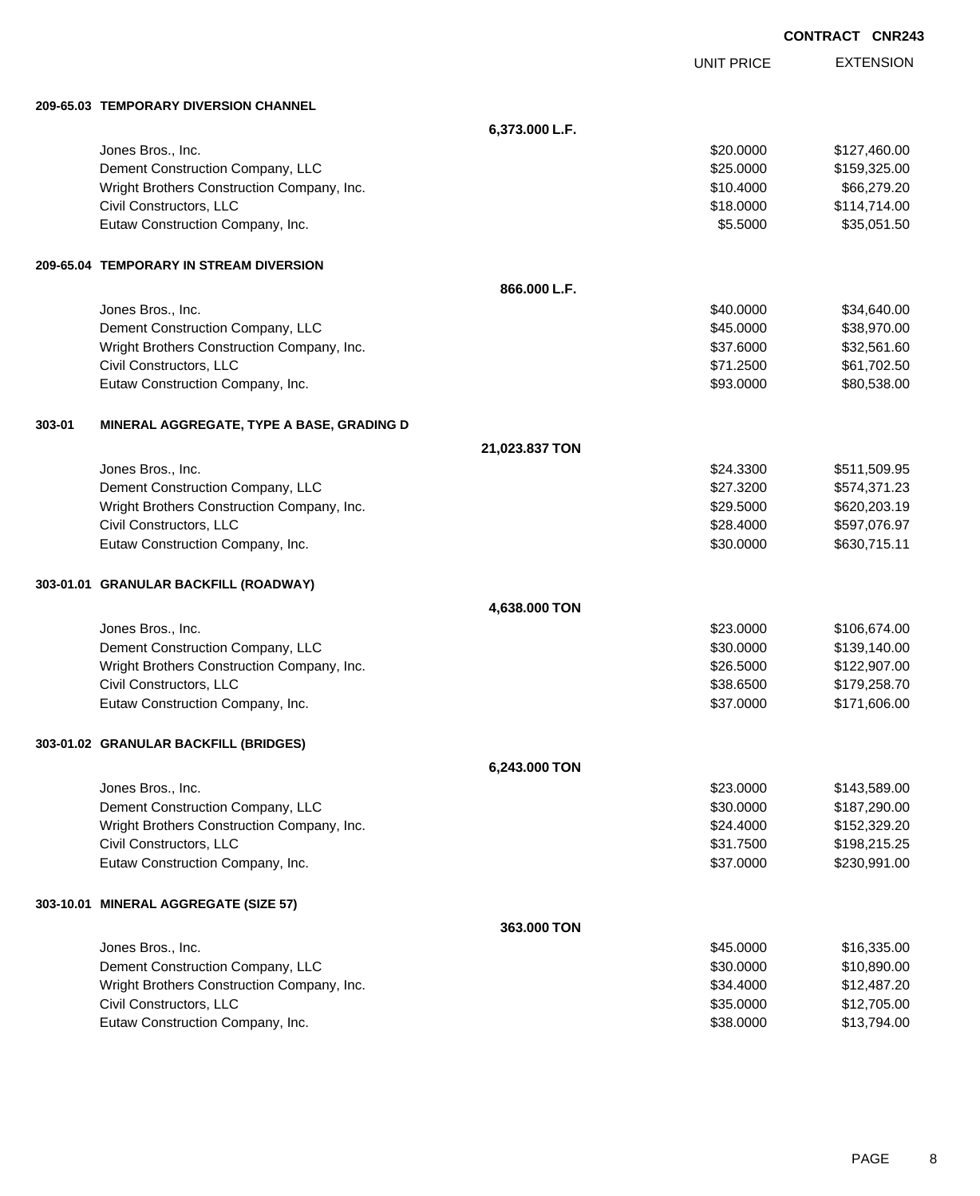|        |                                            |                |                   | <b>CONTRACT CNR243</b> |                  |
|--------|--------------------------------------------|----------------|-------------------|------------------------|------------------|
|        |                                            |                | <b>UNIT PRICE</b> |                        | <b>EXTENSION</b> |
|        | 209-65.03 TEMPORARY DIVERSION CHANNEL      |                |                   |                        |                  |
|        |                                            | 6,373.000 L.F. |                   |                        |                  |
|        | Jones Bros., Inc.                          |                | \$20.0000         |                        | \$127,460.00     |
|        | Dement Construction Company, LLC           |                | \$25.0000         |                        | \$159,325.00     |
|        | Wright Brothers Construction Company, Inc. |                | \$10.4000         |                        | \$66,279.20      |
|        | Civil Constructors, LLC                    |                | \$18.0000         |                        | \$114,714.00     |
|        | Eutaw Construction Company, Inc.           |                | \$5.5000          |                        | \$35,051.50      |
|        | 209-65.04 TEMPORARY IN STREAM DIVERSION    |                |                   |                        |                  |
|        |                                            | 866.000 L.F.   |                   |                        |                  |
|        | Jones Bros., Inc.                          |                | \$40.0000         |                        | \$34,640.00      |
|        | Dement Construction Company, LLC           |                | \$45.0000         |                        | \$38,970.00      |
|        | Wright Brothers Construction Company, Inc. |                | \$37.6000         |                        | \$32,561.60      |
|        | Civil Constructors, LLC                    |                | \$71.2500         |                        | \$61,702.50      |
|        | Eutaw Construction Company, Inc.           |                | \$93.0000         |                        | \$80,538.00      |
| 303-01 | MINERAL AGGREGATE, TYPE A BASE, GRADING D  |                |                   |                        |                  |
|        |                                            | 21,023.837 TON |                   |                        |                  |
|        | Jones Bros., Inc.                          |                | \$24.3300         |                        | \$511,509.95     |
|        | Dement Construction Company, LLC           |                | \$27.3200         |                        | \$574,371.23     |
|        | Wright Brothers Construction Company, Inc. |                | \$29.5000         |                        | \$620,203.19     |
|        | Civil Constructors, LLC                    |                | \$28.4000         |                        | \$597,076.97     |
|        | Eutaw Construction Company, Inc.           |                | \$30.0000         |                        | \$630,715.11     |
|        | 303-01.01 GRANULAR BACKFILL (ROADWAY)      |                |                   |                        |                  |
|        |                                            | 4,638.000 TON  |                   |                        |                  |
|        | Jones Bros., Inc.                          |                | \$23.0000         |                        | \$106,674.00     |
|        | Dement Construction Company, LLC           |                | \$30.0000         |                        | \$139,140.00     |
|        | Wright Brothers Construction Company, Inc. |                | \$26.5000         |                        | \$122,907.00     |
|        | Civil Constructors, LLC                    |                | \$38.6500         |                        | \$179,258.70     |
|        | Eutaw Construction Company, Inc.           |                | \$37.0000         |                        | \$171,606.00     |
|        | 303-01.02 GRANULAR BACKFILL (BRIDGES)      |                |                   |                        |                  |
|        |                                            | 6,243.000 TON  |                   |                        |                  |
|        | Jones Bros., Inc.                          |                | \$23.0000         |                        | \$143,589.00     |
|        | Dement Construction Company, LLC           |                | \$30.0000         |                        | \$187,290.00     |
|        | Wright Brothers Construction Company, Inc. |                | \$24.4000         |                        | \$152,329.20     |
|        | Civil Constructors, LLC                    |                | \$31.7500         |                        | \$198,215.25     |
|        | Eutaw Construction Company, Inc.           |                | \$37.0000         |                        | \$230,991.00     |
|        | 303-10.01 MINERAL AGGREGATE (SIZE 57)      |                |                   |                        |                  |
|        |                                            | 363.000 TON    |                   |                        |                  |
|        | Jones Bros., Inc.                          |                | \$45.0000         |                        | \$16,335.00      |
|        | Dement Construction Company, LLC           |                | \$30.0000         |                        | \$10,890.00      |
|        | Wright Brothers Construction Company, Inc. |                | \$34.4000         |                        | \$12,487.20      |
|        | Civil Constructors, LLC                    |                | \$35.0000         |                        | \$12,705.00      |
|        | Eutaw Construction Company, Inc.           |                | \$38.0000         |                        | \$13,794.00      |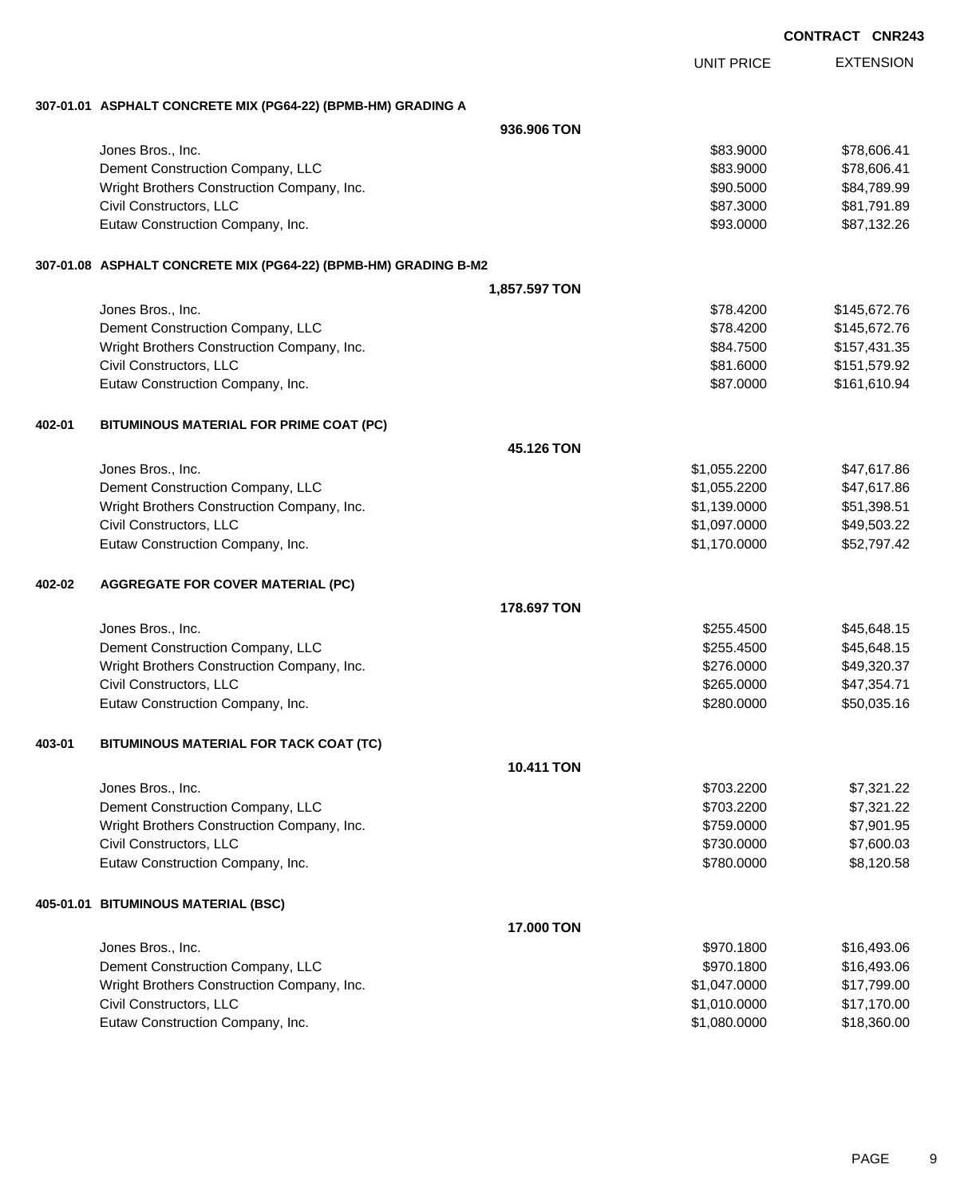| CONTRACT CNR243 |  |
|-----------------|--|
|-----------------|--|

EXTENSION UNIT PRICE

#### **307-01.01 ASPHALT CONCRETE MIX (PG64-22) (BPMB-HM) GRADING A**

|        |                                                                 | 936.906 TON       |                          |                          |
|--------|-----------------------------------------------------------------|-------------------|--------------------------|--------------------------|
|        | Jones Bros., Inc.                                               |                   | \$83.9000                | \$78,606.41              |
|        | Dement Construction Company, LLC                                |                   | \$83.9000                | \$78,606.41              |
|        | Wright Brothers Construction Company, Inc.                      |                   | \$90.5000                | \$84,789.99              |
|        | Civil Constructors, LLC                                         |                   | \$87.3000                | \$81,791.89              |
|        | Eutaw Construction Company, Inc.                                |                   | \$93.0000                | \$87,132.26              |
|        | 307-01.08 ASPHALT CONCRETE MIX (PG64-22) (BPMB-HM) GRADING B-M2 |                   |                          |                          |
|        |                                                                 | 1,857.597 TON     |                          |                          |
|        | Jones Bros., Inc.                                               |                   | \$78.4200                | \$145,672.76             |
|        | Dement Construction Company, LLC                                |                   | \$78.4200                | \$145,672.76             |
|        | Wright Brothers Construction Company, Inc.                      |                   | \$84.7500                | \$157,431.35             |
|        | Civil Constructors, LLC                                         |                   | \$81.6000                | \$151,579.92             |
|        | Eutaw Construction Company, Inc.                                |                   | \$87.0000                | \$161,610.94             |
| 402-01 | BITUMINOUS MATERIAL FOR PRIME COAT (PC)                         |                   |                          |                          |
|        |                                                                 | 45.126 TON        |                          |                          |
|        | Jones Bros., Inc.                                               |                   | \$1,055.2200             | \$47,617.86              |
|        | Dement Construction Company, LLC                                |                   | \$1,055.2200             | \$47,617.86              |
|        | Wright Brothers Construction Company, Inc.                      |                   | \$1,139.0000             | \$51,398.51              |
|        | Civil Constructors, LLC                                         |                   | \$1,097.0000             | \$49,503.22              |
|        | Eutaw Construction Company, Inc.                                |                   | \$1,170.0000             | \$52,797.42              |
| 402-02 | <b>AGGREGATE FOR COVER MATERIAL (PC)</b>                        |                   |                          |                          |
|        |                                                                 | 178,697 TON       |                          |                          |
|        | Jones Bros., Inc.                                               |                   | \$255.4500               | \$45,648.15              |
|        | Dement Construction Company, LLC                                |                   | \$255.4500               | \$45,648.15              |
|        | Wright Brothers Construction Company, Inc.                      |                   | \$276.0000               | \$49,320.37              |
|        | Civil Constructors, LLC                                         |                   | \$265.0000               | \$47,354.71              |
|        | Eutaw Construction Company, Inc.                                |                   | \$280.0000               | \$50,035.16              |
| 403-01 | BITUMINOUS MATERIAL FOR TACK COAT (TC)                          |                   |                          |                          |
|        |                                                                 | <b>10.411 TON</b> |                          |                          |
|        | Jones Bros., Inc.                                               |                   | \$703.2200               | \$7,321.22               |
|        | Dement Construction Company, LLC                                |                   | \$703.2200               | \$7,321.22               |
|        | Wright Brothers Construction Company, Inc.                      |                   | \$759.0000               | \$7,901.95               |
|        | Civil Constructors, LLC<br>Eutaw Construction Company, Inc.     |                   | \$730.0000<br>\$780.0000 | \$7,600.03<br>\$8,120.58 |
|        |                                                                 |                   |                          |                          |
|        | 405-01.01 BITUMINOUS MATERIAL (BSC)                             | 17.000 TON        |                          |                          |
|        | Jones Bros., Inc.                                               |                   | \$970.1800               | \$16,493.06              |
|        | Dement Construction Company, LLC                                |                   | \$970.1800               | \$16,493.06              |
|        | Wright Brothers Construction Company, Inc.                      |                   | \$1,047.0000             | \$17,799.00              |
|        | Civil Constructors, LLC                                         |                   | \$1,010.0000             | \$17,170.00              |
|        | Eutaw Construction Company, Inc.                                |                   | \$1,080.0000             | \$18,360.00              |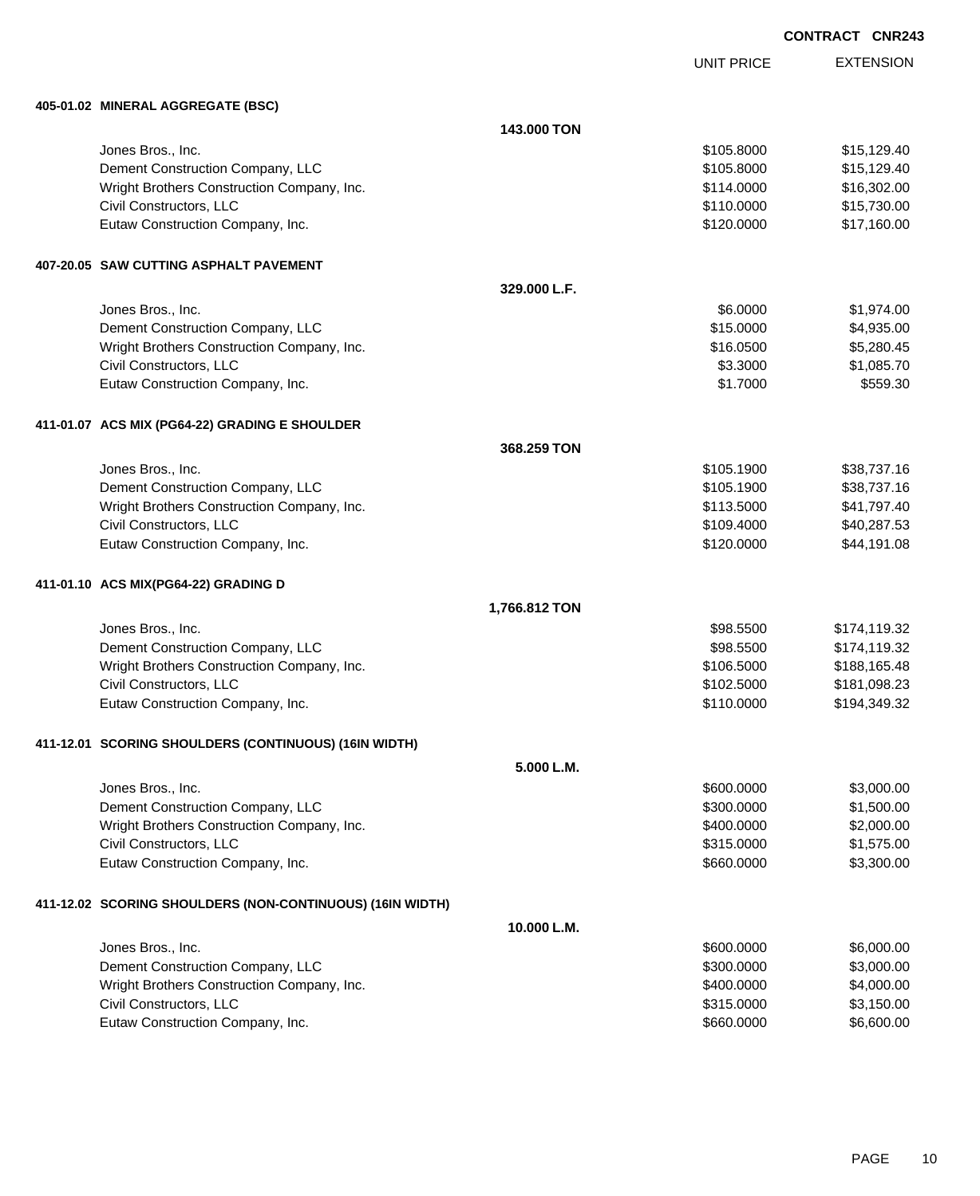EXTENSION **CONTRACT CNR243**

UNIT PRICE

| 405-01.02 MINERAL AGGREGATE (BSC)                         |               |            |              |
|-----------------------------------------------------------|---------------|------------|--------------|
|                                                           | 143.000 TON   |            |              |
| Jones Bros., Inc.                                         |               | \$105.8000 | \$15,129.40  |
| Dement Construction Company, LLC                          |               | \$105.8000 | \$15,129.40  |
| Wright Brothers Construction Company, Inc.                |               | \$114.0000 | \$16,302.00  |
| Civil Constructors, LLC                                   |               | \$110.0000 | \$15,730.00  |
| Eutaw Construction Company, Inc.                          |               | \$120.0000 | \$17,160.00  |
| 407-20.05 SAW CUTTING ASPHALT PAVEMENT                    |               |            |              |
|                                                           | 329.000 L.F.  |            |              |
| Jones Bros., Inc.                                         |               | \$6.0000   | \$1,974.00   |
| Dement Construction Company, LLC                          |               | \$15.0000  | \$4,935.00   |
| Wright Brothers Construction Company, Inc.                |               | \$16.0500  | \$5,280.45   |
| Civil Constructors, LLC                                   |               | \$3.3000   | \$1,085.70   |
| Eutaw Construction Company, Inc.                          |               | \$1.7000   | \$559.30     |
| 411-01.07 ACS MIX (PG64-22) GRADING E SHOULDER            |               |            |              |
|                                                           | 368.259 TON   |            |              |
| Jones Bros., Inc.                                         |               | \$105.1900 | \$38,737.16  |
| Dement Construction Company, LLC                          |               | \$105.1900 | \$38,737.16  |
| Wright Brothers Construction Company, Inc.                |               | \$113.5000 | \$41,797.40  |
| Civil Constructors, LLC                                   |               | \$109.4000 | \$40,287.53  |
| Eutaw Construction Company, Inc.                          |               | \$120.0000 | \$44,191.08  |
| 411-01.10 ACS MIX(PG64-22) GRADING D                      |               |            |              |
|                                                           | 1,766.812 TON |            |              |
| Jones Bros., Inc.                                         |               | \$98.5500  | \$174,119.32 |
| Dement Construction Company, LLC                          |               | \$98.5500  | \$174,119.32 |
| Wright Brothers Construction Company, Inc.                |               | \$106.5000 | \$188,165.48 |
| Civil Constructors, LLC                                   |               | \$102.5000 | \$181,098.23 |
| Eutaw Construction Company, Inc.                          |               | \$110.0000 | \$194,349.32 |
| 411-12.01 SCORING SHOULDERS (CONTINUOUS) (16IN WIDTH)     |               |            |              |
|                                                           | 5.000 L.M.    |            |              |
| Jones Bros., Inc.                                         |               | \$600.0000 | \$3,000.00   |
| Dement Construction Company, LLC                          |               | \$300.0000 | \$1,500.00   |
| Wright Brothers Construction Company, Inc.                |               | \$400.0000 | \$2,000.00   |
| Civil Constructors, LLC                                   |               | \$315.0000 | \$1,575.00   |
| Eutaw Construction Company, Inc.                          |               | \$660.0000 | \$3,300.00   |
| 411-12.02 SCORING SHOULDERS (NON-CONTINUOUS) (16IN WIDTH) |               |            |              |
|                                                           | 10.000 L.M.   |            |              |
| Jones Bros., Inc.                                         |               | \$600.0000 | \$6,000.00   |
| Dement Construction Company, LLC                          |               | \$300.0000 | \$3,000.00   |
| Wright Brothers Construction Company, Inc.                |               | \$400.0000 | \$4,000.00   |
| Civil Constructors, LLC                                   |               | \$315.0000 | \$3,150.00   |
| Eutaw Construction Company, Inc.                          |               | \$660.0000 | \$6,600.00   |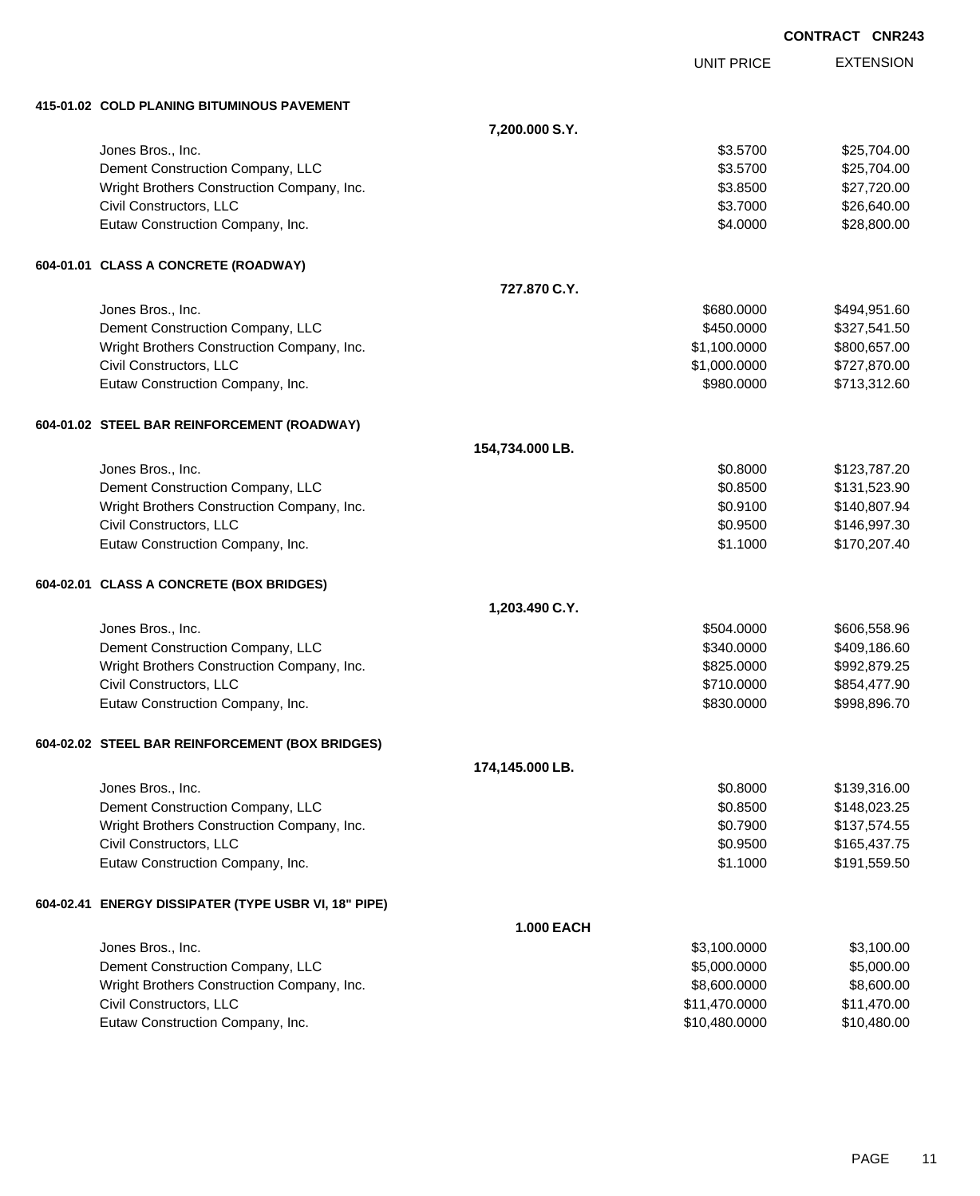|                                                             |                   |                              | <b>CONTRACT CNR243</b> |                              |
|-------------------------------------------------------------|-------------------|------------------------------|------------------------|------------------------------|
|                                                             |                   | <b>UNIT PRICE</b>            |                        | <b>EXTENSION</b>             |
| 415-01.02 COLD PLANING BITUMINOUS PAVEMENT                  |                   |                              |                        |                              |
|                                                             | 7,200.000 S.Y.    |                              |                        |                              |
| Jones Bros., Inc.                                           |                   | \$3.5700                     |                        | \$25,704.00                  |
| Dement Construction Company, LLC                            |                   | \$3.5700                     |                        | \$25,704.00                  |
| Wright Brothers Construction Company, Inc.                  |                   | \$3.8500                     |                        | \$27,720.00                  |
| Civil Constructors, LLC                                     |                   | \$3.7000                     |                        | \$26,640.00                  |
| Eutaw Construction Company, Inc.                            |                   | \$4.0000                     |                        | \$28,800.00                  |
| 604-01.01 CLASS A CONCRETE (ROADWAY)                        |                   |                              |                        |                              |
|                                                             | 727.870 C.Y.      |                              |                        |                              |
| Jones Bros., Inc.                                           |                   | \$680.0000                   |                        | \$494,951.60                 |
| Dement Construction Company, LLC                            |                   | \$450.0000                   |                        | \$327,541.50                 |
| Wright Brothers Construction Company, Inc.                  |                   | \$1,100.0000                 |                        | \$800,657.00                 |
| Civil Constructors, LLC                                     |                   | \$1,000.0000                 |                        | \$727,870.00                 |
| Eutaw Construction Company, Inc.                            |                   | \$980.0000                   |                        | \$713,312.60                 |
| 604-01.02 STEEL BAR REINFORCEMENT (ROADWAY)                 |                   |                              |                        |                              |
|                                                             | 154,734.000 LB.   |                              |                        |                              |
| Jones Bros., Inc.                                           |                   | \$0.8000                     |                        | \$123,787.20                 |
| Dement Construction Company, LLC                            |                   | \$0.8500                     |                        | \$131,523.90                 |
| Wright Brothers Construction Company, Inc.                  |                   | \$0.9100                     |                        | \$140,807.94                 |
| Civil Constructors, LLC                                     |                   | \$0.9500                     |                        | \$146,997.30                 |
| Eutaw Construction Company, Inc.                            |                   | \$1.1000                     |                        | \$170,207.40                 |
| 604-02.01 CLASS A CONCRETE (BOX BRIDGES)                    |                   |                              |                        |                              |
|                                                             | 1,203.490 C.Y.    |                              |                        |                              |
| Jones Bros., Inc.                                           |                   | \$504.0000                   |                        | \$606,558.96                 |
| Dement Construction Company, LLC                            |                   | \$340.0000                   |                        | \$409,186.60                 |
| Wright Brothers Construction Company, Inc.                  |                   | \$825.0000                   |                        | \$992,879.25                 |
| Civil Constructors, LLC                                     |                   | \$710.0000                   |                        | \$854,477.90                 |
| Eutaw Construction Company, Inc.                            |                   | \$830.0000                   |                        | \$998,896.70                 |
| 604-02.02 STEEL BAR REINFORCEMENT (BOX BRIDGES)             |                   |                              |                        |                              |
|                                                             | 174,145.000 LB.   |                              |                        |                              |
| Jones Bros., Inc.                                           |                   | \$0.8000                     |                        | \$139,316.00                 |
| Dement Construction Company, LLC                            |                   | \$0.8500                     |                        | \$148,023.25                 |
| Wright Brothers Construction Company, Inc.                  |                   | \$0.7900                     |                        | \$137,574.55                 |
| Civil Constructors, LLC<br>Eutaw Construction Company, Inc. |                   | \$0.9500<br>\$1.1000         |                        | \$165,437.75<br>\$191,559.50 |
|                                                             |                   |                              |                        |                              |
| 604-02.41 ENERGY DISSIPATER (TYPE USBR VI, 18" PIPE)        |                   |                              |                        |                              |
|                                                             | <b>1.000 EACH</b> |                              |                        | \$3,100.00                   |
| Jones Bros., Inc.<br>Dement Construction Company, LLC       |                   | \$3,100.0000<br>\$5,000.0000 |                        | \$5,000.00                   |
| Wright Brothers Construction Company, Inc.                  |                   | \$8,600.0000                 |                        | \$8,600.00                   |
| Civil Constructors, LLC                                     |                   | \$11,470.0000                |                        | \$11,470.00                  |
| Eutaw Construction Company, Inc.                            |                   | \$10,480.0000                |                        | \$10,480.00                  |
|                                                             |                   |                              |                        |                              |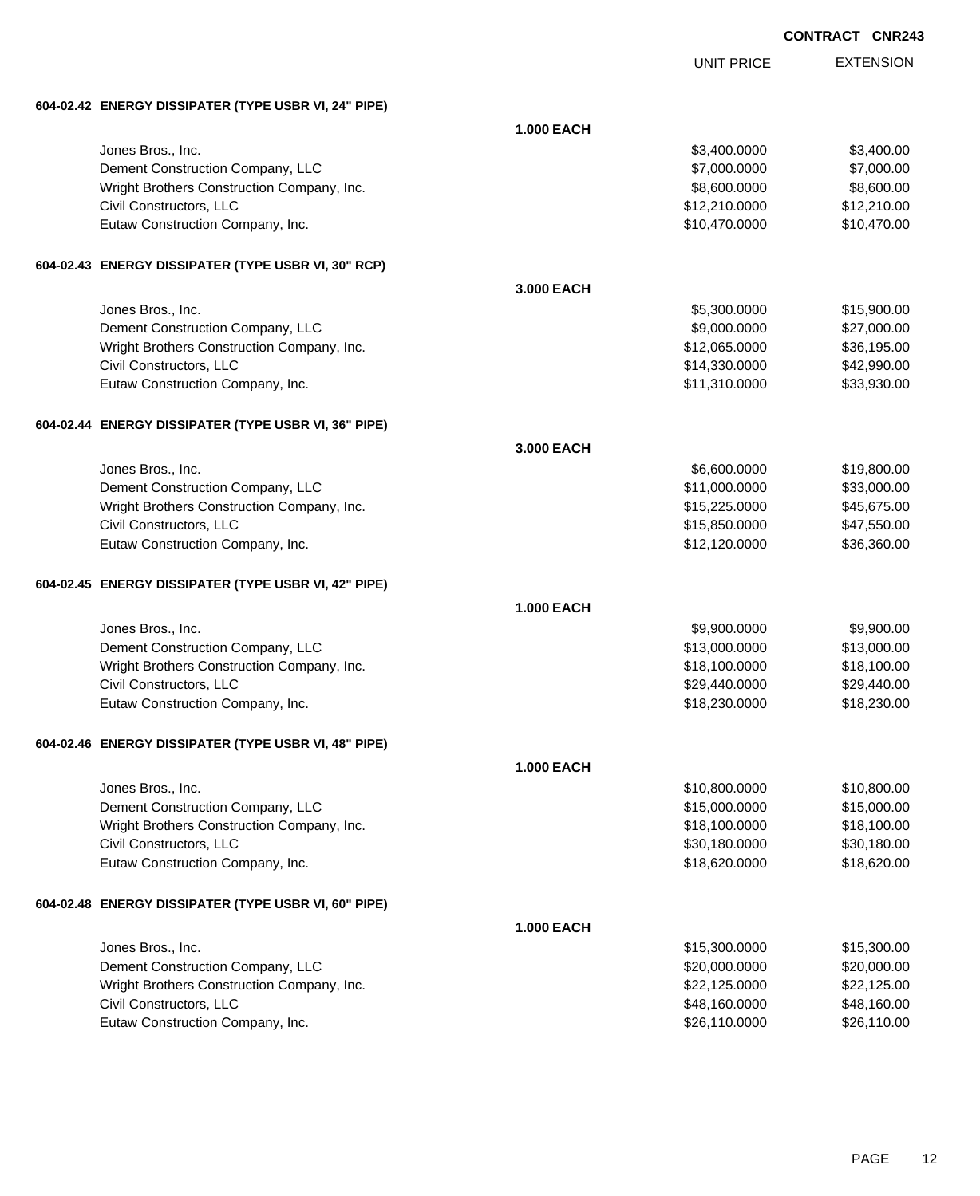|                                                      |                   | UNIT PRICE    | <b>EXTENSION</b> |
|------------------------------------------------------|-------------------|---------------|------------------|
| 604-02.42 ENERGY DISSIPATER (TYPE USBR VI, 24" PIPE) |                   |               |                  |
|                                                      | <b>1.000 EACH</b> |               |                  |
| Jones Bros., Inc.                                    |                   | \$3,400.0000  | \$3,400.00       |
| Dement Construction Company, LLC                     |                   | \$7,000.0000  | \$7,000.00       |
| Wright Brothers Construction Company, Inc.           |                   | \$8,600.0000  | \$8,600.00       |
| Civil Constructors, LLC                              |                   | \$12,210.0000 | \$12,210.00      |
| Eutaw Construction Company, Inc.                     |                   | \$10,470.0000 | \$10,470.00      |
| 604-02.43 ENERGY DISSIPATER (TYPE USBR VI, 30" RCP)  |                   |               |                  |
|                                                      | 3.000 EACH        |               |                  |
| Jones Bros., Inc.                                    |                   | \$5,300.0000  | \$15,900.00      |
| Dement Construction Company, LLC                     |                   | \$9,000.0000  | \$27,000.00      |
| Wright Brothers Construction Company, Inc.           |                   | \$12,065.0000 | \$36,195.00      |
| Civil Constructors, LLC                              |                   | \$14,330.0000 | \$42,990.00      |
| Eutaw Construction Company, Inc.                     |                   | \$11,310.0000 | \$33,930.00      |
| 604-02.44 ENERGY DISSIPATER (TYPE USBR VI, 36" PIPE) |                   |               |                  |
|                                                      | 3.000 EACH        |               |                  |
| Jones Bros., Inc.                                    |                   | \$6,600.0000  | \$19,800.00      |
| Dement Construction Company, LLC                     |                   | \$11,000.0000 | \$33,000.00      |
| Wright Brothers Construction Company, Inc.           |                   | \$15,225.0000 | \$45,675.00      |
| Civil Constructors, LLC                              |                   | \$15,850.0000 | \$47,550.00      |
| Eutaw Construction Company, Inc.                     |                   | \$12,120.0000 | \$36,360.00      |
| 604-02.45 ENERGY DISSIPATER (TYPE USBR VI, 42" PIPE) |                   |               |                  |
|                                                      | <b>1.000 EACH</b> |               |                  |
| Jones Bros., Inc.                                    |                   | \$9,900.0000  | \$9,900.00       |
| Dement Construction Company, LLC                     |                   | \$13,000.0000 | \$13,000.00      |
| Wright Brothers Construction Company, Inc.           |                   | \$18,100.0000 | \$18,100.00      |
| Civil Constructors, LLC                              |                   | \$29,440.0000 | \$29,440.00      |
| Eutaw Construction Company, Inc.                     |                   | \$18,230.0000 | \$18,230.00      |
| 604-02.46 ENERGY DISSIPATER (TYPE USBR VI, 48" PIPE) |                   |               |                  |
|                                                      | <b>1.000 EACH</b> |               |                  |
| Jones Bros., Inc.                                    |                   | \$10,800.0000 | \$10,800.00      |
| Dement Construction Company, LLC                     |                   | \$15,000.0000 | \$15,000.00      |
| Wright Brothers Construction Company, Inc.           |                   | \$18,100.0000 | \$18,100.00      |
| Civil Constructors, LLC                              |                   | \$30,180.0000 | \$30,180.00      |
| Eutaw Construction Company, Inc.                     |                   | \$18,620.0000 | \$18,620.00      |
| 604-02.48 ENERGY DISSIPATER (TYPE USBR VI, 60" PIPE) |                   |               |                  |
|                                                      | <b>1.000 EACH</b> |               |                  |
| Jones Bros., Inc.                                    |                   | \$15,300.0000 | \$15,300.00      |
| Dement Construction Company, LLC                     |                   | \$20,000.0000 | \$20,000.00      |
| Wright Brothers Construction Company, Inc.           |                   | \$22,125.0000 | \$22,125.00      |
| Civil Constructors, LLC                              |                   | \$48,160.0000 | \$48,160.00      |
| Eutaw Construction Company, Inc.                     |                   | \$26,110.0000 | \$26,110.00      |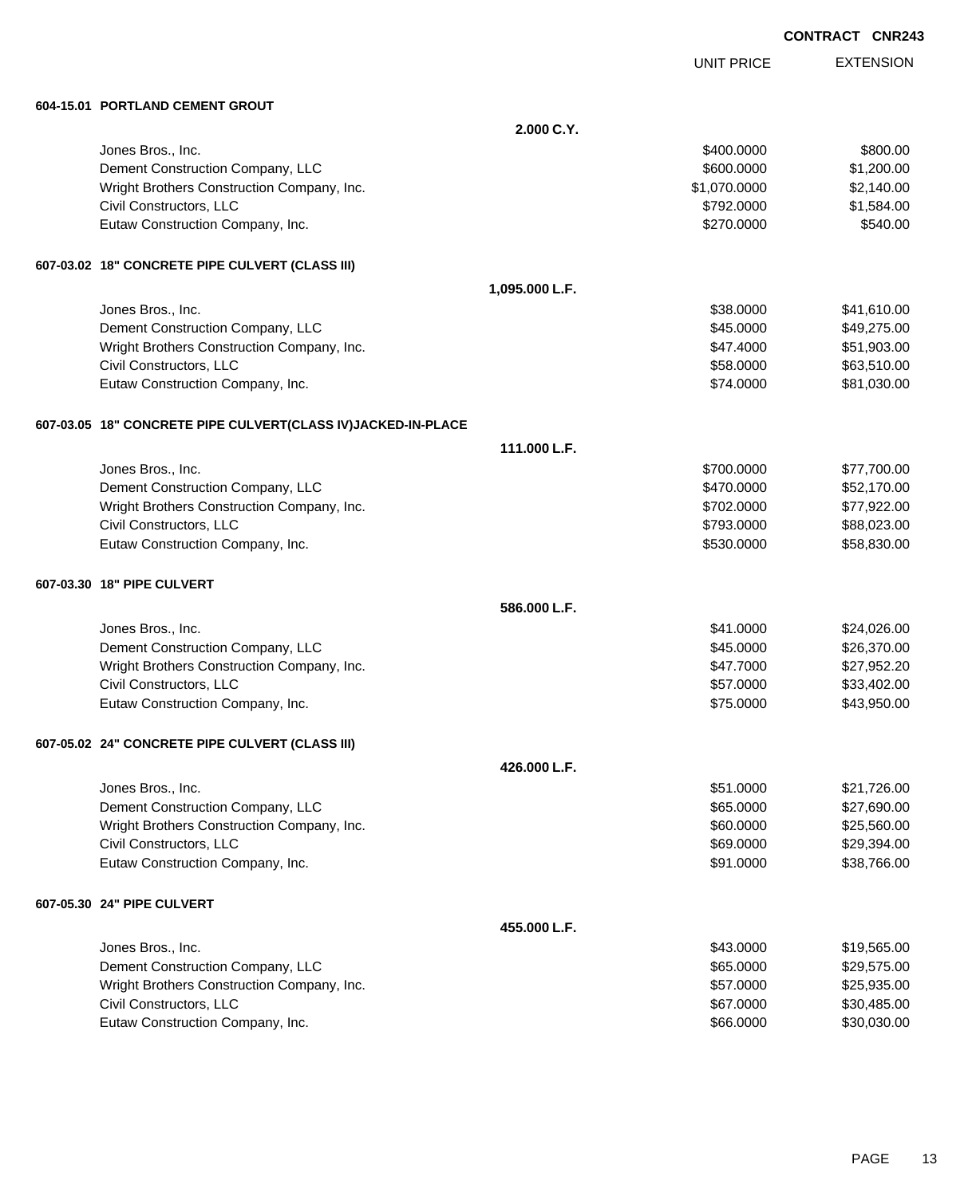UNIT PRICE EXTENSION

**604-15.01 PORTLAND CEMENT GROUT**

| 604-15.01 PORTLAND CEMENT GROUT                              |                |              |             |
|--------------------------------------------------------------|----------------|--------------|-------------|
|                                                              | 2.000 C.Y.     |              |             |
| Jones Bros., Inc.                                            |                | \$400.0000   | \$800.00    |
| Dement Construction Company, LLC                             |                | \$600.0000   | \$1,200.00  |
| Wright Brothers Construction Company, Inc.                   |                | \$1,070.0000 | \$2,140.00  |
| Civil Constructors, LLC                                      |                | \$792.0000   | \$1,584.00  |
| Eutaw Construction Company, Inc.                             |                | \$270.0000   | \$540.00    |
| 607-03.02 18" CONCRETE PIPE CULVERT (CLASS III)              |                |              |             |
|                                                              | 1,095.000 L.F. |              |             |
| Jones Bros., Inc.                                            |                | \$38.0000    | \$41,610.00 |
| Dement Construction Company, LLC                             |                | \$45.0000    | \$49,275.00 |
| Wright Brothers Construction Company, Inc.                   |                | \$47.4000    | \$51,903.00 |
| Civil Constructors, LLC                                      |                | \$58.0000    | \$63,510.00 |
| Eutaw Construction Company, Inc.                             |                | \$74.0000    | \$81,030.00 |
| 607-03.05 18" CONCRETE PIPE CULVERT(CLASS IV)JACKED-IN-PLACE |                |              |             |
|                                                              | 111.000 L.F.   |              |             |
| Jones Bros., Inc.                                            |                | \$700.0000   | \$77,700.00 |
| Dement Construction Company, LLC                             |                | \$470.0000   | \$52,170.00 |
| Wright Brothers Construction Company, Inc.                   |                | \$702.0000   | \$77,922.00 |
| Civil Constructors, LLC                                      |                | \$793.0000   | \$88,023.00 |
| Eutaw Construction Company, Inc.                             |                | \$530.0000   | \$58,830.00 |
| 607-03.30 18" PIPE CULVERT                                   |                |              |             |
|                                                              | 586.000 L.F.   |              |             |
| Jones Bros., Inc.                                            |                | \$41.0000    | \$24,026.00 |
| Dement Construction Company, LLC                             |                | \$45.0000    | \$26,370.00 |
| Wright Brothers Construction Company, Inc.                   |                | \$47.7000    | \$27,952.20 |
| Civil Constructors, LLC                                      |                | \$57.0000    | \$33,402.00 |
| Eutaw Construction Company, Inc.                             |                | \$75.0000    | \$43,950.00 |
| 607-05.02 24" CONCRETE PIPE CULVERT (CLASS III)              |                |              |             |
|                                                              | 426.000 L.F.   |              |             |
| Jones Bros., Inc.                                            |                | \$51.0000    | \$21,726.00 |
| Dement Construction Company, LLC                             |                | \$65.0000    | \$27,690.00 |
| Wright Brothers Construction Company, Inc.                   |                | \$60.0000    | \$25,560.00 |
| Civil Constructors, LLC                                      |                | \$69.0000    | \$29,394.00 |
| Eutaw Construction Company, Inc.                             |                | \$91.0000    | \$38,766.00 |
| 607-05.30 24" PIPE CULVERT                                   |                |              |             |
|                                                              | 455.000 L.F.   |              |             |
| Jones Bros., Inc.                                            |                | \$43.0000    | \$19,565.00 |
| Dement Construction Company, LLC                             |                | \$65.0000    | \$29,575.00 |
| Wright Brothers Construction Company, Inc.                   |                | \$57.0000    | \$25,935.00 |
| Civil Constructors, LLC                                      |                | \$67.0000    | \$30,485.00 |
| Eutaw Construction Company, Inc.                             |                | \$66.0000    | \$30,030.00 |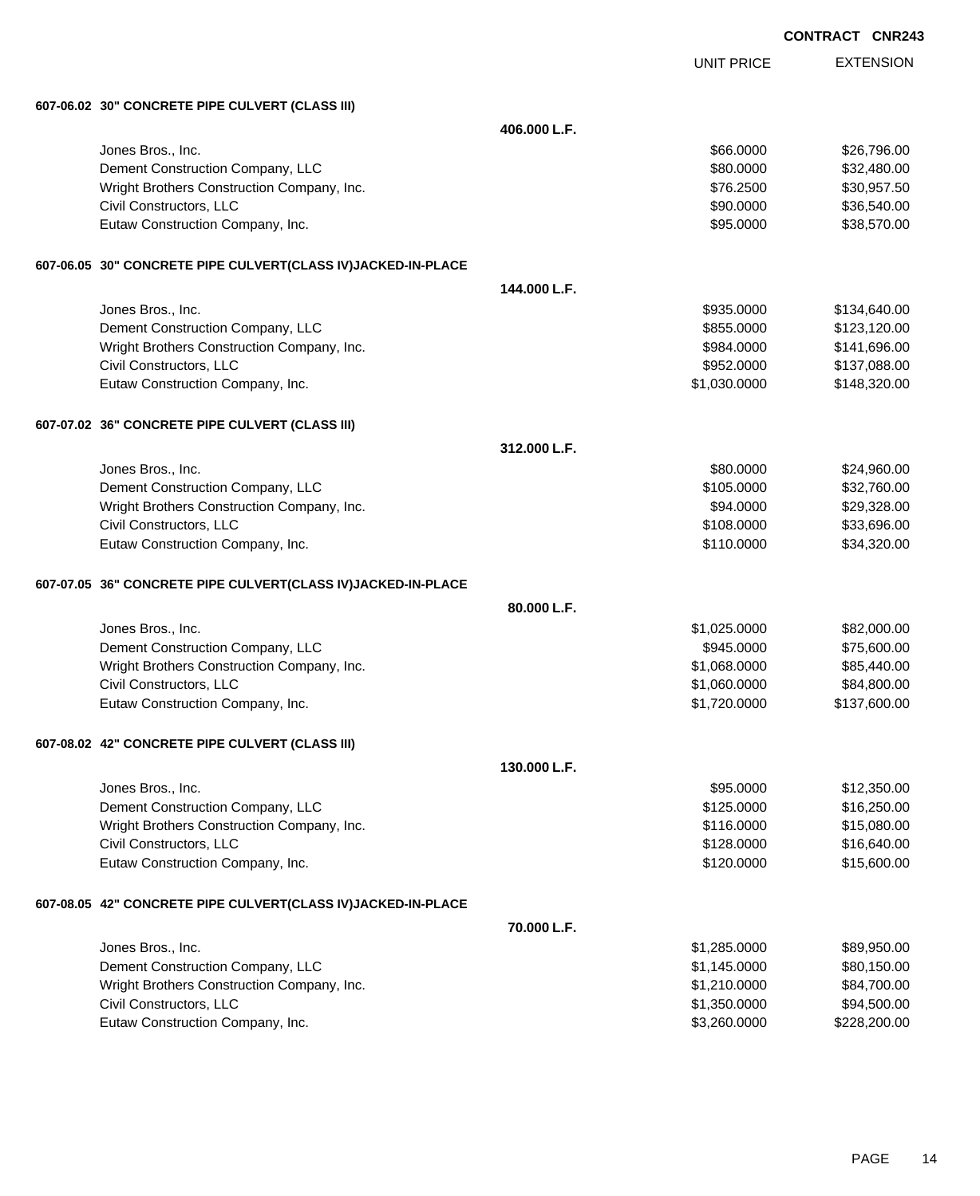|  | <b>CONTRACT</b> | <b>CNR243</b> |
|--|-----------------|---------------|
|  |                 |               |

EXTENSION **CONTRACT CNR243** UNIT PRICE **607-06.02 30" CONCRETE PIPE CULVERT (CLASS III) 406.000 L.F.** Jones Bros., Inc. \$66.0000 \$26,796.00 Dement Construction Company, LLC 60000 \$32,480.00 Wright Brothers Construction Company, Inc.  $$76.2500$  \$30,957.50 Civil Constructors, LLC 60000 \$36,540.00 Eutaw Construction Company, Inc. 6. The Construction Company, Inc. 6. The Construction Company, Inc. 6. The Construction Company, Inc. 6. The Construction Company, Inc. 6. The Construction Company, Inc. 6. The Construction **607-06.05 30" CONCRETE PIPE CULVERT(CLASS IV)JACKED-IN-PLACE 144.000 L.F.** Jones Bros., Inc. \$935.0000 \$134,640.00 Dement Construction Company, LLC 6. The matrix of the state of the state of the state  $$855.0000$  \$123,120.00 Wright Brothers Construction Company, Inc. 6. The Construction Company, Inc. 6984.0000 \$141,696.00 Civil Constructors, LLC 6. 2012 12:00 \$137,088.00 Eutaw Construction Company, Inc. 6. The Construction Company, Inc. 6. The Construction Company, Inc. 6. The Construction Company, Inc. 6. The Construction Company, Inc. 6. The Construction Company, Inc. 6. The Construction **607-07.02 36" CONCRETE PIPE CULVERT (CLASS III) 312.000 L.F.** Jones Bros., Inc. \$80.0000 \$24,960.00 Dement Construction Company, LLC 6 and the state of the state of the state  $$105.0000$  \$32,760.00 Wright Brothers Construction Company, Inc. 6. The State of the State of State State State State State State State State State State State State State State State State State State State State State State State State State Civil Constructors, LLC 633,696.00 Eutaw Construction Company, Inc. 6. The Construction Company, Inc. 6. The Construction Company, Inc. 6. The Construction Company, Inc. 6. The Construction Company, Inc. 6. The Construction Company, Inc. 6. The Construction **607-07.05 36" CONCRETE PIPE CULVERT(CLASS IV)JACKED-IN-PLACE 80.000 L.F.** Jones Bros., Inc. \$1,025.0000 \$82,000.00 Dement Construction Company, LLC **but a set of the set of the set of the set of the set of the set of the set of the set of the set of the set of the set of the set of the set of the set of the set of the set of the set of** Wright Brothers Construction Company, Inc.  $$1,068.0000$  \$85,440.00 Civil Constructors, LLC 684,800.000 \$84,800.000 \$84,800.000 \$84,800.000 \$84,800.00 Eutaw Construction Company, Inc. 6. The Construction Company, Inc. 6. The Construction Company, Inc. 6. The Construction Company, Inc. 6. The Construction Company, Inc. 6. The Construction Company, Inc. 6. The Construction **607-08.02 42" CONCRETE PIPE CULVERT (CLASS III) 130.000 L.F.** Jones Bros., Inc. \$95.0000 \$12,350.00 Dement Construction Company, LLC **but a struction Company, LLC**  $$125.0000$  \$16,250.00 Wright Brothers Construction Company, Inc.  $$116.0000$  \$15,080.00 Civil Constructors, LLC 616,640.00 Eutaw Construction Company, Inc. 6. 2000 \$15,600.00 \$15,600.00 **607-08.05 42" CONCRETE PIPE CULVERT(CLASS IV)JACKED-IN-PLACE 70.000 L.F.** Jones Bros., Inc. \$1,285.0000 \$89,950.00 Dement Construction Company, LLC **but a structure of the structure of the structure of the structure of the structure of the structure of the structure of the structure of the structure of the structure of the structure of** Wright Brothers Construction Company, Inc.  $$1,210.0000$   $$84,700.00$ Civil Constructors, LLC 694,500.00 \$94,500.00 \$94,500.00

Eutaw Construction Company, Inc. 6. 2008. The state of the state of the state of the state of the state of the state of the state of the state of the state of the state of the state of the state of the state of the state o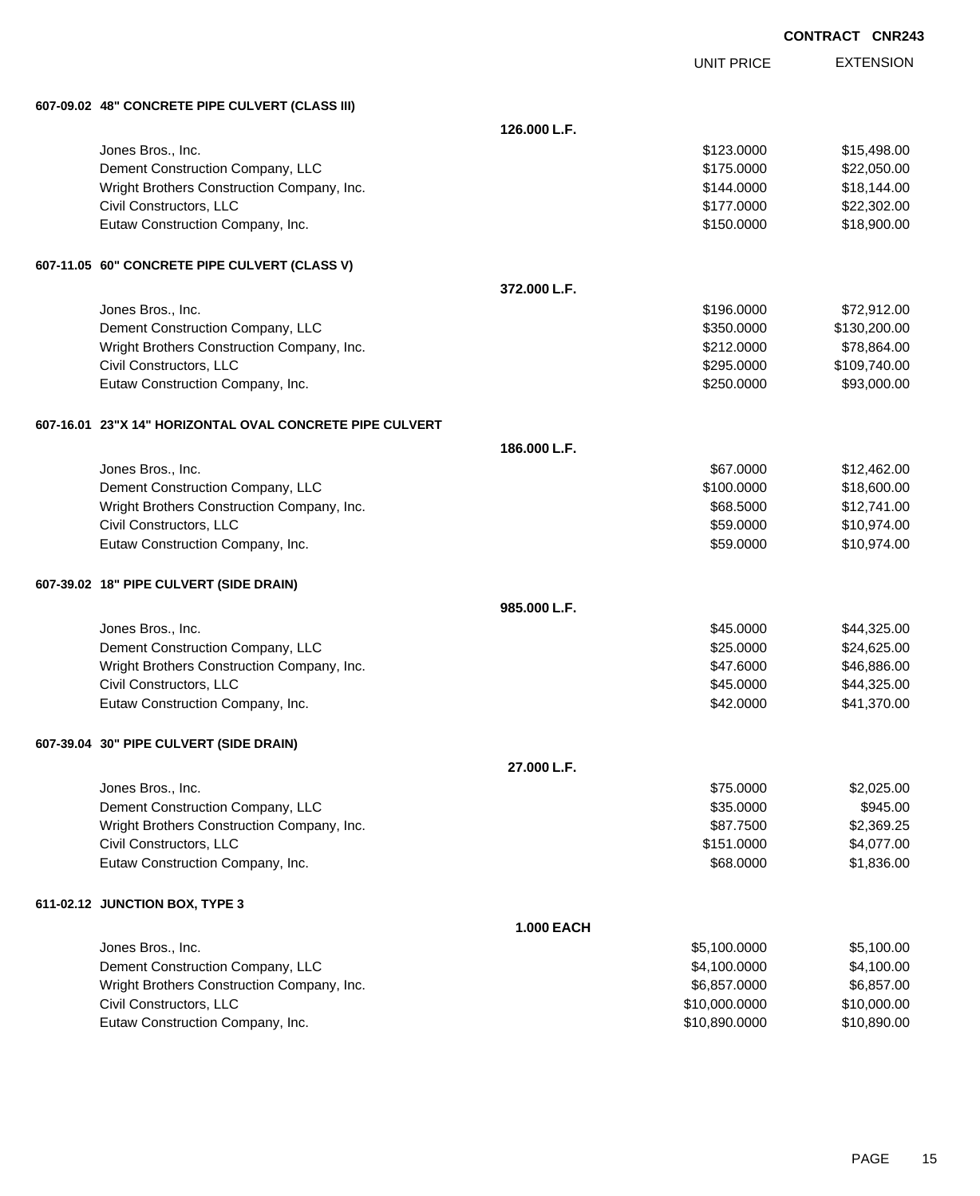EXTENSION **CONTRACT CNR243**

UNIT PRICE

| 607-09.02 48" CONCRETE PIPE CULVERT (CLASS III) |  |
|-------------------------------------------------|--|
|                                                 |  |

|  | 607-09.02 48" CONCRETE PIPE CULVERT (CLASS III)          |                   |               |              |
|--|----------------------------------------------------------|-------------------|---------------|--------------|
|  |                                                          | 126.000 L.F.      |               |              |
|  | Jones Bros., Inc.                                        |                   | \$123.0000    | \$15,498.00  |
|  | Dement Construction Company, LLC                         |                   | \$175.0000    | \$22,050.00  |
|  | Wright Brothers Construction Company, Inc.               |                   | \$144.0000    | \$18,144.00  |
|  | Civil Constructors, LLC                                  |                   | \$177.0000    | \$22,302.00  |
|  | Eutaw Construction Company, Inc.                         |                   | \$150.0000    | \$18,900.00  |
|  | 607-11.05 60" CONCRETE PIPE CULVERT (CLASS V)            |                   |               |              |
|  |                                                          | 372.000 L.F.      |               |              |
|  | Jones Bros., Inc.                                        |                   | \$196.0000    | \$72,912.00  |
|  | Dement Construction Company, LLC                         |                   | \$350.0000    | \$130,200.00 |
|  | Wright Brothers Construction Company, Inc.               |                   | \$212.0000    | \$78,864.00  |
|  | Civil Constructors, LLC                                  |                   | \$295.0000    | \$109,740.00 |
|  | Eutaw Construction Company, Inc.                         |                   | \$250.0000    | \$93,000.00  |
|  | 607-16.01 23"X 14" HORIZONTAL OVAL CONCRETE PIPE CULVERT |                   |               |              |
|  |                                                          | 186.000 L.F.      |               |              |
|  | Jones Bros., Inc.                                        |                   | \$67.0000     | \$12,462.00  |
|  | Dement Construction Company, LLC                         |                   | \$100.0000    | \$18,600.00  |
|  | Wright Brothers Construction Company, Inc.               |                   | \$68.5000     | \$12,741.00  |
|  | Civil Constructors, LLC                                  |                   | \$59.0000     | \$10,974.00  |
|  | Eutaw Construction Company, Inc.                         |                   | \$59.0000     | \$10,974.00  |
|  | 607-39.02 18" PIPE CULVERT (SIDE DRAIN)                  |                   |               |              |
|  |                                                          | 985.000 L.F.      |               |              |
|  | Jones Bros., Inc.                                        |                   | \$45.0000     | \$44,325.00  |
|  | Dement Construction Company, LLC                         |                   | \$25.0000     | \$24,625.00  |
|  | Wright Brothers Construction Company, Inc.               |                   | \$47.6000     | \$46,886.00  |
|  | Civil Constructors, LLC                                  |                   | \$45.0000     | \$44,325.00  |
|  | Eutaw Construction Company, Inc.                         |                   | \$42.0000     | \$41,370.00  |
|  | 607-39.04 30" PIPE CULVERT (SIDE DRAIN)                  |                   |               |              |
|  |                                                          | 27.000 L.F.       |               |              |
|  | Jones Bros., Inc.                                        |                   | \$75.0000     | \$2,025.00   |
|  | Dement Construction Company, LLC                         |                   | \$35.0000     | \$945.00     |
|  | Wright Brothers Construction Company, Inc.               |                   | \$87.7500     | \$2,369.25   |
|  | Civil Constructors, LLC                                  |                   | \$151.0000    | \$4,077.00   |
|  | Eutaw Construction Company, Inc.                         |                   | \$68.0000     | \$1,836.00   |
|  | 611-02.12 JUNCTION BOX, TYPE 3                           |                   |               |              |
|  |                                                          | <b>1.000 EACH</b> |               |              |
|  | Jones Bros., Inc.                                        |                   | \$5,100.0000  | \$5,100.00   |
|  | Dement Construction Company, LLC                         |                   | \$4,100.0000  | \$4,100.00   |
|  | Wright Brothers Construction Company, Inc.               |                   | \$6,857.0000  | \$6,857.00   |
|  | Civil Constructors, LLC                                  |                   | \$10,000.0000 | \$10,000.00  |
|  | Eutaw Construction Company, Inc.                         |                   | \$10,890.0000 | \$10,890.00  |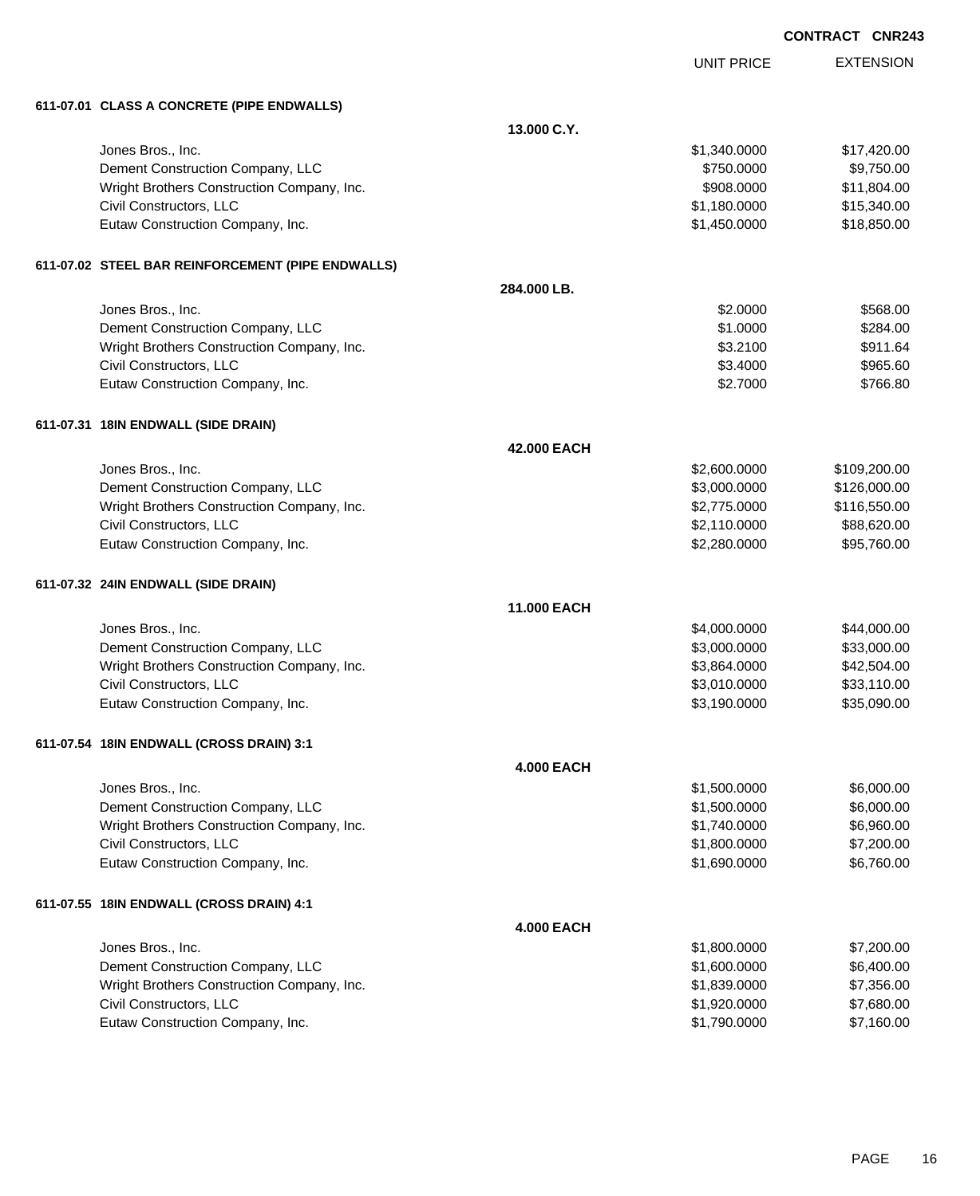|                                                   |                    |                   | <b>CONTRACT CNR243</b> |
|---------------------------------------------------|--------------------|-------------------|------------------------|
|                                                   |                    | <b>UNIT PRICE</b> | <b>EXTENSION</b>       |
| 611-07.01 CLASS A CONCRETE (PIPE ENDWALLS)        |                    |                   |                        |
|                                                   | 13.000 C.Y.        |                   |                        |
| Jones Bros., Inc.                                 |                    | \$1,340.0000      | \$17,420.00            |
| Dement Construction Company, LLC                  |                    | \$750.0000        | \$9,750.00             |
| Wright Brothers Construction Company, Inc.        |                    | \$908,0000        | \$11,804.00            |
| Civil Constructors, LLC                           |                    | \$1,180.0000      | \$15,340.00            |
| Eutaw Construction Company, Inc.                  |                    | \$1,450.0000      | \$18,850.00            |
| 611-07.02 STEEL BAR REINFORCEMENT (PIPE ENDWALLS) |                    |                   |                        |
|                                                   | 284.000 LB.        |                   |                        |
| Jones Bros., Inc.                                 |                    | \$2.0000          | \$568.00               |
| Dement Construction Company, LLC                  |                    | \$1.0000          | \$284.00               |
| Wright Brothers Construction Company, Inc.        |                    | \$3.2100          | \$911.64               |
| Civil Constructors, LLC                           |                    | \$3.4000          | \$965.60               |
| Eutaw Construction Company, Inc.                  |                    | \$2.7000          | \$766.80               |
| 611-07.31   18IN ENDWALL (SIDE DRAIN)             |                    |                   |                        |
|                                                   | 42.000 EACH        |                   |                        |
| Jones Bros., Inc.                                 |                    | \$2,600.0000      | \$109,200.00           |
| Dement Construction Company, LLC                  |                    | \$3,000.0000      | \$126,000.00           |
| Wright Brothers Construction Company, Inc.        |                    | \$2,775.0000      | \$116,550.00           |
| Civil Constructors, LLC                           |                    | \$2,110.0000      | \$88,620.00            |
| Eutaw Construction Company, Inc.                  |                    | \$2,280.0000      | \$95,760.00            |
| 611-07.32 24IN ENDWALL (SIDE DRAIN)               |                    |                   |                        |
|                                                   | <b>11.000 EACH</b> |                   |                        |
| Jones Bros., Inc.                                 |                    | \$4,000.0000      | \$44,000.00            |
| Dement Construction Company, LLC                  |                    | \$3,000.0000      | \$33,000.00            |
| Wright Brothers Construction Company, Inc.        |                    | \$3,864.0000      | \$42,504.00            |
| Civil Constructors, LLC                           |                    | \$3,010.0000      | \$33,110.00            |
| Eutaw Construction Company, Inc.                  |                    | \$3,190.0000      | \$35,090.00            |
| 611-07.54 18IN ENDWALL (CROSS DRAIN) 3:1          |                    |                   |                        |
|                                                   | <b>4.000 EACH</b>  |                   |                        |
| Jones Bros., Inc.                                 |                    | \$1,500.0000      | \$6,000.00             |
| Dement Construction Company, LLC                  |                    | \$1,500.0000      | \$6,000.00             |
| Wright Brothers Construction Company, Inc.        |                    | \$1,740.0000      | \$6,960.00             |
| Civil Constructors, LLC                           |                    | \$1,800.0000      | \$7,200.00             |
| Eutaw Construction Company, Inc.                  |                    | \$1,690.0000      | \$6,760.00             |
| 611-07.55 18IN ENDWALL (CROSS DRAIN) 4:1          |                    |                   |                        |
|                                                   | <b>4.000 EACH</b>  |                   |                        |
| Jones Bros., Inc.                                 |                    | \$1,800.0000      | \$7,200.00             |
| Dement Construction Company, LLC                  |                    | \$1,600.0000      | \$6,400.00             |
| Wright Brothers Construction Company, Inc.        |                    | \$1,839.0000      | \$7,356.00             |
| Civil Constructors, LLC                           |                    | \$1,920.0000      | \$7,680.00             |
| Eutaw Construction Company, Inc.                  |                    | \$1,790.0000      | \$7,160.00             |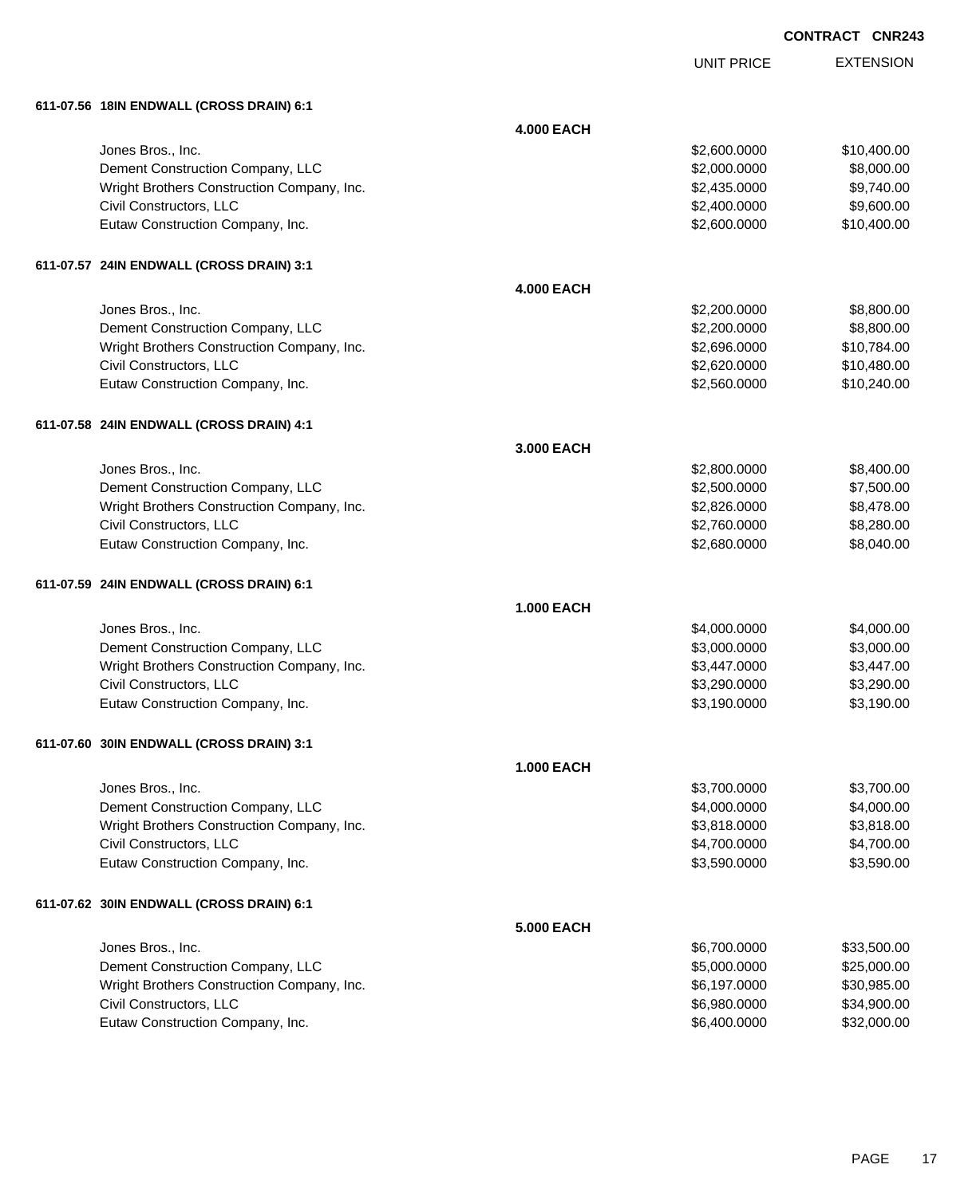UNIT PRICE

| 611-07.56 18IN ENDWALL (CROSS DRAIN) 6:1   |                   |              |             |
|--------------------------------------------|-------------------|--------------|-------------|
|                                            | <b>4.000 EACH</b> |              |             |
| Jones Bros., Inc.                          |                   | \$2,600.0000 | \$10,400.00 |
| Dement Construction Company, LLC           |                   | \$2,000.0000 | \$8,000.00  |
| Wright Brothers Construction Company, Inc. |                   | \$2,435.0000 | \$9,740.00  |
| Civil Constructors, LLC                    |                   | \$2,400.0000 | \$9,600.00  |
| Eutaw Construction Company, Inc.           |                   | \$2,600.0000 | \$10,400.00 |
| 611-07.57 24IN ENDWALL (CROSS DRAIN) 3:1   |                   |              |             |
|                                            | <b>4.000 EACH</b> |              |             |
| Jones Bros., Inc.                          |                   | \$2,200.0000 | \$8,800.00  |
| Dement Construction Company, LLC           |                   | \$2,200.0000 | \$8,800.00  |
| Wright Brothers Construction Company, Inc. |                   | \$2,696.0000 | \$10,784.00 |
| Civil Constructors, LLC                    |                   | \$2,620.0000 | \$10,480.00 |
| Eutaw Construction Company, Inc.           |                   | \$2,560.0000 | \$10,240.00 |
| 611-07.58 24IN ENDWALL (CROSS DRAIN) 4:1   |                   |              |             |
|                                            | 3.000 EACH        |              |             |
| Jones Bros., Inc.                          |                   | \$2,800.0000 | \$8,400.00  |
| Dement Construction Company, LLC           |                   | \$2,500.0000 | \$7,500.00  |
| Wright Brothers Construction Company, Inc. |                   | \$2,826.0000 | \$8,478.00  |
| Civil Constructors, LLC                    |                   | \$2,760.0000 | \$8,280.00  |
| Eutaw Construction Company, Inc.           |                   | \$2,680.0000 | \$8,040.00  |
| 611-07.59 24IN ENDWALL (CROSS DRAIN) 6:1   |                   |              |             |
|                                            | <b>1.000 EACH</b> |              |             |
| Jones Bros., Inc.                          |                   | \$4,000.0000 | \$4,000.00  |
| Dement Construction Company, LLC           |                   | \$3,000.0000 | \$3,000.00  |
| Wright Brothers Construction Company, Inc. |                   | \$3,447.0000 | \$3,447.00  |
| Civil Constructors, LLC                    |                   | \$3,290.0000 | \$3,290.00  |
| Eutaw Construction Company, Inc.           |                   | \$3,190.0000 | \$3,190.00  |
| 611-07.60 30IN ENDWALL (CROSS DRAIN) 3:1   |                   |              |             |
|                                            | <b>1.000 EACH</b> |              |             |
| Jones Bros., Inc.                          |                   | \$3,700.0000 | \$3,700.00  |

| Dement Construction Company, LLC           |                   | \$4,000.0000 | \$4,000.00  |
|--------------------------------------------|-------------------|--------------|-------------|
| Wright Brothers Construction Company, Inc. |                   | \$3,818.0000 | \$3,818.00  |
| Civil Constructors, LLC                    |                   | \$4,700.0000 | \$4,700.00  |
| Eutaw Construction Company, Inc.           |                   | \$3,590.0000 | \$3,590.00  |
| 611-07.62 30IN ENDWALL (CROSS DRAIN) 6:1   |                   |              |             |
|                                            | <b>5.000 EACH</b> |              |             |
| Jones Bros., Inc.                          |                   | \$6,700,0000 | \$33,500.00 |
| Dement Construction Company, LLC           |                   | \$5,000.0000 | \$25,000.00 |
| Wright Brothers Construction Company, Inc. |                   | \$6,197.0000 | \$30,985.00 |
| Civil Constructors, LLC                    |                   | \$6,980,0000 | \$34,900.00 |
| Eutaw Construction Company, Inc.           |                   | \$6,400,0000 | \$32,000.00 |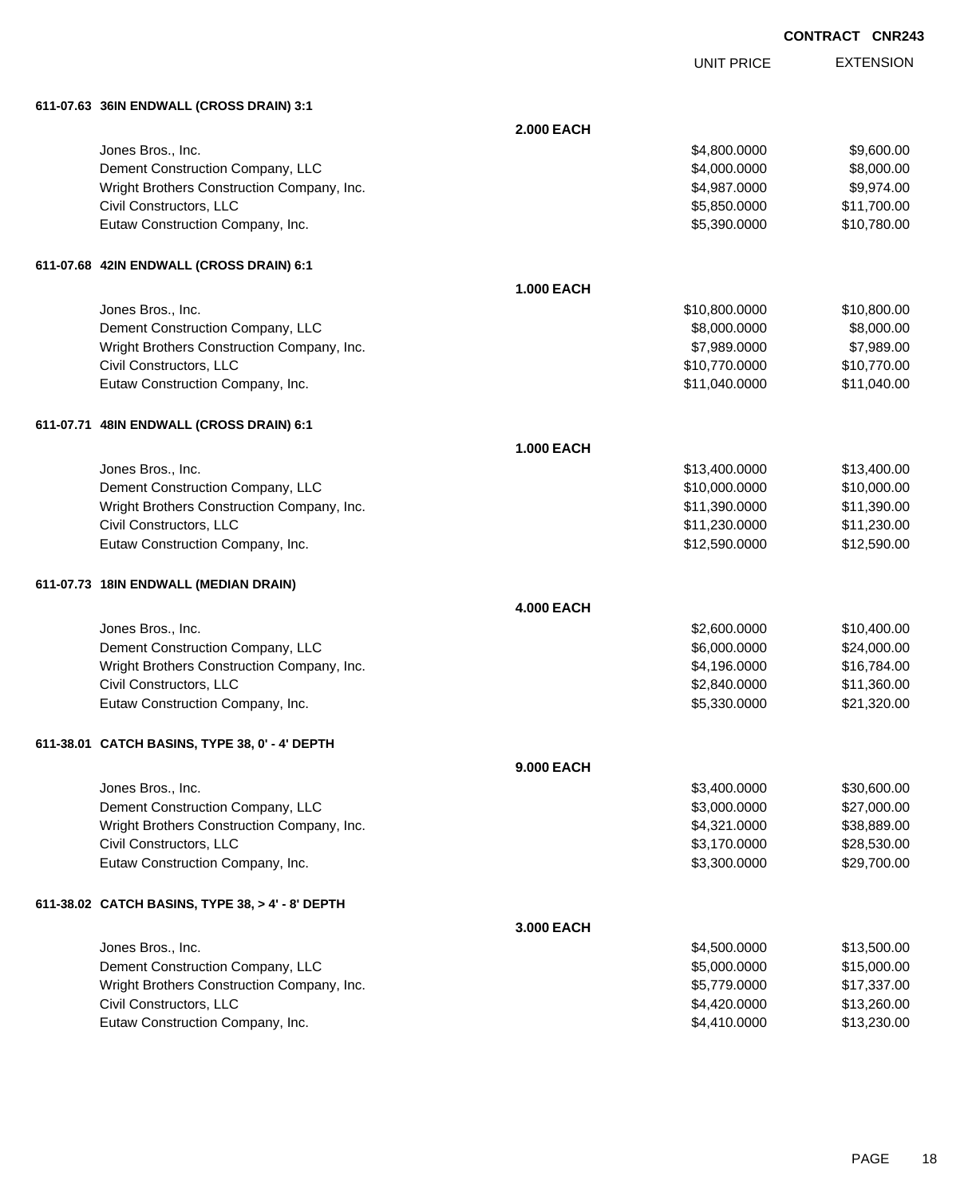# EXTENSION **CONTRACT CNR243**

UNIT PRICE

| 611-07.63   36IN ENDWALL (CROSS DRAIN) 3:1 |  |
|--------------------------------------------|--|

| 011-07.03 JOIN ENDWALL (CROSS DRAIN) 3.1         |                   |               |             |
|--------------------------------------------------|-------------------|---------------|-------------|
|                                                  | <b>2.000 EACH</b> |               |             |
| Jones Bros., Inc.                                |                   | \$4,800.0000  | \$9,600.00  |
| Dement Construction Company, LLC                 |                   | \$4,000.0000  | \$8,000.00  |
| Wright Brothers Construction Company, Inc.       |                   | \$4,987.0000  | \$9,974.00  |
| Civil Constructors, LLC                          |                   | \$5,850.0000  | \$11,700.00 |
| Eutaw Construction Company, Inc.                 |                   | \$5,390.0000  | \$10,780.00 |
| 611-07.68 42IN ENDWALL (CROSS DRAIN) 6:1         |                   |               |             |
|                                                  | <b>1.000 EACH</b> |               |             |
| Jones Bros., Inc.                                |                   | \$10,800.0000 | \$10,800.00 |
| Dement Construction Company, LLC                 |                   | \$8,000.0000  | \$8,000.00  |
| Wright Brothers Construction Company, Inc.       |                   | \$7,989.0000  | \$7,989.00  |
| Civil Constructors, LLC                          |                   | \$10,770.0000 | \$10,770.00 |
| Eutaw Construction Company, Inc.                 |                   | \$11,040.0000 | \$11,040.00 |
| 611-07.71 48IN ENDWALL (CROSS DRAIN) 6:1         |                   |               |             |
|                                                  | <b>1.000 EACH</b> |               |             |
| Jones Bros., Inc.                                |                   | \$13,400.0000 | \$13,400.00 |
| Dement Construction Company, LLC                 |                   | \$10,000.0000 | \$10,000.00 |
| Wright Brothers Construction Company, Inc.       |                   | \$11,390.0000 | \$11,390.00 |
| Civil Constructors, LLC                          |                   | \$11,230.0000 | \$11,230.00 |
| Eutaw Construction Company, Inc.                 |                   | \$12,590.0000 | \$12,590.00 |
| 611-07.73 18IN ENDWALL (MEDIAN DRAIN)            |                   |               |             |
|                                                  | <b>4.000 EACH</b> |               |             |
| Jones Bros., Inc.                                |                   | \$2,600.0000  | \$10,400.00 |
| Dement Construction Company, LLC                 |                   | \$6,000.0000  | \$24,000.00 |
| Wright Brothers Construction Company, Inc.       |                   | \$4,196.0000  | \$16,784.00 |
| Civil Constructors, LLC                          |                   | \$2,840.0000  | \$11,360.00 |
| Eutaw Construction Company, Inc.                 |                   | \$5,330.0000  | \$21,320.00 |
| 611-38.01 CATCH BASINS, TYPE 38, 0' - 4' DEPTH   |                   |               |             |
|                                                  | <b>9.000 EACH</b> |               |             |
| Jones Bros., Inc.                                |                   | \$3,400.0000  | \$30,600.00 |
| Dement Construction Company, LLC                 |                   | \$3,000.0000  | \$27,000.00 |
| Wright Brothers Construction Company, Inc.       |                   | \$4,321.0000  | \$38,889.00 |
| Civil Constructors, LLC                          |                   | \$3,170.0000  | \$28,530.00 |
| Eutaw Construction Company, Inc.                 |                   | \$3,300.0000  | \$29,700.00 |
| 611-38.02 CATCH BASINS, TYPE 38, > 4' - 8' DEPTH |                   |               |             |
|                                                  | 3.000 EACH        |               |             |
| Jones Bros., Inc.                                |                   | \$4,500.0000  | \$13,500.00 |
| Dement Construction Company, LLC                 |                   | \$5,000.0000  | \$15,000.00 |
| Wright Brothers Construction Company, Inc.       |                   | \$5,779.0000  | \$17,337.00 |
| Civil Constructors, LLC                          |                   | \$4,420.0000  | \$13,260.00 |
| Eutaw Construction Company, Inc.                 |                   | \$4,410.0000  | \$13,230.00 |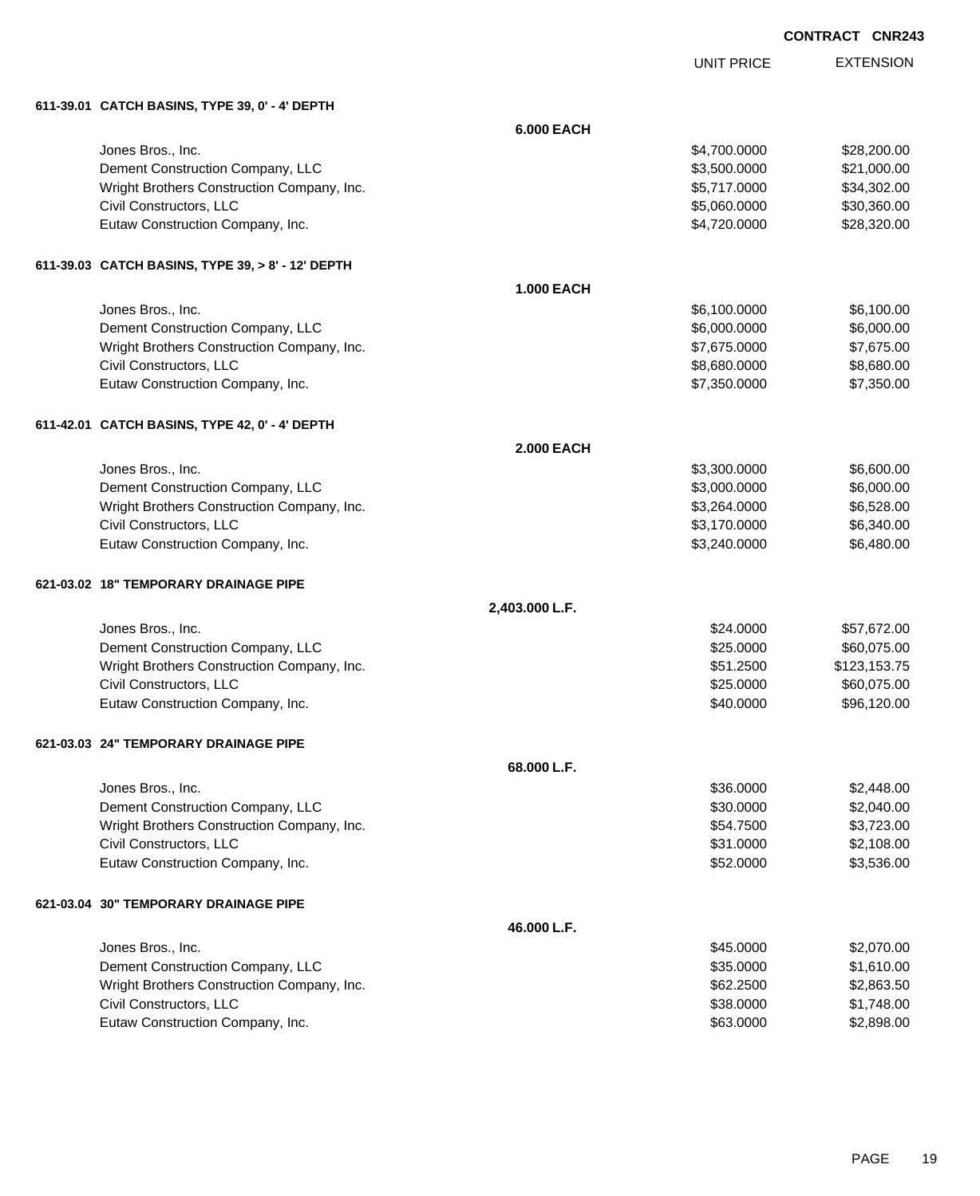UNIT PRICE

| 611-39.01 CATCH BASINS, TYPE 39, 0' - 4' DEPTH    |                   |              |              |
|---------------------------------------------------|-------------------|--------------|--------------|
|                                                   | <b>6.000 EACH</b> |              |              |
| Jones Bros., Inc.                                 |                   | \$4,700.0000 | \$28,200.00  |
| Dement Construction Company, LLC                  |                   | \$3,500.0000 | \$21,000.00  |
| Wright Brothers Construction Company, Inc.        |                   | \$5,717.0000 | \$34,302.00  |
| Civil Constructors, LLC                           |                   | \$5,060.0000 | \$30,360.00  |
| Eutaw Construction Company, Inc.                  |                   | \$4,720.0000 | \$28,320.00  |
| 611-39.03 CATCH BASINS, TYPE 39, > 8' - 12' DEPTH |                   |              |              |
|                                                   | <b>1.000 EACH</b> |              |              |
| Jones Bros., Inc.                                 |                   | \$6,100.0000 | \$6,100.00   |
| Dement Construction Company, LLC                  |                   | \$6,000.0000 | \$6,000.00   |
| Wright Brothers Construction Company, Inc.        |                   | \$7,675.0000 | \$7,675.00   |
| Civil Constructors, LLC                           |                   | \$8,680.0000 | \$8,680.00   |
| Eutaw Construction Company, Inc.                  |                   | \$7,350.0000 | \$7,350.00   |
| 611-42.01 CATCH BASINS, TYPE 42, 0' - 4' DEPTH    |                   |              |              |
|                                                   | <b>2.000 EACH</b> |              |              |
| Jones Bros., Inc.                                 |                   | \$3,300.0000 | \$6,600.00   |
| Dement Construction Company, LLC                  |                   | \$3,000.0000 | \$6,000.00   |
| Wright Brothers Construction Company, Inc.        |                   | \$3,264.0000 | \$6,528.00   |
| Civil Constructors, LLC                           |                   | \$3,170.0000 | \$6,340.00   |
| Eutaw Construction Company, Inc.                  |                   | \$3,240.0000 | \$6,480.00   |
| 621-03.02 18" TEMPORARY DRAINAGE PIPE             |                   |              |              |
|                                                   | 2,403.000 L.F.    |              |              |
| Jones Bros., Inc.                                 |                   | \$24.0000    | \$57,672.00  |
| Dement Construction Company, LLC                  |                   | \$25.0000    | \$60,075.00  |
| Wright Brothers Construction Company, Inc.        |                   | \$51.2500    | \$123,153.75 |
| Civil Constructors, LLC                           |                   | \$25.0000    | \$60,075.00  |
| Eutaw Construction Company, Inc.                  |                   | \$40.0000    | \$96,120.00  |
| 621-03.03 24" TEMPORARY DRAINAGE PIPE             |                   |              |              |
|                                                   | 68.000 L.F.       |              |              |

| Jones Bros., Inc.                          | \$36,0000 | \$2,448,00 |
|--------------------------------------------|-----------|------------|
| Dement Construction Company, LLC           | \$30,0000 | \$2,040.00 |
| Wright Brothers Construction Company, Inc. | \$54,7500 | \$3,723.00 |
| Civil Constructors, LLC                    | \$31,0000 | \$2,108.00 |
| Eutaw Construction Company, Inc.           | \$52,0000 | \$3,536.00 |
| 621-03.04 30" TEMPORARY DRAINAGE PIPE      |           |            |
| 46.000 L.F.                                |           |            |
| Jones Bros., Inc.                          | \$45,0000 | \$2,070.00 |
| Dement Construction Company, LLC           | \$35,0000 | \$1,610.00 |
| Wright Brothers Construction Company, Inc. | \$62,2500 | \$2,863.50 |
| Civil Constructors, LLC                    | \$38,0000 | \$1,748.00 |
| Eutaw Construction Company, Inc.           | \$63,0000 | \$2,898,00 |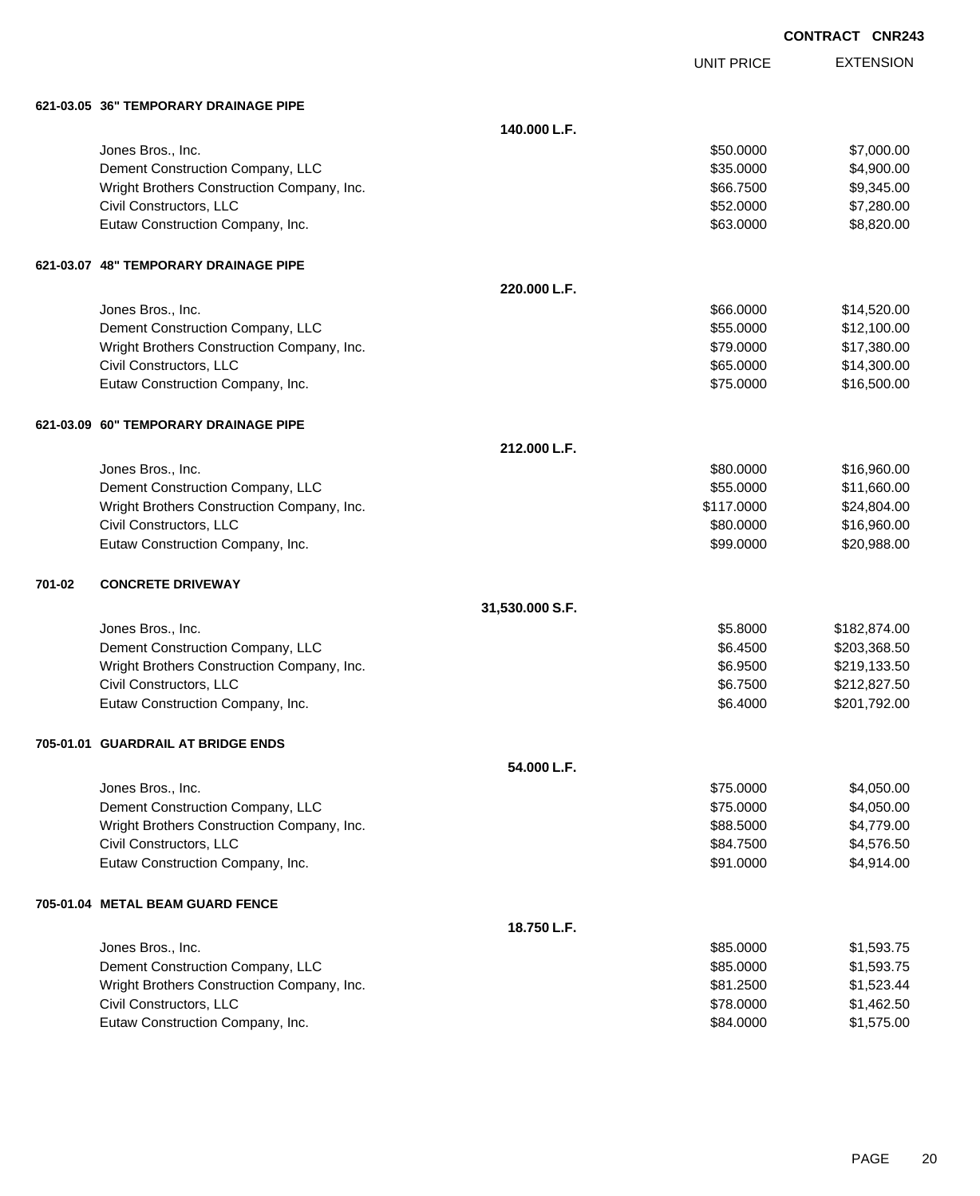|  | <b>CONTRACT CNR243</b> |
|--|------------------------|
|  |                        |

UNIT PRICE

|        | 621-03.05  36" TEMPORARY DRAINAGE PIPE     |                 |            |              |
|--------|--------------------------------------------|-----------------|------------|--------------|
|        |                                            | 140.000 L.F.    |            |              |
|        | Jones Bros., Inc.                          |                 | \$50.0000  | \$7,000.00   |
|        | Dement Construction Company, LLC           |                 | \$35.0000  | \$4,900.00   |
|        | Wright Brothers Construction Company, Inc. |                 | \$66.7500  | \$9,345.00   |
|        | Civil Constructors, LLC                    |                 | \$52.0000  | \$7,280.00   |
|        | Eutaw Construction Company, Inc.           |                 | \$63.0000  | \$8,820.00   |
|        | 621-03.07 48" TEMPORARY DRAINAGE PIPE      |                 |            |              |
|        |                                            | 220.000 L.F.    |            |              |
|        | Jones Bros., Inc.                          |                 | \$66.0000  | \$14,520.00  |
|        | Dement Construction Company, LLC           |                 | \$55.0000  | \$12,100.00  |
|        | Wright Brothers Construction Company, Inc. |                 | \$79.0000  | \$17,380.00  |
|        | Civil Constructors, LLC                    |                 | \$65.0000  | \$14,300.00  |
|        | Eutaw Construction Company, Inc.           |                 | \$75.0000  | \$16,500.00  |
|        | 621-03.09 60" TEMPORARY DRAINAGE PIPE      |                 |            |              |
|        |                                            | 212.000 L.F.    |            |              |
|        | Jones Bros., Inc.                          |                 | \$80.0000  | \$16,960.00  |
|        | Dement Construction Company, LLC           |                 | \$55.0000  | \$11,660.00  |
|        | Wright Brothers Construction Company, Inc. |                 | \$117.0000 | \$24,804.00  |
|        | Civil Constructors, LLC                    |                 | \$80.0000  | \$16,960.00  |
|        | Eutaw Construction Company, Inc.           |                 | \$99.0000  | \$20,988.00  |
| 701-02 | <b>CONCRETE DRIVEWAY</b>                   |                 |            |              |
|        |                                            | 31,530.000 S.F. |            |              |
|        | Jones Bros., Inc.                          |                 | \$5.8000   | \$182,874.00 |
|        | Dement Construction Company, LLC           |                 | \$6.4500   | \$203,368.50 |
|        | Wright Brothers Construction Company, Inc. |                 | \$6.9500   | \$219,133.50 |
|        | Civil Constructors, LLC                    |                 | \$6.7500   | \$212,827.50 |
|        | Eutaw Construction Company, Inc.           |                 | \$6.4000   | \$201,792.00 |
|        | 705-01.01 GUARDRAIL AT BRIDGE ENDS         |                 |            |              |
|        |                                            | 54.000 L.F.     |            |              |
|        | Jones Bros., Inc.                          |                 | \$75.0000  | \$4,050.00   |
|        | Dement Construction Company, LLC           |                 | \$75.0000  | \$4,050.00   |
|        | Wright Brothers Construction Company, Inc. |                 | \$88.5000  | \$4,779.00   |
|        | Civil Constructors, LLC                    |                 | \$84.7500  | \$4,576.50   |
|        | Eutaw Construction Company, Inc.           |                 | \$91.0000  | \$4,914.00   |
|        | 705-01.04 METAL BEAM GUARD FENCE           |                 |            |              |
|        |                                            | 18.750 L.F.     |            |              |
|        | Jones Bros., Inc.                          |                 | \$85.0000  | \$1,593.75   |
|        | Dement Construction Company, LLC           |                 | \$85.0000  | \$1,593.75   |
|        | Wright Brothers Construction Company, Inc. |                 | \$81.2500  | \$1,523.44   |
|        | Civil Constructors, LLC                    |                 | \$78.0000  | \$1,462.50   |
|        | Eutaw Construction Company, Inc.           |                 | \$84.0000  | \$1,575.00   |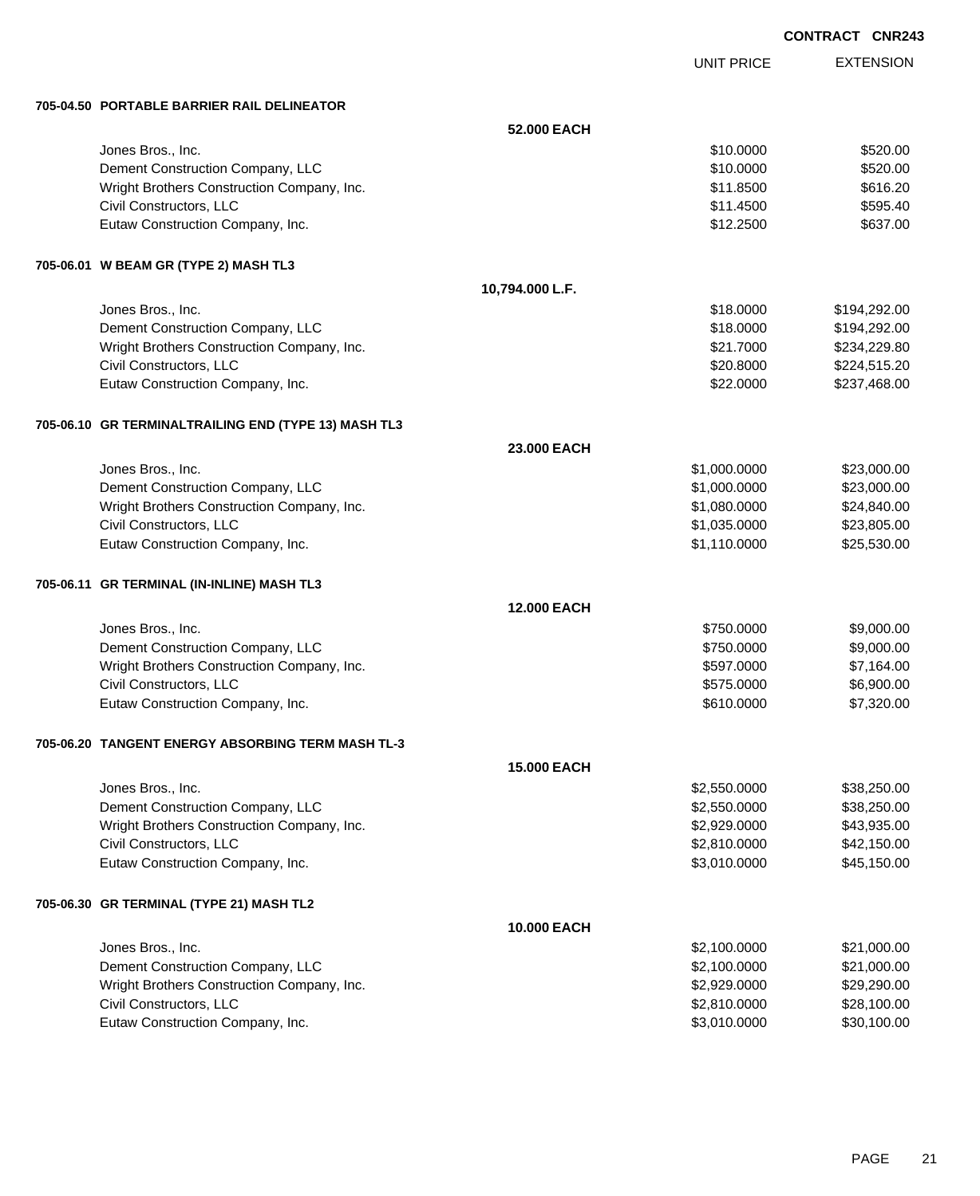UNIT PRICE

EXTENSION

**705-04.50 PORTABLE BARRIER RAIL DELINEATOR**

| 00-04.30 PORTABLE BARRIER RAIL DELINEATOR            |                    |              |              |
|------------------------------------------------------|--------------------|--------------|--------------|
|                                                      | 52.000 EACH        |              |              |
| Jones Bros., Inc.                                    |                    | \$10.0000    | \$520.00     |
| Dement Construction Company, LLC                     |                    | \$10.0000    | \$520.00     |
| Wright Brothers Construction Company, Inc.           |                    | \$11.8500    | \$616.20     |
| Civil Constructors, LLC                              |                    | \$11.4500    | \$595.40     |
| Eutaw Construction Company, Inc.                     |                    | \$12.2500    | \$637.00     |
| 705-06.01 W BEAM GR (TYPE 2) MASH TL3                |                    |              |              |
|                                                      | 10,794.000 L.F.    |              |              |
| Jones Bros., Inc.                                    |                    | \$18.0000    | \$194,292.00 |
| Dement Construction Company, LLC                     |                    | \$18.0000    | \$194,292.00 |
| Wright Brothers Construction Company, Inc.           |                    | \$21.7000    | \$234,229.80 |
| Civil Constructors, LLC                              |                    | \$20.8000    | \$224,515.20 |
| Eutaw Construction Company, Inc.                     |                    | \$22.0000    | \$237,468.00 |
| 705-06.10 GR TERMINALTRAILING END (TYPE 13) MASH TL3 |                    |              |              |
|                                                      | 23.000 EACH        |              |              |
| Jones Bros., Inc.                                    |                    | \$1,000.0000 | \$23,000.00  |
| Dement Construction Company, LLC                     |                    | \$1,000.0000 | \$23,000.00  |
| Wright Brothers Construction Company, Inc.           |                    | \$1,080.0000 | \$24,840.00  |
| Civil Constructors, LLC                              |                    | \$1,035.0000 | \$23,805.00  |
| Eutaw Construction Company, Inc.                     |                    | \$1,110.0000 | \$25,530.00  |
| 705-06.11 GR TERMINAL (IN-INLINE) MASH TL3           |                    |              |              |
|                                                      | 12.000 EACH        |              |              |
| Jones Bros., Inc.                                    |                    | \$750.0000   | \$9,000.00   |
| Dement Construction Company, LLC                     |                    | \$750.0000   | \$9,000.00   |
| Wright Brothers Construction Company, Inc.           |                    | \$597.0000   | \$7,164.00   |
| Civil Constructors, LLC                              |                    | \$575.0000   | \$6,900.00   |
| Eutaw Construction Company, Inc.                     |                    | \$610.0000   | \$7,320.00   |
| 705-06.20 TANGENT ENERGY ABSORBING TERM MASH TL-3    |                    |              |              |
|                                                      | <b>15,000 EACH</b> |              |              |
| Jones Bros., Inc.                                    |                    | \$2,550.0000 | \$38,250.00  |
| Dement Construction Company, LLC                     |                    | \$2,550.0000 | \$38,250.00  |
| Wright Brothers Construction Company, Inc.           |                    | \$2,929.0000 | \$43,935.00  |
| Civil Constructors, LLC                              |                    | \$2,810.0000 | \$42,150.00  |
| Eutaw Construction Company, Inc.                     |                    | \$3,010.0000 | \$45,150.00  |
| 705-06.30 GR TERMINAL (TYPE 21) MASH TL2             |                    |              |              |
|                                                      | 10.000 EACH        |              |              |
| Jones Bros., Inc.                                    |                    | \$2,100.0000 | \$21,000.00  |
| Dement Construction Company, LLC                     |                    | \$2,100.0000 | \$21,000.00  |
| Wright Brothers Construction Company, Inc.           |                    | \$2,929.0000 | \$29,290.00  |
| Civil Constructors, LLC                              |                    | \$2,810.0000 | \$28,100.00  |
| Eutaw Construction Company, Inc.                     |                    | \$3,010.0000 | \$30,100.00  |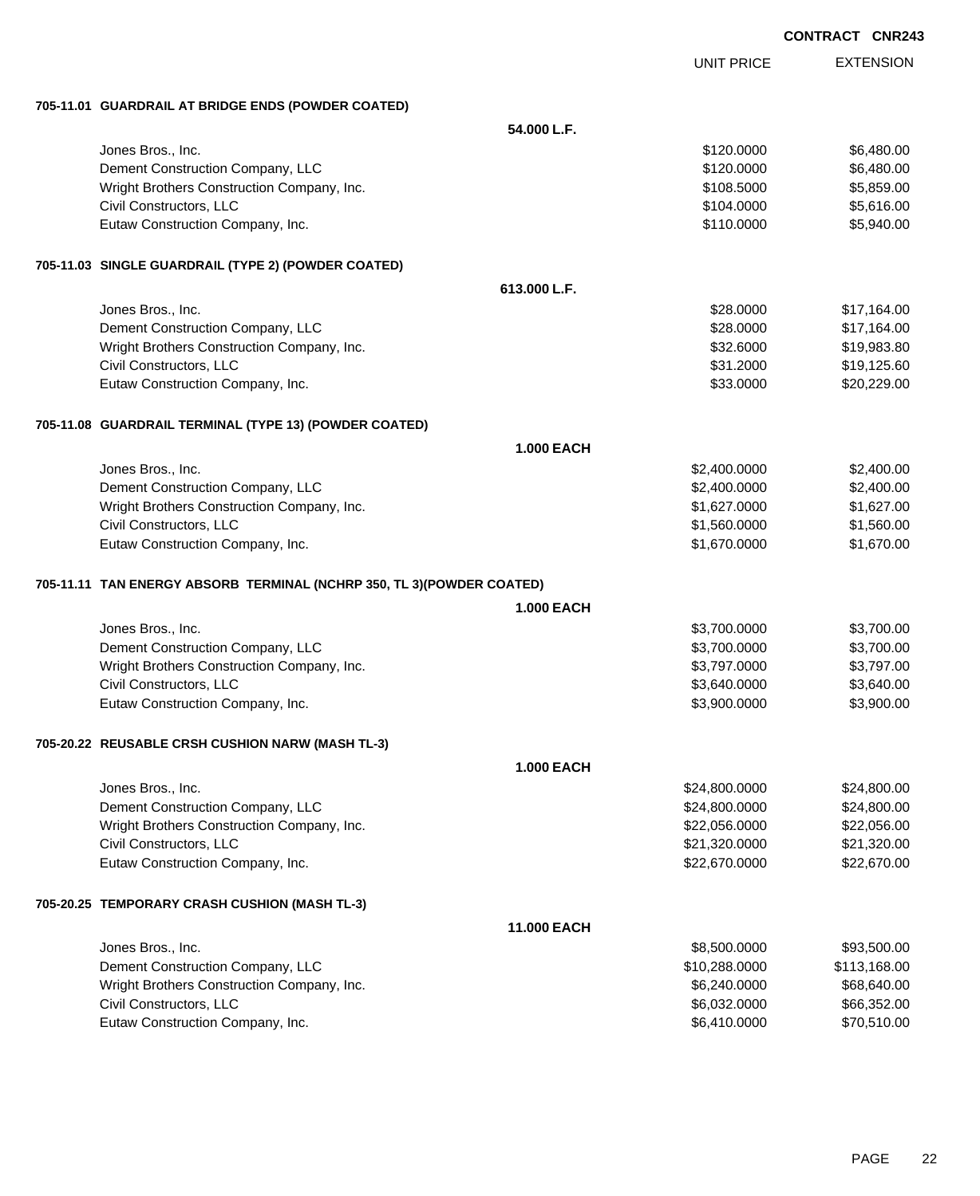| <b>CONTRACT CNR243</b> |  |
|------------------------|--|
|------------------------|--|

|                                                                       |                    |                   | UUNIKAUI UNKZ4J  |
|-----------------------------------------------------------------------|--------------------|-------------------|------------------|
|                                                                       |                    | <b>UNIT PRICE</b> | <b>EXTENSION</b> |
| 705-11.01 GUARDRAIL AT BRIDGE ENDS (POWDER COATED)                    |                    |                   |                  |
|                                                                       | 54.000 L.F.        |                   |                  |
| Jones Bros., Inc.                                                     |                    | \$120.0000        | \$6,480.00       |
| Dement Construction Company, LLC                                      |                    | \$120.0000        | \$6,480.00       |
| Wright Brothers Construction Company, Inc.                            |                    | \$108.5000        | \$5,859.00       |
| Civil Constructors, LLC                                               |                    | \$104.0000        | \$5,616.00       |
| Eutaw Construction Company, Inc.                                      |                    | \$110.0000        | \$5,940.00       |
| 705-11.03 SINGLE GUARDRAIL (TYPE 2) (POWDER COATED)                   |                    |                   |                  |
|                                                                       | 613.000 L.F.       |                   |                  |
| Jones Bros., Inc.                                                     |                    | \$28.0000         | \$17,164.00      |
| Dement Construction Company, LLC                                      |                    | \$28.0000         | \$17,164.00      |
| Wright Brothers Construction Company, Inc.                            |                    | \$32.6000         | \$19,983.80      |
| Civil Constructors, LLC                                               |                    | \$31.2000         | \$19,125.60      |
| Eutaw Construction Company, Inc.                                      |                    | \$33.0000         | \$20,229.00      |
| 705-11.08 GUARDRAIL TERMINAL (TYPE 13) (POWDER COATED)                |                    |                   |                  |
|                                                                       | <b>1.000 EACH</b>  |                   |                  |
| Jones Bros., Inc.                                                     |                    | \$2,400.0000      | \$2,400.00       |
| Dement Construction Company, LLC                                      |                    | \$2,400.0000      | \$2,400.00       |
| Wright Brothers Construction Company, Inc.                            |                    | \$1,627.0000      | \$1,627.00       |
| Civil Constructors, LLC                                               |                    | \$1,560.0000      | \$1,560.00       |
| Eutaw Construction Company, Inc.                                      |                    | \$1,670.0000      | \$1,670.00       |
| 705-11.11 TAN ENERGY ABSORB TERMINAL (NCHRP 350, TL 3)(POWDER COATED) |                    |                   |                  |
|                                                                       | 1.000 EACH         |                   |                  |
| Jones Bros., Inc.                                                     |                    | \$3,700.0000      | \$3,700.00       |
| Dement Construction Company, LLC                                      |                    | \$3,700.0000      | \$3,700.00       |
| Wright Brothers Construction Company, Inc.                            |                    | \$3,797.0000      | \$3,797.00       |
| Civil Constructors, LLC                                               |                    | \$3,640.0000      | \$3,640.00       |
| Eutaw Construction Company, Inc.                                      |                    | \$3,900.0000      | \$3,900.00       |
| 705-20.22 REUSABLE CRSH CUSHION NARW (MASH TL-3)                      |                    |                   |                  |
|                                                                       | <b>1.000 EACH</b>  |                   |                  |
| Jones Bros., Inc.                                                     |                    | \$24,800.0000     | \$24,800.00      |
| Dement Construction Company, LLC                                      |                    | \$24,800.0000     | \$24,800.00      |
| Wright Brothers Construction Company, Inc.                            |                    | \$22,056.0000     | \$22,056.00      |
| Civil Constructors, LLC                                               |                    | \$21,320.0000     | \$21,320.00      |
| Eutaw Construction Company, Inc.                                      |                    | \$22,670.0000     | \$22,670.00      |
| 705-20.25 TEMPORARY CRASH CUSHION (MASH TL-3)                         |                    |                   |                  |
|                                                                       | <b>11.000 EACH</b> |                   |                  |
| Jones Bros., Inc.                                                     |                    | \$8,500.0000      | \$93,500.00      |
| Dement Construction Company, LLC                                      |                    | \$10,288.0000     | \$113,168.00     |
| Wright Brothers Construction Company, Inc.                            |                    | \$6,240.0000      | \$68,640.00      |
| Civil Constructors, LLC                                               |                    | \$6,032.0000      | \$66,352.00      |
| Eutaw Construction Company, Inc.                                      |                    | \$6,410.0000      | \$70,510.00      |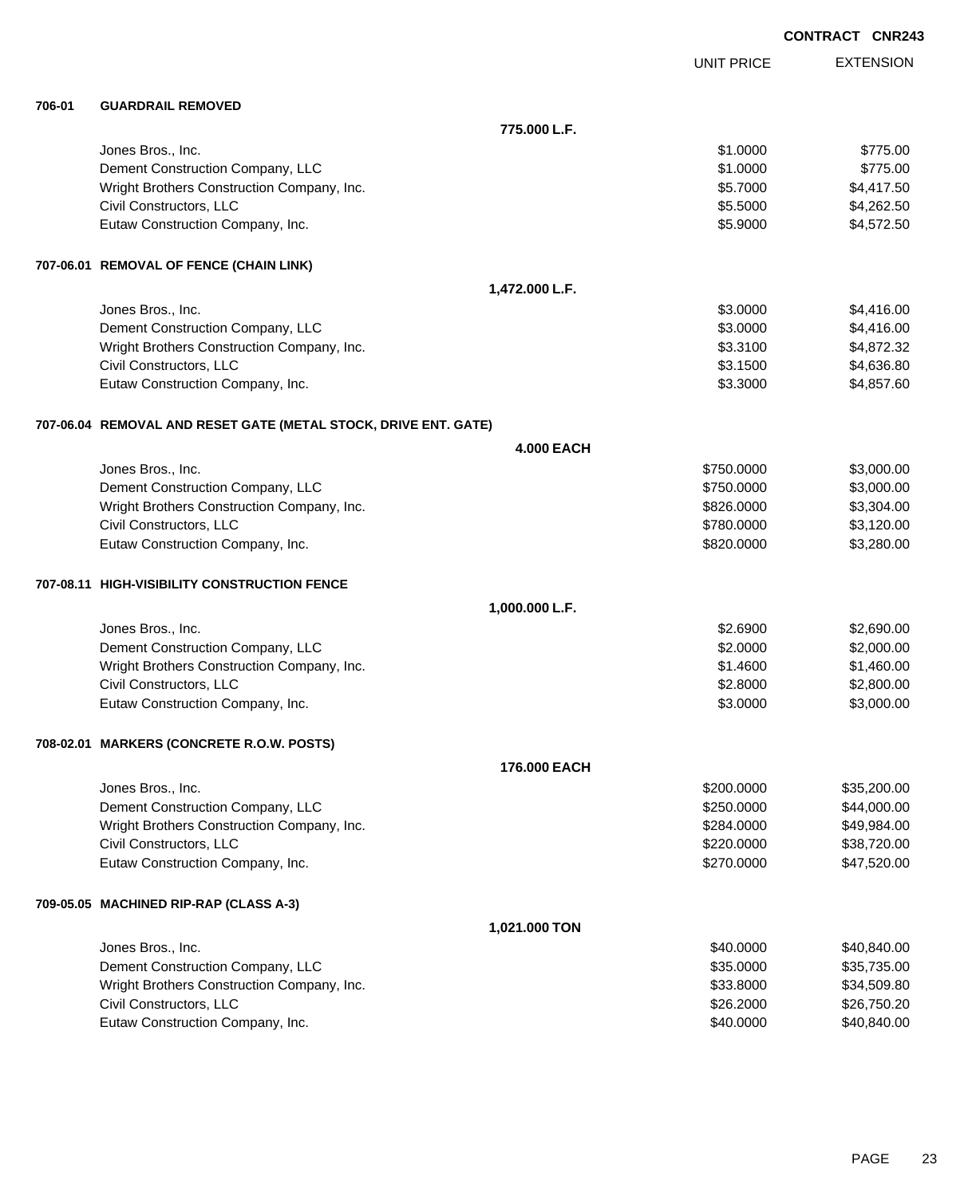|        |                                                                   |                   |                   | <b>CONTRACT CNR243</b> |
|--------|-------------------------------------------------------------------|-------------------|-------------------|------------------------|
|        |                                                                   |                   | <b>UNIT PRICE</b> | <b>EXTENSION</b>       |
| 706-01 | <b>GUARDRAIL REMOVED</b>                                          |                   |                   |                        |
|        |                                                                   | 775.000 L.F.      |                   |                        |
|        | Jones Bros., Inc.                                                 |                   | \$1.0000          | \$775.00               |
|        | Dement Construction Company, LLC                                  |                   | \$1.0000          | \$775.00               |
|        | Wright Brothers Construction Company, Inc.                        |                   | \$5.7000          | \$4,417.50             |
|        | Civil Constructors, LLC                                           |                   | \$5.5000          | \$4,262.50             |
|        | Eutaw Construction Company, Inc.                                  |                   | \$5.9000          | \$4,572.50             |
|        | 707-06.01 REMOVAL OF FENCE (CHAIN LINK)                           |                   |                   |                        |
|        |                                                                   | 1,472.000 L.F.    |                   |                        |
|        | Jones Bros., Inc.                                                 |                   | \$3.0000          | \$4,416.00             |
|        | Dement Construction Company, LLC                                  |                   | \$3.0000          | \$4,416.00             |
|        | Wright Brothers Construction Company, Inc.                        |                   | \$3.3100          | \$4,872.32             |
|        | Civil Constructors, LLC                                           |                   | \$3.1500          | \$4,636.80             |
|        | Eutaw Construction Company, Inc.                                  |                   | \$3.3000          | \$4,857.60             |
|        | 707-06.04   REMOVAL AND RESET GATE (METAL STOCK, DRIVE ENT. GATE) |                   |                   |                        |
|        |                                                                   | <b>4.000 EACH</b> |                   |                        |
|        | Jones Bros., Inc.                                                 |                   | \$750.0000        | \$3,000.00             |
|        | Dement Construction Company, LLC                                  |                   | \$750.0000        | \$3,000.00             |
|        | Wright Brothers Construction Company, Inc.                        |                   | \$826.0000        | \$3,304.00             |
|        | Civil Constructors, LLC                                           |                   | \$780.0000        | \$3,120.00             |
|        | Eutaw Construction Company, Inc.                                  |                   | \$820.0000        | \$3,280.00             |
|        | 707-08.11   HIGH-VISIBILITY CONSTRUCTION FENCE                    |                   |                   |                        |
|        |                                                                   | 1,000.000 L.F.    |                   |                        |
|        | Jones Bros., Inc.                                                 |                   | \$2.6900          | \$2,690.00             |
|        | Dement Construction Company, LLC                                  |                   | \$2.0000          | \$2,000.00             |
|        | Wright Brothers Construction Company, Inc.                        |                   | \$1.4600          | \$1,460.00             |
|        | Civil Constructors, LLC                                           |                   | \$2.8000          | \$2,800.00             |
|        | Eutaw Construction Company, Inc.                                  |                   | \$3.0000          | \$3,000.00             |
|        | 708-02.01 MARKERS (CONCRETE R.O.W. POSTS)                         |                   |                   |                        |
|        |                                                                   | 176.000 EACH      |                   |                        |
|        | Jones Bros., Inc.                                                 |                   | \$200.0000        | \$35,200.00            |
|        | Dement Construction Company, LLC                                  |                   | \$250.0000        | \$44,000.00            |
|        | Wright Brothers Construction Company, Inc.                        |                   | \$284.0000        | \$49,984.00            |
|        | Civil Constructors, LLC                                           |                   | \$220.0000        | \$38,720.00            |
|        | Eutaw Construction Company, Inc.                                  |                   | \$270.0000        | \$47,520.00            |
|        | 709-05.05 MACHINED RIP-RAP (CLASS A-3)                            |                   |                   |                        |
|        |                                                                   | 1,021.000 TON     |                   |                        |
|        | Jones Bros., Inc.                                                 |                   | \$40.0000         | \$40,840.00            |
|        | Dement Construction Company, LLC                                  |                   | \$35.0000         | \$35,735.00            |
|        | Wright Brothers Construction Company, Inc.                        |                   | \$33.8000         | \$34,509.80            |
|        | Civil Constructors, LLC                                           |                   | \$26.2000         | \$26,750.20            |

Eutaw Construction Company, Inc. 6. The Construction Company, Inc. 6. The Construction Company, Inc. 6. The Construction Company, Inc. 6. The Construction Company, Inc. 6. The Construction Company, Inc. 6. The Construction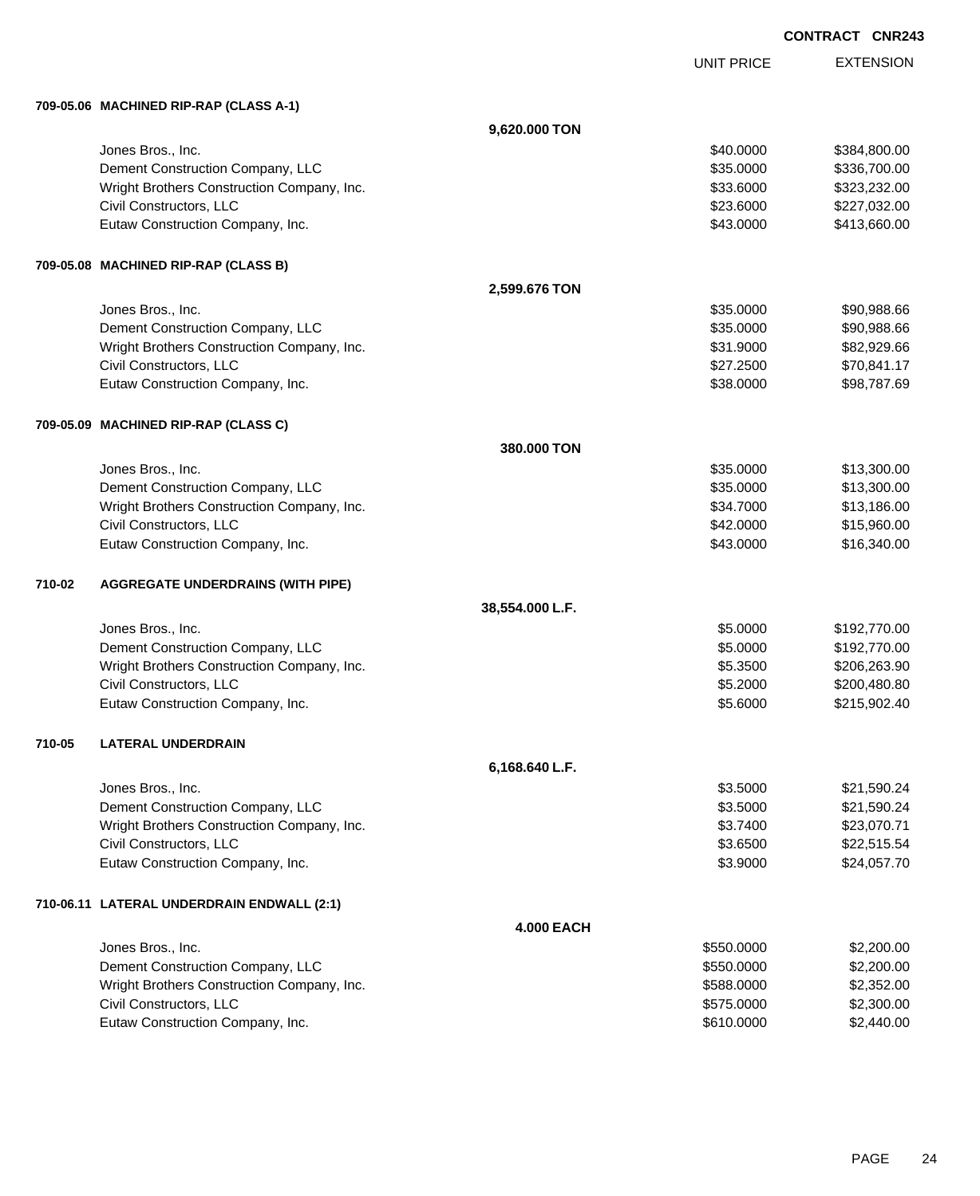UNIT PRICE EXTENSION

**709-05.06 MACHINED RIP-RAP (CLASS A-1)**

|        | 709-05.06   MACHINED KIP-KAP (CLASS A-1)   |                   |            |              |
|--------|--------------------------------------------|-------------------|------------|--------------|
|        |                                            | 9,620.000 TON     |            |              |
|        | Jones Bros., Inc.                          |                   | \$40.0000  | \$384,800.00 |
|        | Dement Construction Company, LLC           |                   | \$35.0000  | \$336,700.00 |
|        | Wright Brothers Construction Company, Inc. |                   | \$33.6000  | \$323,232.00 |
|        | Civil Constructors, LLC                    |                   | \$23.6000  | \$227,032.00 |
|        | Eutaw Construction Company, Inc.           |                   | \$43.0000  | \$413,660.00 |
|        | 709-05.08 MACHINED RIP-RAP (CLASS B)       |                   |            |              |
|        |                                            | 2,599.676 TON     |            |              |
|        | Jones Bros., Inc.                          |                   | \$35.0000  | \$90,988.66  |
|        | Dement Construction Company, LLC           |                   | \$35.0000  | \$90,988.66  |
|        | Wright Brothers Construction Company, Inc. |                   | \$31.9000  | \$82,929.66  |
|        | Civil Constructors, LLC                    |                   | \$27.2500  | \$70,841.17  |
|        | Eutaw Construction Company, Inc.           |                   | \$38.0000  | \$98,787.69  |
|        | 709-05.09 MACHINED RIP-RAP (CLASS C)       |                   |            |              |
|        |                                            | 380.000 TON       |            |              |
|        | Jones Bros., Inc.                          |                   | \$35.0000  | \$13,300.00  |
|        | Dement Construction Company, LLC           |                   | \$35.0000  | \$13,300.00  |
|        | Wright Brothers Construction Company, Inc. |                   | \$34.7000  | \$13,186.00  |
|        | Civil Constructors, LLC                    |                   | \$42.0000  | \$15,960.00  |
|        | Eutaw Construction Company, Inc.           |                   | \$43.0000  | \$16,340.00  |
| 710-02 | <b>AGGREGATE UNDERDRAINS (WITH PIPE)</b>   |                   |            |              |
|        |                                            | 38,554.000 L.F.   |            |              |
|        | Jones Bros., Inc.                          |                   | \$5.0000   | \$192,770.00 |
|        | Dement Construction Company, LLC           |                   | \$5.0000   | \$192,770.00 |
|        | Wright Brothers Construction Company, Inc. |                   | \$5.3500   | \$206,263.90 |
|        | Civil Constructors, LLC                    |                   | \$5.2000   | \$200,480.80 |
|        | Eutaw Construction Company, Inc.           |                   | \$5.6000   | \$215,902.40 |
| 710-05 | <b>LATERAL UNDERDRAIN</b>                  |                   |            |              |
|        |                                            | 6,168.640 L.F.    |            |              |
|        | Jones Bros., Inc.                          |                   | \$3.5000   | \$21,590.24  |
|        | Dement Construction Company, LLC           |                   | \$3.5000   | \$21,590.24  |
|        | Wright Brothers Construction Company, Inc. |                   | \$3.7400   | \$23,070.71  |
|        | Civil Constructors, LLC                    |                   | \$3.6500   | \$22,515.54  |
|        | Eutaw Construction Company, Inc.           |                   | \$3.9000   | \$24,057.70  |
|        | 710-06.11 LATERAL UNDERDRAIN ENDWALL (2:1) |                   |            |              |
|        |                                            | <b>4.000 EACH</b> |            |              |
|        | Jones Bros., Inc.                          |                   | \$550.0000 | \$2,200.00   |
|        | Dement Construction Company, LLC           |                   | \$550.0000 | \$2,200.00   |
|        | Wright Brothers Construction Company, Inc. |                   | \$588.0000 | \$2,352.00   |
|        | Civil Constructors, LLC                    |                   | \$575.0000 | \$2,300.00   |
|        | Eutaw Construction Company, Inc.           |                   | \$610.0000 | \$2,440.00   |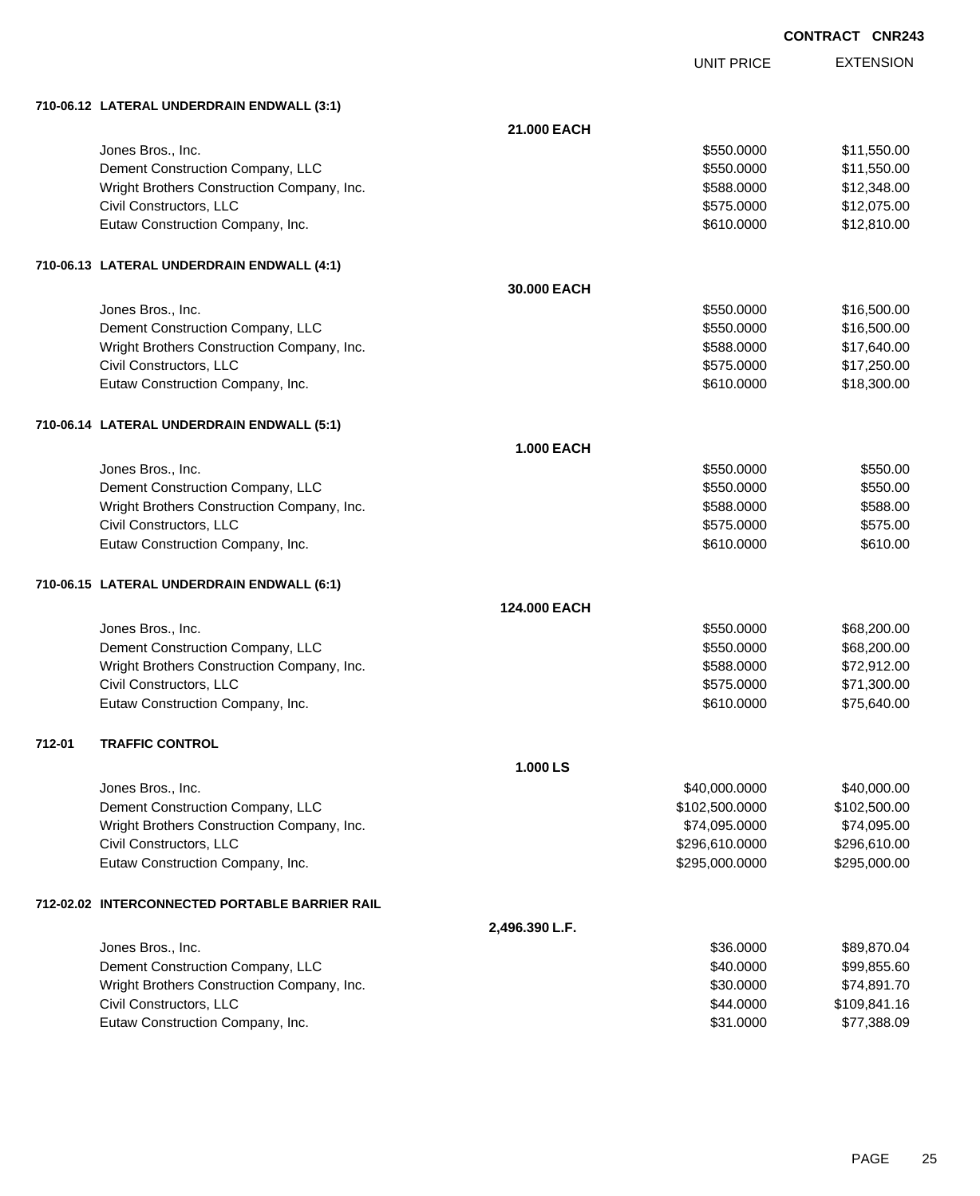UNIT PRICE EXTENSION

**710-06.12 LATERAL UNDERDRAIN ENDWALL (3:1)**

|        | 710-06.12 LATERAL UNDERDRAIN ENDWALL (3.1)     |                   |                |              |
|--------|------------------------------------------------|-------------------|----------------|--------------|
|        |                                                | 21.000 EACH       |                |              |
|        | Jones Bros., Inc.                              |                   | \$550.0000     | \$11,550.00  |
|        | Dement Construction Company, LLC               |                   | \$550.0000     | \$11,550.00  |
|        | Wright Brothers Construction Company, Inc.     |                   | \$588.0000     | \$12,348.00  |
|        | Civil Constructors, LLC                        |                   | \$575.0000     | \$12,075.00  |
|        | Eutaw Construction Company, Inc.               |                   | \$610.0000     | \$12,810.00  |
|        | 710-06.13 LATERAL UNDERDRAIN ENDWALL (4:1)     |                   |                |              |
|        |                                                | 30,000 EACH       |                |              |
|        | Jones Bros., Inc.                              |                   | \$550.0000     | \$16,500.00  |
|        | Dement Construction Company, LLC               |                   | \$550.0000     | \$16,500.00  |
|        | Wright Brothers Construction Company, Inc.     |                   | \$588.0000     | \$17,640.00  |
|        | Civil Constructors, LLC                        |                   | \$575.0000     | \$17,250.00  |
|        | Eutaw Construction Company, Inc.               |                   | \$610.0000     | \$18,300.00  |
|        | 710-06.14 LATERAL UNDERDRAIN ENDWALL (5:1)     |                   |                |              |
|        |                                                | <b>1.000 EACH</b> |                |              |
|        | Jones Bros., Inc.                              |                   | \$550.0000     | \$550.00     |
|        | Dement Construction Company, LLC               |                   | \$550.0000     | \$550.00     |
|        | Wright Brothers Construction Company, Inc.     |                   | \$588.0000     | \$588.00     |
|        | Civil Constructors, LLC                        |                   | \$575.0000     | \$575.00     |
|        | Eutaw Construction Company, Inc.               |                   | \$610.0000     | \$610.00     |
|        | 710-06.15 LATERAL UNDERDRAIN ENDWALL (6:1)     |                   |                |              |
|        |                                                | 124.000 EACH      |                |              |
|        | Jones Bros., Inc.                              |                   | \$550.0000     | \$68,200.00  |
|        | Dement Construction Company, LLC               |                   | \$550.0000     | \$68,200.00  |
|        | Wright Brothers Construction Company, Inc.     |                   | \$588.0000     | \$72,912.00  |
|        | Civil Constructors, LLC                        |                   | \$575.0000     | \$71,300.00  |
|        | Eutaw Construction Company, Inc.               |                   | \$610.0000     | \$75,640.00  |
| 712-01 | <b>TRAFFIC CONTROL</b>                         |                   |                |              |
|        |                                                | 1.000 LS          |                |              |
|        | Jones Bros., Inc.                              |                   | \$40,000.0000  | \$40,000.00  |
|        | Dement Construction Company, LLC               |                   | \$102,500.0000 | \$102,500.00 |
|        | Wright Brothers Construction Company, Inc.     |                   | \$74,095.0000  | \$74,095.00  |
|        | Civil Constructors, LLC                        |                   | \$296,610.0000 | \$296,610.00 |
|        | Eutaw Construction Company, Inc.               |                   | \$295,000.0000 | \$295,000.00 |
|        | 712-02.02 INTERCONNECTED PORTABLE BARRIER RAIL |                   |                |              |
|        |                                                | 2,496.390 L.F.    |                |              |
|        | Jones Bros., Inc.                              |                   | \$36.0000      | \$89,870.04  |
|        | Dement Construction Company, LLC               |                   | \$40.0000      | \$99,855.60  |
|        | Wright Brothers Construction Company, Inc.     |                   | \$30.0000      | \$74,891.70  |
|        | Civil Constructors, LLC                        |                   | \$44.0000      | \$109,841.16 |
|        | Eutaw Construction Company, Inc.               |                   | \$31.0000      | \$77,388.09  |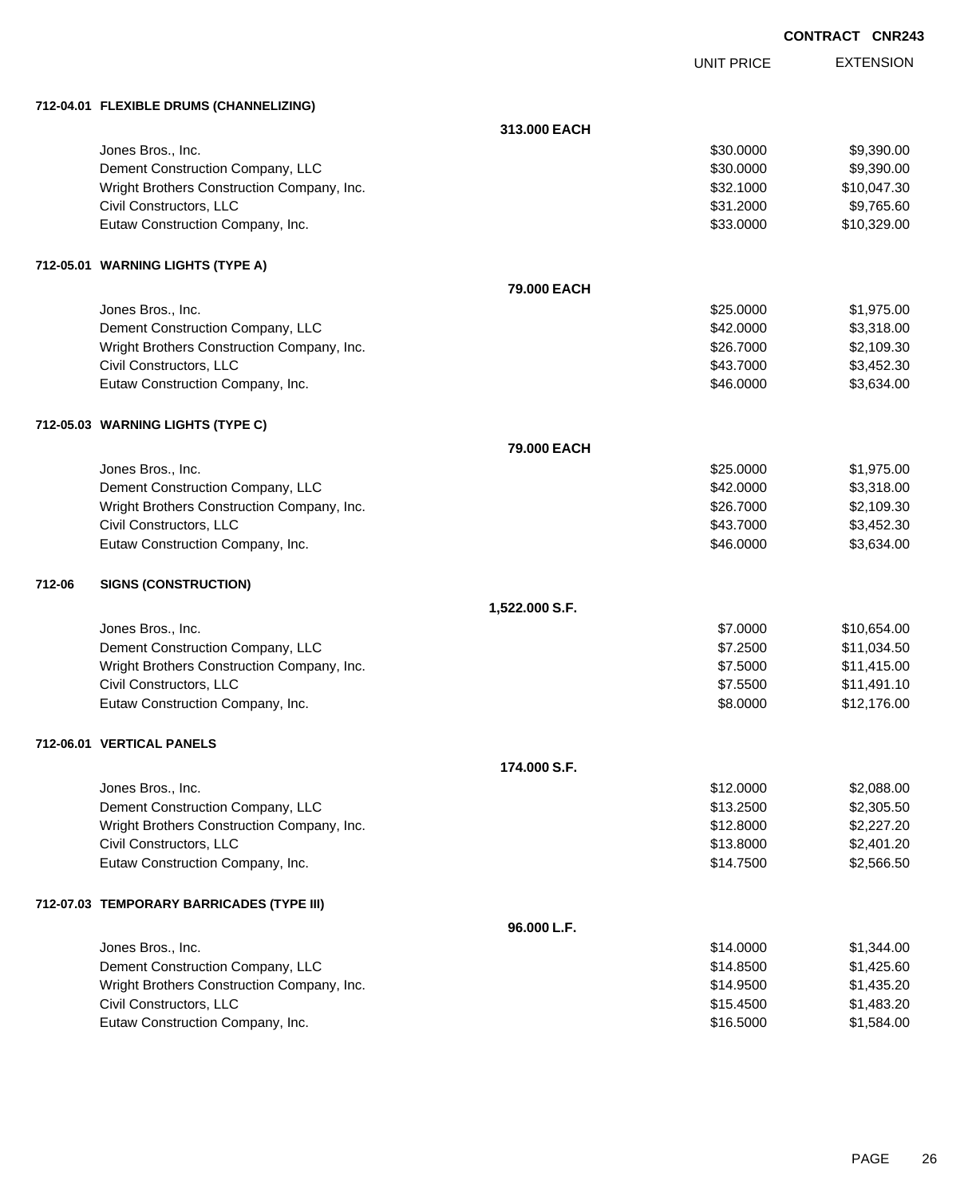| CONTRACT CNR243 |  |
|-----------------|--|
|                 |  |

EXTENSION UNIT PRICE **712-04.01 FLEXIBLE DRUMS (CHANNELIZING) 313.000 EACH** Jones Bros., Inc. \$30.0000 \$9,390.00 Dement Construction Company, LLC 6. The state of the state of the state of the state of the state of the state of the state of the state of the state of the state of the state of the state of the state of the state of the Wright Brothers Construction Company, Inc.  $$32.1000$  \$10,047.30 Civil Constructors, LLC 6. 2000 \$9,765.60 Eutaw Construction Company, Inc. 6. The Construction Company, Inc. 6. The Construction Company, Inc. 6. The Construction Company, Inc. 6. The Construction Company, Inc. 6. The Construction Company, Inc. 6. The Construction **712-05.01 WARNING LIGHTS (TYPE A) 79.000 EACH** Jones Bros., Inc. \$25.0000 \$1,975.00 Dement Construction Company, LLC 66 and the construction Company, LLC 66 and the construction Company, LLC Wright Brothers Construction Company, Inc. 6 (1996) 826.7000 \$26.7000 \$2,109.30 Civil Constructors, LLC 63,452.30 Eutaw Construction Company, Inc. 6. The Construction Company, Inc. 6. The Construction Company, Inc. 6. The Construction Company, Inc. 6. The Construction Company, Inc. 6. The Construction Company, Inc. 6. The Construction **712-05.03 WARNING LIGHTS (TYPE C) 79.000 EACH** Jones Bros., Inc. \$25.0000 \$1,975.00 Dement Construction Company, LLC 6 and the state of the state of the state of the state of the state of the state of the state of the state of the state of the state of the state of the state of the state of the state of t Wright Brothers Construction Company, Inc. 6 (1996) 826.7000 \$26.7000 \$2,109.30 Civil Constructors, LLC 63,452.30 Eutaw Construction Company, Inc. 6. The Construction Company, Inc. 6. The Construction Company, Inc. 6. The Construction Company, Inc. 6. The Construction Company, Inc. 6. The Construction Company, Inc. 6. The Construction **712-06 SIGNS (CONSTRUCTION) 1,522.000 S.F.** Jones Bros., Inc. \$7.0000 \$10,654.00 Dement Construction Company, LLC **but a struction Company, LLC** \$7.2500 \$11,034.50 Wright Brothers Construction Company, Inc. 6. 2010 1.1.415.00 \$11,415.00 Civil Constructors, LLC 611,491.10 Eutaw Construction Company, Inc. 6. 2000 \$12,176.00 **712-06.01 VERTICAL PANELS 174.000 S.F.** Jones Bros., Inc. \$12.0000 \$2,088.00 Dement Construction Company, LLC 6. The construction Company, LLC 6. The construction Company, LLC Wright Brothers Construction Company, Inc. \$12.8000 \$2,227.20 Civil Constructors, LLC 6. 2011.20 \$13.8000 \$2,401.20 Eutaw Construction Company, Inc. 6. 2012 12:30:30 \$14.7500 \$2,566.50 **712-07.03 TEMPORARY BARRICADES (TYPE III) 96.000 L.F.** Jones Bros., Inc. \$14.0000 \$1,344.00 Dement Construction Company, LLC 6. The state of the state of the state of the state of the state of the state of the state of the state of the state of the state of the state of the state of the state of the state of the Wright Brothers Construction Company, Inc. 6. 2012 1.435.20 \$14.9500 \$1,435.20 Civil Constructors, LLC 61,483.20 Eutaw Construction Company, Inc. 6. 2012 12:30 12:30 12:30 12:30 12:30 12:30 12:30 12:30 12:30 12:30 12:30 12:30 12:30 12:30 12:30 12:30 12:30 12:30 12:30 12:30 12:30 12:30 12:30 12:30 12:30 12:30 12:30 12:30 12:30 12:30 1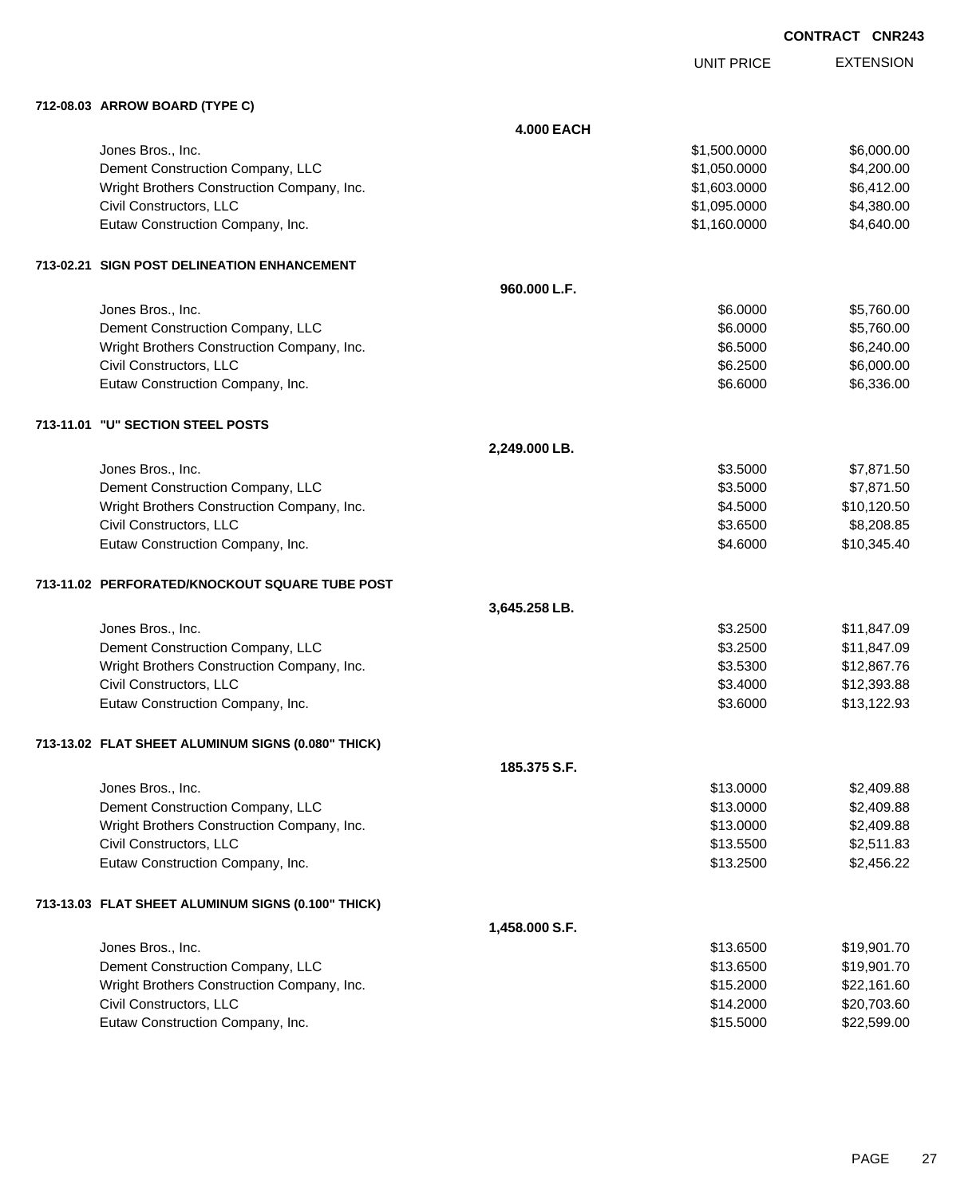| CONTRACT CNR243 |  |
|-----------------|--|
|-----------------|--|

UNIT PRICE

EXTENSION

| 712-08.03 ARROW BOARD (TYPE C)                     |                   |              |             |
|----------------------------------------------------|-------------------|--------------|-------------|
|                                                    | <b>4.000 EACH</b> |              |             |
| Jones Bros., Inc.                                  |                   | \$1,500.0000 | \$6,000.00  |
| Dement Construction Company, LLC                   |                   | \$1,050.0000 | \$4,200.00  |
| Wright Brothers Construction Company, Inc.         |                   | \$1,603.0000 | \$6,412.00  |
| Civil Constructors, LLC                            |                   | \$1,095.0000 | \$4,380.00  |
| Eutaw Construction Company, Inc.                   |                   | \$1,160.0000 | \$4,640.00  |
| 713-02.21 SIGN POST DELINEATION ENHANCEMENT        |                   |              |             |
|                                                    | 960.000 L.F.      |              |             |
| Jones Bros., Inc.                                  |                   | \$6.0000     | \$5,760.00  |
| Dement Construction Company, LLC                   |                   | \$6.0000     | \$5,760.00  |
| Wright Brothers Construction Company, Inc.         |                   | \$6.5000     | \$6,240.00  |
| Civil Constructors, LLC                            |                   | \$6.2500     | \$6,000.00  |
| Eutaw Construction Company, Inc.                   |                   | \$6.6000     | \$6,336.00  |
| 713-11.01 "U" SECTION STEEL POSTS                  |                   |              |             |
|                                                    | 2,249.000 LB.     |              |             |
| Jones Bros., Inc.                                  |                   | \$3.5000     | \$7,871.50  |
| Dement Construction Company, LLC                   |                   | \$3.5000     | \$7,871.50  |
| Wright Brothers Construction Company, Inc.         |                   | \$4.5000     | \$10,120.50 |
| Civil Constructors, LLC                            |                   | \$3.6500     | \$8,208.85  |
| Eutaw Construction Company, Inc.                   |                   | \$4.6000     | \$10,345.40 |
| 713-11.02 PERFORATED/KNOCKOUT SQUARE TUBE POST     |                   |              |             |
|                                                    | 3,645.258 LB.     |              |             |
| Jones Bros., Inc.                                  |                   | \$3.2500     | \$11,847.09 |
| Dement Construction Company, LLC                   |                   | \$3.2500     | \$11,847.09 |
| Wright Brothers Construction Company, Inc.         |                   | \$3.5300     | \$12,867.76 |
| Civil Constructors, LLC                            |                   | \$3.4000     | \$12,393.88 |
| Eutaw Construction Company, Inc.                   |                   | \$3.6000     | \$13,122.93 |
| 713-13.02 FLAT SHEET ALUMINUM SIGNS (0.080" THICK) |                   |              |             |
|                                                    | 185.375 S.F.      |              |             |
| Jones Bros., Inc.                                  |                   | \$13.0000    | \$2,409.88  |
| Dement Construction Company, LLC                   |                   | \$13.0000    | \$2,409.88  |
| Wright Brothers Construction Company, Inc.         |                   | \$13.0000    | \$2,409.88  |
| Civil Constructors, LLC                            |                   | \$13.5500    | \$2,511.83  |
| Eutaw Construction Company, Inc.                   |                   | \$13.2500    | \$2,456.22  |
| 713-13.03 FLAT SHEET ALUMINUM SIGNS (0.100" THICK) |                   |              |             |
|                                                    | 1,458.000 S.F.    |              |             |
| Jones Bros., Inc.                                  |                   | \$13.6500    | \$19,901.70 |
| Dement Construction Company, LLC                   |                   | \$13.6500    | \$19,901.70 |
| Wright Brothers Construction Company, Inc.         |                   | \$15.2000    | \$22,161.60 |

Civil Constructors, LLC 620,703.60 Eutaw Construction Company, Inc. 6. The Construction Company, Inc. 6. The Construction Company, Inc. 6. The Construction Company, Inc. 6. The Construction Company, Inc. 6. The Construction Company, Inc. 6. The Construction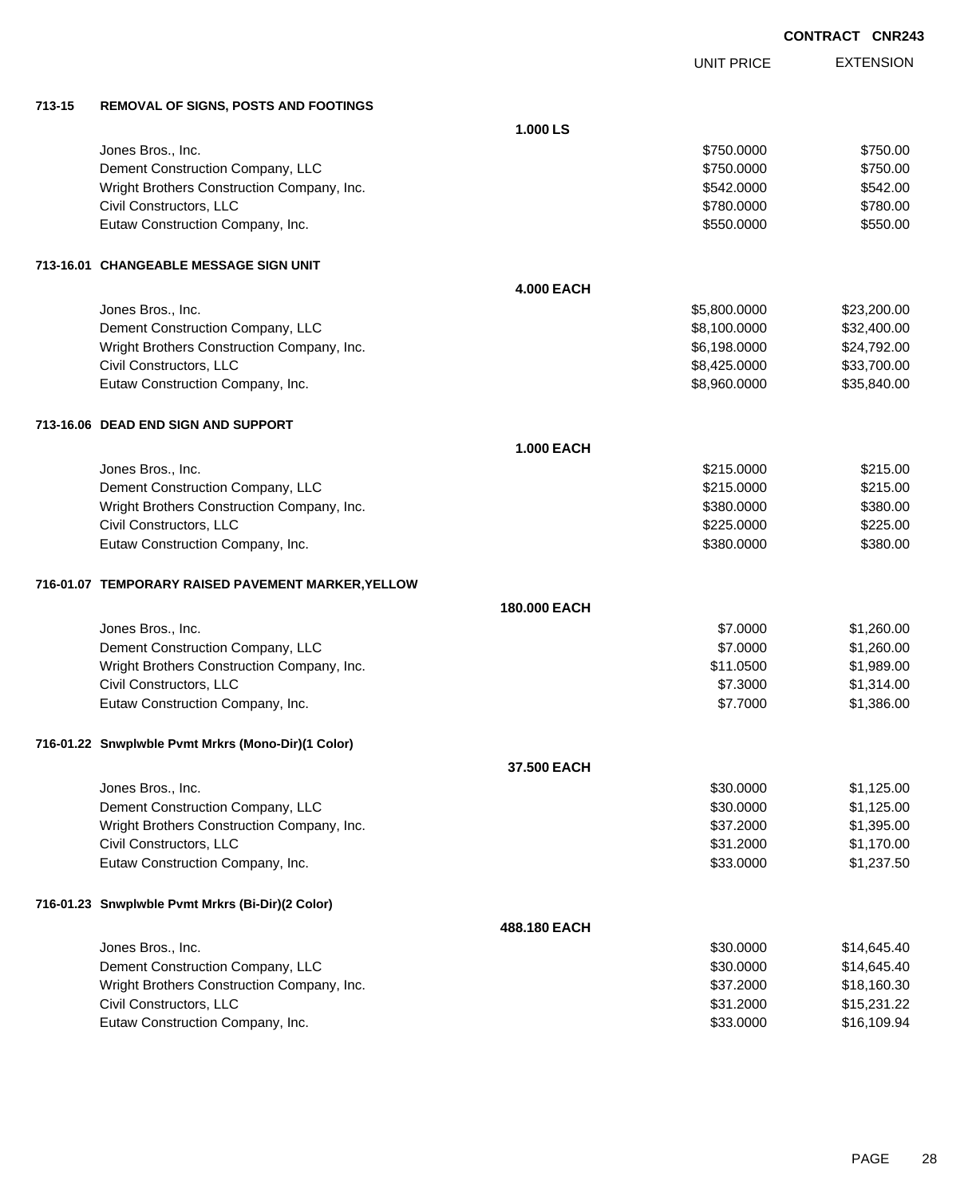|        |                                                    |                   | <b>UNIT PRICE</b> | <b>EXTENSION</b> |
|--------|----------------------------------------------------|-------------------|-------------------|------------------|
| 713-15 | <b>REMOVAL OF SIGNS, POSTS AND FOOTINGS</b>        |                   |                   |                  |
|        |                                                    | 1.000 LS          |                   |                  |
|        | Jones Bros., Inc.                                  |                   | \$750.0000        | \$750.00         |
|        | Dement Construction Company, LLC                   |                   | \$750.0000        | \$750.00         |
|        | Wright Brothers Construction Company, Inc.         |                   | \$542.0000        | \$542.00         |
|        | Civil Constructors, LLC                            |                   | \$780.0000        | \$780.00         |
|        | Eutaw Construction Company, Inc.                   |                   | \$550.0000        | \$550.00         |
|        | 713-16.01 CHANGEABLE MESSAGE SIGN UNIT             |                   |                   |                  |
|        |                                                    | <b>4.000 EACH</b> |                   |                  |
|        | Jones Bros., Inc.                                  |                   | \$5,800.0000      | \$23,200.00      |
|        | Dement Construction Company, LLC                   |                   | \$8,100.0000      | \$32,400.00      |
|        | Wright Brothers Construction Company, Inc.         |                   | \$6,198.0000      | \$24,792.00      |
|        | Civil Constructors, LLC                            |                   | \$8,425.0000      | \$33,700.00      |
|        | Eutaw Construction Company, Inc.                   |                   | \$8,960.0000      | \$35,840.00      |
|        | 713-16.06 DEAD END SIGN AND SUPPORT                |                   |                   |                  |
|        |                                                    | <b>1.000 EACH</b> |                   |                  |
|        | Jones Bros., Inc.                                  |                   | \$215.0000        | \$215.00         |
|        | Dement Construction Company, LLC                   |                   | \$215.0000        | \$215.00         |
|        | Wright Brothers Construction Company, Inc.         |                   | \$380.0000        | \$380.00         |
|        | Civil Constructors, LLC                            |                   | \$225.0000        | \$225.00         |
|        | Eutaw Construction Company, Inc.                   |                   | \$380.0000        | \$380.00         |
|        | 716-01.07 TEMPORARY RAISED PAVEMENT MARKER, YELLOW |                   |                   |                  |
|        |                                                    | 180,000 EACH      |                   |                  |
|        | Jones Bros., Inc.                                  |                   | \$7.0000          | \$1,260.00       |
|        | Dement Construction Company, LLC                   |                   | \$7.0000          | \$1,260.00       |
|        | Wright Brothers Construction Company, Inc.         |                   | \$11.0500         | \$1,989.00       |
|        | Civil Constructors, LLC                            |                   | \$7.3000          | \$1,314.00       |
|        | Eutaw Construction Company, Inc.                   |                   | \$7.7000          | \$1,386.00       |
|        | 716-01.22 Snwplwble Pvmt Mrkrs (Mono-Dir)(1 Color) |                   |                   |                  |
|        |                                                    | 37.500 EACH       |                   |                  |
|        | Jones Bros., Inc.                                  |                   | \$30.0000         | \$1,125.00       |
|        | Dement Construction Company, LLC                   |                   | \$30.0000         | \$1,125.00       |
|        | Wright Brothers Construction Company, Inc.         |                   | \$37.2000         | \$1,395.00       |
|        | Civil Constructors, LLC                            |                   | \$31.2000         | \$1,170.00       |
|        | Eutaw Construction Company, Inc.                   |                   | \$33.0000         | \$1,237.50       |
|        | 716-01.23 Snwplwble Pvmt Mrkrs (Bi-Dir)(2 Color)   |                   |                   |                  |
|        |                                                    | 488.180 EACH      |                   |                  |
|        | Jones Bros., Inc.                                  |                   | \$30.0000         | \$14,645.40      |
|        | Dement Construction Company, LLC                   |                   | \$30.0000         | \$14,645.40      |
|        | Wright Brothers Construction Company, Inc.         |                   | \$37.2000         | \$18,160.30      |
|        | Civil Constructors, LLC                            |                   | \$31.2000         | \$15,231.22      |
|        | Eutaw Construction Company, Inc.                   |                   | \$33.0000         | \$16,109.94      |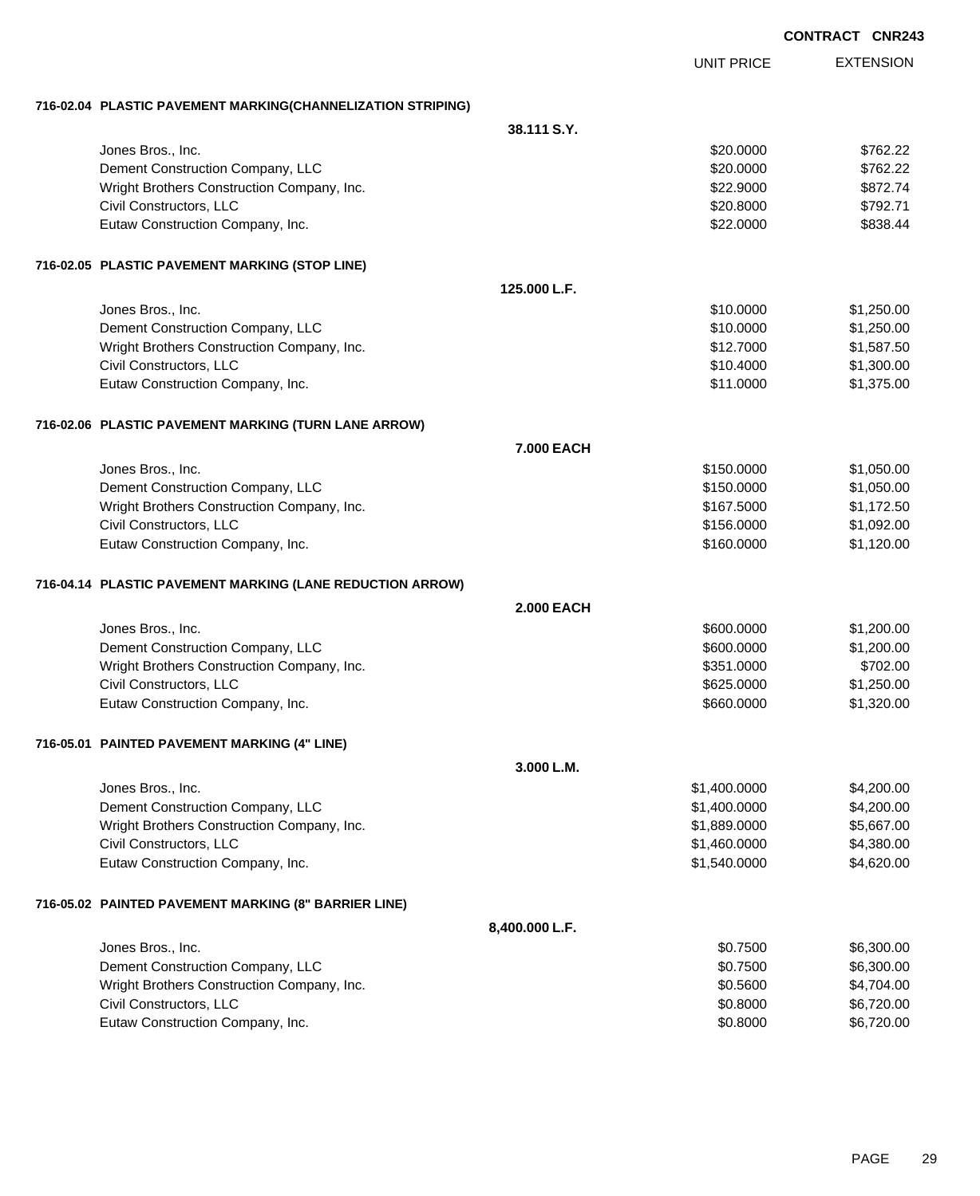| <b>CONTRACT</b> | <b>CNR243</b> |
|-----------------|---------------|
|                 |               |

EXTENSION UNIT PRICE **716-02.04 PLASTIC PAVEMENT MARKING(CHANNELIZATION STRIPING) 38.111 S.Y.** Jones Bros., Inc. \$20.0000 \$762.22 Dement Construction Company, LLC 6. The construction Company, LLC 6. The construction Company, LLC Wright Brothers Construction Company, Inc.  $$22.9000$  \$872.74 Civil Constructors, LLC 6792.71 Eutaw Construction Company, Inc. 6838.44 **716-02.05 PLASTIC PAVEMENT MARKING (STOP LINE) 125.000 L.F.** Jones Bros., Inc. \$10.0000 \$1,250.00 Dement Construction Company, LLC 6. The construction Company, LLC 6. The construction Company, LLC Wright Brothers Construction Company, Inc.  $$12.7000$   $$1,587.50$ Civil Constructors, LLC 61,300.00 \$1,300.00 \$1,300.00 \$1,300.00 \$1,300.00 \$1,300.00 \$1,300.00 \$1,300.00 \$1,300 Eutaw Construction Company, Inc. 6. The Construction Company, Inc. 6. The Construction Company, Inc. 6. The Construction Company, Inc. 6. The Construction Company, Inc. 6. The Construction Company, Inc. 6. The Construction **716-02.06 PLASTIC PAVEMENT MARKING (TURN LANE ARROW) 7.000 EACH** Jones Bros., Inc. \$150.0000 \$1,050.00 Dement Construction Company, LLC 6 and the state of the state of the state  $$150.0000$  \$1,050.000 \$1,050.00 Wright Brothers Construction Company, Inc. 6. 2012 12:00 \$167.5000 \$1,172.50 Civil Constructors, LLC 6. 2002.00 \$1,092.00 Eutaw Construction Company, Inc. 6. The Construction Company, Inc. 6. The Construction Company, Inc. 6. The Construction Company, Inc. 6. The Construction Company, Inc. 6. The Construction Company, Inc. 6. The Construction **716-04.14 PLASTIC PAVEMENT MARKING (LANE REDUCTION ARROW) 2.000 EACH** Jones Bros., Inc. \$600.0000 \$1,200.00 Dement Construction Company, LLC 600000 \$1,200.00 Wright Brothers Construction Company, Inc. 6702.00 \$702.00 Civil Constructors, LLC 6. 250.000 \$1,250.00 Eutaw Construction Company, Inc. 6. The Construction Company, Inc. 6. The Construction Company, Inc. 6. The Construction Company, Inc. 6. The Construction Company, Inc. 6. The Construction Company, Inc. 6. The Construction **716-05.01 PAINTED PAVEMENT MARKING (4" LINE) 3.000 L.M.** Jones Bros., Inc. \$1,400.0000 \$4,200.00 Dement Construction Company, LLC 6. The construction Company, LLC 6. The construction Company, LLC Wright Brothers Construction Company, Inc.  $$1,889.0000$  \$5,667.00 Civil Constructors, LLC 64,380.00 Eutaw Construction Company, Inc. 6. The Construction Company, Inc. 6. The Construction Company, Inc. 6. The Construction Company, Inc. 6. The Construction Company, Inc. 6. The Construction Company, Inc. 6. The Construction **716-05.02 PAINTED PAVEMENT MARKING (8" BARRIER LINE) 8,400.000 L.F.** Jones Bros., Inc. \$0.7500 \$6,300.00 Dement Construction Company, LLC 6.300.00 \$6,300.00 \$6,300.00 Wright Brothers Construction Company, Inc. 6. 2012 12:30:300 \$4,704.00 Civil Constructors, LLC 6.720.00 Eutaw Construction Company, Inc. 6. 2000 \$6,720.00 \$6,720.00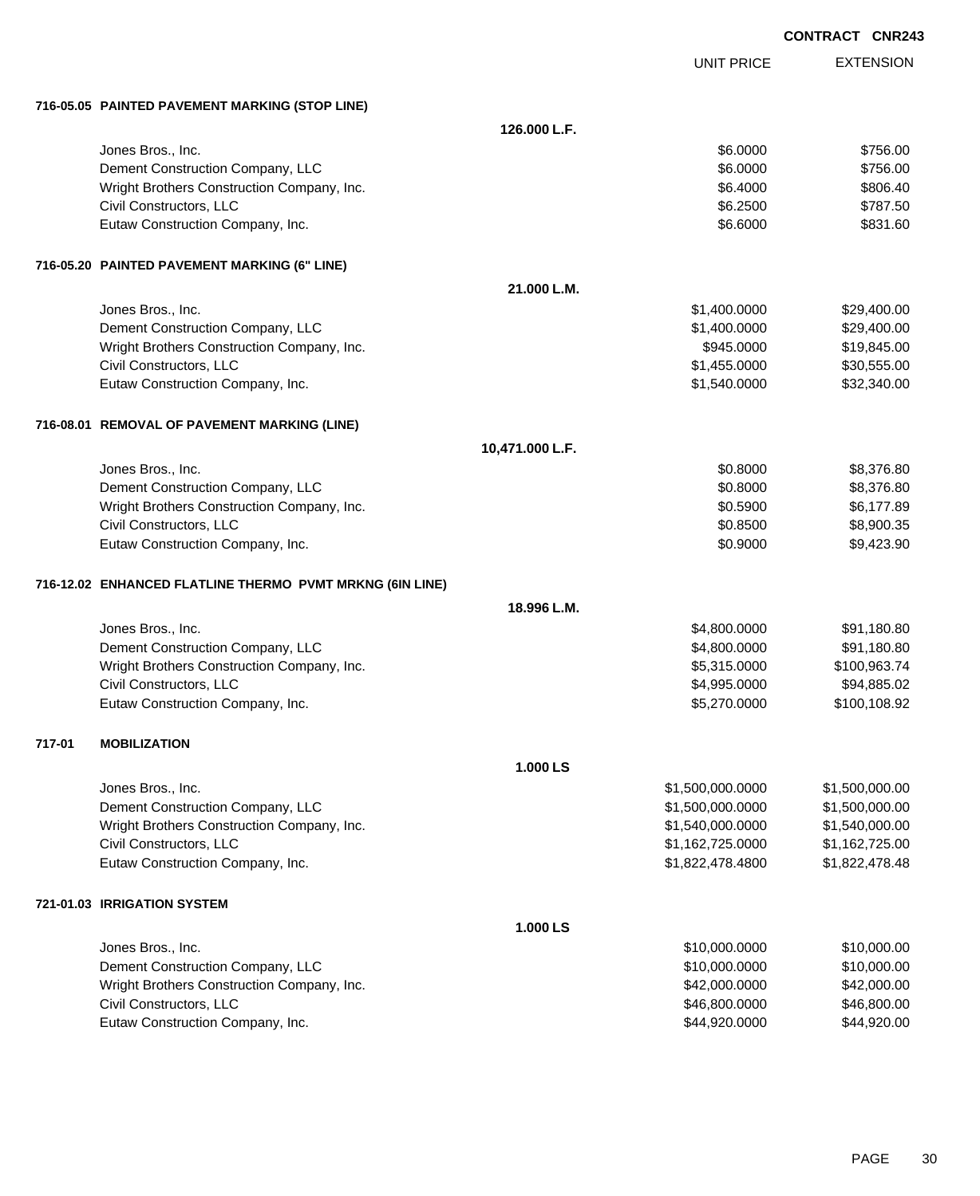|        |                                                          |                 |                   | <b>CONTRACT CNR243</b> |
|--------|----------------------------------------------------------|-----------------|-------------------|------------------------|
|        |                                                          |                 | <b>UNIT PRICE</b> | <b>EXTENSION</b>       |
|        | 716-05.05 PAINTED PAVEMENT MARKING (STOP LINE)           |                 |                   |                        |
|        |                                                          | 126.000 L.F.    |                   |                        |
|        | Jones Bros., Inc.                                        |                 | \$6.0000          | \$756.00               |
|        | Dement Construction Company, LLC                         |                 | \$6.0000          | \$756.00               |
|        | Wright Brothers Construction Company, Inc.               |                 | \$6.4000          | \$806.40               |
|        | Civil Constructors, LLC                                  |                 | \$6.2500          | \$787.50               |
|        | Eutaw Construction Company, Inc.                         |                 | \$6.6000          | \$831.60               |
|        | 716-05.20 PAINTED PAVEMENT MARKING (6" LINE)             |                 |                   |                        |
|        |                                                          | 21.000 L.M.     |                   |                        |
|        | Jones Bros., Inc.                                        |                 | \$1,400.0000      | \$29,400.00            |
|        | Dement Construction Company, LLC                         |                 | \$1,400.0000      | \$29,400.00            |
|        | Wright Brothers Construction Company, Inc.               |                 | \$945.0000        | \$19,845.00            |
|        | Civil Constructors, LLC                                  |                 | \$1,455.0000      | \$30,555.00            |
|        | Eutaw Construction Company, Inc.                         |                 | \$1,540.0000      | \$32,340.00            |
|        | 716-08.01 REMOVAL OF PAVEMENT MARKING (LINE)             |                 |                   |                        |
|        |                                                          | 10,471.000 L.F. |                   |                        |
|        | Jones Bros., Inc.                                        |                 | \$0.8000          | \$8,376.80             |
|        | Dement Construction Company, LLC                         |                 | \$0.8000          | \$8,376.80             |
|        | Wright Brothers Construction Company, Inc.               |                 | \$0.5900          | \$6,177.89             |
|        | Civil Constructors, LLC                                  |                 | \$0.8500          | \$8,900.35             |
|        | Eutaw Construction Company, Inc.                         |                 | \$0.9000          | \$9,423.90             |
|        | 716-12.02 ENHANCED FLATLINE THERMO PVMT MRKNG (6IN LINE) |                 |                   |                        |
|        |                                                          | 18.996 L.M.     |                   |                        |
|        | Jones Bros., Inc.                                        |                 | \$4,800.0000      | \$91,180.80            |
|        | Dement Construction Company, LLC                         |                 | \$4,800.0000      | \$91,180.80            |
|        | Wright Brothers Construction Company, Inc.               |                 | \$5,315.0000      | \$100,963.74           |
|        | Civil Constructors, LLC                                  |                 | \$4,995.0000      | \$94,885.02            |
|        | Eutaw Construction Company, Inc.                         |                 | \$5,270.0000      | \$100,108.92           |
| 717-01 | <b>MOBILIZATION</b>                                      |                 |                   |                        |
|        |                                                          | 1.000 LS        |                   |                        |
|        | Jones Bros., Inc.                                        |                 | \$1,500,000.0000  | \$1,500,000.00         |
|        | Dement Construction Company, LLC                         |                 | \$1,500,000.0000  | \$1,500,000.00         |
|        | Wright Brothers Construction Company, Inc.               |                 | \$1,540,000.0000  | \$1,540,000.00         |
|        | Civil Constructors, LLC                                  |                 | \$1,162,725.0000  | \$1,162,725.00         |
|        | Eutaw Construction Company, Inc.                         |                 | \$1,822,478.4800  | \$1,822,478.48         |
|        | 721-01.03 IRRIGATION SYSTEM                              |                 |                   |                        |
|        |                                                          | 1.000 LS        |                   |                        |
|        | Jones Bros., Inc.                                        |                 | \$10,000.0000     | \$10,000.00            |
|        | Dement Construction Company, LLC                         |                 | \$10,000.0000     | \$10,000.00            |
|        | Wright Brothers Construction Company, Inc.               |                 | \$42,000.0000     | \$42,000.00            |
|        | Civil Constructors, LLC                                  |                 | \$46,800.0000     | \$46,800.00            |

Eutaw Construction Company, Inc. \$44,920.0000 \$44,920.00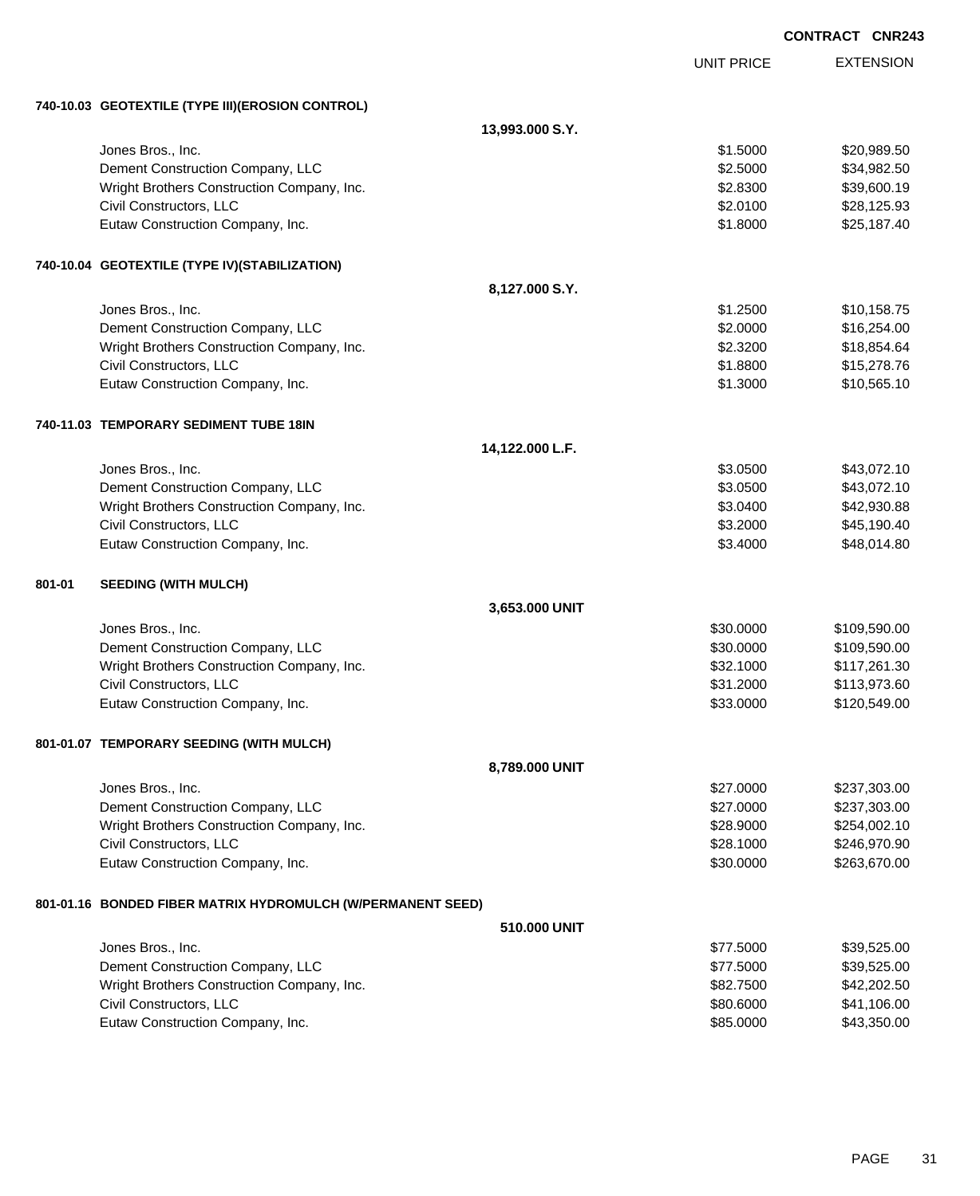|        |                                                             |                 |                   | <b>CONTRACT CNR243</b> |
|--------|-------------------------------------------------------------|-----------------|-------------------|------------------------|
|        |                                                             |                 | <b>UNIT PRICE</b> | <b>EXTENSION</b>       |
|        | 740-10.03 GEOTEXTILE (TYPE III) (EROSION CONTROL)           |                 |                   |                        |
|        |                                                             | 13,993.000 S.Y. |                   |                        |
|        | Jones Bros., Inc.                                           |                 | \$1.5000          | \$20,989.50            |
|        | Dement Construction Company, LLC                            |                 | \$2.5000          | \$34,982.50            |
|        | Wright Brothers Construction Company, Inc.                  |                 | \$2.8300          | \$39,600.19            |
|        | Civil Constructors, LLC                                     |                 | \$2.0100          | \$28,125.93            |
|        | Eutaw Construction Company, Inc.                            |                 | \$1.8000          | \$25,187.40            |
|        | 740-10.04 GEOTEXTILE (TYPE IV)(STABILIZATION)               |                 |                   |                        |
|        |                                                             | 8,127.000 S.Y.  |                   |                        |
|        | Jones Bros., Inc.                                           |                 | \$1.2500          | \$10,158.75            |
|        | Dement Construction Company, LLC                            |                 | \$2.0000          | \$16,254.00            |
|        | Wright Brothers Construction Company, Inc.                  |                 | \$2.3200          | \$18,854.64            |
|        | Civil Constructors, LLC                                     |                 | \$1.8800          | \$15,278.76            |
|        | Eutaw Construction Company, Inc.                            |                 | \$1.3000          | \$10,565.10            |
|        | 740-11.03 TEMPORARY SEDIMENT TUBE 18IN                      |                 |                   |                        |
|        |                                                             | 14,122.000 L.F. |                   |                        |
|        | Jones Bros., Inc.                                           |                 | \$3.0500          | \$43,072.10            |
|        | Dement Construction Company, LLC                            |                 | \$3.0500          | \$43,072.10            |
|        | Wright Brothers Construction Company, Inc.                  |                 | \$3.0400          | \$42,930.88            |
|        | Civil Constructors, LLC                                     |                 | \$3.2000          | \$45,190.40            |
|        | Eutaw Construction Company, Inc.                            |                 | \$3.4000          | \$48,014.80            |
| 801-01 | <b>SEEDING (WITH MULCH)</b>                                 |                 |                   |                        |
|        |                                                             | 3,653.000 UNIT  |                   |                        |
|        | Jones Bros., Inc.                                           |                 | \$30.0000         | \$109,590.00           |
|        | Dement Construction Company, LLC                            |                 | \$30.0000         | \$109,590.00           |
|        | Wright Brothers Construction Company, Inc.                  |                 | \$32.1000         | \$117,261.30           |
|        | Civil Constructors, LLC                                     |                 | \$31.2000         | \$113,973.60           |
|        | Eutaw Construction Company, Inc.                            |                 | \$33.0000         | \$120,549.00           |
|        | 801-01.07 TEMPORARY SEEDING (WITH MULCH)                    |                 |                   |                        |
|        |                                                             | 8,789.000 UNIT  |                   |                        |
|        | Jones Bros., Inc.                                           |                 | \$27.0000         | \$237,303.00           |
|        | Dement Construction Company, LLC                            |                 | \$27.0000         | \$237,303.00           |
|        | Wright Brothers Construction Company, Inc.                  |                 | \$28.9000         | \$254,002.10           |
|        | Civil Constructors, LLC                                     |                 | \$28.1000         | \$246,970.90           |
|        | Eutaw Construction Company, Inc.                            |                 | \$30.0000         | \$263,670.00           |
|        | 801-01.16 BONDED FIBER MATRIX HYDROMULCH (W/PERMANENT SEED) |                 |                   |                        |
|        |                                                             | 510.000 UNIT    |                   |                        |
|        | Jones Bros., Inc.                                           |                 | \$77.5000         | \$39,525.00            |
|        | Dement Construction Company, LLC                            |                 | \$77.5000         | \$39,525.00            |
|        | Wright Brothers Construction Company, Inc.                  |                 | \$82.7500         | \$42,202.50            |
|        | Civil Constructors, LLC                                     |                 | \$80.6000         | \$41,106.00            |
|        | Eutaw Construction Company, Inc.                            |                 | \$85.0000         | \$43,350.00            |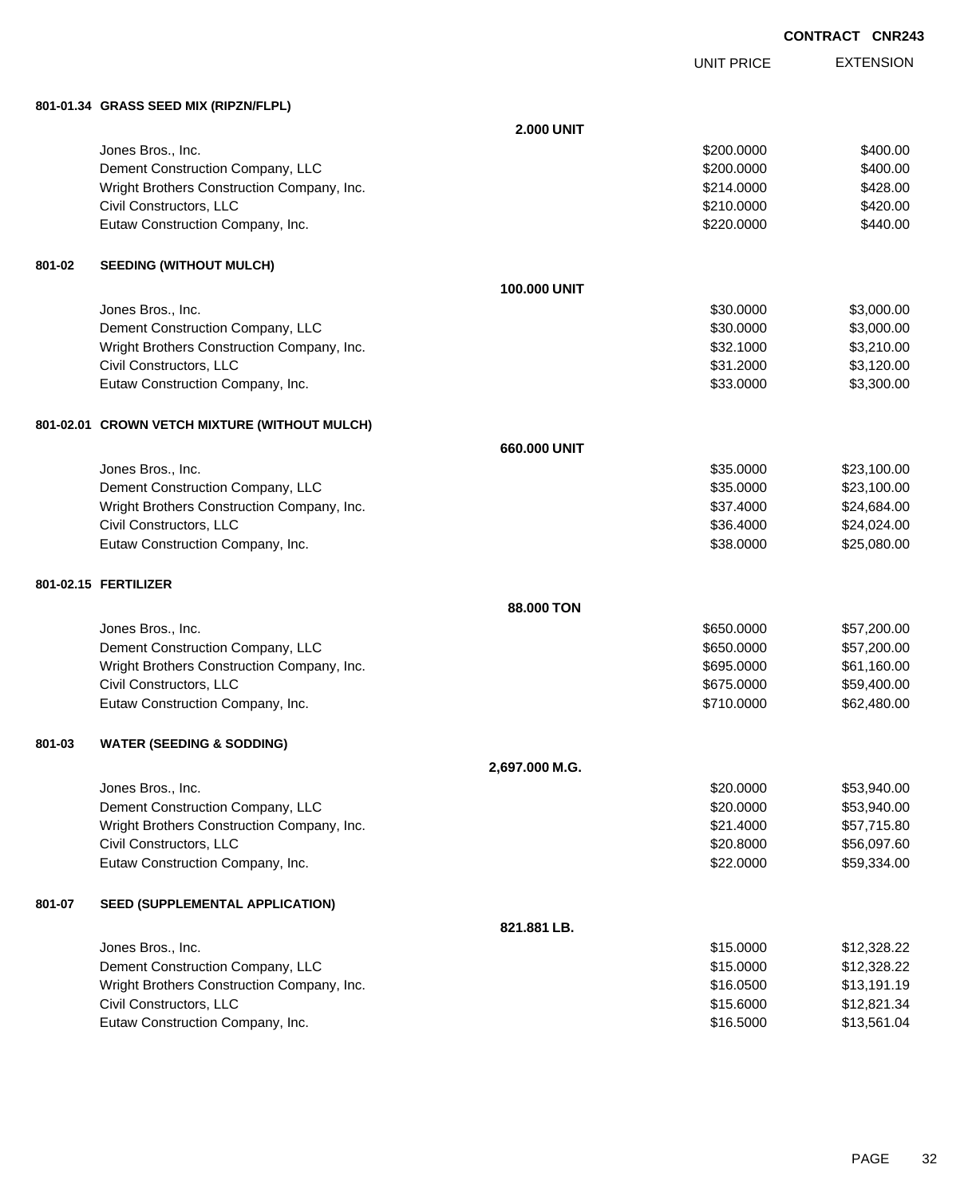UNIT PRICE

EXTENSION

**801-01.34 GRASS SEED MIX (RIPZN/FLPL)**

|        |                                               | <b>2.000 UNIT</b> |            |             |
|--------|-----------------------------------------------|-------------------|------------|-------------|
|        | Jones Bros., Inc.                             |                   | \$200.0000 | \$400.00    |
|        | Dement Construction Company, LLC              |                   | \$200.0000 | \$400.00    |
|        | Wright Brothers Construction Company, Inc.    |                   | \$214.0000 | \$428.00    |
|        | Civil Constructors, LLC                       |                   | \$210.0000 | \$420.00    |
|        | Eutaw Construction Company, Inc.              |                   | \$220.0000 | \$440.00    |
|        |                                               |                   |            |             |
| 801-02 | <b>SEEDING (WITHOUT MULCH)</b>                |                   |            |             |
|        |                                               | 100.000 UNIT      |            |             |
|        | Jones Bros., Inc.                             |                   | \$30.0000  | \$3,000.00  |
|        | Dement Construction Company, LLC              |                   | \$30.0000  | \$3,000.00  |
|        | Wright Brothers Construction Company, Inc.    |                   | \$32.1000  | \$3,210.00  |
|        | Civil Constructors, LLC                       |                   | \$31.2000  | \$3,120.00  |
|        | Eutaw Construction Company, Inc.              |                   | \$33.0000  | \$3,300.00  |
|        | 801-02.01 CROWN VETCH MIXTURE (WITHOUT MULCH) |                   |            |             |
|        |                                               | 660.000 UNIT      |            |             |
|        | Jones Bros., Inc.                             |                   | \$35.0000  | \$23,100.00 |
|        | Dement Construction Company, LLC              |                   | \$35.0000  | \$23,100.00 |
|        | Wright Brothers Construction Company, Inc.    |                   | \$37.4000  | \$24,684.00 |
|        | Civil Constructors, LLC                       |                   | \$36.4000  | \$24,024.00 |
|        | Eutaw Construction Company, Inc.              |                   | \$38.0000  | \$25,080.00 |
|        | 801-02.15 FERTILIZER                          |                   |            |             |
|        |                                               | 88.000 TON        |            |             |
|        | Jones Bros., Inc.                             |                   | \$650.0000 | \$57,200.00 |
|        | Dement Construction Company, LLC              |                   | \$650.0000 | \$57,200.00 |
|        | Wright Brothers Construction Company, Inc.    |                   | \$695.0000 | \$61,160.00 |
|        | Civil Constructors, LLC                       |                   | \$675.0000 | \$59,400.00 |
|        | Eutaw Construction Company, Inc.              |                   | \$710.0000 | \$62,480.00 |
| 801-03 | <b>WATER (SEEDING &amp; SODDING)</b>          |                   |            |             |
|        |                                               | 2,697.000 M.G.    |            |             |
|        | Jones Bros., Inc.                             |                   | \$20.0000  | \$53,940.00 |
|        | Dement Construction Company, LLC              |                   | \$20.0000  | \$53,940.00 |
|        | Wright Brothers Construction Company, Inc.    |                   | \$21.4000  | \$57,715.80 |
|        | Civil Constructors, LLC                       |                   | \$20.8000  | \$56,097.60 |
|        | Eutaw Construction Company, Inc.              |                   | \$22.0000  | \$59,334.00 |
| 801-07 | <b>SEED (SUPPLEMENTAL APPLICATION)</b>        |                   |            |             |
|        |                                               | 821.881 LB.       |            |             |
|        | Jones Bros., Inc.                             |                   | \$15.0000  | \$12,328.22 |
|        | Dement Construction Company, LLC              |                   | \$15.0000  | \$12,328.22 |
|        | Wright Brothers Construction Company, Inc.    |                   | \$16.0500  | \$13,191.19 |
|        | Civil Constructors, LLC                       |                   | \$15.6000  | \$12,821.34 |
|        | Eutaw Construction Company, Inc.              |                   | \$16.5000  | \$13,561.04 |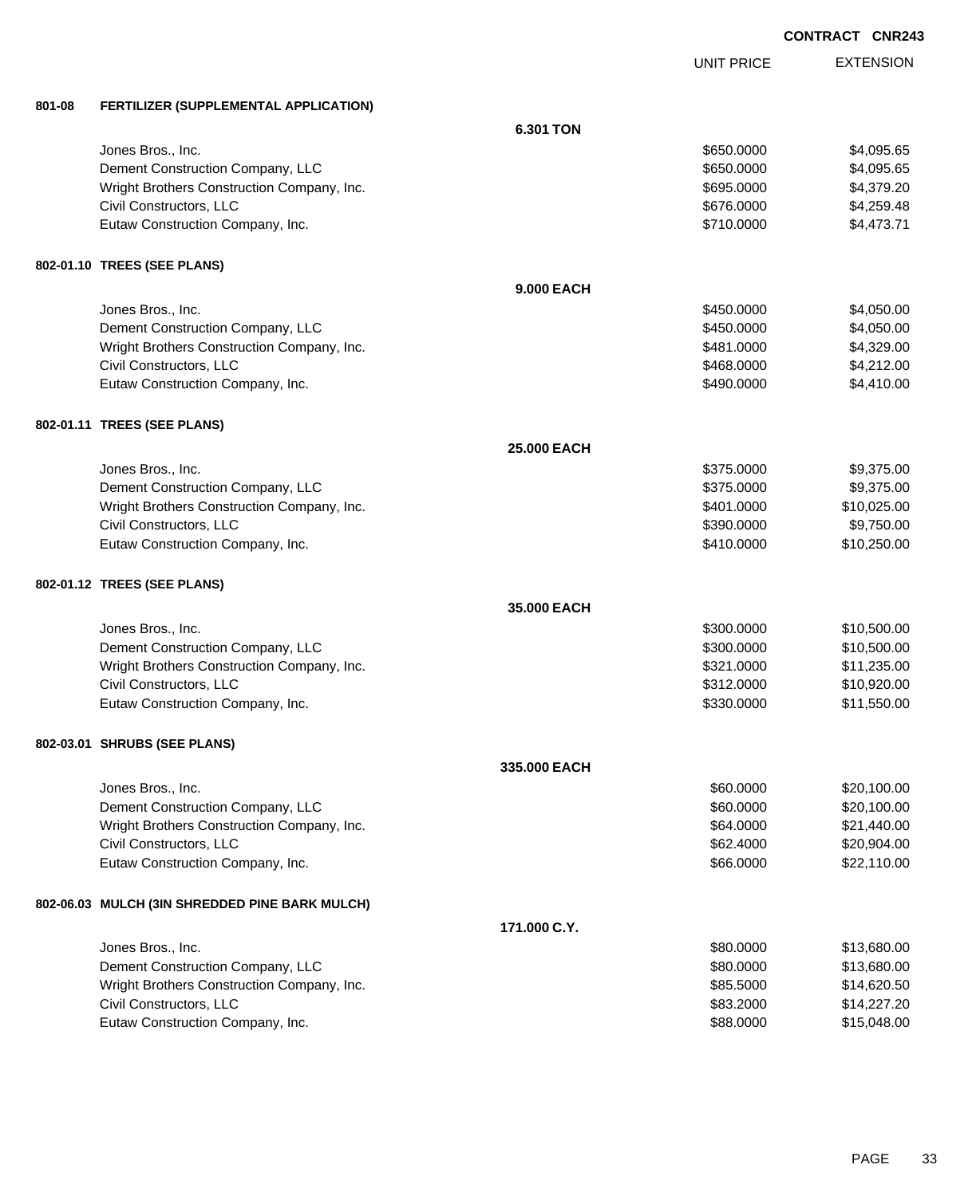UNIT PRICE

| 801-08 | FERTILIZER (SUPPLEMENTAL APPLICATION)          |                    |            |             |
|--------|------------------------------------------------|--------------------|------------|-------------|
|        |                                                | <b>6.301 TON</b>   |            |             |
|        | Jones Bros., Inc.                              |                    | \$650.0000 | \$4,095.65  |
|        | Dement Construction Company, LLC               |                    | \$650.0000 | \$4,095.65  |
|        | Wright Brothers Construction Company, Inc.     |                    | \$695.0000 | \$4,379.20  |
|        | Civil Constructors, LLC                        |                    | \$676.0000 | \$4,259.48  |
|        | Eutaw Construction Company, Inc.               |                    | \$710.0000 | \$4,473.71  |
|        | 802-01.10 TREES (SEE PLANS)                    |                    |            |             |
|        |                                                | <b>9.000 EACH</b>  |            |             |
|        | Jones Bros., Inc.                              |                    | \$450.0000 | \$4,050.00  |
|        | Dement Construction Company, LLC               |                    | \$450.0000 | \$4,050.00  |
|        | Wright Brothers Construction Company, Inc.     |                    | \$481.0000 | \$4,329.00  |
|        | Civil Constructors, LLC                        |                    | \$468.0000 | \$4,212.00  |
|        | Eutaw Construction Company, Inc.               |                    | \$490.0000 | \$4,410.00  |
|        | 802-01.11 TREES (SEE PLANS)                    |                    |            |             |
|        |                                                | <b>25.000 EACH</b> |            |             |
|        | Jones Bros., Inc.                              |                    | \$375.0000 | \$9,375.00  |
|        | Dement Construction Company, LLC               |                    | \$375.0000 | \$9,375.00  |
|        | Wright Brothers Construction Company, Inc.     |                    | \$401.0000 | \$10,025.00 |
|        | Civil Constructors, LLC                        |                    | \$390.0000 | \$9,750.00  |
|        | Eutaw Construction Company, Inc.               |                    | \$410.0000 | \$10,250.00 |
|        | 802-01.12 TREES (SEE PLANS)                    |                    |            |             |
|        |                                                | 35.000 EACH        |            |             |
|        | Jones Bros., Inc.                              |                    | \$300.0000 | \$10,500.00 |
|        | Dement Construction Company, LLC               |                    | \$300.0000 | \$10,500.00 |
|        | Wright Brothers Construction Company, Inc.     |                    | \$321.0000 | \$11,235.00 |
|        | Civil Constructors, LLC                        |                    | \$312.0000 | \$10,920.00 |
|        | Eutaw Construction Company, Inc.               |                    | \$330.0000 | \$11,550.00 |
|        | 802-03.01 SHRUBS (SEE PLANS)                   |                    |            |             |
|        |                                                | 335.000 EACH       |            |             |
|        | Jones Bros., Inc.                              |                    | \$60.0000  | \$20,100.00 |
|        | Dement Construction Company, LLC               |                    | \$60.0000  | \$20,100.00 |
|        | Wright Brothers Construction Company, Inc.     |                    | \$64.0000  | \$21,440.00 |
|        | Civil Constructors, LLC                        |                    | \$62.4000  | \$20,904.00 |
|        | Eutaw Construction Company, Inc.               |                    | \$66.0000  | \$22,110.00 |
|        | 802-06.03 MULCH (3IN SHREDDED PINE BARK MULCH) |                    |            |             |
|        |                                                | 171.000 C.Y.       |            |             |
|        | Jones Bros., Inc.                              |                    | \$80.0000  | \$13,680.00 |
|        | Dement Construction Company, LLC               |                    | \$80.0000  | \$13,680.00 |
|        | Wright Brothers Construction Company, Inc.     |                    | \$85.5000  | \$14,620.50 |
|        | Civil Constructors, LLC                        |                    | \$83.2000  | \$14,227.20 |
|        | Eutaw Construction Company, Inc.               |                    | \$88.0000  | \$15,048.00 |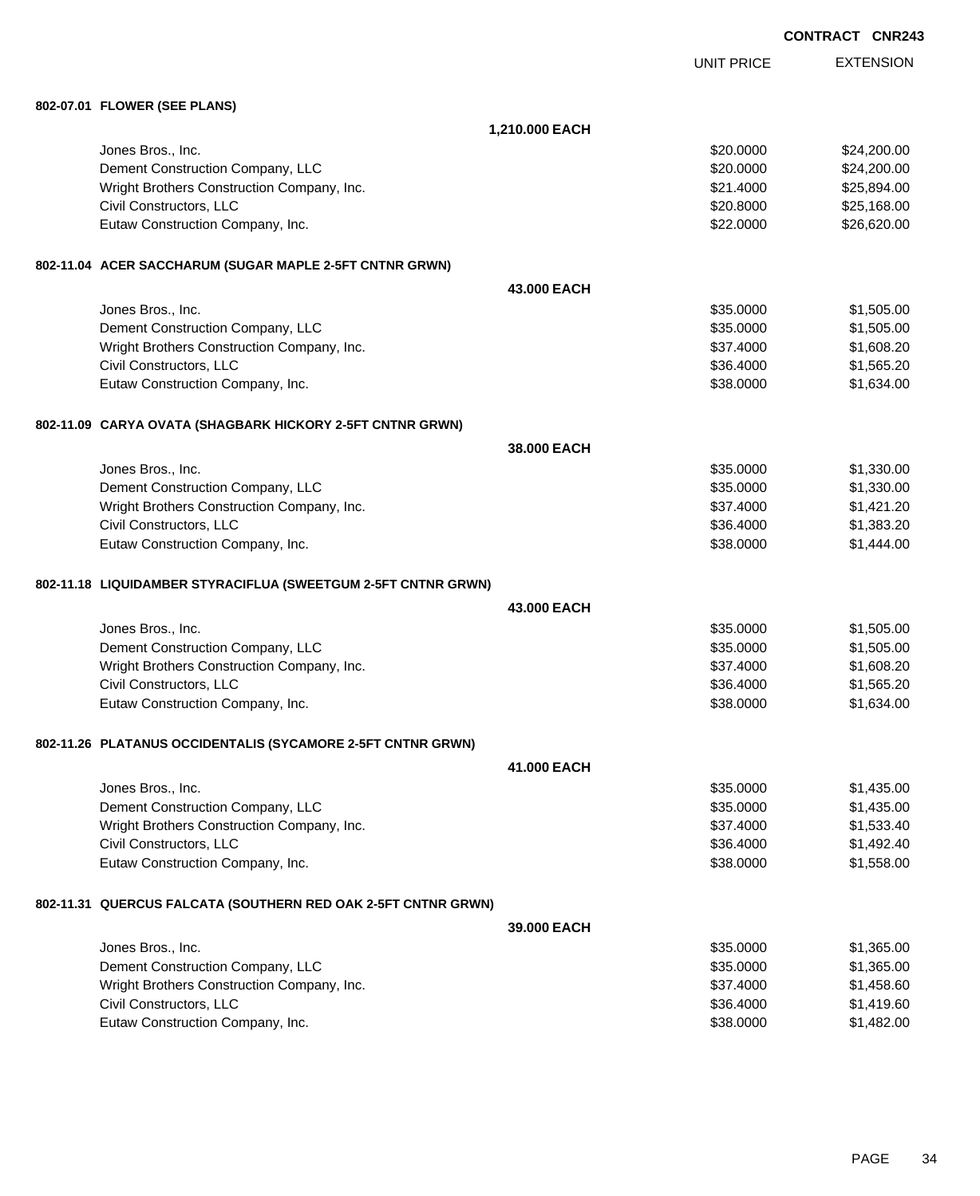|  |                                                               |                | <b>CONTRACT CNR243</b> |                  |
|--|---------------------------------------------------------------|----------------|------------------------|------------------|
|  |                                                               |                | <b>UNIT PRICE</b>      | <b>EXTENSION</b> |
|  | 802-07.01 FLOWER (SEE PLANS)                                  |                |                        |                  |
|  |                                                               | 1,210.000 EACH |                        |                  |
|  | Jones Bros., Inc.                                             |                | \$20.0000              | \$24,200.00      |
|  | Dement Construction Company, LLC                              |                | \$20.0000              | \$24,200.00      |
|  | Wright Brothers Construction Company, Inc.                    |                | \$21.4000              | \$25,894.00      |
|  | Civil Constructors, LLC                                       |                | \$20.8000              | \$25,168.00      |
|  | Eutaw Construction Company, Inc.                              |                | \$22.0000              | \$26,620.00      |
|  | 802-11.04 ACER SACCHARUM (SUGAR MAPLE 2-5FT CNTNR GRWN)       |                |                        |                  |
|  |                                                               | 43,000 EACH    |                        |                  |
|  | Jones Bros., Inc.                                             |                | \$35.0000              | \$1,505.00       |
|  | Dement Construction Company, LLC                              |                | \$35.0000              | \$1,505.00       |
|  | Wright Brothers Construction Company, Inc.                    |                | \$37.4000              | \$1,608.20       |
|  | Civil Constructors, LLC                                       |                | \$36.4000              | \$1,565.20       |
|  | Eutaw Construction Company, Inc.                              |                | \$38.0000              | \$1,634.00       |
|  | 802-11.09   CARYA OVATA (SHAGBARK HICKORY 2-5FT CNTNR GRWN)   |                |                        |                  |
|  |                                                               | 38.000 EACH    |                        |                  |
|  | Jones Bros., Inc.                                             |                | \$35.0000              | \$1,330.00       |
|  | Dement Construction Company, LLC                              |                | \$35.0000              | \$1,330.00       |
|  | Wright Brothers Construction Company, Inc.                    |                | \$37.4000              | \$1,421.20       |
|  | Civil Constructors, LLC                                       |                | \$36.4000              | \$1,383.20       |
|  | Eutaw Construction Company, Inc.                              |                | \$38.0000              | \$1,444.00       |
|  | 802-11.18 LIQUIDAMBER STYRACIFLUA (SWEETGUM 2-5FT CNTNR GRWN) |                |                        |                  |
|  |                                                               | 43.000 EACH    |                        |                  |
|  | Jones Bros., Inc.                                             |                | \$35,0000              | \$1,505.00       |
|  | Dement Construction Company, LLC                              |                | \$35.0000              | \$1,505.00       |
|  | Wright Brothers Construction Company, Inc.                    |                | \$37.4000              | \$1,608.20       |
|  | Civil Constructors, LLC                                       |                | \$36.4000              | \$1,565.20       |
|  | Eutaw Construction Company, Inc.                              |                | \$38.0000              | \$1,634.00       |
|  | 802-11.26 PLATANUS OCCIDENTALIS (SYCAMORE 2-5FT CNTNR GRWN)   |                |                        |                  |
|  |                                                               | 41.000 EACH    |                        |                  |
|  | Jones Bros., Inc.                                             |                | \$35.0000              | \$1,435.00       |
|  | Dement Construction Company, LLC                              |                | \$35.0000              | \$1,435.00       |
|  | Wright Brothers Construction Company, Inc.                    |                | \$37.4000              | \$1,533.40       |
|  | Civil Constructors, LLC                                       |                | \$36.4000              | \$1,492.40       |
|  | Eutaw Construction Company, Inc.                              |                | \$38.0000              | \$1,558.00       |
|  | 802-11.31 QUERCUS FALCATA (SOUTHERN RED OAK 2-5FT CNTNR GRWN) |                |                        |                  |
|  |                                                               | 39.000 EACH    |                        |                  |
|  | Jones Bros., Inc.                                             |                | \$35.0000              | \$1,365.00       |
|  | Dement Construction Company, LLC                              |                | \$35.0000              | \$1,365.00       |
|  | Wright Brothers Construction Company, Inc.                    |                | \$37.4000              | \$1,458.60       |
|  | Civil Constructors, LLC                                       |                | \$36.4000              | \$1,419.60       |
|  | Eutaw Construction Company, Inc.                              |                | \$38.0000              | \$1,482.00       |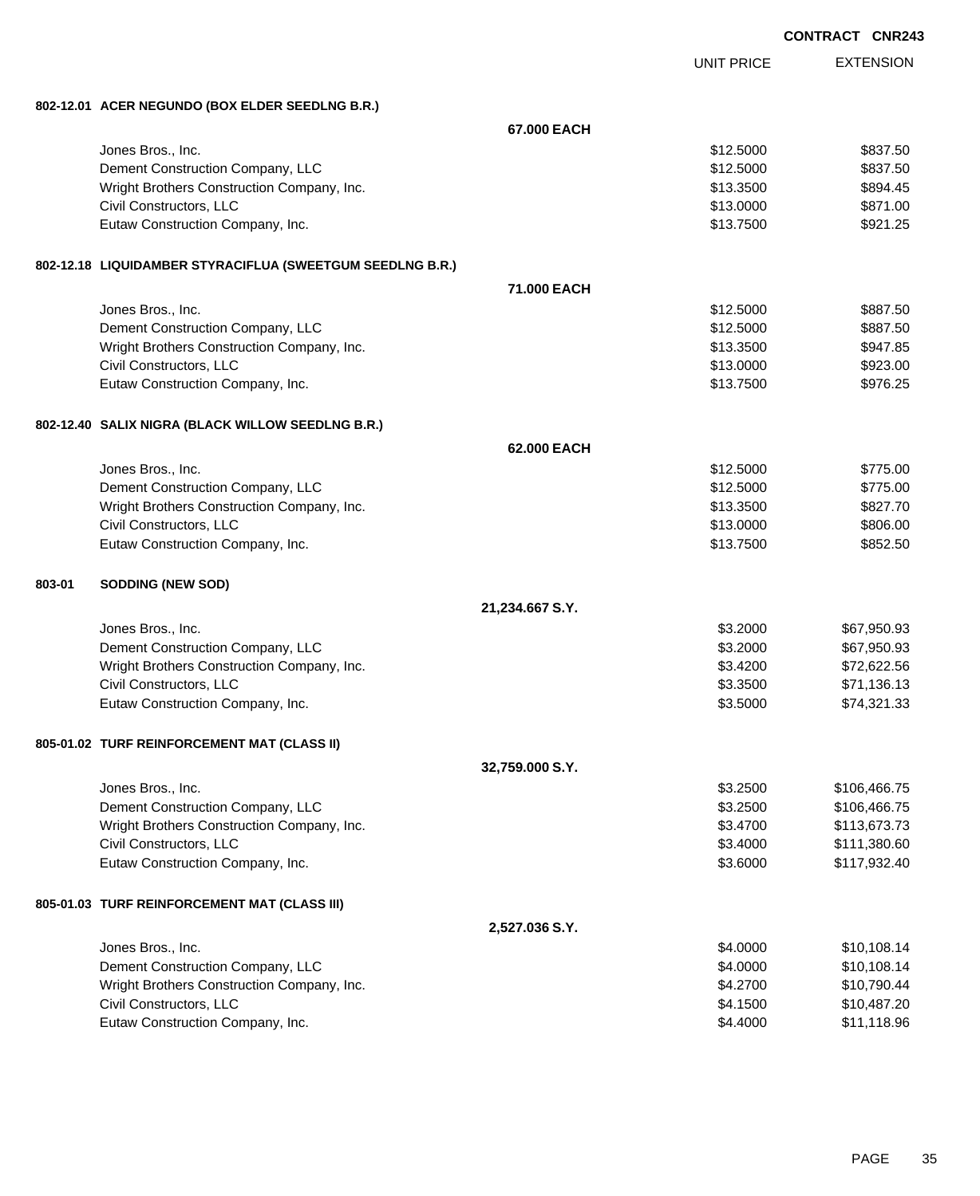| CONTRACT CNR243 |  |
|-----------------|--|
|-----------------|--|

|        |                                                           |                 | <b>UNIT PRICE</b> | <b>EXTENSION</b> |
|--------|-----------------------------------------------------------|-----------------|-------------------|------------------|
|        | 802-12.01 ACER NEGUNDO (BOX ELDER SEEDLNG B.R.)           |                 |                   |                  |
|        |                                                           | 67.000 EACH     |                   |                  |
|        | Jones Bros., Inc.                                         |                 | \$12.5000         | \$837.50         |
|        | Dement Construction Company, LLC                          |                 | \$12.5000         | \$837.50         |
|        | Wright Brothers Construction Company, Inc.                |                 | \$13.3500         | \$894.45         |
|        | Civil Constructors, LLC                                   |                 | \$13.0000         | \$871.00         |
|        | Eutaw Construction Company, Inc.                          |                 | \$13.7500         | \$921.25         |
|        | 802-12.18 LIQUIDAMBER STYRACIFLUA (SWEETGUM SEEDLNG B.R.) |                 |                   |                  |
|        |                                                           | 71.000 EACH     |                   |                  |
|        | Jones Bros., Inc.                                         |                 | \$12.5000         | \$887.50         |
|        | Dement Construction Company, LLC                          |                 | \$12.5000         | \$887.50         |
|        | Wright Brothers Construction Company, Inc.                |                 | \$13,3500         | \$947.85         |
|        | Civil Constructors, LLC                                   |                 | \$13.0000         | \$923.00         |
|        | Eutaw Construction Company, Inc.                          |                 | \$13.7500         | \$976.25         |
|        | 802-12.40 SALIX NIGRA (BLACK WILLOW SEEDLNG B.R.)         |                 |                   |                  |
|        |                                                           | 62.000 EACH     |                   |                  |
|        | Jones Bros., Inc.                                         |                 | \$12.5000         | \$775.00         |
|        | Dement Construction Company, LLC                          |                 | \$12.5000         | \$775.00         |
|        | Wright Brothers Construction Company, Inc.                |                 | \$13.3500         | \$827.70         |
|        | Civil Constructors, LLC                                   |                 | \$13.0000         | \$806.00         |
|        | Eutaw Construction Company, Inc.                          |                 | \$13.7500         | \$852.50         |
| 803-01 | <b>SODDING (NEW SOD)</b>                                  |                 |                   |                  |
|        |                                                           | 21,234.667 S.Y. |                   |                  |
|        | Jones Bros., Inc.                                         |                 | \$3.2000          | \$67,950.93      |
|        | Dement Construction Company, LLC                          |                 | \$3.2000          | \$67,950.93      |
|        | Wright Brothers Construction Company, Inc.                |                 | \$3.4200          | \$72,622.56      |
|        | Civil Constructors, LLC                                   |                 | \$3.3500          | \$71,136.13      |
|        | Eutaw Construction Company, Inc.                          |                 | \$3.5000          | \$74,321.33      |
|        | 805-01.02 TURF REINFORCEMENT MAT (CLASS II)               |                 |                   |                  |
|        |                                                           | 32,759.000 S.Y. |                   |                  |
|        | Jones Bros., Inc.                                         |                 | \$3.2500          | \$106,466.75     |
|        | Dement Construction Company, LLC                          |                 | \$3.2500          | \$106,466.75     |
|        | Wright Brothers Construction Company, Inc.                |                 | \$3.4700          | \$113,673.73     |
|        | Civil Constructors, LLC                                   |                 | \$3.4000          | \$111,380.60     |
|        | Eutaw Construction Company, Inc.                          |                 | \$3.6000          | \$117,932.40     |
|        | 805-01.03 TURF REINFORCEMENT MAT (CLASS III)              |                 |                   |                  |
|        |                                                           | 2,527.036 S.Y.  |                   |                  |
|        | Jones Bros., Inc.                                         |                 | \$4.0000          | \$10,108.14      |
|        | Dement Construction Company, LLC                          |                 | \$4.0000          | \$10,108.14      |
|        | Wright Brothers Construction Company, Inc.                |                 | \$4.2700          | \$10,790.44      |
|        | Civil Constructors, LLC                                   |                 | \$4.1500          | \$10,487.20      |
|        | Eutaw Construction Company, Inc.                          |                 | \$4.4000          | \$11,118.96      |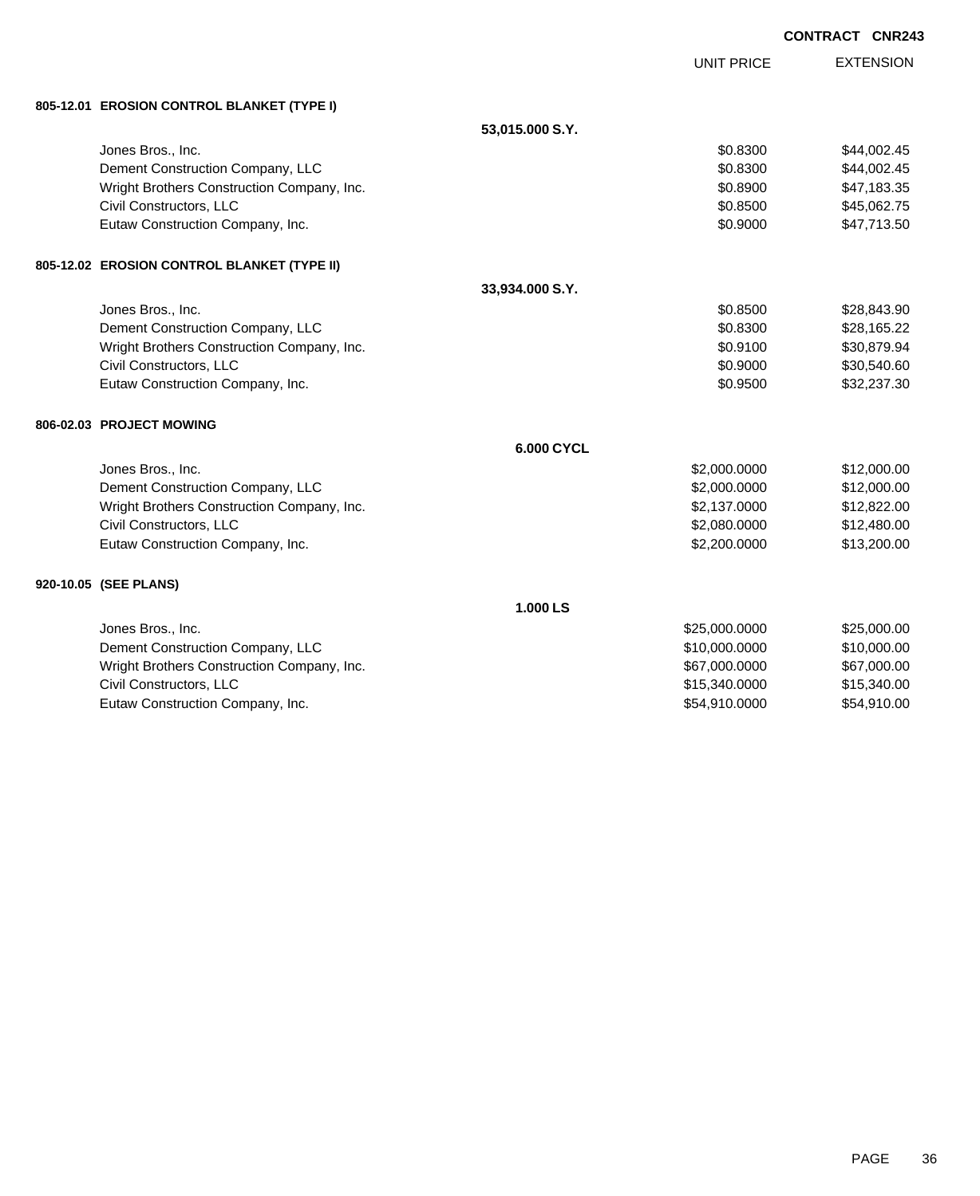|                                             |                 |                   | <b>CONTRACT CNR243</b> |
|---------------------------------------------|-----------------|-------------------|------------------------|
|                                             |                 | <b>UNIT PRICE</b> | <b>EXTENSION</b>       |
| 805-12.01 EROSION CONTROL BLANKET (TYPE I)  |                 |                   |                        |
|                                             |                 |                   |                        |
|                                             | 53,015.000 S.Y. |                   |                        |
| Jones Bros., Inc.                           |                 | \$0.8300          | \$44,002.45            |
| Dement Construction Company, LLC            |                 | \$0.8300          | \$44,002.45            |
| Wright Brothers Construction Company, Inc.  |                 | \$0.8900          | \$47,183.35            |
| Civil Constructors, LLC                     |                 | \$0.8500          | \$45,062.75            |
| Eutaw Construction Company, Inc.            |                 | \$0.9000          | \$47,713.50            |
| 805-12.02 EROSION CONTROL BLANKET (TYPE II) |                 |                   |                        |
|                                             | 33,934.000 S.Y. |                   |                        |
| Jones Bros., Inc.                           |                 | \$0.8500          | \$28,843.90            |
| Dement Construction Company, LLC            |                 | \$0.8300          | \$28,165.22            |
| Wright Brothers Construction Company, Inc.  |                 | \$0.9100          | \$30,879.94            |
| Civil Constructors, LLC                     |                 | \$0.9000          | \$30,540.60            |
| Eutaw Construction Company, Inc.            |                 | \$0.9500          | \$32,237.30            |
| 806-02.03 PROJECT MOWING                    |                 |                   |                        |
|                                             | 6.000 CYCL      |                   |                        |
| Jones Bros., Inc.                           |                 | \$2,000.0000      | \$12,000.00            |
| Dement Construction Company, LLC            |                 | \$2,000.0000      | \$12,000.00            |
| Wright Brothers Construction Company, Inc.  |                 | \$2,137.0000      | \$12,822.00            |
| Civil Constructors, LLC                     |                 | \$2,080.0000      | \$12,480.00            |
| Eutaw Construction Company, Inc.            |                 | \$2,200.0000      | \$13,200.00            |
| 920-10.05 (SEE PLANS)                       |                 |                   |                        |
|                                             | 1.000 LS        |                   |                        |
| Jones Bros., Inc.                           |                 | \$25,000.0000     | \$25,000.00            |
| Dement Construction Company, LLC            |                 | \$10,000.0000     | \$10,000.00            |
| Wright Brothers Construction Company, Inc.  |                 | \$67,000.0000     | \$67,000.00            |
| Civil Constructors, LLC                     |                 | \$15,340.0000     | \$15,340.00            |
| Eutaw Construction Company, Inc.            |                 | \$54,910.0000     | \$54,910.00            |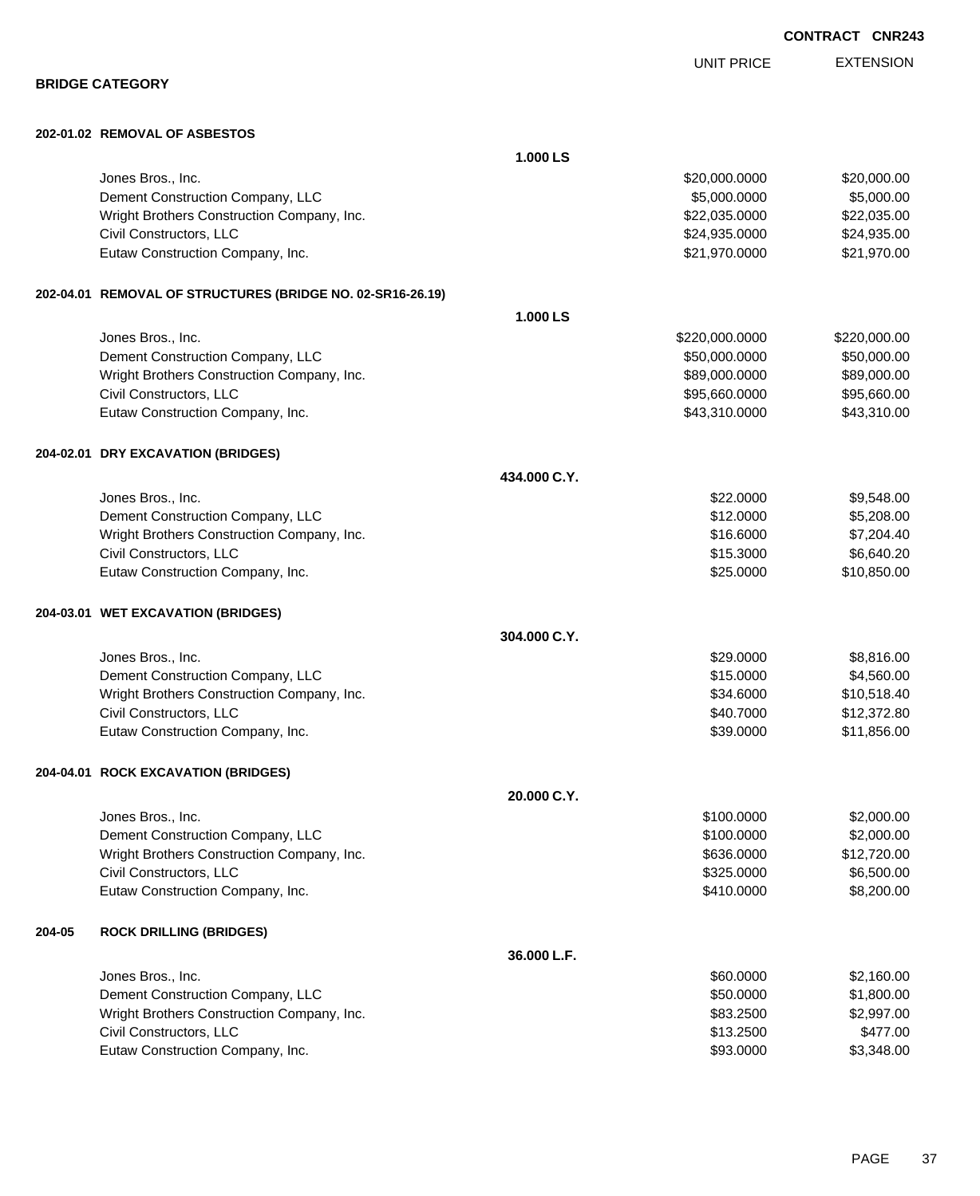|        | 202-01.02 REMOVAL OF ASBESTOS                              |              |                |              |
|--------|------------------------------------------------------------|--------------|----------------|--------------|
|        |                                                            | 1.000 LS     |                |              |
|        | Jones Bros., Inc.                                          |              | \$20,000.0000  | \$20,000.00  |
|        | Dement Construction Company, LLC                           |              | \$5,000.0000   | \$5,000.00   |
|        | Wright Brothers Construction Company, Inc.                 |              | \$22,035.0000  | \$22,035.00  |
|        | Civil Constructors, LLC                                    |              | \$24,935.0000  | \$24,935.00  |
|        | Eutaw Construction Company, Inc.                           |              | \$21,970.0000  | \$21,970.00  |
|        | 202-04.01 REMOVAL OF STRUCTURES (BRIDGE NO. 02-SR16-26.19) |              |                |              |
|        |                                                            | 1.000 LS     |                |              |
|        | Jones Bros., Inc.                                          |              | \$220,000.0000 | \$220,000.00 |
|        | Dement Construction Company, LLC                           |              | \$50,000.0000  | \$50,000.00  |
|        | Wright Brothers Construction Company, Inc.                 |              | \$89,000.0000  | \$89,000.00  |
|        | Civil Constructors, LLC                                    |              | \$95,660.0000  | \$95,660.00  |
|        | Eutaw Construction Company, Inc.                           |              | \$43,310.0000  | \$43,310.00  |
|        | 204-02.01 DRY EXCAVATION (BRIDGES)                         |              |                |              |
|        |                                                            | 434.000 C.Y. |                |              |
|        | Jones Bros., Inc.                                          |              | \$22.0000      | \$9,548.00   |
|        | Dement Construction Company, LLC                           |              | \$12.0000      | \$5,208.00   |
|        | Wright Brothers Construction Company, Inc.                 |              | \$16.6000      | \$7,204.40   |
|        | Civil Constructors, LLC                                    |              | \$15.3000      | \$6,640.20   |
|        | Eutaw Construction Company, Inc.                           |              | \$25.0000      | \$10,850.00  |
|        | 204-03.01 WET EXCAVATION (BRIDGES)                         |              |                |              |
|        |                                                            | 304.000 C.Y. |                |              |
|        | Jones Bros., Inc.                                          |              | \$29.0000      | \$8,816.00   |
|        | Dement Construction Company, LLC                           |              | \$15.0000      | \$4,560.00   |
|        | Wright Brothers Construction Company, Inc.                 |              | \$34.6000      | \$10,518.40  |
|        | Civil Constructors, LLC                                    |              | \$40.7000      | \$12,372.80  |
|        | Eutaw Construction Company, Inc.                           |              | \$39.0000      | \$11,856.00  |
|        | 204-04.01 ROCK EXCAVATION (BRIDGES)                        |              |                |              |
|        |                                                            | 20.000 C.Y.  |                |              |
|        | Jones Bros., Inc.                                          |              | \$100.0000     | \$2,000.00   |
|        | Dement Construction Company, LLC                           |              | \$100.0000     | \$2,000.00   |
|        | Wright Brothers Construction Company, Inc.                 |              | \$636.0000     | \$12,720.00  |
|        | Civil Constructors, LLC                                    |              | \$325.0000     | \$6,500.00   |
|        | Eutaw Construction Company, Inc.                           |              | \$410.0000     | \$8,200.00   |
| 204-05 | <b>ROCK DRILLING (BRIDGES)</b>                             |              |                |              |
|        |                                                            | 36.000 L.F.  |                |              |
|        | Jones Bros., Inc.                                          |              | \$60.0000      | \$2,160.00   |
|        | Dement Construction Company, LLC                           |              | \$50.0000      | \$1,800.00   |
|        | Wright Brothers Construction Company, Inc.                 |              | \$83.2500      | \$2,997.00   |
|        | Civil Constructors, LLC                                    |              | \$13.2500      | \$477.00     |

Eutaw Construction Company, Inc. 63,348.00

PAGE 37

**CONTRACT CNR243**

UNIT PRICE

EXTENSION

## **BRIDGE CATEGORY**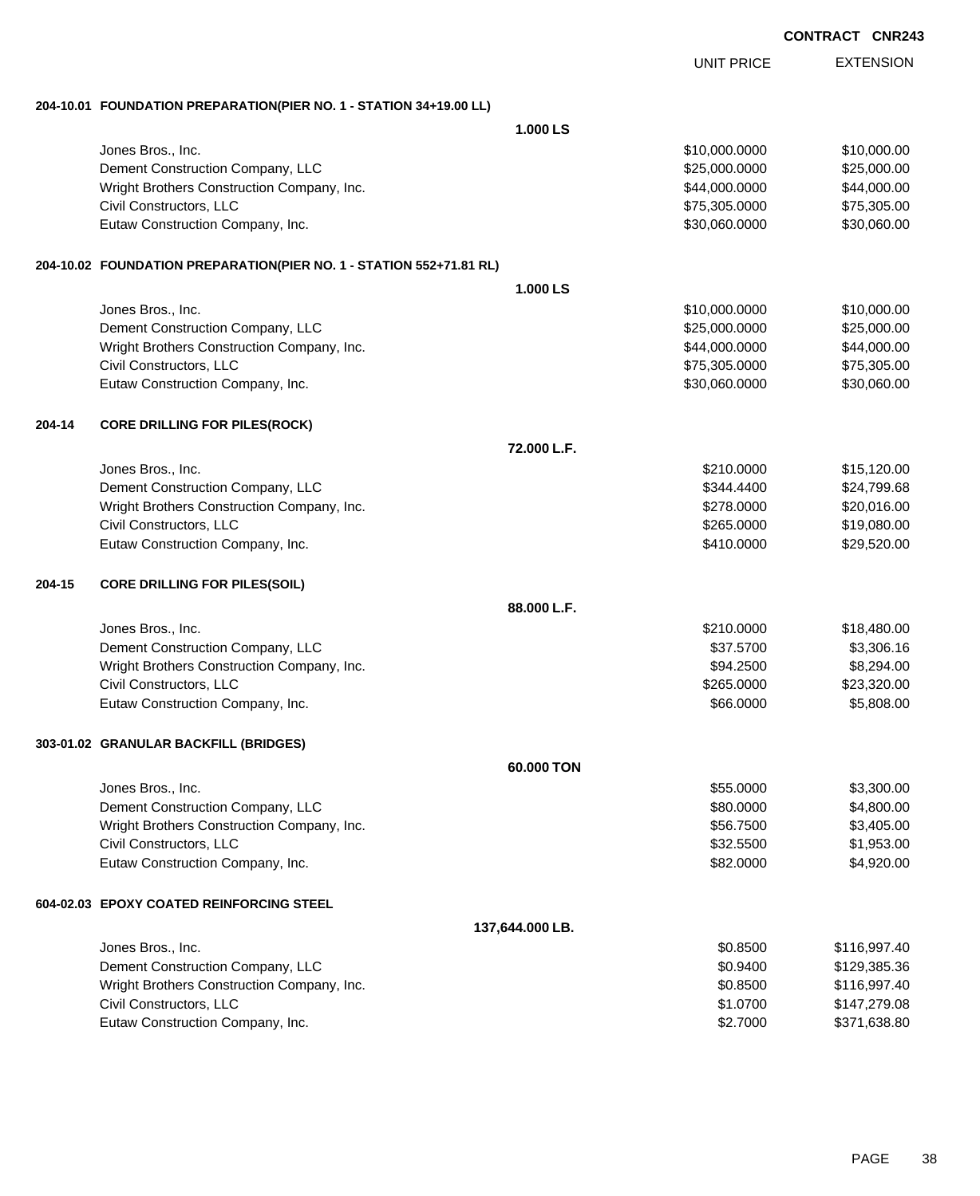|        |                                                                     |                 |                   | <b>CONTRACT CNR243</b> |
|--------|---------------------------------------------------------------------|-----------------|-------------------|------------------------|
|        |                                                                     |                 | <b>UNIT PRICE</b> | <b>EXTENSION</b>       |
|        | 204-10.01 FOUNDATION PREPARATION(PIER NO. 1 - STATION 34+19.00 LL)  |                 |                   |                        |
|        |                                                                     | 1.000 LS        |                   |                        |
|        | Jones Bros., Inc.                                                   |                 | \$10,000.0000     | \$10,000.00            |
|        | Dement Construction Company, LLC                                    |                 | \$25,000.0000     | \$25,000.00            |
|        | Wright Brothers Construction Company, Inc.                          |                 | \$44,000.0000     | \$44,000.00            |
|        | Civil Constructors, LLC                                             |                 | \$75,305.0000     | \$75,305.00            |
|        | Eutaw Construction Company, Inc.                                    |                 | \$30,060.0000     | \$30,060.00            |
|        | 204-10.02 FOUNDATION PREPARATION(PIER NO. 1 - STATION 552+71.81 RL) |                 |                   |                        |
|        |                                                                     | 1.000 LS        |                   |                        |
|        | Jones Bros., Inc.                                                   |                 | \$10,000.0000     | \$10,000.00            |
|        | Dement Construction Company, LLC                                    |                 | \$25,000.0000     | \$25,000.00            |
|        | Wright Brothers Construction Company, Inc.                          |                 | \$44,000.0000     | \$44,000.00            |
|        | Civil Constructors, LLC                                             |                 | \$75,305.0000     | \$75,305.00            |
|        | Eutaw Construction Company, Inc.                                    |                 | \$30,060.0000     | \$30,060.00            |
| 204-14 | <b>CORE DRILLING FOR PILES(ROCK)</b>                                |                 |                   |                        |
|        |                                                                     | 72.000 L.F.     |                   |                        |
|        | Jones Bros., Inc.                                                   |                 | \$210.0000        | \$15,120.00            |
|        | Dement Construction Company, LLC                                    |                 | \$344.4400        | \$24,799.68            |
|        | Wright Brothers Construction Company, Inc.                          |                 | \$278.0000        | \$20,016.00            |
|        | Civil Constructors, LLC                                             |                 | \$265.0000        | \$19,080.00            |
|        | Eutaw Construction Company, Inc.                                    |                 | \$410.0000        | \$29,520.00            |
| 204-15 | <b>CORE DRILLING FOR PILES(SOIL)</b>                                |                 |                   |                        |
|        |                                                                     | 88.000 L.F.     |                   |                        |
|        | Jones Bros., Inc.                                                   |                 | \$210.0000        | \$18,480.00            |
|        | Dement Construction Company, LLC                                    |                 | \$37.5700         | \$3,306.16             |
|        | Wright Brothers Construction Company, Inc.                          |                 | \$94.2500         | \$8,294.00             |
|        | Civil Constructors, LLC                                             |                 | \$265.0000        | \$23,320.00            |
|        | Eutaw Construction Company, Inc.                                    |                 | \$66.0000         | \$5,808.00             |
|        | 303-01.02 GRANULAR BACKFILL (BRIDGES)                               |                 |                   |                        |
|        |                                                                     | 60.000 TON      |                   |                        |
|        | Jones Bros., Inc.                                                   |                 | \$55.0000         | \$3,300.00             |
|        | Dement Construction Company, LLC                                    |                 | \$80.0000         | \$4,800.00             |
|        | Wright Brothers Construction Company, Inc.                          |                 | \$56.7500         | \$3,405.00             |
|        | Civil Constructors, LLC                                             |                 | \$32.5500         | \$1,953.00             |
|        | Eutaw Construction Company, Inc.                                    |                 | \$82.0000         | \$4,920.00             |
|        | 604-02.03 EPOXY COATED REINFORCING STEEL                            |                 |                   |                        |
|        |                                                                     | 137,644.000 LB. |                   |                        |
|        | Jones Bros., Inc.                                                   |                 | \$0.8500          | \$116,997.40           |
|        | Dement Construction Company, LLC                                    |                 | \$0.9400          | \$129,385.36           |
|        | Wright Brothers Construction Company, Inc.                          |                 | \$0.8500          | \$116,997.40           |
|        | Civil Constructors, LLC                                             |                 | \$1.0700          | \$147,279.08           |
|        | Eutaw Construction Company, Inc.                                    |                 | \$2.7000          | \$371,638.80           |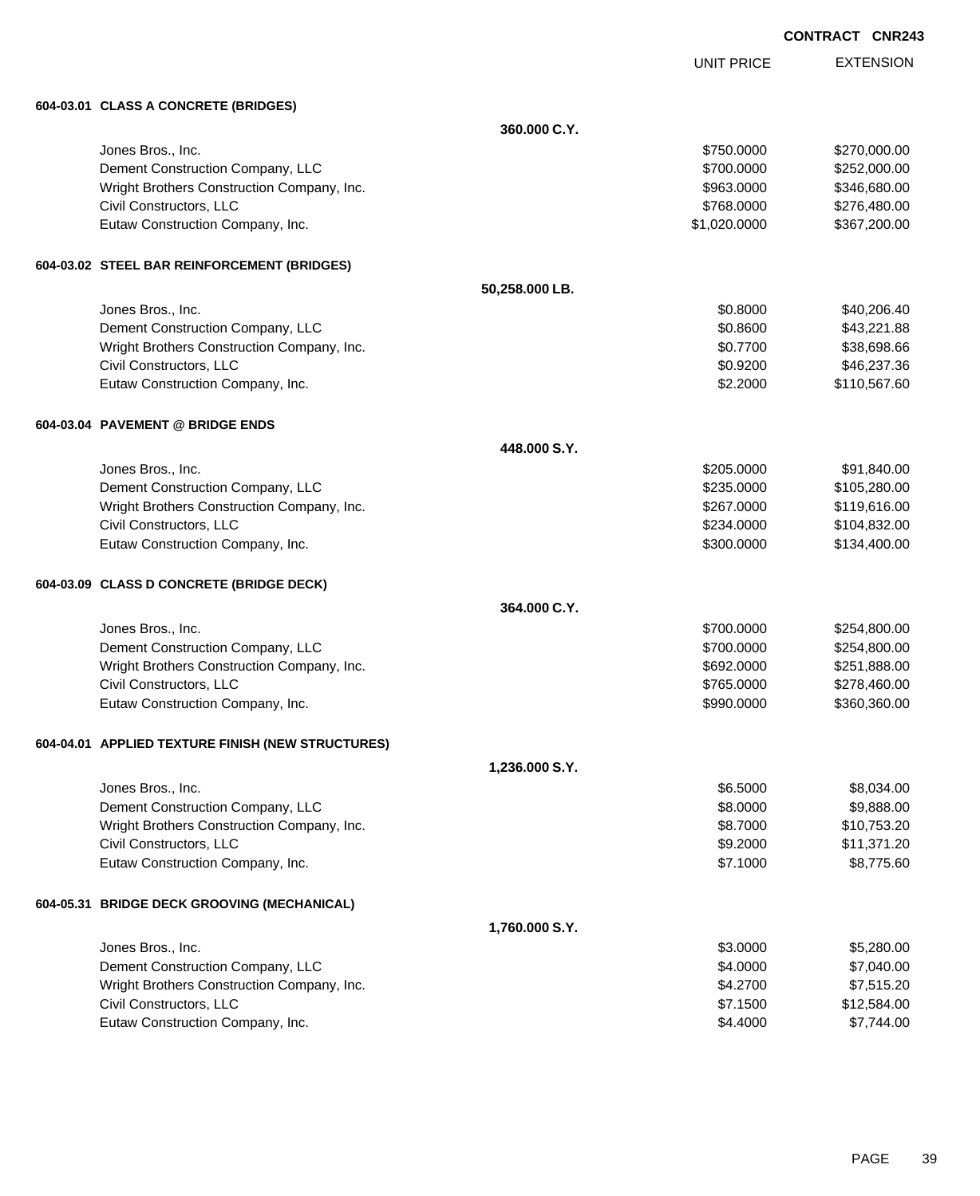|                                                   |                | <b>UNIT PRICE</b> | <b>EXTENSION</b> |
|---------------------------------------------------|----------------|-------------------|------------------|
| 604-03.01 CLASS A CONCRETE (BRIDGES)              |                |                   |                  |
|                                                   | 360,000 C.Y.   |                   |                  |
| Jones Bros., Inc.                                 |                | \$750.0000        | \$270,000.00     |
| Dement Construction Company, LLC                  |                | \$700.0000        | \$252,000.00     |
| Wright Brothers Construction Company, Inc.        |                | \$963.0000        | \$346,680.00     |
| Civil Constructors, LLC                           |                | \$768.0000        | \$276,480.00     |
| Eutaw Construction Company, Inc.                  |                | \$1,020.0000      | \$367,200.00     |
| 604-03.02 STEEL BAR REINFORCEMENT (BRIDGES)       |                |                   |                  |
|                                                   | 50,258.000 LB. |                   |                  |
| Jones Bros., Inc.                                 |                | \$0.8000          | \$40,206.40      |
| Dement Construction Company, LLC                  |                | \$0.8600          | \$43,221.88      |
| Wright Brothers Construction Company, Inc.        |                | \$0.7700          | \$38,698.66      |
| Civil Constructors, LLC                           |                | \$0.9200          | \$46,237.36      |
| Eutaw Construction Company, Inc.                  |                | \$2.2000          | \$110,567.60     |
| 604-03.04 PAVEMENT @ BRIDGE ENDS                  |                |                   |                  |
|                                                   | 448,000 S.Y.   |                   |                  |
| Jones Bros., Inc.                                 |                | \$205,0000        | \$91,840.00      |
| Dement Construction Company, LLC                  |                | \$235.0000        | \$105,280.00     |
| Wright Brothers Construction Company, Inc.        |                | \$267.0000        | \$119,616.00     |
| Civil Constructors, LLC                           |                | \$234.0000        | \$104,832.00     |
| Eutaw Construction Company, Inc.                  |                | \$300.0000        | \$134,400.00     |
| 604-03.09 CLASS D CONCRETE (BRIDGE DECK)          |                |                   |                  |
|                                                   | 364,000 C.Y.   |                   |                  |
| Jones Bros., Inc.                                 |                | \$700.0000        | \$254,800.00     |
| Dement Construction Company, LLC                  |                | \$700.0000        | \$254,800.00     |
| Wright Brothers Construction Company, Inc.        |                | \$692.0000        | \$251,888.00     |
| Civil Constructors, LLC                           |                | \$765.0000        | \$278,460.00     |
| Eutaw Construction Company, Inc.                  |                | \$990.0000        | \$360,360.00     |
| 604-04.01 APPLIED TEXTURE FINISH (NEW STRUCTURES) |                |                   |                  |
|                                                   | 1,236.000 S.Y. |                   |                  |
| Jones Bros., Inc.                                 |                | \$6,5000          | \$8,034.00       |
| Dement Construction Company, LLC                  |                | \$8.0000          | \$9,888.00       |
| Wright Brothers Construction Company, Inc.        |                | \$8.7000          | \$10,753.20      |
| Civil Constructors, LLC                           |                | \$9.2000          | \$11,371.20      |
| Eutaw Construction Company, Inc.                  |                | \$7.1000          | \$8,775.60       |
| 604-05.31 BRIDGE DECK GROOVING (MECHANICAL)       |                |                   |                  |
|                                                   | 1,760.000 S.Y. |                   |                  |
| Jones Bros., Inc.                                 |                | \$3.0000          | \$5,280.00       |
| Dement Construction Company, LLC                  |                | \$4.0000          | \$7,040.00       |

Wright Brothers Construction Company, Inc. 6 and the state of the state of the state of the state of the state of the state of the state of the state of the state of the state of the state of the state of the state of the Civil Constructors, LLC 612,584.00 Eutaw Construction Company, Inc. 67,744.00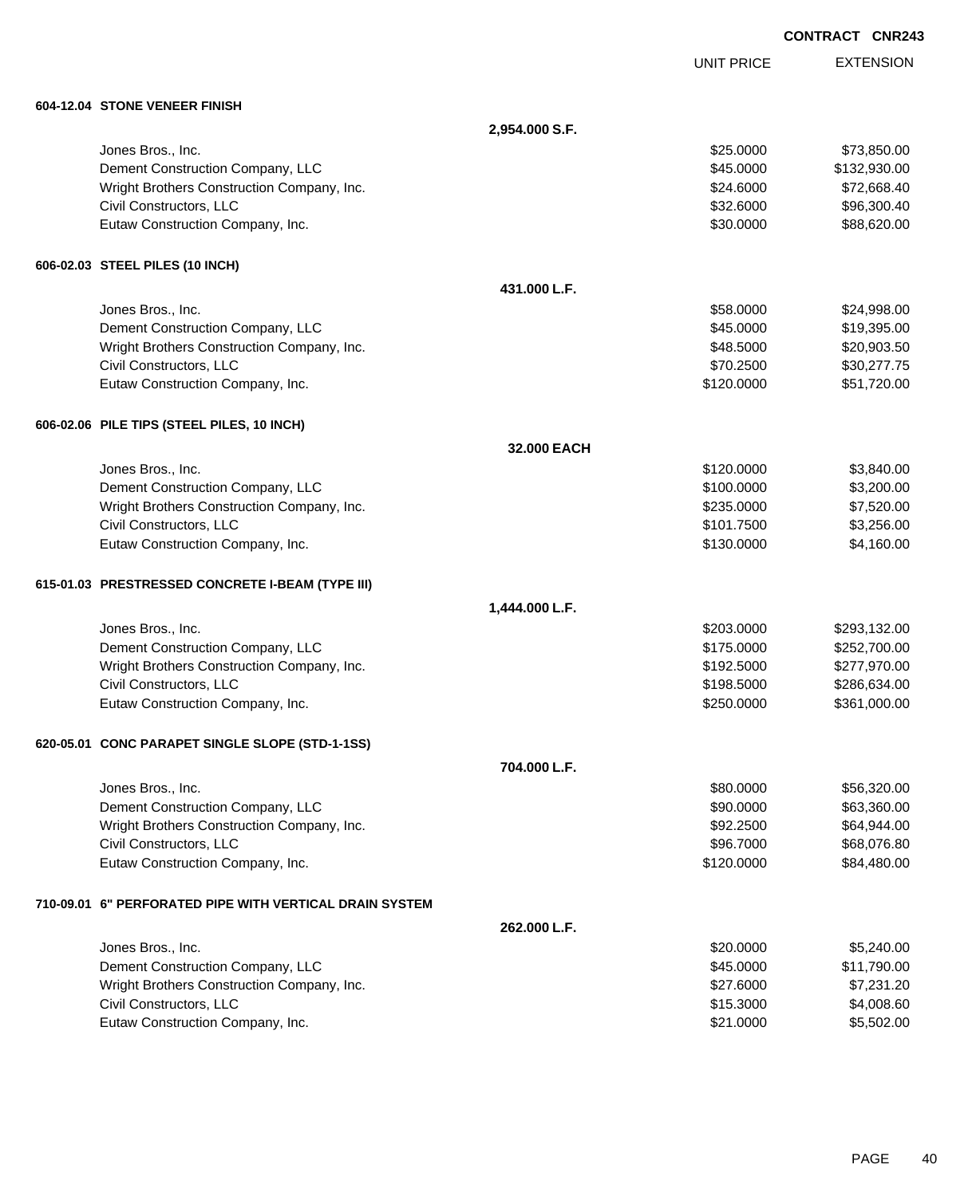|                                                           |                |                   | <b>CONTRACT CNR243</b> |                  |
|-----------------------------------------------------------|----------------|-------------------|------------------------|------------------|
|                                                           |                | <b>UNIT PRICE</b> |                        | <b>EXTENSION</b> |
| 604-12.04 STONE VENEER FINISH                             |                |                   |                        |                  |
|                                                           | 2,954.000 S.F. |                   |                        |                  |
| Jones Bros., Inc.                                         |                | \$25.0000         |                        | \$73,850.00      |
| Dement Construction Company, LLC                          |                | \$45.0000         |                        | \$132,930.00     |
| Wright Brothers Construction Company, Inc.                |                | \$24.6000         |                        | \$72,668.40      |
| Civil Constructors, LLC                                   |                | \$32.6000         |                        | \$96,300.40      |
| Eutaw Construction Company, Inc.                          |                | \$30.0000         |                        | \$88,620.00      |
| 606-02.03 STEEL PILES (10 INCH)                           |                |                   |                        |                  |
|                                                           | 431.000 L.F.   |                   |                        |                  |
| Jones Bros., Inc.                                         |                | \$58.0000         |                        | \$24,998.00      |
| Dement Construction Company, LLC                          |                | \$45.0000         |                        | \$19,395.00      |
| Wright Brothers Construction Company, Inc.                |                | \$48.5000         |                        | \$20,903.50      |
| Civil Constructors, LLC                                   |                | \$70.2500         |                        | \$30,277.75      |
| Eutaw Construction Company, Inc.                          |                | \$120.0000        |                        | \$51,720.00      |
| 606-02.06 PILE TIPS (STEEL PILES, 10 INCH)                |                |                   |                        |                  |
|                                                           | 32.000 EACH    |                   |                        |                  |
| Jones Bros., Inc.                                         |                | \$120.0000        |                        | \$3,840.00       |
| Dement Construction Company, LLC                          |                | \$100.0000        |                        | \$3,200.00       |
| Wright Brothers Construction Company, Inc.                |                | \$235.0000        |                        | \$7,520.00       |
| Civil Constructors, LLC                                   |                | \$101.7500        |                        | \$3,256.00       |
| Eutaw Construction Company, Inc.                          |                | \$130.0000        |                        | \$4,160.00       |
| 615-01.03 PRESTRESSED CONCRETE I-BEAM (TYPE III)          |                |                   |                        |                  |
|                                                           | 1,444.000 L.F. |                   |                        |                  |
| Jones Bros., Inc.                                         |                | \$203.0000        |                        | \$293,132.00     |
| Dement Construction Company, LLC                          |                | \$175.0000        |                        | \$252,700.00     |
| Wright Brothers Construction Company, Inc.                |                | \$192.5000        |                        | \$277,970.00     |
| Civil Constructors, LLC                                   |                | \$198.5000        |                        | \$286,634.00     |
| Eutaw Construction Company, Inc.                          |                | \$250.0000        |                        | \$361,000.00     |
| 620-05.01 CONC PARAPET SINGLE SLOPE (STD-1-1SS)           |                |                   |                        |                  |
|                                                           | 704.000 L.F.   |                   |                        |                  |
| Jones Bros., Inc.                                         |                | \$80.0000         |                        | \$56,320.00      |
| Dement Construction Company, LLC                          |                | \$90.0000         |                        | \$63,360.00      |
| Wright Brothers Construction Company, Inc.                |                | \$92.2500         |                        | \$64,944.00      |
| Civil Constructors, LLC                                   |                | \$96.7000         |                        | \$68,076.80      |
| Eutaw Construction Company, Inc.                          |                | \$120.0000        |                        | \$84,480.00      |
| 710-09.01   6" PERFORATED PIPE WITH VERTICAL DRAIN SYSTEM |                |                   |                        |                  |
|                                                           | 262.000 L.F.   |                   |                        |                  |
| Jones Bros., Inc.                                         |                | \$20.0000         |                        | \$5,240.00       |
| Dement Construction Company, LLC                          |                | \$45.0000         |                        | \$11,790.00      |
| Wright Brothers Construction Company, Inc.                |                | \$27.6000         |                        | \$7,231.20       |

Civil Constructors, LLC 64,008.60 Eutaw Construction Company, Inc. 6. The Construction Company, Inc. 6. The Construction Company, Inc.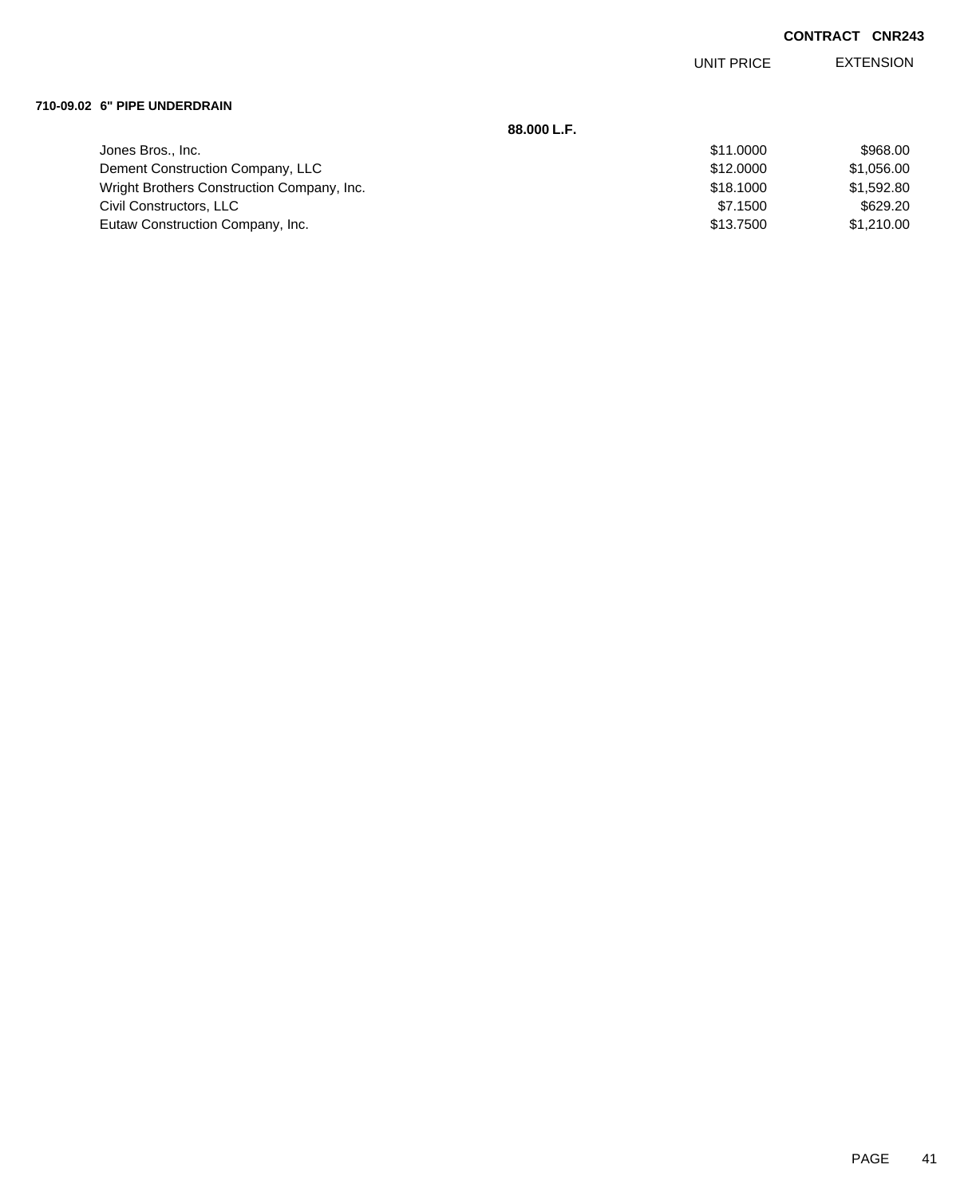EXTENSION UNIT PRICE

### **710-09.02 6" PIPE UNDERDRAIN**

|                                            | 88.000 L.F. |            |
|--------------------------------------------|-------------|------------|
| Jones Bros., Inc.                          | \$11,0000   | \$968.00   |
| Dement Construction Company, LLC           | \$12,0000   | \$1,056.00 |
| Wright Brothers Construction Company, Inc. | \$18,1000   | \$1,592.80 |
| Civil Constructors, LLC                    | \$7.1500    | \$629.20   |
| Eutaw Construction Company, Inc.           | \$13,7500   | \$1,210.00 |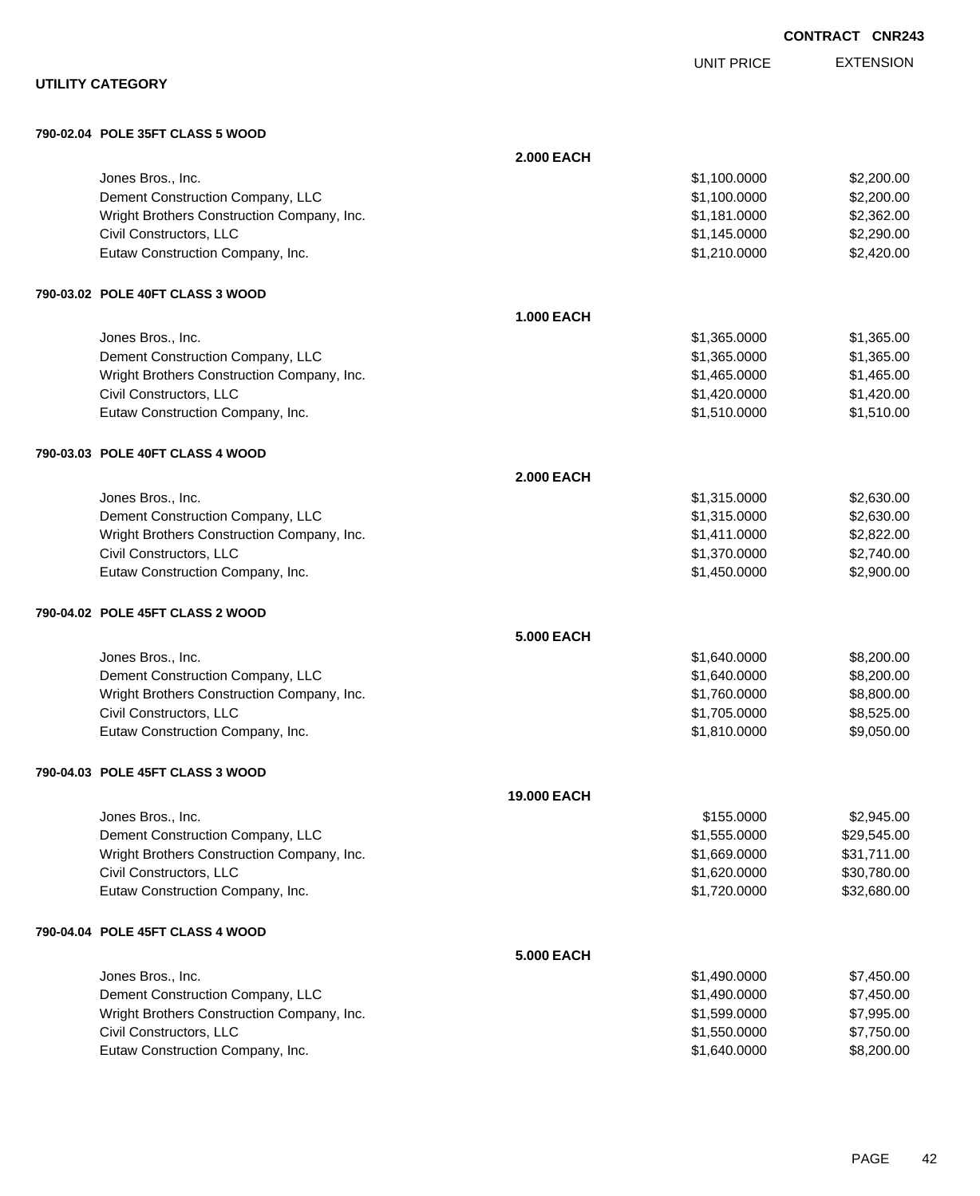|                                            |                   |                   | <b>CONTRACT CNR243</b> |
|--------------------------------------------|-------------------|-------------------|------------------------|
|                                            |                   | <b>UNIT PRICE</b> | <b>EXTENSION</b>       |
| <b>UTILITY CATEGORY</b>                    |                   |                   |                        |
| 790-02.04 POLE 35FT CLASS 5 WOOD           |                   |                   |                        |
|                                            | <b>2.000 EACH</b> |                   |                        |
| Jones Bros., Inc.                          |                   | \$1,100.0000      | \$2,200.00             |
| Dement Construction Company, LLC           |                   | \$1,100.0000      | \$2,200.00             |
| Wright Brothers Construction Company, Inc. |                   | \$1,181.0000      | \$2,362.00             |
| Civil Constructors, LLC                    |                   | \$1,145.0000      | \$2,290.00             |
| Eutaw Construction Company, Inc.           |                   | \$1,210.0000      | \$2,420.00             |
| 790-03.02 POLE 40FT CLASS 3 WOOD           |                   |                   |                        |
|                                            | <b>1.000 EACH</b> |                   |                        |
| Jones Bros., Inc.                          |                   | \$1,365.0000      | \$1,365.00             |
| Dement Construction Company, LLC           |                   | \$1,365.0000      | \$1,365.00             |
| Wright Brothers Construction Company, Inc. |                   | \$1,465.0000      | \$1,465.00             |
| Civil Constructors, LLC                    |                   | \$1,420.0000      | \$1,420.00             |
| Eutaw Construction Company, Inc.           |                   | \$1,510.0000      | \$1,510.00             |
| 790-03.03 POLE 40FT CLASS 4 WOOD           |                   |                   |                        |
|                                            | <b>2.000 EACH</b> |                   |                        |
| Jones Bros., Inc.                          |                   | \$1,315.0000      | \$2,630.00             |
| Dement Construction Company, LLC           |                   | \$1,315.0000      | \$2,630.00             |
| Wright Brothers Construction Company, Inc. |                   | \$1,411.0000      | \$2,822.00             |
| Civil Constructors, LLC                    |                   | \$1,370.0000      | \$2,740.00             |
| Eutaw Construction Company, Inc.           |                   | \$1,450.0000      | \$2,900.00             |
| 790-04.02 POLE 45FT CLASS 2 WOOD           |                   |                   |                        |
|                                            | <b>5.000 EACH</b> |                   |                        |
| Jones Bros., Inc.                          |                   | \$1,640.0000      | \$8,200.00             |
| Dement Construction Company, LLC           |                   | \$1,640.0000      | \$8,200.00             |
| Wright Brothers Construction Company, Inc. |                   | \$1,760.0000      | \$8,800.00             |
| Civil Constructors, LLC                    |                   | \$1,705.0000      | \$8,525.00             |
| Eutaw Construction Company, Inc.           |                   | \$1,810.0000      | \$9,050.00             |
| 790-04.03 POLE 45FT CLASS 3 WOOD           |                   |                   |                        |
|                                            | 19.000 EACH       |                   |                        |
| Jones Bros., Inc.                          |                   | \$155.0000        | \$2,945.00             |
| Dement Construction Company, LLC           |                   | \$1,555.0000      | \$29,545.00            |
| Wright Brothers Construction Company, Inc. |                   | \$1,669.0000      | \$31,711.00            |
| Civil Constructors, LLC                    |                   | \$1,620.0000      | \$30,780.00            |
| Eutaw Construction Company, Inc.           |                   | \$1,720.0000      | \$32,680.00            |
| 790-04.04 POLE 45FT CLASS 4 WOOD           |                   |                   |                        |
|                                            | <b>5.000 EACH</b> |                   |                        |
| Jones Bros., Inc.                          |                   | \$1,490.0000      | \$7,450.00             |
| Dement Construction Company, LLC           |                   | \$1,490.0000      | \$7,450.00             |
| Wright Brothers Construction Company, Inc. |                   | \$1,599.0000      | \$7,995.00             |
| Civil Constructors, LLC                    |                   | \$1,550.0000      | \$7,750.00             |
| Eutaw Construction Company, Inc.           |                   | \$1,640.0000      | \$8,200.00             |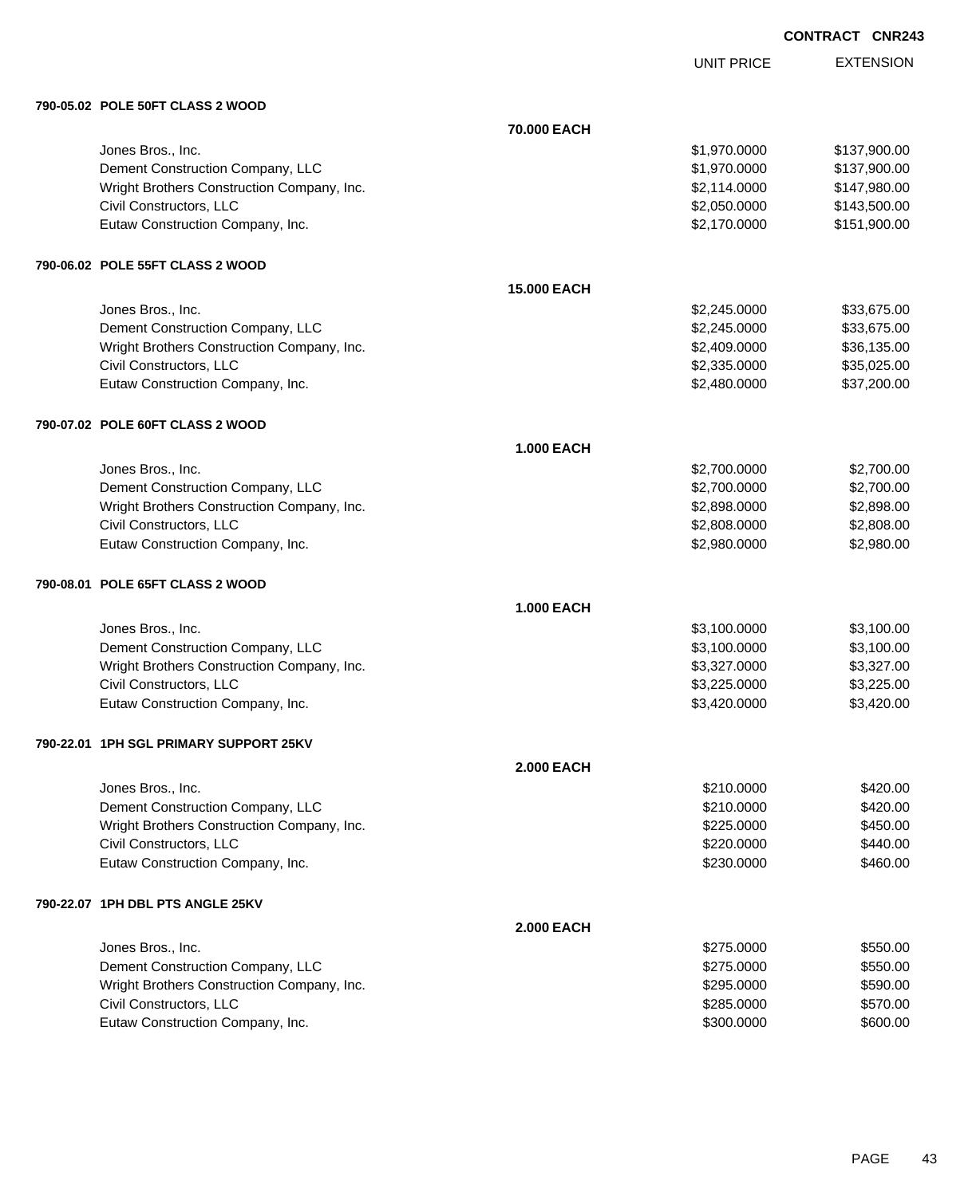UNIT PRICE

|  | 790-05.02 POLE 50FT CLASS 2 WOOD |  |
|--|----------------------------------|--|

| 790-05.02 POLE 50FT CLASS 2 WOOD           |                    |              |              |
|--------------------------------------------|--------------------|--------------|--------------|
|                                            | 70.000 EACH        |              |              |
| Jones Bros., Inc.                          |                    | \$1,970.0000 | \$137,900.00 |
| Dement Construction Company, LLC           |                    | \$1,970.0000 | \$137,900.00 |
| Wright Brothers Construction Company, Inc. |                    | \$2,114.0000 | \$147,980.00 |
| Civil Constructors, LLC                    |                    | \$2,050.0000 | \$143,500.00 |
| Eutaw Construction Company, Inc.           |                    | \$2,170.0000 | \$151,900.00 |
| 790-06.02 POLE 55FT CLASS 2 WOOD           |                    |              |              |
|                                            | <b>15.000 EACH</b> |              |              |
| Jones Bros., Inc.                          |                    | \$2,245.0000 | \$33,675.00  |
| Dement Construction Company, LLC           |                    | \$2,245.0000 | \$33,675.00  |
| Wright Brothers Construction Company, Inc. |                    | \$2,409.0000 | \$36,135.00  |
| Civil Constructors, LLC                    |                    | \$2,335.0000 | \$35,025.00  |
| Eutaw Construction Company, Inc.           |                    | \$2,480.0000 | \$37,200.00  |
| 790-07.02 POLE 60FT CLASS 2 WOOD           |                    |              |              |
|                                            | <b>1.000 EACH</b>  |              |              |
| Jones Bros., Inc.                          |                    | \$2,700.0000 | \$2,700.00   |
| Dement Construction Company, LLC           |                    | \$2,700.0000 | \$2,700.00   |
| Wright Brothers Construction Company, Inc. |                    | \$2,898.0000 | \$2,898.00   |
| Civil Constructors, LLC                    |                    | \$2,808.0000 | \$2,808.00   |
| Eutaw Construction Company, Inc.           |                    | \$2,980.0000 | \$2,980.00   |
| 790-08.01 POLE 65FT CLASS 2 WOOD           |                    |              |              |
|                                            | <b>1.000 EACH</b>  |              |              |
| Jones Bros., Inc.                          |                    | \$3,100.0000 | \$3,100.00   |
| Dement Construction Company, LLC           |                    | \$3,100.0000 | \$3,100.00   |
| Wright Brothers Construction Company, Inc. |                    | \$3,327.0000 | \$3,327.00   |
| Civil Constructors, LLC                    |                    | \$3,225.0000 | \$3,225.00   |
| Eutaw Construction Company, Inc.           |                    | \$3,420.0000 | \$3,420.00   |
| 790-22.01   1PH SGL PRIMARY SUPPORT 25KV   |                    |              |              |
|                                            | <b>2.000 EACH</b>  |              |              |
| Jones Bros., Inc.                          |                    | \$210.0000   | \$420.00     |
| Dement Construction Company, LLC           |                    | \$210.0000   | \$420.00     |
| Wright Brothers Construction Company, Inc. |                    | \$225.0000   | \$450.00     |
| Civil Constructors, LLC                    |                    | \$220.0000   | \$440.00     |
| Eutaw Construction Company, Inc.           |                    | \$230.0000   | \$460.00     |
| 790-22.07 1PH DBL PTS ANGLE 25KV           |                    |              |              |
|                                            | <b>2.000 EACH</b>  |              |              |
| Jones Bros., Inc.                          |                    | \$275.0000   | \$550.00     |
| Dement Construction Company, LLC           |                    | \$275.0000   | \$550.00     |
| Wright Brothers Construction Company, Inc. |                    | \$295.0000   | \$590.00     |
| Civil Constructors, LLC                    |                    | \$285.0000   | \$570.00     |
| Eutaw Construction Company, Inc.           |                    | \$300.0000   | \$600.00     |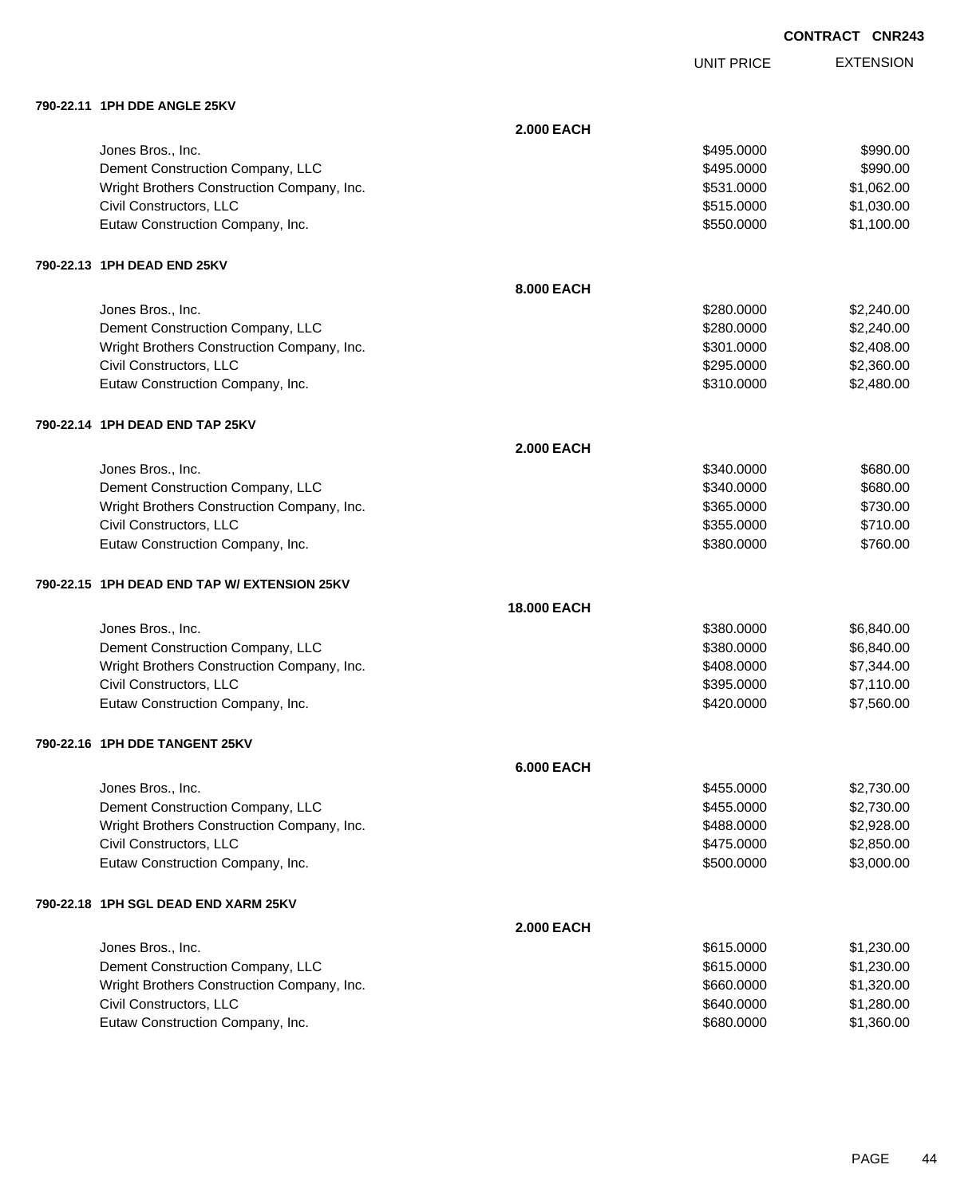UNIT PRICE

EXTENSION

**790-22.11 1PH DDE ANGLE 25KV**

| 790-22.11   1PH DDE ANGLE 25KV                 |                    |            |            |
|------------------------------------------------|--------------------|------------|------------|
|                                                | <b>2.000 EACH</b>  |            |            |
| Jones Bros., Inc.                              |                    | \$495.0000 | \$990.00   |
| Dement Construction Company, LLC               |                    | \$495.0000 | \$990.00   |
| Wright Brothers Construction Company, Inc.     |                    | \$531.0000 | \$1,062.00 |
| Civil Constructors, LLC                        |                    | \$515.0000 | \$1,030.00 |
| Eutaw Construction Company, Inc.               |                    | \$550.0000 | \$1,100.00 |
| 790-22.13 1PH DEAD END 25KV                    |                    |            |            |
|                                                | 8.000 EACH         |            |            |
| Jones Bros., Inc.                              |                    | \$280.0000 | \$2,240.00 |
| Dement Construction Company, LLC               |                    | \$280.0000 | \$2,240.00 |
| Wright Brothers Construction Company, Inc.     |                    | \$301.0000 | \$2,408.00 |
| Civil Constructors, LLC                        |                    | \$295.0000 | \$2,360.00 |
| Eutaw Construction Company, Inc.               |                    | \$310.0000 | \$2,480.00 |
| 790-22.14   1PH DEAD END TAP 25KV              |                    |            |            |
|                                                | <b>2.000 EACH</b>  |            |            |
| Jones Bros., Inc.                              |                    | \$340.0000 | \$680.00   |
| Dement Construction Company, LLC               |                    | \$340.0000 | \$680.00   |
| Wright Brothers Construction Company, Inc.     |                    | \$365.0000 | \$730.00   |
| Civil Constructors, LLC                        |                    | \$355.0000 | \$710.00   |
| Eutaw Construction Company, Inc.               |                    | \$380.0000 | \$760.00   |
| 790-22.15   1PH DEAD END TAP W/ EXTENSION 25KV |                    |            |            |
|                                                | <b>18,000 EACH</b> |            |            |
| Jones Bros., Inc.                              |                    | \$380.0000 | \$6,840.00 |
| Dement Construction Company, LLC               |                    | \$380.0000 | \$6,840.00 |
| Wright Brothers Construction Company, Inc.     |                    | \$408.0000 | \$7,344.00 |
| Civil Constructors, LLC                        |                    | \$395.0000 | \$7,110.00 |
| Eutaw Construction Company, Inc.               |                    | \$420.0000 | \$7,560.00 |
| 790-22.16 1PH DDE TANGENT 25KV                 |                    |            |            |
|                                                | <b>6.000 EACH</b>  |            |            |
| Jones Bros., Inc.                              |                    | \$455.0000 | \$2,730.00 |
| Dement Construction Company, LLC               |                    | \$455.0000 | \$2,730.00 |
| Wright Brothers Construction Company, Inc.     |                    | \$488.0000 | \$2,928.00 |
| Civil Constructors, LLC                        |                    | \$475.0000 | \$2,850.00 |
| Eutaw Construction Company, Inc.               |                    | \$500.0000 | \$3,000.00 |
| 790-22.18 1PH SGL DEAD END XARM 25KV           |                    |            |            |
|                                                | <b>2.000 EACH</b>  |            |            |
| Jones Bros., Inc.                              |                    | \$615.0000 | \$1,230.00 |
| Dement Construction Company, LLC               |                    | \$615.0000 | \$1,230.00 |
| Wright Brothers Construction Company, Inc.     |                    | \$660.0000 | \$1,320.00 |
| Civil Constructors, LLC                        |                    | \$640.0000 | \$1,280.00 |
| Eutaw Construction Company, Inc.               |                    | \$680.0000 | \$1,360.00 |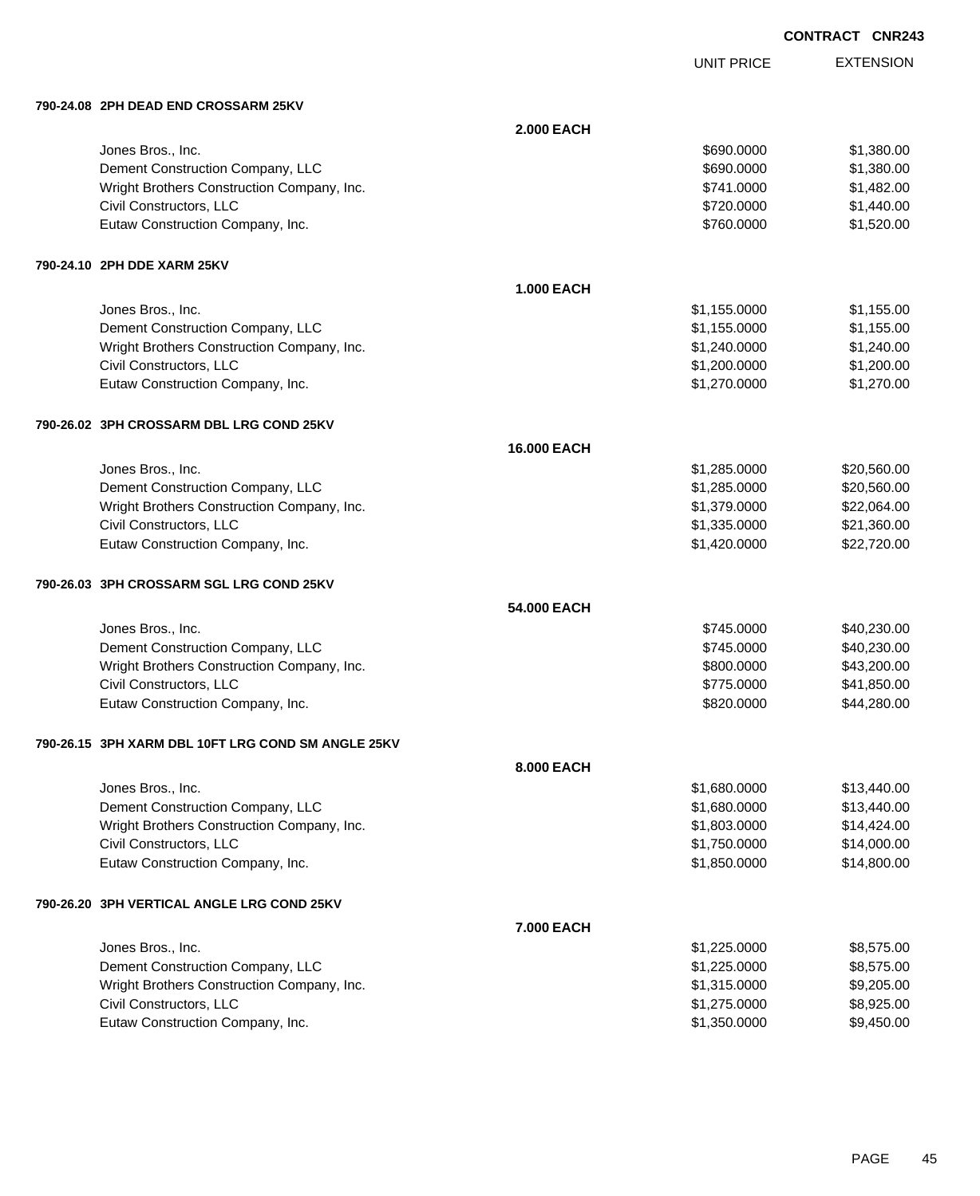UNIT PRICE EXTENSION

**790-24.08 2PH DEAD END CROSSARM 25KV**

| 790-24.08   2PH DEAD END CROSSARM 25KV             |                   |              |             |
|----------------------------------------------------|-------------------|--------------|-------------|
|                                                    | <b>2.000 EACH</b> |              |             |
| Jones Bros., Inc.                                  |                   | \$690.0000   | \$1,380.00  |
| Dement Construction Company, LLC                   |                   | \$690.0000   | \$1,380.00  |
| Wright Brothers Construction Company, Inc.         |                   | \$741.0000   | \$1,482.00  |
| Civil Constructors, LLC                            |                   | \$720.0000   | \$1,440.00  |
| Eutaw Construction Company, Inc.                   |                   | \$760.0000   | \$1,520.00  |
| 790-24.10 2PH DDE XARM 25KV                        |                   |              |             |
|                                                    | <b>1.000 EACH</b> |              |             |
| Jones Bros., Inc.                                  |                   | \$1,155.0000 | \$1,155.00  |
| Dement Construction Company, LLC                   |                   | \$1,155.0000 | \$1,155.00  |
| Wright Brothers Construction Company, Inc.         |                   | \$1,240.0000 | \$1,240.00  |
| Civil Constructors, LLC                            |                   | \$1,200.0000 | \$1,200.00  |
| Eutaw Construction Company, Inc.                   |                   | \$1,270.0000 | \$1,270.00  |
| 790-26.02 3PH CROSSARM DBL LRG COND 25KV           |                   |              |             |
|                                                    | 16.000 EACH       |              |             |
| Jones Bros., Inc.                                  |                   | \$1,285.0000 | \$20,560.00 |
| Dement Construction Company, LLC                   |                   | \$1,285.0000 | \$20,560.00 |
| Wright Brothers Construction Company, Inc.         |                   | \$1,379.0000 | \$22,064.00 |
| Civil Constructors, LLC                            |                   | \$1,335.0000 | \$21,360.00 |
| Eutaw Construction Company, Inc.                   |                   | \$1,420.0000 | \$22,720.00 |
| 790-26.03 3PH CROSSARM SGL LRG COND 25KV           |                   |              |             |
|                                                    | 54.000 EACH       |              |             |
| Jones Bros., Inc.                                  |                   | \$745.0000   | \$40,230.00 |
| Dement Construction Company, LLC                   |                   | \$745.0000   | \$40,230.00 |
| Wright Brothers Construction Company, Inc.         |                   | \$800.0000   | \$43,200.00 |
| Civil Constructors, LLC                            |                   | \$775.0000   | \$41,850.00 |
| Eutaw Construction Company, Inc.                   |                   | \$820.0000   | \$44,280.00 |
| 790-26.15 3PH XARM DBL 10FT LRG COND SM ANGLE 25KV |                   |              |             |
|                                                    | 8.000 EACH        |              |             |
| Jones Bros., Inc.                                  |                   | \$1,680.0000 | \$13,440.00 |
| Dement Construction Company, LLC                   |                   | \$1,680.0000 | \$13,440.00 |
| Wright Brothers Construction Company, Inc.         |                   | \$1,803.0000 | \$14,424.00 |
| Civil Constructors, LLC                            |                   | \$1,750.0000 | \$14,000.00 |
| Eutaw Construction Company, Inc.                   |                   | \$1,850.0000 | \$14,800.00 |
| 790-26.20 3PH VERTICAL ANGLE LRG COND 25KV         |                   |              |             |
|                                                    | 7.000 EACH        |              |             |
| Jones Bros., Inc.                                  |                   | \$1,225.0000 | \$8,575.00  |
| Dement Construction Company, LLC                   |                   | \$1,225.0000 | \$8,575.00  |
| Wright Brothers Construction Company, Inc.         |                   | \$1,315.0000 | \$9,205.00  |
| Civil Constructors, LLC                            |                   | \$1,275.0000 | \$8,925.00  |
| Eutaw Construction Company, Inc.                   |                   | \$1,350.0000 | \$9,450.00  |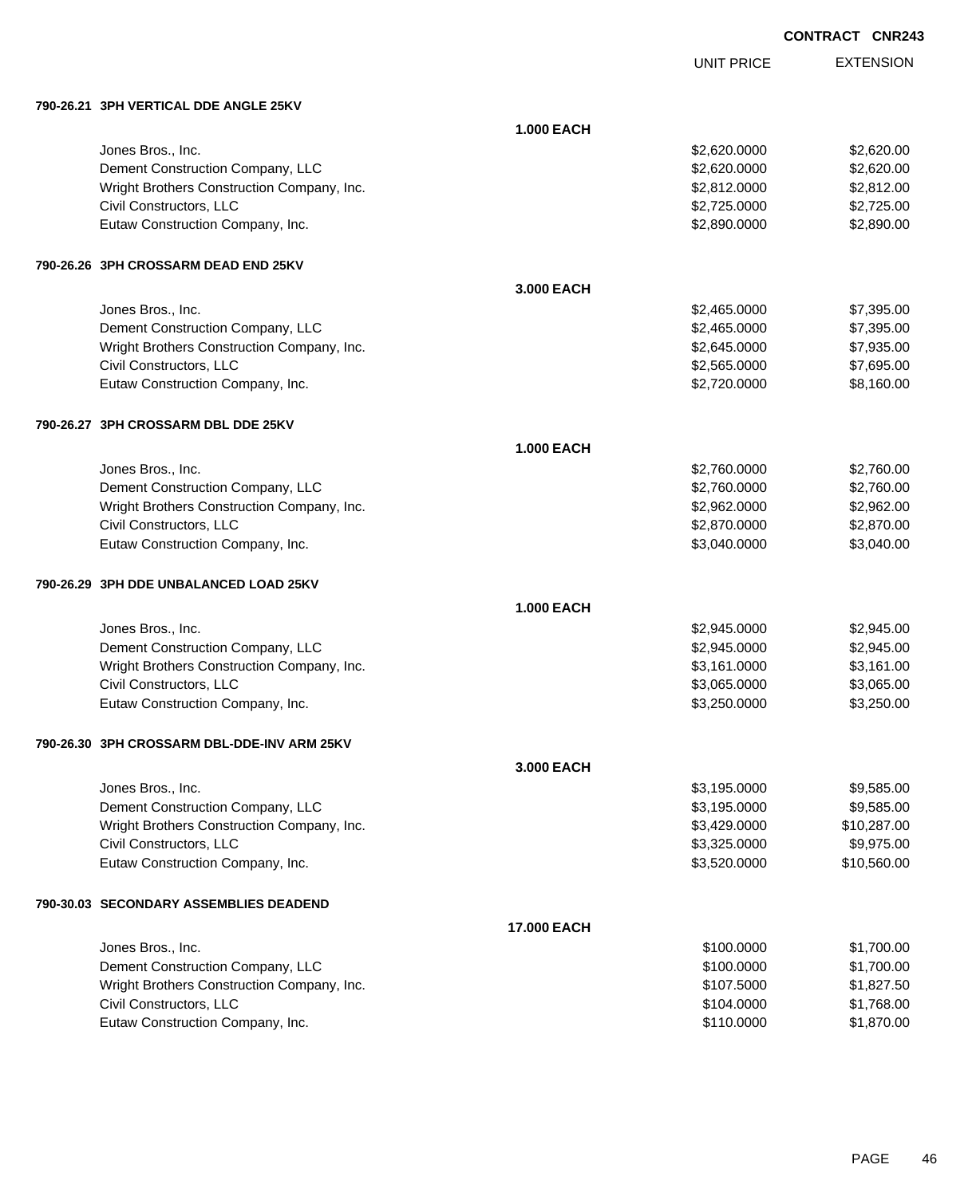# EXTENSION **CONTRACT CNR243**

UNIT PRICE

| 790-26.21 3PH VERTICAL DDE ANGLE 25KV |  |
|---------------------------------------|--|
|                                       |  |

| 790-26.21   3PH VERTICAL DDE ANGLE 25KV                               |                   |                              |                          |
|-----------------------------------------------------------------------|-------------------|------------------------------|--------------------------|
|                                                                       | <b>1.000 EACH</b> |                              |                          |
| Jones Bros., Inc.                                                     |                   | \$2,620.0000                 | \$2,620.00               |
| Dement Construction Company, LLC                                      |                   | \$2,620.0000                 | \$2,620.00               |
| Wright Brothers Construction Company, Inc.                            |                   | \$2,812.0000                 | \$2,812.00               |
| Civil Constructors, LLC                                               |                   | \$2,725.0000                 | \$2,725.00               |
| Eutaw Construction Company, Inc.                                      |                   | \$2,890.0000                 | \$2,890.00               |
|                                                                       |                   |                              |                          |
| 790-26.26 3PH CROSSARM DEAD END 25KV                                  |                   |                              |                          |
|                                                                       | 3.000 EACH        |                              |                          |
| Jones Bros., Inc.                                                     |                   | \$2,465.0000                 | \$7,395.00               |
| Dement Construction Company, LLC                                      |                   | \$2,465.0000                 | \$7,395.00               |
| Wright Brothers Construction Company, Inc.                            |                   | \$2,645.0000                 | \$7,935.00               |
| Civil Constructors, LLC                                               |                   | \$2,565.0000                 | \$7,695.00               |
| Eutaw Construction Company, Inc.                                      |                   | \$2,720.0000                 | \$8,160.00               |
|                                                                       |                   |                              |                          |
| 790-26.27 3PH CROSSARM DBL DDE 25KV                                   | <b>1.000 EACH</b> |                              |                          |
|                                                                       |                   |                              |                          |
| Jones Bros., Inc.                                                     |                   | \$2,760.0000<br>\$2,760.0000 | \$2,760.00               |
| Dement Construction Company, LLC                                      |                   |                              | \$2,760.00               |
| Wright Brothers Construction Company, Inc.<br>Civil Constructors, LLC |                   | \$2,962.0000<br>\$2,870.0000 | \$2,962.00<br>\$2,870.00 |
| Eutaw Construction Company, Inc.                                      |                   | \$3,040.0000                 | \$3,040.00               |
|                                                                       |                   |                              |                          |
| 790-26.29 3PH DDE UNBALANCED LOAD 25KV                                |                   |                              |                          |
|                                                                       | <b>1.000 EACH</b> |                              |                          |
| Jones Bros., Inc.                                                     |                   | \$2,945.0000                 | \$2,945.00               |
| Dement Construction Company, LLC                                      |                   | \$2,945.0000                 | \$2,945.00               |
| Wright Brothers Construction Company, Inc.                            |                   | \$3,161.0000                 | \$3,161.00               |
| Civil Constructors, LLC                                               |                   | \$3,065.0000                 | \$3,065.00               |
| Eutaw Construction Company, Inc.                                      |                   | \$3,250.0000                 | \$3,250.00               |
| 790-26.30 3PH CROSSARM DBL-DDE-INV ARM 25KV                           |                   |                              |                          |
|                                                                       | 3.000 EACH        |                              |                          |
| Jones Bros., Inc.                                                     |                   | \$3,195.0000                 | \$9,585.00               |
| Dement Construction Company, LLC                                      |                   | \$3,195.0000                 | \$9,585.00               |
| Wright Brothers Construction Company, Inc.                            |                   | \$3,429.0000                 | \$10,287.00              |
| Civil Constructors, LLC                                               |                   | \$3,325.0000                 | \$9,975.00               |
| Eutaw Construction Company, Inc.                                      |                   | \$3,520.0000                 | \$10,560.00              |
| 790-30.03 SECONDARY ASSEMBLIES DEADEND                                |                   |                              |                          |
|                                                                       | 17.000 EACH       |                              |                          |
| Jones Bros., Inc.                                                     |                   | \$100.0000                   | \$1,700.00               |
| Dement Construction Company, LLC                                      |                   | \$100.0000                   | \$1,700.00               |
| Wright Brothers Construction Company, Inc.                            |                   | \$107.5000                   | \$1,827.50               |
| Civil Constructors, LLC                                               |                   | \$104.0000                   | \$1,768.00               |
| Eutaw Construction Company, Inc.                                      |                   | \$110.0000                   | \$1,870.00               |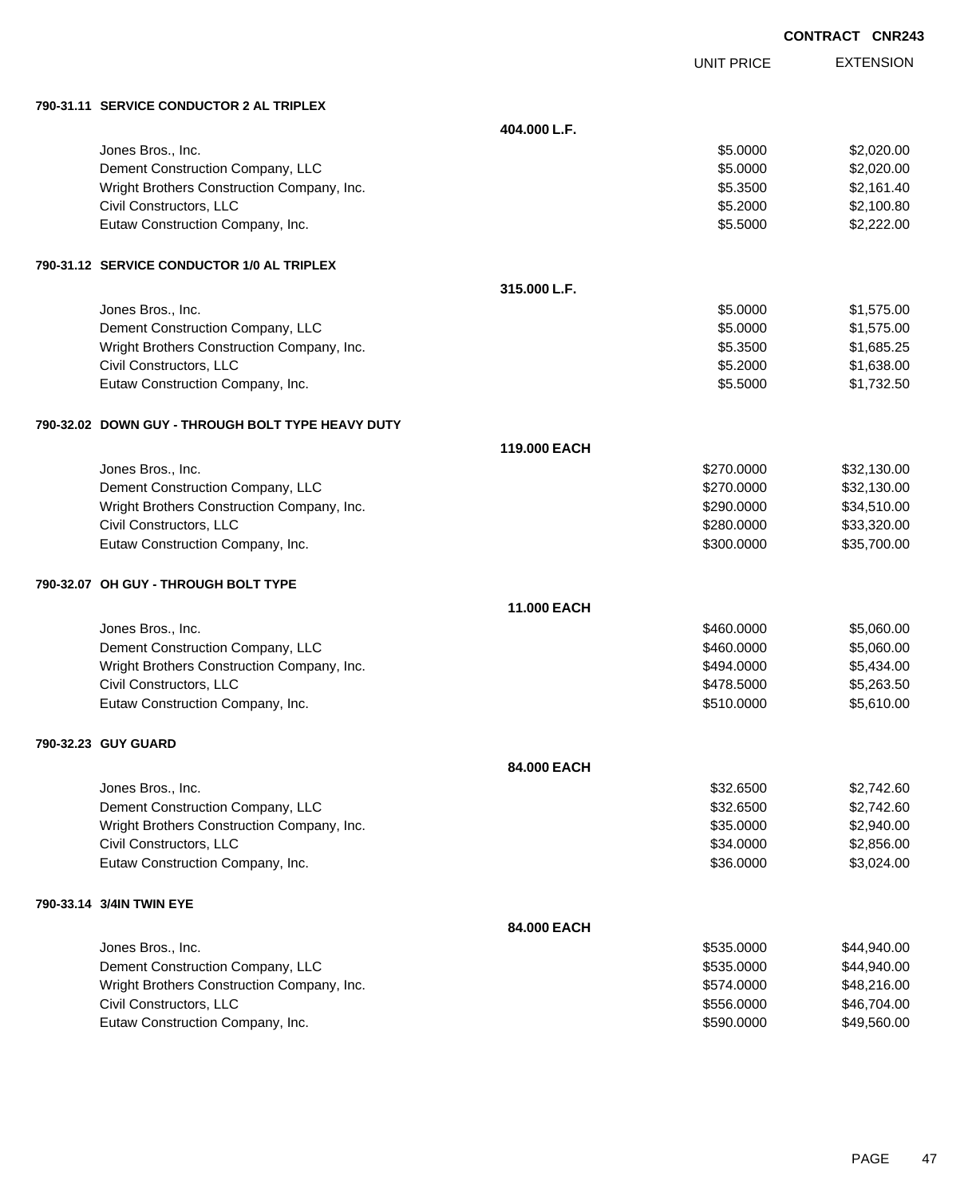|            | CONTRACT CNR243 |                  |
|------------|-----------------|------------------|
| UNIT PRICE |                 | <b>EXTENSION</b> |

### **790-31.11 SERVICE CONDUCTOR 2 AL TRIPLEX**

| 790-31.11 SERVICE CONDUCTOR 2 AL TRIPLEX          |              |            |             |
|---------------------------------------------------|--------------|------------|-------------|
|                                                   | 404.000 L.F. |            |             |
| Jones Bros., Inc.                                 |              | \$5.0000   | \$2,020.00  |
| Dement Construction Company, LLC                  |              | \$5.0000   | \$2,020.00  |
| Wright Brothers Construction Company, Inc.        |              | \$5.3500   | \$2,161.40  |
| Civil Constructors, LLC                           |              | \$5.2000   | \$2,100.80  |
| Eutaw Construction Company, Inc.                  |              | \$5.5000   | \$2,222.00  |
| 790-31.12 SERVICE CONDUCTOR 1/0 AL TRIPLEX        |              |            |             |
|                                                   | 315.000 L.F. |            |             |
| Jones Bros., Inc.                                 |              | \$5.0000   | \$1,575.00  |
| Dement Construction Company, LLC                  |              | \$5.0000   | \$1,575.00  |
| Wright Brothers Construction Company, Inc.        |              | \$5.3500   | \$1,685.25  |
| Civil Constructors, LLC                           |              | \$5.2000   | \$1,638.00  |
| Eutaw Construction Company, Inc.                  |              | \$5.5000   | \$1,732.50  |
| 790-32.02 DOWN GUY - THROUGH BOLT TYPE HEAVY DUTY |              |            |             |
|                                                   | 119.000 EACH |            |             |
| Jones Bros., Inc.                                 |              | \$270.0000 | \$32,130.00 |
| Dement Construction Company, LLC                  |              | \$270.0000 | \$32,130.00 |
| Wright Brothers Construction Company, Inc.        |              | \$290.0000 | \$34,510.00 |
| Civil Constructors, LLC                           |              | \$280.0000 | \$33,320.00 |
| Eutaw Construction Company, Inc.                  |              | \$300.0000 | \$35,700.00 |
| 790-32.07 OH GUY - THROUGH BOLT TYPE              |              |            |             |
|                                                   | 11.000 EACH  |            |             |
| Jones Bros., Inc.                                 |              | \$460.0000 | \$5,060.00  |
| Dement Construction Company, LLC                  |              | \$460.0000 | \$5,060.00  |
| Wright Brothers Construction Company, Inc.        |              | \$494.0000 | \$5,434.00  |
| Civil Constructors, LLC                           |              | \$478.5000 | \$5,263.50  |
| Eutaw Construction Company, Inc.                  |              | \$510.0000 | \$5,610.00  |
| 790-32.23 GUY GUARD                               |              |            |             |
|                                                   | 84.000 EACH  |            |             |
| Jones Bros., Inc.                                 |              | \$32.6500  | \$2,742.60  |
| Dement Construction Company, LLC                  |              | \$32.6500  | \$2,742.60  |
| Wright Brothers Construction Company, Inc.        |              | \$35.0000  | \$2,940.00  |
| Civil Constructors, LLC                           |              | \$34.0000  | \$2,856.00  |
| Eutaw Construction Company, Inc.                  |              | \$36.0000  | \$3,024.00  |
| 790-33.14 3/4IN TWIN EYE                          |              |            |             |
|                                                   | 84.000 EACH  |            |             |
| Jones Bros., Inc.                                 |              | \$535.0000 | \$44,940.00 |
| Dement Construction Company, LLC                  |              | \$535.0000 | \$44,940.00 |
| Wright Brothers Construction Company, Inc.        |              | \$574.0000 | \$48,216.00 |
| Civil Constructors, LLC                           |              | \$556.0000 | \$46,704.00 |
| Eutaw Construction Company, Inc.                  |              | \$590.0000 | \$49,560.00 |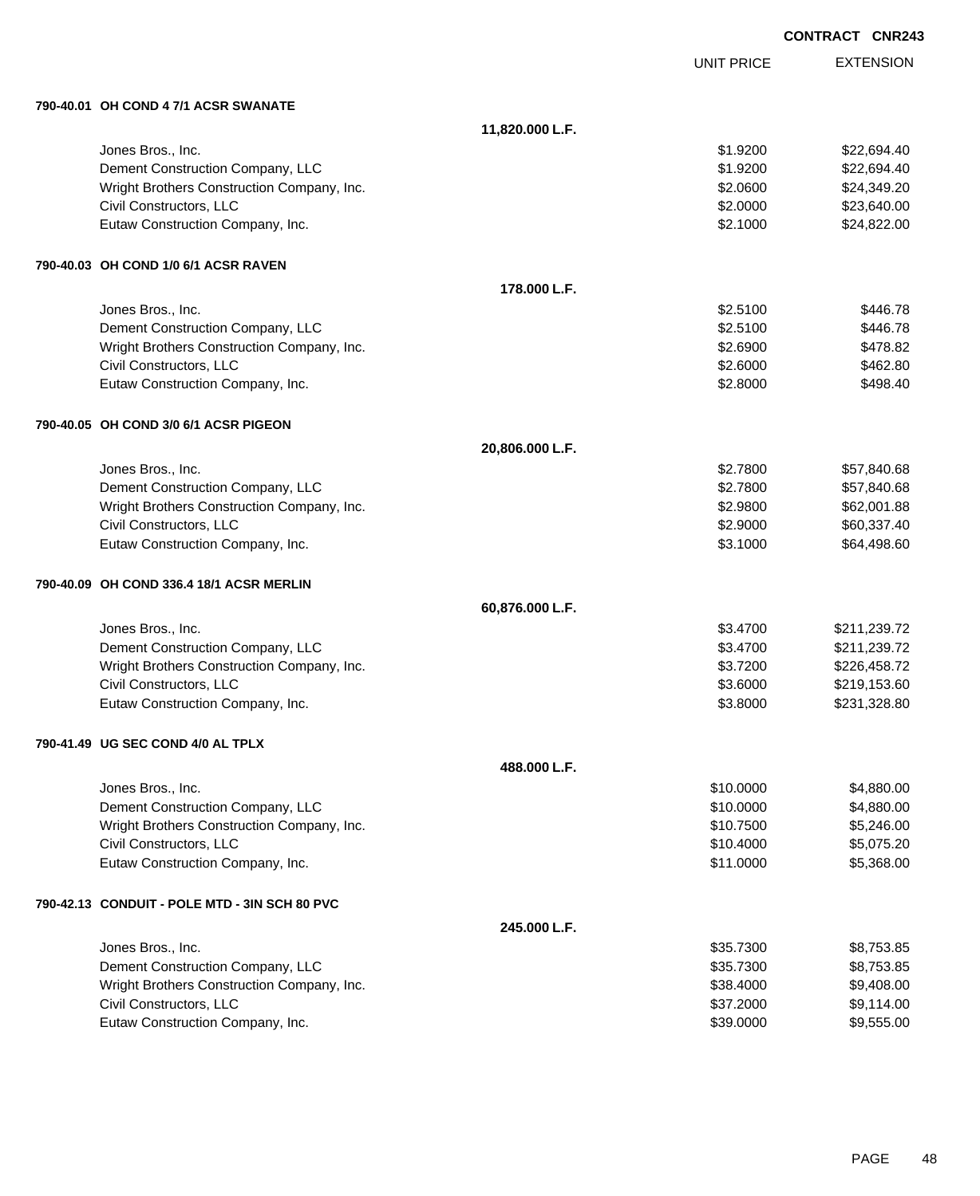|                                               |                 | <b>CONTRACT CNR243</b> |                  |
|-----------------------------------------------|-----------------|------------------------|------------------|
|                                               |                 | <b>UNIT PRICE</b>      | <b>EXTENSION</b> |
| 790-40.01 OH COND 4 7/1 ACSR SWANATE          |                 |                        |                  |
|                                               | 11,820.000 L.F. |                        |                  |
| Jones Bros., Inc.                             |                 | \$1.9200               | \$22,694.40      |
| Dement Construction Company, LLC              |                 | \$1.9200               | \$22,694.40      |
| Wright Brothers Construction Company, Inc.    |                 | \$2.0600               | \$24,349.20      |
| Civil Constructors, LLC                       |                 | \$2.0000               | \$23,640.00      |
| Eutaw Construction Company, Inc.              |                 | \$2.1000               | \$24,822.00      |
| 790-40.03   OH COND 1/0 6/1 ACSR RAVEN        |                 |                        |                  |
|                                               | 178.000 L.F.    |                        |                  |
| Jones Bros., Inc.                             |                 | \$2.5100               | \$446.78         |
| Dement Construction Company, LLC              |                 | \$2.5100               | \$446.78         |
| Wright Brothers Construction Company, Inc.    |                 | \$2.6900               | \$478.82         |
| Civil Constructors, LLC                       |                 | \$2.6000               | \$462.80         |
| Eutaw Construction Company, Inc.              |                 | \$2.8000               | \$498.40         |
| 790-40.05 OH COND 3/0 6/1 ACSR PIGEON         |                 |                        |                  |
|                                               | 20,806.000 L.F. |                        |                  |
| Jones Bros., Inc.                             |                 | \$2.7800               | \$57,840.68      |
| Dement Construction Company, LLC              |                 | \$2.7800               | \$57,840.68      |
| Wright Brothers Construction Company, Inc.    |                 | \$2.9800               | \$62,001.88      |
| Civil Constructors, LLC                       |                 | \$2.9000               | \$60,337.40      |
| Eutaw Construction Company, Inc.              |                 | \$3.1000               | \$64,498.60      |
| 790-40.09   OH COND 336.4 18/1 ACSR MERLIN    |                 |                        |                  |
|                                               | 60,876.000 L.F. |                        |                  |
| Jones Bros., Inc.                             |                 | \$3.4700               | \$211,239.72     |
| Dement Construction Company, LLC              |                 | \$3.4700               | \$211,239.72     |
| Wright Brothers Construction Company, Inc.    |                 | \$3.7200               | \$226,458.72     |
| Civil Constructors, LLC                       |                 | \$3.6000               | \$219,153.60     |
| Eutaw Construction Company, Inc.              |                 | \$3.8000               | \$231,328.80     |
| 790-41.49 UG SEC COND 4/0 AL TPLX             |                 |                        |                  |
|                                               | 488.000 L.F.    |                        |                  |
| Jones Bros., Inc.                             |                 | \$10.0000              | \$4,880.00       |
| Dement Construction Company, LLC              |                 | \$10.0000              | \$4,880.00       |
| Wright Brothers Construction Company, Inc.    |                 | \$10.7500              | \$5,246.00       |
| Civil Constructors, LLC                       |                 | \$10.4000              | \$5,075.20       |
| Eutaw Construction Company, Inc.              |                 | \$11.0000              | \$5,368.00       |
| 790-42.13 CONDUIT - POLE MTD - 3IN SCH 80 PVC |                 |                        |                  |
|                                               | 245.000 L.F.    |                        |                  |
| Jones Bros., Inc.                             |                 | \$35.7300              | \$8,753.85       |
| Dement Construction Company, LLC              |                 | \$35.7300              | \$8,753.85       |
| Wright Brothers Construction Company, Inc.    |                 | \$38.4000              | \$9,408.00       |
| Civil Constructors, LLC                       |                 | \$37.2000              | \$9,114.00       |
| Eutaw Construction Company, Inc.              |                 | \$39.0000              | \$9,555.00       |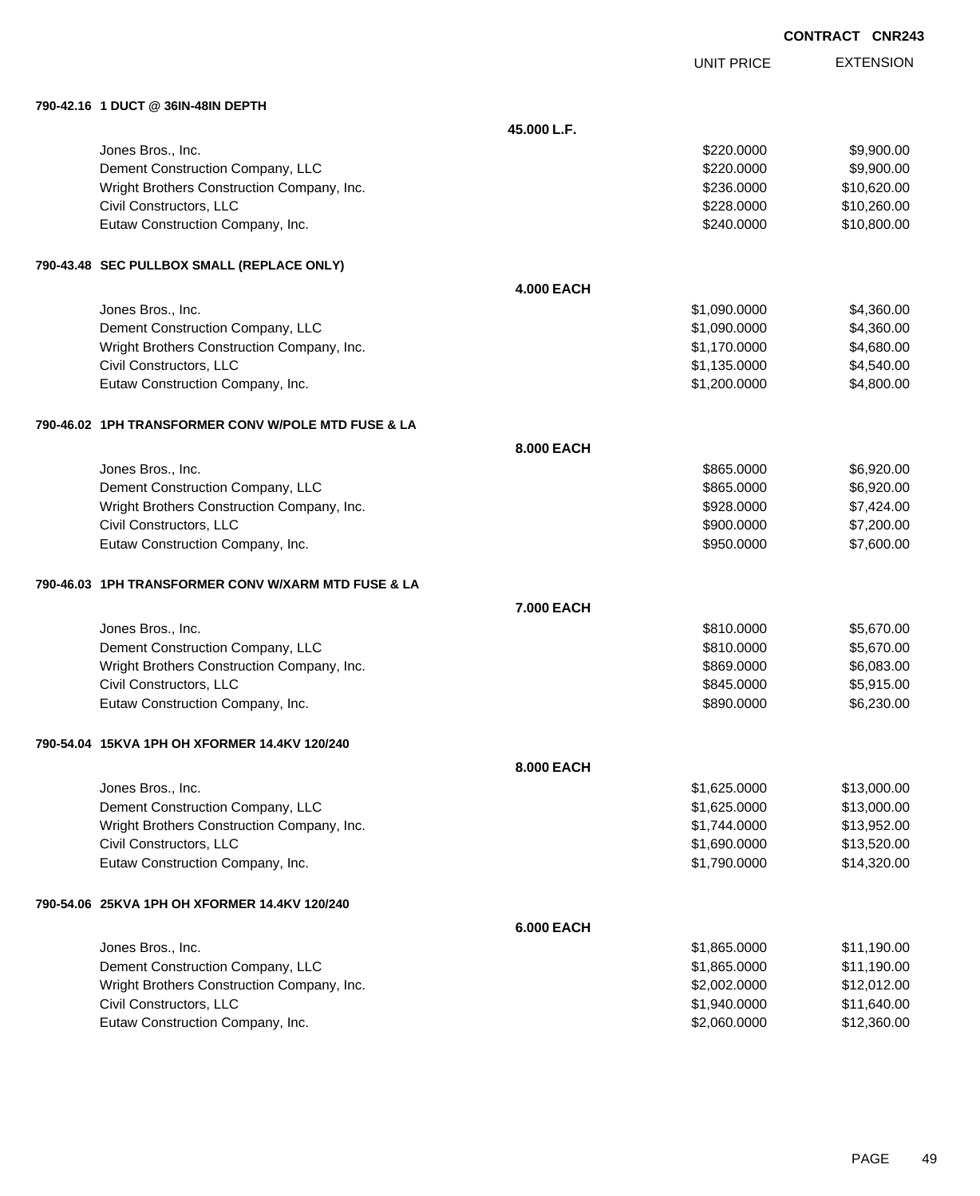| <b>CONTRACT CNR243</b> |  |
|------------------------|--|
|------------------------|--|

UNIT PRICE

EXTENSION

| 790-42.16 1 DUCT @ 36IN-48IN DEPTH                  |                   |              |             |
|-----------------------------------------------------|-------------------|--------------|-------------|
|                                                     | 45.000 L.F.       |              |             |
| Jones Bros., Inc.                                   |                   | \$220.0000   | \$9,900.00  |
| Dement Construction Company, LLC                    |                   | \$220.0000   | \$9,900.00  |
| Wright Brothers Construction Company, Inc.          |                   | \$236.0000   | \$10,620.00 |
| Civil Constructors, LLC                             |                   | \$228.0000   | \$10,260.00 |
| Eutaw Construction Company, Inc.                    |                   | \$240.0000   | \$10,800.00 |
| 790-43.48 SEC PULLBOX SMALL (REPLACE ONLY)          |                   |              |             |
|                                                     | <b>4.000 EACH</b> |              |             |
| Jones Bros., Inc.                                   |                   | \$1,090.0000 | \$4,360.00  |
| Dement Construction Company, LLC                    |                   | \$1,090.0000 | \$4,360.00  |
| Wright Brothers Construction Company, Inc.          |                   | \$1,170.0000 | \$4,680.00  |
| Civil Constructors, LLC                             |                   | \$1,135.0000 | \$4,540.00  |
| Eutaw Construction Company, Inc.                    |                   | \$1,200.0000 | \$4,800.00  |
| 790-46.02 1PH TRANSFORMER CONV W/POLE MTD FUSE & LA |                   |              |             |
|                                                     | 8.000 EACH        |              |             |
| Jones Bros., Inc.                                   |                   | \$865.0000   | \$6,920.00  |
| Dement Construction Company, LLC                    |                   | \$865.0000   | \$6,920.00  |
| Wright Brothers Construction Company, Inc.          |                   | \$928.0000   | \$7,424.00  |
| Civil Constructors, LLC                             |                   | \$900.0000   | \$7,200.00  |
| Eutaw Construction Company, Inc.                    |                   | \$950.0000   | \$7,600.00  |
| 790-46.03 1PH TRANSFORMER CONV W/XARM MTD FUSE & LA |                   |              |             |
|                                                     | 7.000 EACH        |              |             |
| Jones Bros., Inc.                                   |                   | \$810.0000   | \$5,670.00  |
| Dement Construction Company, LLC                    |                   | \$810.0000   | \$5,670.00  |
| Wright Brothers Construction Company, Inc.          |                   | \$869.0000   | \$6,083.00  |
| Civil Constructors, LLC                             |                   | \$845.0000   | \$5,915.00  |
| Eutaw Construction Company, Inc.                    |                   | \$890.0000   | \$6,230.00  |
| 790-54.04 15KVA 1PH OH XFORMER 14.4KV 120/240       |                   |              |             |
|                                                     | 8.000 EACH        |              |             |
| Jones Bros., Inc.                                   |                   | \$1,625.0000 | \$13,000.00 |
| Dement Construction Company, LLC                    |                   | \$1,625.0000 | \$13,000.00 |
| Wright Brothers Construction Company, Inc.          |                   | \$1,744.0000 | \$13,952.00 |
| Civil Constructors, LLC                             |                   | \$1,690.0000 | \$13,520.00 |
| Eutaw Construction Company, Inc.                    |                   | \$1,790.0000 | \$14,320.00 |
|                                                     |                   |              |             |

### **790-54.06 25KVA 1PH OH XFORMER 14.4KV 120/240**

| 6.000 EACH                                 |              |             |
|--------------------------------------------|--------------|-------------|
| Jones Bros., Inc.                          | \$1,865.0000 | \$11,190.00 |
| Dement Construction Company, LLC           | \$1,865.0000 | \$11,190.00 |
| Wright Brothers Construction Company, Inc. | \$2,002.0000 | \$12,012.00 |
| Civil Constructors, LLC                    | \$1,940.0000 | \$11,640.00 |
| Eutaw Construction Company, Inc.           | \$2,060.0000 | \$12,360.00 |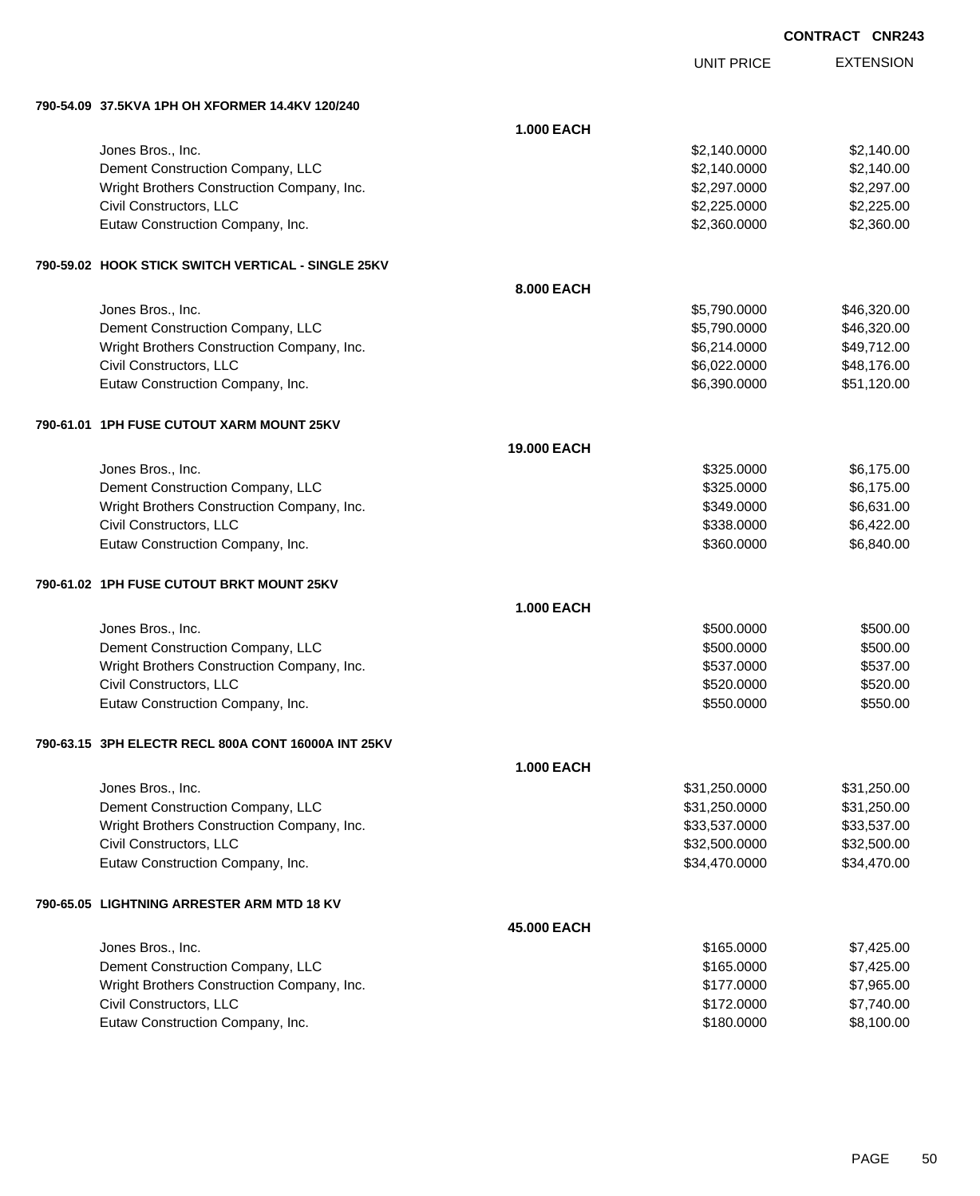|                                                     | <b>UNIT PRICE</b> | <b>EXTENSION</b> |
|-----------------------------------------------------|-------------------|------------------|
| 790-54.09 37.5KVA 1PH OH XFORMER 14.4KV 120/240     |                   |                  |
|                                                     | <b>1.000 EACH</b> |                  |
| Jones Bros., Inc.                                   | \$2,140.0000      | \$2,140.00       |
| Dement Construction Company, LLC                    | \$2,140.0000      | \$2,140.00       |
| Wright Brothers Construction Company, Inc.          | \$2,297.0000      | \$2,297.00       |
| Civil Constructors, LLC                             | \$2,225.0000      | \$2,225.00       |
| Eutaw Construction Company, Inc.                    | \$2,360.0000      | \$2,360.00       |
| 790-59.02 HOOK STICK SWITCH VERTICAL - SINGLE 25KV  |                   |                  |
|                                                     | 8.000 EACH        |                  |
| Jones Bros., Inc.                                   | \$5,790.0000      | \$46,320.00      |
| Dement Construction Company, LLC                    | \$5,790.0000      | \$46,320.00      |
| Wright Brothers Construction Company, Inc.          | \$6,214.0000      | \$49,712.00      |
| Civil Constructors, LLC                             | \$6,022.0000      | \$48,176.00      |
| Eutaw Construction Company, Inc.                    | \$6,390.0000      | \$51,120.00      |
| 790-61.01 1PH FUSE CUTOUT XARM MOUNT 25KV           |                   |                  |
|                                                     | 19.000 EACH       |                  |
| Jones Bros., Inc.                                   | \$325.0000        | \$6,175.00       |
| Dement Construction Company, LLC                    | \$325.0000        | \$6,175.00       |
| Wright Brothers Construction Company, Inc.          | \$349.0000        | \$6,631.00       |
| Civil Constructors, LLC                             | \$338.0000        | \$6,422.00       |
| Eutaw Construction Company, Inc.                    | \$360.0000        | \$6,840.00       |
| 790-61.02 1PH FUSE CUTOUT BRKT MOUNT 25KV           |                   |                  |
|                                                     | <b>1.000 EACH</b> |                  |
| Jones Bros., Inc.                                   | \$500.0000        | \$500.00         |
| Dement Construction Company, LLC                    | \$500.0000        | \$500.00         |
| Wright Brothers Construction Company, Inc.          | \$537.0000        | \$537.00         |
| Civil Constructors, LLC                             | \$520.0000        | \$520.00         |
| Eutaw Construction Company, Inc.                    | \$550.0000        | \$550.00         |
| 790-63.15 3PH ELECTR RECL 800A CONT 16000A INT 25KV |                   |                  |
|                                                     | <b>1.000 EACH</b> |                  |
| Jones Bros., Inc.                                   | \$31,250.0000     | \$31,250.00      |
| Dement Construction Company, LLC                    | \$31,250.0000     | \$31,250.00      |
| Wright Brothers Construction Company, Inc.          | \$33,537.0000     | \$33,537.00      |
| Civil Constructors, LLC                             | \$32,500.0000     | \$32,500.00      |
| Eutaw Construction Company, Inc.                    | \$34,470.0000     | \$34,470.00      |
| 790-65.05 LIGHTNING ARRESTER ARM MTD 18 KV          |                   |                  |
|                                                     | 45.000 EACH       |                  |
| Jones Bros., Inc.                                   | \$165.0000        | \$7,425.00       |
| Dement Construction Company, LLC                    | \$165.0000        | \$7,425.00       |
| Wright Brothers Construction Company, Inc.          | \$177.0000        | \$7,965.00       |
| Civil Constructors, LLC                             | \$172.0000        | \$7,740.00       |
| Eutaw Construction Company, Inc.                    | \$180.0000        | \$8,100.00       |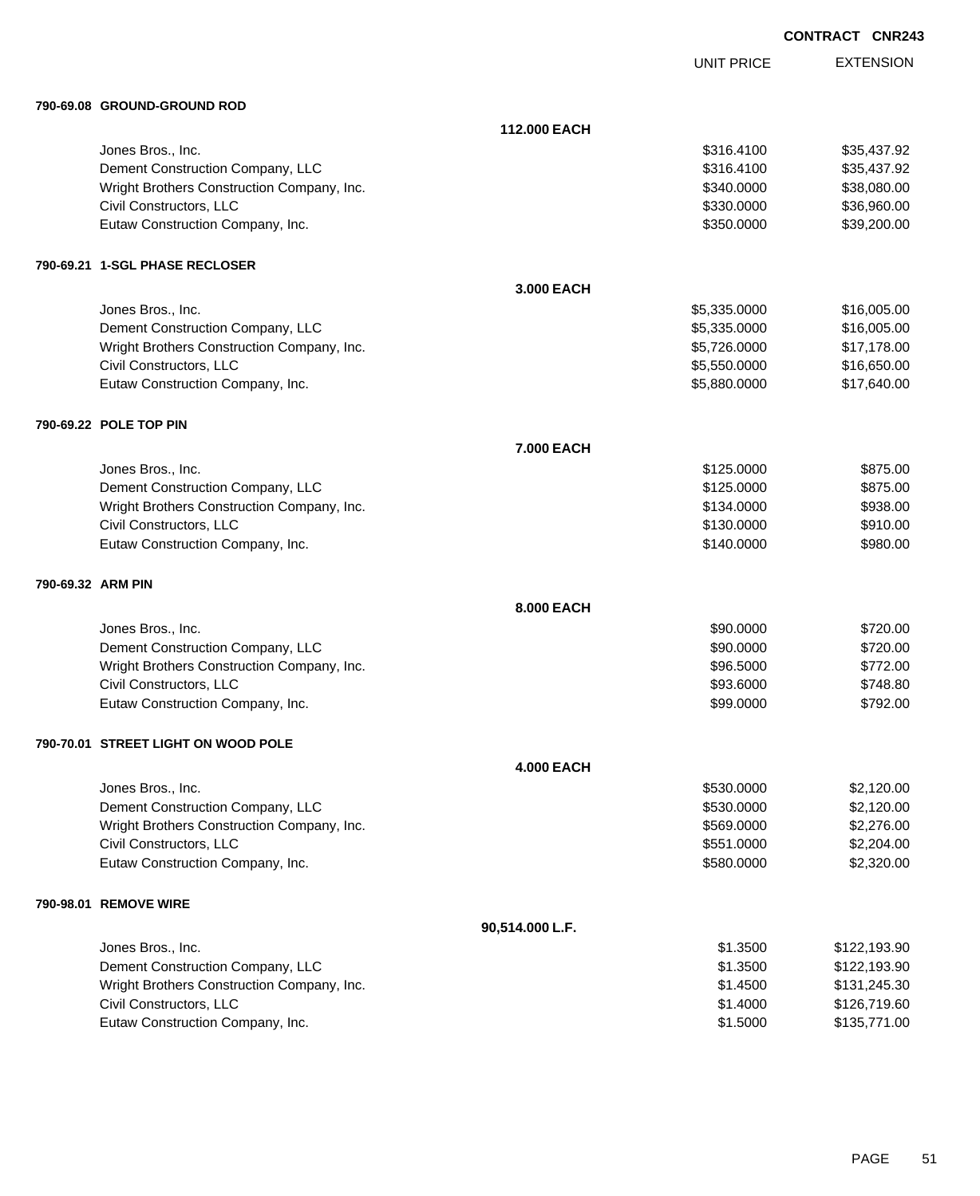| <b>CONTRACT CNR243</b> |  |
|------------------------|--|
|------------------------|--|

UNIT PRICE

|                   | 790-69.08 GROUND-GROUND ROD                |                   |              |              |
|-------------------|--------------------------------------------|-------------------|--------------|--------------|
|                   |                                            | 112.000 EACH      |              |              |
|                   | Jones Bros., Inc.                          |                   | \$316.4100   | \$35,437.92  |
|                   | Dement Construction Company, LLC           |                   | \$316.4100   | \$35,437.92  |
|                   | Wright Brothers Construction Company, Inc. |                   | \$340.0000   | \$38,080.00  |
|                   | Civil Constructors, LLC                    |                   | \$330.0000   | \$36,960.00  |
|                   | Eutaw Construction Company, Inc.           |                   | \$350.0000   | \$39,200.00  |
|                   | 790-69.21 1-SGL PHASE RECLOSER             |                   |              |              |
|                   |                                            | 3.000 EACH        |              |              |
|                   | Jones Bros., Inc.                          |                   | \$5,335.0000 | \$16,005.00  |
|                   | Dement Construction Company, LLC           |                   | \$5,335.0000 | \$16,005.00  |
|                   | Wright Brothers Construction Company, Inc. |                   | \$5,726.0000 | \$17,178.00  |
|                   | Civil Constructors, LLC                    |                   | \$5,550.0000 | \$16,650.00  |
|                   | Eutaw Construction Company, Inc.           |                   | \$5,880.0000 | \$17,640.00  |
|                   | 790-69.22 POLE TOP PIN                     |                   |              |              |
|                   |                                            | <b>7.000 EACH</b> |              |              |
|                   | Jones Bros., Inc.                          |                   | \$125.0000   | \$875.00     |
|                   | Dement Construction Company, LLC           |                   | \$125.0000   | \$875.00     |
|                   | Wright Brothers Construction Company, Inc. |                   | \$134.0000   | \$938.00     |
|                   | Civil Constructors, LLC                    |                   | \$130.0000   | \$910.00     |
|                   | Eutaw Construction Company, Inc.           |                   | \$140.0000   | \$980.00     |
| 790-69.32 ARM PIN |                                            |                   |              |              |
|                   |                                            | 8.000 EACH        |              |              |
|                   | Jones Bros., Inc.                          |                   | \$90.0000    | \$720.00     |
|                   | Dement Construction Company, LLC           |                   | \$90.0000    | \$720.00     |
|                   | Wright Brothers Construction Company, Inc. |                   | \$96.5000    | \$772.00     |
|                   | Civil Constructors, LLC                    |                   | \$93.6000    | \$748.80     |
|                   | Eutaw Construction Company, Inc.           |                   | \$99.0000    | \$792.00     |
|                   | 790-70.01 STREET LIGHT ON WOOD POLE        |                   |              |              |
|                   |                                            | <b>4.000 EACH</b> |              |              |
|                   | Jones Bros., Inc.                          |                   | \$530.0000   | \$2,120.00   |
|                   | Dement Construction Company, LLC           |                   | \$530.0000   | \$2,120.00   |
|                   | Wright Brothers Construction Company, Inc. |                   | \$569.0000   | \$2,276.00   |
|                   | Civil Constructors, LLC                    |                   | \$551.0000   | \$2,204.00   |
|                   | Eutaw Construction Company, Inc.           |                   | \$580.0000   | \$2,320.00   |
|                   | 790-98.01 REMOVE WIRE                      |                   |              |              |
|                   |                                            | 90,514.000 L.F.   |              |              |
|                   | Jones Bros., Inc.                          |                   | \$1.3500     | \$122,193.90 |
|                   | Dement Construction Company, LLC           |                   | \$1.3500     | \$122,193.90 |
|                   | Wright Brothers Construction Company, Inc. |                   | \$1.4500     | \$131,245.30 |
|                   | Civil Constructors, LLC                    |                   | \$1.4000     | \$126,719.60 |
|                   | Eutaw Construction Company, Inc.           |                   | \$1.5000     | \$135,771.00 |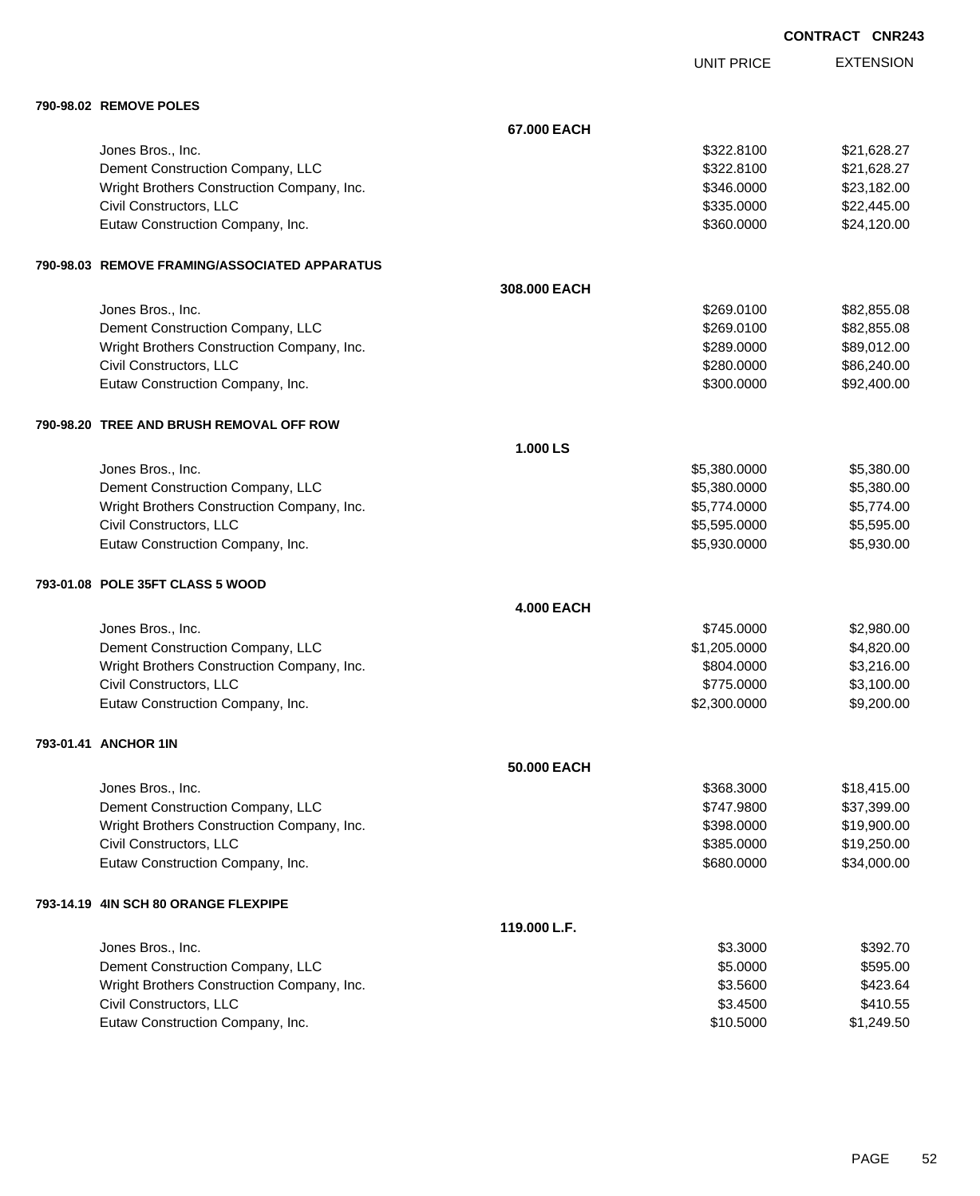UNIT PRICE

| <b>790-98.02 REMOVE POLES</b> |  |
|-------------------------------|--|
|                               |  |

| <b>JU-JO.UZ REIVIUVE FULEJ</b>                  |                   |              |             |
|-------------------------------------------------|-------------------|--------------|-------------|
|                                                 | 67.000 EACH       |              |             |
| Jones Bros., Inc.                               |                   | \$322.8100   | \$21,628.27 |
| Dement Construction Company, LLC                |                   | \$322.8100   | \$21,628.27 |
| Wright Brothers Construction Company, Inc.      |                   | \$346.0000   | \$23,182.00 |
| Civil Constructors, LLC                         |                   | \$335.0000   | \$22,445.00 |
| Eutaw Construction Company, Inc.                |                   | \$360.0000   | \$24,120.00 |
| 790-98.03   REMOVE FRAMING/ASSOCIATED APPARATUS |                   |              |             |
|                                                 | 308.000 EACH      |              |             |
| Jones Bros., Inc.                               |                   | \$269.0100   | \$82,855.08 |
| Dement Construction Company, LLC                |                   | \$269.0100   | \$82,855.08 |
| Wright Brothers Construction Company, Inc.      |                   | \$289.0000   | \$89,012.00 |
| Civil Constructors, LLC                         |                   | \$280.0000   | \$86,240.00 |
| Eutaw Construction Company, Inc.                |                   | \$300.0000   | \$92,400.00 |
| 790-98.20 TREE AND BRUSH REMOVAL OFF ROW        |                   |              |             |
|                                                 | 1.000 LS          |              |             |
| Jones Bros., Inc.                               |                   | \$5,380.0000 | \$5,380.00  |
| Dement Construction Company, LLC                |                   | \$5,380.0000 | \$5,380.00  |
| Wright Brothers Construction Company, Inc.      |                   | \$5,774.0000 | \$5,774.00  |
| Civil Constructors, LLC                         |                   | \$5,595.0000 | \$5,595.00  |
| Eutaw Construction Company, Inc.                |                   | \$5,930.0000 | \$5,930.00  |
| 793-01.08 POLE 35FT CLASS 5 WOOD                |                   |              |             |
|                                                 | <b>4.000 EACH</b> |              |             |
| Jones Bros., Inc.                               |                   | \$745.0000   | \$2,980.00  |
| Dement Construction Company, LLC                |                   | \$1,205.0000 | \$4,820.00  |
| Wright Brothers Construction Company, Inc.      |                   | \$804.0000   | \$3,216.00  |
| Civil Constructors, LLC                         |                   | \$775.0000   | \$3,100.00  |
| Eutaw Construction Company, Inc.                |                   | \$2,300.0000 | \$9,200.00  |
| 793-01.41 ANCHOR 1IN                            |                   |              |             |
|                                                 | 50.000 EACH       |              |             |
| Jones Bros., Inc.                               |                   | \$368.3000   | \$18,415.00 |
| Dement Construction Company, LLC                |                   | \$747.9800   | \$37,399.00 |
| Wright Brothers Construction Company, Inc.      |                   | \$398.0000   | \$19,900.00 |
| Civil Constructors, LLC                         |                   | \$385.0000   | \$19,250.00 |
| Eutaw Construction Company, Inc.                |                   | \$680.0000   | \$34,000.00 |
| 793-14.19 4IN SCH 80 ORANGE FLEXPIPE            |                   |              |             |
|                                                 | 119.000 L.F.      |              |             |
| Jones Bros., Inc.                               |                   | \$3.3000     | \$392.70    |
| Dement Construction Company, LLC                |                   | \$5.0000     | \$595.00    |
| Wright Brothers Construction Company, Inc.      |                   | \$3.5600     | \$423.64    |
| Civil Constructors, LLC                         |                   | \$3.4500     | \$410.55    |
| Eutaw Construction Company, Inc.                |                   | \$10.5000    | \$1,249.50  |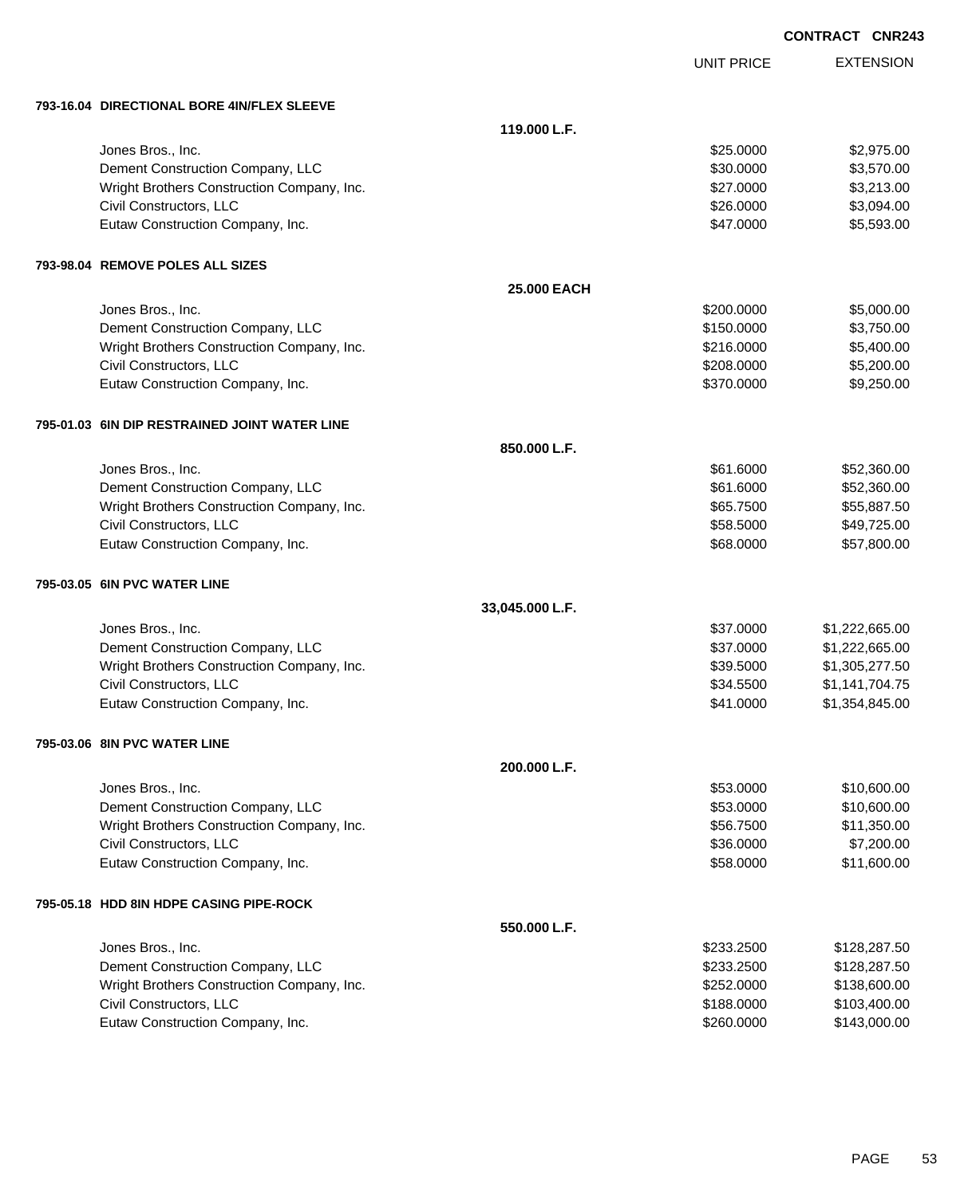|            | CONTRACT CNR243 |                  |
|------------|-----------------|------------------|
| UNIT PRICE |                 | <b>EXTENSION</b> |

| 793-16.04 DIRECTIONAL BORE 4IN/FLEX SLEEVE    |                 |            |                |
|-----------------------------------------------|-----------------|------------|----------------|
|                                               | 119.000 L.F.    |            |                |
| Jones Bros., Inc.                             |                 | \$25.0000  | \$2,975.00     |
| Dement Construction Company, LLC              |                 | \$30.0000  | \$3,570.00     |
| Wright Brothers Construction Company, Inc.    |                 | \$27.0000  | \$3,213.00     |
| Civil Constructors, LLC                       |                 | \$26.0000  | \$3,094.00     |
| Eutaw Construction Company, Inc.              |                 | \$47.0000  | \$5,593.00     |
| 793-98.04 REMOVE POLES ALL SIZES              |                 |            |                |
|                                               | 25.000 EACH     |            |                |
| Jones Bros., Inc.                             |                 | \$200.0000 | \$5,000.00     |
| Dement Construction Company, LLC              |                 | \$150.0000 | \$3,750.00     |
| Wright Brothers Construction Company, Inc.    |                 | \$216.0000 | \$5,400.00     |
| Civil Constructors, LLC                       |                 | \$208.0000 | \$5,200.00     |
| Eutaw Construction Company, Inc.              |                 | \$370.0000 | \$9,250.00     |
| 795-01.03 6IN DIP RESTRAINED JOINT WATER LINE |                 |            |                |
|                                               | 850.000 L.F.    |            |                |
| Jones Bros., Inc.                             |                 | \$61.6000  | \$52,360.00    |
| Dement Construction Company, LLC              |                 | \$61.6000  | \$52,360.00    |
| Wright Brothers Construction Company, Inc.    |                 | \$65.7500  | \$55,887.50    |
| Civil Constructors, LLC                       |                 | \$58.5000  | \$49,725.00    |
| Eutaw Construction Company, Inc.              |                 | \$68.0000  | \$57,800.00    |
| 795-03.05 6IN PVC WATER LINE                  |                 |            |                |
|                                               | 33,045.000 L.F. |            |                |
| Jones Bros., Inc.                             |                 | \$37.0000  | \$1,222,665.00 |
| Dement Construction Company, LLC              |                 | \$37.0000  | \$1,222,665.00 |
| Wright Brothers Construction Company, Inc.    |                 | \$39.5000  | \$1,305,277.50 |
| Civil Constructors, LLC                       |                 | \$34.5500  | \$1,141,704.75 |
| Eutaw Construction Company, Inc.              |                 | \$41.0000  | \$1,354,845.00 |
| 795-03.06 8IN PVC WATER LINE                  |                 |            |                |
|                                               | 200.000 L.F.    |            |                |
| Jones Bros., Inc.                             |                 | \$53.0000  | \$10,600.00    |
| Dement Construction Company, LLC              |                 | \$53.0000  | \$10,600.00    |
| Wright Brothers Construction Company, Inc.    |                 | \$56.7500  | \$11,350.00    |
| Civil Constructors, LLC                       |                 | \$36.0000  | \$7,200.00     |
| Eutaw Construction Company, Inc.              |                 | \$58.0000  | \$11,600.00    |
| 795-05.18 HDD 8IN HDPE CASING PIPE-ROCK       |                 |            |                |
|                                               | 550.000 L.F.    |            |                |
| Jones Bros., Inc.                             |                 | \$233.2500 | \$128,287.50   |
| Dement Construction Company, LLC              |                 | \$233.2500 | \$128,287.50   |
| Wright Brothers Construction Company, Inc.    |                 | \$252.0000 | \$138,600.00   |
| Civil Constructors, LLC                       |                 | \$188.0000 | \$103,400.00   |
| Eutaw Construction Company, Inc.              |                 | \$260.0000 | \$143,000.00   |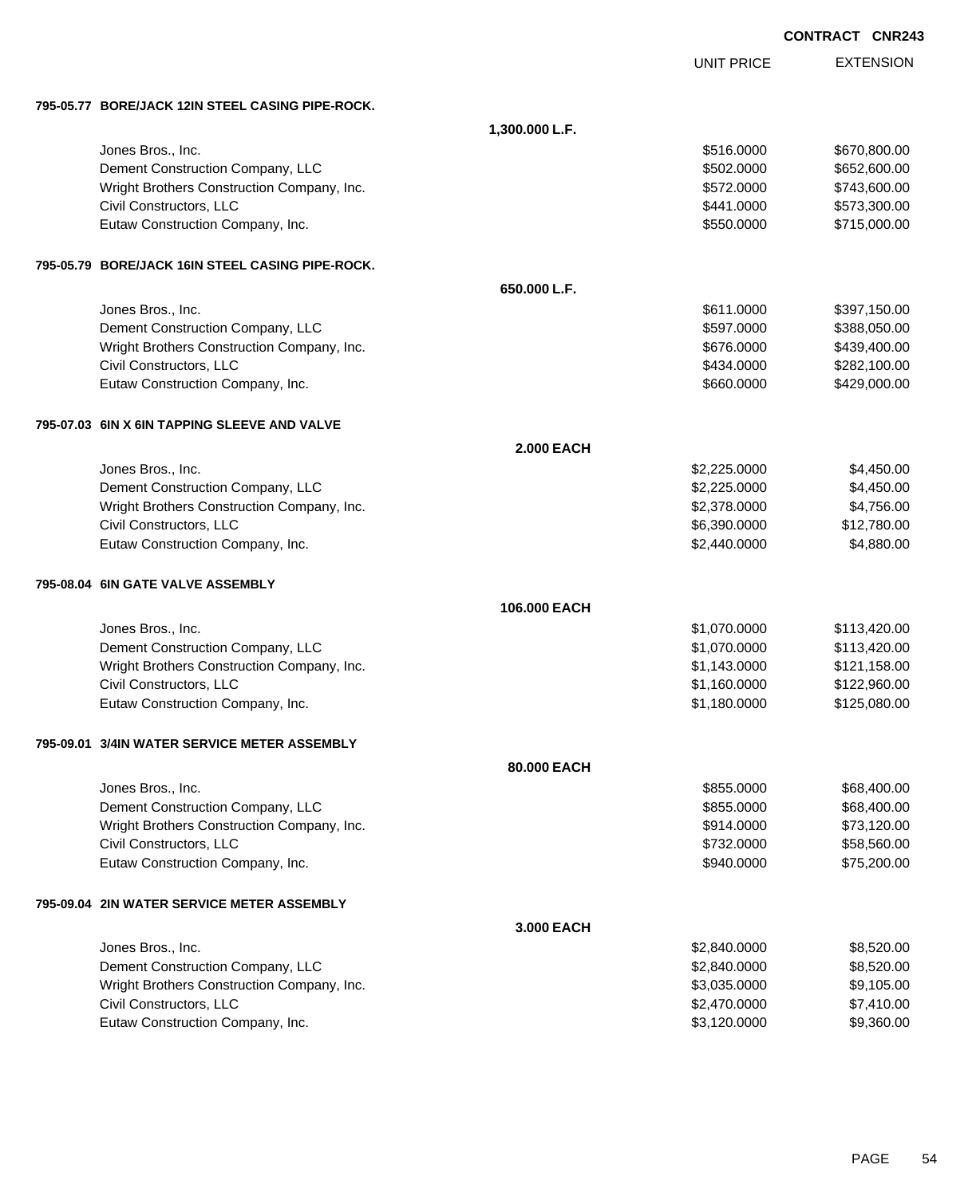| CONTRACT CNR243 |  |
|-----------------|--|
|                 |  |

|                                                  |                   | <b>UNIT PRICE</b> | <b>EXTENSION</b> |
|--------------------------------------------------|-------------------|-------------------|------------------|
| 795-05.77 BORE/JACK 12IN STEEL CASING PIPE-ROCK. |                   |                   |                  |
|                                                  | 1,300.000 L.F.    |                   |                  |
| Jones Bros., Inc.                                |                   | \$516.0000        | \$670,800.00     |
| Dement Construction Company, LLC                 |                   | \$502.0000        | \$652,600.00     |
| Wright Brothers Construction Company, Inc.       |                   | \$572.0000        | \$743,600.00     |
| Civil Constructors, LLC                          |                   | \$441.0000        | \$573,300.00     |
| Eutaw Construction Company, Inc.                 |                   | \$550.0000        | \$715,000.00     |
| 795-05.79 BORE/JACK 16IN STEEL CASING PIPE-ROCK. |                   |                   |                  |
|                                                  | 650.000 L.F.      |                   |                  |
| Jones Bros., Inc.                                |                   | \$611.0000        | \$397,150.00     |
| Dement Construction Company, LLC                 |                   | \$597.0000        | \$388,050.00     |
| Wright Brothers Construction Company, Inc.       |                   | \$676.0000        | \$439,400.00     |
| Civil Constructors, LLC                          |                   | \$434.0000        | \$282,100.00     |
| Eutaw Construction Company, Inc.                 |                   | \$660.0000        | \$429,000.00     |
| 795-07.03 6IN X 6IN TAPPING SLEEVE AND VALVE     |                   |                   |                  |
|                                                  | <b>2.000 EACH</b> |                   |                  |
| Jones Bros., Inc.                                |                   | \$2,225.0000      | \$4,450.00       |
| Dement Construction Company, LLC                 |                   | \$2,225.0000      | \$4,450.00       |
| Wright Brothers Construction Company, Inc.       |                   | \$2,378.0000      | \$4,756.00       |
| Civil Constructors, LLC                          |                   | \$6,390.0000      | \$12,780.00      |
| Eutaw Construction Company, Inc.                 |                   | \$2,440.0000      | \$4,880.00       |
| 795-08.04  6IN GATE VALVE ASSEMBLY               |                   |                   |                  |
|                                                  | 106.000 EACH      |                   |                  |
| Jones Bros., Inc.                                |                   | \$1,070.0000      | \$113,420.00     |
| Dement Construction Company, LLC                 |                   | \$1,070.0000      | \$113,420.00     |
| Wright Brothers Construction Company, Inc.       |                   | \$1,143.0000      | \$121,158.00     |
| Civil Constructors, LLC                          |                   | \$1,160.0000      | \$122,960.00     |
| Eutaw Construction Company, Inc.                 |                   | \$1,180.0000      | \$125,080.00     |
| 795-09.01 3/4IN WATER SERVICE METER ASSEMBLY     |                   |                   |                  |
|                                                  | 80,000 EACH       |                   |                  |
| Jones Bros., Inc.                                |                   | \$855.0000        | \$68,400.00      |
| Dement Construction Company, LLC                 |                   | \$855.0000        | \$68,400.00      |
| Wright Brothers Construction Company, Inc.       |                   | \$914.0000        | \$73,120.00      |
| Civil Constructors, LLC                          |                   | \$732.0000        | \$58,560.00      |
| Eutaw Construction Company, Inc.                 |                   | \$940.0000        | \$75,200.00      |
| 795-09.04 2IN WATER SERVICE METER ASSEMBLY       |                   |                   |                  |
|                                                  | 3.000 EACH        |                   |                  |
| Jones Bros., Inc.                                |                   | \$2,840.0000      | \$8,520.00       |
| Dement Construction Company, LLC                 |                   | \$2,840.0000      | \$8,520.00       |
| Wright Brothers Construction Company, Inc.       |                   | \$3,035.0000      | \$9,105.00       |
| Civil Constructors, LLC                          |                   | \$2,470.0000      | \$7,410.00       |
| Eutaw Construction Company, Inc.                 |                   | \$3,120.0000      | \$9,360.00       |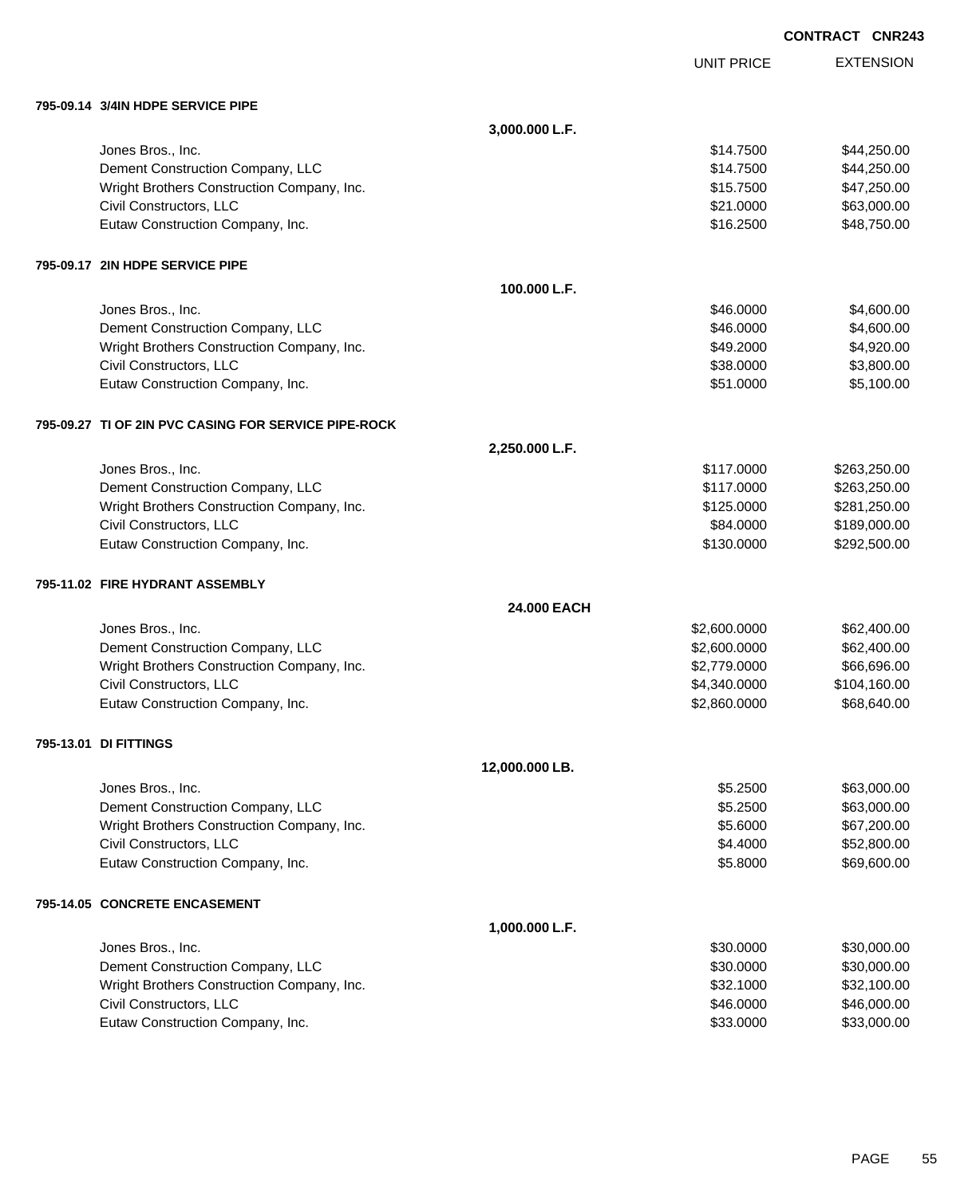|  | <b>CONTRACT CNR243</b> |
|--|------------------------|
|  |                        |

UNIT PRICE

EXTENSION

| 795-09.14 3/4IN HDPE SERVICE PIPE                    |                |              |              |
|------------------------------------------------------|----------------|--------------|--------------|
|                                                      | 3,000.000 L.F. |              |              |
| Jones Bros., Inc.                                    |                | \$14.7500    | \$44,250.00  |
| Dement Construction Company, LLC                     |                | \$14.7500    | \$44,250.00  |
| Wright Brothers Construction Company, Inc.           |                | \$15.7500    | \$47,250.00  |
| Civil Constructors, LLC                              |                | \$21.0000    | \$63,000.00  |
| Eutaw Construction Company, Inc.                     |                | \$16.2500    | \$48,750.00  |
| 795-09.17 2IN HDPE SERVICE PIPE                      |                |              |              |
|                                                      | 100.000 L.F.   |              |              |
| Jones Bros., Inc.                                    |                | \$46.0000    | \$4,600.00   |
| Dement Construction Company, LLC                     |                | \$46.0000    | \$4,600.00   |
| Wright Brothers Construction Company, Inc.           |                | \$49.2000    | \$4,920.00   |
| Civil Constructors, LLC                              |                | \$38.0000    | \$3,800.00   |
| Eutaw Construction Company, Inc.                     |                | \$51.0000    | \$5,100.00   |
| 795-09.27 TI OF 2IN PVC CASING FOR SERVICE PIPE-ROCK |                |              |              |
|                                                      | 2,250.000 L.F. |              |              |
| Jones Bros., Inc.                                    |                | \$117.0000   | \$263,250.00 |
| Dement Construction Company, LLC                     |                | \$117.0000   | \$263,250.00 |
| Wright Brothers Construction Company, Inc.           |                | \$125.0000   | \$281,250.00 |
| Civil Constructors, LLC                              |                | \$84.0000    | \$189,000.00 |
| Eutaw Construction Company, Inc.                     |                | \$130.0000   | \$292,500.00 |
| 795-11.02 FIRE HYDRANT ASSEMBLY                      |                |              |              |
|                                                      | 24,000 EACH    |              |              |
| Jones Bros., Inc.                                    |                | \$2,600.0000 | \$62,400.00  |
| Dement Construction Company, LLC                     |                | \$2,600.0000 | \$62,400.00  |
| Wright Brothers Construction Company, Inc.           |                | \$2,779.0000 | \$66,696.00  |
| Civil Constructors, LLC                              |                | \$4,340.0000 | \$104,160.00 |
| Eutaw Construction Company, Inc.                     |                | \$2,860.0000 | \$68,640.00  |
| 795-13.01 DI FITTINGS                                |                |              |              |
|                                                      | 12,000.000 LB. |              |              |
| Jones Bros., Inc.                                    |                | \$5.2500     | \$63,000.00  |
| Dement Construction Company, LLC                     |                | \$5.2500     | \$63,000.00  |
| Wright Brothers Construction Company, Inc.           |                | \$5.6000     | \$67,200.00  |
| Civil Constructors, LLC                              |                | \$4.4000     | \$52,800.00  |
| Eutaw Construction Company, Inc.                     |                | \$5.8000     | \$69,600.00  |
| 795-14.05 CONCRETE ENCASEMENT                        |                |              |              |
|                                                      | 1,000.000 L.F. |              |              |
| Jones Bros., Inc.                                    |                | \$30.0000    | \$30,000.00  |
| Dement Construction Company, LLC                     |                | \$30.0000    | \$30,000.00  |
| Wright Brothers Construction Company, Inc.           |                | \$32.1000    | \$32,100.00  |
| Civil Constructors, LLC                              |                | \$46.0000    | \$46,000.00  |
| Eutaw Construction Company, Inc.                     |                | \$33.0000    | \$33,000.00  |
|                                                      |                |              |              |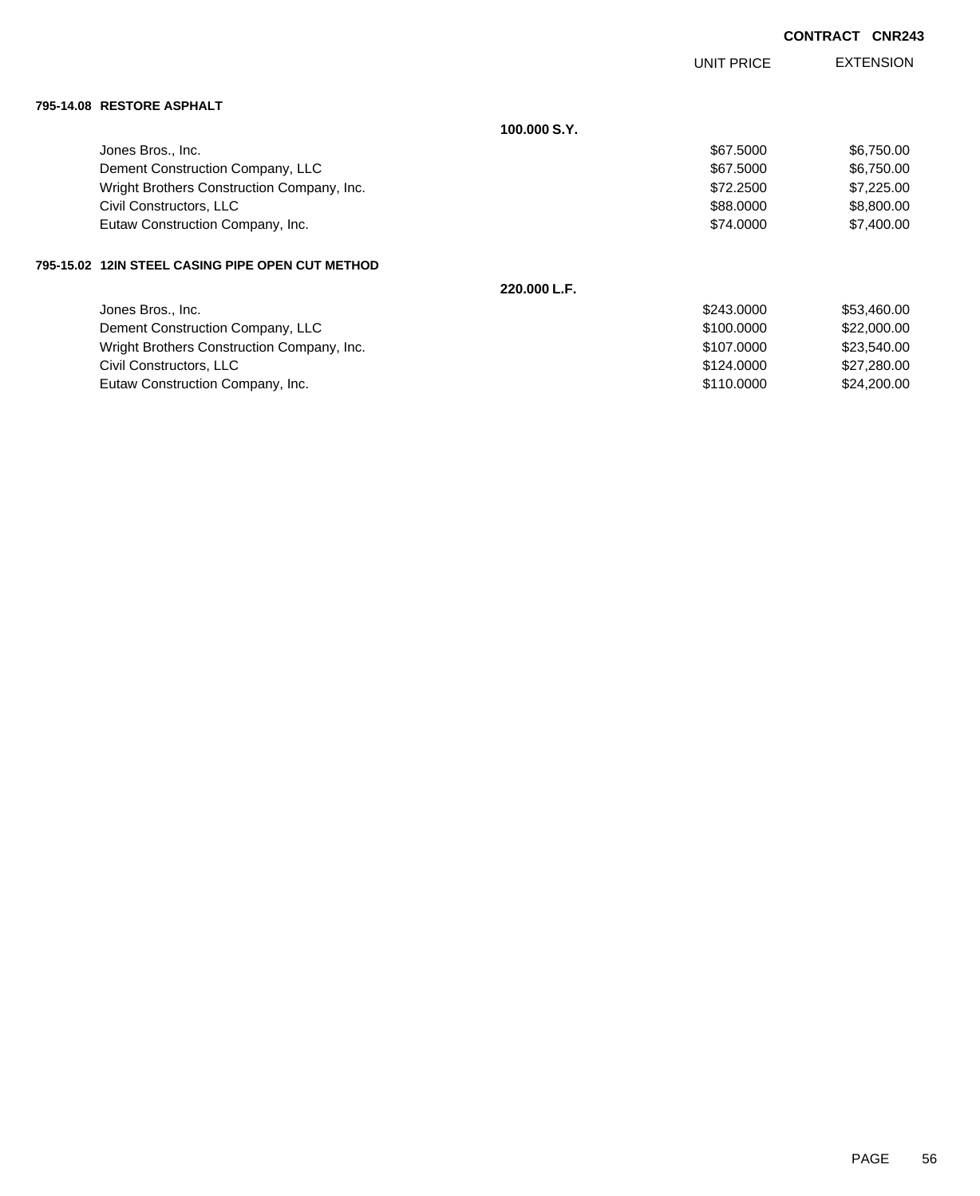|                           |                                               |              | UNIT PRICE | <b>EXTENSION</b> |
|---------------------------|-----------------------------------------------|--------------|------------|------------------|
| 795-14.08 RESTORE ASPHALT |                                               |              |            |                  |
|                           |                                               | 100.000 S.Y. |            |                  |
|                           | Jones Bros., Inc.                             |              | \$67.5000  | \$6,750.00       |
|                           | Dement Construction Company, LLC              |              | \$67.5000  | \$6,750.00       |
|                           | Wright Brothers Construction Company, Inc.    |              | \$72.2500  | \$7,225.00       |
|                           | Civil Constructors, LLC                       |              | \$88.0000  | \$8,800.00       |
|                           | Eutaw Construction Company, Inc.              |              | \$74.0000  | \$7,400.00       |
| 795-15.02                 | <b>12IN STEEL CASING PIPE OPEN CUT METHOD</b> |              |            |                  |
|                           |                                               | 220.000 L.F. |            |                  |
|                           | Jones Bros., Inc.                             |              | \$243.0000 | \$53,460.00      |
|                           | Dement Construction Company, LLC              |              | \$100.0000 | \$22,000.00      |
|                           | Wright Brothers Construction Company, Inc.    |              | \$107,0000 | \$23,540.00      |

Civil Constructors, LLC 627,280.00 Eutaw Construction Company, Inc. 6. The Construction Company, Inc. 6. The Construction Company, Inc.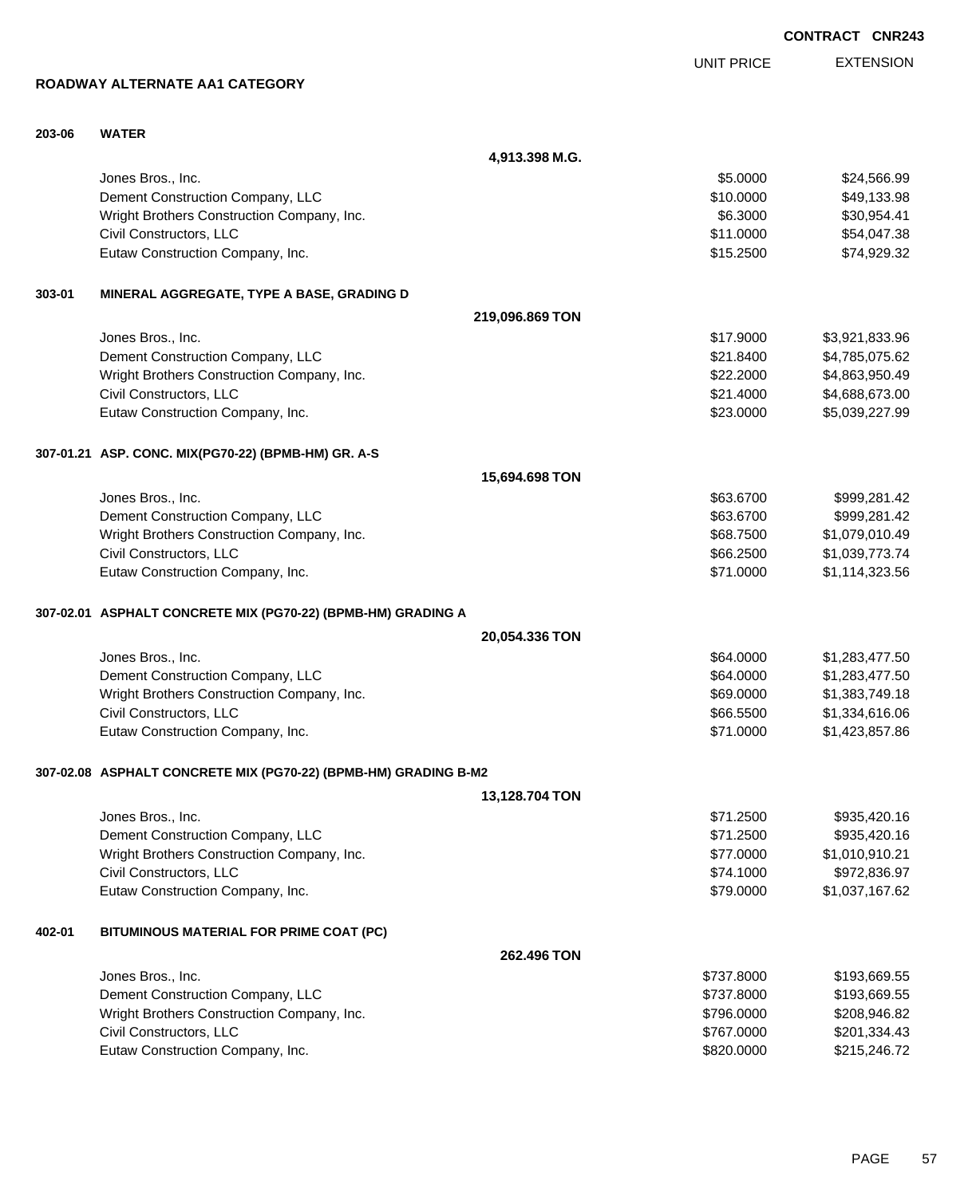**15,694.698 TON 20,054.336 TON 13,128.704 TON 262.496 TON** Wright Brothers Construction Company, Inc. 6. The Same State of the State of State State State State State State State State State State State State State State State State State State State State State State State State S Civil Constructors, LLC \$767.0000 \$201,334.43 Eutaw Construction Company, Inc. 6. The Construction Company, Inc. 6. The Construction Company, Inc.

**4,913.398 M.G.**

**ROADWAY ALTERNATE AA1 CATEGORY**

**203-06 WATER**

|        | Jones Bros., Inc.                                               |                 | \$5,0000   | \$24,566.99    |
|--------|-----------------------------------------------------------------|-----------------|------------|----------------|
|        | Dement Construction Company, LLC                                |                 | \$10.0000  | \$49,133.98    |
|        | Wright Brothers Construction Company, Inc.                      |                 | \$6.3000   | \$30,954.41    |
|        | Civil Constructors, LLC                                         |                 | \$11.0000  | \$54,047.38    |
|        | Eutaw Construction Company, Inc.                                |                 | \$15.2500  | \$74,929.32    |
| 303-01 | MINERAL AGGREGATE, TYPE A BASE, GRADING D                       |                 |            |                |
|        |                                                                 | 219,096.869 TON |            |                |
|        | Jones Bros., Inc.                                               |                 | \$17.9000  | \$3,921,833.96 |
|        | Dement Construction Company, LLC                                |                 | \$21.8400  | \$4,785,075.62 |
|        | Wright Brothers Construction Company, Inc.                      |                 | \$22.2000  | \$4,863,950.49 |
|        | Civil Constructors, LLC                                         |                 | \$21.4000  | \$4,688,673.00 |
|        | Eutaw Construction Company, Inc.                                |                 | \$23.0000  | \$5,039,227.99 |
|        | 307-01.21 ASP. CONC. MIX(PG70-22) (BPMB-HM) GR. A-S             |                 |            |                |
|        |                                                                 | 15,694.698 TON  |            |                |
|        | Jones Bros., Inc.                                               |                 | \$63.6700  | \$999,281.42   |
|        | Dement Construction Company, LLC                                |                 | \$63.6700  | \$999,281.42   |
|        | Wright Brothers Construction Company, Inc.                      |                 | \$68.7500  | \$1,079,010.49 |
|        | Civil Constructors, LLC                                         |                 | \$66.2500  | \$1,039,773.74 |
|        | Eutaw Construction Company, Inc.                                |                 | \$71.0000  | \$1,114,323.56 |
|        | 307-02.01 ASPHALT CONCRETE MIX (PG70-22) (BPMB-HM) GRADING A    |                 |            |                |
|        |                                                                 | 20,054.336 TON  |            |                |
|        | Jones Bros., Inc.                                               |                 | \$64.0000  | \$1,283,477.50 |
|        | Dement Construction Company, LLC                                |                 | \$64.0000  | \$1,283,477.50 |
|        | Wright Brothers Construction Company, Inc.                      |                 | \$69.0000  | \$1,383,749.18 |
|        | Civil Constructors, LLC                                         |                 | \$66.5500  | \$1,334,616.06 |
|        | Eutaw Construction Company, Inc.                                |                 | \$71.0000  | \$1,423,857.86 |
|        | 307-02.08 ASPHALT CONCRETE MIX (PG70-22) (BPMB-HM) GRADING B-M2 |                 |            |                |
|        |                                                                 | 13,128.704 TON  |            |                |
|        | Jones Bros., Inc.                                               |                 | \$71.2500  | \$935,420.16   |
|        | Dement Construction Company, LLC                                |                 | \$71.2500  | \$935,420.16   |
|        | Wright Brothers Construction Company, Inc.                      |                 | \$77.0000  | \$1,010,910.21 |
|        | Civil Constructors, LLC                                         |                 | \$74.1000  | \$972,836.97   |
|        | Eutaw Construction Company, Inc.                                |                 | \$79.0000  | \$1,037,167.62 |
| 402-01 | BITUMINOUS MATERIAL FOR PRIME COAT (PC)                         |                 |            |                |
|        |                                                                 | 262.496 TON     |            |                |
|        | Jones Bros., Inc.                                               |                 | \$737.8000 | \$193,669.55   |
|        | Dement Construction Company, LLC                                |                 | \$737.8000 | \$193,669.55   |
|        |                                                                 |                 |            |                |

**CONTRACT CNR243**

EXTENSION UNIT PRICE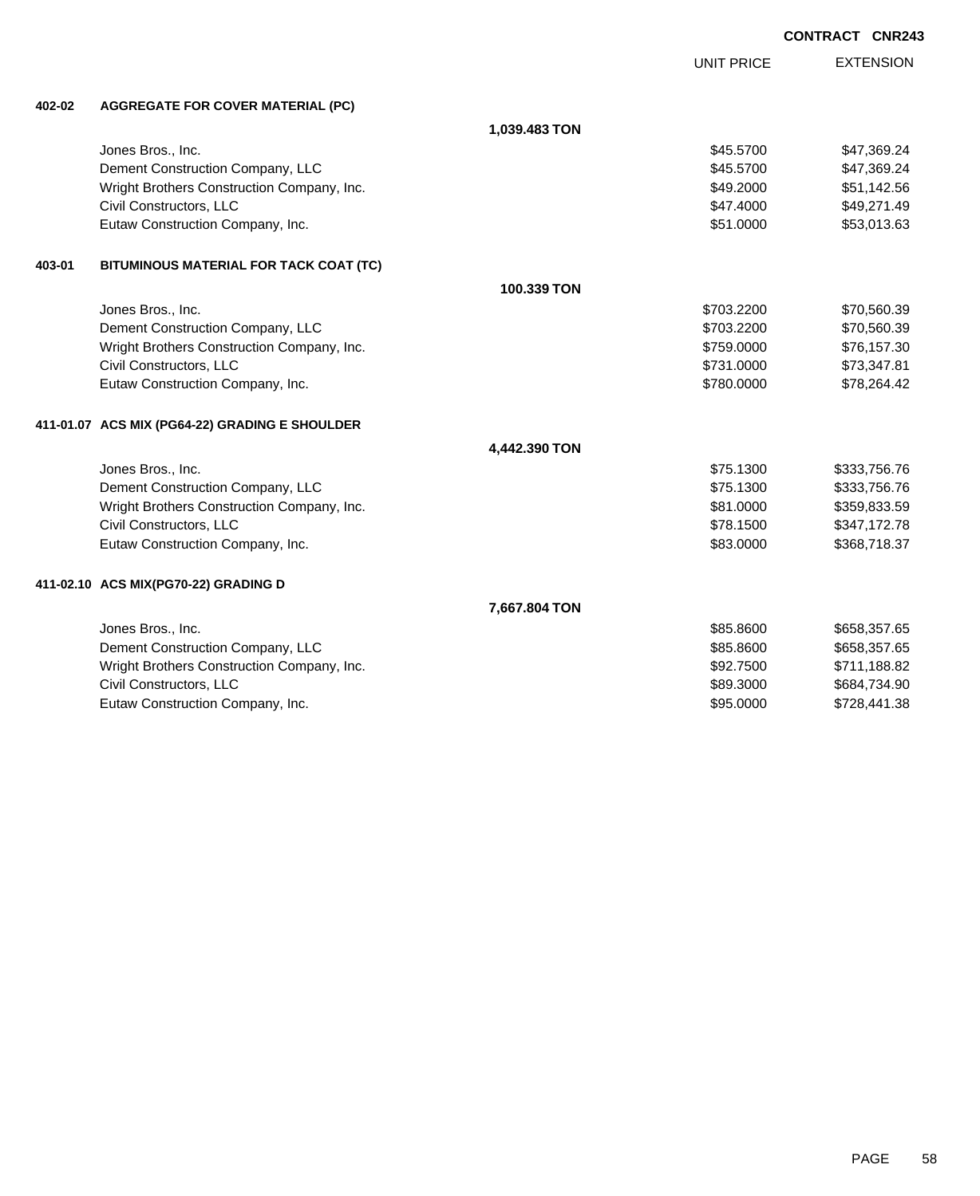|        |                                                |               |                   | <b>CONTRACT CNR243</b> |                  |
|--------|------------------------------------------------|---------------|-------------------|------------------------|------------------|
|        |                                                |               | <b>UNIT PRICE</b> |                        | <b>EXTENSION</b> |
| 402-02 | <b>AGGREGATE FOR COVER MATERIAL (PC)</b>       |               |                   |                        |                  |
|        |                                                | 1,039.483 TON |                   |                        |                  |
|        | Jones Bros., Inc.                              |               | \$45.5700         |                        | \$47,369.24      |
|        | Dement Construction Company, LLC               |               | \$45.5700         |                        | \$47,369.24      |
|        | Wright Brothers Construction Company, Inc.     |               | \$49.2000         |                        | \$51,142.56      |
|        | Civil Constructors, LLC                        |               | \$47.4000         |                        | \$49,271.49      |
|        | Eutaw Construction Company, Inc.               |               | \$51.0000         |                        | \$53,013.63      |
| 403-01 | BITUMINOUS MATERIAL FOR TACK COAT (TC)         |               |                   |                        |                  |
|        |                                                | 100.339 TON   |                   |                        |                  |
|        | Jones Bros., Inc.                              |               | \$703.2200        |                        | \$70,560.39      |
|        | Dement Construction Company, LLC               |               | \$703.2200        |                        | \$70,560.39      |
|        | Wright Brothers Construction Company, Inc.     |               | \$759.0000        |                        | \$76,157.30      |
|        | Civil Constructors, LLC                        |               | \$731.0000        |                        | \$73,347.81      |
|        | Eutaw Construction Company, Inc.               |               | \$780.0000        |                        | \$78,264.42      |
|        | 411-01.07 ACS MIX (PG64-22) GRADING E SHOULDER |               |                   |                        |                  |
|        |                                                | 4,442.390 TON |                   |                        |                  |
|        | Jones Bros., Inc.                              |               | \$75.1300         |                        | \$333,756.76     |
|        | Dement Construction Company, LLC               |               | \$75.1300         |                        | \$333,756.76     |
|        | Wright Brothers Construction Company, Inc.     |               | \$81.0000         |                        | \$359,833.59     |
|        | Civil Constructors, LLC                        |               | \$78.1500         |                        | \$347,172.78     |
|        | Eutaw Construction Company, Inc.               |               | \$83.0000         |                        | \$368,718.37     |
|        | 411-02.10 ACS MIX(PG70-22) GRADING D           |               |                   |                        |                  |
|        |                                                | 7,667.804 TON |                   |                        |                  |
|        | Jones Bros., Inc.                              |               | \$85.8600         |                        | \$658,357.65     |
|        | Dement Construction Company, LLC               |               | \$85.8600         |                        | \$658,357.65     |
|        | Wright Brothers Construction Company, Inc.     |               | \$92.7500         |                        | \$711,188.82     |
|        | Civil Constructors, LLC                        |               | \$89.3000         |                        | \$684,734.90     |
|        | Eutaw Construction Company, Inc.               |               | \$95,0000         |                        | \$728,441.38     |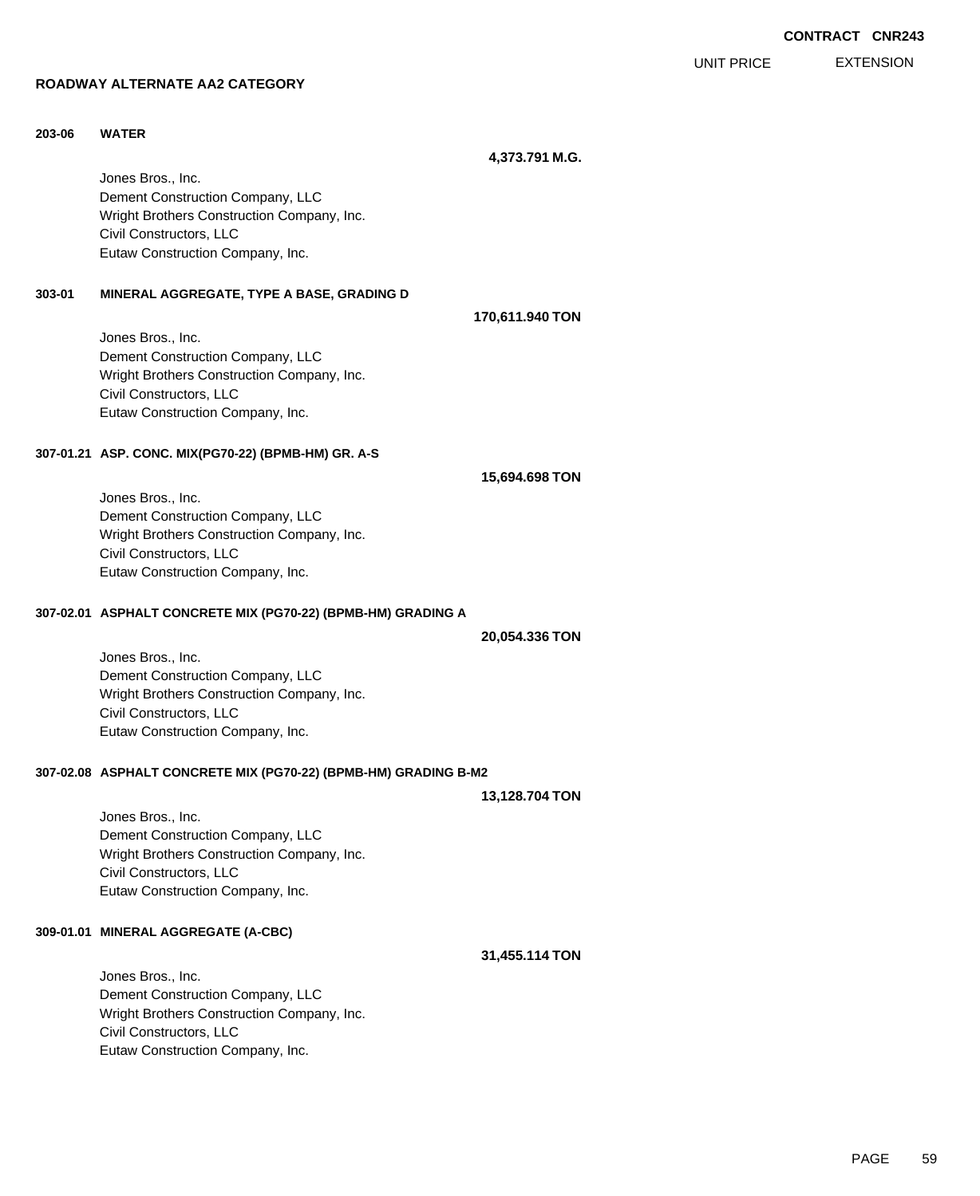EXTENSION UNIT PRICE

### **ROADWAY ALTERNATE AA2 CATEGORY**

### **203-06 WATER**

**4,373.791 M.G.**

**170,611.940 TON**

Jones Bros., Inc. Dement Construction Company, LLC Wright Brothers Construction Company, Inc. Civil Constructors, LLC Eutaw Construction Company, Inc.

#### **303-01 MINERAL AGGREGATE, TYPE A BASE, GRADING D**

Jones Bros., Inc. Dement Construction Company, LLC Wright Brothers Construction Company, Inc. Civil Constructors, LLC Eutaw Construction Company, Inc.

#### **307-01.21 ASP. CONC. MIX(PG70-22) (BPMB-HM) GR. A-S**

Jones Bros., Inc. Dement Construction Company, LLC Wright Brothers Construction Company, Inc. Civil Constructors, LLC Eutaw Construction Company, Inc.

#### **307-02.01 ASPHALT CONCRETE MIX (PG70-22) (BPMB-HM) GRADING A**

**20,054.336 TON**

**15,694.698 TON**

Jones Bros., Inc. Dement Construction Company, LLC Wright Brothers Construction Company, Inc. Civil Constructors, LLC Eutaw Construction Company, Inc.

#### **307-02.08 ASPHALT CONCRETE MIX (PG70-22) (BPMB-HM) GRADING B-M2**

**13,128.704 TON**

Jones Bros., Inc. Dement Construction Company, LLC Wright Brothers Construction Company, Inc. Civil Constructors, LLC Eutaw Construction Company, Inc.

#### **309-01.01 MINERAL AGGREGATE (A-CBC)**

#### **31,455.114 TON**

Jones Bros., Inc. Dement Construction Company, LLC Wright Brothers Construction Company, Inc. Civil Constructors, LLC Eutaw Construction Company, Inc.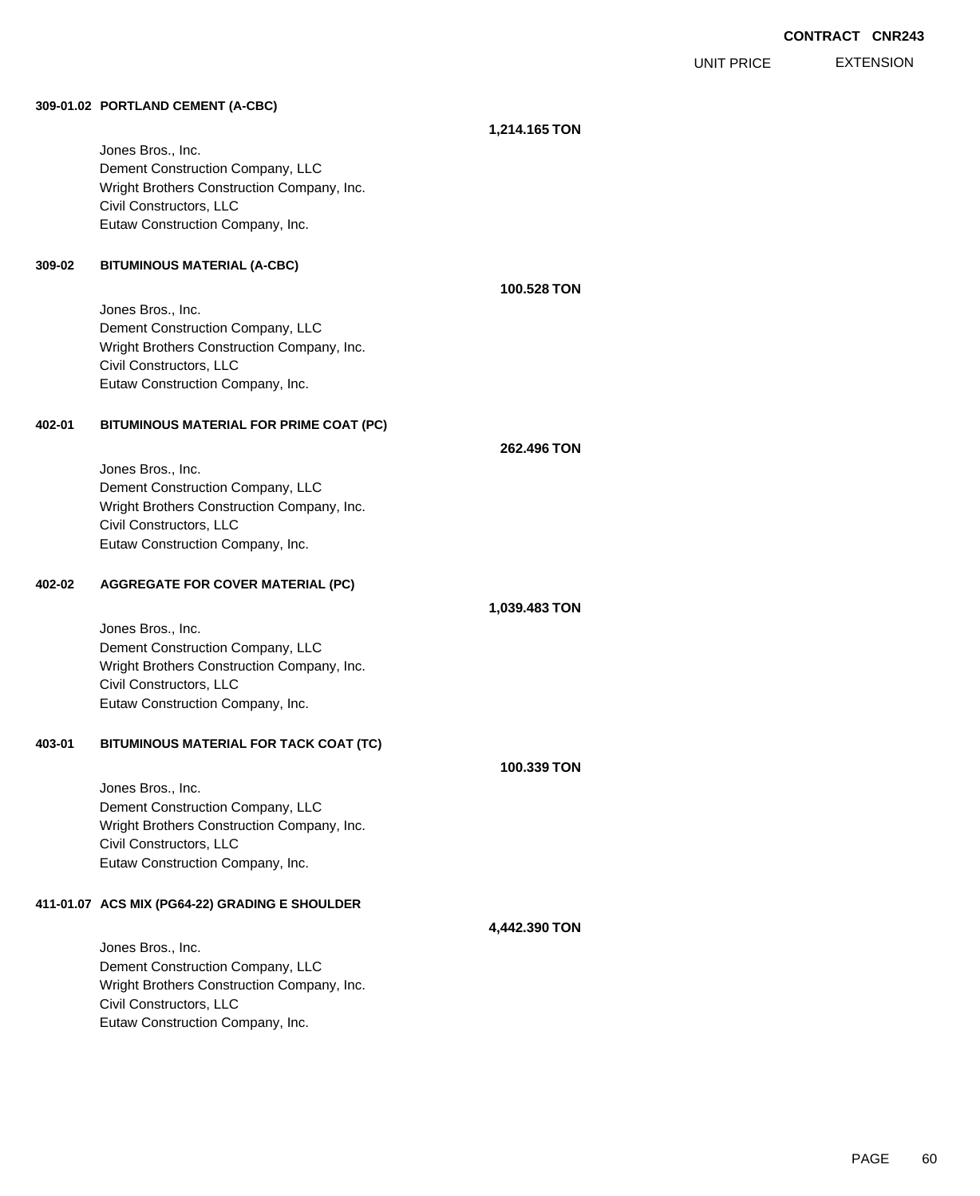**EXTENSION** UNIT PRICE

#### **309-01.02 PORTLAND CEMENT (A-CBC)**

Jones Bros., Inc. Dement Construction Company, LLC Wright Brothers Construction Company, Inc. Civil Constructors, LLC Eutaw Construction Company, Inc.

## **309-02 BITUMINOUS MATERIAL (A-CBC)**

Jones Bros., Inc. Dement Construction Company, LLC Wright Brothers Construction Company, Inc. Civil Constructors, LLC Eutaw Construction Company, Inc.

## **402-01 BITUMINOUS MATERIAL FOR PRIME COAT (PC)**

**262.496 TON**

**1,039.483 TON**

**100.528 TON**

**1,214.165 TON**

Jones Bros., Inc. Dement Construction Company, LLC Wright Brothers Construction Company, Inc. Civil Constructors, LLC Eutaw Construction Company, Inc.

### **402-02 AGGREGATE FOR COVER MATERIAL (PC)**

Jones Bros., Inc. Dement Construction Company, LLC Wright Brothers Construction Company, Inc. Civil Constructors, LLC Eutaw Construction Company, Inc.

## **403-01 BITUMINOUS MATERIAL FOR TACK COAT (TC)**

Jones Bros., Inc. Dement Construction Company, LLC Wright Brothers Construction Company, Inc. Civil Constructors, LLC Eutaw Construction Company, Inc.

## **411-01.07 ACS MIX (PG64-22) GRADING E SHOULDER**

Jones Bros., Inc. Dement Construction Company, LLC Wright Brothers Construction Company, Inc. Civil Constructors, LLC Eutaw Construction Company, Inc.

#### **4,442.390 TON**

**100.339 TON**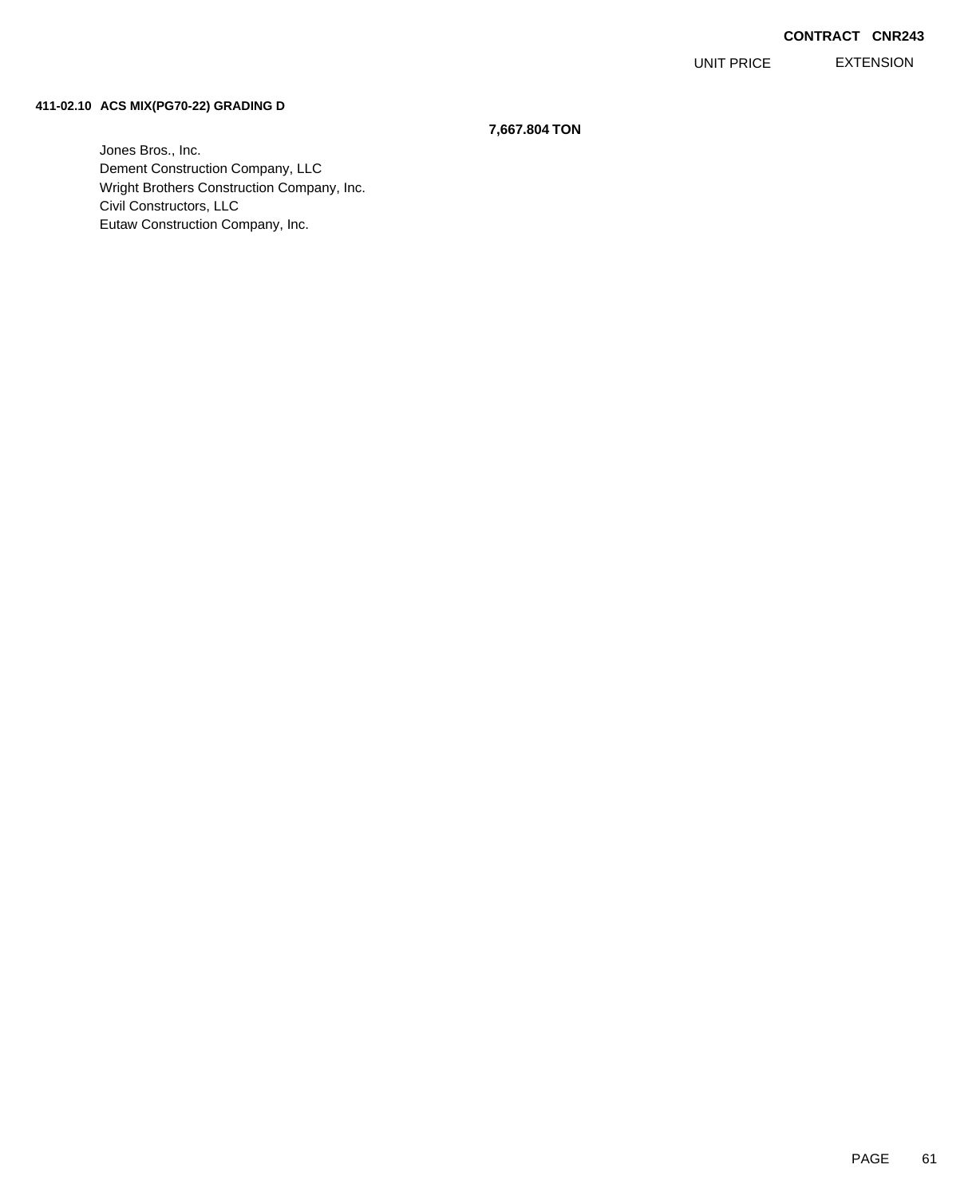EXTENSION UNIT PRICE

#### **411-02.10 ACS MIX(PG70-22) GRADING D**

### **7,667.804 TON**

Jones Bros., Inc. Dement Construction Company, LLC Wright Brothers Construction Company, Inc. Civil Constructors, LLC Eutaw Construction Company, Inc.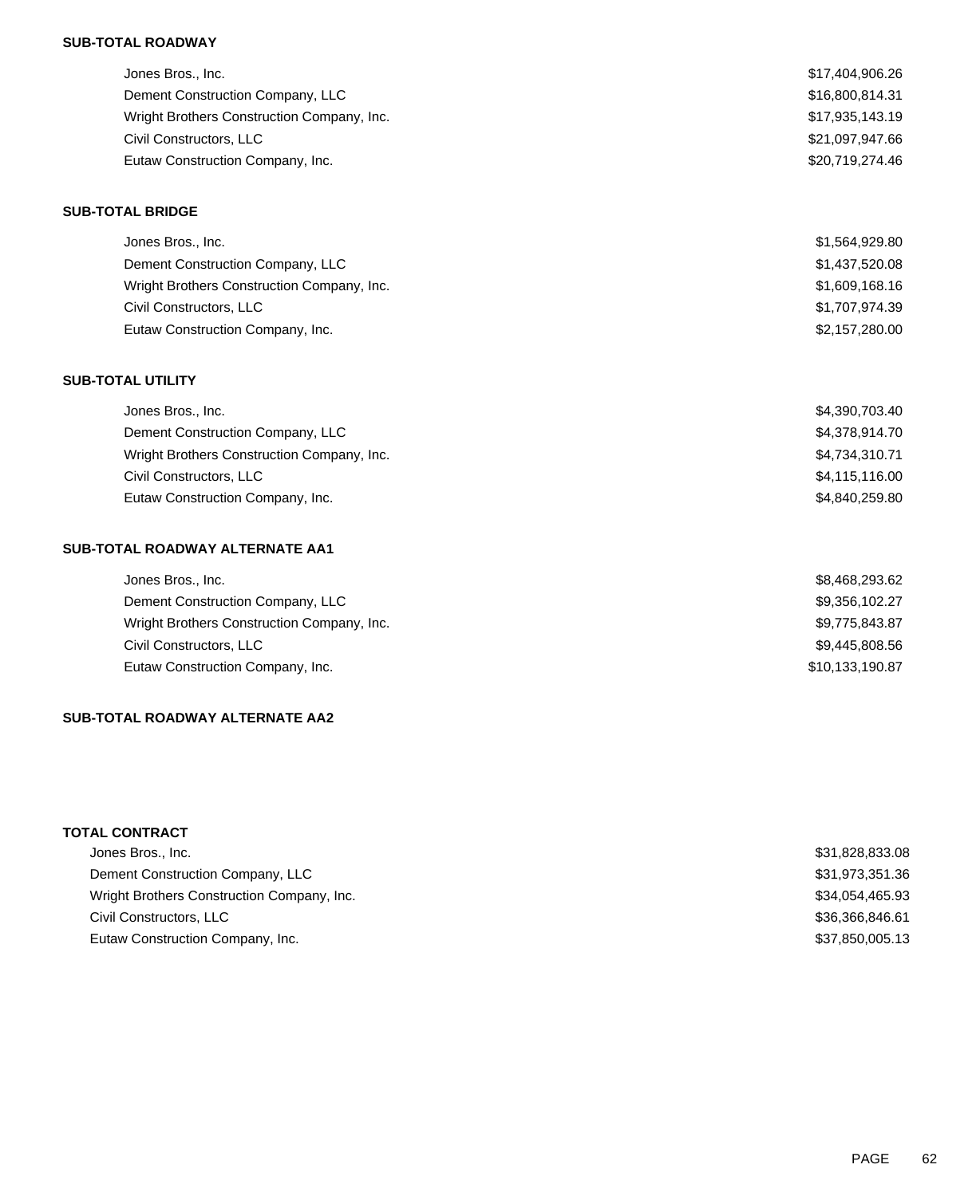## **SUB-TOTAL ROADWAY**

| Jones Bros., Inc.                          | \$17,404,906.26 |
|--------------------------------------------|-----------------|
| Dement Construction Company, LLC           | \$16,800,814.31 |
| Wright Brothers Construction Company, Inc. | \$17,935,143.19 |
| Civil Constructors, LLC                    | \$21,097,947.66 |
| Eutaw Construction Company, Inc.           | \$20,719,274.46 |

#### **SUB-TOTAL BRIDGE**

| Jones Bros., Inc.                          | \$1,564,929.80 |
|--------------------------------------------|----------------|
| Dement Construction Company, LLC           | \$1,437,520.08 |
| Wright Brothers Construction Company, Inc. | \$1,609,168.16 |
| Civil Constructors, LLC                    | \$1,707,974.39 |
| Eutaw Construction Company, Inc.           | \$2,157,280.00 |

### **SUB-TOTAL UTILITY**

| \$4,390,703.40 |
|----------------|
| \$4,378,914.70 |
| \$4,734,310.71 |
| \$4,115,116.00 |
| \$4,840,259.80 |
|                |

# **SUB-TOTAL ROADWAY ALTERNATE AA1**

| Jones Bros., Inc.                          | \$8,468,293.62  |
|--------------------------------------------|-----------------|
| Dement Construction Company, LLC           | \$9,356,102.27  |
| Wright Brothers Construction Company, Inc. | \$9,775,843.87  |
| Civil Constructors, LLC                    | \$9,445,808.56  |
| Eutaw Construction Company, Inc.           | \$10,133,190.87 |

# **SUB-TOTAL ROADWAY ALTERNATE AA2**

# **TOTAL CONTRACT**

| Jones Bros., Inc.                          | \$31,828,833.08 |
|--------------------------------------------|-----------------|
| Dement Construction Company, LLC           | \$31,973,351.36 |
| Wright Brothers Construction Company, Inc. | \$34,054,465.93 |
| Civil Constructors, LLC                    | \$36.366.846.61 |
| Eutaw Construction Company, Inc.           | \$37.850.005.13 |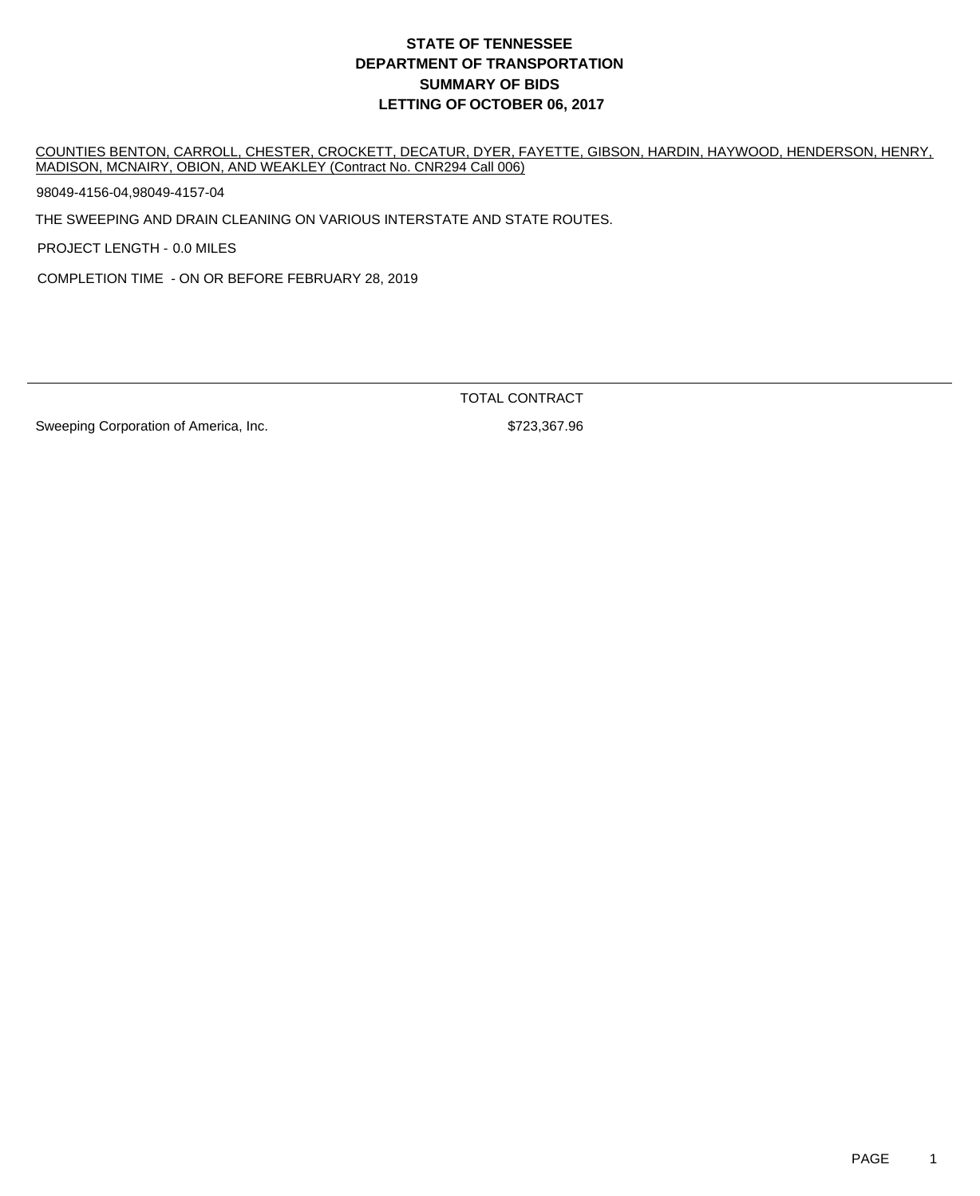# **DEPARTMENT OF TRANSPORTATION SUMMARY OF BIDS LETTING OF OCTOBER 06, 2017 STATE OF TENNESSEE**

COUNTIES BENTON, CARROLL, CHESTER, CROCKETT, DECATUR, DYER, FAYETTE, GIBSON, HARDIN, HAYWOOD, HENDERSON, HENRY, MADISON, MCNAIRY, OBION, AND WEAKLEY (Contract No. CNR294 Call 006)

98049-4156-04,98049-4157-04

THE SWEEPING AND DRAIN CLEANING ON VARIOUS INTERSTATE AND STATE ROUTES.

PROJECT LENGTH - 0.0 MILES

COMPLETION TIME - ON OR BEFORE FEBRUARY 28, 2019

TOTAL CONTRACT

Sweeping Corporation of America, Inc. 6723,367.96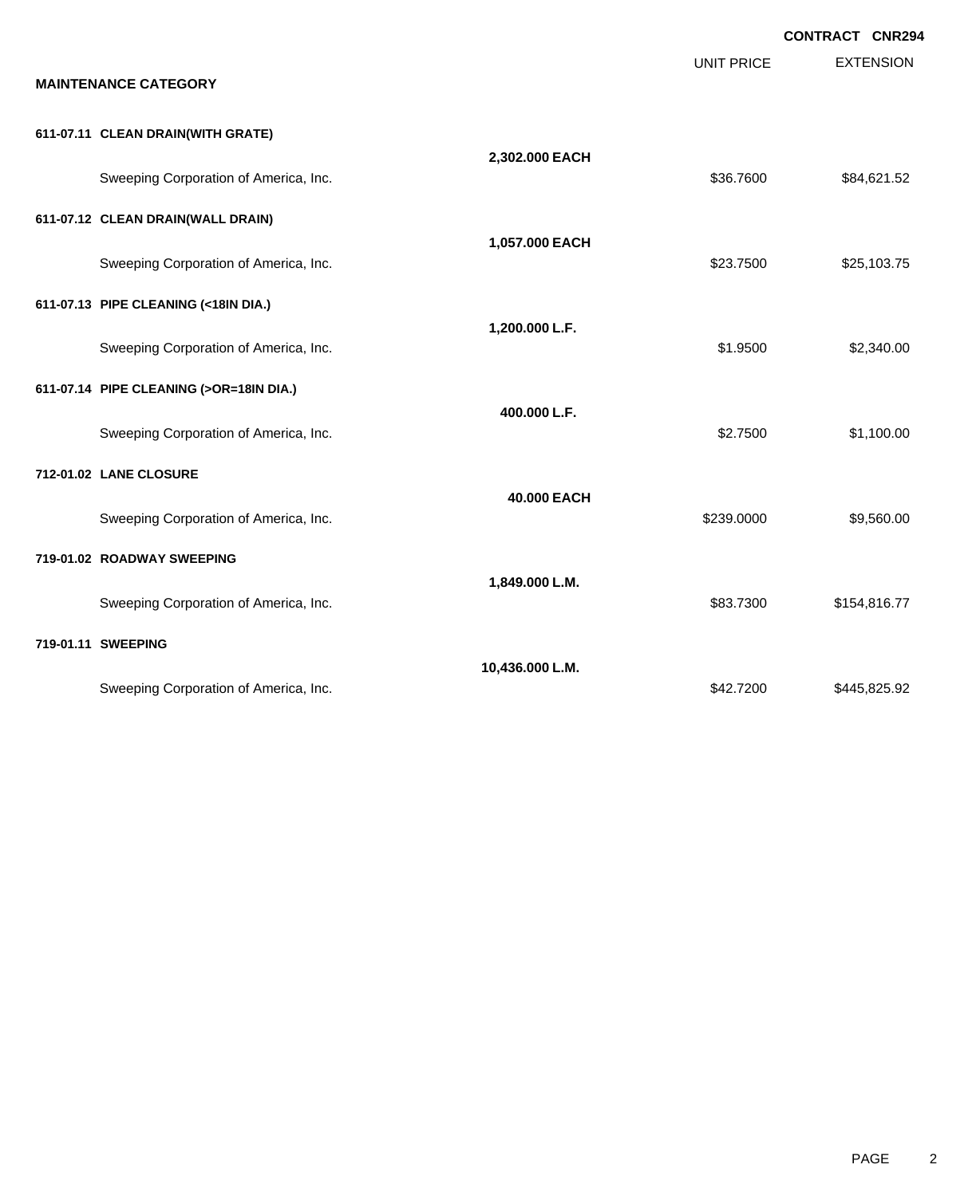**EXTENSION CONTRACT CNR294** UNIT PRICE **MAINTENANCE CATEGORY 611-07.11 CLEAN DRAIN(WITH GRATE) 2,302.000 EACH** Sweeping Corporation of America, Inc. \$36.7600 \$84,621.52 **611-07.12 CLEAN DRAIN(WALL DRAIN) 1,057.000 EACH** Sweeping Corporation of America, Inc. \$25,103.75 **611-07.13 PIPE CLEANING (<18IN DIA.) 1,200.000 L.F.** Sweeping Corporation of America, Inc.  $$1.9500$  \$2,340.00 **611-07.14 PIPE CLEANING (>OR=18IN DIA.) 400.000 L.F.** Sweeping Corporation of America, Inc. 6. The Supervisor of America, Inc. 6. The Supervisor of America, Inc. 6. St. 100.00 **712-01.02 LANE CLOSURE 40.000 EACH** Sweeping Corporation of America, Inc. 6. The State of America, Inc. \$239.0000 \$9,560.00 **719-01.02 ROADWAY SWEEPING 1,849.000 L.M.** Sweeping Corporation of America, Inc. **\$83.7300** \$154,816.77 **719-01.11 SWEEPING 10,436.000 L.M.** Sweeping Corporation of America, Inc. \$42.7200 \$445,825.92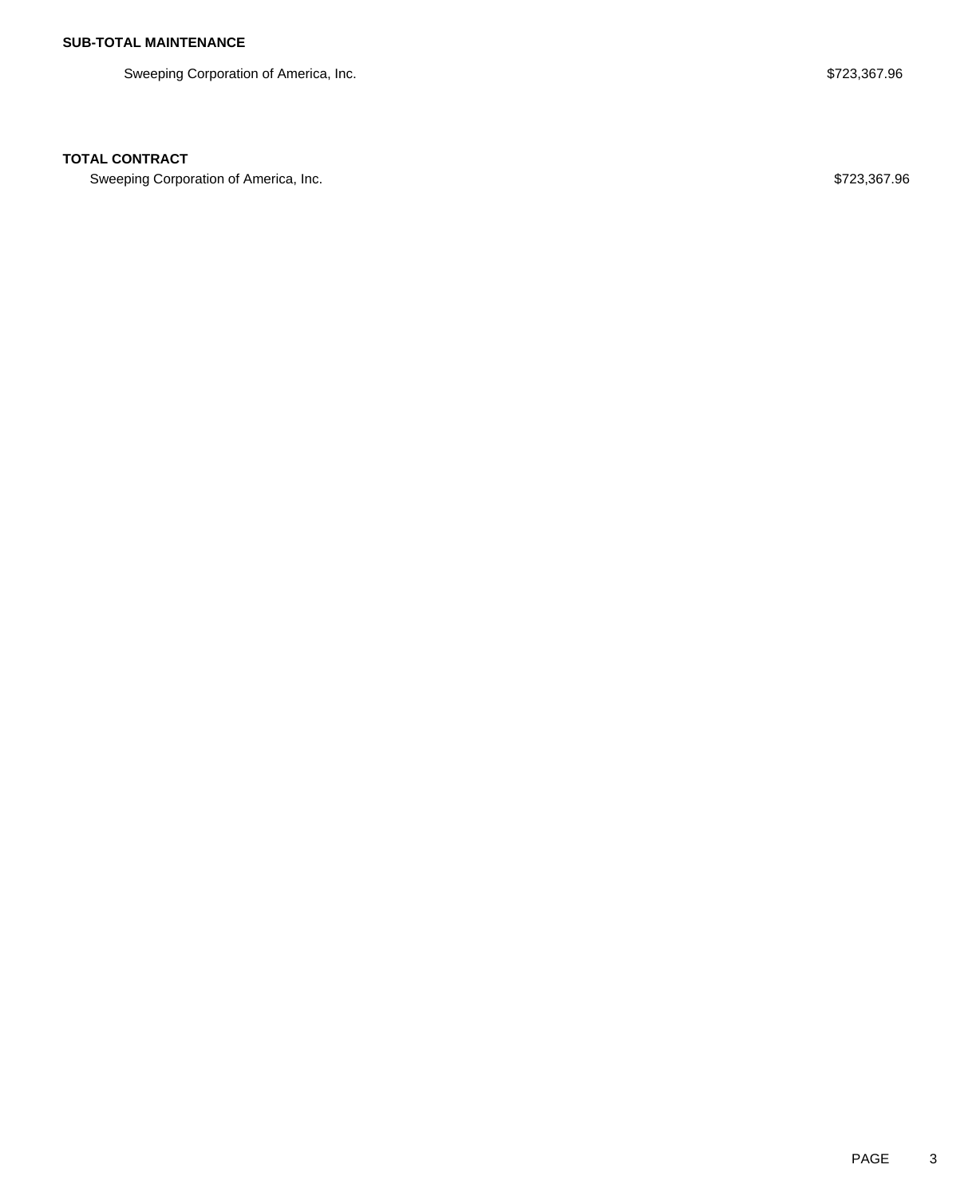Sweeping Corporation of America, Inc. **\$723,367.96** Sweeping Corporation of America, Inc.

## **TOTAL CONTRACT**

Sweeping Corporation of America, Inc. 6723,367.96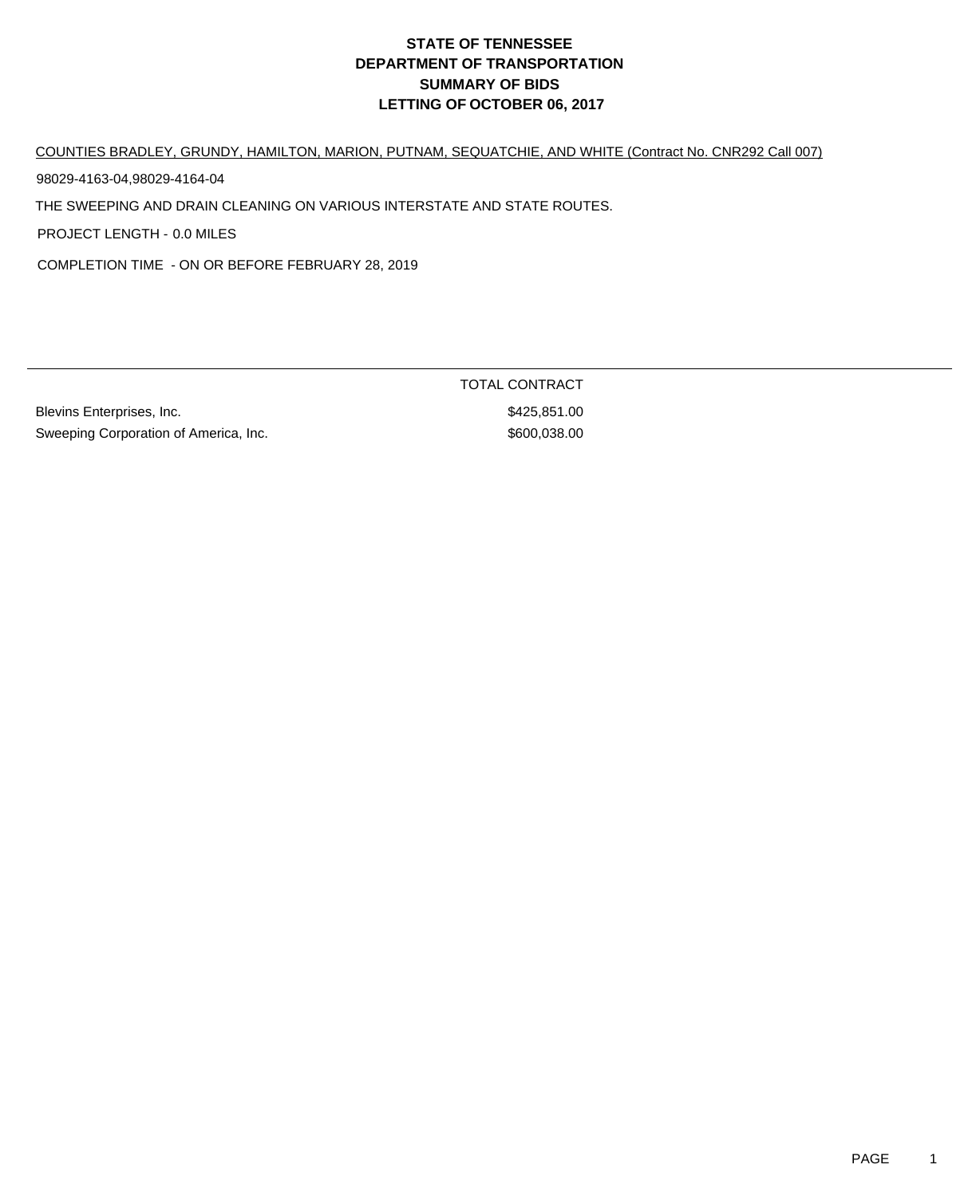# **DEPARTMENT OF TRANSPORTATION SUMMARY OF BIDS LETTING OF OCTOBER 06, 2017 STATE OF TENNESSEE**

COUNTIES BRADLEY, GRUNDY, HAMILTON, MARION, PUTNAM, SEQUATCHIE, AND WHITE (Contract No. CNR292 Call 007)

98029-4163-04,98029-4164-04

THE SWEEPING AND DRAIN CLEANING ON VARIOUS INTERSTATE AND STATE ROUTES.

PROJECT LENGTH - 0.0 MILES

COMPLETION TIME - ON OR BEFORE FEBRUARY 28, 2019

Blevins Enterprises, Inc. 6. The Second Second Second States of States Second States Second States Second States Second States Second States Second States Second States Second States Second States Second States Second Stat Sweeping Corporation of America, Inc. 600,038.00

TOTAL CONTRACT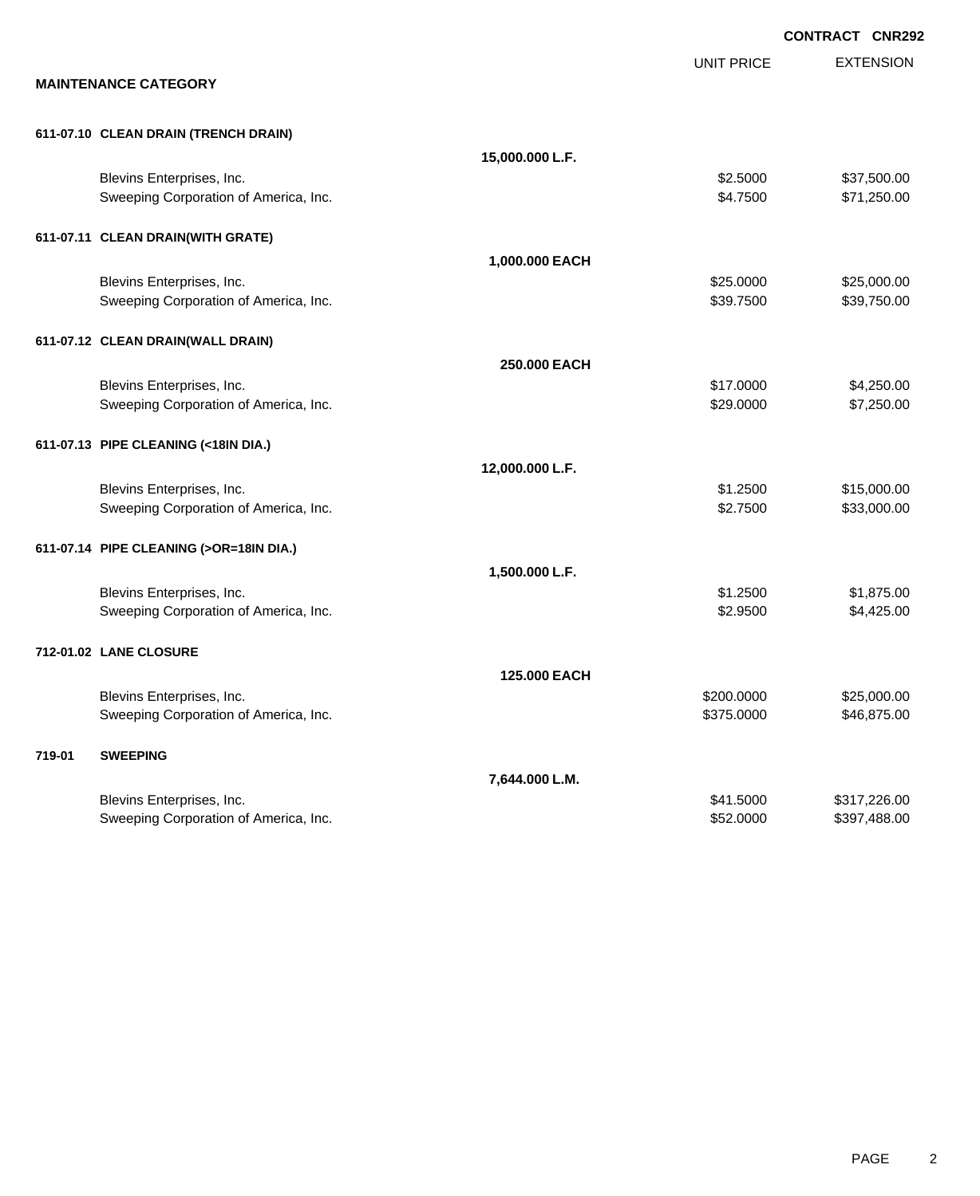|        |                                                                    |                 |                          | <b>CONTRACT CNR292</b>       |
|--------|--------------------------------------------------------------------|-----------------|--------------------------|------------------------------|
|        | <b>MAINTENANCE CATEGORY</b>                                        |                 | <b>UNIT PRICE</b>        | <b>EXTENSION</b>             |
|        |                                                                    |                 |                          |                              |
|        | 611-07.10 CLEAN DRAIN (TRENCH DRAIN)                               | 15,000.000 L.F. |                          |                              |
|        | Blevins Enterprises, Inc.<br>Sweeping Corporation of America, Inc. |                 | \$2.5000<br>\$4.7500     | \$37,500.00<br>\$71,250.00   |
|        | 611-07.11 CLEAN DRAIN(WITH GRATE)                                  |                 |                          |                              |
|        |                                                                    | 1,000.000 EACH  |                          |                              |
|        | Blevins Enterprises, Inc.<br>Sweeping Corporation of America, Inc. |                 | \$25.0000<br>\$39.7500   | \$25,000.00<br>\$39,750.00   |
|        | 611-07.12 CLEAN DRAIN(WALL DRAIN)                                  |                 |                          |                              |
|        |                                                                    | 250.000 EACH    |                          |                              |
|        | Blevins Enterprises, Inc.<br>Sweeping Corporation of America, Inc. |                 | \$17.0000<br>\$29.0000   | \$4,250.00<br>\$7,250.00     |
|        | 611-07.13 PIPE CLEANING (<18IN DIA.)                               |                 |                          |                              |
|        |                                                                    | 12,000.000 L.F. |                          |                              |
|        | Blevins Enterprises, Inc.<br>Sweeping Corporation of America, Inc. |                 | \$1.2500<br>\$2.7500     | \$15,000.00<br>\$33,000.00   |
|        | 611-07.14 PIPE CLEANING (>OR=18IN DIA.)                            |                 |                          |                              |
|        |                                                                    | 1,500.000 L.F.  |                          |                              |
|        | Blevins Enterprises, Inc.<br>Sweeping Corporation of America, Inc. |                 | \$1.2500<br>\$2.9500     | \$1,875.00<br>\$4,425.00     |
|        | 712-01.02 LANE CLOSURE                                             |                 |                          |                              |
|        |                                                                    | 125.000 EACH    |                          |                              |
|        | Blevins Enterprises, Inc.<br>Sweeping Corporation of America, Inc. |                 | \$200.0000<br>\$375.0000 | \$25,000.00<br>\$46,875.00   |
| 719-01 | <b>SWEEPING</b>                                                    |                 |                          |                              |
|        |                                                                    | 7,644.000 L.M.  |                          |                              |
|        | Blevins Enterprises, Inc.<br>Sweeping Corporation of America, Inc. |                 | \$41.5000<br>\$52.0000   | \$317,226.00<br>\$397,488.00 |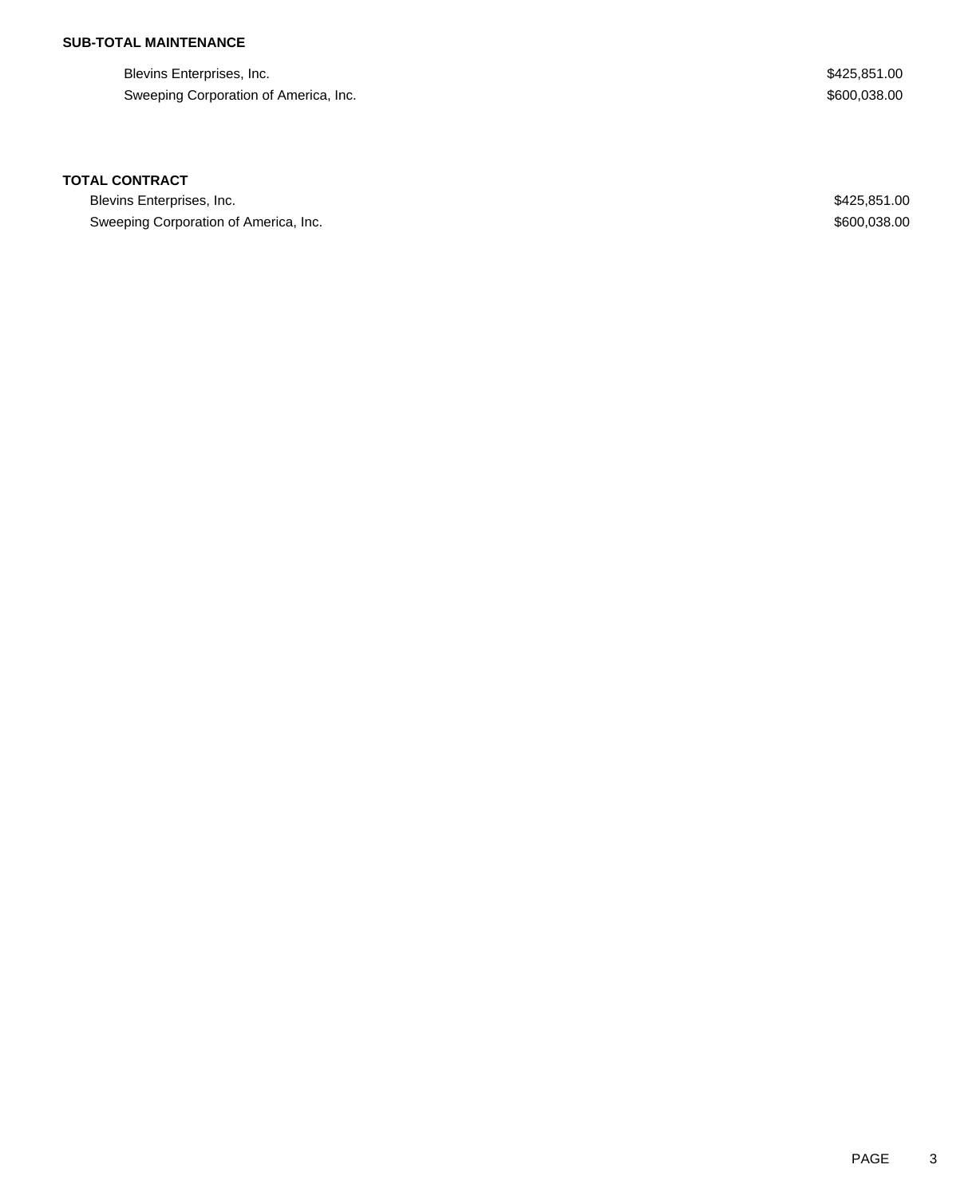## **SUB-TOTAL MAINTENANCE**

Blevins Enterprises, Inc. 6. The Second Second Second Second Second Second Second Seconds Seconds Seconds Seconds Seconds Seconds Seconds Seconds Seconds Seconds Seconds Seconds Seconds Seconds Seconds Seconds Seconds Seco Sweeping Corporation of America, Inc. 600,038.00

### **TOTAL CONTRACT**

Blevins Enterprises, Inc. 66 and the state of the state of the state of the state of the state of the state of the state of the state of the state of the state of the state of the state of the state of the state of the sta Sweeping Corporation of America, Inc. 600,038.00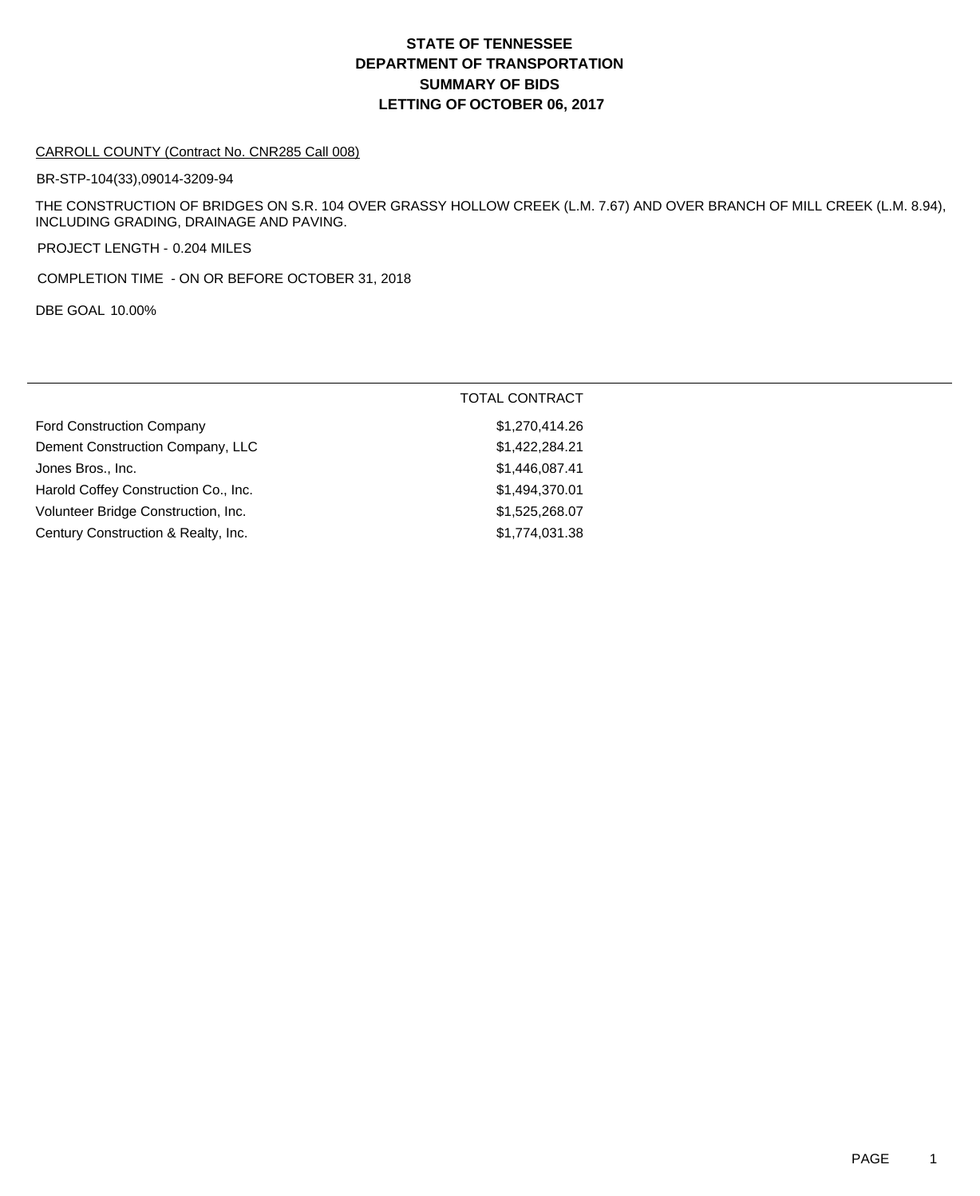# **DEPARTMENT OF TRANSPORTATION SUMMARY OF BIDS LETTING OF OCTOBER 06, 2017 STATE OF TENNESSEE**

#### CARROLL COUNTY (Contract No. CNR285 Call 008)

BR-STP-104(33),09014-3209-94

THE CONSTRUCTION OF BRIDGES ON S.R. 104 OVER GRASSY HOLLOW CREEK (L.M. 7.67) AND OVER BRANCH OF MILL CREEK (L.M. 8.94), INCLUDING GRADING, DRAINAGE AND PAVING.

PROJECT LENGTH - 0.204 MILES

COMPLETION TIME - ON OR BEFORE OCTOBER 31, 2018

DBE GOAL 10.00%

|                                      | TOTAL CONTRACT |
|--------------------------------------|----------------|
| <b>Ford Construction Company</b>     | \$1,270,414.26 |
| Dement Construction Company, LLC     | \$1,422,284.21 |
| Jones Bros., Inc.                    | \$1,446,087.41 |
| Harold Coffey Construction Co., Inc. | \$1,494,370.01 |
| Volunteer Bridge Construction, Inc.  | \$1,525,268.07 |
| Century Construction & Realty, Inc.  | \$1,774,031.38 |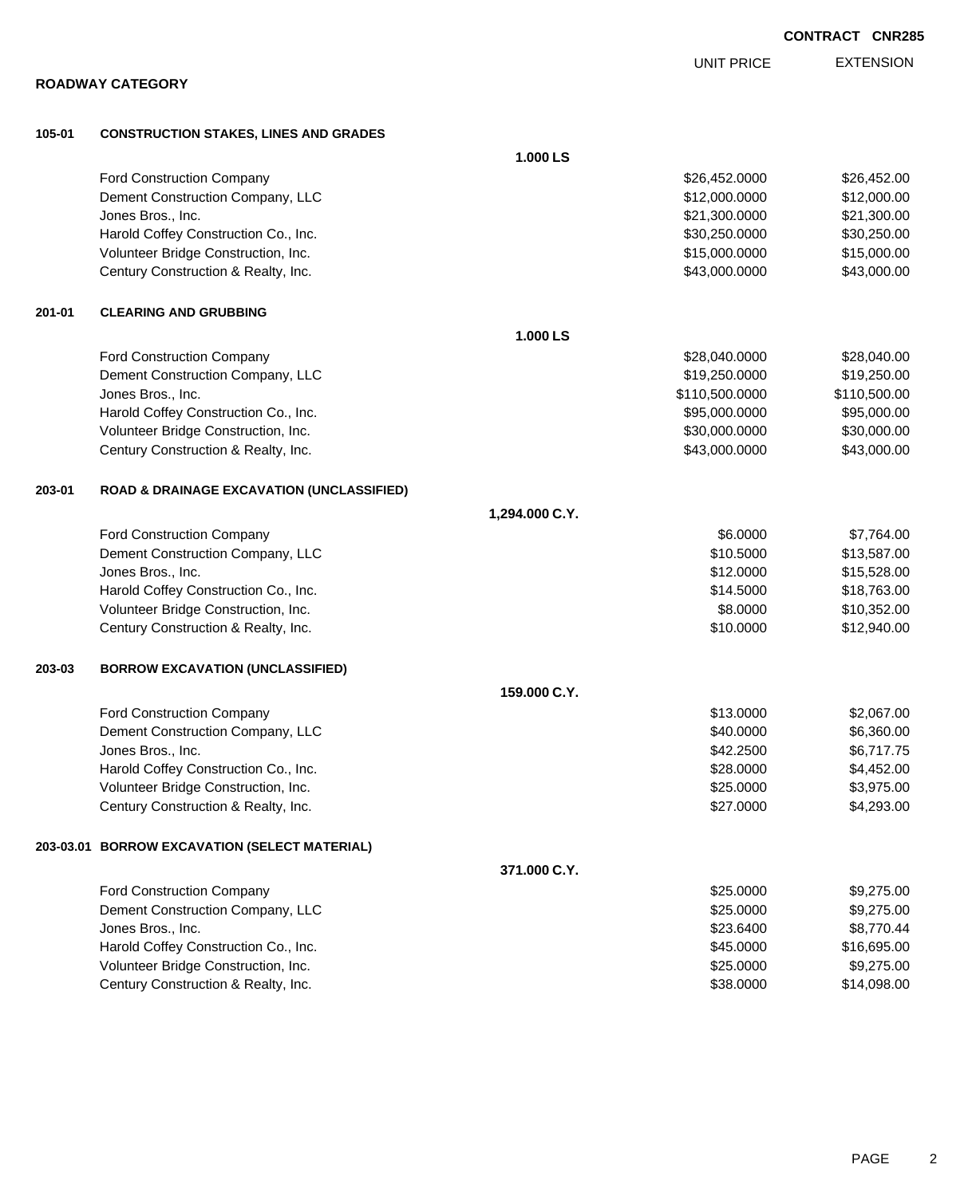|        |                                                      |                | <b>UNIT PRICE</b> | <b>EXTENSION</b> |
|--------|------------------------------------------------------|----------------|-------------------|------------------|
|        | <b>ROADWAY CATEGORY</b>                              |                |                   |                  |
| 105-01 | <b>CONSTRUCTION STAKES, LINES AND GRADES</b>         |                |                   |                  |
|        |                                                      | 1.000 LS       |                   |                  |
|        | Ford Construction Company                            |                | \$26,452.0000     | \$26,452.00      |
|        | Dement Construction Company, LLC                     |                | \$12,000.0000     | \$12,000.00      |
|        | Jones Bros., Inc.                                    |                | \$21,300.0000     | \$21,300.00      |
|        | Harold Coffey Construction Co., Inc.                 |                | \$30,250.0000     | \$30,250.00      |
|        | Volunteer Bridge Construction, Inc.                  |                | \$15,000.0000     | \$15,000.00      |
|        | Century Construction & Realty, Inc.                  |                | \$43,000.0000     | \$43,000.00      |
| 201-01 | <b>CLEARING AND GRUBBING</b>                         |                |                   |                  |
|        |                                                      | 1.000 LS       |                   |                  |
|        | Ford Construction Company                            |                | \$28,040.0000     | \$28,040.00      |
|        | Dement Construction Company, LLC                     |                | \$19,250.0000     | \$19,250.00      |
|        | Jones Bros., Inc.                                    |                | \$110,500.0000    | \$110,500.00     |
|        | Harold Coffey Construction Co., Inc.                 |                | \$95,000.0000     | \$95,000.00      |
|        | Volunteer Bridge Construction, Inc.                  |                | \$30,000.0000     | \$30,000.00      |
|        | Century Construction & Realty, Inc.                  |                | \$43,000.0000     | \$43,000.00      |
| 203-01 | <b>ROAD &amp; DRAINAGE EXCAVATION (UNCLASSIFIED)</b> |                |                   |                  |
|        |                                                      | 1,294.000 C.Y. |                   |                  |
|        | <b>Ford Construction Company</b>                     |                | \$6.0000          | \$7,764.00       |
|        | Dement Construction Company, LLC                     |                | \$10.5000         | \$13,587.00      |
|        | Jones Bros., Inc.                                    |                | \$12.0000         | \$15,528.00      |
|        | Harold Coffey Construction Co., Inc.                 |                | \$14.5000         | \$18,763.00      |
|        | Volunteer Bridge Construction, Inc.                  |                | \$8.0000          | \$10,352.00      |
|        | Century Construction & Realty, Inc.                  |                | \$10.0000         | \$12,940.00      |
| 203-03 | <b>BORROW EXCAVATION (UNCLASSIFIED)</b>              |                |                   |                  |
|        |                                                      | 159.000 C.Y.   |                   |                  |
|        | Ford Construction Company                            |                | \$13.0000         | \$2,067.00       |
|        | Dement Construction Company, LLC                     |                | \$40.0000         | \$6,360.00       |
|        | Jones Bros., Inc.                                    |                | \$42.2500         | \$6,717.75       |
|        | Harold Coffey Construction Co., Inc.                 |                | \$28.0000         | \$4,452.00       |
|        | Volunteer Bridge Construction, Inc.                  |                | \$25.0000         | \$3,975.00       |
|        | Century Construction & Realty, Inc.                  |                | \$27.0000         | \$4,293.00       |
|        | 203-03.01 BORROW EXCAVATION (SELECT MATERIAL)        |                |                   |                  |
|        |                                                      | 371.000 C.Y.   |                   |                  |
|        | Ford Construction Company                            |                | \$25.0000         | \$9,275.00       |
|        | Dement Construction Company, LLC                     |                | \$25.0000         | \$9,275.00       |
|        | Jones Bros., Inc.                                    |                | \$23.6400         | \$8,770.44       |
|        | Harold Coffey Construction Co., Inc.                 |                | \$45.0000         | \$16,695.00      |
|        | Volunteer Bridge Construction, Inc.                  |                | \$25.0000         | \$9,275.00       |

Century Construction & Realty, Inc. 6. The Century Construction & Realty, Inc. 6. The Century Construction & Realty, Inc.

EXTENSION

**CONTRACT CNR285**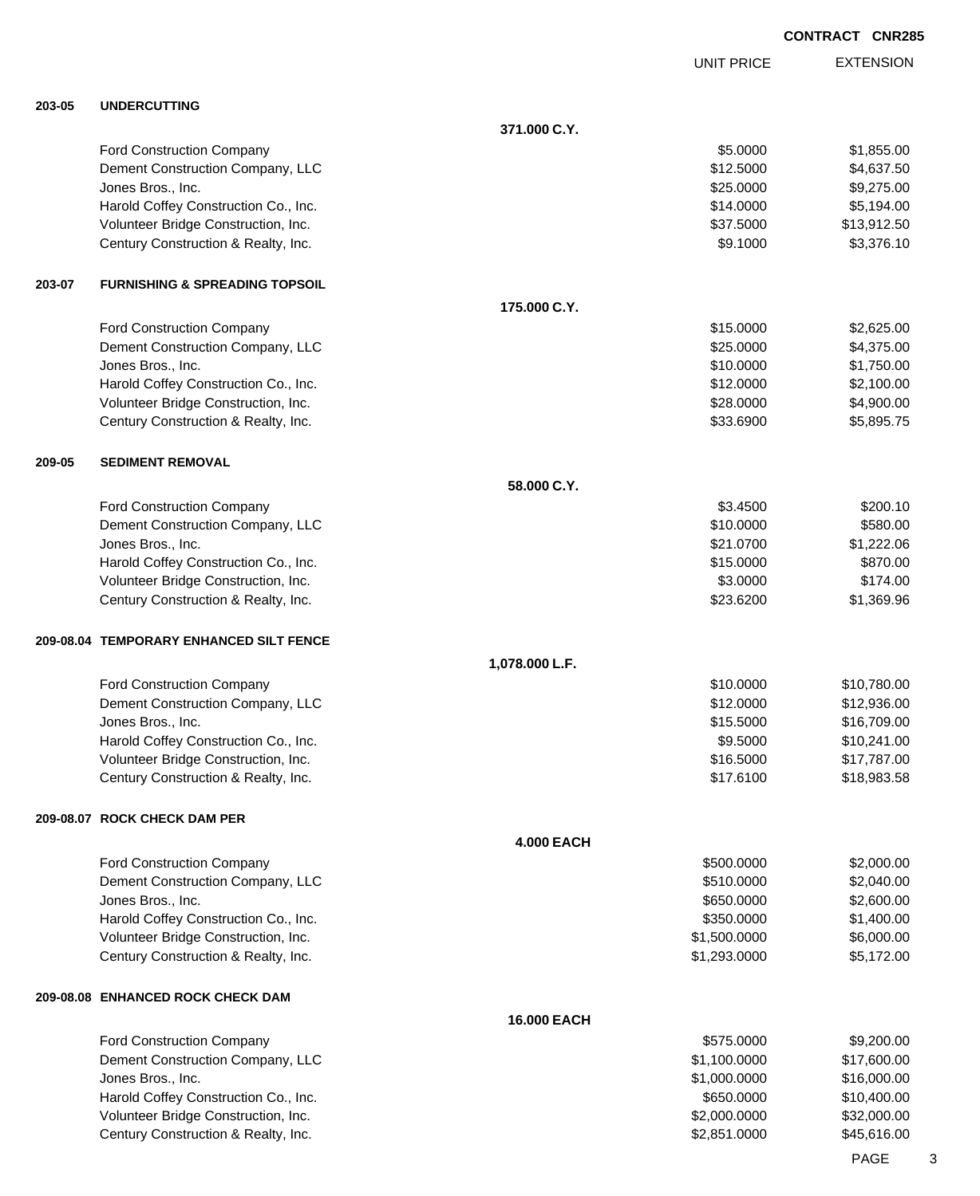|        |                                                                             |                   | <b>UNIT PRICE</b>          | <b>EXTENSION</b>           |
|--------|-----------------------------------------------------------------------------|-------------------|----------------------------|----------------------------|
| 203-05 | <b>UNDERCUTTING</b>                                                         |                   |                            |                            |
|        |                                                                             | 371.000 C.Y.      |                            |                            |
|        | Ford Construction Company                                                   |                   | \$5.0000                   | \$1,855.00                 |
|        | Dement Construction Company, LLC                                            |                   | \$12.5000                  | \$4,637.50                 |
|        | Jones Bros., Inc.                                                           |                   | \$25.0000                  | \$9,275.00                 |
|        | Harold Coffey Construction Co., Inc.                                        |                   | \$14.0000                  | \$5,194.00                 |
|        | Volunteer Bridge Construction, Inc.                                         |                   | \$37.5000                  | \$13,912.50                |
|        | Century Construction & Realty, Inc.                                         |                   | \$9.1000                   | \$3,376.10                 |
| 203-07 | <b>FURNISHING &amp; SPREADING TOPSOIL</b>                                   |                   |                            |                            |
|        |                                                                             | 175.000 C.Y.      |                            |                            |
|        | Ford Construction Company                                                   |                   | \$15.0000                  | \$2,625.00                 |
|        | Dement Construction Company, LLC                                            |                   | \$25.0000                  | \$4,375.00                 |
|        | Jones Bros., Inc.                                                           |                   | \$10.0000                  | \$1,750.00                 |
|        | Harold Coffey Construction Co., Inc.                                        |                   | \$12.0000                  | \$2,100.00                 |
|        | Volunteer Bridge Construction, Inc.<br>Century Construction & Realty, Inc.  |                   | \$28.0000<br>\$33.6900     | \$4,900.00<br>\$5,895.75   |
|        |                                                                             |                   |                            |                            |
| 209-05 | <b>SEDIMENT REMOVAL</b>                                                     |                   |                            |                            |
|        |                                                                             | 58.000 C.Y.       |                            |                            |
|        | Ford Construction Company                                                   |                   | \$3.4500                   | \$200.10                   |
|        | Dement Construction Company, LLC                                            |                   | \$10.0000                  | \$580.00                   |
|        | Jones Bros., Inc.<br>Harold Coffey Construction Co., Inc.                   |                   | \$21.0700<br>\$15.0000     | \$1,222.06<br>\$870.00     |
|        | Volunteer Bridge Construction, Inc.                                         |                   | \$3.0000                   | \$174.00                   |
|        | Century Construction & Realty, Inc.                                         |                   | \$23.6200                  | \$1,369.96                 |
|        | 209-08.04 TEMPORARY ENHANCED SILT FENCE                                     |                   |                            |                            |
|        |                                                                             | 1,078.000 L.F.    |                            |                            |
|        | Ford Construction Company                                                   |                   | \$10.0000                  | \$10,780.00                |
|        | Dement Construction Company, LLC                                            |                   | \$12.0000                  | \$12,936.00                |
|        | Jones Bros., Inc.                                                           |                   | \$15.5000                  | \$16,709.00                |
|        | Harold Coffey Construction Co., Inc.                                        |                   | \$9.5000                   | \$10,241.00                |
|        | Volunteer Bridge Construction, Inc.                                         |                   | \$16.5000                  | \$17,787.00                |
|        | Century Construction & Realty, Inc.                                         |                   | \$17.6100                  | \$18,983.58                |
|        | 209-08.07 ROCK CHECK DAM PER                                                |                   |                            |                            |
|        |                                                                             | <b>4.000 EACH</b> |                            |                            |
|        | Ford Construction Company                                                   |                   | \$500.0000                 | \$2,000.00                 |
|        | Dement Construction Company, LLC                                            |                   | \$510.0000                 | \$2,040.00                 |
|        | Jones Bros., Inc.                                                           |                   | \$650.0000                 | \$2,600.00                 |
|        | Harold Coffey Construction Co., Inc.                                        |                   | \$350.0000                 | \$1,400.00                 |
|        | Volunteer Bridge Construction, Inc.                                         |                   | \$1,500.0000               | \$6,000.00                 |
|        | Century Construction & Realty, Inc.                                         |                   | \$1,293.0000               | \$5,172.00                 |
|        | 209-08.08 ENHANCED ROCK CHECK DAM                                           |                   |                            |                            |
|        |                                                                             | 16.000 EACH       |                            |                            |
|        | Ford Construction Company                                                   |                   | \$575.0000                 | \$9,200.00                 |
|        | Dement Construction Company, LLC                                            |                   | \$1,100.0000               | \$17,600.00                |
|        | Jones Bros., Inc.                                                           |                   | \$1,000.0000               | \$16,000.00                |
|        | Harold Coffey Construction Co., Inc.<br>Volunteer Bridge Construction, Inc. |                   | \$650.0000<br>\$2,000.0000 | \$10,400.00<br>\$32,000.00 |
|        |                                                                             |                   |                            |                            |

Century Construction & Realty, Inc. 6. The Construction & Realty, Inc. 6. The Construction & Realty, Inc.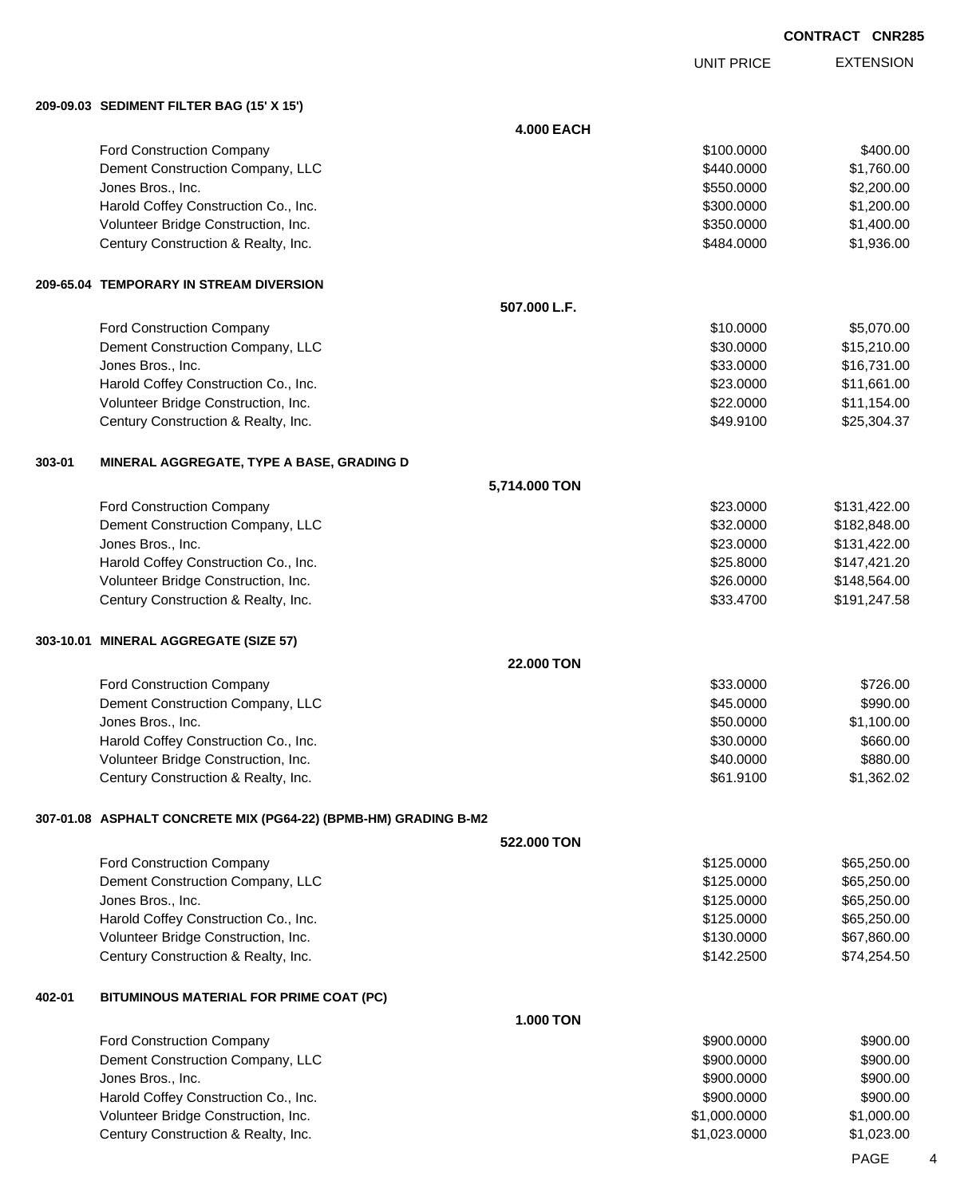UNIT PRICE

EXTENSION

**209-09.03 SEDIMENT FILTER BAG (15' X 15')**

|        |                                                                            | <b>4.000 EACH</b> |                        |                        |
|--------|----------------------------------------------------------------------------|-------------------|------------------------|------------------------|
|        | Ford Construction Company                                                  |                   | \$100.0000             | \$400.00               |
|        | Dement Construction Company, LLC                                           |                   | \$440.0000             | \$1,760.00             |
|        | Jones Bros., Inc.                                                          |                   | \$550.0000             | \$2,200.00             |
|        | Harold Coffey Construction Co., Inc.                                       |                   | \$300.0000             | \$1,200.00             |
|        | Volunteer Bridge Construction, Inc.                                        |                   | \$350.0000             | \$1,400.00             |
|        | Century Construction & Realty, Inc.                                        |                   | \$484.0000             | \$1,936.00             |
|        | 209-65.04 TEMPORARY IN STREAM DIVERSION                                    |                   |                        |                        |
|        |                                                                            | 507.000 L.F.      |                        |                        |
|        | Ford Construction Company                                                  |                   | \$10.0000              | \$5,070.00             |
|        | Dement Construction Company, LLC                                           |                   | \$30.0000              | \$15,210.00            |
|        | Jones Bros., Inc.                                                          |                   | \$33.0000              | \$16,731.00            |
|        | Harold Coffey Construction Co., Inc.                                       |                   | \$23.0000              | \$11,661.00            |
|        | Volunteer Bridge Construction, Inc.                                        |                   | \$22.0000              | \$11,154.00            |
|        | Century Construction & Realty, Inc.                                        |                   | \$49.9100              | \$25,304.37            |
| 303-01 | MINERAL AGGREGATE, TYPE A BASE, GRADING D                                  |                   |                        |                        |
|        |                                                                            | 5,714.000 TON     |                        |                        |
|        | Ford Construction Company                                                  |                   | \$23.0000              | \$131,422.00           |
|        | Dement Construction Company, LLC                                           |                   | \$32.0000              | \$182,848.00           |
|        | Jones Bros., Inc.                                                          |                   | \$23.0000              | \$131,422.00           |
|        | Harold Coffey Construction Co., Inc.                                       |                   | \$25.8000              | \$147,421.20           |
|        | Volunteer Bridge Construction, Inc.                                        |                   | \$26.0000              | \$148,564.00           |
|        | Century Construction & Realty, Inc.                                        |                   | \$33.4700              | \$191,247.58           |
|        | 303-10.01 MINERAL AGGREGATE (SIZE 57)                                      |                   |                        |                        |
|        |                                                                            | 22.000 TON        |                        |                        |
|        | Ford Construction Company                                                  |                   | \$33.0000              | \$726.00               |
|        | Dement Construction Company, LLC                                           |                   | \$45.0000              | \$990.00               |
|        | Jones Bros., Inc.                                                          |                   | \$50.0000              | \$1,100.00             |
|        | Harold Coffey Construction Co., Inc.                                       |                   | \$30.0000              | \$660.00               |
|        | Volunteer Bridge Construction, Inc.<br>Century Construction & Realty, Inc. |                   | \$40.0000<br>\$61.9100 | \$880.00<br>\$1,362.02 |
|        |                                                                            |                   |                        |                        |
|        | 307-01.08 ASPHALT CONCRETE MIX (PG64-22) (BPMB-HM) GRADING B-M2            | 522.000 TON       |                        |                        |
|        | Ford Construction Company                                                  |                   | \$125.0000             | \$65,250.00            |
|        | Dement Construction Company, LLC                                           |                   | \$125.0000             | \$65,250.00            |
|        | Jones Bros., Inc.                                                          |                   | \$125.0000             | \$65,250.00            |
|        | Harold Coffey Construction Co., Inc.                                       |                   | \$125.0000             | \$65,250.00            |
|        | Volunteer Bridge Construction, Inc.                                        |                   | \$130.0000             | \$67,860.00            |
|        | Century Construction & Realty, Inc.                                        |                   | \$142.2500             | \$74,254.50            |
| 402-01 | BITUMINOUS MATERIAL FOR PRIME COAT (PC)                                    |                   |                        |                        |
|        |                                                                            | <b>1.000 TON</b>  |                        |                        |
|        | Ford Construction Company                                                  |                   | \$900.0000             | \$900.00               |
|        | Dement Construction Company, LLC                                           |                   | \$900.0000             | \$900.00               |
|        | Jones Bros., Inc.                                                          |                   | \$900.0000             | \$900.00               |
|        | Harold Coffey Construction Co., Inc.                                       |                   | \$900.0000             | \$900.00               |
|        | Volunteer Bridge Construction, Inc.                                        |                   | \$1,000.0000           | \$1,000.00             |
|        | Century Construction & Realty, Inc.                                        |                   | \$1,023.0000           | \$1,023.00             |
|        |                                                                            |                   |                        |                        |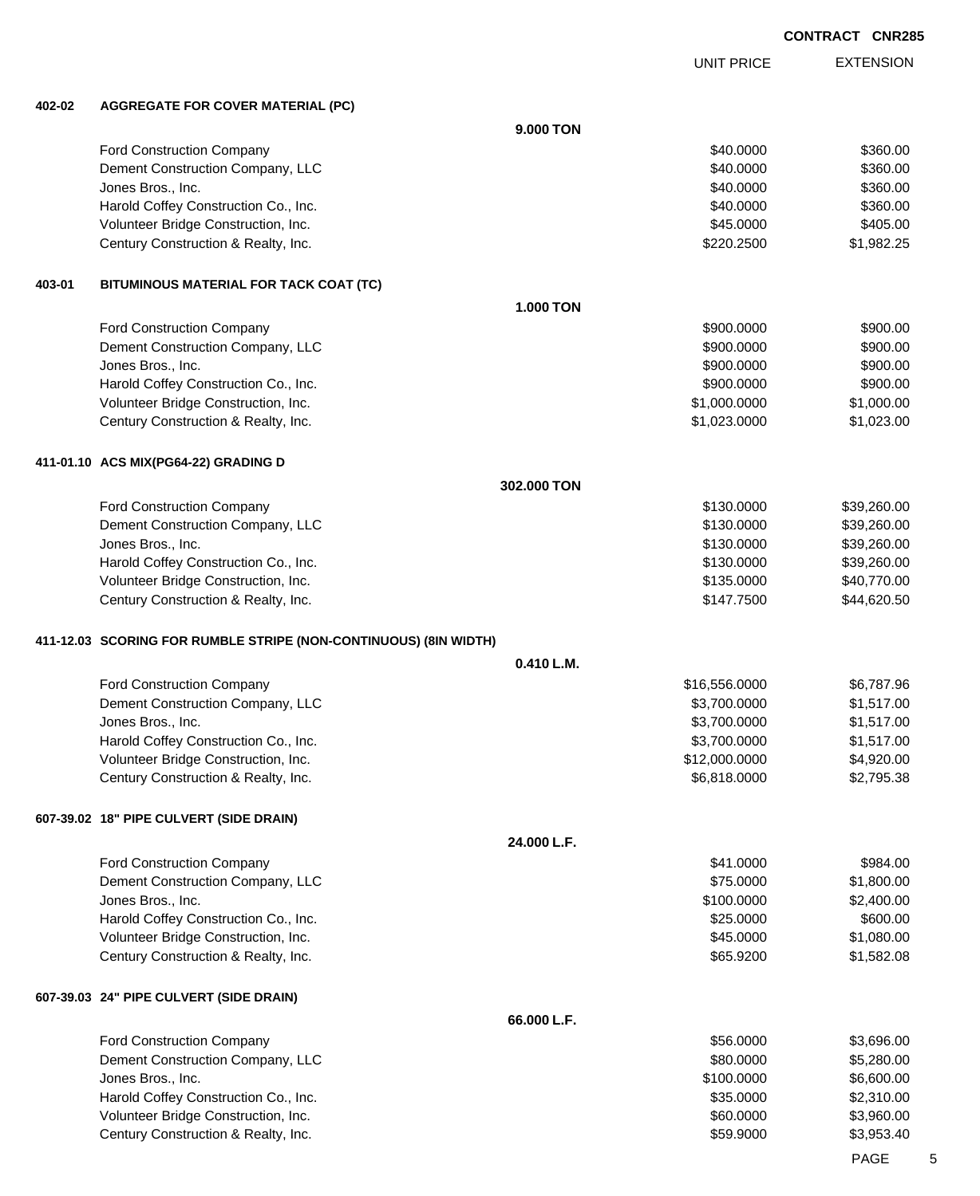EXTENSION UNIT PRICE

#### **402-02 AGGREGATE FOR COVER MATERIAL (PC)**

|        |                                                                            | 9.000 TON        |                          |                            |
|--------|----------------------------------------------------------------------------|------------------|--------------------------|----------------------------|
|        | Ford Construction Company                                                  |                  | \$40.0000                | \$360.00                   |
|        | Dement Construction Company, LLC                                           |                  | \$40.0000                | \$360.00                   |
|        | Jones Bros., Inc.                                                          |                  | \$40.0000                | \$360.00                   |
|        | Harold Coffey Construction Co., Inc.                                       |                  | \$40.0000                | \$360.00                   |
|        | Volunteer Bridge Construction, Inc.                                        |                  | \$45.0000                | \$405.00                   |
|        | Century Construction & Realty, Inc.                                        |                  | \$220.2500               | \$1,982.25                 |
| 403-01 | BITUMINOUS MATERIAL FOR TACK COAT (TC)                                     |                  |                          |                            |
|        |                                                                            | <b>1.000 TON</b> |                          |                            |
|        | Ford Construction Company                                                  |                  | \$900.0000               | \$900.00                   |
|        | Dement Construction Company, LLC                                           |                  | \$900.0000               | \$900.00                   |
|        | Jones Bros., Inc.                                                          |                  | \$900.0000               | \$900.00                   |
|        | Harold Coffey Construction Co., Inc.                                       |                  | \$900.0000               | \$900.00                   |
|        | Volunteer Bridge Construction, Inc.                                        |                  | \$1,000.0000             | \$1,000.00                 |
|        | Century Construction & Realty, Inc.                                        |                  | \$1,023.0000             | \$1,023.00                 |
|        | 411-01.10 ACS MIX(PG64-22) GRADING D                                       |                  |                          |                            |
|        |                                                                            | 302.000 TON      |                          |                            |
|        | Ford Construction Company                                                  |                  | \$130,0000               | \$39,260.00                |
|        | Dement Construction Company, LLC                                           |                  | \$130.0000               | \$39,260.00                |
|        | Jones Bros., Inc.                                                          |                  | \$130.0000               | \$39,260.00                |
|        | Harold Coffey Construction Co., Inc.                                       |                  | \$130.0000               | \$39,260.00                |
|        | Volunteer Bridge Construction, Inc.<br>Century Construction & Realty, Inc. |                  | \$135.0000<br>\$147.7500 | \$40,770.00<br>\$44,620.50 |
|        |                                                                            |                  |                          |                            |
|        | 411-12.03 SCORING FOR RUMBLE STRIPE (NON-CONTINUOUS) (8IN WIDTH)           | 0.410 L.M.       |                          |                            |
|        | Ford Construction Company                                                  |                  | \$16,556.0000            | \$6,787.96                 |
|        | Dement Construction Company, LLC                                           |                  | \$3,700.0000             | \$1,517.00                 |
|        | Jones Bros., Inc.                                                          |                  | \$3,700.0000             | \$1,517.00                 |
|        | Harold Coffey Construction Co., Inc.                                       |                  | \$3,700.0000             | \$1,517.00                 |
|        | Volunteer Bridge Construction, Inc.                                        |                  | \$12,000.0000            | \$4,920.00                 |
|        | Century Construction & Realty, Inc.                                        |                  | \$6,818.0000             | \$2,795.38                 |
|        | 607-39.02 18" PIPE CULVERT (SIDE DRAIN)                                    |                  |                          |                            |
|        |                                                                            | 24.000 L.F.      |                          |                            |
|        | Ford Construction Company                                                  |                  | \$41.0000                | \$984.00                   |
|        | Dement Construction Company, LLC                                           |                  | \$75.0000                | \$1,800.00                 |
|        | Jones Bros., Inc.                                                          |                  | \$100.0000               | \$2,400.00                 |
|        | Harold Coffey Construction Co., Inc.                                       |                  | \$25.0000                | \$600.00                   |
|        | Volunteer Bridge Construction, Inc.                                        |                  | \$45.0000                | \$1,080.00                 |
|        | Century Construction & Realty, Inc.                                        |                  | \$65.9200                | \$1,582.08                 |
|        | 607-39.03 24" PIPE CULVERT (SIDE DRAIN)                                    |                  |                          |                            |
|        |                                                                            | 66.000 L.F.      |                          |                            |
|        | Ford Construction Company                                                  |                  | \$56.0000                | \$3,696.00                 |
|        | Dement Construction Company, LLC                                           |                  | \$80.0000                | \$5,280.00                 |
|        | Jones Bros., Inc.                                                          |                  | \$100.0000               | \$6,600.00                 |
|        | Harold Coffey Construction Co., Inc.                                       |                  | \$35.0000                | \$2,310.00                 |
|        | Volunteer Bridge Construction, Inc.                                        |                  | \$60.0000                | \$3,960.00                 |
|        | Century Construction & Realty, Inc.                                        |                  | \$59.9000                | \$3,953.40                 |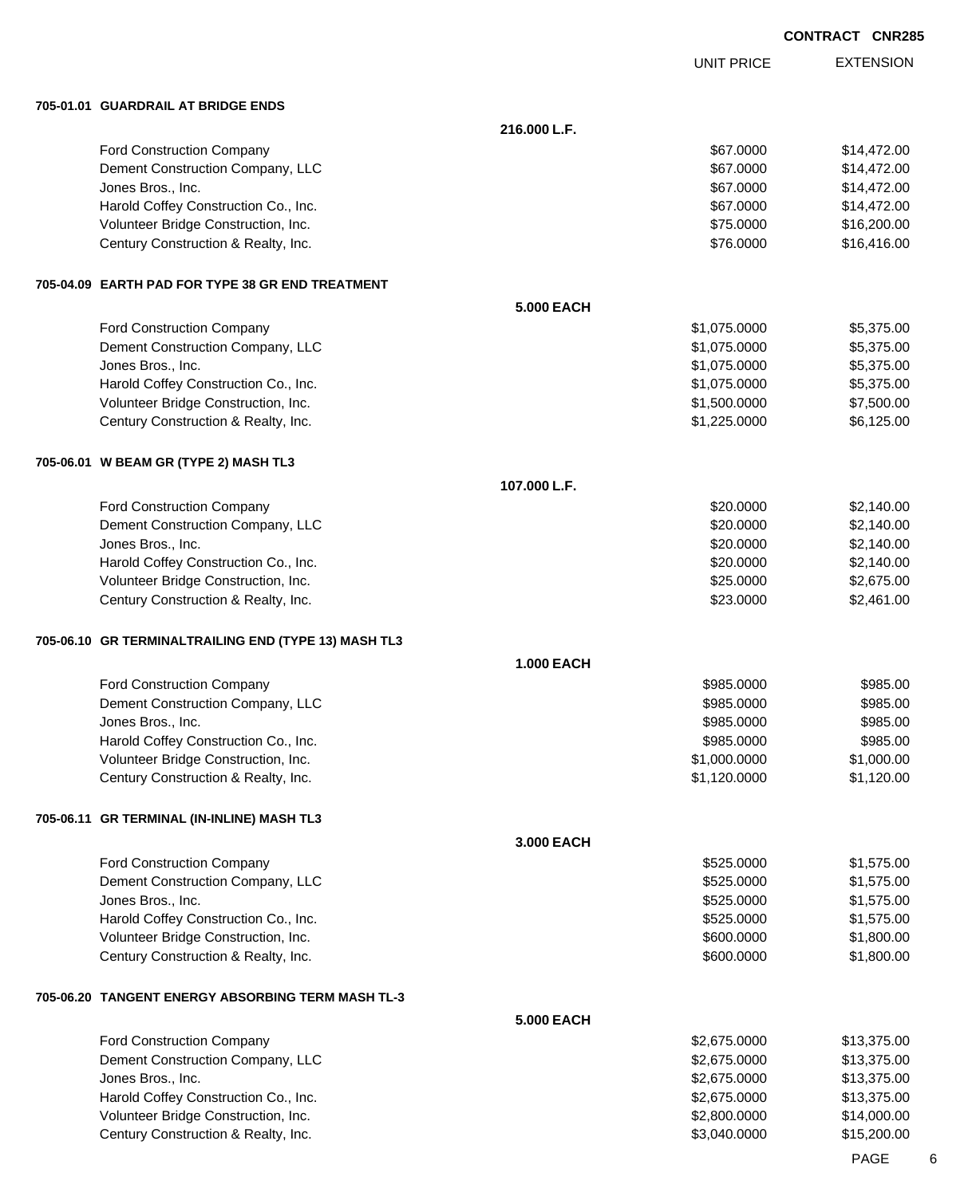|                                                                            |                   |                              | <b>CONTRACT CNR285</b>     |
|----------------------------------------------------------------------------|-------------------|------------------------------|----------------------------|
|                                                                            |                   | <b>UNIT PRICE</b>            | <b>EXTENSION</b>           |
| 705-01.01 GUARDRAIL AT BRIDGE ENDS                                         |                   |                              |                            |
|                                                                            | 216.000 L.F.      |                              |                            |
| Ford Construction Company                                                  |                   | \$67.0000                    | \$14,472.00                |
| Dement Construction Company, LLC                                           |                   | \$67.0000                    | \$14,472.00                |
| Jones Bros., Inc.                                                          |                   | \$67.0000                    | \$14,472.00                |
| Harold Coffey Construction Co., Inc.                                       |                   | \$67.0000                    | \$14,472.00                |
| Volunteer Bridge Construction, Inc.<br>Century Construction & Realty, Inc. |                   | \$75.0000<br>\$76.0000       | \$16,200.00<br>\$16,416.00 |
|                                                                            |                   |                              |                            |
| 705-04.09 EARTH PAD FOR TYPE 38 GR END TREATMENT                           | <b>5.000 EACH</b> |                              |                            |
| Ford Construction Company                                                  |                   | \$1,075.0000                 | \$5,375.00                 |
| Dement Construction Company, LLC                                           |                   | \$1,075.0000                 | \$5,375.00                 |
| Jones Bros., Inc.                                                          |                   | \$1,075.0000                 | \$5,375.00                 |
| Harold Coffey Construction Co., Inc.                                       |                   | \$1,075.0000                 | \$5,375.00                 |
| Volunteer Bridge Construction, Inc.                                        |                   | \$1,500.0000                 | \$7,500.00                 |
| Century Construction & Realty, Inc.                                        |                   | \$1,225.0000                 | \$6,125.00                 |
| 705-06.01 W BEAM GR (TYPE 2) MASH TL3                                      |                   |                              |                            |
|                                                                            | 107.000 L.F.      |                              |                            |
| Ford Construction Company                                                  |                   | \$20.0000                    | \$2,140.00                 |
| Dement Construction Company, LLC                                           |                   | \$20.0000                    | \$2,140.00                 |
| Jones Bros., Inc.                                                          |                   | \$20.0000                    | \$2,140.00                 |
| Harold Coffey Construction Co., Inc.                                       |                   | \$20.0000                    | \$2,140.00                 |
| Volunteer Bridge Construction, Inc.<br>Century Construction & Realty, Inc. |                   | \$25.0000<br>\$23.0000       | \$2,675.00<br>\$2,461.00   |
|                                                                            |                   |                              |                            |
| 705-06.10 GR TERMINALTRAILING END (TYPE 13) MASH TL3                       | <b>1.000 EACH</b> |                              |                            |
| Ford Construction Company                                                  |                   | \$985.0000                   | \$985.00                   |
| Dement Construction Company, LLC                                           |                   | \$985.0000                   | \$985.00                   |
| Jones Bros., Inc.                                                          |                   | \$985.0000                   | \$985.00                   |
| Harold Coffey Construction Co., Inc.                                       |                   | \$985.0000                   | \$985.00                   |
| Volunteer Bridge Construction, Inc.                                        |                   | \$1,000.0000                 | \$1,000.00                 |
| Century Construction & Realty, Inc.                                        |                   | \$1,120.0000                 | \$1,120.00                 |
| 705-06.11 GR TERMINAL (IN-INLINE) MASH TL3                                 |                   |                              |                            |
|                                                                            | 3.000 EACH        |                              |                            |
| Ford Construction Company                                                  |                   | \$525.0000                   | \$1,575.00                 |
| Dement Construction Company, LLC                                           |                   | \$525.0000                   | \$1,575.00                 |
| Jones Bros., Inc.                                                          |                   | \$525.0000                   | \$1,575.00                 |
| Harold Coffey Construction Co., Inc.                                       |                   | \$525.0000                   | \$1,575.00                 |
| Volunteer Bridge Construction, Inc.                                        |                   | \$600.0000                   | \$1,800.00                 |
| Century Construction & Realty, Inc.                                        |                   | \$600.0000                   | \$1,800.00                 |
| 705-06.20 TANGENT ENERGY ABSORBING TERM MASH TL-3                          |                   |                              |                            |
|                                                                            | <b>5.000 EACH</b> |                              |                            |
| Ford Construction Company                                                  |                   | \$2,675.0000                 | \$13,375.00                |
| Dement Construction Company, LLC                                           |                   | \$2,675.0000                 | \$13,375.00                |
| Jones Bros., Inc.<br>Harold Coffey Construction Co., Inc.                  |                   | \$2,675.0000<br>\$2,675.0000 | \$13,375.00<br>\$13,375.00 |
| Volunteer Bridge Construction, Inc.                                        |                   | \$2,800.0000                 | \$14,000.00                |
|                                                                            |                   |                              |                            |

Century Construction & Realty, Inc. 6. The Century Construction & Realty, Inc. 6. The Century Construction & Realty, Inc.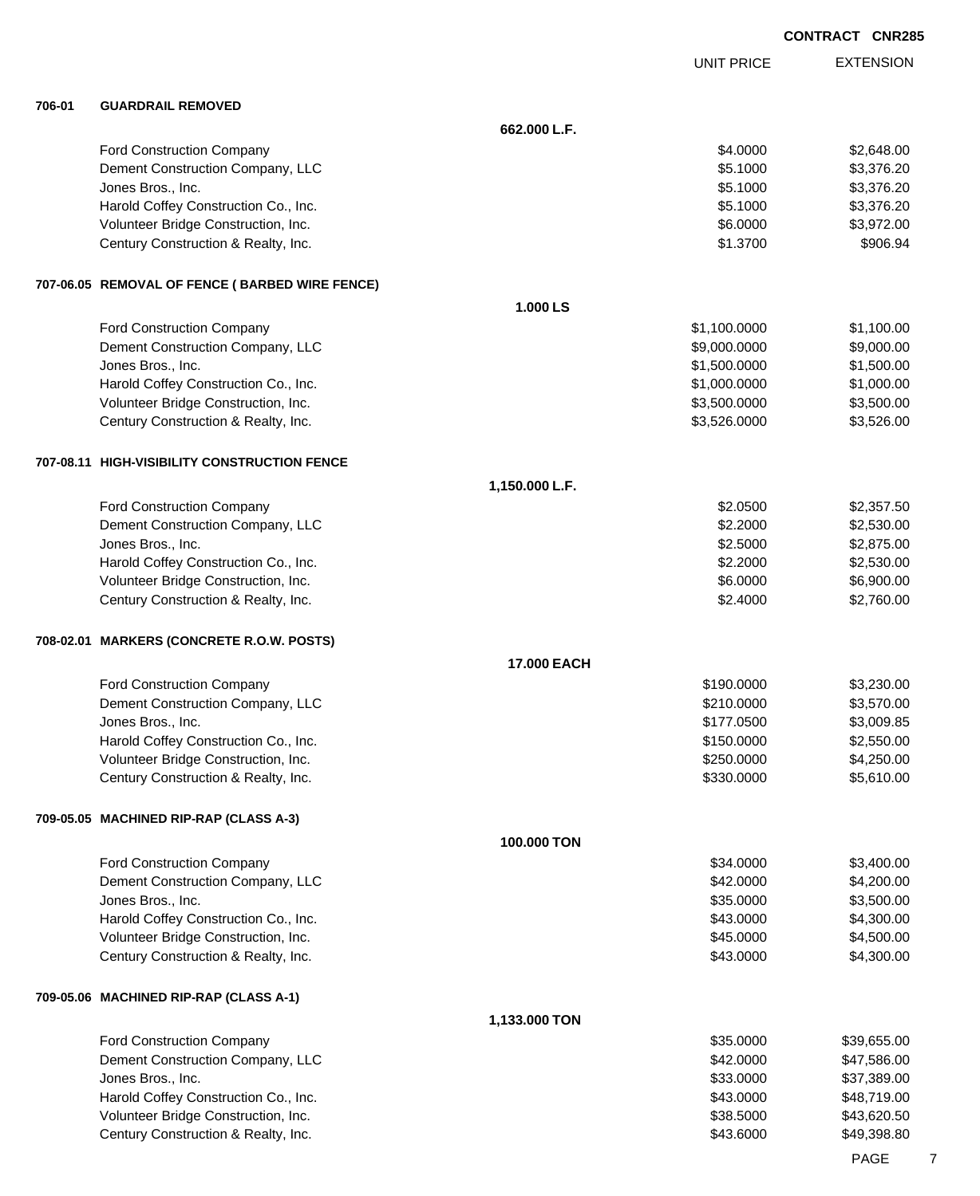|        |                                                                            |                |                          | <b>CONTRACT CNR285</b>     |
|--------|----------------------------------------------------------------------------|----------------|--------------------------|----------------------------|
|        |                                                                            |                | <b>UNIT PRICE</b>        | <b>EXTENSION</b>           |
| 706-01 | <b>GUARDRAIL REMOVED</b>                                                   |                |                          |                            |
|        |                                                                            | 662.000 L.F.   |                          |                            |
|        | Ford Construction Company                                                  |                | \$4.0000                 | \$2,648.00                 |
|        | Dement Construction Company, LLC                                           |                | \$5.1000                 | \$3,376.20                 |
|        | Jones Bros., Inc.                                                          |                | \$5.1000                 | \$3,376.20                 |
|        | Harold Coffey Construction Co., Inc.                                       |                | \$5.1000                 | \$3,376.20                 |
|        | Volunteer Bridge Construction, Inc.                                        |                | \$6.0000                 | \$3,972.00                 |
|        | Century Construction & Realty, Inc.                                        |                | \$1.3700                 | \$906.94                   |
|        | 707-06.05 REMOVAL OF FENCE (BARBED WIRE FENCE)                             |                |                          |                            |
|        |                                                                            | 1.000 LS       |                          |                            |
|        | Ford Construction Company                                                  |                | \$1,100.0000             | \$1,100.00                 |
|        | Dement Construction Company, LLC                                           |                | \$9,000.0000             | \$9,000.00                 |
|        | Jones Bros., Inc.                                                          |                | \$1,500.0000             | \$1,500.00                 |
|        | Harold Coffey Construction Co., Inc.                                       |                | \$1,000.0000             | \$1,000.00                 |
|        | Volunteer Bridge Construction, Inc.                                        |                | \$3,500.0000             | \$3,500.00                 |
|        | Century Construction & Realty, Inc.                                        |                | \$3,526.0000             | \$3,526.00                 |
|        | 707-08.11 HIGH-VISIBILITY CONSTRUCTION FENCE                               |                |                          |                            |
|        |                                                                            | 1,150.000 L.F. |                          |                            |
|        | Ford Construction Company                                                  |                | \$2.0500                 | \$2,357.50                 |
|        | Dement Construction Company, LLC                                           |                | \$2.2000                 | \$2,530.00                 |
|        | Jones Bros., Inc.                                                          |                | \$2.5000                 | \$2,875.00                 |
|        | Harold Coffey Construction Co., Inc.                                       |                | \$2.2000                 | \$2,530.00                 |
|        | Volunteer Bridge Construction, Inc.                                        |                | \$6.0000                 | \$6,900.00                 |
|        | Century Construction & Realty, Inc.                                        |                | \$2.4000                 | \$2,760.00                 |
|        | 708-02.01 MARKERS (CONCRETE R.O.W. POSTS)                                  |                |                          |                            |
|        |                                                                            | 17.000 EACH    |                          |                            |
|        | <b>Ford Construction Company</b>                                           |                | \$190.0000               | \$3,230.00                 |
|        | Dement Construction Company, LLC                                           |                | \$210.0000               | \$3,570.00                 |
|        | Jones Bros., Inc.                                                          |                | \$177.0500               | \$3,009.85                 |
|        | Harold Coffey Construction Co., Inc.                                       |                | \$150.0000               | \$2,550.00                 |
|        | Volunteer Bridge Construction, Inc.                                        |                | \$250.0000<br>\$330.0000 | \$4,250.00<br>\$5,610.00   |
|        | Century Construction & Realty, Inc.                                        |                |                          |                            |
|        | 709-05.05 MACHINED RIP-RAP (CLASS A-3)                                     |                |                          |                            |
|        |                                                                            | 100.000 TON    |                          |                            |
|        | <b>Ford Construction Company</b>                                           |                | \$34.0000                | \$3,400.00                 |
|        | Dement Construction Company, LLC                                           |                | \$42.0000                | \$4,200.00                 |
|        | Jones Bros., Inc.                                                          |                | \$35.0000                | \$3,500.00                 |
|        | Harold Coffey Construction Co., Inc.                                       |                | \$43.0000                | \$4,300.00                 |
|        | Volunteer Bridge Construction, Inc.                                        |                | \$45.0000<br>\$43.0000   | \$4,500.00<br>\$4,300.00   |
|        | Century Construction & Realty, Inc.                                        |                |                          |                            |
|        | 709-05.06 MACHINED RIP-RAP (CLASS A-1)                                     |                |                          |                            |
|        |                                                                            | 1,133.000 TON  |                          |                            |
|        | Ford Construction Company                                                  |                | \$35.0000                | \$39,655.00                |
|        | Dement Construction Company, LLC                                           |                | \$42.0000                | \$47,586.00                |
|        | Jones Bros., Inc.                                                          |                | \$33.0000                | \$37,389.00                |
|        | Harold Coffey Construction Co., Inc.                                       |                | \$43.0000                | \$48,719.00                |
|        | Volunteer Bridge Construction, Inc.<br>Century Construction & Realty, Inc. |                | \$38.5000<br>\$43.6000   | \$43,620.50<br>\$49,398.80 |
|        |                                                                            |                |                          |                            |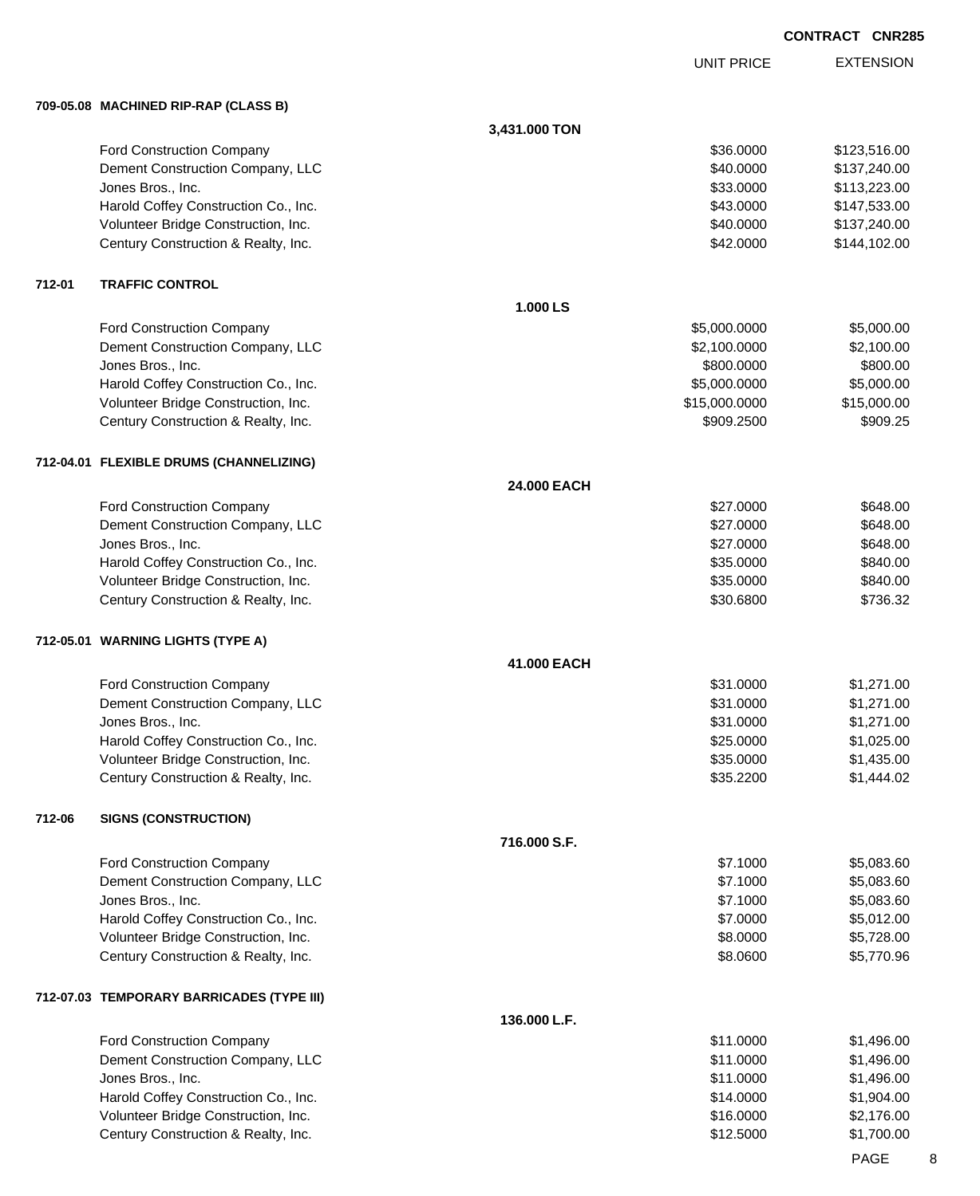UNIT PRICE

EXTENSION

**709-05.08 MACHINED RIP-RAP (CLASS B)**

|        |                                           | 3,431.000 TON |               |                               |
|--------|-------------------------------------------|---------------|---------------|-------------------------------|
|        | Ford Construction Company                 |               | \$36.0000     | \$123,516.00                  |
|        | Dement Construction Company, LLC          |               | \$40.0000     | \$137,240.00                  |
|        | Jones Bros., Inc.                         |               | \$33.0000     | \$113,223.00                  |
|        | Harold Coffey Construction Co., Inc.      |               | \$43.0000     | \$147,533.00                  |
|        | Volunteer Bridge Construction, Inc.       |               | \$40.0000     | \$137,240.00                  |
|        | Century Construction & Realty, Inc.       |               | \$42.0000     | \$144,102.00                  |
| 712-01 | <b>TRAFFIC CONTROL</b>                    |               |               |                               |
|        |                                           | 1.000 LS      |               |                               |
|        | Ford Construction Company                 |               | \$5,000.0000  | \$5,000.00                    |
|        | Dement Construction Company, LLC          |               | \$2,100.0000  | \$2,100.00                    |
|        | Jones Bros., Inc.                         |               | \$800.0000    | \$800.00                      |
|        | Harold Coffey Construction Co., Inc.      |               | \$5,000.0000  | \$5,000.00                    |
|        | Volunteer Bridge Construction, Inc.       |               | \$15,000.0000 | \$15,000.00                   |
|        | Century Construction & Realty, Inc.       |               | \$909.2500    | \$909.25                      |
|        | 712-04.01 FLEXIBLE DRUMS (CHANNELIZING)   |               |               |                               |
|        |                                           | 24.000 EACH   |               |                               |
|        | Ford Construction Company                 |               | \$27.0000     | \$648.00                      |
|        | Dement Construction Company, LLC          |               | \$27.0000     | \$648.00                      |
|        | Jones Bros., Inc.                         |               | \$27.0000     | \$648.00                      |
|        | Harold Coffey Construction Co., Inc.      |               | \$35.0000     | \$840.00                      |
|        | Volunteer Bridge Construction, Inc.       |               | \$35.0000     | \$840.00                      |
|        | Century Construction & Realty, Inc.       |               | \$30.6800     | \$736.32                      |
|        | 712-05.01 WARNING LIGHTS (TYPE A)         |               |               |                               |
|        |                                           | 41.000 EACH   |               |                               |
|        | Ford Construction Company                 |               | \$31.0000     | \$1,271.00                    |
|        | Dement Construction Company, LLC          |               | \$31.0000     | \$1,271.00                    |
|        | Jones Bros., Inc.                         |               | \$31.0000     | \$1,271.00                    |
|        | Harold Coffey Construction Co., Inc.      |               | \$25.0000     | \$1,025.00                    |
|        | Volunteer Bridge Construction, Inc.       |               | \$35.0000     | \$1,435.00                    |
|        | Century Construction & Realty, Inc.       |               | \$35.2200     | \$1,444.02                    |
| 712-06 | <b>SIGNS (CONSTRUCTION)</b>               |               |               |                               |
|        |                                           | 716.000 S.F.  |               |                               |
|        | Ford Construction Company                 |               | \$7.1000      | \$5,083.60                    |
|        | Dement Construction Company, LLC          |               | \$7.1000      | \$5,083.60                    |
|        | Jones Bros., Inc.                         |               | \$7.1000      | \$5,083.60                    |
|        | Harold Coffey Construction Co., Inc.      |               | \$7.0000      | \$5,012.00                    |
|        | Volunteer Bridge Construction, Inc.       |               | \$8.0000      | \$5,728.00                    |
|        | Century Construction & Realty, Inc.       |               | \$8.0600      | \$5,770.96                    |
|        | 712-07.03 TEMPORARY BARRICADES (TYPE III) |               |               |                               |
|        |                                           | 136.000 L.F.  |               |                               |
|        | Ford Construction Company                 |               | \$11.0000     | \$1,496.00                    |
|        | Dement Construction Company, LLC          |               | \$11.0000     | \$1,496.00                    |
|        | Jones Bros., Inc.                         |               | \$11.0000     | \$1,496.00                    |
|        | Harold Coffey Construction Co., Inc.      |               | \$14.0000     | \$1,904.00                    |
|        | Volunteer Bridge Construction, Inc.       |               | \$16.0000     | \$2,176.00                    |
|        | Century Construction & Realty, Inc.       |               | \$12.5000     | \$1,700.00                    |
|        |                                           |               |               | $\mathbf{R} \cdot \mathbf{R}$ |

PAGE 8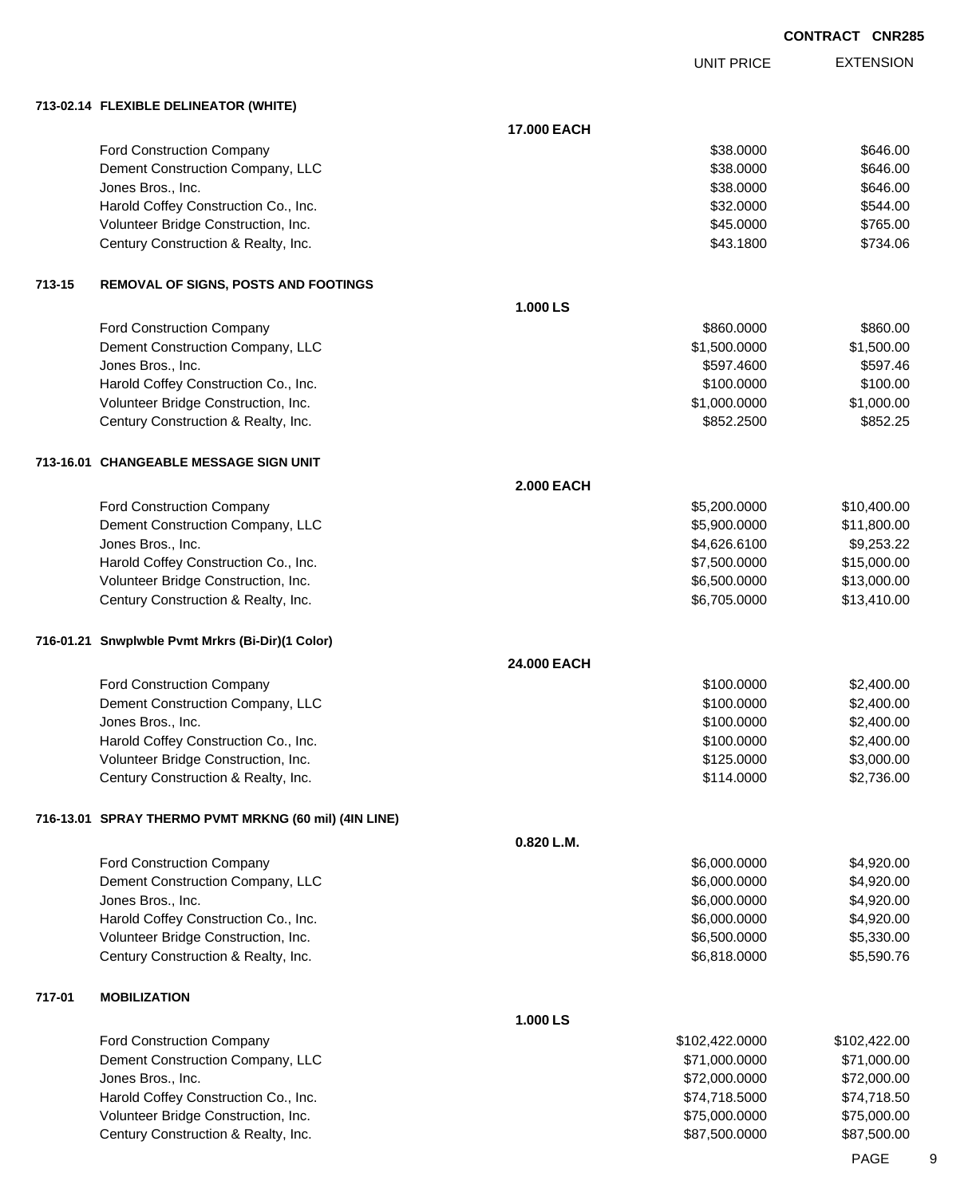UNIT PRICE EXTENSION

**713-02.14 FLEXIBLE DELINEATOR (WHITE)**

|        |                                                           | 17.000 EACH       |                          |                          |
|--------|-----------------------------------------------------------|-------------------|--------------------------|--------------------------|
|        | <b>Ford Construction Company</b>                          |                   | \$38.0000                | \$646.00                 |
|        | Dement Construction Company, LLC                          |                   | \$38.0000                | \$646.00                 |
|        | Jones Bros., Inc.                                         |                   | \$38.0000                | \$646.00                 |
|        | Harold Coffey Construction Co., Inc.                      |                   | \$32.0000                | \$544.00                 |
|        | Volunteer Bridge Construction, Inc.                       |                   | \$45.0000                | \$765.00                 |
|        | Century Construction & Realty, Inc.                       |                   | \$43.1800                | \$734.06                 |
| 713-15 | <b>REMOVAL OF SIGNS, POSTS AND FOOTINGS</b>               |                   |                          |                          |
|        |                                                           | 1.000 LS          |                          |                          |
|        | <b>Ford Construction Company</b>                          |                   | \$860.0000               | \$860.00                 |
|        | Dement Construction Company, LLC                          |                   | \$1,500.0000             | \$1,500.00               |
|        | Jones Bros., Inc.                                         |                   | \$597.4600               | \$597.46                 |
|        | Harold Coffey Construction Co., Inc.                      |                   | \$100.0000               | \$100.00                 |
|        | Volunteer Bridge Construction, Inc.                       |                   | \$1,000.0000             | \$1,000.00               |
|        | Century Construction & Realty, Inc.                       |                   | \$852.2500               | \$852.25                 |
|        | 713-16.01 CHANGEABLE MESSAGE SIGN UNIT                    |                   |                          |                          |
|        |                                                           | <b>2.000 EACH</b> |                          |                          |
|        | Ford Construction Company                                 |                   | \$5,200.0000             | \$10,400.00              |
|        | Dement Construction Company, LLC                          |                   | \$5,900.0000             | \$11,800.00              |
|        | Jones Bros., Inc.                                         |                   | \$4,626.6100             | \$9,253.22               |
|        | Harold Coffey Construction Co., Inc.                      |                   | \$7,500.0000             | \$15,000.00              |
|        | Volunteer Bridge Construction, Inc.                       |                   | \$6,500.0000             | \$13,000.00              |
|        | Century Construction & Realty, Inc.                       |                   | \$6,705.0000             | \$13,410.00              |
|        | 716-01.21 Snwplwble Pvmt Mrkrs (Bi-Dir)(1 Color)          |                   |                          |                          |
|        |                                                           | 24.000 EACH       |                          |                          |
|        | Ford Construction Company                                 |                   | \$100.0000               | \$2,400.00               |
|        | Dement Construction Company, LLC                          |                   | \$100.0000               | \$2,400.00               |
|        | Jones Bros., Inc.<br>Harold Coffey Construction Co., Inc. |                   | \$100.0000<br>\$100.0000 | \$2,400.00<br>\$2,400.00 |
|        | Volunteer Bridge Construction, Inc.                       |                   | \$125.0000               | \$3,000.00               |
|        | Century Construction & Realty, Inc.                       |                   | \$114.0000               | \$2,736.00               |
|        | 716-13.01 SPRAY THERMO PVMT MRKNG (60 mil) (4IN LINE)     |                   |                          |                          |
|        |                                                           | 0.820 L.M.        |                          |                          |
|        | Ford Construction Company                                 |                   | \$6,000.0000             | \$4,920.00               |
|        | Dement Construction Company, LLC                          |                   | \$6,000.0000             | \$4,920.00               |
|        | Jones Bros., Inc.                                         |                   | \$6,000.0000             | \$4,920.00               |
|        | Harold Coffey Construction Co., Inc.                      |                   | \$6,000.0000             | \$4,920.00               |
|        | Volunteer Bridge Construction, Inc.                       |                   | \$6,500.0000             | \$5,330.00               |
|        | Century Construction & Realty, Inc.                       |                   | \$6,818.0000             | \$5,590.76               |
| 717-01 | <b>MOBILIZATION</b>                                       |                   |                          |                          |
|        |                                                           | 1.000 LS          |                          |                          |
|        | <b>Ford Construction Company</b>                          |                   | \$102,422.0000           | \$102,422.00             |
|        | Dement Construction Company, LLC                          |                   | \$71,000.0000            | \$71,000.00              |
|        | Jones Bros., Inc.                                         |                   | \$72,000.0000            | \$72,000.00              |
|        | Harold Coffey Construction Co., Inc.                      |                   | \$74,718.5000            | \$74,718.50              |
|        | Volunteer Bridge Construction, Inc.                       |                   | \$75,000.0000            | \$75,000.00              |
|        | Century Construction & Realty, Inc.                       |                   | \$87,500.0000            | \$87,500.00              |
|        |                                                           |                   |                          |                          |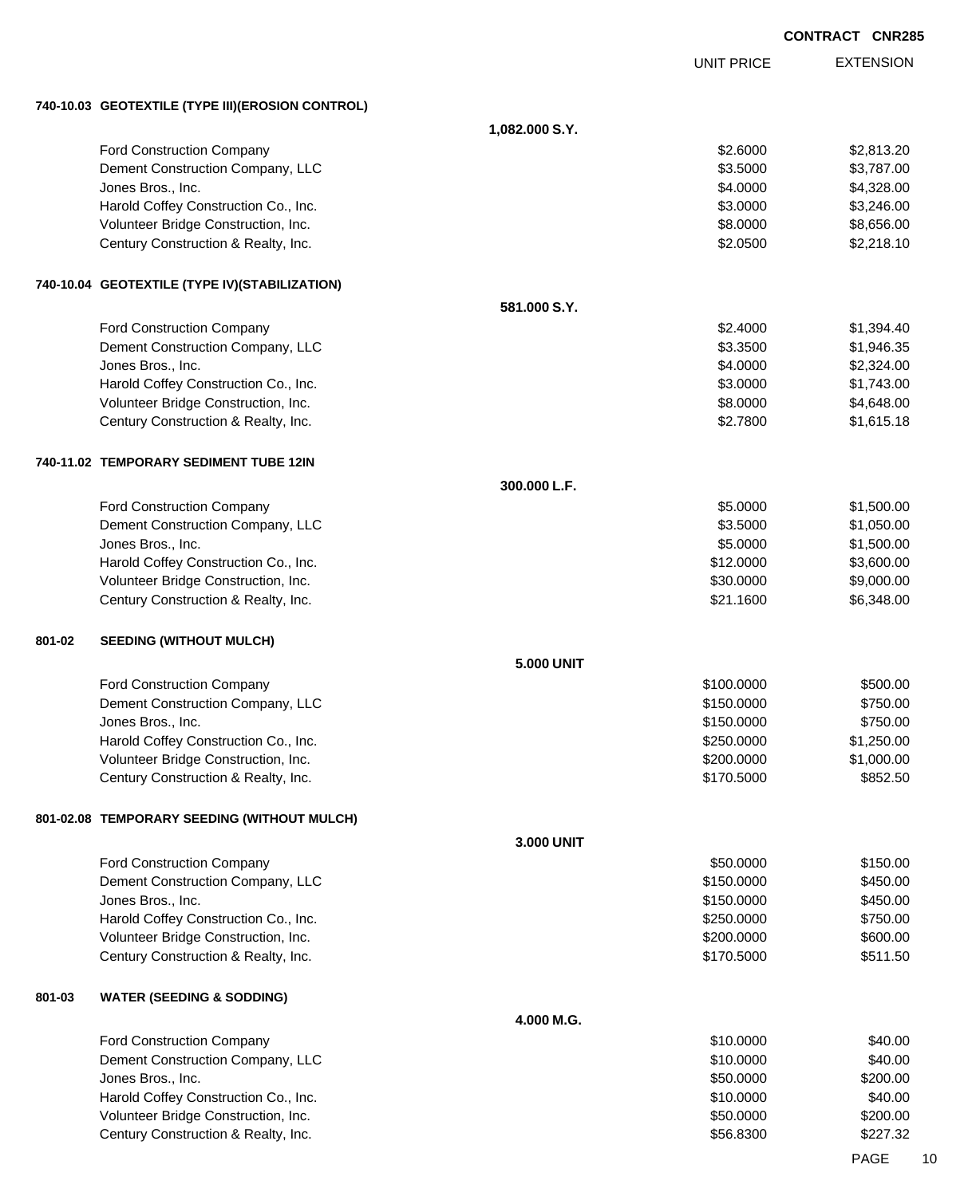|        |                                                                            |                   |                        | <b>CONTRACT CNR28</b>    |
|--------|----------------------------------------------------------------------------|-------------------|------------------------|--------------------------|
|        |                                                                            |                   | <b>UNIT PRICE</b>      | <b>EXTENSION</b>         |
|        | 740-10.03 GEOTEXTILE (TYPE III) (EROSION CONTROL)                          |                   |                        |                          |
|        |                                                                            | 1,082.000 S.Y.    |                        |                          |
|        | <b>Ford Construction Company</b>                                           |                   | \$2.6000               | \$2,813.20               |
|        | Dement Construction Company, LLC                                           |                   | \$3.5000               | \$3,787.00               |
|        | Jones Bros., Inc.                                                          |                   | \$4.0000               | \$4,328.00               |
|        | Harold Coffey Construction Co., Inc.                                       |                   | \$3.0000               | \$3,246.00               |
|        | Volunteer Bridge Construction, Inc.                                        |                   | \$8.0000               | \$8,656.00               |
|        | Century Construction & Realty, Inc.                                        |                   | \$2.0500               | \$2,218.10               |
|        | 740-10.04 GEOTEXTILE (TYPE IV)(STABILIZATION)                              |                   |                        |                          |
|        |                                                                            | 581.000 S.Y.      |                        |                          |
|        | <b>Ford Construction Company</b>                                           |                   | \$2.4000               | \$1,394.40               |
|        | Dement Construction Company, LLC                                           |                   | \$3.3500               | \$1,946.35               |
|        | Jones Bros., Inc.                                                          |                   | \$4.0000               | \$2,324.00               |
|        | Harold Coffey Construction Co., Inc.                                       |                   | \$3.0000               | \$1,743.00               |
|        | Volunteer Bridge Construction, Inc.                                        |                   | \$8.0000               | \$4,648.00               |
|        | Century Construction & Realty, Inc.                                        |                   | \$2.7800               | \$1,615.18               |
|        | 740-11.02 TEMPORARY SEDIMENT TUBE 12IN                                     |                   |                        |                          |
|        |                                                                            | 300.000 L.F.      |                        |                          |
|        | Ford Construction Company                                                  |                   | \$5.0000               | \$1,500.00               |
|        | Dement Construction Company, LLC                                           |                   | \$3.5000               | \$1,050.00               |
|        | Jones Bros., Inc.                                                          |                   | \$5.0000               | \$1,500.00               |
|        | Harold Coffey Construction Co., Inc.                                       |                   | \$12.0000              | \$3,600.00               |
|        | Volunteer Bridge Construction, Inc.<br>Century Construction & Realty, Inc. |                   | \$30.0000<br>\$21.1600 | \$9,000.00<br>\$6,348.00 |
| 801-02 | <b>SEEDING (WITHOUT MULCH)</b>                                             |                   |                        |                          |
|        |                                                                            | <b>5.000 UNIT</b> |                        |                          |
|        | <b>Ford Construction Company</b>                                           |                   | \$100.0000             | \$500.00                 |
|        | Dement Construction Company, LLC                                           |                   | \$150.0000             | \$750.00                 |
|        | Jones Bros., Inc.                                                          |                   | \$150.0000             | \$750.00                 |
|        | Harold Coffey Construction Co., Inc.                                       |                   | \$250.0000             | \$1,250.00               |
|        | Volunteer Bridge Construction, Inc.                                        |                   | \$200.0000             | \$1,000.00               |
|        | Century Construction & Realty, Inc.                                        |                   | \$170.5000             | \$852.50                 |
|        | 801-02.08 TEMPORARY SEEDING (WITHOUT MULCH)                                |                   |                        |                          |
|        |                                                                            | 3.000 UNIT        |                        |                          |
|        | <b>Ford Construction Company</b>                                           |                   | \$50.0000              | \$150.00                 |
|        | Dement Construction Company, LLC                                           |                   | \$150.0000             | \$450.00                 |
|        | Jones Bros., Inc.                                                          |                   | \$150.0000             | \$450.00                 |
|        | Harold Coffey Construction Co., Inc.                                       |                   | \$250.0000             | \$750.00                 |
|        | Volunteer Bridge Construction, Inc.                                        |                   | \$200.0000             | \$600.00                 |
|        | Century Construction & Realty, Inc.                                        |                   | \$170.5000             | \$511.50                 |
| 801-03 | <b>WATER (SEEDING &amp; SODDING)</b>                                       |                   |                        |                          |
|        |                                                                            | 4.000 M.G.        |                        |                          |
|        | Ford Construction Company                                                  |                   | \$10.0000              | \$40.00                  |
|        | Dement Construction Company, LLC                                           |                   | \$10.0000              | \$40.00                  |
|        | Jones Bros., Inc.                                                          |                   | \$50.0000              | \$200.00                 |
|        | Harold Coffey Construction Co., Inc.                                       |                   | \$10.0000              | \$40.00                  |
|        | Volunteer Bridge Construction, Inc.                                        |                   | \$50.0000              | \$200.00                 |

Century Construction & Realty, Inc. 6. The Second Second State of Second State Second State Second State Second State Second State Second State Second State Second State Second State Second State Second State Second State

PAGE 10

**CONTRACT CNR285**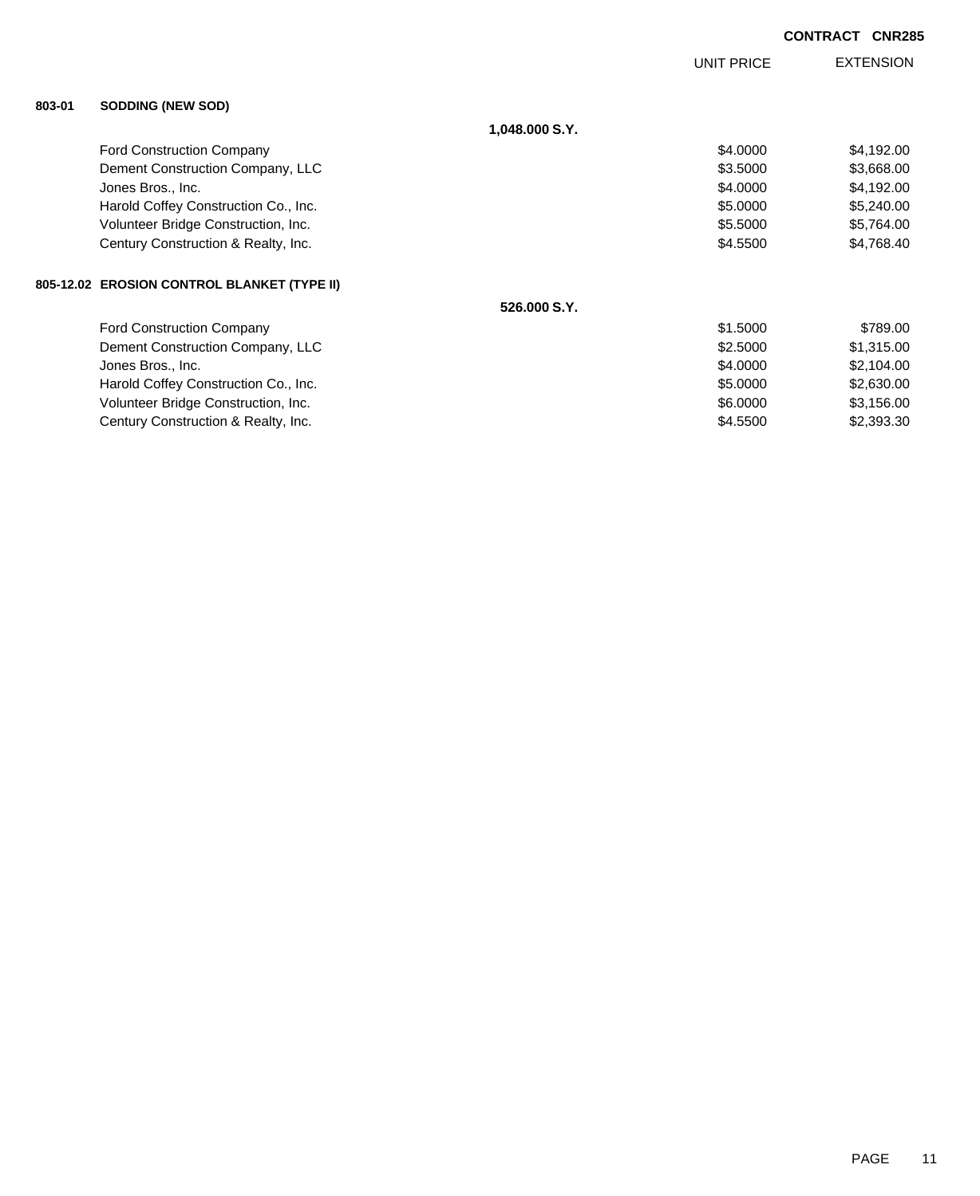|        |                                             |                | <b>UNIT PRICE</b> | <b>EXTENSION</b> |
|--------|---------------------------------------------|----------------|-------------------|------------------|
| 803-01 | <b>SODDING (NEW SOD)</b>                    |                |                   |                  |
|        |                                             | 1,048.000 S.Y. |                   |                  |
|        | <b>Ford Construction Company</b>            |                | \$4.0000          | \$4,192.00       |
|        | Dement Construction Company, LLC            |                | \$3.5000          | \$3,668.00       |
|        | Jones Bros., Inc.                           |                | \$4.0000          | \$4,192.00       |
|        | Harold Coffey Construction Co., Inc.        |                | \$5.0000          | \$5,240.00       |
|        | Volunteer Bridge Construction, Inc.         |                | \$5.5000          | \$5,764.00       |
|        | Century Construction & Realty, Inc.         |                | \$4.5500          | \$4,768.40       |
|        | 805-12.02 EROSION CONTROL BLANKET (TYPE II) |                |                   |                  |
|        |                                             | 526,000 S.Y.   |                   |                  |
|        | <b>Ford Construction Company</b>            |                | \$1.5000          | \$789.00         |
|        | Dement Construction Company, LLC            |                | \$2.5000          | \$1,315.00       |
|        | Jones Bros., Inc.                           |                | \$4.0000          | \$2,104.00       |
|        | Harold Coffey Construction Co., Inc.        |                | \$5.0000          | \$2,630.00       |
|        | Volunteer Bridge Construction, Inc.         |                | \$6.0000          | \$3,156.00       |

Century Construction & Realty, Inc. \$4.5500 \$2,393.30

**CONTRACT CNR285**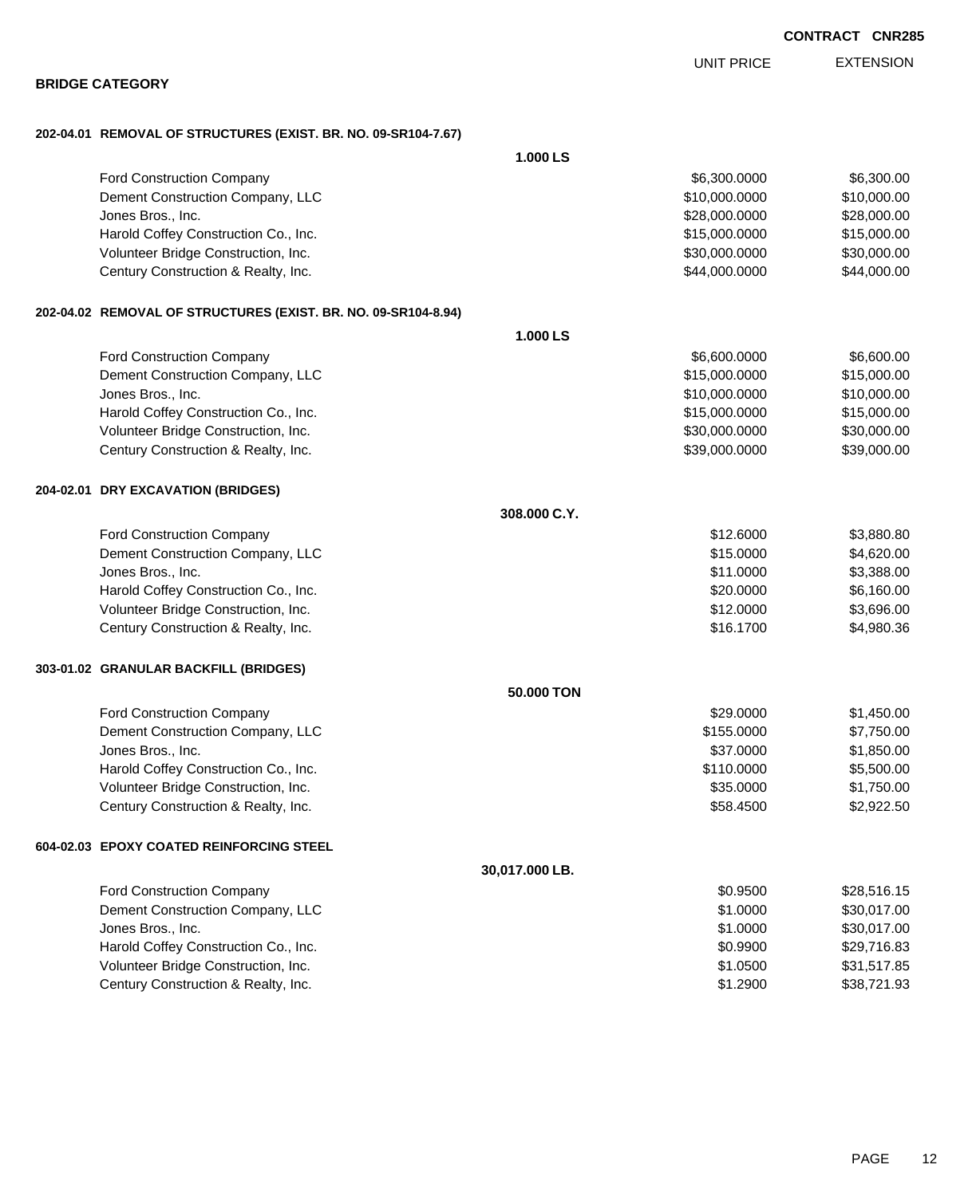| 202-04.01 REMOVAL OF STRUCTURES (EXIST. BR. NO. 09-SR104-7.67) |                |               |             |
|----------------------------------------------------------------|----------------|---------------|-------------|
|                                                                | 1.000 LS       |               |             |
| <b>Ford Construction Company</b>                               |                | \$6,300.0000  | \$6,300.00  |
| Dement Construction Company, LLC                               |                | \$10,000.0000 | \$10,000.00 |
| Jones Bros., Inc.                                              |                | \$28,000.0000 | \$28,000.00 |
| Harold Coffey Construction Co., Inc.                           |                | \$15,000.0000 | \$15,000.00 |
| Volunteer Bridge Construction, Inc.                            |                | \$30,000.0000 | \$30,000.00 |
| Century Construction & Realty, Inc.                            |                | \$44,000.0000 | \$44,000.00 |
| 202-04.02 REMOVAL OF STRUCTURES (EXIST. BR. NO. 09-SR104-8.94) |                |               |             |
|                                                                | 1.000 LS       |               |             |
| <b>Ford Construction Company</b>                               |                | \$6,600.0000  | \$6,600.00  |
| Dement Construction Company, LLC                               |                | \$15,000.0000 | \$15,000.00 |
| Jones Bros., Inc.                                              |                | \$10,000.0000 | \$10,000.00 |
| Harold Coffey Construction Co., Inc.                           |                | \$15,000.0000 | \$15,000.00 |
| Volunteer Bridge Construction, Inc.                            |                | \$30,000.0000 | \$30,000.00 |
| Century Construction & Realty, Inc.                            |                | \$39,000.0000 | \$39,000.00 |
| 204-02.01 DRY EXCAVATION (BRIDGES)                             |                |               |             |
|                                                                | 308.000 C.Y.   |               |             |
| Ford Construction Company                                      |                | \$12.6000     | \$3,880.80  |
| Dement Construction Company, LLC                               |                | \$15.0000     | \$4,620.00  |
| Jones Bros., Inc.                                              |                | \$11.0000     | \$3,388.00  |
| Harold Coffey Construction Co., Inc.                           |                | \$20.0000     | \$6,160.00  |
| Volunteer Bridge Construction, Inc.                            |                | \$12.0000     | \$3,696.00  |
| Century Construction & Realty, Inc.                            |                | \$16.1700     | \$4,980.36  |
| 303-01.02 GRANULAR BACKFILL (BRIDGES)                          |                |               |             |
|                                                                | 50.000 TON     |               |             |
| Ford Construction Company                                      |                | \$29,0000     | \$1,450.00  |
| Dement Construction Company, LLC                               |                | \$155.0000    | \$7,750.00  |
| Jones Bros., Inc.                                              |                | \$37.0000     | \$1,850.00  |
| Harold Coffey Construction Co., Inc.                           |                | \$110.0000    | \$5,500.00  |
| Volunteer Bridge Construction, Inc.                            |                | \$35.0000     | \$1,750.00  |
| Century Construction & Realty, Inc.                            |                | \$58.4500     | \$2,922.50  |
| 604-02.03 EPOXY COATED REINFORCING STEEL                       |                |               |             |
|                                                                | 30,017.000 LB. |               |             |
| Ford Construction Company                                      |                | \$0.9500      | \$28,516.15 |
| Dement Construction Company, LLC                               |                | \$1.0000      | \$30,017.00 |
| Jones Bros., Inc.                                              |                | \$1.0000      | \$30,017.00 |
| Harold Coffey Construction Co., Inc.                           |                | \$0.9900      | \$29,716.83 |

Volunteer Bridge Construction, Inc. 631,517.85 Century Construction & Realty, Inc. 6. The Century Construction & Realty, Inc. 6. The Century Construction & Realty, Inc.

**CONTRACT CNR285**

EXTENSION UNIT PRICE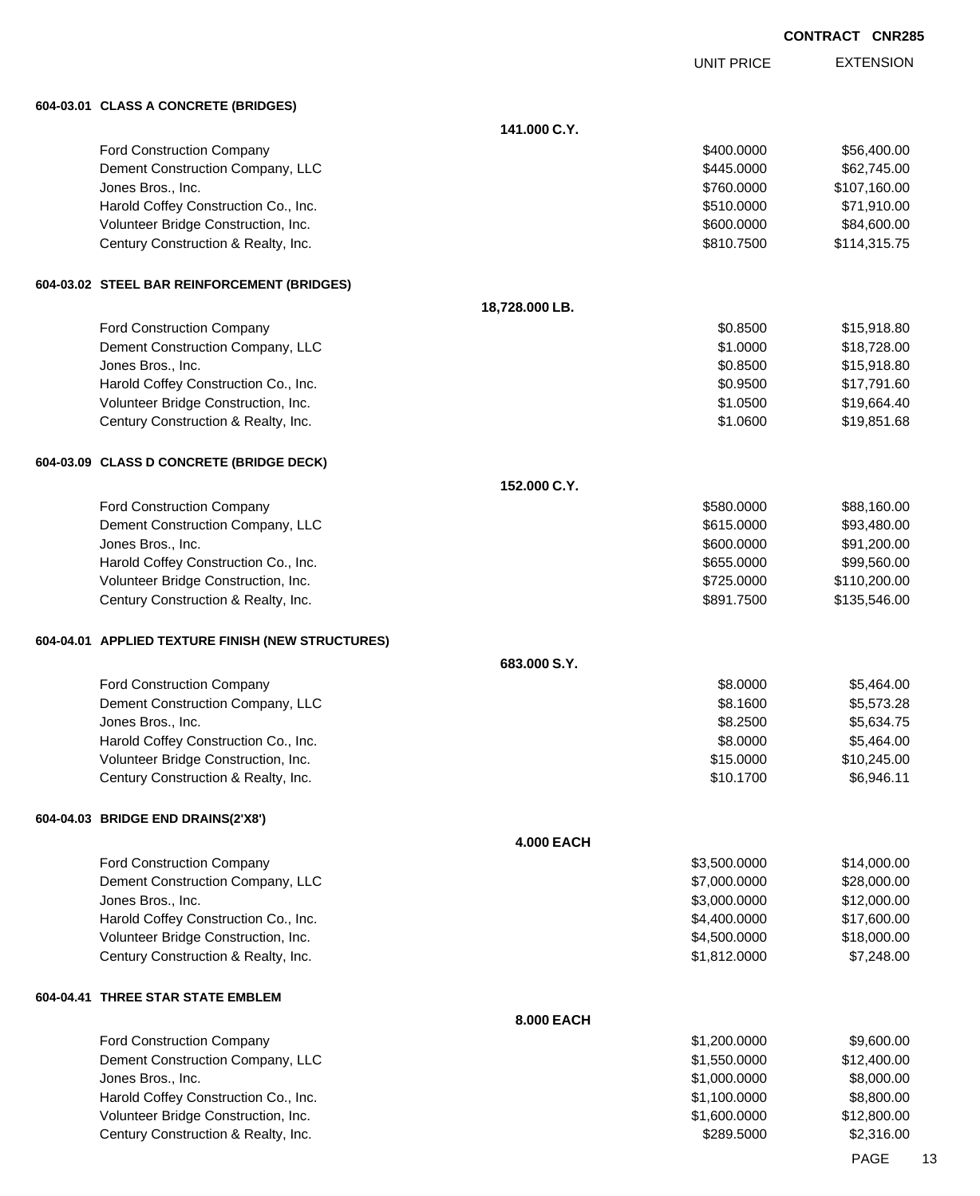UNIT PRICE EXTENSION

**604-03.01 CLASS A CONCRETE (BRIDGES)**

| 604-03.01   CLASS A CONCRETE (BRIDGES)                                      |                   |                       |                           |
|-----------------------------------------------------------------------------|-------------------|-----------------------|---------------------------|
|                                                                             | 141.000 C.Y.      |                       |                           |
| <b>Ford Construction Company</b>                                            |                   | \$400.0000            | \$56,400.00               |
| Dement Construction Company, LLC                                            |                   | \$445.0000            | \$62,745.00               |
| Jones Bros., Inc.                                                           |                   | \$760.0000            | \$107,160.00              |
| Harold Coffey Construction Co., Inc.                                        |                   | \$510.0000            | \$71,910.00               |
| Volunteer Bridge Construction, Inc.                                         |                   | \$600.0000            | \$84,600.00               |
| Century Construction & Realty, Inc.                                         |                   | \$810.7500            | \$114,315.75              |
| 604-03.02 STEEL BAR REINFORCEMENT (BRIDGES)                                 |                   |                       |                           |
|                                                                             | 18,728.000 LB.    |                       |                           |
| <b>Ford Construction Company</b>                                            |                   | \$0.8500              | \$15,918.80               |
| Dement Construction Company, LLC                                            |                   | \$1.0000              | \$18,728.00               |
| Jones Bros., Inc.                                                           |                   | \$0.8500              | \$15,918.80               |
| Harold Coffey Construction Co., Inc.                                        |                   | \$0.9500              | \$17,791.60               |
| Volunteer Bridge Construction, Inc.                                         |                   | \$1.0500              | \$19,664.40               |
| Century Construction & Realty, Inc.                                         |                   | \$1.0600              | \$19,851.68               |
| 604-03.09 CLASS D CONCRETE (BRIDGE DECK)                                    |                   |                       |                           |
|                                                                             | 152.000 C.Y.      |                       |                           |
| <b>Ford Construction Company</b>                                            |                   | \$580.0000            | \$88,160.00               |
| Dement Construction Company, LLC                                            |                   | \$615.0000            | \$93,480.00               |
| Jones Bros., Inc.                                                           |                   | \$600.0000            | \$91,200.00               |
| Harold Coffey Construction Co., Inc.                                        |                   | \$655.0000            | \$99,560.00               |
| Volunteer Bridge Construction, Inc.                                         |                   | \$725.0000            | \$110,200.00              |
| Century Construction & Realty, Inc.                                         |                   | \$891.7500            | \$135,546.00              |
| 604-04.01 APPLIED TEXTURE FINISH (NEW STRUCTURES)                           |                   |                       |                           |
|                                                                             | 683.000 S.Y.      |                       |                           |
| <b>Ford Construction Company</b>                                            |                   | \$8.0000              | \$5,464.00                |
| Dement Construction Company, LLC                                            |                   | \$8.1600              | \$5,573.28                |
| Jones Bros., Inc.                                                           |                   | \$8.2500              | \$5,634.75                |
| Harold Coffey Construction Co., Inc.<br>Volunteer Bridge Construction, Inc. |                   | \$8.0000<br>\$15.0000 | \$5,464.00<br>\$10,245.00 |
| Century Construction & Realty, Inc.                                         |                   | \$10.1700             | \$6,946.11                |
| 604-04.03 BRIDGE END DRAINS(2'X8')                                          |                   |                       |                           |
|                                                                             | <b>4.000 EACH</b> |                       |                           |
| <b>Ford Construction Company</b>                                            |                   | \$3,500.0000          | \$14,000.00               |
| Dement Construction Company, LLC                                            |                   | \$7,000.0000          | \$28,000.00               |
| Jones Bros., Inc.                                                           |                   | \$3,000.0000          | \$12,000.00               |
| Harold Coffey Construction Co., Inc.                                        |                   | \$4,400.0000          | \$17,600.00               |
| Volunteer Bridge Construction, Inc.                                         |                   | \$4,500.0000          | \$18,000.00               |
| Century Construction & Realty, Inc.                                         |                   | \$1,812.0000          | \$7,248.00                |
| 604-04.41 THREE STAR STATE EMBLEM                                           |                   |                       |                           |
|                                                                             | 8.000 EACH        |                       |                           |
| <b>Ford Construction Company</b>                                            |                   | \$1,200.0000          | \$9,600.00                |
| Dement Construction Company, LLC                                            |                   | \$1,550.0000          | \$12,400.00               |
| Jones Bros., Inc.                                                           |                   | \$1,000.0000          | \$8,000.00                |
| Harold Coffey Construction Co., Inc.                                        |                   | \$1,100.0000          | \$8,800.00                |
| Volunteer Bridge Construction, Inc.                                         |                   | \$1,600.0000          | \$12,800.00               |
| Century Construction & Realty, Inc.                                         |                   | \$289.5000            | \$2,316.00                |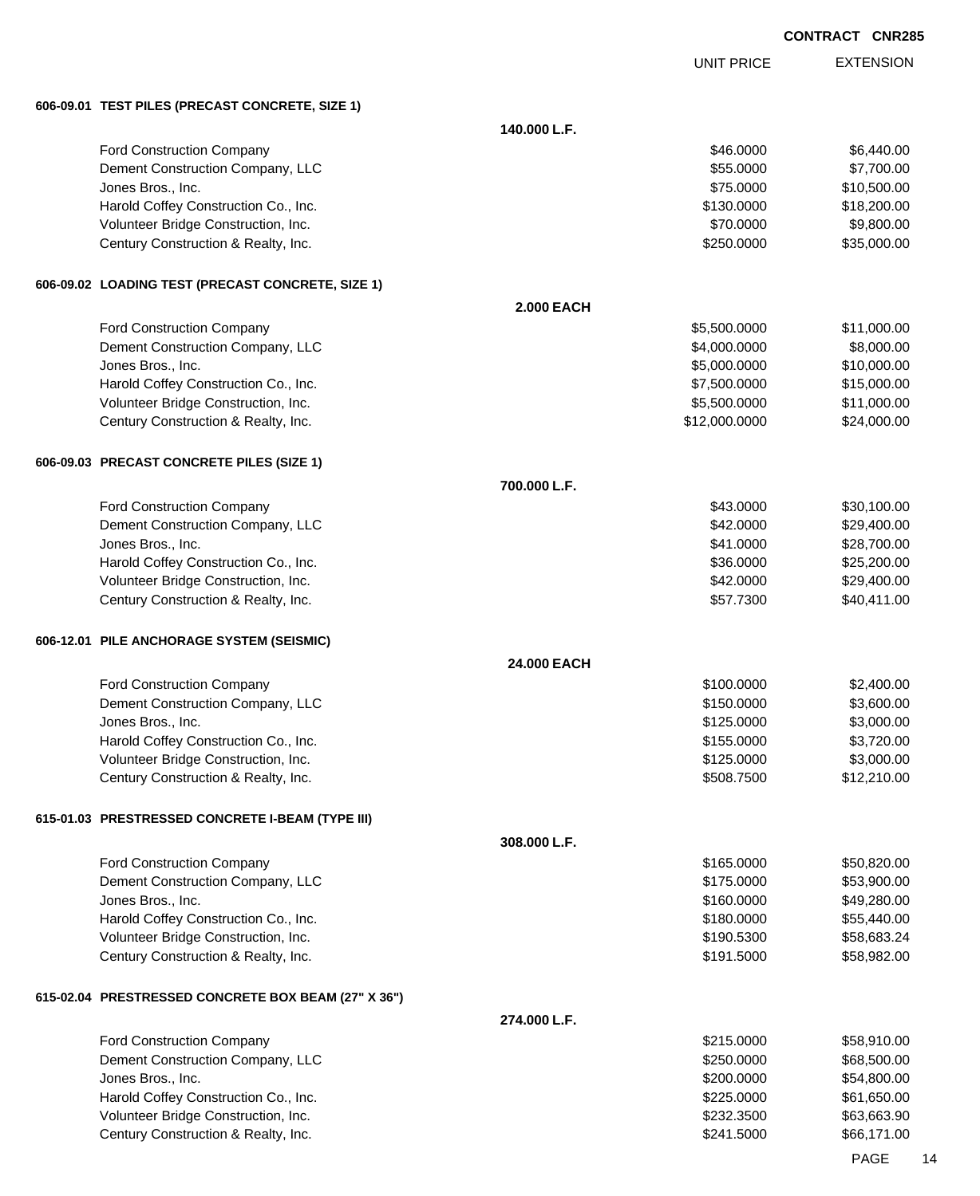|  |                                                                             |                   |                        | <b>CONTRACT CNR285</b> |                            |
|--|-----------------------------------------------------------------------------|-------------------|------------------------|------------------------|----------------------------|
|  |                                                                             |                   | <b>UNIT PRICE</b>      |                        | <b>EXTENSION</b>           |
|  | 606-09.01 TEST PILES (PRECAST CONCRETE, SIZE 1)                             |                   |                        |                        |                            |
|  |                                                                             | 140.000 L.F.      |                        |                        |                            |
|  | Ford Construction Company                                                   |                   | \$46.0000              |                        | \$6,440.00                 |
|  | Dement Construction Company, LLC                                            |                   | \$55.0000              |                        | \$7,700.00                 |
|  | Jones Bros., Inc.                                                           |                   | \$75.0000              |                        | \$10,500.00                |
|  | Harold Coffey Construction Co., Inc.                                        |                   | \$130.0000             |                        | \$18,200.00                |
|  | Volunteer Bridge Construction, Inc.                                         |                   | \$70.0000              |                        | \$9,800.00                 |
|  | Century Construction & Realty, Inc.                                         |                   | \$250.0000             |                        | \$35,000.00                |
|  | 606-09.02 LOADING TEST (PRECAST CONCRETE, SIZE 1)                           |                   |                        |                        |                            |
|  |                                                                             | <b>2.000 EACH</b> |                        |                        |                            |
|  | Ford Construction Company                                                   |                   | \$5,500.0000           |                        | \$11,000.00                |
|  | Dement Construction Company, LLC                                            |                   | \$4,000.0000           |                        | \$8,000.00                 |
|  | Jones Bros., Inc.                                                           |                   | \$5,000.0000           |                        | \$10,000.00                |
|  | Harold Coffey Construction Co., Inc.                                        |                   | \$7,500.0000           |                        | \$15,000.00                |
|  | Volunteer Bridge Construction, Inc.                                         |                   | \$5,500.0000           |                        | \$11,000.00                |
|  | Century Construction & Realty, Inc.                                         |                   | \$12,000.0000          |                        | \$24,000.00                |
|  | 606-09.03 PRECAST CONCRETE PILES (SIZE 1)                                   |                   |                        |                        |                            |
|  |                                                                             | 700.000 L.F.      |                        |                        |                            |
|  | Ford Construction Company                                                   |                   | \$43.0000              |                        | \$30,100.00                |
|  | Dement Construction Company, LLC                                            |                   | \$42.0000              |                        | \$29,400.00                |
|  | Jones Bros., Inc.                                                           |                   | \$41.0000<br>\$36.0000 |                        | \$28,700.00                |
|  | Harold Coffey Construction Co., Inc.<br>Volunteer Bridge Construction, Inc. |                   | \$42.0000              |                        | \$25,200.00<br>\$29,400.00 |
|  | Century Construction & Realty, Inc.                                         |                   | \$57.7300              |                        | \$40,411.00                |
|  | 606-12.01 PILE ANCHORAGE SYSTEM (SEISMIC)                                   |                   |                        |                        |                            |
|  |                                                                             | 24.000 EACH       |                        |                        |                            |
|  | Ford Construction Company                                                   |                   | \$100.0000             |                        | \$2,400.00                 |
|  | Dement Construction Company, LLC                                            |                   | \$150.0000             |                        | \$3,600.00                 |
|  | Jones Bros., Inc.                                                           |                   | \$125.0000             |                        | \$3,000.00                 |
|  | Harold Coffey Construction Co., Inc.                                        |                   | \$155.0000             |                        | \$3,720.00                 |
|  | Volunteer Bridge Construction, Inc.                                         |                   | \$125.0000             |                        | \$3,000.00                 |
|  | Century Construction & Realty, Inc.                                         |                   | \$508.7500             |                        | \$12,210.00                |
|  | 615-01.03 PRESTRESSED CONCRETE I-BEAM (TYPE III)                            |                   |                        |                        |                            |
|  |                                                                             | 308.000 L.F.      |                        |                        |                            |
|  | Ford Construction Company                                                   |                   | \$165.0000             |                        | \$50,820.00                |
|  | Dement Construction Company, LLC                                            |                   | \$175.0000             |                        | \$53,900.00                |
|  | Jones Bros., Inc.                                                           |                   | \$160.0000             |                        | \$49,280.00                |
|  | Harold Coffey Construction Co., Inc.                                        |                   | \$180.0000             |                        | \$55,440.00                |
|  | Volunteer Bridge Construction, Inc.                                         |                   | \$190.5300             |                        | \$58,683.24                |
|  | Century Construction & Realty, Inc.                                         |                   | \$191.5000             |                        | \$58,982.00                |
|  | 615-02.04 PRESTRESSED CONCRETE BOX BEAM (27" X 36")                         |                   |                        |                        |                            |
|  |                                                                             | 274.000 L.F.      |                        |                        |                            |
|  | Ford Construction Company                                                   |                   | \$215.0000             |                        | \$58,910.00                |
|  | Dement Construction Company, LLC                                            |                   | \$250.0000             |                        | \$68,500.00                |
|  | Jones Bros., Inc.                                                           |                   | \$200.0000             |                        | \$54,800.00                |
|  | Harold Coffey Construction Co., Inc.                                        |                   | \$225.0000             |                        | \$61,650.00                |
|  | Volunteer Bridge Construction, Inc.                                         |                   | \$232.3500             |                        | \$63,663.90                |
|  | Century Construction & Realty, Inc.                                         |                   | \$241.5000             |                        | \$66,171.00                |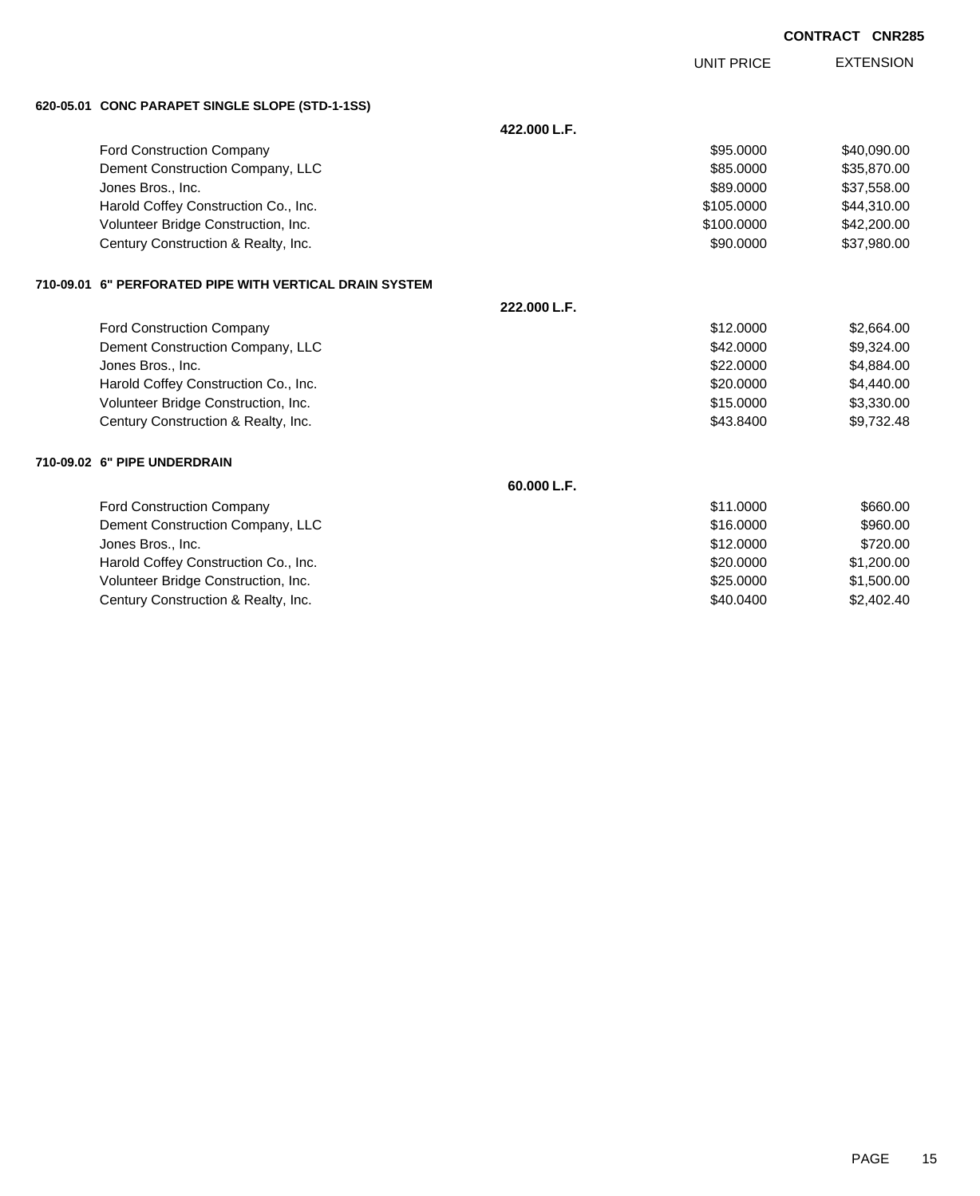UNIT PRICE

EXTENSION

**620-05.01 CONC PARAPET SINGLE SLOPE (STD-1-1SS)**

| 620-05.01 CONC PARAPET SINGLE SLOPE (STD-1-1SS)         |              |            |             |
|---------------------------------------------------------|--------------|------------|-------------|
|                                                         | 422.000 L.F. |            |             |
| <b>Ford Construction Company</b>                        |              | \$95.0000  | \$40,090.00 |
| Dement Construction Company, LLC                        |              | \$85,0000  | \$35,870.00 |
| Jones Bros., Inc.                                       |              | \$89.0000  | \$37,558.00 |
| Harold Coffey Construction Co., Inc.                    |              | \$105,0000 | \$44,310.00 |
| Volunteer Bridge Construction, Inc.                     |              | \$100,0000 | \$42,200.00 |
| Century Construction & Realty, Inc.                     |              | \$90.0000  | \$37,980.00 |
| 710-09.01 6" PERFORATED PIPE WITH VERTICAL DRAIN SYSTEM |              |            |             |
|                                                         | 222.000 L.F. |            |             |
| Ford Construction Company                               |              | \$12.0000  | \$2,664.00  |
| Dement Construction Company, LLC                        |              | \$42,0000  | \$9,324.00  |
| Jones Bros., Inc.                                       |              | \$22.0000  | \$4,884.00  |
| Harold Coffey Construction Co., Inc.                    |              | \$20.0000  | \$4,440.00  |
| Volunteer Bridge Construction, Inc.                     |              | \$15,0000  | \$3,330.00  |
| Century Construction & Realty, Inc.                     |              | \$43.8400  | \$9,732.48  |
| 710-09.02 6" PIPE UNDERDRAIN                            |              |            |             |
|                                                         | 60.000 L.F.  |            |             |
| <b>Ford Construction Company</b>                        |              | \$11.0000  | \$660.00    |
| Dement Construction Company, LLC                        |              | \$16,0000  | \$960.00    |
| Jones Bros., Inc.                                       |              | \$12.0000  | \$720.00    |
| Harold Coffey Construction Co., Inc.                    |              | \$20.0000  | \$1,200.00  |
| Volunteer Bridge Construction, Inc.                     |              | \$25,0000  | \$1,500.00  |
| Century Construction & Realty, Inc.                     |              | \$40.0400  | \$2,402.40  |

PAGE 15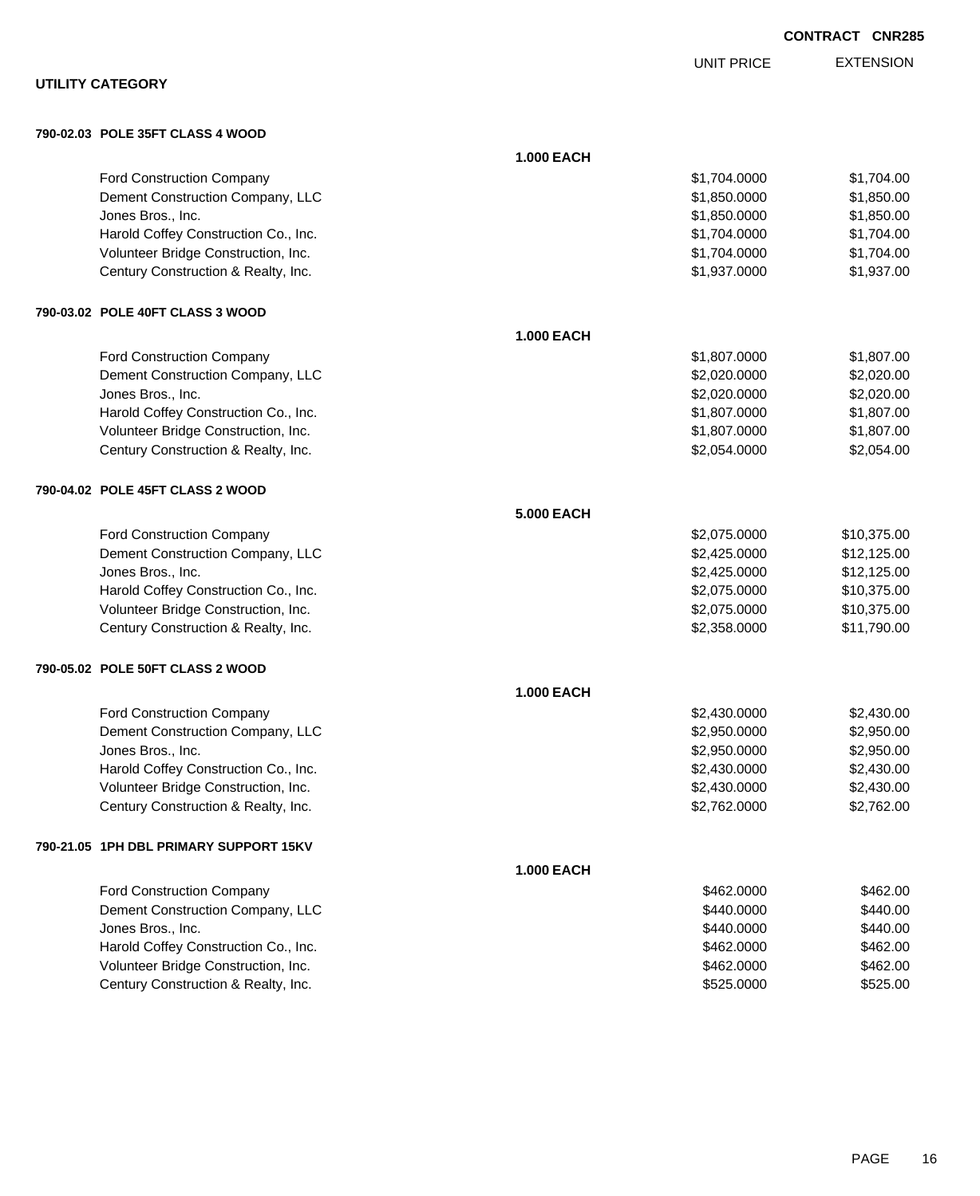|                                        |                   | <b>UNIT PRICE</b> | <b>EXTENSION</b> |
|----------------------------------------|-------------------|-------------------|------------------|
| <b>UTILITY CATEGORY</b>                |                   |                   |                  |
| 790-02.03 POLE 35FT CLASS 4 WOOD       |                   |                   |                  |
|                                        | <b>1.000 EACH</b> |                   |                  |
| Ford Construction Company              |                   | \$1,704.0000      | \$1,704.00       |
| Dement Construction Company, LLC       |                   | \$1,850.0000      | \$1,850.00       |
| Jones Bros., Inc.                      |                   | \$1,850.0000      | \$1,850.00       |
| Harold Coffey Construction Co., Inc.   |                   | \$1,704.0000      | \$1,704.00       |
| Volunteer Bridge Construction, Inc.    |                   | \$1,704.0000      | \$1,704.00       |
| Century Construction & Realty, Inc.    |                   | \$1,937.0000      | \$1,937.00       |
| 790-03.02 POLE 40FT CLASS 3 WOOD       |                   |                   |                  |
|                                        | <b>1.000 EACH</b> |                   |                  |
| Ford Construction Company              |                   | \$1,807.0000      | \$1,807.00       |
| Dement Construction Company, LLC       |                   | \$2,020.0000      | \$2,020.00       |
| Jones Bros., Inc.                      |                   | \$2,020.0000      | \$2,020.00       |
| Harold Coffey Construction Co., Inc.   |                   | \$1,807.0000      | \$1,807.00       |
| Volunteer Bridge Construction, Inc.    |                   | \$1,807.0000      | \$1,807.00       |
| Century Construction & Realty, Inc.    |                   | \$2,054.0000      | \$2,054.00       |
| 790-04.02 POLE 45FT CLASS 2 WOOD       |                   |                   |                  |
|                                        | <b>5.000 EACH</b> |                   |                  |
| Ford Construction Company              |                   | \$2,075.0000      | \$10,375.00      |
| Dement Construction Company, LLC       |                   | \$2,425.0000      | \$12,125.00      |
| Jones Bros., Inc.                      |                   | \$2,425.0000      | \$12,125.00      |
| Harold Coffey Construction Co., Inc.   |                   | \$2,075.0000      | \$10,375.00      |
| Volunteer Bridge Construction, Inc.    |                   | \$2,075.0000      | \$10,375.00      |
| Century Construction & Realty, Inc.    |                   | \$2,358.0000      | \$11,790.00      |
| 790-05.02 POLE 50FT CLASS 2 WOOD       |                   |                   |                  |
|                                        | <b>1.000 EACH</b> |                   |                  |
| Ford Construction Company              |                   | \$2,430.0000      | \$2,430.00       |
| Dement Construction Company, LLC       |                   | \$2,950.0000      | \$2,950.00       |
| Jones Bros., Inc.                      |                   | \$2,950.0000      | \$2,950.00       |
| Harold Coffey Construction Co., Inc.   |                   | \$2,430.0000      | \$2,430.00       |
| Volunteer Bridge Construction, Inc.    |                   | \$2,430.0000      | \$2,430.00       |
| Century Construction & Realty, Inc.    |                   | \$2,762.0000      | \$2,762.00       |
| 790-21.05 1PH DBL PRIMARY SUPPORT 15KV |                   |                   |                  |
|                                        | <b>1.000 EACH</b> |                   |                  |
| <b>Ford Construction Company</b>       |                   | \$462.0000        | \$462.00         |
| Dement Construction Company, LLC       |                   | \$440.0000        | \$440.00         |
| Jones Bros., Inc.                      |                   | \$440.0000        | \$440.00         |
| Harold Coffey Construction Co., Inc.   |                   | \$462.0000        | \$462.00         |
| Volunteer Bridge Construction, Inc.    |                   | \$462.0000        | \$462.00         |
| Century Construction & Realty, Inc.    |                   | \$525.0000        | \$525.00         |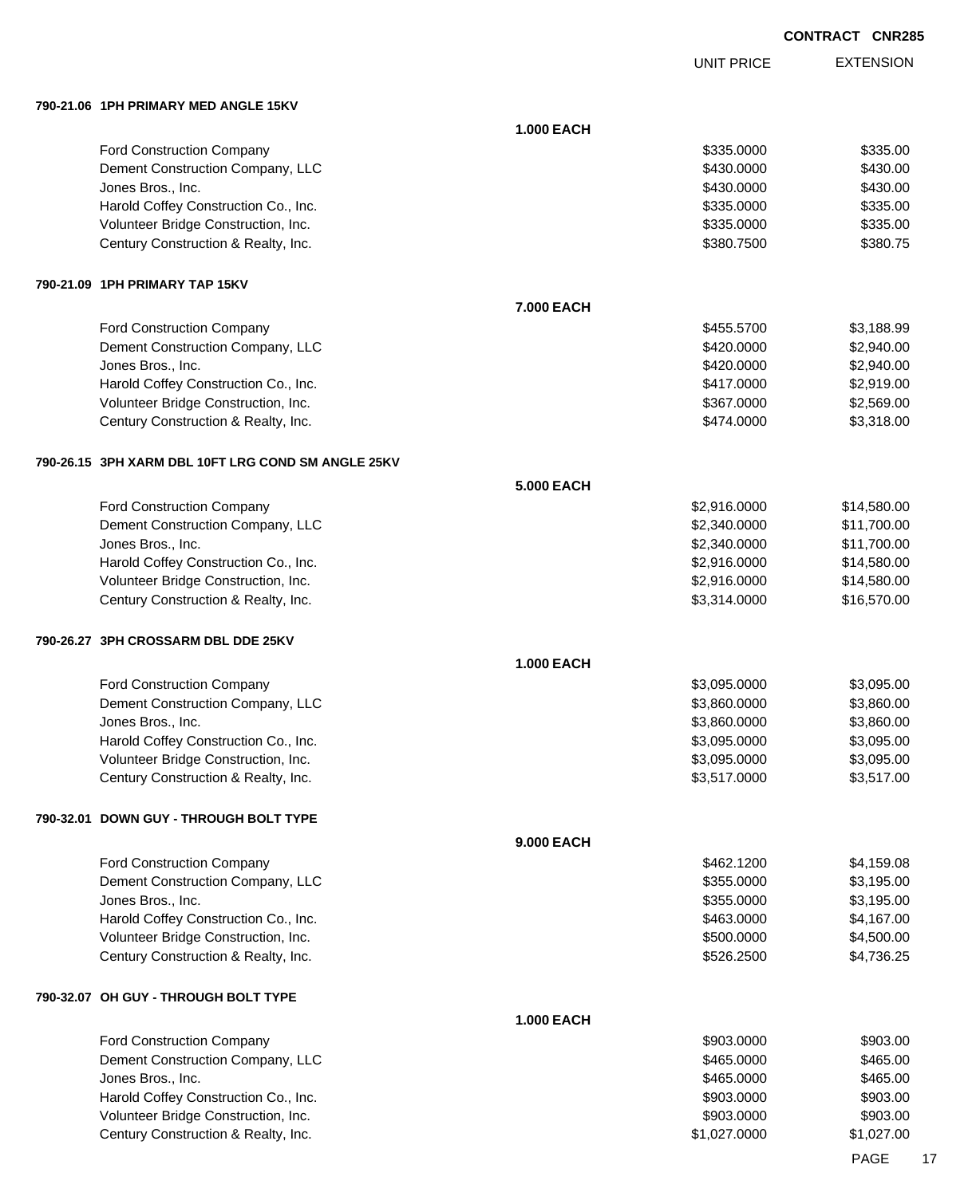UNIT PRICE

EXTENSION

**790-21.06 1PH PRIMARY MED ANGLE 15KV**

|                                                    | <b>1.000 EACH</b> |              |             |
|----------------------------------------------------|-------------------|--------------|-------------|
| Ford Construction Company                          |                   | \$335.0000   | \$335.00    |
| Dement Construction Company, LLC                   |                   | \$430.0000   | \$430.00    |
| Jones Bros., Inc.                                  |                   | \$430.0000   | \$430.00    |
| Harold Coffey Construction Co., Inc.               |                   | \$335.0000   | \$335.00    |
| Volunteer Bridge Construction, Inc.                |                   | \$335.0000   | \$335.00    |
| Century Construction & Realty, Inc.                |                   | \$380.7500   | \$380.75    |
| 790-21.09 1PH PRIMARY TAP 15KV                     |                   |              |             |
|                                                    | 7.000 EACH        |              |             |
| Ford Construction Company                          |                   | \$455.5700   | \$3,188.99  |
| Dement Construction Company, LLC                   |                   | \$420.0000   | \$2,940.00  |
| Jones Bros., Inc.                                  |                   | \$420.0000   | \$2,940.00  |
| Harold Coffey Construction Co., Inc.               |                   | \$417.0000   | \$2,919.00  |
| Volunteer Bridge Construction, Inc.                |                   | \$367.0000   | \$2,569.00  |
| Century Construction & Realty, Inc.                |                   | \$474.0000   | \$3,318.00  |
| 790-26.15 3PH XARM DBL 10FT LRG COND SM ANGLE 25KV |                   |              |             |
|                                                    | <b>5.000 EACH</b> |              |             |
| Ford Construction Company                          |                   | \$2,916.0000 | \$14,580.00 |
| Dement Construction Company, LLC                   |                   | \$2,340.0000 | \$11,700.00 |
| Jones Bros., Inc.                                  |                   | \$2,340.0000 | \$11,700.00 |
| Harold Coffey Construction Co., Inc.               |                   | \$2,916.0000 | \$14,580.00 |
| Volunteer Bridge Construction, Inc.                |                   | \$2,916.0000 | \$14,580.00 |
| Century Construction & Realty, Inc.                |                   | \$3,314.0000 | \$16,570.00 |
| 790-26.27   3PH CROSSARM DBL DDE 25KV              |                   |              |             |
|                                                    | <b>1.000 EACH</b> |              |             |
| Ford Construction Company                          |                   | \$3,095.0000 | \$3,095.00  |
| Dement Construction Company, LLC                   |                   | \$3,860.0000 | \$3,860.00  |
| Jones Bros., Inc.                                  |                   | \$3,860.0000 | \$3,860.00  |
| Harold Coffey Construction Co., Inc.               |                   | \$3,095.0000 | \$3,095.00  |
| Volunteer Bridge Construction, Inc.                |                   | \$3,095.0000 | \$3,095.00  |
| Century Construction & Realty, Inc.                |                   | \$3,517.0000 | \$3,517.00  |
| 790-32.01 DOWN GUY - THROUGH BOLT TYPE             |                   |              |             |
|                                                    | 9.000 EACH        |              |             |
| Ford Construction Company                          |                   | \$462.1200   | \$4,159.08  |
| Dement Construction Company, LLC                   |                   | \$355.0000   | \$3,195.00  |
| Jones Bros., Inc.                                  |                   | \$355.0000   | \$3,195.00  |
| Harold Coffey Construction Co., Inc.               |                   | \$463.0000   | \$4,167.00  |
| Volunteer Bridge Construction, Inc.                |                   | \$500.0000   | \$4,500.00  |
| Century Construction & Realty, Inc.                |                   | \$526.2500   | \$4,736.25  |
| 790-32.07 OH GUY - THROUGH BOLT TYPE               |                   |              |             |
|                                                    | <b>1.000 EACH</b> |              |             |
| Ford Construction Company                          |                   | \$903.0000   | \$903.00    |
| Dement Construction Company, LLC                   |                   | \$465.0000   | \$465.00    |
| Jones Bros., Inc.                                  |                   | \$465.0000   | \$465.00    |
| Harold Coffey Construction Co., Inc.               |                   | \$903.0000   | \$903.00    |
| Volunteer Bridge Construction, Inc.                |                   | \$903.0000   | \$903.00    |
| Century Construction & Realty, Inc.                |                   | \$1,027.0000 | \$1,027.00  |
|                                                    |                   |              |             |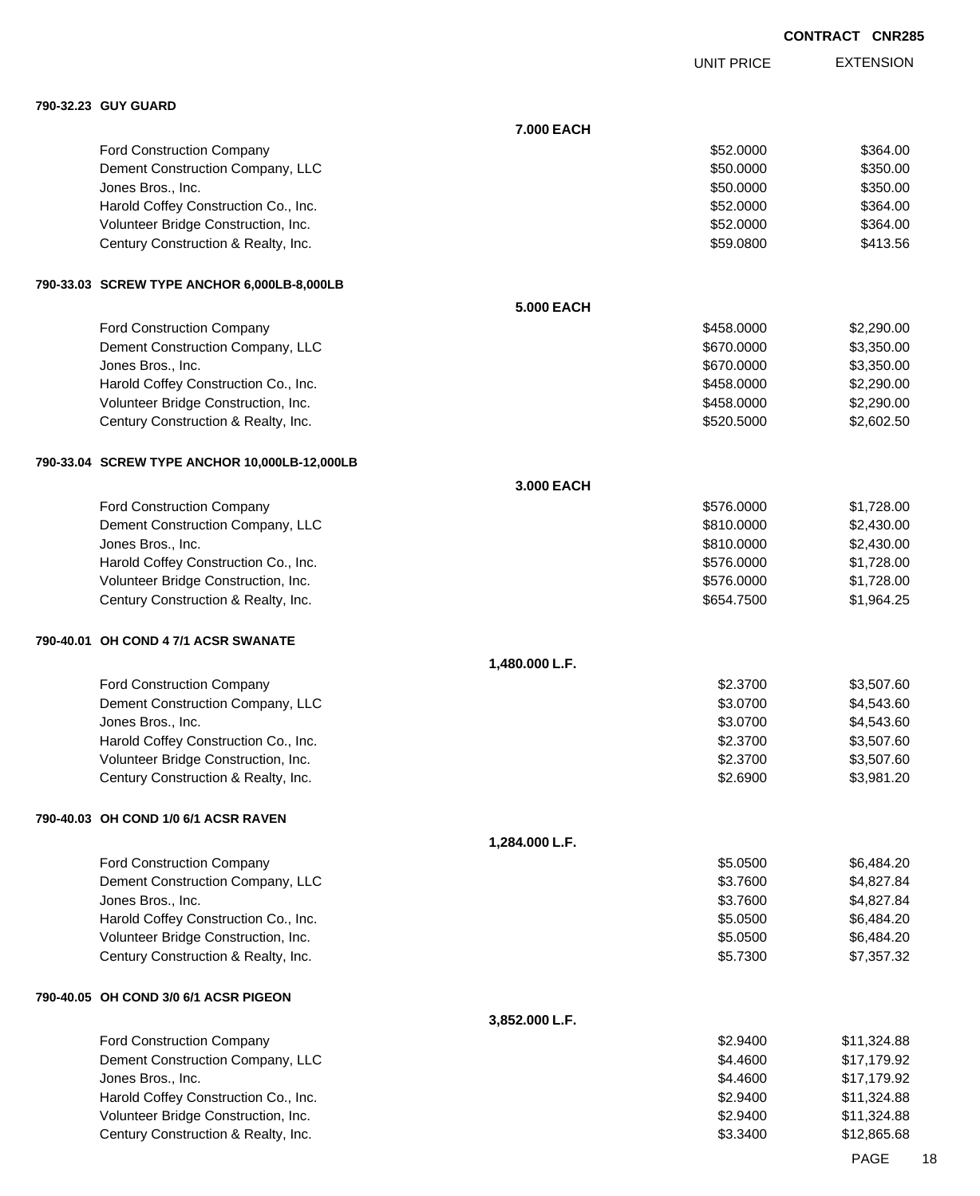UNIT PRICE

EXTENSION

| 790-32.23 GUY GUARD                           |                   |            |             |
|-----------------------------------------------|-------------------|------------|-------------|
|                                               | 7.000 EACH        |            |             |
| Ford Construction Company                     |                   | \$52,0000  | \$364.00    |
| Dement Construction Company, LLC              |                   | \$50.0000  | \$350.00    |
| Jones Bros., Inc.                             |                   | \$50.0000  | \$350.00    |
| Harold Coffey Construction Co., Inc.          |                   | \$52.0000  | \$364.00    |
| Volunteer Bridge Construction, Inc.           |                   | \$52.0000  | \$364.00    |
| Century Construction & Realty, Inc.           |                   | \$59.0800  | \$413.56    |
| 790-33.03 SCREW TYPE ANCHOR 6,000LB-8,000LB   |                   |            |             |
|                                               | <b>5.000 EACH</b> |            |             |
| Ford Construction Company                     |                   | \$458.0000 | \$2,290.00  |
| Dement Construction Company, LLC              |                   | \$670.0000 | \$3,350.00  |
| Jones Bros., Inc.                             |                   | \$670.0000 | \$3,350.00  |
| Harold Coffey Construction Co., Inc.          |                   | \$458.0000 | \$2,290.00  |
| Volunteer Bridge Construction, Inc.           |                   | \$458.0000 | \$2,290.00  |
| Century Construction & Realty, Inc.           |                   | \$520.5000 | \$2,602.50  |
| 790-33.04 SCREW TYPE ANCHOR 10,000LB-12,000LB |                   |            |             |
|                                               | 3.000 EACH        |            |             |
| Ford Construction Company                     |                   | \$576.0000 | \$1,728.00  |
| Dement Construction Company, LLC              |                   | \$810.0000 | \$2,430.00  |
| Jones Bros., Inc.                             |                   | \$810.0000 | \$2,430.00  |
| Harold Coffey Construction Co., Inc.          |                   | \$576.0000 | \$1,728.00  |
| Volunteer Bridge Construction, Inc.           |                   | \$576.0000 | \$1,728.00  |
| Century Construction & Realty, Inc.           |                   | \$654.7500 | \$1,964.25  |
| 790-40.01 OH COND 4 7/1 ACSR SWANATE          |                   |            |             |
|                                               | 1,480.000 L.F.    |            |             |
| Ford Construction Company                     |                   | \$2.3700   | \$3,507.60  |
| Dement Construction Company, LLC              |                   | \$3.0700   | \$4,543.60  |
| Jones Bros., Inc.                             |                   | \$3.0700   | \$4,543.60  |
| Harold Coffey Construction Co., Inc.          |                   | \$2.3700   | \$3,507.60  |
| Volunteer Bridge Construction, Inc.           |                   | \$2.3700   | \$3,507.60  |
| Century Construction & Realty, Inc.           |                   | \$2.6900   | \$3,981.20  |
| 790-40.03 OH COND 1/0 6/1 ACSR RAVEN          |                   |            |             |
|                                               | 1,284.000 L.F.    |            |             |
| Ford Construction Company                     |                   | \$5.0500   | \$6,484.20  |
| Dement Construction Company, LLC              |                   | \$3.7600   | \$4,827.84  |
| Jones Bros., Inc.                             |                   | \$3.7600   | \$4,827.84  |
| Harold Coffey Construction Co., Inc.          |                   | \$5.0500   | \$6,484.20  |
| Volunteer Bridge Construction, Inc.           |                   | \$5.0500   | \$6,484.20  |
| Century Construction & Realty, Inc.           |                   | \$5.7300   | \$7,357.32  |
| 790-40.05 OH COND 3/0 6/1 ACSR PIGEON         |                   |            |             |
|                                               | 3,852.000 L.F.    |            |             |
| Ford Construction Company                     |                   | \$2.9400   | \$11,324.88 |
| Dement Construction Company, LLC              |                   | \$4.4600   | \$17,179.92 |
| Jones Bros., Inc.                             |                   | \$4.4600   | \$17,179.92 |
| Harold Coffey Construction Co., Inc.          |                   | \$2.9400   | \$11,324.88 |
| Volunteer Bridge Construction, Inc.           |                   | \$2.9400   | \$11,324.88 |
| Century Construction & Realty, Inc.           |                   | \$3.3400   | \$12,865.68 |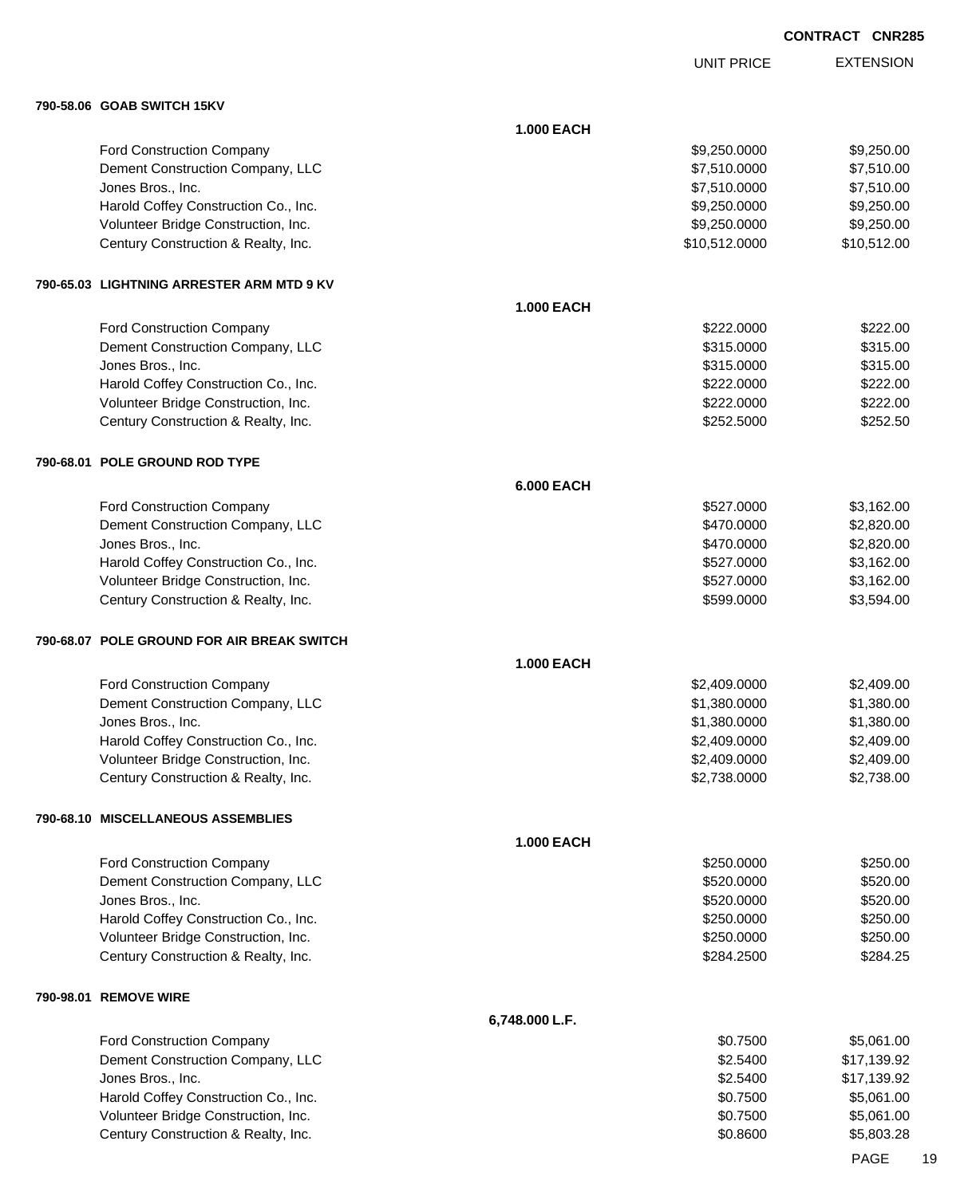UNIT PRICE

EXTENSION

|           | 790-58.06 GOAB SWITCH 15KV                 |                   |               |             |
|-----------|--------------------------------------------|-------------------|---------------|-------------|
|           |                                            | <b>1.000 EACH</b> |               |             |
|           | Ford Construction Company                  |                   | \$9,250.0000  | \$9,250.00  |
|           | Dement Construction Company, LLC           |                   | \$7,510.0000  | \$7,510.00  |
|           | Jones Bros., Inc.                          |                   | \$7,510.0000  | \$7,510.00  |
|           | Harold Coffey Construction Co., Inc.       |                   | \$9,250.0000  | \$9,250.00  |
|           | Volunteer Bridge Construction, Inc.        |                   | \$9,250.0000  | \$9,250.00  |
|           | Century Construction & Realty, Inc.        |                   | \$10,512.0000 | \$10,512.00 |
|           | 790-65.03 LIGHTNING ARRESTER ARM MTD 9 KV  |                   |               |             |
|           |                                            | <b>1.000 EACH</b> |               |             |
|           | Ford Construction Company                  |                   | \$222.0000    | \$222.00    |
|           | Dement Construction Company, LLC           |                   | \$315.0000    | \$315.00    |
|           | Jones Bros., Inc.                          |                   | \$315.0000    | \$315.00    |
|           | Harold Coffey Construction Co., Inc.       |                   | \$222.0000    | \$222.00    |
|           | Volunteer Bridge Construction, Inc.        |                   | \$222.0000    | \$222.00    |
|           | Century Construction & Realty, Inc.        |                   | \$252.5000    | \$252.50    |
|           | 790-68.01 POLE GROUND ROD TYPE             |                   |               |             |
|           |                                            | <b>6.000 EACH</b> |               |             |
|           | Ford Construction Company                  |                   | \$527.0000    | \$3,162.00  |
|           | Dement Construction Company, LLC           |                   | \$470.0000    | \$2,820.00  |
|           | Jones Bros., Inc.                          |                   | \$470.0000    | \$2,820.00  |
|           | Harold Coffey Construction Co., Inc.       |                   | \$527.0000    | \$3,162.00  |
|           | Volunteer Bridge Construction, Inc.        |                   | \$527.0000    | \$3,162.00  |
|           | Century Construction & Realty, Inc.        |                   | \$599.0000    | \$3,594.00  |
|           | 790-68.07 POLE GROUND FOR AIR BREAK SWITCH |                   |               |             |
|           |                                            | <b>1.000 EACH</b> |               |             |
|           | Ford Construction Company                  |                   | \$2,409.0000  | \$2,409.00  |
|           | Dement Construction Company, LLC           |                   | \$1,380.0000  | \$1,380.00  |
|           | Jones Bros., Inc.                          |                   | \$1,380.0000  | \$1,380.00  |
|           | Harold Coffey Construction Co., Inc.       |                   | \$2,409.0000  | \$2,409.00  |
|           | Volunteer Bridge Construction, Inc.        |                   | \$2,409.0000  | \$2,409.00  |
|           | Century Construction & Realty, Inc.        |                   | \$2,738.0000  | \$2,738.00  |
|           | <b>790-68.10 MISCELLANEOUS ASSEMBLIES</b>  |                   |               |             |
|           |                                            | <b>1.000 EACH</b> |               |             |
|           | Ford Construction Company                  |                   | \$250.0000    | \$250.00    |
|           | Dement Construction Company, LLC           |                   | \$520.0000    | \$520.00    |
|           | Jones Bros., Inc.                          |                   | \$520.0000    | \$520.00    |
|           | Harold Coffey Construction Co., Inc.       |                   | \$250.0000    | \$250.00    |
|           | Volunteer Bridge Construction, Inc.        |                   | \$250.0000    | \$250.00    |
|           | Century Construction & Realty, Inc.        |                   | \$284.2500    | \$284.25    |
| 790-98.01 | <b>REMOVE WIRE</b>                         |                   |               |             |
|           |                                            | 6,748.000 L.F.    |               |             |
|           | Ford Construction Company                  |                   | \$0.7500      | \$5,061.00  |
|           | Dement Construction Company, LLC           |                   | \$2.5400      | \$17,139.92 |
|           | Jones Bros., Inc.                          |                   | \$2.5400      | \$17,139.92 |
|           | Harold Coffey Construction Co., Inc.       |                   | \$0.7500      | \$5,061.00  |
|           | Volunteer Bridge Construction, Inc.        |                   | \$0.7500      | \$5,061.00  |
|           | Century Construction & Realty, Inc.        |                   | \$0.8600      | \$5,803.28  |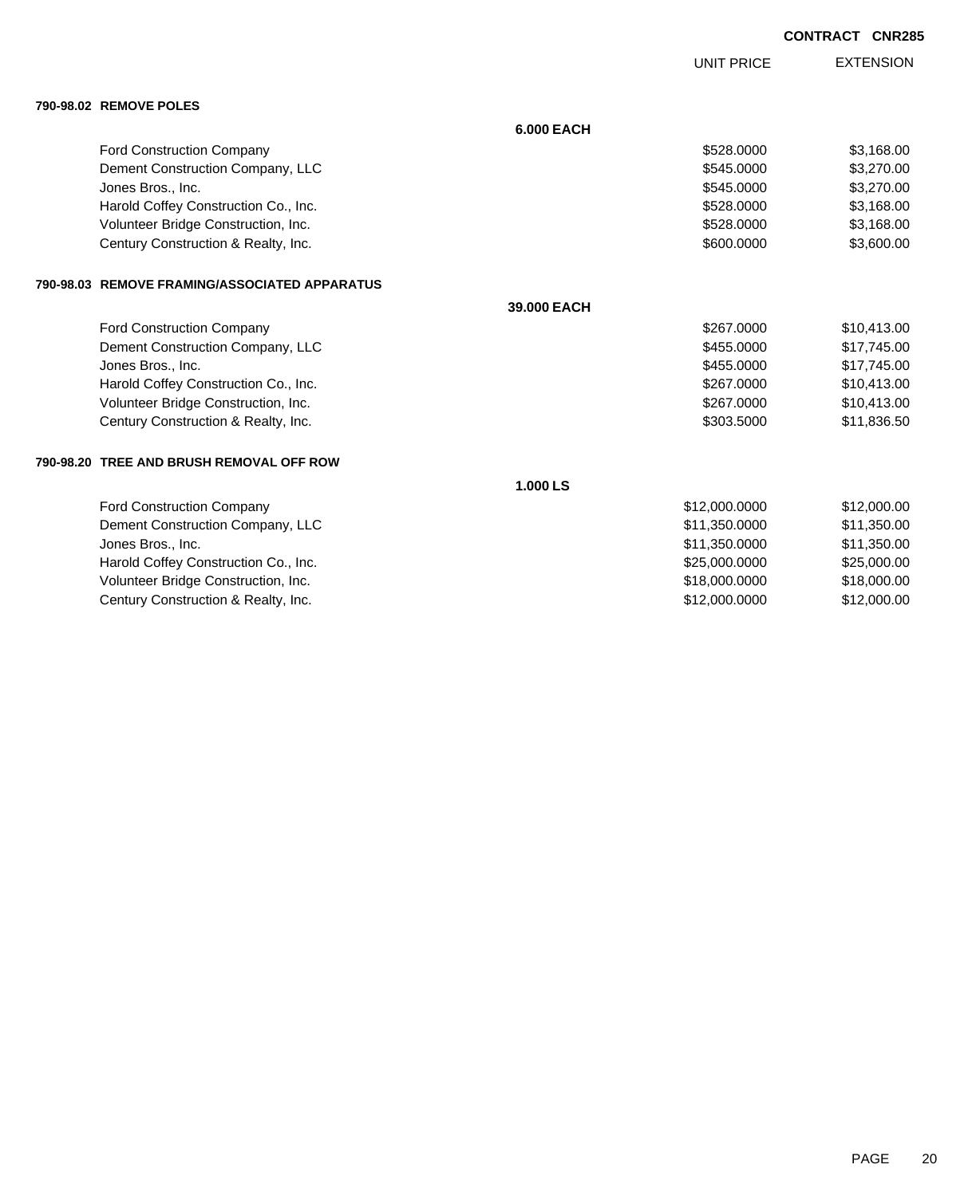UNIT PRICE

EXTENSION

**790-98.02 REMOVE POLES**

|  | <b>SU-SOIDE INLINIOVE I OLLO</b>              |                   |               |             |
|--|-----------------------------------------------|-------------------|---------------|-------------|
|  |                                               | <b>6.000 EACH</b> |               |             |
|  | <b>Ford Construction Company</b>              |                   | \$528,0000    | \$3,168.00  |
|  | Dement Construction Company, LLC              |                   | \$545,0000    | \$3,270.00  |
|  | Jones Bros., Inc.                             |                   | \$545.0000    | \$3,270.00  |
|  | Harold Coffey Construction Co., Inc.          |                   | \$528,0000    | \$3,168.00  |
|  | Volunteer Bridge Construction, Inc.           |                   | \$528.0000    | \$3,168.00  |
|  | Century Construction & Realty, Inc.           |                   | \$600.0000    | \$3,600.00  |
|  | 790-98.03 REMOVE FRAMING/ASSOCIATED APPARATUS |                   |               |             |
|  |                                               | 39,000 EACH       |               |             |
|  | Ford Construction Company                     |                   | \$267,0000    | \$10,413.00 |
|  | Dement Construction Company, LLC              |                   | \$455,0000    | \$17,745.00 |
|  | Jones Bros., Inc.                             |                   | \$455.0000    | \$17,745.00 |
|  | Harold Coffey Construction Co., Inc.          |                   | \$267.0000    | \$10,413.00 |
|  | Volunteer Bridge Construction, Inc.           |                   | \$267,0000    | \$10,413.00 |
|  | Century Construction & Realty, Inc.           |                   | \$303,5000    | \$11,836.50 |
|  | 790-98.20   TREE AND BRUSH REMOVAL OFF ROW    |                   |               |             |
|  |                                               | 1.000 LS          |               |             |
|  | <b>Ford Construction Company</b>              |                   | \$12,000.0000 | \$12,000.00 |
|  | Dement Construction Company, LLC              |                   | \$11,350.0000 | \$11,350.00 |
|  | Jones Bros., Inc.                             |                   | \$11,350.0000 | \$11,350.00 |
|  | Harold Coffey Construction Co., Inc.          |                   | \$25,000.0000 | \$25,000.00 |
|  | Volunteer Bridge Construction, Inc.           |                   | \$18,000.0000 | \$18,000.00 |
|  | Century Construction & Realty, Inc.           |                   | \$12,000.0000 | \$12,000.00 |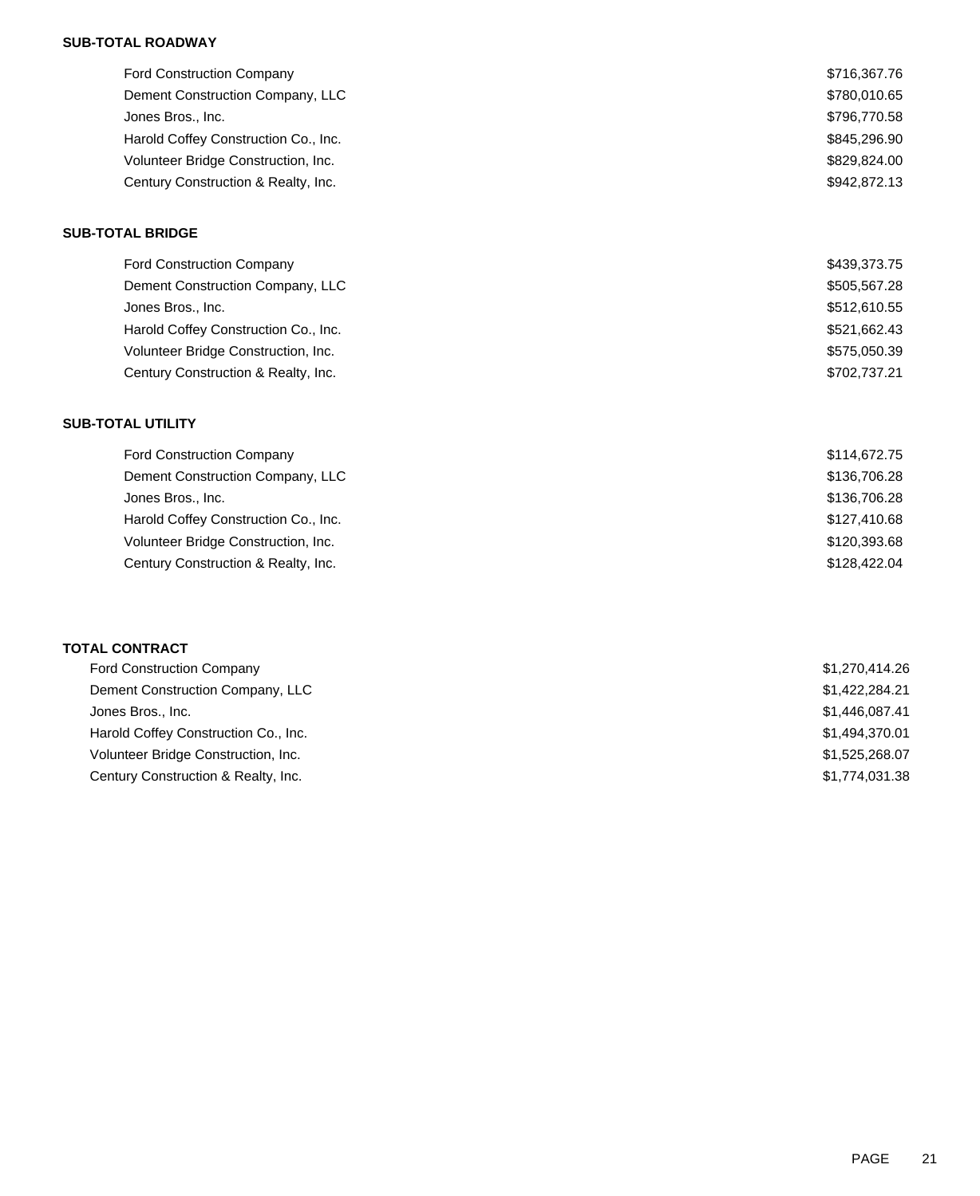## **SUB-TOTAL ROADWAY**

| <b>Ford Construction Company</b>     | \$716,367.76 |
|--------------------------------------|--------------|
| Dement Construction Company, LLC     | \$780,010.65 |
| Jones Bros., Inc.                    | \$796,770.58 |
| Harold Coffey Construction Co., Inc. | \$845,296.90 |
| Volunteer Bridge Construction, Inc.  | \$829,824.00 |
| Century Construction & Realty, Inc.  | \$942,872.13 |
|                                      |              |

## **SUB-TOTAL BRIDGE**

| <b>Ford Construction Company</b>     | \$439,373.75 |
|--------------------------------------|--------------|
| Dement Construction Company, LLC     | \$505,567.28 |
| Jones Bros., Inc.                    | \$512,610.55 |
| Harold Coffey Construction Co., Inc. | \$521,662.43 |
| Volunteer Bridge Construction, Inc.  | \$575,050.39 |
| Century Construction & Realty, Inc.  | \$702,737.21 |

## **SUB-TOTAL UTILITY**

| <b>Ford Construction Company</b>     | \$114,672.75 |
|--------------------------------------|--------------|
| Dement Construction Company, LLC     | \$136,706.28 |
| Jones Bros., Inc.                    | \$136,706.28 |
| Harold Coffey Construction Co., Inc. | \$127,410.68 |
| Volunteer Bridge Construction, Inc.  | \$120,393.68 |
| Century Construction & Realty, Inc.  | \$128,422.04 |
|                                      |              |

| <b>Ford Construction Company</b>     | \$1,270,414.26 |
|--------------------------------------|----------------|
| Dement Construction Company, LLC     | \$1,422,284.21 |
| Jones Bros., Inc.                    | \$1,446,087.41 |
| Harold Coffey Construction Co., Inc. | \$1,494,370.01 |
| Volunteer Bridge Construction, Inc.  | \$1,525,268.07 |
| Century Construction & Realty, Inc.  | \$1,774,031.38 |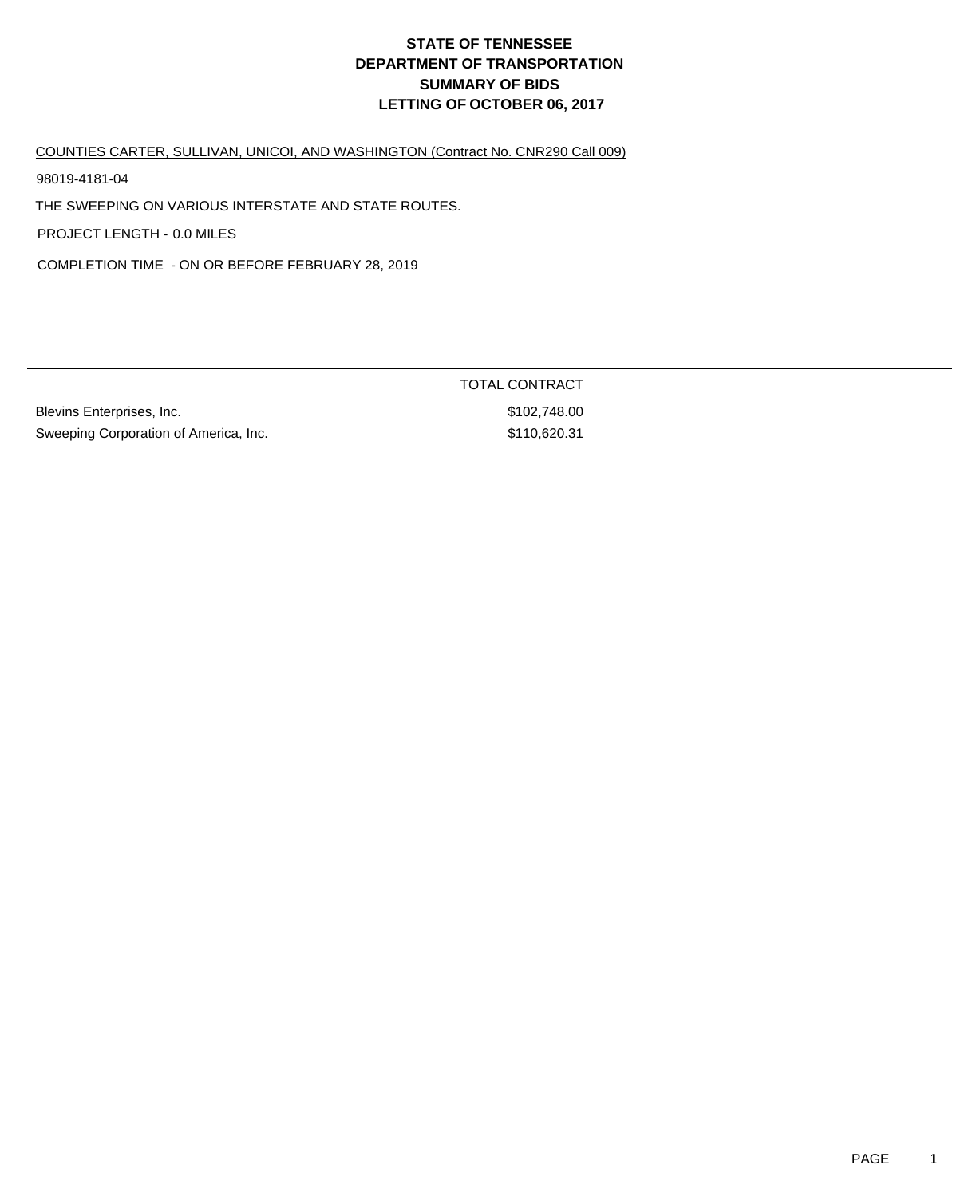COUNTIES CARTER, SULLIVAN, UNICOI, AND WASHINGTON (Contract No. CNR290 Call 009)

98019-4181-04

THE SWEEPING ON VARIOUS INTERSTATE AND STATE ROUTES.

PROJECT LENGTH - 0.0 MILES

COMPLETION TIME - ON OR BEFORE FEBRUARY 28, 2019

Blevins Enterprises, Inc. 6. The Second Studies of the Second Studies of Studies and Studies Studies Studies S Sweeping Corporation of America, Inc. 63110,620.31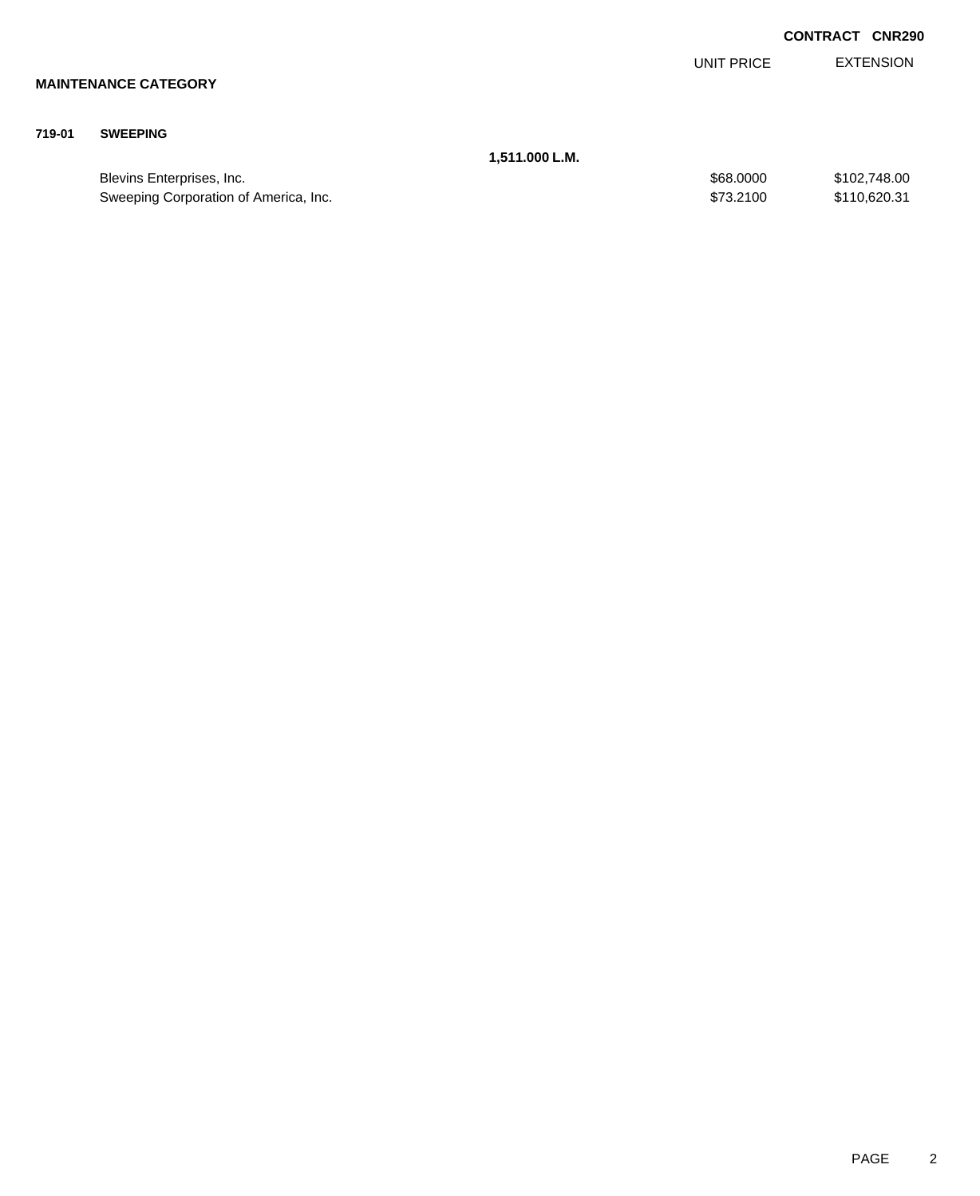|        |                                       |                |            | <b>CONTRACT</b> | <b>CNR290</b>    |
|--------|---------------------------------------|----------------|------------|-----------------|------------------|
|        |                                       |                | UNIT PRICE |                 | <b>EXTENSION</b> |
|        | <b>MAINTENANCE CATEGORY</b>           |                |            |                 |                  |
| 719-01 | <b>SWEEPING</b>                       |                |            |                 |                  |
|        |                                       | 1,511.000 L.M. |            |                 |                  |
|        | Blevins Enterprises, Inc.             |                | \$68.0000  |                 | \$102,748.00     |
|        | Sweeping Corporation of America, Inc. |                | \$73.2100  |                 | \$110,620.31     |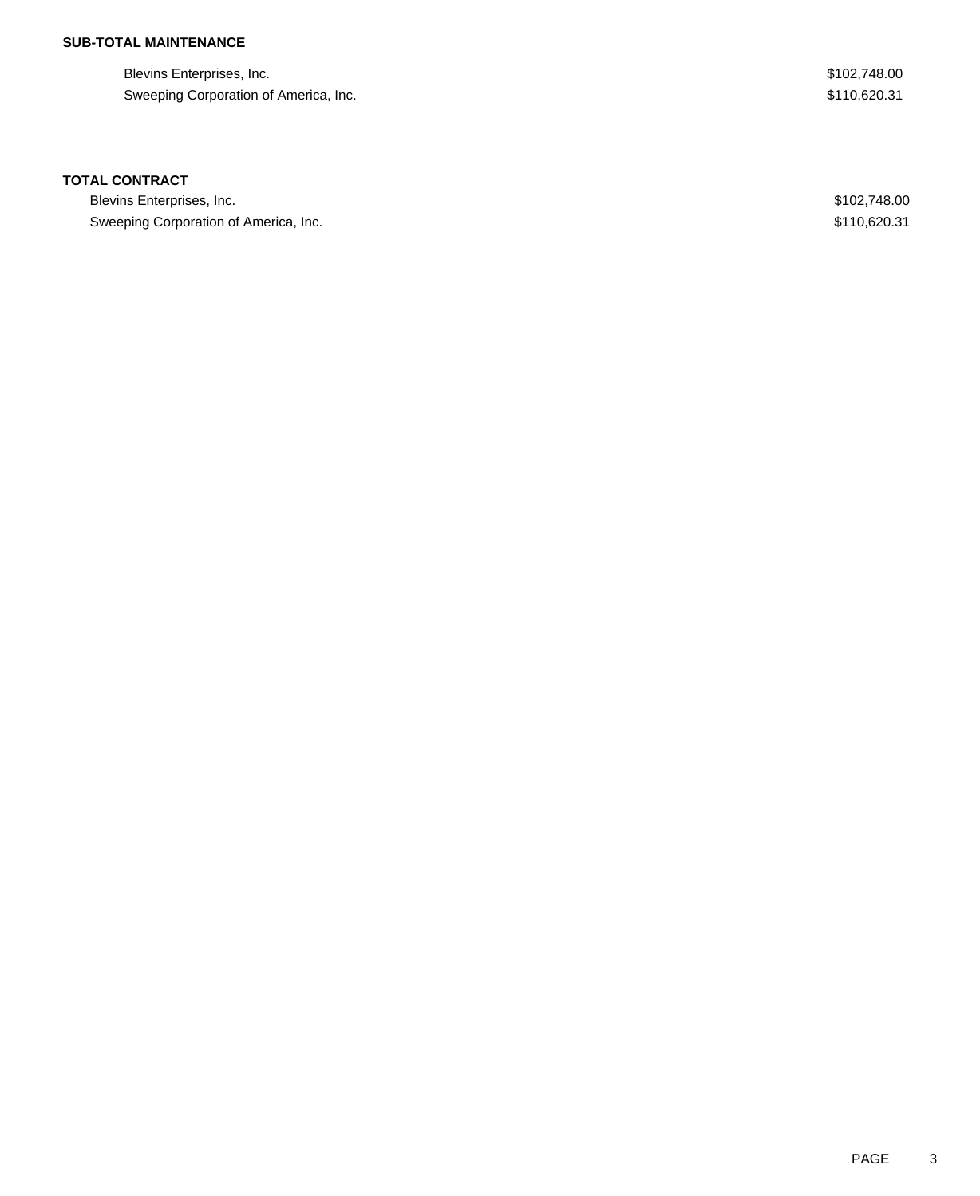## **SUB-TOTAL MAINTENANCE**

| Blevins Enterprises, Inc.             |  |
|---------------------------------------|--|
| Sweeping Corporation of America, Inc. |  |

 $$102,748.00$  $$110,620.31$ 

#### **TOTAL CONTRACT**

Blevins Enterprises, Inc. \$102,748.00 Sweeping Corporation of America, Inc. 63. The State of America, Inc. \$110,620.31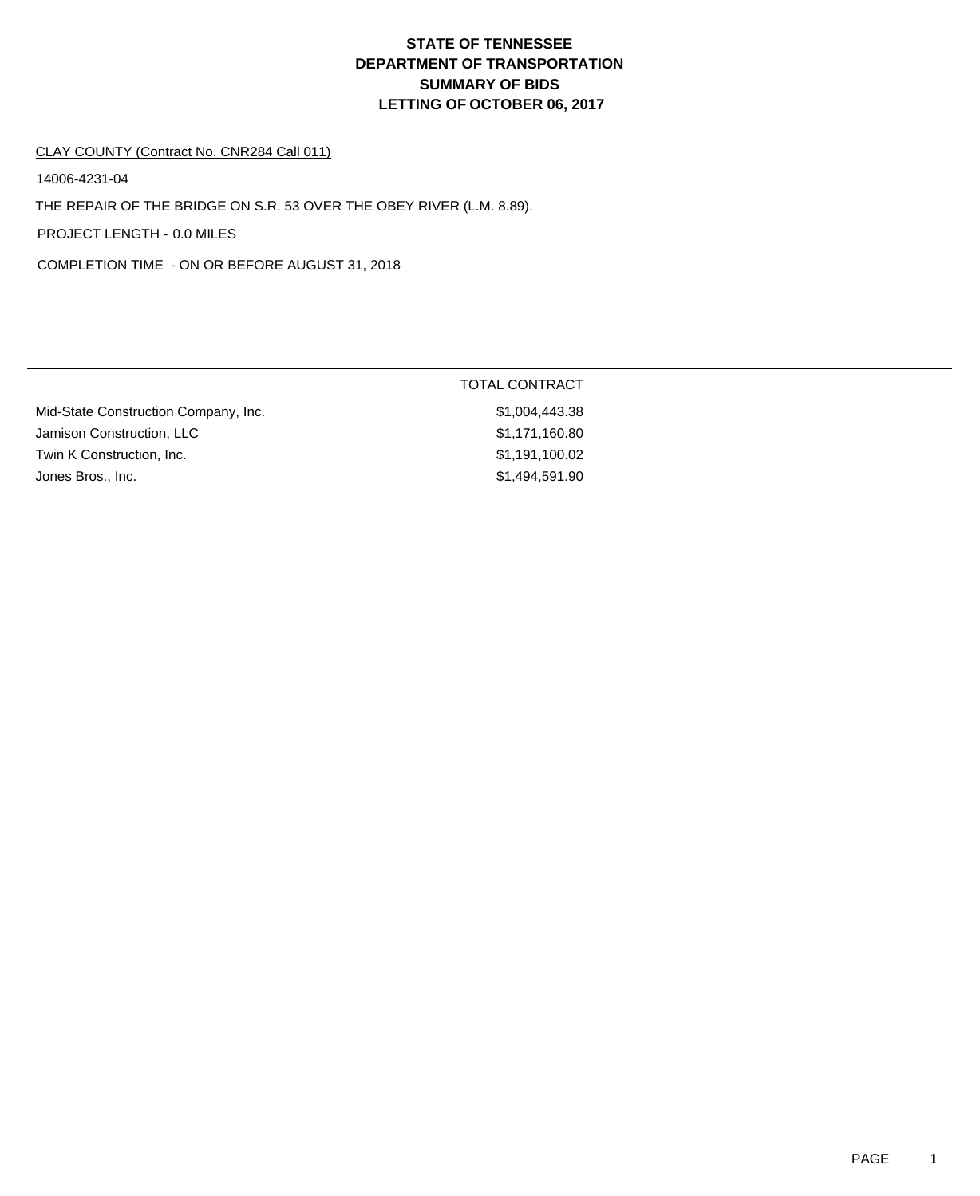#### CLAY COUNTY (Contract No. CNR284 Call 011)

14006-4231-04

THE REPAIR OF THE BRIDGE ON S.R. 53 OVER THE OBEY RIVER (L.M. 8.89).

PROJECT LENGTH - 0.0 MILES

COMPLETION TIME - ON OR BEFORE AUGUST 31, 2018

|                                      | TOTAL CONTRACT |
|--------------------------------------|----------------|
| Mid-State Construction Company, Inc. | \$1,004,443.38 |
| Jamison Construction, LLC            | \$1,171,160.80 |
| Twin K Construction, Inc.            | \$1,191,100.02 |
| Jones Bros., Inc.                    | \$1,494,591.90 |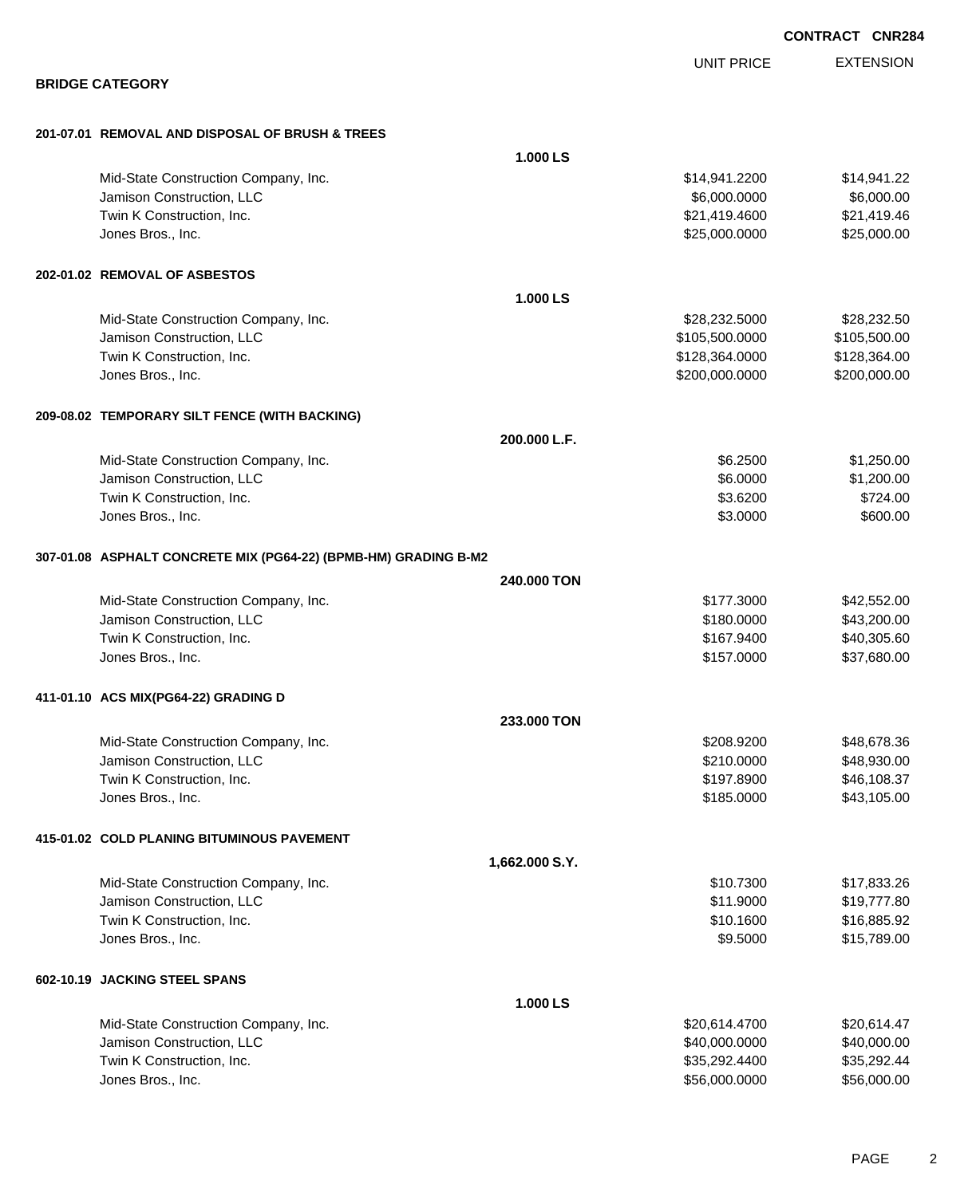|                                                                 |                |                   | <b>CONTRACT CNR284</b> |                  |
|-----------------------------------------------------------------|----------------|-------------------|------------------------|------------------|
|                                                                 |                | <b>UNIT PRICE</b> |                        | <b>EXTENSION</b> |
| <b>BRIDGE CATEGORY</b>                                          |                |                   |                        |                  |
| 201-07.01 REMOVAL AND DISPOSAL OF BRUSH & TREES                 |                |                   |                        |                  |
|                                                                 | 1.000 LS       |                   |                        |                  |
| Mid-State Construction Company, Inc.                            |                | \$14,941.2200     |                        | \$14,941.22      |
| Jamison Construction, LLC                                       |                | \$6,000.0000      |                        | \$6,000.00       |
| Twin K Construction, Inc.                                       |                | \$21,419.4600     |                        | \$21,419.46      |
| Jones Bros., Inc.                                               |                | \$25,000.0000     |                        | \$25,000.00      |
| 202-01.02 REMOVAL OF ASBESTOS                                   |                |                   |                        |                  |
|                                                                 | 1.000 LS       |                   |                        |                  |
| Mid-State Construction Company, Inc.                            |                | \$28,232.5000     |                        | \$28,232.50      |
| Jamison Construction, LLC                                       |                | \$105,500.0000    |                        | \$105,500.00     |
| Twin K Construction, Inc.                                       |                | \$128,364.0000    |                        | \$128,364.00     |
| Jones Bros., Inc.                                               |                | \$200,000.0000    |                        | \$200,000.00     |
| 209-08.02 TEMPORARY SILT FENCE (WITH BACKING)                   |                |                   |                        |                  |
|                                                                 | 200.000 L.F.   |                   |                        |                  |
| Mid-State Construction Company, Inc.                            |                | \$6.2500          |                        | \$1,250.00       |
| Jamison Construction, LLC                                       |                | \$6.0000          |                        | \$1,200.00       |
| Twin K Construction, Inc.                                       |                | \$3.6200          |                        | \$724.00         |
| Jones Bros., Inc.                                               |                | \$3.0000          |                        | \$600.00         |
| 307-01.08 ASPHALT CONCRETE MIX (PG64-22) (BPMB-HM) GRADING B-M2 |                |                   |                        |                  |
|                                                                 | 240,000 TON    |                   |                        |                  |
| Mid-State Construction Company, Inc.                            |                | \$177.3000        |                        | \$42,552.00      |
| Jamison Construction, LLC                                       |                | \$180.0000        |                        | \$43,200.00      |
| Twin K Construction, Inc.                                       |                | \$167.9400        |                        | \$40,305.60      |
| Jones Bros., Inc.                                               |                | \$157.0000        |                        | \$37,680.00      |
| 411-01.10 ACS MIX(PG64-22) GRADING D                            |                |                   |                        |                  |
|                                                                 | 233.000 TON    |                   |                        |                  |
| Mid-State Construction Company, Inc.                            |                | \$208.9200        |                        | \$48,678.36      |
| Jamison Construction, LLC                                       |                | \$210.0000        |                        | \$48,930.00      |
| Twin K Construction, Inc.                                       |                | \$197.8900        |                        | \$46,108.37      |
| Jones Bros., Inc.                                               |                | \$185.0000        |                        | \$43,105.00      |
| 415-01.02 COLD PLANING BITUMINOUS PAVEMENT                      |                |                   |                        |                  |
|                                                                 | 1,662.000 S.Y. |                   |                        |                  |
| Mid-State Construction Company, Inc.                            |                | \$10.7300         |                        | \$17,833.26      |
| Jamison Construction, LLC                                       |                | \$11.9000         |                        | \$19,777.80      |
| Twin K Construction, Inc.                                       |                | \$10.1600         |                        | \$16,885.92      |
| Jones Bros., Inc.                                               |                | \$9.5000          |                        | \$15,789.00      |
| 602-10.19 JACKING STEEL SPANS                                   |                |                   |                        |                  |
|                                                                 | 1.000 LS       |                   |                        |                  |
| Mid-State Construction Company, Inc.                            |                | \$20,614.4700     |                        | \$20,614.47      |
| Jamison Construction, LLC                                       |                | \$40,000.0000     |                        | \$40,000.00      |
| Twin K Construction, Inc.                                       |                | \$35,292.4400     |                        | \$35,292.44      |
| Jones Bros., Inc.                                               |                | \$56,000.0000     |                        | \$56,000.00      |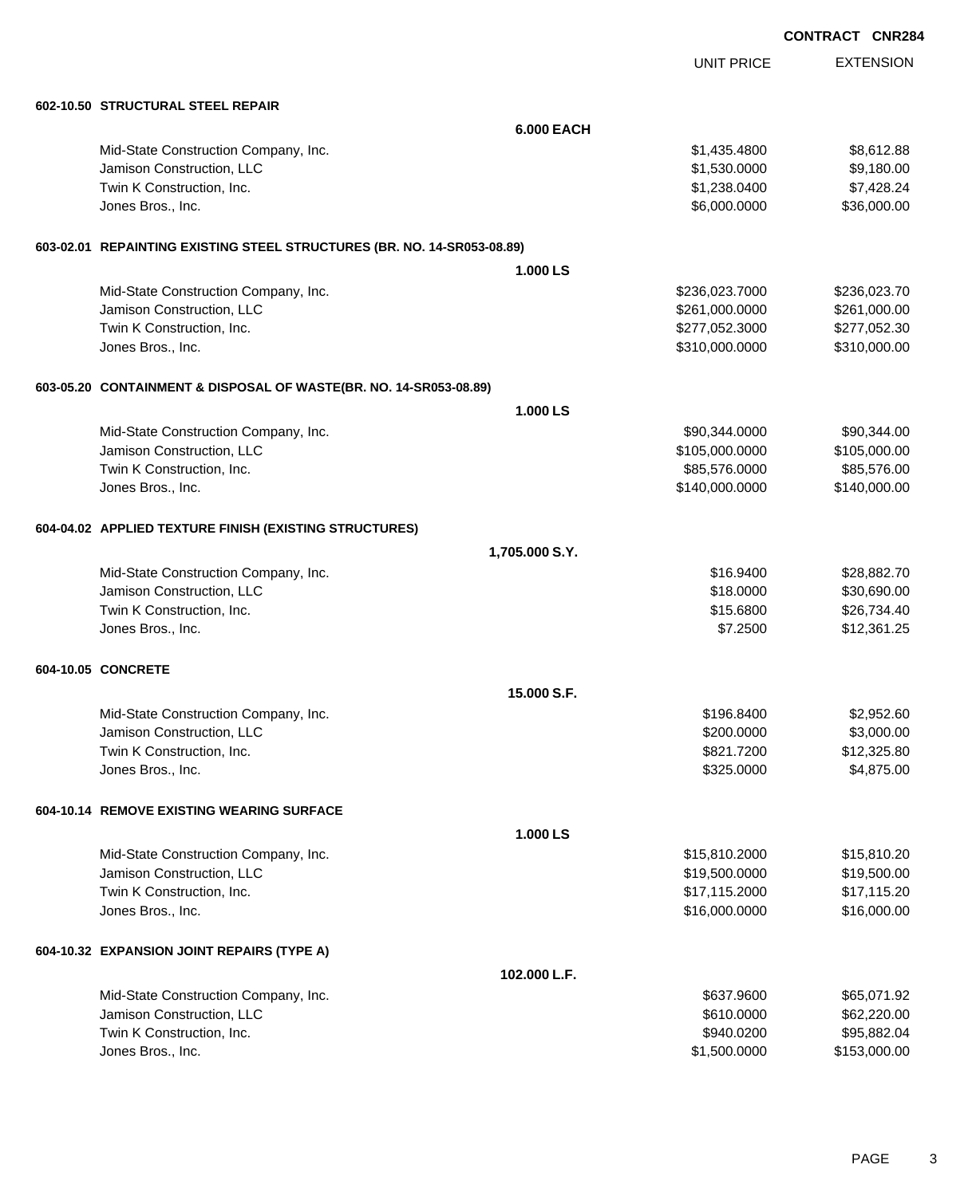|                                                                         |                   |                   | <b>CONTRACT CNR284</b> |
|-------------------------------------------------------------------------|-------------------|-------------------|------------------------|
|                                                                         |                   | <b>UNIT PRICE</b> | <b>EXTENSION</b>       |
| 602-10.50 STRUCTURAL STEEL REPAIR                                       |                   |                   |                        |
|                                                                         | <b>6.000 EACH</b> |                   |                        |
| Mid-State Construction Company, Inc.                                    |                   | \$1,435.4800      | \$8,612.88             |
| Jamison Construction, LLC                                               |                   | \$1,530.0000      | \$9,180.00             |
| Twin K Construction, Inc.                                               |                   | \$1,238.0400      | \$7,428.24             |
| Jones Bros., Inc.                                                       |                   | \$6,000.0000      | \$36,000.00            |
| 603-02.01 REPAINTING EXISTING STEEL STRUCTURES (BR. NO. 14-SR053-08.89) |                   |                   |                        |
|                                                                         | 1.000 LS          |                   |                        |
| Mid-State Construction Company, Inc.                                    |                   | \$236,023.7000    | \$236,023.70           |
| Jamison Construction, LLC                                               |                   | \$261,000.0000    | \$261,000.00           |
| Twin K Construction, Inc.                                               |                   | \$277,052.3000    | \$277,052.30           |
| Jones Bros., Inc.                                                       |                   | \$310,000.0000    | \$310,000.00           |
| 603-05.20 CONTAINMENT & DISPOSAL OF WASTE(BR. NO. 14-SR053-08.89)       |                   |                   |                        |
|                                                                         | 1.000 LS          |                   |                        |
| Mid-State Construction Company, Inc.                                    |                   | \$90,344.0000     | \$90,344.00            |
| Jamison Construction, LLC                                               |                   | \$105,000.0000    | \$105,000.00           |
| Twin K Construction, Inc.                                               |                   | \$85,576.0000     | \$85,576.00            |
| Jones Bros., Inc.                                                       |                   | \$140,000.0000    | \$140,000.00           |
| 604-04.02 APPLIED TEXTURE FINISH (EXISTING STRUCTURES)                  |                   |                   |                        |
|                                                                         | 1,705.000 S.Y.    |                   |                        |
| Mid-State Construction Company, Inc.                                    |                   | \$16.9400         | \$28,882.70            |
| Jamison Construction, LLC                                               |                   | \$18.0000         | \$30,690.00            |
| Twin K Construction, Inc.                                               |                   | \$15.6800         | \$26,734.40            |
| Jones Bros., Inc.                                                       |                   | \$7.2500          | \$12,361.25            |
| 604-10.05 CONCRETE                                                      |                   |                   |                        |
|                                                                         | 15,000 S.F.       |                   |                        |
| Mid-State Construction Company, Inc.                                    |                   | \$196.8400        | \$2,952.60             |
| Jamison Construction, LLC                                               |                   | \$200.0000        | \$3,000.00             |
| Twin K Construction, Inc.                                               |                   | \$821.7200        | \$12,325.80            |
| Jones Bros., Inc.                                                       |                   | \$325.0000        | \$4,875.00             |
| 604-10.14 REMOVE EXISTING WEARING SURFACE                               |                   |                   |                        |
|                                                                         | 1.000 LS          |                   |                        |
| Mid-State Construction Company, Inc.                                    |                   | \$15,810.2000     | \$15,810.20            |
| Jamison Construction, LLC                                               |                   | \$19,500.0000     | \$19,500.00            |
| Twin K Construction, Inc.                                               |                   | \$17,115.2000     | \$17,115.20            |
| Jones Bros., Inc.                                                       |                   | \$16,000.0000     | \$16,000.00            |
| 604-10.32 EXPANSION JOINT REPAIRS (TYPE A)                              |                   |                   |                        |
|                                                                         | 102.000 L.F.      |                   |                        |
| Mid-State Construction Company, Inc.                                    |                   | \$637.9600        | \$65,071.92            |
| Jamison Construction, LLC                                               |                   | \$610.0000        | \$62,220.00            |
| Twin K Construction, Inc.                                               |                   | \$940.0200        | \$95,882.04            |

dones Bros., Inc. \$153,000.00 \$153,000.00 \$153,000.00 \$153,000.00 \$153,000.00 \$153,000.00 \$153,000.00 \$153,000

PAGE 3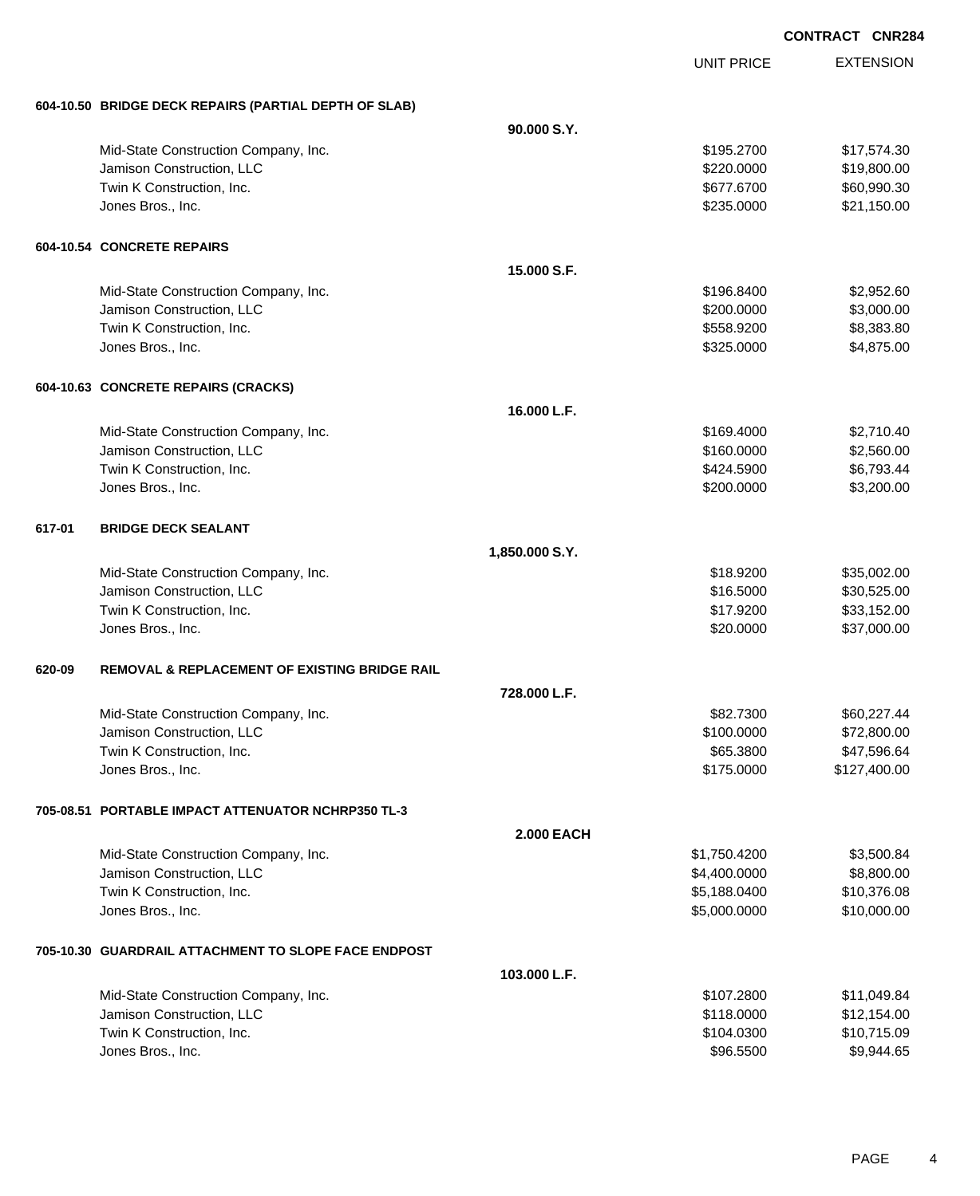|        |                                                          |                   | <b>UNIT PRICE</b> | <b>EXTENSION</b> |
|--------|----------------------------------------------------------|-------------------|-------------------|------------------|
|        | 604-10.50 BRIDGE DECK REPAIRS (PARTIAL DEPTH OF SLAB)    |                   |                   |                  |
|        |                                                          | 90.000 S.Y.       |                   |                  |
|        | Mid-State Construction Company, Inc.                     |                   | \$195.2700        | \$17,574.30      |
|        | Jamison Construction, LLC                                |                   | \$220.0000        | \$19,800.00      |
|        | Twin K Construction, Inc.                                |                   | \$677.6700        | \$60,990.30      |
|        | Jones Bros., Inc.                                        |                   | \$235.0000        | \$21,150.00      |
|        | <b>604-10.54 CONCRETE REPAIRS</b>                        |                   |                   |                  |
|        |                                                          | 15.000 S.F.       |                   |                  |
|        | Mid-State Construction Company, Inc.                     |                   | \$196.8400        | \$2,952.60       |
|        | Jamison Construction, LLC                                |                   | \$200.0000        | \$3,000.00       |
|        | Twin K Construction, Inc.                                |                   | \$558.9200        | \$8,383.80       |
|        | Jones Bros., Inc.                                        |                   | \$325.0000        | \$4,875.00       |
|        | 604-10.63 CONCRETE REPAIRS (CRACKS)                      |                   |                   |                  |
|        |                                                          | 16.000 L.F.       |                   |                  |
|        | Mid-State Construction Company, Inc.                     |                   | \$169.4000        | \$2,710.40       |
|        | Jamison Construction, LLC                                |                   | \$160.0000        | \$2,560.00       |
|        | Twin K Construction, Inc.                                |                   | \$424.5900        | \$6,793.44       |
|        | Jones Bros., Inc.                                        |                   | \$200.0000        | \$3,200.00       |
| 617-01 | <b>BRIDGE DECK SEALANT</b>                               |                   |                   |                  |
|        |                                                          | 1,850.000 S.Y.    |                   |                  |
|        | Mid-State Construction Company, Inc.                     |                   | \$18.9200         | \$35,002.00      |
|        | Jamison Construction, LLC                                |                   | \$16.5000         | \$30,525.00      |
|        | Twin K Construction, Inc.                                |                   | \$17.9200         | \$33,152.00      |
|        | Jones Bros., Inc.                                        |                   | \$20.0000         | \$37,000.00      |
| 620-09 | <b>REMOVAL &amp; REPLACEMENT OF EXISTING BRIDGE RAIL</b> |                   |                   |                  |
|        |                                                          | 728.000 L.F.      |                   |                  |
|        | Mid-State Construction Company, Inc.                     |                   | \$82.7300         | \$60,227.44      |
|        | Jamison Construction, LLC                                |                   | \$100.0000        | \$72,800.00      |
|        | Twin K Construction, Inc.                                |                   | \$65.3800         | \$47,596.64      |
|        | Jones Bros., Inc.                                        |                   | \$175.0000        | \$127,400.00     |
|        | 705-08.51 PORTABLE IMPACT ATTENUATOR NCHRP350 TL-3       |                   |                   |                  |
|        |                                                          | <b>2.000 EACH</b> |                   |                  |
|        | Mid-State Construction Company, Inc.                     |                   | \$1,750.4200      | \$3,500.84       |
|        | Jamison Construction, LLC                                |                   | \$4,400.0000      | \$8,800.00       |
|        | Twin K Construction, Inc.                                |                   | \$5,188.0400      | \$10,376.08      |
|        | Jones Bros., Inc.                                        |                   | \$5,000.0000      | \$10,000.00      |
|        | 705-10.30 GUARDRAIL ATTACHMENT TO SLOPE FACE ENDPOST     |                   |                   |                  |
|        |                                                          | 103.000 L.F.      |                   |                  |
|        | Mid-State Construction Company, Inc.                     |                   | \$107.2800        | \$11,049.84      |
|        | Jamison Construction, LLC                                |                   | \$118.0000        | \$12,154.00      |
|        | Twin K Construction, Inc.                                |                   | \$104.0300        | \$10,715.09      |
|        | Jones Bros., Inc.                                        |                   | \$96.5500         | \$9,944.65       |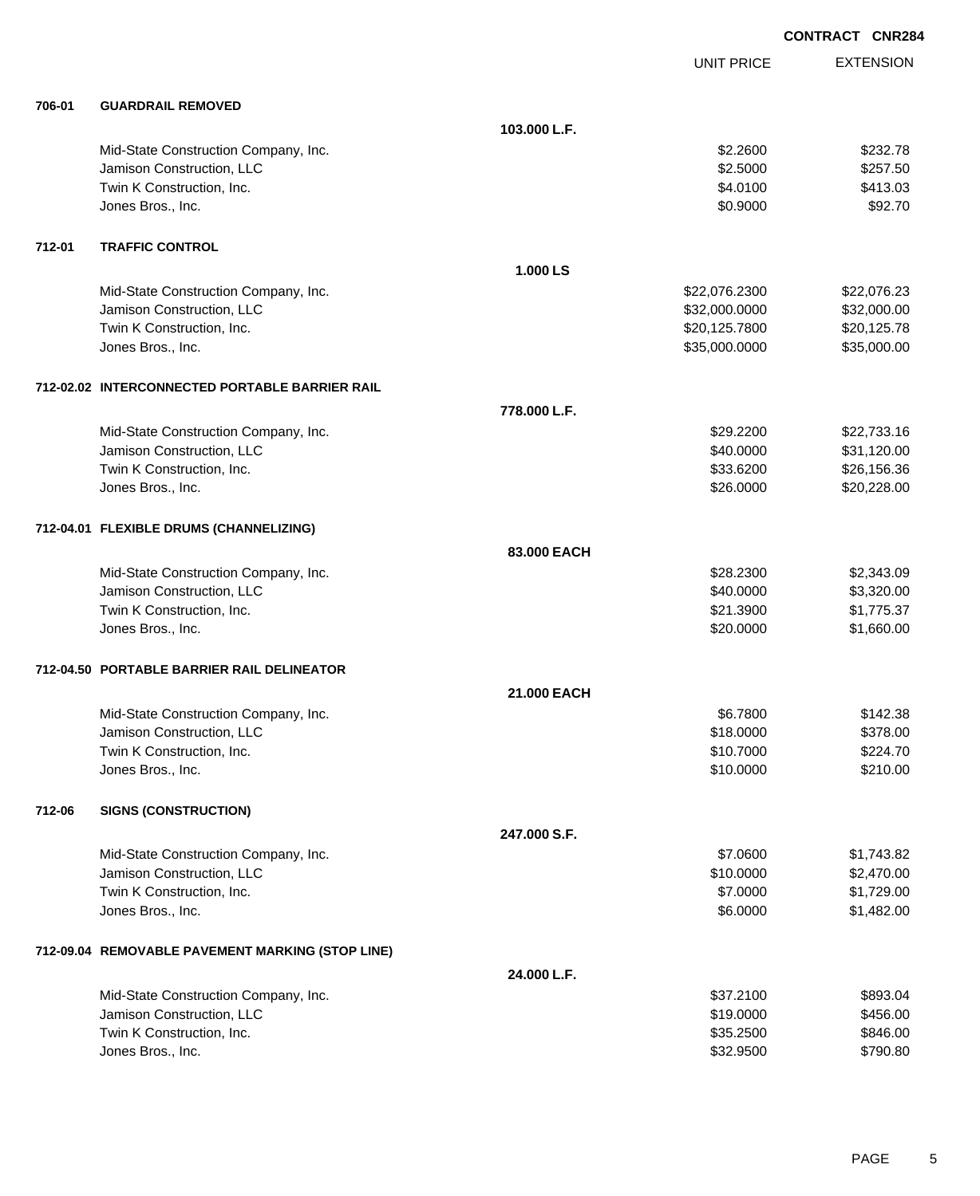|        |                                                  |              |                   | <b>CONTRACT CNR284</b> |
|--------|--------------------------------------------------|--------------|-------------------|------------------------|
|        |                                                  |              | <b>UNIT PRICE</b> | <b>EXTENSION</b>       |
| 706-01 | <b>GUARDRAIL REMOVED</b>                         |              |                   |                        |
|        |                                                  | 103.000 L.F. |                   |                        |
|        | Mid-State Construction Company, Inc.             |              | \$2.2600          | \$232.78               |
|        | Jamison Construction, LLC                        |              | \$2.5000          | \$257.50               |
|        | Twin K Construction, Inc.                        |              | \$4.0100          | \$413.03               |
|        | Jones Bros., Inc.                                |              | \$0.9000          | \$92.70                |
| 712-01 | <b>TRAFFIC CONTROL</b>                           |              |                   |                        |
|        |                                                  | 1.000 LS     |                   |                        |
|        | Mid-State Construction Company, Inc.             |              | \$22,076.2300     | \$22,076.23            |
|        | Jamison Construction, LLC                        |              | \$32,000.0000     | \$32,000.00            |
|        | Twin K Construction, Inc.                        |              | \$20,125.7800     | \$20,125.78            |
|        | Jones Bros., Inc.                                |              | \$35,000.0000     | \$35,000.00            |
|        | 712-02.02 INTERCONNECTED PORTABLE BARRIER RAIL   |              |                   |                        |
|        |                                                  | 778.000 L.F. |                   |                        |
|        | Mid-State Construction Company, Inc.             |              | \$29.2200         | \$22,733.16            |
|        | Jamison Construction, LLC                        |              | \$40.0000         | \$31,120.00            |
|        | Twin K Construction, Inc.                        |              | \$33.6200         | \$26,156.36            |
|        | Jones Bros., Inc.                                |              | \$26.0000         | \$20,228.00            |
|        | 712-04.01 FLEXIBLE DRUMS (CHANNELIZING)          |              |                   |                        |
|        |                                                  | 83.000 EACH  |                   |                        |
|        | Mid-State Construction Company, Inc.             |              | \$28.2300         | \$2,343.09             |
|        | Jamison Construction, LLC                        |              | \$40.0000         | \$3,320.00             |
|        | Twin K Construction, Inc.                        |              | \$21.3900         | \$1,775.37             |
|        | Jones Bros., Inc.                                |              | \$20.0000         | \$1,660.00             |
|        | 712-04.50 PORTABLE BARRIER RAIL DELINEATOR       |              |                   |                        |
|        |                                                  | 21.000 EACH  |                   |                        |
|        | Mid-State Construction Company, Inc.             |              | \$6.7800          | \$142.38               |
|        | Jamison Construction, LLC                        |              | \$18.0000         | \$378.00               |
|        | Twin K Construction, Inc.                        |              | \$10.7000         | \$224.70               |
|        | Jones Bros., Inc.                                |              | \$10.0000         | \$210.00               |
| 712-06 | <b>SIGNS (CONSTRUCTION)</b>                      |              |                   |                        |
|        |                                                  | 247.000 S.F. |                   |                        |
|        | Mid-State Construction Company, Inc.             |              | \$7.0600          | \$1,743.82             |
|        | Jamison Construction, LLC                        |              | \$10.0000         | \$2,470.00             |
|        | Twin K Construction, Inc.                        |              | \$7.0000          | \$1,729.00             |
|        | Jones Bros., Inc.                                |              | \$6.0000          | \$1,482.00             |
|        | 712-09.04 REMOVABLE PAVEMENT MARKING (STOP LINE) |              |                   |                        |
|        |                                                  | 24.000 L.F.  |                   |                        |
|        | Mid-State Construction Company, Inc.             |              | \$37.2100         | \$893.04               |
|        | Jamison Construction, LLC                        |              | \$19.0000         | \$456.00               |
|        | Twin K Construction, Inc.                        |              | \$35.2500         | \$846.00               |
|        | Jones Bros., Inc.                                |              | \$32.9500         | \$790.80               |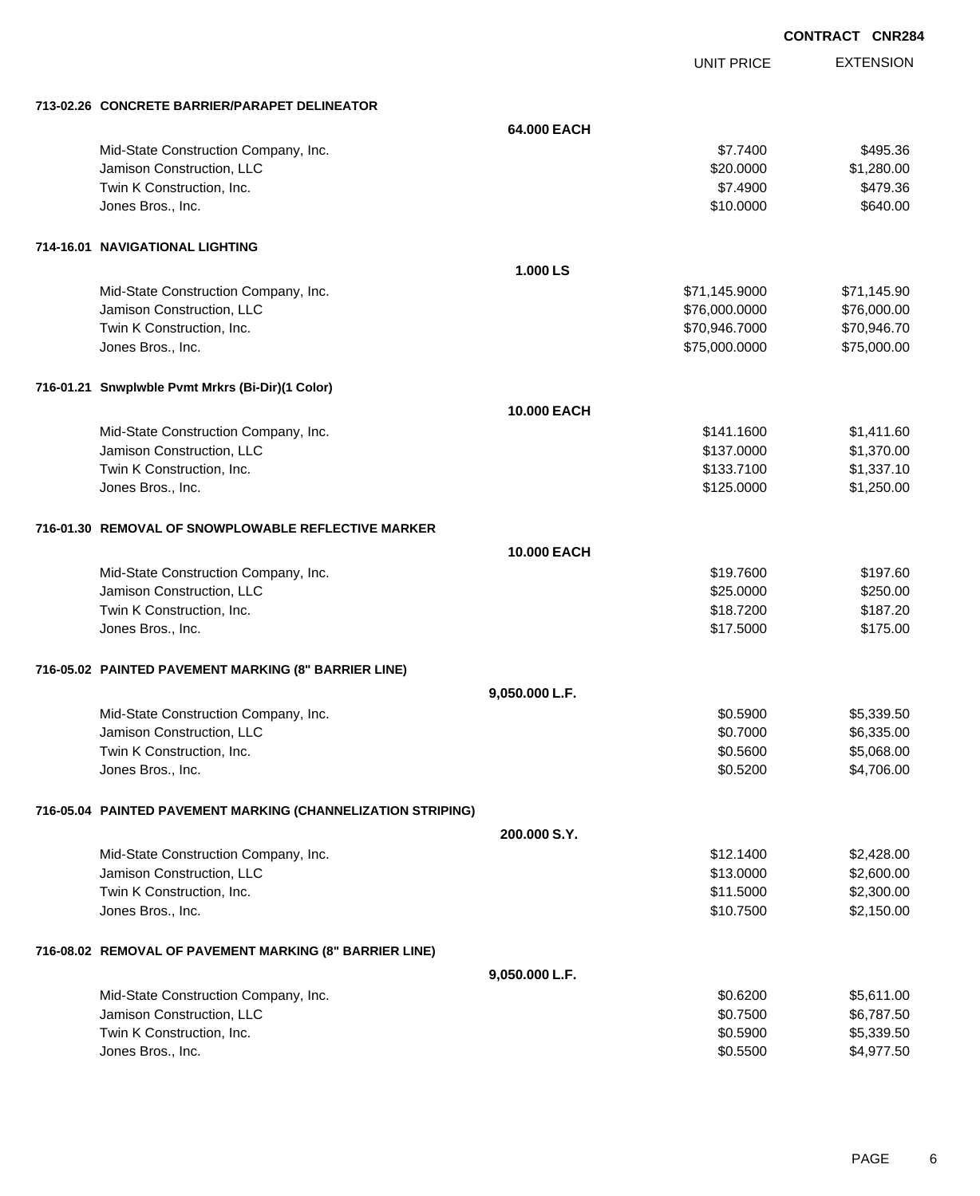**EXTENSION CONTRACT CNR284** UNIT PRICE **713-02.26 CONCRETE BARRIER/PARAPET DELINEATOR 64.000 EACH** Mid-State Construction Company, Inc. 69 and the construction Company, Inc. 6495.36 Jamison Construction, LLC 60000 \$1,280.000 \$1,280.000 \$1,280.000 \$1,280.000 \$1,280.00 Twin K Construction, Inc. 6479.36 Jones Bros., Inc. \$10.0000 \$640.00 **714-16.01 NAVIGATIONAL LIGHTING 1.000 LS** Mid-State Construction Company, Inc.  $$71,145.900$   $$71,145.900$   $$71,145.90$ Jamison Construction, LLC \$76,000.0000 \$76,000.00 Twin K Construction, Inc. 670,946.7000 \$70,946.7000 \$70,946.7000 \$70,946.7000 \$70,946.7000 \$70,946.70 Jones Bros., Inc. \$75,000.0000 \$75,000.00 **716-01.21 Snwplwble Pvmt Mrkrs (Bi-Dir)(1 Color) 10.000 EACH** Mid-State Construction Company, Inc. 60 and the state of the state of the state of the state of the state of the state  $$1,411.60$ Jamison Construction, LLC \$137.0000 \$1,370.00 Twin K Construction, Inc. 68 (1,337.10) \$133.7100 \$133.7100 \$1,337.10 Jones Bros., Inc. \$125.0000 \$1,250.00 **716-01.30 REMOVAL OF SNOWPLOWABLE REFLECTIVE MARKER 10.000 EACH** Mid-State Construction Company, Inc. 69 and 2012 19:00 \$19.7600 \$19.7600 \$19.7600 \$197.60 Jamison Construction, LLC 6250.000 \$250.00 Twin K Construction, Inc. 6. The Second State of the State of the State of State of State of State of State of State of State of State of State of State of State of State of State of State of State of State of State of Sta Jones Bros., Inc. \$17.5000 \$175.00 **716-05.02 PAINTED PAVEMENT MARKING (8" BARRIER LINE) 9,050.000 L.F.** Mid-State Construction Company, Inc. 6. The Construction Company, Inc. 6. The Construction Company, Inc. 6. The Construction Company, Inc. 6. The Construction Company, Inc. 6. The Construction Company, Inc. 6. The Construc Jamison Construction, LLC 6,335.00 Twin K Construction, Inc. 6. The state of the state of the state of the state of the state of the state of the state of the state of the state of the state of the state of the state of the state of the state of the state o Jones Bros., Inc. \$0.5200 \$4,706.00 **716-05.04 PAINTED PAVEMENT MARKING (CHANNELIZATION STRIPING) 200.000 S.Y.** Mid-State Construction Company, Inc. 6. 2012 12:00 \$2,428.00 \$2,428.00 Jamison Construction, LLC 60000 \$2,600.00 Twin K Construction, Inc. 6. The Construction of the Construction, Inc. 6. The Construction, Inc. 6. The Construction of the Construction of the Construction of the Construction of the Construction of the Construction of t Jones Bros., Inc. \$10.7500 \$2,150.00

#### **716-08.02 REMOVAL OF PAVEMENT MARKING (8" BARRIER LINE)**

| J.UJU.UUU LIF.                       |          |            |
|--------------------------------------|----------|------------|
| Mid-State Construction Company, Inc. | \$0.6200 | \$5.611.00 |
| Jamison Construction, LLC            | \$0.7500 | \$6.787.50 |
| Twin K Construction, Inc.            | \$0.5900 | \$5.339.50 |
| Jones Bros., Inc.                    | \$0.5500 | \$4.977.50 |

**9,050.000 L.F.**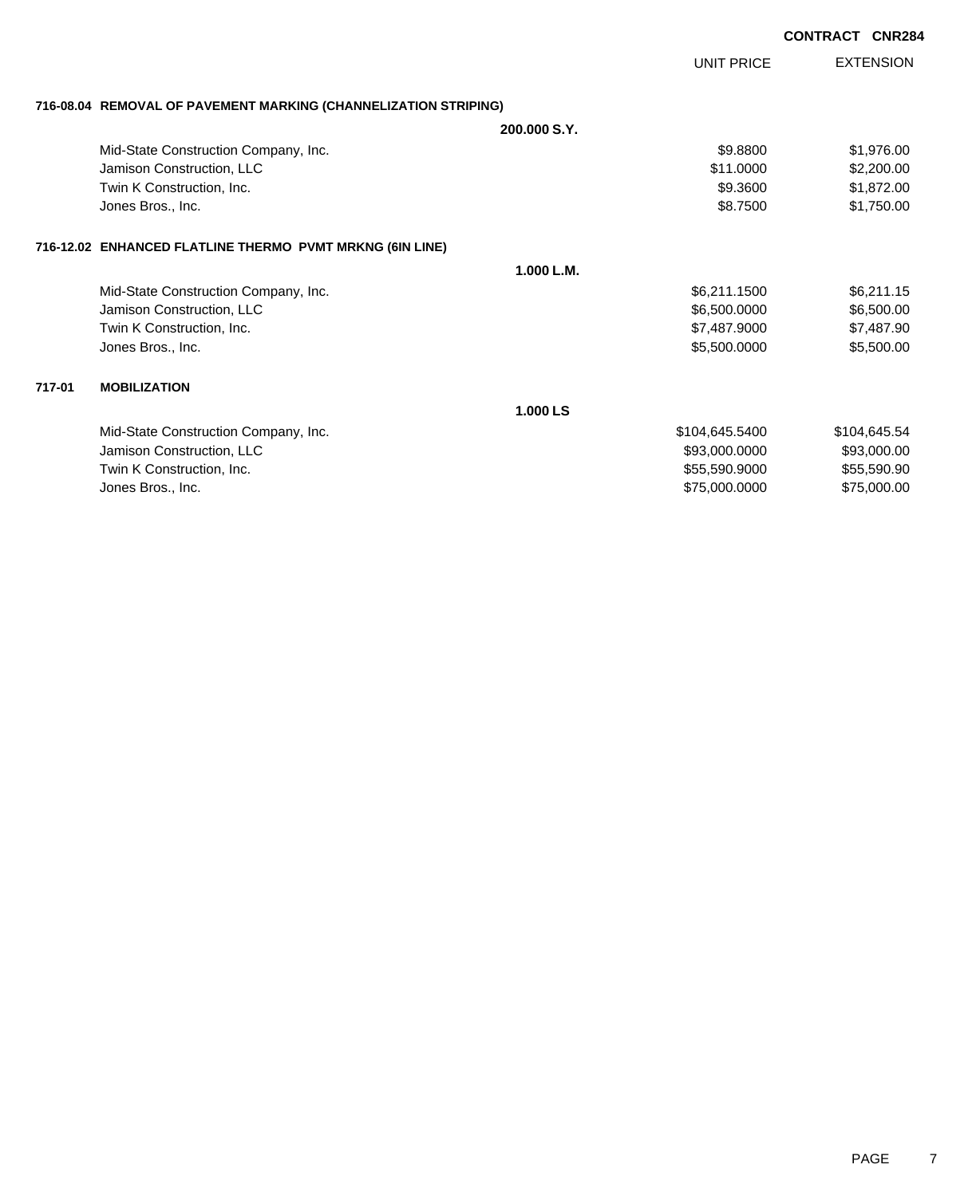|        |                                                                                                                     |                                                                   | <b>CONTRACT CNR284</b>                                    |
|--------|---------------------------------------------------------------------------------------------------------------------|-------------------------------------------------------------------|-----------------------------------------------------------|
|        |                                                                                                                     | UNIT PRICE                                                        | <b>EXTENSION</b>                                          |
|        | 716-08.04 REMOVAL OF PAVEMENT MARKING (CHANNELIZATION STRIPING)                                                     |                                                                   |                                                           |
|        |                                                                                                                     | 200,000 S.Y.                                                      |                                                           |
|        | Mid-State Construction Company, Inc.<br>Jamison Construction, LLC<br>Twin K Construction, Inc.<br>Jones Bros., Inc. | \$9,8800<br>\$11,0000<br>\$9.3600<br>\$8.7500                     | \$1,976.00<br>\$2,200.00<br>\$1,872.00<br>\$1,750.00      |
|        | 716-12.02 ENHANCED FLATLINE THERMO PVMT MRKNG (6IN LINE)                                                            |                                                                   |                                                           |
|        |                                                                                                                     | 1.000 L.M.                                                        |                                                           |
|        | Mid-State Construction Company, Inc.<br>Jamison Construction, LLC<br>Twin K Construction, Inc.<br>Jones Bros., Inc. | \$6,211.1500<br>\$6,500.0000<br>\$7,487.9000<br>\$5,500.0000      | \$6,211.15<br>\$6,500.00<br>\$7,487.90<br>\$5,500.00      |
| 717-01 | <b>MOBILIZATION</b>                                                                                                 |                                                                   |                                                           |
|        |                                                                                                                     | 1.000 LS                                                          |                                                           |
|        | Mid-State Construction Company, Inc.<br>Jamison Construction, LLC<br>Twin K Construction, Inc.<br>Jones Bros., Inc. | \$104,645.5400<br>\$93,000.0000<br>\$55,590.9000<br>\$75,000.0000 | \$104,645.54<br>\$93,000.00<br>\$55,590.90<br>\$75,000.00 |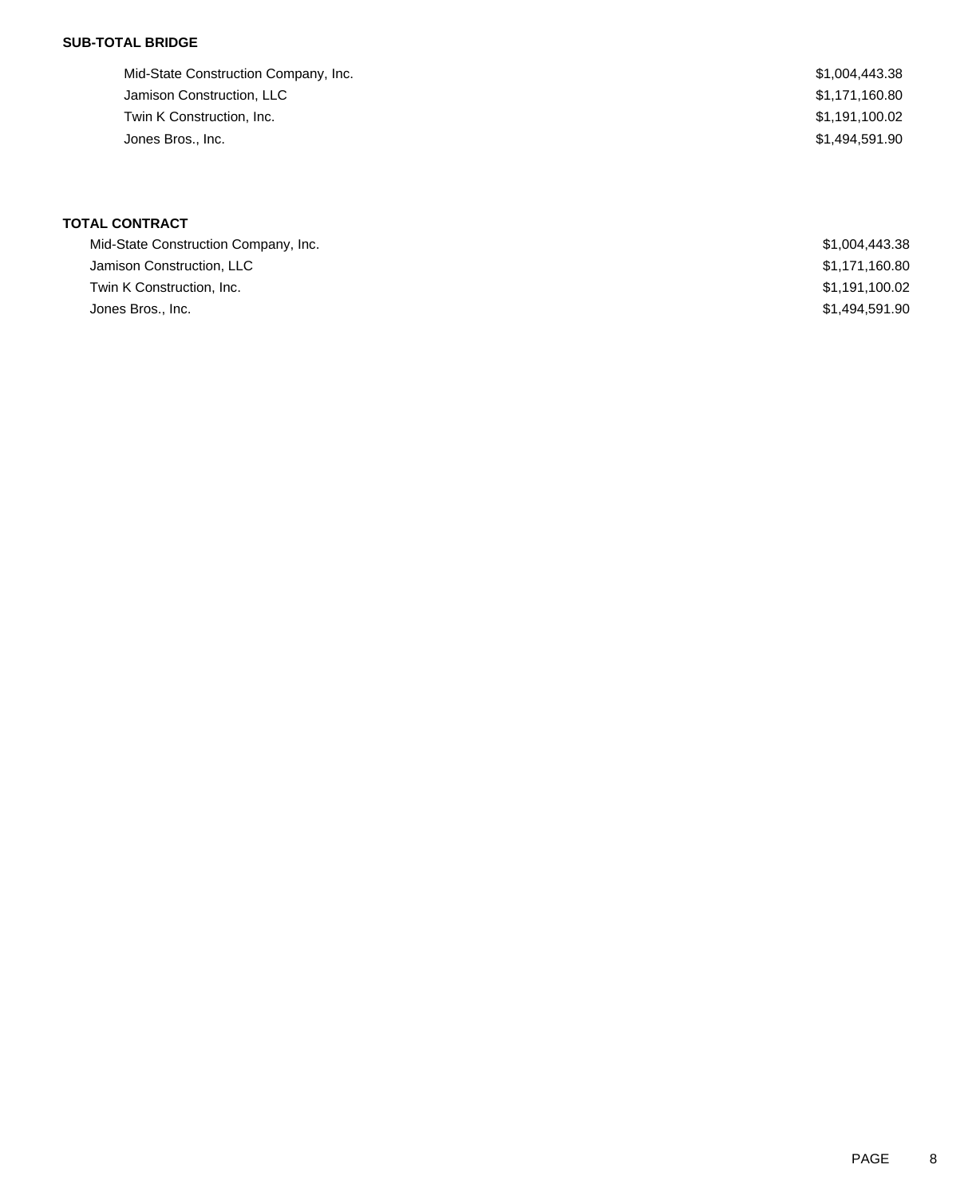### **SUB-TOTAL BRIDGE**

| Mid-State Construction Company, Inc. | \$1,004,443.38 |
|--------------------------------------|----------------|
| Jamison Construction, LLC            | \$1,171,160.80 |
| Twin K Construction, Inc.            | \$1,191,100.02 |
| Jones Bros., Inc.                    | \$1,494,591.90 |
|                                      |                |

| Mid-State Construction Company, Inc. | \$1,004,443.38 |
|--------------------------------------|----------------|
| Jamison Construction, LLC            | \$1,171,160.80 |
| Twin K Construction. Inc.            | \$1,191,100.02 |
| Jones Bros., Inc.                    | \$1,494,591.90 |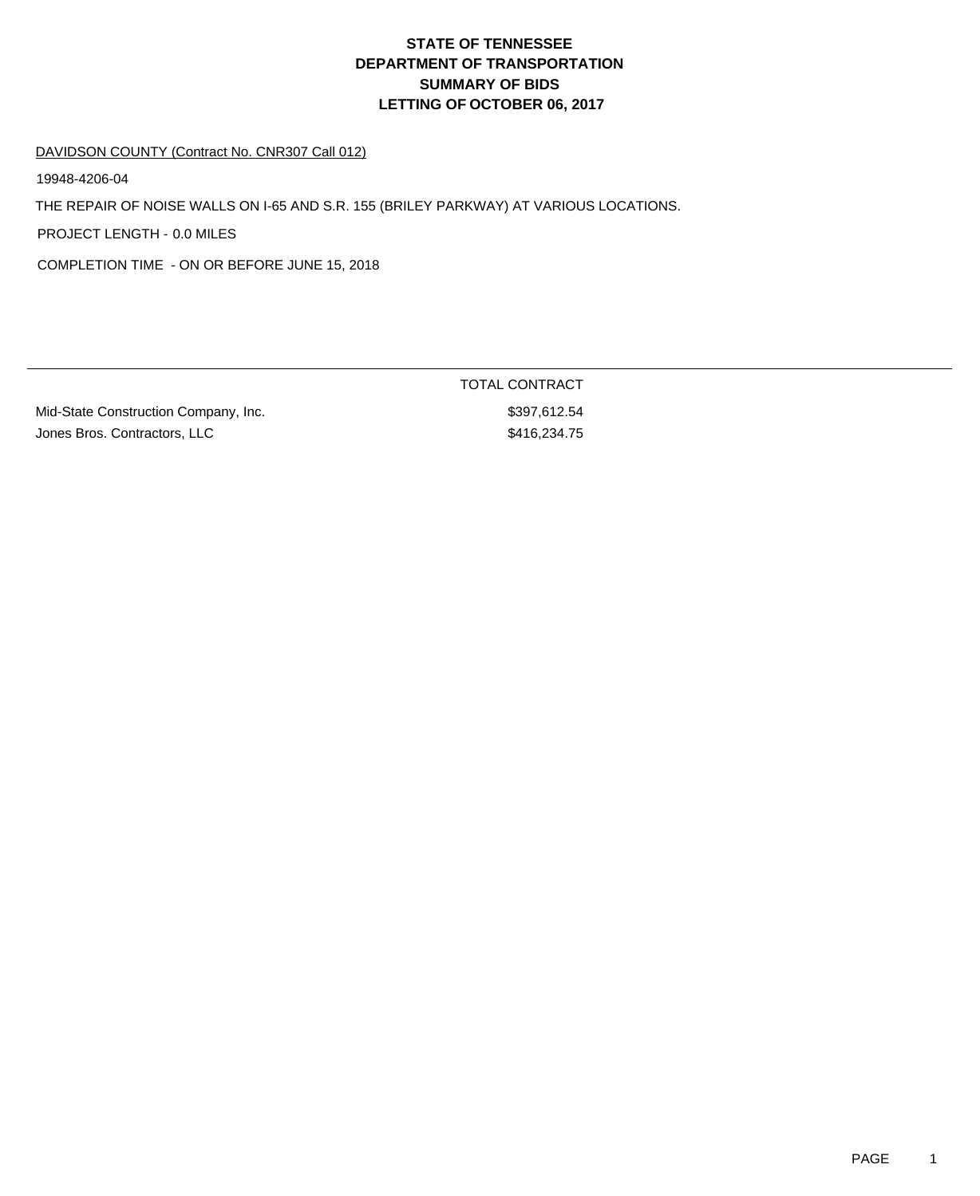#### DAVIDSON COUNTY (Contract No. CNR307 Call 012)

19948-4206-04

THE REPAIR OF NOISE WALLS ON I-65 AND S.R. 155 (BRILEY PARKWAY) AT VARIOUS LOCATIONS.

PROJECT LENGTH - 0.0 MILES

COMPLETION TIME - ON OR BEFORE JUNE 15, 2018

Mid-State Construction Company, Inc. 67 (1996) 8397,612.54 Jones Bros. Contractors, LLC \$416,234.75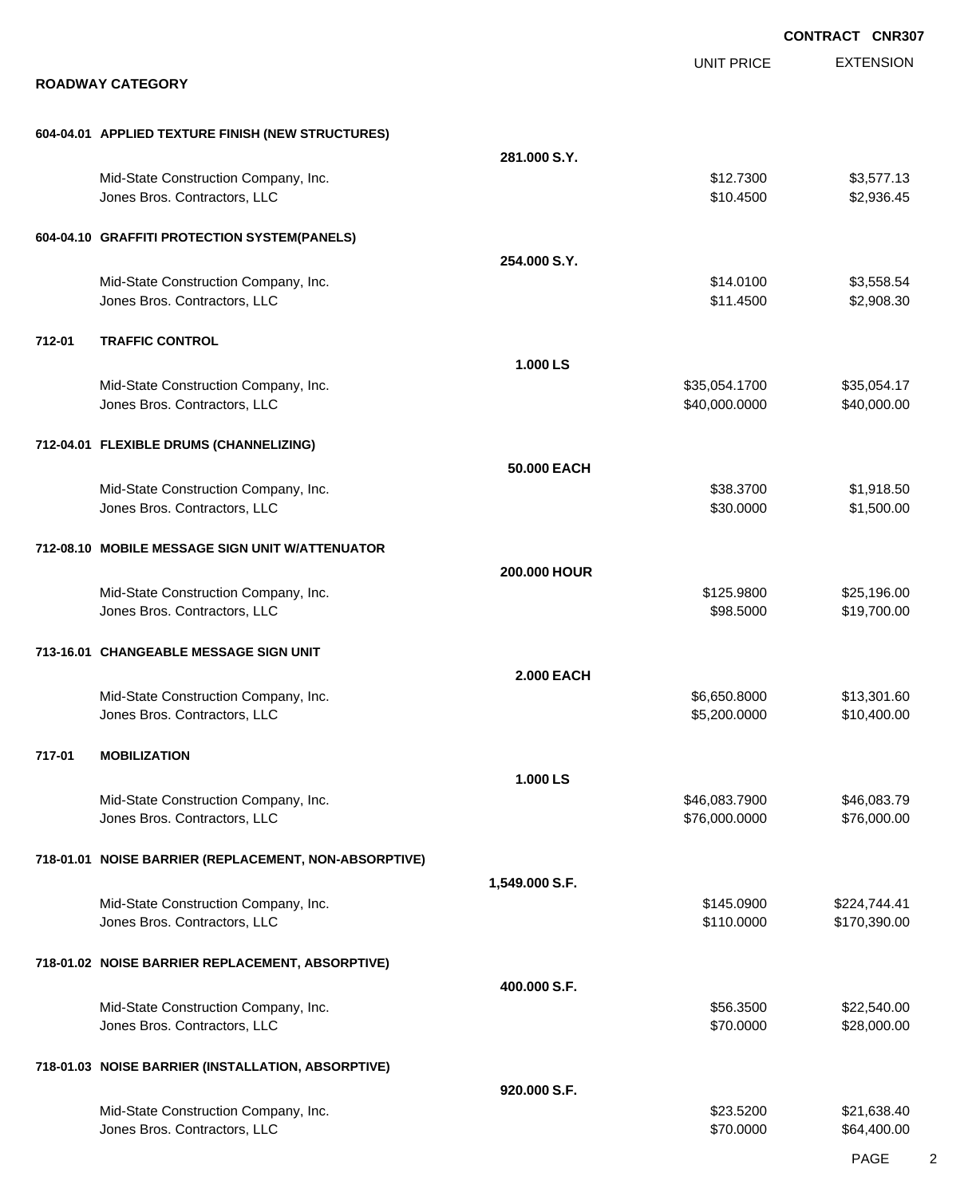|        |                                                                      |                   |                                | <b>CONTRACT CNR307</b>     |
|--------|----------------------------------------------------------------------|-------------------|--------------------------------|----------------------------|
|        | <b>ROADWAY CATEGORY</b>                                              |                   | <b>UNIT PRICE</b>              | <b>EXTENSION</b>           |
|        |                                                                      |                   |                                |                            |
|        | 604-04.01 APPLIED TEXTURE FINISH (NEW STRUCTURES)                    |                   |                                |                            |
|        |                                                                      | 281.000 S.Y.      |                                |                            |
|        | Mid-State Construction Company, Inc.<br>Jones Bros. Contractors, LLC |                   | \$12.7300<br>\$10.4500         | \$3,577.13<br>\$2,936.45   |
|        | 604-04.10 GRAFFITI PROTECTION SYSTEM(PANELS)                         |                   |                                |                            |
|        |                                                                      | 254.000 S.Y.      |                                |                            |
|        | Mid-State Construction Company, Inc.<br>Jones Bros. Contractors, LLC |                   | \$14.0100<br>\$11.4500         | \$3,558.54<br>\$2,908.30   |
| 712-01 | <b>TRAFFIC CONTROL</b>                                               |                   |                                |                            |
|        |                                                                      | 1.000 LS          |                                |                            |
|        | Mid-State Construction Company, Inc.<br>Jones Bros. Contractors, LLC |                   | \$35,054.1700<br>\$40,000.0000 | \$35,054.17<br>\$40,000.00 |
|        | 712-04.01 FLEXIBLE DRUMS (CHANNELIZING)                              |                   |                                |                            |
|        |                                                                      | 50,000 EACH       |                                |                            |
|        | Mid-State Construction Company, Inc.                                 |                   | \$38.3700                      | \$1,918.50                 |
|        | Jones Bros. Contractors, LLC                                         |                   | \$30.0000                      | \$1,500.00                 |
|        | 712-08.10 MOBILE MESSAGE SIGN UNIT W/ATTENUATOR                      |                   |                                |                            |
|        |                                                                      | 200.000 HOUR      |                                |                            |
|        | Mid-State Construction Company, Inc.<br>Jones Bros. Contractors, LLC |                   | \$125.9800<br>\$98.5000        | \$25,196.00<br>\$19,700.00 |
|        |                                                                      |                   |                                |                            |
|        | 713-16.01 CHANGEABLE MESSAGE SIGN UNIT                               |                   |                                |                            |
|        | Mid-State Construction Company, Inc.                                 | <b>2.000 EACH</b> | \$6,650.8000                   | \$13,301.60                |
|        | Jones Bros. Contractors, LLC                                         |                   | \$5,200.0000                   | \$10,400.00                |
| 717-01 | <b>MOBILIZATION</b>                                                  |                   |                                |                            |
|        |                                                                      | 1.000 LS          |                                |                            |
|        | Mid-State Construction Company, Inc.<br>Jones Bros. Contractors, LLC |                   | \$46,083.7900<br>\$76,000.0000 | \$46,083.79<br>\$76,000.00 |
|        |                                                                      |                   |                                |                            |
|        | 718-01.01 NOISE BARRIER (REPLACEMENT, NON-ABSORPTIVE)                |                   |                                |                            |
|        | Mid-State Construction Company, Inc.                                 | 1,549.000 S.F.    | \$145.0900                     | \$224,744.41               |
|        | Jones Bros. Contractors, LLC                                         |                   | \$110.0000                     | \$170,390.00               |
|        | 718-01.02 NOISE BARRIER REPLACEMENT, ABSORPTIVE)                     |                   |                                |                            |
|        |                                                                      | 400.000 S.F.      |                                |                            |
|        | Mid-State Construction Company, Inc.                                 |                   | \$56.3500                      | \$22,540.00                |
|        | Jones Bros. Contractors, LLC                                         |                   | \$70.0000                      | \$28,000.00                |
|        | 718-01.03 NOISE BARRIER (INSTALLATION, ABSORPTIVE)                   |                   |                                |                            |
|        |                                                                      | 920.000 S.F.      |                                |                            |
|        | Mid-State Construction Company, Inc.<br>Jones Bros. Contractors, LLC |                   | \$23.5200<br>\$70.0000         | \$21,638.40<br>\$64,400.00 |
|        |                                                                      |                   |                                |                            |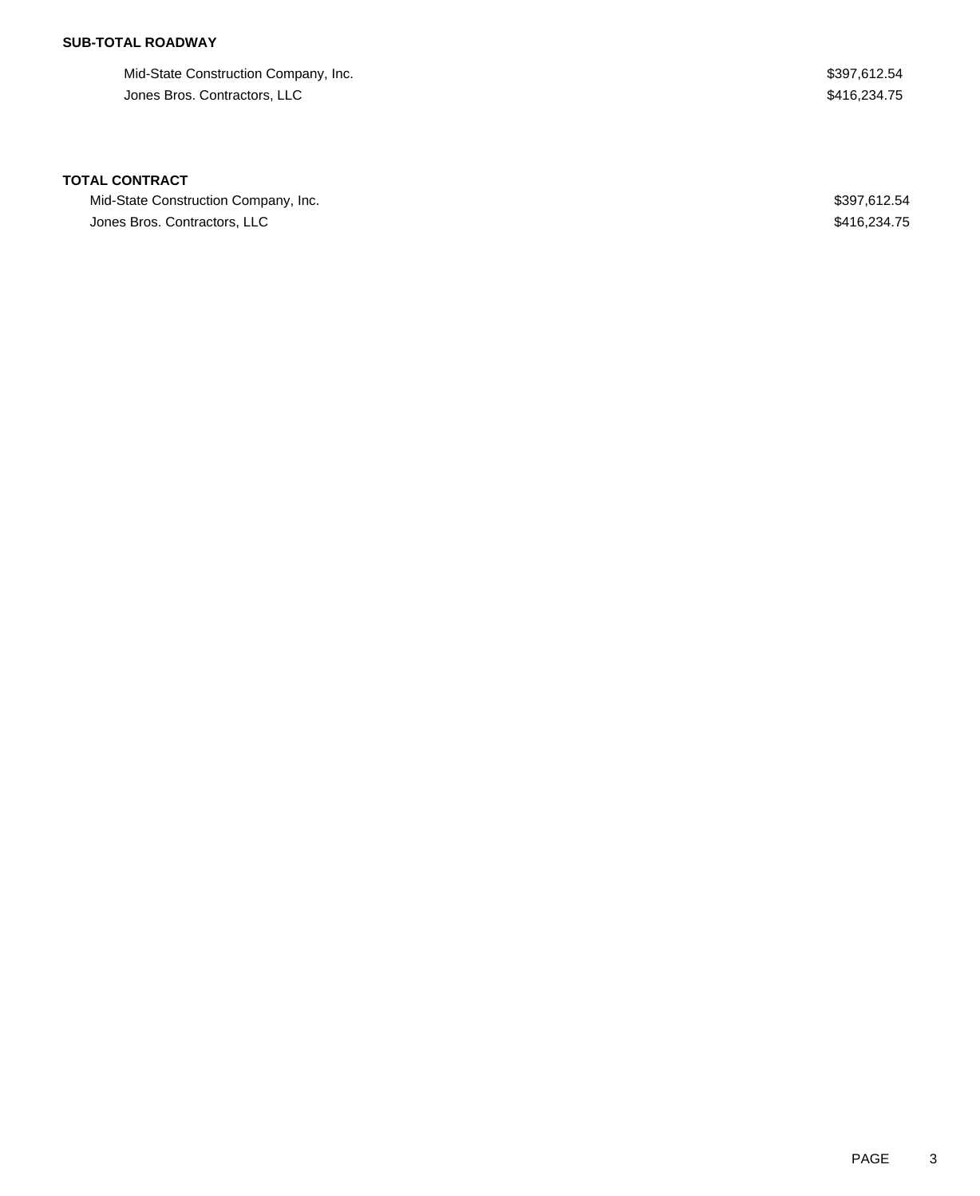## **SUB-TOTAL ROADWAY**

Mid-State Construction Company, Inc. 6. The State Construction Company, Inc. 6. The State Construction Company, Inc. Jones Bros. Contractors, LLC \$416,234.75

| Mid-State Construction Company, Inc. | \$397,612.54 |
|--------------------------------------|--------------|
| Jones Bros. Contractors, LLC         | \$416,234.75 |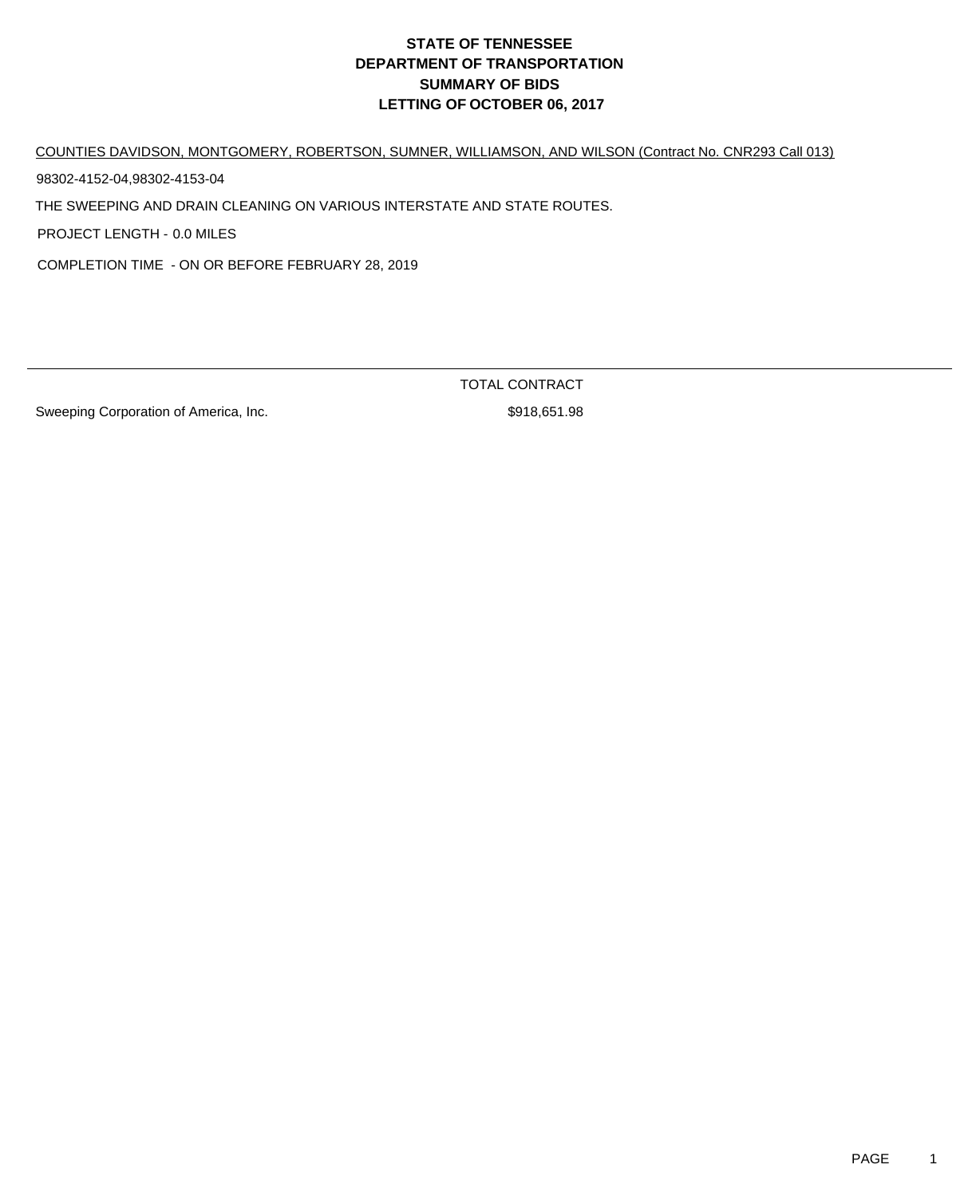COUNTIES DAVIDSON, MONTGOMERY, ROBERTSON, SUMNER, WILLIAMSON, AND WILSON (Contract No. CNR293 Call 013)

98302-4152-04,98302-4153-04

THE SWEEPING AND DRAIN CLEANING ON VARIOUS INTERSTATE AND STATE ROUTES.

PROJECT LENGTH - 0.0 MILES

COMPLETION TIME - ON OR BEFORE FEBRUARY 28, 2019

Sweeping Corporation of America, Inc. 6918,651.98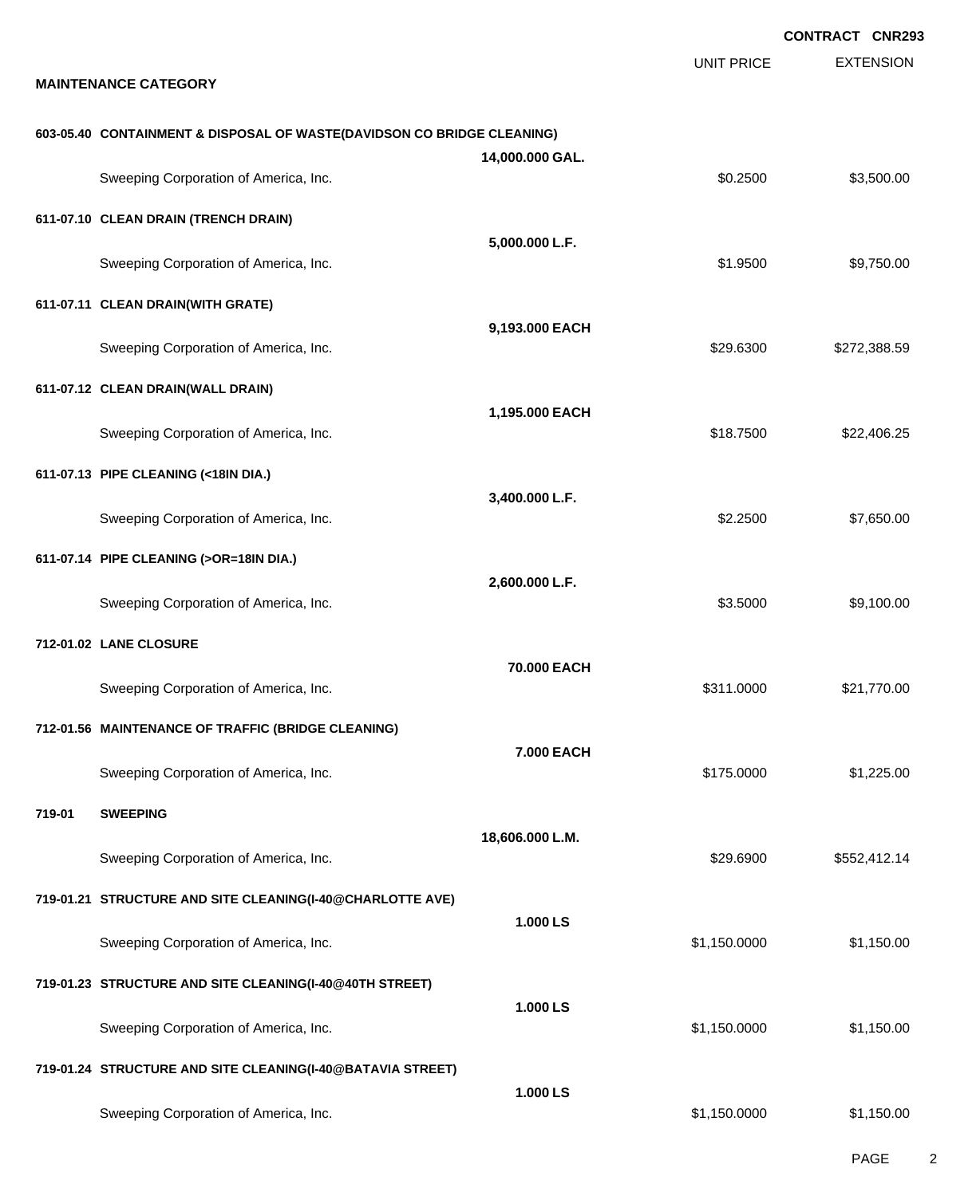|        |                                                                        |                 |                   | <b>CONTRACT CNR293</b> |
|--------|------------------------------------------------------------------------|-----------------|-------------------|------------------------|
|        | <b>MAINTENANCE CATEGORY</b>                                            |                 | <b>UNIT PRICE</b> | <b>EXTENSION</b>       |
|        | 603-05.40 CONTAINMENT & DISPOSAL OF WASTE(DAVIDSON CO BRIDGE CLEANING) | 14,000.000 GAL. |                   |                        |
|        | Sweeping Corporation of America, Inc.                                  |                 | \$0.2500          | \$3,500.00             |
|        | 611-07.10 CLEAN DRAIN (TRENCH DRAIN)                                   |                 |                   |                        |
|        | Sweeping Corporation of America, Inc.                                  | 5,000.000 L.F.  | \$1.9500          | \$9,750.00             |
|        | 611-07.11 CLEAN DRAIN(WITH GRATE)                                      |                 |                   |                        |
|        | Sweeping Corporation of America, Inc.                                  | 9,193.000 EACH  | \$29.6300         | \$272,388.59           |
|        | 611-07.12 CLEAN DRAIN(WALL DRAIN)                                      |                 |                   |                        |
|        | Sweeping Corporation of America, Inc.                                  | 1,195.000 EACH  | \$18.7500         | \$22,406.25            |
|        | 611-07.13 PIPE CLEANING (<18IN DIA.)                                   |                 |                   |                        |
|        | Sweeping Corporation of America, Inc.                                  | 3,400.000 L.F.  | \$2.2500          | \$7,650.00             |
|        | 611-07.14 PIPE CLEANING (>OR=18IN DIA.)                                |                 |                   |                        |
|        | Sweeping Corporation of America, Inc.                                  | 2,600.000 L.F.  | \$3.5000          | \$9,100.00             |
|        | 712-01.02 LANE CLOSURE                                                 |                 |                   |                        |
|        | Sweeping Corporation of America, Inc.                                  | 70,000 EACH     | \$311.0000        | \$21,770.00            |
|        | 712-01.56 MAINTENANCE OF TRAFFIC (BRIDGE CLEANING)                     |                 |                   |                        |
|        | Sweeping Corporation of America, Inc.                                  | 7.000 EACH      | \$175.0000        | \$1,225.00             |
| 719-01 | <b>SWEEPING</b>                                                        |                 |                   |                        |
|        | Sweeping Corporation of America, Inc.                                  | 18,606.000 L.M. | \$29.6900         | \$552,412.14           |
|        | 719-01.21 STRUCTURE AND SITE CLEANING(I-40@CHARLOTTE AVE)              |                 |                   |                        |
|        | Sweeping Corporation of America, Inc.                                  | 1.000 LS        | \$1,150.0000      | \$1,150.00             |
|        | 719-01.23 STRUCTURE AND SITE CLEANING(I-40@40TH STREET)                |                 |                   |                        |
|        | Sweeping Corporation of America, Inc.                                  | 1.000LS         | \$1,150.0000      | \$1,150.00             |
|        | 719-01.24 STRUCTURE AND SITE CLEANING(I-40@BATAVIA STREET)             |                 |                   |                        |
|        | Sweeping Corporation of America, Inc.                                  | 1.000 LS        | \$1,150.0000      | \$1,150.00             |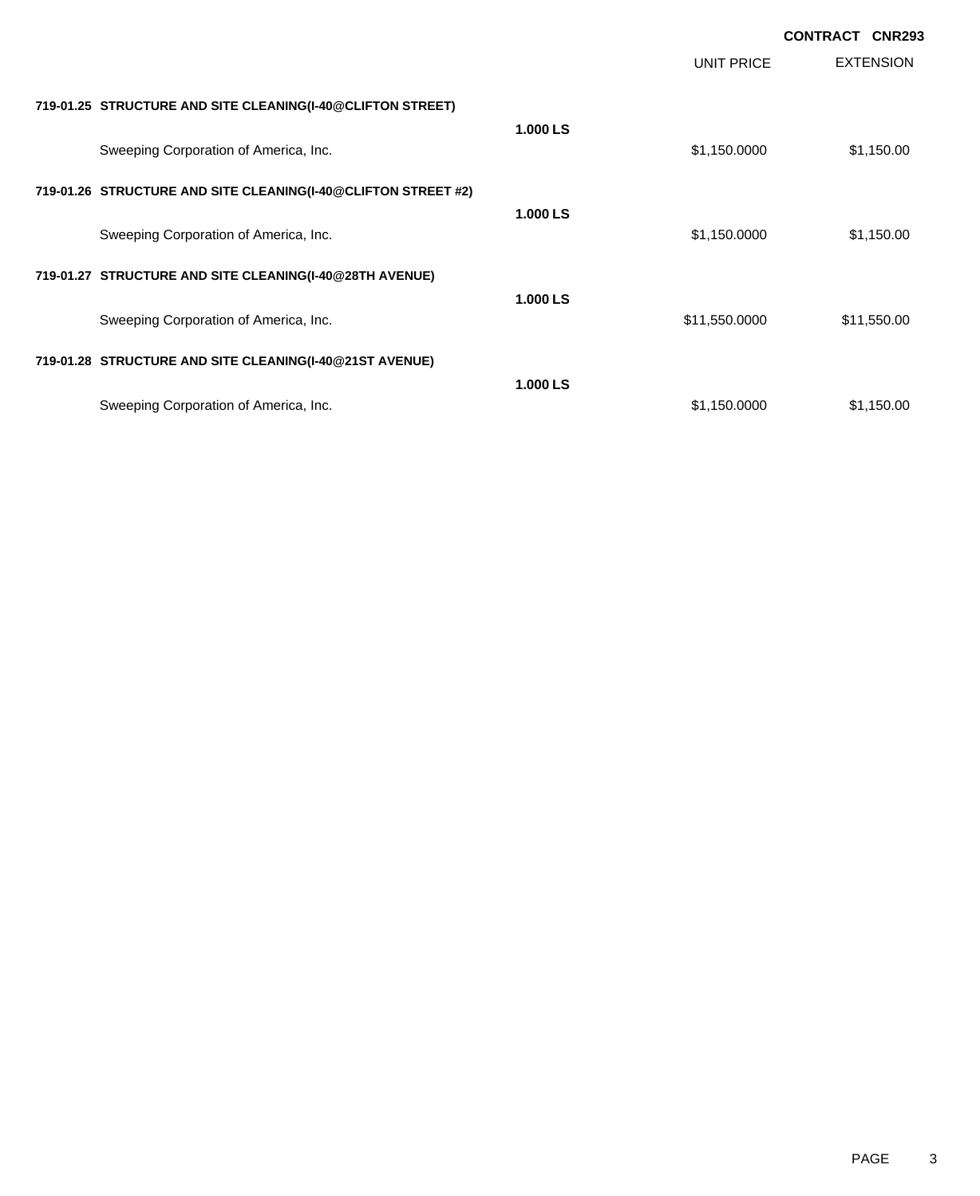|                                                               |          |               | <b>CONTRACT CNR293</b> |                  |
|---------------------------------------------------------------|----------|---------------|------------------------|------------------|
|                                                               |          | UNIT PRICE    |                        | <b>EXTENSION</b> |
| 719-01.25 STRUCTURE AND SITE CLEANING(I-40@CLIFTON STREET)    |          |               |                        |                  |
| Sweeping Corporation of America, Inc.                         | 1.000 LS | \$1,150.0000  |                        | \$1,150.00       |
| 719-01.26 STRUCTURE AND SITE CLEANING(I-40@CLIFTON STREET #2) |          |               |                        |                  |
| Sweeping Corporation of America, Inc.                         | 1.000 LS | \$1,150.0000  |                        | \$1,150.00       |
| 719-01.27 STRUCTURE AND SITE CLEANING(I-40@28TH AVENUE)       |          |               |                        |                  |
| Sweeping Corporation of America, Inc.                         | 1.000 LS | \$11,550.0000 |                        | \$11,550.00      |
| 719-01.28 STRUCTURE AND SITE CLEANING(I-40@21ST AVENUE)       |          |               |                        |                  |
| Sweeping Corporation of America, Inc.                         | 1.000 LS | \$1,150.0000  |                        | \$1,150.00       |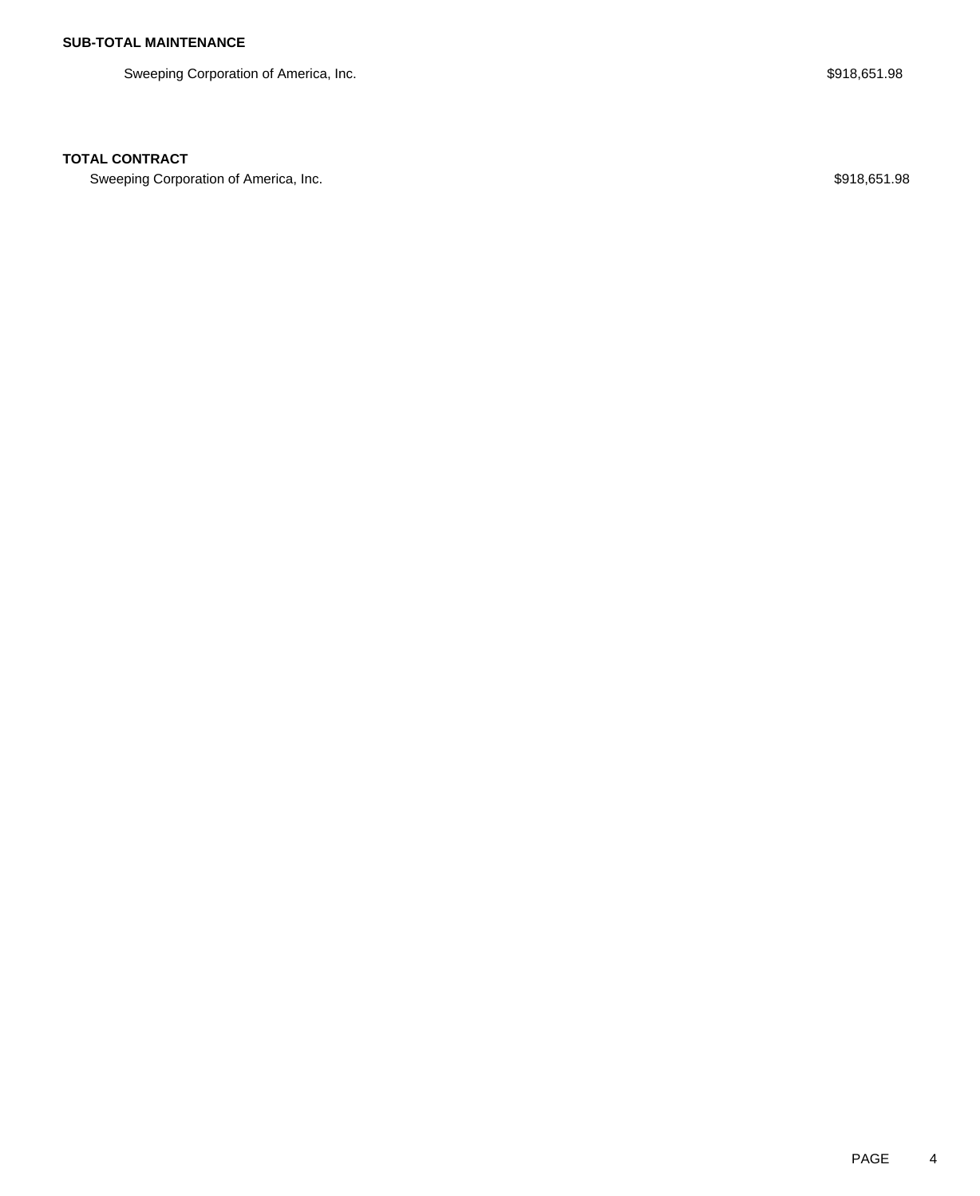Sweeping Corporation of America, Inc. **\$918,651.98** Sweeping Corporation of America, Inc.

## **TOTAL CONTRACT**

Sweeping Corporation of America, Inc. 67 and the state of the state of the state of the state of the state of the state of the state of the state of the state of the state of the state of the state of the state of the stat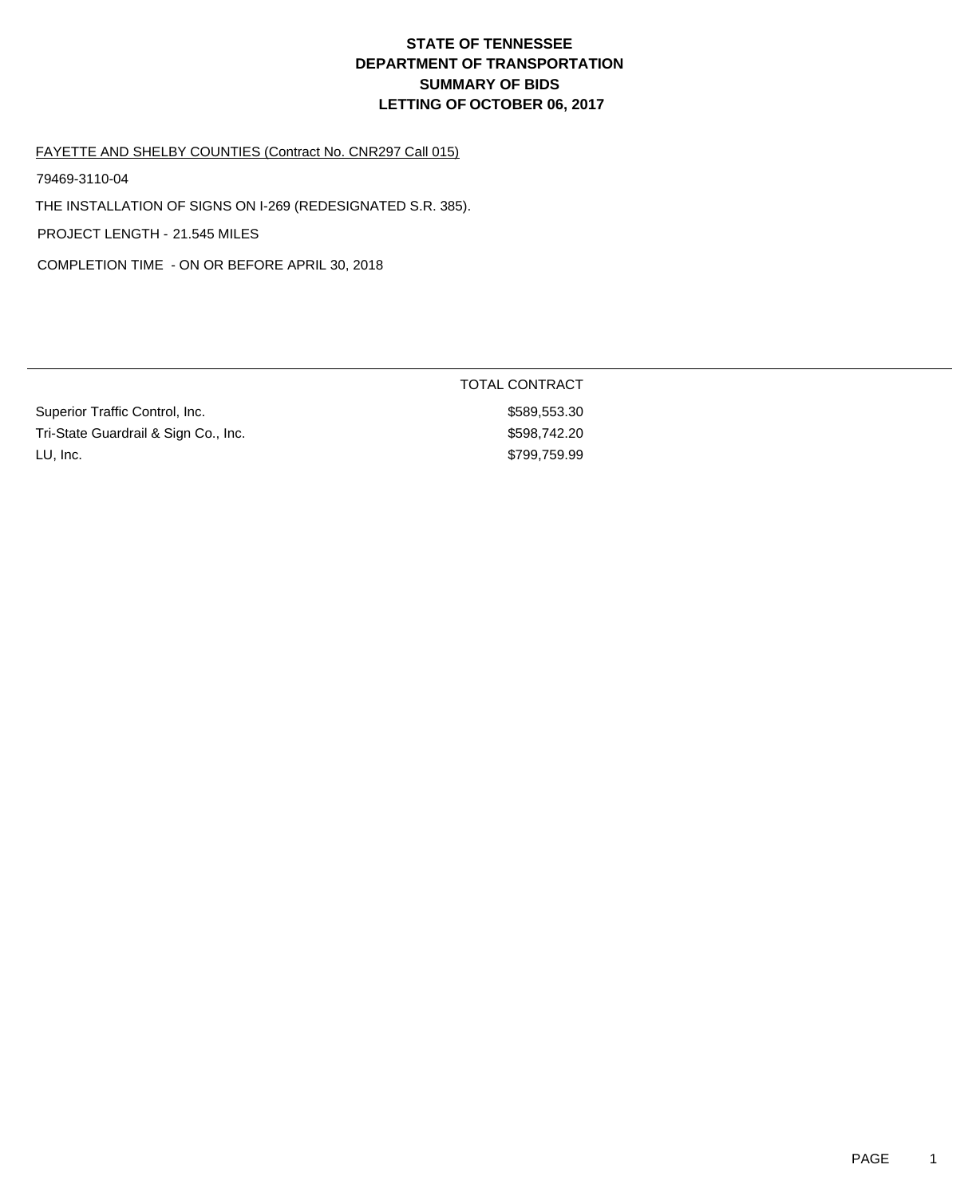TOTAL CONTRACT

\$589,553.30 \$598,742.20 \$799,759.99

#### FAYETTE AND SHELBY COUNTIES (Contract No. CNR297 Call 015)

79469-3110-04

THE INSTALLATION OF SIGNS ON I-269 (REDESIGNATED S.R. 385).

PROJECT LENGTH - 21.545 MILES

COMPLETION TIME - ON OR BEFORE APRIL 30, 2018

| Superior Traffic Control, Inc.       |  |
|--------------------------------------|--|
| Tri-State Guardrail & Sign Co., Inc. |  |
| LU, Inc.                             |  |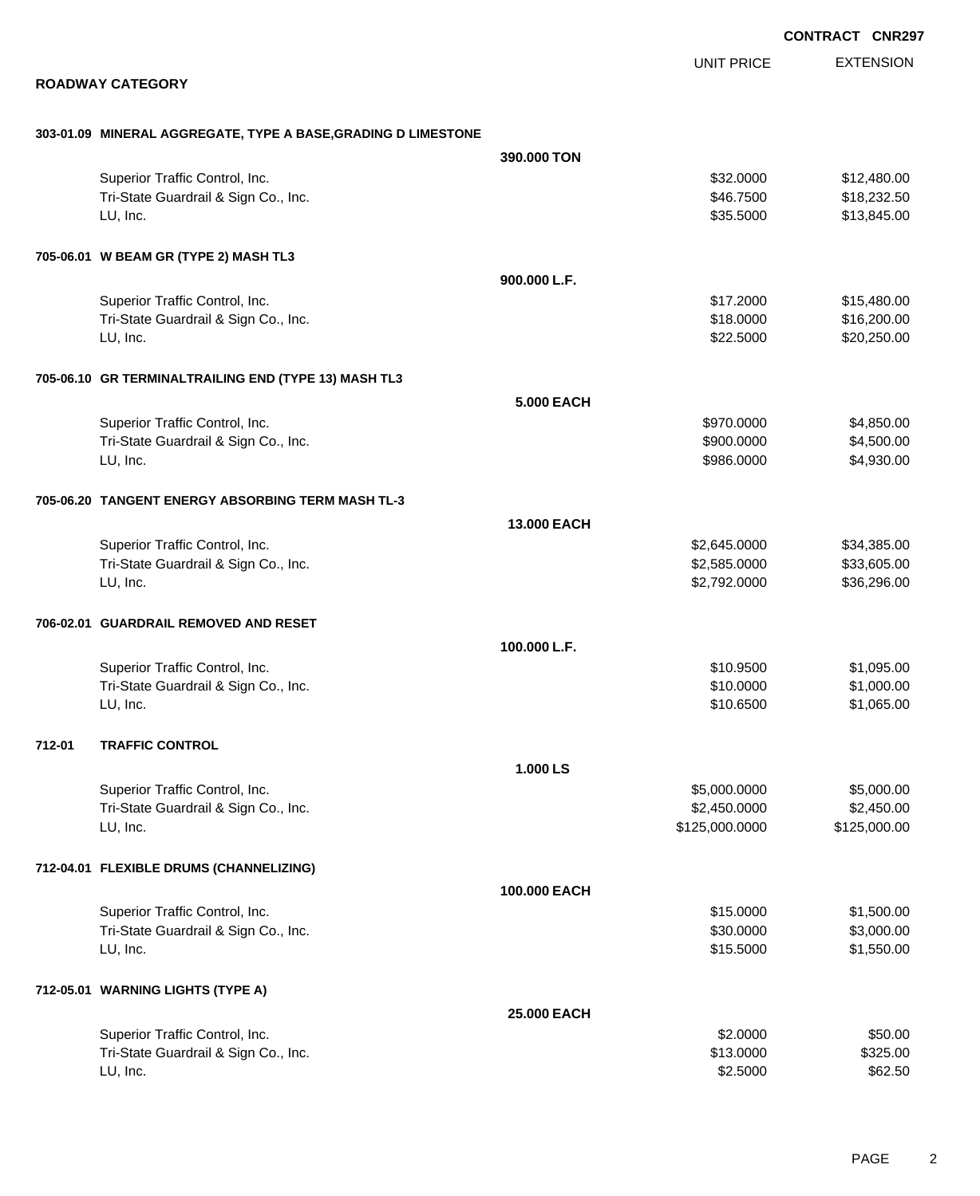EXTENSION UNIT PRICE

#### **ROADWAY CATEGORY**

#### **303-01.09 MINERAL AGGREGATE, TYPE A BASE,GRADING D LIMESTONE**

|        |                                                      | 390.000 TON  |                |              |
|--------|------------------------------------------------------|--------------|----------------|--------------|
|        | Superior Traffic Control, Inc.                       |              | \$32.0000      | \$12,480.00  |
|        | Tri-State Guardrail & Sign Co., Inc.                 |              | \$46.7500      | \$18,232.50  |
|        | LU, Inc.                                             |              | \$35.5000      | \$13,845.00  |
|        |                                                      |              |                |              |
|        | 705-06.01 W BEAM GR (TYPE 2) MASH TL3                |              |                |              |
|        |                                                      | 900.000 L.F. |                |              |
|        | Superior Traffic Control, Inc.                       |              | \$17.2000      | \$15,480.00  |
|        | Tri-State Guardrail & Sign Co., Inc.                 |              | \$18.0000      | \$16,200.00  |
|        | LU, Inc.                                             |              | \$22.5000      | \$20,250.00  |
|        | 705-06.10 GR TERMINALTRAILING END (TYPE 13) MASH TL3 |              |                |              |
|        |                                                      | 5.000 EACH   |                |              |
|        | Superior Traffic Control, Inc.                       |              | \$970.0000     | \$4,850.00   |
|        | Tri-State Guardrail & Sign Co., Inc.                 |              | \$900.0000     | \$4,500.00   |
|        | LU, Inc.                                             |              | \$986.0000     | \$4,930.00   |
|        | 705-06.20 TANGENT ENERGY ABSORBING TERM MASH TL-3    |              |                |              |
|        |                                                      | 13.000 EACH  |                |              |
|        | Superior Traffic Control, Inc.                       |              | \$2,645.0000   | \$34,385.00  |
|        | Tri-State Guardrail & Sign Co., Inc.                 |              | \$2,585.0000   | \$33,605.00  |
|        | LU, Inc.                                             |              | \$2,792.0000   | \$36,296.00  |
|        |                                                      |              |                |              |
|        | 706-02.01 GUARDRAIL REMOVED AND RESET                |              |                |              |
|        |                                                      | 100.000 L.F. |                |              |
|        | Superior Traffic Control, Inc.                       |              | \$10.9500      | \$1,095.00   |
|        | Tri-State Guardrail & Sign Co., Inc.                 |              | \$10.0000      | \$1,000.00   |
|        | LU, Inc.                                             |              | \$10.6500      | \$1,065.00   |
| 712-01 | <b>TRAFFIC CONTROL</b>                               |              |                |              |
|        |                                                      | 1.000 LS     |                |              |
|        | Superior Traffic Control, Inc.                       |              | \$5,000.0000   | \$5,000.00   |
|        | Tri-State Guardrail & Sign Co., Inc.                 |              | \$2,450.0000   | \$2,450.00   |
|        | LU, Inc.                                             |              | \$125,000.0000 | \$125,000.00 |
|        | 712-04.01 FLEXIBLE DRUMS (CHANNELIZING)              |              |                |              |
|        |                                                      | 100.000 EACH |                |              |
|        | Superior Traffic Control, Inc.                       |              | \$15.0000      | \$1,500.00   |
|        | Tri-State Guardrail & Sign Co., Inc.                 |              | \$30.0000      | \$3,000.00   |
|        | LU, Inc.                                             |              | \$15.5000      | \$1,550.00   |
|        | 712-05.01 WARNING LIGHTS (TYPE A)                    |              |                |              |
|        |                                                      | 25.000 EACH  |                |              |
|        | Superior Traffic Control, Inc.                       |              | \$2.0000       | \$50.00      |
|        | Tri-State Guardrail & Sign Co., Inc.                 |              | \$13.0000      | \$325.00     |
|        | LU, Inc.                                             |              | \$2.5000       | \$62.50      |
|        |                                                      |              |                |              |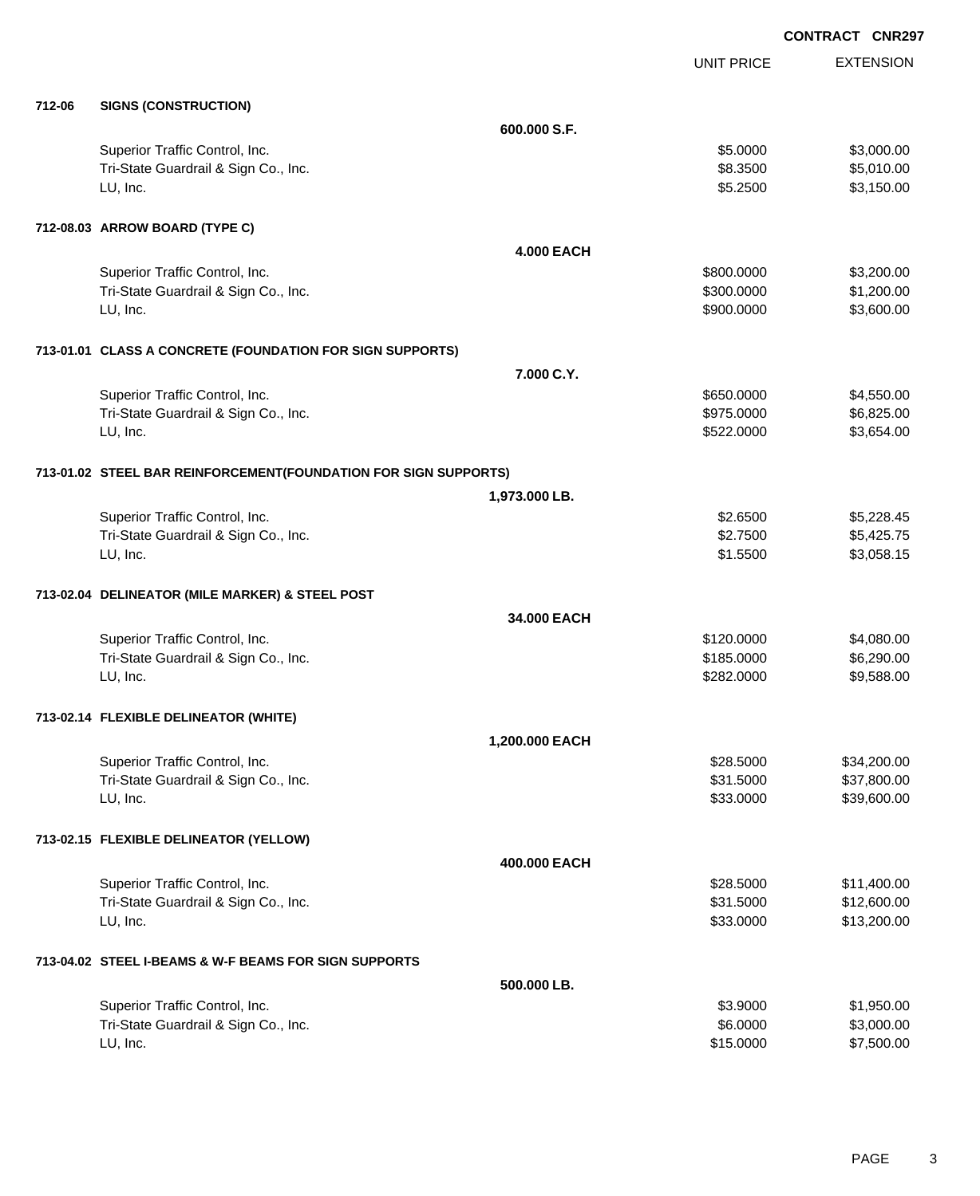EXTENSION **CONTRACT CNR297** UNIT PRICE **712-06 SIGNS (CONSTRUCTION) 600.000 S.F.** Superior Traffic Control, Inc. 6. The Superior Traffic Control, Inc. 6. The Superior Traffic Control, Inc. 6. Superior S3,000.00 Tri-State Guardrail & Sign Co., Inc. **\$8.3500** \$5,010.00 LU, Inc. \$5.2500 \$3,150.00 **712-08.03 ARROW BOARD (TYPE C) 4.000 EACH** Superior Traffic Control, Inc. 66 and the state of the state of the state of the state of the state of the state of the state of the state of the state of the state of the state of the state of the state of the state of th Tri-State Guardrail & Sign Co., Inc. **\$300.000 \$1,200.00** \$1,200.00 LU, Inc. \$900.0000 \$3,600.00 **713-01.01 CLASS A CONCRETE (FOUNDATION FOR SIGN SUPPORTS) 7.000 C.Y.** Superior Traffic Control, Inc. 6650.000 \$4,550.00 \$4,550.000 \$4,550.000 \$4,550.00 Tri-State Guardrail & Sign Co., Inc. **\$975.0000** \$6,825.00 LU, Inc. \$522.0000 \$3,654.00 **713-01.02 STEEL BAR REINFORCEMENT(FOUNDATION FOR SIGN SUPPORTS) 1,973.000 LB.** Superior Traffic Control, Inc. 65,228.45 Tri-State Guardrail & Sign Co., Inc. **\$2.7500** \$5,425.75 LU, Inc. \$1.5500 \$3,058.15 **713-02.04 DELINEATOR (MILE MARKER) & STEEL POST 34.000 EACH** Superior Traffic Control, Inc. 66 and the control of the control of the state of the state of the state of the state of the state of the state of the state of the state of the state of the state of the state of the state o Tri-State Guardrail & Sign Co., Inc. **\$185.0000** \$6,290.00 LU, Inc. \$282.0000 \$9,588.00 **713-02.14 FLEXIBLE DELINEATOR (WHITE) 1,200.000 EACH** Superior Traffic Control, Inc. 634,200.00 \$34,200.00 \$34,200.00 \$34,200.00 Tri-State Guardrail & Sign Co., Inc. \$37,800.00 \$37,800.00 \$37,800.00 LU, Inc. \$33.0000 \$39,600.00 **713-02.15 FLEXIBLE DELINEATOR (YELLOW) 400.000 EACH** Superior Traffic Control, Inc. 6. The Superior Traffic Control, Inc. 6. Separate Superior States of States and States Separate States States Separate States States States States States States States States States States St Tri-State Guardrail & Sign Co., Inc. \$31.5000 \$12,600.00 LU, Inc. \$33.0000 \$13,200.00 **713-04.02 STEEL I-BEAMS & W-F BEAMS FOR SIGN SUPPORTS 500.000 LB.** Superior Traffic Control, Inc. 6. The Superior Traffic Control, Inc. 6. The Superior Traffic Control, Inc. 6. Superior St. 6. Superior Traffic Control, Inc. 6. Superior St. 6. Superior St. 6. Superior St. 6. Superior St. 6

Tri-State Guardrail & Sign Co., Inc. 6. The State Guardrail & Sign Co., Inc. 6. 2000 \$3,000.00 LU, Inc. \$15.0000 \$7,500.00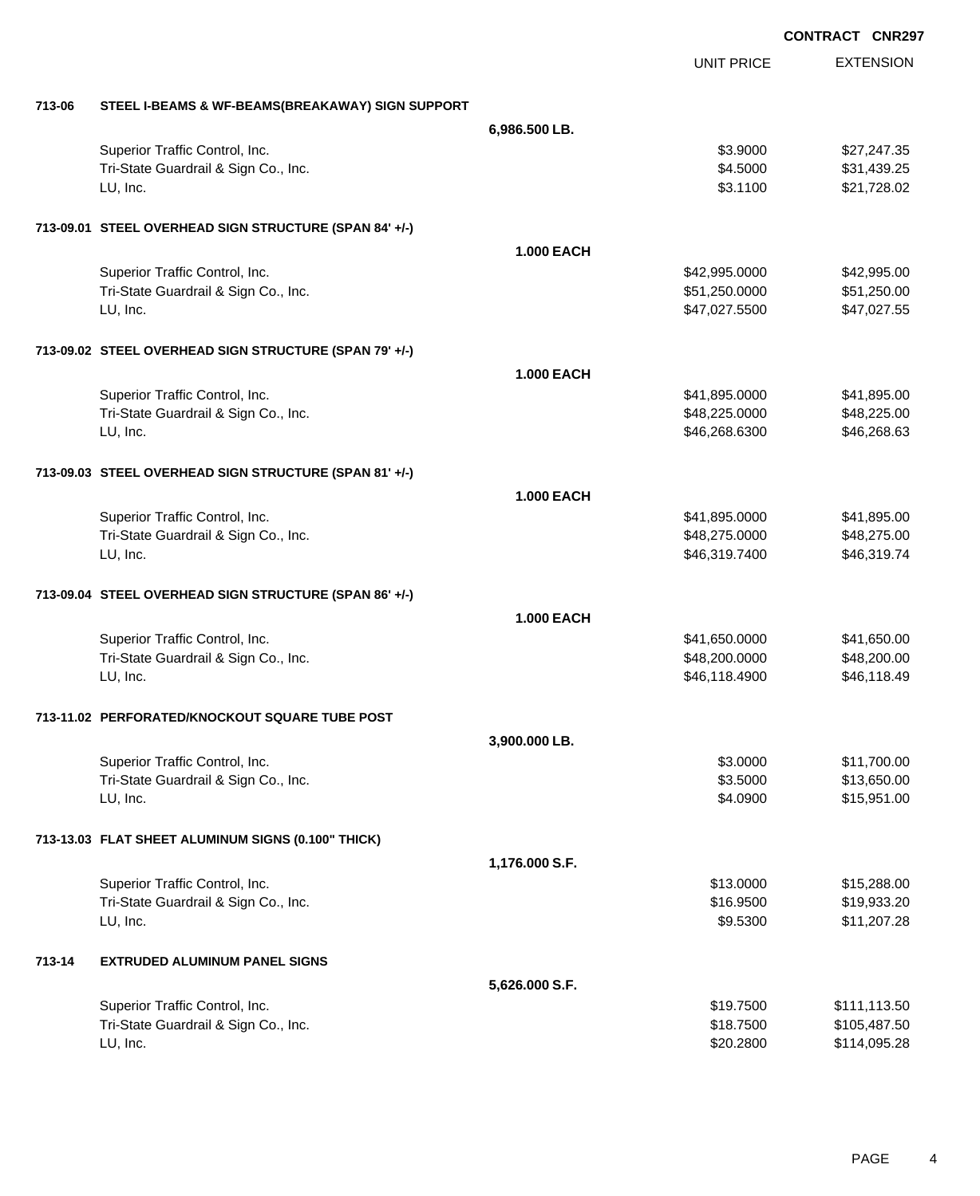|        |                                                        |                   |                   | <b>CONTRACT CNR297</b> |
|--------|--------------------------------------------------------|-------------------|-------------------|------------------------|
|        |                                                        |                   | <b>UNIT PRICE</b> | <b>EXTENSION</b>       |
| 713-06 | STEEL I-BEAMS & WF-BEAMS(BREAKAWAY) SIGN SUPPORT       |                   |                   |                        |
|        |                                                        | 6,986.500 LB.     |                   |                        |
|        | Superior Traffic Control, Inc.                         |                   | \$3.9000          | \$27,247.35            |
|        | Tri-State Guardrail & Sign Co., Inc.                   |                   | \$4.5000          | \$31,439.25            |
|        | LU, Inc.                                               |                   | \$3.1100          | \$21,728.02            |
|        | 713-09.01 STEEL OVERHEAD SIGN STRUCTURE (SPAN 84' +/-) |                   |                   |                        |
|        |                                                        | <b>1.000 EACH</b> |                   |                        |
|        | Superior Traffic Control, Inc.                         |                   | \$42,995.0000     | \$42,995.00            |
|        | Tri-State Guardrail & Sign Co., Inc.                   |                   | \$51,250.0000     | \$51,250.00            |
|        | LU, Inc.                                               |                   | \$47,027.5500     | \$47,027.55            |
|        | 713-09.02 STEEL OVERHEAD SIGN STRUCTURE (SPAN 79' +/-) |                   |                   |                        |
|        |                                                        | <b>1.000 EACH</b> |                   |                        |
|        | Superior Traffic Control, Inc.                         |                   | \$41,895.0000     | \$41,895.00            |
|        | Tri-State Guardrail & Sign Co., Inc.                   |                   | \$48,225.0000     | \$48,225.00            |
|        | LU, Inc.                                               |                   | \$46,268.6300     | \$46,268.63            |
|        | 713-09.03 STEEL OVERHEAD SIGN STRUCTURE (SPAN 81' +/-) |                   |                   |                        |
|        |                                                        | <b>1.000 EACH</b> |                   |                        |
|        | Superior Traffic Control, Inc.                         |                   | \$41,895.0000     | \$41,895.00            |
|        | Tri-State Guardrail & Sign Co., Inc.                   |                   | \$48,275.0000     | \$48,275.00            |
|        | LU, Inc.                                               |                   | \$46,319.7400     | \$46,319.74            |
|        | 713-09.04 STEEL OVERHEAD SIGN STRUCTURE (SPAN 86' +/-) |                   |                   |                        |
|        |                                                        | <b>1.000 EACH</b> |                   |                        |
|        | Superior Traffic Control, Inc.                         |                   | \$41,650.0000     | \$41,650.00            |
|        | Tri-State Guardrail & Sign Co., Inc.                   |                   | \$48,200.0000     | \$48,200.00            |
|        | LU, Inc.                                               |                   | \$46,118.4900     | \$46,118.49            |
|        | 713-11.02 PERFORATED/KNOCKOUT SQUARE TUBE POST         |                   |                   |                        |
|        |                                                        | 3,900.000 LB.     |                   |                        |
|        | Superior Traffic Control, Inc.                         |                   | \$3.0000          | \$11,700.00            |
|        | Tri-State Guardrail & Sign Co., Inc.                   |                   | \$3.5000          | \$13,650.00            |
|        | LU, Inc.                                               |                   | \$4.0900          | \$15,951.00            |
|        | 713-13.03 FLAT SHEET ALUMINUM SIGNS (0.100" THICK)     |                   |                   |                        |
|        |                                                        | 1,176.000 S.F.    |                   |                        |
|        | Superior Traffic Control, Inc.                         |                   | \$13.0000         | \$15,288.00            |
|        | Tri-State Guardrail & Sign Co., Inc.                   |                   | \$16.9500         | \$19,933.20            |
|        | LU, Inc.                                               |                   | \$9.5300          | \$11,207.28            |
| 713-14 | <b>EXTRUDED ALUMINUM PANEL SIGNS</b>                   |                   |                   |                        |
|        |                                                        | 5,626.000 S.F.    |                   |                        |
|        | Superior Traffic Control, Inc.                         |                   | \$19.7500         | \$111,113.50           |
|        | Tri-State Guardrail & Sign Co., Inc.                   |                   | \$18.7500         | \$105,487.50           |
|        | LU, Inc.                                               |                   | \$20.2800         | \$114,095.28           |

PAGE 4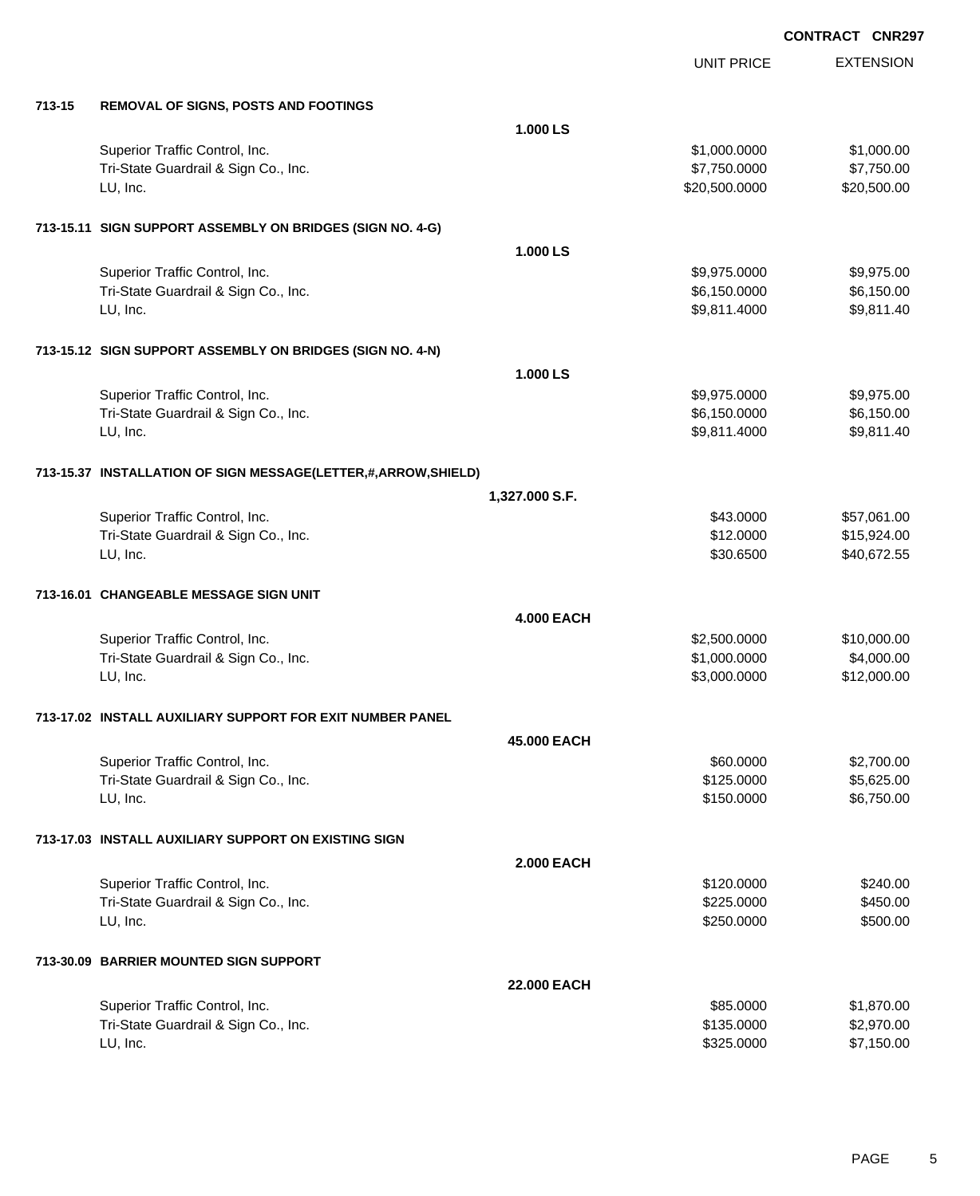|        |                                                               |                   | <b>UNIT PRICE</b> | <b>EXTENSION</b> |
|--------|---------------------------------------------------------------|-------------------|-------------------|------------------|
| 713-15 | <b>REMOVAL OF SIGNS, POSTS AND FOOTINGS</b>                   |                   |                   |                  |
|        |                                                               | 1.000 LS          |                   |                  |
|        | Superior Traffic Control, Inc.                                |                   | \$1,000.0000      | \$1,000.00       |
|        | Tri-State Guardrail & Sign Co., Inc.                          |                   | \$7,750.0000      | \$7,750.00       |
|        | LU, Inc.                                                      |                   | \$20,500.0000     | \$20,500.00      |
|        | 713-15.11 SIGN SUPPORT ASSEMBLY ON BRIDGES (SIGN NO. 4-G)     |                   |                   |                  |
|        |                                                               | 1.000 LS          |                   |                  |
|        | Superior Traffic Control, Inc.                                |                   | \$9,975.0000      | \$9,975.00       |
|        | Tri-State Guardrail & Sign Co., Inc.                          |                   | \$6,150.0000      | \$6,150.00       |
|        | LU, Inc.                                                      |                   | \$9,811.4000      | \$9,811.40       |
|        | 713-15.12 SIGN SUPPORT ASSEMBLY ON BRIDGES (SIGN NO. 4-N)     |                   |                   |                  |
|        |                                                               | 1.000 LS          |                   |                  |
|        | Superior Traffic Control, Inc.                                |                   | \$9,975.0000      | \$9,975.00       |
|        | Tri-State Guardrail & Sign Co., Inc.                          |                   | \$6,150.0000      | \$6,150.00       |
|        | LU, Inc.                                                      |                   | \$9,811.4000      | \$9,811.40       |
|        | 713-15.37 INSTALLATION OF SIGN MESSAGE(LETTER,#,ARROW,SHIELD) |                   |                   |                  |
|        |                                                               | 1,327.000 S.F.    |                   |                  |
|        | Superior Traffic Control, Inc.                                |                   | \$43.0000         | \$57,061.00      |
|        | Tri-State Guardrail & Sign Co., Inc.                          |                   | \$12.0000         | \$15,924.00      |
|        | LU, Inc.                                                      |                   | \$30.6500         | \$40,672.55      |
|        | 713-16.01 CHANGEABLE MESSAGE SIGN UNIT                        |                   |                   |                  |
|        |                                                               | <b>4.000 EACH</b> |                   |                  |
|        | Superior Traffic Control, Inc.                                |                   | \$2,500.0000      | \$10,000.00      |
|        | Tri-State Guardrail & Sign Co., Inc.                          |                   | \$1,000.0000      | \$4,000.00       |
|        | LU, Inc.                                                      |                   | \$3,000.0000      | \$12,000.00      |
|        | 713-17.02 INSTALL AUXILIARY SUPPORT FOR EXIT NUMBER PANEL     |                   |                   |                  |
|        |                                                               | 45,000 EACH       |                   |                  |
|        | Superior Traffic Control, Inc.                                |                   | \$60.0000         | \$2,700.00       |
|        | Tri-State Guardrail & Sign Co., Inc.                          |                   | \$125.0000        | \$5,625.00       |
|        | LU, Inc.                                                      |                   | \$150.0000        | \$6,750.00       |
|        | 713-17.03 INSTALL AUXILIARY SUPPORT ON EXISTING SIGN          |                   |                   |                  |
|        |                                                               | <b>2.000 EACH</b> |                   |                  |
|        | Superior Traffic Control, Inc.                                |                   | \$120.0000        | \$240.00         |
|        | Tri-State Guardrail & Sign Co., Inc.                          |                   | \$225.0000        | \$450.00         |
|        | LU, Inc.                                                      |                   | \$250.0000        | \$500.00         |
|        | 713-30.09 BARRIER MOUNTED SIGN SUPPORT                        |                   |                   |                  |
|        |                                                               | 22.000 EACH       |                   |                  |
|        | Superior Traffic Control, Inc.                                |                   | \$85.0000         | \$1,870.00       |
|        | Tri-State Guardrail & Sign Co., Inc.                          |                   | \$135.0000        | \$2,970.00       |
|        | LU, Inc.                                                      |                   | \$325.0000        | \$7,150.00       |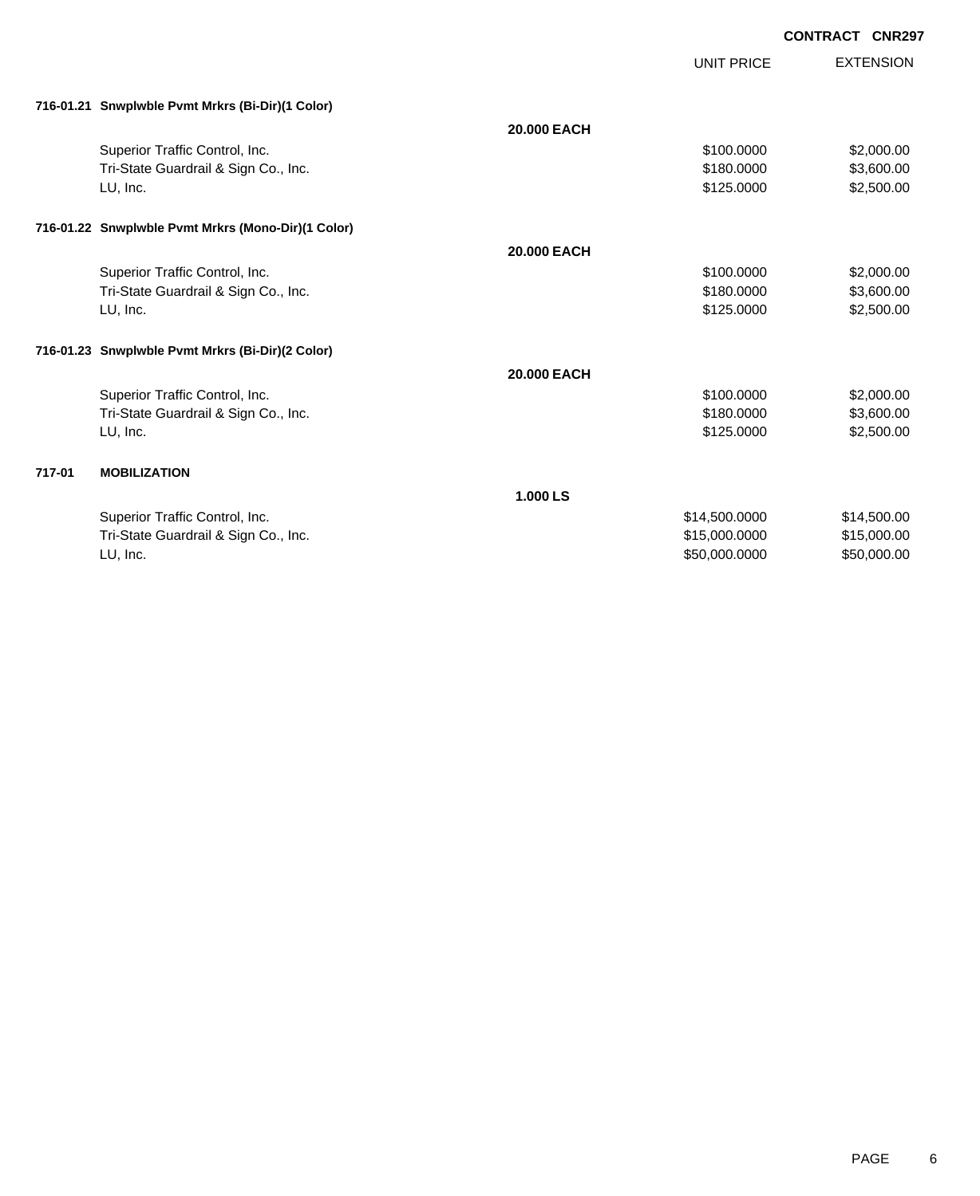|        |                                                    |             | UNIT PRICE    | <b>EXTENSION</b> |
|--------|----------------------------------------------------|-------------|---------------|------------------|
|        | 716-01.21 Snwplwble Pvmt Mrkrs (Bi-Dir)(1 Color)   |             |               |                  |
|        |                                                    | 20,000 EACH |               |                  |
|        | Superior Traffic Control, Inc.                     |             | \$100.0000    | \$2,000.00       |
|        | Tri-State Guardrail & Sign Co., Inc.               |             | \$180,0000    | \$3,600.00       |
|        | LU, Inc.                                           |             | \$125.0000    | \$2,500.00       |
|        | 716-01.22 Snwplwble Pvmt Mrkrs (Mono-Dir)(1 Color) |             |               |                  |
|        |                                                    | 20,000 EACH |               |                  |
|        | Superior Traffic Control, Inc.                     |             | \$100.0000    | \$2,000.00       |
|        | Tri-State Guardrail & Sign Co., Inc.               |             | \$180.0000    | \$3,600.00       |
|        | LU, Inc.                                           |             | \$125.0000    | \$2,500.00       |
|        | 716-01.23 Snwplwble Pvmt Mrkrs (Bi-Dir)(2 Color)   |             |               |                  |
|        |                                                    | 20,000 EACH |               |                  |
|        | Superior Traffic Control, Inc.                     |             | \$100.0000    | \$2,000.00       |
|        | Tri-State Guardrail & Sign Co., Inc.               |             | \$180,0000    | \$3,600.00       |
|        | LU, Inc.                                           |             | \$125.0000    | \$2,500.00       |
|        |                                                    |             |               |                  |
| 717-01 | <b>MOBILIZATION</b>                                |             |               |                  |
|        |                                                    | 1.000 LS    |               |                  |
|        | Superior Traffic Control, Inc.                     |             | \$14,500.0000 | \$14,500.00      |
|        | Tri-State Guardrail & Sign Co., Inc.               |             | \$15,000.0000 | \$15,000.00      |
|        | LU, Inc.                                           |             | \$50,000.0000 | \$50,000.00      |
|        |                                                    |             |               |                  |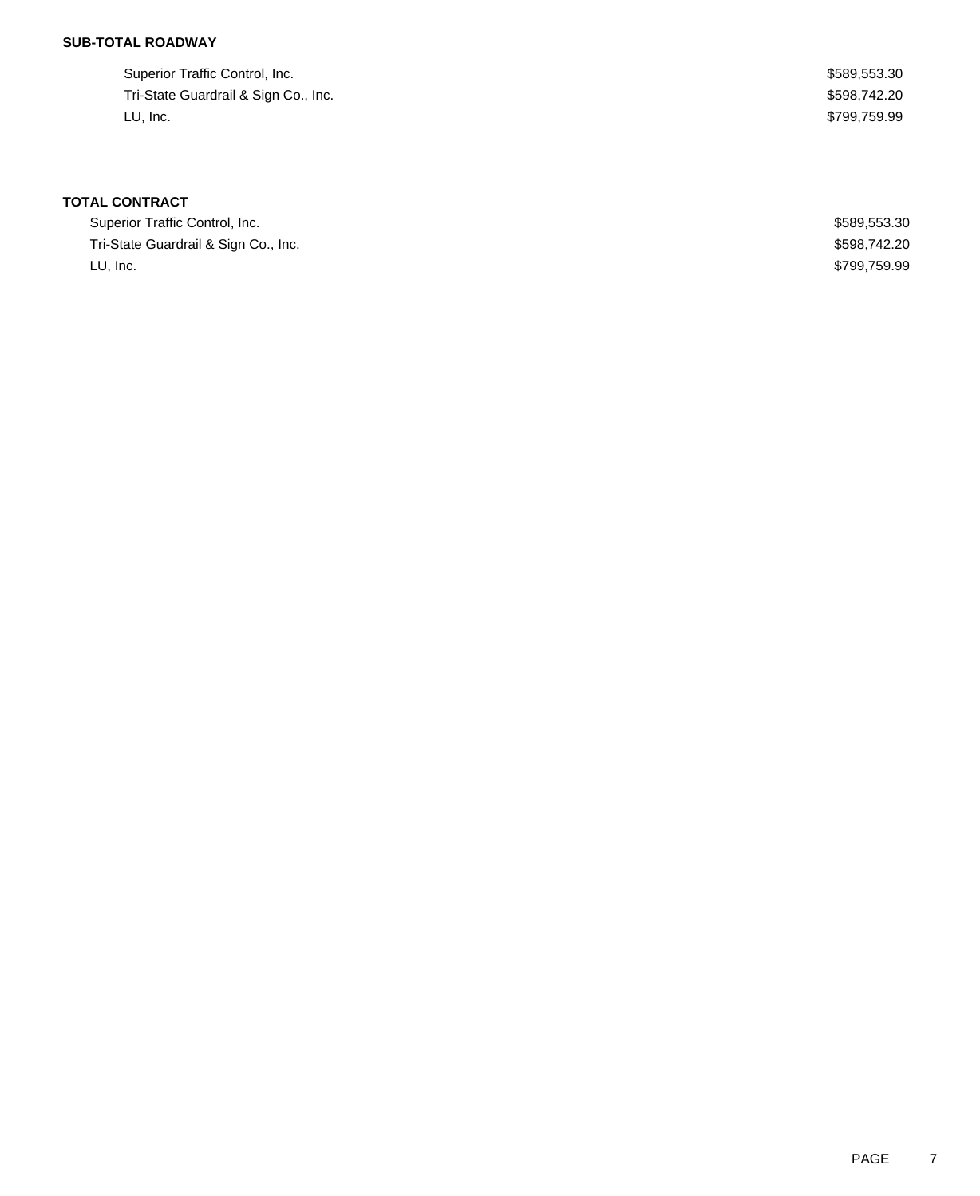## **SUB-TOTAL ROADWAY**

| Superior Traffic Control, Inc.       | \$589,553.30 |
|--------------------------------------|--------------|
| Tri-State Guardrail & Sign Co., Inc. | \$598.742.20 |
| LU. Inc.                             | \$799,759.99 |

| Superior Traffic Control, Inc.       | \$589,553.30 |
|--------------------------------------|--------------|
| Tri-State Guardrail & Sign Co., Inc. | \$598,742,20 |
| LU. Inc.                             | \$799,759.99 |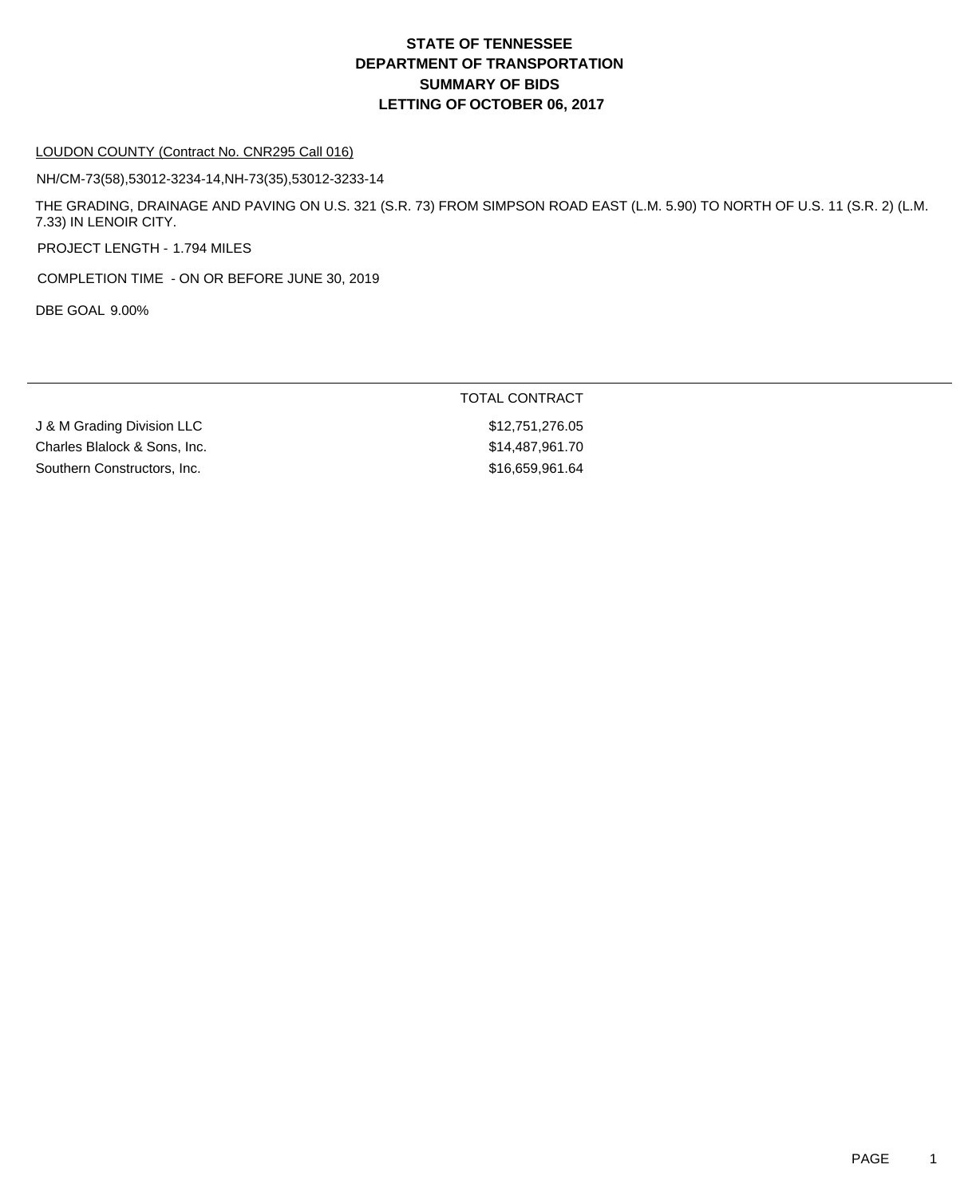#### LOUDON COUNTY (Contract No. CNR295 Call 016)

NH/CM-73(58),53012-3234-14,NH-73(35),53012-3233-14

THE GRADING, DRAINAGE AND PAVING ON U.S. 321 (S.R. 73) FROM SIMPSON ROAD EAST (L.M. 5.90) TO NORTH OF U.S. 11 (S.R. 2) (L.M. 7.33) IN LENOIR CITY.

PROJECT LENGTH - 1.794 MILES

COMPLETION TIME - ON OR BEFORE JUNE 30, 2019

DBE GOAL 9.00%

|                              | TOTAL CONTRACT  |
|------------------------------|-----------------|
| J & M Grading Division LLC   | \$12.751.276.05 |
| Charles Blalock & Sons, Inc. | \$14.487.961.70 |
| Southern Constructors, Inc.  | \$16,659,961.64 |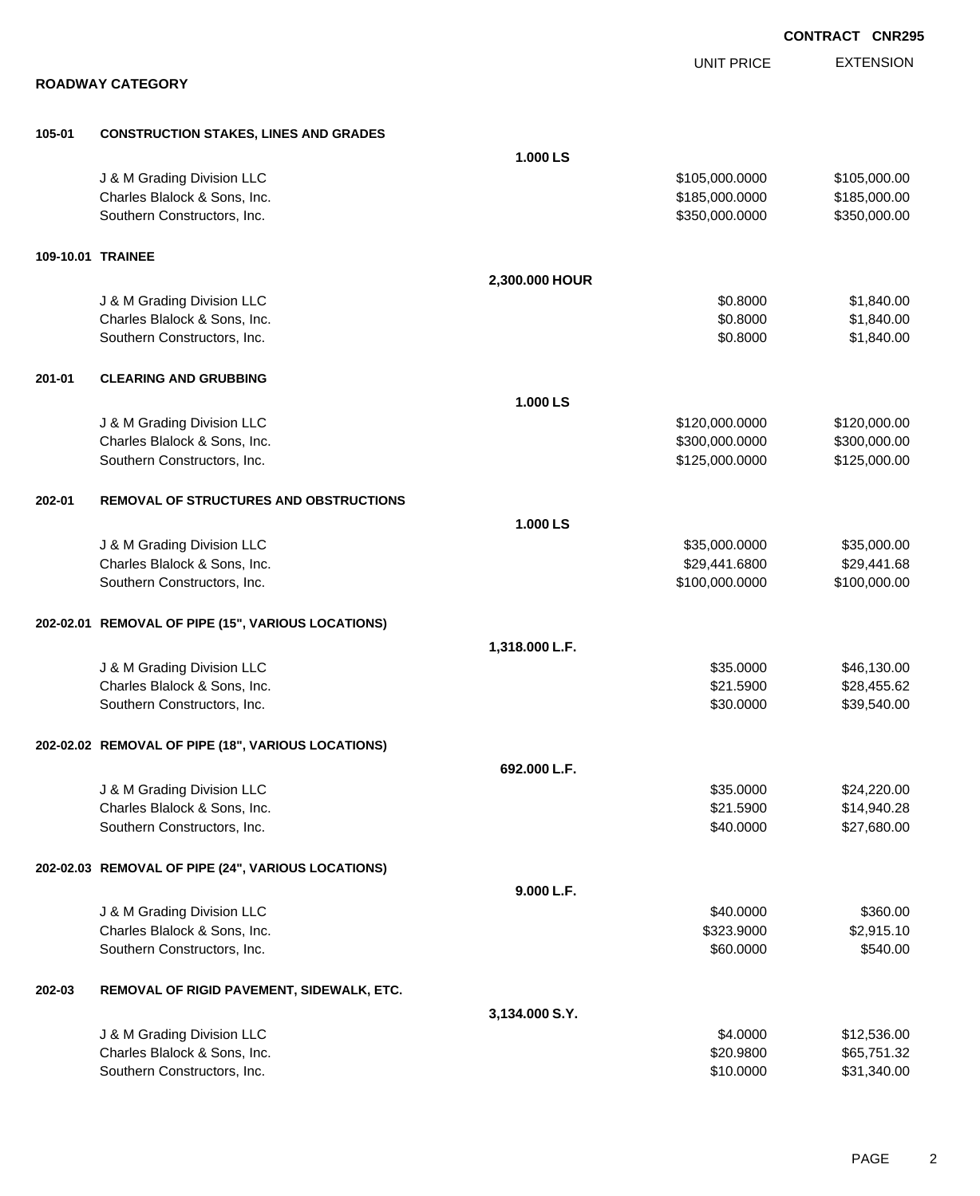|        |                                                    |                |                   | <b>CONTRACT CNR29</b> |
|--------|----------------------------------------------------|----------------|-------------------|-----------------------|
|        |                                                    |                | <b>UNIT PRICE</b> | <b>EXTENSION</b>      |
|        | <b>ROADWAY CATEGORY</b>                            |                |                   |                       |
| 105-01 | <b>CONSTRUCTION STAKES, LINES AND GRADES</b>       |                |                   |                       |
|        |                                                    | 1.000 LS       |                   |                       |
|        | J & M Grading Division LLC                         |                | \$105,000.0000    | \$105,000.00          |
|        | Charles Blalock & Sons, Inc.                       |                | \$185,000.0000    | \$185,000.00          |
|        | Southern Constructors, Inc.                        |                | \$350,000.0000    | \$350,000.00          |
|        | 109-10.01 TRAINEE                                  |                |                   |                       |
|        |                                                    | 2,300.000 HOUR |                   |                       |
|        | J & M Grading Division LLC                         |                | \$0.8000          | \$1,840.00            |
|        | Charles Blalock & Sons, Inc.                       |                | \$0.8000          | \$1,840.00            |
|        | Southern Constructors, Inc.                        |                | \$0.8000          | \$1,840.00            |
| 201-01 | <b>CLEARING AND GRUBBING</b>                       |                |                   |                       |
|        |                                                    | 1.000 LS       |                   |                       |
|        | J & M Grading Division LLC                         |                | \$120,000.0000    | \$120,000.00          |
|        | Charles Blalock & Sons, Inc.                       |                | \$300,000.0000    | \$300,000.00          |
|        | Southern Constructors, Inc.                        |                | \$125,000.0000    | \$125,000.00          |
| 202-01 | <b>REMOVAL OF STRUCTURES AND OBSTRUCTIONS</b>      |                |                   |                       |
|        |                                                    | 1.000 LS       |                   |                       |
|        | J & M Grading Division LLC                         |                | \$35,000.0000     | \$35,000.00           |
|        | Charles Blalock & Sons, Inc.                       |                | \$29,441.6800     | \$29,441.68           |
|        | Southern Constructors, Inc.                        |                | \$100,000.0000    | \$100,000.00          |
|        | 202-02.01 REMOVAL OF PIPE (15", VARIOUS LOCATIONS) |                |                   |                       |
|        |                                                    | 1,318.000 L.F. |                   |                       |
|        | J & M Grading Division LLC                         |                | \$35.0000         | \$46,130.00           |
|        | Charles Blalock & Sons, Inc.                       |                | \$21.5900         | \$28,455.62           |
|        | Southern Constructors, Inc.                        |                | \$30.0000         | \$39,540.00           |
|        | 202-02.02 REMOVAL OF PIPE (18", VARIOUS LOCATIONS) |                |                   |                       |
|        |                                                    | 692.000 L.F.   |                   |                       |
|        | J & M Grading Division LLC                         |                | \$35.0000         | \$24,220.00           |
|        | Charles Blalock & Sons, Inc.                       |                | \$21.5900         | \$14,940.28           |
|        | Southern Constructors, Inc.                        |                | \$40.0000         | \$27,680.00           |
|        | 202-02.03 REMOVAL OF PIPE (24", VARIOUS LOCATIONS) |                |                   |                       |
|        |                                                    | 9.000 L.F.     |                   |                       |
|        | J & M Grading Division LLC                         |                | \$40.0000         | \$360.00              |
|        | Charles Blalock & Sons, Inc.                       |                | \$323.9000        | \$2,915.10            |
|        | Southern Constructors, Inc.                        |                | \$60.0000         | \$540.00              |
| 202-03 | REMOVAL OF RIGID PAVEMENT, SIDEWALK, ETC.          |                |                   |                       |
|        |                                                    | 3,134.000 S.Y. |                   |                       |
|        | J & M Grading Division LLC                         |                | \$4.0000          | \$12,536.00           |
|        | Charles Blalock & Sons, Inc.                       |                | \$20.9800         | \$65,751.32           |
|        | Southern Constructors, Inc.                        |                | \$10.0000         | \$31,340.00           |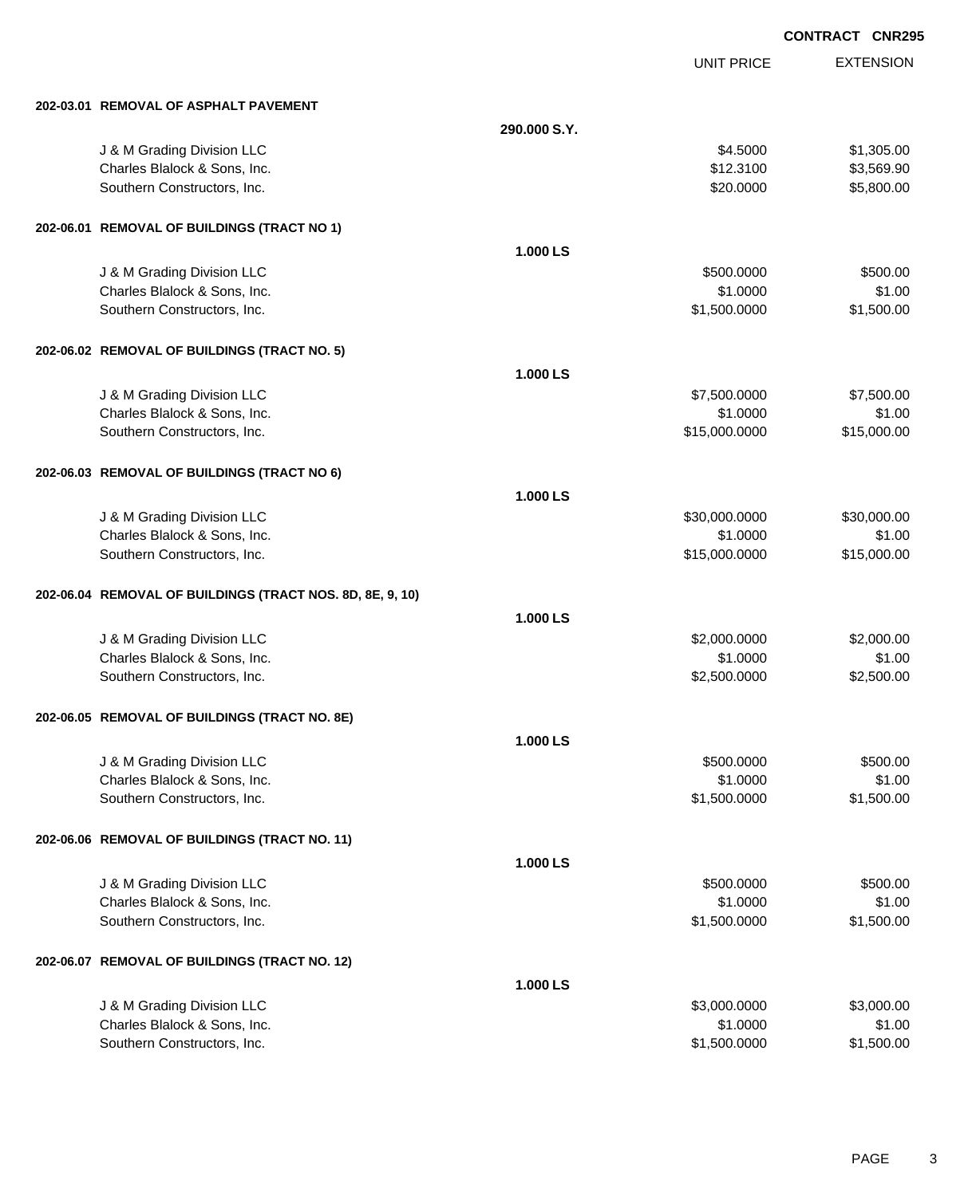|                                                           |              | <b>UNIT PRICE</b> | <b>EXTENSION</b> |
|-----------------------------------------------------------|--------------|-------------------|------------------|
| 202-03.01 REMOVAL OF ASPHALT PAVEMENT                     |              |                   |                  |
|                                                           | 290,000 S.Y. |                   |                  |
| J & M Grading Division LLC                                |              | \$4.5000          | \$1,305.00       |
| Charles Blalock & Sons, Inc.                              |              | \$12.3100         | \$3,569.90       |
| Southern Constructors, Inc.                               |              | \$20.0000         | \$5,800.00       |
| 202-06.01 REMOVAL OF BUILDINGS (TRACT NO 1)               |              |                   |                  |
|                                                           | 1.000 LS     |                   |                  |
| J & M Grading Division LLC                                |              | \$500.0000        | \$500.00         |
| Charles Blalock & Sons, Inc.                              |              | \$1.0000          | \$1.00           |
| Southern Constructors, Inc.                               |              | \$1,500.0000      | \$1,500.00       |
| 202-06.02 REMOVAL OF BUILDINGS (TRACT NO. 5)              |              |                   |                  |
|                                                           | 1.000 LS     |                   |                  |
| J & M Grading Division LLC                                |              | \$7,500.0000      | \$7,500.00       |
| Charles Blalock & Sons, Inc.                              |              | \$1.0000          | \$1.00           |
| Southern Constructors, Inc.                               |              | \$15,000.0000     | \$15,000.00      |
| 202-06.03 REMOVAL OF BUILDINGS (TRACT NO 6)               |              |                   |                  |
|                                                           | 1.000 LS     |                   |                  |
| J & M Grading Division LLC                                |              | \$30,000.0000     | \$30,000.00      |
| Charles Blalock & Sons, Inc.                              |              | \$1.0000          | \$1.00           |
| Southern Constructors, Inc.                               |              | \$15,000.0000     | \$15,000.00      |
| 202-06.04 REMOVAL OF BUILDINGS (TRACT NOS. 8D, 8E, 9, 10) |              |                   |                  |
|                                                           | 1.000 LS     |                   |                  |
| J & M Grading Division LLC                                |              | \$2,000.0000      | \$2,000.00       |
| Charles Blalock & Sons, Inc.                              |              | \$1.0000          | \$1.00           |
| Southern Constructors, Inc.                               |              | \$2,500.0000      | \$2,500.00       |
| 202-06.05 REMOVAL OF BUILDINGS (TRACT NO. 8E)             |              |                   |                  |
|                                                           | 1.000 LS     |                   |                  |
| J & M Grading Division LLC                                |              | \$500.0000        | \$500.00         |
| Charles Blalock & Sons, Inc.                              |              | \$1.0000          | \$1.00           |
| Southern Constructors, Inc.                               |              | \$1,500.0000      | \$1,500.00       |
| 202-06.06 REMOVAL OF BUILDINGS (TRACT NO. 11)             |              |                   |                  |
|                                                           | 1.000 LS     |                   |                  |
| J & M Grading Division LLC                                |              | \$500.0000        | \$500.00         |
| Charles Blalock & Sons, Inc.                              |              | \$1.0000          | \$1.00           |
| Southern Constructors, Inc.                               |              | \$1,500.0000      | \$1,500.00       |
| 202-06.07 REMOVAL OF BUILDINGS (TRACT NO. 12)             |              |                   |                  |
|                                                           | 1.000 LS     |                   |                  |
| J & M Grading Division LLC                                |              | \$3,000.0000      | \$3,000.00       |
| Charles Blalock & Sons, Inc.                              |              | \$1.0000          | \$1.00           |
| Southern Constructors, Inc.                               |              | \$1,500.0000      | \$1,500.00       |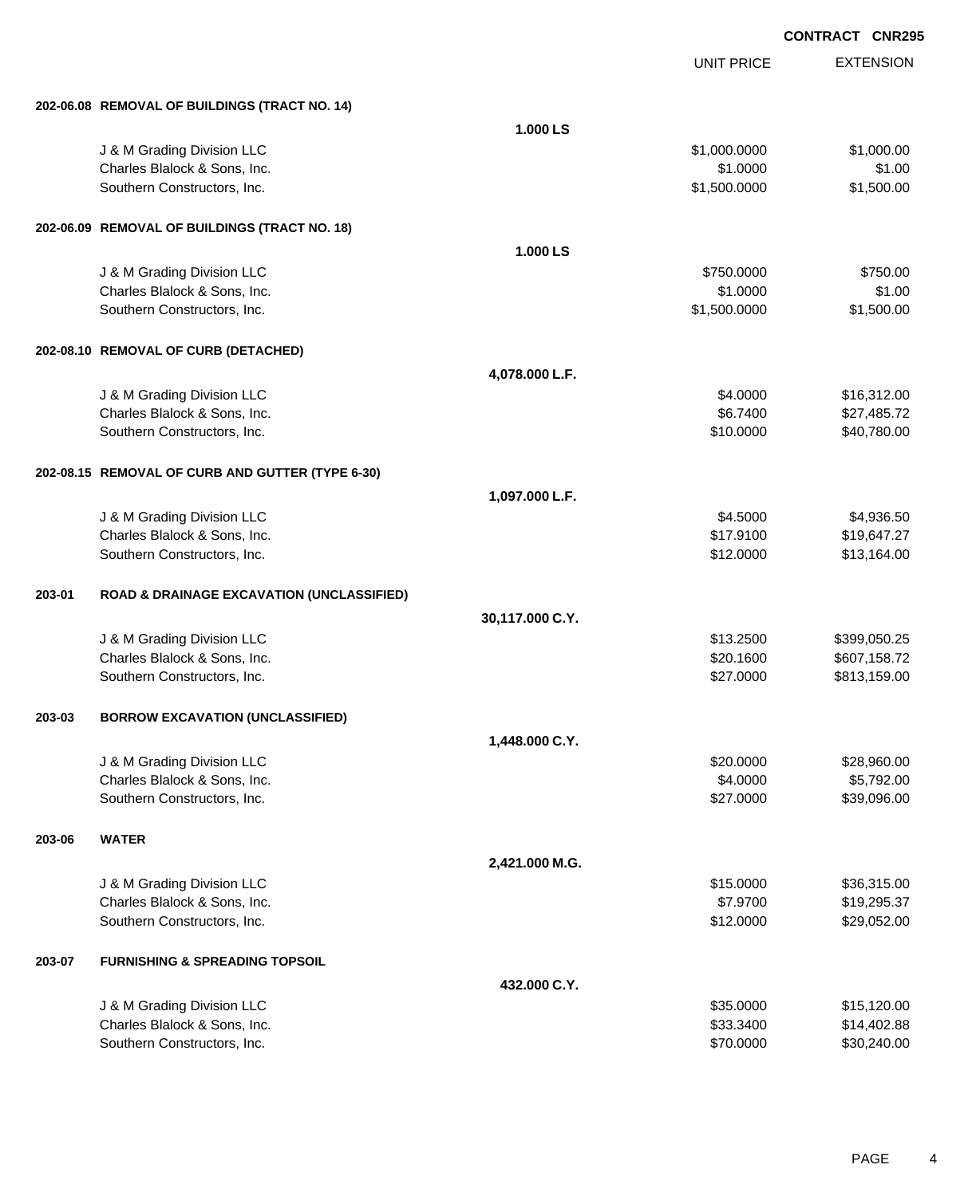|        |                                                      |                 | <b>UNIT PRICE</b> | <b>EXTENSION</b> |
|--------|------------------------------------------------------|-----------------|-------------------|------------------|
|        | 202-06.08 REMOVAL OF BUILDINGS (TRACT NO. 14)        |                 |                   |                  |
|        |                                                      | 1.000 LS        |                   |                  |
|        | J & M Grading Division LLC                           |                 | \$1,000.0000      | \$1,000.00       |
|        | Charles Blalock & Sons, Inc.                         |                 | \$1.0000          | \$1.00           |
|        | Southern Constructors, Inc.                          |                 | \$1,500.0000      | \$1,500.00       |
|        | 202-06.09 REMOVAL OF BUILDINGS (TRACT NO. 18)        |                 |                   |                  |
|        |                                                      | 1.000 LS        |                   |                  |
|        | J & M Grading Division LLC                           |                 | \$750.0000        | \$750.00         |
|        | Charles Blalock & Sons, Inc.                         |                 | \$1.0000          | \$1.00           |
|        | Southern Constructors, Inc.                          |                 | \$1,500.0000      | \$1,500.00       |
|        | 202-08.10 REMOVAL OF CURB (DETACHED)                 |                 |                   |                  |
|        |                                                      | 4,078.000 L.F.  |                   |                  |
|        | J & M Grading Division LLC                           |                 | \$4.0000          | \$16,312.00      |
|        | Charles Blalock & Sons, Inc.                         |                 | \$6.7400          | \$27,485.72      |
|        | Southern Constructors, Inc.                          |                 | \$10.0000         | \$40,780.00      |
|        | 202-08.15 REMOVAL OF CURB AND GUTTER (TYPE 6-30)     |                 |                   |                  |
|        |                                                      | 1,097.000 L.F.  |                   |                  |
|        | J & M Grading Division LLC                           |                 | \$4.5000          | \$4,936.50       |
|        | Charles Blalock & Sons, Inc.                         |                 | \$17.9100         | \$19,647.27      |
|        | Southern Constructors, Inc.                          |                 | \$12.0000         | \$13,164.00      |
| 203-01 | <b>ROAD &amp; DRAINAGE EXCAVATION (UNCLASSIFIED)</b> |                 |                   |                  |
|        |                                                      | 30,117.000 C.Y. |                   |                  |
|        | J & M Grading Division LLC                           |                 | \$13.2500         | \$399,050.25     |
|        | Charles Blalock & Sons, Inc.                         |                 | \$20.1600         | \$607,158.72     |
|        | Southern Constructors, Inc.                          |                 | \$27.0000         | \$813,159.00     |
| 203-03 | <b>BORROW EXCAVATION (UNCLASSIFIED)</b>              |                 |                   |                  |
|        |                                                      | 1,448.000 C.Y.  |                   |                  |
|        | J & M Grading Division LLC                           |                 | \$20.0000         | \$28,960.00      |
|        | Charles Blalock & Sons, Inc.                         |                 | \$4.0000          | \$5,792.00       |
|        | Southern Constructors, Inc.                          |                 | \$27.0000         | \$39,096.00      |
| 203-06 | <b>WATER</b>                                         |                 |                   |                  |
|        |                                                      | 2,421.000 M.G.  |                   |                  |
|        | J & M Grading Division LLC                           |                 | \$15.0000         | \$36,315.00      |
|        | Charles Blalock & Sons, Inc.                         |                 | \$7.9700          | \$19,295.37      |
|        | Southern Constructors, Inc.                          |                 | \$12.0000         | \$29,052.00      |
| 203-07 | <b>FURNISHING &amp; SPREADING TOPSOIL</b>            |                 |                   |                  |
|        |                                                      | 432.000 C.Y.    |                   |                  |
|        | J & M Grading Division LLC                           |                 | \$35.0000         | \$15,120.00      |
|        | Charles Blalock & Sons, Inc.                         |                 | \$33.3400         | \$14,402.88      |
|        | Southern Constructors, Inc.                          |                 | \$70.0000         | \$30,240.00      |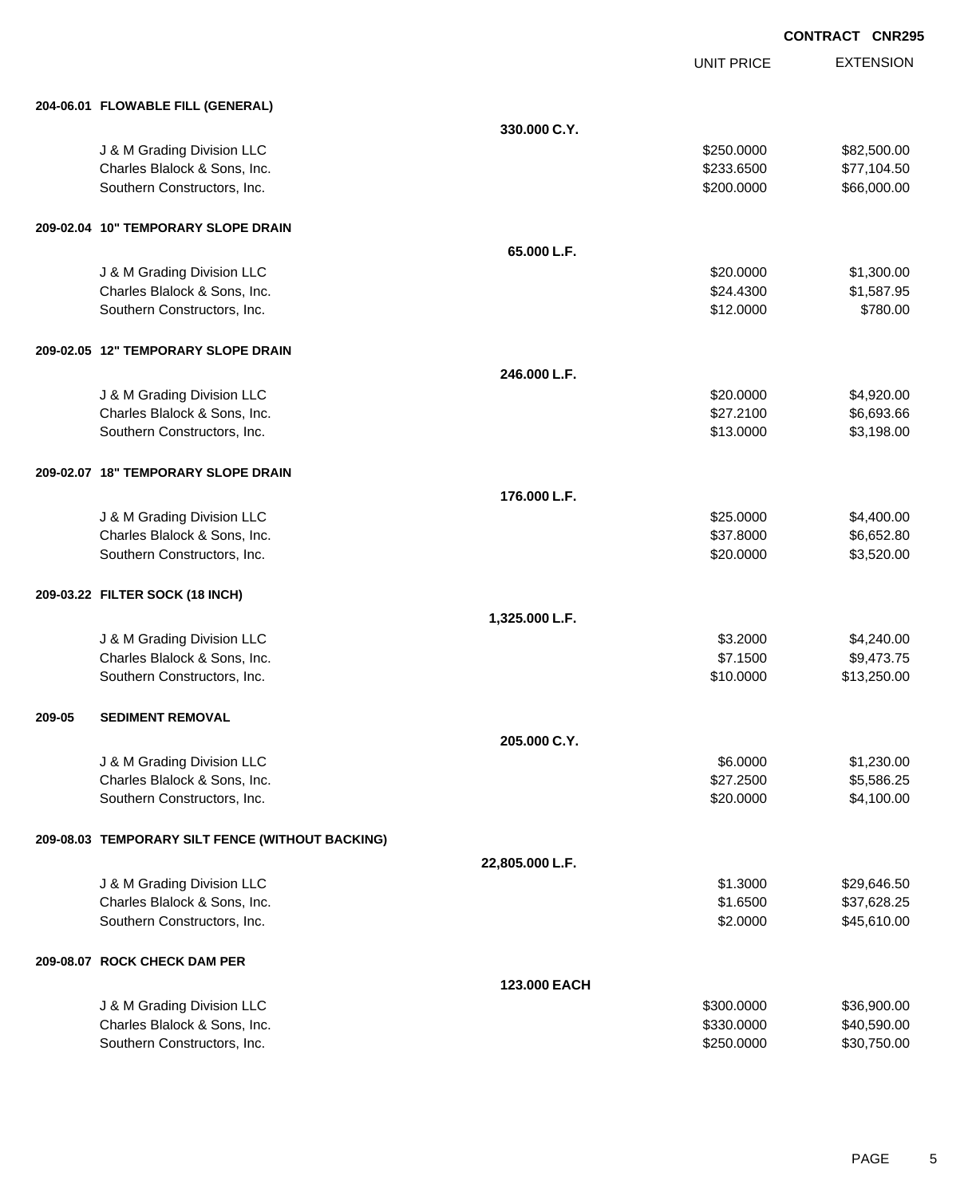UNIT PRICE EXTENSION

|        | 204-06.01 FLOWABLE FILL (GENERAL)                |                 |            |             |
|--------|--------------------------------------------------|-----------------|------------|-------------|
|        |                                                  | 330.000 C.Y.    |            |             |
|        | J & M Grading Division LLC                       |                 | \$250.0000 | \$82,500.00 |
|        | Charles Blalock & Sons, Inc.                     |                 | \$233.6500 | \$77,104.50 |
|        | Southern Constructors, Inc.                      |                 | \$200.0000 | \$66,000.00 |
|        | 209-02.04 10" TEMPORARY SLOPE DRAIN              |                 |            |             |
|        |                                                  | 65.000 L.F.     |            |             |
|        | J & M Grading Division LLC                       |                 | \$20.0000  | \$1,300.00  |
|        | Charles Blalock & Sons, Inc.                     |                 | \$24.4300  | \$1,587.95  |
|        | Southern Constructors, Inc.                      |                 | \$12.0000  | \$780.00    |
|        | 209-02.05 12" TEMPORARY SLOPE DRAIN              |                 |            |             |
|        |                                                  | 246.000 L.F.    |            |             |
|        | J & M Grading Division LLC                       |                 | \$20.0000  | \$4,920.00  |
|        | Charles Blalock & Sons, Inc.                     |                 | \$27.2100  | \$6,693.66  |
|        | Southern Constructors, Inc.                      |                 | \$13.0000  | \$3,198.00  |
|        | 209-02.07 18" TEMPORARY SLOPE DRAIN              |                 |            |             |
|        |                                                  | 176.000 L.F.    |            |             |
|        | J & M Grading Division LLC                       |                 | \$25.0000  | \$4,400.00  |
|        | Charles Blalock & Sons, Inc.                     |                 | \$37.8000  | \$6,652.80  |
|        | Southern Constructors, Inc.                      |                 | \$20.0000  | \$3,520.00  |
|        | 209-03.22 FILTER SOCK (18 INCH)                  |                 |            |             |
|        |                                                  | 1,325.000 L.F.  |            |             |
|        | J & M Grading Division LLC                       |                 | \$3.2000   | \$4,240.00  |
|        | Charles Blalock & Sons, Inc.                     |                 | \$7.1500   | \$9,473.75  |
|        | Southern Constructors, Inc.                      |                 | \$10.0000  | \$13,250.00 |
| 209-05 | <b>SEDIMENT REMOVAL</b>                          |                 |            |             |
|        |                                                  | 205.000 C.Y.    |            |             |
|        | J & M Grading Division LLC                       |                 | \$6.0000   | \$1,230.00  |
|        | Charles Blalock & Sons, Inc.                     |                 | \$27.2500  | \$5,586.25  |
|        | Southern Constructors, Inc.                      |                 | \$20.0000  | \$4,100.00  |
|        | 209-08.03 TEMPORARY SILT FENCE (WITHOUT BACKING) |                 |            |             |
|        |                                                  | 22,805.000 L.F. |            |             |
|        | J & M Grading Division LLC                       |                 | \$1.3000   | \$29,646.50 |
|        | Charles Blalock & Sons, Inc.                     |                 | \$1.6500   | \$37,628.25 |
|        | Southern Constructors, Inc.                      |                 | \$2.0000   | \$45,610.00 |
|        | 209-08.07 ROCK CHECK DAM PER                     |                 |            |             |
|        |                                                  | 123.000 EACH    |            |             |
|        | J & M Grading Division LLC                       |                 | \$300.0000 | \$36,900.00 |
|        | Charles Blalock & Sons, Inc.                     |                 | \$330.0000 | \$40,590.00 |
|        | Southern Constructors, Inc.                      |                 | \$250.0000 | \$30,750.00 |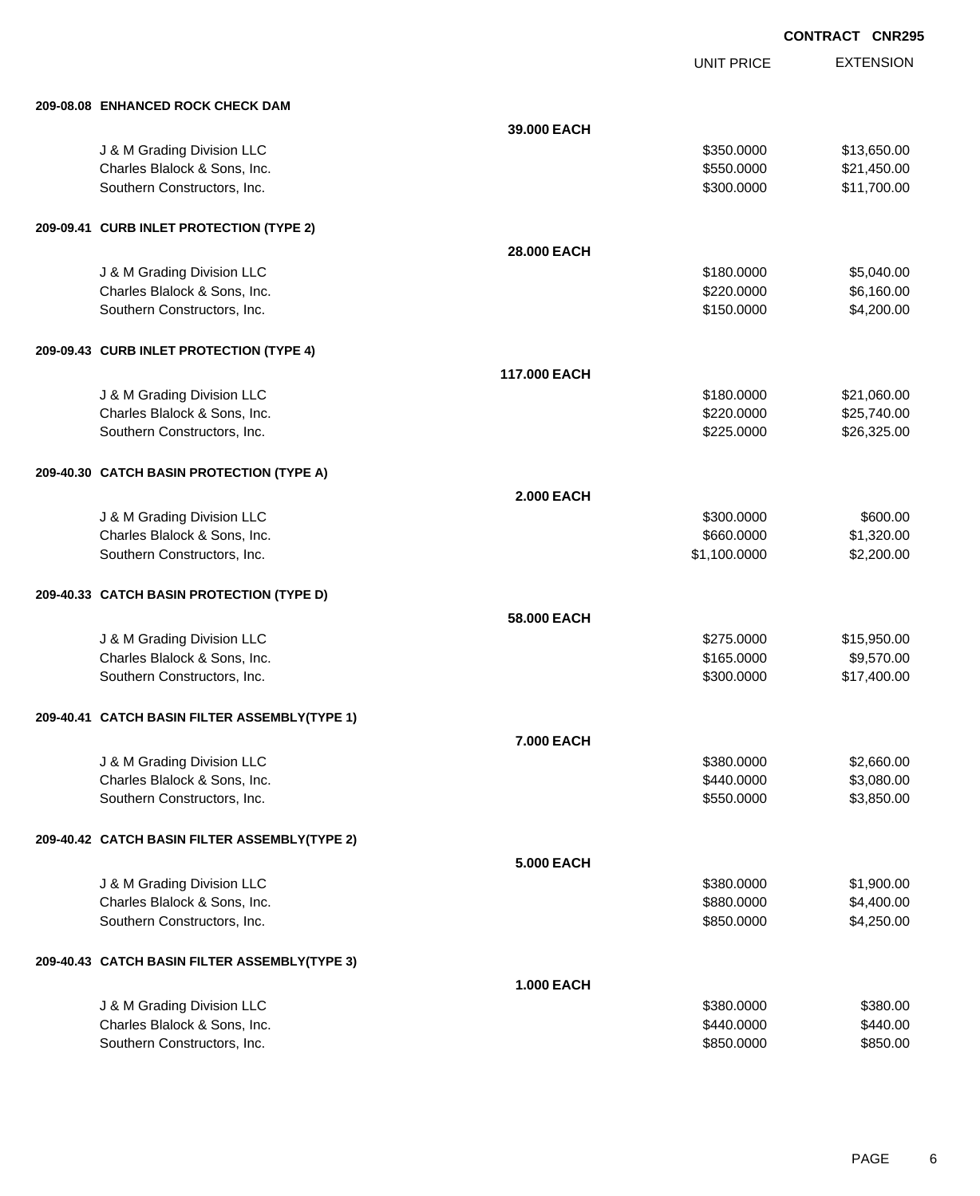UNIT PRICE EXTENSION

| 209-08.08 ENHANCED ROCK CHECK DAM             |                   |              |             |
|-----------------------------------------------|-------------------|--------------|-------------|
|                                               | 39,000 EACH       |              |             |
| J & M Grading Division LLC                    |                   | \$350,0000   | \$13,650.00 |
| Charles Blalock & Sons, Inc.                  |                   | \$550.0000   | \$21,450.00 |
| Southern Constructors, Inc.                   |                   | \$300.0000   | \$11,700.00 |
|                                               |                   |              |             |
| 209-09.41 CURB INLET PROTECTION (TYPE 2)      |                   |              |             |
|                                               | 28,000 EACH       |              |             |
| J & M Grading Division LLC                    |                   | \$180.0000   | \$5,040.00  |
| Charles Blalock & Sons, Inc.                  |                   | \$220.0000   | \$6,160.00  |
| Southern Constructors, Inc.                   |                   | \$150.0000   | \$4,200.00  |
| 209-09.43 CURB INLET PROTECTION (TYPE 4)      |                   |              |             |
|                                               | 117,000 EACH      |              |             |
| J & M Grading Division LLC                    |                   | \$180,0000   | \$21,060.00 |
| Charles Blalock & Sons, Inc.                  |                   | \$220.0000   | \$25,740.00 |
| Southern Constructors, Inc.                   |                   | \$225.0000   | \$26,325.00 |
|                                               |                   |              |             |
| 209-40.30 CATCH BASIN PROTECTION (TYPE A)     |                   |              |             |
|                                               | <b>2.000 EACH</b> |              |             |
| J & M Grading Division LLC                    |                   | \$300.0000   | \$600.00    |
| Charles Blalock & Sons, Inc.                  |                   | \$660.0000   | \$1,320.00  |
| Southern Constructors, Inc.                   |                   | \$1,100.0000 | \$2,200.00  |
|                                               |                   |              |             |
| 209-40.33 CATCH BASIN PROTECTION (TYPE D)     |                   |              |             |
|                                               | 58.000 EACH       |              |             |
| J & M Grading Division LLC                    |                   | \$275.0000   | \$15,950.00 |
| Charles Blalock & Sons, Inc.                  |                   | \$165.0000   | \$9,570.00  |
| Southern Constructors, Inc.                   |                   | \$300.0000   | \$17,400.00 |
| 209-40.41 CATCH BASIN FILTER ASSEMBLY(TYPE 1) |                   |              |             |
|                                               | 7.000 EACH        |              |             |
| J & M Grading Division LLC                    |                   | \$380.0000   | \$2,660.00  |
| Charles Blalock & Sons, Inc.                  |                   | \$440.0000   | \$3,080.00  |
| Southern Constructors, Inc.                   |                   | \$550.0000   | \$3,850.00  |
| 209-40.42 CATCH BASIN FILTER ASSEMBLY(TYPE 2) |                   |              |             |
|                                               | 5.000 EACH        |              |             |
| J & M Grading Division LLC                    |                   | \$380.0000   | \$1,900.00  |
| Charles Blalock & Sons, Inc.                  |                   | \$880.0000   | \$4,400.00  |
| Southern Constructors, Inc.                   |                   | \$850.0000   | \$4,250.00  |
| 209-40.43 CATCH BASIN FILTER ASSEMBLY(TYPE 3) |                   |              |             |
|                                               | <b>1.000 EACH</b> |              |             |
| J & M Grading Division LLC                    |                   | \$380.0000   | \$380.00    |
| Charles Blalock & Sons, Inc.                  |                   | \$440.0000   | \$440.00    |
| Southern Constructors, Inc.                   |                   | \$850.0000   | \$850.00    |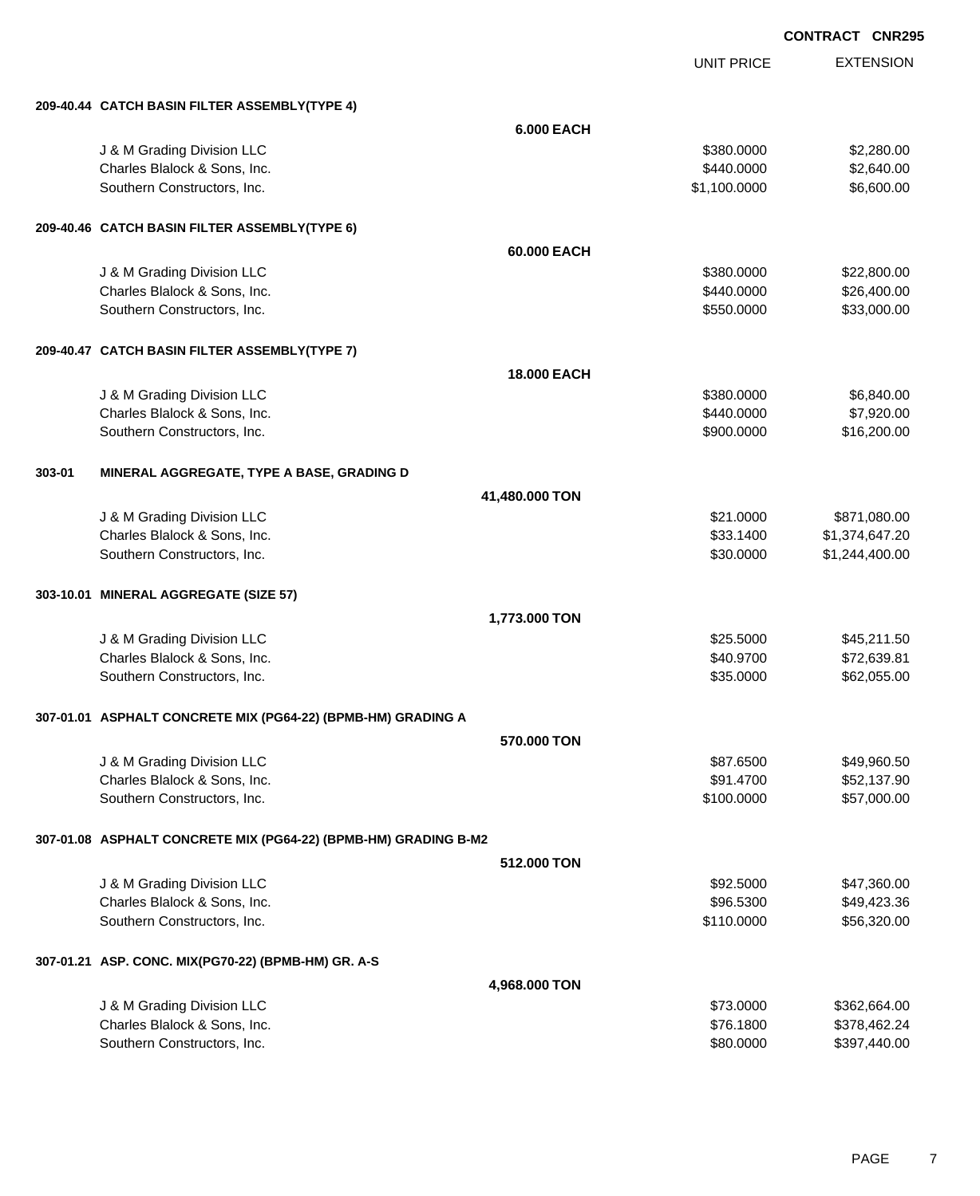UNIT PRICE

EXTENSION

|        | 209-40.44 CATCH BASIN FILTER ASSEMBLY(TYPE 4)                   |                    |                        |                              |
|--------|-----------------------------------------------------------------|--------------------|------------------------|------------------------------|
|        |                                                                 | <b>6.000 EACH</b>  |                        |                              |
|        | J & M Grading Division LLC                                      |                    | \$380.0000             | \$2,280.00                   |
|        | Charles Blalock & Sons, Inc.                                    |                    | \$440.0000             | \$2,640.00                   |
|        | Southern Constructors, Inc.                                     |                    | \$1,100.0000           | \$6,600.00                   |
|        | 209-40.46 CATCH BASIN FILTER ASSEMBLY(TYPE 6)                   |                    |                        |                              |
|        |                                                                 | 60,000 EACH        |                        |                              |
|        | J & M Grading Division LLC                                      |                    | \$380.0000             | \$22,800.00                  |
|        | Charles Blalock & Sons, Inc.                                    |                    | \$440.0000             | \$26,400.00                  |
|        | Southern Constructors, Inc.                                     |                    | \$550.0000             | \$33,000.00                  |
|        | 209-40.47 CATCH BASIN FILTER ASSEMBLY(TYPE 7)                   |                    |                        |                              |
|        |                                                                 | <b>18.000 EACH</b> |                        |                              |
|        | J & M Grading Division LLC                                      |                    | \$380.0000             | \$6,840.00                   |
|        | Charles Blalock & Sons, Inc.                                    |                    | \$440.0000             | \$7,920.00                   |
|        | Southern Constructors, Inc.                                     |                    | \$900.0000             | \$16,200.00                  |
| 303-01 | MINERAL AGGREGATE, TYPE A BASE, GRADING D                       |                    |                        |                              |
|        |                                                                 | 41,480.000 TON     |                        |                              |
|        | J & M Grading Division LLC                                      |                    | \$21.0000              | \$871,080.00                 |
|        | Charles Blalock & Sons, Inc.                                    |                    | \$33.1400              | \$1,374,647.20               |
|        | Southern Constructors, Inc.                                     |                    | \$30.0000              | \$1,244,400.00               |
|        | 303-10.01 MINERAL AGGREGATE (SIZE 57)                           |                    |                        |                              |
|        |                                                                 | 1,773.000 TON      |                        |                              |
|        | J & M Grading Division LLC                                      |                    | \$25.5000              | \$45,211.50                  |
|        | Charles Blalock & Sons, Inc.                                    |                    | \$40.9700              | \$72,639.81                  |
|        | Southern Constructors, Inc.                                     |                    | \$35.0000              | \$62,055.00                  |
|        | 307-01.01 ASPHALT CONCRETE MIX (PG64-22) (BPMB-HM) GRADING A    |                    |                        |                              |
|        |                                                                 | 570.000 TON        |                        |                              |
|        | J & M Grading Division LLC                                      |                    | \$87.6500              | \$49,960.50                  |
|        | Charles Blalock & Sons, Inc.                                    |                    | \$91.4700              | \$52,137.90                  |
|        | Southern Constructors, Inc.                                     |                    | \$100,0000             | \$57,000.00                  |
|        | 307-01.08 ASPHALT CONCRETE MIX (PG64-22) (BPMB-HM) GRADING B-M2 |                    |                        |                              |
|        |                                                                 | 512.000 TON        |                        |                              |
|        | J & M Grading Division LLC                                      |                    | \$92.5000              | \$47,360.00                  |
|        | Charles Blalock & Sons, Inc.                                    |                    | \$96.5300              | \$49,423.36                  |
|        | Southern Constructors, Inc.                                     |                    | \$110.0000             | \$56,320.00                  |
|        |                                                                 |                    |                        |                              |
|        | 307-01.21 ASP. CONC. MIX(PG70-22) (BPMB-HM) GR. A-S             |                    |                        |                              |
|        |                                                                 | 4,968.000 TON      |                        |                              |
|        | J & M Grading Division LLC                                      |                    | \$73.0000              | \$362,664.00                 |
|        | Charles Blalock & Sons, Inc.<br>Southern Constructors, Inc.     |                    | \$76.1800<br>\$80.0000 | \$378,462.24<br>\$397,440.00 |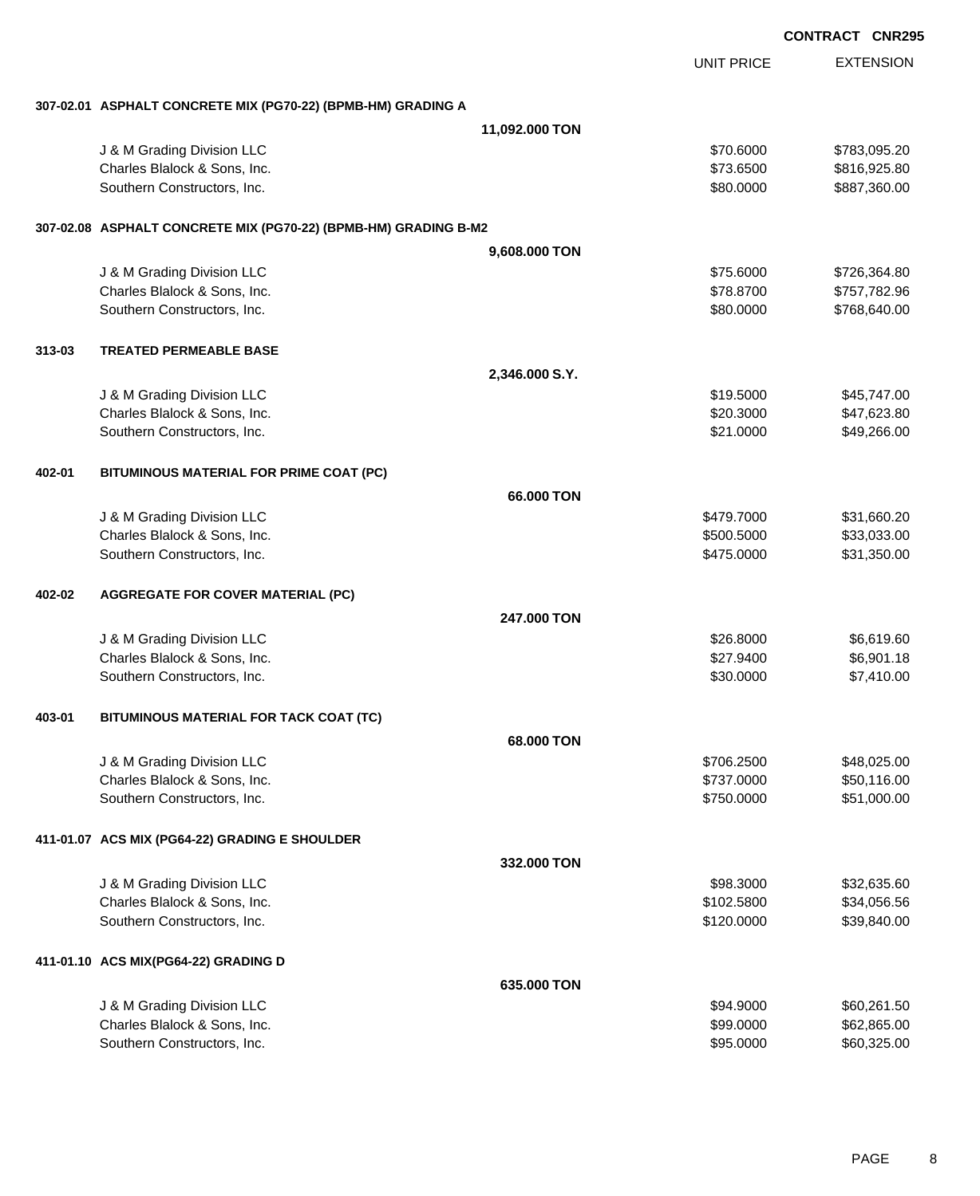|        |                                                                 |                |                   | <b>CONTRACT CNR295</b> |
|--------|-----------------------------------------------------------------|----------------|-------------------|------------------------|
|        |                                                                 |                | <b>UNIT PRICE</b> | <b>EXTENSION</b>       |
|        | 307-02.01 ASPHALT CONCRETE MIX (PG70-22) (BPMB-HM) GRADING A    |                |                   |                        |
|        |                                                                 | 11,092.000 TON |                   |                        |
|        | J & M Grading Division LLC                                      |                | \$70.6000         | \$783,095.20           |
|        | Charles Blalock & Sons, Inc.                                    |                | \$73.6500         | \$816,925.80           |
|        | Southern Constructors, Inc.                                     |                | \$80.0000         | \$887,360.00           |
|        | 307-02.08 ASPHALT CONCRETE MIX (PG70-22) (BPMB-HM) GRADING B-M2 |                |                   |                        |
|        |                                                                 | 9,608.000 TON  |                   |                        |
|        | J & M Grading Division LLC                                      |                | \$75.6000         | \$726,364.80           |
|        | Charles Blalock & Sons, Inc.                                    |                | \$78.8700         | \$757,782.96           |
|        | Southern Constructors, Inc.                                     |                | \$80.0000         | \$768,640.00           |
| 313-03 | <b>TREATED PERMEABLE BASE</b>                                   |                |                   |                        |
|        |                                                                 | 2,346.000 S.Y. |                   |                        |
|        | J & M Grading Division LLC                                      |                | \$19.5000         | \$45,747.00            |
|        | Charles Blalock & Sons, Inc.                                    |                | \$20.3000         | \$47,623.80            |
|        | Southern Constructors, Inc.                                     |                | \$21.0000         | \$49,266.00            |
| 402-01 | BITUMINOUS MATERIAL FOR PRIME COAT (PC)                         |                |                   |                        |
|        |                                                                 | 66.000 TON     |                   |                        |
|        | J & M Grading Division LLC                                      |                | \$479.7000        | \$31,660.20            |
|        | Charles Blalock & Sons, Inc.                                    |                | \$500.5000        | \$33,033.00            |
|        | Southern Constructors, Inc.                                     |                | \$475.0000        | \$31,350.00            |
| 402-02 | <b>AGGREGATE FOR COVER MATERIAL (PC)</b>                        |                |                   |                        |
|        |                                                                 | 247,000 TON    |                   |                        |
|        | J & M Grading Division LLC                                      |                | \$26.8000         | \$6,619.60             |
|        | Charles Blalock & Sons, Inc.                                    |                | \$27.9400         | \$6,901.18             |
|        | Southern Constructors, Inc.                                     |                | \$30.0000         | \$7,410.00             |
| 403-01 | BITUMINOUS MATERIAL FOR TACK COAT (TC)                          |                |                   |                        |
|        |                                                                 | 68.000 TON     |                   |                        |
|        | J & M Grading Division LLC                                      |                | \$706.2500        | \$48,025.00            |
|        | Charles Blalock & Sons, Inc.                                    |                | \$737.0000        | \$50,116.00            |
|        | Southern Constructors, Inc.                                     |                | \$750.0000        | \$51,000.00            |
|        | 411-01.07 ACS MIX (PG64-22) GRADING E SHOULDER                  |                |                   |                        |
|        |                                                                 | 332.000 TON    |                   |                        |
|        | J & M Grading Division LLC                                      |                | \$98.3000         | \$32,635.60            |
|        | Charles Blalock & Sons, Inc.                                    |                | \$102.5800        | \$34,056.56            |
|        | Southern Constructors, Inc.                                     |                | \$120.0000        | \$39,840.00            |
|        | 411-01.10 ACS MIX(PG64-22) GRADING D                            |                |                   |                        |
|        |                                                                 | 635.000 TON    |                   |                        |
|        | J & M Grading Division LLC                                      |                | \$94.9000         | \$60,261.50            |
|        | Charles Blalock & Sons, Inc.                                    |                | \$99.0000         | \$62,865.00            |
|        | Southern Constructors, Inc.                                     |                | \$95.0000         | \$60,325.00            |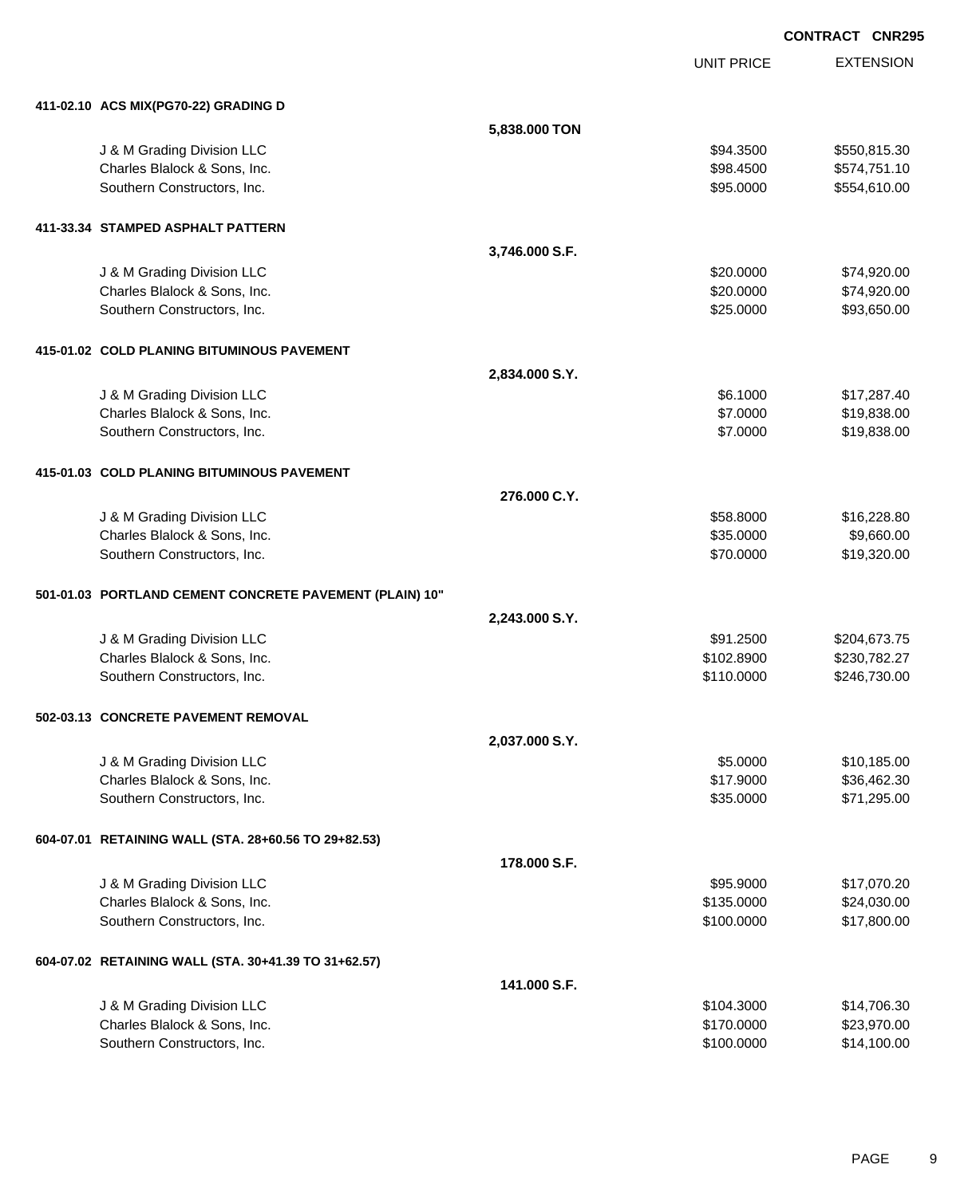UNIT PRICE EXTENSION

| 411-02.10 ACS MIX(PG70-22) GRADING D                    |                |            |              |
|---------------------------------------------------------|----------------|------------|--------------|
|                                                         | 5,838.000 TON  |            |              |
| J & M Grading Division LLC                              |                | \$94.3500  | \$550,815.30 |
| Charles Blalock & Sons, Inc.                            |                | \$98.4500  | \$574,751.10 |
| Southern Constructors, Inc.                             |                | \$95.0000  | \$554,610.00 |
|                                                         |                |            |              |
| 411-33.34 STAMPED ASPHALT PATTERN                       |                |            |              |
|                                                         | 3,746.000 S.F. |            |              |
| J & M Grading Division LLC                              |                | \$20.0000  | \$74,920.00  |
| Charles Blalock & Sons, Inc.                            |                | \$20.0000  | \$74,920.00  |
| Southern Constructors, Inc.                             |                | \$25.0000  | \$93,650.00  |
| 415-01.02 COLD PLANING BITUMINOUS PAVEMENT              |                |            |              |
|                                                         | 2,834.000 S.Y. |            |              |
| J & M Grading Division LLC                              |                | \$6.1000   | \$17,287.40  |
| Charles Blalock & Sons, Inc.                            |                | \$7.0000   | \$19,838.00  |
| Southern Constructors, Inc.                             |                | \$7.0000   | \$19,838.00  |
| 415-01.03 COLD PLANING BITUMINOUS PAVEMENT              |                |            |              |
|                                                         | 276.000 C.Y.   |            |              |
| J & M Grading Division LLC                              |                | \$58.8000  | \$16,228.80  |
| Charles Blalock & Sons, Inc.                            |                | \$35.0000  | \$9,660.00   |
| Southern Constructors, Inc.                             |                | \$70.0000  | \$19,320.00  |
| 501-01.03 PORTLAND CEMENT CONCRETE PAVEMENT (PLAIN) 10" |                |            |              |
|                                                         | 2,243.000 S.Y. |            |              |
| J & M Grading Division LLC                              |                | \$91.2500  | \$204,673.75 |
| Charles Blalock & Sons, Inc.                            |                | \$102.8900 | \$230,782.27 |
| Southern Constructors, Inc.                             |                | \$110.0000 | \$246,730.00 |
| 502-03.13 CONCRETE PAVEMENT REMOVAL                     |                |            |              |
|                                                         | 2,037.000 S.Y. |            |              |
| J & M Grading Division LLC                              |                | \$5.0000   | \$10,185.00  |
| Charles Blalock & Sons, Inc.                            |                | \$17.9000  | \$36,462.30  |
| Southern Constructors, Inc.                             |                | \$35.0000  | \$71,295.00  |
| 604-07.01 RETAINING WALL (STA. 28+60.56 TO 29+82.53)    |                |            |              |
|                                                         | 178.000 S.F.   |            |              |
| J & M Grading Division LLC                              |                | \$95.9000  | \$17,070.20  |
| Charles Blalock & Sons, Inc.                            |                | \$135.0000 | \$24,030.00  |
| Southern Constructors, Inc.                             |                | \$100.0000 | \$17,800.00  |
| 604-07.02 RETAINING WALL (STA. 30+41.39 TO 31+62.57)    |                |            |              |
|                                                         | 141.000 S.F.   |            |              |
| J & M Grading Division LLC                              |                | \$104.3000 | \$14,706.30  |
| Charles Blalock & Sons, Inc.                            |                | \$170.0000 | \$23,970.00  |
| Southern Constructors, Inc.                             |                | \$100.0000 | \$14,100.00  |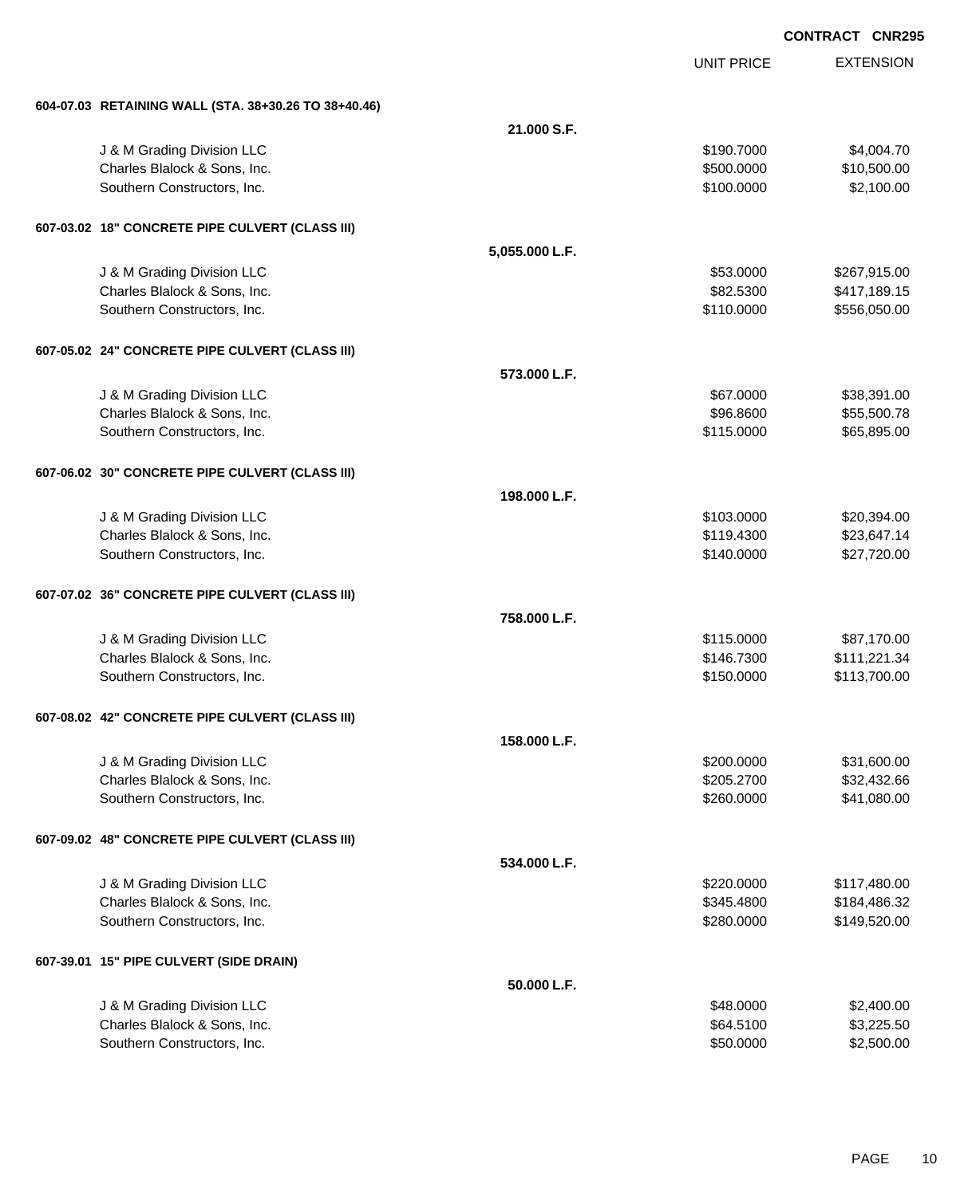|                                                      |                | <b>UNIT PRICE</b> | <b>EXTENSION</b> |
|------------------------------------------------------|----------------|-------------------|------------------|
| 604-07.03 RETAINING WALL (STA. 38+30.26 TO 38+40.46) |                |                   |                  |
|                                                      | 21.000 S.F.    |                   |                  |
| J & M Grading Division LLC                           |                | \$190.7000        | \$4,004.70       |
| Charles Blalock & Sons, Inc.                         |                | \$500.0000        | \$10,500.00      |
| Southern Constructors, Inc.                          |                | \$100.0000        | \$2,100.00       |
| 607-03.02 18" CONCRETE PIPE CULVERT (CLASS III)      |                |                   |                  |
|                                                      | 5,055.000 L.F. |                   |                  |
| J & M Grading Division LLC                           |                | \$53.0000         | \$267,915.00     |
| Charles Blalock & Sons, Inc.                         |                | \$82.5300         | \$417,189.15     |
| Southern Constructors, Inc.                          |                | \$110.0000        | \$556,050.00     |
| 607-05.02 24" CONCRETE PIPE CULVERT (CLASS III)      |                |                   |                  |
|                                                      | 573,000 L.F.   |                   |                  |
| J & M Grading Division LLC                           |                | \$67.0000         | \$38,391.00      |
| Charles Blalock & Sons, Inc.                         |                | \$96.8600         | \$55,500.78      |
| Southern Constructors, Inc.                          |                | \$115.0000        | \$65,895.00      |
| 607-06.02 30" CONCRETE PIPE CULVERT (CLASS III)      |                |                   |                  |
|                                                      | 198.000 L.F.   |                   |                  |
| J & M Grading Division LLC                           |                | \$103.0000        | \$20,394.00      |
| Charles Blalock & Sons, Inc.                         |                | \$119.4300        | \$23,647.14      |
| Southern Constructors, Inc.                          |                | \$140.0000        | \$27,720.00      |
| 607-07.02 36" CONCRETE PIPE CULVERT (CLASS III)      |                |                   |                  |
|                                                      | 758.000 L.F.   |                   |                  |
| J & M Grading Division LLC                           |                | \$115.0000        | \$87,170.00      |
| Charles Blalock & Sons, Inc.                         |                | \$146.7300        | \$111,221.34     |
| Southern Constructors, Inc.                          |                | \$150.0000        | \$113,700.00     |
| 607-08.02 42" CONCRETE PIPE CULVERT (CLASS III)      |                |                   |                  |
|                                                      | 158.000 L.F.   |                   |                  |
| J & M Grading Division LLC                           |                | \$200.0000        | \$31,600.00      |
| Charles Blalock & Sons, Inc.                         |                | \$205.2700        | \$32,432.66      |
| Southern Constructors, Inc.                          |                | \$260.0000        | \$41,080.00      |
| 607-09.02 48" CONCRETE PIPE CULVERT (CLASS III)      |                |                   |                  |
|                                                      | 534.000 L.F.   |                   |                  |
| J & M Grading Division LLC                           |                | \$220.0000        | \$117,480.00     |
| Charles Blalock & Sons, Inc.                         |                | \$345.4800        | \$184,486.32     |
| Southern Constructors, Inc.                          |                | \$280.0000        | \$149,520.00     |
| 607-39.01 15" PIPE CULVERT (SIDE DRAIN)              |                |                   |                  |
|                                                      | 50.000 L.F.    |                   |                  |
| J & M Grading Division LLC                           |                | \$48.0000         | \$2,400.00       |
| Charles Blalock & Sons, Inc.                         |                | \$64.5100         | \$3,225.50       |
| Southern Constructors, Inc.                          |                | \$50.0000         | \$2,500.00       |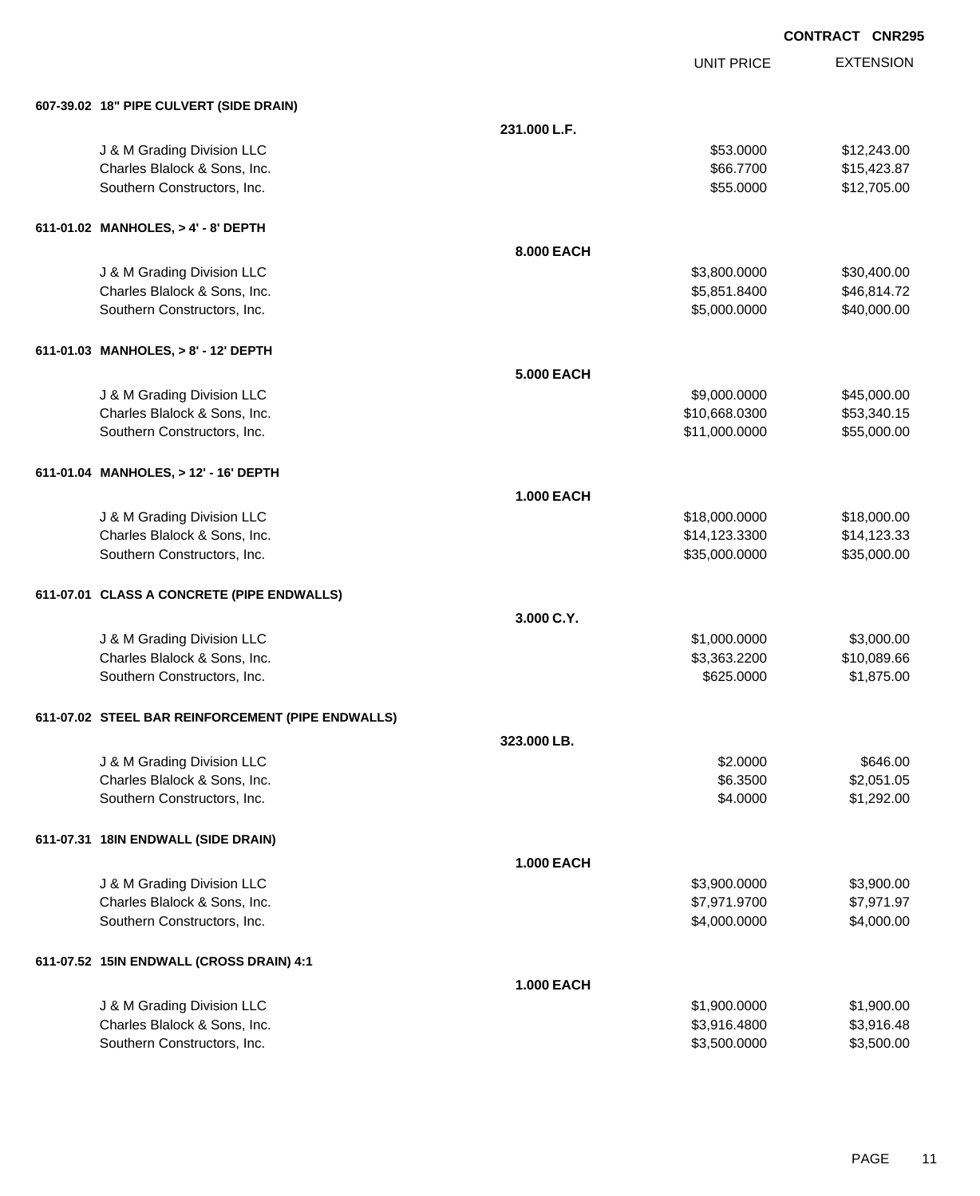|                                                   |                   |                   | <b>CONTRACT CNR295</b> |                  |
|---------------------------------------------------|-------------------|-------------------|------------------------|------------------|
|                                                   |                   | <b>UNIT PRICE</b> |                        | <b>EXTENSION</b> |
| 607-39.02 18" PIPE CULVERT (SIDE DRAIN)           |                   |                   |                        |                  |
|                                                   | 231.000 L.F.      |                   |                        |                  |
| J & M Grading Division LLC                        |                   | \$53.0000         |                        | \$12,243.00      |
| Charles Blalock & Sons, Inc.                      |                   | \$66.7700         |                        | \$15,423.87      |
| Southern Constructors, Inc.                       |                   | \$55.0000         |                        | \$12,705.00      |
| 611-01.02 MANHOLES, > 4' - 8' DEPTH               |                   |                   |                        |                  |
|                                                   | 8.000 EACH        |                   |                        |                  |
| J & M Grading Division LLC                        |                   | \$3,800.0000      |                        | \$30,400.00      |
| Charles Blalock & Sons, Inc.                      |                   | \$5,851.8400      |                        | \$46,814.72      |
| Southern Constructors, Inc.                       |                   | \$5,000.0000      |                        | \$40,000.00      |
| 611-01.03 MANHOLES, > 8' - 12' DEPTH              |                   |                   |                        |                  |
|                                                   | <b>5.000 EACH</b> |                   |                        |                  |
| J & M Grading Division LLC                        |                   | \$9,000.0000      |                        | \$45,000.00      |
| Charles Blalock & Sons, Inc.                      |                   | \$10,668.0300     |                        | \$53,340.15      |
| Southern Constructors, Inc.                       |                   | \$11,000.0000     |                        | \$55,000.00      |
| 611-01.04 MANHOLES, > 12' - 16' DEPTH             |                   |                   |                        |                  |
|                                                   | <b>1.000 EACH</b> |                   |                        |                  |
| J & M Grading Division LLC                        |                   | \$18,000.0000     |                        | \$18,000.00      |
| Charles Blalock & Sons, Inc.                      |                   | \$14,123.3300     |                        | \$14,123.33      |
| Southern Constructors, Inc.                       |                   | \$35,000.0000     |                        | \$35,000.00      |
| 611-07.01 CLASS A CONCRETE (PIPE ENDWALLS)        |                   |                   |                        |                  |
|                                                   | 3.000 C.Y.        |                   |                        |                  |
| J & M Grading Division LLC                        |                   | \$1,000.0000      |                        | \$3,000.00       |
| Charles Blalock & Sons, Inc.                      |                   | \$3,363.2200      |                        | \$10,089.66      |
| Southern Constructors, Inc.                       |                   | \$625.0000        |                        | \$1,875.00       |
| 611-07.02 STEEL BAR REINFORCEMENT (PIPE ENDWALLS) |                   |                   |                        |                  |
|                                                   | 323.000 LB.       |                   |                        |                  |
| J & M Grading Division LLC                        |                   | \$2.0000          |                        | \$646.00         |
| Charles Blalock & Sons, Inc.                      |                   | \$6.3500          |                        | \$2,051.05       |
| Southern Constructors, Inc.                       |                   | \$4.0000          |                        | \$1,292.00       |
| 611-07.31 18IN ENDWALL (SIDE DRAIN)               |                   |                   |                        |                  |
|                                                   | <b>1.000 EACH</b> |                   |                        |                  |
| J & M Grading Division LLC                        |                   | \$3,900.0000      |                        | \$3,900.00       |
| Charles Blalock & Sons, Inc.                      |                   | \$7,971.9700      |                        | \$7,971.97       |
| Southern Constructors, Inc.                       |                   | \$4,000.0000      |                        | \$4,000.00       |
| 611-07.52 15IN ENDWALL (CROSS DRAIN) 4:1          |                   |                   |                        |                  |
|                                                   | <b>1.000 EACH</b> |                   |                        |                  |
| J & M Grading Division LLC                        |                   | \$1,900.0000      |                        | \$1,900.00       |
| Charles Blalock & Sons, Inc.                      |                   | \$3,916.4800      |                        | \$3,916.48       |
| Southern Constructors, Inc.                       |                   | \$3,500.0000      |                        | \$3,500.00       |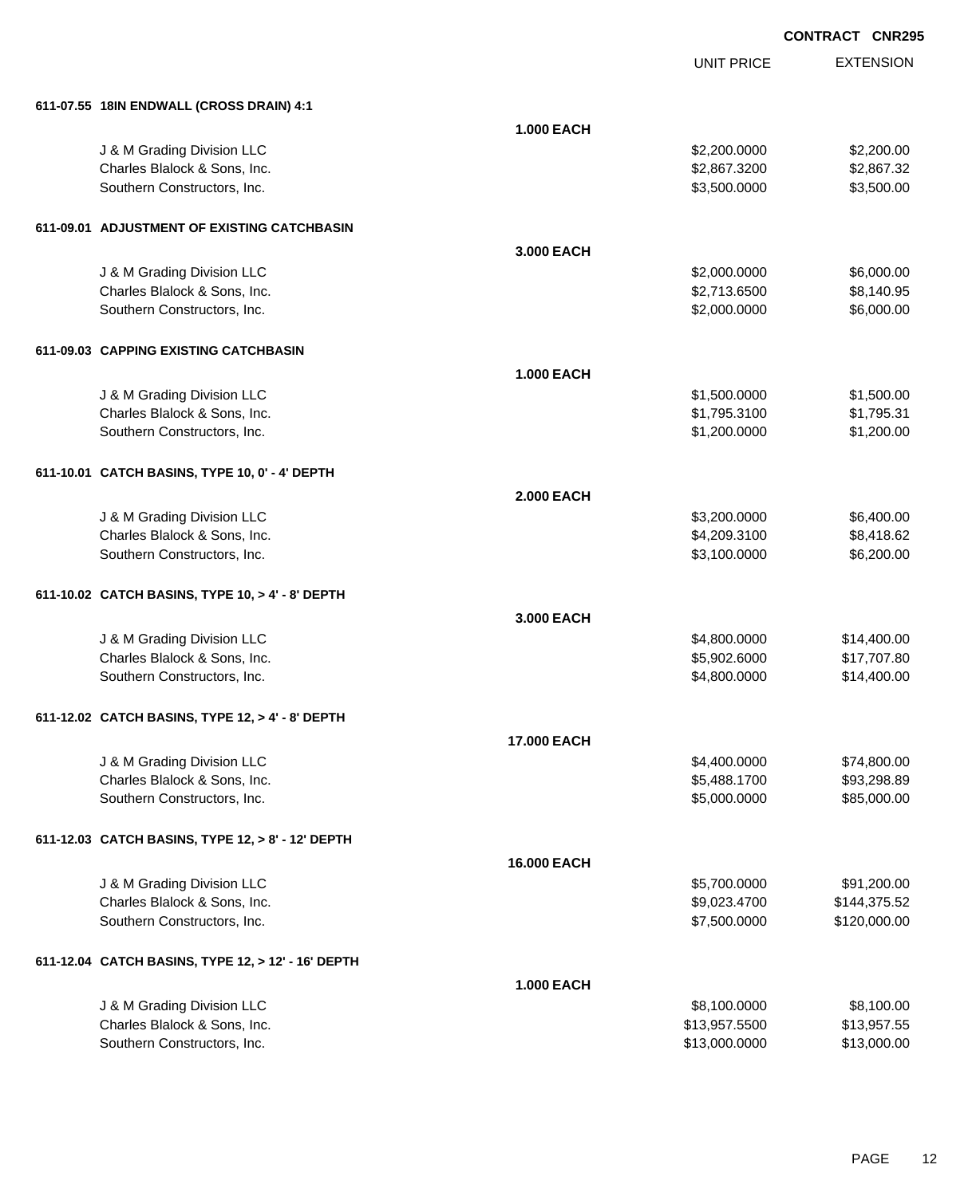| 611-07.55 18IN ENDWALL (CROSS DRAIN) 4:1           |                   |               |              |
|----------------------------------------------------|-------------------|---------------|--------------|
|                                                    | <b>1.000 EACH</b> |               |              |
| J & M Grading Division LLC                         |                   | \$2,200.0000  | \$2,200.00   |
| Charles Blalock & Sons, Inc.                       |                   | \$2,867.3200  | \$2,867.32   |
| Southern Constructors, Inc.                        |                   | \$3,500.0000  | \$3,500.00   |
| 611-09.01 ADJUSTMENT OF EXISTING CATCHBASIN        |                   |               |              |
|                                                    | 3.000 EACH        |               |              |
| J & M Grading Division LLC                         |                   | \$2,000.0000  | \$6,000.00   |
| Charles Blalock & Sons, Inc.                       |                   | \$2,713.6500  | \$8,140.95   |
| Southern Constructors, Inc.                        |                   | \$2,000.0000  | \$6,000.00   |
| 611-09.03 CAPPING EXISTING CATCHBASIN              |                   |               |              |
|                                                    | <b>1.000 EACH</b> |               |              |
| J & M Grading Division LLC                         |                   | \$1,500.0000  | \$1,500.00   |
| Charles Blalock & Sons, Inc.                       |                   | \$1,795.3100  | \$1,795.31   |
| Southern Constructors, Inc.                        |                   | \$1,200.0000  | \$1,200.00   |
| 611-10.01 CATCH BASINS, TYPE 10, 0' - 4' DEPTH     |                   |               |              |
|                                                    | <b>2.000 EACH</b> |               |              |
| J & M Grading Division LLC                         |                   | \$3,200.0000  | \$6,400.00   |
| Charles Blalock & Sons, Inc.                       |                   | \$4,209.3100  | \$8,418.62   |
| Southern Constructors, Inc.                        |                   | \$3,100.0000  | \$6,200.00   |
| 611-10.02 CATCH BASINS, TYPE 10, > 4' - 8' DEPTH   |                   |               |              |
|                                                    | 3.000 EACH        |               |              |
| J & M Grading Division LLC                         |                   | \$4,800.0000  | \$14,400.00  |
| Charles Blalock & Sons, Inc.                       |                   | \$5,902.6000  | \$17,707.80  |
| Southern Constructors, Inc.                        |                   | \$4,800.0000  | \$14,400.00  |
| 611-12.02 CATCH BASINS, TYPE 12, > 4' - 8' DEPTH   |                   |               |              |
|                                                    | 17.000 EACH       |               |              |
| J & M Grading Division LLC                         |                   | \$4,400.0000  | \$74,800.00  |
| Charles Blalock & Sons, Inc.                       |                   | \$5,488.1700  | \$93,298.89  |
| Southern Constructors, Inc.                        |                   | \$5,000.0000  | \$85,000.00  |
| 611-12.03 CATCH BASINS, TYPE 12, > 8' - 12' DEPTH  |                   |               |              |
|                                                    | 16.000 EACH       |               |              |
| J & M Grading Division LLC                         |                   | \$5,700.0000  | \$91,200.00  |
| Charles Blalock & Sons, Inc.                       |                   | \$9,023.4700  | \$144,375.52 |
| Southern Constructors, Inc.                        |                   | \$7,500.0000  | \$120,000.00 |
| 611-12.04 CATCH BASINS, TYPE 12, > 12' - 16' DEPTH |                   |               |              |
|                                                    | <b>1.000 EACH</b> |               |              |
| J & M Grading Division LLC                         |                   | \$8,100.0000  | \$8,100.00   |
| Charles Blalock & Sons, Inc.                       |                   | \$13,957.5500 | \$13,957.55  |
| Southern Constructors, Inc.                        |                   | \$13,000.0000 | \$13,000.00  |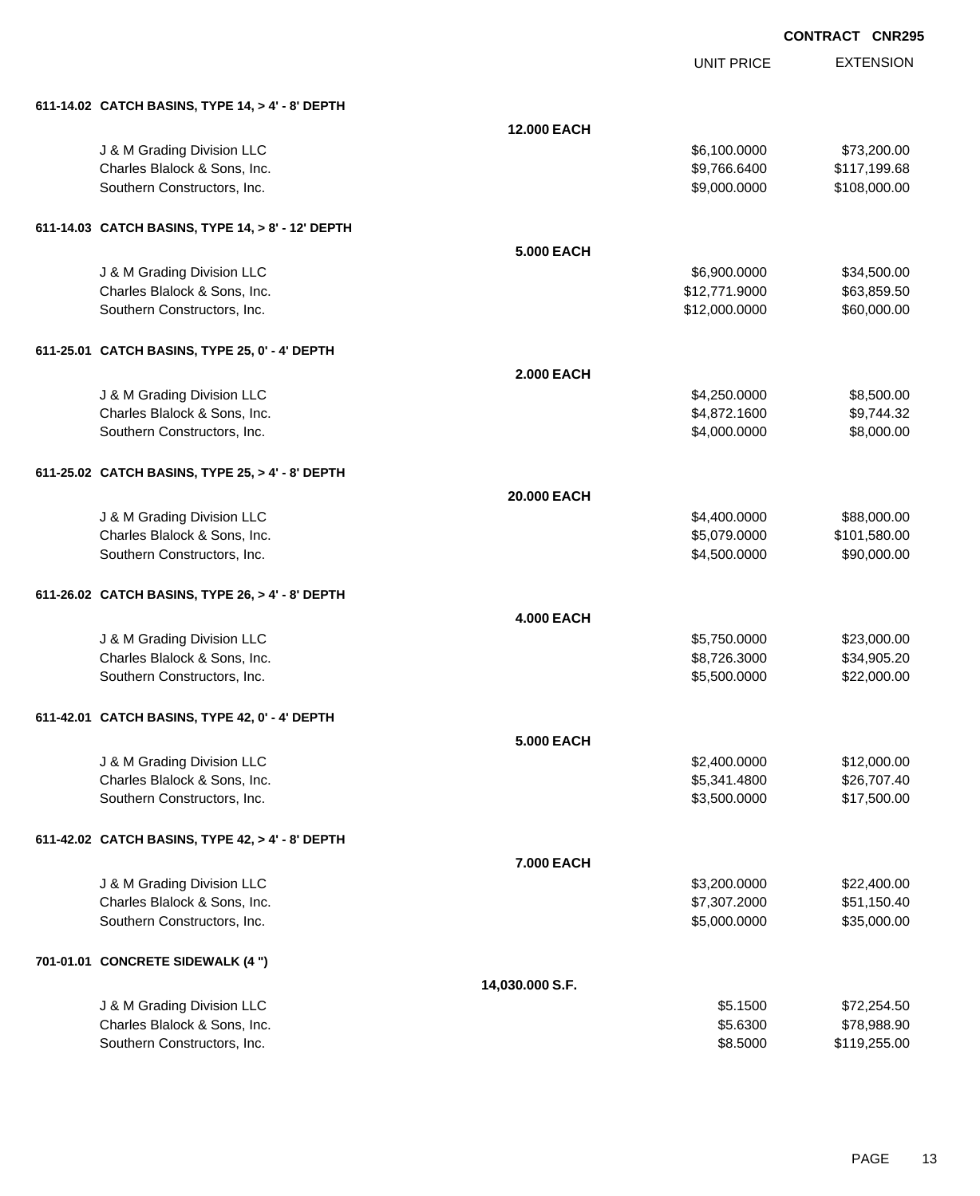| 611-14.02 CATCH BASINS, TYPE 14, > 4' - 8' DEPTH  |                   |               |              |
|---------------------------------------------------|-------------------|---------------|--------------|
|                                                   | 12.000 EACH       |               |              |
| J & M Grading Division LLC                        |                   | \$6,100.0000  | \$73,200.00  |
| Charles Blalock & Sons, Inc.                      |                   | \$9,766.6400  | \$117,199.68 |
| Southern Constructors, Inc.                       |                   | \$9,000.0000  | \$108,000.00 |
| 611-14.03 CATCH BASINS, TYPE 14, > 8' - 12' DEPTH |                   |               |              |
|                                                   | <b>5.000 EACH</b> |               |              |
| J & M Grading Division LLC                        |                   | \$6,900.0000  | \$34,500.00  |
| Charles Blalock & Sons, Inc.                      |                   | \$12,771.9000 | \$63,859.50  |
| Southern Constructors, Inc.                       |                   | \$12,000.0000 | \$60,000.00  |
| 611-25.01 CATCH BASINS, TYPE 25, 0' - 4' DEPTH    |                   |               |              |
|                                                   | <b>2.000 EACH</b> |               |              |
| J & M Grading Division LLC                        |                   | \$4,250.0000  | \$8,500.00   |
| Charles Blalock & Sons, Inc.                      |                   | \$4,872.1600  | \$9,744.32   |
| Southern Constructors, Inc.                       |                   | \$4,000.0000  | \$8,000.00   |
| 611-25.02 CATCH BASINS, TYPE 25, > 4' - 8' DEPTH  |                   |               |              |
|                                                   | 20.000 EACH       |               |              |
| J & M Grading Division LLC                        |                   | \$4,400.0000  | \$88,000.00  |
| Charles Blalock & Sons, Inc.                      |                   | \$5,079.0000  | \$101,580.00 |
| Southern Constructors, Inc.                       |                   | \$4,500.0000  | \$90,000.00  |
| 611-26.02 CATCH BASINS, TYPE 26, > 4' - 8' DEPTH  |                   |               |              |
|                                                   | <b>4.000 EACH</b> |               |              |
| J & M Grading Division LLC                        |                   | \$5,750.0000  | \$23,000.00  |
| Charles Blalock & Sons, Inc.                      |                   | \$8,726.3000  | \$34,905.20  |
| Southern Constructors, Inc.                       |                   | \$5,500.0000  | \$22,000.00  |
| 611-42.01 CATCH BASINS, TYPE 42, 0' - 4' DEPTH    |                   |               |              |
|                                                   | <b>5.000 EACH</b> |               |              |
| J & M Grading Division LLC                        |                   | \$2,400.0000  | \$12,000.00  |
| Charles Blalock & Sons, Inc.                      |                   | \$5,341.4800  | \$26,707.40  |
| Southern Constructors, Inc.                       |                   | \$3,500.0000  | \$17,500.00  |
| 611-42.02 CATCH BASINS, TYPE 42, > 4' - 8' DEPTH  |                   |               |              |
|                                                   | 7.000 EACH        |               |              |
| J & M Grading Division LLC                        |                   | \$3,200.0000  | \$22,400.00  |
| Charles Blalock & Sons, Inc.                      |                   | \$7,307.2000  | \$51,150.40  |
| Southern Constructors, Inc.                       |                   | \$5,000.0000  | \$35,000.00  |
| 701-01.01 CONCRETE SIDEWALK (4 ")                 |                   |               |              |
|                                                   | 14,030.000 S.F.   |               |              |
| J & M Grading Division LLC                        |                   | \$5.1500      | \$72,254.50  |
| Charles Blalock & Sons, Inc.                      |                   | \$5.6300      | \$78,988.90  |
| Southern Constructors, Inc.                       |                   | \$8.5000      | \$119,255.00 |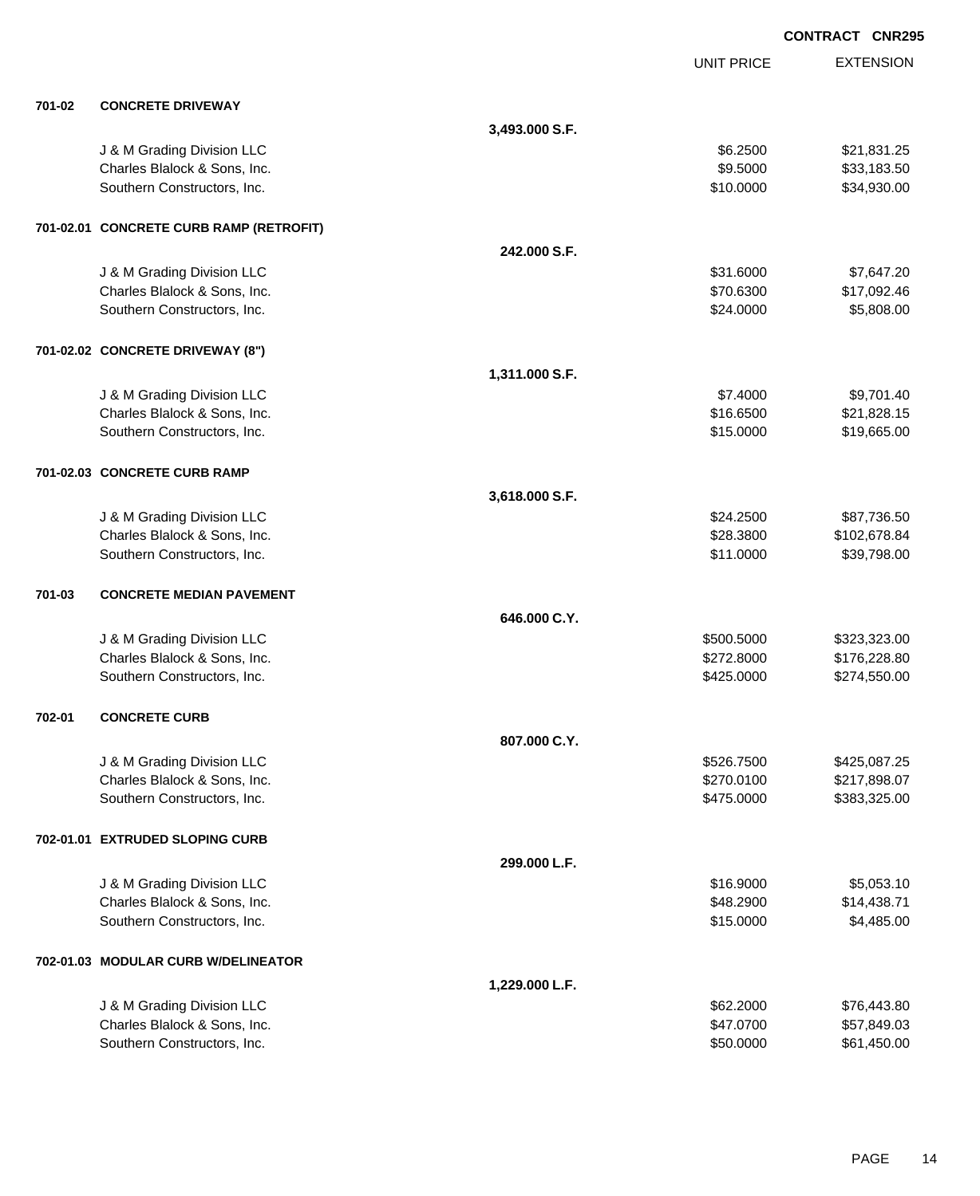EXTENSION **CONTRACT CNR295** UNIT PRICE **701-02 CONCRETE DRIVEWAY 3,493.000 S.F.** J & M Grading Division LLC \$6.2500 \$21,831.25 Charles Blalock & Sons, Inc. 6. 2012 12:30:30 \$33,183.50 Southern Constructors, Inc. 6. The Constructors of the Constructors, Inc. 6. The Constructors, Inc. 6. The Constructors of the Constructors of the Constructors, Inc. 6. The Constructors of the Constructors of the Construct **701-02.01 CONCRETE CURB RAMP (RETROFIT) 242.000 S.F.** J & M Grading Division LLC  $$31.6000$   $$7,647.20$ Charles Blalock & Sons, Inc. \$70.6300 \$17,092.46 Southern Constructors, Inc. 6. The Constructors of the Constructors, Inc. 6. The Constructors, Inc. 6. Separation of the Constructors, Inc. 6. Separation of the Constructors, Inc. 6. Separation of the Constructors, Inc. 6. **701-02.02 CONCRETE DRIVEWAY (8") 1,311.000 S.F.** J & M Grading Division LLC  $$7.4000$   $$9,701.40$ Charles Blalock & Sons, Inc. \$16.6500 \$21,828.15 Southern Constructors, Inc. 6. The Constructors, Inc. 6. The Constructors, Inc. 6. The Constructors, Inc. 6. The Constructors, Inc. 6. The Constructors, Inc. 6. The Constructors, Inc. 6. The Constructors, Inc. 6. The Const **701-02.03 CONCRETE CURB RAMP 3,618.000 S.F.** J & M Grading Division LLC \$24.2500 \$87,736.50 Charles Blalock & Sons, Inc. \$28.3800 \$102,678.84 Southern Constructors, Inc. 6. The Constructors of the Constructors, Inc. 6. The Constructors, Inc. 6. The Constructors of the Constructors of the Constructors of the Constructors of the Constructors of the Constructors of **701-03 CONCRETE MEDIAN PAVEMENT 646.000 C.Y.** J & M Grading Division LLC \$500.5000 \$323,323.00 Charles Blalock & Sons, Inc. 6. 2012. The Superintendent State of the State of State State State State State State State State State State State State State State State State State State State State State State State State Southern Constructors, Inc. 6. The Constructors, Inc. 6. The Constructors, Inc. 6. The Constructors, Inc. 6. The Constructors of the Constructors, Inc. 6. The Constructors of the Constructors, Inc. 6. The Constructors of t **702-01 CONCRETE CURB 807.000 C.Y.** J & M Grading Division LLC \$526.7500 \$425,087.25 Charles Blalock & Sons, Inc. 6. 2017, 2018 12:00 12:00 \$270.0100 \$217,898.07 Southern Constructors, Inc. 6. The Southern Constructors, Inc. 6. The Southern Constructors, Inc. 6. The Southern Constructors, Inc. 6. The Southern Constructors, Inc. 6. The Southern Constructors, Inc. 6. The Southern Con **702-01.01 EXTRUDED SLOPING CURB 299.000 L.F.** J & M Grading Division LLC  $$16.9000$   $$5,053.10$ Charles Blalock & Sons, Inc. 6. 2000 \$14,438.71 Southern Constructors, Inc. 6. The Constructors of the Constructors, Inc. 6. The Constructors, Inc. 6. The Constructors of the Constructors of the Constructors of the Constructors of the Constructors of the Constructors of **702-01.03 MODULAR CURB W/DELINEATOR 1,229.000 L.F.** J & M Grading Division LLC \$62.2000 \$76,443.80 Charles Blalock & Sons, Inc. \$47.0700 \$57,849.03 Southern Constructors, Inc. 6. The Constructors of the Constructors, Inc. 6. The Constructors, Inc. 6. The Constructors of the Constructors of the Constructors of the Constructors of the Constructors of the Constructors of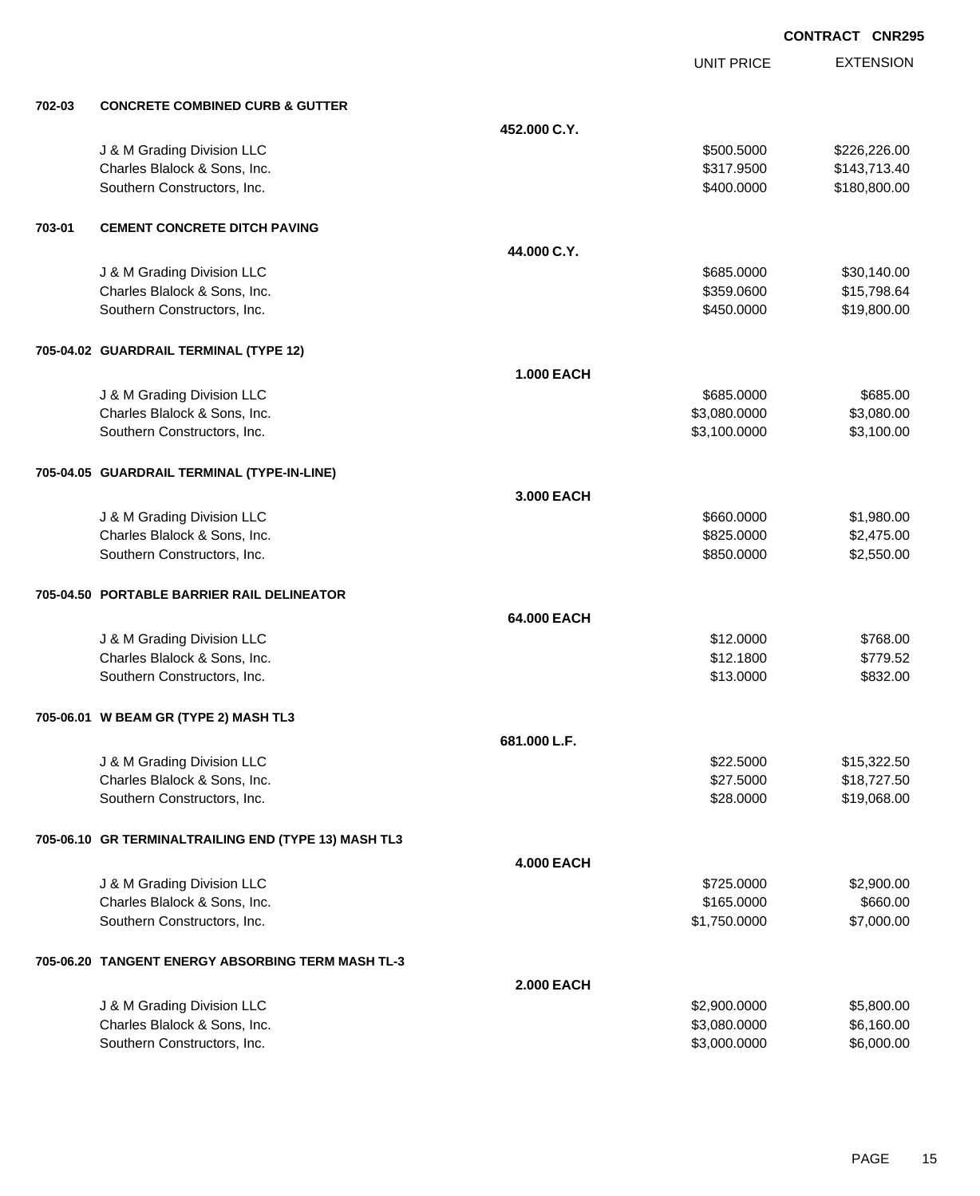EXTENSION **CONTRACT CNR295**

UNIT PRICE

| 702-03 | <b>CONCRETE COMBINED CURB &amp; GUTTER</b>           |                   |              |              |
|--------|------------------------------------------------------|-------------------|--------------|--------------|
|        |                                                      | 452,000 C.Y.      |              |              |
|        | J & M Grading Division LLC                           |                   | \$500.5000   | \$226,226.00 |
|        | Charles Blalock & Sons, Inc.                         |                   | \$317.9500   | \$143,713.40 |
|        | Southern Constructors, Inc.                          |                   | \$400.0000   | \$180,800.00 |
| 703-01 | <b>CEMENT CONCRETE DITCH PAVING</b>                  |                   |              |              |
|        |                                                      | 44.000 C.Y.       |              |              |
|        | J & M Grading Division LLC                           |                   | \$685.0000   | \$30,140.00  |
|        | Charles Blalock & Sons, Inc.                         |                   | \$359.0600   | \$15,798.64  |
|        | Southern Constructors, Inc.                          |                   | \$450.0000   | \$19,800.00  |
|        | 705-04.02 GUARDRAIL TERMINAL (TYPE 12)               |                   |              |              |
|        |                                                      | <b>1.000 EACH</b> |              |              |
|        | J & M Grading Division LLC                           |                   | \$685.0000   | \$685.00     |
|        | Charles Blalock & Sons, Inc.                         |                   | \$3,080.0000 | \$3,080.00   |
|        | Southern Constructors, Inc.                          |                   | \$3,100.0000 | \$3,100.00   |
|        | 705-04.05 GUARDRAIL TERMINAL (TYPE-IN-LINE)          |                   |              |              |
|        |                                                      | 3.000 EACH        |              |              |
|        | J & M Grading Division LLC                           |                   | \$660.0000   | \$1,980.00   |
|        | Charles Blalock & Sons, Inc.                         |                   | \$825.0000   | \$2,475.00   |
|        | Southern Constructors, Inc.                          |                   | \$850.0000   | \$2,550.00   |
|        | 705-04.50 PORTABLE BARRIER RAIL DELINEATOR           |                   |              |              |
|        |                                                      | 64.000 EACH       |              |              |
|        | J & M Grading Division LLC                           |                   | \$12.0000    | \$768.00     |
|        | Charles Blalock & Sons, Inc.                         |                   | \$12.1800    | \$779.52     |
|        | Southern Constructors, Inc.                          |                   | \$13.0000    | \$832.00     |
|        | 705-06.01 W BEAM GR (TYPE 2) MASH TL3                |                   |              |              |
|        |                                                      | 681.000 L.F.      |              |              |
|        | J & M Grading Division LLC                           |                   | \$22.5000    | \$15,322.50  |
|        | Charles Blalock & Sons, Inc.                         |                   | \$27.5000    | \$18,727.50  |
|        | Southern Constructors, Inc.                          |                   | \$28.0000    | \$19,068.00  |
|        | 705-06.10 GR TERMINALTRAILING END (TYPE 13) MASH TL3 |                   |              |              |
|        |                                                      | <b>4.000 EACH</b> |              |              |
|        | J & M Grading Division LLC                           |                   | \$725.0000   | \$2,900.00   |
|        | Charles Blalock & Sons, Inc.                         |                   | \$165.0000   | \$660.00     |
|        | Southern Constructors, Inc.                          |                   | \$1,750.0000 | \$7,000.00   |
|        | 705-06.20 TANGENT ENERGY ABSORBING TERM MASH TL-3    |                   |              |              |
|        |                                                      | <b>2.000 EACH</b> |              |              |
|        | J & M Grading Division LLC                           |                   | \$2,900.0000 | \$5,800.00   |
|        | Charles Blalock & Sons, Inc.                         |                   | \$3,080.0000 | \$6,160.00   |
|        | Southern Constructors, Inc.                          |                   | \$3,000.0000 | \$6,000.00   |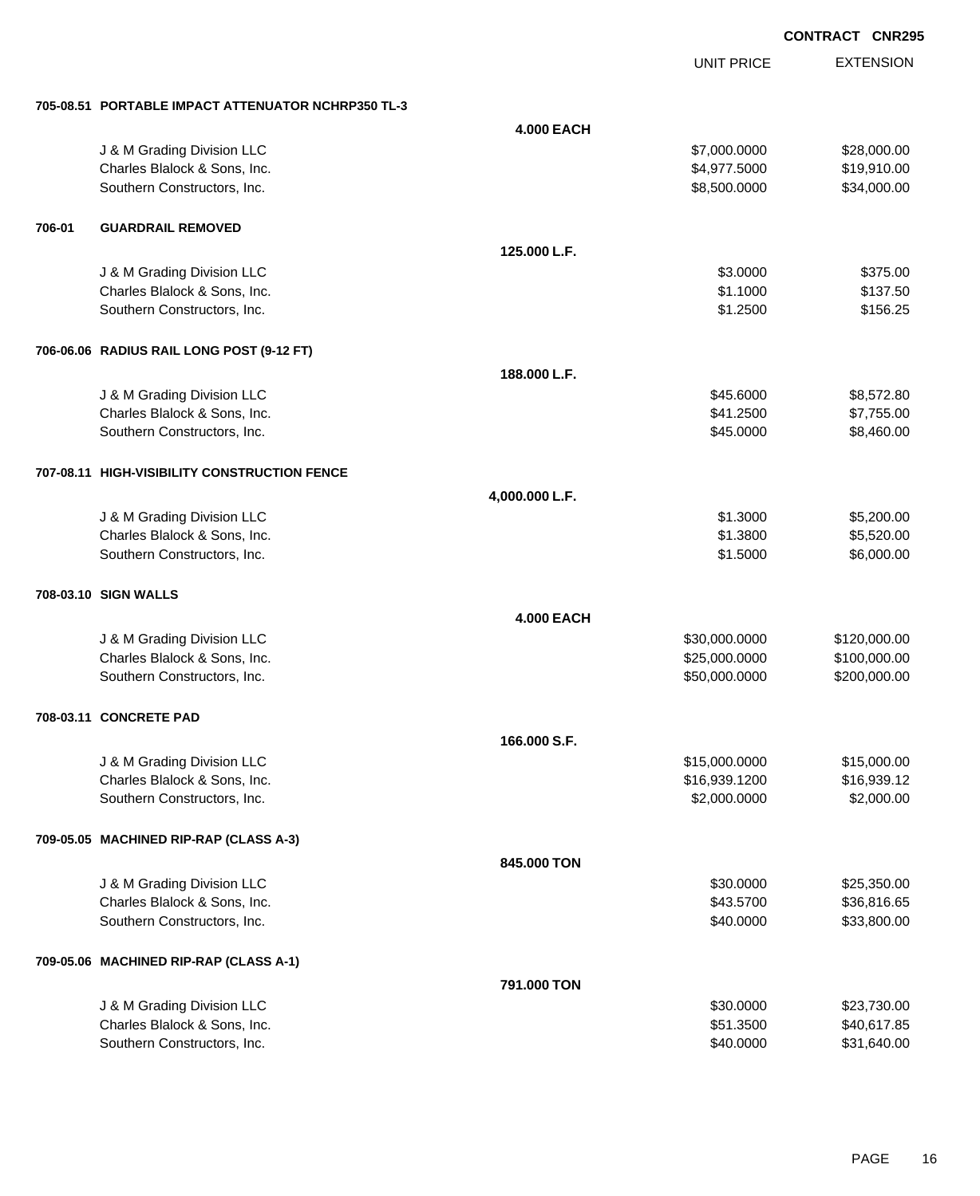EXTENSION **CONTRACT CNR295**

UNIT PRICE

|        | 705-08.51 PORTABLE IMPACT ATTENUATOR NCHRP350 TL-3         |                   |                        |                          |
|--------|------------------------------------------------------------|-------------------|------------------------|--------------------------|
|        |                                                            | <b>4.000 EACH</b> |                        |                          |
|        | J & M Grading Division LLC                                 |                   | \$7,000.0000           | \$28,000.00              |
|        | Charles Blalock & Sons, Inc.                               |                   | \$4,977.5000           | \$19,910.00              |
|        | Southern Constructors, Inc.                                |                   | \$8,500.0000           | \$34,000.00              |
|        |                                                            |                   |                        |                          |
| 706-01 | <b>GUARDRAIL REMOVED</b>                                   |                   |                        |                          |
|        |                                                            | 125.000 L.F.      |                        |                          |
|        | J & M Grading Division LLC                                 |                   | \$3.0000               | \$375.00                 |
|        | Charles Blalock & Sons, Inc.                               |                   | \$1.1000               | \$137.50                 |
|        | Southern Constructors, Inc.                                |                   | \$1.2500               | \$156.25                 |
|        |                                                            |                   |                        |                          |
|        | 706-06.06 RADIUS RAIL LONG POST (9-12 FT)                  |                   |                        |                          |
|        |                                                            | 188.000 L.F.      |                        |                          |
|        |                                                            |                   |                        |                          |
|        | J & M Grading Division LLC<br>Charles Blalock & Sons, Inc. |                   | \$45.6000<br>\$41.2500 | \$8,572.80<br>\$7,755.00 |
|        | Southern Constructors, Inc.                                |                   | \$45.0000              | \$8,460.00               |
|        |                                                            |                   |                        |                          |
|        |                                                            |                   |                        |                          |
|        | 707-08.11 HIGH-VISIBILITY CONSTRUCTION FENCE               |                   |                        |                          |
|        |                                                            | 4,000.000 L.F.    |                        |                          |
|        | J & M Grading Division LLC                                 |                   | \$1.3000               | \$5,200.00               |
|        | Charles Blalock & Sons, Inc.                               |                   | \$1.3800               | \$5,520.00               |
|        | Southern Constructors, Inc.                                |                   | \$1.5000               | \$6,000.00               |
|        | 708-03.10 SIGN WALLS                                       |                   |                        |                          |
|        |                                                            |                   |                        |                          |
|        |                                                            | <b>4.000 EACH</b> |                        |                          |
|        | J & M Grading Division LLC                                 |                   | \$30,000.0000          | \$120,000.00             |
|        | Charles Blalock & Sons, Inc.                               |                   | \$25,000.0000          | \$100,000.00             |
|        | Southern Constructors, Inc.                                |                   | \$50,000.0000          | \$200,000.00             |
|        | 708-03.11 CONCRETE PAD                                     |                   |                        |                          |
|        |                                                            | 166,000 S.F.      |                        |                          |
|        | J & M Grading Division LLC                                 |                   | \$15,000.0000          | \$15,000.00              |
|        | Charles Blalock & Sons, Inc.                               |                   | \$16,939.1200          | \$16,939.12              |
|        | Southern Constructors, Inc.                                |                   | \$2,000.0000           | \$2,000.00               |
|        |                                                            |                   |                        |                          |
|        | 709-05.05 MACHINED RIP-RAP (CLASS A-3)                     |                   |                        |                          |
|        |                                                            | 845.000 TON       |                        |                          |
|        | J & M Grading Division LLC                                 |                   | \$30.0000              | \$25,350.00              |
|        | Charles Blalock & Sons, Inc.                               |                   | \$43.5700              | \$36,816.65              |
|        | Southern Constructors, Inc.                                |                   | \$40.0000              | \$33,800.00              |
|        |                                                            |                   |                        |                          |
|        | 709-05.06 MACHINED RIP-RAP (CLASS A-1)                     |                   |                        |                          |
|        |                                                            | 791.000 TON       |                        |                          |
|        | J & M Grading Division LLC                                 |                   | \$30.0000              | \$23,730.00              |
|        | Charles Blalock & Sons, Inc.                               |                   | \$51.3500              | \$40,617.85              |
|        | Southern Constructors, Inc.                                |                   | \$40.0000              | \$31,640.00              |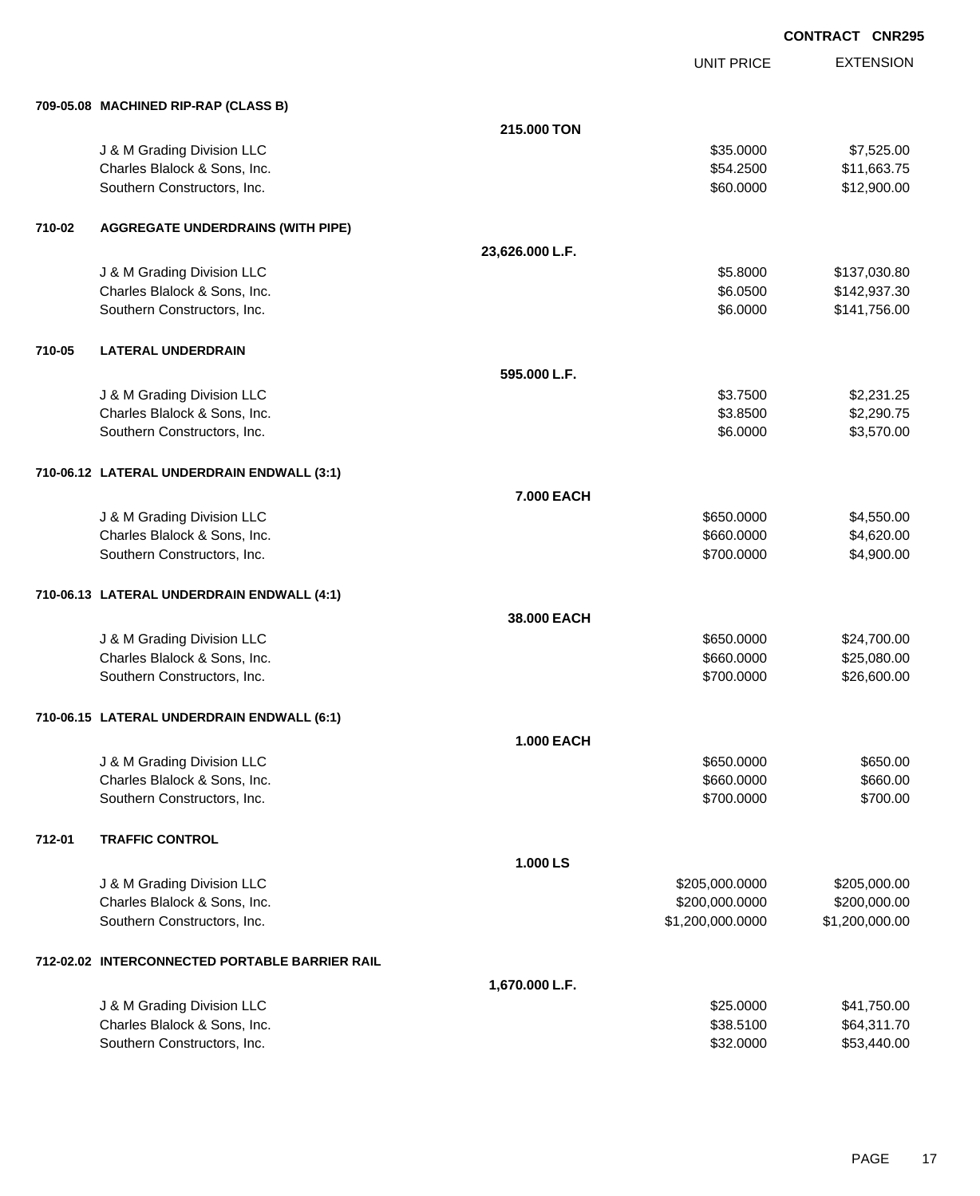|        | 709-05.08 MACHINED RIP-RAP (CLASS B)           |                   |                  |                |
|--------|------------------------------------------------|-------------------|------------------|----------------|
|        |                                                | 215.000 TON       |                  |                |
|        | J & M Grading Division LLC                     |                   | \$35.0000        | \$7,525.00     |
|        | Charles Blalock & Sons, Inc.                   |                   | \$54.2500        | \$11,663.75    |
|        | Southern Constructors, Inc.                    |                   | \$60.0000        | \$12,900.00    |
|        |                                                |                   |                  |                |
| 710-02 | <b>AGGREGATE UNDERDRAINS (WITH PIPE)</b>       |                   |                  |                |
|        |                                                | 23,626.000 L.F.   |                  |                |
|        | J & M Grading Division LLC                     |                   | \$5.8000         | \$137,030.80   |
|        | Charles Blalock & Sons, Inc.                   |                   | \$6.0500         | \$142,937.30   |
|        | Southern Constructors, Inc.                    |                   | \$6.0000         | \$141,756.00   |
| 710-05 | <b>LATERAL UNDERDRAIN</b>                      |                   |                  |                |
|        |                                                | 595.000 L.F.      |                  |                |
|        | J & M Grading Division LLC                     |                   | \$3.7500         | \$2,231.25     |
|        | Charles Blalock & Sons, Inc.                   |                   | \$3.8500         | \$2,290.75     |
|        | Southern Constructors, Inc.                    |                   | \$6.0000         | \$3,570.00     |
|        | 710-06.12 LATERAL UNDERDRAIN ENDWALL (3:1)     |                   |                  |                |
|        |                                                | 7.000 EACH        |                  |                |
|        | J & M Grading Division LLC                     |                   | \$650.0000       | \$4,550.00     |
|        | Charles Blalock & Sons, Inc.                   |                   | \$660.0000       | \$4,620.00     |
|        | Southern Constructors, Inc.                    |                   | \$700.0000       | \$4,900.00     |
|        | 710-06.13 LATERAL UNDERDRAIN ENDWALL (4:1)     |                   |                  |                |
|        |                                                | 38.000 EACH       |                  |                |
|        | J & M Grading Division LLC                     |                   | \$650.0000       | \$24,700.00    |
|        | Charles Blalock & Sons, Inc.                   |                   | \$660.0000       | \$25,080.00    |
|        | Southern Constructors, Inc.                    |                   | \$700.0000       | \$26,600.00    |
|        | 710-06.15 LATERAL UNDERDRAIN ENDWALL (6:1)     |                   |                  |                |
|        |                                                | <b>1.000 EACH</b> |                  |                |
|        | J & M Grading Division LLC                     |                   | \$650.0000       | \$650.00       |
|        | Charles Blalock & Sons, Inc.                   |                   | \$660.0000       | \$660.00       |
|        | Southern Constructors, Inc.                    |                   | \$700.0000       | \$700.00       |
| 712-01 | <b>TRAFFIC CONTROL</b>                         |                   |                  |                |
|        |                                                | 1.000 LS          |                  |                |
|        | J & M Grading Division LLC                     |                   | \$205,000.0000   | \$205,000.00   |
|        | Charles Blalock & Sons, Inc.                   |                   | \$200,000.0000   | \$200,000.00   |
|        | Southern Constructors, Inc.                    |                   | \$1,200,000.0000 | \$1,200,000.00 |
|        | 712-02.02 INTERCONNECTED PORTABLE BARRIER RAIL |                   |                  |                |
|        |                                                | 1,670.000 L.F.    |                  |                |
|        | J & M Grading Division LLC                     |                   | \$25.0000        | \$41,750.00    |
|        | Charles Blalock & Sons, Inc.                   |                   | \$38.5100        | \$64,311.70    |
|        | Southern Constructors, Inc.                    |                   | \$32.0000        | \$53,440.00    |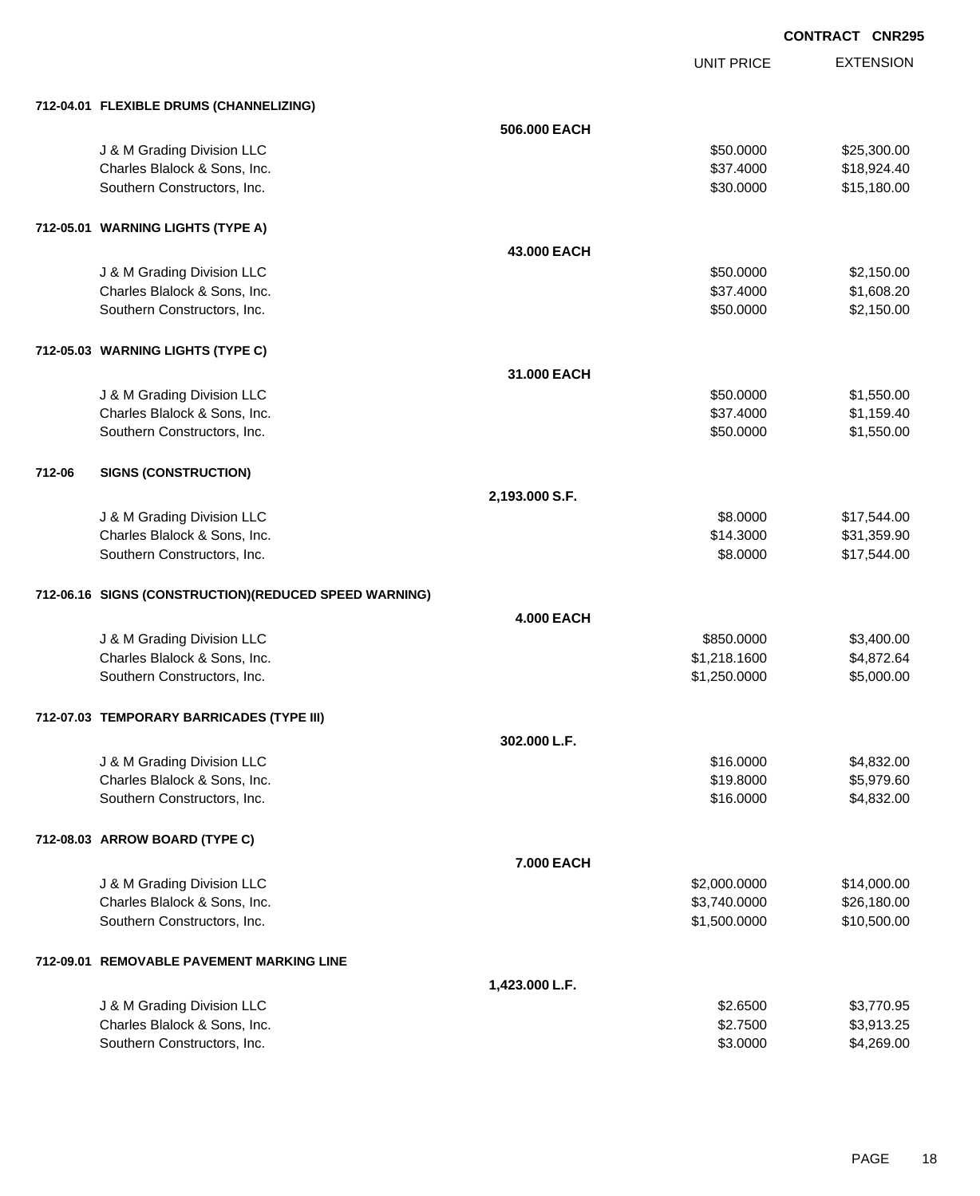UNIT PRICE

|        | 712-04.01 FLEXIBLE DRUMS (CHANNELIZING)                    |                   |                        |                          |
|--------|------------------------------------------------------------|-------------------|------------------------|--------------------------|
|        |                                                            | 506.000 EACH      |                        |                          |
|        | J & M Grading Division LLC                                 |                   | \$50.0000              | \$25,300.00              |
|        | Charles Blalock & Sons, Inc.                               |                   | \$37.4000              | \$18,924.40              |
|        | Southern Constructors, Inc.                                |                   | \$30.0000              | \$15,180.00              |
|        |                                                            |                   |                        |                          |
|        | 712-05.01 WARNING LIGHTS (TYPE A)                          |                   |                        |                          |
|        |                                                            | 43,000 EACH       |                        |                          |
|        | J & M Grading Division LLC                                 |                   | \$50.0000              | \$2,150.00               |
|        | Charles Blalock & Sons, Inc.                               |                   | \$37.4000              | \$1,608.20               |
|        | Southern Constructors, Inc.                                |                   | \$50.0000              | \$2,150.00               |
|        | 712-05.03 WARNING LIGHTS (TYPE C)                          |                   |                        |                          |
|        |                                                            | 31.000 EACH       |                        |                          |
|        |                                                            |                   |                        |                          |
|        | J & M Grading Division LLC<br>Charles Blalock & Sons, Inc. |                   | \$50.0000<br>\$37.4000 | \$1,550.00<br>\$1,159.40 |
|        | Southern Constructors, Inc.                                |                   | \$50.0000              | \$1,550.00               |
|        |                                                            |                   |                        |                          |
| 712-06 | <b>SIGNS (CONSTRUCTION)</b>                                |                   |                        |                          |
|        |                                                            | 2,193.000 S.F.    |                        |                          |
|        | J & M Grading Division LLC                                 |                   | \$8.0000               | \$17,544.00              |
|        | Charles Blalock & Sons, Inc.                               |                   | \$14.3000              | \$31,359.90              |
|        | Southern Constructors, Inc.                                |                   | \$8.0000               | \$17,544.00              |
|        | 712-06.16 SIGNS (CONSTRUCTION) (REDUCED SPEED WARNING)     |                   |                        |                          |
|        |                                                            | <b>4.000 EACH</b> |                        |                          |
|        | J & M Grading Division LLC                                 |                   | \$850.0000             | \$3,400.00               |
|        | Charles Blalock & Sons, Inc.                               |                   | \$1,218.1600           | \$4,872.64               |
|        | Southern Constructors, Inc.                                |                   | \$1,250.0000           | \$5,000.00               |
|        |                                                            |                   |                        |                          |
|        | 712-07.03 TEMPORARY BARRICADES (TYPE III)                  |                   |                        |                          |
|        |                                                            | 302.000 L.F.      |                        |                          |
|        | J & M Grading Division LLC                                 |                   | \$16.0000              | \$4,832.00               |
|        | Charles Blalock & Sons, Inc.                               |                   | \$19.8000              | \$5,979.60               |
|        | Southern Constructors, Inc.                                |                   | \$16.0000              | \$4,832.00               |
|        | 712-08.03 ARROW BOARD (TYPE C)                             |                   |                        |                          |
|        |                                                            | 7.000 EACH        |                        |                          |
|        | J & M Grading Division LLC                                 |                   | \$2,000.0000           | \$14,000.00              |
|        | Charles Blalock & Sons, Inc.                               |                   | \$3,740.0000           | \$26,180.00              |
|        | Southern Constructors, Inc.                                |                   | \$1,500.0000           | \$10,500.00              |
|        | 712-09.01 REMOVABLE PAVEMENT MARKING LINE                  |                   |                        |                          |
|        |                                                            | 1,423.000 L.F.    |                        |                          |
|        | J & M Grading Division LLC                                 |                   | \$2.6500               | \$3,770.95               |
|        | Charles Blalock & Sons, Inc.                               |                   | \$2.7500               | \$3,913.25               |
|        | Southern Constructors, Inc.                                |                   | \$3.0000               | \$4,269.00               |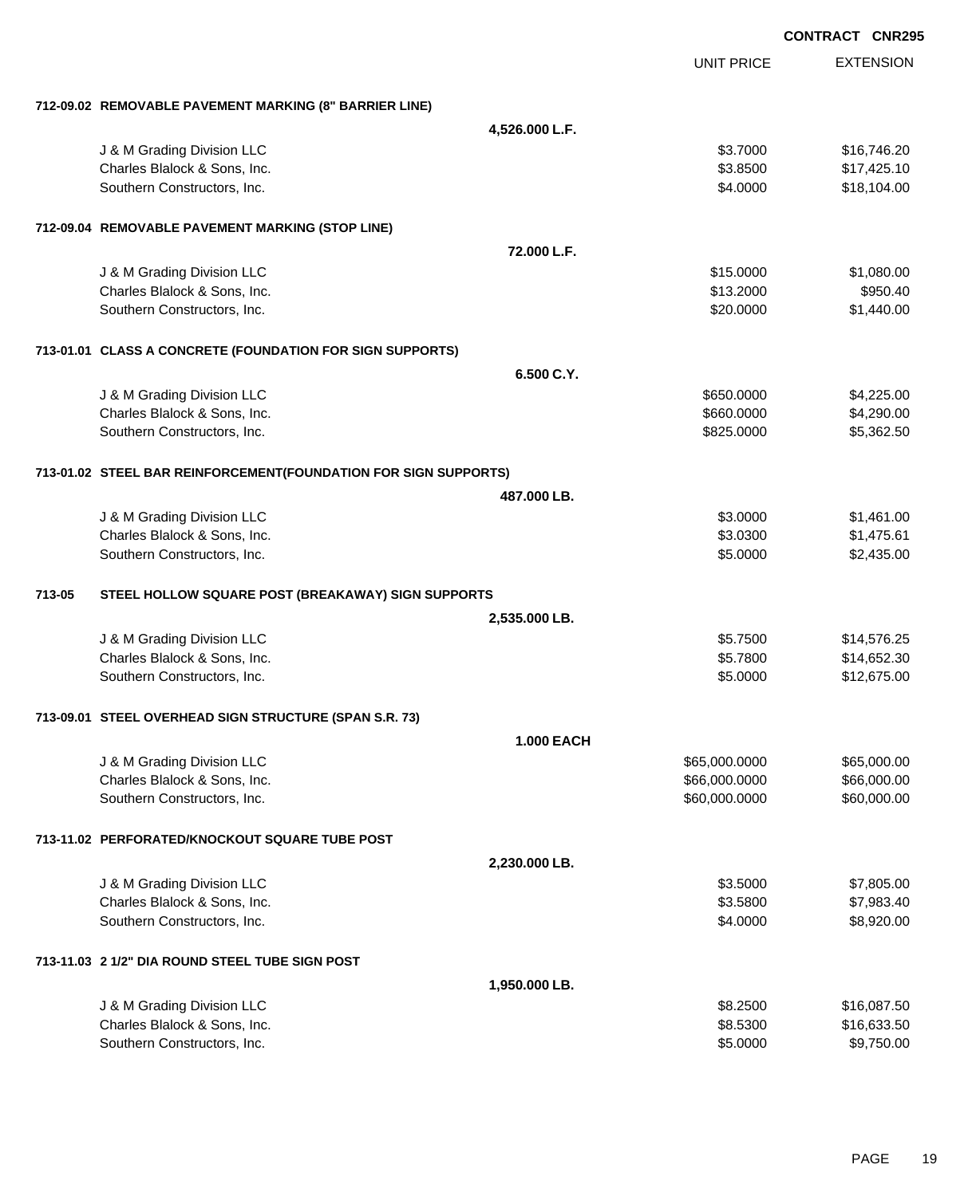|        |                                                                 |                   |                   | <b>CONTRACT CNR295</b> |
|--------|-----------------------------------------------------------------|-------------------|-------------------|------------------------|
|        |                                                                 |                   | <b>UNIT PRICE</b> | <b>EXTENSION</b>       |
|        | 712-09.02 REMOVABLE PAVEMENT MARKING (8" BARRIER LINE)          |                   |                   |                        |
|        |                                                                 | 4,526.000 L.F.    |                   |                        |
|        | J & M Grading Division LLC                                      |                   | \$3.7000          | \$16,746.20            |
|        | Charles Blalock & Sons, Inc.                                    |                   | \$3.8500          | \$17,425.10            |
|        | Southern Constructors, Inc.                                     |                   | \$4.0000          | \$18,104.00            |
|        | 712-09.04 REMOVABLE PAVEMENT MARKING (STOP LINE)                |                   |                   |                        |
|        |                                                                 | 72.000 L.F.       |                   |                        |
|        | J & M Grading Division LLC                                      |                   | \$15.0000         | \$1,080.00             |
|        | Charles Blalock & Sons, Inc.                                    |                   | \$13.2000         | \$950.40               |
|        | Southern Constructors, Inc.                                     |                   | \$20.0000         | \$1,440.00             |
|        | 713-01.01 CLASS A CONCRETE (FOUNDATION FOR SIGN SUPPORTS)       |                   |                   |                        |
|        |                                                                 | 6.500 C.Y.        |                   |                        |
|        | J & M Grading Division LLC                                      |                   | \$650.0000        | \$4,225.00             |
|        | Charles Blalock & Sons, Inc.                                    |                   | \$660.0000        | \$4,290.00             |
|        | Southern Constructors, Inc.                                     |                   | \$825.0000        | \$5,362.50             |
|        | 713-01.02 STEEL BAR REINFORCEMENT(FOUNDATION FOR SIGN SUPPORTS) |                   |                   |                        |
|        |                                                                 | 487.000 LB.       |                   |                        |
|        | J & M Grading Division LLC                                      |                   | \$3.0000          | \$1,461.00             |
|        | Charles Blalock & Sons, Inc.                                    |                   | \$3.0300          | \$1,475.61             |
|        | Southern Constructors, Inc.                                     |                   | \$5.0000          | \$2,435.00             |
| 713-05 | STEEL HOLLOW SQUARE POST (BREAKAWAY) SIGN SUPPORTS              |                   |                   |                        |
|        |                                                                 | 2,535.000 LB.     |                   |                        |
|        | J & M Grading Division LLC                                      |                   | \$5.7500          | \$14,576.25            |
|        | Charles Blalock & Sons, Inc.                                    |                   | \$5.7800          | \$14,652.30            |
|        | Southern Constructors, Inc.                                     |                   | \$5.0000          | \$12,675.00            |
|        | 713-09.01 STEEL OVERHEAD SIGN STRUCTURE (SPAN S.R. 73)          |                   |                   |                        |
|        |                                                                 | <b>1.000 EACH</b> |                   |                        |
|        | J & M Grading Division LLC                                      |                   | \$65,000.0000     | \$65,000.00            |
|        | Charles Blalock & Sons, Inc.                                    |                   | \$66,000.0000     | \$66,000.00            |
|        | Southern Constructors, Inc.                                     |                   | \$60,000.0000     | \$60,000.00            |
|        | 713-11.02 PERFORATED/KNOCKOUT SQUARE TUBE POST                  |                   |                   |                        |
|        |                                                                 | 2,230.000 LB.     |                   |                        |
|        | J & M Grading Division LLC                                      |                   | \$3.5000          | \$7,805.00             |
|        | Charles Blalock & Sons, Inc.                                    |                   | \$3.5800          | \$7,983.40             |
|        | Southern Constructors, Inc.                                     |                   | \$4.0000          | \$8,920.00             |
|        | 713-11.03 2 1/2" DIA ROUND STEEL TUBE SIGN POST                 |                   |                   |                        |
|        |                                                                 | 1,950.000 LB.     |                   |                        |
|        | J & M Grading Division LLC                                      |                   | \$8.2500          | \$16,087.50            |
|        | Charles Blalock & Sons, Inc.                                    |                   | \$8.5300          | \$16,633.50            |
|        | Southern Constructors, Inc.                                     |                   | \$5.0000          | \$9,750.00             |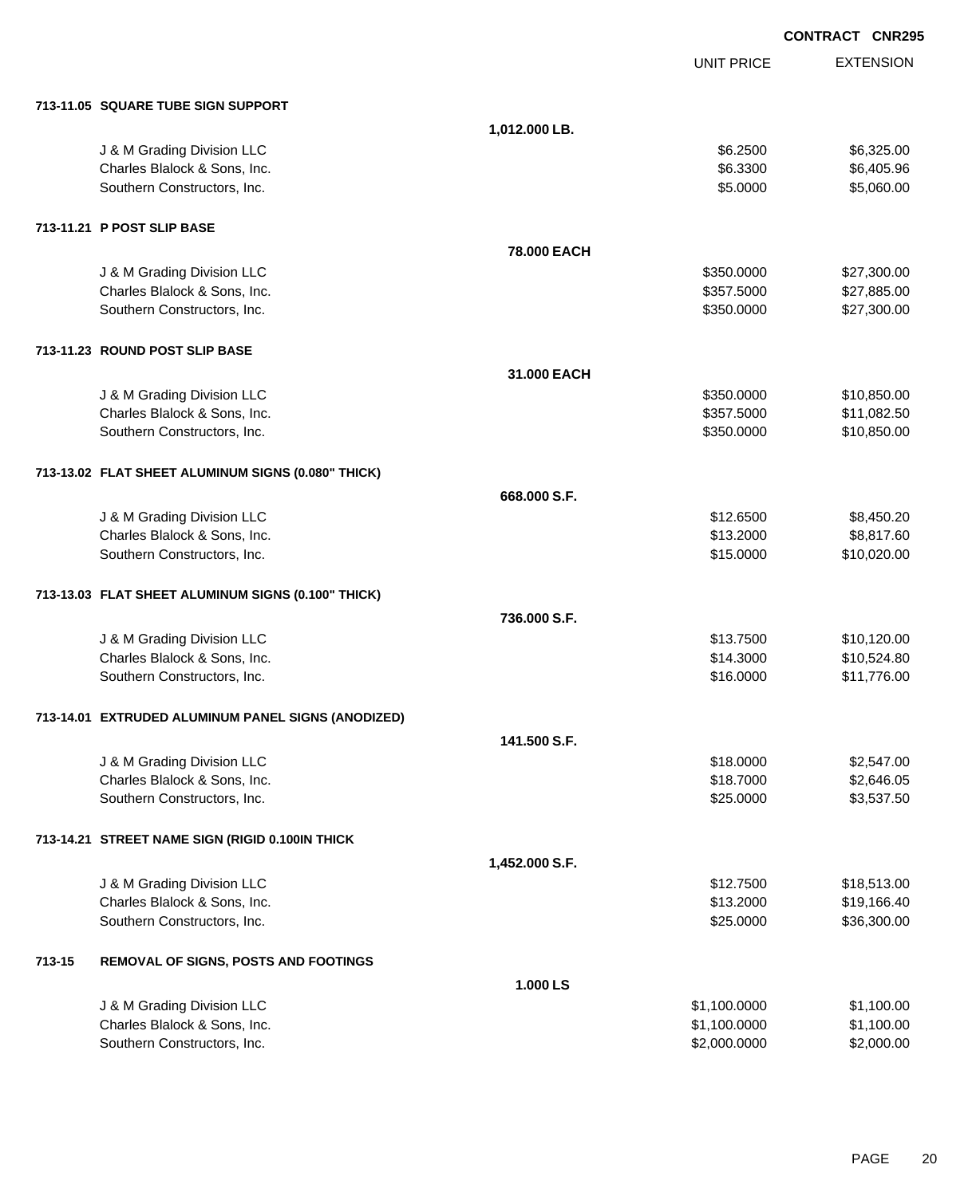EXTENSION **CONTRACT CNR295** UNIT PRICE **713-11.05 SQUARE TUBE SIGN SUPPORT 1,012.000 LB.** details and the Section CDC of the Section of the Section of the Section of the Section of the Section of the Section of the Section of the Section of the Section of the Section of the Section of the Section of the Section Charles Blalock & Sons, Inc. \$6.405.96 Southern Constructors, Inc. 6. The Constructors of the Constructors, Inc. 6. The Constructors, Inc. 6. The Constructors of the Constructors of the Constructors of the Constructors of the Constructors of the Constructors of **713-11.21 P POST SLIP BASE 78.000 EACH** J & M Grading Division LLC \$350.0000 \$27,300.00 Charles Blalock & Sons, Inc. 6. 2012 12:357.5000 \$27,885.00 Southern Constructors, Inc. 6. The Constructors of the Constructors, Inc. 627,300.00 **713-11.23 ROUND POST SLIP BASE 31.000 EACH** J & M Grading Division LLC \$350.0000 \$10,850.00 Charles Blalock & Sons, Inc. 6. 2010 12:357.5000 \$11,082.50 Southern Constructors, Inc. 6. The Constructors, Inc. 6. The Constructors, Inc. 6. The Constructors, Inc. 6. The Constructors of the Constructors, Inc. 6. The Constructors of the Constructors, Inc. 6. The Constructors of t **713-13.02 FLAT SHEET ALUMINUM SIGNS (0.080" THICK) 668.000 S.F.** J & M Grading Division LLC \$12.6500 \$8,450.20 Charles Blalock & Sons, Inc. \$13.2000 \$8,817.60 Southern Constructors, Inc. 6. The Constructors of the Constructors, Inc. 6. The Constructors, Inc. 6. The Constructors of the Constructors of the Constructors of the Constructors of the Constructors of the Constructors of **713-13.03 FLAT SHEET ALUMINUM SIGNS (0.100" THICK) 736.000 S.F.** J & M Grading Division LLC \$13.7500 \$10,120.00 Charles Blalock & Sons, Inc. \$10,524.80 Southern Constructors, Inc. 6. The Southern Constructors, Inc. 6. The Southern Constructors, Inc. 6. The Southern Constructors, Inc. 6. The Southern Constructors, Inc. 6. The Southern Constructors, Inc. 6. The Southern Con **713-14.01 EXTRUDED ALUMINUM PANEL SIGNS (ANODIZED) 141.500 S.F.** J & M Grading Division LLC  $$18.0000$   $$2,547.00$ Charles Blalock & Sons, Inc. \$18.7000 \$2,646.05 Southern Constructors, Inc. 6. The Southern Constructors, Inc. 6. The Southern Constructors, Inc. 6. The Southern Constructors, Inc. 6. The Southern Constructors, Inc. 6. The Southern Constructors, Inc. 6. The Southern Con **713-14.21 STREET NAME SIGN (RIGID 0.100IN THICK 1,452.000 S.F.** J & M Grading Division LLC \$12.7500 \$18,513.00 Charles Blalock & Sons, Inc. \$13.2000 \$19,166.40 Southern Constructors, Inc. 6. The Constructors of the Constructors, Inc. 6. The Constructors, Inc. 6. The Constructors of the Constructors of the Constructors of the Constructors of the Constructors of the Constructors of **713-15 REMOVAL OF SIGNS, POSTS AND FOOTINGS 1.000 LS** J & M Grading Division LLC \$1,100.0000 \$1,100.00 Charles Blalock & Sons, Inc. \$1,100.000 \$1,100.000 \$1,100.000 \$1,100.000 Southern Constructors, Inc. 6. The Constructors of the Constructors, Inc. 6. The Constructors, Inc. 6. The Constructors of the Constructors of the Constructors of the Constructors of the Constructors of the Constructors of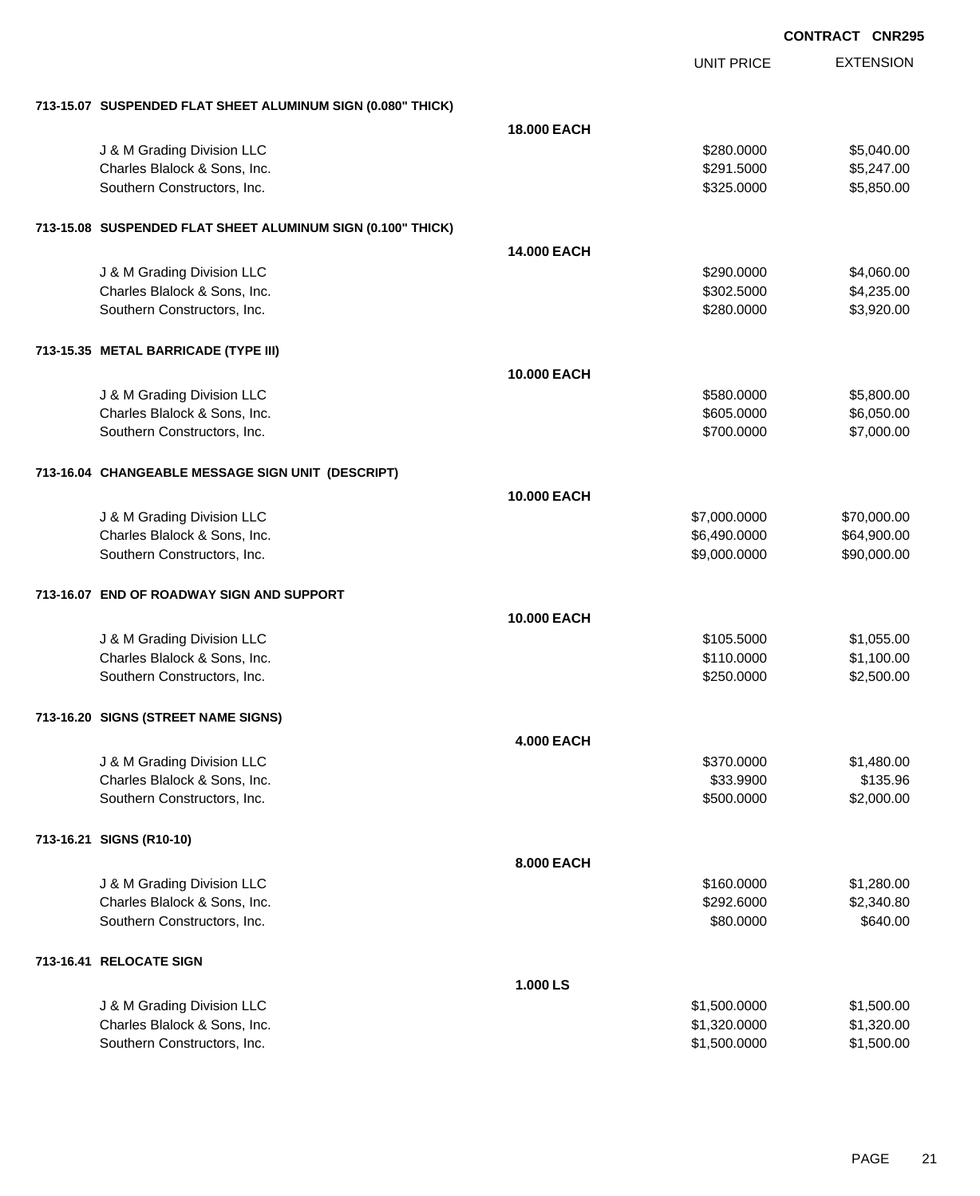| <b>CONTRACT CNR295</b> |  |
|------------------------|--|
|                        |  |

|                                                             |                    | <b>UNIT PRICE</b> | <b>EXTENSION</b> |
|-------------------------------------------------------------|--------------------|-------------------|------------------|
| 713-15.07 SUSPENDED FLAT SHEET ALUMINUM SIGN (0.080" THICK) |                    |                   |                  |
|                                                             | <b>18.000 EACH</b> |                   |                  |
| J & M Grading Division LLC                                  |                    | \$280.0000        | \$5,040.00       |
| Charles Blalock & Sons, Inc.                                |                    | \$291.5000        | \$5,247.00       |
| Southern Constructors, Inc.                                 |                    | \$325.0000        | \$5,850.00       |
| 713-15.08 SUSPENDED FLAT SHEET ALUMINUM SIGN (0.100" THICK) |                    |                   |                  |
|                                                             | 14.000 EACH        |                   |                  |
| J & M Grading Division LLC                                  |                    | \$290.0000        | \$4,060.00       |
| Charles Blalock & Sons, Inc.                                |                    | \$302.5000        | \$4,235.00       |
| Southern Constructors, Inc.                                 |                    | \$280.0000        | \$3,920.00       |
| 713-15.35 METAL BARRICADE (TYPE III)                        |                    |                   |                  |
|                                                             | 10.000 EACH        |                   |                  |
| J & M Grading Division LLC                                  |                    | \$580.0000        | \$5,800.00       |
| Charles Blalock & Sons, Inc.                                |                    | \$605.0000        | \$6,050.00       |
| Southern Constructors, Inc.                                 |                    | \$700.0000        | \$7,000.00       |
| 713-16.04 CHANGEABLE MESSAGE SIGN UNIT (DESCRIPT)           |                    |                   |                  |
|                                                             | 10.000 EACH        |                   |                  |
| J & M Grading Division LLC                                  |                    | \$7,000.0000      | \$70,000.00      |
| Charles Blalock & Sons, Inc.                                |                    | \$6,490.0000      | \$64,900.00      |
| Southern Constructors, Inc.                                 |                    | \$9,000.0000      | \$90,000.00      |
| 713-16.07 END OF ROADWAY SIGN AND SUPPORT                   |                    |                   |                  |
|                                                             | 10.000 EACH        |                   |                  |
| J & M Grading Division LLC                                  |                    | \$105.5000        | \$1,055.00       |
| Charles Blalock & Sons, Inc.                                |                    | \$110.0000        | \$1,100.00       |
| Southern Constructors, Inc.                                 |                    | \$250.0000        | \$2,500.00       |
| 713-16.20 SIGNS (STREET NAME SIGNS)                         |                    |                   |                  |
|                                                             | <b>4.000 EACH</b>  |                   |                  |
| J & M Grading Division LLC                                  |                    | \$370.0000        | \$1,480.00       |
| Charles Blalock & Sons, Inc.                                |                    | \$33.9900         | \$135.96         |
| Southern Constructors, Inc.                                 |                    | \$500.0000        | \$2,000.00       |
| 713-16.21 SIGNS (R10-10)                                    |                    |                   |                  |
|                                                             | 8.000 EACH         |                   |                  |
| J & M Grading Division LLC                                  |                    | \$160.0000        | \$1,280.00       |
| Charles Blalock & Sons, Inc.                                |                    | \$292.6000        | \$2,340.80       |
| Southern Constructors, Inc.                                 |                    | \$80.0000         | \$640.00         |
| 713-16.41 RELOCATE SIGN                                     |                    |                   |                  |
|                                                             | 1.000 LS           |                   |                  |
| J & M Grading Division LLC                                  |                    | \$1,500.0000      | \$1,500.00       |
| Charles Blalock & Sons, Inc.                                |                    | \$1,320.0000      | \$1,320.00       |
| Southern Constructors, Inc.                                 |                    | \$1,500.0000      | \$1,500.00       |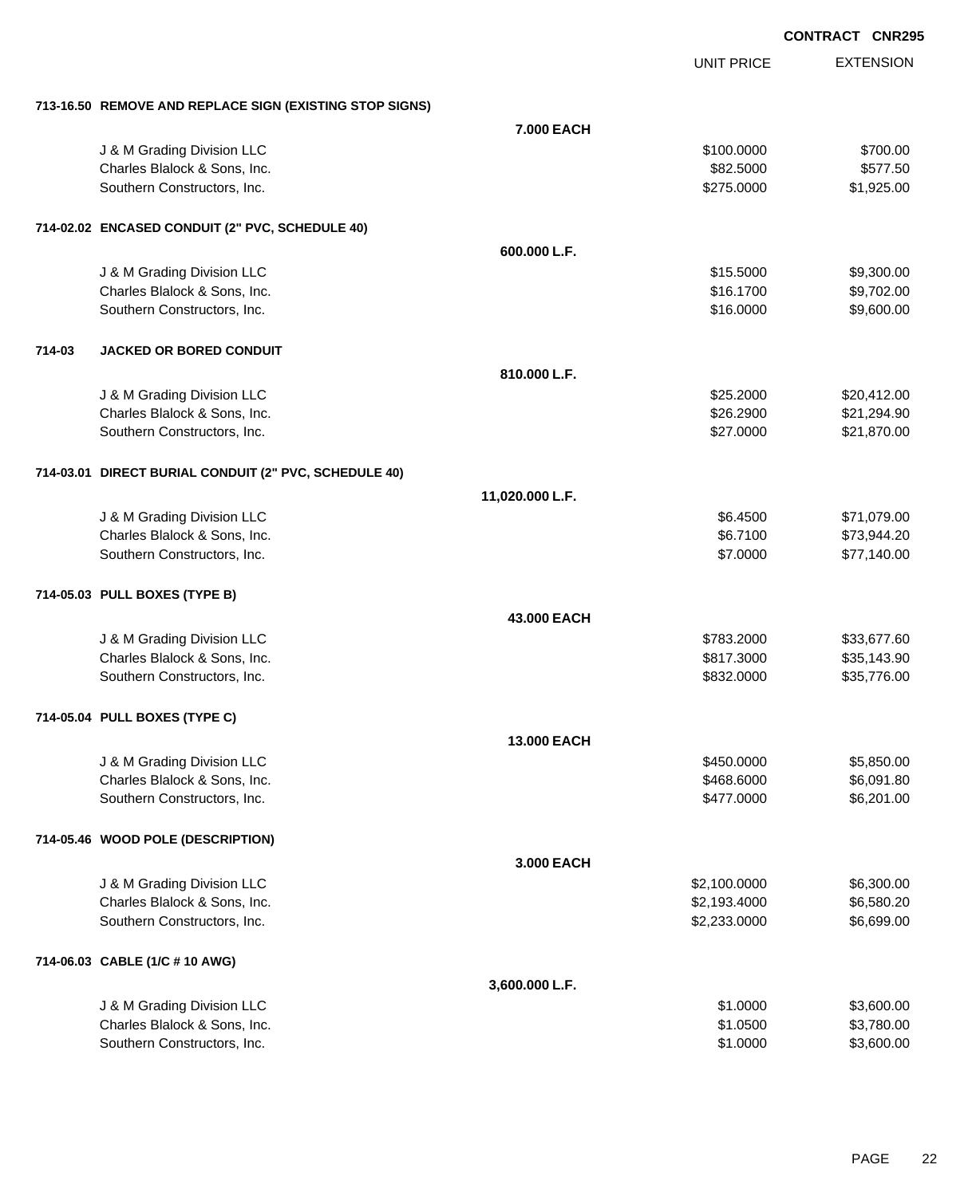UNIT PRICE

|        | 713-16.50 REMOVE AND REPLACE SIGN (EXISTING STOP SIGNS) |                 |              |             |
|--------|---------------------------------------------------------|-----------------|--------------|-------------|
|        |                                                         | 7.000 EACH      |              |             |
|        | J & M Grading Division LLC                              |                 | \$100.0000   | \$700.00    |
|        | Charles Blalock & Sons, Inc.                            |                 | \$82.5000    | \$577.50    |
|        | Southern Constructors, Inc.                             |                 | \$275.0000   | \$1,925.00  |
|        | 714-02.02 ENCASED CONDUIT (2" PVC, SCHEDULE 40)         |                 |              |             |
|        |                                                         | 600.000 L.F.    |              |             |
|        | J & M Grading Division LLC                              |                 | \$15.5000    | \$9,300.00  |
|        | Charles Blalock & Sons, Inc.                            |                 | \$16.1700    | \$9,702.00  |
|        | Southern Constructors, Inc.                             |                 | \$16.0000    | \$9,600.00  |
| 714-03 | <b>JACKED OR BORED CONDUIT</b>                          |                 |              |             |
|        |                                                         | 810.000 L.F.    |              |             |
|        | J & M Grading Division LLC                              |                 | \$25.2000    | \$20,412.00 |
|        | Charles Blalock & Sons, Inc.                            |                 | \$26.2900    | \$21,294.90 |
|        | Southern Constructors, Inc.                             |                 | \$27.0000    | \$21,870.00 |
|        | 714-03.01 DIRECT BURIAL CONDUIT (2" PVC, SCHEDULE 40)   |                 |              |             |
|        |                                                         | 11,020.000 L.F. |              |             |
|        | J & M Grading Division LLC                              |                 | \$6.4500     | \$71,079.00 |
|        | Charles Blalock & Sons, Inc.                            |                 | \$6.7100     | \$73,944.20 |
|        | Southern Constructors, Inc.                             |                 | \$7.0000     | \$77,140.00 |
|        | 714-05.03 PULL BOXES (TYPE B)                           |                 |              |             |
|        |                                                         | 43.000 EACH     |              |             |
|        | J & M Grading Division LLC                              |                 | \$783.2000   | \$33,677.60 |
|        | Charles Blalock & Sons, Inc.                            |                 | \$817.3000   | \$35,143.90 |
|        | Southern Constructors, Inc.                             |                 | \$832.0000   | \$35,776.00 |
|        | 714-05.04 PULL BOXES (TYPE C)                           |                 |              |             |
|        |                                                         | 13.000 EACH     |              |             |
|        | J & M Grading Division LLC                              |                 | \$450.0000   | \$5,850.00  |
|        | Charles Blalock & Sons, Inc.                            |                 | \$468.6000   | \$6,091.80  |
|        | Southern Constructors, Inc.                             |                 | \$477.0000   | \$6,201.00  |
|        | 714-05.46 WOOD POLE (DESCRIPTION)                       |                 |              |             |
|        |                                                         | 3.000 EACH      |              |             |
|        | J & M Grading Division LLC                              |                 | \$2,100.0000 | \$6,300.00  |
|        | Charles Blalock & Sons, Inc.                            |                 | \$2,193.4000 | \$6,580.20  |
|        | Southern Constructors, Inc.                             |                 | \$2,233.0000 | \$6,699.00  |
|        | 714-06.03 CABLE (1/C # 10 AWG)                          |                 |              |             |
|        |                                                         | 3,600.000 L.F.  |              |             |
|        | J & M Grading Division LLC                              |                 | \$1.0000     | \$3,600.00  |
|        | Charles Blalock & Sons, Inc.                            |                 | \$1.0500     | \$3,780.00  |
|        | Southern Constructors, Inc.                             |                 | \$1.0000     | \$3,600.00  |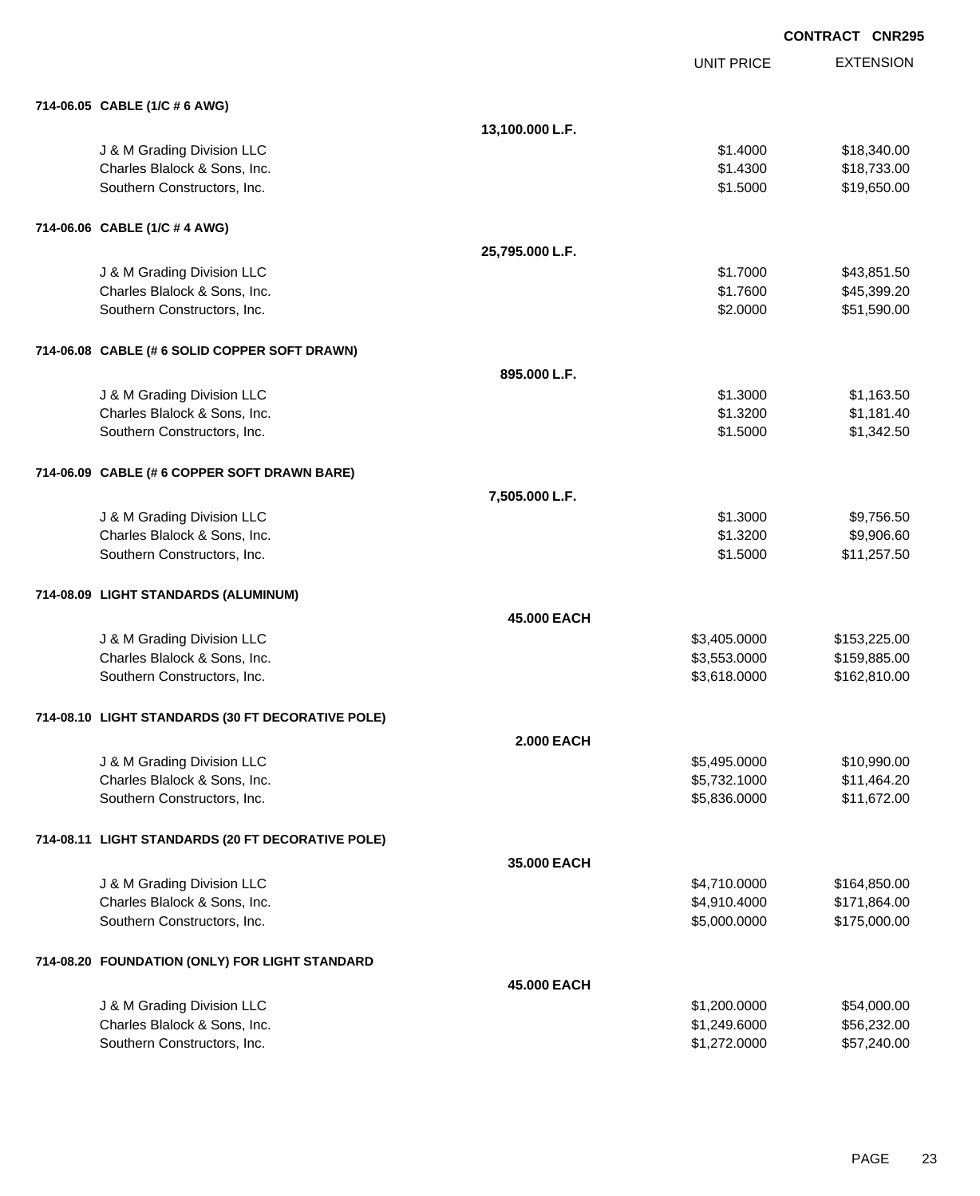|                                                   | <b>CONTRACT CNR295</b> |                   |                  |
|---------------------------------------------------|------------------------|-------------------|------------------|
|                                                   |                        | <b>UNIT PRICE</b> | <b>EXTENSION</b> |
| 714-06.05 CABLE (1/C # 6 AWG)                     |                        |                   |                  |
|                                                   | 13,100.000 L.F.        |                   |                  |
| J & M Grading Division LLC                        |                        | \$1.4000          | \$18,340.00      |
| Charles Blalock & Sons, Inc.                      |                        | \$1.4300          | \$18,733.00      |
| Southern Constructors, Inc.                       |                        | \$1.5000          | \$19,650.00      |
| 714-06.06 CABLE (1/C # 4 AWG)                     |                        |                   |                  |
|                                                   | 25,795.000 L.F.        |                   |                  |
| J & M Grading Division LLC                        |                        | \$1.7000          | \$43,851.50      |
| Charles Blalock & Sons, Inc.                      |                        | \$1.7600          | \$45,399.20      |
| Southern Constructors, Inc.                       |                        | \$2.0000          | \$51,590.00      |
| 714-06.08 CABLE (# 6 SOLID COPPER SOFT DRAWN)     |                        |                   |                  |
|                                                   | 895.000 L.F.           |                   |                  |
| J & M Grading Division LLC                        |                        | \$1.3000          | \$1,163.50       |
| Charles Blalock & Sons, Inc.                      |                        | \$1.3200          | \$1,181.40       |
| Southern Constructors, Inc.                       |                        | \$1.5000          | \$1,342.50       |
| 714-06.09 CABLE (# 6 COPPER SOFT DRAWN BARE)      |                        |                   |                  |
|                                                   | 7,505.000 L.F.         |                   |                  |
| J & M Grading Division LLC                        |                        | \$1.3000          | \$9,756.50       |
| Charles Blalock & Sons, Inc.                      |                        | \$1.3200          | \$9,906.60       |
| Southern Constructors, Inc.                       |                        | \$1.5000          | \$11,257.50      |
| 714-08.09 LIGHT STANDARDS (ALUMINUM)              |                        |                   |                  |
|                                                   | 45,000 EACH            |                   |                  |
| J & M Grading Division LLC                        |                        | \$3,405.0000      | \$153,225.00     |
| Charles Blalock & Sons, Inc.                      |                        | \$3,553.0000      | \$159,885.00     |
| Southern Constructors, Inc.                       |                        | \$3,618.0000      | \$162,810.00     |
| 714-08.10 LIGHT STANDARDS (30 FT DECORATIVE POLE) |                        |                   |                  |
|                                                   | <b>2.000 EACH</b>      |                   |                  |
| J & M Grading Division LLC                        |                        | \$5,495.0000      | \$10,990.00      |
| Charles Blalock & Sons, Inc.                      |                        | \$5,732.1000      | \$11,464.20      |
| Southern Constructors, Inc.                       |                        | \$5,836.0000      | \$11,672.00      |
| 714-08.11 LIGHT STANDARDS (20 FT DECORATIVE POLE) |                        |                   |                  |
|                                                   | 35.000 EACH            |                   |                  |
| J & M Grading Division LLC                        |                        | \$4,710.0000      | \$164,850.00     |
| Charles Blalock & Sons, Inc.                      |                        | \$4,910.4000      | \$171,864.00     |
| Southern Constructors, Inc.                       |                        | \$5,000.0000      | \$175,000.00     |
| 714-08.20 FOUNDATION (ONLY) FOR LIGHT STANDARD    |                        |                   |                  |
|                                                   | 45.000 EACH            |                   |                  |
| J & M Grading Division LLC                        |                        | \$1,200.0000      | \$54,000.00      |
| Charles Blalock & Sons, Inc.                      |                        | \$1,249.6000      | \$56,232.00      |
| Southern Constructors, Inc.                       |                        | \$1,272.0000      | \$57,240.00      |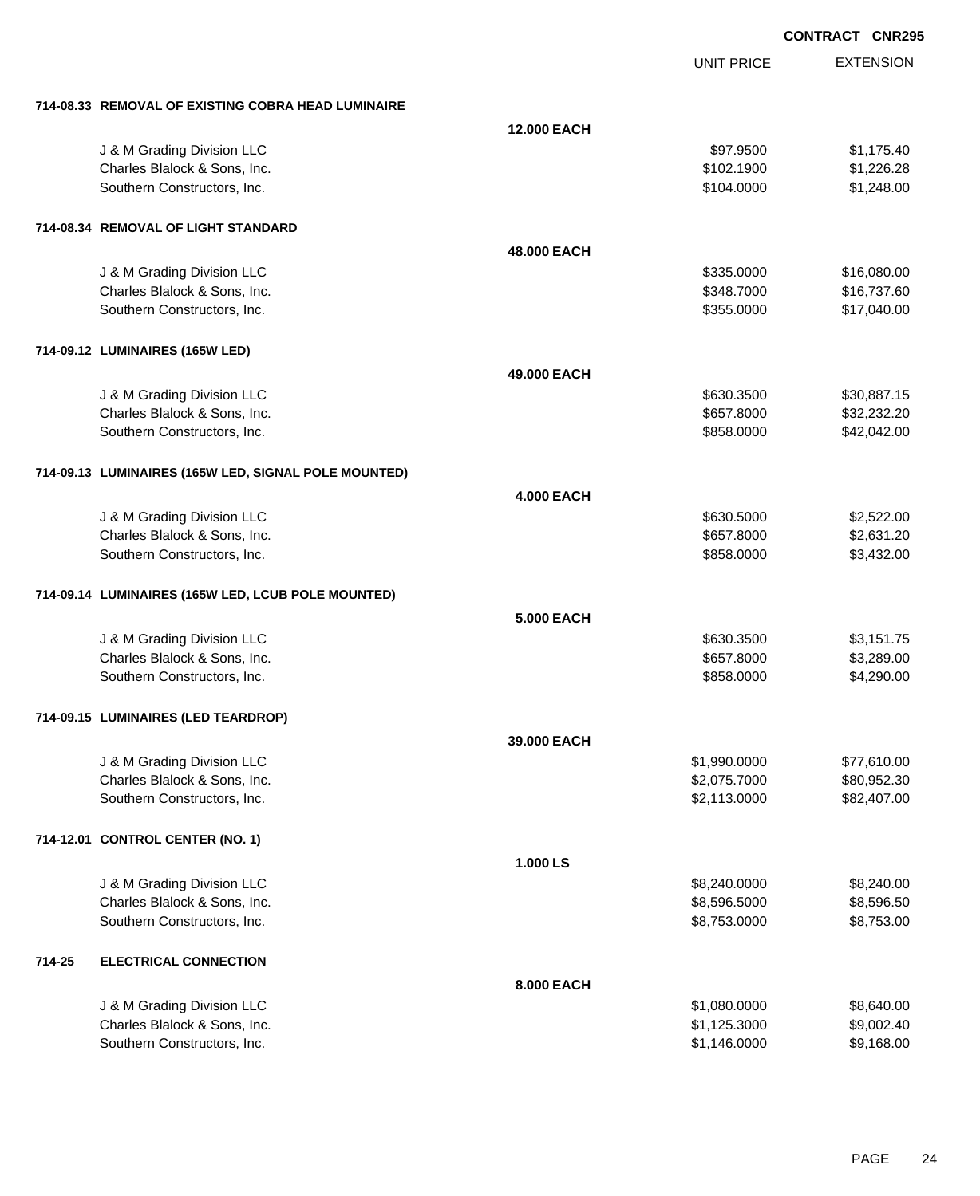| <b>12.000 EACH</b><br>J & M Grading Division LLC<br>\$97.9500<br>\$1,175.40<br>Charles Blalock & Sons, Inc.<br>\$102.1900<br>\$1,226.28<br>\$1,248.00<br>Southern Constructors, Inc.<br>\$104.0000<br>714-08.34 REMOVAL OF LIGHT STANDARD<br>48,000 EACH<br>J & M Grading Division LLC<br>\$335.0000<br>\$16,080.00<br>\$16,737.60<br>Charles Blalock & Sons, Inc.<br>\$348.7000<br>Southern Constructors, Inc.<br>\$355.0000<br>\$17,040.00<br>714-09.12 LUMINAIRES (165W LED)<br>49,000 EACH<br>J & M Grading Division LLC<br>\$630.3500<br>\$30,887.15<br>Charles Blalock & Sons, Inc.<br>\$657.8000<br>\$32,232.20<br>\$42,042.00<br>Southern Constructors, Inc.<br>\$858.0000<br>714-09.13 LUMINAIRES (165W LED, SIGNAL POLE MOUNTED)<br><b>4.000 EACH</b><br>J & M Grading Division LLC<br>\$630.5000<br>\$2,522.00<br>Charles Blalock & Sons, Inc.<br>\$2,631.20<br>\$657.8000<br>\$3,432.00<br>Southern Constructors, Inc.<br>\$858.0000<br>714-09.14 LUMINAIRES (165W LED, LCUB POLE MOUNTED)<br><b>5.000 EACH</b><br>J & M Grading Division LLC<br>\$630.3500<br>\$3,151.75<br>Charles Blalock & Sons, Inc.<br>\$3,289.00<br>\$657.8000<br>\$4,290.00<br>Southern Constructors, Inc.<br>\$858.0000<br>714-09.15 LUMINAIRES (LED TEARDROP)<br>39,000 EACH<br>J & M Grading Division LLC<br>\$1,990.0000<br>\$77,610.00<br>Charles Blalock & Sons, Inc.<br>\$2,075.7000<br>\$80,952.30<br>\$2,113.0000<br>\$82,407.00<br>Southern Constructors, Inc.<br>714-12.01 CONTROL CENTER (NO. 1)<br>1.000 LS<br>J & M Grading Division LLC<br>\$8,240.0000<br>\$8,240.00<br>\$8,596.50<br>Charles Blalock & Sons, Inc.<br>\$8,596.5000<br>Southern Constructors, Inc.<br>\$8,753.0000<br>\$8,753.00<br>714-25<br><b>ELECTRICAL CONNECTION</b> |
|-----------------------------------------------------------------------------------------------------------------------------------------------------------------------------------------------------------------------------------------------------------------------------------------------------------------------------------------------------------------------------------------------------------------------------------------------------------------------------------------------------------------------------------------------------------------------------------------------------------------------------------------------------------------------------------------------------------------------------------------------------------------------------------------------------------------------------------------------------------------------------------------------------------------------------------------------------------------------------------------------------------------------------------------------------------------------------------------------------------------------------------------------------------------------------------------------------------------------------------------------------------------------------------------------------------------------------------------------------------------------------------------------------------------------------------------------------------------------------------------------------------------------------------------------------------------------------------------------------------------------------------------------------------------------------------------------------------------------------------------------|
|                                                                                                                                                                                                                                                                                                                                                                                                                                                                                                                                                                                                                                                                                                                                                                                                                                                                                                                                                                                                                                                                                                                                                                                                                                                                                                                                                                                                                                                                                                                                                                                                                                                                                                                                               |
|                                                                                                                                                                                                                                                                                                                                                                                                                                                                                                                                                                                                                                                                                                                                                                                                                                                                                                                                                                                                                                                                                                                                                                                                                                                                                                                                                                                                                                                                                                                                                                                                                                                                                                                                               |
|                                                                                                                                                                                                                                                                                                                                                                                                                                                                                                                                                                                                                                                                                                                                                                                                                                                                                                                                                                                                                                                                                                                                                                                                                                                                                                                                                                                                                                                                                                                                                                                                                                                                                                                                               |
|                                                                                                                                                                                                                                                                                                                                                                                                                                                                                                                                                                                                                                                                                                                                                                                                                                                                                                                                                                                                                                                                                                                                                                                                                                                                                                                                                                                                                                                                                                                                                                                                                                                                                                                                               |
|                                                                                                                                                                                                                                                                                                                                                                                                                                                                                                                                                                                                                                                                                                                                                                                                                                                                                                                                                                                                                                                                                                                                                                                                                                                                                                                                                                                                                                                                                                                                                                                                                                                                                                                                               |
|                                                                                                                                                                                                                                                                                                                                                                                                                                                                                                                                                                                                                                                                                                                                                                                                                                                                                                                                                                                                                                                                                                                                                                                                                                                                                                                                                                                                                                                                                                                                                                                                                                                                                                                                               |
|                                                                                                                                                                                                                                                                                                                                                                                                                                                                                                                                                                                                                                                                                                                                                                                                                                                                                                                                                                                                                                                                                                                                                                                                                                                                                                                                                                                                                                                                                                                                                                                                                                                                                                                                               |
|                                                                                                                                                                                                                                                                                                                                                                                                                                                                                                                                                                                                                                                                                                                                                                                                                                                                                                                                                                                                                                                                                                                                                                                                                                                                                                                                                                                                                                                                                                                                                                                                                                                                                                                                               |
|                                                                                                                                                                                                                                                                                                                                                                                                                                                                                                                                                                                                                                                                                                                                                                                                                                                                                                                                                                                                                                                                                                                                                                                                                                                                                                                                                                                                                                                                                                                                                                                                                                                                                                                                               |
|                                                                                                                                                                                                                                                                                                                                                                                                                                                                                                                                                                                                                                                                                                                                                                                                                                                                                                                                                                                                                                                                                                                                                                                                                                                                                                                                                                                                                                                                                                                                                                                                                                                                                                                                               |
|                                                                                                                                                                                                                                                                                                                                                                                                                                                                                                                                                                                                                                                                                                                                                                                                                                                                                                                                                                                                                                                                                                                                                                                                                                                                                                                                                                                                                                                                                                                                                                                                                                                                                                                                               |
|                                                                                                                                                                                                                                                                                                                                                                                                                                                                                                                                                                                                                                                                                                                                                                                                                                                                                                                                                                                                                                                                                                                                                                                                                                                                                                                                                                                                                                                                                                                                                                                                                                                                                                                                               |
|                                                                                                                                                                                                                                                                                                                                                                                                                                                                                                                                                                                                                                                                                                                                                                                                                                                                                                                                                                                                                                                                                                                                                                                                                                                                                                                                                                                                                                                                                                                                                                                                                                                                                                                                               |
|                                                                                                                                                                                                                                                                                                                                                                                                                                                                                                                                                                                                                                                                                                                                                                                                                                                                                                                                                                                                                                                                                                                                                                                                                                                                                                                                                                                                                                                                                                                                                                                                                                                                                                                                               |
|                                                                                                                                                                                                                                                                                                                                                                                                                                                                                                                                                                                                                                                                                                                                                                                                                                                                                                                                                                                                                                                                                                                                                                                                                                                                                                                                                                                                                                                                                                                                                                                                                                                                                                                                               |
|                                                                                                                                                                                                                                                                                                                                                                                                                                                                                                                                                                                                                                                                                                                                                                                                                                                                                                                                                                                                                                                                                                                                                                                                                                                                                                                                                                                                                                                                                                                                                                                                                                                                                                                                               |
|                                                                                                                                                                                                                                                                                                                                                                                                                                                                                                                                                                                                                                                                                                                                                                                                                                                                                                                                                                                                                                                                                                                                                                                                                                                                                                                                                                                                                                                                                                                                                                                                                                                                                                                                               |
|                                                                                                                                                                                                                                                                                                                                                                                                                                                                                                                                                                                                                                                                                                                                                                                                                                                                                                                                                                                                                                                                                                                                                                                                                                                                                                                                                                                                                                                                                                                                                                                                                                                                                                                                               |
|                                                                                                                                                                                                                                                                                                                                                                                                                                                                                                                                                                                                                                                                                                                                                                                                                                                                                                                                                                                                                                                                                                                                                                                                                                                                                                                                                                                                                                                                                                                                                                                                                                                                                                                                               |
|                                                                                                                                                                                                                                                                                                                                                                                                                                                                                                                                                                                                                                                                                                                                                                                                                                                                                                                                                                                                                                                                                                                                                                                                                                                                                                                                                                                                                                                                                                                                                                                                                                                                                                                                               |
|                                                                                                                                                                                                                                                                                                                                                                                                                                                                                                                                                                                                                                                                                                                                                                                                                                                                                                                                                                                                                                                                                                                                                                                                                                                                                                                                                                                                                                                                                                                                                                                                                                                                                                                                               |
|                                                                                                                                                                                                                                                                                                                                                                                                                                                                                                                                                                                                                                                                                                                                                                                                                                                                                                                                                                                                                                                                                                                                                                                                                                                                                                                                                                                                                                                                                                                                                                                                                                                                                                                                               |
|                                                                                                                                                                                                                                                                                                                                                                                                                                                                                                                                                                                                                                                                                                                                                                                                                                                                                                                                                                                                                                                                                                                                                                                                                                                                                                                                                                                                                                                                                                                                                                                                                                                                                                                                               |
|                                                                                                                                                                                                                                                                                                                                                                                                                                                                                                                                                                                                                                                                                                                                                                                                                                                                                                                                                                                                                                                                                                                                                                                                                                                                                                                                                                                                                                                                                                                                                                                                                                                                                                                                               |
|                                                                                                                                                                                                                                                                                                                                                                                                                                                                                                                                                                                                                                                                                                                                                                                                                                                                                                                                                                                                                                                                                                                                                                                                                                                                                                                                                                                                                                                                                                                                                                                                                                                                                                                                               |
|                                                                                                                                                                                                                                                                                                                                                                                                                                                                                                                                                                                                                                                                                                                                                                                                                                                                                                                                                                                                                                                                                                                                                                                                                                                                                                                                                                                                                                                                                                                                                                                                                                                                                                                                               |
|                                                                                                                                                                                                                                                                                                                                                                                                                                                                                                                                                                                                                                                                                                                                                                                                                                                                                                                                                                                                                                                                                                                                                                                                                                                                                                                                                                                                                                                                                                                                                                                                                                                                                                                                               |
|                                                                                                                                                                                                                                                                                                                                                                                                                                                                                                                                                                                                                                                                                                                                                                                                                                                                                                                                                                                                                                                                                                                                                                                                                                                                                                                                                                                                                                                                                                                                                                                                                                                                                                                                               |
|                                                                                                                                                                                                                                                                                                                                                                                                                                                                                                                                                                                                                                                                                                                                                                                                                                                                                                                                                                                                                                                                                                                                                                                                                                                                                                                                                                                                                                                                                                                                                                                                                                                                                                                                               |
|                                                                                                                                                                                                                                                                                                                                                                                                                                                                                                                                                                                                                                                                                                                                                                                                                                                                                                                                                                                                                                                                                                                                                                                                                                                                                                                                                                                                                                                                                                                                                                                                                                                                                                                                               |
|                                                                                                                                                                                                                                                                                                                                                                                                                                                                                                                                                                                                                                                                                                                                                                                                                                                                                                                                                                                                                                                                                                                                                                                                                                                                                                                                                                                                                                                                                                                                                                                                                                                                                                                                               |
|                                                                                                                                                                                                                                                                                                                                                                                                                                                                                                                                                                                                                                                                                                                                                                                                                                                                                                                                                                                                                                                                                                                                                                                                                                                                                                                                                                                                                                                                                                                                                                                                                                                                                                                                               |
|                                                                                                                                                                                                                                                                                                                                                                                                                                                                                                                                                                                                                                                                                                                                                                                                                                                                                                                                                                                                                                                                                                                                                                                                                                                                                                                                                                                                                                                                                                                                                                                                                                                                                                                                               |
|                                                                                                                                                                                                                                                                                                                                                                                                                                                                                                                                                                                                                                                                                                                                                                                                                                                                                                                                                                                                                                                                                                                                                                                                                                                                                                                                                                                                                                                                                                                                                                                                                                                                                                                                               |
|                                                                                                                                                                                                                                                                                                                                                                                                                                                                                                                                                                                                                                                                                                                                                                                                                                                                                                                                                                                                                                                                                                                                                                                                                                                                                                                                                                                                                                                                                                                                                                                                                                                                                                                                               |
|                                                                                                                                                                                                                                                                                                                                                                                                                                                                                                                                                                                                                                                                                                                                                                                                                                                                                                                                                                                                                                                                                                                                                                                                                                                                                                                                                                                                                                                                                                                                                                                                                                                                                                                                               |
|                                                                                                                                                                                                                                                                                                                                                                                                                                                                                                                                                                                                                                                                                                                                                                                                                                                                                                                                                                                                                                                                                                                                                                                                                                                                                                                                                                                                                                                                                                                                                                                                                                                                                                                                               |
| 8.000 EACH                                                                                                                                                                                                                                                                                                                                                                                                                                                                                                                                                                                                                                                                                                                                                                                                                                                                                                                                                                                                                                                                                                                                                                                                                                                                                                                                                                                                                                                                                                                                                                                                                                                                                                                                    |
| J & M Grading Division LLC<br>\$8,640.00<br>\$1,080.0000                                                                                                                                                                                                                                                                                                                                                                                                                                                                                                                                                                                                                                                                                                                                                                                                                                                                                                                                                                                                                                                                                                                                                                                                                                                                                                                                                                                                                                                                                                                                                                                                                                                                                      |
| Charles Blalock & Sons, Inc.<br>\$1,125.3000<br>\$9,002.40                                                                                                                                                                                                                                                                                                                                                                                                                                                                                                                                                                                                                                                                                                                                                                                                                                                                                                                                                                                                                                                                                                                                                                                                                                                                                                                                                                                                                                                                                                                                                                                                                                                                                    |
| \$1,146.0000<br>Southern Constructors, Inc.<br>\$9,168.00                                                                                                                                                                                                                                                                                                                                                                                                                                                                                                                                                                                                                                                                                                                                                                                                                                                                                                                                                                                                                                                                                                                                                                                                                                                                                                                                                                                                                                                                                                                                                                                                                                                                                     |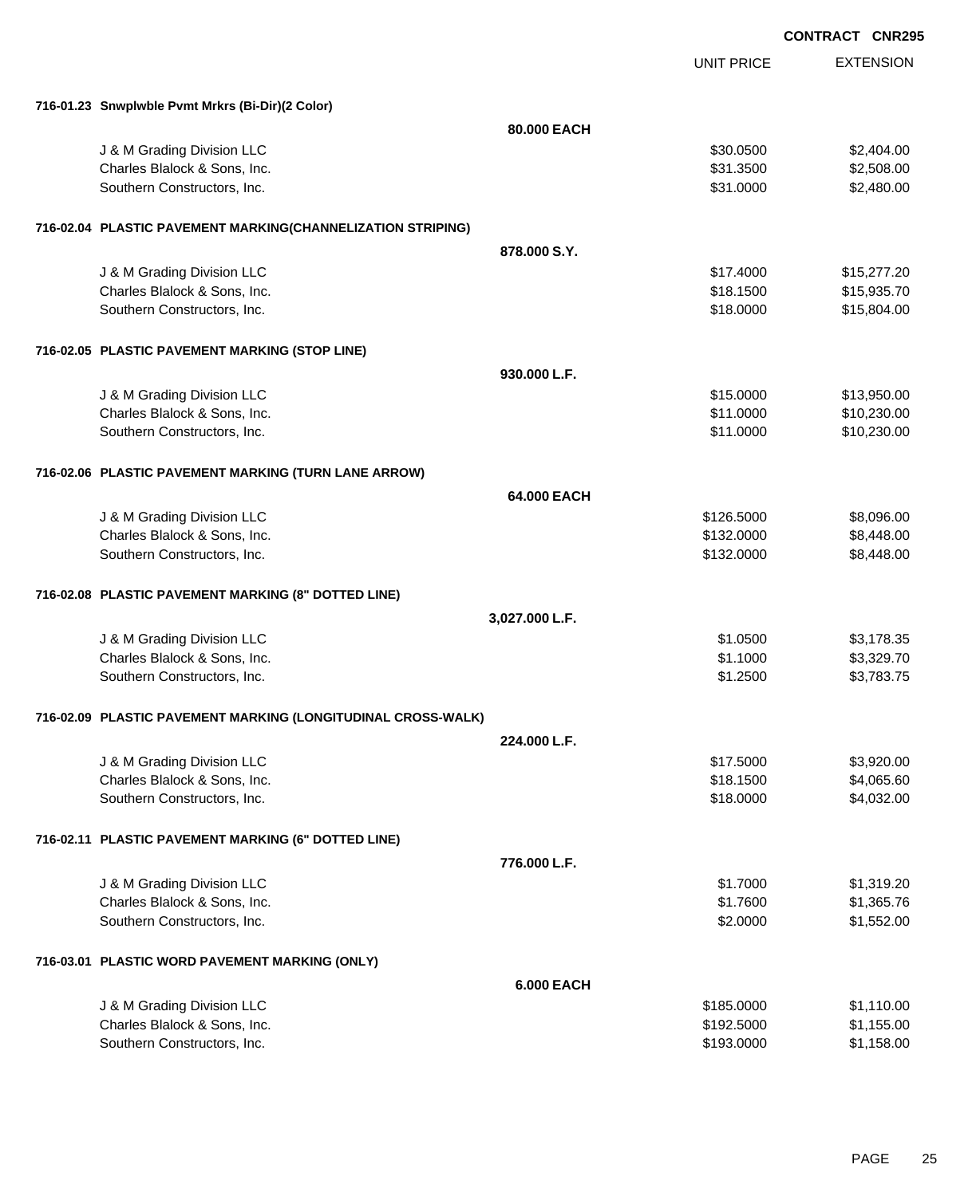EXTENSION **CONTRACT CNR295** UNIT PRICE **716-01.23 Snwplwble Pvmt Mrkrs (Bi-Dir)(2 Color) 80.000 EACH** J & M Grading Division LLC \$30.0500 \$2,404.00 Charles Blalock & Sons, Inc. \$31.3500 \$2,508.00 Southern Constructors, Inc. 6. The Constructors of the Constructors, Inc. 6. The Constructors, Inc. 6. S2,480.00 **716-02.04 PLASTIC PAVEMENT MARKING(CHANNELIZATION STRIPING) 878.000 S.Y.** J & M Grading Division LLC \$17.4000 \$15,277.20 Charles Blalock & Sons, Inc. \$15,935.70 Southern Constructors, Inc. 6. The Southern Constructors, Inc. 6. The Southern Constructors, Inc. 6. The Southern Constructors, Inc. 6. The Southern Constructors, Inc. 6. The Southern Constructors, Inc. 6. The Southern Con **716-02.05 PLASTIC PAVEMENT MARKING (STOP LINE) 930.000 L.F.** J & M Grading Division LLC  $$13,950.00$ Charles Blalock & Sons, Inc. \$11.0000 \$10,230.00 Southern Constructors, Inc. 6. The Southern Constructors, Inc. 6. The Southern Constructors, Inc. 6. The Southern Constructors, Inc. 6. The Southern Constructors, Inc. 6. The Southern Constructors, Inc. 6. The Southern Con **716-02.06 PLASTIC PAVEMENT MARKING (TURN LANE ARROW) 64.000 EACH** U & M Grading Division LLC  $$126.5000$   $$8,096.00$ Charles Blalock & Sons, Inc. 6. 2010 12:30 12:30 12:30 12:30 12:30 12:30 12:30 12:30 12:30 132.0000 \$8,448.00 Southern Constructors, Inc. 6. The Constructors of the Constructors, Inc. 6. The Constructors, Inc. 6. The Constructors of the Constructors of the Constructors of the Constructors of the Constructors of the Constructors of **716-02.08 PLASTIC PAVEMENT MARKING (8" DOTTED LINE) 3,027.000 L.F.** J & M Grading Division LLC \$1.0500 \$3,178.35 Charles Blalock & Sons, Inc. 6. 2012 12:329.70 \$1.1000 \$3,329.70 Southern Constructors, Inc. 63,783.75 **716-02.09 PLASTIC PAVEMENT MARKING (LONGITUDINAL CROSS-WALK) 224.000 L.F.** J & M Grading Division LLC \$17.5000 \$3,920.00 Charles Blalock & Sons, Inc. \$18.1500 \$4,065.60 Southern Constructors, Inc. 6. The Constructors, Inc. 6. The Constructors, Inc. 6. The Constructors, Inc. 6. S **716-02.11 PLASTIC PAVEMENT MARKING (6" DOTTED LINE) 776.000 L.F.** J & M Grading Division LLC \$1.7000 \$1,319.20 Charles Blalock & Sons, Inc. \$1.7600 \$1,365.76 Southern Constructors, Inc. 6. The Constructors of the Constructors, Inc. 6. The Constructors, Inc. 6. The Constructors of the Constructors of the Constructors of the Constructors of the Constructors of the Constructors of **716-03.01 PLASTIC WORD PAVEMENT MARKING (ONLY) 6.000 EACH**

J & M Grading Division LLC \$185.0000 \$1,110.00 Charles Blalock & Sons, Inc. 6. 2012. The State of the State of the State of State of State of State of State o Southern Constructors, Inc. 6. The Constructors of the Constructors, Inc. 6. The Constructors, Inc. 6. The Constructors of the Constructors of the Constructors of the Constructors of the Constructors of the Constructors of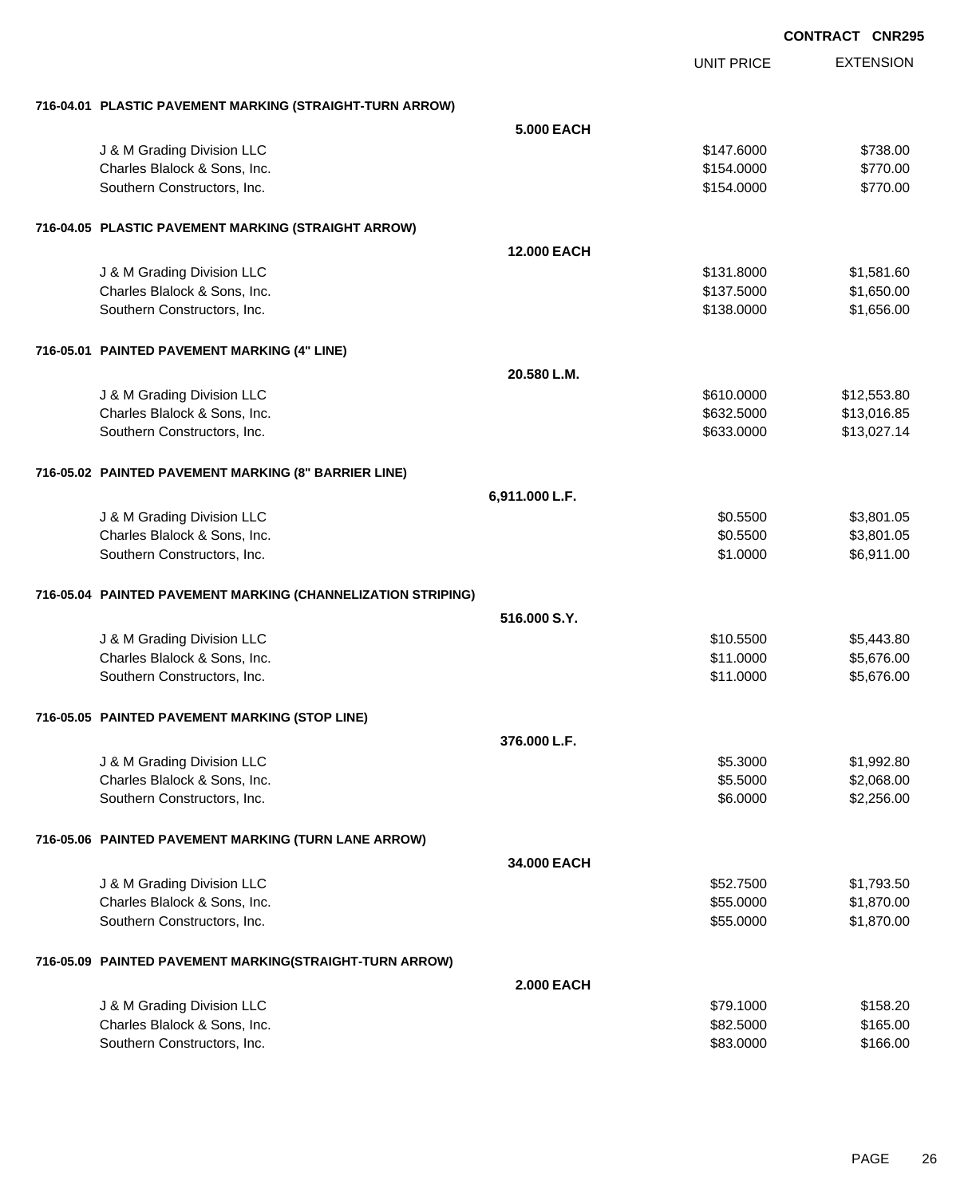|                                                              |                   | <b>CONTRACT CNR295</b> |
|--------------------------------------------------------------|-------------------|------------------------|
|                                                              | <b>UNIT PRICE</b> | <b>EXTENSION</b>       |
| 716-04.01 PLASTIC PAVEMENT MARKING (STRAIGHT-TURN ARROW)     |                   |                        |
| <b>5.000 EACH</b>                                            |                   |                        |
| J & M Grading Division LLC                                   | \$147.6000        | \$738.00               |
| Charles Blalock & Sons, Inc.                                 | \$154.0000        | \$770.00               |
| Southern Constructors, Inc.                                  | \$154.0000        | \$770.00               |
| 716-04.05 PLASTIC PAVEMENT MARKING (STRAIGHT ARROW)          |                   |                        |
| 12.000 EACH                                                  |                   |                        |
| J & M Grading Division LLC                                   | \$131.8000        | \$1,581.60             |
| Charles Blalock & Sons, Inc.                                 | \$137.5000        | \$1,650.00             |
| Southern Constructors, Inc.                                  | \$138.0000        | \$1,656.00             |
| 716-05.01 PAINTED PAVEMENT MARKING (4" LINE)                 |                   |                        |
| 20.580 L.M.                                                  |                   |                        |
| J & M Grading Division LLC                                   | \$610.0000        | \$12,553.80            |
| Charles Blalock & Sons, Inc.                                 | \$632.5000        | \$13,016.85            |
| Southern Constructors, Inc.                                  | \$633.0000        | \$13,027.14            |
| 716-05.02 PAINTED PAVEMENT MARKING (8" BARRIER LINE)         |                   |                        |
| 6,911.000 L.F.                                               |                   |                        |
| J & M Grading Division LLC                                   | \$0.5500          | \$3,801.05             |
| Charles Blalock & Sons, Inc.                                 | \$0.5500          | \$3,801.05             |
| Southern Constructors, Inc.                                  | \$1.0000          | \$6,911.00             |
| 716-05.04 PAINTED PAVEMENT MARKING (CHANNELIZATION STRIPING) |                   |                        |
| 516.000 S.Y.                                                 |                   |                        |
| J & M Grading Division LLC                                   | \$10.5500         | \$5,443.80             |
| Charles Blalock & Sons, Inc.                                 | \$11.0000         | \$5,676.00             |
| Southern Constructors, Inc.                                  | \$11.0000         | \$5,676.00             |
| 716-05.05 PAINTED PAVEMENT MARKING (STOP LINE)               |                   |                        |
| 376.000 L.F.                                                 |                   |                        |
| J & M Grading Division LLC                                   | \$5.3000          | \$1,992.80             |
| Charles Blalock & Sons, Inc.                                 | \$5.5000          | \$2,068.00             |
| Southern Constructors, Inc.                                  | \$6.0000          | \$2,256.00             |
| 716-05.06 PAINTED PAVEMENT MARKING (TURN LANE ARROW)         |                   |                        |
| 34,000 EACH                                                  |                   |                        |
| J & M Grading Division LLC                                   | \$52.7500         | \$1,793.50             |
| Charles Blalock & Sons, Inc.                                 | \$55.0000         | \$1,870.00             |
| Southern Constructors, Inc.                                  | \$55.0000         | \$1,870.00             |
| 716-05.09 PAINTED PAVEMENT MARKING(STRAIGHT-TURN ARROW)      |                   |                        |
| <b>2.000 EACH</b>                                            |                   |                        |
| J & M Grading Division LLC                                   | \$79.1000         | \$158.20               |
| Charles Blalock & Sons, Inc.                                 | \$82.5000         | \$165.00               |
| Southern Constructors, Inc.                                  | \$83.0000         | \$166.00               |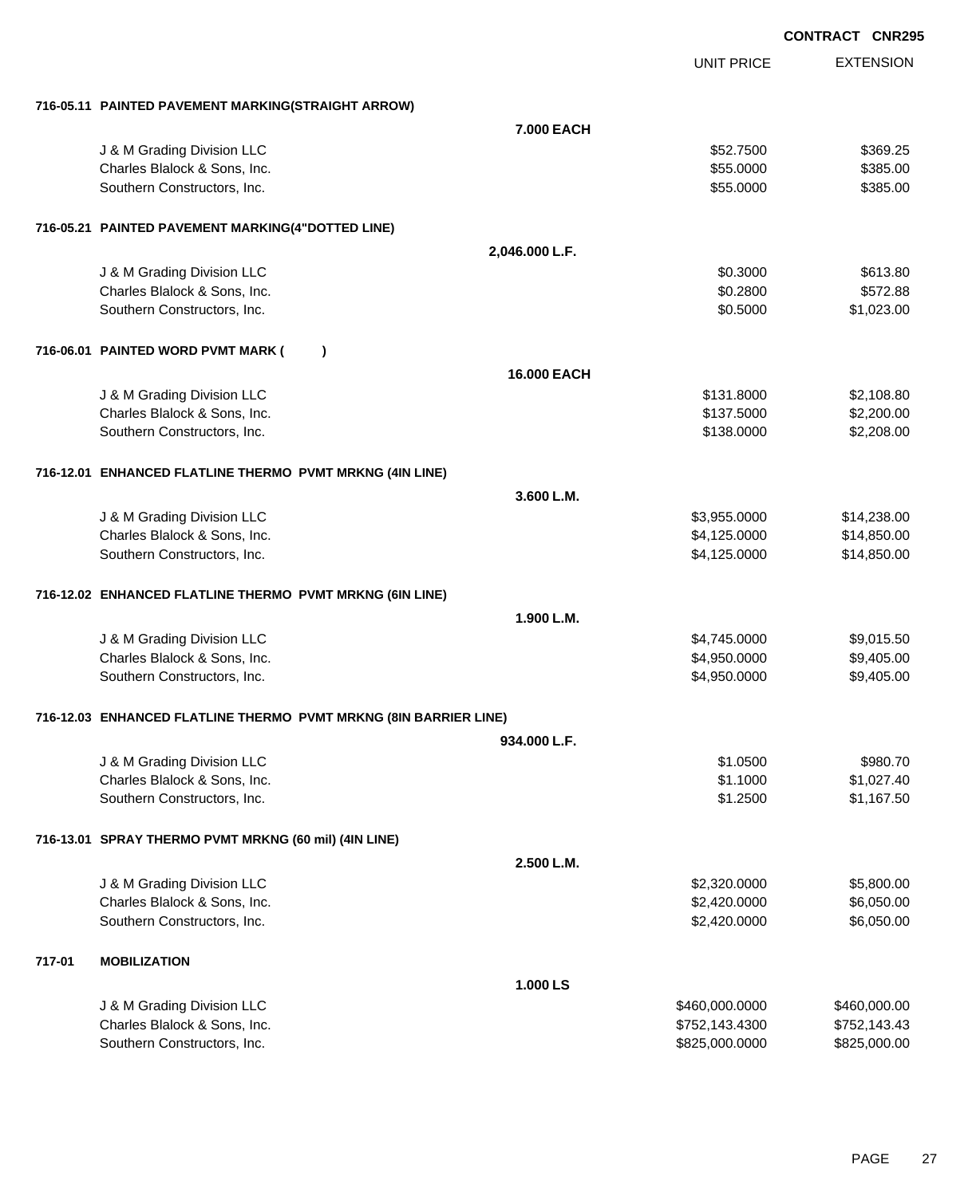|        |                                                                  |                    |                   | <b>CONTRACT CNR295</b> |
|--------|------------------------------------------------------------------|--------------------|-------------------|------------------------|
|        |                                                                  |                    | <b>UNIT PRICE</b> | <b>EXTENSION</b>       |
|        |                                                                  |                    |                   |                        |
|        | 716-05.11 PAINTED PAVEMENT MARKING(STRAIGHT ARROW)               |                    |                   |                        |
|        |                                                                  | <b>7.000 EACH</b>  |                   |                        |
|        | J & M Grading Division LLC                                       |                    | \$52.7500         | \$369.25               |
|        | Charles Blalock & Sons, Inc.                                     |                    | \$55.0000         | \$385.00               |
|        | Southern Constructors, Inc.                                      |                    | \$55.0000         | \$385.00               |
|        | 716-05.21 PAINTED PAVEMENT MARKING(4"DOTTED LINE)                |                    |                   |                        |
|        |                                                                  | 2,046.000 L.F.     |                   |                        |
|        | J & M Grading Division LLC                                       |                    | \$0.3000          | \$613.80               |
|        | Charles Blalock & Sons, Inc.                                     |                    | \$0.2800          | \$572.88               |
|        | Southern Constructors, Inc.                                      |                    | \$0.5000          | \$1,023.00             |
|        | 716-06.01 PAINTED WORD PVMT MARK (<br>$\lambda$                  |                    |                   |                        |
|        |                                                                  | <b>16.000 EACH</b> |                   |                        |
|        | J & M Grading Division LLC                                       |                    | \$131.8000        | \$2,108.80             |
|        | Charles Blalock & Sons, Inc.                                     |                    | \$137.5000        | \$2,200.00             |
|        | Southern Constructors, Inc.                                      |                    | \$138.0000        | \$2,208.00             |
|        |                                                                  |                    |                   |                        |
|        | 716-12.01 ENHANCED FLATLINE THERMO PVMT MRKNG (4IN LINE)         |                    |                   |                        |
|        |                                                                  | 3.600 L.M.         |                   |                        |
|        | J & M Grading Division LLC                                       |                    | \$3,955.0000      | \$14,238.00            |
|        | Charles Blalock & Sons, Inc.                                     |                    | \$4,125.0000      | \$14,850.00            |
|        | Southern Constructors, Inc.                                      |                    | \$4,125.0000      | \$14,850.00            |
|        | 716-12.02 ENHANCED FLATLINE THERMO PVMT MRKNG (6IN LINE)         |                    |                   |                        |
|        |                                                                  | 1.900 L.M.         |                   |                        |
|        | J & M Grading Division LLC                                       |                    | \$4,745.0000      | \$9,015.50             |
|        | Charles Blalock & Sons, Inc.                                     |                    | \$4,950.0000      | \$9,405.00             |
|        | Southern Constructors, Inc.                                      |                    | \$4,950.0000      | \$9,405.00             |
|        |                                                                  |                    |                   |                        |
|        | 716-12.03 ENHANCED FLATLINE THERMO PVMT MRKNG (8IN BARRIER LINE) |                    |                   |                        |
|        |                                                                  | 934.000 L.F.       |                   |                        |
|        | J & M Grading Division LLC                                       |                    | \$1.0500          | \$980.70               |
|        | Charles Blalock & Sons, Inc.                                     |                    | \$1.1000          | \$1,027.40             |
|        | Southern Constructors, Inc.                                      |                    | \$1.2500          | \$1,167.50             |
|        | 716-13.01 SPRAY THERMO PVMT MRKNG (60 mil) (4IN LINE)            |                    |                   |                        |
|        |                                                                  | 2.500 L.M.         |                   |                        |
|        | J & M Grading Division LLC                                       |                    | \$2,320.0000      | \$5,800.00             |
|        | Charles Blalock & Sons, Inc.                                     |                    | \$2,420.0000      | \$6,050.00             |
|        | Southern Constructors, Inc.                                      |                    | \$2,420.0000      | \$6,050.00             |
|        |                                                                  |                    |                   |                        |
| 717-01 | <b>MOBILIZATION</b>                                              |                    |                   |                        |
|        |                                                                  | 1.000 LS           |                   |                        |
|        | J & M Grading Division LLC                                       |                    | \$460,000.0000    | \$460,000.00           |
|        | Charles Blalock & Sons, Inc.                                     |                    | \$752,143.4300    | \$752,143.43           |
|        | Southern Constructors, Inc.                                      |                    | \$825,000.0000    | \$825,000.00           |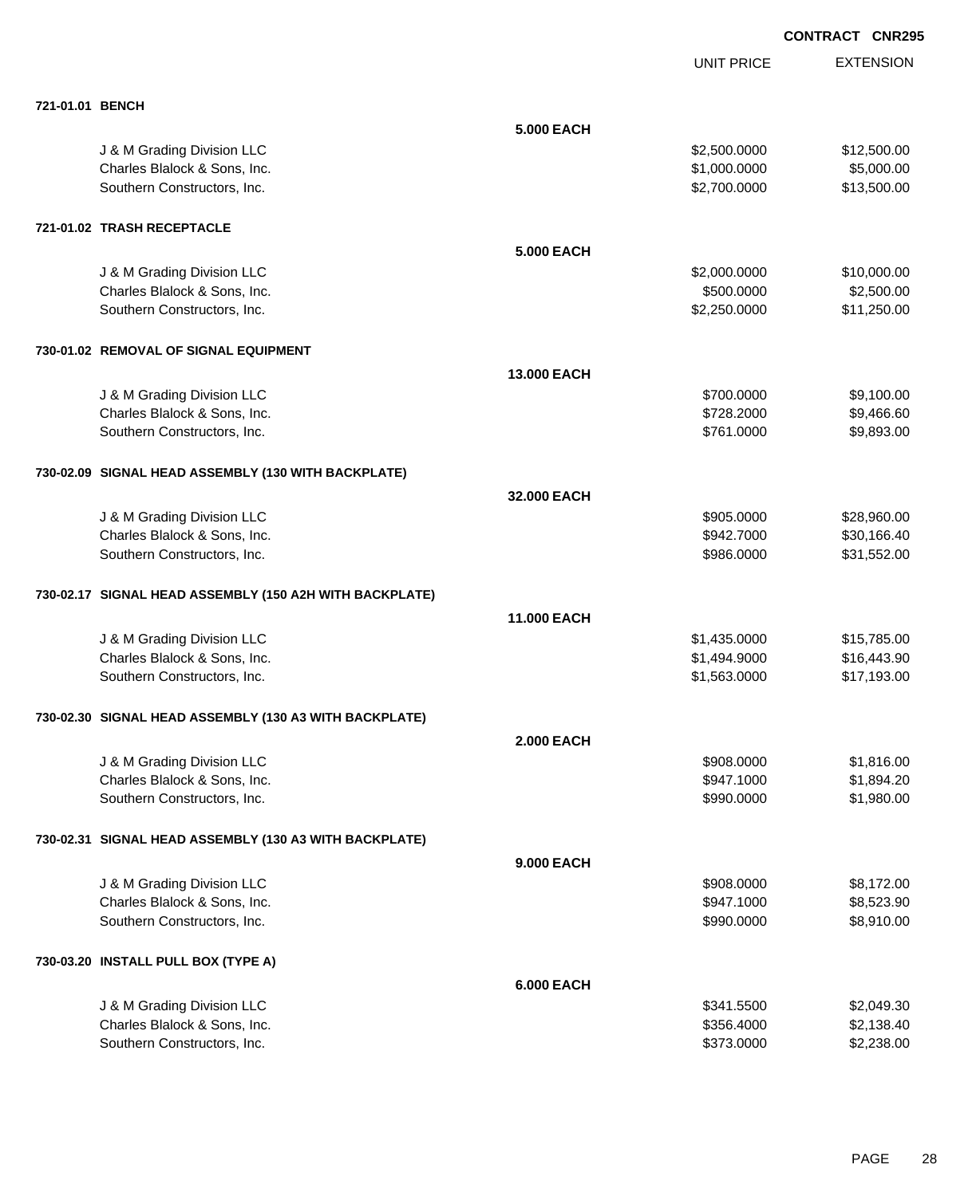|                                                         |                    | <b>UNIT PRICE</b> | <b>EXTENSION</b> |
|---------------------------------------------------------|--------------------|-------------------|------------------|
| 721-01.01 BENCH                                         |                    |                   |                  |
|                                                         | <b>5.000 EACH</b>  |                   |                  |
| J & M Grading Division LLC                              |                    | \$2,500.0000      | \$12,500.00      |
| Charles Blalock & Sons, Inc.                            |                    | \$1,000.0000      | \$5,000.00       |
| Southern Constructors, Inc.                             |                    | \$2,700.0000      | \$13,500.00      |
| 721-01.02 TRASH RECEPTACLE                              |                    |                   |                  |
|                                                         | <b>5.000 EACH</b>  |                   |                  |
| J & M Grading Division LLC                              |                    | \$2,000.0000      | \$10,000.00      |
| Charles Blalock & Sons, Inc.                            |                    | \$500.0000        | \$2,500.00       |
| Southern Constructors, Inc.                             |                    | \$2,250.0000      | \$11,250.00      |
| 730-01.02 REMOVAL OF SIGNAL EQUIPMENT                   |                    |                   |                  |
|                                                         | 13.000 EACH        |                   |                  |
| J & M Grading Division LLC                              |                    | \$700.0000        | \$9,100.00       |
| Charles Blalock & Sons, Inc.                            |                    | \$728.2000        | \$9,466.60       |
| Southern Constructors, Inc.                             |                    | \$761.0000        | \$9,893.00       |
| 730-02.09 SIGNAL HEAD ASSEMBLY (130 WITH BACKPLATE)     |                    |                   |                  |
|                                                         | 32.000 EACH        |                   |                  |
| J & M Grading Division LLC                              |                    | \$905.0000        | \$28,960.00      |
| Charles Blalock & Sons, Inc.                            |                    | \$942.7000        | \$30,166.40      |
| Southern Constructors, Inc.                             |                    | \$986.0000        | \$31,552.00      |
| 730-02.17 SIGNAL HEAD ASSEMBLY (150 A2H WITH BACKPLATE) |                    |                   |                  |
|                                                         | <b>11.000 EACH</b> |                   |                  |
| J & M Grading Division LLC                              |                    | \$1,435.0000      | \$15,785.00      |
| Charles Blalock & Sons, Inc.                            |                    | \$1,494.9000      | \$16,443.90      |
| Southern Constructors, Inc.                             |                    | \$1,563.0000      | \$17,193.00      |
| 730-02.30 SIGNAL HEAD ASSEMBLY (130 A3 WITH BACKPLATE)  |                    |                   |                  |
|                                                         | <b>2.000 EACH</b>  |                   |                  |
| J & M Grading Division LLC                              |                    | \$908.0000        | \$1,816.00       |
| Charles Blalock & Sons, Inc.                            |                    | \$947.1000        | \$1,894.20       |
| Southern Constructors, Inc.                             |                    | \$990.0000        | \$1,980.00       |
| 730-02.31 SIGNAL HEAD ASSEMBLY (130 A3 WITH BACKPLATE)  |                    |                   |                  |
|                                                         | <b>9.000 EACH</b>  |                   |                  |
| J & M Grading Division LLC                              |                    | \$908.0000        | \$8,172.00       |
| Charles Blalock & Sons, Inc.                            |                    | \$947.1000        | \$8,523.90       |
| Southern Constructors, Inc.                             |                    | \$990.0000        | \$8,910.00       |
| 730-03.20 INSTALL PULL BOX (TYPE A)                     |                    |                   |                  |
|                                                         | <b>6.000 EACH</b>  |                   |                  |
| J & M Grading Division LLC                              |                    | \$341.5500        | \$2,049.30       |
| Charles Blalock & Sons, Inc.                            |                    | \$356.4000        | \$2,138.40       |
| Southern Constructors, Inc.                             |                    | \$373.0000        | \$2,238.00       |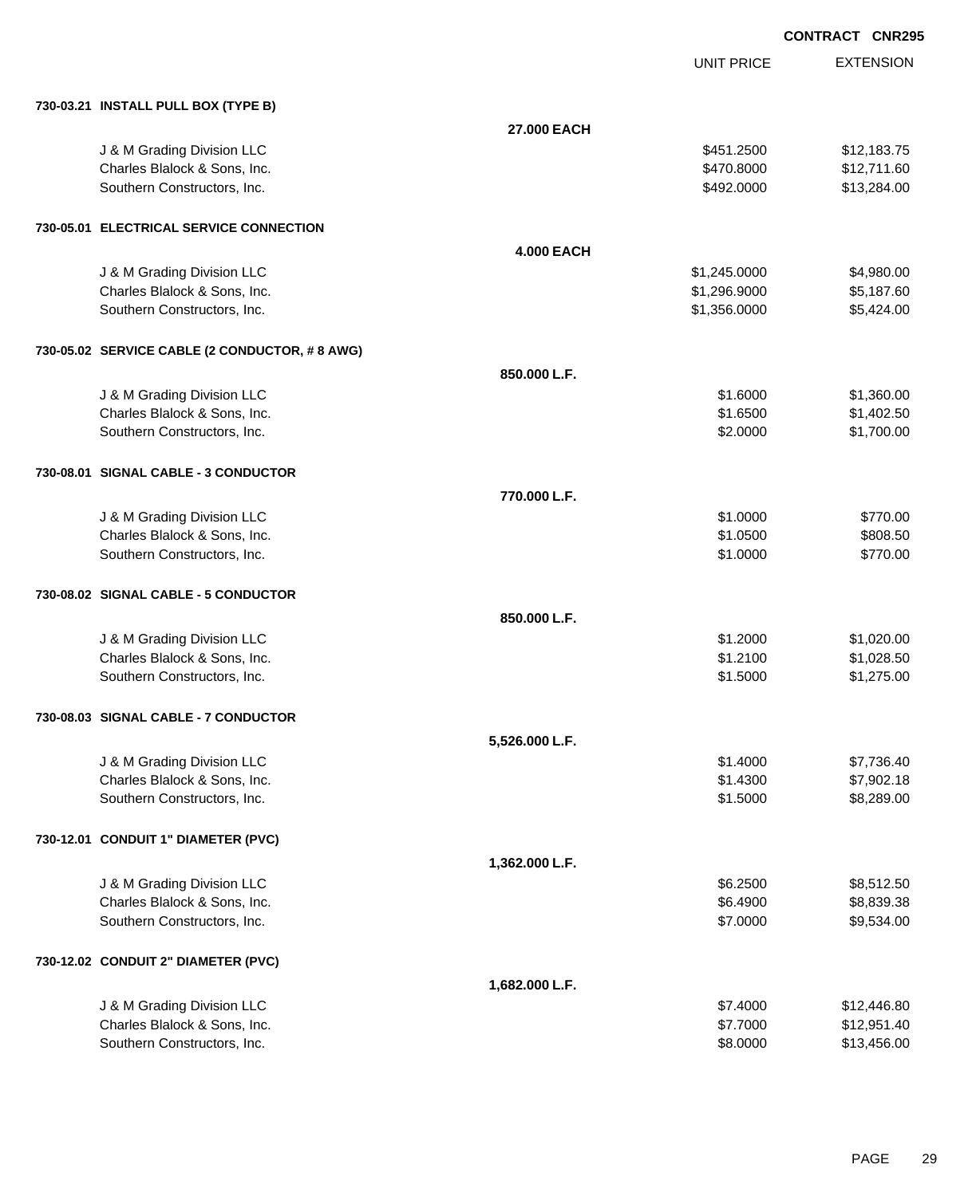| 730-03.21 INSTALL PULL BOX (TYPE B)           |                   |              |             |
|-----------------------------------------------|-------------------|--------------|-------------|
|                                               | 27,000 EACH       |              |             |
| J & M Grading Division LLC                    |                   | \$451.2500   | \$12,183.75 |
| Charles Blalock & Sons, Inc.                  |                   | \$470.8000   | \$12,711.60 |
| Southern Constructors, Inc.                   |                   | \$492.0000   | \$13,284.00 |
|                                               |                   |              |             |
| 730-05.01 ELECTRICAL SERVICE CONNECTION       |                   |              |             |
|                                               | <b>4.000 EACH</b> |              |             |
| J & M Grading Division LLC                    |                   | \$1,245.0000 | \$4,980.00  |
| Charles Blalock & Sons, Inc.                  |                   | \$1,296.9000 | \$5,187.60  |
| Southern Constructors, Inc.                   |                   | \$1,356.0000 | \$5,424.00  |
| 730-05.02 SERVICE CABLE (2 CONDUCTOR, #8 AWG) |                   |              |             |
|                                               | 850.000 L.F.      |              |             |
| J & M Grading Division LLC                    |                   | \$1.6000     | \$1,360.00  |
| Charles Blalock & Sons, Inc.                  |                   | \$1.6500     | \$1,402.50  |
| Southern Constructors, Inc.                   |                   | \$2.0000     | \$1,700.00  |
| 730-08.01 SIGNAL CABLE - 3 CONDUCTOR          |                   |              |             |
|                                               | 770.000 L.F.      |              |             |
| J & M Grading Division LLC                    |                   | \$1.0000     | \$770.00    |
| Charles Blalock & Sons, Inc.                  |                   | \$1.0500     | \$808.50    |
| Southern Constructors, Inc.                   |                   | \$1.0000     | \$770.00    |
|                                               |                   |              |             |
| 730-08.02 SIGNAL CABLE - 5 CONDUCTOR          |                   |              |             |
|                                               | 850.000 L.F.      |              |             |
| J & M Grading Division LLC                    |                   | \$1.2000     | \$1,020.00  |
| Charles Blalock & Sons, Inc.                  |                   | \$1.2100     | \$1,028.50  |
| Southern Constructors, Inc.                   |                   | \$1.5000     | \$1,275.00  |
| 730-08.03 SIGNAL CABLE - 7 CONDUCTOR          |                   |              |             |
|                                               | 5,526.000 L.F.    |              |             |
| J & M Grading Division LLC                    |                   | \$1.4000     | \$7,736.40  |
| Charles Blalock & Sons, Inc.                  |                   | \$1.4300     | \$7,902.18  |
| Southern Constructors, Inc.                   |                   | \$1.5000     | \$8,289.00  |
| 730-12.01 CONDUIT 1" DIAMETER (PVC)           |                   |              |             |
|                                               | 1,362.000 L.F.    |              |             |
| J & M Grading Division LLC                    |                   | \$6.2500     | \$8,512.50  |
| Charles Blalock & Sons, Inc.                  |                   | \$6.4900     | \$8,839.38  |
| Southern Constructors, Inc.                   |                   | \$7.0000     | \$9,534.00  |
| 730-12.02 CONDUIT 2" DIAMETER (PVC)           |                   |              |             |
|                                               | 1,682.000 L.F.    |              |             |
| J & M Grading Division LLC                    |                   | \$7.4000     | \$12,446.80 |
| Charles Blalock & Sons, Inc.                  |                   | \$7.7000     | \$12,951.40 |
| Southern Constructors, Inc.                   |                   | \$8.0000     | \$13,456.00 |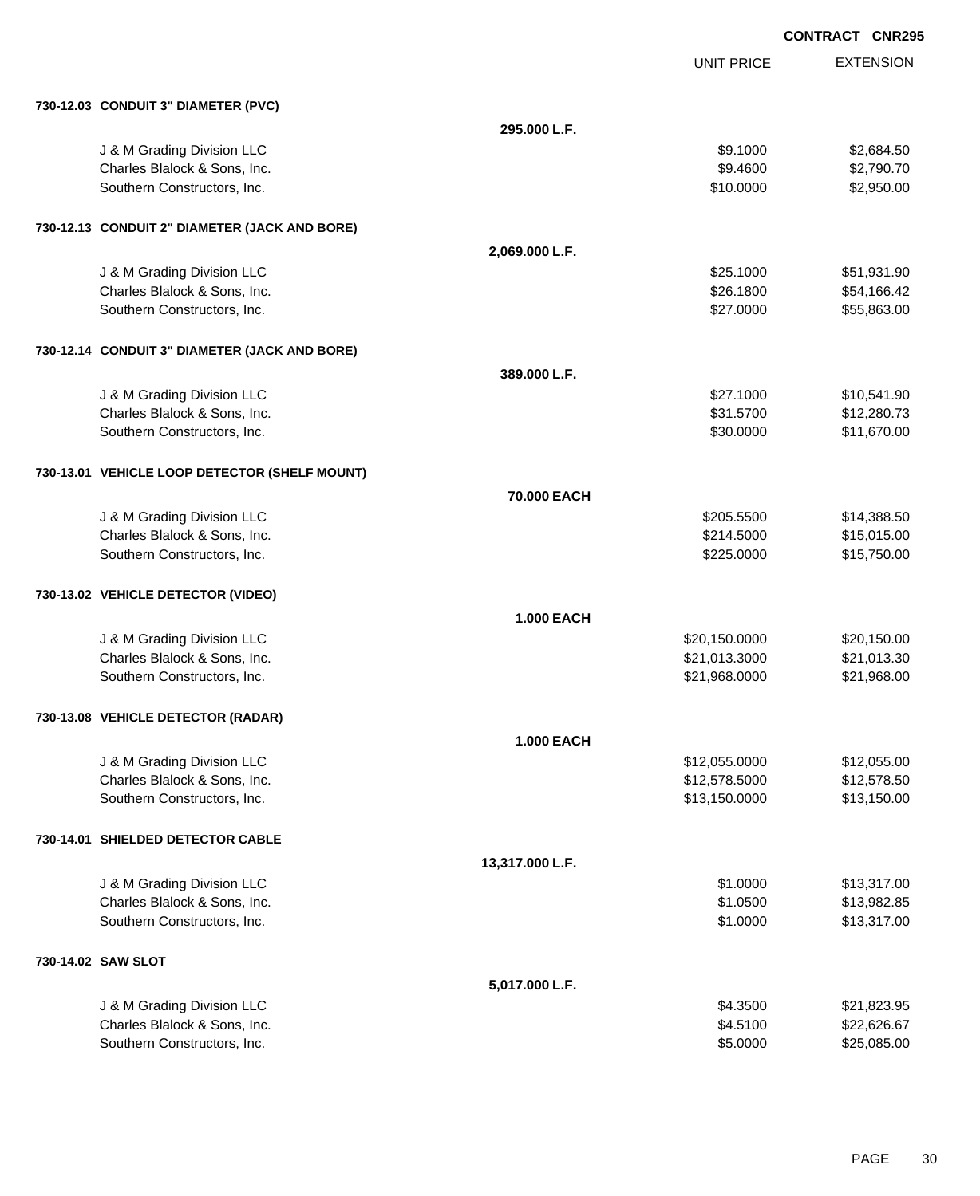**EXTENSION CONTRACT CNR295** UNIT PRICE **730-12.03 CONDUIT 3" DIAMETER (PVC) 295.000 L.F.** J & M Grading Division LLC \$2,684.50 Charles Blalock & Sons, Inc. \$9.4600 \$2,790.70 Southern Constructors, Inc. 6. The Constructors of the Constructors of the Constructors, Inc. 6. The Constructors of the Constructors of the Constructors of the Constructors of the Constructors of the Constructors of the C **730-12.13 CONDUIT 2" DIAMETER (JACK AND BORE) 2,069.000 L.F.** J & M Grading Division LLC \$25.1000 \$51,931.90 Charles Blalock & Sons, Inc. \$26.1800 \$54,166.42 Southern Constructors, Inc. 6. The Constructors of the Constructors, Inc. 6. The Constructors, Inc. 6. The Constructors of the Constructors of the Constructors, Inc. 6. The Constructors of the Constructors of the Construct **730-12.14 CONDUIT 3" DIAMETER (JACK AND BORE) 389.000 L.F.** J & M Grading Division LLC  $$27.1000$   $$10,541.90$ Charles Blalock & Sons, Inc. \$31.5700 \$12,280.73 Southern Constructors, Inc. 6. The Southern Constructors, Inc. 6. The Southern Constructors, Inc. 6. The Southern Constructors, Inc. 6. The Southern Constructors, Inc. 6. The Southern Constructors, Inc. 6. The Southern Con **730-13.01 VEHICLE LOOP DETECTOR (SHELF MOUNT) 70.000 EACH** J & M Grading Division LLC \$205.5500 \$14,388.50 Charles Blalock & Sons, Inc. 6. 2014.5000 \$15,015.00 Southern Constructors, Inc. 6. The Constructors of the Constructors, Inc. 6. The Constructors, Inc. 6. The Constructors of the Constructors of the Constructors of the Constructors of the Constructors of the Constructors of **730-13.02 VEHICLE DETECTOR (VIDEO) 1.000 EACH** J & M Grading Division LLC \$20,150.0000 \$20,150.00 Charles Blalock & Sons, Inc. 6. 2011 2012 12:00 12:00 13:000 \$21,013.3000 \$21,013.3000 \$21,013.3000 \$21,013.30 Southern Constructors, Inc. 621,968.000 \$21,968.000 \$21,968.000 \$21,968.000 \$21,968.000 \$21,968.00 **730-13.08 VEHICLE DETECTOR (RADAR) 1.000 EACH** J & M Grading Division LLC \$12,055.0000 \$12,055.00 Charles Blalock & Sons, Inc. 6. 2016 12:578.5000 \$12,578.5000 \$12,578.5000 \$12,578.500 Southern Constructors, Inc. 613,150.000 \$13,150.000 \$13,150.000 \$13,150.000 \$13,150.000 \$13,150.00 **730-14.01 SHIELDED DETECTOR CABLE 13,317.000 L.F.** J & M Grading Division LLC  $$1.0000$   $$13,317.00$ Charles Blalock & Sons, Inc. 6. 2012 12:30 12:30 12:30 12:30 12:30 12:30 12:30 12:30 12:30 12:30 12:30 12:30 1 Southern Constructors, Inc. 6. The Constructors of the Constructors, Inc. 6. The Constructors, Inc. 6. The Constructors of the Constructors of the Constructors of the Constructors of the Constructors of the Constructors of

| 5.017.000 L.F.               |          |             |
|------------------------------|----------|-------------|
| J & M Grading Division LLC   | \$4.3500 | \$21,823.95 |
| Charles Blalock & Sons, Inc. | \$4.5100 | \$22,626,67 |
| Southern Constructors, Inc.  | \$5,0000 | \$25,085,00 |

**730-14.02 SAW SLOT**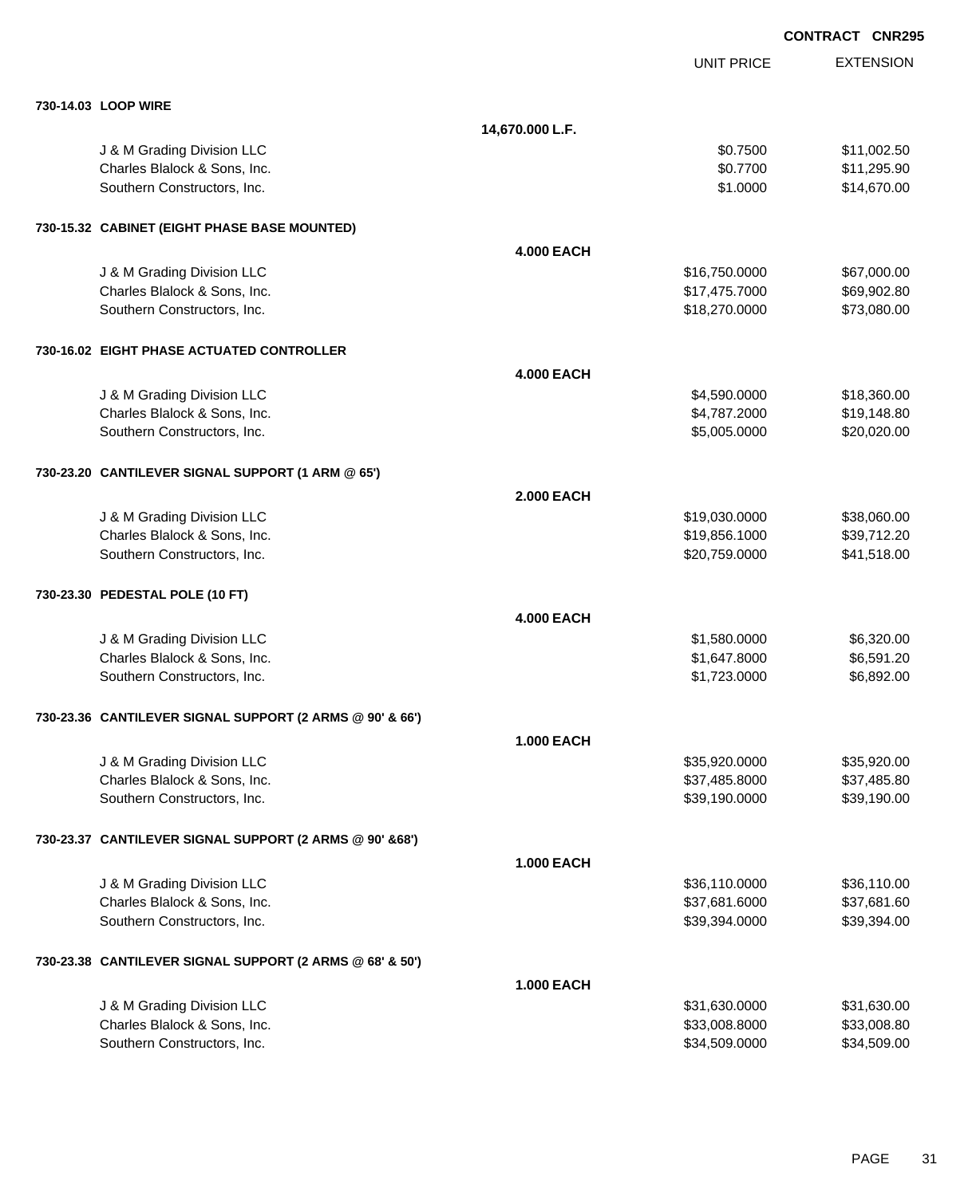|                                                          |                   |                   | <b>CONTRACT CNR295</b> |
|----------------------------------------------------------|-------------------|-------------------|------------------------|
|                                                          |                   | <b>UNIT PRICE</b> | <b>EXTENSION</b>       |
| 730-14.03 LOOP WIRE                                      |                   |                   |                        |
|                                                          | 14,670.000 L.F.   |                   |                        |
| J & M Grading Division LLC                               |                   | \$0.7500          | \$11,002.50            |
| Charles Blalock & Sons, Inc.                             |                   | \$0.7700          | \$11,295.90            |
| Southern Constructors, Inc.                              |                   | \$1.0000          | \$14,670.00            |
| 730-15.32 CABINET (EIGHT PHASE BASE MOUNTED)             |                   |                   |                        |
|                                                          | <b>4.000 EACH</b> |                   |                        |
| J & M Grading Division LLC                               |                   | \$16,750.0000     | \$67,000.00            |
| Charles Blalock & Sons, Inc.                             |                   | \$17,475.7000     | \$69,902.80            |
| Southern Constructors, Inc.                              |                   | \$18,270.0000     | \$73,080.00            |
| 730-16.02 EIGHT PHASE ACTUATED CONTROLLER                |                   |                   |                        |
|                                                          | <b>4.000 EACH</b> |                   |                        |
| J & M Grading Division LLC                               |                   | \$4,590.0000      | \$18,360.00            |
| Charles Blalock & Sons, Inc.                             |                   | \$4,787.2000      | \$19,148.80            |
| Southern Constructors, Inc.                              |                   | \$5,005.0000      | \$20,020.00            |
| 730-23.20 CANTILEVER SIGNAL SUPPORT (1 ARM @ 65')        |                   |                   |                        |
|                                                          | <b>2.000 EACH</b> |                   |                        |
| J & M Grading Division LLC                               |                   | \$19,030.0000     | \$38,060.00            |
| Charles Blalock & Sons, Inc.                             |                   | \$19,856.1000     | \$39,712.20            |
| Southern Constructors, Inc.                              |                   | \$20,759.0000     | \$41,518.00            |
| 730-23.30 PEDESTAL POLE (10 FT)                          |                   |                   |                        |
|                                                          | <b>4.000 EACH</b> |                   |                        |
| J & M Grading Division LLC                               |                   | \$1,580.0000      | \$6,320.00             |
| Charles Blalock & Sons, Inc.                             |                   | \$1,647.8000      | \$6,591.20             |
| Southern Constructors, Inc.                              |                   | \$1,723.0000      | \$6,892.00             |
| 730-23.36 CANTILEVER SIGNAL SUPPORT (2 ARMS @ 90' & 66') |                   |                   |                        |
|                                                          | <b>1.000 EACH</b> |                   |                        |
| J & M Grading Division LLC                               |                   | \$35,920.0000     | \$35,920.00            |
| Charles Blalock & Sons, Inc.                             |                   | \$37,485.8000     | \$37,485.80            |
| Southern Constructors, Inc.                              |                   | \$39,190.0000     | \$39,190.00            |
| 730-23.37 CANTILEVER SIGNAL SUPPORT (2 ARMS @ 90' &68')  |                   |                   |                        |
|                                                          | <b>1.000 EACH</b> |                   |                        |
| J & M Grading Division LLC                               |                   | \$36,110.0000     | \$36,110.00            |
| Charles Blalock & Sons, Inc.                             |                   | \$37,681.6000     | \$37,681.60            |
| Southern Constructors, Inc.                              |                   | \$39,394.0000     | \$39,394.00            |
| 730-23.38 CANTILEVER SIGNAL SUPPORT (2 ARMS @ 68' & 50') |                   |                   |                        |
|                                                          | <b>1.000 EACH</b> |                   |                        |
| J & M Grading Division LLC                               |                   | \$31,630.0000     | \$31,630.00            |
| Charles Blalock & Sons, Inc.                             |                   | \$33,008.8000     | \$33,008.80            |
| Southern Constructors, Inc.                              |                   | \$34,509.0000     | \$34,509.00            |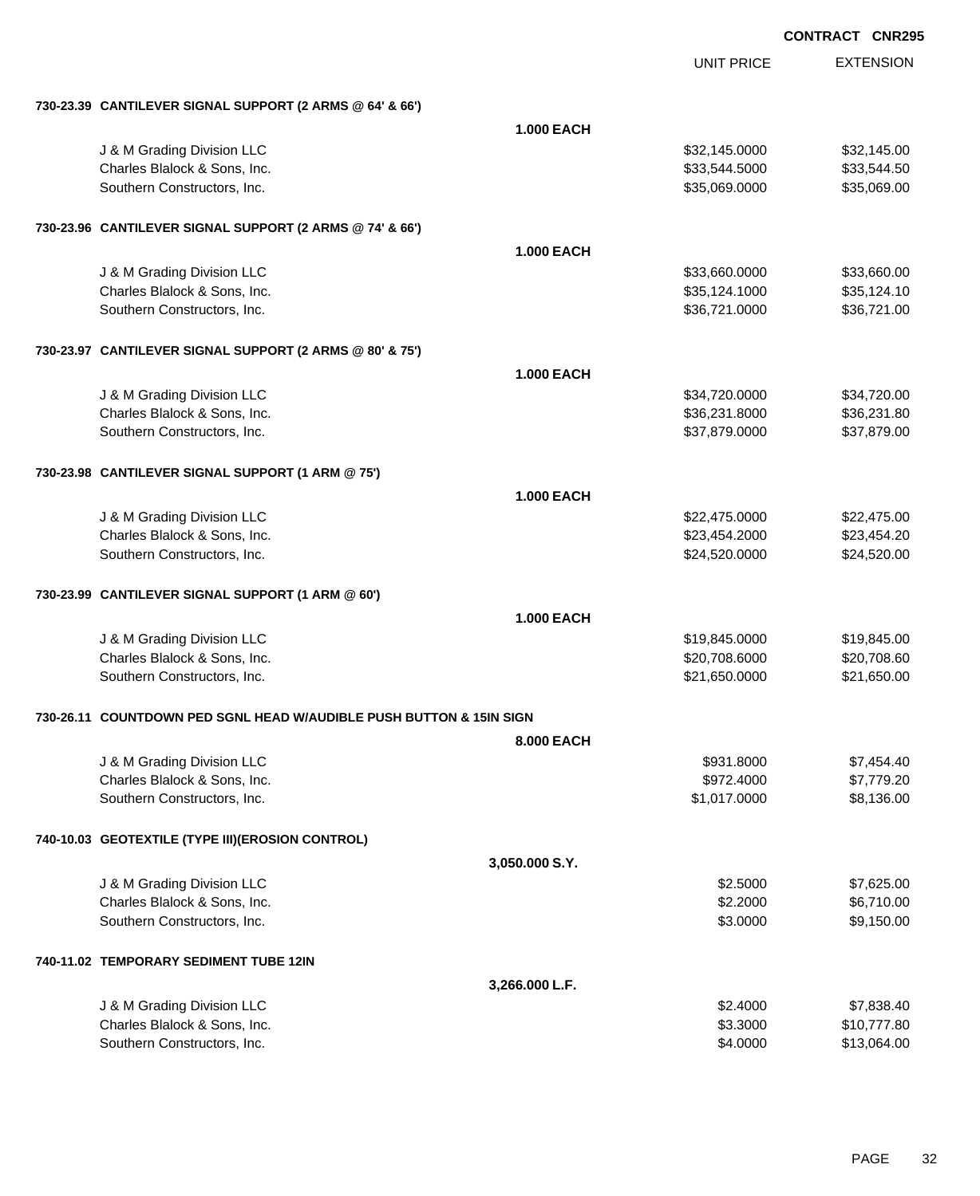|                                                                       |                   | <b>UNIT PRICE</b> | <b>EXTENSION</b> |
|-----------------------------------------------------------------------|-------------------|-------------------|------------------|
| 730-23.39 CANTILEVER SIGNAL SUPPORT (2 ARMS @ 64' & 66')              |                   |                   |                  |
|                                                                       | <b>1.000 EACH</b> |                   |                  |
| J & M Grading Division LLC                                            |                   | \$32,145.0000     | \$32,145.00      |
| Charles Blalock & Sons, Inc.                                          |                   | \$33,544.5000     | \$33,544.50      |
| Southern Constructors, Inc.                                           |                   | \$35,069.0000     | \$35,069.00      |
| 730-23.96 CANTILEVER SIGNAL SUPPORT (2 ARMS @ 74' & 66')              |                   |                   |                  |
|                                                                       | <b>1.000 EACH</b> |                   |                  |
| J & M Grading Division LLC                                            |                   | \$33,660.0000     | \$33,660.00      |
| Charles Blalock & Sons, Inc.                                          |                   | \$35,124.1000     | \$35,124.10      |
| Southern Constructors, Inc.                                           |                   | \$36,721.0000     | \$36,721.00      |
| 730-23.97 CANTILEVER SIGNAL SUPPORT (2 ARMS @ 80' & 75')              |                   |                   |                  |
|                                                                       | <b>1.000 EACH</b> |                   |                  |
| J & M Grading Division LLC                                            |                   | \$34,720.0000     | \$34,720.00      |
| Charles Blalock & Sons, Inc.                                          |                   | \$36,231.8000     | \$36,231.80      |
| Southern Constructors, Inc.                                           |                   | \$37,879.0000     | \$37,879.00      |
| 730-23.98 CANTILEVER SIGNAL SUPPORT (1 ARM @ 75')                     |                   |                   |                  |
|                                                                       | <b>1.000 EACH</b> |                   |                  |
| J & M Grading Division LLC                                            |                   | \$22,475.0000     | \$22,475.00      |
| Charles Blalock & Sons, Inc.                                          |                   | \$23,454.2000     | \$23,454.20      |
| Southern Constructors, Inc.                                           |                   | \$24,520.0000     | \$24,520.00      |
| 730-23.99 CANTILEVER SIGNAL SUPPORT (1 ARM @ 60')                     |                   |                   |                  |
|                                                                       | <b>1.000 EACH</b> |                   |                  |
| J & M Grading Division LLC                                            |                   | \$19,845.0000     | \$19,845.00      |
| Charles Blalock & Sons, Inc.                                          |                   | \$20,708.6000     | \$20,708.60      |
| Southern Constructors, Inc.                                           |                   | \$21,650.0000     | \$21,650.00      |
| 730-26.11   COUNTDOWN PED SGNL HEAD W/AUDIBLE PUSH BUTTON & 15IN SIGN |                   |                   |                  |
|                                                                       | <b>8.000 EACH</b> |                   |                  |
| J & M Grading Division LLC                                            |                   | \$931.8000        | \$7,454.40       |
| Charles Blalock & Sons, Inc.                                          |                   | \$972.4000        | \$7,779.20       |
| Southern Constructors, Inc.                                           |                   | \$1,017.0000      | \$8,136.00       |
| 740-10.03 GEOTEXTILE (TYPE III)(EROSION CONTROL)                      |                   |                   |                  |
|                                                                       | 3,050.000 S.Y.    |                   |                  |
| J & M Grading Division LLC                                            |                   | \$2.5000          | \$7,625.00       |
| Charles Blalock & Sons, Inc.                                          |                   | \$2.2000          | \$6,710.00       |
| Southern Constructors, Inc.                                           |                   | \$3.0000          | \$9,150.00       |
| 740-11.02 TEMPORARY SEDIMENT TUBE 12IN                                |                   |                   |                  |
|                                                                       | 3,266.000 L.F.    |                   |                  |
| J & M Grading Division LLC                                            |                   | \$2.4000          | \$7,838.40       |
| Charles Blalock & Sons, Inc.                                          |                   | \$3.3000          | \$10,777.80      |
| Southern Constructors, Inc.                                           |                   | \$4.0000          | \$13,064.00      |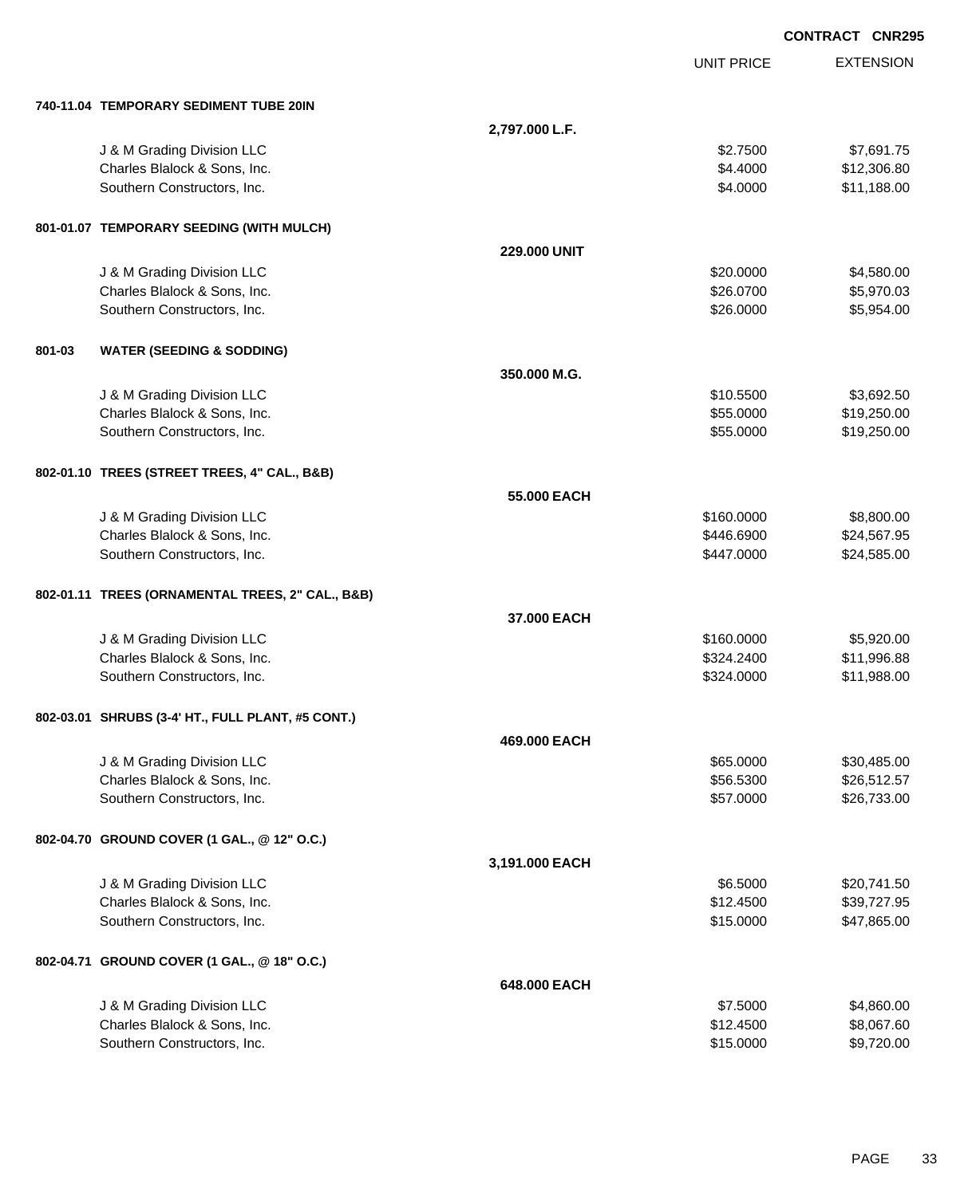|        |                                                   |                |                   | <b>CONTRACT CNR295</b> |
|--------|---------------------------------------------------|----------------|-------------------|------------------------|
|        |                                                   |                | <b>UNIT PRICE</b> | <b>EXTENSION</b>       |
|        | 740-11.04 TEMPORARY SEDIMENT TUBE 20IN            |                |                   |                        |
|        |                                                   | 2,797.000 L.F. |                   |                        |
|        | J & M Grading Division LLC                        |                | \$2.7500          | \$7,691.75             |
|        | Charles Blalock & Sons, Inc.                      |                | \$4.4000          | \$12,306.80            |
|        | Southern Constructors, Inc.                       |                | \$4.0000          | \$11,188.00            |
|        | 801-01.07 TEMPORARY SEEDING (WITH MULCH)          |                |                   |                        |
|        |                                                   | 229.000 UNIT   |                   |                        |
|        | J & M Grading Division LLC                        |                | \$20.0000         | \$4,580.00             |
|        | Charles Blalock & Sons, Inc.                      |                | \$26.0700         | \$5,970.03             |
|        | Southern Constructors, Inc.                       |                | \$26.0000         | \$5,954.00             |
| 801-03 | <b>WATER (SEEDING &amp; SODDING)</b>              |                |                   |                        |
|        |                                                   | 350.000 M.G.   |                   |                        |
|        | J & M Grading Division LLC                        |                | \$10.5500         | \$3,692.50             |
|        | Charles Blalock & Sons, Inc.                      |                | \$55.0000         | \$19,250.00            |
|        | Southern Constructors, Inc.                       |                | \$55.0000         | \$19,250.00            |
|        | 802-01.10 TREES (STREET TREES, 4" CAL., B&B)      |                |                   |                        |
|        |                                                   | 55.000 EACH    |                   |                        |
|        | J & M Grading Division LLC                        |                | \$160.0000        | \$8,800.00             |
|        | Charles Blalock & Sons, Inc.                      |                | \$446.6900        | \$24,567.95            |
|        | Southern Constructors, Inc.                       |                | \$447.0000        | \$24,585.00            |
|        | 802-01.11 TREES (ORNAMENTAL TREES, 2" CAL., B&B)  |                |                   |                        |
|        |                                                   | 37.000 EACH    |                   |                        |
|        | J & M Grading Division LLC                        |                | \$160.0000        | \$5,920.00             |
|        | Charles Blalock & Sons, Inc.                      |                | \$324.2400        | \$11,996.88            |
|        | Southern Constructors, Inc.                       |                | \$324.0000        | \$11,988.00            |
|        | 802-03.01 SHRUBS (3-4' HT., FULL PLANT, #5 CONT.) |                |                   |                        |
|        |                                                   | 469.000 EACH   |                   |                        |
|        | J & M Grading Division LLC                        |                | \$65.0000         | \$30,485.00            |
|        | Charles Blalock & Sons, Inc.                      |                | \$56.5300         | \$26,512.57            |
|        | Southern Constructors, Inc.                       |                | \$57.0000         | \$26,733.00            |
|        | 802-04.70 GROUND COVER (1 GAL., @ 12" O.C.)       |                |                   |                        |
|        |                                                   | 3,191.000 EACH |                   |                        |
|        | J & M Grading Division LLC                        |                | \$6.5000          | \$20,741.50            |
|        | Charles Blalock & Sons, Inc.                      |                | \$12.4500         | \$39,727.95            |
|        | Southern Constructors, Inc.                       |                | \$15.0000         | \$47,865.00            |
|        | 802-04.71 GROUND COVER (1 GAL., @ 18" O.C.)       |                |                   |                        |
|        |                                                   | 648.000 EACH   |                   |                        |
|        | J & M Grading Division LLC                        |                | \$7.5000          | \$4,860.00             |
|        | Charles Blalock & Sons, Inc.                      |                | \$12.4500         | \$8,067.60             |
|        | Southern Constructors, Inc.                       |                | \$15.0000         | \$9,720.00             |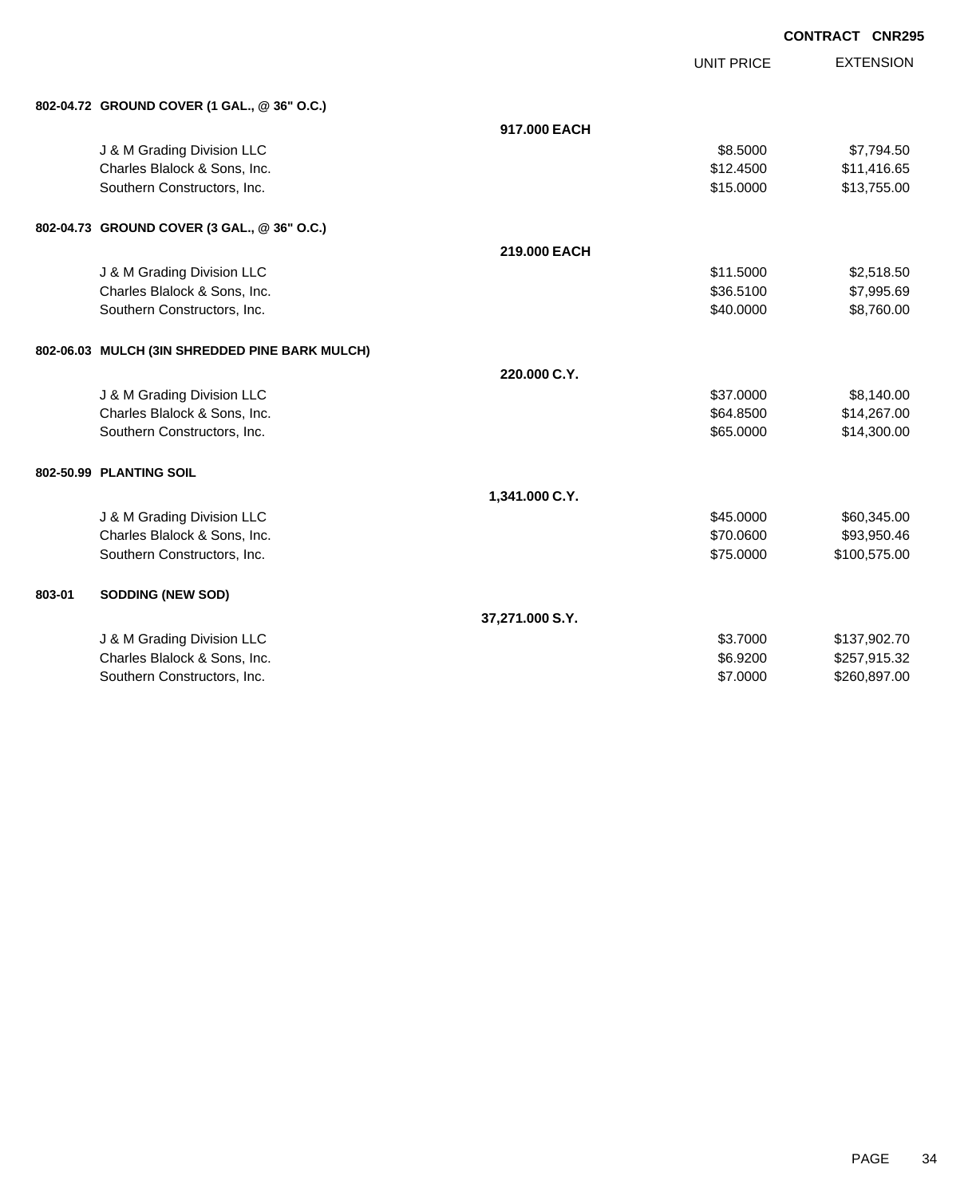|        |                                                |                 |                   | <b>CONTRACT CNR295</b> |
|--------|------------------------------------------------|-----------------|-------------------|------------------------|
|        |                                                |                 | <b>UNIT PRICE</b> | <b>EXTENSION</b>       |
|        | 802-04.72 GROUND COVER (1 GAL., @ 36" O.C.)    |                 |                   |                        |
|        |                                                | 917,000 EACH    |                   |                        |
|        | J & M Grading Division LLC                     |                 | \$8.5000          | \$7,794.50             |
|        | Charles Blalock & Sons, Inc.                   |                 | \$12.4500         | \$11,416.65            |
|        | Southern Constructors, Inc.                    |                 | \$15.0000         | \$13,755.00            |
|        | 802-04.73 GROUND COVER (3 GAL., @ 36" O.C.)    |                 |                   |                        |
|        |                                                | 219.000 EACH    |                   |                        |
|        | J & M Grading Division LLC                     |                 | \$11.5000         | \$2,518.50             |
|        | Charles Blalock & Sons, Inc.                   |                 | \$36.5100         | \$7,995.69             |
|        | Southern Constructors, Inc.                    |                 | \$40.0000         | \$8,760.00             |
|        | 802-06.03 MULCH (3IN SHREDDED PINE BARK MULCH) |                 |                   |                        |
|        |                                                | 220.000 C.Y.    |                   |                        |
|        | J & M Grading Division LLC                     |                 | \$37.0000         | \$8,140.00             |
|        | Charles Blalock & Sons, Inc.                   |                 | \$64.8500         | \$14,267.00            |
|        | Southern Constructors, Inc.                    |                 | \$65.0000         | \$14,300.00            |
|        | 802-50.99 PLANTING SOIL                        |                 |                   |                        |
|        |                                                | 1,341.000 C.Y.  |                   |                        |
|        | J & M Grading Division LLC                     |                 | \$45.0000         | \$60,345.00            |
|        | Charles Blalock & Sons, Inc.                   |                 | \$70.0600         | \$93,950.46            |
|        | Southern Constructors, Inc.                    |                 | \$75.0000         | \$100,575.00           |
| 803-01 | <b>SODDING (NEW SOD)</b>                       |                 |                   |                        |
|        |                                                | 37,271.000 S.Y. |                   |                        |
|        | J & M Grading Division LLC                     |                 | \$3.7000          | \$137,902.70           |
|        | Charles Blalock & Sons, Inc.                   |                 | \$6.9200          | \$257,915.32           |
|        | Southern Constructors, Inc.                    |                 | \$7.0000          | \$260,897.00           |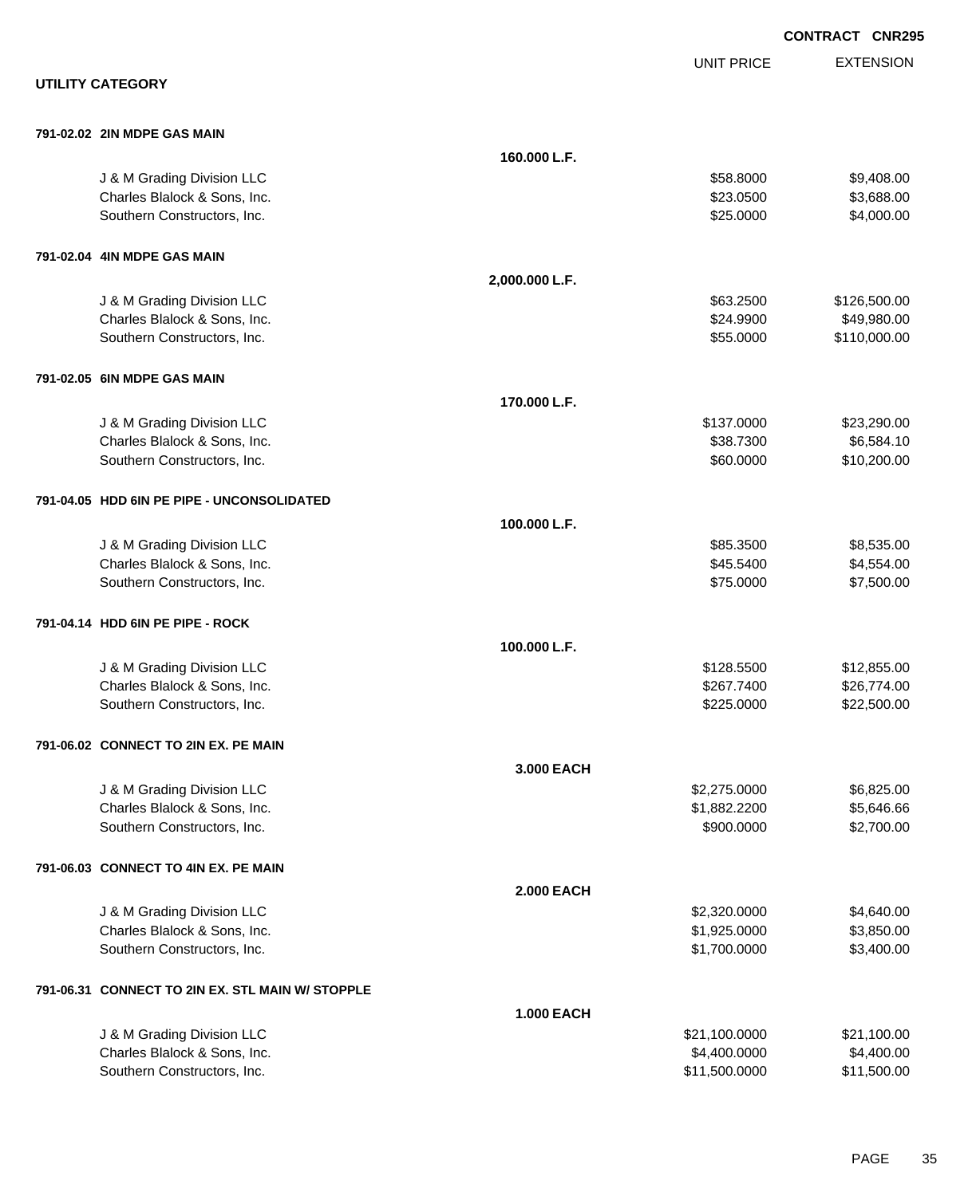|                                                  |                   |                   | <b>CONTRACT CNR295</b> |
|--------------------------------------------------|-------------------|-------------------|------------------------|
|                                                  |                   | <b>UNIT PRICE</b> | <b>EXTENSION</b>       |
| <b>UTILITY CATEGORY</b>                          |                   |                   |                        |
| 791-02.02 2IN MDPE GAS MAIN                      |                   |                   |                        |
|                                                  | 160.000 L.F.      |                   |                        |
| J & M Grading Division LLC                       |                   | \$58.8000         | \$9,408.00             |
| Charles Blalock & Sons, Inc.                     |                   | \$23.0500         | \$3,688.00             |
| Southern Constructors, Inc.                      |                   | \$25.0000         | \$4,000.00             |
| 791-02.04 4IN MDPE GAS MAIN                      |                   |                   |                        |
|                                                  | 2,000.000 L.F.    |                   |                        |
| J & M Grading Division LLC                       |                   | \$63.2500         | \$126,500.00           |
| Charles Blalock & Sons, Inc.                     |                   | \$24.9900         | \$49,980.00            |
| Southern Constructors, Inc.                      |                   | \$55.0000         | \$110,000.00           |
| 791-02.05 6IN MDPE GAS MAIN                      |                   |                   |                        |
|                                                  | 170.000 L.F.      |                   |                        |
| J & M Grading Division LLC                       |                   | \$137.0000        | \$23,290.00            |
| Charles Blalock & Sons, Inc.                     |                   | \$38.7300         | \$6,584.10             |
| Southern Constructors, Inc.                      |                   | \$60.0000         | \$10,200.00            |
| 791-04.05 HDD 6IN PE PIPE - UNCONSOLIDATED       |                   |                   |                        |
|                                                  | 100.000 L.F.      |                   |                        |
| J & M Grading Division LLC                       |                   | \$85.3500         | \$8,535.00             |
| Charles Blalock & Sons, Inc.                     |                   | \$45.5400         | \$4,554.00             |
| Southern Constructors, Inc.                      |                   | \$75.0000         | \$7,500.00             |
| 791-04.14 HDD 6IN PE PIPE - ROCK                 |                   |                   |                        |
|                                                  | 100.000 L.F.      |                   |                        |
| J & M Grading Division LLC                       |                   | \$128.5500        | \$12,855.00            |
| Charles Blalock & Sons, Inc.                     |                   | \$267.7400        | \$26,774.00            |
| Southern Constructors, Inc.                      |                   | \$225.0000        | \$22,500.00            |
| 791-06.02 CONNECT TO 2IN EX. PE MAIN             |                   |                   |                        |
|                                                  | 3.000 EACH        |                   |                        |
| J & M Grading Division LLC                       |                   | \$2,275.0000      | \$6,825.00             |
| Charles Blalock & Sons, Inc.                     |                   | \$1,882.2200      | \$5,646.66             |
| Southern Constructors, Inc.                      |                   | \$900.0000        | \$2,700.00             |
| 791-06.03 CONNECT TO 4IN EX. PE MAIN             |                   |                   |                        |
|                                                  | <b>2.000 EACH</b> |                   |                        |
| J & M Grading Division LLC                       |                   | \$2,320.0000      | \$4,640.00             |
| Charles Blalock & Sons, Inc.                     |                   | \$1,925.0000      | \$3,850.00             |
| Southern Constructors, Inc.                      |                   | \$1,700.0000      | \$3,400.00             |
| 791-06.31 CONNECT TO 2IN EX. STL MAIN W/ STOPPLE |                   |                   |                        |
|                                                  | <b>1.000 EACH</b> |                   |                        |
| J & M Grading Division LLC                       |                   | \$21,100.0000     | \$21,100.00            |
| Charles Blalock & Sons, Inc.                     |                   | \$4,400.0000      | \$4,400.00             |
| Southern Constructors, Inc.                      |                   | \$11,500.0000     | \$11,500.00            |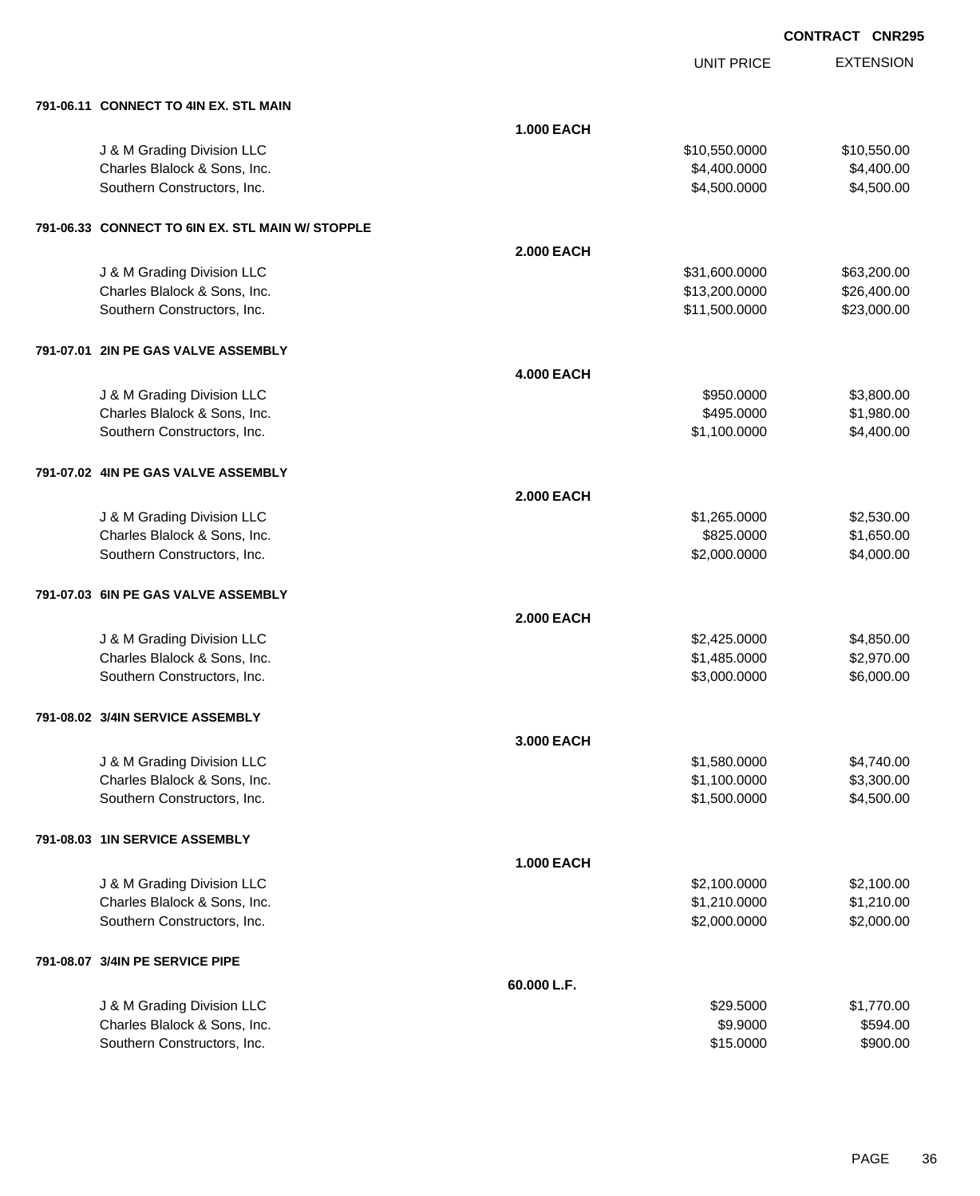UNIT PRICE

| 791-06.11 CONNECT TO 4IN EX. STL MAIN |  |  |
|---------------------------------------|--|--|
|                                       |  |  |

| 791-06.11 CONNECT TO 4IN EX. STL MAIN                       |                   |                              |                          |
|-------------------------------------------------------------|-------------------|------------------------------|--------------------------|
|                                                             | 1.000 EACH        |                              |                          |
| J & M Grading Division LLC                                  |                   | \$10,550.0000                | \$10,550.00              |
| Charles Blalock & Sons, Inc.                                |                   | \$4,400.0000                 | \$4,400.00               |
| Southern Constructors, Inc.                                 |                   | \$4,500.0000                 | \$4,500.00               |
|                                                             |                   |                              |                          |
| 791-06.33 CONNECT TO 6IN EX. STL MAIN W/ STOPPLE            |                   |                              |                          |
|                                                             | <b>2.000 EACH</b> |                              |                          |
| J & M Grading Division LLC                                  |                   | \$31,600.0000                | \$63,200.00              |
| Charles Blalock & Sons, Inc.                                |                   | \$13,200.0000                | \$26,400.00              |
| Southern Constructors, Inc.                                 |                   | \$11,500.0000                | \$23,000.00              |
|                                                             |                   |                              |                          |
| 791-07.01 2IN PE GAS VALVE ASSEMBLY                         |                   |                              |                          |
|                                                             | <b>4.000 EACH</b> |                              |                          |
| J & M Grading Division LLC                                  |                   | \$950.0000                   | \$3,800.00               |
| Charles Blalock & Sons, Inc.                                |                   | \$495.0000                   | \$1,980.00               |
| Southern Constructors, Inc.                                 |                   | \$1,100.0000                 | \$4,400.00               |
| 791-07.02 4IN PE GAS VALVE ASSEMBLY                         |                   |                              |                          |
|                                                             | <b>2.000 EACH</b> |                              |                          |
| J & M Grading Division LLC                                  |                   | \$1,265.0000                 | \$2,530.00               |
| Charles Blalock & Sons, Inc.                                |                   | \$825.0000                   | \$1,650.00               |
| Southern Constructors, Inc.                                 |                   | \$2,000.0000                 | \$4,000.00               |
|                                                             |                   |                              |                          |
| 791-07.03 6IN PE GAS VALVE ASSEMBLY                         |                   |                              |                          |
|                                                             | <b>2.000 EACH</b> |                              |                          |
| J & M Grading Division LLC                                  |                   | \$2,425.0000                 | \$4,850.00               |
| Charles Blalock & Sons, Inc.                                |                   | \$1,485.0000                 | \$2,970.00               |
| Southern Constructors, Inc.                                 |                   | \$3,000.0000                 | \$6,000.00               |
|                                                             |                   |                              |                          |
| 791-08.02 3/4IN SERVICE ASSEMBLY                            |                   |                              |                          |
|                                                             | 3.000 EACH        |                              |                          |
| J & M Grading Division LLC                                  |                   | \$1,580.0000                 | \$4,740.00               |
| Charles Blalock & Sons, Inc.<br>Southern Constructors, Inc. |                   | \$1,100.0000<br>\$1,500.0000 | \$3,300.00<br>\$4,500.00 |
|                                                             |                   |                              |                          |
| 791-08.03 1IN SERVICE ASSEMBLY                              |                   |                              |                          |
|                                                             | <b>1.000 EACH</b> |                              |                          |
| J & M Grading Division LLC                                  |                   | \$2,100.0000                 | \$2,100.00               |
| Charles Blalock & Sons, Inc.                                |                   | \$1,210.0000                 | \$1,210.00               |
| Southern Constructors, Inc.                                 |                   | \$2,000.0000                 | \$2,000.00               |
| 791-08.07 3/4IN PE SERVICE PIPE                             |                   |                              |                          |
|                                                             | 60.000 L.F.       |                              |                          |
| J & M Grading Division LLC                                  |                   | \$29.5000                    | \$1,770.00               |
| Charles Blalock & Sons, Inc.                                |                   | \$9.9000                     | \$594.00                 |
| Southern Constructors, Inc.                                 |                   | \$15.0000                    | \$900.00                 |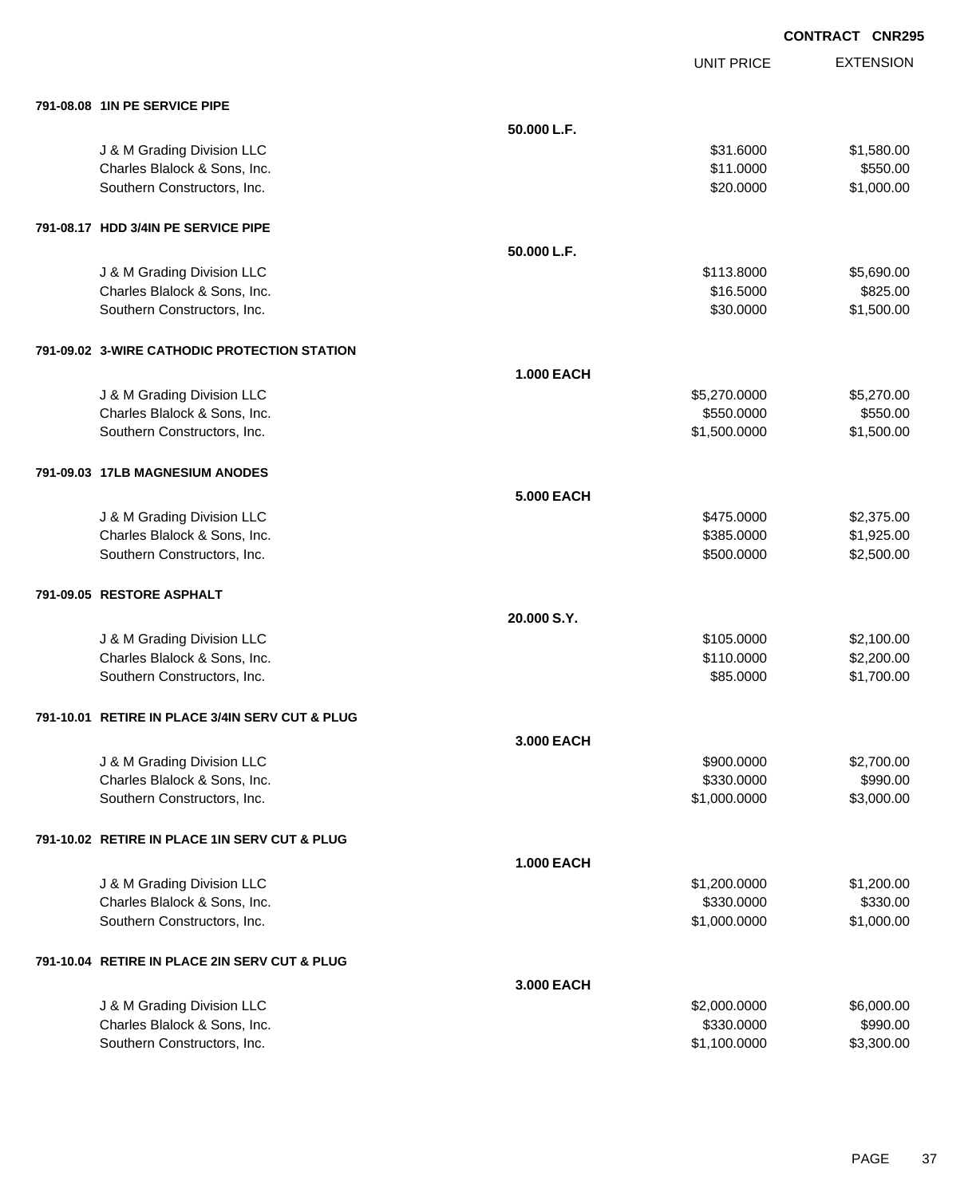UNIT PRICE

EXTENSION

| 791-08.08 1IN PE SERVICE PIPE                   |                   |              |            |
|-------------------------------------------------|-------------------|--------------|------------|
|                                                 | 50.000 L.F.       |              |            |
| J & M Grading Division LLC                      |                   | \$31.6000    | \$1,580.00 |
| Charles Blalock & Sons, Inc.                    |                   | \$11.0000    | \$550.00   |
| Southern Constructors, Inc.                     |                   | \$20.0000    | \$1,000.00 |
| 791-08.17 HDD 3/4IN PE SERVICE PIPE             |                   |              |            |
|                                                 | 50.000 L.F.       |              |            |
| J & M Grading Division LLC                      |                   | \$113.8000   | \$5,690.00 |
| Charles Blalock & Sons, Inc.                    |                   | \$16.5000    | \$825.00   |
| Southern Constructors, Inc.                     |                   | \$30.0000    | \$1,500.00 |
| 791-09.02 3-WIRE CATHODIC PROTECTION STATION    |                   |              |            |
|                                                 | <b>1.000 EACH</b> |              |            |
| J & M Grading Division LLC                      |                   | \$5,270.0000 | \$5,270.00 |
| Charles Blalock & Sons, Inc.                    |                   | \$550.0000   | \$550.00   |
| Southern Constructors, Inc.                     |                   | \$1,500.0000 | \$1,500.00 |
| 791-09.03 17LB MAGNESIUM ANODES                 |                   |              |            |
|                                                 | <b>5.000 EACH</b> |              |            |
| J & M Grading Division LLC                      |                   | \$475.0000   | \$2,375.00 |
| Charles Blalock & Sons, Inc.                    |                   | \$385.0000   | \$1,925.00 |
| Southern Constructors, Inc.                     |                   | \$500.0000   | \$2,500.00 |
| 791-09.05 RESTORE ASPHALT                       |                   |              |            |
|                                                 | 20.000 S.Y.       |              |            |
| J & M Grading Division LLC                      |                   | \$105.0000   | \$2,100.00 |
| Charles Blalock & Sons, Inc.                    |                   | \$110.0000   | \$2,200.00 |
| Southern Constructors, Inc.                     |                   | \$85.0000    | \$1,700.00 |
| 791-10.01 RETIRE IN PLACE 3/4IN SERV CUT & PLUG |                   |              |            |
|                                                 | 3.000 EACH        |              |            |
| J & M Grading Division LLC                      |                   | \$900.0000   | \$2,700.00 |
| Charles Blalock & Sons, Inc.                    |                   | \$330.0000   | \$990.00   |
| Southern Constructors, Inc.                     |                   | \$1,000.0000 | \$3,000.00 |
| 791-10.02 RETIRE IN PLACE 1IN SERV CUT & PLUG   |                   |              |            |
|                                                 | <b>1.000 EACH</b> |              |            |
| J & M Grading Division LLC                      |                   | \$1,200.0000 | \$1,200.00 |
| Charles Blalock & Sons, Inc.                    |                   | \$330.0000   | \$330.00   |
| Southern Constructors, Inc.                     |                   | \$1,000.0000 | \$1,000.00 |
| 791-10.04 RETIRE IN PLACE 2IN SERV CUT & PLUG   |                   |              |            |
|                                                 | 3.000 EACH        |              |            |
| J & M Grading Division LLC                      |                   | \$2,000.0000 | \$6,000.00 |
| Charles Blalock & Sons, Inc.                    |                   | \$330.0000   | \$990.00   |

Southern Constructors, Inc. 63,300.00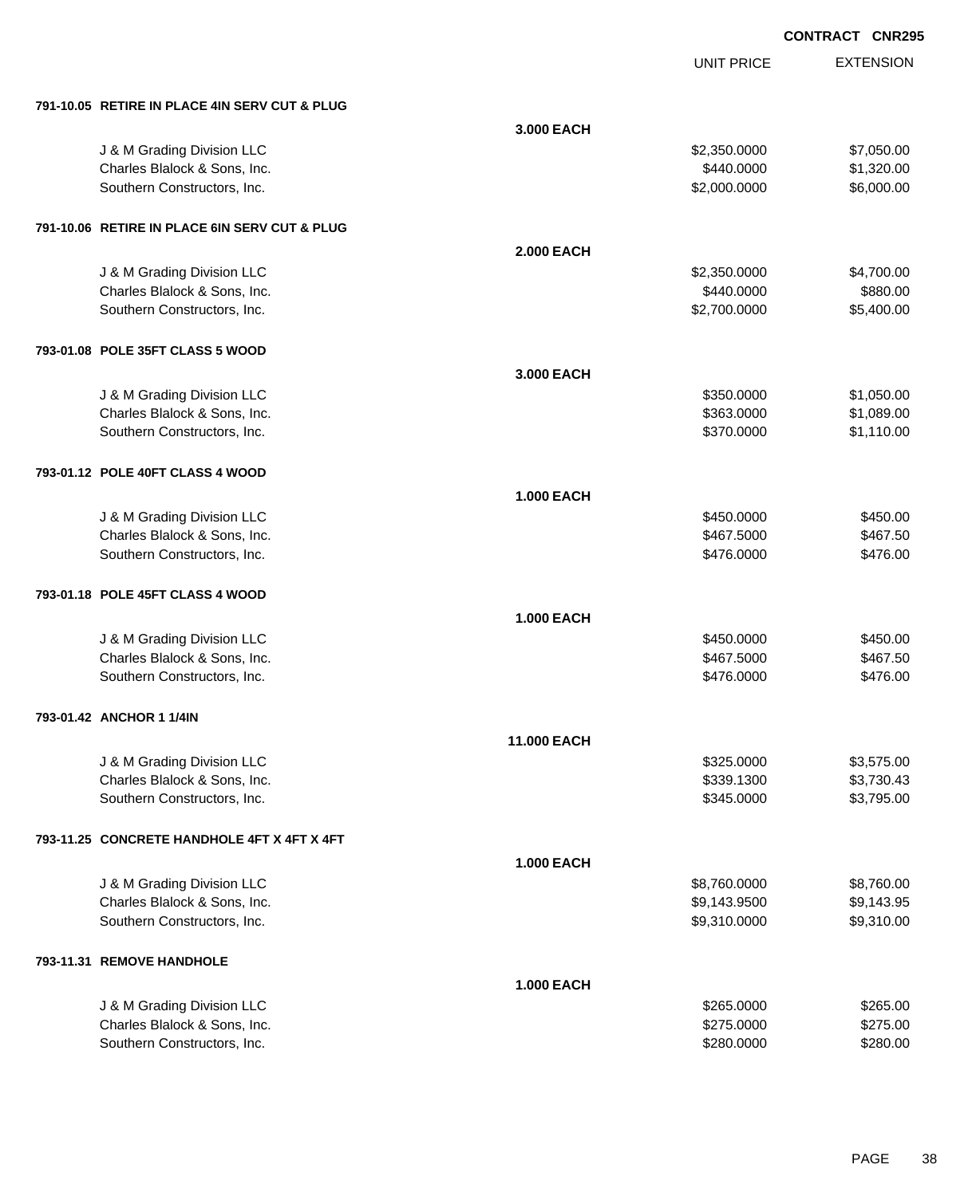UNIT PRICE

| 791-10.05 RETIRE IN PLACE 4IN SERV CUT & PLUG               |                    |                          |                      |
|-------------------------------------------------------------|--------------------|--------------------------|----------------------|
|                                                             | 3.000 EACH         |                          |                      |
| J & M Grading Division LLC                                  |                    | \$2,350.0000             | \$7,050.00           |
| Charles Blalock & Sons, Inc.                                |                    | \$440.0000               | \$1,320.00           |
| Southern Constructors, Inc.                                 |                    | \$2,000.0000             | \$6,000.00           |
|                                                             |                    |                          |                      |
| 791-10.06 RETIRE IN PLACE 6IN SERV CUT & PLUG               |                    |                          |                      |
|                                                             | <b>2.000 EACH</b>  |                          |                      |
| J & M Grading Division LLC                                  |                    | \$2,350.0000             | \$4,700.00           |
| Charles Blalock & Sons, Inc.                                |                    | \$440.0000               | \$880.00             |
| Southern Constructors, Inc.                                 |                    | \$2,700.0000             | \$5,400.00           |
|                                                             |                    |                          |                      |
| 793-01.08 POLE 35FT CLASS 5 WOOD                            |                    |                          |                      |
|                                                             | 3,000 EACH         |                          |                      |
| J & M Grading Division LLC                                  |                    | \$350.0000               | \$1,050.00           |
| Charles Blalock & Sons, Inc.                                |                    | \$363.0000               | \$1,089.00           |
| Southern Constructors, Inc.                                 |                    | \$370.0000               | \$1,110.00           |
|                                                             |                    |                          |                      |
| 793-01.12 POLE 40FT CLASS 4 WOOD                            |                    |                          |                      |
|                                                             |                    |                          |                      |
|                                                             | <b>1.000 EACH</b>  |                          |                      |
| J & M Grading Division LLC                                  |                    | \$450.0000               | \$450.00<br>\$467.50 |
| Charles Blalock & Sons, Inc.<br>Southern Constructors, Inc. |                    | \$467.5000<br>\$476.0000 | \$476.00             |
|                                                             |                    |                          |                      |
| 793-01.18 POLE 45FT CLASS 4 WOOD                            |                    |                          |                      |
|                                                             | <b>1.000 EACH</b>  |                          |                      |
|                                                             |                    |                          |                      |
| J & M Grading Division LLC<br>Charles Blalock & Sons, Inc.  |                    | \$450.0000<br>\$467.5000 | \$450.00<br>\$467.50 |
| Southern Constructors, Inc.                                 |                    | \$476.0000               | \$476.00             |
|                                                             |                    |                          |                      |
| 793-01.42 ANCHOR 1 1/4IN                                    |                    |                          |                      |
|                                                             | <b>11.000 EACH</b> |                          |                      |
| J & M Grading Division LLC                                  |                    | \$325.0000               | \$3,575.00           |
| Charles Blalock & Sons, Inc.                                |                    | \$339.1300               | \$3,730.43           |
| Southern Constructors, Inc.                                 |                    | \$345.0000               | \$3,795.00           |
|                                                             |                    |                          |                      |
| 793-11.25 CONCRETE HANDHOLE 4FT X 4FT X 4FT                 |                    |                          |                      |
|                                                             | <b>1.000 EACH</b>  |                          |                      |
| J & M Grading Division LLC                                  |                    | \$8,760.0000             | \$8,760.00           |
| Charles Blalock & Sons, Inc.                                |                    | \$9,143.9500             | \$9,143.95           |
| Southern Constructors, Inc.                                 |                    | \$9,310.0000             | \$9,310.00           |
|                                                             |                    |                          |                      |
| 793-11.31 REMOVE HANDHOLE                                   |                    |                          |                      |
|                                                             | <b>1.000 EACH</b>  |                          |                      |
| J & M Grading Division LLC                                  |                    | \$265.0000               | \$265.00             |
| Charles Blalock & Sons, Inc.                                |                    | \$275.0000               | \$275.00             |
| Southern Constructors, Inc.                                 |                    | \$280.0000               | \$280.00             |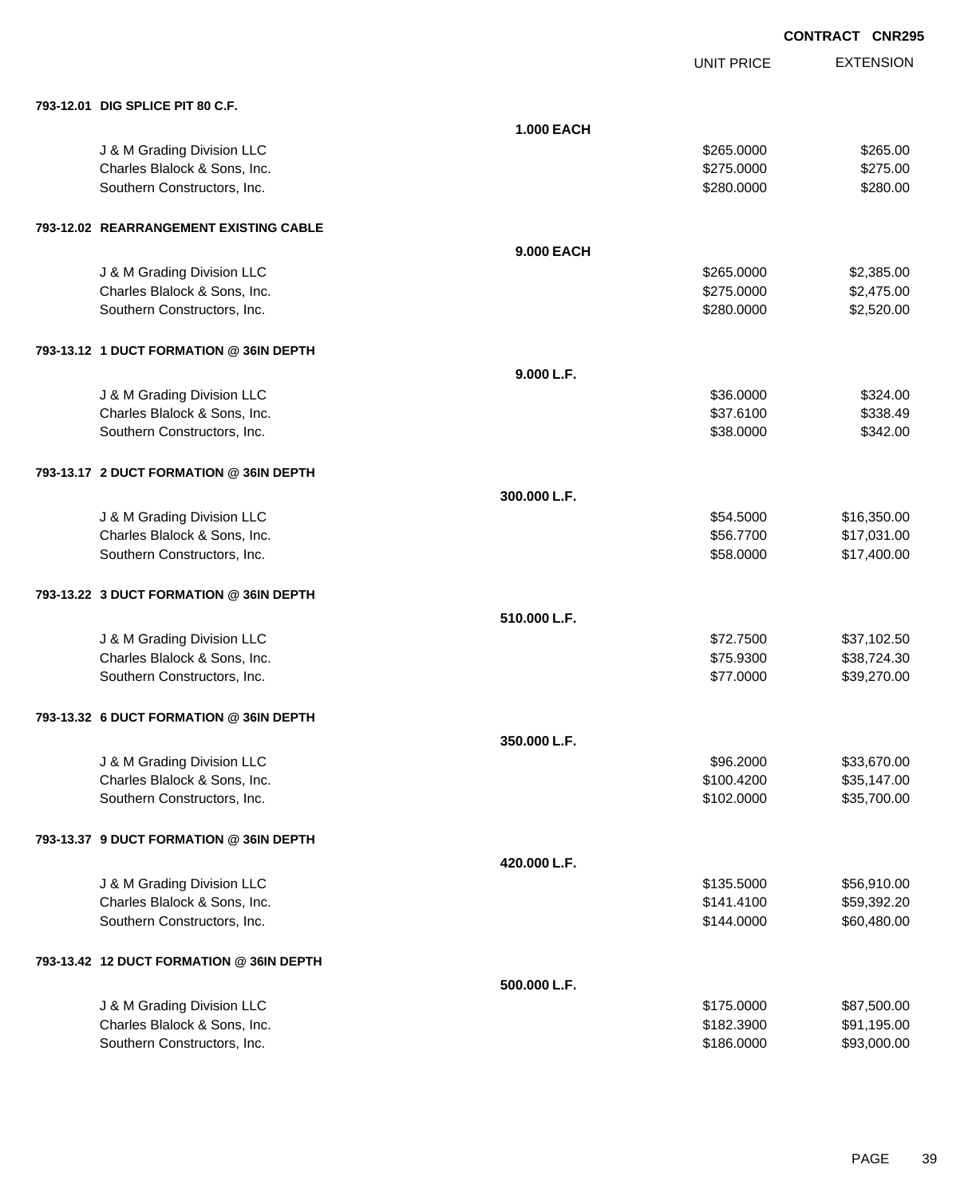UNIT PRICE

| 793-12.01 DIG SPLICE PIT 80 C.F.         |                   |            |             |
|------------------------------------------|-------------------|------------|-------------|
|                                          | <b>1.000 EACH</b> |            |             |
| J & M Grading Division LLC               |                   | \$265.0000 | \$265.00    |
| Charles Blalock & Sons, Inc.             |                   | \$275.0000 | \$275.00    |
| Southern Constructors, Inc.              |                   | \$280.0000 | \$280.00    |
| 793-12.02 REARRANGEMENT EXISTING CABLE   |                   |            |             |
|                                          | 9.000 EACH        |            |             |
| J & M Grading Division LLC               |                   | \$265.0000 | \$2,385.00  |
| Charles Blalock & Sons, Inc.             |                   | \$275.0000 | \$2,475.00  |
| Southern Constructors, Inc.              |                   | \$280.0000 | \$2,520.00  |
| 793-13.12 1 DUCT FORMATION @ 36IN DEPTH  |                   |            |             |
|                                          | 9.000 L.F.        |            |             |
| J & M Grading Division LLC               |                   | \$36.0000  | \$324.00    |
| Charles Blalock & Sons, Inc.             |                   | \$37.6100  | \$338.49    |
| Southern Constructors, Inc.              |                   | \$38.0000  | \$342.00    |
| 793-13.17 2 DUCT FORMATION @ 36IN DEPTH  |                   |            |             |
|                                          | 300.000 L.F.      |            |             |
| J & M Grading Division LLC               |                   | \$54.5000  | \$16,350.00 |
| Charles Blalock & Sons, Inc.             |                   | \$56.7700  | \$17,031.00 |
| Southern Constructors, Inc.              |                   | \$58.0000  | \$17,400.00 |
| 793-13.22 3 DUCT FORMATION @ 36IN DEPTH  |                   |            |             |
|                                          | 510.000 L.F.      |            |             |
| J & M Grading Division LLC               |                   | \$72.7500  | \$37,102.50 |
| Charles Blalock & Sons, Inc.             |                   | \$75.9300  | \$38,724.30 |
| Southern Constructors, Inc.              |                   | \$77.0000  | \$39,270.00 |
| 793-13.32 6 DUCT FORMATION @ 36IN DEPTH  |                   |            |             |
|                                          | 350.000 L.F.      |            |             |
| J & M Grading Division LLC               |                   | \$96.2000  | \$33,670.00 |
| Charles Blalock & Sons, Inc.             |                   | \$100.4200 | \$35,147.00 |
| Southern Constructors, Inc.              |                   | \$102.0000 | \$35,700.00 |
| 793-13.37 9 DUCT FORMATION @ 36IN DEPTH  |                   |            |             |
|                                          | 420.000 L.F.      |            |             |
| J & M Grading Division LLC               |                   | \$135.5000 | \$56,910.00 |
| Charles Blalock & Sons, Inc.             |                   | \$141.4100 | \$59,392.20 |
| Southern Constructors, Inc.              |                   | \$144.0000 | \$60,480.00 |
| 793-13.42 12 DUCT FORMATION @ 36IN DEPTH |                   |            |             |
|                                          | 500.000 L.F.      |            |             |
| J & M Grading Division LLC               |                   | \$175.0000 | \$87,500.00 |
| Charles Blalock & Sons, Inc.             |                   | \$182.3900 | \$91,195.00 |
| Southern Constructors, Inc.              |                   | \$186.0000 | \$93,000.00 |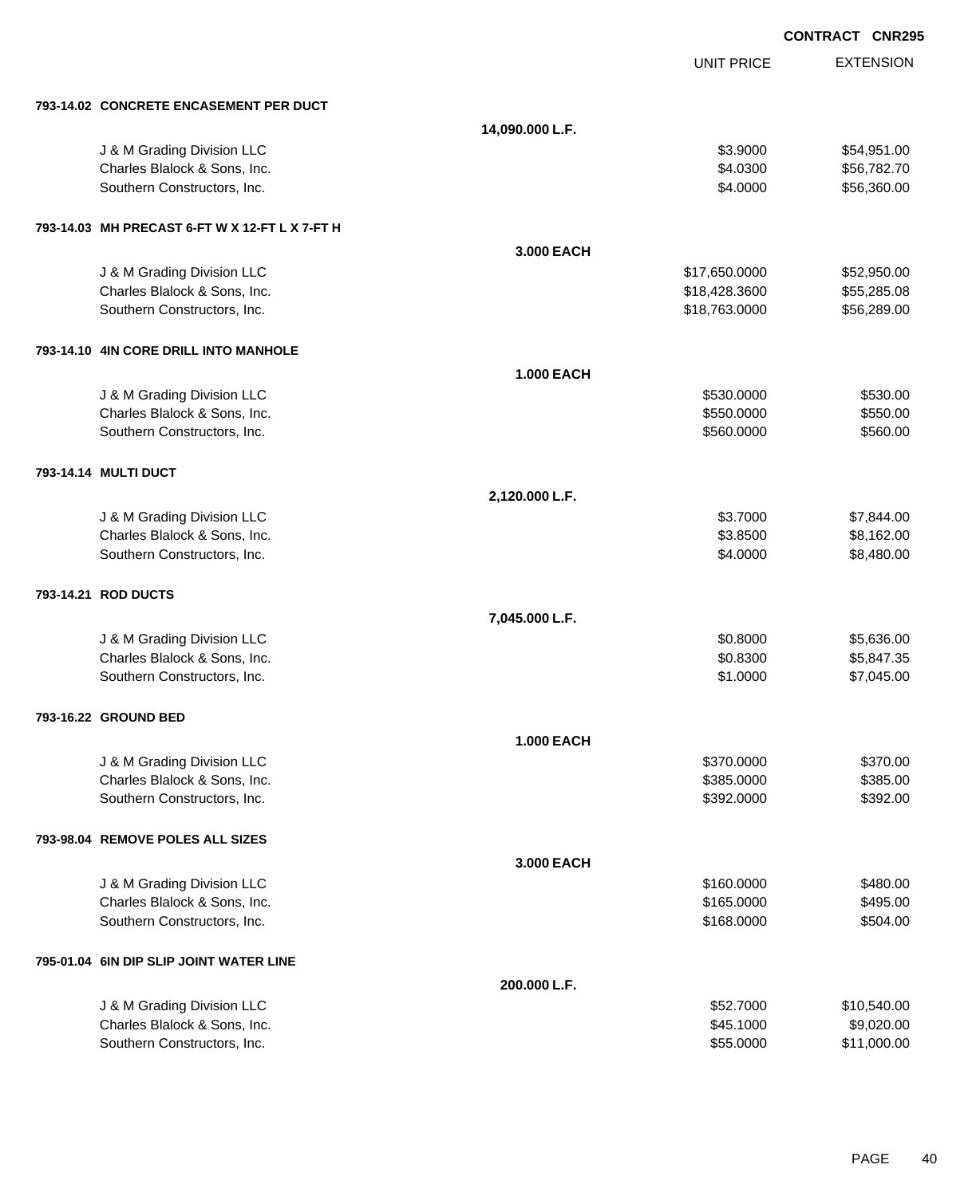|                                                |                   |                   | <b>CONTRACT CNR295</b> |                  |
|------------------------------------------------|-------------------|-------------------|------------------------|------------------|
|                                                |                   | <b>UNIT PRICE</b> |                        | <b>EXTENSION</b> |
| 793-14.02 CONCRETE ENCASEMENT PER DUCT         |                   |                   |                        |                  |
|                                                | 14,090.000 L.F.   |                   |                        |                  |
| J & M Grading Division LLC                     |                   | \$3.9000          |                        | \$54,951.00      |
| Charles Blalock & Sons, Inc.                   |                   | \$4.0300          |                        | \$56,782.70      |
| Southern Constructors, Inc.                    |                   | \$4.0000          |                        | \$56,360.00      |
| 793-14.03 MH PRECAST 6-FT W X 12-FT L X 7-FT H |                   |                   |                        |                  |
|                                                | 3.000 EACH        |                   |                        |                  |
| J & M Grading Division LLC                     |                   | \$17,650.0000     |                        | \$52,950.00      |
| Charles Blalock & Sons, Inc.                   |                   | \$18,428.3600     |                        | \$55,285.08      |
| Southern Constructors, Inc.                    |                   | \$18,763.0000     |                        | \$56,289.00      |
| 793-14.10 4IN CORE DRILL INTO MANHOLE          |                   |                   |                        |                  |
|                                                | <b>1.000 EACH</b> |                   |                        |                  |
| J & M Grading Division LLC                     |                   | \$530.0000        |                        | \$530.00         |
| Charles Blalock & Sons, Inc.                   |                   | \$550.0000        |                        | \$550.00         |
| Southern Constructors, Inc.                    |                   | \$560.0000        |                        | \$560.00         |
| 793-14.14 MULTI DUCT                           |                   |                   |                        |                  |
|                                                | 2,120.000 L.F.    |                   |                        |                  |
| J & M Grading Division LLC                     |                   | \$3.7000          |                        | \$7,844.00       |
| Charles Blalock & Sons, Inc.                   |                   | \$3.8500          |                        | \$8,162.00       |
| Southern Constructors, Inc.                    |                   | \$4.0000          |                        | \$8,480.00       |
| 793-14.21 ROD DUCTS                            |                   |                   |                        |                  |
|                                                | 7,045.000 L.F.    |                   |                        |                  |
| J & M Grading Division LLC                     |                   | \$0.8000          |                        | \$5,636.00       |
| Charles Blalock & Sons, Inc.                   |                   | \$0.8300          |                        | \$5,847.35       |
| Southern Constructors, Inc.                    |                   | \$1.0000          |                        | \$7,045.00       |
| 793-16.22 GROUND BED                           |                   |                   |                        |                  |
|                                                | <b>1.000 EACH</b> |                   |                        |                  |
| J & M Grading Division LLC                     |                   | \$370.0000        |                        | \$370.00         |
| Charles Blalock & Sons, Inc.                   |                   | \$385.0000        |                        | \$385.00         |
| Southern Constructors, Inc.                    |                   | \$392.0000        |                        | \$392.00         |
| 793-98.04 REMOVE POLES ALL SIZES               |                   |                   |                        |                  |
|                                                | 3.000 EACH        |                   |                        |                  |
| J & M Grading Division LLC                     |                   | \$160.0000        |                        | \$480.00         |
| Charles Blalock & Sons, Inc.                   |                   | \$165.0000        |                        | \$495.00         |
| Southern Constructors, Inc.                    |                   | \$168.0000        |                        | \$504.00         |
| 795-01.04 6IN DIP SLIP JOINT WATER LINE        |                   |                   |                        |                  |
|                                                | 200.000 L.F.      |                   |                        |                  |
| J & M Grading Division LLC                     |                   | \$52.7000         |                        | \$10,540.00      |
| Charles Blalock & Sons, Inc.                   |                   | \$45.1000         |                        | \$9,020.00       |
| Southern Constructors, Inc.                    |                   | \$55.0000         |                        | \$11,000.00      |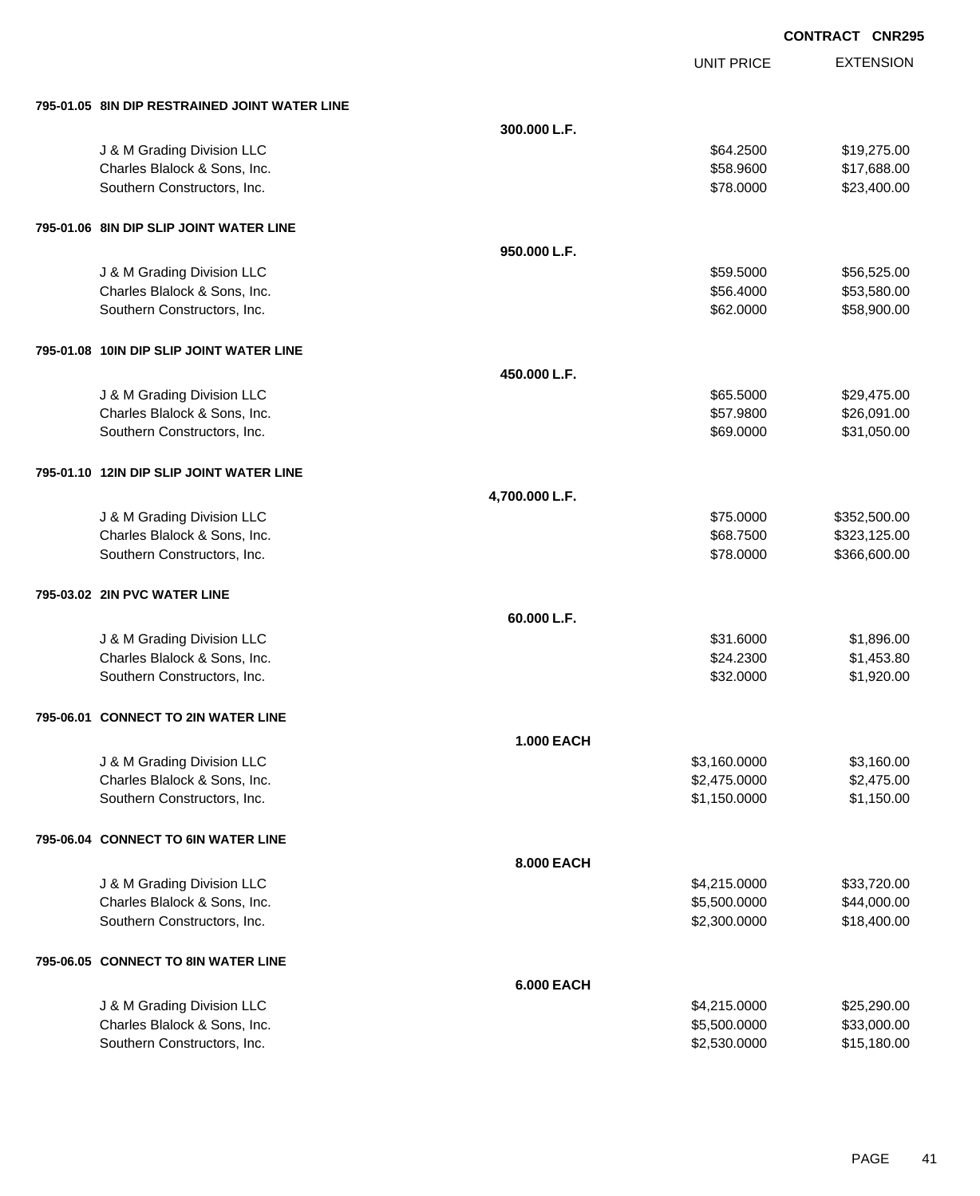| 795-01.05 8IN DIP RESTRAINED JOINT WATER LINE              |                   |                        |                            |
|------------------------------------------------------------|-------------------|------------------------|----------------------------|
|                                                            | 300.000 L.F.      |                        |                            |
| J & M Grading Division LLC                                 |                   | \$64.2500              | \$19,275.00                |
| Charles Blalock & Sons, Inc.                               |                   | \$58.9600              | \$17,688.00                |
| Southern Constructors, Inc.                                |                   | \$78.0000              | \$23,400.00                |
|                                                            |                   |                        |                            |
| 795-01.06 8IN DIP SLIP JOINT WATER LINE                    | 950.000 L.F.      |                        |                            |
|                                                            |                   |                        |                            |
| J & M Grading Division LLC<br>Charles Blalock & Sons, Inc. |                   | \$59.5000<br>\$56.4000 | \$56,525.00<br>\$53,580.00 |
| Southern Constructors, Inc.                                |                   | \$62.0000              | \$58,900.00                |
|                                                            |                   |                        |                            |
| 795-01.08 10IN DIP SLIP JOINT WATER LINE                   |                   |                        |                            |
|                                                            | 450.000 L.F.      |                        |                            |
| J & M Grading Division LLC                                 |                   | \$65.5000              | \$29,475.00                |
| Charles Blalock & Sons, Inc.                               |                   | \$57.9800              | \$26,091.00                |
| Southern Constructors, Inc.                                |                   | \$69.0000              | \$31,050.00                |
| 795-01.10 12IN DIP SLIP JOINT WATER LINE                   |                   |                        |                            |
|                                                            | 4,700.000 L.F.    |                        |                            |
| J & M Grading Division LLC                                 |                   | \$75.0000              | \$352,500.00               |
| Charles Blalock & Sons, Inc.                               |                   | \$68.7500              | \$323,125.00               |
| Southern Constructors, Inc.                                |                   | \$78.0000              | \$366,600.00               |
| 795-03.02 2IN PVC WATER LINE                               |                   |                        |                            |
|                                                            | 60.000 L.F.       |                        |                            |
| J & M Grading Division LLC                                 |                   | \$31.6000              | \$1,896.00                 |
| Charles Blalock & Sons, Inc.                               |                   | \$24.2300              | \$1,453.80                 |
| Southern Constructors, Inc.                                |                   | \$32.0000              | \$1,920.00                 |
| 795-06.01 CONNECT TO 2IN WATER LINE                        |                   |                        |                            |
|                                                            | 1.000 EACH        |                        |                            |
| J & M Grading Division LLC                                 |                   | \$3,160.0000           | \$3,160.00                 |
| Charles Blalock & Sons, Inc.                               |                   | \$2,475.0000           | \$2,475.00                 |
| Southern Constructors, Inc.                                |                   | \$1,150.0000           | \$1,150.00                 |
|                                                            |                   |                        |                            |
| 795-06.04 CONNECT TO 6IN WATER LINE                        |                   |                        |                            |
|                                                            | 8.000 EACH        |                        |                            |
| J & M Grading Division LLC                                 |                   | \$4,215.0000           | \$33,720.00                |
| Charles Blalock & Sons, Inc.                               |                   | \$5,500.0000           | \$44,000.00                |
| Southern Constructors, Inc.                                |                   | \$2,300.0000           | \$18,400.00                |
| 795-06.05 CONNECT TO 8IN WATER LINE                        |                   |                        |                            |
|                                                            | <b>6.000 EACH</b> |                        |                            |
| J & M Grading Division LLC                                 |                   | \$4,215.0000           | \$25,290.00                |
| Charles Blalock & Sons, Inc.                               |                   | \$5,500.0000           | \$33,000.00                |
| Southern Constructors, Inc.                                |                   | \$2,530.0000           | \$15,180.00                |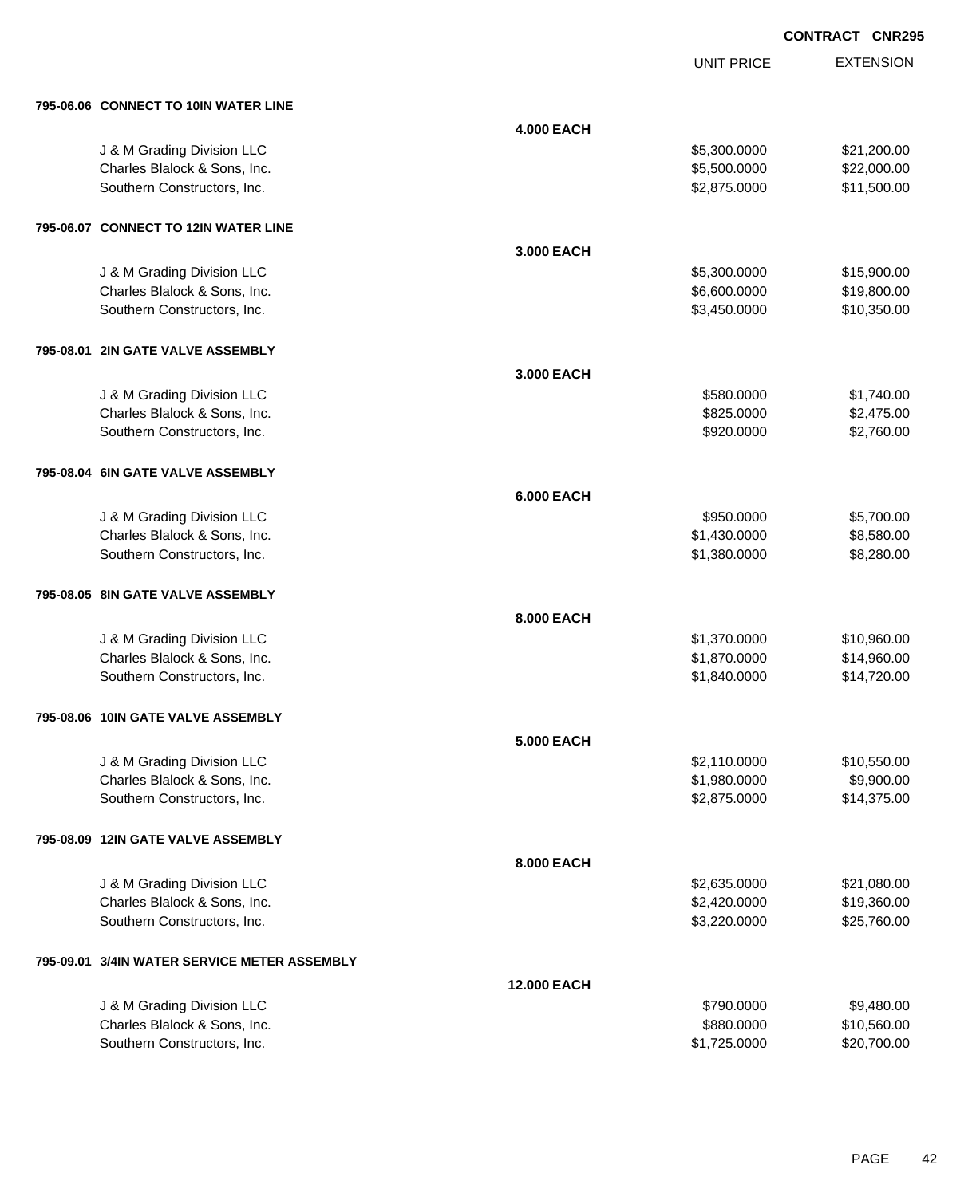|           | 795-06.06 CONNECT TO 10IN WATER LINE                        |                    |                              |                           |
|-----------|-------------------------------------------------------------|--------------------|------------------------------|---------------------------|
|           |                                                             | <b>4.000 EACH</b>  |                              |                           |
|           | J & M Grading Division LLC                                  |                    | \$5,300.0000                 | \$21,200.00               |
|           | Charles Blalock & Sons, Inc.                                |                    | \$5,500.0000                 | \$22,000.00               |
|           | Southern Constructors, Inc.                                 |                    | \$2,875.0000                 | \$11,500.00               |
|           |                                                             |                    |                              |                           |
|           | 795-06.07 CONNECT TO 12IN WATER LINE                        |                    |                              |                           |
|           |                                                             | 3.000 EACH         |                              |                           |
|           | J & M Grading Division LLC                                  |                    | \$5,300.0000                 | \$15,900.00               |
|           | Charles Blalock & Sons, Inc.                                |                    | \$6,600.0000                 | \$19,800.00               |
|           | Southern Constructors, Inc.                                 |                    | \$3,450.0000                 | \$10,350.00               |
|           |                                                             |                    |                              |                           |
|           | 795-08.01 2IN GATE VALVE ASSEMBLY                           |                    |                              |                           |
|           |                                                             | 3.000 EACH         |                              |                           |
|           | J & M Grading Division LLC                                  |                    | \$580.0000                   | \$1,740.00                |
|           | Charles Blalock & Sons, Inc.                                |                    | \$825.0000                   | \$2,475.00                |
|           | Southern Constructors, Inc.                                 |                    | \$920.0000                   | \$2,760.00                |
|           |                                                             |                    |                              |                           |
|           | 795-08.04 6IN GATE VALVE ASSEMBLY                           |                    |                              |                           |
|           |                                                             | <b>6.000 EACH</b>  |                              |                           |
|           | J & M Grading Division LLC                                  |                    | \$950.0000                   | \$5,700.00                |
|           | Charles Blalock & Sons, Inc.                                |                    | \$1,430.0000                 | \$8,580.00                |
|           | Southern Constructors, Inc.                                 |                    | \$1,380.0000                 | \$8,280.00                |
|           |                                                             |                    |                              |                           |
|           | 795-08.05 8IN GATE VALVE ASSEMBLY                           |                    |                              |                           |
|           |                                                             | 8.000 EACH         |                              |                           |
|           | J & M Grading Division LLC                                  |                    | \$1,370.0000                 | \$10,960.00               |
|           | Charles Blalock & Sons, Inc.                                |                    | \$1,870.0000                 | \$14,960.00               |
|           | Southern Constructors, Inc.                                 |                    | \$1,840.0000                 | \$14,720.00               |
|           |                                                             |                    |                              |                           |
|           | 795-08.06 10IN GATE VALVE ASSEMBLY                          |                    |                              |                           |
|           |                                                             |                    |                              |                           |
|           |                                                             | 5.000 EACH         |                              |                           |
|           | J & M Grading Division LLC                                  |                    | \$2,110.0000                 | \$10,550.00<br>\$9,900.00 |
|           | Charles Blalock & Sons, Inc.<br>Southern Constructors, Inc. |                    | \$1,980.0000<br>\$2,875.0000 | \$14,375.00               |
|           |                                                             |                    |                              |                           |
|           | 795-08.09 12IN GATE VALVE ASSEMBLY                          |                    |                              |                           |
|           |                                                             |                    |                              |                           |
|           |                                                             | 8.000 EACH         |                              |                           |
|           | J & M Grading Division LLC                                  |                    | \$2,635.0000                 | \$21,080.00               |
|           | Charles Blalock & Sons, Inc.<br>Southern Constructors, Inc. |                    | \$2,420.0000<br>\$3,220.0000 | \$19,360.00               |
|           |                                                             |                    |                              | \$25,760.00               |
| 795-09.01 | 3/4IN WATER SERVICE METER ASSEMBLY                          |                    |                              |                           |
|           |                                                             | <b>12.000 EACH</b> |                              |                           |
|           | J & M Grading Division LLC                                  |                    | \$790.0000                   | \$9,480.00                |
|           | Charles Blalock & Sons, Inc.                                |                    | \$880.0000                   | \$10,560.00               |
|           | Southern Constructors, Inc.                                 |                    | \$1,725.0000                 | \$20,700.00               |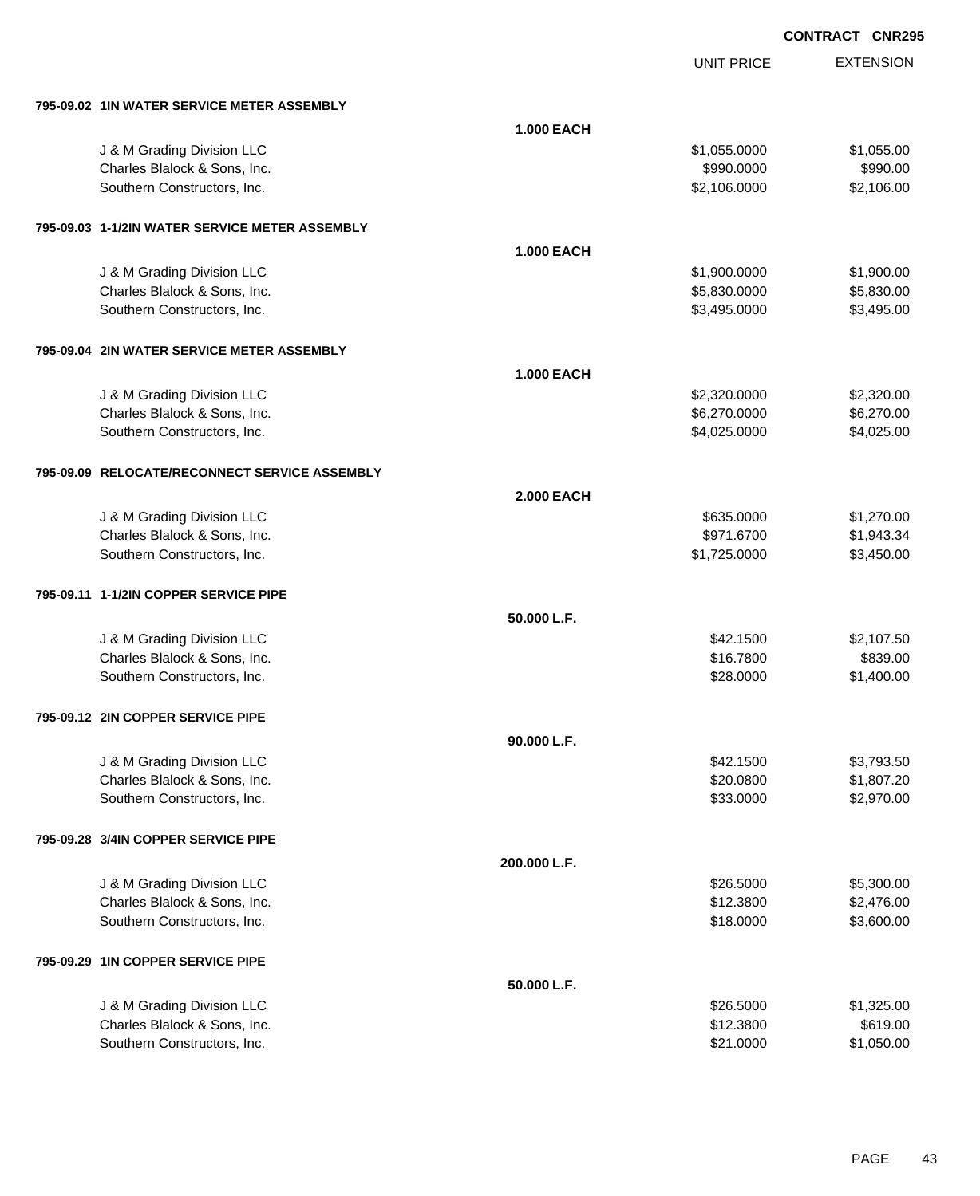EXTENSION **CONTRACT CNR295**

UNIT PRICE

| 795-09.02 1IN WATER SERVICE METER ASSEMBLY     |                   |              |            |
|------------------------------------------------|-------------------|--------------|------------|
|                                                | <b>1.000 EACH</b> |              |            |
| J & M Grading Division LLC                     |                   | \$1,055.0000 | \$1,055.00 |
| Charles Blalock & Sons, Inc.                   |                   | \$990.0000   | \$990.00   |
| Southern Constructors, Inc.                    |                   | \$2,106.0000 | \$2,106.00 |
|                                                |                   |              |            |
| 795-09.03 1-1/2IN WATER SERVICE METER ASSEMBLY |                   |              |            |
|                                                | <b>1.000 EACH</b> |              |            |
| J & M Grading Division LLC                     |                   | \$1,900.0000 | \$1,900.00 |
| Charles Blalock & Sons, Inc.                   |                   | \$5,830.0000 | \$5,830.00 |
| Southern Constructors, Inc.                    |                   | \$3,495.0000 | \$3,495.00 |
| 795-09.04 2IN WATER SERVICE METER ASSEMBLY     |                   |              |            |
|                                                | <b>1.000 EACH</b> |              |            |
| J & M Grading Division LLC                     |                   | \$2,320.0000 | \$2,320.00 |
| Charles Blalock & Sons, Inc.                   |                   | \$6,270.0000 | \$6,270.00 |
| Southern Constructors, Inc.                    |                   | \$4,025.0000 | \$4,025.00 |
| 795-09.09 RELOCATE/RECONNECT SERVICE ASSEMBLY  |                   |              |            |
|                                                | <b>2.000 EACH</b> |              |            |
| J & M Grading Division LLC                     |                   | \$635.0000   | \$1,270.00 |
| Charles Blalock & Sons, Inc.                   |                   | \$971.6700   | \$1,943.34 |
| Southern Constructors, Inc.                    |                   | \$1,725.0000 | \$3,450.00 |
| 795-09.11 1-1/2IN COPPER SERVICE PIPE          |                   |              |            |
|                                                | 50.000 L.F.       |              |            |
| J & M Grading Division LLC                     |                   | \$42.1500    | \$2,107.50 |
| Charles Blalock & Sons, Inc.                   |                   | \$16.7800    | \$839.00   |
| Southern Constructors, Inc.                    |                   | \$28.0000    | \$1,400.00 |
|                                                |                   |              |            |
| 795-09.12 2IN COPPER SERVICE PIPE              |                   |              |            |
|                                                | 90.000 L.F.       |              |            |
| J & M Grading Division LLC                     |                   | \$42.1500    | \$3,793.50 |
| Charles Blalock & Sons, Inc.                   |                   | \$20.0800    | \$1,807.20 |
| Southern Constructors, Inc.                    |                   | \$33.0000    | \$2,970.00 |
| 795-09.28 3/4IN COPPER SERVICE PIPE            |                   |              |            |
|                                                | 200.000 L.F.      |              |            |
| J & M Grading Division LLC                     |                   | \$26.5000    | \$5,300.00 |
| Charles Blalock & Sons, Inc.                   |                   | \$12.3800    | \$2,476.00 |
| Southern Constructors, Inc.                    |                   | \$18.0000    | \$3,600.00 |
| 795-09.29 1IN COPPER SERVICE PIPE              |                   |              |            |
|                                                | 50.000 L.F.       |              |            |
| J & M Grading Division LLC                     |                   | \$26.5000    | \$1,325.00 |
| Charles Blalock & Sons, Inc.                   |                   | \$12.3800    | \$619.00   |
| Southern Constructors, Inc.                    |                   | \$21.0000    | \$1,050.00 |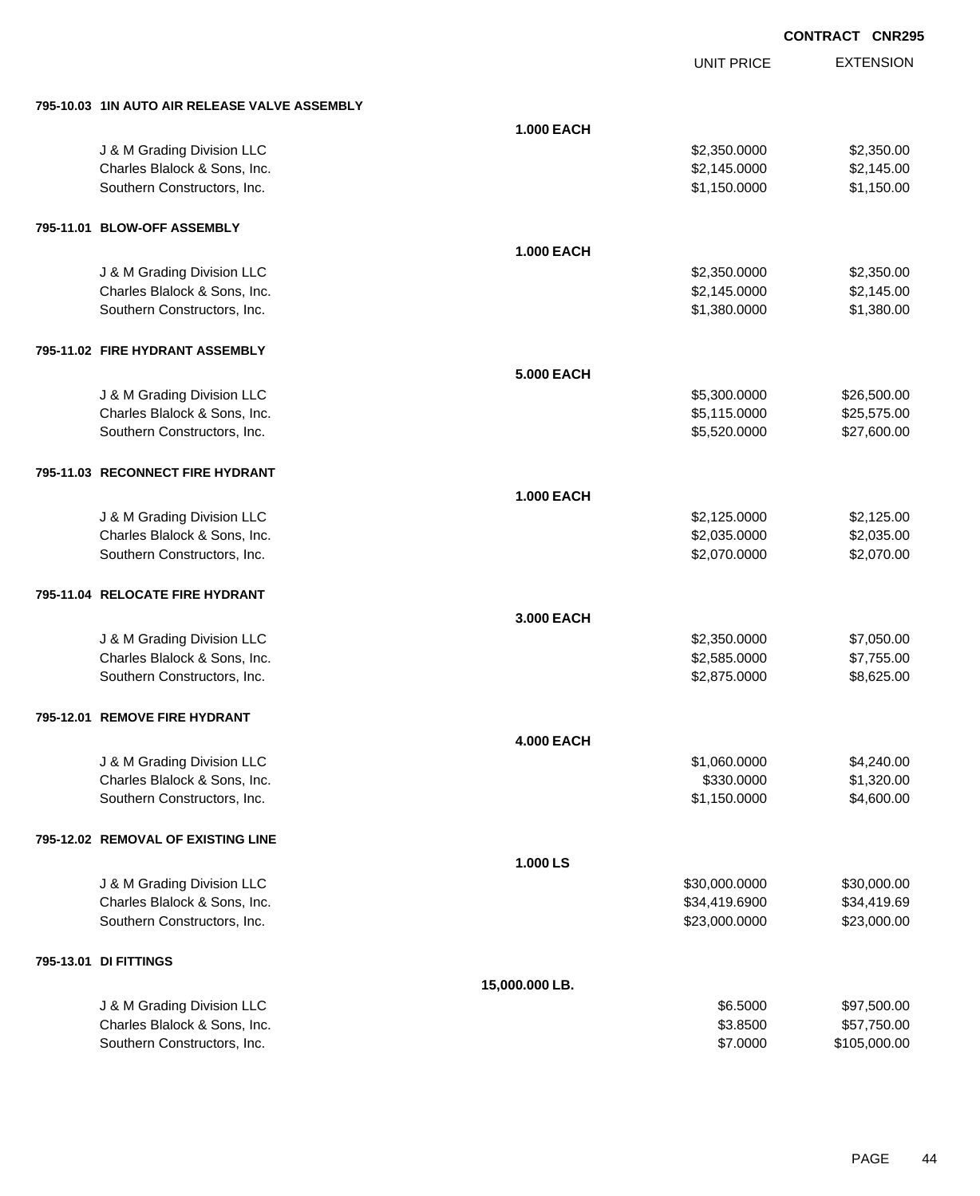| 795-10.03 1IN AUTO AIR RELEASE VALVE ASSEMBLY               |                   |                              |                            |
|-------------------------------------------------------------|-------------------|------------------------------|----------------------------|
|                                                             | <b>1.000 EACH</b> |                              |                            |
| J & M Grading Division LLC                                  |                   | \$2,350.0000                 | \$2,350.00                 |
| Charles Blalock & Sons, Inc.                                |                   | \$2,145.0000                 | \$2,145.00                 |
| Southern Constructors, Inc.                                 |                   | \$1,150.0000                 | \$1,150.00                 |
|                                                             |                   |                              |                            |
| 795-11.01 BLOW-OFF ASSEMBLY                                 |                   |                              |                            |
|                                                             | <b>1.000 EACH</b> |                              |                            |
| J & M Grading Division LLC                                  |                   | \$2,350.0000                 | \$2,350.00                 |
| Charles Blalock & Sons, Inc.                                |                   | \$2,145.0000                 | \$2,145.00                 |
| Southern Constructors, Inc.                                 |                   | \$1,380.0000                 | \$1,380.00                 |
|                                                             |                   |                              |                            |
| 795-11.02 FIRE HYDRANT ASSEMBLY                             |                   |                              |                            |
|                                                             | <b>5.000 EACH</b> |                              |                            |
|                                                             |                   |                              |                            |
| J & M Grading Division LLC<br>Charles Blalock & Sons, Inc.  |                   | \$5,300.0000<br>\$5,115.0000 | \$26,500.00<br>\$25,575.00 |
| Southern Constructors, Inc.                                 |                   | \$5,520.0000                 | \$27,600.00                |
|                                                             |                   |                              |                            |
| 795-11.03 RECONNECT FIRE HYDRANT                            |                   |                              |                            |
|                                                             |                   |                              |                            |
|                                                             | <b>1.000 EACH</b> |                              |                            |
| J & M Grading Division LLC                                  |                   | \$2,125.0000                 | \$2,125.00                 |
| Charles Blalock & Sons, Inc.                                |                   | \$2,035.0000                 | \$2,035.00                 |
| Southern Constructors, Inc.                                 |                   | \$2,070.0000                 | \$2,070.00                 |
| 795-11.04 RELOCATE FIRE HYDRANT                             |                   |                              |                            |
|                                                             |                   |                              |                            |
|                                                             | 3.000 EACH        |                              |                            |
| J & M Grading Division LLC                                  |                   | \$2,350.0000                 | \$7,050.00                 |
| Charles Blalock & Sons, Inc.<br>Southern Constructors, Inc. |                   | \$2,585.0000<br>\$2,875.0000 | \$7,755.00<br>\$8,625.00   |
|                                                             |                   |                              |                            |
| 795-12.01 REMOVE FIRE HYDRANT                               |                   |                              |                            |
|                                                             |                   |                              |                            |
|                                                             | <b>4.000 EACH</b> |                              |                            |
| J & M Grading Division LLC<br>Charles Blalock & Sons, Inc.  |                   | \$1,060.0000<br>\$330.0000   | \$4,240.00<br>\$1,320.00   |
| Southern Constructors, Inc.                                 |                   | \$1,150.0000                 | \$4,600.00                 |
|                                                             |                   |                              |                            |
| 795-12.02 REMOVAL OF EXISTING LINE                          |                   |                              |                            |
|                                                             | 1.000 LS          |                              |                            |
| J & M Grading Division LLC                                  |                   | \$30,000.0000                | \$30,000.00                |
| Charles Blalock & Sons, Inc.                                |                   | \$34,419.6900                | \$34,419.69                |
| Southern Constructors, Inc.                                 |                   | \$23,000.0000                | \$23,000.00                |
|                                                             |                   |                              |                            |
| 795-13.01 DI FITTINGS                                       |                   |                              |                            |
|                                                             | 15,000.000 LB.    |                              |                            |
| J & M Grading Division LLC                                  |                   | \$6.5000                     | \$97,500.00                |
| Charles Blalock & Sons, Inc.                                |                   | \$3.8500                     | \$57,750.00                |
| Southern Constructors, Inc.                                 |                   | \$7.0000                     | \$105,000.00               |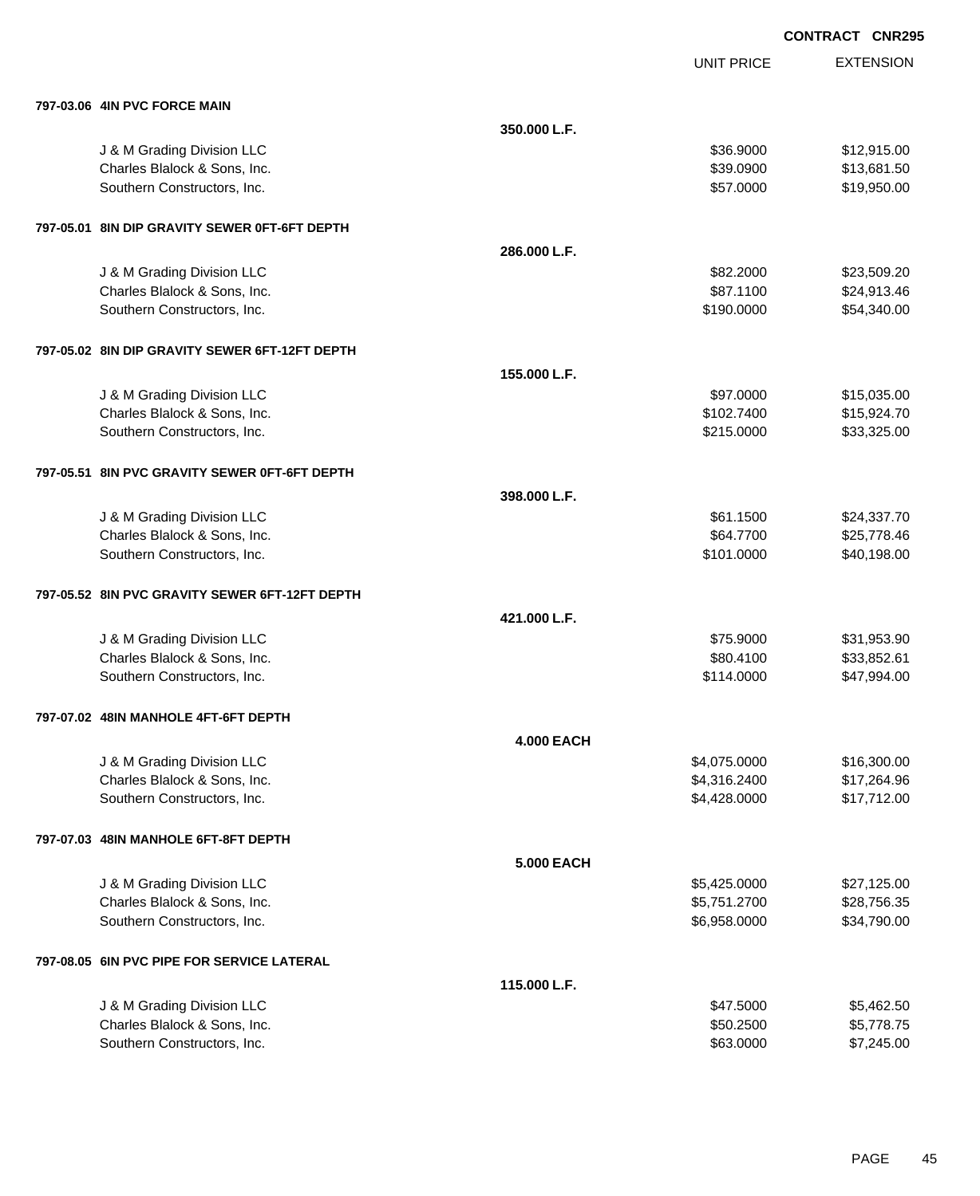UNIT PRICE

| 797-03.06 4IN PVC FORCE MAIN |  |
|------------------------------|--|
|                              |  |

| 797-03.06 4IN PVC FORCE MAIN                   |                   |              |             |
|------------------------------------------------|-------------------|--------------|-------------|
|                                                | 350.000 L.F.      |              |             |
| J & M Grading Division LLC                     |                   | \$36.9000    | \$12,915.00 |
| Charles Blalock & Sons, Inc.                   |                   | \$39.0900    | \$13,681.50 |
| Southern Constructors, Inc.                    |                   | \$57.0000    | \$19,950.00 |
| 797-05.01 8IN DIP GRAVITY SEWER 0FT-6FT DEPTH  |                   |              |             |
|                                                | 286.000 L.F.      |              |             |
| J & M Grading Division LLC                     |                   | \$82.2000    | \$23,509.20 |
| Charles Blalock & Sons, Inc.                   |                   | \$87.1100    | \$24,913.46 |
| Southern Constructors, Inc.                    |                   | \$190.0000   | \$54,340.00 |
| 797-05.02 8IN DIP GRAVITY SEWER 6FT-12FT DEPTH |                   |              |             |
|                                                | 155.000 L.F.      |              |             |
| J & M Grading Division LLC                     |                   | \$97.0000    | \$15,035.00 |
| Charles Blalock & Sons, Inc.                   |                   | \$102.7400   | \$15,924.70 |
| Southern Constructors, Inc.                    |                   | \$215.0000   | \$33,325.00 |
| 797-05.51 8IN PVC GRAVITY SEWER 0FT-6FT DEPTH  |                   |              |             |
|                                                | 398.000 L.F.      |              |             |
| J & M Grading Division LLC                     |                   | \$61.1500    | \$24,337.70 |
| Charles Blalock & Sons, Inc.                   |                   | \$64.7700    | \$25,778.46 |
| Southern Constructors, Inc.                    |                   | \$101.0000   | \$40,198.00 |
| 797-05.52 8IN PVC GRAVITY SEWER 6FT-12FT DEPTH |                   |              |             |
|                                                | 421.000 L.F.      |              |             |
| J & M Grading Division LLC                     |                   | \$75.9000    | \$31,953.90 |
| Charles Blalock & Sons, Inc.                   |                   | \$80.4100    | \$33,852.61 |
| Southern Constructors, Inc.                    |                   | \$114.0000   | \$47,994.00 |
| 797-07.02 48IN MANHOLE 4FT-6FT DEPTH           |                   |              |             |
|                                                | <b>4.000 EACH</b> |              |             |
| J & M Grading Division LLC                     |                   | \$4,075.0000 | \$16,300.00 |
| Charles Blalock & Sons, Inc.                   |                   | \$4,316.2400 | \$17,264.96 |
| Southern Constructors, Inc.                    |                   | \$4,428.0000 | \$17,712.00 |
| 797-07.03 48IN MANHOLE 6FT-8FT DEPTH           |                   |              |             |
|                                                | <b>5.000 EACH</b> |              |             |
| J & M Grading Division LLC                     |                   | \$5,425.0000 | \$27,125.00 |
| Charles Blalock & Sons, Inc.                   |                   | \$5,751.2700 | \$28,756.35 |
| Southern Constructors, Inc.                    |                   | \$6,958.0000 | \$34,790.00 |
| 797-08.05 6IN PVC PIPE FOR SERVICE LATERAL     |                   |              |             |
|                                                | 115.000 L.F.      |              |             |
| J & M Grading Division LLC                     |                   | \$47.5000    | \$5,462.50  |
| Charles Blalock & Sons, Inc.                   |                   | \$50.2500    | \$5,778.75  |
| Southern Constructors, Inc.                    |                   | \$63.0000    | \$7,245.00  |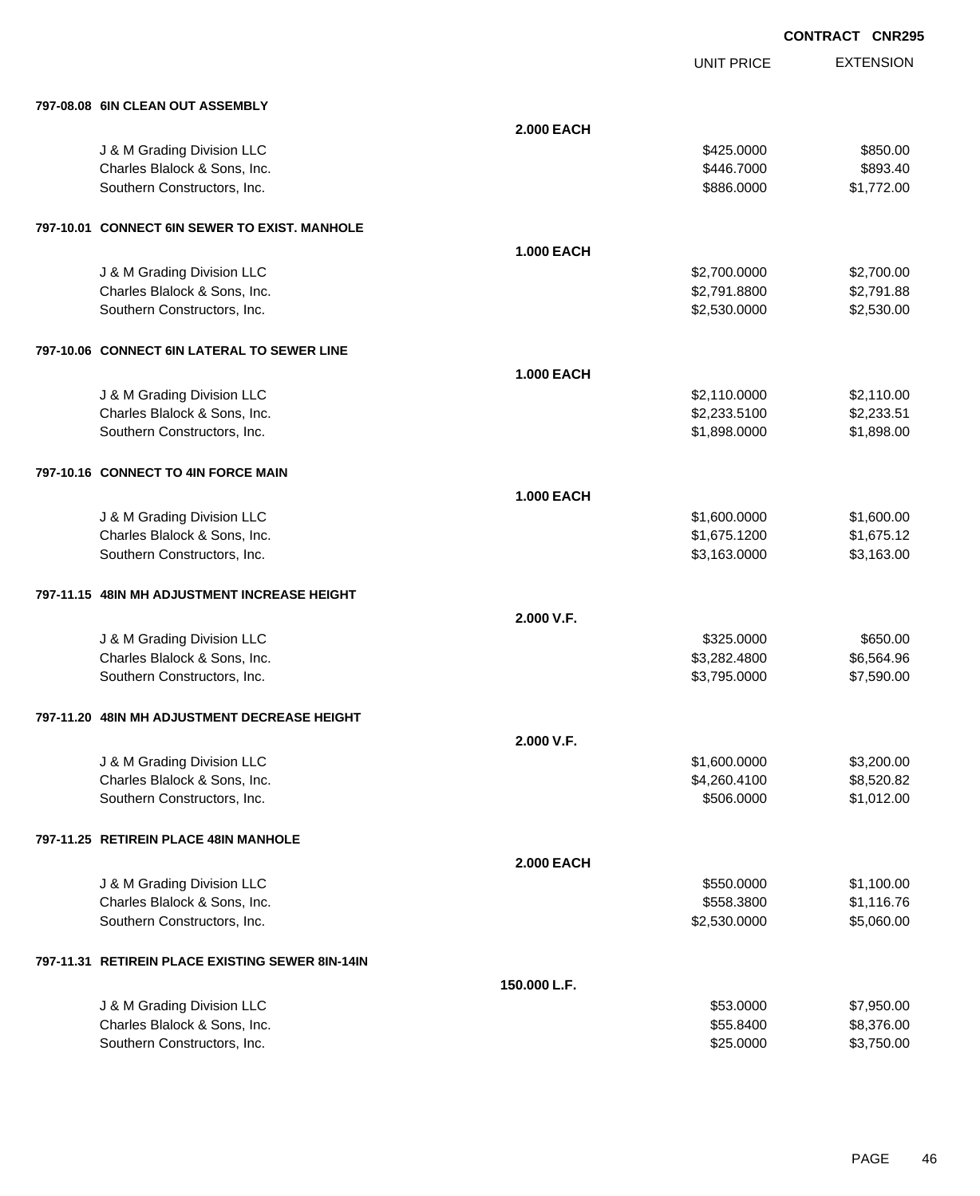UNIT PRICE

| 797-08.08 6IN CLEAN OUT ASSEMBLY                 |                   |              |            |
|--------------------------------------------------|-------------------|--------------|------------|
|                                                  | <b>2.000 EACH</b> |              |            |
| J & M Grading Division LLC                       |                   | \$425.0000   | \$850.00   |
| Charles Blalock & Sons, Inc.                     |                   | \$446.7000   | \$893.40   |
| Southern Constructors, Inc.                      |                   | \$886.0000   | \$1,772.00 |
|                                                  |                   |              |            |
| 797-10.01 CONNECT 6IN SEWER TO EXIST. MANHOLE    |                   |              |            |
|                                                  | <b>1.000 EACH</b> |              |            |
| J & M Grading Division LLC                       |                   | \$2,700.0000 | \$2,700.00 |
| Charles Blalock & Sons, Inc.                     |                   | \$2,791.8800 | \$2,791.88 |
| Southern Constructors, Inc.                      |                   | \$2,530.0000 | \$2,530.00 |
| 797-10.06 CONNECT 6IN LATERAL TO SEWER LINE      |                   |              |            |
|                                                  | <b>1.000 EACH</b> |              |            |
| J & M Grading Division LLC                       |                   | \$2,110.0000 | \$2,110.00 |
| Charles Blalock & Sons, Inc.                     |                   | \$2,233.5100 | \$2,233.51 |
| Southern Constructors, Inc.                      |                   | \$1,898.0000 | \$1,898.00 |
|                                                  |                   |              |            |
| 797-10.16 CONNECT TO 4IN FORCE MAIN              |                   |              |            |
|                                                  | <b>1.000 EACH</b> |              |            |
| J & M Grading Division LLC                       |                   | \$1,600.0000 | \$1,600.00 |
| Charles Blalock & Sons, Inc.                     |                   | \$1,675.1200 | \$1,675.12 |
| Southern Constructors, Inc.                      |                   | \$3,163.0000 | \$3,163.00 |
|                                                  |                   |              |            |
| 797-11.15 48IN MH ADJUSTMENT INCREASE HEIGHT     |                   |              |            |
|                                                  | 2.000 V.F.        |              |            |
| J & M Grading Division LLC                       |                   | \$325.0000   | \$650.00   |
| Charles Blalock & Sons, Inc.                     |                   | \$3,282.4800 | \$6,564.96 |
| Southern Constructors, Inc.                      |                   | \$3,795.0000 | \$7,590.00 |
| 797-11.20 48IN MH ADJUSTMENT DECREASE HEIGHT     |                   |              |            |
|                                                  | 2.000 V.F.        |              |            |
| J & M Grading Division LLC                       |                   | \$1,600.0000 | \$3,200.00 |
| Charles Blalock & Sons, Inc.                     |                   | \$4,260.4100 | \$8,520.82 |
| Southern Constructors, Inc.                      |                   | \$506.0000   | \$1,012.00 |
|                                                  |                   |              |            |
| 797-11.25 RETIREIN PLACE 48IN MANHOLE            |                   |              |            |
|                                                  | <b>2.000 EACH</b> |              |            |
| J & M Grading Division LLC                       |                   | \$550.0000   | \$1,100.00 |
| Charles Blalock & Sons, Inc.                     |                   | \$558.3800   | \$1,116.76 |
| Southern Constructors, Inc.                      |                   | \$2,530.0000 | \$5,060.00 |
| 797-11.31 RETIREIN PLACE EXISTING SEWER 8IN-14IN |                   |              |            |
|                                                  | 150.000 L.F.      |              |            |
| J & M Grading Division LLC                       |                   | \$53.0000    | \$7,950.00 |
| Charles Blalock & Sons, Inc.                     |                   | \$55.8400    | \$8,376.00 |
| Southern Constructors, Inc.                      |                   | \$25.0000    | \$3,750.00 |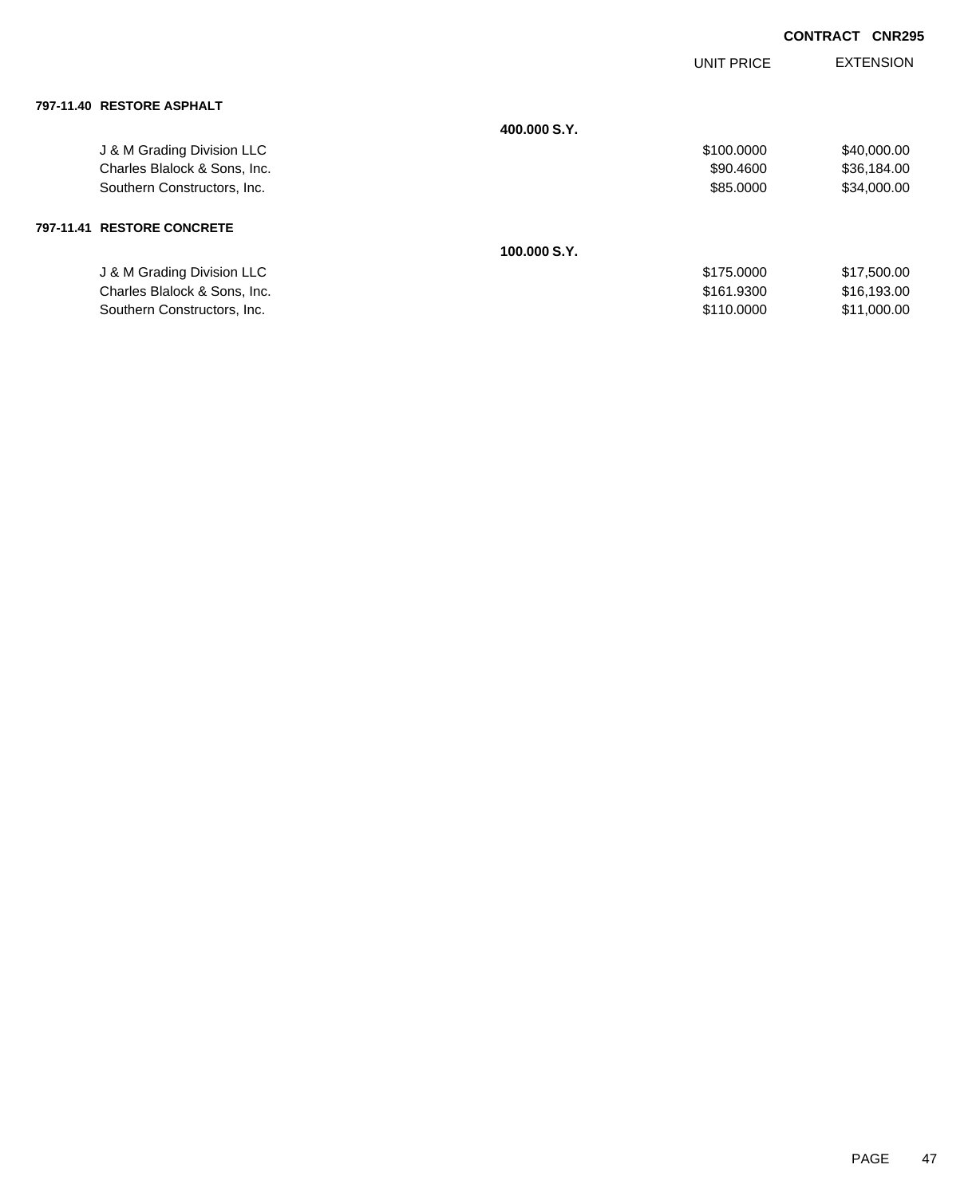|                              |              | <b>UNIT PRICE</b> | <b>EXTENSION</b> |
|------------------------------|--------------|-------------------|------------------|
| 797-11.40 RESTORE ASPHALT    |              |                   |                  |
|                              | 400,000 S.Y. |                   |                  |
| J & M Grading Division LLC   |              | \$100.0000        | \$40,000.00      |
| Charles Blalock & Sons, Inc. |              | \$90.4600         | \$36,184.00      |
| Southern Constructors, Inc.  |              | \$85.0000         | \$34,000.00      |
| 797-11.41 RESTORE CONCRETE   |              |                   |                  |
|                              | 100.000 S.Y. |                   |                  |
| J & M Grading Division LLC   |              | \$175.0000        | \$17,500.00      |
| Charles Blalock & Sons, Inc. |              | \$161.9300        | \$16,193.00      |
| Southern Constructors, Inc.  |              | \$110,0000        | \$11,000.00      |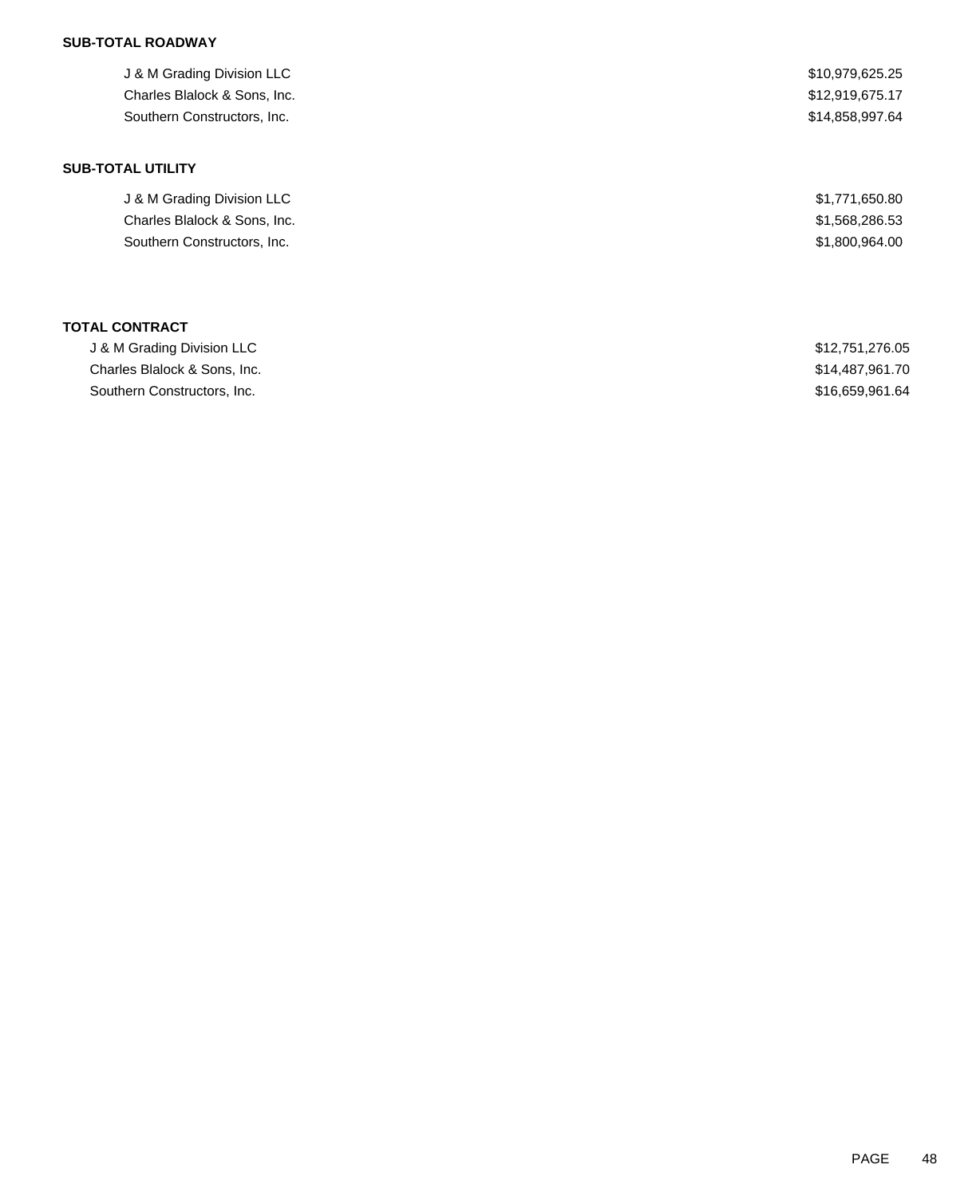# **SUB-TOTAL ROADWAY**

| J & M Grading Division LLC   | \$10,979,625.25 |
|------------------------------|-----------------|
| Charles Blalock & Sons, Inc. | \$12,919,675.17 |
| Southern Constructors, Inc.  | \$14,858,997.64 |
|                              |                 |
| <b>SUB-TOTAL UTILITY</b>     |                 |
| J & M Grading Division LLC   | \$1,771,650.80  |
| Charles Blalock & Sons, Inc. | \$1,568,286.53  |
| Southern Constructors, Inc.  | \$1,800,964.00  |
|                              |                 |
|                              |                 |

|  | <b>TOTAL CONTRACT</b> |
|--|-----------------------|
|--|-----------------------|

| J & M Grading Division LLC   | \$12,751,276.05 |
|------------------------------|-----------------|
| Charles Blalock & Sons, Inc. | \$14,487,961.70 |
| Southern Constructors, Inc.  | \$16,659,961,64 |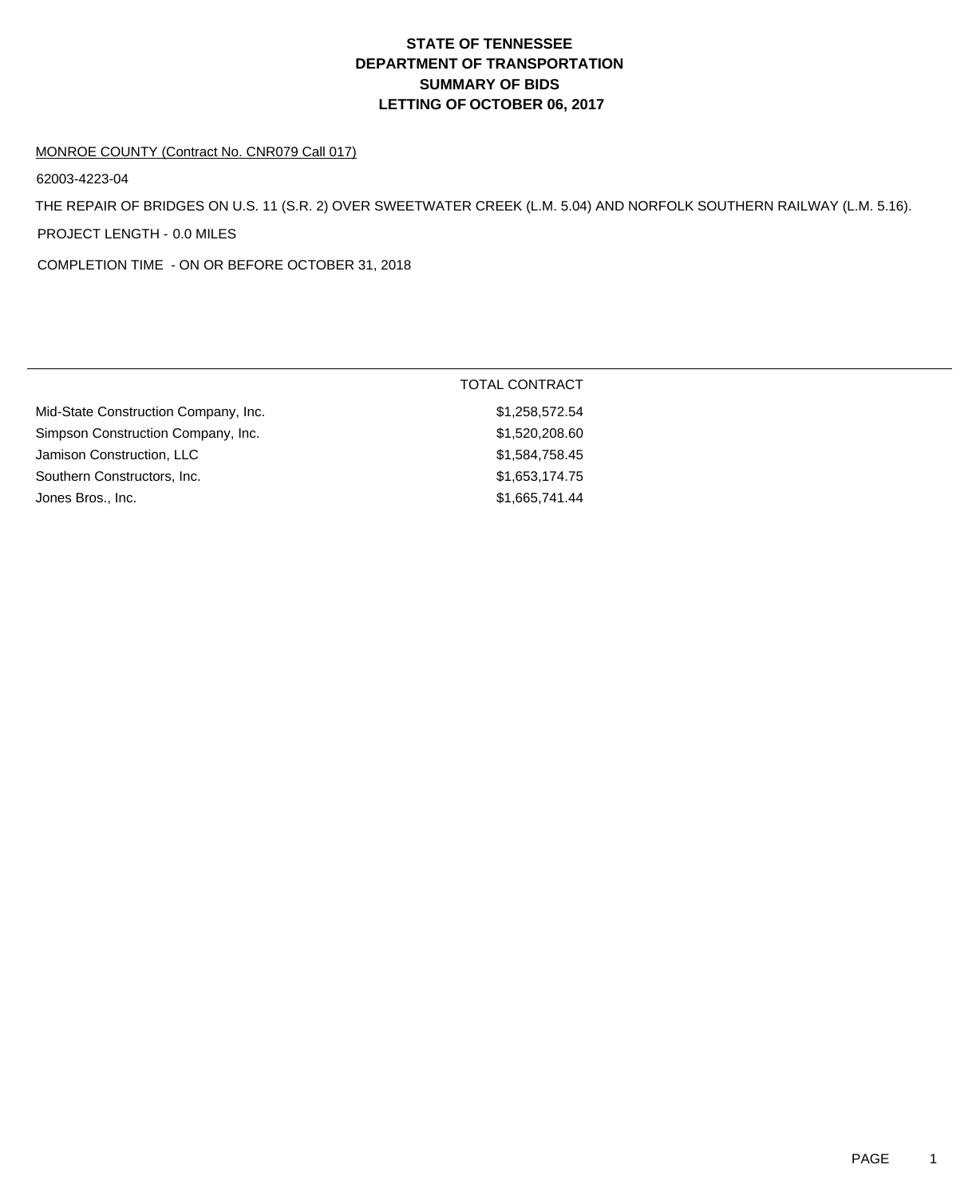# **DEPARTMENT OF TRANSPORTATION SUMMARY OF BIDS LETTING OF OCTOBER 06, 2017 STATE OF TENNESSEE**

#### MONROE COUNTY (Contract No. CNR079 Call 017)

62003-4223-04

THE REPAIR OF BRIDGES ON U.S. 11 (S.R. 2) OVER SWEETWATER CREEK (L.M. 5.04) AND NORFOLK SOUTHERN RAILWAY (L.M. 5.16). PROJECT LENGTH - 0.0 MILES

COMPLETION TIME - ON OR BEFORE OCTOBER 31, 2018

|                                      | <b>TOTAL CONTRACT</b> |
|--------------------------------------|-----------------------|
| Mid-State Construction Company, Inc. | \$1,258,572.54        |
| Simpson Construction Company, Inc.   | \$1,520,208.60        |
| Jamison Construction, LLC            | \$1,584,758.45        |
| Southern Constructors, Inc.          | \$1,653,174.75        |
| Jones Bros., Inc.                    | \$1,665,741.44        |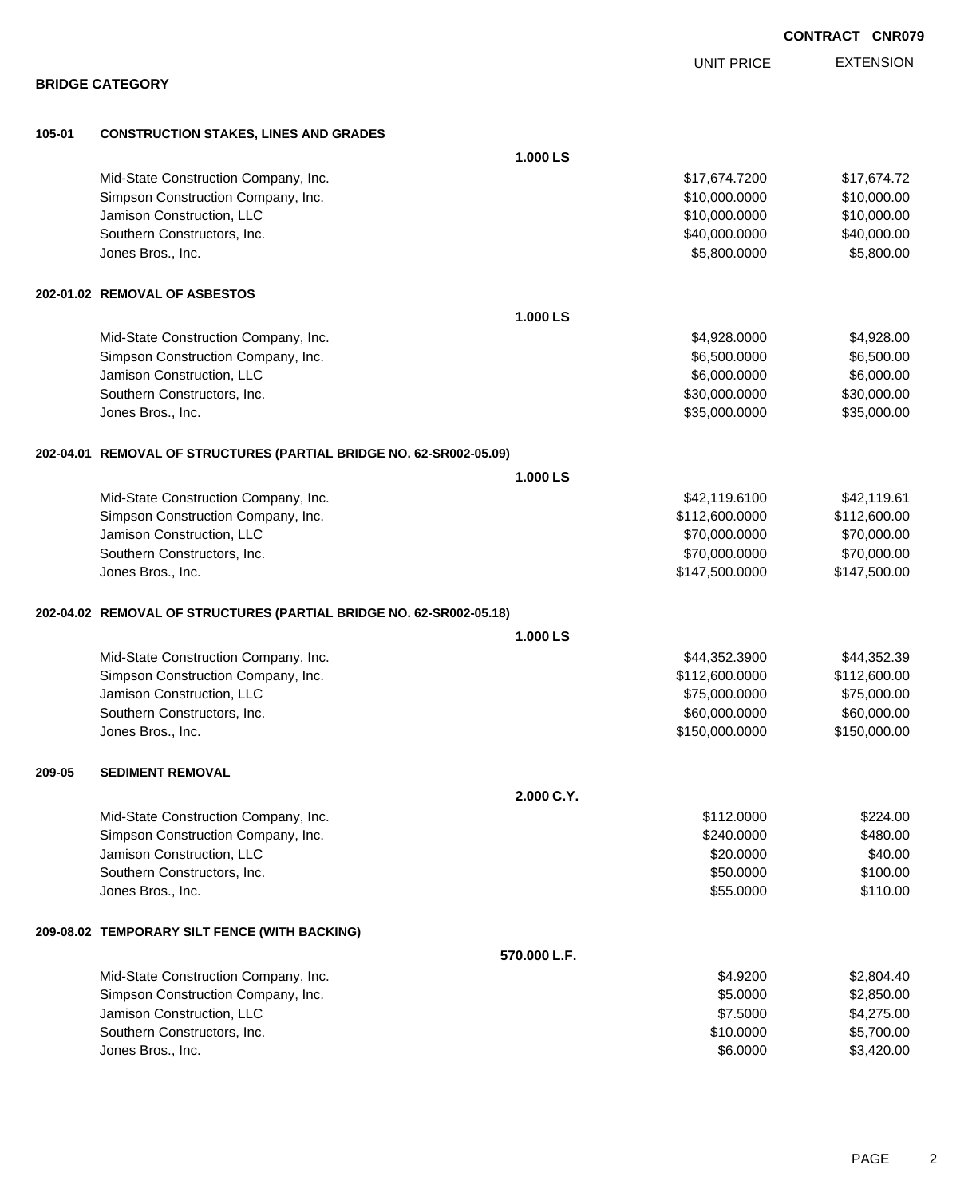|        |                                                                     |              |                   | <b>CONTRACT CNR079</b> |
|--------|---------------------------------------------------------------------|--------------|-------------------|------------------------|
|        |                                                                     |              | <b>UNIT PRICE</b> | <b>EXTENSION</b>       |
|        | <b>BRIDGE CATEGORY</b>                                              |              |                   |                        |
| 105-01 | <b>CONSTRUCTION STAKES, LINES AND GRADES</b>                        |              |                   |                        |
|        |                                                                     | 1.000 LS     |                   |                        |
|        | Mid-State Construction Company, Inc.                                |              | \$17,674.7200     | \$17,674.72            |
|        | Simpson Construction Company, Inc.                                  |              | \$10,000.0000     | \$10,000.00            |
|        | Jamison Construction, LLC                                           |              | \$10,000.0000     | \$10,000.00            |
|        | Southern Constructors, Inc.                                         |              | \$40,000.0000     | \$40,000.00            |
|        | Jones Bros., Inc.                                                   |              | \$5,800.0000      | \$5,800.00             |
|        | 202-01.02 REMOVAL OF ASBESTOS                                       |              |                   |                        |
|        |                                                                     | 1.000 LS     |                   |                        |
|        | Mid-State Construction Company, Inc.                                |              | \$4,928.0000      | \$4,928.00             |
|        | Simpson Construction Company, Inc.                                  |              | \$6,500.0000      | \$6,500.00             |
|        | Jamison Construction, LLC                                           |              | \$6,000.0000      | \$6,000.00             |
|        | Southern Constructors, Inc.                                         |              | \$30,000.0000     | \$30,000.00            |
|        | Jones Bros., Inc.                                                   |              | \$35,000.0000     | \$35,000.00            |
|        | 202-04.01 REMOVAL OF STRUCTURES (PARTIAL BRIDGE NO. 62-SR002-05.09) |              |                   |                        |
|        |                                                                     | 1.000 LS     |                   |                        |
|        | Mid-State Construction Company, Inc.                                |              | \$42,119.6100     | \$42,119.61            |
|        | Simpson Construction Company, Inc.                                  |              | \$112,600.0000    | \$112,600.00           |
|        | Jamison Construction, LLC                                           |              | \$70,000.0000     | \$70,000.00            |
|        | Southern Constructors, Inc.                                         |              | \$70,000.0000     | \$70,000.00            |
|        | Jones Bros., Inc.                                                   |              | \$147,500.0000    | \$147,500.00           |
|        | 202-04.02 REMOVAL OF STRUCTURES (PARTIAL BRIDGE NO. 62-SR002-05.18) |              |                   |                        |
|        |                                                                     | 1.000 LS     |                   |                        |
|        | Mid-State Construction Company, Inc.                                |              | \$44,352.3900     | \$44,352.39            |
|        | Simpson Construction Company, Inc.                                  |              | \$112,600.0000    | \$112,600.00           |
|        | Jamison Construction, LLC                                           |              | \$75,000.0000     | \$75,000.00            |
|        | Southern Constructors, Inc.                                         |              | \$60,000.0000     | \$60,000.00            |
|        | Jones Bros., Inc.                                                   |              | \$150,000.0000    | \$150,000.00           |
| 209-05 | <b>SEDIMENT REMOVAL</b>                                             |              |                   |                        |
|        |                                                                     | 2.000 C.Y.   |                   |                        |
|        | Mid-State Construction Company, Inc.                                |              | \$112.0000        | \$224.00               |
|        | Simpson Construction Company, Inc.                                  |              | \$240.0000        | \$480.00               |
|        | Jamison Construction, LLC                                           |              | \$20.0000         | \$40.00                |
|        | Southern Constructors, Inc.                                         |              | \$50,0000         | \$100.00               |
|        | Jones Bros., Inc.                                                   |              | \$55.0000         | \$110.00               |
|        | 209-08.02 TEMPORARY SILT FENCE (WITH BACKING)                       |              |                   |                        |
|        |                                                                     | 570.000 L.F. |                   |                        |
|        | Mid-State Construction Company, Inc.                                |              | \$4.9200          | \$2,804.40             |
|        | Simpson Construction Company, Inc.                                  |              | \$5.0000          | \$2,850.00             |
|        | Jamison Construction, LLC                                           |              | \$7.5000          | \$4,275.00             |
|        | Southern Constructors, Inc.                                         |              | \$10.0000         | \$5,700.00             |
|        | Jones Bros., Inc.                                                   |              | \$6.0000          | \$3,420.00             |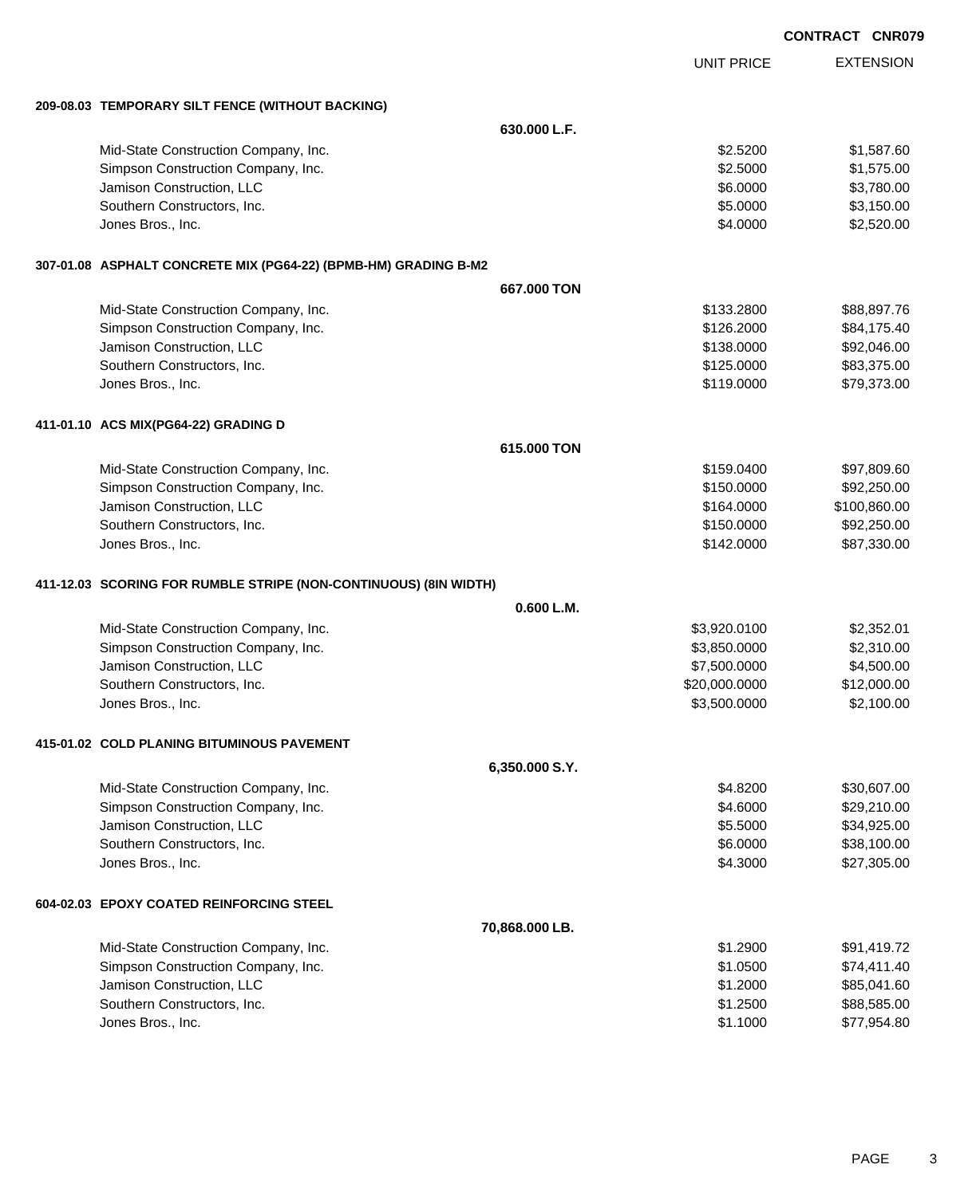|                                                                  |                |                   | <b>CONTRACT CNR079</b> |
|------------------------------------------------------------------|----------------|-------------------|------------------------|
|                                                                  |                | <b>UNIT PRICE</b> | <b>EXTENSION</b>       |
| 209-08.03 TEMPORARY SILT FENCE (WITHOUT BACKING)                 |                |                   |                        |
|                                                                  | 630.000 L.F.   |                   |                        |
| Mid-State Construction Company, Inc.                             |                | \$2.5200          | \$1,587.60             |
| Simpson Construction Company, Inc.                               |                | \$2.5000          | \$1,575.00             |
| Jamison Construction, LLC                                        |                | \$6.0000          | \$3,780.00             |
| Southern Constructors, Inc.                                      |                | \$5.0000          | \$3,150.00             |
| Jones Bros., Inc.                                                |                | \$4.0000          | \$2,520.00             |
| 307-01.08 ASPHALT CONCRETE MIX (PG64-22) (BPMB-HM) GRADING B-M2  |                |                   |                        |
|                                                                  | 667,000 TON    |                   |                        |
| Mid-State Construction Company, Inc.                             |                | \$133.2800        | \$88,897.76            |
| Simpson Construction Company, Inc.                               |                | \$126.2000        | \$84,175.40            |
| Jamison Construction, LLC                                        |                | \$138.0000        | \$92,046.00            |
| Southern Constructors, Inc.                                      |                | \$125.0000        | \$83,375.00            |
| Jones Bros., Inc.                                                |                | \$119.0000        | \$79,373.00            |
| 411-01.10 ACS MIX(PG64-22) GRADING D                             |                |                   |                        |
|                                                                  | 615,000 TON    |                   |                        |
| Mid-State Construction Company, Inc.                             |                | \$159.0400        | \$97,809.60            |
| Simpson Construction Company, Inc.                               |                | \$150.0000        | \$92,250.00            |
| Jamison Construction, LLC                                        |                | \$164.0000        | \$100,860.00           |
| Southern Constructors, Inc.                                      |                | \$150.0000        | \$92,250.00            |
| Jones Bros., Inc.                                                |                | \$142.0000        | \$87,330.00            |
| 411-12.03 SCORING FOR RUMBLE STRIPE (NON-CONTINUOUS) (8IN WIDTH) |                |                   |                        |
|                                                                  | 0.600 L.M.     |                   |                        |
| Mid-State Construction Company, Inc.                             |                | \$3,920.0100      | \$2,352.01             |
| Simpson Construction Company, Inc.                               |                | \$3,850.0000      | \$2,310.00             |
| Jamison Construction, LLC                                        |                | \$7,500.0000      | \$4,500.00             |
| Southern Constructors, Inc.                                      |                | \$20,000.0000     | \$12,000.00            |
| Jones Bros., Inc.                                                |                | \$3,500.0000      | \$2,100.00             |
| 415-01.02 COLD PLANING BITUMINOUS PAVEMENT                       |                |                   |                        |
|                                                                  | 6,350.000 S.Y. |                   |                        |
| Mid-State Construction Company, Inc.                             |                | \$4.8200          | \$30,607.00            |
| Simpson Construction Company, Inc.                               |                | \$4.6000          | \$29,210.00            |
| Jamison Construction, LLC                                        |                | \$5.5000          | \$34,925.00            |
| Southern Constructors, Inc.                                      |                | \$6.0000          | \$38,100.00            |
| Jones Bros., Inc.                                                |                | \$4.3000          | \$27,305.00            |
| 604-02.03 EPOXY COATED REINFORCING STEEL                         |                |                   |                        |
|                                                                  | 70,868.000 LB. |                   |                        |
| Mid-State Construction Company, Inc.                             |                | \$1.2900          | \$91,419.72            |
| Simpson Construction Company, Inc.                               |                | \$1.0500          | \$74,411.40            |
| Jamison Construction, LLC                                        |                | \$1.2000          | \$85,041.60            |
| Southern Constructors, Inc.                                      |                | \$1.2500          | \$88,585.00            |
| Jones Bros., Inc.                                                |                | \$1.1000          | \$77,954.80            |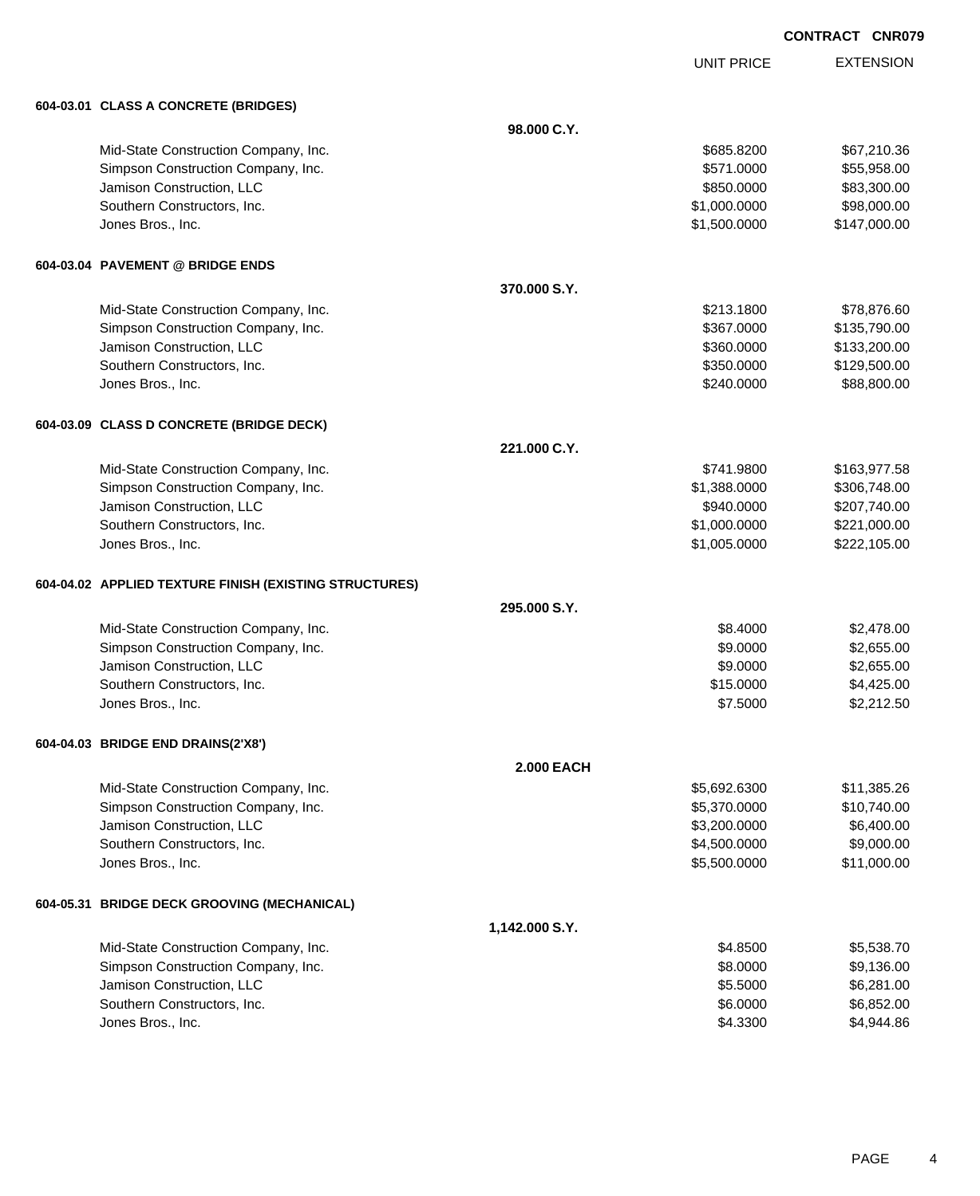UNIT PRICE EXTENSION

|           | 604-03.01 CLASS A CONCRETE (BRIDGES)                   |                   |              |              |
|-----------|--------------------------------------------------------|-------------------|--------------|--------------|
|           |                                                        | 98.000 C.Y.       |              |              |
|           | Mid-State Construction Company, Inc.                   |                   | \$685.8200   | \$67,210.36  |
|           | Simpson Construction Company, Inc.                     |                   | \$571.0000   | \$55,958.00  |
|           | Jamison Construction, LLC                              |                   | \$850.0000   | \$83,300.00  |
|           | Southern Constructors, Inc.                            |                   | \$1,000.0000 | \$98,000.00  |
|           | Jones Bros., Inc.                                      |                   | \$1,500.0000 | \$147,000.00 |
|           | 604-03.04 PAVEMENT @ BRIDGE ENDS                       |                   |              |              |
|           |                                                        | 370.000 S.Y.      |              |              |
|           | Mid-State Construction Company, Inc.                   |                   | \$213.1800   | \$78,876.60  |
|           | Simpson Construction Company, Inc.                     |                   | \$367.0000   | \$135,790.00 |
|           | Jamison Construction, LLC                              |                   | \$360.0000   | \$133,200.00 |
|           | Southern Constructors, Inc.                            |                   | \$350.0000   | \$129,500.00 |
|           | Jones Bros., Inc.                                      |                   | \$240.0000   | \$88,800.00  |
|           | 604-03.09 CLASS D CONCRETE (BRIDGE DECK)               |                   |              |              |
|           |                                                        | 221.000 C.Y.      |              |              |
|           | Mid-State Construction Company, Inc.                   |                   | \$741.9800   | \$163,977.58 |
|           | Simpson Construction Company, Inc.                     |                   | \$1,388.0000 | \$306,748.00 |
|           | Jamison Construction, LLC                              |                   | \$940.0000   | \$207,740.00 |
|           | Southern Constructors, Inc.                            |                   | \$1,000.0000 | \$221,000.00 |
|           | Jones Bros., Inc.                                      |                   | \$1,005.0000 | \$222,105.00 |
|           | 604-04.02 APPLIED TEXTURE FINISH (EXISTING STRUCTURES) |                   |              |              |
|           |                                                        | 295,000 S.Y.      |              |              |
|           | Mid-State Construction Company, Inc.                   |                   | \$8.4000     | \$2,478.00   |
|           | Simpson Construction Company, Inc.                     |                   | \$9.0000     | \$2,655.00   |
|           | Jamison Construction, LLC                              |                   | \$9.0000     | \$2,655.00   |
|           | Southern Constructors, Inc.                            |                   | \$15.0000    | \$4,425.00   |
|           | Jones Bros., Inc.                                      |                   | \$7.5000     | \$2,212.50   |
|           | 604-04.03 BRIDGE END DRAINS(2'X8')                     |                   |              |              |
|           |                                                        | <b>2.000 EACH</b> |              |              |
|           | Mid-State Construction Company, Inc.                   |                   | \$5,692.6300 | \$11,385.26  |
|           | Simpson Construction Company, Inc.                     |                   | \$5,370.0000 | \$10,740.00  |
|           | Jamison Construction, LLC                              |                   | \$3,200.0000 | \$6,400.00   |
|           | Southern Constructors, Inc.                            |                   | \$4,500.0000 | \$9,000.00   |
|           | Jones Bros., Inc.                                      |                   | \$5,500.0000 | \$11,000.00  |
| 604-05.31 | <b>BRIDGE DECK GROOVING (MECHANICAL)</b>               |                   |              |              |
|           |                                                        | 1,142.000 S.Y.    |              |              |
|           | Mid-State Construction Company, Inc.                   |                   | \$4.8500     | \$5,538.70   |
|           | Simpson Construction Company, Inc.                     |                   | \$8.0000     | \$9,136.00   |
|           | Jamison Construction, LLC                              |                   | \$5.5000     | \$6,281.00   |
|           | Southern Constructors, Inc.                            |                   | \$6.0000     | \$6,852.00   |
|           | Jones Bros., Inc.                                      |                   | \$4.3300     | \$4,944.86   |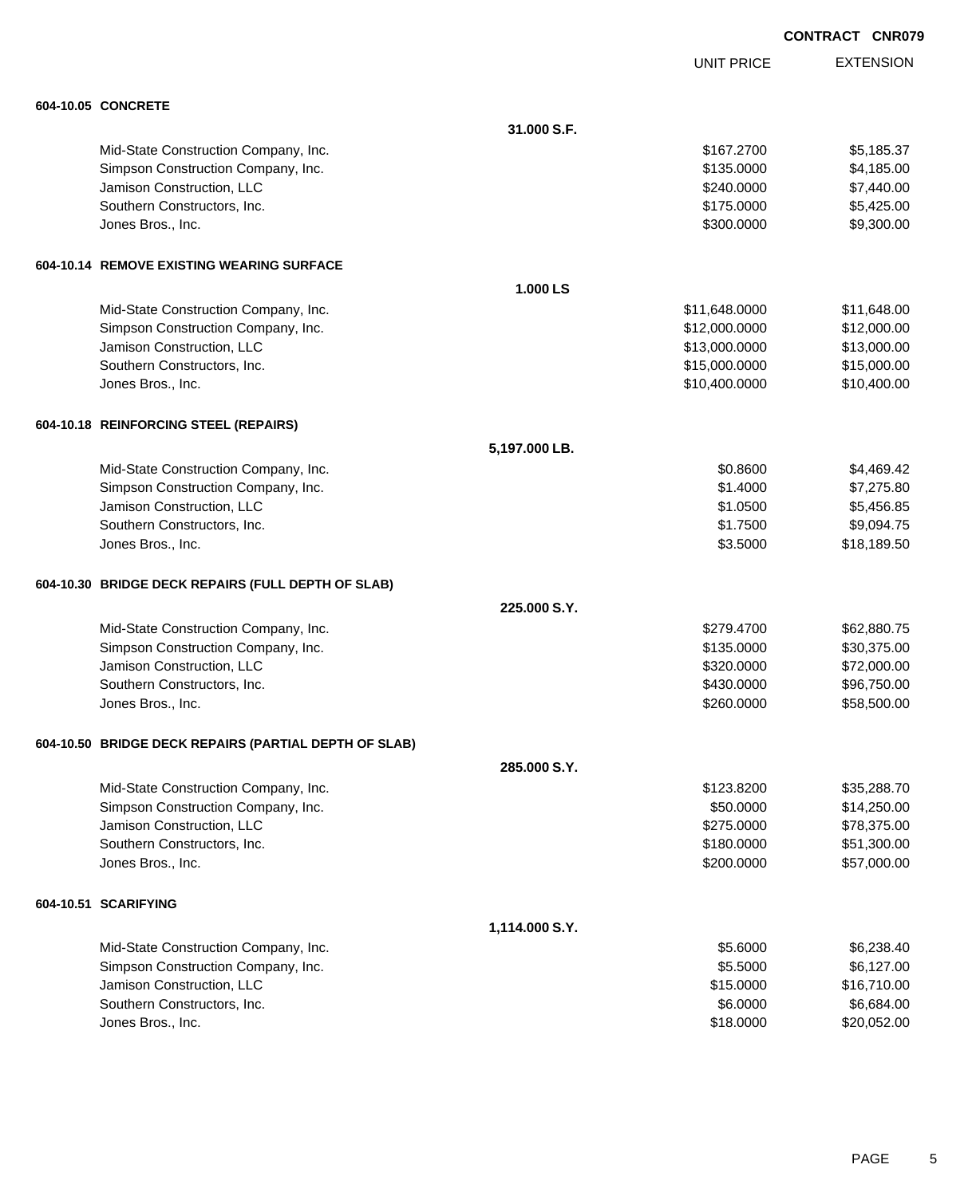UNIT PRICE EXTENSION

| 604-10.05 CONCRETE |
|--------------------|

| <b>604-10.05 CONCRETE</b>                             |                |               |             |
|-------------------------------------------------------|----------------|---------------|-------------|
|                                                       | 31.000 S.F.    |               |             |
| Mid-State Construction Company, Inc.                  |                | \$167.2700    | \$5,185.37  |
| Simpson Construction Company, Inc.                    |                | \$135.0000    | \$4,185.00  |
| Jamison Construction, LLC                             |                | \$240.0000    | \$7,440.00  |
| Southern Constructors, Inc.                           |                | \$175.0000    | \$5,425.00  |
| Jones Bros., Inc.                                     |                | \$300.0000    | \$9,300.00  |
| 604-10.14 REMOVE EXISTING WEARING SURFACE             |                |               |             |
|                                                       | 1.000 LS       |               |             |
| Mid-State Construction Company, Inc.                  |                | \$11,648.0000 | \$11,648.00 |
| Simpson Construction Company, Inc.                    |                | \$12,000.0000 | \$12,000.00 |
| Jamison Construction, LLC                             |                | \$13,000.0000 | \$13,000.00 |
| Southern Constructors, Inc.                           |                | \$15,000.0000 | \$15,000.00 |
| Jones Bros., Inc.                                     |                | \$10,400.0000 | \$10,400.00 |
| 604-10.18 REINFORCING STEEL (REPAIRS)                 |                |               |             |
|                                                       | 5,197.000 LB.  |               |             |
| Mid-State Construction Company, Inc.                  |                | \$0.8600      | \$4,469.42  |
| Simpson Construction Company, Inc.                    |                | \$1.4000      | \$7,275.80  |
| Jamison Construction, LLC                             |                | \$1.0500      | \$5,456.85  |
| Southern Constructors, Inc.                           |                | \$1.7500      | \$9,094.75  |
| Jones Bros., Inc.                                     |                | \$3.5000      | \$18,189.50 |
| 604-10.30 BRIDGE DECK REPAIRS (FULL DEPTH OF SLAB)    |                |               |             |
|                                                       | 225,000 S.Y.   |               |             |
| Mid-State Construction Company, Inc.                  |                | \$279.4700    | \$62,880.75 |
| Simpson Construction Company, Inc.                    |                | \$135.0000    | \$30,375.00 |
| Jamison Construction, LLC                             |                | \$320.0000    | \$72,000.00 |
| Southern Constructors, Inc.                           |                | \$430.0000    | \$96,750.00 |
| Jones Bros., Inc.                                     |                | \$260.0000    | \$58,500.00 |
| 604-10.50 BRIDGE DECK REPAIRS (PARTIAL DEPTH OF SLAB) |                |               |             |
|                                                       | 285.000 S.Y.   |               |             |
| Mid-State Construction Company, Inc.                  |                | \$123.8200    | \$35,288.70 |
| Simpson Construction Company, Inc.                    |                | \$50.0000     | \$14,250.00 |
| Jamison Construction, LLC                             |                | \$275.0000    | \$78,375.00 |
| Southern Constructors, Inc.                           |                | \$180.0000    | \$51,300.00 |
| Jones Bros., Inc.                                     |                | \$200.0000    | \$57,000.00 |
| 604-10.51 SCARIFYING                                  |                |               |             |
|                                                       | 1,114.000 S.Y. |               |             |
| Mid-State Construction Company, Inc.                  |                | \$5.6000      | \$6,238.40  |
| Simpson Construction Company, Inc.                    |                | \$5.5000      | \$6,127.00  |
| Jamison Construction, LLC                             |                | \$15.0000     | \$16,710.00 |
| Southern Constructors, Inc.                           |                | \$6.0000      | \$6,684.00  |
| Jones Bros., Inc.                                     |                | \$18.0000     | \$20,052.00 |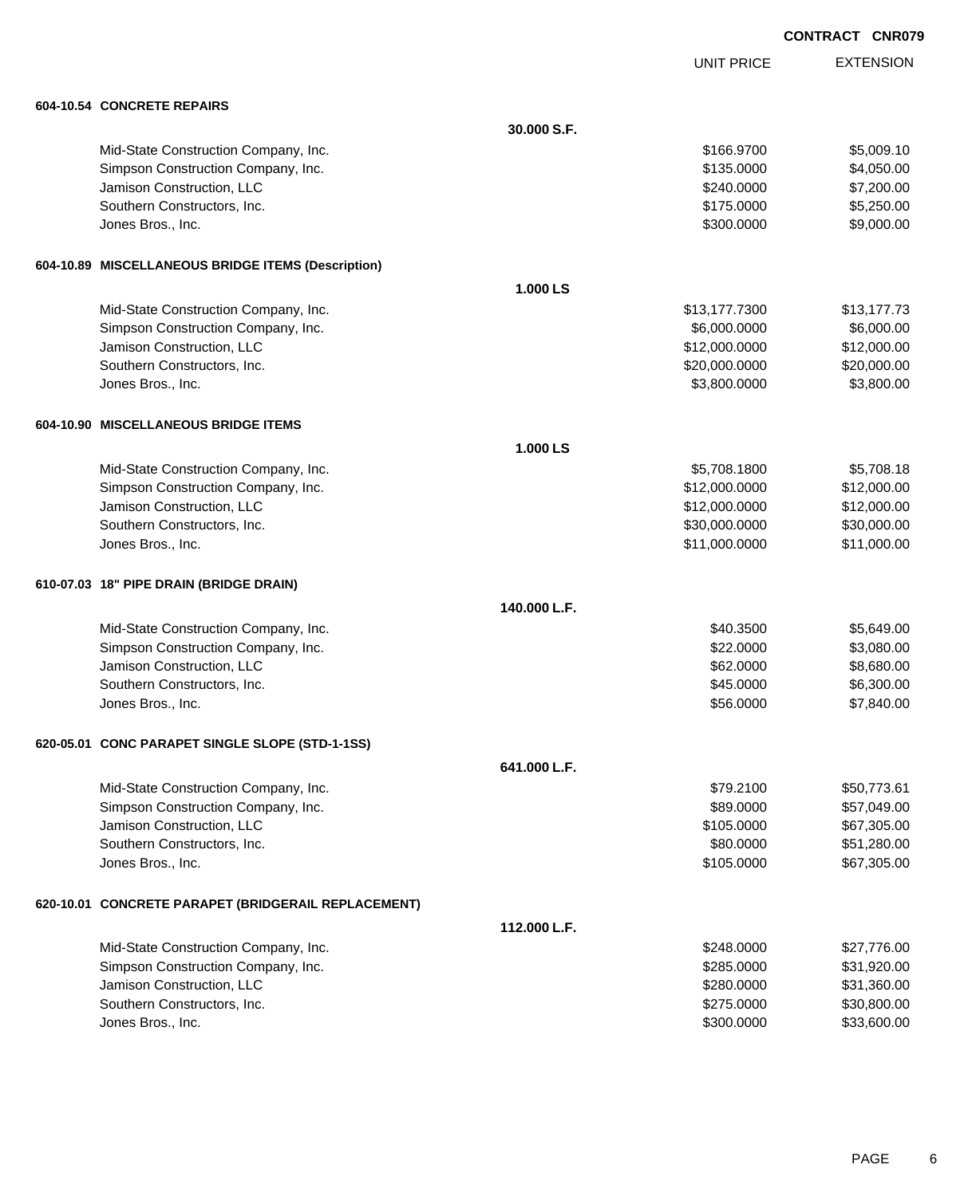UNIT PRICE

EXTENSION

| 604-10.54 CONCRETE REPAIRS                          |              |               |             |
|-----------------------------------------------------|--------------|---------------|-------------|
|                                                     | 30,000 S.F.  |               |             |
| Mid-State Construction Company, Inc.                |              | \$166,9700    | \$5,009.10  |
| Simpson Construction Company, Inc.                  |              | \$135.0000    | \$4,050.00  |
| Jamison Construction, LLC                           |              | \$240.0000    | \$7,200.00  |
| Southern Constructors, Inc.                         |              | \$175.0000    | \$5,250.00  |
| Jones Bros., Inc.                                   |              | \$300.0000    | \$9,000.00  |
| 604-10.89 MISCELLANEOUS BRIDGE ITEMS (Description)  |              |               |             |
|                                                     | 1.000 LS     |               |             |
| Mid-State Construction Company, Inc.                |              | \$13,177.7300 | \$13,177.73 |
| Simpson Construction Company, Inc.                  |              | \$6,000.0000  | \$6,000.00  |
| Jamison Construction, LLC                           |              | \$12,000.0000 | \$12,000.00 |
| Southern Constructors, Inc.                         |              | \$20,000.0000 | \$20,000.00 |
| Jones Bros., Inc.                                   |              | \$3,800.0000  | \$3,800.00  |
| 604-10.90 MISCELLANEOUS BRIDGE ITEMS                |              |               |             |
|                                                     | 1.000 LS     |               |             |
| Mid-State Construction Company, Inc.                |              | \$5,708.1800  | \$5,708.18  |
| Simpson Construction Company, Inc.                  |              | \$12,000.0000 | \$12,000.00 |
| Jamison Construction, LLC                           |              | \$12,000.0000 | \$12,000.00 |
| Southern Constructors, Inc.                         |              | \$30,000.0000 | \$30,000.00 |
| Jones Bros., Inc.                                   |              | \$11,000.0000 | \$11,000.00 |
| 610-07.03 18" PIPE DRAIN (BRIDGE DRAIN)             |              |               |             |
|                                                     | 140.000 L.F. |               |             |
| Mid-State Construction Company, Inc.                |              | \$40.3500     | \$5,649.00  |
| Simpson Construction Company, Inc.                  |              | \$22.0000     | \$3,080.00  |
| Jamison Construction, LLC                           |              | \$62.0000     | \$8,680.00  |
| Southern Constructors, Inc.                         |              | \$45.0000     | \$6,300.00  |
| Jones Bros., Inc.                                   |              | \$56.0000     | \$7,840.00  |
| 620-05.01 CONC PARAPET SINGLE SLOPE (STD-1-1SS)     |              |               |             |
|                                                     | 641.000 L.F. |               |             |
| Mid-State Construction Company, Inc.                |              | \$79.2100     | \$50,773.61 |
| Simpson Construction Company, Inc.                  |              | \$89.0000     | \$57,049.00 |
| Jamison Construction, LLC                           |              | \$105.0000    | \$67,305.00 |
| Southern Constructors, Inc.                         |              | \$80.0000     | \$51,280.00 |
| Jones Bros., Inc.                                   |              | \$105.0000    | \$67,305.00 |
| 620-10.01 CONCRETE PARAPET (BRIDGERAIL REPLACEMENT) |              |               |             |
|                                                     | 112.000 L.F. |               |             |
| Mid-State Construction Company, Inc.                |              | \$248.0000    | \$27,776.00 |
| Simpson Construction Company, Inc.                  |              | \$285.0000    | \$31,920.00 |
| Jamison Construction, LLC                           |              | \$280.0000    | \$31,360.00 |
| Southern Constructors, Inc.                         |              | \$275.0000    | \$30,800.00 |
| Jones Bros., Inc.                                   |              | \$300.0000    | \$33,600.00 |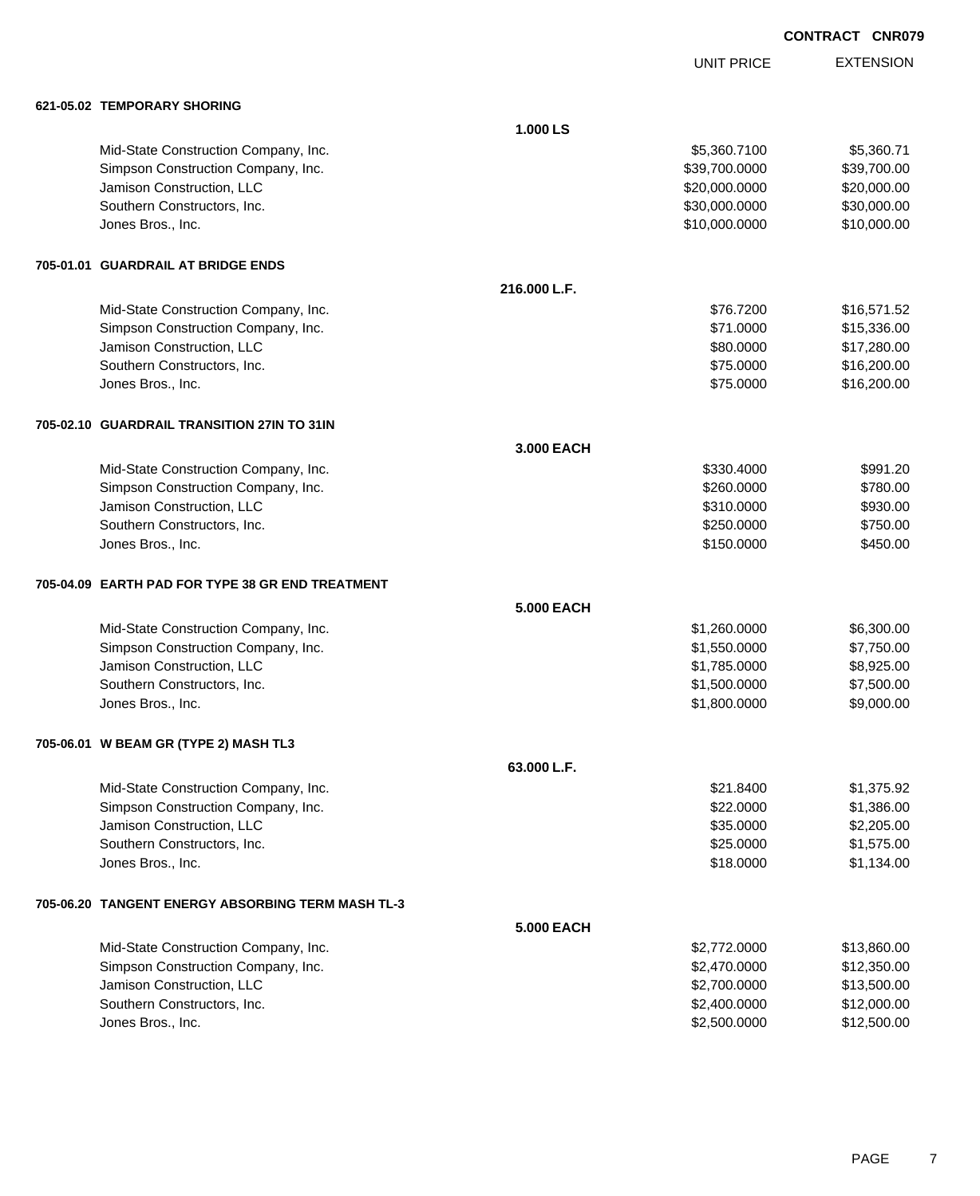UNIT PRICE EXTENSION

| 621-05.02 TEMPORARY SHORING |  |
|-----------------------------|--|
|                             |  |

| 621-05.02 TEMPORARY SHORING                       |                   |               |             |
|---------------------------------------------------|-------------------|---------------|-------------|
|                                                   | 1.000 LS          |               |             |
| Mid-State Construction Company, Inc.              |                   | \$5,360.7100  | \$5,360.71  |
| Simpson Construction Company, Inc.                |                   | \$39,700.0000 | \$39,700.00 |
| Jamison Construction, LLC                         |                   | \$20,000.0000 | \$20,000.00 |
| Southern Constructors, Inc.                       |                   | \$30,000.0000 | \$30,000.00 |
| Jones Bros., Inc.                                 |                   | \$10,000.0000 | \$10,000.00 |
| 705-01.01 GUARDRAIL AT BRIDGE ENDS                |                   |               |             |
|                                                   | 216.000 L.F.      |               |             |
| Mid-State Construction Company, Inc.              |                   | \$76.7200     | \$16,571.52 |
| Simpson Construction Company, Inc.                |                   | \$71.0000     | \$15,336.00 |
| Jamison Construction, LLC                         |                   | \$80.0000     | \$17,280.00 |
| Southern Constructors, Inc.                       |                   | \$75.0000     | \$16,200.00 |
| Jones Bros., Inc.                                 |                   | \$75.0000     | \$16,200.00 |
| 705-02.10 GUARDRAIL TRANSITION 27IN TO 31IN       |                   |               |             |
|                                                   | 3.000 EACH        |               |             |
| Mid-State Construction Company, Inc.              |                   | \$330.4000    | \$991.20    |
| Simpson Construction Company, Inc.                |                   | \$260.0000    | \$780.00    |
| Jamison Construction, LLC                         |                   | \$310.0000    | \$930.00    |
| Southern Constructors, Inc.                       |                   | \$250.0000    | \$750.00    |
| Jones Bros., Inc.                                 |                   | \$150.0000    | \$450.00    |
| 705-04.09 EARTH PAD FOR TYPE 38 GR END TREATMENT  |                   |               |             |
|                                                   | <b>5.000 EACH</b> |               |             |
| Mid-State Construction Company, Inc.              |                   | \$1,260.0000  | \$6,300.00  |
| Simpson Construction Company, Inc.                |                   | \$1,550.0000  | \$7,750.00  |
| Jamison Construction, LLC                         |                   | \$1,785.0000  | \$8,925.00  |
| Southern Constructors, Inc.                       |                   | \$1,500.0000  | \$7,500.00  |
| Jones Bros., Inc.                                 |                   | \$1,800.0000  | \$9,000.00  |
| 705-06.01 W BEAM GR (TYPE 2) MASH TL3             |                   |               |             |
|                                                   | 63.000 L.F.       |               |             |
| Mid-State Construction Company, Inc.              |                   | \$21.8400     | \$1,375.92  |
| Simpson Construction Company, Inc.                |                   | \$22.0000     | \$1,386.00  |
| Jamison Construction, LLC                         |                   | \$35.0000     | \$2,205.00  |
| Southern Constructors, Inc.                       |                   | \$25.0000     | \$1,575.00  |
| Jones Bros., Inc.                                 |                   | \$18.0000     | \$1,134.00  |
| 705-06.20 TANGENT ENERGY ABSORBING TERM MASH TL-3 |                   |               |             |
|                                                   | <b>5.000 EACH</b> |               |             |
| Mid-State Construction Company, Inc.              |                   | \$2,772.0000  | \$13,860.00 |
| Simpson Construction Company, Inc.                |                   | \$2,470.0000  | \$12,350.00 |
| Jamison Construction, LLC                         |                   | \$2,700.0000  | \$13,500.00 |
| Southern Constructors, Inc.                       |                   | \$2,400.0000  | \$12,000.00 |
| Jones Bros., Inc.                                 |                   | \$2,500.0000  | \$12,500.00 |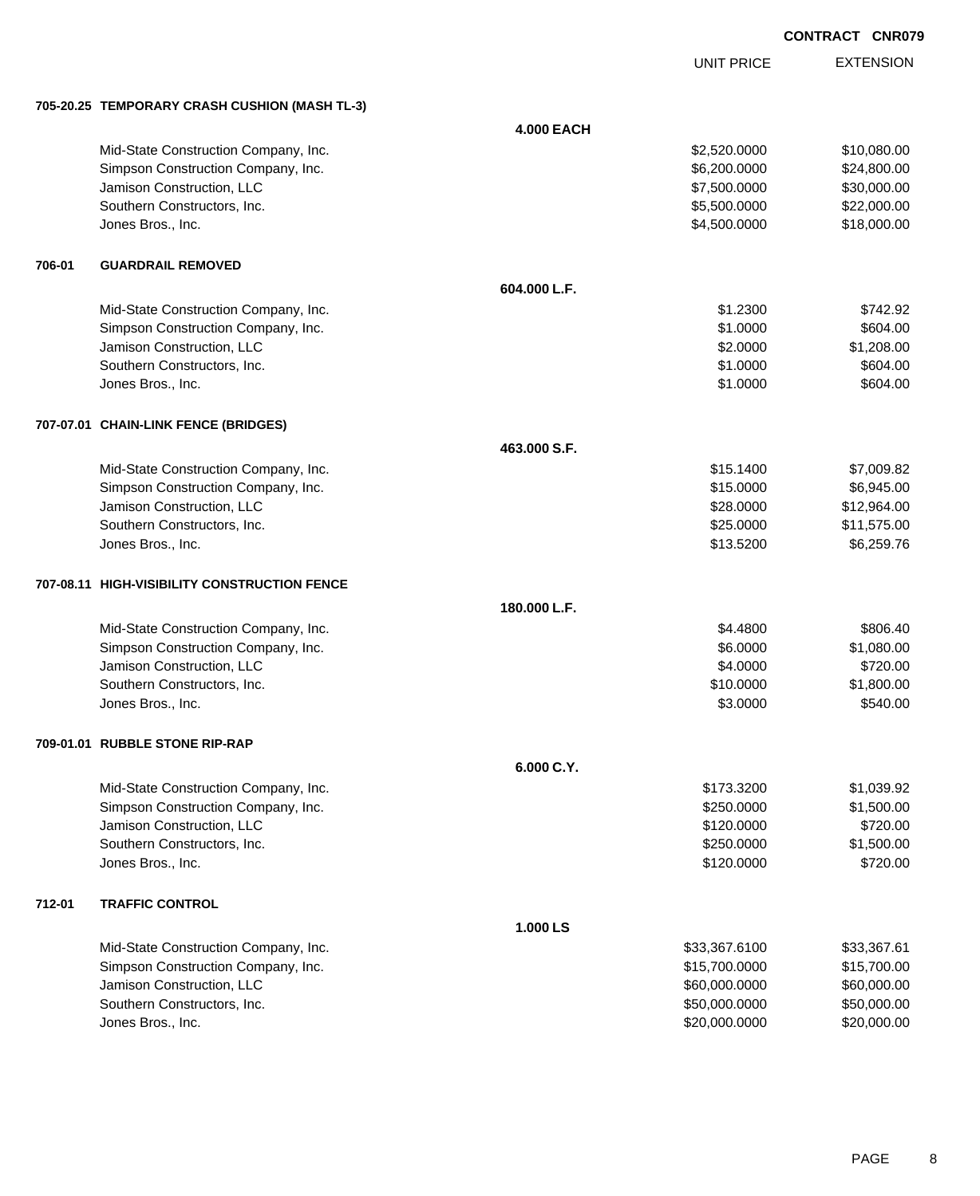UNIT PRICE

EXTENSION

|        | 705-20.25 TEMPORARY CRASH CUSHION (MASH TL-3) |                   |               |             |
|--------|-----------------------------------------------|-------------------|---------------|-------------|
|        |                                               | <b>4.000 EACH</b> |               |             |
|        | Mid-State Construction Company, Inc.          |                   | \$2,520.0000  | \$10,080.00 |
|        | Simpson Construction Company, Inc.            |                   | \$6,200.0000  | \$24,800.00 |
|        | Jamison Construction, LLC                     |                   | \$7,500.0000  | \$30,000.00 |
|        | Southern Constructors, Inc.                   |                   | \$5,500.0000  | \$22,000.00 |
|        | Jones Bros., Inc.                             |                   | \$4,500.0000  | \$18,000.00 |
| 706-01 | <b>GUARDRAIL REMOVED</b>                      |                   |               |             |
|        |                                               | 604.000 L.F.      |               |             |
|        | Mid-State Construction Company, Inc.          |                   | \$1.2300      | \$742.92    |
|        | Simpson Construction Company, Inc.            |                   | \$1.0000      | \$604.00    |
|        | Jamison Construction, LLC                     |                   | \$2.0000      | \$1,208.00  |
|        | Southern Constructors, Inc.                   |                   | \$1.0000      | \$604.00    |
|        | Jones Bros., Inc.                             |                   | \$1.0000      | \$604.00    |
|        | 707-07.01 CHAIN-LINK FENCE (BRIDGES)          |                   |               |             |
|        |                                               | 463.000 S.F.      |               |             |
|        | Mid-State Construction Company, Inc.          |                   | \$15.1400     | \$7,009.82  |
|        | Simpson Construction Company, Inc.            |                   | \$15.0000     | \$6,945.00  |
|        | Jamison Construction, LLC                     |                   | \$28.0000     | \$12,964.00 |
|        | Southern Constructors, Inc.                   |                   | \$25.0000     | \$11,575.00 |
|        | Jones Bros., Inc.                             |                   | \$13.5200     | \$6,259.76  |
|        | 707-08.11 HIGH-VISIBILITY CONSTRUCTION FENCE  |                   |               |             |
|        |                                               | 180.000 L.F.      |               |             |
|        | Mid-State Construction Company, Inc.          |                   | \$4.4800      | \$806.40    |
|        | Simpson Construction Company, Inc.            |                   | \$6.0000      | \$1,080.00  |
|        | Jamison Construction, LLC                     |                   | \$4.0000      | \$720.00    |
|        | Southern Constructors, Inc.                   |                   | \$10.0000     | \$1,800.00  |
|        | Jones Bros., Inc.                             |                   | \$3.0000      | \$540.00    |
|        | 709-01.01 RUBBLE STONE RIP-RAP                |                   |               |             |
|        |                                               | 6.000 C.Y.        |               |             |
|        | Mid-State Construction Company, Inc.          |                   | \$173.3200    | \$1,039.92  |
|        | Simpson Construction Company, Inc.            |                   | \$250.0000    | \$1,500.00  |
|        | Jamison Construction, LLC                     |                   | \$120.0000    | \$720.00    |
|        | Southern Constructors, Inc.                   |                   | \$250.0000    | \$1,500.00  |
|        | Jones Bros., Inc.                             |                   | \$120.0000    | \$720.00    |
| 712-01 | <b>TRAFFIC CONTROL</b>                        |                   |               |             |
|        |                                               | 1.000 LS          |               |             |
|        | Mid-State Construction Company, Inc.          |                   | \$33,367.6100 | \$33,367.61 |
|        | Simpson Construction Company, Inc.            |                   | \$15,700.0000 | \$15,700.00 |
|        | Jamison Construction, LLC                     |                   | \$60,000.0000 | \$60,000.00 |
|        | Southern Constructors, Inc.                   |                   | \$50,000.0000 | \$50,000.00 |
|        | Jones Bros., Inc.                             |                   | \$20,000.0000 | \$20,000.00 |

PAGE 8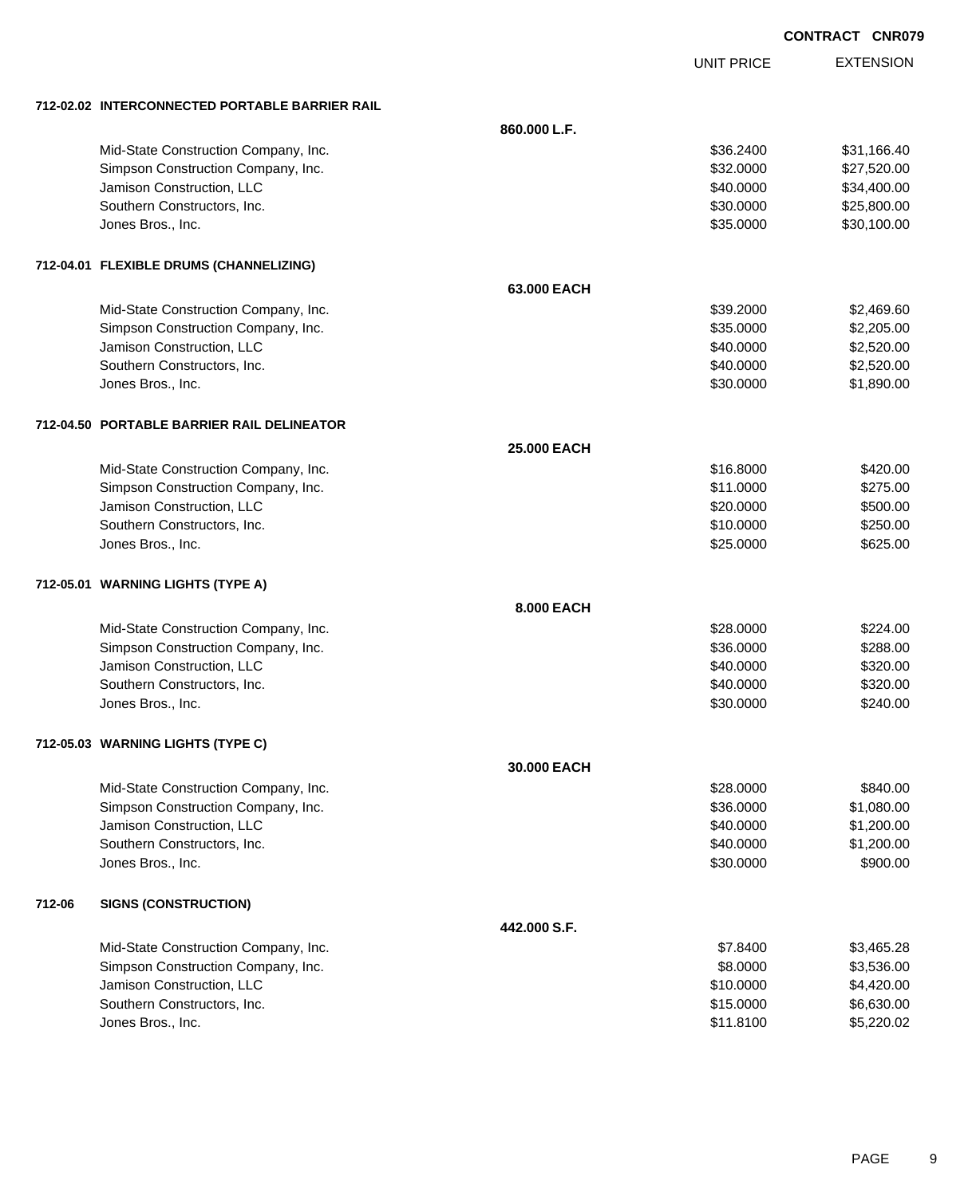EXTENSION **CONTRACT CNR079**

UNIT PRICE

|        | 712-02.02 INTERCONNECTED PORTABLE BARRIER RAIL |                    |           |             |
|--------|------------------------------------------------|--------------------|-----------|-------------|
|        |                                                | 860.000 L.F.       |           |             |
|        | Mid-State Construction Company, Inc.           |                    | \$36.2400 | \$31,166.40 |
|        | Simpson Construction Company, Inc.             |                    | \$32.0000 | \$27,520.00 |
|        | Jamison Construction, LLC                      |                    | \$40.0000 | \$34,400.00 |
|        | Southern Constructors, Inc.                    |                    | \$30.0000 | \$25,800.00 |
|        | Jones Bros., Inc.                              |                    | \$35.0000 | \$30,100.00 |
|        | 712-04.01 FLEXIBLE DRUMS (CHANNELIZING)        |                    |           |             |
|        |                                                | 63.000 EACH        |           |             |
|        | Mid-State Construction Company, Inc.           |                    | \$39,2000 | \$2,469.60  |
|        | Simpson Construction Company, Inc.             |                    | \$35.0000 | \$2,205.00  |
|        | Jamison Construction, LLC                      |                    | \$40.0000 | \$2,520.00  |
|        | Southern Constructors, Inc.                    |                    | \$40.0000 | \$2,520.00  |
|        | Jones Bros., Inc.                              |                    | \$30.0000 | \$1,890.00  |
|        | 712-04.50 PORTABLE BARRIER RAIL DELINEATOR     |                    |           |             |
|        |                                                | <b>25.000 EACH</b> |           |             |
|        | Mid-State Construction Company, Inc.           |                    | \$16.8000 | \$420.00    |
|        | Simpson Construction Company, Inc.             |                    | \$11.0000 | \$275.00    |
|        | Jamison Construction, LLC                      |                    | \$20.0000 | \$500.00    |
|        | Southern Constructors, Inc.                    |                    | \$10.0000 | \$250.00    |
|        | Jones Bros., Inc.                              |                    | \$25.0000 | \$625.00    |
|        | 712-05.01 WARNING LIGHTS (TYPE A)              |                    |           |             |
|        |                                                | 8.000 EACH         |           |             |
|        | Mid-State Construction Company, Inc.           |                    | \$28.0000 | \$224.00    |
|        | Simpson Construction Company, Inc.             |                    | \$36.0000 | \$288.00    |
|        | Jamison Construction, LLC                      |                    | \$40.0000 | \$320.00    |
|        | Southern Constructors, Inc.                    |                    | \$40.0000 | \$320.00    |
|        | Jones Bros., Inc.                              |                    | \$30.0000 | \$240.00    |
|        | 712-05.03 WARNING LIGHTS (TYPE C)              |                    |           |             |
|        |                                                | 30,000 EACH        |           |             |
|        | Mid-State Construction Company, Inc.           |                    | \$28.0000 | \$840.00    |
|        | Simpson Construction Company, Inc.             |                    | \$36.0000 | \$1,080.00  |
|        | Jamison Construction, LLC                      |                    | \$40.0000 | \$1,200.00  |
|        | Southern Constructors, Inc.                    |                    | \$40.0000 | \$1,200.00  |
|        | Jones Bros., Inc.                              |                    | \$30.0000 | \$900.00    |
| 712-06 | <b>SIGNS (CONSTRUCTION)</b>                    |                    |           |             |
|        |                                                | 442.000 S.F.       |           |             |
|        | Mid-State Construction Company, Inc.           |                    | \$7.8400  | \$3,465.28  |
|        | Simpson Construction Company, Inc.             |                    | \$8.0000  | \$3,536.00  |
|        | Jamison Construction, LLC                      |                    | \$10.0000 | \$4,420.00  |
|        | Southern Constructors, Inc.                    |                    | \$15.0000 | \$6,630.00  |
|        | Jones Bros., Inc.                              |                    | \$11.8100 | \$5,220.02  |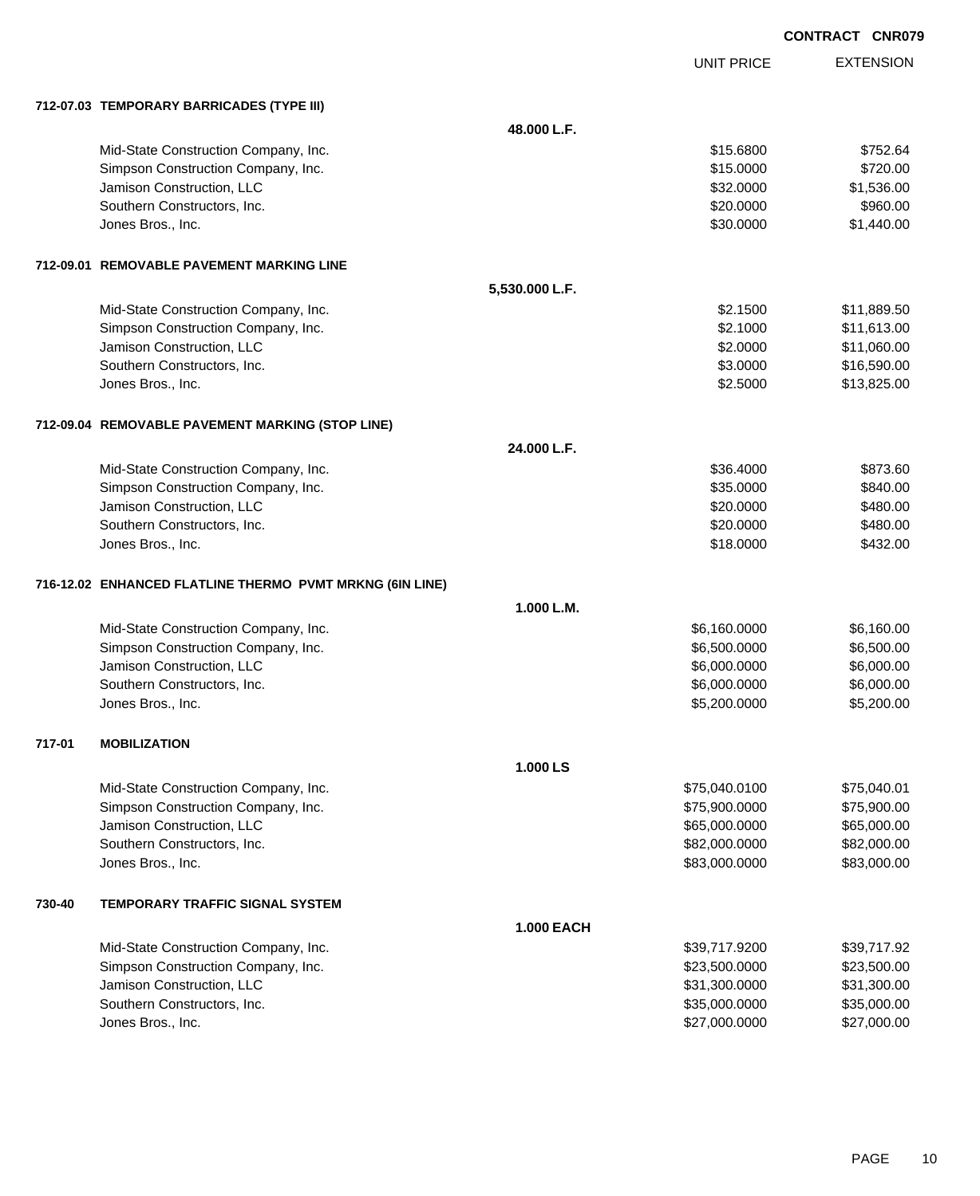|        |                                                          |                   |                   | "''"             |
|--------|----------------------------------------------------------|-------------------|-------------------|------------------|
|        |                                                          |                   | <b>UNIT PRICE</b> | <b>EXTENSION</b> |
|        | 712-07.03 TEMPORARY BARRICADES (TYPE III)                |                   |                   |                  |
|        |                                                          | 48.000 L.F.       |                   |                  |
|        | Mid-State Construction Company, Inc.                     |                   | \$15.6800         | \$752.64         |
|        | Simpson Construction Company, Inc.                       |                   | \$15.0000         | \$720.00         |
|        | Jamison Construction, LLC                                |                   | \$32.0000         | \$1,536.00       |
|        | Southern Constructors, Inc.                              |                   | \$20.0000         | \$960.00         |
|        | Jones Bros., Inc.                                        |                   | \$30.0000         | \$1,440.00       |
|        | 712-09.01 REMOVABLE PAVEMENT MARKING LINE                |                   |                   |                  |
|        |                                                          | 5,530.000 L.F.    |                   |                  |
|        | Mid-State Construction Company, Inc.                     |                   | \$2.1500          | \$11,889.50      |
|        | Simpson Construction Company, Inc.                       |                   | \$2.1000          | \$11,613.00      |
|        | Jamison Construction, LLC                                |                   | \$2.0000          | \$11,060.00      |
|        | Southern Constructors, Inc.                              |                   | \$3.0000          | \$16,590.00      |
|        | Jones Bros., Inc.                                        |                   | \$2.5000          | \$13,825.00      |
|        | 712-09.04 REMOVABLE PAVEMENT MARKING (STOP LINE)         |                   |                   |                  |
|        |                                                          | 24.000 L.F.       |                   |                  |
|        | Mid-State Construction Company, Inc.                     |                   | \$36.4000         | \$873.60         |
|        | Simpson Construction Company, Inc.                       |                   | \$35.0000         | \$840.00         |
|        | Jamison Construction, LLC                                |                   | \$20.0000         | \$480.00         |
|        | Southern Constructors, Inc.                              |                   | \$20.0000         | \$480.00         |
|        | Jones Bros., Inc.                                        |                   | \$18.0000         | \$432.00         |
|        | 716-12.02 ENHANCED FLATLINE THERMO PVMT MRKNG (6IN LINE) |                   |                   |                  |
|        |                                                          | 1.000 L.M.        |                   |                  |
|        | Mid-State Construction Company, Inc.                     |                   | \$6,160.0000      | \$6,160.00       |
|        | Simpson Construction Company, Inc.                       |                   | \$6,500.0000      | \$6,500.00       |
|        | Jamison Construction, LLC                                |                   | \$6,000.0000      | \$6,000.00       |
|        | Southern Constructors, Inc.                              |                   | \$6,000.0000      | \$6,000.00       |
|        | Jones Bros., Inc.                                        |                   | \$5,200.0000      | \$5,200.00       |
| 717-01 | <b>MOBILIZATION</b>                                      |                   |                   |                  |
|        |                                                          | 1.000 LS          |                   |                  |
|        | Mid-State Construction Company, Inc.                     |                   | \$75,040.0100     | \$75,040.01      |
|        | Simpson Construction Company, Inc.                       |                   | \$75,900.0000     | \$75,900.00      |
|        | Jamison Construction, LLC                                |                   | \$65,000.0000     | \$65,000.00      |
|        | Southern Constructors, Inc.                              |                   | \$82,000.0000     | \$82,000.00      |
|        | Jones Bros., Inc.                                        |                   | \$83,000.0000     | \$83,000.00      |
| 730-40 | <b>TEMPORARY TRAFFIC SIGNAL SYSTEM</b>                   |                   |                   |                  |
|        |                                                          | <b>1.000 EACH</b> |                   |                  |
|        | Mid-State Construction Company, Inc.                     |                   | \$39,717.9200     | \$39,717.92      |
|        | Simpson Construction Company, Inc.                       |                   | \$23,500.0000     | \$23,500.00      |
|        | Jamison Construction, LLC                                |                   | \$31,300.0000     | \$31,300.00      |
|        | Southern Constructors, Inc.                              |                   | \$35,000.0000     | \$35,000.00      |
|        | Jones Bros., Inc.                                        |                   | \$27,000.0000     | \$27,000.00      |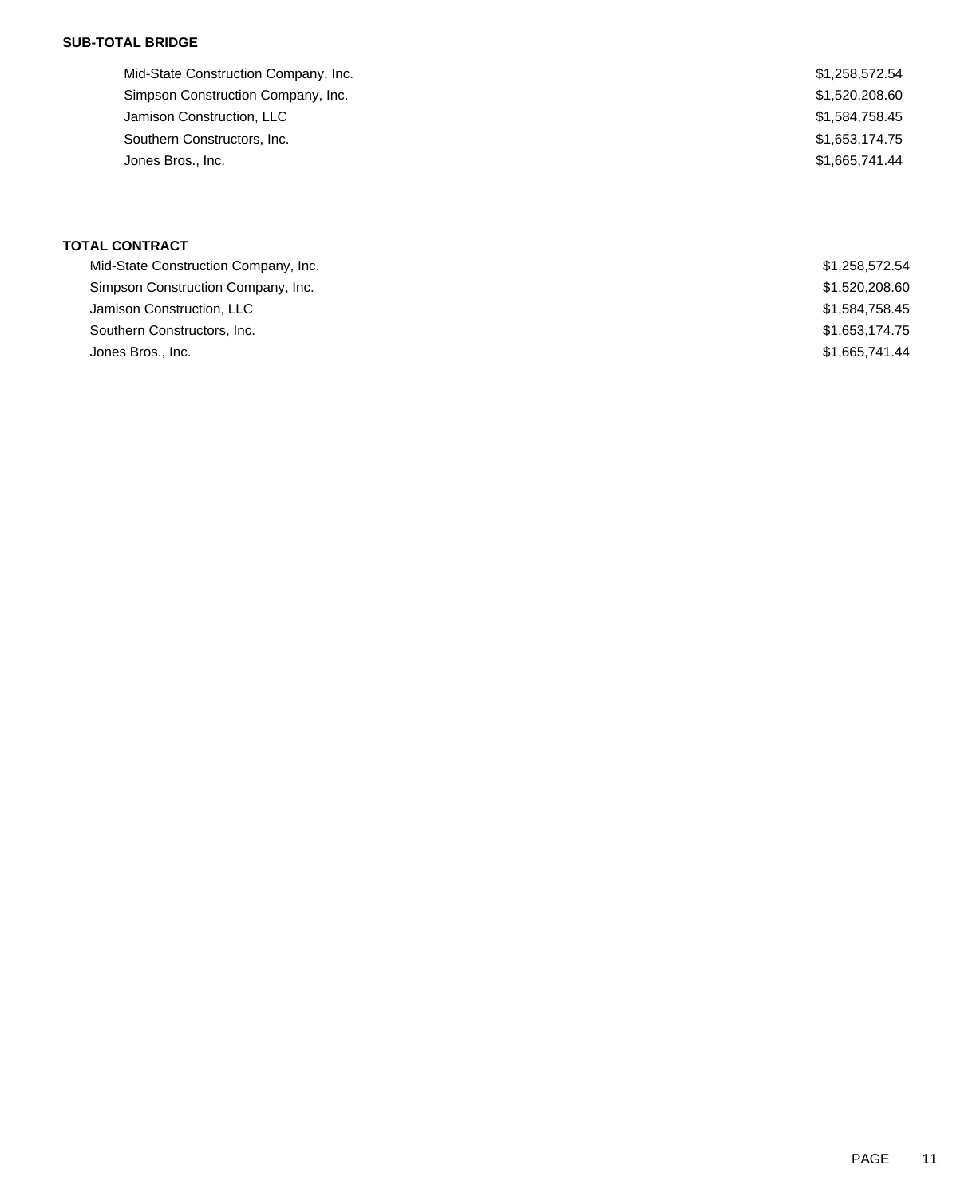# **SUB-TOTAL BRIDGE**

| Mid-State Construction Company, Inc. | \$1,258,572.54 |
|--------------------------------------|----------------|
| Simpson Construction Company, Inc.   | \$1,520,208.60 |
| Jamison Construction, LLC            | \$1,584,758.45 |
| Southern Constructors, Inc.          | \$1,653,174.75 |
| Jones Bros., Inc.                    | \$1,665,741.44 |
|                                      |                |

# **TOTAL CONTRACT**

| Mid-State Construction Company, Inc. | \$1,258,572.54 |
|--------------------------------------|----------------|
| Simpson Construction Company, Inc.   | \$1,520,208.60 |
| Jamison Construction, LLC            | \$1,584,758.45 |
| Southern Constructors, Inc.          | \$1,653,174.75 |
| Jones Bros., Inc.                    | \$1,665,741,44 |
|                                      |                |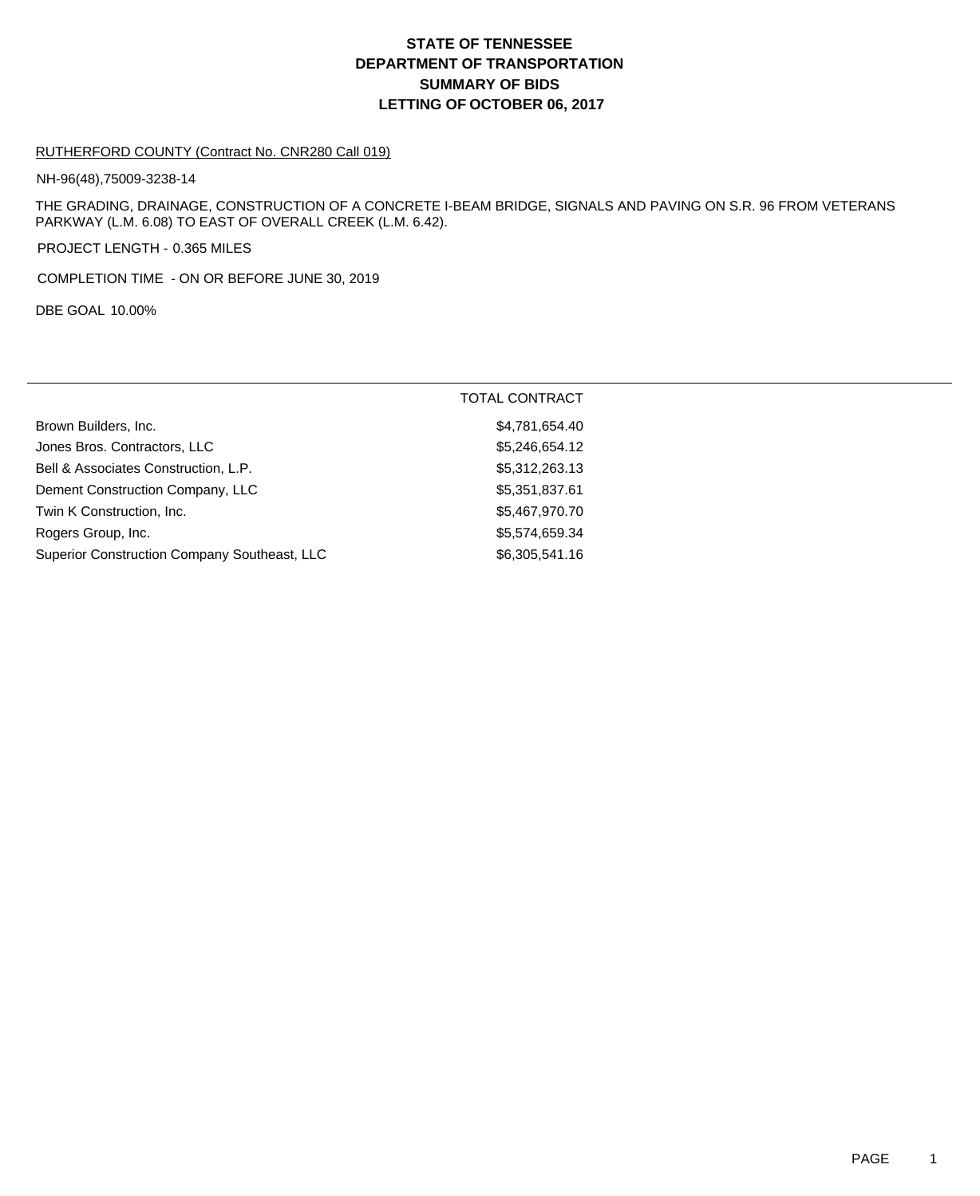# **DEPARTMENT OF TRANSPORTATION SUMMARY OF BIDS LETTING OF OCTOBER 06, 2017 STATE OF TENNESSEE**

#### RUTHERFORD COUNTY (Contract No. CNR280 Call 019)

NH-96(48),75009-3238-14

THE GRADING, DRAINAGE, CONSTRUCTION OF A CONCRETE I-BEAM BRIDGE, SIGNALS AND PAVING ON S.R. 96 FROM VETERANS PARKWAY (L.M. 6.08) TO EAST OF OVERALL CREEK (L.M. 6.42).

PROJECT LENGTH - 0.365 MILES

COMPLETION TIME - ON OR BEFORE JUNE 30, 2019

DBE GOAL 10.00%

|                                              | <b>TOTAL CONTRACT</b> |
|----------------------------------------------|-----------------------|
| Brown Builders, Inc.                         | \$4,781,654.40        |
| Jones Bros. Contractors, LLC                 | \$5,246,654.12        |
| Bell & Associates Construction, L.P.         | \$5,312,263.13        |
| Dement Construction Company, LLC             | \$5,351,837.61        |
| Twin K Construction, Inc.                    | \$5,467,970.70        |
| Rogers Group, Inc.                           | \$5,574,659.34        |
| Superior Construction Company Southeast, LLC | \$6,305,541.16        |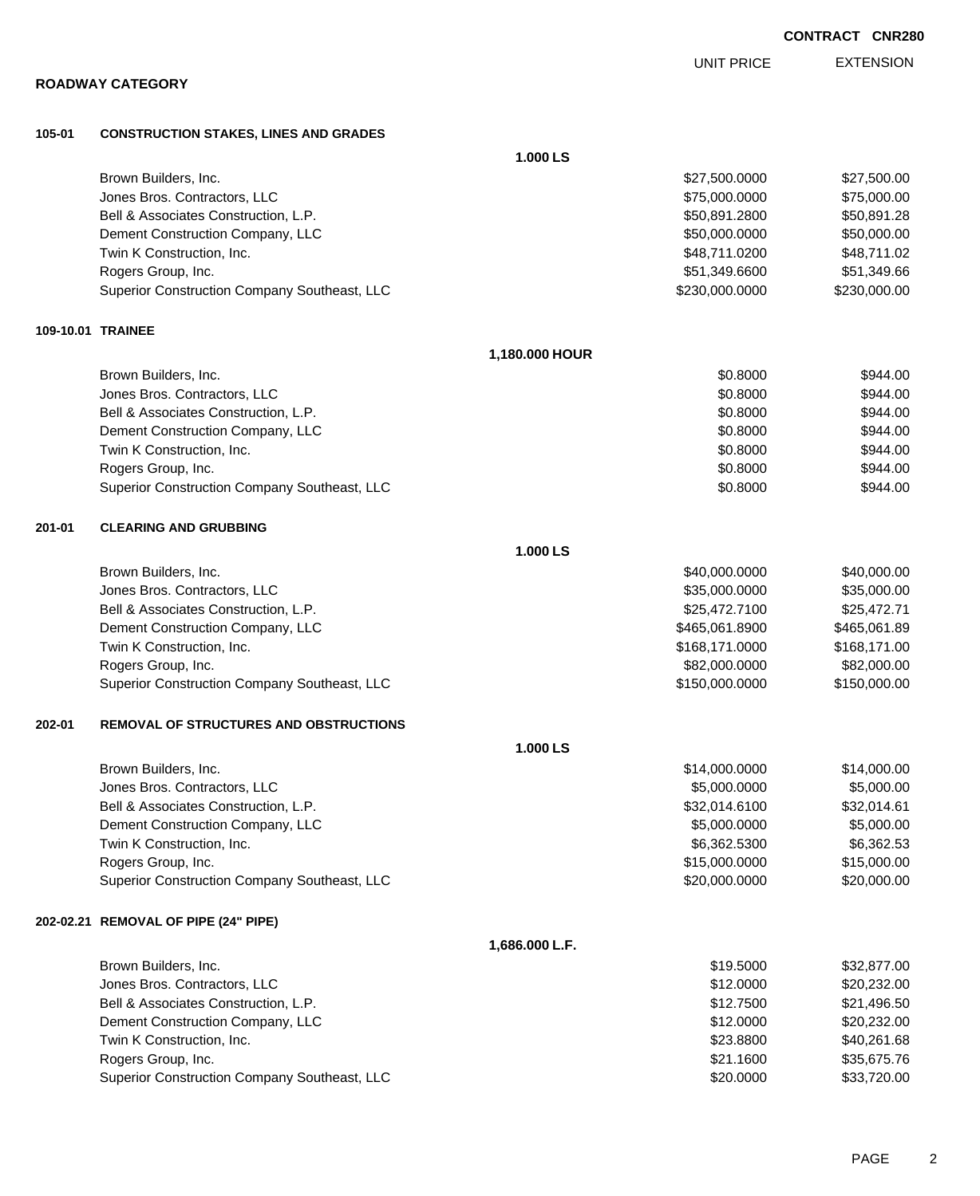| 105-01 | <b>CONSTRUCTION STAKES, LINES AND GRADES</b>  |                |                |              |
|--------|-----------------------------------------------|----------------|----------------|--------------|
|        |                                               | 1.000 LS       |                |              |
|        | Brown Builders, Inc.                          |                | \$27,500.0000  | \$27,500.00  |
|        | Jones Bros. Contractors, LLC                  |                | \$75,000.0000  | \$75,000.00  |
|        | Bell & Associates Construction, L.P.          |                | \$50,891.2800  | \$50,891.28  |
|        | Dement Construction Company, LLC              |                | \$50,000.0000  | \$50,000.00  |
|        | Twin K Construction, Inc.                     |                | \$48,711.0200  | \$48,711.02  |
|        | Rogers Group, Inc.                            |                | \$51,349.6600  | \$51,349.66  |
|        | Superior Construction Company Southeast, LLC  |                | \$230,000.0000 | \$230,000.00 |
|        | 109-10.01 TRAINEE                             |                |                |              |
|        |                                               | 1,180.000 HOUR |                |              |
|        | Brown Builders, Inc.                          |                | \$0.8000       | \$944.00     |
|        | Jones Bros. Contractors, LLC                  |                | \$0.8000       | \$944.00     |
|        | Bell & Associates Construction, L.P.          |                | \$0.8000       | \$944.00     |
|        | Dement Construction Company, LLC              |                | \$0.8000       | \$944.00     |
|        | Twin K Construction, Inc.                     |                | \$0.8000       | \$944.00     |
|        | Rogers Group, Inc.                            |                | \$0.8000       | \$944.00     |
|        | Superior Construction Company Southeast, LLC  |                | \$0.8000       | \$944.00     |
| 201-01 | <b>CLEARING AND GRUBBING</b>                  |                |                |              |
|        |                                               | 1.000 LS       |                |              |
|        | Brown Builders, Inc.                          |                | \$40,000.0000  | \$40,000.00  |
|        | Jones Bros. Contractors, LLC                  |                | \$35,000.0000  | \$35,000.00  |
|        | Bell & Associates Construction, L.P.          |                | \$25,472.7100  | \$25,472.71  |
|        | Dement Construction Company, LLC              |                | \$465,061.8900 | \$465,061.89 |
|        | Twin K Construction, Inc.                     |                | \$168,171.0000 | \$168,171.00 |
|        | Rogers Group, Inc.                            |                | \$82,000.0000  | \$82,000.00  |
|        | Superior Construction Company Southeast, LLC  |                | \$150,000.0000 | \$150,000.00 |
| 202-01 | <b>REMOVAL OF STRUCTURES AND OBSTRUCTIONS</b> |                |                |              |
|        |                                               | 1.000 LS       |                |              |
|        | Brown Builders, Inc.                          |                | \$14,000.0000  | \$14,000.00  |
|        | Jones Bros. Contractors, LLC                  |                | \$5,000.0000   | \$5,000.00   |
|        | Bell & Associates Construction, L.P.          |                | \$32,014.6100  | \$32,014.61  |
|        | Dement Construction Company, LLC              |                | \$5,000.0000   | \$5,000.00   |
|        | Twin K Construction, Inc.                     |                | \$6,362.5300   | \$6,362.53   |
|        | Rogers Group, Inc.                            |                | \$15,000.0000  | \$15,000.00  |
|        | Superior Construction Company Southeast, LLC  |                | \$20,000.0000  | \$20,000.00  |
|        | 202-02.21 REMOVAL OF PIPE (24" PIPE)          |                |                |              |
|        |                                               | 1,686.000 L.F. |                |              |
|        | Brown Builders, Inc.                          |                | \$19.5000      | \$32,877.00  |
|        | Jones Bros. Contractors, LLC                  |                | \$12.0000      | \$20,232.00  |
|        | Bell & Associates Construction, L.P.          |                | \$12.7500      | \$21,496.50  |
|        | Dement Construction Company, LLC              |                | \$12.0000      | \$20,232.00  |
|        | Twin K Construction, Inc.                     |                | \$23.8800      | \$40,261.68  |
|        | Rogers Group, Inc.                            |                | \$21.1600      | \$35,675.76  |

Superior Construction Company Southeast, LLC 60000 \$20.0000 \$33,720.00

### **CONTRACT CNR280**

EXTENSION UNIT PRICE

# **ROADWAY CATEGORY**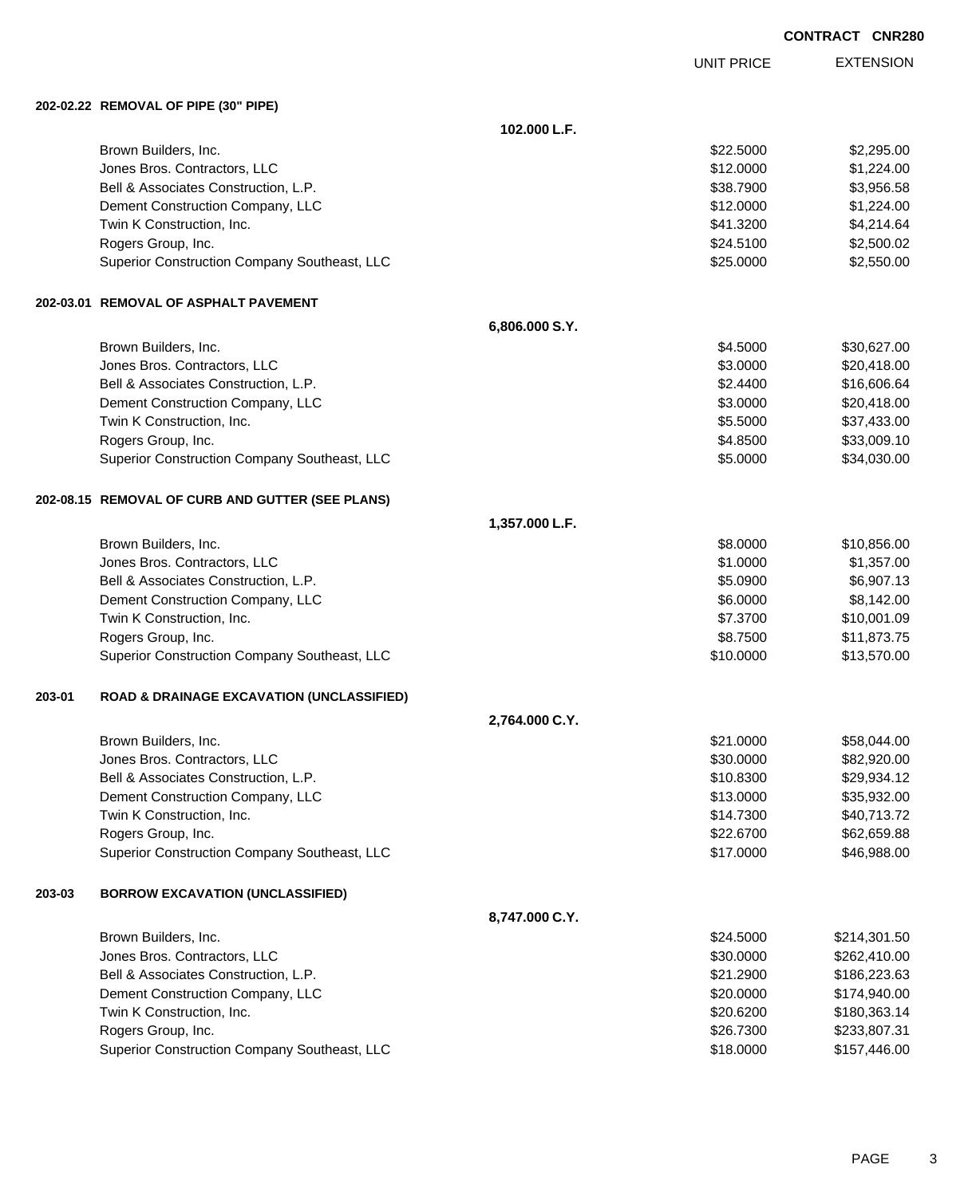UNIT PRICE

EXTENSION

**202-02.22 REMOVAL OF PIPE (30" PIPE)**

**102.000 L.F.** Brown Builders, Inc. \$2,295.00 \$2,295.00 Jones Bros. Contractors, LLC \$12.0000 \$1,224.00 Bell & Associates Construction, L.P. \$3,956.58 Dement Construction Company, LLC 6. The construction Company, LLC 6. The construction Company, LLC Twin K Construction, Inc. 64.214.64 Rogers Group, Inc. \$2,500.02 \$24.5100 \$2,500.02 Superior Construction Company Southeast, LLC  $$25.000$  \$25.000 \$2,550.00 **202-03.01 REMOVAL OF ASPHALT PAVEMENT 6,806.000 S.Y.** Brown Builders, Inc. \$30,627.00 Jones Bros. Contractors, LLC \$3.0000 \$20,418.00 Bell & Associates Construction, L.P. **\$2.4400** \$16,606.64 Dement Construction Company, LLC  $$3.0000$  \$20,418.00 Twin K Construction, Inc. 6. The Second Studies of the Second Studies of the Second Studies of Second Studies S Rogers Group, Inc. \$33,009.10 Superior Construction Company Southeast, LLC  $$5.0000$  \$34,030.00 **202-08.15 REMOVAL OF CURB AND GUTTER (SEE PLANS) 1,357.000 L.F.** Brown Builders, Inc. 6. The Superintendent of the Studies of the Studies of the Studies of the Studies of Studies of Studies and Studies of Studies of Studies and Studies of Studies and Studies of Studies and Studies and S Jones Bros. Contractors, LLC \$1.0000 \$1,357.00 Bell & Associates Construction, L.P. \$5.0900 \$6,907.13 Dement Construction Company, LLC 6.0000 \$8,142.00 Twin K Construction, Inc. 6. 2010 1.1 and 2010 1.1 and 2010 1.1 and 37.3700 \$10,001.09 Rogers Group, Inc. \$8.7500 \$11,873.75 Superior Construction Company Southeast, LLC  $$10.0000$  \$13,570.00 **203-01 ROAD & DRAINAGE EXCAVATION (UNCLASSIFIED) 2,764.000 C.Y.** Brown Builders, Inc. 658,044.00 Jones Bros. Contractors, LLC 6. The state of the state of the state of the state of the state of the state of the state of the state of the state of the state of the state of the state of the state of the state of the stat Bell & Associates Construction, L.P.  $$10.8300$   $$29.934.12$ Dement Construction Company, LLC 6 and the state of the state of the state  $$13.0000$  \$35,932.00 Twin K Construction, Inc. 640,713.72 Rogers Group, Inc. \$22.6700 \$62,659.88 Superior Construction Company Southeast, LLC  $$17.0000$   $$46,988.00$ **203-03 BORROW EXCAVATION (UNCLASSIFIED) 8,747.000 C.Y.** Brown Builders, Inc. 6. The Second State of the Second State of the Second State of Second State of Second State of Second State of Second State of Second State of Second State of Second State of Second State of Second Sta Jones Bros. Contractors, LLC 6. The state of the state of the state of the state of the state of the state of the state of the state of the state of the state of the state of the state of the state of the state of the stat Bell & Associates Construction, L.P. \$21.2900 \$186,223.63 Dement Construction Company, LLC 6 and the state of the state of the state of the state of the state of the state of the state of the state of the state of the state of the state of the state of the state of the state of t Twin K Construction, Inc. \$20.6200 \$180,363.14 Rogers Group, Inc. \$233,807.31 Superior Construction Company Southeast, LLC  $$18.0000$  \$157,446.00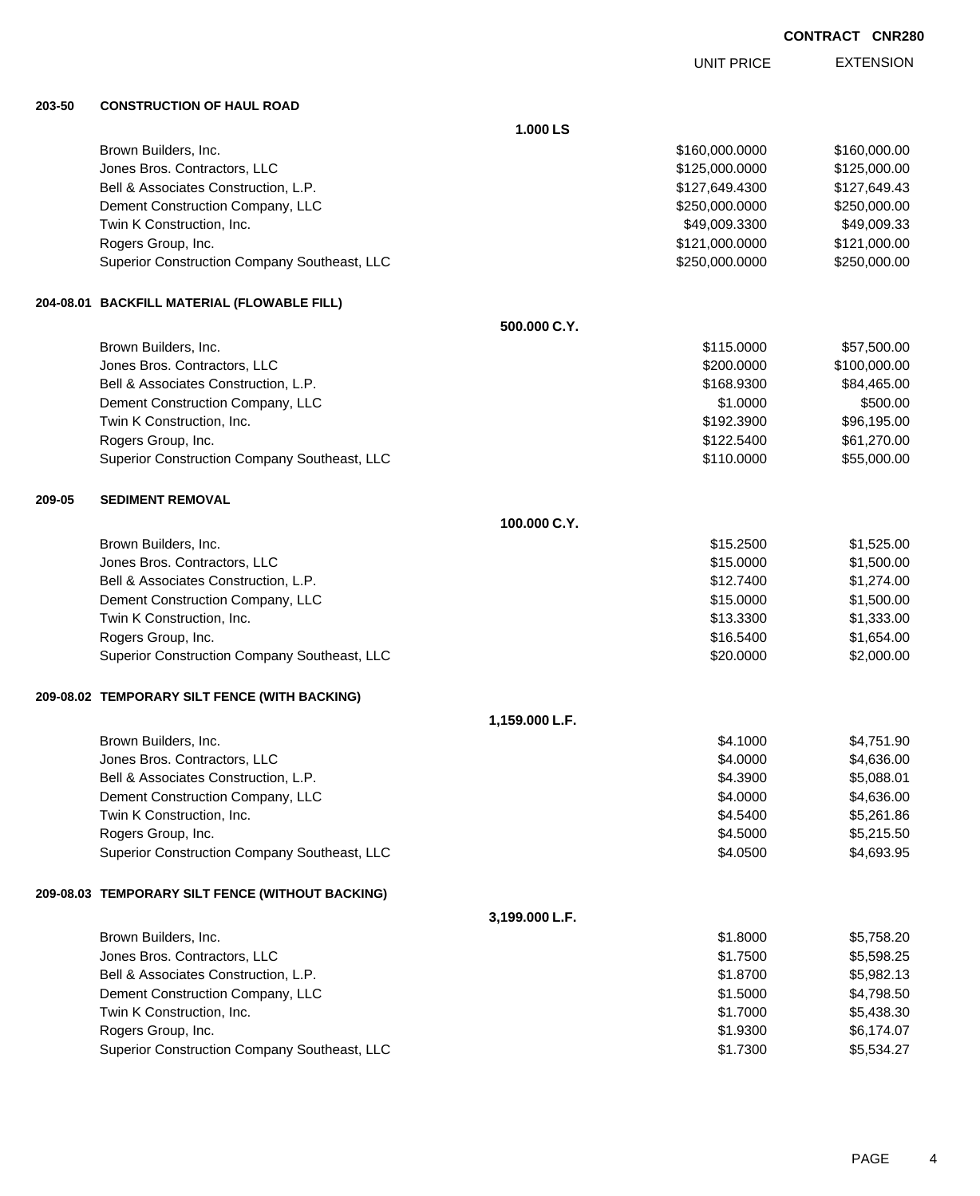UNIT PRICE

EXTENSION

**203-50 CONSTRUCTION OF HAUL ROAD**

**1.000 LS** Brown Builders, Inc. 6. The State of the State of the State of the State of State of State of State of State of State of State of State of State of State of State of State of State of State of State of State of State of St Jones Bros. Contractors, LLC \$125,000.0000 \$125,000.00 Bell & Associates Construction, L.P. \$127,649.4300 \$127,649.4300 \$127,649.4300 Dement Construction Company, LLC 6. 250,000 \$250,000 \$250,000 \$250,000.000 \$250,000.000 Twin K Construction, Inc. 649,009.3300 \$49,009.3300 \$49,009.3300 Rogers Group, Inc. \$121,000.000 \$121,000.000 \$121,000.000 \$121,000.000 \$121,000.000 \$121,000.00 Superior Construction Company Southeast, LLC  $$250,000.0000$  \$250,000.000 \$250,000.00 **204-08.01 BACKFILL MATERIAL (FLOWABLE FILL) 500.000 C.Y.** Brown Builders, Inc. \$115.0000 \$57,500.00 Jones Bros. Contractors, LLC \$200.0000 \$100,000.00 Bell & Associates Construction, L.P. \$84,465.00 \$84,465.00 Dement Construction Company, LLC  $$1.0000$  \$500.00 Twin K Construction, Inc. 696,195.00 \$96,195.00 \$96,195.00 Rogers Group, Inc. \$122.5400 \$61,270.00 Superior Construction Company Southeast, LLC  $$3110.0000$  \$55,000.00 **209-05 SEDIMENT REMOVAL 100.000 C.Y.** Brown Builders, Inc. \$1,525.00 \$1,525.00 Jones Bros. Contractors, LLC \$15.0000 \$1,500.00 Bell & Associates Construction, L.P.  $$12.74.00$   $$1,274.00$ Dement Construction Company, LLC 6. The construction Company, LLC 6. The construction Company, LLC Twin K Construction, Inc. \$1,333.00 \$1,333.00 Rogers Group, Inc. \$1,654.00 \$1,654.00 Superior Construction Company Southeast, LLC 60000 \$20.0000 \$2,000.00 **209-08.02 TEMPORARY SILT FENCE (WITH BACKING) 1,159.000 L.F.** Brown Builders, Inc. \$4.751.90 Jones Bros. Contractors, LLC \$4.0000 \$4,636.00 Bell & Associates Construction, L.P. \$5,088.01 Dement Construction Company, LLC 6 and the construction Company, LLC 6 and the construction Company, LLC Twin K Construction, Inc. 6. The Construction, Inc. 6. The Construction, Inc. 6. The Construction, Inc. 6.5761.86 Rogers Group, Inc. \$5,215.50 Superior Construction Company Southeast, LLC  $$4.0500$  \$4.0500 \$4.693.95 **209-08.03 TEMPORARY SILT FENCE (WITHOUT BACKING) 3,199.000 L.F.** Brown Builders, Inc. \$1.8000 \$5,758.20 Jones Bros. Contractors, LLC \$1.7500 \$5,598.25 Bell & Associates Construction, L.P.  $$1.8700$   $$5,982.13$ Dement Construction Company, LLC 6.6 and the state of the state of the state of the state of the state of the state of the state of the state of the state of the state of the state of the state of the state of the state of Twin K Construction, Inc. 6. The Second Studies of the Second Studies of Second Studies and Second Studies of Second Studies and Second Studies and Second Studies and Second Studies and Second Studies and Second Studies an Rogers Group, Inc. \$1.9300 \$6,174.07 Superior Construction Company Southeast, LLC  $$1.7300$   $$5,534.27$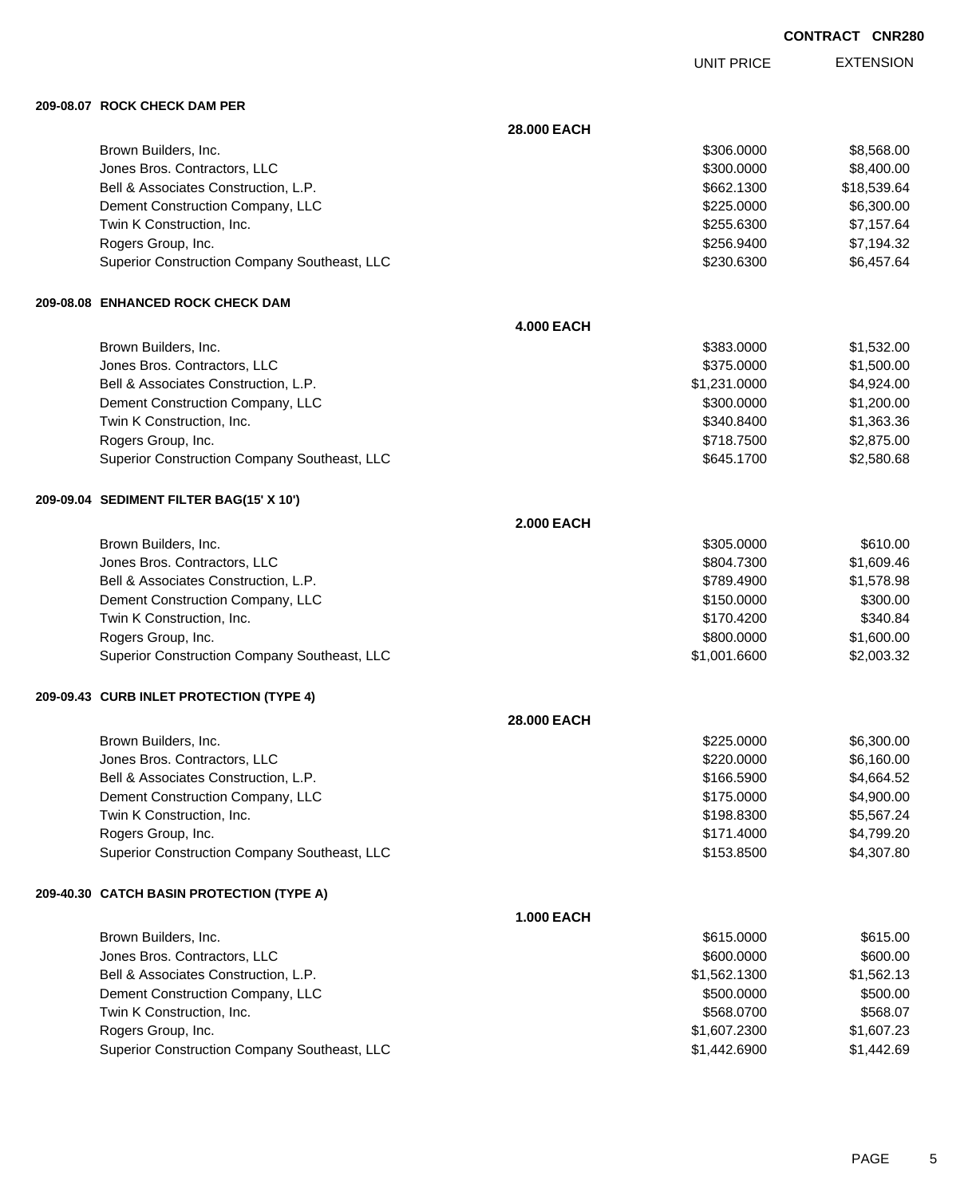EXTENSION UNIT PRICE

#### **209-08.07 ROCK CHECK DAM PER**

|                                              | 28.000 EACH       |              |             |
|----------------------------------------------|-------------------|--------------|-------------|
| Brown Builders, Inc.                         |                   | \$306.0000   | \$8,568.00  |
| Jones Bros. Contractors, LLC                 |                   | \$300.0000   | \$8,400.00  |
| Bell & Associates Construction, L.P.         |                   | \$662.1300   | \$18,539.64 |
| Dement Construction Company, LLC             |                   | \$225.0000   | \$6,300.00  |
| Twin K Construction, Inc.                    |                   | \$255.6300   | \$7,157.64  |
| Rogers Group, Inc.                           |                   | \$256.9400   | \$7,194.32  |
| Superior Construction Company Southeast, LLC |                   | \$230.6300   | \$6,457.64  |
| 209-08.08 ENHANCED ROCK CHECK DAM            |                   |              |             |
|                                              | <b>4.000 EACH</b> |              |             |
| Brown Builders, Inc.                         |                   | \$383.0000   | \$1,532.00  |
| Jones Bros. Contractors, LLC                 |                   | \$375.0000   | \$1,500.00  |
| Bell & Associates Construction, L.P.         |                   | \$1,231.0000 | \$4,924.00  |
| Dement Construction Company, LLC             |                   | \$300.0000   | \$1,200.00  |
| Twin K Construction, Inc.                    |                   | \$340.8400   | \$1,363.36  |
| Rogers Group, Inc.                           |                   | \$718.7500   | \$2,875.00  |
| Superior Construction Company Southeast, LLC |                   | \$645.1700   | \$2,580.68  |
| 209-09.04 SEDIMENT FILTER BAG(15' X 10')     |                   |              |             |
|                                              | <b>2.000 EACH</b> |              |             |
| Brown Builders, Inc.                         |                   | \$305.0000   | \$610.00    |
| Jones Bros. Contractors, LLC                 |                   | \$804.7300   | \$1,609.46  |
| Bell & Associates Construction, L.P.         |                   | \$789.4900   | \$1,578.98  |
| Dement Construction Company, LLC             |                   | \$150.0000   | \$300.00    |
| Twin K Construction, Inc.                    |                   | \$170.4200   | \$340.84    |
| Rogers Group, Inc.                           |                   | \$800.0000   | \$1,600.00  |
| Superior Construction Company Southeast, LLC |                   | \$1,001.6600 | \$2,003.32  |
| 209-09.43 CURB INLET PROTECTION (TYPE 4)     |                   |              |             |
|                                              | 28.000 EACH       |              |             |
| Brown Builders, Inc.                         |                   | \$225.0000   | \$6,300.00  |
| Jones Bros. Contractors, LLC                 |                   | \$220.0000   | \$6,160.00  |
| Bell & Associates Construction, L.P.         |                   | \$166.5900   | \$4,664.52  |
| Dement Construction Company, LLC             |                   | \$175.0000   | \$4,900.00  |
| Twin K Construction, Inc.                    |                   | \$198.8300   | \$5,567.24  |
| Rogers Group, Inc.                           |                   | \$171.4000   | \$4,799.20  |
| Superior Construction Company Southeast, LLC |                   | \$153.8500   | \$4,307.80  |
| 209-40.30 CATCH BASIN PROTECTION (TYPE A)    |                   |              |             |
|                                              | <b>1.000 EACH</b> |              |             |
| Brown Builders, Inc.                         |                   | \$615.0000   | \$615.00    |
| Jones Bros. Contractors, LLC                 |                   | \$600.0000   | \$600.00    |
| Bell & Associates Construction, L.P.         |                   | \$1,562.1300 | \$1,562.13  |
| Dement Construction Company, LLC             |                   | \$500.0000   | \$500.00    |
| Twin K Construction, Inc.                    |                   | \$568.0700   | \$568.07    |
| Rogers Group, Inc.                           |                   | \$1,607.2300 | \$1,607.23  |
| Superior Construction Company Southeast, LLC |                   | \$1,442.6900 | \$1,442.69  |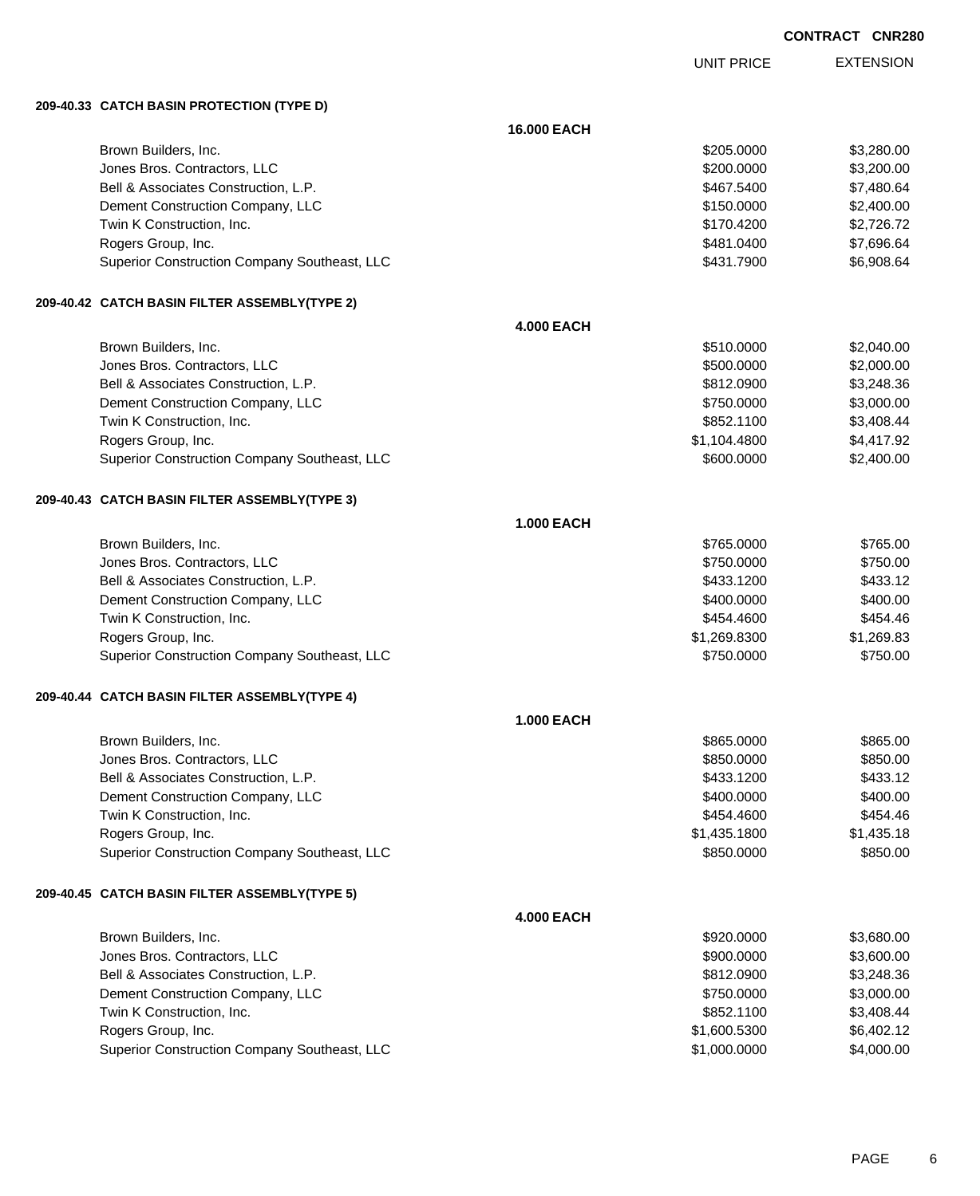UNIT PRICE

EXTENSION

**209-40.33 CATCH BASIN PROTECTION (TYPE D)**

|                                               | 16.000 EACH       |              |            |
|-----------------------------------------------|-------------------|--------------|------------|
| Brown Builders, Inc.                          |                   | \$205.0000   | \$3,280.00 |
| Jones Bros. Contractors, LLC                  |                   | \$200.0000   | \$3,200.00 |
| Bell & Associates Construction, L.P.          |                   | \$467.5400   | \$7,480.64 |
| Dement Construction Company, LLC              |                   | \$150.0000   | \$2,400.00 |
| Twin K Construction, Inc.                     |                   | \$170.4200   | \$2,726.72 |
| Rogers Group, Inc.                            |                   | \$481.0400   | \$7,696.64 |
| Superior Construction Company Southeast, LLC  |                   | \$431.7900   | \$6,908.64 |
| 209-40.42 CATCH BASIN FILTER ASSEMBLY(TYPE 2) |                   |              |            |
|                                               | <b>4.000 EACH</b> |              |            |
| Brown Builders, Inc.                          |                   | \$510.0000   | \$2,040.00 |
| Jones Bros. Contractors, LLC                  |                   | \$500.0000   | \$2,000.00 |
| Bell & Associates Construction, L.P.          |                   | \$812.0900   | \$3,248.36 |
| Dement Construction Company, LLC              |                   | \$750.0000   | \$3,000.00 |
| Twin K Construction, Inc.                     |                   | \$852.1100   | \$3,408.44 |
| Rogers Group, Inc.                            |                   | \$1,104.4800 | \$4,417.92 |
| Superior Construction Company Southeast, LLC  |                   | \$600.0000   | \$2,400.00 |
| 209-40.43 CATCH BASIN FILTER ASSEMBLY(TYPE 3) |                   |              |            |
|                                               | <b>1.000 EACH</b> |              |            |
| Brown Builders, Inc.                          |                   | \$765.0000   | \$765.00   |
| Jones Bros. Contractors, LLC                  |                   | \$750.0000   | \$750.00   |
| Bell & Associates Construction, L.P.          |                   | \$433.1200   | \$433.12   |
| Dement Construction Company, LLC              |                   | \$400.0000   | \$400.00   |
| Twin K Construction, Inc.                     |                   | \$454.4600   | \$454.46   |
| Rogers Group, Inc.                            |                   | \$1,269.8300 | \$1,269.83 |
| Superior Construction Company Southeast, LLC  |                   | \$750.0000   | \$750.00   |
| 209-40.44 CATCH BASIN FILTER ASSEMBLY(TYPE 4) |                   |              |            |
|                                               | <b>1.000 EACH</b> |              |            |
| Brown Builders, Inc.                          |                   | \$865.0000   | \$865.00   |
| Jones Bros. Contractors, LLC                  |                   | \$850.0000   | \$850.00   |
| Bell & Associates Construction, L.P.          |                   | \$433.1200   | \$433.12   |
| Dement Construction Company, LLC              |                   | \$400.0000   | \$400.00   |
| Twin K Construction, Inc.                     |                   | \$454.4600   | \$454.46   |
| Rogers Group, Inc.                            |                   | \$1,435.1800 | \$1,435.18 |
| Superior Construction Company Southeast, LLC  |                   | \$850,0000   | \$850.00   |
| 209-40.45 CATCH BASIN FILTER ASSEMBLY(TYPE 5) |                   |              |            |
|                                               | <b>4.000 EACH</b> |              |            |
| Brown Builders, Inc.                          |                   | \$920.0000   | \$3,680.00 |
| Jones Bros. Contractors, LLC                  |                   | \$900.0000   | \$3,600.00 |
| Bell & Associates Construction, L.P.          |                   | \$812.0900   | \$3,248.36 |
| Dement Construction Company, LLC              |                   | \$750.0000   | \$3,000.00 |
| Twin K Construction, Inc.                     |                   | \$852.1100   | \$3,408.44 |
| Rogers Group, Inc.                            |                   | \$1,600.5300 | \$6,402.12 |
| Superior Construction Company Southeast, LLC  |                   | \$1,000.0000 | \$4,000.00 |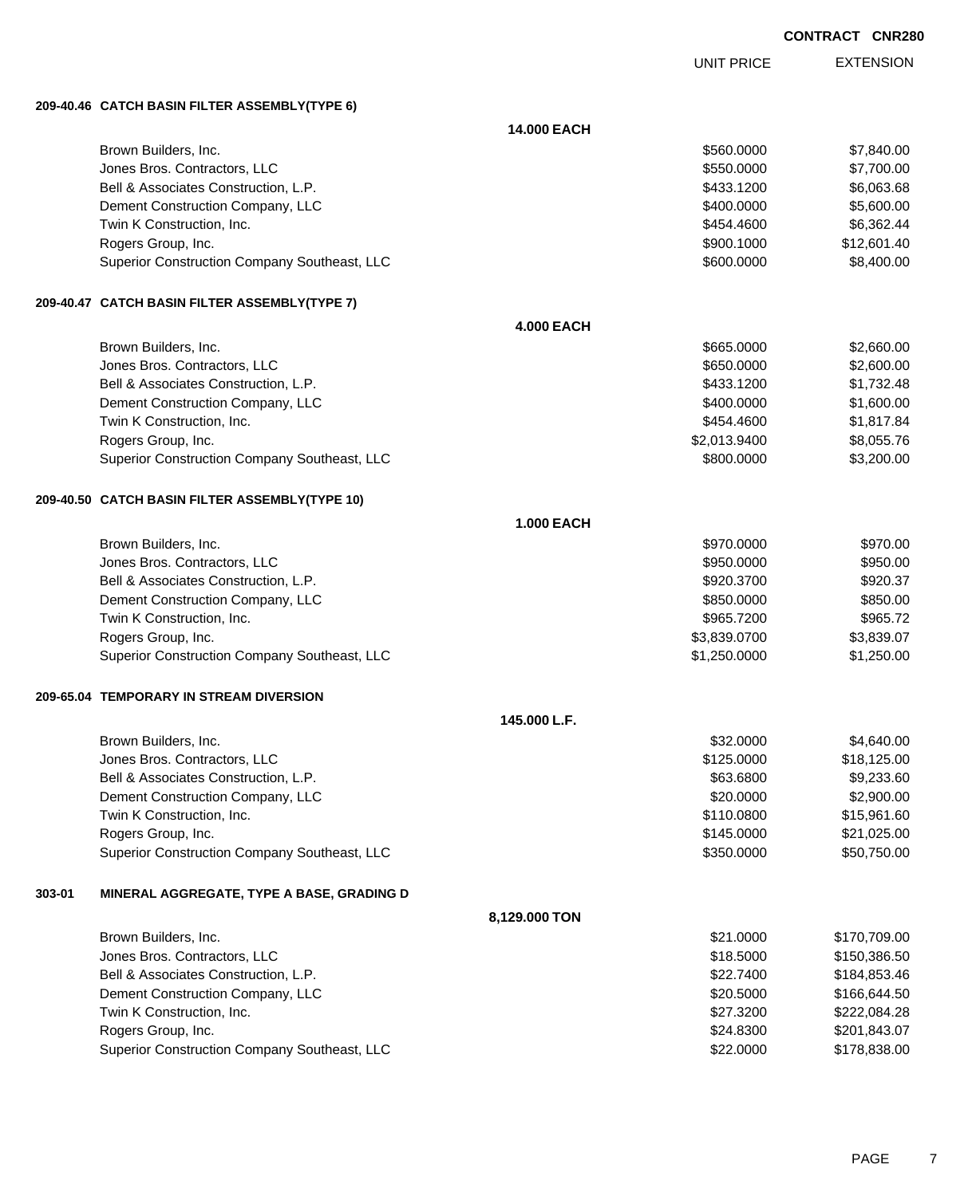UNIT PRICE

EXTENSION

**209-40.46 CATCH BASIN FILTER ASSEMBLY(TYPE 6)**

|        |                                                | 14.000 EACH       |              |              |
|--------|------------------------------------------------|-------------------|--------------|--------------|
|        | Brown Builders, Inc.                           |                   | \$560.0000   | \$7,840.00   |
|        | Jones Bros. Contractors, LLC                   |                   | \$550.0000   | \$7,700.00   |
|        | Bell & Associates Construction, L.P.           |                   | \$433.1200   | \$6,063.68   |
|        | Dement Construction Company, LLC               |                   | \$400.0000   | \$5,600.00   |
|        | Twin K Construction, Inc.                      |                   | \$454.4600   | \$6,362.44   |
|        | Rogers Group, Inc.                             |                   | \$900.1000   | \$12,601.40  |
|        | Superior Construction Company Southeast, LLC   |                   | \$600.0000   | \$8,400.00   |
|        | 209-40.47 CATCH BASIN FILTER ASSEMBLY(TYPE 7)  |                   |              |              |
|        |                                                | <b>4.000 EACH</b> |              |              |
|        | Brown Builders, Inc.                           |                   | \$665.0000   | \$2,660.00   |
|        | Jones Bros. Contractors, LLC                   |                   | \$650.0000   | \$2,600.00   |
|        | Bell & Associates Construction, L.P.           |                   | \$433.1200   | \$1,732.48   |
|        | Dement Construction Company, LLC               |                   | \$400.0000   | \$1,600.00   |
|        | Twin K Construction, Inc.                      |                   | \$454.4600   | \$1,817.84   |
|        | Rogers Group, Inc.                             |                   | \$2,013.9400 | \$8,055.76   |
|        | Superior Construction Company Southeast, LLC   |                   | \$800.0000   | \$3,200.00   |
|        | 209-40.50 CATCH BASIN FILTER ASSEMBLY(TYPE 10) |                   |              |              |
|        |                                                | <b>1.000 EACH</b> |              |              |
|        | Brown Builders, Inc.                           |                   | \$970,0000   | \$970.00     |
|        | Jones Bros. Contractors, LLC                   |                   | \$950.0000   | \$950.00     |
|        | Bell & Associates Construction, L.P.           |                   | \$920.3700   | \$920.37     |
|        | Dement Construction Company, LLC               |                   | \$850.0000   | \$850.00     |
|        | Twin K Construction, Inc.                      |                   | \$965.7200   | \$965.72     |
|        | Rogers Group, Inc.                             |                   | \$3,839.0700 | \$3,839.07   |
|        | Superior Construction Company Southeast, LLC   |                   | \$1,250.0000 | \$1,250.00   |
|        | 209-65.04 TEMPORARY IN STREAM DIVERSION        |                   |              |              |
|        |                                                | 145.000 L.F.      |              |              |
|        | Brown Builders, Inc.                           |                   | \$32.0000    | \$4,640.00   |
|        | Jones Bros. Contractors, LLC                   |                   | \$125.0000   | \$18,125.00  |
|        | Bell & Associates Construction, L.P.           |                   | \$63,6800    | \$9,233.60   |
|        | Dement Construction Company, LLC               |                   | \$20.0000    | \$2,900.00   |
|        | Twin K Construction, Inc.                      |                   | \$110.0800   | \$15,961.60  |
|        | Rogers Group, Inc.                             |                   | \$145.0000   | \$21,025.00  |
|        | Superior Construction Company Southeast, LLC   |                   | \$350.0000   | \$50,750.00  |
| 303-01 | MINERAL AGGREGATE, TYPE A BASE, GRADING D      |                   |              |              |
|        |                                                | 8,129.000 TON     |              |              |
|        | Brown Builders, Inc.                           |                   | \$21.0000    | \$170,709.00 |
|        | Jones Bros. Contractors, LLC                   |                   | \$18.5000    | \$150,386.50 |
|        | Bell & Associates Construction, L.P.           |                   | \$22.7400    | \$184,853.46 |
|        | Dement Construction Company, LLC               |                   | \$20.5000    | \$166,644.50 |
|        | Twin K Construction, Inc.                      |                   | \$27.3200    | \$222,084.28 |
|        | Rogers Group, Inc.                             |                   | \$24.8300    | \$201,843.07 |
|        | Superior Construction Company Southeast, LLC   |                   | \$22.0000    | \$178,838.00 |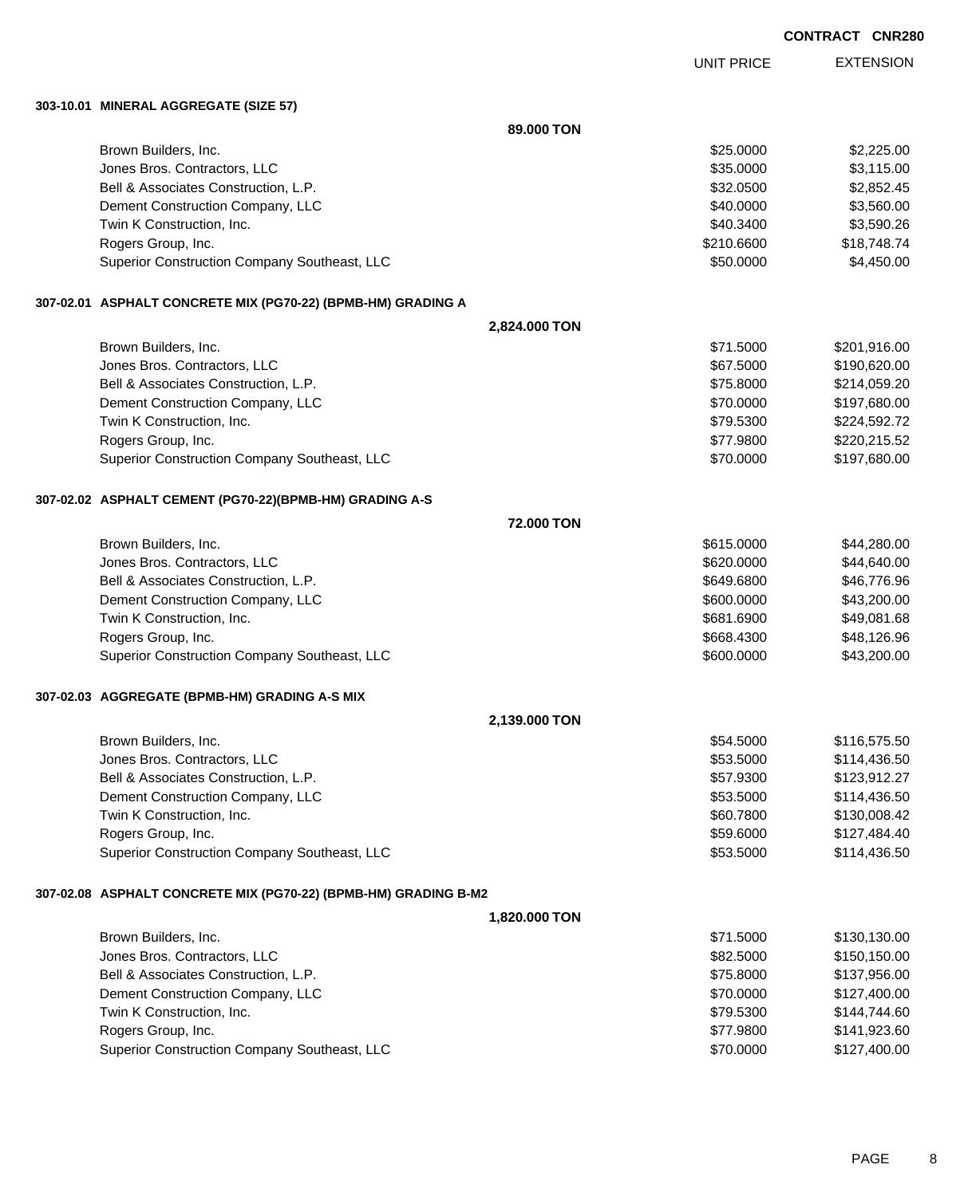UNIT PRICE

EXTENSION

**303-10.01 MINERAL AGGREGATE (SIZE 57)**

|                                                                 | 89.000 TON        |              |
|-----------------------------------------------------------------|-------------------|--------------|
| Brown Builders, Inc.                                            | \$25.0000         | \$2,225.00   |
| Jones Bros. Contractors, LLC                                    | \$35.0000         | \$3,115.00   |
| Bell & Associates Construction, L.P.                            | \$32.0500         | \$2,852.45   |
| Dement Construction Company, LLC                                | \$40.0000         | \$3,560.00   |
| Twin K Construction, Inc.                                       | \$40.3400         | \$3,590.26   |
| Rogers Group, Inc.                                              | \$210.6600        | \$18,748.74  |
| Superior Construction Company Southeast, LLC                    | \$50.0000         | \$4,450.00   |
| 307-02.01 ASPHALT CONCRETE MIX (PG70-22) (BPMB-HM) GRADING A    |                   |              |
|                                                                 | 2,824.000 TON     |              |
| Brown Builders, Inc.                                            | \$71.5000         | \$201,916.00 |
| Jones Bros. Contractors, LLC                                    | \$67.5000         | \$190,620.00 |
| Bell & Associates Construction, L.P.                            | \$75.8000         | \$214,059.20 |
| Dement Construction Company, LLC                                | \$70.0000         | \$197,680.00 |
| Twin K Construction, Inc.                                       | \$79.5300         | \$224,592.72 |
| Rogers Group, Inc.                                              | \$77.9800         | \$220,215.52 |
| Superior Construction Company Southeast, LLC                    | \$70.0000         | \$197,680.00 |
| 307-02.02 ASPHALT CEMENT (PG70-22)(BPMB-HM) GRADING A-S         |                   |              |
|                                                                 | <b>72.000 TON</b> |              |
| Brown Builders, Inc.                                            | \$615.0000        | \$44,280.00  |
| Jones Bros. Contractors, LLC                                    | \$620.0000        | \$44,640.00  |
| Bell & Associates Construction, L.P.                            | \$649.6800        | \$46,776.96  |
| Dement Construction Company, LLC                                | \$600.0000        | \$43,200.00  |
| Twin K Construction, Inc.                                       | \$681.6900        | \$49,081.68  |
| Rogers Group, Inc.                                              | \$668.4300        | \$48,126.96  |
| Superior Construction Company Southeast, LLC                    | \$600.0000        | \$43,200.00  |
| 307-02.03 AGGREGATE (BPMB-HM) GRADING A-S MIX                   |                   |              |
|                                                                 | 2,139.000 TON     |              |
| Brown Builders, Inc.                                            | \$54.5000         | \$116,575.50 |
| Jones Bros. Contractors, LLC                                    | \$53.5000         | \$114,436.50 |
| Bell & Associates Construction, L.P.                            | \$57.9300         | \$123,912.27 |
| Dement Construction Company, LLC                                | \$53.5000         | \$114,436.50 |
| Twin K Construction, Inc.                                       | \$60.7800         | \$130,008.42 |
| Rogers Group, Inc.                                              | \$59.6000         | \$127,484.40 |
| Superior Construction Company Southeast, LLC                    | \$53.5000         | \$114,436.50 |
| 307-02.08 ASPHALT CONCRETE MIX (PG70-22) (BPMB-HM) GRADING B-M2 |                   |              |
|                                                                 | 1,820.000 TON     |              |
| Brown Builders, Inc.                                            | \$71.5000         | \$130,130.00 |
| Jones Bros. Contractors, LLC                                    | \$82.5000         | \$150,150.00 |
| Bell & Associates Construction, L.P.                            | \$75.8000         | \$137,956.00 |
| Dement Construction Company, LLC                                | \$70.0000         | \$127,400.00 |
| Twin K Construction, Inc.                                       | \$79.5300         | \$144,744.60 |
| Rogers Group, Inc.                                              | \$77.9800         | \$141,923.60 |
| Superior Construction Company Southeast, LLC                    | \$70.0000         | \$127,400.00 |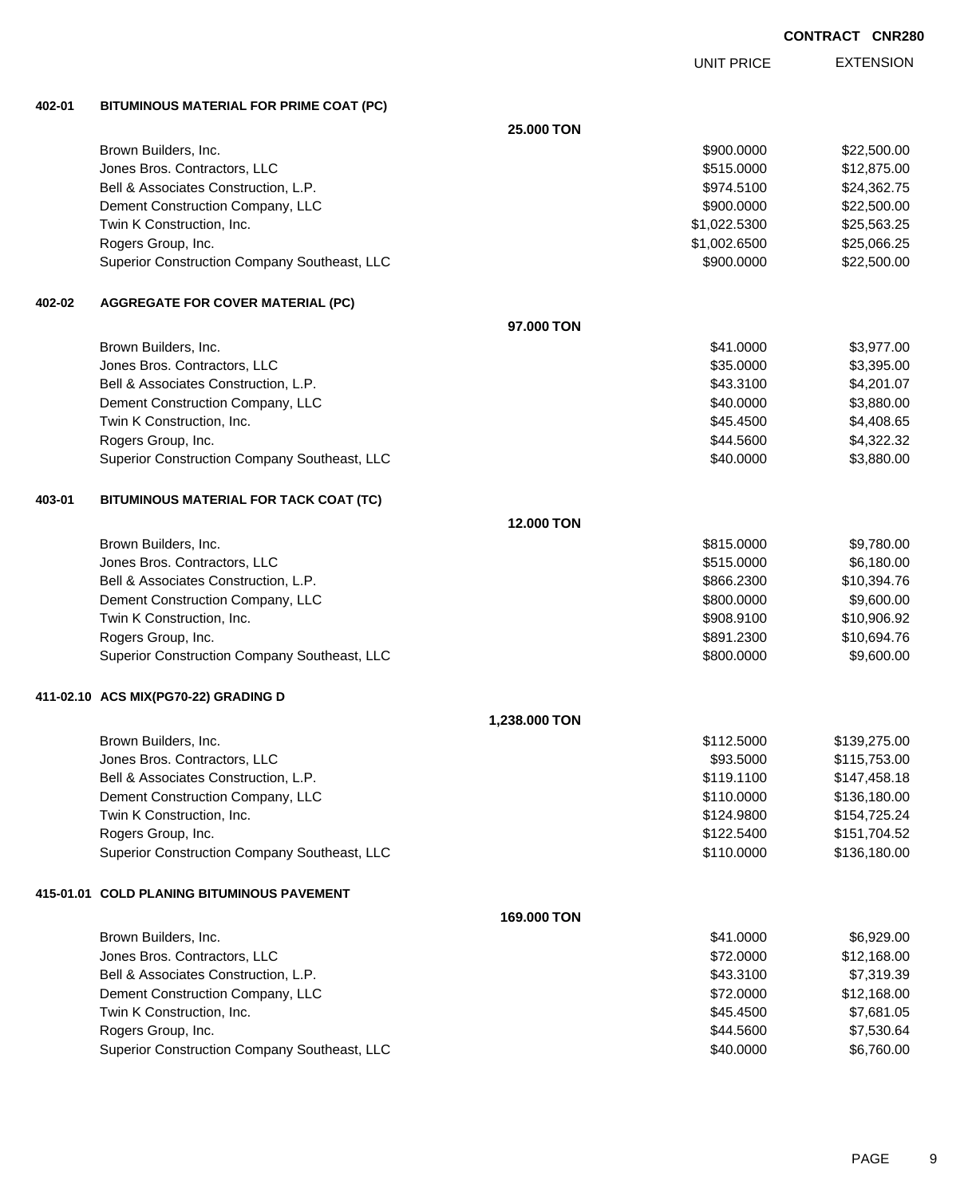EXTENSION UNIT PRICE

## **402-01 BITUMINOUS MATERIAL FOR PRIME COAT (PC)**

|           |                                              | <b>25,000 TON</b> |              |              |
|-----------|----------------------------------------------|-------------------|--------------|--------------|
|           | Brown Builders, Inc.                         |                   | \$900.0000   | \$22,500.00  |
|           | Jones Bros. Contractors, LLC                 |                   | \$515.0000   | \$12,875.00  |
|           | Bell & Associates Construction, L.P.         |                   | \$974.5100   | \$24,362.75  |
|           | Dement Construction Company, LLC             |                   | \$900.0000   | \$22,500.00  |
|           | Twin K Construction, Inc.                    |                   | \$1,022.5300 | \$25,563.25  |
|           | Rogers Group, Inc.                           |                   | \$1,002.6500 | \$25,066.25  |
|           | Superior Construction Company Southeast, LLC |                   | \$900.0000   | \$22,500.00  |
| 402-02    | <b>AGGREGATE FOR COVER MATERIAL (PC)</b>     |                   |              |              |
|           |                                              | 97.000 TON        |              |              |
|           | Brown Builders, Inc.                         |                   | \$41.0000    | \$3,977.00   |
|           | Jones Bros. Contractors, LLC                 |                   | \$35.0000    | \$3,395.00   |
|           | Bell & Associates Construction, L.P.         |                   | \$43.3100    | \$4,201.07   |
|           | Dement Construction Company, LLC             |                   | \$40.0000    | \$3,880.00   |
|           | Twin K Construction, Inc.                    |                   | \$45.4500    | \$4,408.65   |
|           | Rogers Group, Inc.                           |                   | \$44.5600    | \$4,322.32   |
|           | Superior Construction Company Southeast, LLC |                   | \$40.0000    | \$3,880.00   |
| 403-01    | BITUMINOUS MATERIAL FOR TACK COAT (TC)       |                   |              |              |
|           |                                              | 12.000 TON        |              |              |
|           | Brown Builders, Inc.                         |                   | \$815.0000   | \$9,780.00   |
|           | Jones Bros. Contractors, LLC                 |                   | \$515.0000   | \$6,180.00   |
|           | Bell & Associates Construction, L.P.         |                   | \$866.2300   | \$10,394.76  |
|           | Dement Construction Company, LLC             |                   | \$800.0000   | \$9,600.00   |
|           | Twin K Construction, Inc.                    |                   | \$908.9100   | \$10,906.92  |
|           | Rogers Group, Inc.                           |                   | \$891.2300   | \$10,694.76  |
|           | Superior Construction Company Southeast, LLC |                   | \$800.0000   | \$9,600.00   |
|           | 411-02.10 ACS MIX(PG70-22) GRADING D         |                   |              |              |
|           |                                              | 1,238.000 TON     |              |              |
|           | Brown Builders, Inc.                         |                   | \$112.5000   | \$139,275.00 |
|           | Jones Bros. Contractors, LLC                 |                   | \$93.5000    | \$115,753.00 |
|           | Bell & Associates Construction, L.P.         |                   | \$119.1100   | \$147,458.18 |
|           | Dement Construction Company, LLC             |                   | \$110.0000   | \$136,180.00 |
|           | Twin K Construction, Inc.                    |                   | \$124.9800   | \$154,725.24 |
|           | Rogers Group, Inc.                           |                   | \$122.5400   | \$151,704.52 |
|           | Superior Construction Company Southeast, LLC |                   | \$110.0000   | \$136,180.00 |
| 415-01.01 | <b>COLD PLANING BITUMINOUS PAVEMENT</b>      |                   |              |              |
|           |                                              | 169.000 TON       |              |              |
|           | Brown Builders, Inc.                         |                   | \$41.0000    | \$6,929.00   |
|           | Jones Bros. Contractors, LLC                 |                   | \$72.0000    | \$12,168.00  |
|           | Bell & Associates Construction, L.P.         |                   | \$43.3100    | \$7,319.39   |
|           | Dement Construction Company, LLC             |                   | \$72.0000    | \$12,168.00  |
|           | Twin K Construction, Inc.                    |                   | \$45.4500    | \$7,681.05   |
|           | Rogers Group, Inc.                           |                   | \$44.5600    | \$7,530.64   |
|           | Superior Construction Company Southeast, LLC |                   | \$40.0000    | \$6,760.00   |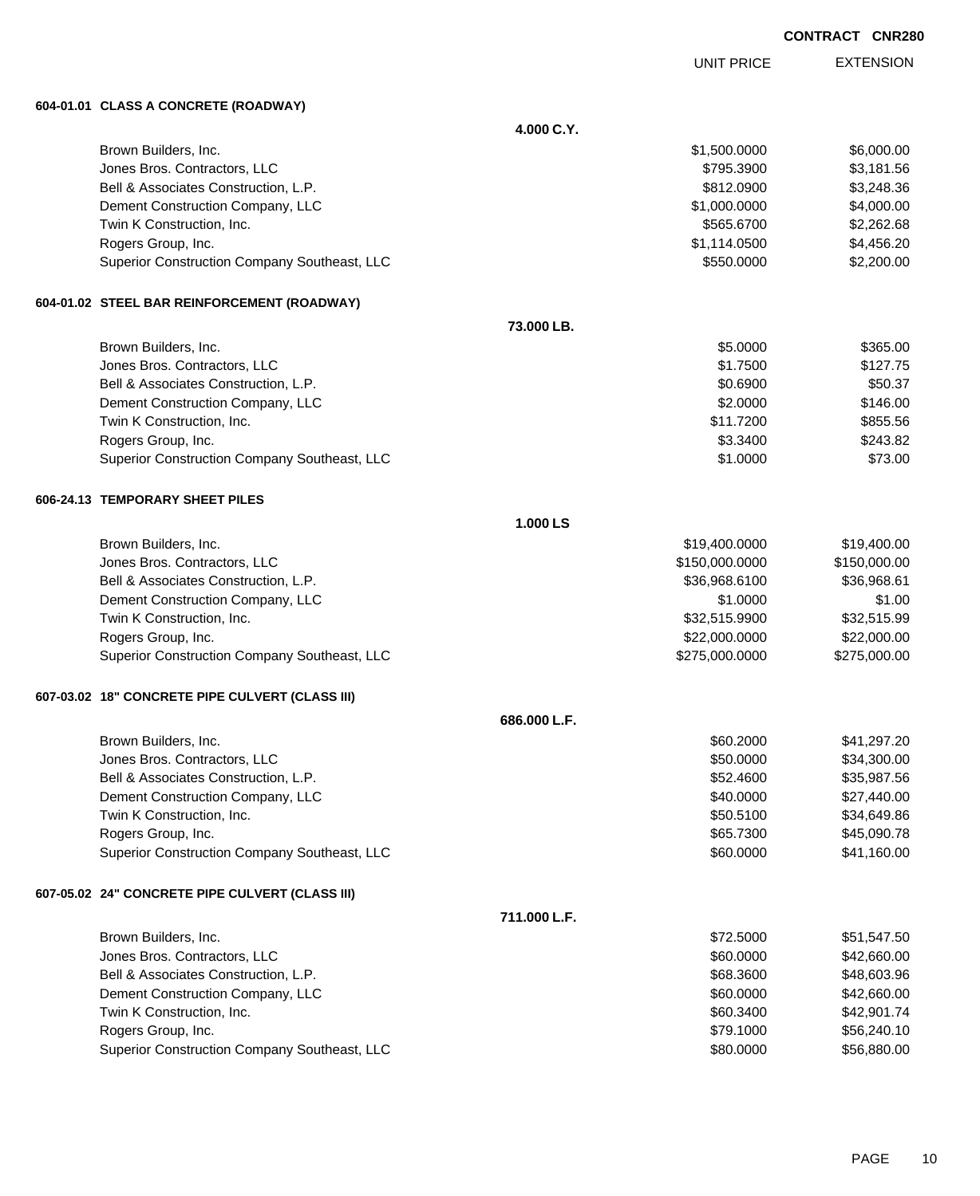UNIT PRICE

EXTENSION

**604-01.01 CLASS A CONCRETE (ROADWAY)**

|                                                 | 4.000 C.Y.   |                |              |
|-------------------------------------------------|--------------|----------------|--------------|
| Brown Builders, Inc.                            |              | \$1,500.0000   | \$6,000.00   |
| Jones Bros. Contractors, LLC                    |              | \$795.3900     | \$3,181.56   |
| Bell & Associates Construction, L.P.            |              | \$812.0900     | \$3,248.36   |
| Dement Construction Company, LLC                |              | \$1,000.0000   | \$4,000.00   |
| Twin K Construction, Inc.                       |              | \$565.6700     | \$2,262.68   |
| Rogers Group, Inc.                              |              | \$1,114.0500   | \$4,456.20   |
| Superior Construction Company Southeast, LLC    |              | \$550.0000     | \$2,200.00   |
| 604-01.02 STEEL BAR REINFORCEMENT (ROADWAY)     |              |                |              |
|                                                 | 73.000 LB.   |                |              |
| Brown Builders, Inc.                            |              | \$5.0000       | \$365.00     |
| Jones Bros. Contractors, LLC                    |              | \$1.7500       | \$127.75     |
| Bell & Associates Construction, L.P.            |              | \$0.6900       | \$50.37      |
| Dement Construction Company, LLC                |              | \$2.0000       | \$146.00     |
| Twin K Construction, Inc.                       |              | \$11.7200      | \$855.56     |
| Rogers Group, Inc.                              |              | \$3.3400       | \$243.82     |
| Superior Construction Company Southeast, LLC    |              | \$1.0000       | \$73.00      |
| 606-24.13 TEMPORARY SHEET PILES                 |              |                |              |
|                                                 | 1.000 LS     |                |              |
| Brown Builders, Inc.                            |              | \$19,400.0000  | \$19,400.00  |
| Jones Bros. Contractors, LLC                    |              | \$150,000.0000 | \$150,000.00 |
| Bell & Associates Construction, L.P.            |              | \$36,968.6100  | \$36,968.61  |
| Dement Construction Company, LLC                |              | \$1.0000       | \$1.00       |
| Twin K Construction, Inc.                       |              | \$32,515.9900  | \$32,515.99  |
| Rogers Group, Inc.                              |              | \$22,000.0000  | \$22,000.00  |
| Superior Construction Company Southeast, LLC    |              | \$275,000.0000 | \$275,000.00 |
| 607-03.02 18" CONCRETE PIPE CULVERT (CLASS III) |              |                |              |
|                                                 | 686.000 L.F. |                |              |
| Brown Builders, Inc.                            |              | \$60.2000      | \$41,297.20  |
| Jones Bros. Contractors, LLC                    |              | \$50.0000      | \$34,300.00  |
| Bell & Associates Construction, L.P.            |              | \$52.4600      | \$35,987.56  |
| Dement Construction Company, LLC                |              | \$40.0000      | \$27,440.00  |
| Twin K Construction, Inc.                       |              | \$50.5100      | \$34,649.86  |
| Rogers Group, Inc.                              |              | \$65.7300      | \$45,090.78  |
| Superior Construction Company Southeast, LLC    |              | \$60.0000      | \$41,160.00  |
| 607-05.02 24" CONCRETE PIPE CULVERT (CLASS III) |              |                |              |
|                                                 | 711.000 L.F. |                |              |
| Brown Builders, Inc.                            |              | \$72.5000      | \$51,547.50  |
| Jones Bros. Contractors, LLC                    |              | \$60.0000      | \$42,660.00  |
| Bell & Associates Construction, L.P.            |              | \$68.3600      | \$48,603.96  |
| Dement Construction Company, LLC                |              | \$60.0000      | \$42,660.00  |
| Twin K Construction, Inc.                       |              | \$60.3400      | \$42,901.74  |
| Rogers Group, Inc.                              |              | \$79.1000      | \$56,240.10  |
| Superior Construction Company Southeast, LLC    |              | \$80.0000      | \$56,880.00  |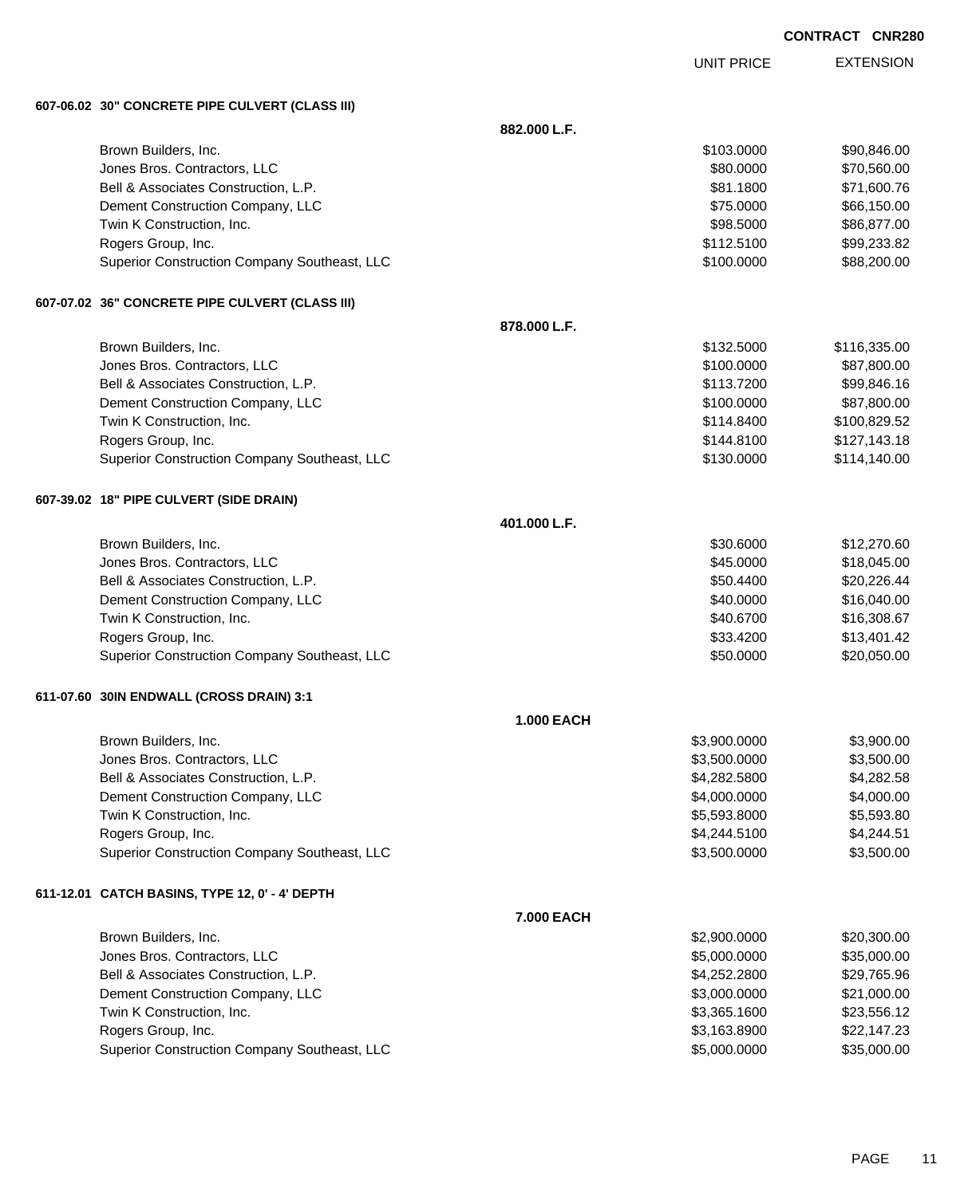UNIT PRICE

EXTENSION

**607-06.02 30" CONCRETE PIPE CULVERT (CLASS III)**

|                                                 | 882.000 L.F.      |              |              |
|-------------------------------------------------|-------------------|--------------|--------------|
| Brown Builders, Inc.                            |                   | \$103.0000   | \$90,846.00  |
| Jones Bros. Contractors, LLC                    |                   | \$80.0000    | \$70,560.00  |
| Bell & Associates Construction, L.P.            |                   | \$81.1800    | \$71,600.76  |
| Dement Construction Company, LLC                |                   | \$75.0000    | \$66,150.00  |
| Twin K Construction, Inc.                       |                   | \$98.5000    | \$86,877.00  |
| Rogers Group, Inc.                              |                   | \$112.5100   | \$99,233.82  |
| Superior Construction Company Southeast, LLC    |                   | \$100.0000   | \$88,200.00  |
| 607-07.02 36" CONCRETE PIPE CULVERT (CLASS III) |                   |              |              |
|                                                 | 878.000 L.F.      |              |              |
| Brown Builders, Inc.                            |                   | \$132.5000   | \$116,335.00 |
| Jones Bros. Contractors, LLC                    |                   | \$100.0000   | \$87,800.00  |
| Bell & Associates Construction, L.P.            |                   | \$113.7200   | \$99,846.16  |
| Dement Construction Company, LLC                |                   | \$100.0000   | \$87,800.00  |
| Twin K Construction, Inc.                       |                   | \$114.8400   | \$100,829.52 |
| Rogers Group, Inc.                              |                   | \$144.8100   | \$127,143.18 |
| Superior Construction Company Southeast, LLC    |                   | \$130.0000   | \$114,140.00 |
| 607-39.02 18" PIPE CULVERT (SIDE DRAIN)         |                   |              |              |
|                                                 | 401.000 L.F.      |              |              |
| Brown Builders, Inc.                            |                   | \$30.6000    | \$12,270.60  |
| Jones Bros. Contractors, LLC                    |                   | \$45.0000    | \$18,045.00  |
| Bell & Associates Construction, L.P.            |                   | \$50.4400    | \$20,226.44  |
| Dement Construction Company, LLC                |                   | \$40.0000    | \$16,040.00  |
| Twin K Construction, Inc.                       |                   | \$40.6700    | \$16,308.67  |
| Rogers Group, Inc.                              |                   | \$33.4200    | \$13,401.42  |
| Superior Construction Company Southeast, LLC    |                   | \$50.0000    | \$20,050.00  |
| 611-07.60 30IN ENDWALL (CROSS DRAIN) 3:1        |                   |              |              |
|                                                 | <b>1.000 EACH</b> |              |              |
| Brown Builders, Inc.                            |                   | \$3,900.0000 | \$3,900.00   |
| Jones Bros. Contractors, LLC                    |                   | \$3,500.0000 | \$3,500.00   |
| Bell & Associates Construction, L.P.            |                   | \$4,282.5800 | \$4,282.58   |
| Dement Construction Company, LLC                |                   | \$4,000.0000 | \$4,000.00   |
| Twin K Construction, Inc.                       |                   | \$5,593.8000 | \$5,593.80   |
| Rogers Group, Inc.                              |                   | \$4,244.5100 | \$4,244.51   |
| Superior Construction Company Southeast, LLC    |                   | \$3,500.0000 | \$3,500.00   |
| 611-12.01 CATCH BASINS, TYPE 12, 0' - 4' DEPTH  |                   |              |              |
|                                                 | 7.000 EACH        |              |              |
| Brown Builders, Inc.                            |                   | \$2,900.0000 | \$20,300.00  |
| Jones Bros. Contractors, LLC                    |                   | \$5,000.0000 | \$35,000.00  |
| Bell & Associates Construction, L.P.            |                   | \$4,252.2800 | \$29,765.96  |
| Dement Construction Company, LLC                |                   | \$3,000.0000 | \$21,000.00  |
| Twin K Construction, Inc.                       |                   | \$3,365.1600 | \$23,556.12  |
| Rogers Group, Inc.                              |                   | \$3,163.8900 | \$22,147.23  |
| Superior Construction Company Southeast, LLC    |                   | \$5,000.0000 | \$35,000.00  |
|                                                 |                   |              |              |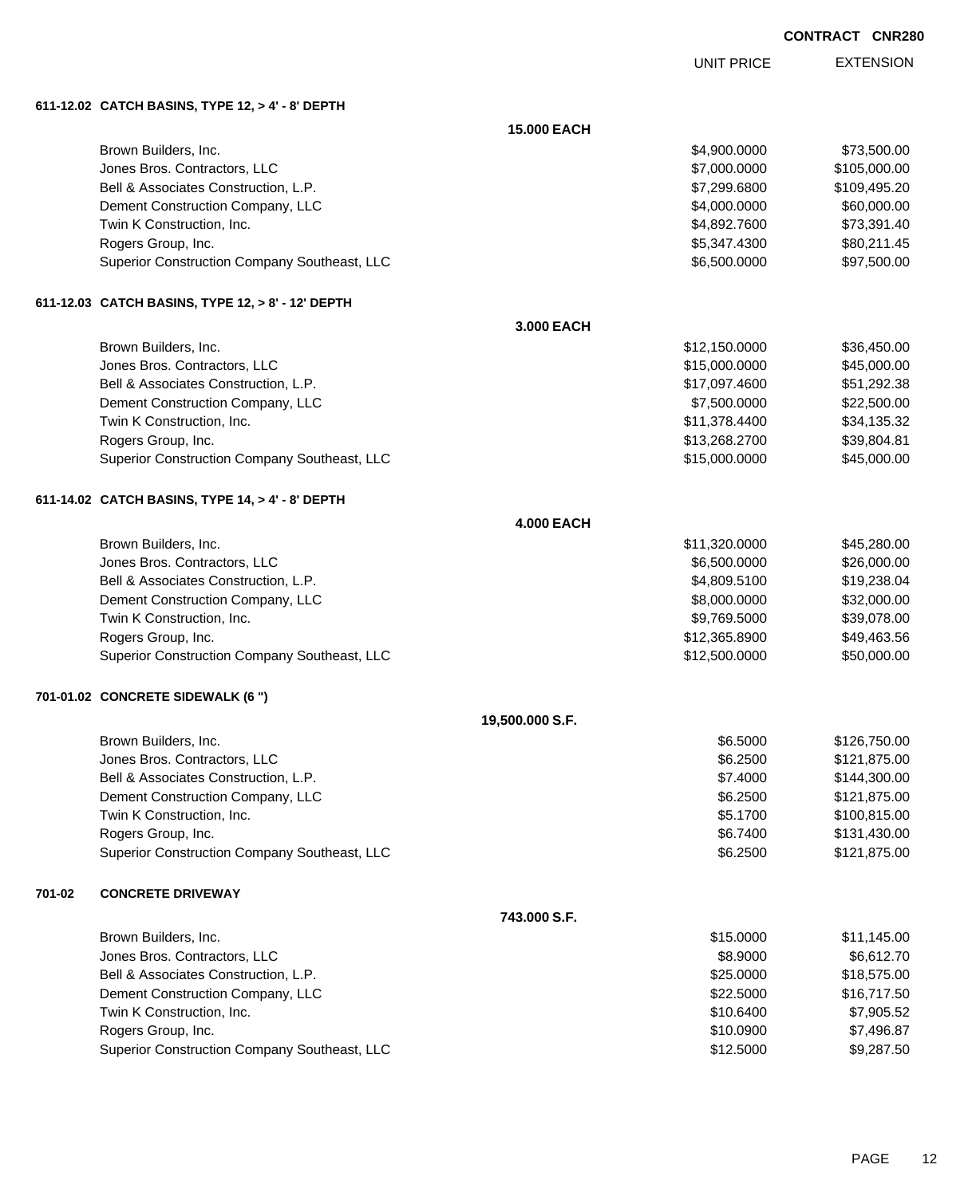UNIT PRICE

EXTENSION

**611-12.02 CATCH BASINS, TYPE 12, > 4' - 8' DEPTH**

|        |                                                   | 15.000 EACH       |               |              |
|--------|---------------------------------------------------|-------------------|---------------|--------------|
|        | Brown Builders, Inc.                              |                   | \$4,900.0000  | \$73,500.00  |
|        | Jones Bros. Contractors, LLC                      |                   | \$7,000.0000  | \$105,000.00 |
|        | Bell & Associates Construction, L.P.              |                   | \$7,299.6800  | \$109,495.20 |
|        | Dement Construction Company, LLC                  |                   | \$4,000.0000  | \$60,000.00  |
|        | Twin K Construction, Inc.                         |                   | \$4,892.7600  | \$73,391.40  |
|        | Rogers Group, Inc.                                |                   | \$5,347.4300  | \$80,211.45  |
|        | Superior Construction Company Southeast, LLC      |                   | \$6,500.0000  | \$97,500.00  |
|        | 611-12.03 CATCH BASINS, TYPE 12, > 8' - 12' DEPTH |                   |               |              |
|        |                                                   | 3.000 EACH        |               |              |
|        | Brown Builders, Inc.                              |                   | \$12,150.0000 | \$36,450.00  |
|        | Jones Bros. Contractors, LLC                      |                   | \$15,000.0000 | \$45,000.00  |
|        | Bell & Associates Construction, L.P.              |                   | \$17,097.4600 | \$51,292.38  |
|        | Dement Construction Company, LLC                  |                   | \$7,500.0000  | \$22,500.00  |
|        | Twin K Construction, Inc.                         |                   | \$11,378.4400 | \$34,135.32  |
|        | Rogers Group, Inc.                                |                   | \$13,268.2700 | \$39,804.81  |
|        | Superior Construction Company Southeast, LLC      |                   | \$15,000.0000 | \$45,000.00  |
|        | 611-14.02 CATCH BASINS, TYPE 14, > 4' - 8' DEPTH  |                   |               |              |
|        |                                                   | <b>4.000 EACH</b> |               |              |
|        | Brown Builders, Inc.                              |                   | \$11,320.0000 | \$45,280.00  |
|        | Jones Bros. Contractors, LLC                      |                   | \$6,500.0000  | \$26,000.00  |
|        | Bell & Associates Construction, L.P.              |                   | \$4,809.5100  | \$19,238.04  |
|        | Dement Construction Company, LLC                  |                   | \$8,000.0000  | \$32,000.00  |
|        | Twin K Construction, Inc.                         |                   | \$9,769.5000  | \$39,078.00  |
|        | Rogers Group, Inc.                                |                   | \$12,365.8900 | \$49,463.56  |
|        | Superior Construction Company Southeast, LLC      |                   | \$12,500.0000 | \$50,000.00  |
|        | 701-01.02 CONCRETE SIDEWALK (6 ")                 |                   |               |              |
|        |                                                   | 19,500.000 S.F.   |               |              |
|        | Brown Builders, Inc.                              |                   | \$6.5000      | \$126,750.00 |
|        | Jones Bros. Contractors, LLC                      |                   | \$6.2500      | \$121,875.00 |
|        | Bell & Associates Construction, L.P.              |                   | \$7.4000      | \$144,300.00 |
|        | Dement Construction Company, LLC                  |                   | \$6.2500      | \$121,875.00 |
|        | Twin K Construction, Inc.                         |                   | \$5.1700      | \$100,815.00 |
|        | Rogers Group, Inc.                                |                   | \$6.7400      | \$131,430.00 |
|        | Superior Construction Company Southeast, LLC      |                   | \$6.2500      | \$121,875.00 |
| 701-02 | <b>CONCRETE DRIVEWAY</b>                          |                   |               |              |
|        |                                                   | 743.000 S.F.      |               |              |
|        | Brown Builders, Inc.                              |                   | \$15.0000     | \$11,145.00  |
|        | Jones Bros. Contractors, LLC                      |                   | \$8.9000      | \$6,612.70   |
|        | Bell & Associates Construction, L.P.              |                   | \$25.0000     | \$18,575.00  |
|        | Dement Construction Company, LLC                  |                   | \$22.5000     | \$16,717.50  |
|        | Twin K Construction, Inc.                         |                   | \$10.6400     | \$7,905.52   |
|        | Rogers Group, Inc.                                |                   | \$10.0900     | \$7,496.87   |
|        | Superior Construction Company Southeast, LLC      |                   | \$12.5000     | \$9,287.50   |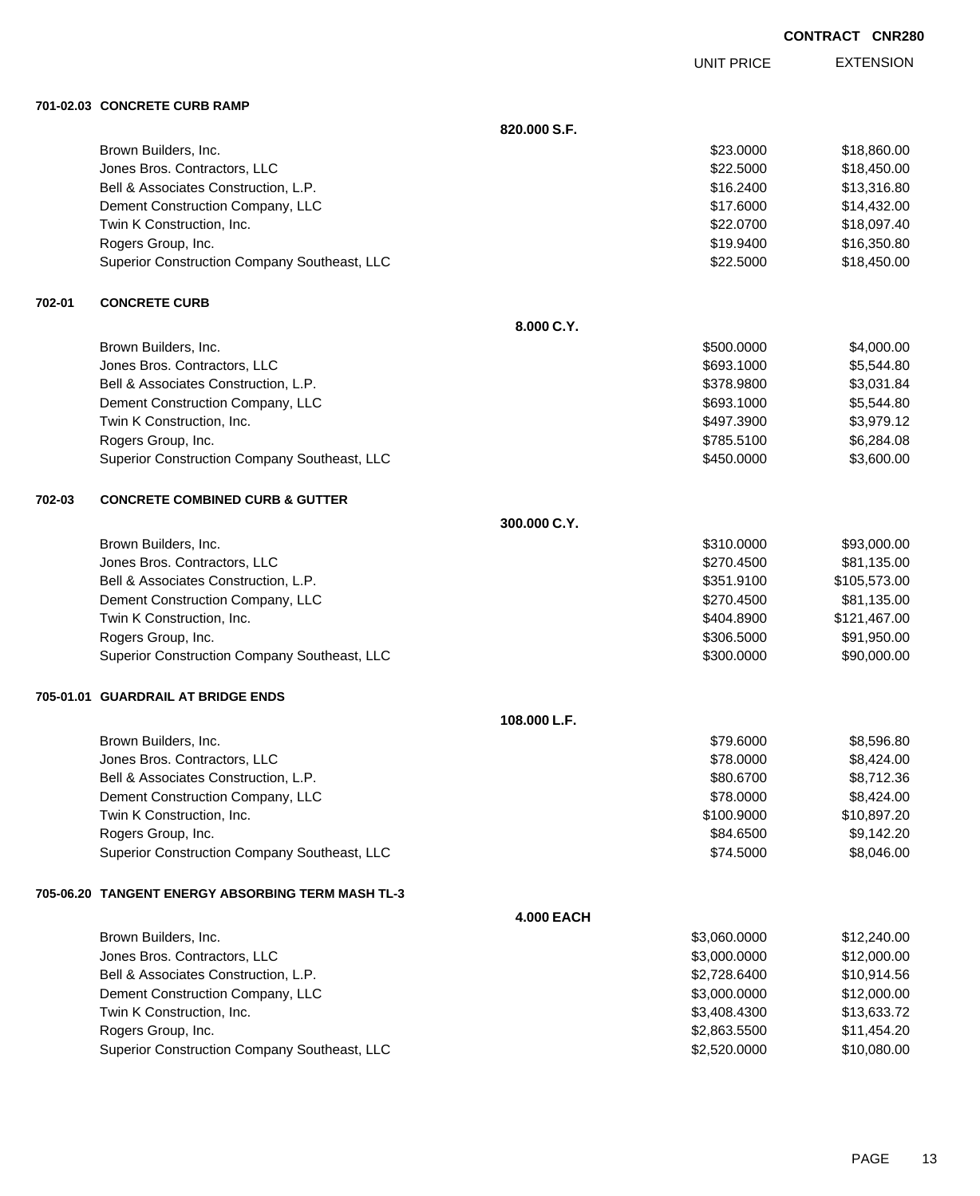UNIT PRICE

EXTENSION

**701-02.03 CONCRETE CURB RAMP**

|        |                                                   | 820.000 S.F.      |              |              |
|--------|---------------------------------------------------|-------------------|--------------|--------------|
|        | Brown Builders, Inc.                              |                   | \$23.0000    | \$18,860.00  |
|        | Jones Bros. Contractors, LLC                      |                   | \$22.5000    | \$18,450.00  |
|        | Bell & Associates Construction, L.P.              |                   | \$16.2400    | \$13,316.80  |
|        | Dement Construction Company, LLC                  |                   | \$17.6000    | \$14,432.00  |
|        | Twin K Construction, Inc.                         |                   | \$22.0700    | \$18,097.40  |
|        | Rogers Group, Inc.                                |                   | \$19.9400    | \$16,350.80  |
|        | Superior Construction Company Southeast, LLC      |                   | \$22.5000    | \$18,450.00  |
| 702-01 | <b>CONCRETE CURB</b>                              |                   |              |              |
|        |                                                   | 8.000 C.Y.        |              |              |
|        | Brown Builders, Inc.                              |                   | \$500.0000   | \$4,000.00   |
|        | Jones Bros. Contractors, LLC                      |                   | \$693.1000   | \$5,544.80   |
|        | Bell & Associates Construction, L.P.              |                   | \$378.9800   | \$3,031.84   |
|        | Dement Construction Company, LLC                  |                   | \$693.1000   | \$5,544.80   |
|        | Twin K Construction, Inc.                         |                   | \$497.3900   | \$3,979.12   |
|        | Rogers Group, Inc.                                |                   | \$785.5100   | \$6,284.08   |
|        | Superior Construction Company Southeast, LLC      |                   | \$450.0000   | \$3,600.00   |
| 702-03 | <b>CONCRETE COMBINED CURB &amp; GUTTER</b>        |                   |              |              |
|        |                                                   | 300.000 C.Y.      |              |              |
|        | Brown Builders, Inc.                              |                   | \$310.0000   | \$93,000.00  |
|        | Jones Bros. Contractors, LLC                      |                   | \$270.4500   | \$81,135.00  |
|        | Bell & Associates Construction, L.P.              |                   | \$351.9100   | \$105,573.00 |
|        | Dement Construction Company, LLC                  |                   | \$270.4500   | \$81,135.00  |
|        | Twin K Construction, Inc.                         |                   | \$404.8900   | \$121,467.00 |
|        | Rogers Group, Inc.                                |                   | \$306.5000   | \$91,950.00  |
|        | Superior Construction Company Southeast, LLC      |                   | \$300.0000   | \$90,000.00  |
|        | 705-01.01 GUARDRAIL AT BRIDGE ENDS                |                   |              |              |
|        |                                                   | 108.000 L.F.      |              |              |
|        | Brown Builders, Inc.                              |                   | \$79.6000    | \$8,596.80   |
|        | Jones Bros. Contractors, LLC                      |                   | \$78.0000    | \$8,424.00   |
|        | Bell & Associates Construction, L.P.              |                   | \$80.6700    | \$8,712.36   |
|        | Dement Construction Company, LLC                  |                   | \$78.0000    | \$8,424.00   |
|        | Twin K Construction, Inc.                         |                   | \$100.9000   | \$10,897.20  |
|        | Rogers Group, Inc.                                |                   | \$84.6500    | \$9,142.20   |
|        | Superior Construction Company Southeast, LLC      |                   | \$74.5000    | \$8,046.00   |
|        | 705-06.20 TANGENT ENERGY ABSORBING TERM MASH TL-3 |                   |              |              |
|        |                                                   | <b>4.000 EACH</b> |              |              |
|        | Brown Builders, Inc.                              |                   | \$3,060.0000 | \$12,240.00  |
|        | Jones Bros. Contractors, LLC                      |                   | \$3,000.0000 | \$12,000.00  |
|        | Bell & Associates Construction, L.P.              |                   | \$2,728.6400 | \$10,914.56  |
|        | Dement Construction Company, LLC                  |                   | \$3,000.0000 | \$12,000.00  |
|        | Twin K Construction, Inc.                         |                   | \$3,408.4300 | \$13,633.72  |
|        | Rogers Group, Inc.                                |                   | \$2,863.5500 | \$11,454.20  |
|        | Superior Construction Company Southeast, LLC      |                   | \$2,520.0000 | \$10,080.00  |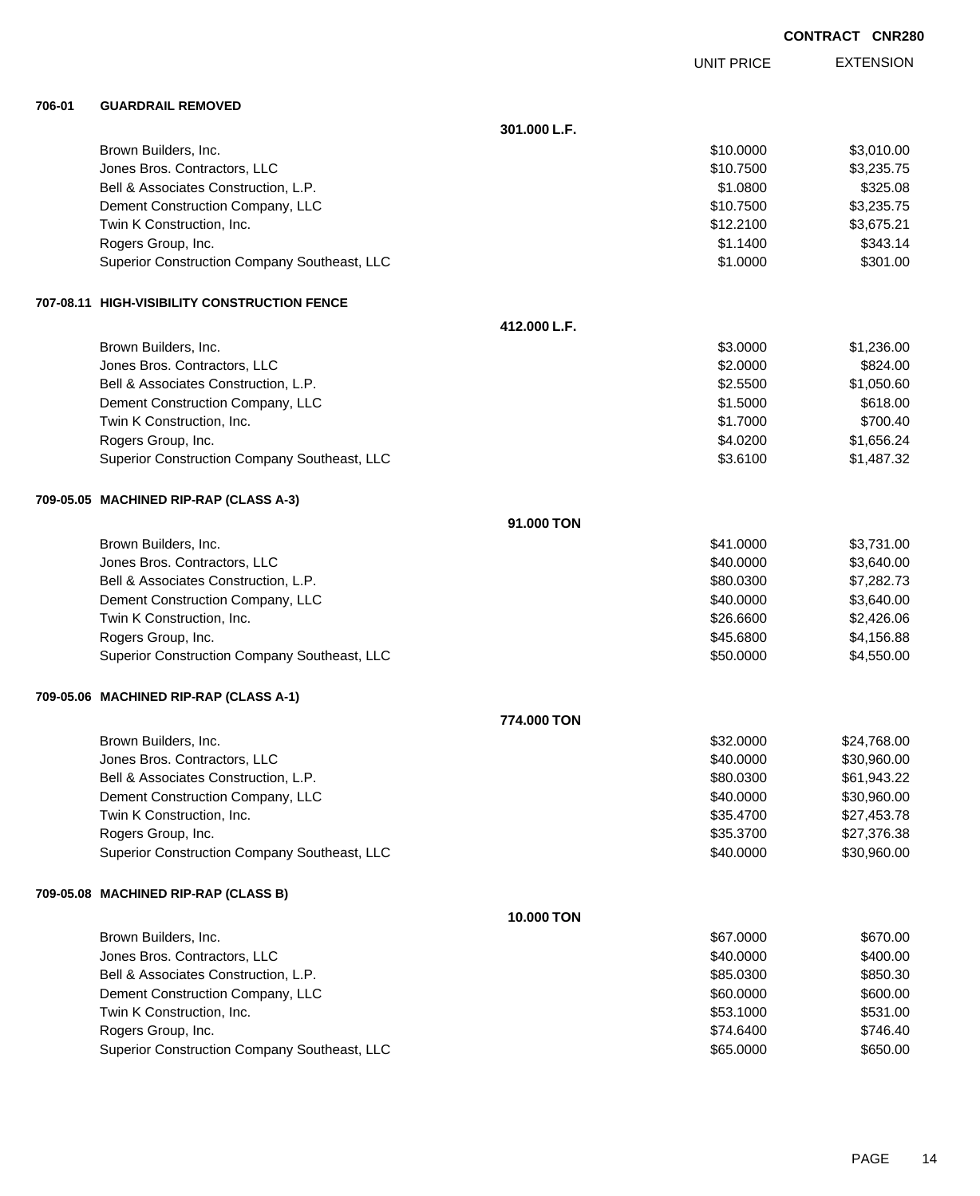|        |                                              |              |                   | <b>CONTRACT CNR280</b> |
|--------|----------------------------------------------|--------------|-------------------|------------------------|
|        |                                              |              | <b>UNIT PRICE</b> | <b>EXTENSION</b>       |
| 706-01 | <b>GUARDRAIL REMOVED</b>                     |              |                   |                        |
|        |                                              | 301.000 L.F. |                   |                        |
|        | Brown Builders, Inc.                         |              | \$10.0000         | \$3,010.00             |
|        | Jones Bros. Contractors, LLC                 |              | \$10.7500         | \$3,235.75             |
|        | Bell & Associates Construction, L.P.         |              | \$1,0800          | \$325.08               |
|        | Dement Construction Company, LLC             |              | \$10.7500         | \$3,235.75             |
|        | Twin K Construction, Inc.                    |              | \$12.2100         | \$3,675.21             |
|        | Rogers Group, Inc.                           |              | \$1.1400          | \$343.14               |
|        | Superior Construction Company Southeast, LLC |              | \$1.0000          | \$301.00               |
|        | 707-08.11 HIGH-VISIBILITY CONSTRUCTION FENCE |              |                   |                        |
|        |                                              | 412.000 L.F. |                   |                        |
|        | Brown Builders, Inc.                         |              | \$3.0000          | \$1,236.00             |
|        | Jones Bros. Contractors, LLC                 |              | \$2.0000          | \$824.00               |
|        | Bell & Associates Construction, L.P.         |              | \$2.5500          | \$1,050.60             |
|        | Dement Construction Company, LLC             |              | \$1.5000          | \$618.00               |
|        | Twin K Construction, Inc.                    |              | \$1.7000          | \$700.40               |
|        | Rogers Group, Inc.                           |              | \$4.0200          | \$1,656.24             |
|        | Superior Construction Company Southeast, LLC |              | \$3.6100          | \$1,487.32             |
|        | 709-05.05 MACHINED RIP-RAP (CLASS A-3)       |              |                   |                        |
|        |                                              | 91,000 TON   |                   |                        |
|        | Brown Builders, Inc.                         |              | \$41.0000         | \$3,731.00             |
|        | Jones Bros. Contractors, LLC                 |              | \$40.0000         | \$3,640.00             |
|        | Bell & Associates Construction, L.P.         |              | \$80.0300         | \$7,282.73             |
|        | Dement Construction Company, LLC             |              | \$40.0000         | \$3,640.00             |
|        | Twin K Construction, Inc.                    |              | \$26,6600         | \$2,426.06             |
|        | Rogers Group, Inc.                           |              | \$45.6800         | \$4,156.88             |
|        | Superior Construction Company Southeast, LLC |              | \$50.0000         | \$4,550.00             |
|        | 709-05.06 MACHINED RIP-RAP (CLASS A-1)       |              |                   |                        |
|        |                                              | 774.000 TON  |                   |                        |
|        | Brown Builders, Inc.                         |              | \$32.0000         | \$24,768.00            |
|        | Jones Bros. Contractors, LLC                 |              | \$40.0000         | \$30,960.00            |
|        | Bell & Associates Construction, L.P.         |              | \$80.0300         | \$61,943.22            |
|        | Dement Construction Company, LLC             |              | \$40.0000         | \$30,960.00            |
|        | Twin K Construction, Inc.                    |              | \$35.4700         | \$27,453.78            |
|        | Rogers Group, Inc.                           |              | \$35.3700         | \$27,376.38            |
|        | Superior Construction Company Southeast, LLC |              | \$40.0000         | \$30,960.00            |
|        | 709-05.08 MACHINED RIP-RAP (CLASS B)         |              |                   |                        |
|        |                                              | 10.000 TON   |                   |                        |
|        | Brown Builders, Inc.                         |              | \$67.0000         | \$670.00               |
|        | Jones Bros. Contractors, LLC                 |              | \$40.0000         | \$400.00               |
|        | Bell & Associates Construction, L.P.         |              | \$85.0300         | \$850.30               |
|        | Dement Construction Company, LLC             |              | \$60.0000         | \$600.00               |
|        | Twin K Construction, Inc.                    |              | \$53.1000         | \$531.00               |
|        | Rogers Group, Inc.                           |              | \$74.6400         | \$746.40               |
|        | Superior Construction Company Southeast, LLC |              | \$65.0000         | \$650.00               |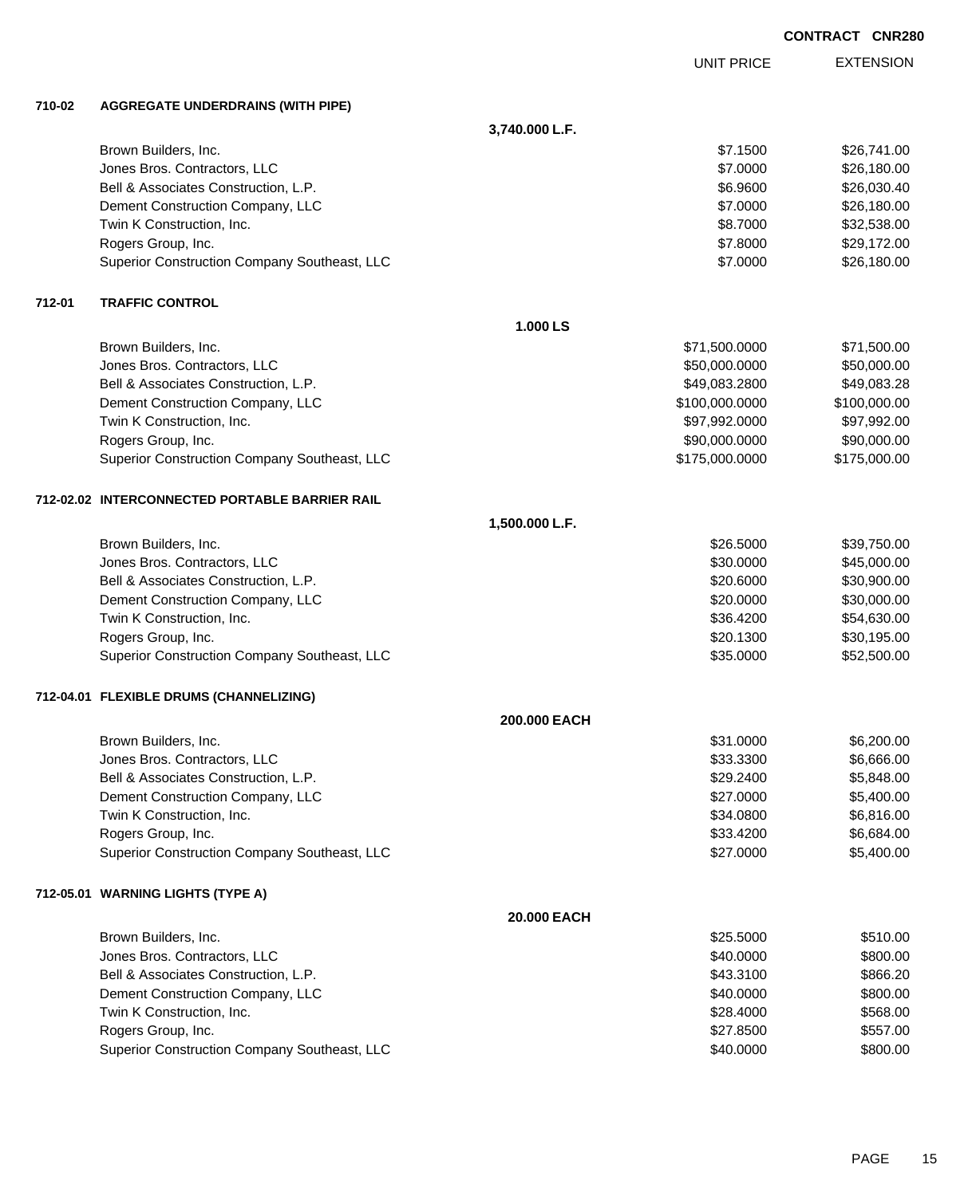|        |                                                |                |                   | <b>CONTRACT CNR280</b> |                  |
|--------|------------------------------------------------|----------------|-------------------|------------------------|------------------|
|        |                                                |                | <b>UNIT PRICE</b> |                        | <b>EXTENSION</b> |
| 710-02 | <b>AGGREGATE UNDERDRAINS (WITH PIPE)</b>       |                |                   |                        |                  |
|        |                                                | 3,740.000 L.F. |                   |                        |                  |
|        | Brown Builders, Inc.                           |                | \$7.1500          |                        | \$26,741.00      |
|        | Jones Bros. Contractors, LLC                   |                | \$7.0000          |                        | \$26,180.00      |
|        | Bell & Associates Construction, L.P.           |                | \$6.9600          |                        | \$26,030.40      |
|        | Dement Construction Company, LLC               |                | \$7.0000          |                        | \$26,180.00      |
|        | Twin K Construction, Inc.                      |                | \$8.7000          |                        | \$32,538.00      |
|        | Rogers Group, Inc.                             |                | \$7.8000          |                        | \$29,172.00      |
|        | Superior Construction Company Southeast, LLC   |                | \$7.0000          |                        | \$26,180.00      |
| 712-01 | <b>TRAFFIC CONTROL</b>                         |                |                   |                        |                  |
|        |                                                | 1.000 LS       |                   |                        |                  |
|        | Brown Builders, Inc.                           |                | \$71,500.0000     |                        | \$71,500.00      |
|        | Jones Bros. Contractors, LLC                   |                | \$50,000.0000     |                        | \$50,000.00      |
|        | Bell & Associates Construction, L.P.           |                | \$49,083.2800     |                        | \$49,083.28      |
|        | Dement Construction Company, LLC               |                | \$100,000.0000    |                        | \$100,000.00     |
|        | Twin K Construction, Inc.                      |                | \$97,992.0000     |                        | \$97,992.00      |
|        | Rogers Group, Inc.                             |                | \$90,000.0000     |                        | \$90,000.00      |
|        | Superior Construction Company Southeast, LLC   |                | \$175,000.0000    |                        | \$175,000.00     |
|        | 712-02.02 INTERCONNECTED PORTABLE BARRIER RAIL |                |                   |                        |                  |
|        |                                                | 1,500.000 L.F. |                   |                        |                  |
|        | Brown Builders, Inc.                           |                | \$26.5000         |                        | \$39,750.00      |
|        | Jones Bros. Contractors, LLC                   |                | \$30.0000         |                        | \$45,000.00      |
|        | Bell & Associates Construction, L.P.           |                | \$20.6000         |                        | \$30,900.00      |
|        | Dement Construction Company, LLC               |                | \$20.0000         |                        | \$30,000.00      |
|        | Twin K Construction, Inc.                      |                | \$36.4200         |                        | \$54,630.00      |
|        | Rogers Group, Inc.                             |                | \$20.1300         |                        | \$30,195.00      |
|        | Superior Construction Company Southeast, LLC   |                | \$35.0000         |                        | \$52,500.00      |
|        | 712-04.01 FLEXIBLE DRUMS (CHANNELIZING)        |                |                   |                        |                  |
|        |                                                | 200.000 EACH   |                   |                        |                  |
|        | Brown Builders, Inc.                           |                | \$31.0000         |                        | \$6,200.00       |
|        | Jones Bros. Contractors, LLC                   |                | \$33.3300         |                        | \$6,666.00       |
|        | Bell & Associates Construction, L.P.           |                | \$29.2400         |                        | \$5,848.00       |
|        | Dement Construction Company, LLC               |                | \$27.0000         |                        | \$5,400.00       |
|        | Twin K Construction, Inc.                      |                | \$34.0800         |                        | \$6,816.00       |
|        | Rogers Group, Inc.                             |                | \$33.4200         |                        | \$6,684.00       |
|        | Superior Construction Company Southeast, LLC   |                | \$27,0000         |                        | \$5,400.00       |
|        | 712-05.01 WARNING LIGHTS (TYPE A)              |                |                   |                        |                  |
|        |                                                | 20.000 EACH    |                   |                        |                  |
|        | Brown Builders, Inc.                           |                | \$25.5000         |                        | \$510.00         |
|        | Jones Bros. Contractors, LLC                   |                | \$40.0000         |                        | \$800.00         |
|        | Bell & Associates Construction, L.P.           |                | \$43.3100         |                        | \$866.20         |
|        | Dement Construction Company, LLC               |                | \$40.0000         |                        | \$800.00         |
|        | Twin K Construction, Inc.                      |                | \$28.4000         |                        | \$568.00         |
|        | Rogers Group, Inc.                             |                | \$27.8500         |                        | \$557.00         |
|        | Superior Construction Company Southeast, LLC   |                | \$40.0000         |                        | \$800.00         |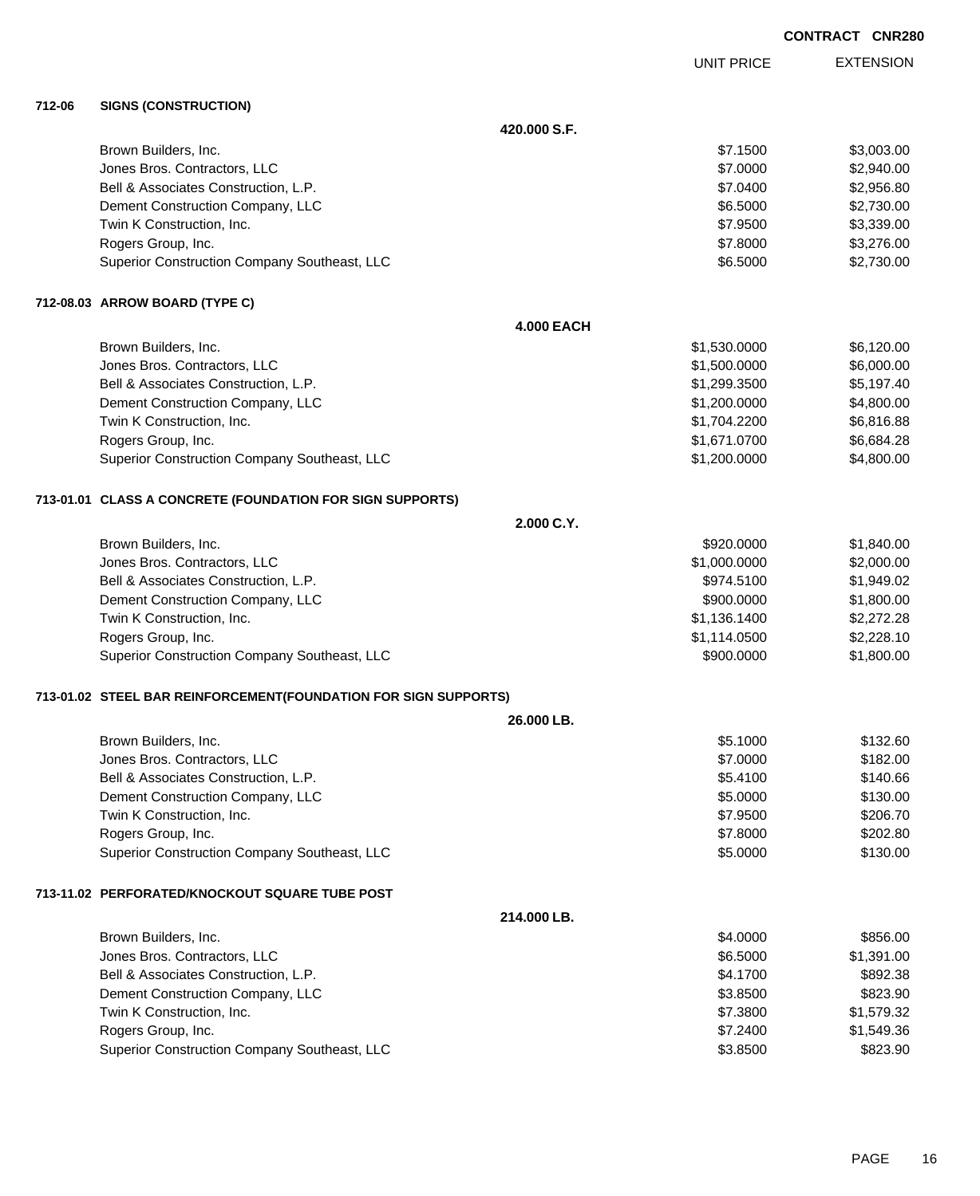**EXTENSION CONTRACT CNR280** UNIT PRICE **420.000 S.F.** Brown Builders, Inc. \$3,003.00 \$3,003.00 \$3,003.00 \$3,003.00 \$3,003.00 \$3,003.00 \$3,003.00 \$3,003.00 \$3,003.00 Jones Bros. Contractors, LLC \$7.0000 \$2,940.00 Bell & Associates Construction, L.P. \$7.0400 \$2,956.80 Dement Construction Company, LLC 6.6000 \$2,730.00 Twin K Construction, Inc. 63,339.00 \$3,339.00 \$3,339.00 \$3,339.00 \$3,339.00 \$3,339.00 \$3,339.00 \$3,339.00 \$3,339.00 \$3,339.00 \$3,339.00 \$3,339.00 \$3,339.00 \$3,339.00 \$3,339.00 \$3,339.00 \$3,339.00 \$3,339.00 \$3,339.00 \$4,4 \$ Rogers Group, Inc. \$3,276.00 Superior Construction Company Southeast, LLC  $$6.5000$  \$2,730.00 **4.000 EACH** Brown Builders, Inc. 6. 120.00 \$6,120.00 \$6,120.00 \$6,120.00 \$6,120.00 \$6,120.00 \$6,120.00 \$6,120.00 \$6,120.00

dones Bros. Contractors, LLC 6,000.00 \$6,000.00 \$6,000.00 Bell & Associates Construction, L.P.  $$1,299.3500$   $$5,197.40$ Dement Construction Company, LLC 6. The matrix of the state of the state of the state of the state of the state of the state of the state of the state of the state of the state of the state of the state of the state of the Twin K Construction, Inc. 66,816.88 Rogers Group, Inc. \$1,671.0700 \$6,684.28 Superior Construction Company Southeast, LLC  $$1,200.0000$  \$4,800.00

### **713-01.01 CLASS A CONCRETE (FOUNDATION FOR SIGN SUPPORTS)**

**712-06 SIGNS (CONSTRUCTION)**

**712-08.03 ARROW BOARD (TYPE C)**

| 2.000 C.Y.                                   |              |            |
|----------------------------------------------|--------------|------------|
| Brown Builders, Inc.                         | \$920,0000   | \$1,840.00 |
| Jones Bros. Contractors, LLC                 | \$1,000.0000 | \$2,000.00 |
| Bell & Associates Construction, L.P.         | \$974.5100   | \$1,949.02 |
| Dement Construction Company, LLC             | \$900,0000   | \$1,800.00 |
| Twin K Construction, Inc.                    | \$1,136.1400 | \$2,272,28 |
| Rogers Group, Inc.                           | \$1,114.0500 | \$2,228.10 |
| Superior Construction Company Southeast, LLC | \$900,0000   | \$1,800.00 |

## **713-01.02 STEEL BAR REINFORCEMENT(FOUNDATION FOR SIGN SUPPORTS)**

| 26.000 LB.                                   |          |          |
|----------------------------------------------|----------|----------|
| Brown Builders, Inc.                         | \$5.1000 | \$132.60 |
| Jones Bros. Contractors, LLC                 | \$7,0000 | \$182.00 |
| Bell & Associates Construction, L.P.         | \$5.4100 | \$140.66 |
| Dement Construction Company, LLC             | \$5,0000 | \$130.00 |
| Twin K Construction, Inc.                    | \$7,9500 | \$206.70 |
| Rogers Group, Inc.                           | \$7,8000 | \$202.80 |
| Superior Construction Company Southeast, LLC | \$5,0000 | \$130.00 |
|                                              |          |          |

#### **713-11.02 PERFORATED/KNOCKOUT SQUARE TUBE POST**

| 214.000 LB.                                  |          |            |
|----------------------------------------------|----------|------------|
| Brown Builders, Inc.                         | \$4,0000 | \$856.00   |
| Jones Bros. Contractors, LLC                 | \$6,5000 | \$1,391.00 |
| Bell & Associates Construction, L.P.         | \$4.1700 | \$892.38   |
| Dement Construction Company, LLC             | \$3,8500 | \$823.90   |
| Twin K Construction, Inc.                    | \$7,3800 | \$1,579.32 |
| Rogers Group, Inc.                           | \$7,2400 | \$1,549.36 |
| Superior Construction Company Southeast, LLC | \$3,8500 | \$823.90   |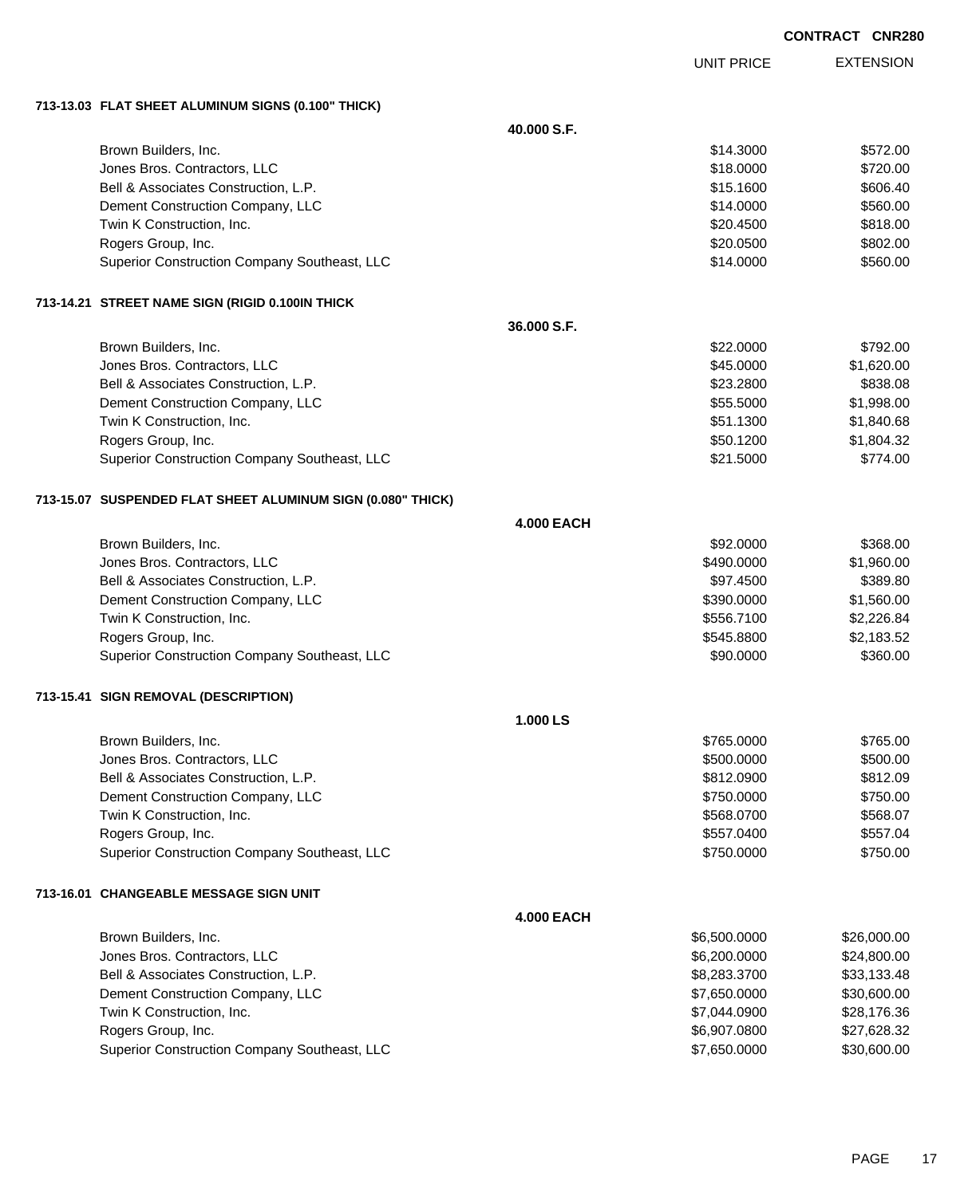UNIT PRICE

EXTENSION

**713-13.03 FLAT SHEET ALUMINUM SIGNS (0.100" THICK)**

|                                                             | 40,000 S.F.       |              |             |
|-------------------------------------------------------------|-------------------|--------------|-------------|
| Brown Builders, Inc.                                        |                   | \$14.3000    | \$572.00    |
| Jones Bros. Contractors, LLC                                |                   | \$18.0000    | \$720.00    |
| Bell & Associates Construction, L.P.                        |                   | \$15.1600    | \$606.40    |
| Dement Construction Company, LLC                            |                   | \$14.0000    | \$560.00    |
| Twin K Construction, Inc.                                   |                   | \$20.4500    | \$818.00    |
| Rogers Group, Inc.                                          |                   | \$20.0500    | \$802.00    |
| Superior Construction Company Southeast, LLC                |                   | \$14.0000    | \$560.00    |
| 713-14.21 STREET NAME SIGN (RIGID 0.100IN THICK             |                   |              |             |
|                                                             | 36.000 S.F.       |              |             |
| Brown Builders, Inc.                                        |                   | \$22.0000    | \$792.00    |
| Jones Bros. Contractors, LLC                                |                   | \$45.0000    | \$1,620.00  |
| Bell & Associates Construction, L.P.                        |                   | \$23.2800    | \$838.08    |
| Dement Construction Company, LLC                            |                   | \$55.5000    | \$1,998.00  |
| Twin K Construction, Inc.                                   |                   | \$51.1300    | \$1,840.68  |
| Rogers Group, Inc.                                          |                   | \$50.1200    | \$1,804.32  |
| Superior Construction Company Southeast, LLC                |                   | \$21.5000    | \$774.00    |
| 713-15.07 SUSPENDED FLAT SHEET ALUMINUM SIGN (0.080" THICK) |                   |              |             |
|                                                             | <b>4.000 EACH</b> |              |             |
| Brown Builders, Inc.                                        |                   | \$92.0000    | \$368.00    |
| Jones Bros. Contractors, LLC                                |                   | \$490.0000   | \$1,960.00  |
| Bell & Associates Construction, L.P.                        |                   | \$97.4500    | \$389.80    |
| Dement Construction Company, LLC                            |                   | \$390.0000   | \$1,560.00  |
| Twin K Construction, Inc.                                   |                   | \$556.7100   | \$2,226.84  |
| Rogers Group, Inc.                                          |                   | \$545.8800   | \$2,183.52  |
| Superior Construction Company Southeast, LLC                |                   | \$90.0000    | \$360.00    |
| 713-15.41 SIGN REMOVAL (DESCRIPTION)                        |                   |              |             |
|                                                             | 1.000 LS          |              |             |
| Brown Builders, Inc.                                        |                   | \$765.0000   | \$765.00    |
| Jones Bros. Contractors, LLC                                |                   | \$500.0000   | \$500.00    |
| Bell & Associates Construction, L.P.                        |                   | \$812.0900   | \$812.09    |
| Dement Construction Company, LLC                            |                   | \$750.0000   | \$750.00    |
| Twin K Construction, Inc.                                   |                   | \$568.0700   | \$568.07    |
| Rogers Group, Inc.                                          |                   | \$557.0400   | \$557.04    |
| Superior Construction Company Southeast, LLC                |                   | \$750.0000   | \$750.00    |
| 713-16.01 CHANGEABLE MESSAGE SIGN UNIT                      |                   |              |             |
|                                                             | <b>4.000 EACH</b> |              |             |
| Brown Builders, Inc.                                        |                   | \$6,500.0000 | \$26,000.00 |
| Jones Bros. Contractors, LLC                                |                   | \$6,200.0000 | \$24,800.00 |
| Bell & Associates Construction, L.P.                        |                   | \$8,283.3700 | \$33,133.48 |
| Dement Construction Company, LLC                            |                   | \$7,650.0000 | \$30,600.00 |
| Twin K Construction, Inc.                                   |                   | \$7,044.0900 | \$28,176.36 |
| Rogers Group, Inc.                                          |                   | \$6,907.0800 | \$27,628.32 |
| Superior Construction Company Southeast, LLC                |                   | \$7,650.0000 | \$30,600.00 |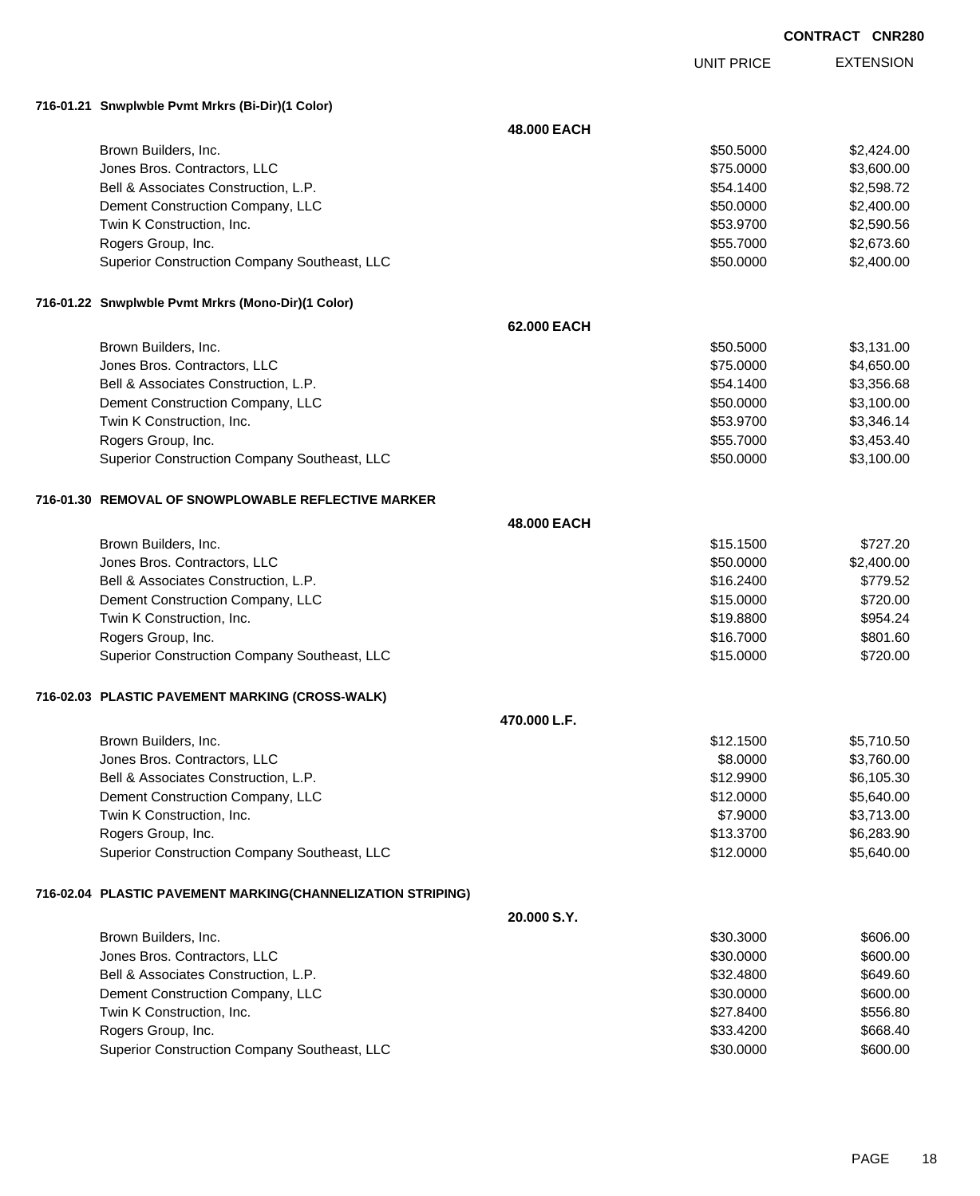UNIT PRICE

EXTENSION

**716-01.21 Snwplwble Pvmt Mrkrs (Bi-Dir)(1 Color)**

|                                                             | 48.000 EACH  |           |            |
|-------------------------------------------------------------|--------------|-----------|------------|
| Brown Builders, Inc.                                        |              | \$50.5000 | \$2,424.00 |
| Jones Bros. Contractors, LLC                                |              | \$75.0000 | \$3,600.00 |
| Bell & Associates Construction, L.P.                        |              | \$54.1400 | \$2,598.72 |
| Dement Construction Company, LLC                            |              | \$50.0000 | \$2,400.00 |
| Twin K Construction, Inc.                                   |              | \$53.9700 | \$2,590.56 |
| Rogers Group, Inc.                                          |              | \$55.7000 | \$2,673.60 |
| Superior Construction Company Southeast, LLC                |              | \$50.0000 | \$2,400.00 |
| 716-01.22 Snwplwble Pvmt Mrkrs (Mono-Dir)(1 Color)          |              |           |            |
|                                                             | 62.000 EACH  |           |            |
| Brown Builders, Inc.                                        |              | \$50.5000 | \$3,131.00 |
| Jones Bros. Contractors, LLC                                |              | \$75.0000 | \$4,650.00 |
| Bell & Associates Construction, L.P.                        |              | \$54.1400 | \$3,356.68 |
| Dement Construction Company, LLC                            |              | \$50.0000 | \$3,100.00 |
| Twin K Construction, Inc.                                   |              | \$53.9700 | \$3,346.14 |
| Rogers Group, Inc.                                          |              | \$55.7000 | \$3,453.40 |
| Superior Construction Company Southeast, LLC                |              | \$50.0000 | \$3,100.00 |
| 716-01.30   REMOVAL OF SNOWPLOWABLE REFLECTIVE MARKER       |              |           |            |
|                                                             | 48.000 EACH  |           |            |
| Brown Builders, Inc.                                        |              | \$15.1500 | \$727.20   |
| Jones Bros. Contractors, LLC                                |              | \$50.0000 | \$2,400.00 |
| Bell & Associates Construction, L.P.                        |              | \$16.2400 | \$779.52   |
| Dement Construction Company, LLC                            |              | \$15.0000 | \$720.00   |
| Twin K Construction, Inc.                                   |              | \$19.8800 | \$954.24   |
| Rogers Group, Inc.                                          |              | \$16.7000 | \$801.60   |
| Superior Construction Company Southeast, LLC                |              | \$15.0000 | \$720.00   |
| 716-02.03 PLASTIC PAVEMENT MARKING (CROSS-WALK)             |              |           |            |
|                                                             | 470.000 L.F. |           |            |
| Brown Builders, Inc.                                        |              | \$12.1500 | \$5,710.50 |
| Jones Bros. Contractors, LLC                                |              | \$8.0000  | \$3,760.00 |
| Bell & Associates Construction, L.P.                        |              | \$12.9900 | \$6,105.30 |
| Dement Construction Company, LLC                            |              | \$12.0000 | \$5,640.00 |
| Twin K Construction, Inc.                                   |              | \$7.9000  | \$3,713.00 |
| Rogers Group, Inc.                                          |              | \$13.3700 | \$6,283.90 |
| Superior Construction Company Southeast, LLC                |              | \$12.0000 | \$5,640.00 |
| 716-02.04 PLASTIC PAVEMENT MARKING(CHANNELIZATION STRIPING) |              |           |            |
|                                                             | 20.000 S.Y.  |           |            |
| Brown Builders, Inc.                                        |              | \$30.3000 | \$606.00   |
| Jones Bros. Contractors, LLC                                |              | \$30.0000 | \$600.00   |
| Bell & Associates Construction, L.P.                        |              | \$32.4800 | \$649.60   |
| Dement Construction Company, LLC                            |              | \$30.0000 | \$600.00   |
| Twin K Construction, Inc.                                   |              | \$27.8400 | \$556.80   |
| Rogers Group, Inc.                                          |              | \$33.4200 | \$668.40   |
| Superior Construction Company Southeast, LLC                |              | \$30.0000 | \$600.00   |
|                                                             |              |           |            |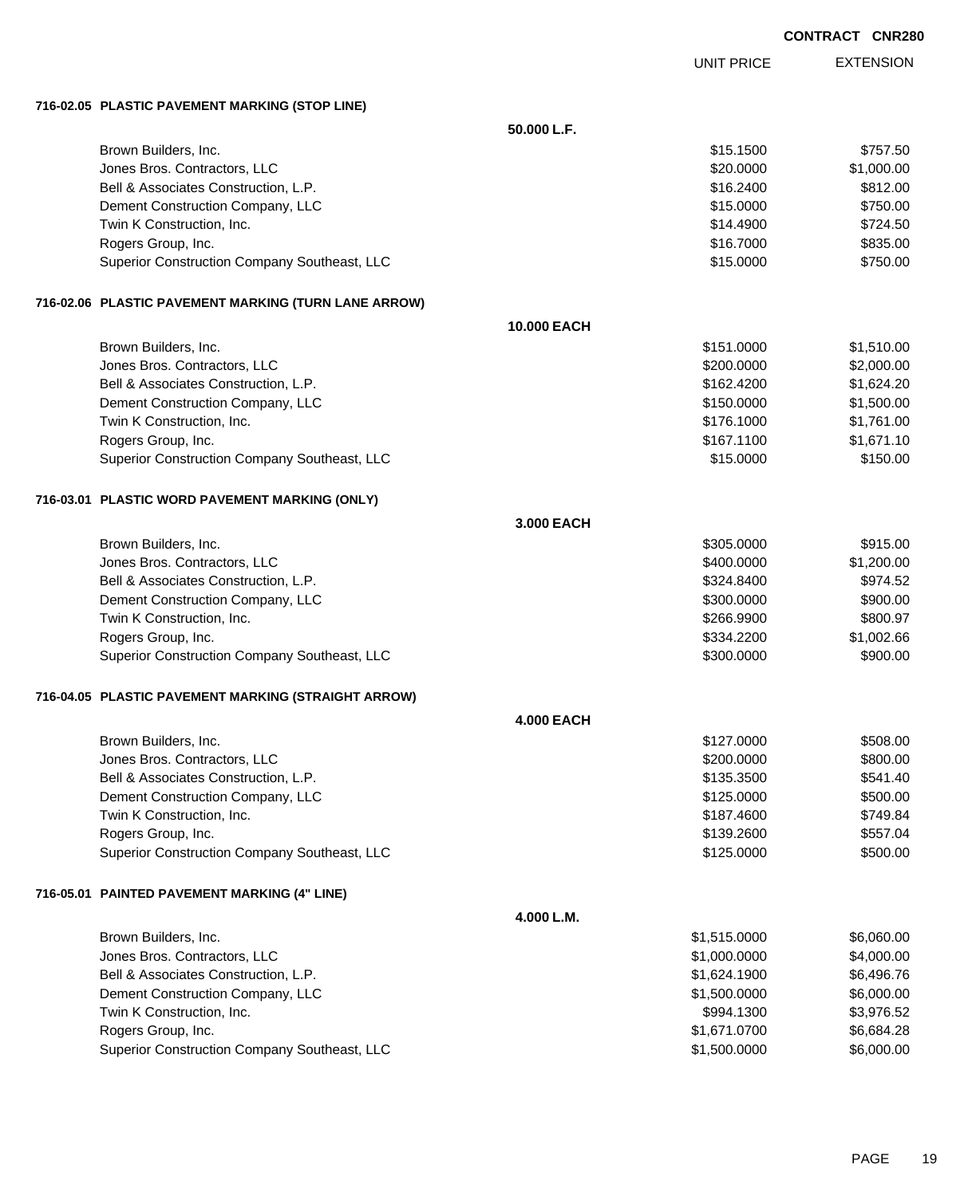UNIT PRICE

EXTENSION

**716-02.05 PLASTIC PAVEMENT MARKING (STOP LINE)**

|  | 710-02.03 FLASTIC FAVEWENT WARRING (STOF LINE)       |                    |              |            |
|--|------------------------------------------------------|--------------------|--------------|------------|
|  |                                                      | 50.000 L.F.        |              |            |
|  | Brown Builders, Inc.                                 |                    | \$15.1500    | \$757.50   |
|  | Jones Bros. Contractors, LLC                         |                    | \$20.0000    | \$1,000.00 |
|  | Bell & Associates Construction, L.P.                 |                    | \$16.2400    | \$812.00   |
|  | Dement Construction Company, LLC                     |                    | \$15.0000    | \$750.00   |
|  | Twin K Construction, Inc.                            |                    | \$14.4900    | \$724.50   |
|  | Rogers Group, Inc.                                   |                    | \$16.7000    | \$835.00   |
|  | Superior Construction Company Southeast, LLC         |                    | \$15.0000    | \$750.00   |
|  | 716-02.06 PLASTIC PAVEMENT MARKING (TURN LANE ARROW) |                    |              |            |
|  |                                                      | <b>10.000 EACH</b> |              |            |
|  | Brown Builders, Inc.                                 |                    | \$151.0000   | \$1,510.00 |
|  | Jones Bros. Contractors, LLC                         |                    | \$200.0000   | \$2,000.00 |
|  | Bell & Associates Construction, L.P.                 |                    | \$162.4200   | \$1,624.20 |
|  | Dement Construction Company, LLC                     |                    | \$150.0000   | \$1,500.00 |
|  | Twin K Construction, Inc.                            |                    | \$176.1000   | \$1,761.00 |
|  | Rogers Group, Inc.                                   |                    | \$167.1100   | \$1,671.10 |
|  | Superior Construction Company Southeast, LLC         |                    | \$15.0000    | \$150.00   |
|  | 716-03.01 PLASTIC WORD PAVEMENT MARKING (ONLY)       |                    |              |            |
|  |                                                      | 3.000 EACH         |              |            |
|  | Brown Builders, Inc.                                 |                    | \$305.0000   | \$915.00   |
|  | Jones Bros. Contractors, LLC                         |                    | \$400.0000   | \$1,200.00 |
|  | Bell & Associates Construction, L.P.                 |                    | \$324.8400   | \$974.52   |
|  | Dement Construction Company, LLC                     |                    | \$300.0000   | \$900.00   |
|  | Twin K Construction, Inc.                            |                    | \$266.9900   | \$800.97   |
|  | Rogers Group, Inc.                                   |                    | \$334.2200   | \$1,002.66 |
|  | Superior Construction Company Southeast, LLC         |                    | \$300.0000   | \$900.00   |
|  | 716-04.05 PLASTIC PAVEMENT MARKING (STRAIGHT ARROW)  |                    |              |            |
|  |                                                      | <b>4.000 EACH</b>  |              |            |
|  | Brown Builders, Inc.                                 |                    | \$127.0000   | \$508.00   |
|  | Jones Bros. Contractors, LLC                         |                    | \$200.0000   | \$800.00   |
|  | Bell & Associates Construction, L.P.                 |                    | \$135.3500   | \$541.40   |
|  | Dement Construction Company, LLC                     |                    | \$125.0000   | \$500.00   |
|  | Twin K Construction, Inc.                            |                    | \$187.4600   | \$749.84   |
|  | Rogers Group, Inc.                                   |                    | \$139.2600   | \$557.04   |
|  | Superior Construction Company Southeast, LLC         |                    | \$125.0000   | \$500.00   |
|  | 716-05.01 PAINTED PAVEMENT MARKING (4" LINE)         |                    |              |            |
|  |                                                      | 4.000 L.M.         |              |            |
|  | Brown Builders, Inc.                                 |                    | \$1,515.0000 | \$6,060.00 |
|  | Jones Bros. Contractors, LLC                         |                    | \$1,000.0000 | \$4,000.00 |
|  | Bell & Associates Construction, L.P.                 |                    | \$1,624.1900 | \$6,496.76 |
|  | Dement Construction Company, LLC                     |                    | \$1,500.0000 | \$6,000.00 |
|  | Twin K Construction, Inc.                            |                    | \$994.1300   | \$3,976.52 |
|  | Rogers Group, Inc.                                   |                    | \$1,671.0700 | \$6,684.28 |
|  | Superior Construction Company Southeast, LLC         |                    | \$1,500.0000 | \$6,000.00 |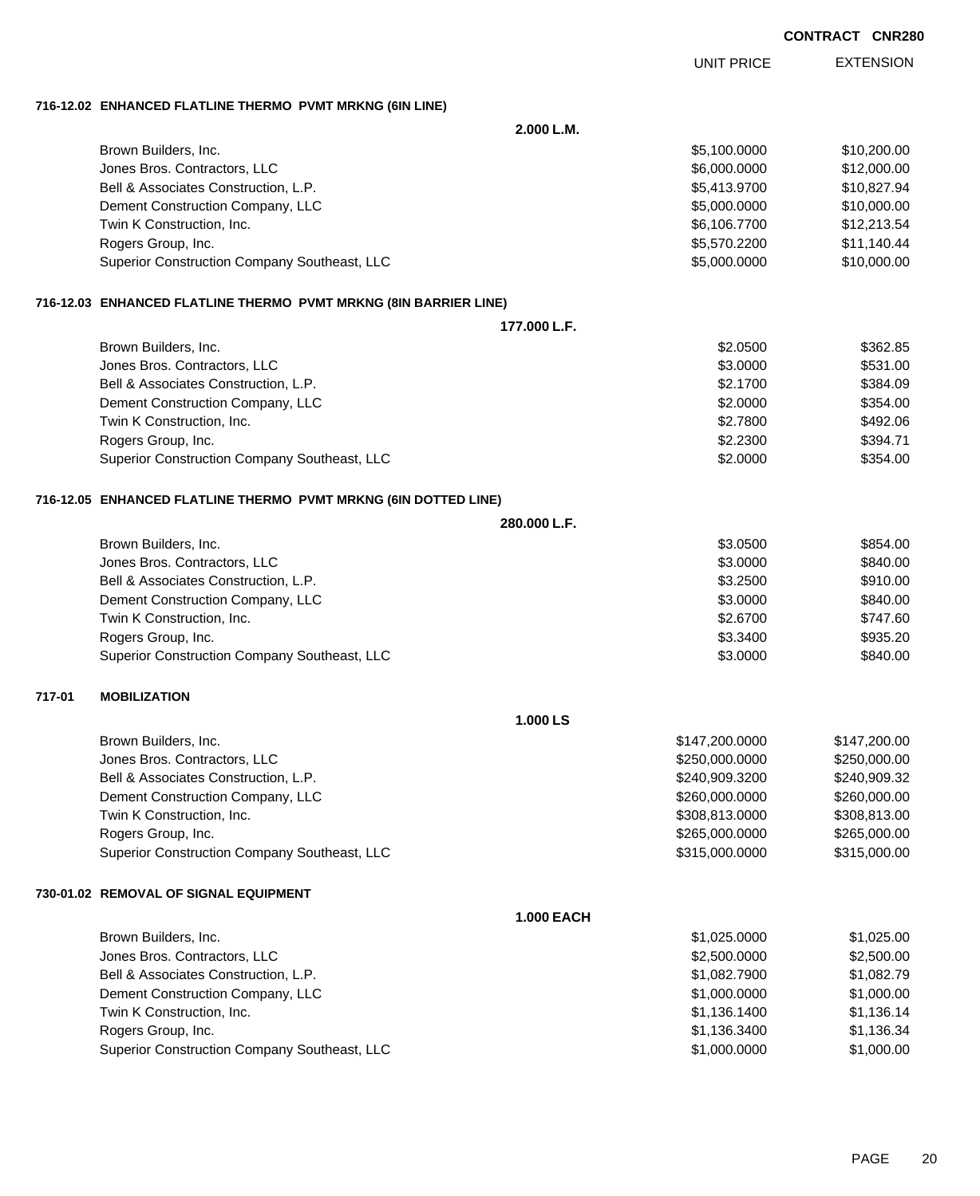EXTENSION UNIT PRICE

## **716-12.02 ENHANCED FLATLINE THERMO PVMT MRKNG (6IN LINE)**

|        |                                                                     | 2.000 L.M.   |                |              |  |
|--------|---------------------------------------------------------------------|--------------|----------------|--------------|--|
|        | Brown Builders, Inc.                                                |              | \$5,100.0000   | \$10,200.00  |  |
|        | Jones Bros. Contractors, LLC                                        |              | \$6,000.0000   | \$12,000.00  |  |
|        | Bell & Associates Construction, L.P.                                |              | \$5,413.9700   | \$10,827.94  |  |
|        | Dement Construction Company, LLC                                    |              | \$5,000.0000   | \$10,000.00  |  |
|        | Twin K Construction, Inc.                                           |              | \$6,106.7700   | \$12,213.54  |  |
|        | Rogers Group, Inc.                                                  |              | \$5,570.2200   | \$11,140.44  |  |
|        | Superior Construction Company Southeast, LLC                        |              | \$5,000.0000   | \$10,000.00  |  |
|        | 716-12.03   ENHANCED FLATLINE THERMO  PVMT MRKNG (8IN BARRIER LINE) |              |                |              |  |
|        |                                                                     | 177,000 L.F. |                |              |  |
|        | Brown Builders, Inc.                                                |              | \$2.0500       | \$362.85     |  |
|        | Jones Bros. Contractors, LLC                                        |              | \$3.0000       | \$531.00     |  |
|        | Bell & Associates Construction, L.P.                                |              | \$2.1700       | \$384.09     |  |
|        | Dement Construction Company, LLC                                    |              | \$2.0000       | \$354.00     |  |
|        | Twin K Construction, Inc.                                           |              | \$2.7800       | \$492.06     |  |
|        | Rogers Group, Inc.                                                  |              | \$2.2300       | \$394.71     |  |
|        | Superior Construction Company Southeast, LLC                        |              | \$2.0000       | \$354.00     |  |
|        | 716-12.05 ENHANCED FLATLINE THERMO PVMT MRKNG (6IN DOTTED LINE)     |              |                |              |  |
|        | 280,000 L.F.                                                        |              |                |              |  |
|        | Brown Builders, Inc.                                                |              | \$3.0500       | \$854.00     |  |
|        | Jones Bros. Contractors, LLC                                        |              | \$3.0000       | \$840.00     |  |
|        | Bell & Associates Construction, L.P.                                |              | \$3.2500       | \$910.00     |  |
|        | Dement Construction Company, LLC                                    |              | \$3.0000       | \$840.00     |  |
|        | Twin K Construction, Inc.                                           |              | \$2.6700       | \$747.60     |  |
|        | Rogers Group, Inc.                                                  |              | \$3.3400       | \$935.20     |  |
|        | Superior Construction Company Southeast, LLC                        |              | \$3.0000       | \$840.00     |  |
| 717-01 | <b>MOBILIZATION</b>                                                 |              |                |              |  |
|        |                                                                     | 1.000 LS     |                |              |  |
|        | Brown Builders, Inc.                                                |              | \$147,200.0000 | \$147,200.00 |  |
|        | Jones Bros. Contractors, LLC                                        |              | \$250,000.0000 | \$250,000.00 |  |
|        | Bell & Associates Construction, L.P.                                |              | \$240,909.3200 | \$240,909.32 |  |
|        | Dement Construction Company, LLC                                    |              | \$260,000.0000 | \$260,000.00 |  |
|        | Twin K Construction, Inc.                                           |              | \$308,813.0000 | \$308,813.00 |  |
|        | Rogers Group, Inc.                                                  |              | \$265,000.0000 | \$265,000.00 |  |
|        | Superior Construction Company Southeast, LLC                        |              | \$315,000.0000 | \$315,000.00 |  |
|        | 730-01.02 REMOVAL OF SIGNAL EQUIPMENT                               |              |                |              |  |
|        | <b>1.000 EACH</b>                                                   |              |                |              |  |
|        | Brown Builders, Inc.                                                |              | \$1,025.0000   | \$1,025.00   |  |
|        | Jones Bros. Contractors, LLC                                        |              | \$2,500.0000   | \$2,500.00   |  |
|        | Bell & Associates Construction, L.P.                                |              | \$1,082.7900   | \$1,082.79   |  |
|        | Dement Construction Company, LLC                                    |              | \$1,000.0000   | \$1,000.00   |  |
|        | Twin K Construction, Inc.                                           |              | \$1,136.1400   | \$1,136.14   |  |
|        | Rogers Group, Inc.                                                  |              | \$1,136.3400   | \$1,136.34   |  |
|        | Superior Construction Company Southeast, LLC                        |              | \$1,000.0000   | \$1,000.00   |  |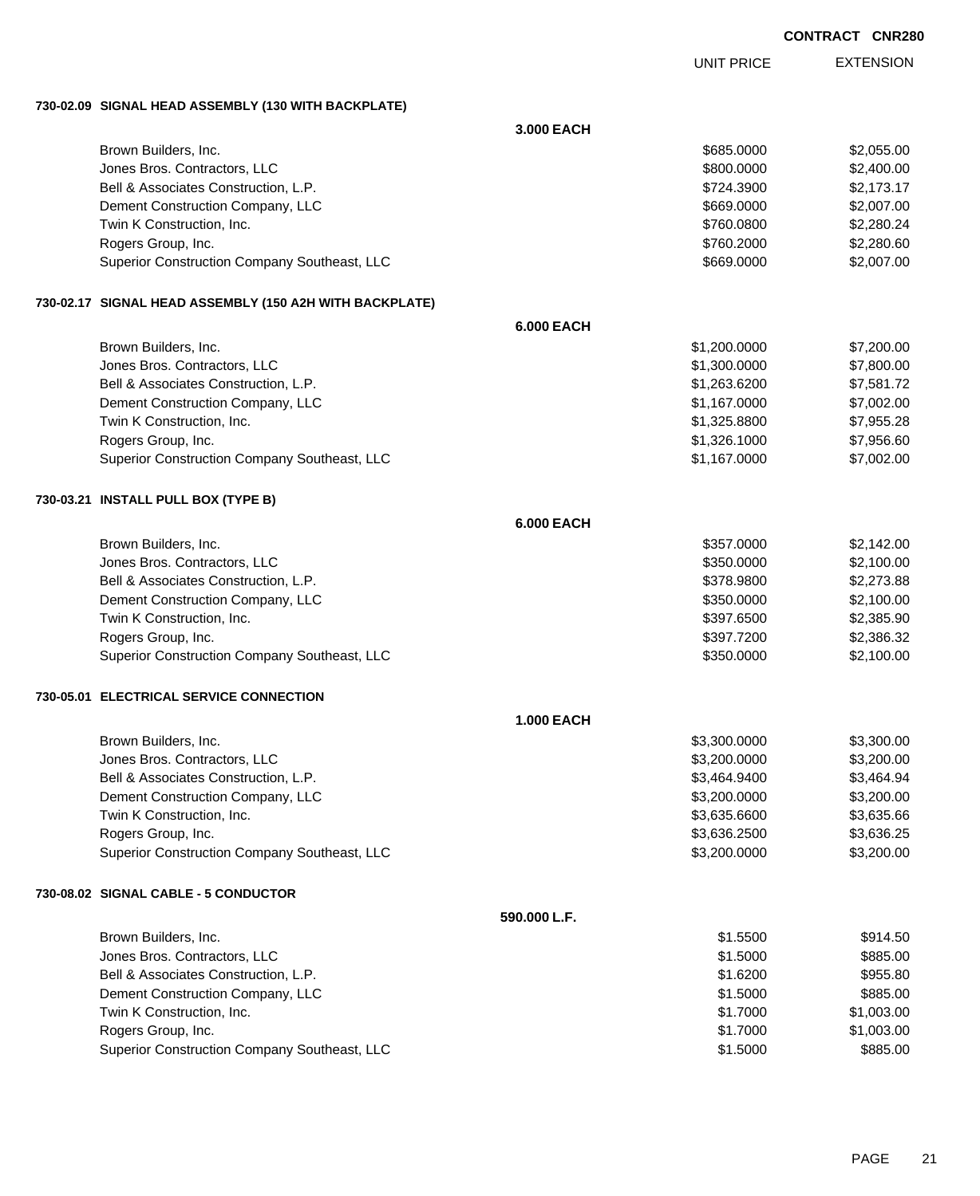EXTENSION UNIT PRICE

### **730-02.09 SIGNAL HEAD ASSEMBLY (130 WITH BACKPLATE)**

|  |                                                         | 3.000 EACH        |              |            |
|--|---------------------------------------------------------|-------------------|--------------|------------|
|  | Brown Builders, Inc.                                    |                   | \$685.0000   | \$2,055.00 |
|  | Jones Bros. Contractors, LLC                            |                   | \$800.0000   | \$2,400.00 |
|  | Bell & Associates Construction, L.P.                    |                   | \$724.3900   | \$2,173.17 |
|  | Dement Construction Company, LLC                        |                   | \$669.0000   | \$2,007.00 |
|  | Twin K Construction, Inc.                               |                   | \$760.0800   | \$2,280.24 |
|  | Rogers Group, Inc.                                      |                   | \$760.2000   | \$2,280.60 |
|  | Superior Construction Company Southeast, LLC            |                   | \$669.0000   | \$2,007.00 |
|  | 730-02.17 SIGNAL HEAD ASSEMBLY (150 A2H WITH BACKPLATE) |                   |              |            |
|  |                                                         | <b>6.000 EACH</b> |              |            |
|  | Brown Builders, Inc.                                    |                   | \$1,200.0000 | \$7,200.00 |
|  | Jones Bros. Contractors, LLC                            |                   | \$1,300.0000 | \$7,800.00 |
|  | Bell & Associates Construction, L.P.                    |                   | \$1,263.6200 | \$7,581.72 |
|  | Dement Construction Company, LLC                        |                   | \$1,167.0000 | \$7,002.00 |
|  | Twin K Construction, Inc.                               |                   | \$1,325.8800 | \$7,955.28 |
|  | Rogers Group, Inc.                                      |                   | \$1,326.1000 | \$7,956.60 |
|  | Superior Construction Company Southeast, LLC            |                   | \$1,167.0000 | \$7,002.00 |
|  | 730-03.21 INSTALL PULL BOX (TYPE B)                     |                   |              |            |
|  |                                                         | <b>6.000 EACH</b> |              |            |
|  | Brown Builders, Inc.                                    |                   | \$357.0000   | \$2,142.00 |
|  | Jones Bros. Contractors, LLC                            |                   | \$350.0000   | \$2,100.00 |
|  | Bell & Associates Construction, L.P.                    |                   | \$378.9800   | \$2,273.88 |
|  | Dement Construction Company, LLC                        |                   | \$350.0000   | \$2,100.00 |
|  | Twin K Construction, Inc.                               |                   | \$397.6500   | \$2,385.90 |
|  | Rogers Group, Inc.                                      |                   | \$397.7200   | \$2,386.32 |
|  | Superior Construction Company Southeast, LLC            |                   | \$350.0000   | \$2,100.00 |
|  | 730-05.01 ELECTRICAL SERVICE CONNECTION                 |                   |              |            |
|  |                                                         | <b>1.000 EACH</b> |              |            |
|  | Brown Builders, Inc.                                    |                   | \$3,300.0000 | \$3,300.00 |
|  | Jones Bros. Contractors, LLC                            |                   | \$3,200.0000 | \$3,200.00 |
|  | Bell & Associates Construction, L.P.                    |                   | \$3,464.9400 | \$3,464.94 |
|  | Dement Construction Company, LLC                        |                   | \$3,200.0000 | \$3,200.00 |
|  | Twin K Construction, Inc.                               |                   | \$3,635.6600 | \$3,635.66 |
|  | Rogers Group, Inc.                                      |                   | \$3,636.2500 | \$3,636.25 |
|  | Superior Construction Company Southeast, LLC            |                   | \$3,200.0000 | \$3,200.00 |
|  | 730-08.02 SIGNAL CABLE - 5 CONDUCTOR                    |                   |              |            |
|  |                                                         | 590.000 L.F.      |              |            |
|  | Brown Builders, Inc.                                    |                   | \$1.5500     | \$914.50   |
|  | Jones Bros. Contractors, LLC                            |                   | \$1.5000     | \$885.00   |
|  | Bell & Associates Construction, L.P.                    |                   | \$1.6200     | \$955.80   |
|  | Dement Construction Company, LLC                        |                   | \$1.5000     | \$885.00   |
|  | Twin K Construction, Inc.                               |                   | \$1.7000     | \$1,003.00 |
|  | Rogers Group, Inc.                                      |                   | \$1.7000     | \$1,003.00 |
|  | Superior Construction Company Southeast, LLC            |                   | \$1.5000     | \$885.00   |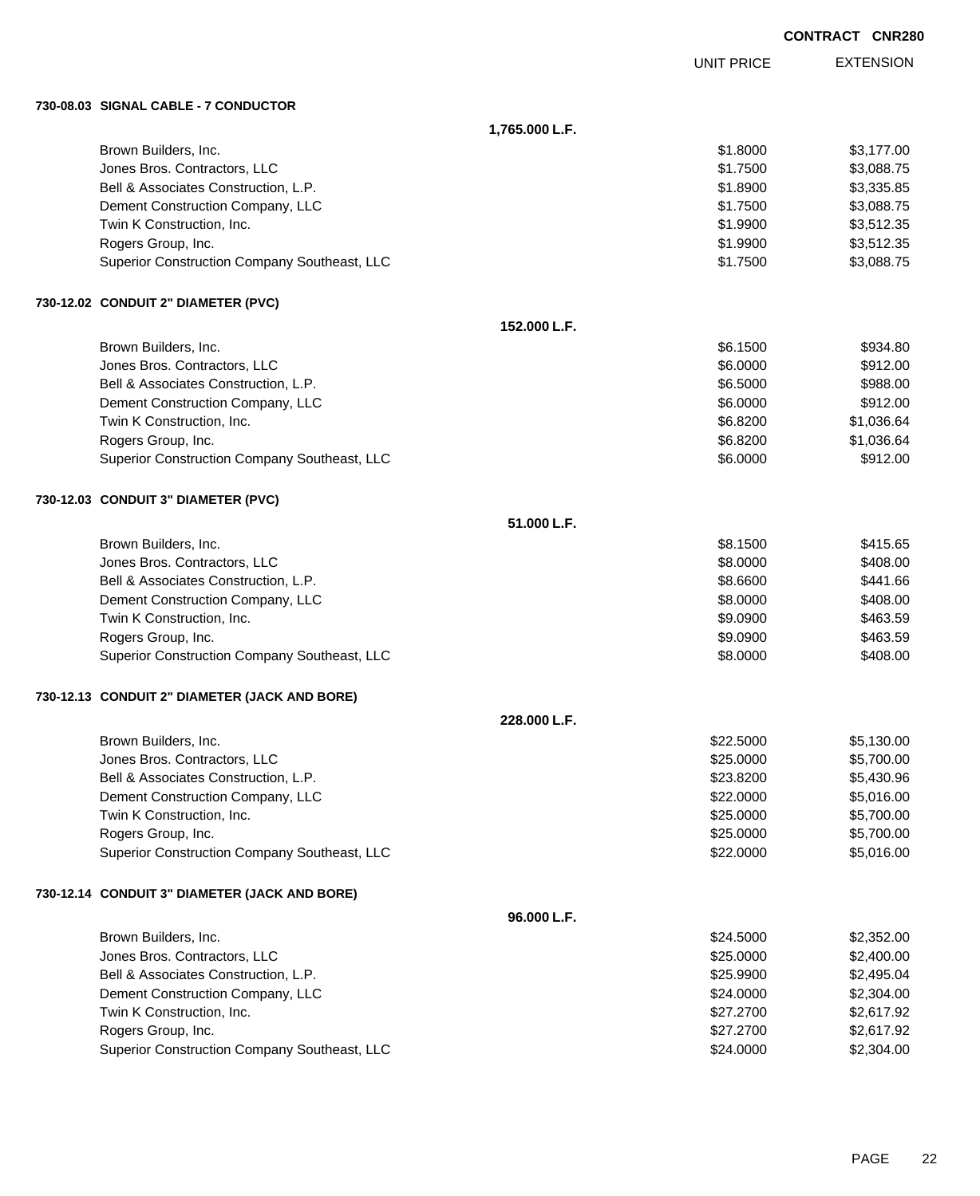|  |                                               |                |                   | <b>CONTRACT CNR280</b> |
|--|-----------------------------------------------|----------------|-------------------|------------------------|
|  |                                               |                | <b>UNIT PRICE</b> | <b>EXTENSION</b>       |
|  | 730-08.03 SIGNAL CABLE - 7 CONDUCTOR          |                |                   |                        |
|  |                                               | 1,765.000 L.F. |                   |                        |
|  | Brown Builders, Inc.                          |                | \$1.8000          | \$3,177.00             |
|  | Jones Bros. Contractors, LLC                  |                | \$1.7500          | \$3,088.75             |
|  | Bell & Associates Construction, L.P.          |                | \$1.8900          | \$3,335.85             |
|  | Dement Construction Company, LLC              |                | \$1.7500          | \$3,088.75             |
|  | Twin K Construction, Inc.                     |                | \$1.9900          | \$3,512.35             |
|  | Rogers Group, Inc.                            |                | \$1.9900          | \$3,512.35             |
|  | Superior Construction Company Southeast, LLC  |                | \$1.7500          | \$3,088.75             |
|  | 730-12.02 CONDUIT 2" DIAMETER (PVC)           |                |                   |                        |
|  |                                               | 152.000 L.F.   |                   |                        |
|  | Brown Builders, Inc.                          |                | \$6.1500          | \$934.80               |
|  | Jones Bros. Contractors, LLC                  |                | \$6.0000          | \$912.00               |
|  | Bell & Associates Construction, L.P.          |                | \$6.5000          | \$988.00               |
|  | Dement Construction Company, LLC              |                | \$6.0000          | \$912.00               |
|  | Twin K Construction, Inc.                     |                | \$6.8200          | \$1,036.64             |
|  | Rogers Group, Inc.                            |                | \$6.8200          | \$1,036.64             |
|  | Superior Construction Company Southeast, LLC  |                | \$6.0000          | \$912.00               |
|  | 730-12.03 CONDUIT 3" DIAMETER (PVC)           |                |                   |                        |
|  |                                               | 51.000 L.F.    |                   |                        |
|  | Brown Builders, Inc.                          |                | \$8.1500          | \$415.65               |
|  | Jones Bros. Contractors, LLC                  |                | \$8.0000          | \$408.00               |
|  | Bell & Associates Construction, L.P.          |                | \$8.6600          | \$441.66               |
|  | Dement Construction Company, LLC              |                | \$8.0000          | \$408.00               |
|  | Twin K Construction, Inc.                     |                | \$9.0900          | \$463.59               |
|  | Rogers Group, Inc.                            |                | \$9.0900          | \$463.59               |
|  | Superior Construction Company Southeast, LLC  |                | \$8.0000          | \$408.00               |
|  | 730-12.13 CONDUIT 2" DIAMETER (JACK AND BORE) |                |                   |                        |
|  |                                               | 228.000 L.F.   |                   |                        |
|  | Brown Builders, Inc.                          |                | \$22.5000         | \$5,130.00             |
|  | Jones Bros. Contractors, LLC                  |                | \$25.0000         | \$5,700.00             |
|  | Bell & Associates Construction, L.P.          |                | \$23.8200         | \$5,430.96             |
|  | Dement Construction Company, LLC              |                | \$22.0000         | \$5,016.00             |
|  | Twin K Construction, Inc.                     |                | \$25.0000         | \$5,700.00             |
|  | Rogers Group, Inc.                            |                | \$25.0000         | \$5,700.00             |
|  | Superior Construction Company Southeast, LLC  |                | \$22.0000         | \$5,016.00             |
|  | 730-12.14 CONDUIT 3" DIAMETER (JACK AND BORE) |                |                   |                        |
|  |                                               | 96.000 L.F.    |                   |                        |
|  | Brown Builders, Inc.                          |                | \$24.5000         | \$2,352.00             |
|  | Jones Bros. Contractors, LLC                  |                | \$25.0000         | \$2,400.00             |
|  | Bell & Associates Construction, L.P.          |                | \$25.9900         | \$2,495.04             |
|  | Dement Construction Company, LLC              |                | \$24.0000         | \$2,304.00             |
|  | Twin K Construction, Inc.                     |                | \$27.2700         | \$2,617.92             |
|  | Rogers Group, Inc.                            |                | \$27.2700         | \$2,617.92             |
|  | Superior Construction Company Southeast, LLC  |                | \$24.0000         | \$2,304.00             |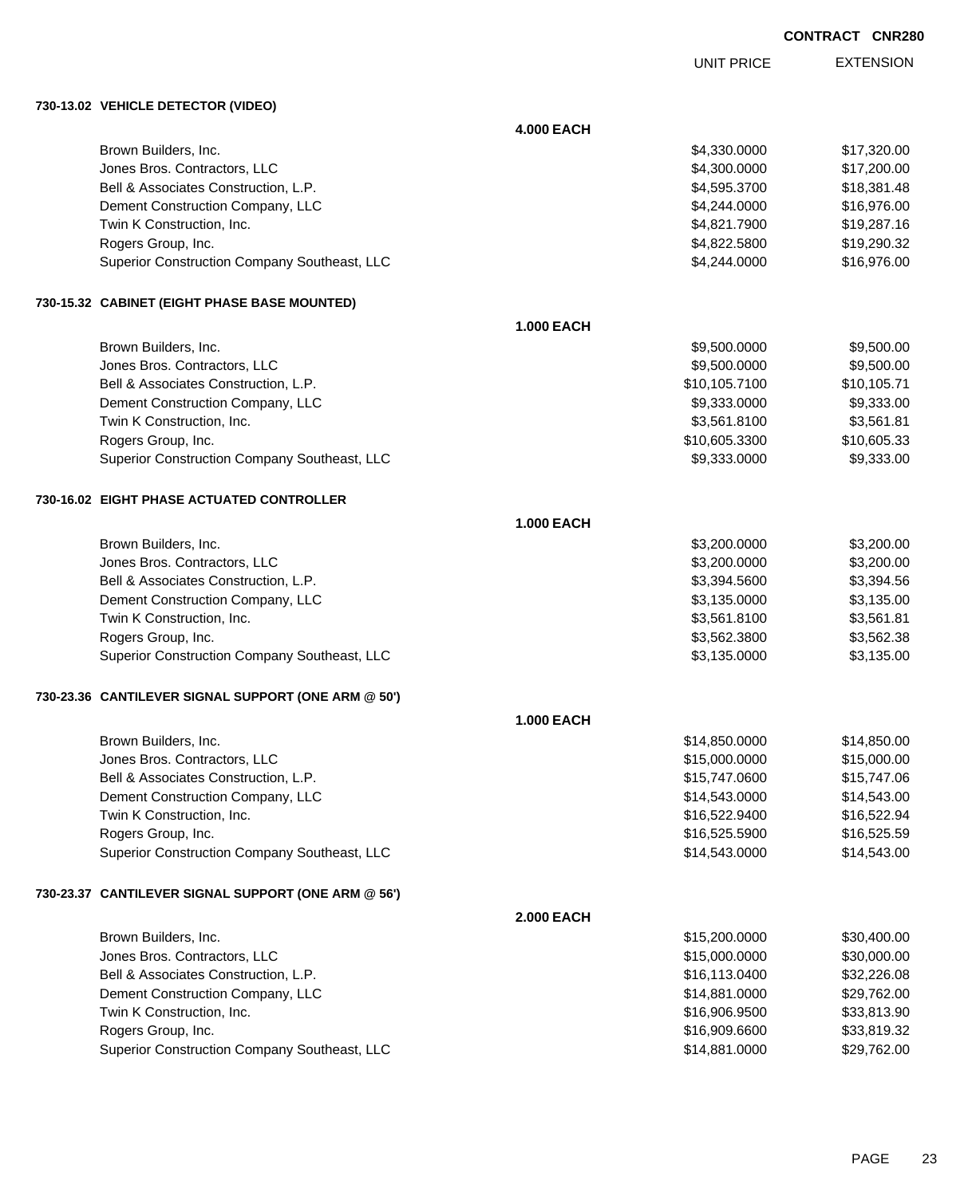UNIT PRICE

EXTENSION

**730-13.02 VEHICLE DETECTOR (VIDEO)**

|  |                                                     | <b>4.000 EACH</b> |               |             |
|--|-----------------------------------------------------|-------------------|---------------|-------------|
|  | Brown Builders, Inc.                                |                   | \$4,330.0000  | \$17,320.00 |
|  | Jones Bros. Contractors, LLC                        |                   | \$4,300.0000  | \$17,200.00 |
|  | Bell & Associates Construction, L.P.                |                   | \$4,595.3700  | \$18,381.48 |
|  | Dement Construction Company, LLC                    |                   | \$4,244.0000  | \$16,976.00 |
|  | Twin K Construction, Inc.                           |                   | \$4,821.7900  | \$19,287.16 |
|  | Rogers Group, Inc.                                  |                   | \$4,822.5800  | \$19,290.32 |
|  | Superior Construction Company Southeast, LLC        |                   | \$4,244.0000  | \$16,976.00 |
|  | 730-15.32 CABINET (EIGHT PHASE BASE MOUNTED)        |                   |               |             |
|  |                                                     | <b>1.000 EACH</b> |               |             |
|  | Brown Builders, Inc.                                |                   | \$9,500.0000  | \$9,500.00  |
|  | Jones Bros. Contractors, LLC                        |                   | \$9,500.0000  | \$9,500.00  |
|  | Bell & Associates Construction, L.P.                |                   | \$10,105.7100 | \$10,105.71 |
|  | Dement Construction Company, LLC                    |                   | \$9,333.0000  | \$9,333.00  |
|  | Twin K Construction, Inc.                           |                   | \$3,561.8100  | \$3,561.81  |
|  | Rogers Group, Inc.                                  |                   | \$10,605.3300 | \$10,605.33 |
|  | Superior Construction Company Southeast, LLC        |                   | \$9,333.0000  | \$9,333.00  |
|  | 730-16.02 EIGHT PHASE ACTUATED CONTROLLER           |                   |               |             |
|  |                                                     | <b>1.000 EACH</b> |               |             |
|  | Brown Builders, Inc.                                |                   | \$3,200.0000  | \$3,200.00  |
|  | Jones Bros. Contractors, LLC                        |                   | \$3,200.0000  | \$3,200.00  |
|  | Bell & Associates Construction, L.P.                |                   | \$3,394.5600  | \$3,394.56  |
|  | Dement Construction Company, LLC                    |                   | \$3,135.0000  | \$3,135.00  |
|  | Twin K Construction, Inc.                           |                   | \$3,561.8100  | \$3,561.81  |
|  | Rogers Group, Inc.                                  |                   | \$3,562.3800  | \$3,562.38  |
|  | Superior Construction Company Southeast, LLC        |                   | \$3,135.0000  | \$3,135.00  |
|  | 730-23.36 CANTILEVER SIGNAL SUPPORT (ONE ARM @ 50') |                   |               |             |
|  |                                                     | <b>1.000 EACH</b> |               |             |
|  | Brown Builders, Inc.                                |                   | \$14,850.0000 | \$14,850.00 |
|  | Jones Bros. Contractors, LLC                        |                   | \$15,000.0000 | \$15,000.00 |
|  | Bell & Associates Construction, L.P.                |                   | \$15,747.0600 | \$15,747.06 |
|  | Dement Construction Company, LLC                    |                   | \$14,543.0000 | \$14,543.00 |
|  | Twin K Construction, Inc.                           |                   | \$16,522.9400 | \$16,522.94 |
|  | Rogers Group, Inc.                                  |                   | \$16,525.5900 | \$16,525.59 |
|  | Superior Construction Company Southeast, LLC        |                   | \$14,543.0000 | \$14,543.00 |
|  | 730-23.37 CANTILEVER SIGNAL SUPPORT (ONE ARM @ 56') |                   |               |             |
|  |                                                     | <b>2.000 EACH</b> |               |             |
|  | Brown Builders, Inc.                                |                   | \$15,200.0000 | \$30,400.00 |
|  | Jones Bros. Contractors, LLC                        |                   | \$15,000.0000 | \$30,000.00 |
|  | Bell & Associates Construction, L.P.                |                   | \$16,113.0400 | \$32,226.08 |
|  | Dement Construction Company, LLC                    |                   | \$14,881.0000 | \$29,762.00 |
|  | Twin K Construction, Inc.                           |                   | \$16,906.9500 | \$33,813.90 |
|  | Rogers Group, Inc.                                  |                   | \$16,909.6600 | \$33,819.32 |
|  | Superior Construction Company Southeast, LLC        |                   | \$14,881.0000 | \$29,762.00 |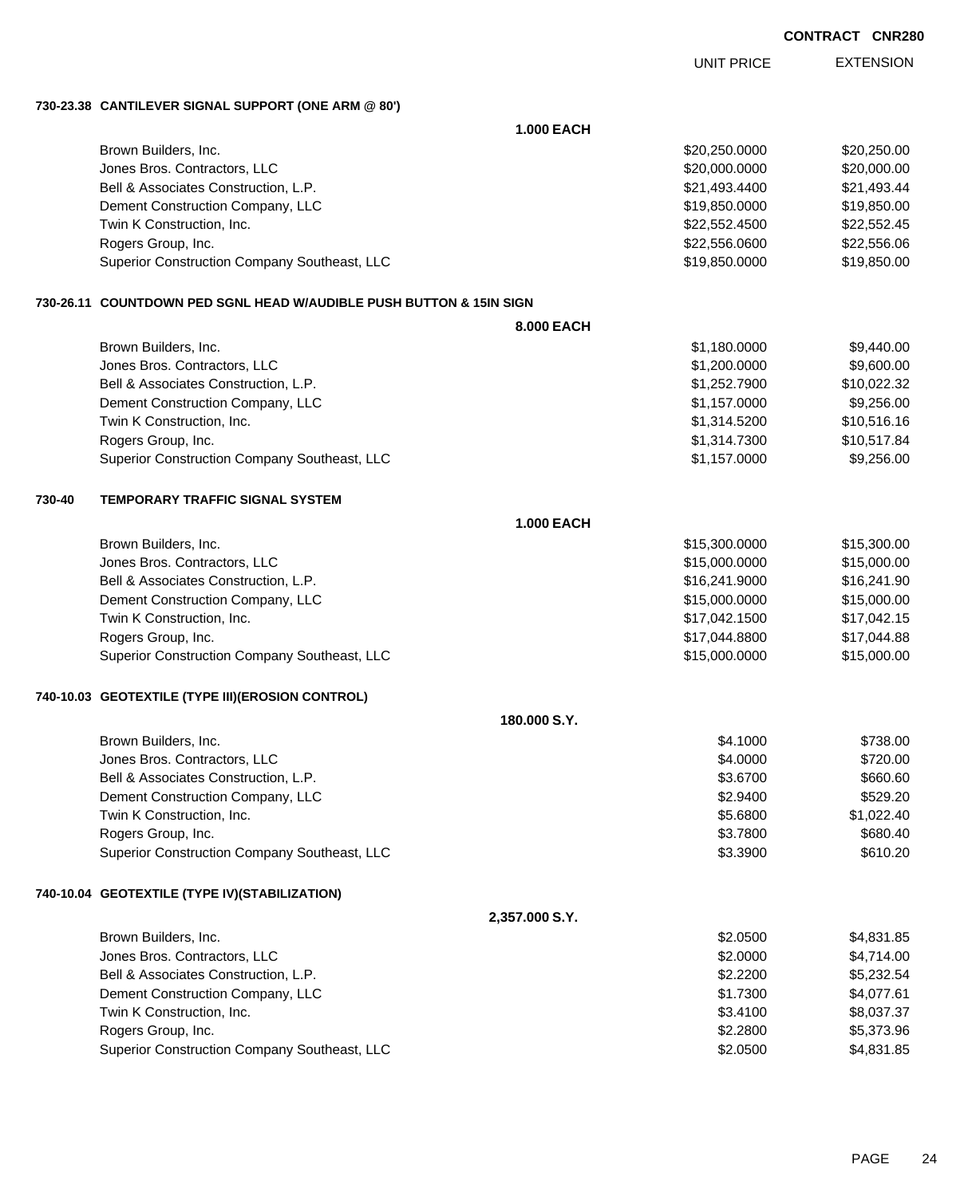EXTENSION UNIT PRICE

# **730-23.38 CANTILEVER SIGNAL SUPPORT (ONE ARM @ 80')**

|        |                                                                     | <b>1.000 EACH</b> |               |             |
|--------|---------------------------------------------------------------------|-------------------|---------------|-------------|
|        | Brown Builders, Inc.                                                |                   | \$20,250.0000 | \$20,250.00 |
|        | Jones Bros. Contractors, LLC                                        |                   | \$20,000.0000 | \$20,000.00 |
|        | Bell & Associates Construction, L.P.                                |                   | \$21,493.4400 | \$21,493.44 |
|        | Dement Construction Company, LLC                                    |                   | \$19,850.0000 | \$19,850.00 |
|        | Twin K Construction, Inc.                                           |                   | \$22,552.4500 | \$22,552.45 |
|        | Rogers Group, Inc.                                                  |                   | \$22,556.0600 | \$22,556.06 |
|        | Superior Construction Company Southeast, LLC                        |                   | \$19,850.0000 | \$19,850.00 |
|        | 730-26.11 COUNTDOWN PED SGNL HEAD W/AUDIBLE PUSH BUTTON & 15IN SIGN |                   |               |             |
|        |                                                                     | 8.000 EACH        |               |             |
|        | Brown Builders, Inc.                                                |                   | \$1,180.0000  | \$9,440.00  |
|        | Jones Bros. Contractors, LLC                                        |                   | \$1,200.0000  | \$9,600.00  |
|        | Bell & Associates Construction, L.P.                                |                   | \$1,252.7900  | \$10,022.32 |
|        | Dement Construction Company, LLC                                    |                   | \$1,157.0000  | \$9,256.00  |
|        | Twin K Construction, Inc.                                           |                   | \$1,314.5200  | \$10,516.16 |
|        | Rogers Group, Inc.                                                  |                   | \$1,314.7300  | \$10,517.84 |
|        | Superior Construction Company Southeast, LLC                        |                   | \$1,157.0000  | \$9,256.00  |
| 730-40 | TEMPORARY TRAFFIC SIGNAL SYSTEM                                     |                   |               |             |
|        |                                                                     | <b>1.000 EACH</b> |               |             |
|        | Brown Builders, Inc.                                                |                   | \$15,300.0000 | \$15,300.00 |
|        | Jones Bros. Contractors, LLC                                        |                   | \$15,000.0000 | \$15,000.00 |
|        | Bell & Associates Construction, L.P.                                |                   | \$16,241.9000 | \$16,241.90 |
|        | Dement Construction Company, LLC                                    |                   | \$15,000.0000 | \$15,000.00 |
|        | Twin K Construction, Inc.                                           |                   | \$17,042.1500 | \$17,042.15 |
|        | Rogers Group, Inc.                                                  |                   | \$17,044.8800 | \$17,044.88 |
|        | Superior Construction Company Southeast, LLC                        |                   | \$15,000.0000 | \$15,000.00 |
|        | 740-10.03 GEOTEXTILE (TYPE III)(EROSION CONTROL)                    |                   |               |             |
|        |                                                                     | 180.000 S.Y.      |               |             |
|        | Brown Builders, Inc.                                                |                   | \$4.1000      | \$738.00    |
|        | Jones Bros. Contractors, LLC                                        |                   | \$4.0000      | \$720.00    |
|        | Bell & Associates Construction, L.P.                                |                   | \$3.6700      | \$660.60    |
|        | Dement Construction Company, LLC                                    |                   | \$2.9400      | \$529.20    |
|        | Twin K Construction, Inc.                                           |                   | \$5.6800      | \$1,022.40  |
|        | Rogers Group, Inc.                                                  |                   | \$3.7800      | \$680.40    |
|        | Superior Construction Company Southeast, LLC                        |                   | \$3.3900      | \$610.20    |
|        | 740-10.04 GEOTEXTILE (TYPE IV)(STABILIZATION)                       |                   |               |             |
|        |                                                                     | 2,357.000 S.Y.    |               |             |
|        | Brown Builders, Inc.                                                |                   | \$2.0500      | \$4,831.85  |
|        | Jones Bros. Contractors, LLC                                        |                   | \$2.0000      | \$4,714.00  |
|        | Bell & Associates Construction, L.P.                                |                   | \$2.2200      | \$5,232.54  |
|        | Dement Construction Company, LLC                                    |                   | \$1.7300      | \$4,077.61  |
|        | Twin K Construction, Inc.                                           |                   | \$3.4100      | \$8,037.37  |
|        | Rogers Group, Inc.                                                  |                   | \$2.2800      | \$5,373.96  |
|        | Superior Construction Company Southeast, LLC                        |                   | \$2.0500      | \$4,831.85  |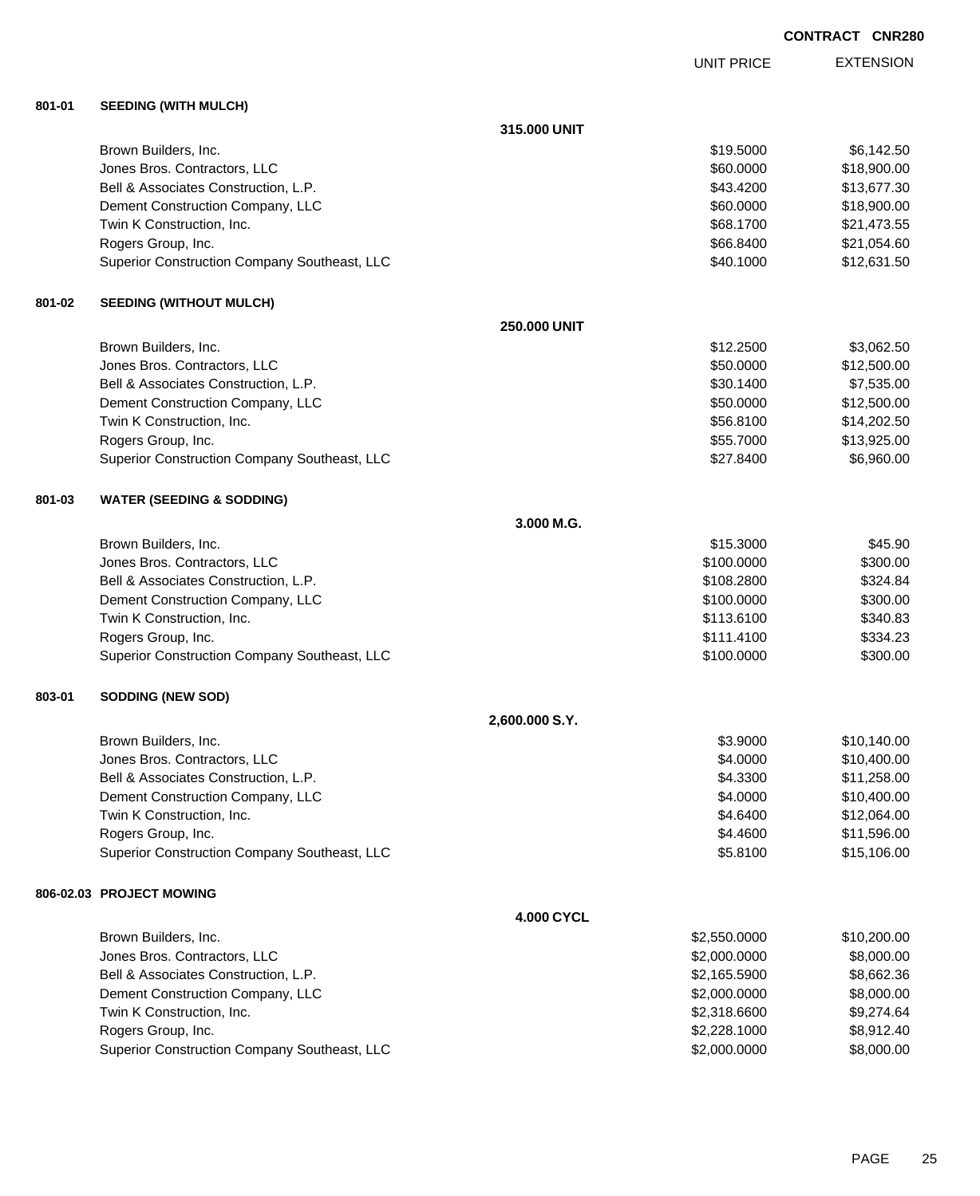EXTENSION UNIT PRICE

# **801-01 SEEDING (WITH MULCH)**

|        |                                              | 315.000 UNIT   |              |             |
|--------|----------------------------------------------|----------------|--------------|-------------|
|        | Brown Builders, Inc.                         |                | \$19.5000    | \$6,142.50  |
|        | Jones Bros. Contractors, LLC                 |                | \$60.0000    | \$18,900.00 |
|        | Bell & Associates Construction, L.P.         |                | \$43.4200    | \$13,677.30 |
|        | Dement Construction Company, LLC             |                | \$60.0000    | \$18,900.00 |
|        | Twin K Construction, Inc.                    |                | \$68.1700    | \$21,473.55 |
|        | Rogers Group, Inc.                           |                | \$66.8400    | \$21,054.60 |
|        | Superior Construction Company Southeast, LLC |                | \$40.1000    | \$12,631.50 |
| 801-02 | <b>SEEDING (WITHOUT MULCH)</b>               |                |              |             |
|        |                                              | 250.000 UNIT   |              |             |
|        | Brown Builders, Inc.                         |                | \$12.2500    | \$3,062.50  |
|        | Jones Bros. Contractors, LLC                 |                | \$50.0000    | \$12,500.00 |
|        | Bell & Associates Construction, L.P.         |                | \$30.1400    | \$7,535.00  |
|        | Dement Construction Company, LLC             |                | \$50.0000    | \$12,500.00 |
|        | Twin K Construction, Inc.                    |                | \$56.8100    | \$14,202.50 |
|        | Rogers Group, Inc.                           |                | \$55.7000    | \$13,925.00 |
|        | Superior Construction Company Southeast, LLC |                | \$27.8400    | \$6,960.00  |
| 801-03 | <b>WATER (SEEDING &amp; SODDING)</b>         |                |              |             |
|        |                                              | 3.000 M.G.     |              |             |
|        | Brown Builders, Inc.                         |                | \$15.3000    | \$45.90     |
|        | Jones Bros. Contractors, LLC                 |                | \$100.0000   | \$300.00    |
|        | Bell & Associates Construction, L.P.         |                | \$108.2800   | \$324.84    |
|        | Dement Construction Company, LLC             |                | \$100.0000   | \$300.00    |
|        | Twin K Construction, Inc.                    |                | \$113.6100   | \$340.83    |
|        | Rogers Group, Inc.                           |                | \$111.4100   | \$334.23    |
|        | Superior Construction Company Southeast, LLC |                | \$100.0000   | \$300.00    |
| 803-01 | <b>SODDING (NEW SOD)</b>                     |                |              |             |
|        |                                              | 2,600.000 S.Y. |              |             |
|        | Brown Builders, Inc.                         |                | \$3.9000     | \$10,140.00 |
|        | Jones Bros. Contractors, LLC                 |                | \$4.0000     | \$10,400.00 |
|        | Bell & Associates Construction, L.P.         |                | \$4.3300     | \$11,258.00 |
|        | Dement Construction Company, LLC             |                | \$4.0000     | \$10,400.00 |
|        | Twin K Construction, Inc.                    |                | \$4.6400     | \$12,064.00 |
|        | Rogers Group, Inc.                           |                | \$4.4600     | \$11,596.00 |
|        | Superior Construction Company Southeast, LLC |                | \$5.8100     | \$15,106.00 |
|        | 806-02.03 PROJECT MOWING                     |                |              |             |
|        |                                              | 4.000 CYCL     |              |             |
|        | Brown Builders, Inc.                         |                | \$2,550.0000 | \$10,200.00 |
|        | Jones Bros. Contractors, LLC                 |                | \$2,000.0000 | \$8,000.00  |
|        | Bell & Associates Construction, L.P.         |                | \$2,165.5900 | \$8,662.36  |
|        | Dement Construction Company, LLC             |                | \$2,000.0000 | \$8,000.00  |
|        | Twin K Construction, Inc.                    |                | \$2,318.6600 | \$9,274.64  |
|        | Rogers Group, Inc.                           |                | \$2,228.1000 | \$8,912.40  |
|        | Superior Construction Company Southeast, LLC |                | \$2,000.0000 | \$8,000.00  |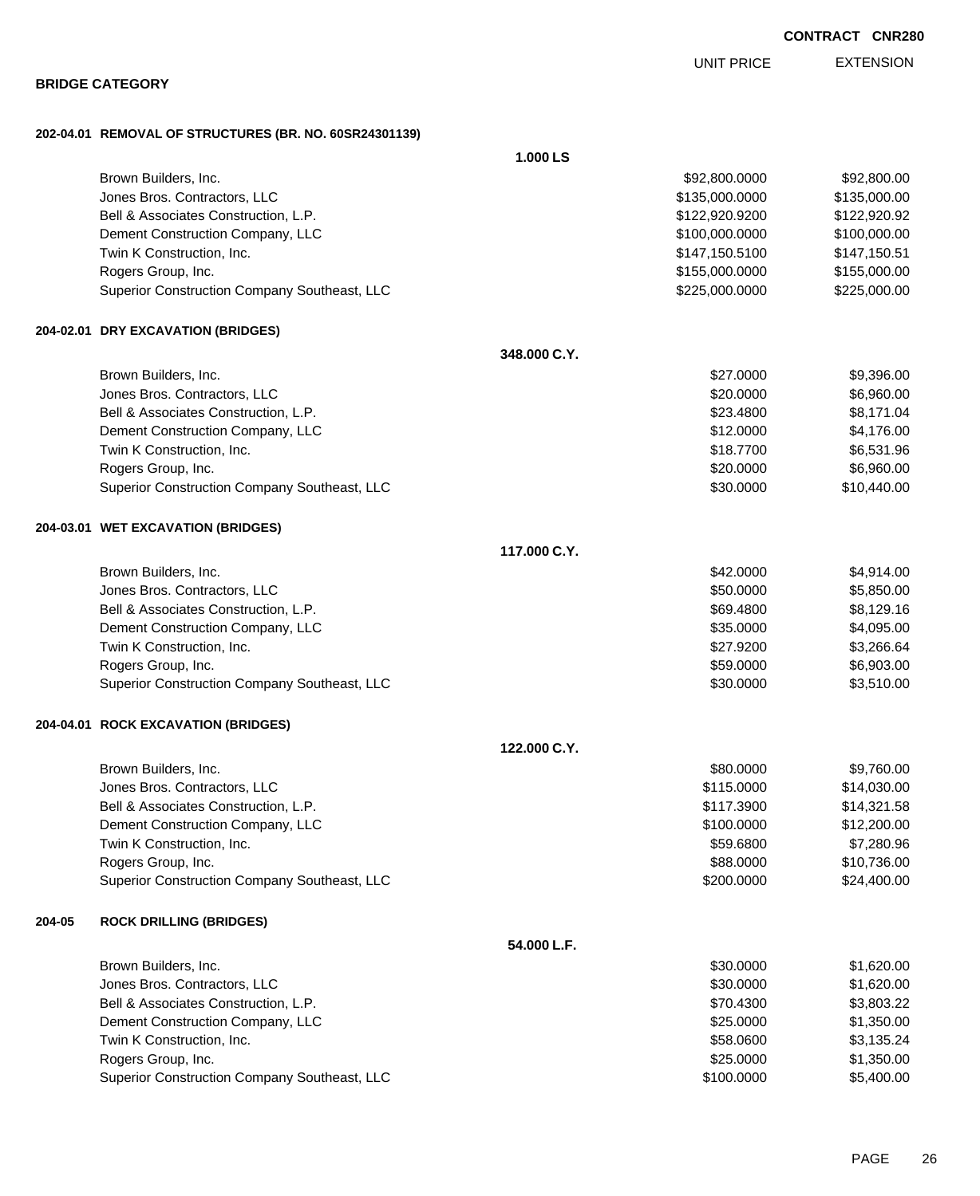|        | 202-04.01 REMOVAL OF STRUCTURES (BR. NO. 60SR24301139) | 1.000 LS     |                |              |
|--------|--------------------------------------------------------|--------------|----------------|--------------|
|        | Brown Builders, Inc.                                   |              | \$92,800.0000  | \$92,800.00  |
|        | Jones Bros. Contractors, LLC                           |              | \$135,000.0000 | \$135,000.00 |
|        | Bell & Associates Construction, L.P.                   |              | \$122,920.9200 | \$122,920.92 |
|        | Dement Construction Company, LLC                       |              | \$100,000.0000 | \$100,000.00 |
|        | Twin K Construction, Inc.                              |              | \$147,150.5100 | \$147,150.51 |
|        | Rogers Group, Inc.                                     |              | \$155,000.0000 | \$155,000.00 |
|        | Superior Construction Company Southeast, LLC           |              | \$225,000.0000 | \$225,000.00 |
|        | 204-02.01 DRY EXCAVATION (BRIDGES)                     |              |                |              |
|        |                                                        | 348,000 C.Y. |                |              |
|        | Brown Builders, Inc.                                   |              | \$27.0000      | \$9,396.00   |
|        | Jones Bros. Contractors, LLC                           |              | \$20.0000      | \$6,960.00   |
|        | Bell & Associates Construction, L.P.                   |              | \$23.4800      | \$8,171.04   |
|        | Dement Construction Company, LLC                       |              | \$12.0000      | \$4,176.00   |
|        | Twin K Construction, Inc.                              |              | \$18.7700      | \$6,531.96   |
|        | Rogers Group, Inc.                                     |              | \$20.0000      | \$6,960.00   |
|        | Superior Construction Company Southeast, LLC           |              | \$30.0000      | \$10,440.00  |
|        | 204-03.01 WET EXCAVATION (BRIDGES)                     |              |                |              |
|        |                                                        | 117.000 C.Y. |                |              |
|        | Brown Builders, Inc.                                   |              | \$42.0000      | \$4,914.00   |
|        | Jones Bros. Contractors, LLC                           |              | \$50.0000      | \$5,850.00   |
|        | Bell & Associates Construction, L.P.                   |              | \$69.4800      | \$8,129.16   |
|        | Dement Construction Company, LLC                       |              | \$35.0000      | \$4,095.00   |
|        | Twin K Construction, Inc.                              |              | \$27.9200      | \$3,266.64   |
|        | Rogers Group, Inc.                                     |              | \$59.0000      | \$6,903.00   |
|        | Superior Construction Company Southeast, LLC           |              | \$30.0000      | \$3,510.00   |
|        | 204-04.01 ROCK EXCAVATION (BRIDGES)                    |              |                |              |
|        |                                                        | 122.000 C.Y. |                |              |
|        | Brown Builders, Inc.                                   |              | \$80.0000      | \$9,760.00   |
|        | Jones Bros. Contractors, LLC                           |              | \$115.0000     | \$14,030.00  |
|        | Bell & Associates Construction, L.P.                   |              | \$117.3900     | \$14,321.58  |
|        | Dement Construction Company, LLC                       |              | \$100.0000     | \$12,200.00  |
|        | Twin K Construction, Inc.                              |              | \$59.6800      | \$7,280.96   |
|        | Rogers Group, Inc.                                     |              | \$88.0000      | \$10,736.00  |
|        | Superior Construction Company Southeast, LLC           |              | \$200.0000     | \$24,400.00  |
| 204-05 | <b>ROCK DRILLING (BRIDGES)</b>                         |              |                |              |
|        |                                                        | 54.000 L.F.  |                |              |
|        | Brown Builders, Inc.                                   |              | \$30.0000      | \$1,620.00   |
|        | Jones Bros. Contractors, LLC                           |              | \$30.0000      | \$1,620.00   |
|        | Bell & Associates Construction, L.P.                   |              | \$70.4300      | \$3,803.22   |
|        | Dement Construction Company, LLC                       |              | \$25.0000      | \$1,350.00   |
|        | Twin K Construction, Inc.                              |              | \$58.0600      | \$3,135.24   |
|        | Rogers Group, Inc.                                     |              | \$25.0000      | \$1,350.00   |
|        | Superior Construction Company Southeast, LLC           |              | \$100.0000     | \$5,400.00   |

EXTENSION UNIT PRICE

## **BRIDGE CATEGORY**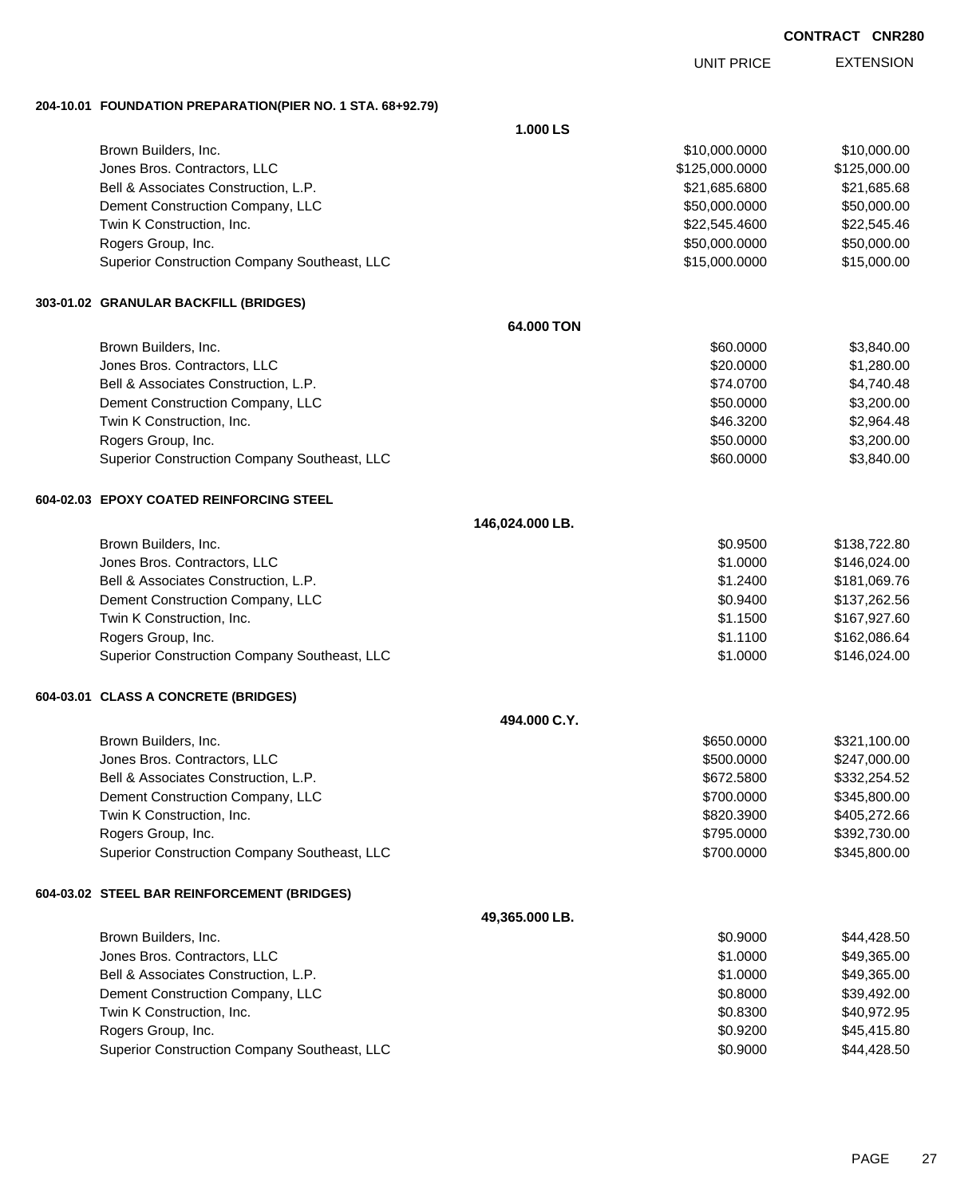UNIT PRICE

EXTENSION

**204-10.01 FOUNDATION PREPARATION(PIER NO. 1 STA. 68+92.79)**

|                                              | 1.000LS         |                |              |
|----------------------------------------------|-----------------|----------------|--------------|
| Brown Builders, Inc.                         |                 | \$10,000.0000  | \$10,000.00  |
| Jones Bros. Contractors, LLC                 |                 | \$125,000.0000 | \$125,000.00 |
| Bell & Associates Construction, L.P.         |                 | \$21,685.6800  | \$21,685.68  |
| Dement Construction Company, LLC             |                 | \$50,000.0000  | \$50,000.00  |
| Twin K Construction, Inc.                    |                 | \$22,545.4600  | \$22,545.46  |
| Rogers Group, Inc.                           |                 | \$50,000.0000  | \$50,000.00  |
| Superior Construction Company Southeast, LLC |                 | \$15,000.0000  | \$15,000.00  |
| 303-01.02 GRANULAR BACKFILL (BRIDGES)        |                 |                |              |
|                                              | 64,000 TON      |                |              |
| Brown Builders, Inc.                         |                 | \$60.0000      | \$3,840.00   |
| Jones Bros. Contractors, LLC                 |                 | \$20.0000      | \$1,280.00   |
| Bell & Associates Construction, L.P.         |                 | \$74.0700      | \$4,740.48   |
| Dement Construction Company, LLC             |                 | \$50.0000      | \$3,200.00   |
| Twin K Construction, Inc.                    |                 | \$46.3200      | \$2,964.48   |
| Rogers Group, Inc.                           |                 | \$50.0000      | \$3,200.00   |
| Superior Construction Company Southeast, LLC |                 | \$60.0000      | \$3,840.00   |
| 604-02.03 EPOXY COATED REINFORCING STEEL     |                 |                |              |
|                                              | 146,024.000 LB. |                |              |
| Brown Builders, Inc.                         |                 | \$0.9500       | \$138,722.80 |
| Jones Bros. Contractors, LLC                 |                 | \$1.0000       | \$146,024.00 |
| Bell & Associates Construction, L.P.         |                 | \$1.2400       | \$181,069.76 |
| Dement Construction Company, LLC             |                 | \$0.9400       | \$137,262.56 |
| Twin K Construction, Inc.                    |                 | \$1.1500       | \$167,927.60 |
| Rogers Group, Inc.                           |                 | \$1.1100       | \$162,086.64 |
| Superior Construction Company Southeast, LLC |                 | \$1.0000       | \$146,024.00 |
| 604-03.01 CLASS A CONCRETE (BRIDGES)         |                 |                |              |
|                                              | 494.000 C.Y.    |                |              |
| Brown Builders, Inc.                         |                 | \$650.0000     | \$321,100.00 |
| Jones Bros. Contractors, LLC                 |                 | \$500.0000     | \$247,000.00 |
| Bell & Associates Construction, L.P.         |                 | \$672.5800     | \$332,254.52 |
| Dement Construction Company, LLC             |                 | \$700.0000     | \$345,800.00 |
| Twin K Construction, Inc.                    |                 | \$820.3900     | \$405,272.66 |
| Rogers Group, Inc.                           |                 | \$795.0000     | \$392,730.00 |
| Superior Construction Company Southeast, LLC |                 | \$700.0000     | \$345,800.00 |
| 604-03.02 STEEL BAR REINFORCEMENT (BRIDGES)  |                 |                |              |
|                                              | 49,365.000 LB.  |                |              |
| Brown Builders, Inc.                         |                 | \$0.9000       | \$44,428.50  |
| Jones Bros. Contractors, LLC                 |                 | \$1.0000       | \$49,365.00  |
| Bell & Associates Construction, L.P.         |                 | \$1.0000       | \$49,365.00  |
| Dement Construction Company, LLC             |                 | \$0.8000       | \$39,492.00  |
| Twin K Construction, Inc.                    |                 | \$0.8300       | \$40,972.95  |
| Rogers Group, Inc.                           |                 | \$0.9200       | \$45,415.80  |
| Superior Construction Company Southeast, LLC |                 | \$0.9000       | \$44,428.50  |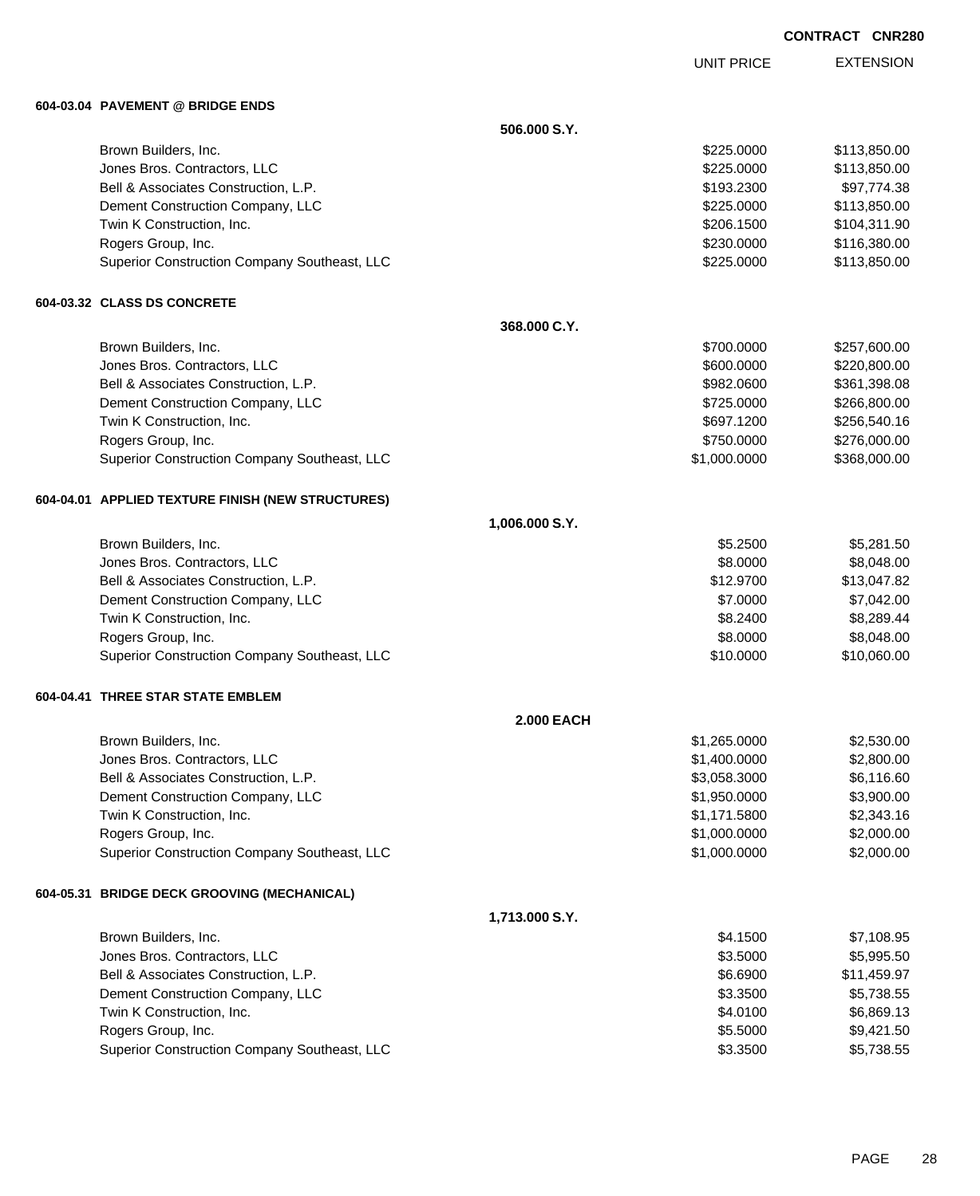UNIT PRICE

EXTENSION

**604-03.04 PAVEMENT @ BRIDGE ENDS**

**506.000 S.Y.** Brown Builders, Inc. 6. The Second State of the Second State of the Second State of State State of State State State State State State State State State State State State State State State State State State State State Sta Jones Bros. Contractors, LLC \$225.0000 \$113,850.00 Bell & Associates Construction, L.P.  $$193.2300$   $$97,774.38$ Dement Construction Company, LLC **but a set of the set of the set of the set of the set of the set of the set of the set of the set of the set of the set of the set of the set of the set of the set of the set of the set of** Twin K Construction, Inc. 6. The Construction, Inc. 6. The Construction, Inc. 6. The Construction, Inc. 6. The Construction of the Construction, Inc. 6. The Construction of the Construction, Inc. 6. The Construction of the Rogers Group, Inc. 6. 2008. The Second State of the Second State of the Second State State State State State State State State State State State State State State State State State State State State State State State State Superior Construction Company Southeast, LLC  $$225.0000$  \$113,850.00 **604-03.32 CLASS DS CONCRETE 368.000 C.Y.** Brown Builders, Inc. 69, 2001, 2002 12: 2008 12: 2008 12: 2009 12: 2009 12: 2009 12: 2009 12: 2009 12: 2009 12: 2009 12: 2009 12: 2009 12: 2009 12: 2009 12: 2009 12: 2009 12: 2009 12: 2009 12: 2009 12: 2009 12: 2009 12: 20 Jones Bros. Contractors, LLC \$600.0000 \$220,800.00 Bell & Associates Construction, L.P. \$982.0600 \$361,398.08 Dement Construction Company, LLC 6. 2000 \$266,800.00 Twin K Construction, Inc. 6. The Construction, Inc. 6. The Construction, Inc. 6. The Construction, Inc. 6. The Construction of the Construction, Inc. 6. The Construction of the Construction of the Construction of the Const Rogers Group, Inc. 6. 2010. The set of the set of the set of the set of the set of the set of the set of the set of the set of the set of the set of the set of the set of the set of the set of the set of the set of the set Superior Construction Company Southeast, LLC  $$1,000.0000$  \$368,000.000 \$368,000.00 **604-04.01 APPLIED TEXTURE FINISH (NEW STRUCTURES) 1,006.000 S.Y.** Brown Builders, Inc. 6. 25.2500 \$5.281.50 Jones Bros. Contractors, LLC \$8.0000 \$8,048.00 Bell & Associates Construction, L.P.  $$13,047.82$ Dement Construction Company, LLC  $$7.0000$   $$7.042.00$ Twin K Construction, Inc. 6. The Construction of the Construction, Inc. 6. The Construction, Inc. 6. The Construction of the Construction of the Construction of the Construction of the Construction of the Construction of t Rogers Group, Inc. \$8.048.00 \$8.048.00 \$8.048.00 \$8.000 \$8.048.00 Superior Construction Company Southeast, LLC  $$10.0000$  \$10.0000 \$10,060.00 **604-04.41 THREE STAR STATE EMBLEM 2.000 EACH** Brown Builders, Inc. 6. The State of the State of the State of the State of State of State of State of State of State of State of State of State of State of State of State of State of State of State of State of State of St Jones Bros. Contractors, LLC \$1,400.0000 \$2,800.00 Bell & Associates Construction, L.P. \$3,058.3000 \$6,116.60 Dement Construction Company, LLC 6 and the state of the state of the state  $$1,950.0000$  \$3,900.00 Twin K Construction, Inc. \$1,171.5800 \$2,343.16 Rogers Group, Inc. \$1,000.0000 \$2,000.000 \$2,000.000 \$2,000.000 \$2,000.000 \$2,000.000 \$2,000.00 \$2,000.00 \$2,000 Superior Construction Company Southeast, LLC  $$1,000.0000$  \$2,000.000 \$2,000.000 **604-05.31 BRIDGE DECK GROOVING (MECHANICAL) 1,713.000 S.Y.** Brown Builders, Inc. \$4.1500 \$7,108.95 Jones Bros. Contractors, LLC \$3.5000 \$5,995.50 Bell & Associates Construction, L.P.  $$6.6900$   $$11,459.97$ Dement Construction Company, LLC 6.5738.55 Twin K Construction, Inc. 68.869.13 Rogers Group, Inc. \$5.5000 \$9,421.50 Superior Construction Company Southeast, LLC  $$3.3500$  \$5,738.55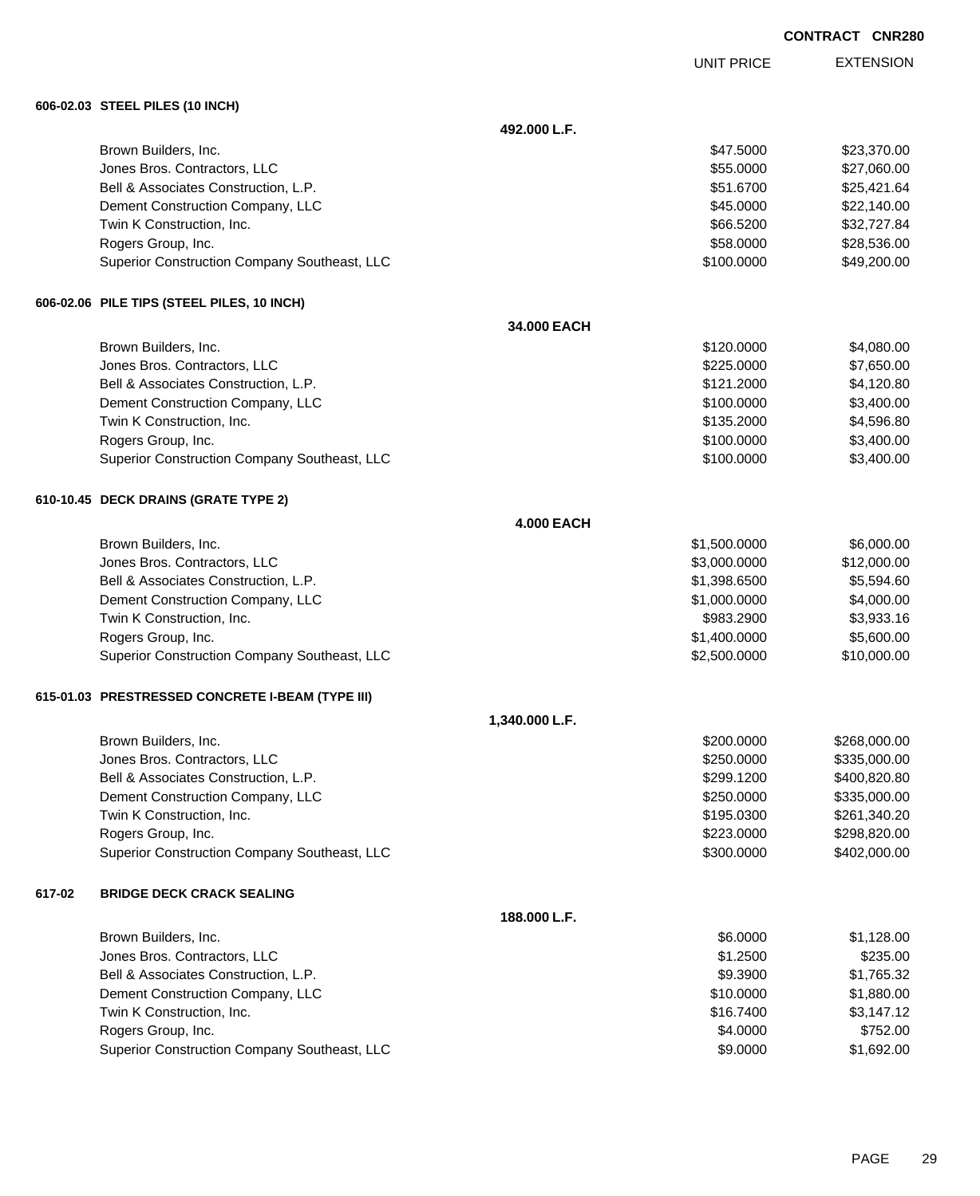UNIT PRICE

EXTENSION

**606-02.03 STEEL PILES (10 INCH)**

**492.000 L.F.**

|        |                                                  | 49Z.UUU L.F.      |              |              |
|--------|--------------------------------------------------|-------------------|--------------|--------------|
|        | Brown Builders, Inc.                             |                   | \$47.5000    | \$23,370.00  |
|        | Jones Bros. Contractors, LLC                     |                   | \$55.0000    | \$27,060.00  |
|        | Bell & Associates Construction, L.P.             |                   | \$51.6700    | \$25,421.64  |
|        | Dement Construction Company, LLC                 |                   | \$45.0000    | \$22,140.00  |
|        | Twin K Construction, Inc.                        |                   | \$66.5200    | \$32,727.84  |
|        | Rogers Group, Inc.                               |                   | \$58.0000    | \$28,536.00  |
|        | Superior Construction Company Southeast, LLC     |                   | \$100.0000   | \$49,200.00  |
|        | 606-02.06 PILE TIPS (STEEL PILES, 10 INCH)       |                   |              |              |
|        |                                                  | 34.000 EACH       |              |              |
|        | Brown Builders, Inc.                             |                   | \$120.0000   | \$4,080.00   |
|        | Jones Bros. Contractors, LLC                     |                   | \$225.0000   | \$7,650.00   |
|        | Bell & Associates Construction, L.P.             |                   | \$121.2000   | \$4,120.80   |
|        | Dement Construction Company, LLC                 |                   | \$100.0000   | \$3,400.00   |
|        | Twin K Construction, Inc.                        |                   | \$135.2000   | \$4,596.80   |
|        | Rogers Group, Inc.                               |                   | \$100.0000   | \$3,400.00   |
|        | Superior Construction Company Southeast, LLC     |                   | \$100.0000   | \$3,400.00   |
|        | 610-10.45 DECK DRAINS (GRATE TYPE 2)             |                   |              |              |
|        |                                                  | <b>4.000 EACH</b> |              |              |
|        | Brown Builders, Inc.                             |                   | \$1,500.0000 | \$6,000.00   |
|        | Jones Bros. Contractors, LLC                     |                   | \$3,000.0000 | \$12,000.00  |
|        | Bell & Associates Construction, L.P.             |                   | \$1,398.6500 | \$5,594.60   |
|        | Dement Construction Company, LLC                 |                   | \$1,000.0000 | \$4,000.00   |
|        | Twin K Construction, Inc.                        |                   | \$983.2900   | \$3,933.16   |
|        | Rogers Group, Inc.                               |                   | \$1,400.0000 | \$5,600.00   |
|        | Superior Construction Company Southeast, LLC     |                   | \$2,500.0000 | \$10,000.00  |
|        | 615-01.03 PRESTRESSED CONCRETE I-BEAM (TYPE III) |                   |              |              |
|        |                                                  | 1,340.000 L.F.    |              |              |
|        | Brown Builders, Inc.                             |                   | \$200,0000   | \$268,000.00 |
|        | Jones Bros. Contractors, LLC                     |                   | \$250.0000   | \$335,000.00 |
|        | Bell & Associates Construction, L.P.             |                   | \$299.1200   | \$400,820.80 |
|        | Dement Construction Company, LLC                 |                   | \$250.0000   | \$335,000.00 |
|        | Twin K Construction, Inc.                        |                   | \$195.0300   | \$261,340.20 |
|        | Rogers Group, Inc.                               |                   | \$223.0000   | \$298,820.00 |
|        | Superior Construction Company Southeast, LLC     |                   | \$300.0000   | \$402,000.00 |
| 617-02 | <b>BRIDGE DECK CRACK SEALING</b>                 |                   |              |              |
|        |                                                  | 188.000 L.F.      |              |              |
|        | Brown Builders, Inc.                             |                   | \$6.0000     | \$1,128.00   |
|        | Jones Bros. Contractors, LLC                     |                   | \$1.2500     | \$235.00     |
|        | Bell & Associates Construction, L.P.             |                   | \$9.3900     | \$1,765.32   |
|        | Dement Construction Company, LLC                 |                   | \$10.0000    | \$1,880.00   |
|        | Twin K Construction, Inc.                        |                   | \$16.7400    | \$3,147.12   |
|        | Rogers Group, Inc.                               |                   | \$4.0000     | \$752.00     |
|        | Superior Construction Company Southeast, LLC     |                   | \$9.0000     | \$1,692.00   |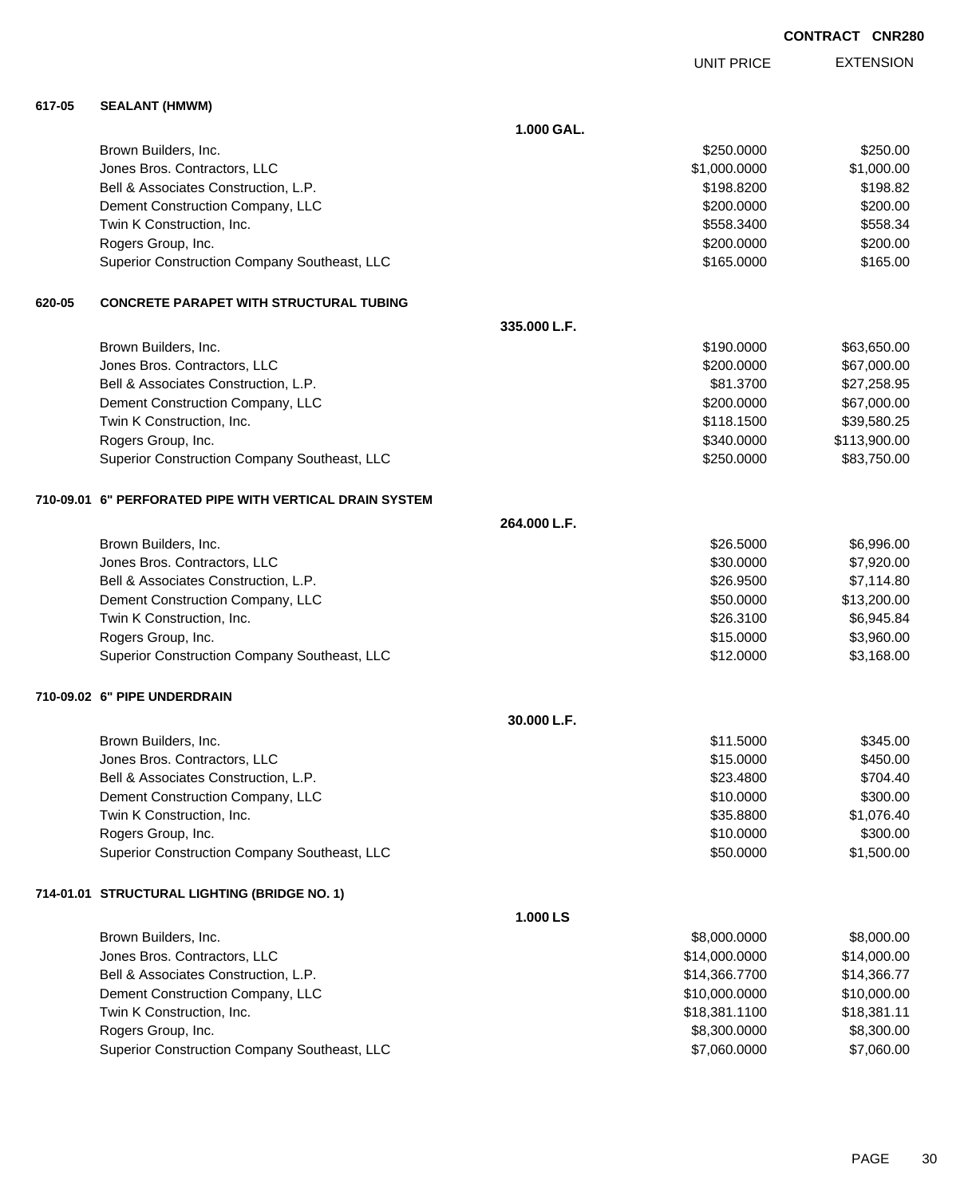UNIT PRICE EXTENSION

**617-05 SEALANT (HMWM)**

|        |                                                         | 1.000 GAL.   |               |              |
|--------|---------------------------------------------------------|--------------|---------------|--------------|
|        | Brown Builders, Inc.                                    |              | \$250.0000    | \$250.00     |
|        | Jones Bros. Contractors, LLC                            |              | \$1,000.0000  | \$1,000.00   |
|        | Bell & Associates Construction, L.P.                    |              | \$198.8200    | \$198.82     |
|        | Dement Construction Company, LLC                        |              | \$200.0000    | \$200.00     |
|        | Twin K Construction, Inc.                               |              | \$558.3400    | \$558.34     |
|        | Rogers Group, Inc.                                      |              | \$200.0000    | \$200.00     |
|        | Superior Construction Company Southeast, LLC            |              | \$165.0000    | \$165.00     |
| 620-05 | <b>CONCRETE PARAPET WITH STRUCTURAL TUBING</b>          |              |               |              |
|        |                                                         | 335.000 L.F. |               |              |
|        | Brown Builders, Inc.                                    |              | \$190.0000    | \$63,650.00  |
|        | Jones Bros. Contractors, LLC                            |              | \$200.0000    | \$67,000.00  |
|        | Bell & Associates Construction, L.P.                    |              | \$81.3700     | \$27,258.95  |
|        | Dement Construction Company, LLC                        |              | \$200.0000    | \$67,000.00  |
|        | Twin K Construction, Inc.                               |              | \$118.1500    | \$39,580.25  |
|        | Rogers Group, Inc.                                      |              | \$340.0000    | \$113,900.00 |
|        | Superior Construction Company Southeast, LLC            |              | \$250.0000    | \$83,750.00  |
|        | 710-09.01 6" PERFORATED PIPE WITH VERTICAL DRAIN SYSTEM |              |               |              |
|        |                                                         | 264.000 L.F. |               |              |
|        | Brown Builders, Inc.                                    |              | \$26.5000     | \$6,996.00   |
|        | Jones Bros. Contractors, LLC                            |              | \$30.0000     | \$7,920.00   |
|        | Bell & Associates Construction, L.P.                    |              | \$26.9500     | \$7,114.80   |
|        | Dement Construction Company, LLC                        |              | \$50.0000     | \$13,200.00  |
|        | Twin K Construction, Inc.                               |              | \$26.3100     | \$6,945.84   |
|        | Rogers Group, Inc.                                      |              | \$15.0000     | \$3,960.00   |
|        | Superior Construction Company Southeast, LLC            |              | \$12.0000     | \$3,168.00   |
|        | 710-09.02 6" PIPE UNDERDRAIN                            |              |               |              |
|        |                                                         | 30.000 L.F.  |               |              |
|        | Brown Builders, Inc.                                    |              | \$11.5000     | \$345.00     |
|        | Jones Bros. Contractors, LLC                            |              | \$15.0000     | \$450.00     |
|        | Bell & Associates Construction, L.P.                    |              | \$23.4800     | \$704.40     |
|        | Dement Construction Company, LLC                        |              | \$10.0000     | \$300.00     |
|        | Twin K Construction, Inc.                               |              | \$35.8800     | \$1,076.40   |
|        | Rogers Group, Inc.                                      |              | \$10.0000     | \$300.00     |
|        | Superior Construction Company Southeast, LLC            |              | \$50.0000     | \$1,500.00   |
|        | 714-01.01 STRUCTURAL LIGHTING (BRIDGE NO. 1)            |              |               |              |
|        |                                                         | 1.000 LS     |               |              |
|        | Brown Builders, Inc.                                    |              | \$8,000.0000  | \$8,000.00   |
|        | Jones Bros. Contractors, LLC                            |              | \$14,000.0000 | \$14,000.00  |
|        | Bell & Associates Construction, L.P.                    |              | \$14,366.7700 | \$14,366.77  |
|        | Dement Construction Company, LLC                        |              | \$10,000.0000 | \$10,000.00  |
|        | Twin K Construction, Inc.                               |              | \$18,381.1100 | \$18,381.11  |
|        | Rogers Group, Inc.                                      |              | \$8,300.0000  | \$8,300.00   |
|        | Superior Construction Company Southeast, LLC            |              | \$7,060.0000  | \$7,060.00   |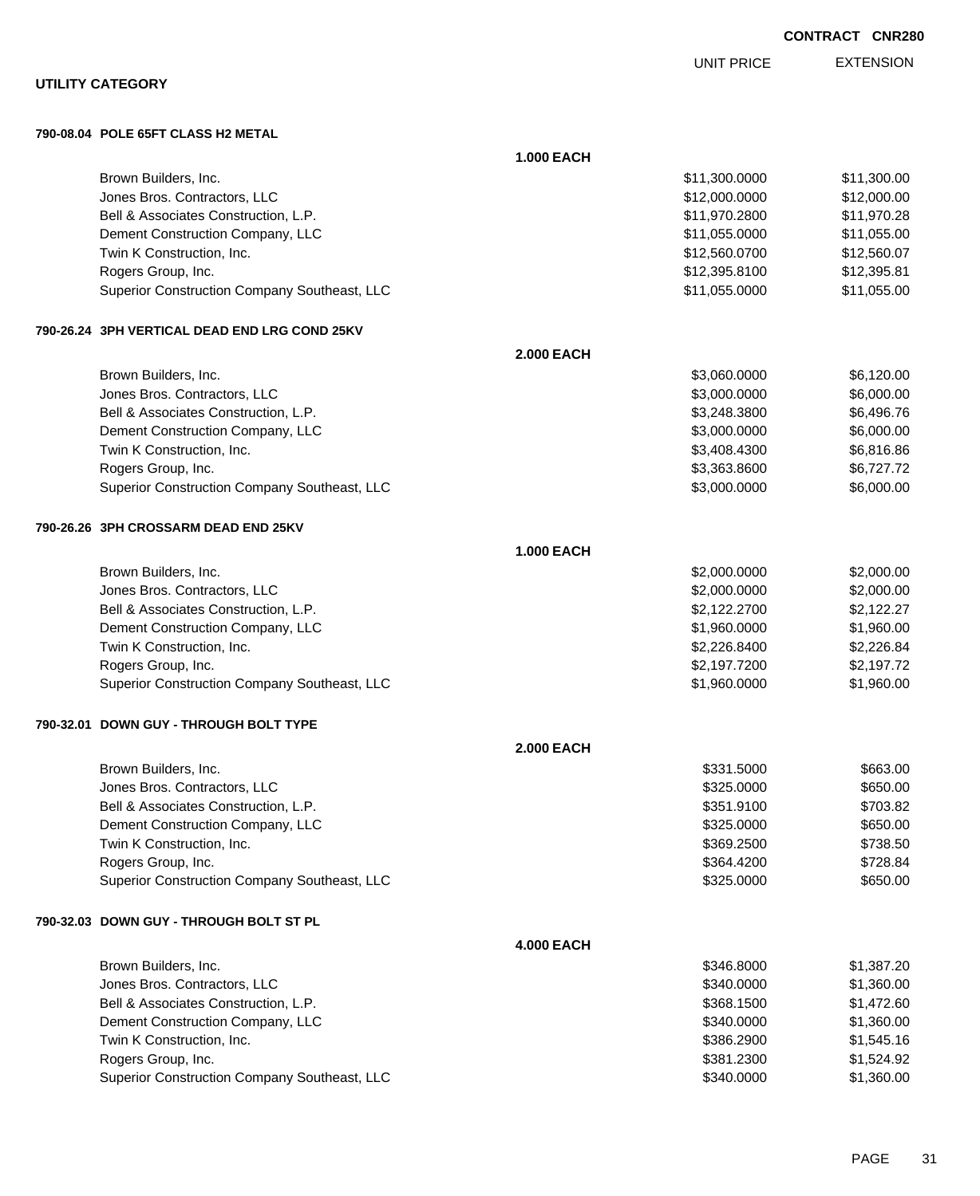|                                                               |                   | <b>UNIT PRICE</b>        | <b>EXTENSION</b>     |
|---------------------------------------------------------------|-------------------|--------------------------|----------------------|
| <b>UTILITY CATEGORY</b>                                       |                   |                          |                      |
| 790-08.04 POLE 65FT CLASS H2 METAL                            |                   |                          |                      |
|                                                               | <b>1.000 EACH</b> |                          |                      |
| Brown Builders, Inc.                                          |                   | \$11,300.0000            | \$11,300.00          |
| Jones Bros. Contractors, LLC                                  |                   | \$12,000.0000            | \$12,000.00          |
| Bell & Associates Construction, L.P.                          |                   | \$11,970.2800            | \$11,970.28          |
| Dement Construction Company, LLC                              |                   | \$11,055.0000            | \$11,055.00          |
| Twin K Construction, Inc.                                     |                   | \$12,560.0700            | \$12,560.07          |
| Rogers Group, Inc.                                            |                   | \$12,395.8100            | \$12,395.81          |
| Superior Construction Company Southeast, LLC                  |                   | \$11,055.0000            | \$11,055.00          |
| 790-26.24 3PH VERTICAL DEAD END LRG COND 25KV                 |                   |                          |                      |
|                                                               | <b>2.000 EACH</b> |                          |                      |
| Brown Builders, Inc.                                          |                   | \$3,060.0000             | \$6,120.00           |
| Jones Bros. Contractors, LLC                                  |                   | \$3,000.0000             | \$6,000.00           |
| Bell & Associates Construction, L.P.                          |                   | \$3,248.3800             | \$6,496.76           |
| Dement Construction Company, LLC                              |                   | \$3,000.0000             | \$6,000.00           |
| Twin K Construction, Inc.                                     |                   | \$3,408.4300             | \$6,816.86           |
| Rogers Group, Inc.                                            |                   | \$3,363.8600             | \$6,727.72           |
| Superior Construction Company Southeast, LLC                  |                   | \$3,000.0000             | \$6,000.00           |
| 790-26.26 3PH CROSSARM DEAD END 25KV                          |                   |                          |                      |
|                                                               | <b>1.000 EACH</b> |                          |                      |
| Brown Builders, Inc.                                          |                   | \$2,000.0000             | \$2,000.00           |
| Jones Bros. Contractors, LLC                                  |                   | \$2,000.0000             | \$2,000.00           |
| Bell & Associates Construction, L.P.                          |                   | \$2,122.2700             | \$2,122.27           |
| Dement Construction Company, LLC                              |                   | \$1,960.0000             | \$1,960.00           |
| Twin K Construction, Inc.                                     |                   | \$2,226.8400             | \$2,226.84           |
| Rogers Group, Inc.                                            |                   | \$2,197.7200             | \$2,197.72           |
| Superior Construction Company Southeast, LLC                  |                   | \$1,960.0000             | \$1,960.00           |
| 790-32.01 DOWN GUY - THROUGH BOLT TYPE                        |                   |                          |                      |
|                                                               | <b>2.000 EACH</b> |                          |                      |
| Brown Builders, Inc.                                          |                   | \$331.5000               | \$663.00             |
| Jones Bros. Contractors, LLC                                  |                   | \$325.0000               | \$650.00             |
| Bell & Associates Construction, L.P.                          |                   | \$351.9100               | \$703.82             |
| Dement Construction Company, LLC<br>Twin K Construction, Inc. |                   | \$325.0000               | \$650.00<br>\$738.50 |
| Rogers Group, Inc.                                            |                   | \$369.2500<br>\$364.4200 | \$728.84             |
| Superior Construction Company Southeast, LLC                  |                   | \$325.0000               | \$650.00             |
| 790-32.03 DOWN GUY - THROUGH BOLT ST PL                       |                   |                          |                      |
|                                                               | <b>4.000 EACH</b> |                          |                      |
| Brown Builders, Inc.                                          |                   | \$346.8000               | \$1,387.20           |
| Jones Bros. Contractors, LLC                                  |                   | \$340.0000               | \$1,360.00           |
| Bell & Associates Construction, L.P.                          |                   | \$368.1500               | \$1,472.60           |
| Dement Construction Company, LLC                              |                   | \$340.0000               | \$1,360.00           |
| Twin K Construction, Inc.                                     |                   | \$386.2900               | \$1,545.16           |
| Rogers Group, Inc.                                            |                   | \$381.2300               | \$1,524.92           |
| Superior Construction Company Southeast, LLC                  |                   | \$340.0000               | \$1,360.00           |
|                                                               |                   |                          |                      |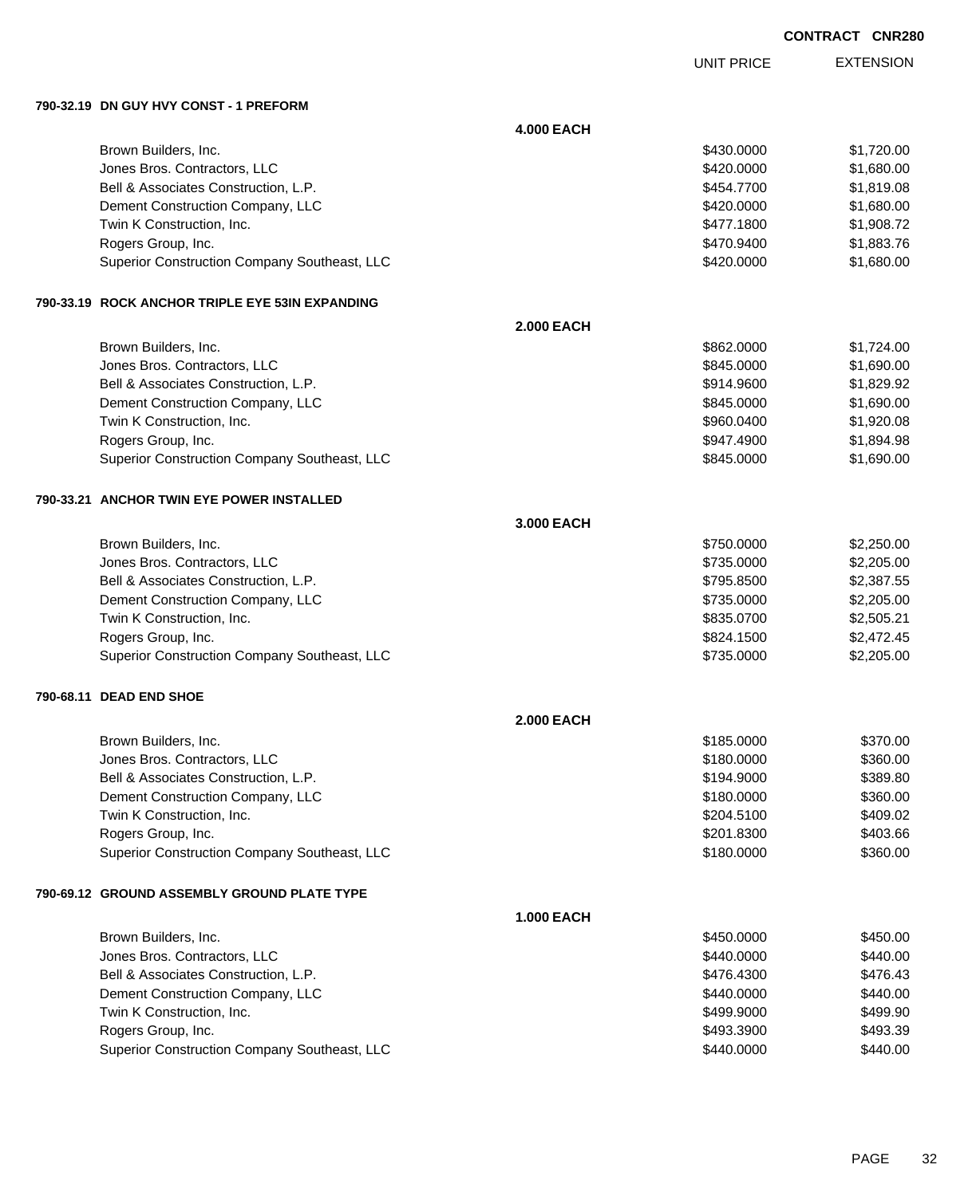UNIT PRICE EXTENSION

**790-32.19 DN GUY HVY CONST - 1 PREFORM**

|                                                   | <b>4.000 EACH</b> |            |            |
|---------------------------------------------------|-------------------|------------|------------|
| Brown Builders, Inc.                              |                   | \$430.0000 | \$1,720.00 |
| Jones Bros. Contractors, LLC                      |                   | \$420.0000 | \$1,680.00 |
| Bell & Associates Construction, L.P.              |                   | \$454.7700 | \$1,819.08 |
| Dement Construction Company, LLC                  |                   | \$420.0000 | \$1,680.00 |
| Twin K Construction, Inc.                         |                   | \$477.1800 | \$1,908.72 |
| Rogers Group, Inc.                                |                   | \$470.9400 | \$1,883.76 |
| Superior Construction Company Southeast, LLC      |                   | \$420.0000 | \$1,680.00 |
| 790-33.19   ROCK ANCHOR TRIPLE EYE 53IN EXPANDING |                   |            |            |
|                                                   | <b>2.000 EACH</b> |            |            |
| Brown Builders, Inc.                              |                   | \$862.0000 | \$1,724.00 |
| Jones Bros. Contractors, LLC                      |                   | \$845.0000 | \$1,690.00 |
| Bell & Associates Construction, L.P.              |                   | \$914.9600 | \$1,829.92 |
| Dement Construction Company, LLC                  |                   | \$845.0000 | \$1,690.00 |
| Twin K Construction, Inc.                         |                   | \$960.0400 | \$1,920.08 |
| Rogers Group, Inc.                                |                   | \$947.4900 | \$1,894.98 |
| Superior Construction Company Southeast, LLC      |                   | \$845.0000 | \$1,690.00 |
| 790-33.21 ANCHOR TWIN EYE POWER INSTALLED         |                   |            |            |
|                                                   | 3.000 EACH        |            |            |
| Brown Builders, Inc.                              |                   | \$750.0000 | \$2,250.00 |
| Jones Bros. Contractors, LLC                      |                   | \$735.0000 | \$2,205.00 |
| Bell & Associates Construction, L.P.              |                   | \$795.8500 | \$2,387.55 |
| Dement Construction Company, LLC                  |                   | \$735.0000 | \$2,205.00 |
| Twin K Construction, Inc.                         |                   | \$835.0700 | \$2,505.21 |
| Rogers Group, Inc.                                |                   | \$824.1500 | \$2,472.45 |
| Superior Construction Company Southeast, LLC      |                   | \$735.0000 | \$2,205.00 |
| 790-68.11 DEAD END SHOE                           |                   |            |            |
|                                                   | <b>2.000 EACH</b> |            |            |
| Brown Builders, Inc.                              |                   | \$185.0000 | \$370.00   |
| Jones Bros. Contractors, LLC                      |                   | \$180.0000 | \$360.00   |
| Bell & Associates Construction, L.P.              |                   | \$194.9000 | \$389.80   |
| Dement Construction Company, LLC                  |                   | \$180.0000 | \$360.00   |
| Twin K Construction, Inc.                         |                   | \$204.5100 | \$409.02   |
| Rogers Group, Inc.                                |                   | \$201.8300 | \$403.66   |
| Superior Construction Company Southeast, LLC      |                   | \$180.0000 | \$360.00   |
| 790-69.12   GROUND ASSEMBLY GROUND PLATE TYPE     |                   |            |            |
|                                                   | <b>1.000 EACH</b> |            |            |
| Brown Builders, Inc.                              |                   | \$450.0000 | \$450.00   |
| Jones Bros. Contractors, LLC                      |                   | \$440.0000 | \$440.00   |
| Bell & Associates Construction, L.P.              |                   | \$476.4300 | \$476.43   |
| Dement Construction Company, LLC                  |                   | \$440.0000 | \$440.00   |
| Twin K Construction, Inc.                         |                   | \$499.9000 | \$499.90   |
| Rogers Group, Inc.                                |                   | \$493.3900 | \$493.39   |
| Superior Construction Company Southeast, LLC      |                   | \$440.0000 | \$440.00   |
|                                                   |                   |            |            |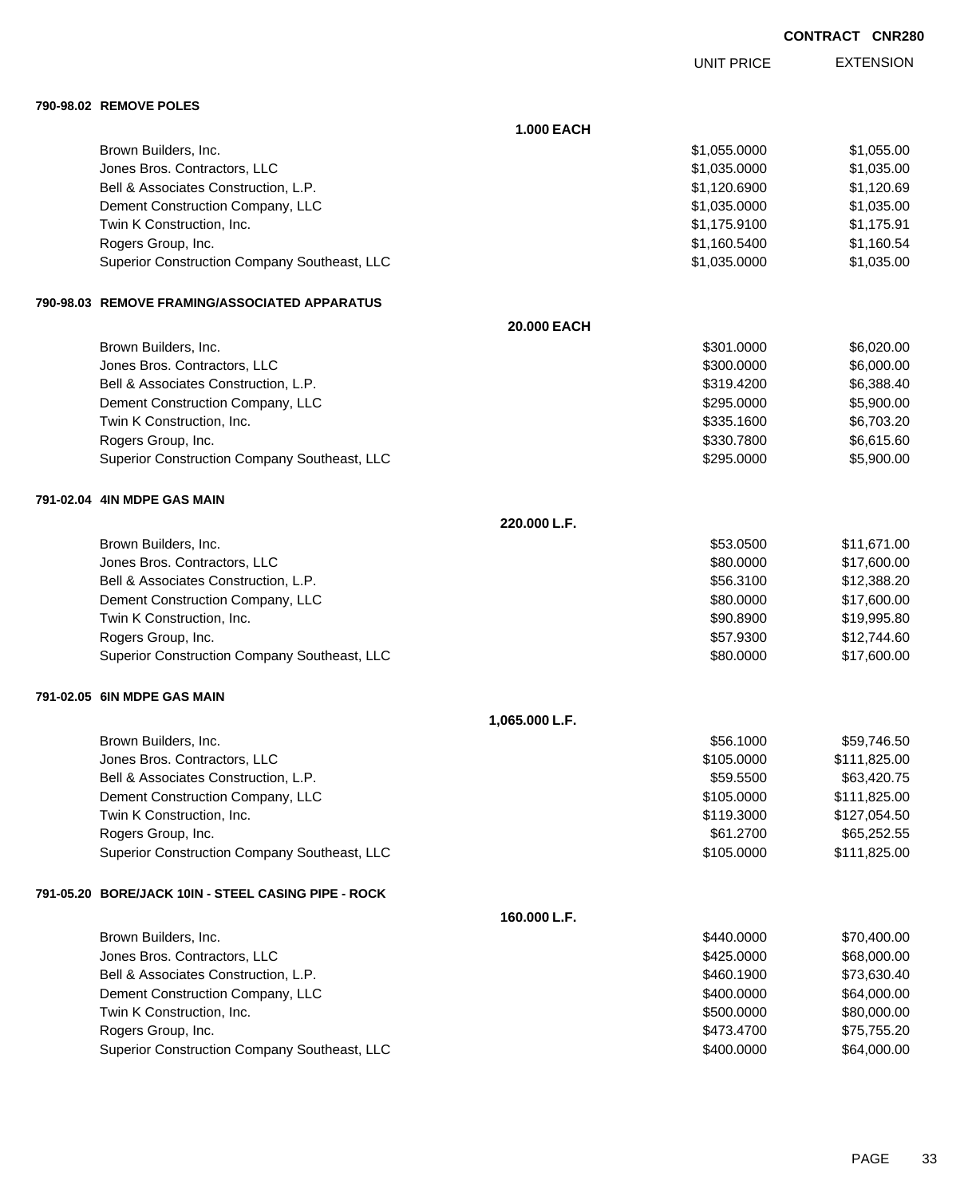UNIT PRICE EXTENSION

**790-98.02 REMOVE POLES**

|                                                     | <b>1.000 EACH</b> |              |              |
|-----------------------------------------------------|-------------------|--------------|--------------|
| Brown Builders, Inc.                                |                   | \$1,055.0000 | \$1,055.00   |
| Jones Bros. Contractors, LLC                        |                   | \$1,035.0000 | \$1,035.00   |
| Bell & Associates Construction, L.P.                |                   | \$1,120.6900 | \$1,120.69   |
| Dement Construction Company, LLC                    |                   | \$1,035.0000 | \$1,035.00   |
| Twin K Construction, Inc.                           |                   | \$1,175.9100 | \$1,175.91   |
| Rogers Group, Inc.                                  |                   | \$1,160.5400 | \$1,160.54   |
| Superior Construction Company Southeast, LLC        |                   | \$1,035.0000 | \$1,035.00   |
| 790-98.03 REMOVE FRAMING/ASSOCIATED APPARATUS       |                   |              |              |
|                                                     | 20.000 EACH       |              |              |
| Brown Builders, Inc.                                |                   | \$301.0000   | \$6,020.00   |
| Jones Bros. Contractors, LLC                        |                   | \$300.0000   | \$6,000.00   |
| Bell & Associates Construction, L.P.                |                   | \$319.4200   | \$6,388.40   |
| Dement Construction Company, LLC                    |                   | \$295.0000   | \$5,900.00   |
| Twin K Construction, Inc.                           |                   | \$335.1600   | \$6,703.20   |
| Rogers Group, Inc.                                  |                   | \$330.7800   | \$6,615.60   |
| Superior Construction Company Southeast, LLC        |                   | \$295.0000   | \$5,900.00   |
| 791-02.04 4IN MDPE GAS MAIN                         |                   |              |              |
|                                                     | 220.000 L.F.      |              |              |
| Brown Builders, Inc.                                |                   | \$53.0500    | \$11,671.00  |
| Jones Bros. Contractors, LLC                        |                   | \$80.0000    | \$17,600.00  |
| Bell & Associates Construction, L.P.                |                   | \$56.3100    | \$12,388.20  |
| Dement Construction Company, LLC                    |                   | \$80.0000    | \$17,600.00  |
| Twin K Construction, Inc.                           |                   | \$90.8900    | \$19,995.80  |
| Rogers Group, Inc.                                  |                   | \$57.9300    | \$12,744.60  |
| Superior Construction Company Southeast, LLC        |                   | \$80.0000    | \$17,600.00  |
| 791-02.05 GIN MDPE GAS MAIN                         |                   |              |              |
|                                                     | 1,065.000 L.F.    |              |              |
| Brown Builders, Inc.                                |                   | \$56.1000    | \$59.746.50  |
| Jones Bros. Contractors, LLC                        |                   | \$105.0000   | \$111,825.00 |
| Bell & Associates Construction, L.P.                |                   | \$59.5500    | \$63,420.75  |
| Dement Construction Company, LLC                    |                   | \$105.0000   | \$111,825.00 |
| Twin K Construction, Inc.                           |                   | \$119.3000   | \$127,054.50 |
| Rogers Group, Inc.                                  |                   | \$61.2700    | \$65,252.55  |
| Superior Construction Company Southeast, LLC        |                   | \$105.0000   | \$111,825.00 |
| 791-05.20 BORE/JACK 10IN - STEEL CASING PIPE - ROCK |                   |              |              |
|                                                     | 160.000 L.F.      |              |              |
| Brown Builders, Inc.                                |                   | \$440.0000   | \$70,400.00  |
| Jones Bros. Contractors, LLC                        |                   | \$425.0000   | \$68,000.00  |
| Bell & Associates Construction, L.P.                |                   | \$460.1900   | \$73,630.40  |
| Dement Construction Company, LLC                    |                   | \$400.0000   | \$64,000.00  |
| Twin K Construction, Inc.                           |                   | \$500.0000   | \$80,000.00  |
| Rogers Group, Inc.                                  |                   | \$473.4700   | \$75,755.20  |
| Superior Construction Company Southeast, LLC        |                   | \$400.0000   | \$64,000.00  |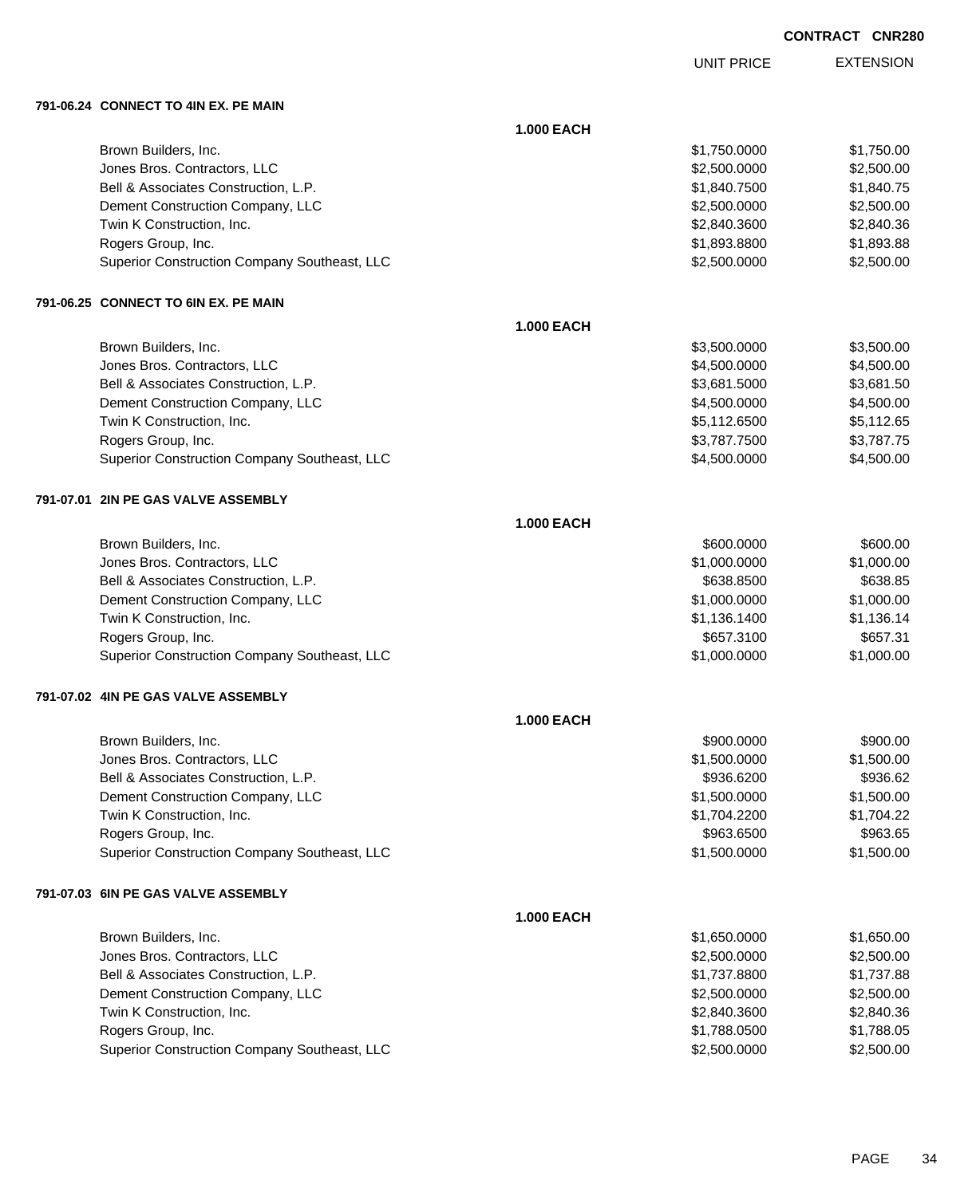UNIT PRICE EXTENSION

**791-06.24 CONNECT TO 4IN EX. PE MAIN**

|                                              | <b>1.000 EACH</b> |              |            |
|----------------------------------------------|-------------------|--------------|------------|
| Brown Builders, Inc.                         |                   | \$1,750.0000 | \$1,750.00 |
| Jones Bros. Contractors, LLC                 |                   | \$2,500.0000 | \$2,500.00 |
| Bell & Associates Construction, L.P.         |                   | \$1,840.7500 | \$1,840.75 |
| Dement Construction Company, LLC             |                   | \$2,500.0000 | \$2,500.00 |
| Twin K Construction, Inc.                    |                   | \$2,840.3600 | \$2,840.36 |
| Rogers Group, Inc.                           |                   | \$1,893.8800 | \$1,893.88 |
| Superior Construction Company Southeast, LLC |                   | \$2,500.0000 | \$2,500.00 |
| 791-06.25 CONNECT TO 6IN EX. PE MAIN         |                   |              |            |
|                                              | <b>1.000 EACH</b> |              |            |
| Brown Builders, Inc.                         |                   | \$3,500.0000 | \$3,500.00 |
| Jones Bros. Contractors, LLC                 |                   | \$4,500.0000 | \$4,500.00 |
| Bell & Associates Construction, L.P.         |                   | \$3,681.5000 | \$3,681.50 |
| Dement Construction Company, LLC             |                   | \$4,500.0000 | \$4,500.00 |
| Twin K Construction, Inc.                    |                   | \$5,112.6500 | \$5,112.65 |
| Rogers Group, Inc.                           |                   | \$3,787.7500 | \$3,787.75 |
| Superior Construction Company Southeast, LLC |                   | \$4,500.0000 | \$4,500.00 |
| 791-07.01 2IN PE GAS VALVE ASSEMBLY          |                   |              |            |
|                                              | <b>1.000 EACH</b> |              |            |
| Brown Builders, Inc.                         |                   | \$600.0000   | \$600.00   |
| Jones Bros. Contractors, LLC                 |                   | \$1,000.0000 | \$1,000.00 |
| Bell & Associates Construction, L.P.         |                   | \$638.8500   | \$638.85   |
| Dement Construction Company, LLC             |                   | \$1,000.0000 | \$1,000.00 |
| Twin K Construction, Inc.                    |                   | \$1,136.1400 | \$1,136.14 |
| Rogers Group, Inc.                           |                   | \$657.3100   | \$657.31   |
| Superior Construction Company Southeast, LLC |                   | \$1,000.0000 | \$1,000.00 |
| 791-07.02 4IN PE GAS VALVE ASSEMBLY          |                   |              |            |
|                                              | <b>1.000 EACH</b> |              |            |
| Brown Builders, Inc.                         |                   | \$900.0000   | \$900.00   |
| Jones Bros. Contractors, LLC                 |                   | \$1,500.0000 | \$1,500.00 |
| Bell & Associates Construction, L.P.         |                   | \$936.6200   | \$936.62   |
| Dement Construction Company, LLC             |                   | \$1,500.0000 | \$1,500.00 |
| Twin K Construction, Inc.                    |                   | \$1,704.2200 | \$1,704.22 |
| Rogers Group, Inc.                           |                   | \$963.6500   | \$963.65   |
| Superior Construction Company Southeast, LLC |                   | \$1,500.0000 | \$1,500.00 |
| 791-07.03  6IN PE GAS VALVE ASSEMBLY         |                   |              |            |
|                                              | <b>1.000 EACH</b> |              |            |
| Brown Builders, Inc.                         |                   | \$1,650.0000 | \$1,650.00 |
| Jones Bros. Contractors, LLC                 |                   | \$2,500.0000 | \$2,500.00 |
| Bell & Associates Construction, L.P.         |                   | \$1,737.8800 | \$1,737.88 |
| Dement Construction Company, LLC             |                   | \$2,500.0000 | \$2,500.00 |
| Twin K Construction, Inc.                    |                   | \$2,840.3600 | \$2,840.36 |
| Rogers Group, Inc.                           |                   | \$1,788.0500 | \$1,788.05 |
| Superior Construction Company Southeast, LLC |                   | \$2,500.0000 | \$2,500.00 |
|                                              |                   |              |            |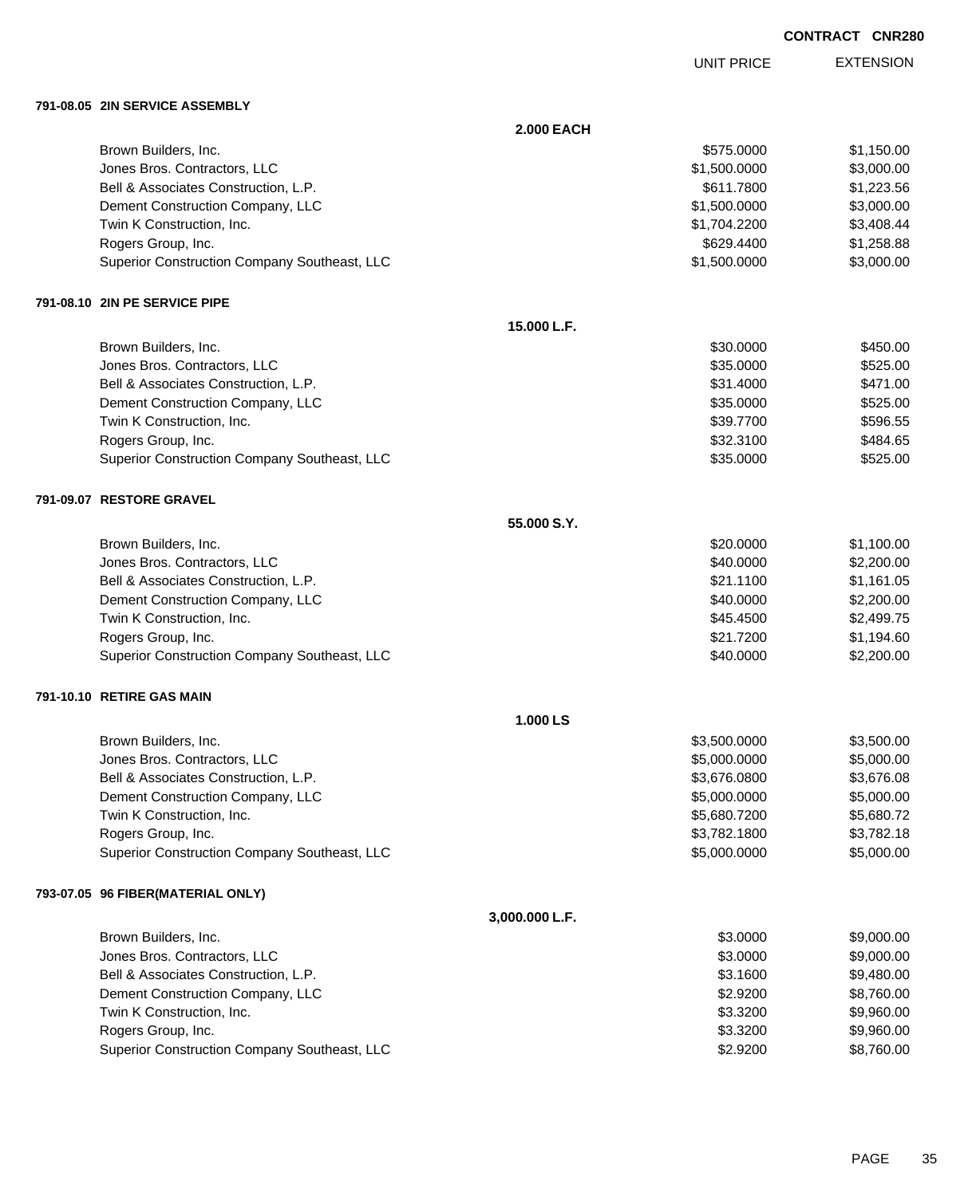UNIT PRICE EXTENSION

### **791-08.05 2IN SERVICE ASSEMBLY**

|                                              | <b>2.000 EACH</b> |              |            |
|----------------------------------------------|-------------------|--------------|------------|
| Brown Builders, Inc.                         |                   | \$575.0000   | \$1,150.00 |
| Jones Bros. Contractors, LLC                 |                   | \$1,500.0000 | \$3,000.00 |
| Bell & Associates Construction, L.P.         |                   | \$611.7800   | \$1,223.56 |
| Dement Construction Company, LLC             |                   | \$1,500.0000 | \$3,000.00 |
| Twin K Construction, Inc.                    |                   | \$1,704.2200 | \$3,408.44 |
| Rogers Group, Inc.                           |                   | \$629.4400   | \$1,258.88 |
| Superior Construction Company Southeast, LLC |                   | \$1,500.0000 | \$3,000.00 |
| 791-08.10 2IN PE SERVICE PIPE                |                   |              |            |
|                                              | 15.000 L.F.       |              |            |
| Brown Builders, Inc.                         |                   | \$30.0000    | \$450.00   |
| Jones Bros. Contractors, LLC                 |                   | \$35.0000    | \$525.00   |
| Bell & Associates Construction, L.P.         |                   | \$31.4000    | \$471.00   |
| Dement Construction Company, LLC             |                   | \$35.0000    | \$525.00   |
| Twin K Construction, Inc.                    |                   | \$39.7700    | \$596.55   |
| Rogers Group, Inc.                           |                   | \$32.3100    | \$484.65   |
| Superior Construction Company Southeast, LLC |                   | \$35.0000    | \$525.00   |
| 791-09.07 RESTORE GRAVEL                     |                   |              |            |
|                                              | 55.000 S.Y.       |              |            |
| Brown Builders, Inc.                         |                   | \$20.0000    | \$1,100.00 |
| Jones Bros. Contractors, LLC                 |                   | \$40.0000    | \$2,200.00 |
| Bell & Associates Construction, L.P.         |                   | \$21.1100    | \$1,161.05 |
| Dement Construction Company, LLC             |                   | \$40.0000    | \$2,200.00 |
| Twin K Construction, Inc.                    |                   | \$45.4500    | \$2,499.75 |
| Rogers Group, Inc.                           |                   | \$21.7200    | \$1,194.60 |
| Superior Construction Company Southeast, LLC |                   | \$40.0000    | \$2,200.00 |
| 791-10.10 RETIRE GAS MAIN                    |                   |              |            |
|                                              | 1.000 LS          |              |            |
| Brown Builders, Inc.                         |                   | \$3,500.0000 | \$3,500.00 |
| Jones Bros. Contractors, LLC                 |                   | \$5,000.0000 | \$5,000.00 |
| Bell & Associates Construction, L.P.         |                   | \$3,676.0800 | \$3,676.08 |
| Dement Construction Company, LLC             |                   | \$5,000.0000 | \$5,000.00 |
| Twin K Construction, Inc.                    |                   | \$5,680.7200 | \$5,680.72 |
| Rogers Group, Inc.                           |                   | \$3,782.1800 | \$3,782.18 |
| Superior Construction Company Southeast, LLC |                   | \$5,000.0000 | \$5,000.00 |
| 793-07.05 96 FIBER(MATERIAL ONLY)            |                   |              |            |
|                                              | 3,000.000 L.F.    |              |            |
| Brown Builders, Inc.                         |                   | \$3.0000     | \$9,000.00 |
| Jones Bros. Contractors, LLC                 |                   | \$3.0000     | \$9,000.00 |
| Bell & Associates Construction, L.P.         |                   | \$3.1600     | \$9,480.00 |
| Dement Construction Company, LLC             |                   | \$2.9200     | \$8,760.00 |
| Twin K Construction, Inc.                    |                   | \$3.3200     | \$9,960.00 |
| Rogers Group, Inc.                           |                   | \$3.3200     | \$9,960.00 |
| Superior Construction Company Southeast, LLC |                   | \$2.9200     | \$8,760.00 |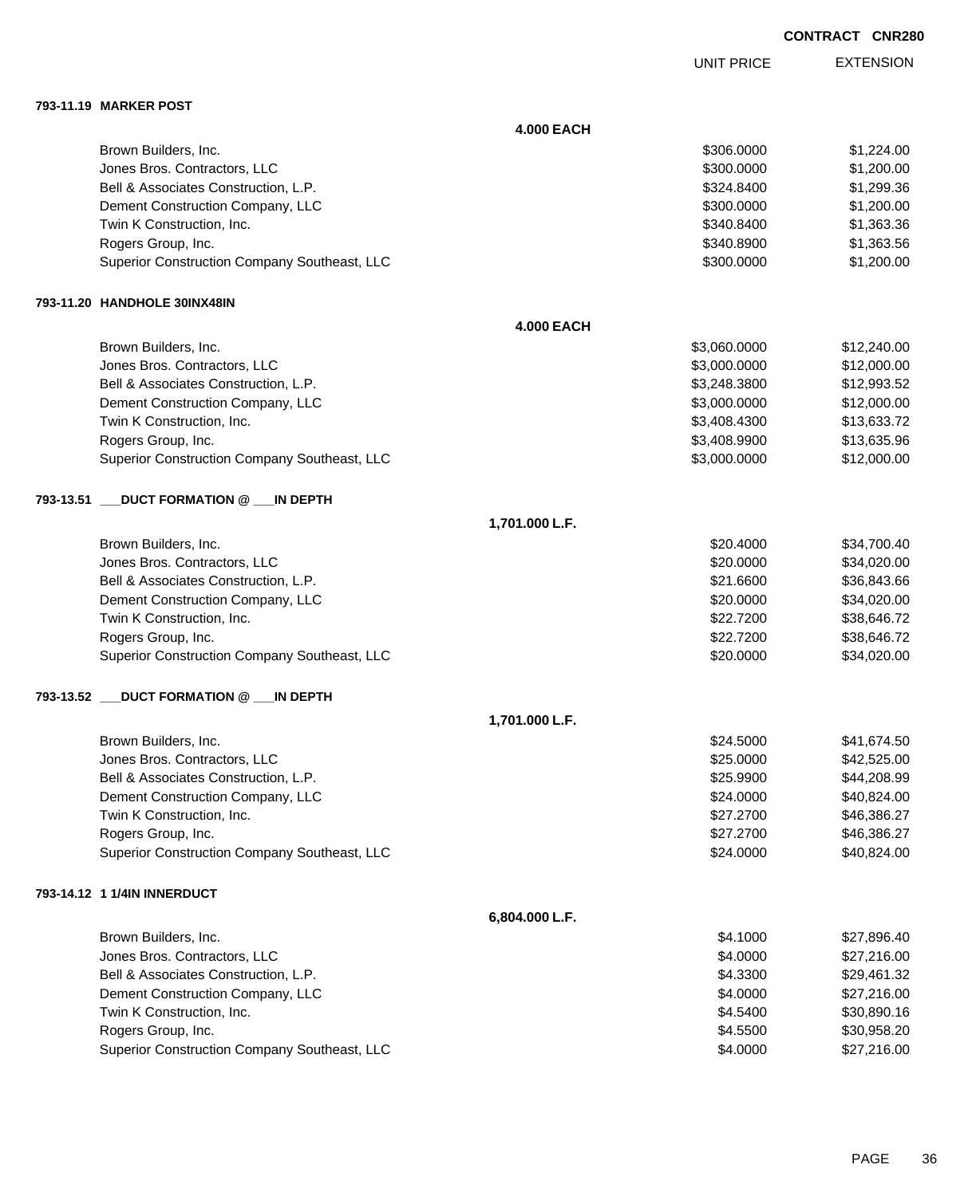EXTENSION UNIT PRICE

#### **793-11.19 MARKER POST**

|           |                                              | <b>4.000 EACH</b> |              |             |
|-----------|----------------------------------------------|-------------------|--------------|-------------|
|           | Brown Builders, Inc.                         |                   | \$306.0000   | \$1,224.00  |
|           | Jones Bros. Contractors, LLC                 |                   | \$300.0000   | \$1,200.00  |
|           | Bell & Associates Construction, L.P.         |                   | \$324.8400   | \$1,299.36  |
|           | Dement Construction Company, LLC             |                   | \$300.0000   | \$1,200.00  |
|           | Twin K Construction, Inc.                    |                   | \$340.8400   | \$1,363.36  |
|           | Rogers Group, Inc.                           |                   | \$340.8900   | \$1,363.56  |
|           | Superior Construction Company Southeast, LLC |                   | \$300.0000   | \$1,200.00  |
|           | 793-11.20 HANDHOLE 30INX48IN                 |                   |              |             |
|           |                                              | <b>4.000 EACH</b> |              |             |
|           | Brown Builders, Inc.                         |                   | \$3,060.0000 | \$12,240.00 |
|           | Jones Bros. Contractors, LLC                 |                   | \$3,000.0000 | \$12,000.00 |
|           | Bell & Associates Construction, L.P.         |                   | \$3,248.3800 | \$12,993.52 |
|           | Dement Construction Company, LLC             |                   | \$3,000.0000 | \$12,000.00 |
|           | Twin K Construction, Inc.                    |                   | \$3,408.4300 | \$13,633.72 |
|           | Rogers Group, Inc.                           |                   | \$3,408.9900 | \$13,635.96 |
|           | Superior Construction Company Southeast, LLC |                   | \$3,000.0000 | \$12,000.00 |
| 793-13.51 | <b>DUCT FORMATION @ __IN DEPTH</b>           |                   |              |             |
|           |                                              | 1,701.000 L.F.    |              |             |
|           | Brown Builders, Inc.                         |                   | \$20.4000    | \$34,700.40 |
|           | Jones Bros. Contractors, LLC                 |                   | \$20.0000    | \$34,020.00 |
|           | Bell & Associates Construction, L.P.         |                   | \$21.6600    | \$36,843.66 |
|           | Dement Construction Company, LLC             |                   | \$20.0000    | \$34,020.00 |
|           | Twin K Construction, Inc.                    |                   | \$22.7200    | \$38,646.72 |
|           | Rogers Group, Inc.                           |                   | \$22.7200    | \$38,646.72 |
|           | Superior Construction Company Southeast, LLC |                   | \$20.0000    | \$34,020.00 |
| 793-13.52 | _DUCT FORMATION @ ___IN DEPTH                |                   |              |             |
|           |                                              | 1,701.000 L.F.    |              |             |
|           | Brown Builders, Inc.                         |                   | \$24.5000    | \$41,674.50 |
|           | Jones Bros. Contractors, LLC                 |                   | \$25.0000    | \$42,525.00 |
|           | Bell & Associates Construction, L.P.         |                   | \$25.9900    | \$44,208.99 |
|           | Dement Construction Company, LLC             |                   | \$24.0000    | \$40,824.00 |
|           | Twin K Construction, Inc.                    |                   | \$27.2700    | \$46,386.27 |
|           | Rogers Group, Inc.                           |                   | \$27.2700    | \$46,386.27 |
|           | Superior Construction Company Southeast, LLC |                   | \$24.0000    | \$40,824.00 |
|           | 793-14.12 1 1/4IN INNERDUCT                  |                   |              |             |
|           |                                              | 6,804.000 L.F.    |              |             |
|           | Brown Builders, Inc.                         |                   | \$4.1000     | \$27,896.40 |
|           | Jones Bros. Contractors, LLC                 |                   | \$4.0000     | \$27,216.00 |
|           | Bell & Associates Construction, L.P.         |                   | \$4.3300     | \$29,461.32 |
|           | Dement Construction Company, LLC             |                   | \$4.0000     | \$27,216.00 |
|           | Twin K Construction, Inc.                    |                   | \$4.5400     | \$30,890.16 |
|           | Rogers Group, Inc.                           |                   | \$4.5500     | \$30,958.20 |
|           | Superior Construction Company Southeast, LLC |                   | \$4.0000     | \$27,216.00 |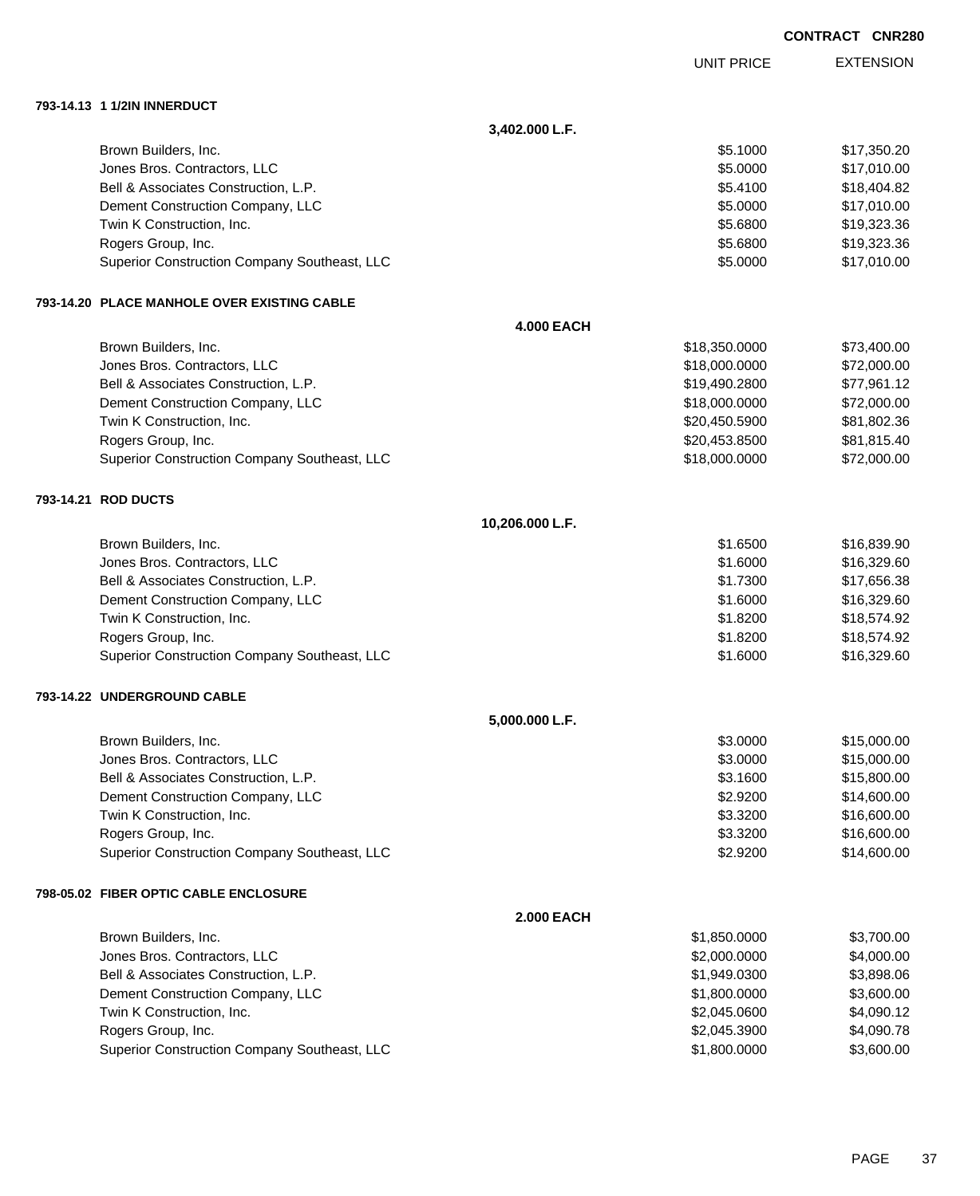|                                              |                   |                   | <b>CONTRACT CNR280</b> |                  |
|----------------------------------------------|-------------------|-------------------|------------------------|------------------|
|                                              |                   | <b>UNIT PRICE</b> |                        | <b>EXTENSION</b> |
|                                              |                   |                   |                        |                  |
|                                              | 3,402.000 L.F.    |                   |                        |                  |
| Brown Builders, Inc.                         |                   | \$5.1000          |                        | \$17,350.20      |
| Jones Bros. Contractors, LLC                 |                   | \$5.0000          |                        | \$17,010.00      |
| Bell & Associates Construction, L.P.         |                   | \$5.4100          |                        | \$18,404.82      |
| Dement Construction Company, LLC             |                   | \$5.0000          |                        | \$17,010.00      |
| Twin K Construction, Inc.                    |                   | \$5.6800          |                        | \$19,323.36      |
| Rogers Group, Inc.                           |                   | \$5.6800          |                        | \$19,323.36      |
| Superior Construction Company Southeast, LLC |                   | \$5.0000          |                        | \$17,010.00      |
| 793-14.20 PLACE MANHOLE OVER EXISTING CABLE  |                   |                   |                        |                  |
|                                              | <b>4.000 EACH</b> |                   |                        |                  |
| Brown Builders, Inc.                         |                   | \$18,350.0000     |                        | \$73,400.00      |
| Jones Bros. Contractors, LLC                 |                   | \$18,000.0000     |                        | \$72,000.00      |
| Bell & Associates Construction, L.P.         |                   | \$19,490.2800     |                        | \$77,961.12      |
| Dement Construction Company, LLC             |                   | \$18,000.0000     |                        | \$72,000.00      |
| Twin K Construction, Inc.                    |                   | \$20,450.5900     |                        | \$81,802.36      |
| Rogers Group, Inc.                           |                   | \$20,453.8500     |                        | \$81,815.40      |
| Superior Construction Company Southeast, LLC |                   | \$18,000.0000     |                        | \$72,000.00      |
| 793-14.21 ROD DUCTS                          |                   |                   |                        |                  |
|                                              | 10,206.000 L.F.   |                   |                        |                  |
| Brown Builders, Inc.                         |                   | \$1.6500          |                        | \$16,839.90      |
| Jones Bros. Contractors, LLC                 |                   | \$1.6000          |                        | \$16,329.60      |
| Bell & Associates Construction, L.P.         |                   | \$1.7300          |                        | \$17,656.38      |
| Dement Construction Company, LLC             |                   | \$1.6000          |                        | \$16,329.60      |
| Twin K Construction, Inc.                    |                   | \$1.8200          |                        | \$18,574.92      |
| Rogers Group, Inc.                           |                   | \$1.8200          |                        | \$18,574.92      |
| Superior Construction Company Southeast, LLC |                   | \$1.6000          |                        | \$16,329.60      |
| 793-14.22 UNDERGROUND CABLE                  |                   |                   |                        |                  |
|                                              | 5,000.000 L.F.    |                   |                        |                  |
| Brown Builders, Inc.                         |                   | \$3.0000          |                        | \$15,000.00      |
| Jones Bros. Contractors, LLC                 |                   | \$3.0000          |                        | \$15,000.00      |
| Bell & Associates Construction, L.P.         |                   | \$3.1600          |                        | \$15,800.00      |
| Dement Construction Company, LLC             |                   | \$2.9200          |                        | \$14,600.00      |
| Twin K Construction, Inc.                    |                   | \$3.3200          |                        | \$16,600.00      |
| Rogers Group, Inc.                           |                   | \$3.3200          |                        | \$16,600.00      |
| Superior Construction Company Southeast, LLC |                   | \$2.9200          |                        | \$14,600.00      |
| <b>798-05.02 FIBER OPTIC CABLE ENCLOSURE</b> |                   |                   |                        |                  |
|                                              | <b>2.000 EACH</b> |                   |                        |                  |
| Brown Builders, Inc.                         |                   | \$1,850.0000      |                        | \$3,700.00       |
| Jones Bros. Contractors, LLC                 |                   | \$2,000.0000      |                        | \$4,000.00       |
| Bell & Associates Construction, L.P.         |                   | \$1,949.0300      |                        | \$3,898.06       |
| Dement Construction Company, LLC             |                   | \$1,800.0000      |                        | \$3,600.00       |
| Twin K Construction, Inc.                    |                   | \$2,045.0600      |                        | \$4,090.12       |
| Rogers Group, Inc.                           |                   | \$2,045.3900      |                        | \$4,090.78       |
| Superior Construction Company Southeast, LLC |                   | \$1,800.0000      |                        | \$3,600.00       |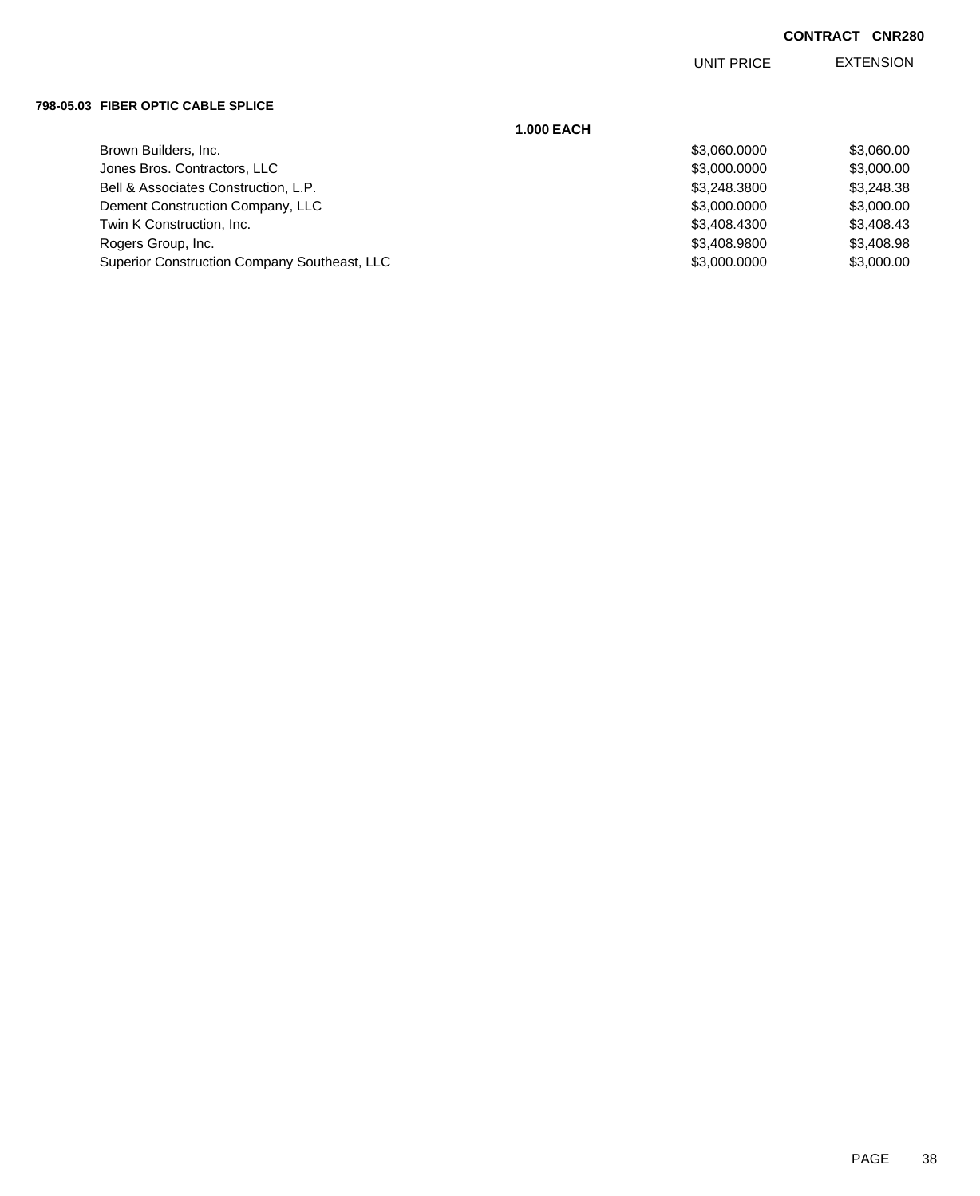EXTENSION UNIT PRICE

### **798-05.03 FIBER OPTIC CABLE SPLICE**

| <b>1.000 EACH</b>                            |              |            |
|----------------------------------------------|--------------|------------|
| Brown Builders, Inc.                         | \$3,060.0000 | \$3,060.00 |
| Jones Bros. Contractors, LLC                 | \$3,000.0000 | \$3,000.00 |
| Bell & Associates Construction, L.P.         | \$3,248,3800 | \$3,248.38 |
| Dement Construction Company, LLC             | \$3,000.0000 | \$3,000.00 |
| Twin K Construction, Inc.                    | \$3,408.4300 | \$3,408.43 |
| Rogers Group, Inc.                           | \$3,408.9800 | \$3,408.98 |
| Superior Construction Company Southeast, LLC | \$3,000.0000 | \$3,000.00 |
|                                              |              |            |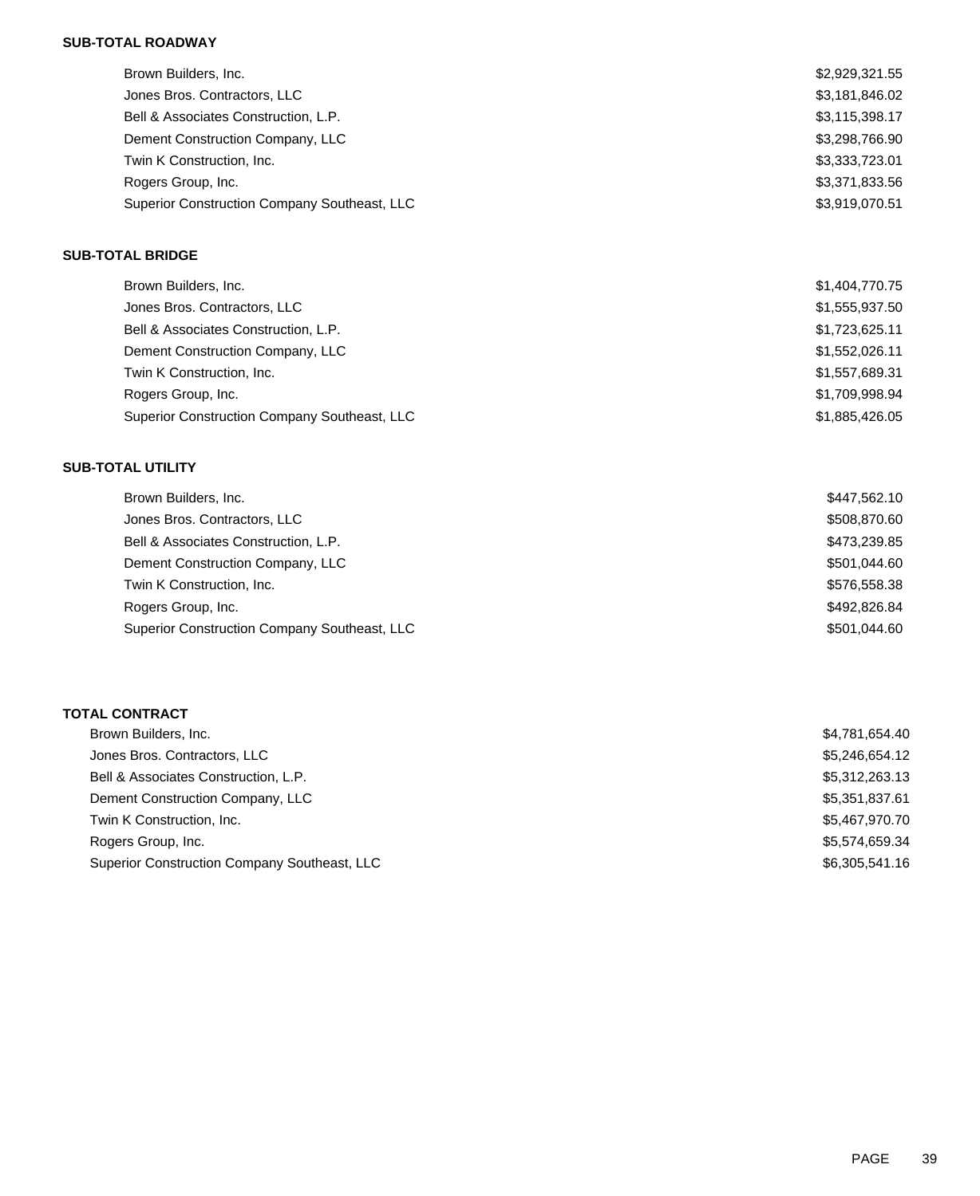# **SUB-TOTAL ROADWAY**

| Brown Builders, Inc.                         | \$2,929,321.55 |
|----------------------------------------------|----------------|
| Jones Bros. Contractors, LLC                 | \$3,181,846.02 |
| Bell & Associates Construction, L.P.         | \$3,115,398.17 |
| Dement Construction Company, LLC             | \$3,298,766.90 |
| Twin K Construction, Inc.                    | \$3,333,723.01 |
| Rogers Group, Inc.                           | \$3,371,833.56 |
| Superior Construction Company Southeast, LLC | \$3,919,070.51 |

# **SUB-TOTAL BRIDGE**

| Brown Builders, Inc.                         | \$1,404,770.75 |
|----------------------------------------------|----------------|
| Jones Bros. Contractors, LLC                 | \$1,555,937.50 |
| Bell & Associates Construction, L.P.         | \$1,723,625.11 |
| Dement Construction Company, LLC             | \$1,552,026.11 |
| Twin K Construction, Inc.                    | \$1,557,689.31 |
| Rogers Group, Inc.                           | \$1,709,998.94 |
| Superior Construction Company Southeast, LLC | \$1,885,426.05 |

## **SUB-TOTAL UTILITY**

| Brown Builders, Inc.                         | \$447,562.10 |
|----------------------------------------------|--------------|
| Jones Bros. Contractors, LLC                 | \$508,870.60 |
| Bell & Associates Construction, L.P.         | \$473,239.85 |
| Dement Construction Company, LLC             | \$501.044.60 |
| Twin K Construction, Inc.                    | \$576,558,38 |
| Rogers Group, Inc.                           | \$492,826,84 |
| Superior Construction Company Southeast, LLC | \$501.044.60 |

# **TOTAL CONTRACT**

| Brown Builders, Inc.                         | \$4,781,654.40 |
|----------------------------------------------|----------------|
| Jones Bros. Contractors, LLC                 | \$5.246.654.12 |
| Bell & Associates Construction, L.P.         | \$5,312,263.13 |
| Dement Construction Company, LLC             | \$5.351.837.61 |
| Twin K Construction, Inc.                    | \$5,467,970.70 |
| Rogers Group, Inc.                           | \$5,574,659.34 |
| Superior Construction Company Southeast, LLC | \$6.305.541.16 |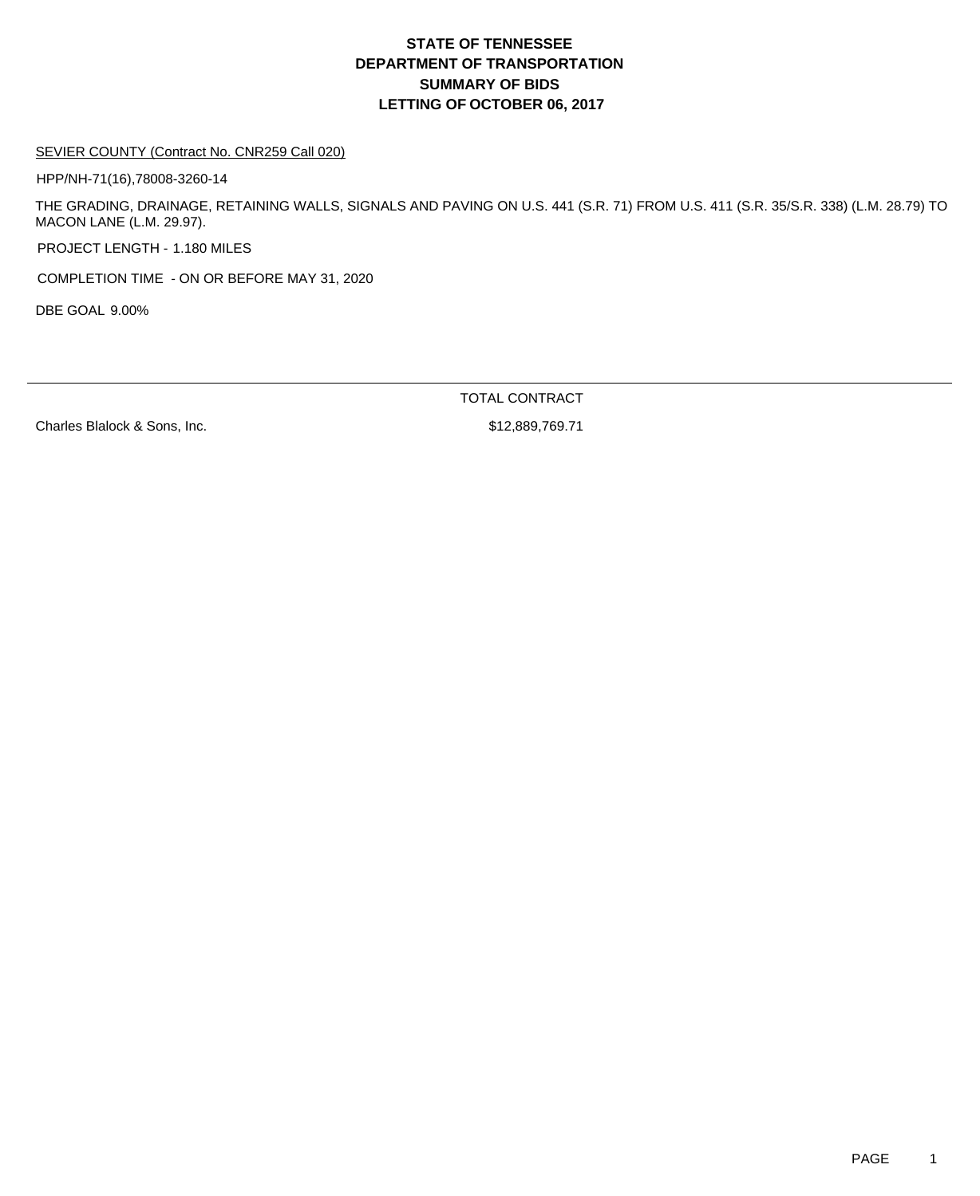# **DEPARTMENT OF TRANSPORTATION SUMMARY OF BIDS LETTING OF OCTOBER 06, 2017 STATE OF TENNESSEE**

### SEVIER COUNTY (Contract No. CNR259 Call 020)

HPP/NH-71(16),78008-3260-14

THE GRADING, DRAINAGE, RETAINING WALLS, SIGNALS AND PAVING ON U.S. 441 (S.R. 71) FROM U.S. 411 (S.R. 35/S.R. 338) (L.M. 28.79) TO MACON LANE (L.M. 29.97).

PROJECT LENGTH - 1.180 MILES

COMPLETION TIME - ON OR BEFORE MAY 31, 2020

DBE GOAL 9.00%

TOTAL CONTRACT

Charles Blalock & Sons, Inc.  $$12,889,769.71$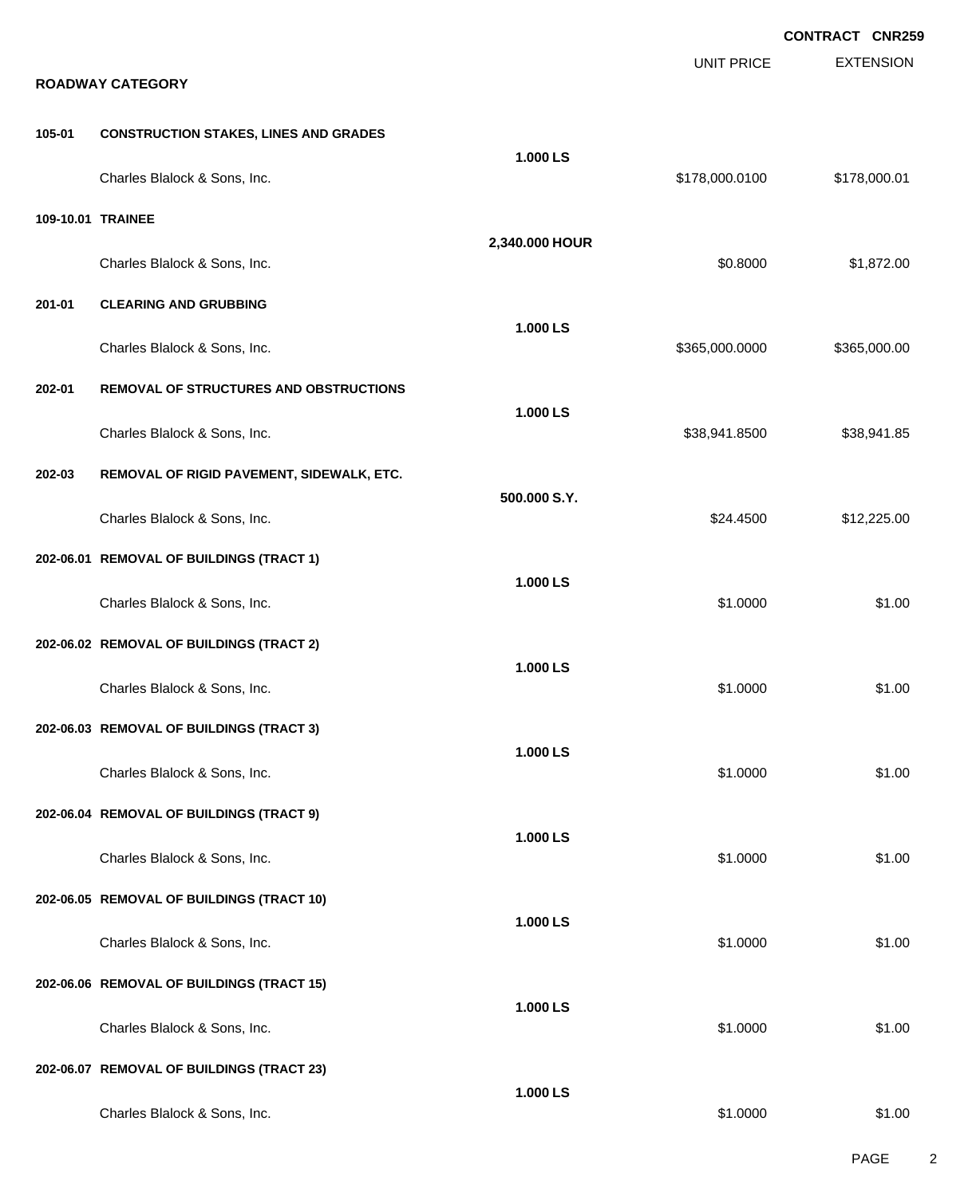|        |                                               |                |                   | <b>CONTRACT CNR259</b> |
|--------|-----------------------------------------------|----------------|-------------------|------------------------|
|        | <b>ROADWAY CATEGORY</b>                       |                | <b>UNIT PRICE</b> | <b>EXTENSION</b>       |
| 105-01 | <b>CONSTRUCTION STAKES, LINES AND GRADES</b>  |                |                   |                        |
|        | Charles Blalock & Sons, Inc.                  | 1.000 LS       | \$178,000.0100    | \$178,000.01           |
|        | 109-10.01 TRAINEE                             | 2,340.000 HOUR |                   |                        |
|        | Charles Blalock & Sons, Inc.                  |                | \$0.8000          | \$1,872.00             |
| 201-01 | <b>CLEARING AND GRUBBING</b>                  |                |                   |                        |
|        | Charles Blalock & Sons, Inc.                  | 1.000 LS       | \$365,000.0000    | \$365,000.00           |
| 202-01 | <b>REMOVAL OF STRUCTURES AND OBSTRUCTIONS</b> |                |                   |                        |
|        | Charles Blalock & Sons, Inc.                  | 1.000 LS       | \$38,941.8500     | \$38,941.85            |
| 202-03 | REMOVAL OF RIGID PAVEMENT, SIDEWALK, ETC.     |                |                   |                        |
|        | Charles Blalock & Sons, Inc.                  | 500.000 S.Y.   | \$24.4500         | \$12,225.00            |
|        | 202-06.01 REMOVAL OF BUILDINGS (TRACT 1)      |                |                   |                        |
|        | Charles Blalock & Sons, Inc.                  | 1.000 LS       | \$1.0000          | \$1.00                 |
|        | 202-06.02 REMOVAL OF BUILDINGS (TRACT 2)      |                |                   |                        |
|        | Charles Blalock & Sons, Inc.                  | 1.000 LS       | \$1.0000          | \$1.00                 |
|        | 202-06.03 REMOVAL OF BUILDINGS (TRACT 3)      |                |                   |                        |
|        | Charles Blalock & Sons, Inc.                  | 1.000 LS       | \$1.0000          | \$1.00                 |
|        | 202-06.04 REMOVAL OF BUILDINGS (TRACT 9)      |                |                   |                        |
|        | Charles Blalock & Sons, Inc.                  | 1.000 LS       | \$1.0000          | \$1.00                 |
|        | 202-06.05 REMOVAL OF BUILDINGS (TRACT 10)     |                |                   |                        |
|        | Charles Blalock & Sons, Inc.                  | 1.000 LS       | \$1.0000          | \$1.00                 |
|        | 202-06.06 REMOVAL OF BUILDINGS (TRACT 15)     |                |                   |                        |
|        | Charles Blalock & Sons, Inc.                  | 1.000 LS       | \$1.0000          | \$1.00                 |
|        | 202-06.07 REMOVAL OF BUILDINGS (TRACT 23)     |                |                   |                        |
|        | Charles Blalock & Sons, Inc.                  | 1.000 LS       | \$1.0000          | \$1.00                 |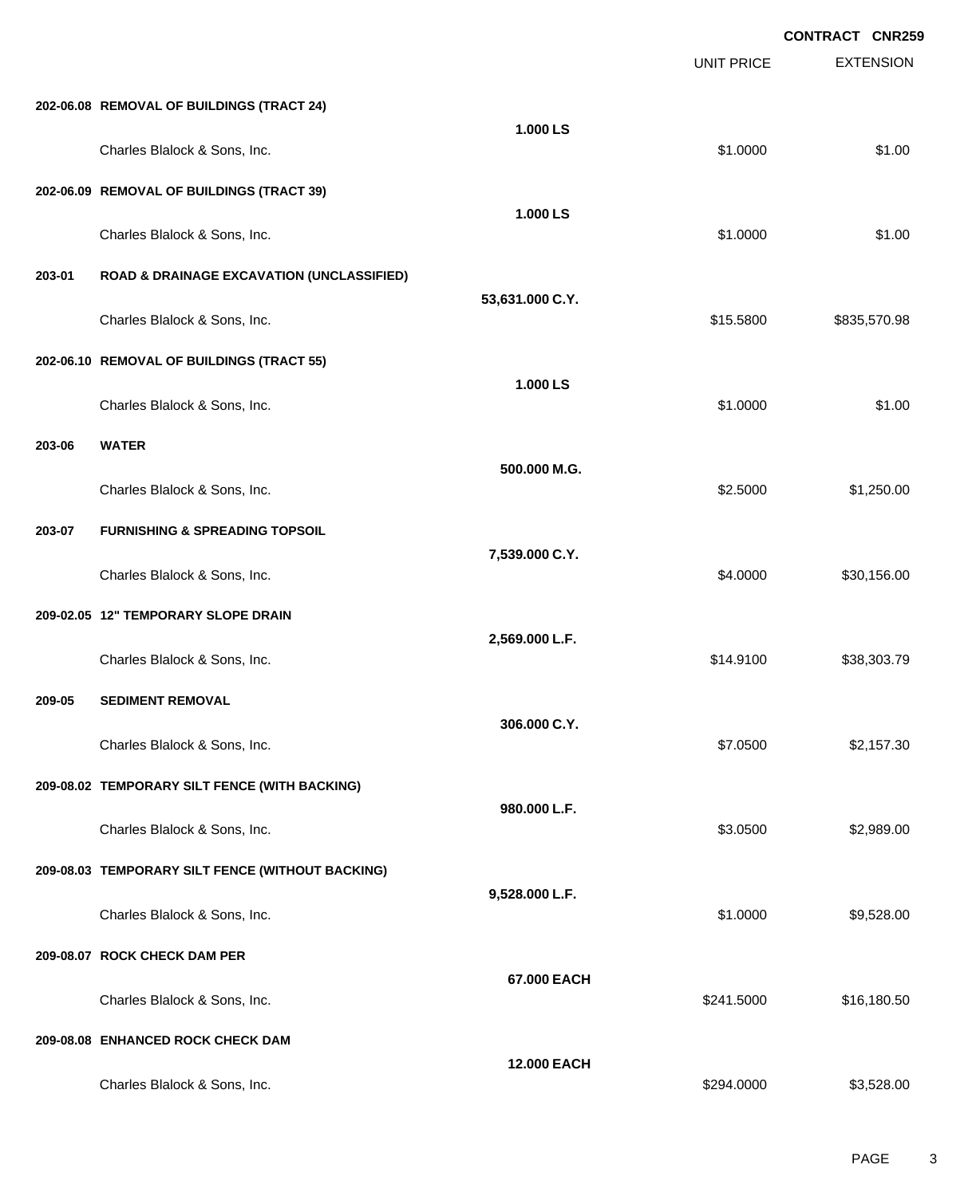EXTENSION **CONTRACT CNR259** UNIT PRICE **202-06.08 REMOVAL OF BUILDINGS (TRACT 24) 1.000 LS** Charles Blalock & Sons, Inc. \$1.000 \$1.000 \$1.000 \$1.000 \$1.000 \$1.000 \$1.000 \$1.000 \$1.000 \$1.00 **202-06.09 REMOVAL OF BUILDINGS (TRACT 39) 1.000 LS** Charles Blalock & Sons, Inc. \$1.000 \$1.000 \$1.000 \$1.000 \$1.000 \$1.000 \$1.000 \$1.000 \$1.00 **203-01 ROAD & DRAINAGE EXCAVATION (UNCLASSIFIED) 53,631.000 C.Y.** Charles Blalock & Sons, Inc. \$15.5800 \$835,570.98 **202-06.10 REMOVAL OF BUILDINGS (TRACT 55) 1.000 LS** Charles Blalock & Sons, Inc. \$1.000 \$1.000 \$1.000 \$1.000 \$1.000 \$1.000 \$1.000 \$1.000 \$1.000 \$1.000 \$1.00 **203-06 WATER 500.000 M.G.** Charles Blalock & Sons, Inc. 6.6000 \$1,250.00 \$1,250.00 **203-07 FURNISHING & SPREADING TOPSOIL 7,539.000 C.Y.** Charles Blalock & Sons, Inc. 6. 2010 12:30 12:30 12:30 13:30,156.00 \$30,156.00 **209-02.05 12" TEMPORARY SLOPE DRAIN 2,569.000 L.F.** Charles Blalock & Sons, Inc. \$14.9100 \$38,303.79 **209-05 SEDIMENT REMOVAL 306.000 C.Y.** Charles Blalock & Sons, Inc. \$7.0500 \$2,157.30 **209-08.02 TEMPORARY SILT FENCE (WITH BACKING) 980.000 L.F.** Charles Blalock & Sons, Inc. 6. 2012 12:00 \$2,989.00 \$2,989.00 \$2,989.00 \$2,989.00 **209-08.03 TEMPORARY SILT FENCE (WITHOUT BACKING) 9,528.000 L.F.** Charles Blalock & Sons, Inc. 6. 2016 19:30 19:30 19:30 19:30 19:30 19:30 19:30 19:30 19:30 19:30 19:30 19:30 1 **209-08.07 ROCK CHECK DAM PER 67.000 EACH** Charles Blalock & Sons, Inc. 6. 2012 12:30 12:30 12:30 12:30 12:30 12:30 12:30 12:30 12:30 12:30 12:30 12:30 1 **209-08.08 ENHANCED ROCK CHECK DAM 12.000 EACH**

Charles Blalock & Sons, Inc. 6. 2012. The Superintendent Studies of the Studies of the Studies of the Studies of S3,528.000 \$3,528.00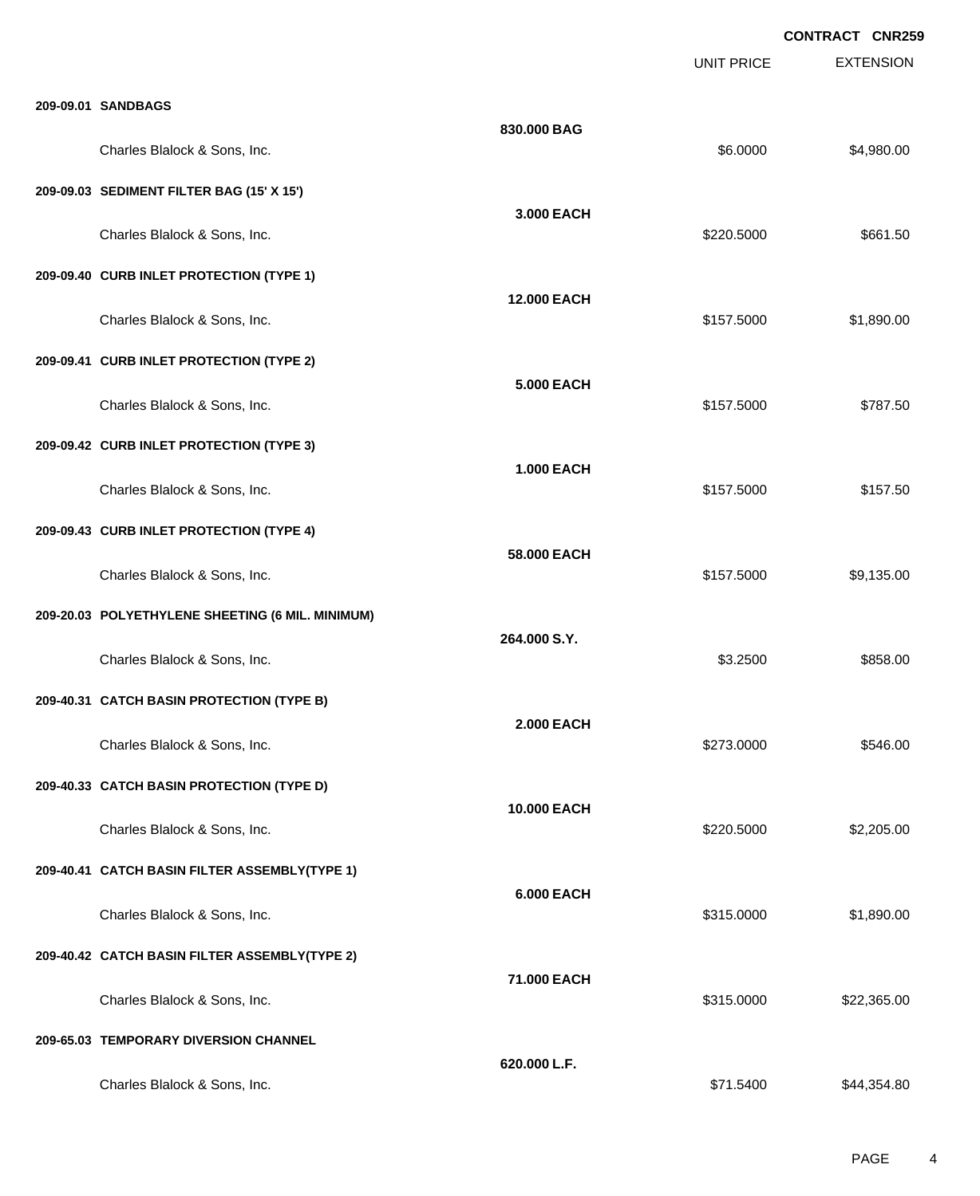|                                                  |                    | <b>UNIT PRICE</b> | <b>EXTENSION</b> |
|--------------------------------------------------|--------------------|-------------------|------------------|
| 209-09.01 SANDBAGS                               |                    |                   |                  |
| Charles Blalock & Sons, Inc.                     | 830.000 BAG        | \$6.0000          | \$4,980.00       |
| 209-09.03 SEDIMENT FILTER BAG (15' X 15')        |                    |                   |                  |
| Charles Blalock & Sons, Inc.                     | 3.000 EACH         | \$220.5000        | \$661.50         |
| 209-09.40 CURB INLET PROTECTION (TYPE 1)         |                    |                   |                  |
| Charles Blalock & Sons, Inc.                     | <b>12.000 EACH</b> | \$157.5000        | \$1,890.00       |
| 209-09.41 CURB INLET PROTECTION (TYPE 2)         |                    |                   |                  |
| Charles Blalock & Sons, Inc.                     | <b>5.000 EACH</b>  | \$157.5000        | \$787.50         |
| 209-09.42 CURB INLET PROTECTION (TYPE 3)         |                    |                   |                  |
| Charles Blalock & Sons, Inc.                     | <b>1.000 EACH</b>  | \$157.5000        | \$157.50         |
| 209-09.43 CURB INLET PROTECTION (TYPE 4)         |                    |                   |                  |
| Charles Blalock & Sons, Inc.                     | 58.000 EACH        | \$157.5000        | \$9,135.00       |
| 209-20.03 POLYETHYLENE SHEETING (6 MIL. MINIMUM) |                    |                   |                  |
| Charles Blalock & Sons, Inc.                     | 264.000 S.Y.       | \$3.2500          | \$858.00         |
| 209-40.31 CATCH BASIN PROTECTION (TYPE B)        |                    |                   |                  |
| Charles Blalock & Sons, Inc.                     | <b>2.000 EACH</b>  | \$273.0000        | \$546.00         |
| 209-40.33 CATCH BASIN PROTECTION (TYPE D)        |                    |                   |                  |
| Charles Blalock & Sons, Inc.                     | 10.000 EACH        | \$220.5000        | \$2,205.00       |
| 209-40.41 CATCH BASIN FILTER ASSEMBLY(TYPE 1)    |                    |                   |                  |
| Charles Blalock & Sons, Inc.                     | <b>6.000 EACH</b>  | \$315.0000        | \$1,890.00       |
| 209-40.42 CATCH BASIN FILTER ASSEMBLY(TYPE 2)    |                    |                   |                  |
| Charles Blalock & Sons, Inc.                     | 71.000 EACH        | \$315.0000        | \$22,365.00      |
| 209-65.03 TEMPORARY DIVERSION CHANNEL            |                    |                   |                  |
| Charles Blalock & Sons, Inc.                     | 620.000 L.F.       | \$71.5400         | \$44,354.80      |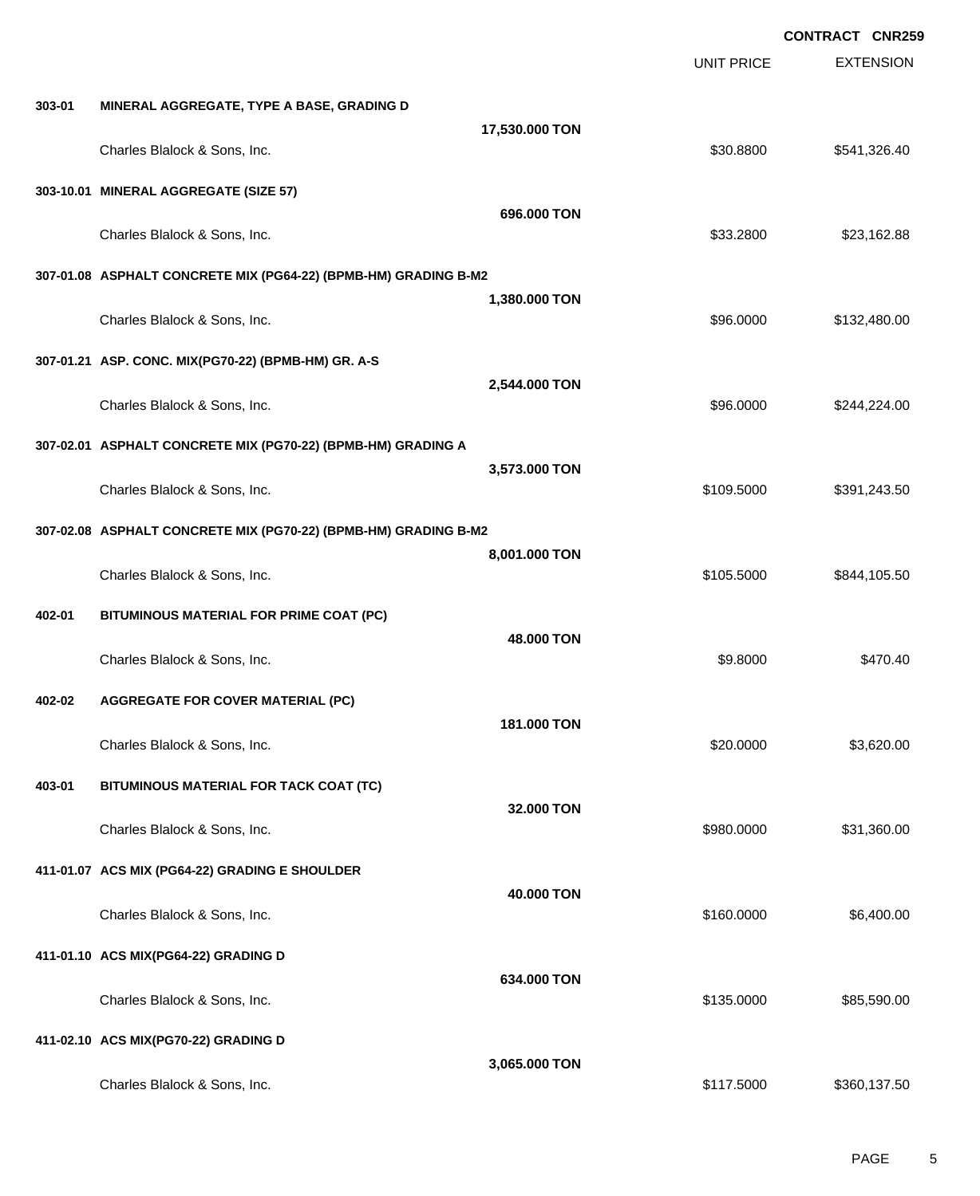EXTENSION **CONTRACT CNR259** UNIT PRICE **303-01 MINERAL AGGREGATE, TYPE A BASE, GRADING D 17,530.000 TON** Charles Blalock & Sons, Inc. \$30.8800 \$541,326.40 **303-10.01 MINERAL AGGREGATE (SIZE 57) 696.000 TON** Charles Blalock & Sons, Inc. \$33.2800 \$23,162.88 **307-01.08 ASPHALT CONCRETE MIX (PG64-22) (BPMB-HM) GRADING B-M2 1,380.000 TON** Charles Blalock & Sons, Inc. 6. 2012 12:30 12:30 12:30 132,480.000 \$132,480.00 **307-01.21 ASP. CONC. MIX(PG70-22) (BPMB-HM) GR. A-S 2,544.000 TON** Charles Blalock & Sons, Inc. 6. 2014. The Superintence of the State of the State of S244,224.000 \$244,224.00 **307-02.01 ASPHALT CONCRETE MIX (PG70-22) (BPMB-HM) GRADING A 3,573.000 TON** Charles Blalock & Sons, Inc. 6. 2011 2012 20:30:40 \$109.5000 \$391,243.50 **307-02.08 ASPHALT CONCRETE MIX (PG70-22) (BPMB-HM) GRADING B-M2 8,001.000 TON** Charles Blalock & Sons, Inc. 6. 2012 12:30 12:30 12:30 12:30 12:30 12:30 12:30 12:30 12:30 12:30 12:30 12:30 12:30 12:30 12:30 12:30 12:30 12:30 12:30 12:30 12:30 12:30 12:30 12:30 12:30 12:30 12:30 12:30 12:30 12:30 12:30 **402-01 BITUMINOUS MATERIAL FOR PRIME COAT (PC) 48.000 TON** Charles Blalock & Sons, Inc. 6. 2012 12:30 12:30 12:30 12:30 12:30 12:30 12:30 12:30 12:30 12:30 12:30 12:30 13:30 13:470.40 **402-02 AGGREGATE FOR COVER MATERIAL (PC) 181.000 TON** Charles Blalock & Sons, Inc. 6. 20.000 \$3,620.00 **403-01 BITUMINOUS MATERIAL FOR TACK COAT (TC) 32.000 TON** Charles Blalock & Sons, Inc. 6. 2010 12:30 12:30 1360.000 \$31,360.000 \$31,360.00 **411-01.07 ACS MIX (PG64-22) GRADING E SHOULDER 40.000 TON** Charles Blalock & Sons, Inc. 6.400.000 \$6,400.000 \$6,400.000 \$6,400.000 \$6,400.00 **411-01.10 ACS MIX(PG64-22) GRADING D 634.000 TON** Charles Blalock & Sons, Inc. 6. 2012 12:30 12:30 12:30 13:30 13:30 13:30 13:30 14:30 14:30 15:30 16:30 16:30 16:30 16:30 16:30 16:30 16:30 17:30 17:30 17:30 17:30 17:30 17:30 17:30 17:30 17:30 17:30 17:30 17:30 17:30 17:30 **411-02.10 ACS MIX(PG70-22) GRADING D 3,065.000 TON** Charles Blalock & Sons, Inc. 6. 2012 12:30 137.500 \$360,137.5000 \$360,137.500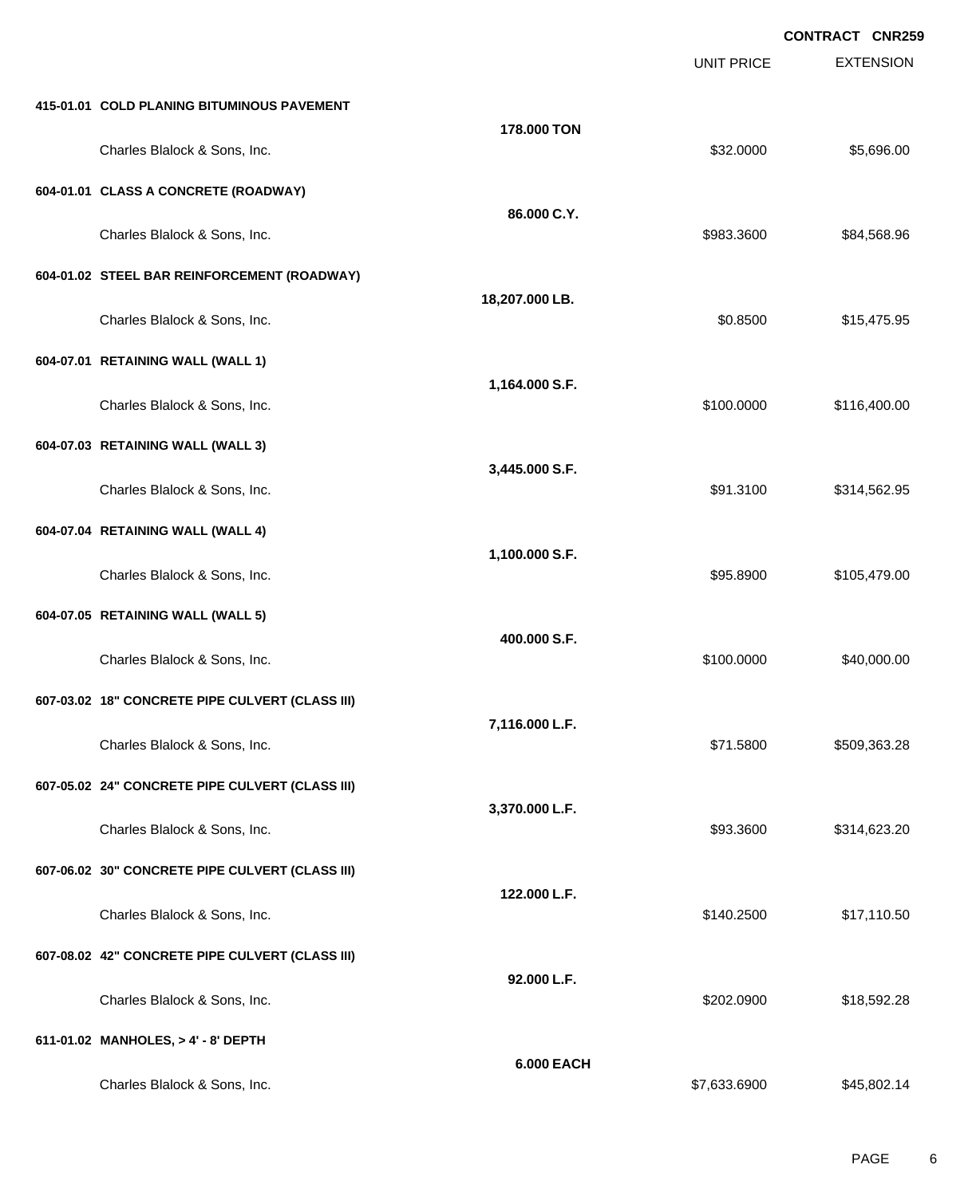EXTENSION **CONTRACT CNR259** UNIT PRICE **415-01.01 COLD PLANING BITUMINOUS PAVEMENT 178.000 TON** Charles Blalock & Sons, Inc. 6. 2012 12:30 12:30 12:30 12:30 13:30 14:30 14:30 14:30 15:40 15:5096.00 **604-01.01 CLASS A CONCRETE (ROADWAY) 86.000 C.Y.** Charles Blalock & Sons, Inc. 684,568.96 **604-01.02 STEEL BAR REINFORCEMENT (ROADWAY) 18,207.000 LB.** Charles Blalock & Sons, Inc. 6. 2012 12:30 \$15,475.95 **604-07.01 RETAINING WALL (WALL 1) 1,164.000 S.F.** Charles Blalock & Sons, Inc. 6. 2010. The State of the State of the State of the State of the State of the State of the State of the State of the State of the State of the State of the State of the State of the State of th **604-07.03 RETAINING WALL (WALL 3) 3,445.000 S.F.** Charles Blalock & Sons, Inc. \$91.3100 \$314,562.95 **604-07.04 RETAINING WALL (WALL 4) 1,100.000 S.F.** Charles Blalock & Sons, Inc. \$95.8900 \$105,479.00 **604-07.05 RETAINING WALL (WALL 5) 400.000 S.F.** Charles Blalock & Sons, Inc. 6. 2010. [10] Charles Blalock & Sons, Inc. 6. 2010. [10] Charles Blalock & Sons, Inc. 2010. [10] 2010. [10] 2010. [10] 2010. [10] 2010. [10] 2010. [10] 2010. [10] 2010. [10] 2010. [10] 2010. [1 **607-03.02 18" CONCRETE PIPE CULVERT (CLASS III) 7,116.000 L.F.** Charles Blalock & Sons, Inc. \$71.5800 \$509,363.28 **607-05.02 24" CONCRETE PIPE CULVERT (CLASS III) 3,370.000 L.F.** Charles Blalock & Sons, Inc. \$93.3600 \$314,623.20 **607-06.02 30" CONCRETE PIPE CULVERT (CLASS III) 122.000 L.F.** Charles Blalock & Sons, Inc. \$140.2500 \$17,110.50 **607-08.02 42" CONCRETE PIPE CULVERT (CLASS III) 92.000 L.F.** Charles Blalock & Sons, Inc. \$202.0900 \$18,592.28 **611-01.02 MANHOLES, > 4' - 8' DEPTH 6.000 EACH**

Charles Blalock & Sons, Inc. \$7,633.6900 \$45,802.14

PAGE 6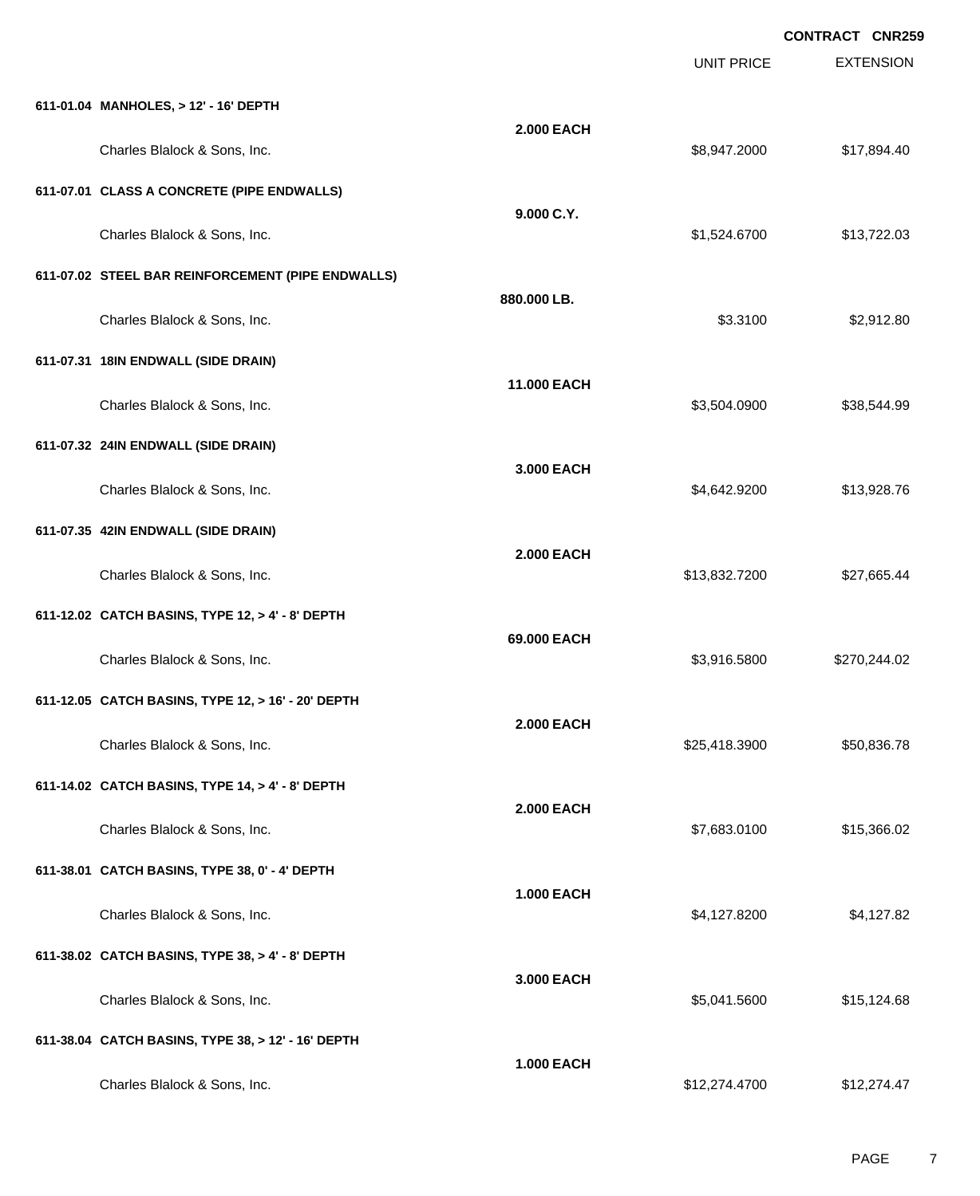|                                                    |                   |                   | <b>CONTRACT CNR259</b> |
|----------------------------------------------------|-------------------|-------------------|------------------------|
|                                                    |                   | <b>UNIT PRICE</b> | <b>EXTENSION</b>       |
| 611-01.04 MANHOLES, > 12' - 16' DEPTH              |                   |                   |                        |
| Charles Blalock & Sons, Inc.                       | <b>2.000 EACH</b> | \$8,947.2000      | \$17,894.40            |
| 611-07.01 CLASS A CONCRETE (PIPE ENDWALLS)         |                   |                   |                        |
| Charles Blalock & Sons, Inc.                       | 9.000 C.Y.        | \$1,524.6700      | \$13,722.03            |
| 611-07.02 STEEL BAR REINFORCEMENT (PIPE ENDWALLS)  |                   |                   |                        |
| Charles Blalock & Sons, Inc.                       | 880.000 LB.       | \$3.3100          | \$2,912.80             |
| 611-07.31 18IN ENDWALL (SIDE DRAIN)                |                   |                   |                        |
| Charles Blalock & Sons, Inc.                       | 11.000 EACH       | \$3,504.0900      | \$38,544.99            |
| 611-07.32 24IN ENDWALL (SIDE DRAIN)                |                   |                   |                        |
| Charles Blalock & Sons, Inc.                       | 3.000 EACH        | \$4,642.9200      | \$13,928.76            |
| 611-07.35 42IN ENDWALL (SIDE DRAIN)                |                   |                   |                        |
| Charles Blalock & Sons, Inc.                       | <b>2.000 EACH</b> | \$13,832.7200     | \$27,665.44            |
| 611-12.02 CATCH BASINS, TYPE 12, > 4' - 8' DEPTH   |                   |                   |                        |
| Charles Blalock & Sons, Inc.                       | 69.000 EACH       | \$3,916.5800      | \$270,244.02           |
| 611-12.05 CATCH BASINS, TYPE 12, > 16' - 20' DEPTH |                   |                   |                        |
| Charles Blalock & Sons, Inc.                       | <b>2.000 EACH</b> | \$25,418.3900     | \$50,836.78            |
| 611-14.02 CATCH BASINS, TYPE 14, > 4' - 8' DEPTH   |                   |                   |                        |
| Charles Blalock & Sons, Inc.                       | <b>2.000 EACH</b> | \$7,683.0100      | \$15,366.02            |
| 611-38.01 CATCH BASINS, TYPE 38, 0' - 4' DEPTH     |                   |                   |                        |
| Charles Blalock & Sons, Inc.                       | <b>1.000 EACH</b> | \$4,127.8200      | \$4,127.82             |
| 611-38.02 CATCH BASINS, TYPE 38, > 4' - 8' DEPTH   |                   |                   |                        |
| Charles Blalock & Sons, Inc.                       | 3.000 EACH        | \$5,041.5600      | \$15,124.68            |
| 611-38.04 CATCH BASINS, TYPE 38, > 12' - 16' DEPTH |                   |                   |                        |
| Charles Blalock & Sons, Inc.                       | <b>1.000 EACH</b> | \$12,274.4700     | \$12,274.47            |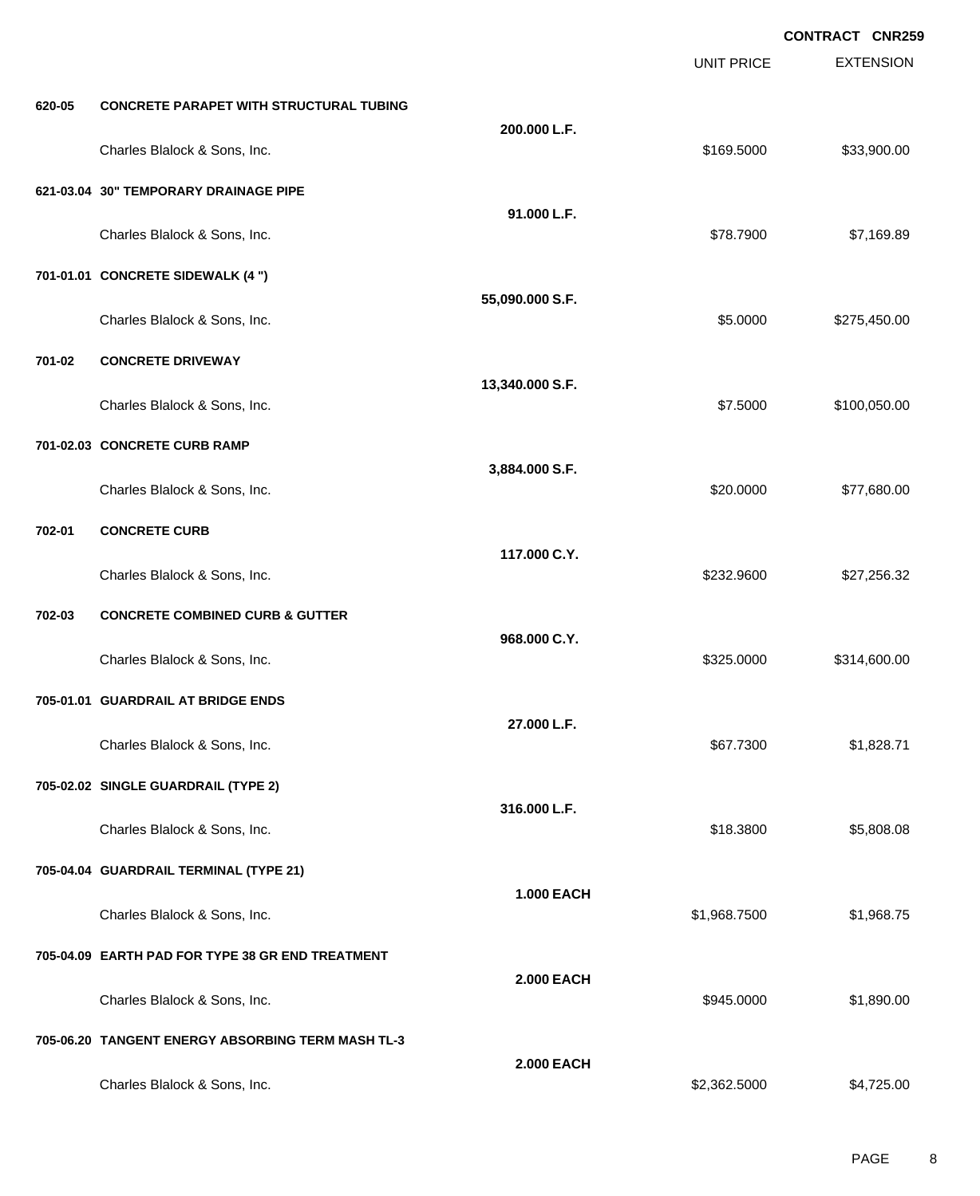EXTENSION **CONTRACT CNR259** UNIT PRICE **620-05 CONCRETE PARAPET WITH STRUCTURAL TUBING 200.000 L.F.** Charles Blalock & Sons, Inc. 6. 2012 12:30 12:30 12:30 12:30 12:30 12:30 13:30 14:30 14:30 15:30 16:30 16:30 1 **621-03.04 30" TEMPORARY DRAINAGE PIPE 91.000 L.F.** Charles Blalock & Sons, Inc. \$78.7900 \$7,169.89 **701-01.01 CONCRETE SIDEWALK (4 ") 55,090.000 S.F.** Charles Blalock & Sons, Inc. 6. 2012 12:30 12:30 12:30 12:30 12:30 12:30 12:30 12:30 12:30 12:30 12:30 12:30 1 **701-02 CONCRETE DRIVEWAY 13,340.000 S.F.** Charles Blalock & Sons, Inc. 6. 2010. The State of the State of the State of the State of the State of the State of the State of the State of the State of the State of the State of the State of the State of the State of th **701-02.03 CONCRETE CURB RAMP 3,884.000 S.F.** Charles Blalock & Sons, Inc. \$20.0000 \$77,680.00 **702-01 CONCRETE CURB 117.000 C.Y.** Charles Blalock & Sons, Inc. 6. 2012 12:30:00 \$232.9600 \$27,256.32 **702-03 CONCRETE COMBINED CURB & GUTTER 968.000 C.Y.** Charles Blalock & Sons, Inc. 6. 2010 12:00:00 \$325.0000 \$314,600.00 **705-01.01 GUARDRAIL AT BRIDGE ENDS 27.000 L.F.** Charles Blalock & Sons, Inc. \$67.7300 \$1,828.71 **705-02.02 SINGLE GUARDRAIL (TYPE 2) 316.000 L.F.** Charles Blalock & Sons, Inc. \$18.3800 \$5,808.08 **705-04.04 GUARDRAIL TERMINAL (TYPE 21) 1.000 EACH** Charles Blalock & Sons, Inc. \$1,968.7500 \$1,968.7500 \$1,968.7500 \$1,968.7500 \$1,968.7500 \$1,968.75 **705-04.09 EARTH PAD FOR TYPE 38 GR END TREATMENT 2.000 EACH** Charles Blalock & Sons, Inc. 6. 2012 12:30 12:30 12:30 12:30 12:30 12:30 12:30 12:30 12:30 12:30 12:30 12:30 1 **705-06.20 TANGENT ENERGY ABSORBING TERM MASH TL-3 2.000 EACH** Charles Blalock & Sons, Inc. 6. 2012 12:362.5000 \$4,725.00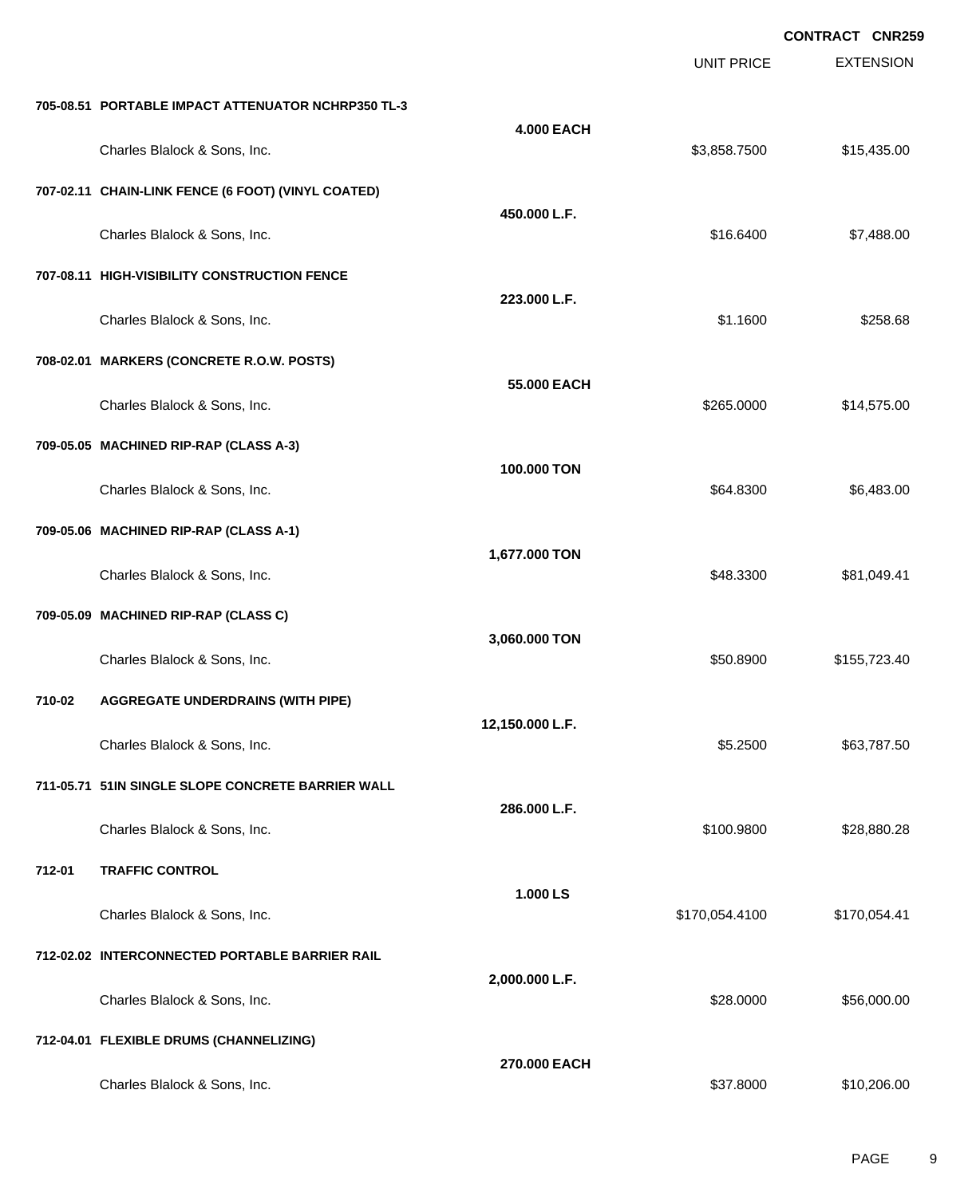|        |                                                    |                   |                   | <b>CONTRACT CNR259</b> |
|--------|----------------------------------------------------|-------------------|-------------------|------------------------|
|        |                                                    |                   | <b>UNIT PRICE</b> | <b>EXTENSION</b>       |
|        | 705-08.51 PORTABLE IMPACT ATTENUATOR NCHRP350 TL-3 |                   |                   |                        |
|        | Charles Blalock & Sons, Inc.                       | <b>4.000 EACH</b> | \$3,858.7500      | \$15,435.00            |
|        | 707-02.11 CHAIN-LINK FENCE (6 FOOT) (VINYL COATED) |                   |                   |                        |
|        | Charles Blalock & Sons, Inc.                       | 450.000 L.F.      | \$16.6400         | \$7,488.00             |
|        | 707-08.11 HIGH-VISIBILITY CONSTRUCTION FENCE       |                   |                   |                        |
|        | Charles Blalock & Sons, Inc.                       | 223.000 L.F.      | \$1.1600          | \$258.68               |
|        | 708-02.01 MARKERS (CONCRETE R.O.W. POSTS)          |                   |                   |                        |
|        | Charles Blalock & Sons, Inc.                       | 55.000 EACH       | \$265.0000        | \$14,575.00            |
|        | 709-05.05 MACHINED RIP-RAP (CLASS A-3)             |                   |                   |                        |
|        | Charles Blalock & Sons, Inc.                       | 100.000 TON       | \$64.8300         | \$6,483.00             |
|        | 709-05.06 MACHINED RIP-RAP (CLASS A-1)             |                   |                   |                        |
|        | Charles Blalock & Sons, Inc.                       | 1,677.000 TON     | \$48.3300         | \$81,049.41            |
|        | 709-05.09 MACHINED RIP-RAP (CLASS C)               |                   |                   |                        |
|        | Charles Blalock & Sons, Inc.                       | 3,060.000 TON     | \$50.8900         | \$155,723.40           |
| 710-02 | <b>AGGREGATE UNDERDRAINS (WITH PIPE)</b>           |                   |                   |                        |
|        | Charles Blalock & Sons, Inc.                       | 12,150.000 L.F.   | \$5.2500          | \$63,787.50            |
|        | 711-05.71 51IN SINGLE SLOPE CONCRETE BARRIER WALL  |                   |                   |                        |
|        | Charles Blalock & Sons, Inc.                       | 286.000 L.F.      | \$100.9800        | \$28,880.28            |
| 712-01 | <b>TRAFFIC CONTROL</b>                             |                   |                   |                        |
|        | Charles Blalock & Sons, Inc.                       | 1.000 LS          | \$170,054.4100    | \$170,054.41           |
|        | 712-02.02 INTERCONNECTED PORTABLE BARRIER RAIL     |                   |                   |                        |
|        | Charles Blalock & Sons, Inc.                       | 2,000.000 L.F.    | \$28.0000         | \$56,000.00            |
|        | 712-04.01 FLEXIBLE DRUMS (CHANNELIZING)            |                   |                   |                        |
|        | Charles Blalock & Sons, Inc.                       | 270.000 EACH      | \$37.8000         | \$10,206.00            |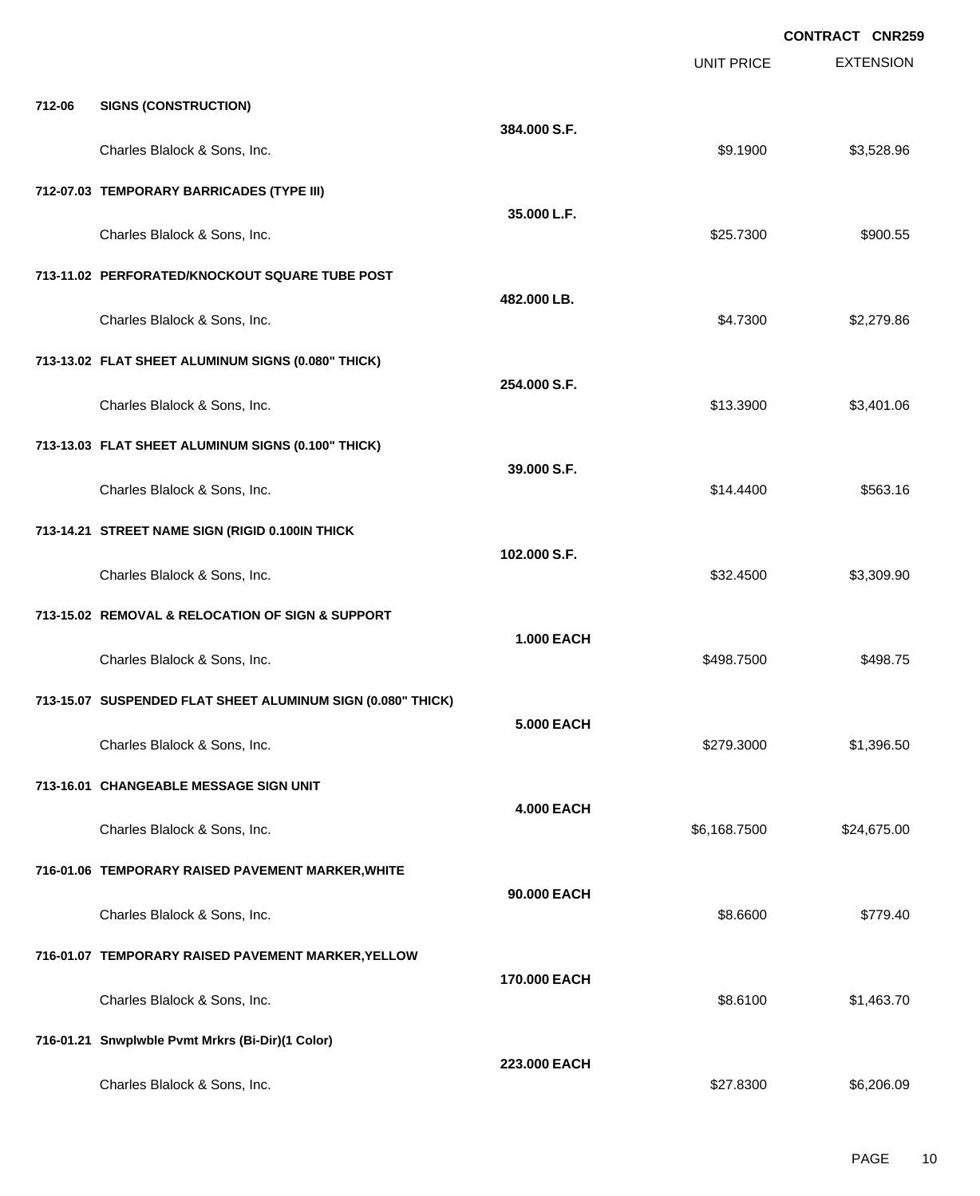|        |                                                             |                   |                   | <b>CONTRACT CNR259</b> |
|--------|-------------------------------------------------------------|-------------------|-------------------|------------------------|
|        |                                                             |                   | <b>UNIT PRICE</b> | <b>EXTENSION</b>       |
| 712-06 | <b>SIGNS (CONSTRUCTION)</b>                                 |                   |                   |                        |
|        | Charles Blalock & Sons, Inc.                                | 384.000 S.F.      | \$9.1900          | \$3,528.96             |
|        | 712-07.03 TEMPORARY BARRICADES (TYPE III)                   |                   |                   |                        |
|        | Charles Blalock & Sons, Inc.                                | 35.000 L.F.       | \$25.7300         | \$900.55               |
|        | 713-11.02 PERFORATED/KNOCKOUT SQUARE TUBE POST              |                   |                   |                        |
|        | Charles Blalock & Sons, Inc.                                | 482.000 LB.       | \$4.7300          | \$2,279.86             |
|        | 713-13.02 FLAT SHEET ALUMINUM SIGNS (0.080" THICK)          |                   |                   |                        |
|        | Charles Blalock & Sons, Inc.                                | 254.000 S.F.      | \$13.3900         | \$3,401.06             |
|        | 713-13.03 FLAT SHEET ALUMINUM SIGNS (0.100" THICK)          |                   |                   |                        |
|        | Charles Blalock & Sons, Inc.                                | 39.000 S.F.       | \$14.4400         | \$563.16               |
|        | 713-14.21 STREET NAME SIGN (RIGID 0.100IN THICK             |                   |                   |                        |
|        | Charles Blalock & Sons, Inc.                                | 102.000 S.F.      | \$32.4500         | \$3,309.90             |
|        | 713-15.02 REMOVAL & RELOCATION OF SIGN & SUPPORT            |                   |                   |                        |
|        | Charles Blalock & Sons, Inc.                                | <b>1.000 EACH</b> | \$498.7500        | \$498.75               |
|        | 713-15.07 SUSPENDED FLAT SHEET ALUMINUM SIGN (0.080" THICK) |                   |                   |                        |
|        | Charles Blalock & Sons, Inc.                                | <b>5.000 EACH</b> | \$279.3000        | \$1,396.50             |
|        | 713-16.01 CHANGEABLE MESSAGE SIGN UNIT                      |                   |                   |                        |
|        | Charles Blalock & Sons, Inc.                                | <b>4.000 EACH</b> | \$6,168.7500      | \$24,675.00            |
|        | 716-01.06 TEMPORARY RAISED PAVEMENT MARKER, WHITE           |                   |                   |                        |
|        | Charles Blalock & Sons, Inc.                                | 90.000 EACH       | \$8.6600          | \$779.40               |
|        | 716-01.07 TEMPORARY RAISED PAVEMENT MARKER, YELLOW          |                   |                   |                        |
|        | Charles Blalock & Sons, Inc.                                | 170.000 EACH      | \$8.6100          | \$1,463.70             |
|        | 716-01.21 Snwplwble Pvmt Mrkrs (Bi-Dir)(1 Color)            |                   |                   |                        |
|        | Charles Blalock & Sons, Inc.                                | 223.000 EACH      | \$27.8300         | \$6,206.09             |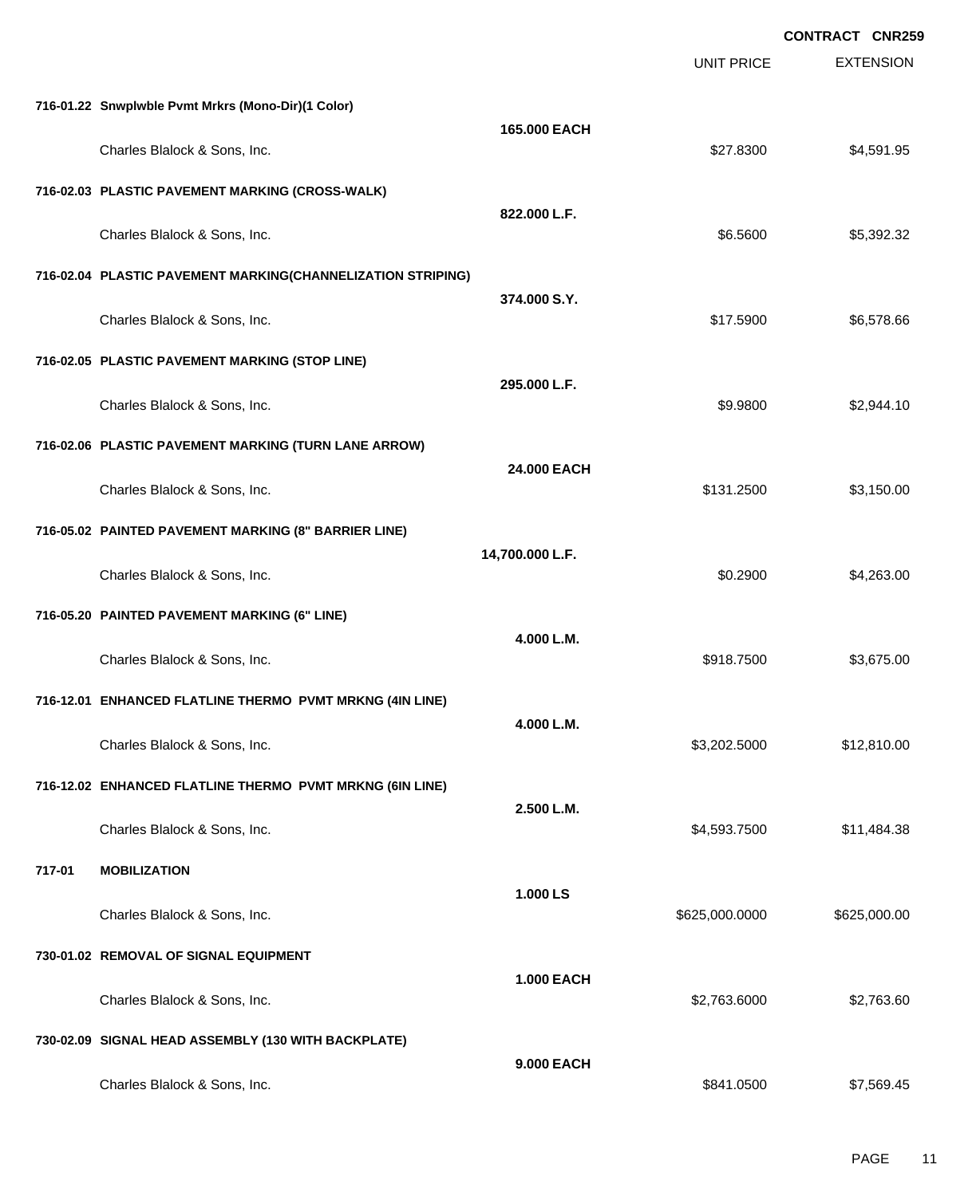|        |                                                             |                   |                   | <b>CONTRACT CNR259</b> |
|--------|-------------------------------------------------------------|-------------------|-------------------|------------------------|
|        |                                                             |                   | <b>UNIT PRICE</b> | <b>EXTENSION</b>       |
|        | 716-01.22 Snwplwble Pvmt Mrkrs (Mono-Dir)(1 Color)          |                   |                   |                        |
|        | Charles Blalock & Sons, Inc.                                | 165.000 EACH      | \$27.8300         | \$4,591.95             |
|        | 716-02.03 PLASTIC PAVEMENT MARKING (CROSS-WALK)             |                   |                   |                        |
|        | Charles Blalock & Sons, Inc.                                | 822.000 L.F.      | \$6.5600          | \$5,392.32             |
|        | 716-02.04 PLASTIC PAVEMENT MARKING(CHANNELIZATION STRIPING) |                   |                   |                        |
|        | Charles Blalock & Sons, Inc.                                | 374.000 S.Y.      | \$17.5900         | \$6,578.66             |
|        | 716-02.05 PLASTIC PAVEMENT MARKING (STOP LINE)              |                   |                   |                        |
|        | Charles Blalock & Sons, Inc.                                | 295.000 L.F.      | \$9.9800          | \$2,944.10             |
|        | 716-02.06 PLASTIC PAVEMENT MARKING (TURN LANE ARROW)        |                   |                   |                        |
|        | Charles Blalock & Sons, Inc.                                | 24,000 EACH       | \$131.2500        | \$3,150.00             |
|        | 716-05.02 PAINTED PAVEMENT MARKING (8" BARRIER LINE)        |                   |                   |                        |
|        | Charles Blalock & Sons, Inc.                                | 14,700.000 L.F.   | \$0.2900          | \$4,263.00             |
|        | 716-05.20 PAINTED PAVEMENT MARKING (6" LINE)                |                   |                   |                        |
|        | Charles Blalock & Sons, Inc.                                | 4.000 L.M.        | \$918.7500        | \$3,675.00             |
|        | 716-12.01 ENHANCED FLATLINE THERMO PVMT MRKNG (4IN LINE)    |                   |                   |                        |
|        | Charles Blalock & Sons, Inc.                                | 4.000 L.M.        | \$3,202.5000      | \$12,810.00            |
|        | 716-12.02 ENHANCED FLATLINE THERMO PVMT MRKNG (6IN LINE)    |                   |                   |                        |
|        | Charles Blalock & Sons, Inc.                                | 2.500 L.M.        | \$4,593.7500      | \$11,484.38            |
| 717-01 | <b>MOBILIZATION</b>                                         |                   |                   |                        |
|        | Charles Blalock & Sons, Inc.                                | 1.000 LS          | \$625,000.0000    | \$625,000.00           |
|        | 730-01.02 REMOVAL OF SIGNAL EQUIPMENT                       |                   |                   |                        |
|        | Charles Blalock & Sons, Inc.                                | <b>1.000 EACH</b> | \$2,763.6000      | \$2,763.60             |
|        | 730-02.09 SIGNAL HEAD ASSEMBLY (130 WITH BACKPLATE)         |                   |                   |                        |
|        | Charles Blalock & Sons, Inc.                                | 9.000 EACH        | \$841.0500        | \$7,569.45             |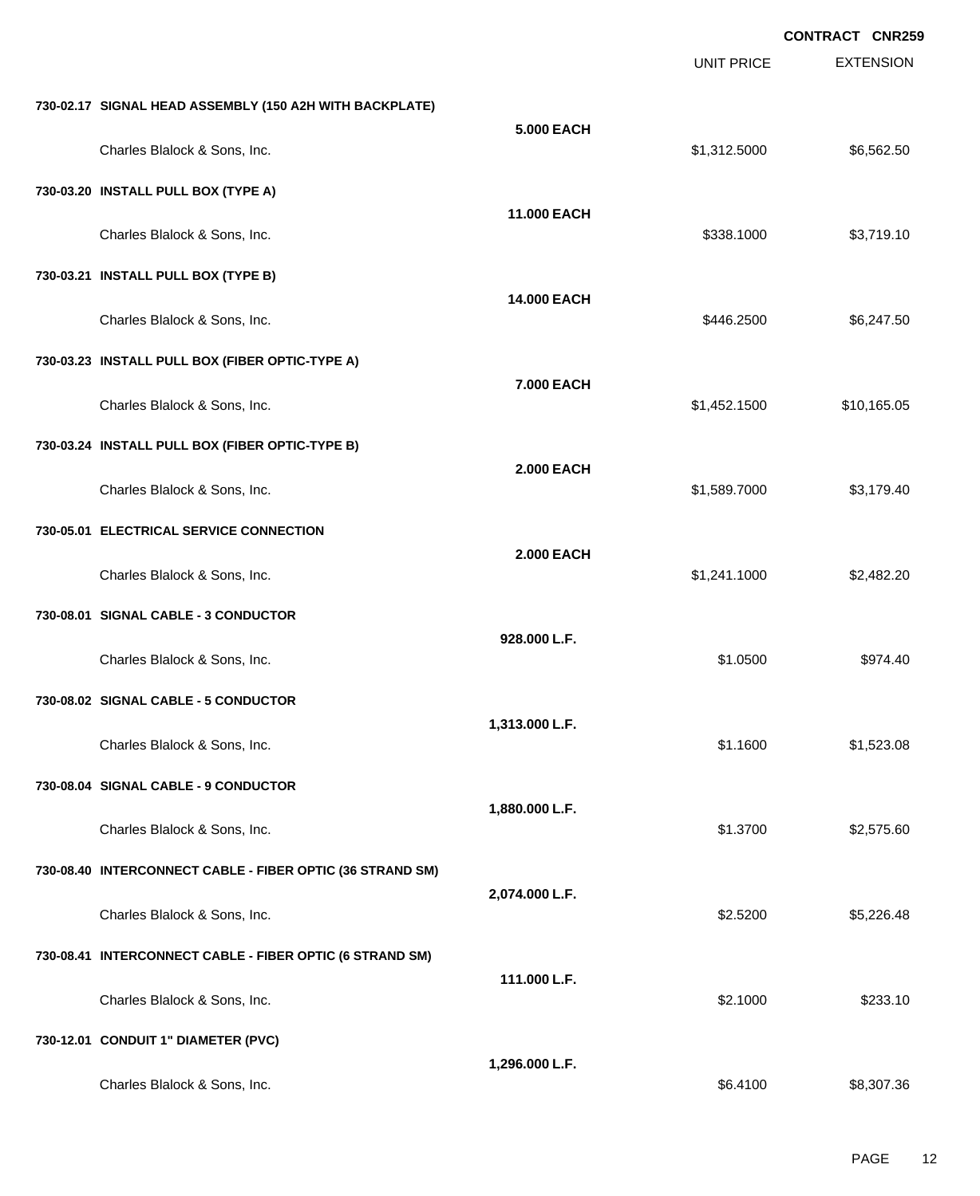|                                                           |                    | UNIT PRICE   | <b>EXTENSION</b> |
|-----------------------------------------------------------|--------------------|--------------|------------------|
| 730-02.17 SIGNAL HEAD ASSEMBLY (150 A2H WITH BACKPLATE)   |                    |              |                  |
| Charles Blalock & Sons, Inc.                              | <b>5.000 EACH</b>  | \$1,312.5000 | \$6,562.50       |
| 730-03.20 INSTALL PULL BOX (TYPE A)                       |                    |              |                  |
| Charles Blalock & Sons, Inc.                              | 11.000 EACH        | \$338.1000   | \$3,719.10       |
| 730-03.21 INSTALL PULL BOX (TYPE B)                       |                    |              |                  |
| Charles Blalock & Sons, Inc.                              | <b>14.000 EACH</b> | \$446.2500   | \$6,247.50       |
| 730-03.23 INSTALL PULL BOX (FIBER OPTIC-TYPE A)           |                    |              |                  |
| Charles Blalock & Sons, Inc.                              | 7.000 EACH         | \$1,452.1500 | \$10,165.05      |
| 730-03.24 INSTALL PULL BOX (FIBER OPTIC-TYPE B)           |                    |              |                  |
| Charles Blalock & Sons, Inc.                              | <b>2.000 EACH</b>  | \$1,589.7000 | \$3,179.40       |
| 730-05.01 ELECTRICAL SERVICE CONNECTION                   |                    |              |                  |
| Charles Blalock & Sons, Inc.                              | <b>2.000 EACH</b>  | \$1,241.1000 | \$2,482.20       |
| 730-08.01 SIGNAL CABLE - 3 CONDUCTOR                      |                    |              |                  |
| Charles Blalock & Sons, Inc.                              | 928.000 L.F.       | \$1.0500     | \$974.40         |
| 730-08.02 SIGNAL CABLE - 5 CONDUCTOR                      |                    |              |                  |
| Charles Blalock & Sons, Inc.                              | 1,313.000 L.F.     | \$1.1600     | \$1,523.08       |
| 730-08.04 SIGNAL CABLE - 9 CONDUCTOR                      |                    |              |                  |
| Charles Blalock & Sons, Inc.                              | 1,880.000 L.F.     | \$1.3700     | \$2,575.60       |
| 730-08.40 INTERCONNECT CABLE - FIBER OPTIC (36 STRAND SM) |                    |              |                  |
| Charles Blalock & Sons, Inc.                              | 2,074.000 L.F.     | \$2.5200     | \$5,226.48       |
| 730-08.41 INTERCONNECT CABLE - FIBER OPTIC (6 STRAND SM)  |                    |              |                  |
| Charles Blalock & Sons, Inc.                              | 111.000 L.F.       | \$2.1000     | \$233.10         |
| 730-12.01 CONDUIT 1" DIAMETER (PVC)                       |                    |              |                  |
| Charles Blalock & Sons, Inc.                              | 1,296.000 L.F.     | \$6.4100     | \$8,307.36       |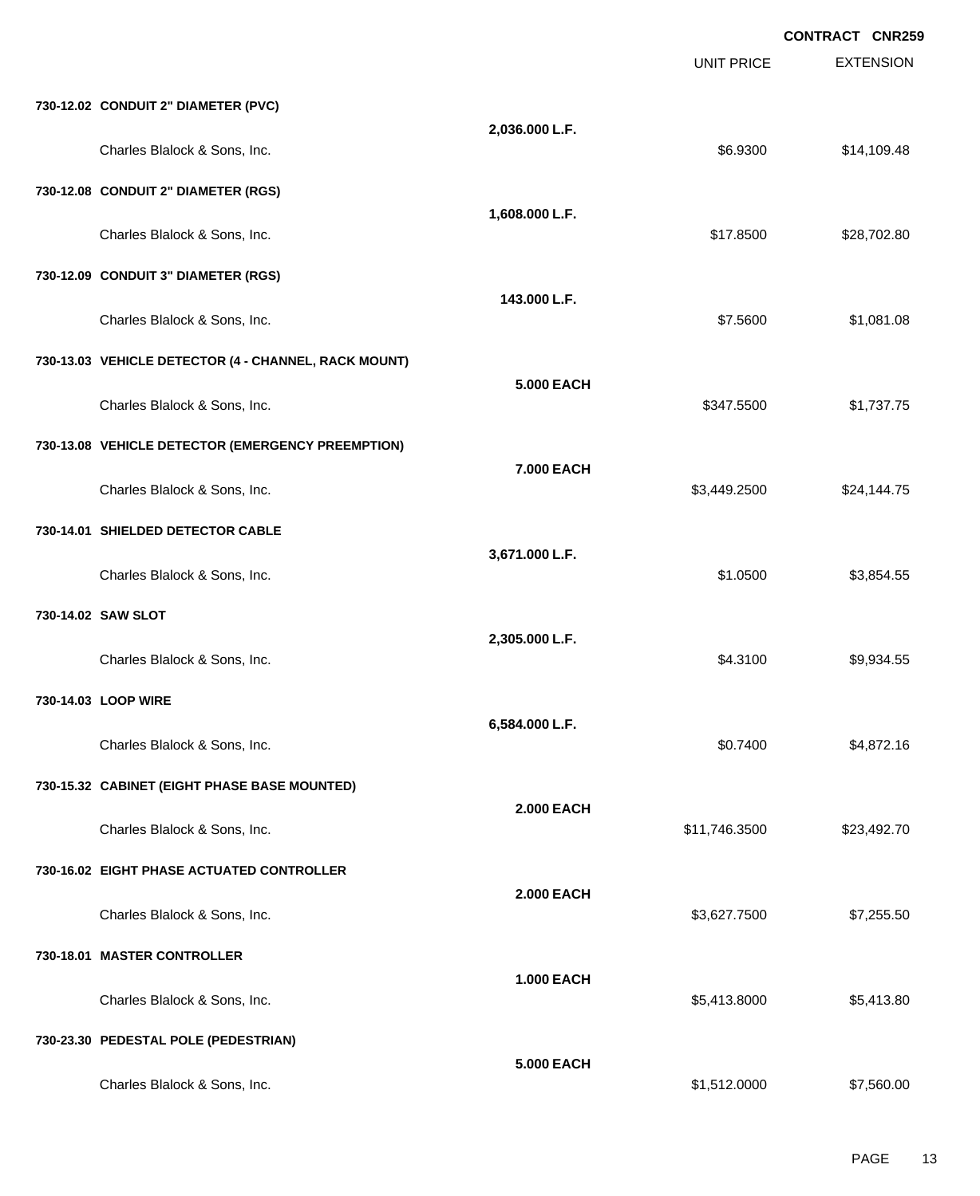|                                                      |                   |                   | <b>CONTRACT CNR259</b> |
|------------------------------------------------------|-------------------|-------------------|------------------------|
|                                                      |                   | <b>UNIT PRICE</b> | <b>EXTENSION</b>       |
| 730-12.02 CONDUIT 2" DIAMETER (PVC)                  |                   |                   |                        |
| Charles Blalock & Sons, Inc.                         | 2,036.000 L.F.    | \$6.9300          | \$14,109.48            |
| 730-12.08 CONDUIT 2" DIAMETER (RGS)                  |                   |                   |                        |
| Charles Blalock & Sons, Inc.                         | 1,608.000 L.F.    | \$17.8500         | \$28,702.80            |
| 730-12.09 CONDUIT 3" DIAMETER (RGS)                  |                   |                   |                        |
| Charles Blalock & Sons, Inc.                         | 143.000 L.F.      | \$7,5600          | \$1,081.08             |
| 730-13.03 VEHICLE DETECTOR (4 - CHANNEL, RACK MOUNT) |                   |                   |                        |
| Charles Blalock & Sons, Inc.                         | <b>5.000 EACH</b> | \$347.5500        | \$1,737.75             |
| 730-13.08 VEHICLE DETECTOR (EMERGENCY PREEMPTION)    |                   |                   |                        |
| Charles Blalock & Sons, Inc.                         | 7.000 EACH        | \$3,449.2500      | \$24,144.75            |
| 730-14.01 SHIELDED DETECTOR CABLE                    |                   |                   |                        |
| Charles Blalock & Sons, Inc.                         | 3,671.000 L.F.    | \$1.0500          | \$3,854.55             |
| 730-14.02 SAW SLOT                                   |                   |                   |                        |
| Charles Blalock & Sons, Inc.                         | 2,305.000 L.F.    | \$4.3100          | \$9,934.55             |
| 730-14.03 LOOP WIRE                                  |                   |                   |                        |
| Charles Blalock & Sons, Inc.                         | 6,584.000 L.F.    | \$0.7400          | \$4,872.16             |
| 730-15.32 CABINET (EIGHT PHASE BASE MOUNTED)         |                   |                   |                        |
| Charles Blalock & Sons, Inc.                         | <b>2.000 EACH</b> | \$11,746.3500     | \$23,492.70            |
| 730-16.02 EIGHT PHASE ACTUATED CONTROLLER            |                   |                   |                        |
| Charles Blalock & Sons, Inc.                         | <b>2.000 EACH</b> | \$3,627.7500      | \$7,255.50             |
| 730-18.01 MASTER CONTROLLER                          |                   |                   |                        |
| Charles Blalock & Sons, Inc.                         | <b>1.000 EACH</b> | \$5,413.8000      | \$5,413.80             |
| 730-23.30 PEDESTAL POLE (PEDESTRIAN)                 |                   |                   |                        |
| Charles Blalock & Sons, Inc.                         | <b>5.000 EACH</b> | \$1,512.0000      | \$7,560.00             |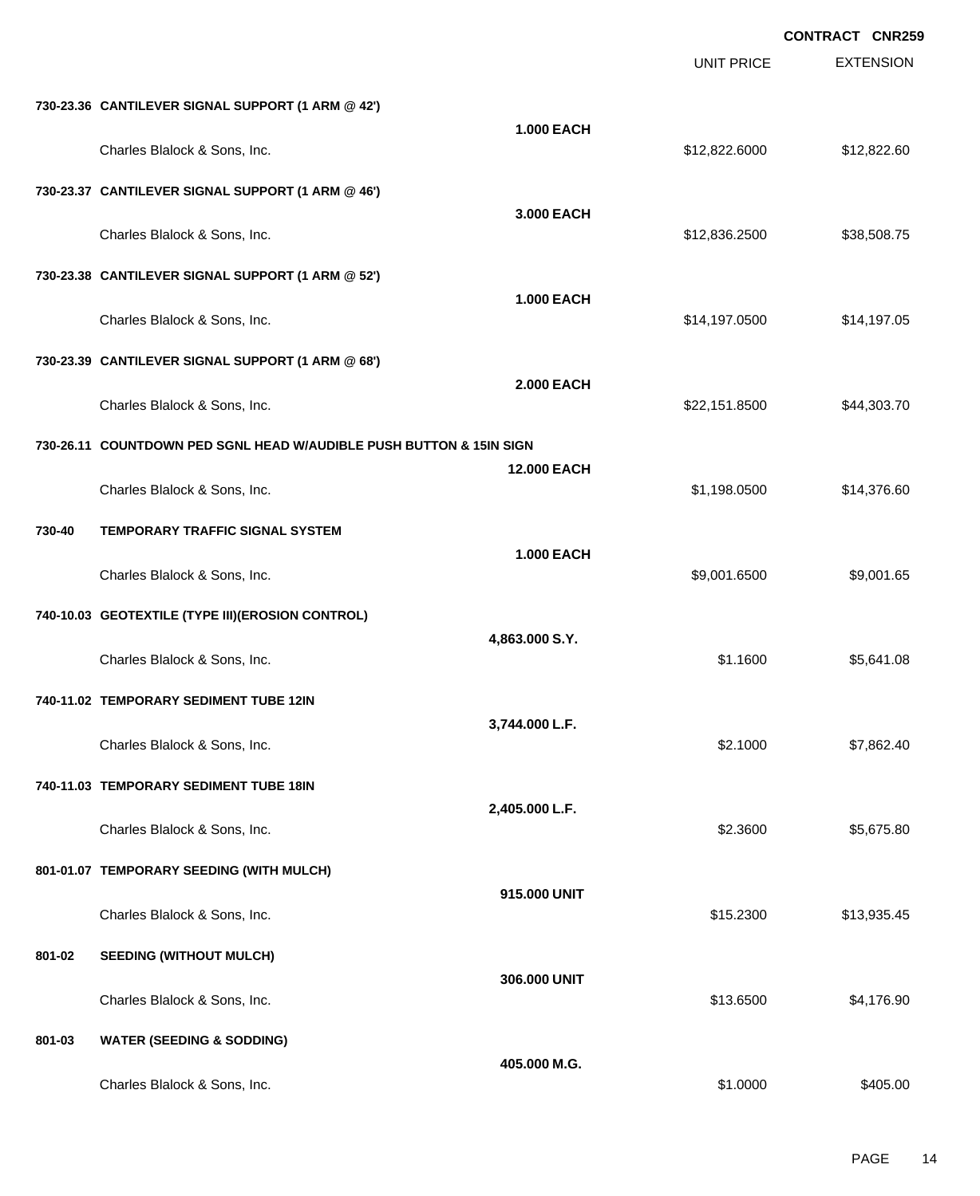|        |                                                                     |                    |                   | <b>CONTRACT CNR259</b> |
|--------|---------------------------------------------------------------------|--------------------|-------------------|------------------------|
|        |                                                                     |                    | <b>UNIT PRICE</b> | <b>EXTENSION</b>       |
|        | 730-23.36 CANTILEVER SIGNAL SUPPORT (1 ARM @ 42')                   |                    |                   |                        |
|        | Charles Blalock & Sons, Inc.                                        | <b>1.000 EACH</b>  | \$12,822.6000     | \$12,822.60            |
|        | 730-23.37 CANTILEVER SIGNAL SUPPORT (1 ARM @ 46')                   |                    |                   |                        |
|        | Charles Blalock & Sons, Inc.                                        | 3,000 EACH         | \$12,836.2500     | \$38,508.75            |
|        | 730-23.38 CANTILEVER SIGNAL SUPPORT (1 ARM @ 52')                   |                    |                   |                        |
|        | Charles Blalock & Sons, Inc.                                        | <b>1.000 EACH</b>  | \$14,197.0500     | \$14,197.05            |
|        | 730-23.39 CANTILEVER SIGNAL SUPPORT (1 ARM @ 68')                   |                    |                   |                        |
|        | Charles Blalock & Sons, Inc.                                        | <b>2.000 EACH</b>  | \$22,151.8500     | \$44,303.70            |
|        | 730-26.11 COUNTDOWN PED SGNL HEAD W/AUDIBLE PUSH BUTTON & 15IN SIGN |                    |                   |                        |
|        | Charles Blalock & Sons, Inc.                                        | <b>12.000 EACH</b> | \$1,198.0500      | \$14,376.60            |
| 730-40 | <b>TEMPORARY TRAFFIC SIGNAL SYSTEM</b>                              |                    |                   |                        |
|        | Charles Blalock & Sons, Inc.                                        | <b>1.000 EACH</b>  | \$9,001.6500      | \$9,001.65             |
|        | 740-10.03 GEOTEXTILE (TYPE III) (EROSION CONTROL)                   |                    |                   |                        |
|        | Charles Blalock & Sons, Inc.                                        | 4,863.000 S.Y.     | \$1.1600          | \$5,641.08             |
|        | 740-11.02 TEMPORARY SEDIMENT TUBE 12IN                              |                    |                   |                        |
|        | Charles Blalock & Sons, Inc.                                        | 3,744.000 L.F.     | \$2.1000          | \$7,862.40             |
|        | 740-11.03 TEMPORARY SEDIMENT TUBE 18IN                              |                    |                   |                        |
|        | Charles Blalock & Sons, Inc.                                        | 2,405.000 L.F.     | \$2.3600          | \$5,675.80             |
|        | 801-01.07 TEMPORARY SEEDING (WITH MULCH)                            |                    |                   |                        |
|        | Charles Blalock & Sons, Inc.                                        | 915.000 UNIT       | \$15.2300         | \$13,935.45            |
| 801-02 | <b>SEEDING (WITHOUT MULCH)</b>                                      |                    |                   |                        |
|        | Charles Blalock & Sons, Inc.                                        | 306.000 UNIT       | \$13.6500         | \$4,176.90             |
| 801-03 | <b>WATER (SEEDING &amp; SODDING)</b>                                |                    |                   |                        |
|        | Charles Blalock & Sons, Inc.                                        | 405.000 M.G.       | \$1.0000          | \$405.00               |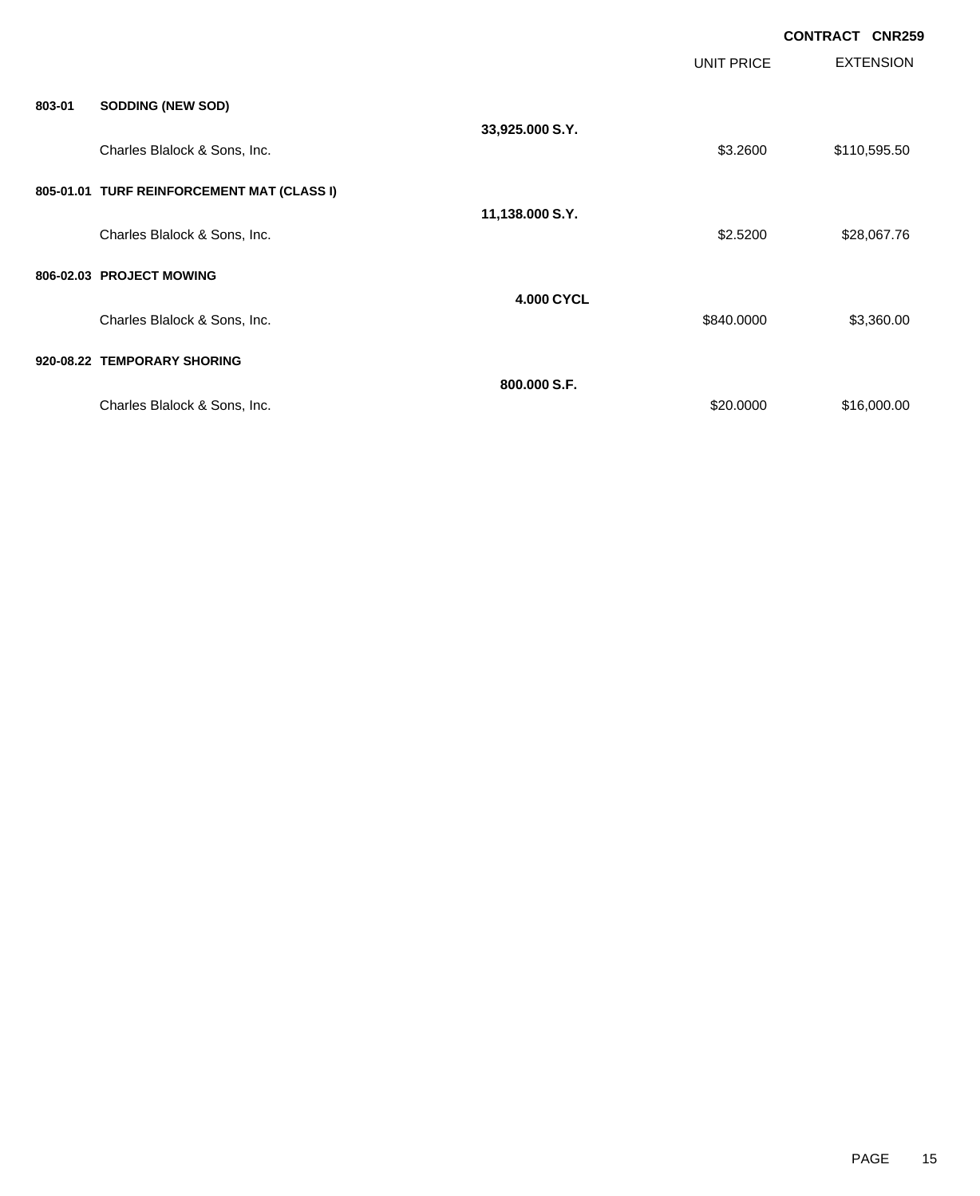|        |                                            |                   |            | <b>CONTRACT CNR259</b> |                  |
|--------|--------------------------------------------|-------------------|------------|------------------------|------------------|
|        |                                            |                   | UNIT PRICE |                        | <b>EXTENSION</b> |
| 803-01 | <b>SODDING (NEW SOD)</b>                   |                   |            |                        |                  |
|        | Charles Blalock & Sons, Inc.               | 33,925.000 S.Y.   |            |                        | \$110,595.50     |
|        | 805-01.01 TURF REINFORCEMENT MAT (CLASS I) |                   |            |                        |                  |
|        | Charles Blalock & Sons, Inc.               | 11,138.000 S.Y.   | \$2.5200   |                        | \$28,067.76      |
|        | 806-02.03 PROJECT MOWING                   |                   |            |                        |                  |
|        | Charles Blalock & Sons, Inc.               | <b>4.000 CYCL</b> | \$840.0000 |                        | \$3,360.00       |
|        | 920-08.22 TEMPORARY SHORING                |                   |            |                        |                  |
|        | Charles Blalock & Sons, Inc.               | 800.000 S.F.      | \$20.0000  |                        | \$16,000.00      |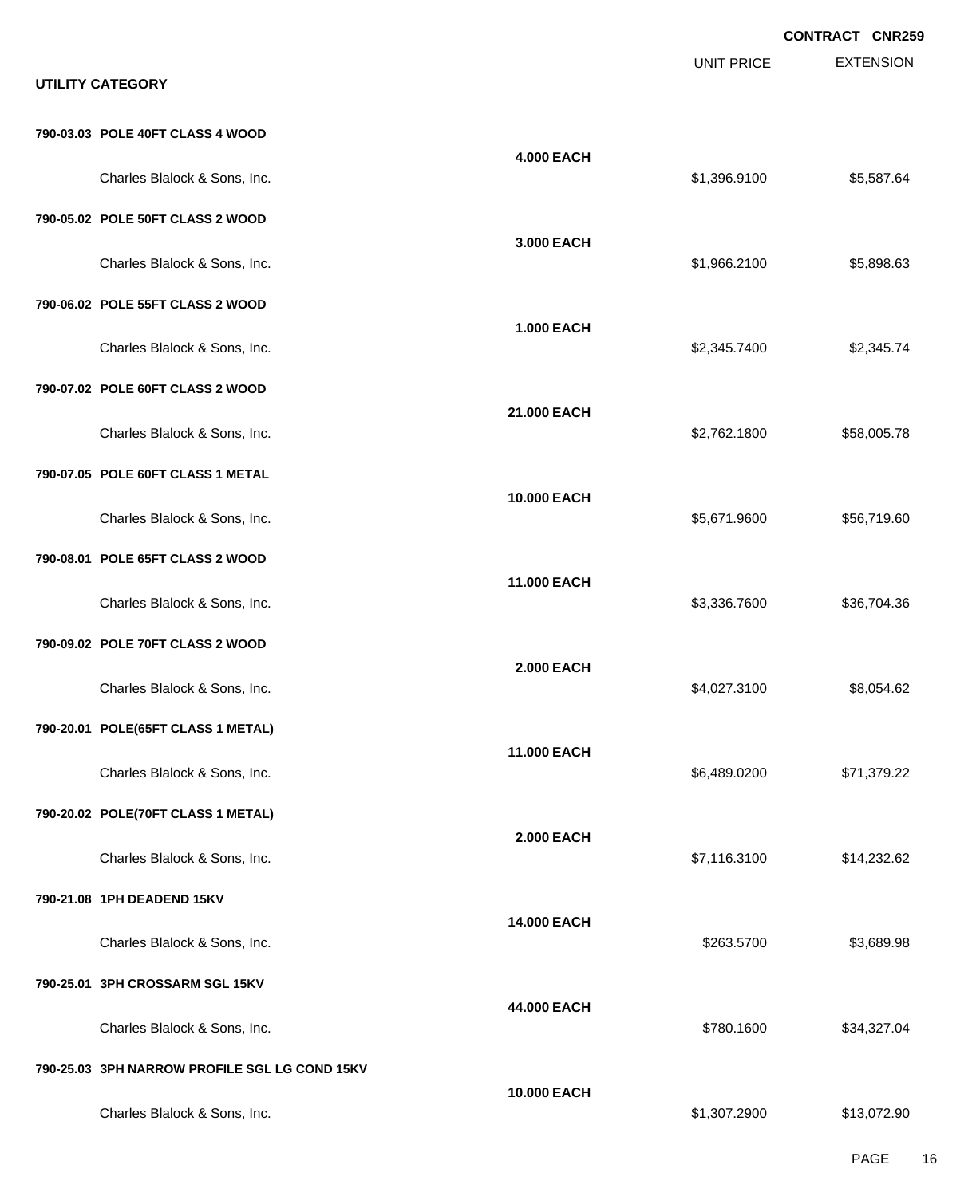EXTENSION **CONTRACT CNR259** UNIT PRICE **UTILITY CATEGORY 790-03.03 POLE 40FT CLASS 4 WOOD 4.000 EACH** Charles Blalock & Sons, Inc. \$1,396.9100 \$5,587.64 **790-05.02 POLE 50FT CLASS 2 WOOD 3.000 EACH** Charles Blalock & Sons, Inc. \$1,966.2100 \$5,898.63 **790-06.02 POLE 55FT CLASS 2 WOOD 1.000 EACH** Charles Blalock & Sons, Inc. 6. 2.345.7400 \$2,345.7400 \$2,345.7400 \$2,345.7400 \$2,345.7400 \$2,345.74 **790-07.02 POLE 60FT CLASS 2 WOOD 21.000 EACH** Charles Blalock & Sons, Inc. \$2,762.1800 \$58,005.78 **790-07.05 POLE 60FT CLASS 1 METAL 10.000 EACH** Charles Blalock & Sons, Inc. \$56,719.60 \$56,71.9600 \$5,671.9600 \$5,671.9600 **790-08.01 POLE 65FT CLASS 2 WOOD 11.000 EACH** Charles Blalock & Sons, Inc. \$3,336.7600 \$3,336.7600 \$3,336.7600 \$3,336.7600 \$36,704.36 **790-09.02 POLE 70FT CLASS 2 WOOD 2.000 EACH** Charles Blalock & Sons, Inc. 62,027.3100 \$8,054.62 **790-20.01 POLE(65FT CLASS 1 METAL) 11.000 EACH** Charles Blalock & Sons, Inc. \$6,489.0200 \$71,379.22 **790-20.02 POLE(70FT CLASS 1 METAL) 2.000 EACH** Charles Blalock & Sons, Inc. \$7,116.3100 \$14,232.62 **790-21.08 1PH DEADEND 15KV 14.000 EACH** Charles Blalock & Sons, Inc. 6. 263.5700 \$3,689.98 **790-25.01 3PH CROSSARM SGL 15KV 44.000 EACH** Charles Blalock & Sons, Inc. 6. 2012 12:30 12:30 12:30 12:30 12:30 12:30 12:30 12:30 12:30 12:30 12:30 12:30 1 **790-25.03 3PH NARROW PROFILE SGL LG COND 15KV 10.000 EACH** Charles Blalock & Sons, Inc. \$1,307.2900 \$13,072.90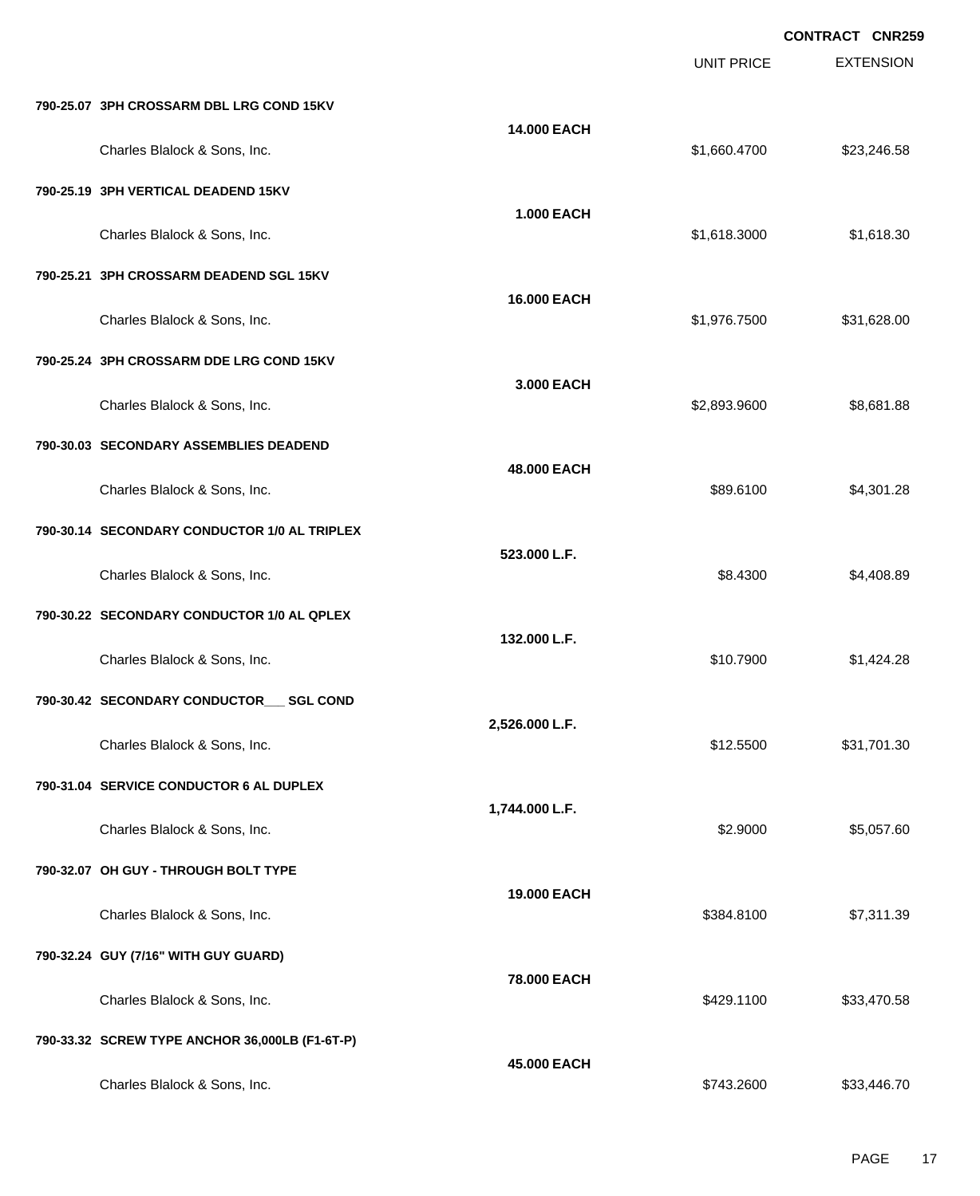|                                                |                   |                   | <b>CONTRACT CNR259</b> |
|------------------------------------------------|-------------------|-------------------|------------------------|
|                                                |                   | <b>UNIT PRICE</b> | <b>EXTENSION</b>       |
| 790-25.07 3PH CROSSARM DBL LRG COND 15KV       |                   |                   |                        |
| Charles Blalock & Sons, Inc.                   | 14.000 EACH       | \$1,660.4700      | \$23,246.58            |
| 790-25.19 3PH VERTICAL DEADEND 15KV            |                   |                   |                        |
| Charles Blalock & Sons, Inc.                   | <b>1.000 EACH</b> | \$1,618.3000      | \$1,618.30             |
| 790-25.21 3PH CROSSARM DEADEND SGL 15KV        |                   |                   |                        |
| Charles Blalock & Sons, Inc.                   | 16.000 EACH       | \$1,976.7500      | \$31,628.00            |
| 790-25.24 3PH CROSSARM DDE LRG COND 15KV       |                   |                   |                        |
| Charles Blalock & Sons, Inc.                   | 3.000 EACH        | \$2,893.9600      | \$8,681.88             |
| 790-30.03 SECONDARY ASSEMBLIES DEADEND         |                   |                   |                        |
| Charles Blalock & Sons, Inc.                   | 48.000 EACH       | \$89.6100         | \$4,301.28             |
| 790-30.14 SECONDARY CONDUCTOR 1/0 AL TRIPLEX   |                   |                   |                        |
| Charles Blalock & Sons, Inc.                   | 523.000 L.F.      | \$8.4300          | \$4,408.89             |
| 790-30.22 SECONDARY CONDUCTOR 1/0 AL QPLEX     |                   |                   |                        |
| Charles Blalock & Sons, Inc.                   | 132.000 L.F.      | \$10.7900         | \$1,424.28             |
| 790-30.42 SECONDARY CONDUCTOR___ SGL COND      |                   |                   |                        |
| Charles Blalock & Sons, Inc.                   | 2,526.000 L.F.    | \$12.5500         | \$31,701.30            |
| 790-31.04 SERVICE CONDUCTOR 6 AL DUPLEX        |                   |                   |                        |
| Charles Blalock & Sons, Inc.                   | 1,744.000 L.F.    | \$2.9000          | \$5,057.60             |
| 790-32.07 OH GUY - THROUGH BOLT TYPE           |                   |                   |                        |
| Charles Blalock & Sons, Inc.                   | 19.000 EACH       | \$384.8100        | \$7,311.39             |
| 790-32.24 GUY (7/16" WITH GUY GUARD)           |                   |                   |                        |
| Charles Blalock & Sons, Inc.                   | 78.000 EACH       | \$429.1100        | \$33,470.58            |
| 790-33.32 SCREW TYPE ANCHOR 36,000LB (F1-6T-P) |                   |                   |                        |
| Charles Blalock & Sons, Inc.                   | 45.000 EACH       | \$743.2600        | \$33,446.70            |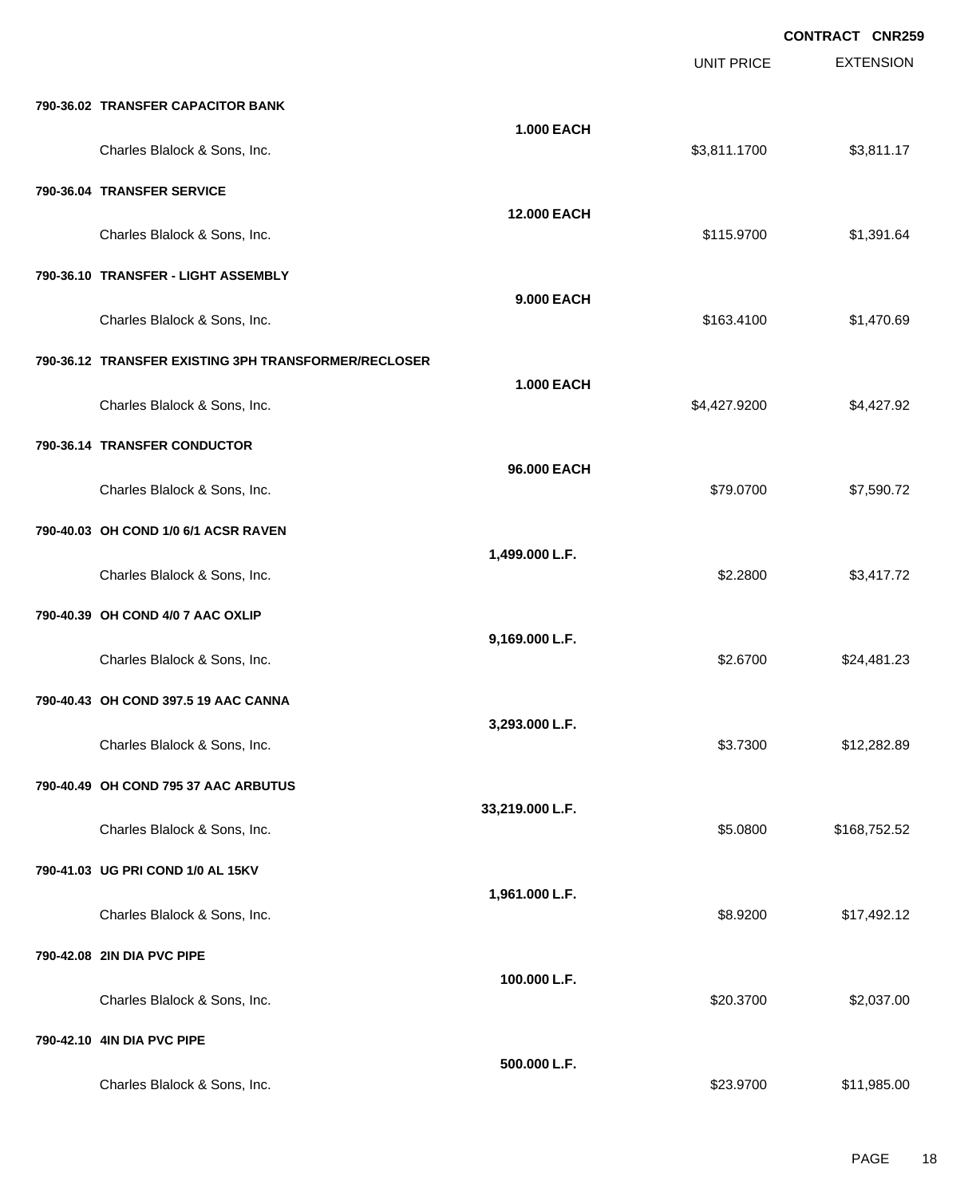|                                                      |                   |                   | <b>CONTRACT CNR259</b> |
|------------------------------------------------------|-------------------|-------------------|------------------------|
|                                                      |                   | <b>UNIT PRICE</b> | <b>EXTENSION</b>       |
| 790-36.02 TRANSFER CAPACITOR BANK                    |                   |                   |                        |
| Charles Blalock & Sons, Inc.                         | <b>1.000 EACH</b> | \$3,811.1700      | \$3,811.17             |
| 790-36.04 TRANSFER SERVICE                           |                   |                   |                        |
| Charles Blalock & Sons, Inc.                         | 12.000 EACH       | \$115.9700        | \$1,391.64             |
| 790-36.10 TRANSFER - LIGHT ASSEMBLY                  |                   |                   |                        |
| Charles Blalock & Sons, Inc.                         | 9.000 EACH        | \$163.4100        | \$1,470.69             |
| 790-36.12 TRANSFER EXISTING 3PH TRANSFORMER/RECLOSER |                   |                   |                        |
| Charles Blalock & Sons, Inc.                         | <b>1.000 EACH</b> | \$4,427.9200      | \$4,427.92             |
| 790-36.14 TRANSFER CONDUCTOR                         |                   |                   |                        |
| Charles Blalock & Sons, Inc.                         | 96.000 EACH       | \$79.0700         | \$7,590.72             |
| 790-40.03 OH COND 1/0 6/1 ACSR RAVEN                 |                   |                   |                        |
| Charles Blalock & Sons, Inc.                         | 1,499.000 L.F.    | \$2.2800          | \$3,417.72             |
| 790-40.39 OH COND 4/0 7 AAC OXLIP                    |                   |                   |                        |
| Charles Blalock & Sons, Inc.                         | 9,169.000 L.F.    | \$2.6700          | \$24,481.23            |
| 790-40.43 OH COND 397.5 19 AAC CANNA                 |                   |                   |                        |
| Charles Blalock & Sons, Inc.                         | 3,293.000 L.F.    | \$3.7300          | \$12,282.89            |
| 790-40.49 OH COND 795 37 AAC ARBUTUS                 |                   |                   |                        |
| Charles Blalock & Sons, Inc.                         | 33,219.000 L.F.   | \$5.0800          | \$168,752.52           |
| 790-41.03 UG PRI COND 1/0 AL 15KV                    |                   |                   |                        |
| Charles Blalock & Sons, Inc.                         | 1,961.000 L.F.    | \$8.9200          | \$17,492.12            |
| 790-42.08 2IN DIA PVC PIPE                           |                   |                   |                        |
| Charles Blalock & Sons, Inc.                         | 100.000 L.F.      | \$20.3700         | \$2,037.00             |
| 790-42.10 4IN DIA PVC PIPE                           |                   |                   |                        |
| Charles Blalock & Sons, Inc.                         | 500.000 L.F.      | \$23.9700         | \$11,985.00            |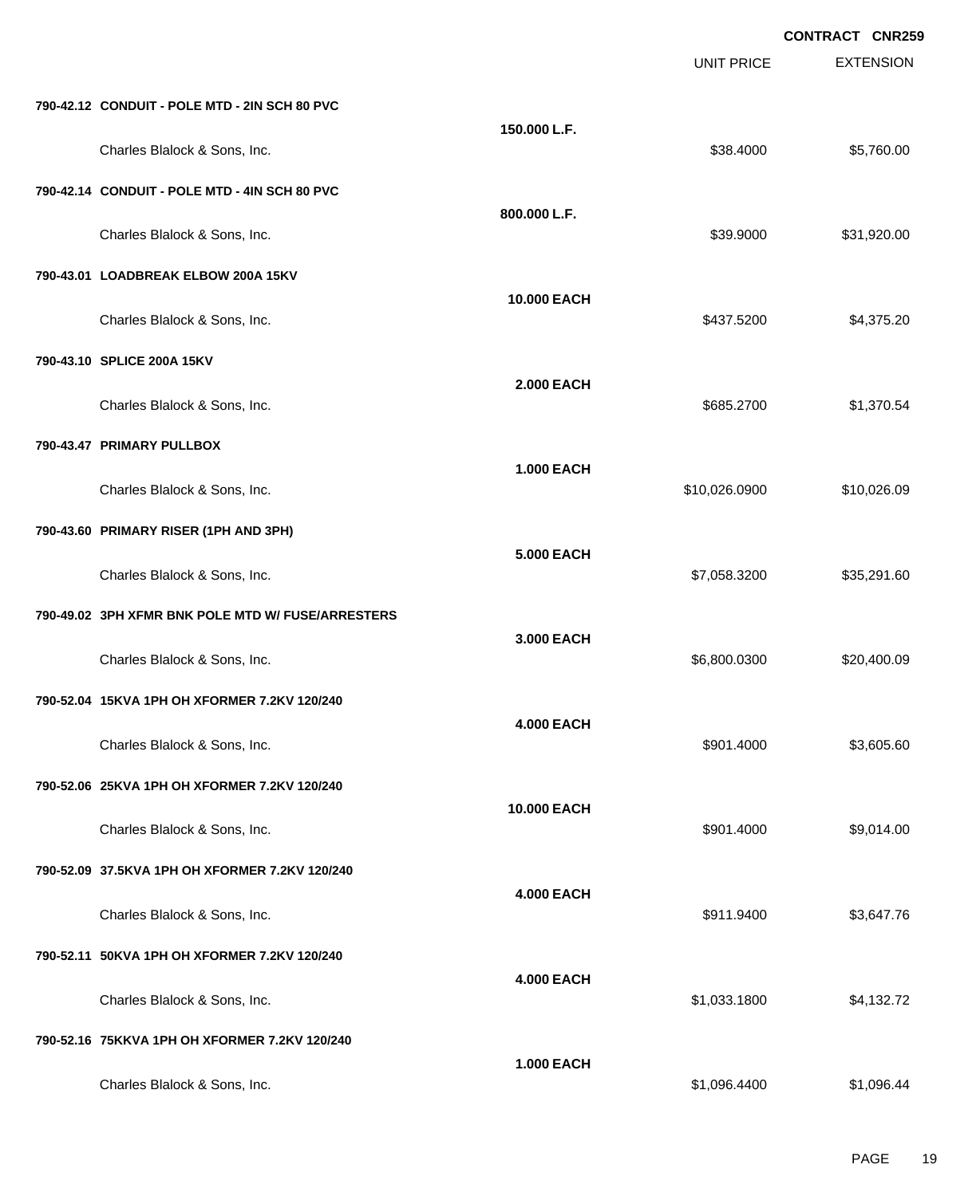EXTENSION **CONTRACT CNR259** UNIT PRICE **790-42.12 CONDUIT - POLE MTD - 2IN SCH 80 PVC 150.000 L.F.** Charles Blalock & Sons, Inc. 6. 2012 12:30 12:30 12:30 12:30 13:30 14:30 14:30 15:30 16:30 16:30 16:30 16:30 16:30 16:30 16:30 16:30 16:30 16:30 16:30 16:30 16:30 16:30 16:30 16:30 16:30 16:30 16:30 16:30 16:30 16:30 16:30 **790-42.14 CONDUIT - POLE MTD - 4IN SCH 80 PVC 800.000 L.F.** Charles Blalock & Sons, Inc. 6. 2010 12:30:30 12:30 12:30 139.9000 \$31,920.00 **790-43.01 LOADBREAK ELBOW 200A 15KV 10.000 EACH** Charles Blalock & Sons, Inc. 66 and the State of the State of the State of State of State of State of State of State of State of State of State of State of State of State of State of State of State of State of State of Sta **790-43.10 SPLICE 200A 15KV 2.000 EACH** Charles Blalock & Sons, Inc. 6. 2700 \$1,370.54 **790-43.47 PRIMARY PULLBOX 1.000 EACH** Charles Blalock & Sons, Inc. \$10,026.0900 \$10,026.09 **790-43.60 PRIMARY RISER (1PH AND 3PH) 5.000 EACH** Charles Blalock & Sons, Inc. \$7,058.3200 \$35,291.60 **790-49.02 3PH XFMR BNK POLE MTD W/ FUSE/ARRESTERS 3.000 EACH** Charles Blalock & Sons, Inc. 6.600.0300 \$20,400.09 **790-52.04 15KVA 1PH OH XFORMER 7.2KV 120/240 4.000 EACH** Charles Blalock & Sons, Inc. 6901.4000 \$3,605.60 **790-52.06 25KVA 1PH OH XFORMER 7.2KV 120/240 10.000 EACH** Charles Blalock & Sons, Inc. 6. 2012. The Superintendent State of the Superintendent State of State State State State State State State State State State State State State State State State State State State State State St **790-52.09 37.5KVA 1PH OH XFORMER 7.2KV 120/240 4.000 EACH** Charles Blalock & Sons, Inc. 6. 2012. The Superintendent State of the State of State State State State State State State State State State State State State State State State State State State State State State State State **790-52.11 50KVA 1PH OH XFORMER 7.2KV 120/240 4.000 EACH** Charles Blalock & Sons, Inc. \$1,033.1800 \$4,132.72 **790-52.16 75KKVA 1PH OH XFORMER 7.2KV 120/240 1.000 EACH**

Charles Blalock & Sons, Inc. \$1,096.4400 \$1,096.4400 \$1,096.4400 \$1,096.4400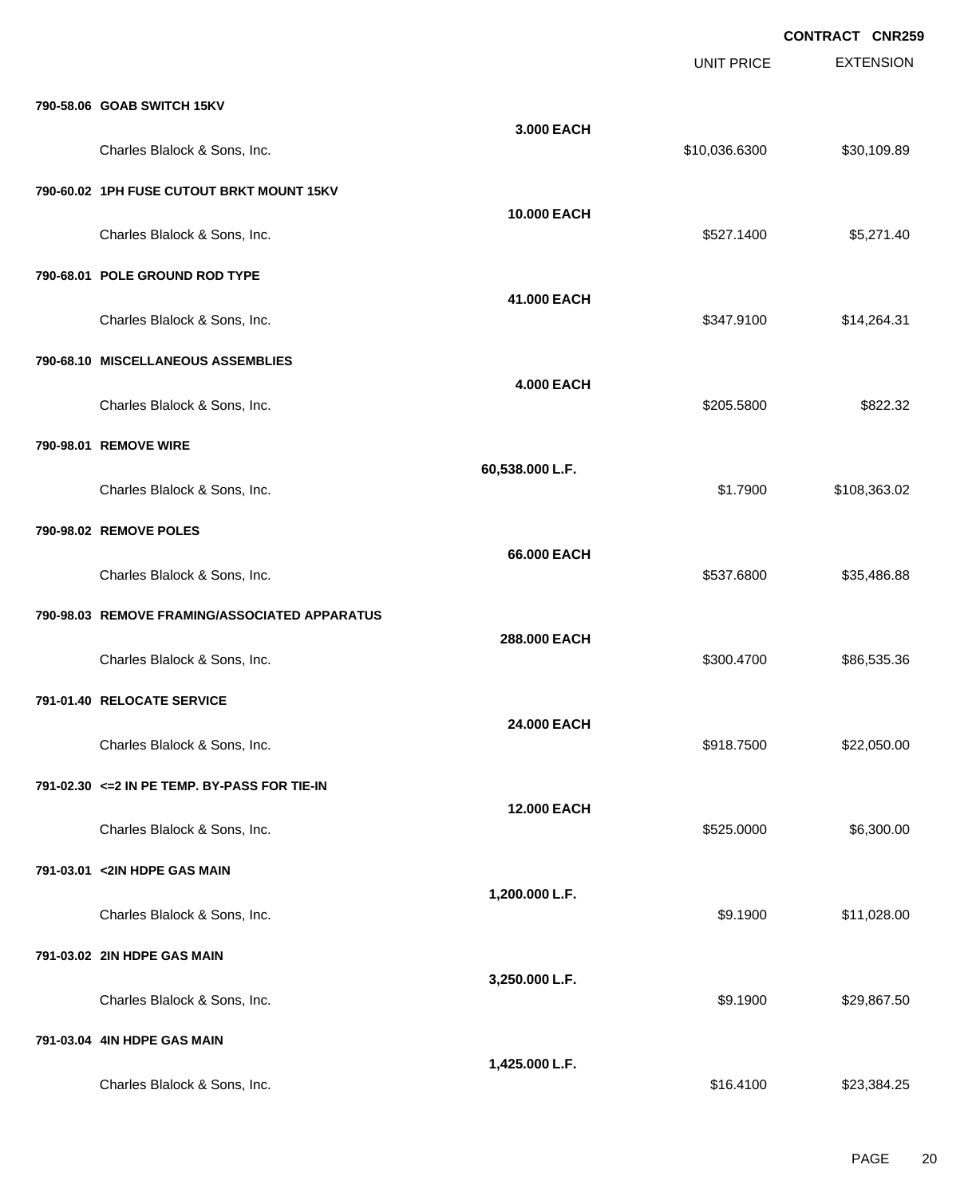|                                               |                   | UNIT PRICE    | <b>CONTRACT CNR259</b><br><b>EXTENSION</b> |
|-----------------------------------------------|-------------------|---------------|--------------------------------------------|
| 790-58.06 GOAB SWITCH 15KV                    |                   |               |                                            |
| Charles Blalock & Sons, Inc.                  | 3,000 EACH        | \$10,036.6300 | \$30,109.89                                |
| 790-60.02 1PH FUSE CUTOUT BRKT MOUNT 15KV     |                   |               |                                            |
| Charles Blalock & Sons, Inc.                  | 10.000 EACH       | \$527.1400    | \$5,271.40                                 |
| 790-68.01 POLE GROUND ROD TYPE                |                   |               |                                            |
| Charles Blalock & Sons, Inc.                  | 41.000 EACH       | \$347.9100    | \$14,264.31                                |
| 790-68.10 MISCELLANEOUS ASSEMBLIES            |                   |               |                                            |
| Charles Blalock & Sons, Inc.                  | <b>4.000 EACH</b> | \$205.5800    | \$822.32                                   |
| 790-98.01 REMOVE WIRE                         |                   |               |                                            |
| Charles Blalock & Sons, Inc.                  | 60,538.000 L.F.   | \$1.7900      | \$108,363.02                               |
| 790-98.02 REMOVE POLES                        |                   |               |                                            |
| Charles Blalock & Sons, Inc.                  | 66.000 EACH       | \$537.6800    | \$35,486.88                                |
| 790-98.03 REMOVE FRAMING/ASSOCIATED APPARATUS |                   |               |                                            |
| Charles Blalock & Sons, Inc.                  | 288.000 EACH      | \$300.4700    | \$86,535.36                                |
| 791-01.40 RELOCATE SERVICE                    |                   |               |                                            |
| Charles Blalock & Sons, Inc.                  | 24.000 EACH       | \$918.7500    | \$22,050.00                                |
| 791-02.30 <= 2 IN PE TEMP. BY-PASS FOR TIE-IN |                   |               |                                            |
| Charles Blalock & Sons, Inc.                  | 12.000 EACH       | \$525.0000    | \$6,300.00                                 |
| 791-03.01 <2IN HDPE GAS MAIN                  |                   |               |                                            |
| Charles Blalock & Sons, Inc.                  | 1,200.000 L.F.    | \$9.1900      | \$11,028.00                                |
| 791-03.02 2IN HDPE GAS MAIN                   |                   |               |                                            |
| Charles Blalock & Sons, Inc.                  | 3,250.000 L.F.    | \$9.1900      | \$29,867.50                                |
| 791-03.04 4IN HDPE GAS MAIN                   |                   |               |                                            |
| Charles Blalock & Sons, Inc.                  | 1,425.000 L.F.    | \$16.4100     | \$23,384.25                                |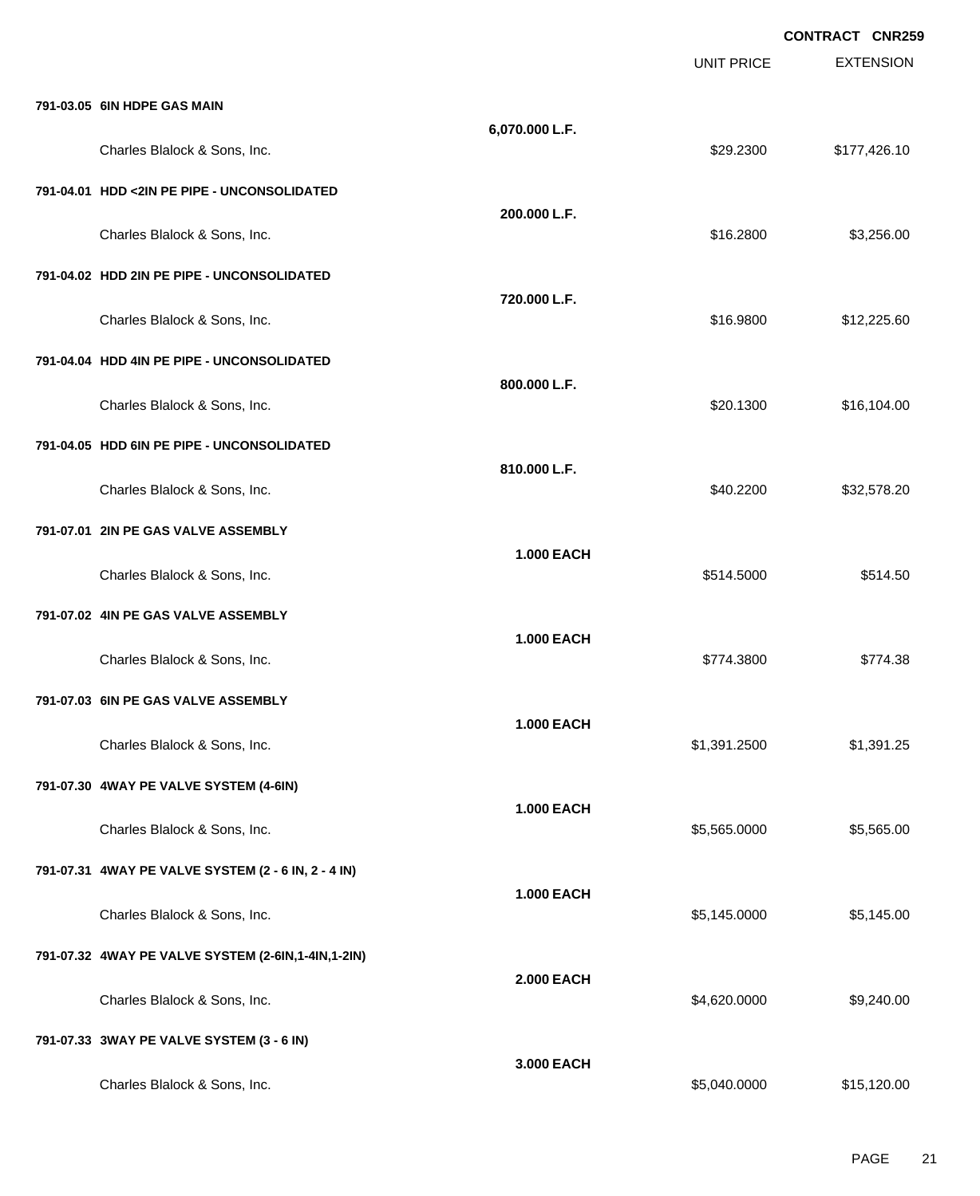|                                                      |                   |                   | <b>CONTRACT CNR259</b> |
|------------------------------------------------------|-------------------|-------------------|------------------------|
|                                                      |                   | <b>UNIT PRICE</b> | <b>EXTENSION</b>       |
| 791-03.05 6IN HDPE GAS MAIN                          |                   |                   |                        |
| Charles Blalock & Sons, Inc.                         | 6,070.000 L.F.    | \$29.2300         | \$177,426.10           |
| 791-04.01 HDD <2IN PE PIPE - UNCONSOLIDATED          |                   |                   |                        |
| Charles Blalock & Sons, Inc.                         | 200.000 L.F.      | \$16.2800         | \$3,256.00             |
| 791-04.02 HDD 2IN PE PIPE - UNCONSOLIDATED           |                   |                   |                        |
| Charles Blalock & Sons, Inc.                         | 720.000 L.F.      | \$16.9800         | \$12,225.60            |
| 791-04.04 HDD 4IN PE PIPE - UNCONSOLIDATED           |                   |                   |                        |
| Charles Blalock & Sons, Inc.                         | 800.000 L.F.      | \$20.1300         | \$16,104.00            |
| 791-04.05 HDD 6IN PE PIPE - UNCONSOLIDATED           |                   |                   |                        |
| Charles Blalock & Sons, Inc.                         | 810.000 L.F.      | \$40.2200         | \$32,578.20            |
| 791-07.01 2IN PE GAS VALVE ASSEMBLY                  |                   |                   |                        |
| Charles Blalock & Sons, Inc.                         | <b>1.000 EACH</b> | \$514.5000        | \$514.50               |
| 791-07.02 4IN PE GAS VALVE ASSEMBLY                  |                   |                   |                        |
| Charles Blalock & Sons, Inc.                         | <b>1.000 EACH</b> | \$774.3800        | \$774.38               |
| 791-07.03 6IN PE GAS VALVE ASSEMBLY                  |                   |                   |                        |
| Charles Blalock & Sons, Inc.                         | <b>1.000 EACH</b> | \$1,391.2500      | \$1,391.25             |
| 791-07.30 4WAY PE VALVE SYSTEM (4-6IN)               |                   |                   |                        |
| Charles Blalock & Sons, Inc.                         | <b>1.000 EACH</b> | \$5,565.0000      | \$5,565.00             |
| 791-07.31 4WAY PE VALVE SYSTEM (2 - 6 IN, 2 - 4 IN)  |                   |                   |                        |
| Charles Blalock & Sons, Inc.                         | <b>1.000 EACH</b> | \$5,145.0000      | \$5,145.00             |
| 791-07.32 4WAY PE VALVE SYSTEM (2-6IN, 1-4IN, 1-2IN) |                   |                   |                        |
| Charles Blalock & Sons, Inc.                         | <b>2.000 EACH</b> | \$4,620.0000      | \$9,240.00             |
| 791-07.33 3WAY PE VALVE SYSTEM (3 - 6 IN)            |                   |                   |                        |
| Charles Blalock & Sons, Inc.                         | 3.000 EACH        | \$5,040.0000      | \$15,120.00            |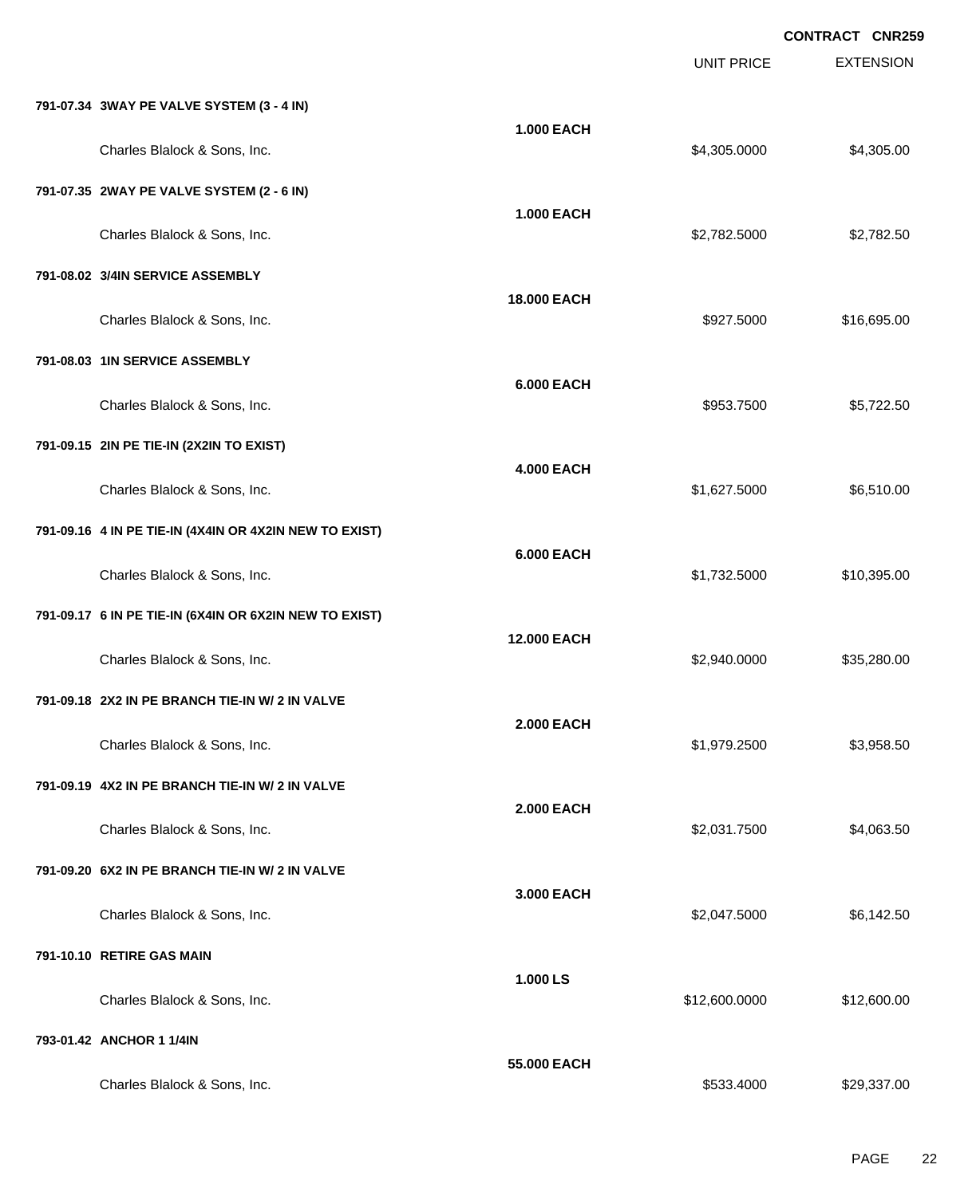EXTENSION **CONTRACT CNR259** UNIT PRICE **791-07.34 3WAY PE VALVE SYSTEM (3 - 4 IN) 1.000 EACH** Charles Blalock & Sons, Inc. 6. 2012. The State of the State of the State of the State of the State of the State of State of the State of the State of the State of the State of the State of the State of the State of the St **791-07.35 2WAY PE VALVE SYSTEM (2 - 6 IN) 1.000 EACH** Charles Blalock & Sons, Inc. \$2,782.5000 \$2,782.5000 \$2,782.5000 \$2,782.5000 \$2,782.5000 \$2,782.5000 \$2,782.50 **791-08.02 3/4IN SERVICE ASSEMBLY 18.000 EACH** Charles Blalock & Sons, Inc. 6. 2012 12:30 12:30 12:30 12:30 12:30 12:30 12:30 12:30 12:30 12:30 12:30 12:30 12:30 12:30 12:30 12:30 12:30 12:30 12:30 12:30 12:30 12:30 12:30 12:30 12:30 12:30 12:30 12:30 12:30 12:30 12:30 **791-08.03 1IN SERVICE ASSEMBLY 6.000 EACH** Charles Blalock & Sons, Inc. 6. 2012 12:300 \$5,722.500 \$5,722.500 \$5,722.500 \$5,722.500 \$5,722.500 \$5,722.50 **791-09.15 2IN PE TIE-IN (2X2IN TO EXIST) 4.000 EACH** Charles Blalock & Sons, Inc. \$1,627.5000 \$6,510.00 **791-09.16 4 IN PE TIE-IN (4X4IN OR 4X2IN NEW TO EXIST) 6.000 EACH** Charles Blalock & Sons, Inc. \$1,732.5000 \$1,732.5000 \$1,732.5000 \$10,395.00 **791-09.17 6 IN PE TIE-IN (6X4IN OR 6X2IN NEW TO EXIST) 12.000 EACH** Charles Blalock & Sons, Inc. 6. 2012 12:00:000 \$2,940.0000 \$35,280.00 **791-09.18 2X2 IN PE BRANCH TIE-IN W/ 2 IN VALVE 2.000 EACH** Charles Blalock & Sons, Inc. \$1,979.2500 \$3,958.50 **791-09.19 4X2 IN PE BRANCH TIE-IN W/ 2 IN VALVE 2.000 EACH** Charles Blalock & Sons, Inc. \$2,031.7500 \$4,063.50 **791-09.20 6X2 IN PE BRANCH TIE-IN W/ 2 IN VALVE 3.000 EACH** Charles Blalock & Sons, Inc. 6. 2012 12:50 12:50 12:50 12:50 12:50 12:50 12:50 12:50 12:50 12:50 12:50 12:50 1 **791-10.10 RETIRE GAS MAIN 1.000 LS** Charles Blalock & Sons, Inc. 6. 2010 12:00:000 \$12,600.000 \$12,600.000 \$12,600.000 \$12,600.00 **793-01.42 ANCHOR 1 1/4IN 55.000 EACH** Charles Blalock & Sons, Inc. 6. 2012. The State of the State of the State of the State of State of State of State of State of State of State of State of State of State of State of State of State of State of State of State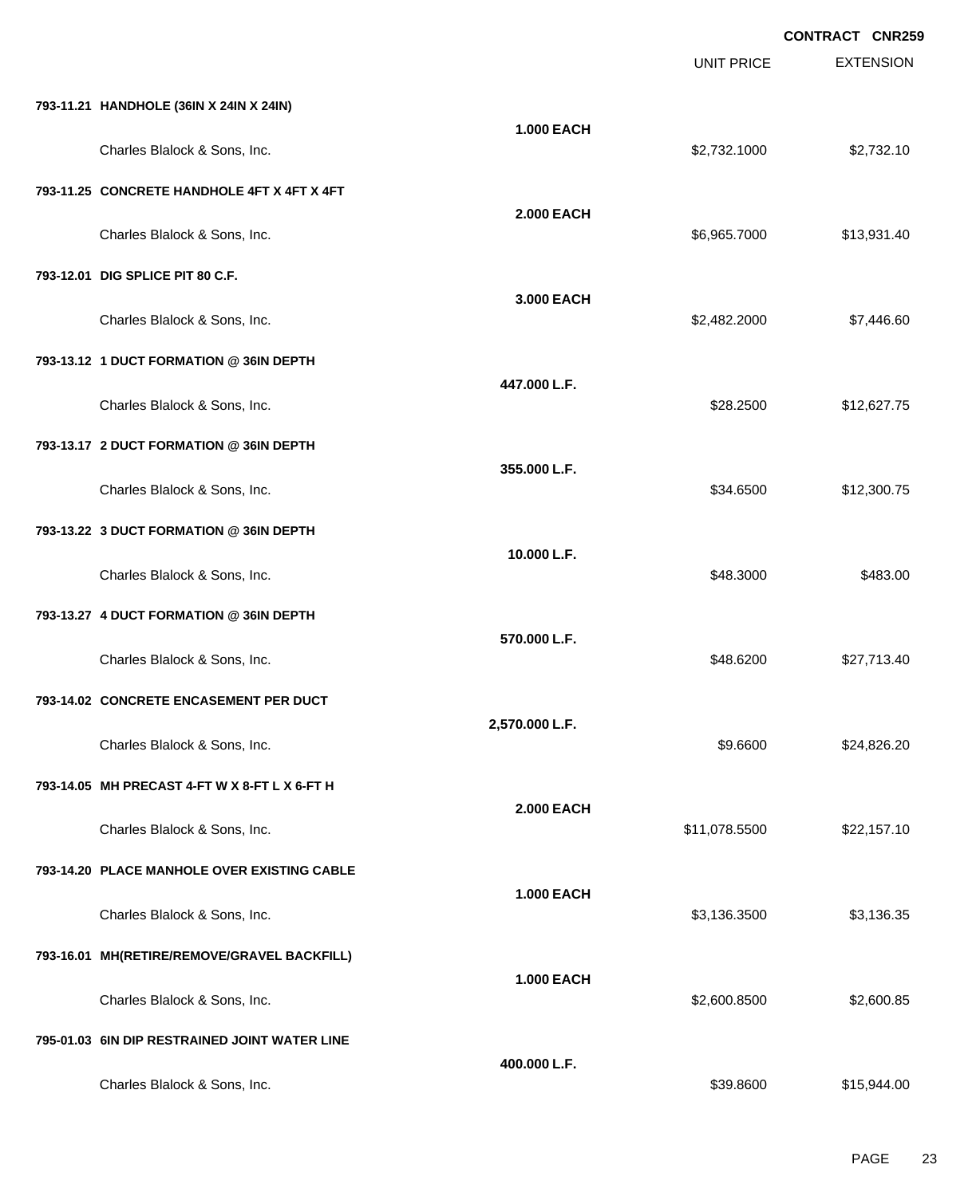|                                               |                   |                   | <b>CONTRACT CNR259</b> |
|-----------------------------------------------|-------------------|-------------------|------------------------|
|                                               |                   | <b>UNIT PRICE</b> | <b>EXTENSION</b>       |
| 793-11.21 HANDHOLE (36IN X 24IN X 24IN)       |                   |                   |                        |
| Charles Blalock & Sons, Inc.                  | <b>1.000 EACH</b> | \$2,732.1000      | \$2,732.10             |
| 793-11.25 CONCRETE HANDHOLE 4FT X 4FT X 4FT   |                   |                   |                        |
| Charles Blalock & Sons, Inc.                  | <b>2.000 EACH</b> | \$6,965.7000      | \$13,931.40            |
| 793-12.01 DIG SPLICE PIT 80 C.F.              |                   |                   |                        |
| Charles Blalock & Sons, Inc.                  | 3.000 EACH        | \$2,482.2000      | \$7,446.60             |
| 793-13.12 1 DUCT FORMATION @ 36IN DEPTH       |                   |                   |                        |
| Charles Blalock & Sons, Inc.                  | 447.000 L.F.      | \$28.2500         | \$12,627.75            |
| 793-13.17 2 DUCT FORMATION @ 36IN DEPTH       |                   |                   |                        |
| Charles Blalock & Sons, Inc.                  | 355.000 L.F.      | \$34.6500         | \$12,300.75            |
| 793-13.22 3 DUCT FORMATION @ 36IN DEPTH       |                   |                   |                        |
| Charles Blalock & Sons, Inc.                  | 10.000 L.F.       | \$48.3000         | \$483.00               |
| 793-13.27 4 DUCT FORMATION @ 36IN DEPTH       |                   |                   |                        |
| Charles Blalock & Sons, Inc.                  | 570.000 L.F.      | \$48.6200         | \$27,713.40            |
| 793-14.02 CONCRETE ENCASEMENT PER DUCT        |                   |                   |                        |
| Charles Blalock & Sons, Inc.                  | 2,570.000 L.F.    | \$9.6600          | \$24,826.20            |
| 793-14.05 MH PRECAST 4-FT W X 8-FT L X 6-FT H |                   |                   |                        |
| Charles Blalock & Sons, Inc.                  | <b>2.000 EACH</b> | \$11,078.5500     | \$22,157.10            |
| 793-14.20 PLACE MANHOLE OVER EXISTING CABLE   |                   |                   |                        |
| Charles Blalock & Sons, Inc.                  | 1.000 EACH        | \$3,136.3500      | \$3,136.35             |
| 793-16.01 MH(RETIRE/REMOVE/GRAVEL BACKFILL)   |                   |                   |                        |
| Charles Blalock & Sons, Inc.                  | <b>1.000 EACH</b> | \$2,600.8500      | \$2,600.85             |
| 795-01.03 6IN DIP RESTRAINED JOINT WATER LINE |                   |                   |                        |
| Charles Blalock & Sons, Inc.                  | 400.000 L.F.      | \$39.8600         | \$15,944.00            |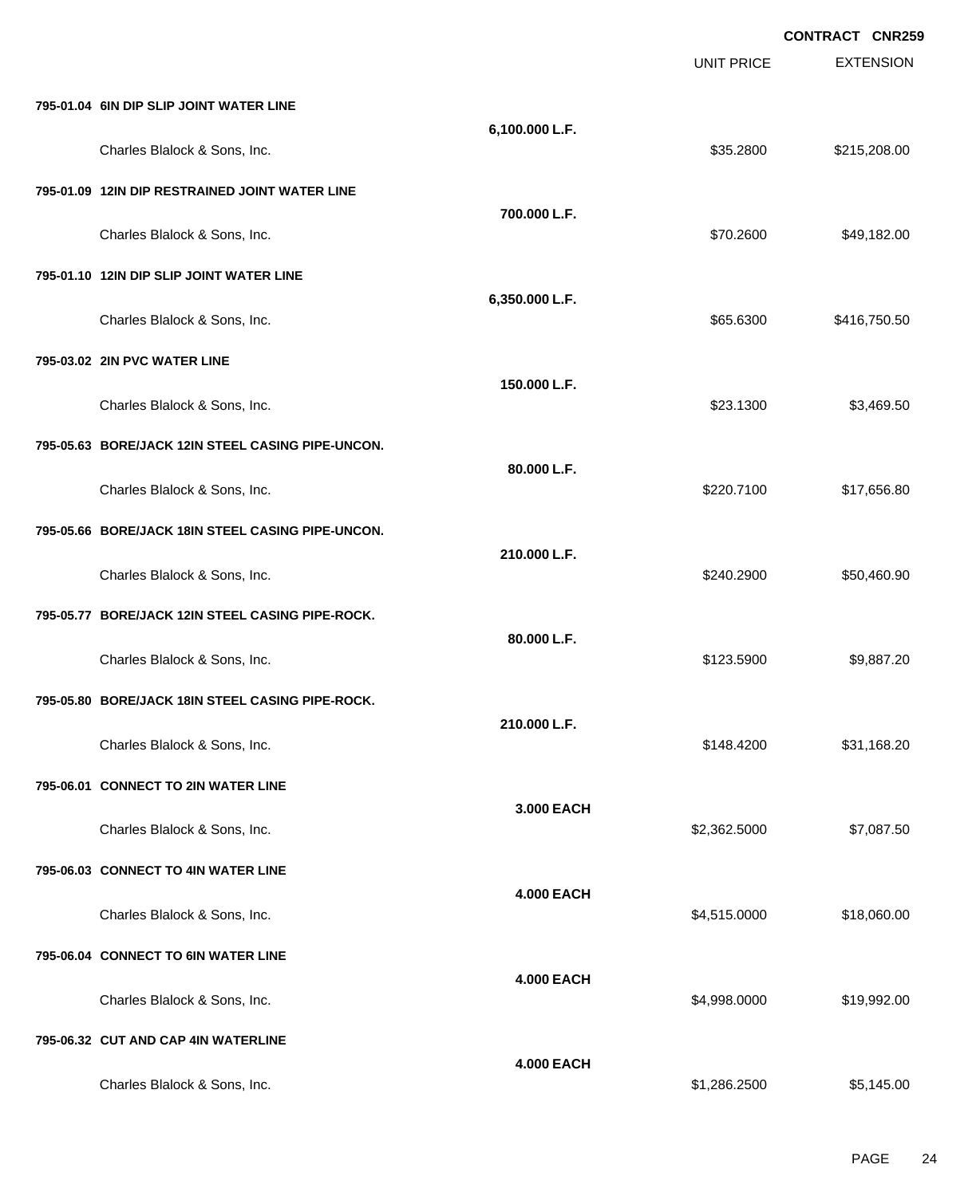EXTENSION **CONTRACT CNR259** UNIT PRICE **795-01.04 6IN DIP SLIP JOINT WATER LINE 6,100.000 L.F.** Charles Blalock & Sons, Inc. 6. 2008.00 \$215,208.00 \$215,208.00 \$215,208.00 \$215,208.00 **795-01.09 12IN DIP RESTRAINED JOINT WATER LINE 700.000 L.F.** Charles Blalock & Sons, Inc. \$70.2600 \$49,182.00 **795-01.10 12IN DIP SLIP JOINT WATER LINE 6,350.000 L.F.** Charles Blalock & Sons, Inc. \$65.6300 \$416,750.50 **795-03.02 2IN PVC WATER LINE 150.000 L.F.** Charles Blalock & Sons, Inc. 6. 23.1300 \$3,469.50 **795-05.63 BORE/JACK 12IN STEEL CASING PIPE-UNCON. 80.000 L.F.** Charles Blalock & Sons, Inc. \$220.7100 \$17,656.80 **795-05.66 BORE/JACK 18IN STEEL CASING PIPE-UNCON. 210.000 L.F.** Charles Blalock & Sons, Inc. 6. 2000 \$50,460.90 **795-05.77 BORE/JACK 12IN STEEL CASING PIPE-ROCK. 80.000 L.F.** Charles Blalock & Sons, Inc. \$123.5900 \$9,887.20 **795-05.80 BORE/JACK 18IN STEEL CASING PIPE-ROCK. 210.000 L.F.** Charles Blalock & Sons, Inc. \$148.4200 \$31,168.20 **795-06.01 CONNECT TO 2IN WATER LINE 3.000 EACH** Charles Blalock & Sons, Inc. \$2,362.5000 \$7,087.50 **795-06.03 CONNECT TO 4IN WATER LINE 4.000 EACH** Charles Blalock & Sons, Inc. 6. 2010 12:30 12:30 12:30 12:30 12:30 12:30 12:30 12:30 12:30 12:30 13:416.000 \$18,060.00 **795-06.04 CONNECT TO 6IN WATER LINE 4.000 EACH** Charles Blalock & Sons, Inc. 6. 2010 12:00 12:00 12:00 12:000 \$4,998.0000 \$19,992.00 **795-06.32 CUT AND CAP 4IN WATERLINE 4.000 EACH** Charles Blalock & Sons, Inc. \$1,286.2500 \$5,145.00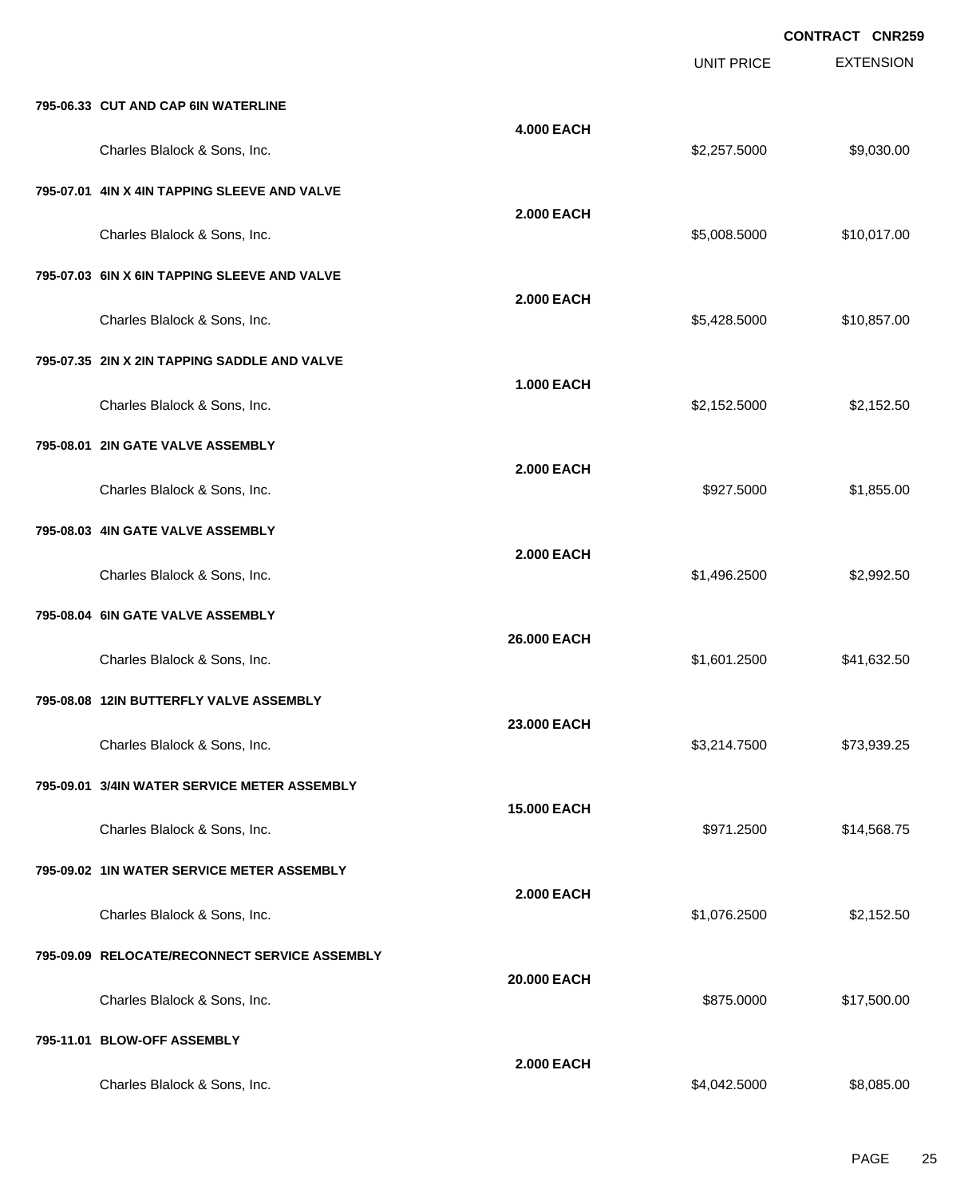|                                               |                    |                   | <b>CONTRACT CNR259</b> |
|-----------------------------------------------|--------------------|-------------------|------------------------|
|                                               |                    | <b>UNIT PRICE</b> | <b>EXTENSION</b>       |
| 795-06.33 CUT AND CAP 6IN WATERLINE           |                    |                   |                        |
| Charles Blalock & Sons, Inc.                  | <b>4.000 EACH</b>  | \$2,257.5000      | \$9,030.00             |
| 795-07.01 4IN X 4IN TAPPING SLEEVE AND VALVE  |                    |                   |                        |
| Charles Blalock & Sons, Inc.                  | <b>2.000 EACH</b>  | \$5,008.5000      | \$10,017.00            |
| 795-07.03 6IN X 6IN TAPPING SLEEVE AND VALVE  |                    |                   |                        |
| Charles Blalock & Sons, Inc.                  | <b>2.000 EACH</b>  | \$5,428.5000      | \$10,857.00            |
| 795-07.35 2IN X 2IN TAPPING SADDLE AND VALVE  |                    |                   |                        |
| Charles Blalock & Sons, Inc.                  | <b>1.000 EACH</b>  | \$2,152.5000      | \$2,152.50             |
| 795-08.01 2IN GATE VALVE ASSEMBLY             |                    |                   |                        |
| Charles Blalock & Sons, Inc.                  | <b>2.000 EACH</b>  | \$927.5000        | \$1,855.00             |
| 795-08.03 4IN GATE VALVE ASSEMBLY             |                    |                   |                        |
| Charles Blalock & Sons, Inc.                  | <b>2.000 EACH</b>  | \$1,496.2500      | \$2,992.50             |
| 795-08.04 6IN GATE VALVE ASSEMBLY             |                    |                   |                        |
| Charles Blalock & Sons, Inc.                  | 26.000 EACH        | \$1,601.2500      | \$41,632.50            |
| 795-08.08 12IN BUTTERFLY VALVE ASSEMBLY       |                    |                   |                        |
| Charles Blalock & Sons, Inc.                  | 23,000 EACH        | \$3,214.7500      | \$73,939.25            |
| 795-09.01 3/4IN WATER SERVICE METER ASSEMBLY  |                    |                   |                        |
| Charles Blalock & Sons, Inc.                  | <b>15.000 EACH</b> | \$971.2500        | \$14,568.75            |
| 795-09.02 1IN WATER SERVICE METER ASSEMBLY    |                    |                   |                        |
| Charles Blalock & Sons, Inc.                  | <b>2.000 EACH</b>  | \$1,076.2500      | \$2,152.50             |
| 795-09.09 RELOCATE/RECONNECT SERVICE ASSEMBLY |                    |                   |                        |
| Charles Blalock & Sons, Inc.                  | 20.000 EACH        | \$875.0000        | \$17,500.00            |
| 795-11.01 BLOW-OFF ASSEMBLY                   |                    |                   |                        |
| Charles Blalock & Sons, Inc.                  | <b>2.000 EACH</b>  | \$4,042.5000      | \$8,085.00             |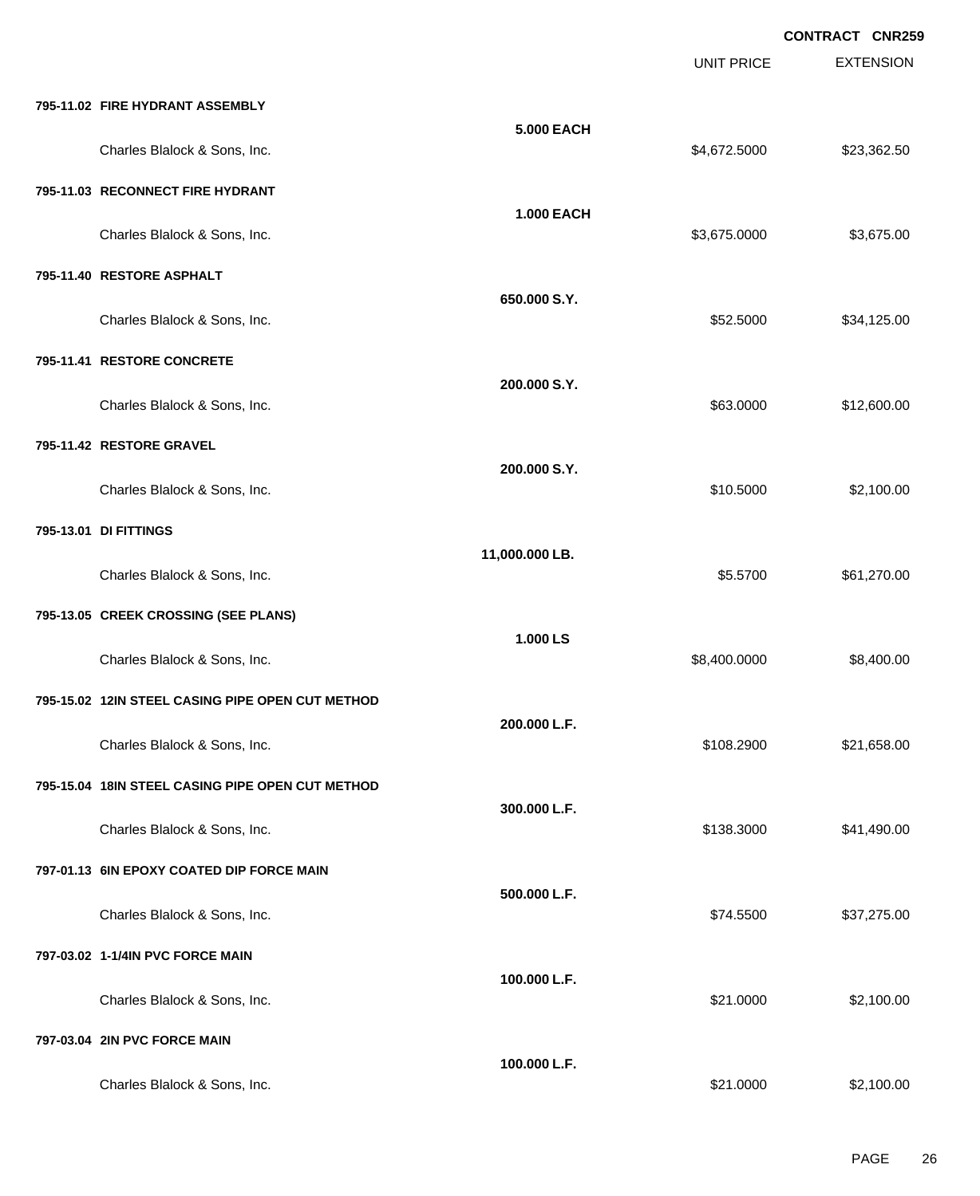EXTENSION **CONTRACT CNR259** UNIT PRICE **795-11.02 FIRE HYDRANT ASSEMBLY 5.000 EACH** Charles Blalock & Sons, Inc. 6. 2013. The State of the State of the State of State of State of State of State of State of State of State of State of State of State of State of State of State of State of State of State of S **795-11.03 RECONNECT FIRE HYDRANT 1.000 EACH** Charles Blalock & Sons, Inc. \$3,675.000 \$3,675.000 \$3,675.000 \$3,675.000 **795-11.40 RESTORE ASPHALT 650.000 S.Y.** Charles Blalock & Sons, Inc. 6. 2012 12:500 \$34,125.00 **795-11.41 RESTORE CONCRETE 200.000 S.Y.** Charles Blalock & Sons, Inc. 63.0000 \$12,600.00 **795-11.42 RESTORE GRAVEL 200.000 S.Y.** Charles Blalock & Sons, Inc. 6. 2012 12:30:30 12:30 12:30:3000 \$2,100.00 **795-13.01 DI FITTINGS 11,000.000 LB.** Charles Blalock & Sons, Inc. 6.5700 \$61,270.00 **795-13.05 CREEK CROSSING (SEE PLANS) 1.000 LS** Charles Blalock & Sons, Inc. 6.60000 \$8,400.000 \$8,400.000 \$8,400.000 \$8,400.000 \$8,400.000 \$8,400.00 **795-15.02 12IN STEEL CASING PIPE OPEN CUT METHOD 200.000 L.F.** Charles Blalock & Sons, Inc. \$108.2900 \$21,658.00 **795-15.04 18IN STEEL CASING PIPE OPEN CUT METHOD 300.000 L.F.** Charles Blalock & Sons, Inc. \$138.3000 \$41,490.00 **797-01.13 6IN EPOXY COATED DIP FORCE MAIN 500.000 L.F.** Charles Blalock & Sons, Inc. \$77,275.00 \$37,275.00 **797-03.02 1-1/4IN PVC FORCE MAIN 100.000 L.F.** Charles Blalock & Sons, Inc. 6. 2012. The State of the State of the State of State of State of State of State of State of State of State of State of State of State of State of State of State of State of State of State of S **797-03.04 2IN PVC FORCE MAIN 100.000 L.F.**

Charles Blalock & Sons, Inc. 6. 2012. The State of the State of the State of State of State of State of State of State of State of State of State of State of State of State of State of State of State of State of State of S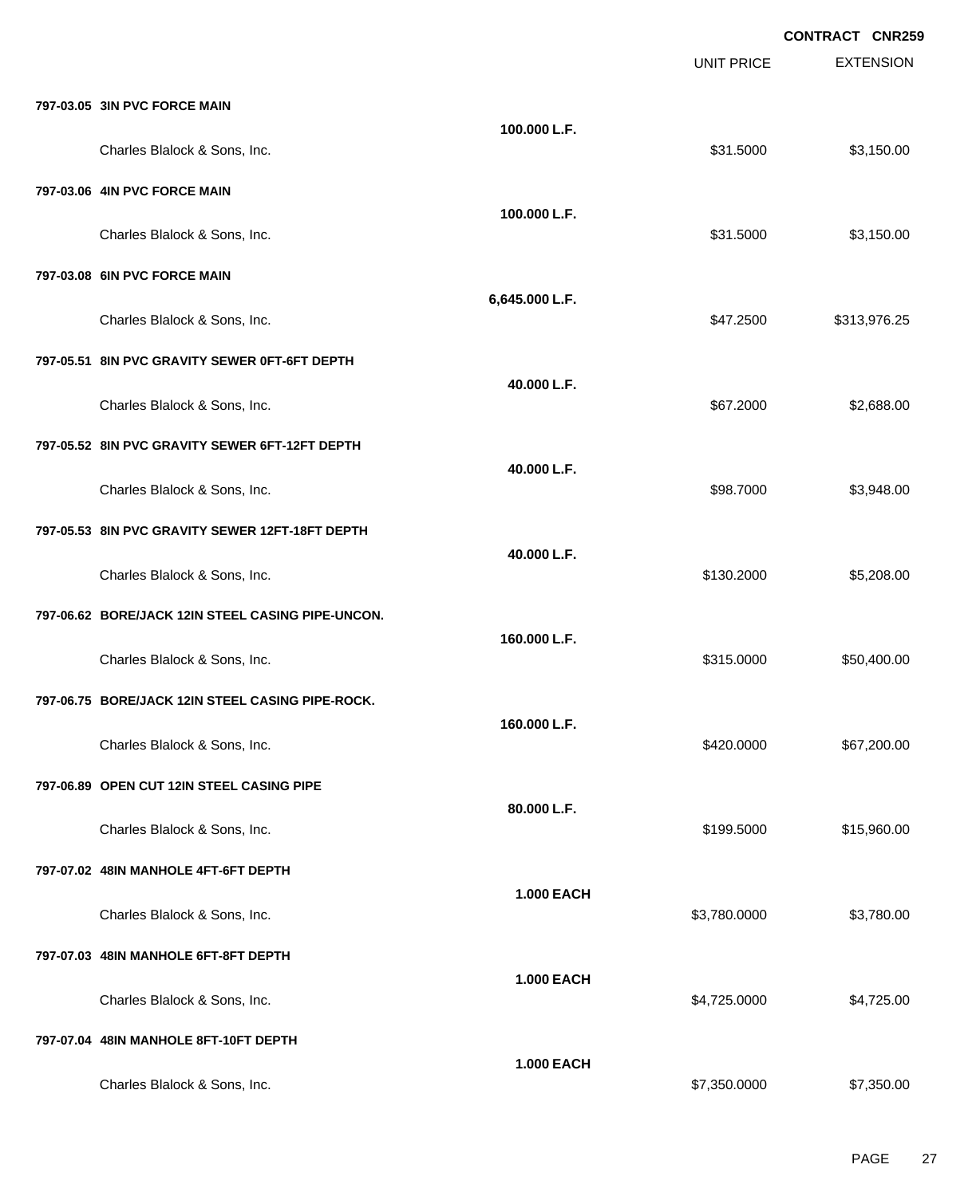EXTENSION **CONTRACT CNR259** UNIT PRICE **797-03.05 3IN PVC FORCE MAIN 100.000 L.F.** Charles Blalock & Sons, Inc. 6. 2012 12:30 12:30 12:30 13:31.5000 \$31.5000 \$3,150.00 **797-03.06 4IN PVC FORCE MAIN 100.000 L.F.** Charles Blalock & Sons, Inc. 6. 2012 12:30 12:30 12:30 13:31.5000 \$31.5000 \$3,150.00 **797-03.08 6IN PVC FORCE MAIN 6,645.000 L.F.** Charles Blalock & Sons, Inc. \$47.2500 \$313,976.25 **797-05.51 8IN PVC GRAVITY SEWER 0FT-6FT DEPTH 40.000 L.F.** Charles Blalock & Sons, Inc. \$67.2000 \$2,688.00 **797-05.52 8IN PVC GRAVITY SEWER 6FT-12FT DEPTH 40.000 L.F.** Charles Blalock & Sons, Inc. 6. 2012 12:30 12:30 12:30 12:30 12:30 13:30 13:30 14:30 15:30 15:30 15:30 15:30 1 **797-05.53 8IN PVC GRAVITY SEWER 12FT-18FT DEPTH 40.000 L.F.** Charles Blalock & Sons, Inc. \$130.2000 \$5,208.00 **797-06.62 BORE/JACK 12IN STEEL CASING PIPE-UNCON. 160.000 L.F.** Charles Blalock & Sons, Inc. 6. 2012 12:315.0000 \$50,400.00 **797-06.75 BORE/JACK 12IN STEEL CASING PIPE-ROCK. 160.000 L.F.** Charles Blalock & Sons, Inc. 667,200.00 \$67,200.00 \$67,200.00 **797-06.89 OPEN CUT 12IN STEEL CASING PIPE 80.000 L.F.** Charles Blalock & Sons, Inc. \$199.5000 \$15,960.00 **797-07.02 48IN MANHOLE 4FT-6FT DEPTH 1.000 EACH** Charles Blalock & Sons, Inc. 6. 2012 12:00:000 \$3,780.000 \$3,780.000 \$3,780.000 \$3,780.000 \$3,780.00 **797-07.03 48IN MANHOLE 6FT-8FT DEPTH 1.000 EACH** Charles Blalock & Sons, Inc. 6.6 and 2.6 and 2.6 and 2.6 and 2.725.0000 \$4,725.0000 \$4,725.000 **797-07.04 48IN MANHOLE 8FT-10FT DEPTH 1.000 EACH**

Charles Blalock & Sons, Inc. \$7,350.000 \$7,350.000 \$7,350.000 \$7,350.000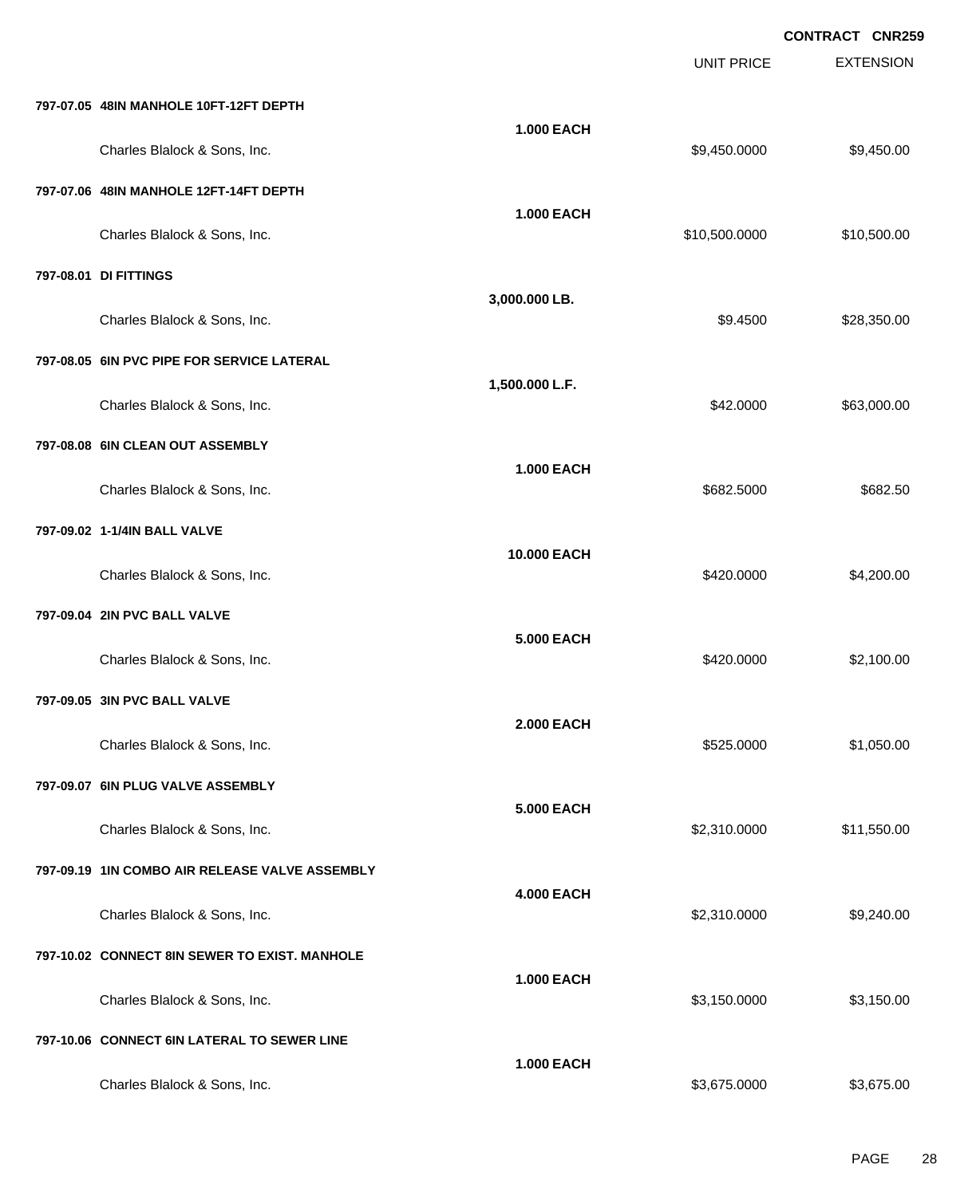EXTENSION **CONTRACT CNR259** UNIT PRICE **797-07.05 48IN MANHOLE 10FT-12FT DEPTH 1.000 EACH** Charles Blalock & Sons, Inc. 6. 2012 12:30 12:30 12:30 12:30 12:30 12:30 12:30 12:30 12:30 12:30 13:450.000 \$9,450.00 **797-07.06 48IN MANHOLE 12FT-14FT DEPTH 1.000 EACH** Charles Blalock & Sons, Inc. 6. 2010 12:00:000 \$10,500.000 \$10,500.000 \$10,500.000 \$10,500.00 **797-08.01 DI FITTINGS 3,000.000 LB.** Charles Blalock & Sons, Inc. 6.6 and the State of the State of the State of the State of State of S28,350.00 \$28,350.00 **797-08.05 6IN PVC PIPE FOR SERVICE LATERAL 1,500.000 L.F.** Charles Blalock & Sons, Inc. 63,000.00 \$63,000.00 \$63,000.00 **797-08.08 6IN CLEAN OUT ASSEMBLY 1.000 EACH** Charles Blalock & Sons, Inc. 6682.5000 \$682.5000 \$682.5000 \$682.5000 \$682.5000 \$682.5000 \$682.5000 \$682.5000 \$ **797-09.02 1-1/4IN BALL VALVE 10.000 EACH** Charles Blalock & Sons, Inc. 6. 200.000 \$4,200.00 \$4,200.00 **797-09.04 2IN PVC BALL VALVE 5.000 EACH** Charles Blalock & Sons, Inc. 6. 2010.00 \$420.0000 \$2,100.00 **797-09.05 3IN PVC BALL VALVE 2.000 EACH** Charles Blalock & Sons, Inc. 6. 2012 12:30 12:30 12:30 12:30 12:30 12:30 12:30 12:30 12:30 12:30 12:30 12:30 1 **797-09.07 6IN PLUG VALVE ASSEMBLY 5.000 EACH** Charles Blalock & Sons, Inc. 6.6 and 2011 1.550.00 \$2,310.0000 \$11,550.00 **797-09.19 1IN COMBO AIR RELEASE VALVE ASSEMBLY 4.000 EACH** Charles Blalock & Sons, Inc. 6.6 and 59,240.00 \$9,240.00 \$9,240.00 \$9,240.00 **797-10.02 CONNECT 8IN SEWER TO EXIST. MANHOLE 1.000 EACH** Charles Blalock & Sons, Inc. 6. 2012 12:30 12:30 12:30 13:30 13:30 13:30 13:30 13:30 13:30 13:30 13:30 13:30 13:30 13:30 13:30 13:30 13:30 13:30 13:30 13:30 13:30 13:30 13:30 13:30 13:30 13:30 13:30 13:30 13:30 13:30 13:30 **797-10.06 CONNECT 6IN LATERAL TO SEWER LINE 1.000 EACH** Charles Blalock & Sons, Inc. \$3,675.000 \$3,675.000 \$3,675.000 \$3,675.000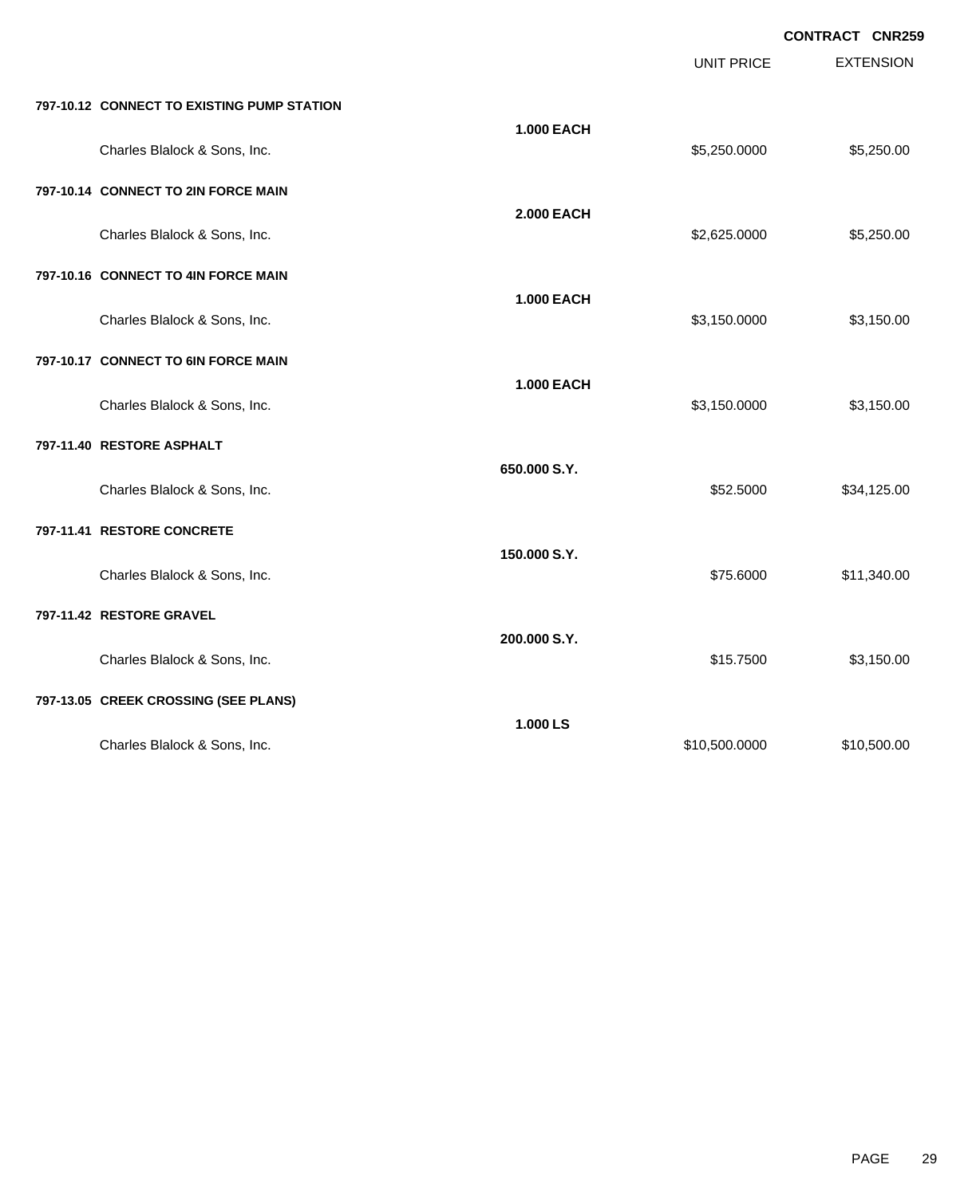EXTENSION **CONTRACT CNR259** UNIT PRICE **797-10.12 CONNECT TO EXISTING PUMP STATION 1.000 EACH** Charles Blalock & Sons, Inc. 6. 250.000 \$5,250.000 \$5,250.000 \$5,250.000 **797-10.14 CONNECT TO 2IN FORCE MAIN 2.000 EACH** Charles Blalock & Sons, Inc. 6. 2010 1. 2010 1. 2010 1. 2010 1. 2010 1. 2010 1. 2010 1. 2010 1. 2010 1. 2010 1 **797-10.16 CONNECT TO 4IN FORCE MAIN 1.000 EACH** Charles Blalock & Sons, Inc. 6. 2012 12:0000 \$3,150.000 \$3,150.000 \$3,150.000 **797-10.17 CONNECT TO 6IN FORCE MAIN 1.000 EACH** Charles Blalock & Sons, Inc. 6. 2012 12:30 12:30 12:30 13:30 13:30 13:30 13:30 13:30 13:30 13:30 13:30 13:30 13:30 13:30 13:30 13:30 13:30 13:30 13:30 13:30 13:30 13:30 13:30 13:30 13:30 13:30 13:30 13:30 13:30 13:30 13:30 **797-11.40 RESTORE ASPHALT 650.000 S.Y.** Charles Blalock & Sons, Inc. 6. 2012 12:500 \$34,125.00 **797-11.41 RESTORE CONCRETE 150.000 S.Y.** Charles Blalock & Sons, Inc. \$75.6000 \$11,340.00 **797-11.42 RESTORE GRAVEL 200.000 S.Y.** Charles Blalock & Sons, Inc. \$15.7500 \$3,150.00 **797-13.05 CREEK CROSSING (SEE PLANS) 1.000 LS** Charles Blalock & Sons, Inc. 6. 2010 12:00:000 \$10,500.000 \$10,500.000 \$10,500.000 \$10,500.00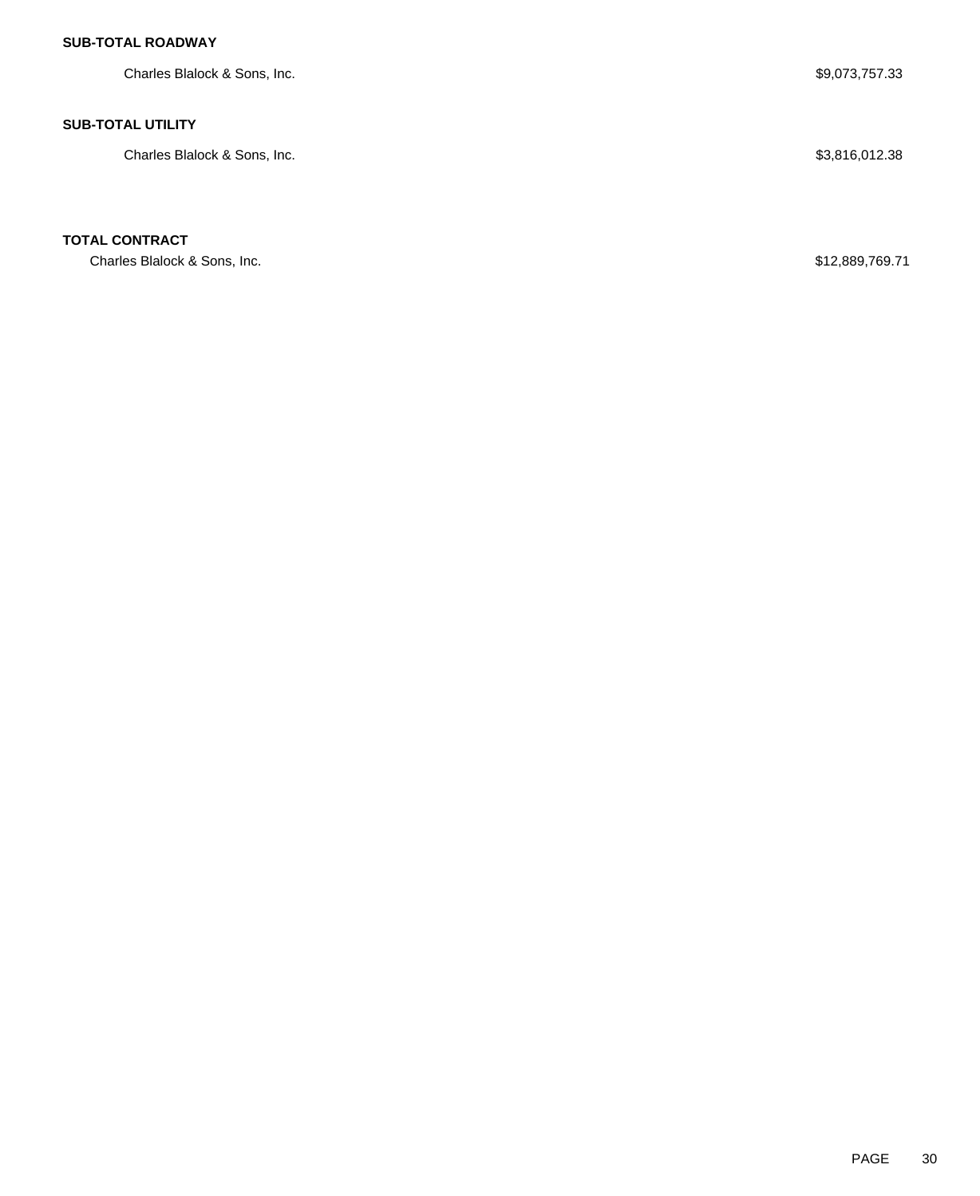### **SUB-TOTAL ROADWAY**

Charles Blalock & Sons, Inc. 6. The South of the South of the South of the South of the South of the South of the South of the South of the South of the South of the South of the South of the South of the South of the Sout

#### **SUB-TOTAL UTILITY**

Charles Blalock & Sons, Inc. 6. The South of the South of the South of the South of the South of the South of South of the South of the South of the South of the South of the South of the South of the South of the South of

### **TOTAL CONTRACT**

Charles Blalock & Sons, Inc.  $$12,889,769.71$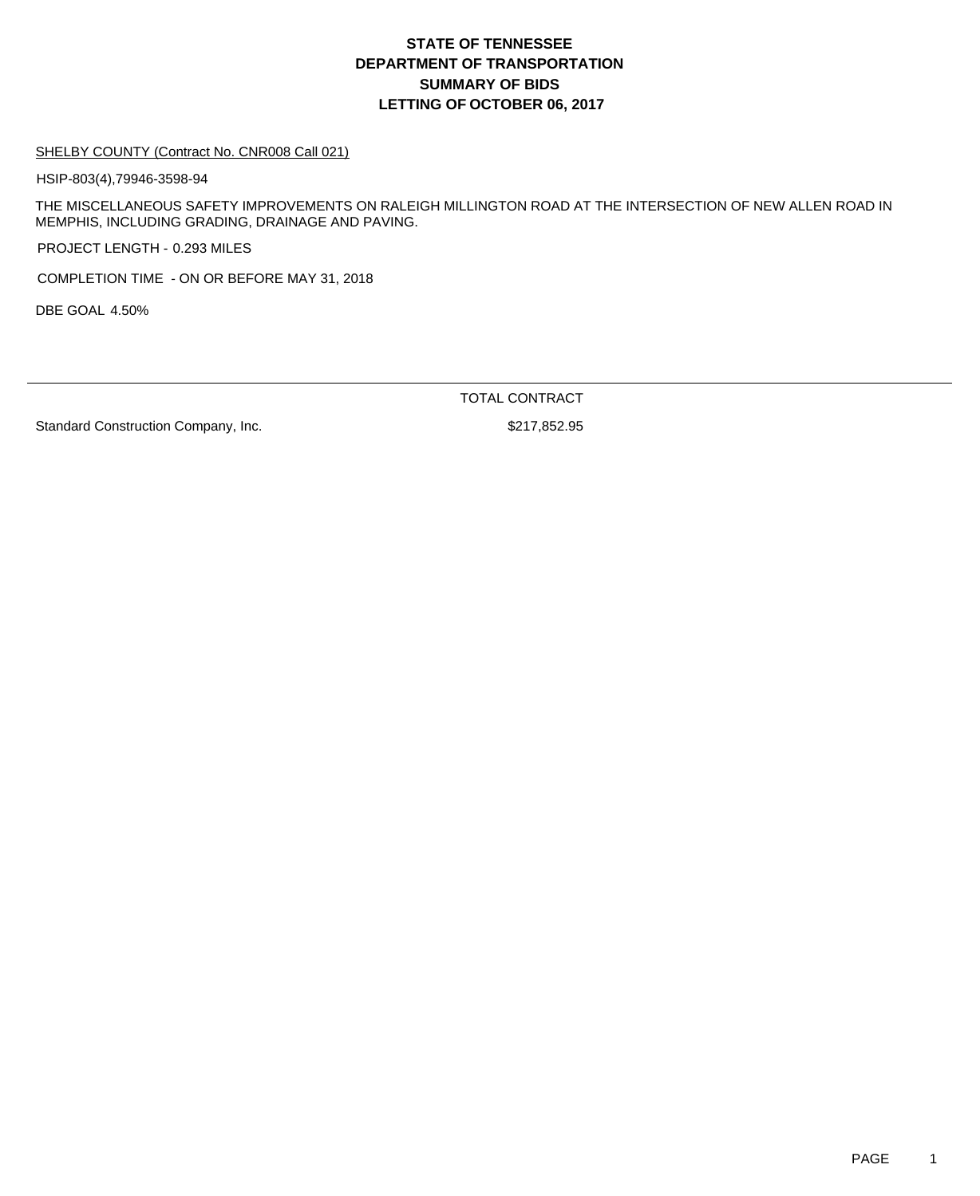## **DEPARTMENT OF TRANSPORTATION SUMMARY OF BIDS LETTING OF OCTOBER 06, 2017 STATE OF TENNESSEE**

#### SHELBY COUNTY (Contract No. CNR008 Call 021)

HSIP-803(4),79946-3598-94

THE MISCELLANEOUS SAFETY IMPROVEMENTS ON RALEIGH MILLINGTON ROAD AT THE INTERSECTION OF NEW ALLEN ROAD IN MEMPHIS, INCLUDING GRADING, DRAINAGE AND PAVING.

PROJECT LENGTH - 0.293 MILES

COMPLETION TIME - ON OR BEFORE MAY 31, 2018

DBE GOAL 4.50%

TOTAL CONTRACT

Standard Construction Company, Inc. 6. The Standard Construction Company, Inc.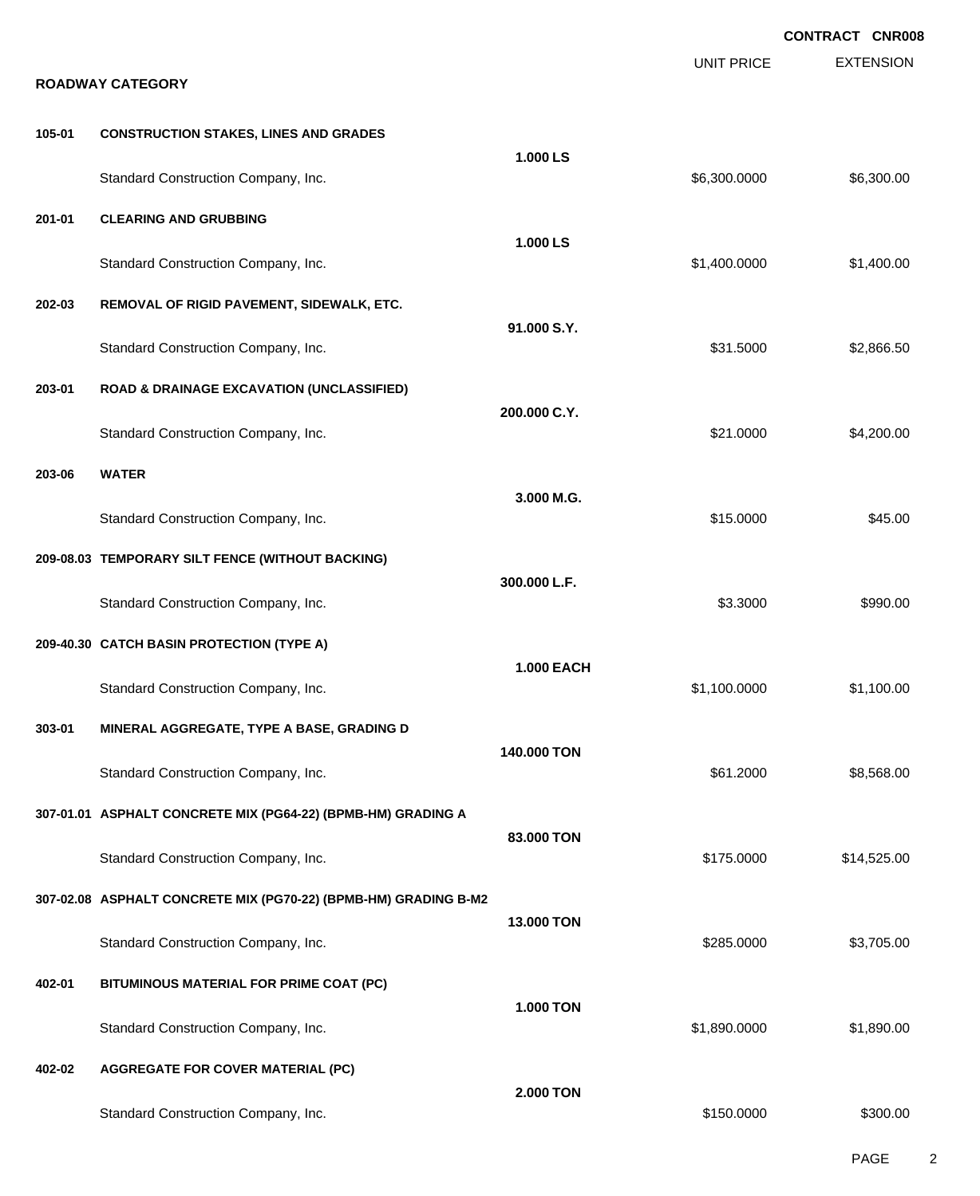|        |                                                                                  |                   |                   | <b>CONTRACT CNR008</b> |
|--------|----------------------------------------------------------------------------------|-------------------|-------------------|------------------------|
|        | <b>ROADWAY CATEGORY</b>                                                          |                   | <b>UNIT PRICE</b> | <b>EXTENSION</b>       |
| 105-01 | <b>CONSTRUCTION STAKES, LINES AND GRADES</b>                                     |                   |                   |                        |
|        | Standard Construction Company, Inc.                                              | 1.000 LS          | \$6,300.0000      | \$6,300.00             |
| 201-01 | <b>CLEARING AND GRUBBING</b>                                                     |                   |                   |                        |
|        | Standard Construction Company, Inc.                                              | 1.000 LS          | \$1,400.0000      | \$1,400.00             |
| 202-03 | REMOVAL OF RIGID PAVEMENT, SIDEWALK, ETC.                                        | 91.000 S.Y.       |                   |                        |
|        | Standard Construction Company, Inc.                                              |                   | \$31.5000         | \$2,866.50             |
| 203-01 | <b>ROAD &amp; DRAINAGE EXCAVATION (UNCLASSIFIED)</b>                             | 200.000 C.Y.      |                   |                        |
|        | Standard Construction Company, Inc.                                              |                   | \$21.0000         | \$4,200.00             |
| 203-06 | <b>WATER</b>                                                                     | 3.000 M.G.        |                   |                        |
|        | Standard Construction Company, Inc.                                              |                   | \$15.0000         | \$45.00                |
|        | 209-08.03 TEMPORARY SILT FENCE (WITHOUT BACKING)                                 | 300.000 L.F.      |                   |                        |
|        | Standard Construction Company, Inc.                                              |                   | \$3.3000          | \$990.00               |
|        | 209-40.30 CATCH BASIN PROTECTION (TYPE A)                                        | <b>1.000 EACH</b> |                   |                        |
| 303-01 | Standard Construction Company, Inc.<br>MINERAL AGGREGATE, TYPE A BASE, GRADING D |                   | \$1,100.0000      | \$1,100.00             |
|        | Standard Construction Company, Inc.                                              | 140.000 TON       | \$61.2000         | \$8,568.00             |
|        | 307-01.01 ASPHALT CONCRETE MIX (PG64-22) (BPMB-HM) GRADING A                     |                   |                   |                        |
|        | Standard Construction Company, Inc.                                              | 83,000 TON        | \$175.0000        | \$14,525.00            |
|        | 307-02.08 ASPHALT CONCRETE MIX (PG70-22) (BPMB-HM) GRADING B-M2                  |                   |                   |                        |
|        | Standard Construction Company, Inc.                                              | <b>13,000 TON</b> | \$285.0000        | \$3,705.00             |
| 402-01 | BITUMINOUS MATERIAL FOR PRIME COAT (PC)                                          | <b>1.000 TON</b>  |                   |                        |
|        | Standard Construction Company, Inc.                                              |                   | \$1,890.0000      | \$1,890.00             |
| 402-02 | <b>AGGREGATE FOR COVER MATERIAL (PC)</b>                                         | 2.000 TON         |                   |                        |
|        | Standard Construction Company, Inc.                                              |                   | \$150.0000        | \$300.00               |

PAGE 2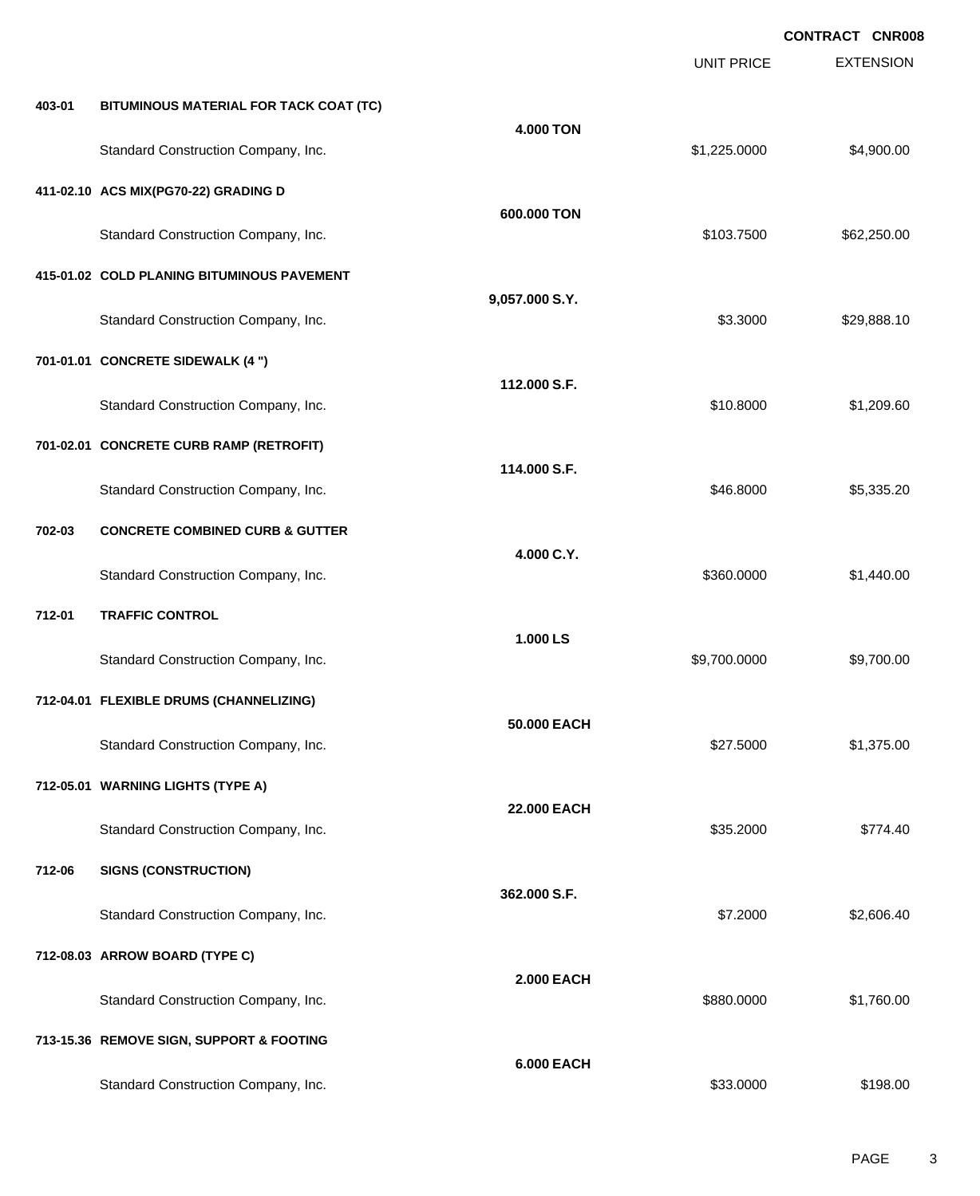**EXTENSION CONTRACT CNR008** UNIT PRICE **403-01 BITUMINOUS MATERIAL FOR TACK COAT (TC) 4.000 TON** Standard Construction Company, Inc. 6. The Construction Company, Inc. 6. The Construction Company, Inc. 6. The Construction Company, Inc. 6. The Construction Company, Inc. 6. The Construction Company, Inc. 6. The Construct **411-02.10 ACS MIX(PG70-22) GRADING D 600.000 TON** Standard Construction Company, Inc. 6. The Construction Company, Inc. 6. The Construction Company, Inc. 662,250.00 **415-01.02 COLD PLANING BITUMINOUS PAVEMENT 9,057.000 S.Y.** Standard Construction Company, Inc. 6. 2002 12:30 12:30 12:30 12:30 12:30 13:3000 \$29,888.10 **701-01.01 CONCRETE SIDEWALK (4 ") 112.000 S.F.** Standard Construction Company, Inc. 6. The Construction Company, Inc. \$10.8000 \$1,209.60 **701-02.01 CONCRETE CURB RAMP (RETROFIT) 114.000 S.F.** Standard Construction Company, Inc. 6. The Construction Company, Inc. \$46.8000 \$5,335.20 **702-03 CONCRETE COMBINED CURB & GUTTER 4.000 C.Y.** Standard Construction Company, Inc. 6. The Construction Company, Inc. 6. The Construction Company, Inc. 6. The Construction Company, Inc. 6. The Construction Company, Inc. 6. The Construction Company, Inc. 6. The Construct **712-01 TRAFFIC CONTROL 1.000 LS** Standard Construction Company, Inc. 6. The Construction Company, Inc. 6. The Construction Company, Inc. 6. The Construction Company, Inc. 6. The Construction Company, Inc. 6. The Construction Company, Inc. 6. The Construct **712-04.01 FLEXIBLE DRUMS (CHANNELIZING) 50.000 EACH** Standard Construction Company, Inc. 6. The Construction Company, Inc. \$27.5000 \$1,375.00 **712-05.01 WARNING LIGHTS (TYPE A) 22.000 EACH** Standard Construction Company, Inc. 6. 2000 \$774.40 **712-06 SIGNS (CONSTRUCTION) 362.000 S.F.** Standard Construction Company, Inc. 6. 2000 \$2,606.40 **712-08.03 ARROW BOARD (TYPE C) 2.000 EACH** Standard Construction Company, Inc. 6. The Construction Company, Inc. 6. The Construction Company, Inc. 6. The Construction Company, Inc. 6. The Construction Company, Inc. 6. The Construction Company, Inc. 6. The Construct **713-15.36 REMOVE SIGN, SUPPORT & FOOTING 6.000 EACH** Standard Construction Company, Inc. 6. The Construction Company, Inc. 6. The Construction Company, Inc. 6. The Construction Company, Inc. 6. The Construction Company, Inc. 6. The Construction Company, Inc. 6. The Construct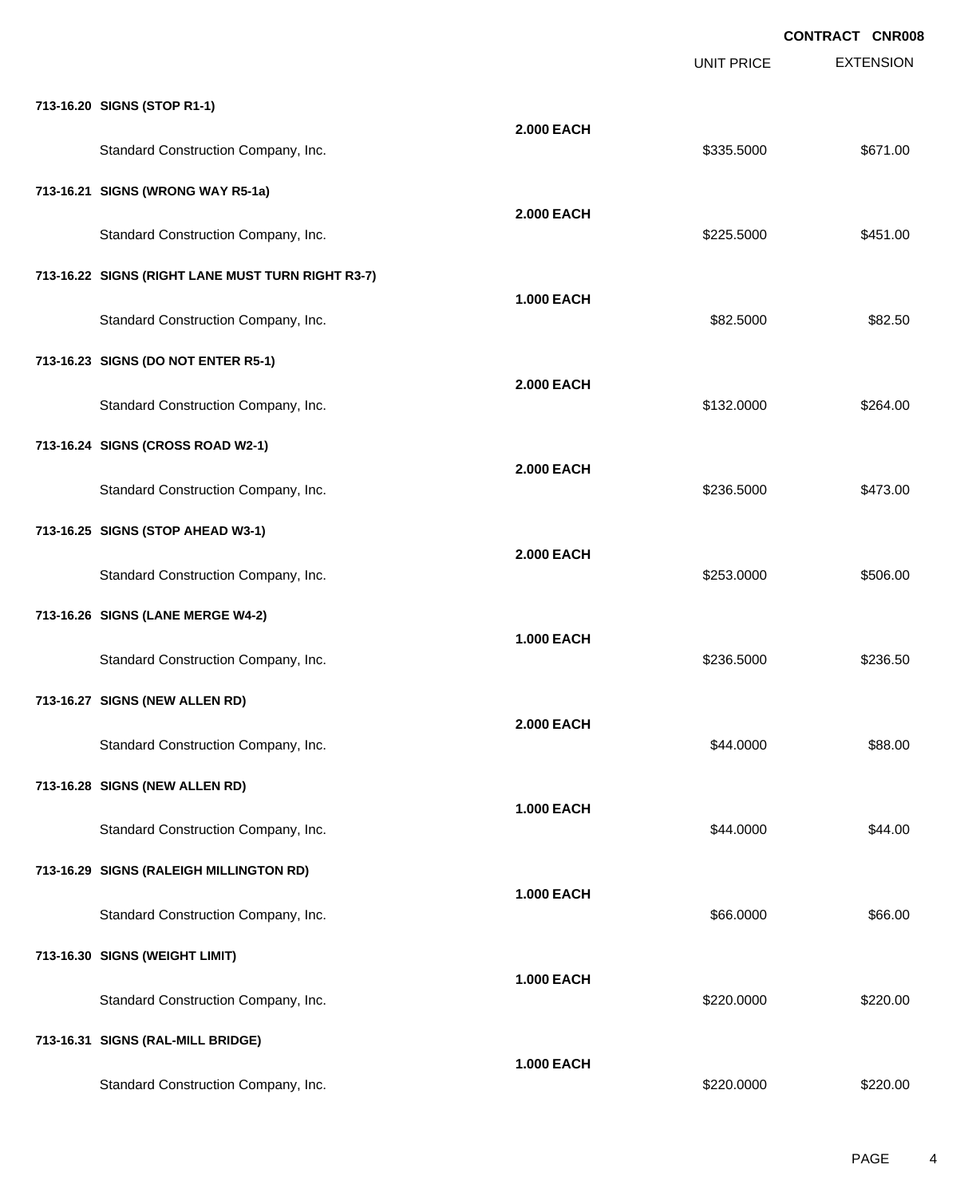|                                                   |                   | <b>UNIT PRICE</b> | <b>CONTRACT CNR008</b><br><b>EXTENSION</b> |
|---------------------------------------------------|-------------------|-------------------|--------------------------------------------|
| 713-16.20 SIGNS (STOP R1-1)                       |                   |                   |                                            |
| Standard Construction Company, Inc.               | <b>2.000 EACH</b> | \$335.5000        | \$671.00                                   |
| 713-16.21 SIGNS (WRONG WAY R5-1a)                 |                   |                   |                                            |
| Standard Construction Company, Inc.               | <b>2.000 EACH</b> | \$225.5000        | \$451.00                                   |
| 713-16.22 SIGNS (RIGHT LANE MUST TURN RIGHT R3-7) | <b>1.000 EACH</b> |                   |                                            |
| Standard Construction Company, Inc.               |                   | \$82.5000         | \$82.50                                    |
| 713-16.23 SIGNS (DO NOT ENTER R5-1)               | <b>2.000 EACH</b> |                   |                                            |
| Standard Construction Company, Inc.               |                   | \$132.0000        | \$264.00                                   |
| 713-16.24 SIGNS (CROSS ROAD W2-1)                 | <b>2.000 EACH</b> |                   |                                            |
| Standard Construction Company, Inc.               |                   | \$236.5000        | \$473.00                                   |
| 713-16.25 SIGNS (STOP AHEAD W3-1)                 | <b>2.000 EACH</b> |                   |                                            |
| Standard Construction Company, Inc.               |                   | \$253.0000        | \$506.00                                   |
| 713-16.26 SIGNS (LANE MERGE W4-2)                 | <b>1.000 EACH</b> |                   |                                            |
| Standard Construction Company, Inc.               |                   | \$236,5000        | \$236.50                                   |
| 713-16.27 SIGNS (NEW ALLEN RD)                    | <b>2.000 EACH</b> |                   |                                            |
| Standard Construction Company, Inc.               |                   | \$44.0000         | \$88.00                                    |
| 713-16.28 SIGNS (NEW ALLEN RD)                    | <b>1.000 EACH</b> |                   |                                            |
| Standard Construction Company, Inc.               |                   | \$44.0000         | \$44.00                                    |
| 713-16.29 SIGNS (RALEIGH MILLINGTON RD)           | <b>1.000 EACH</b> |                   |                                            |
| Standard Construction Company, Inc.               |                   | \$66.0000         | \$66.00                                    |
| 713-16.30 SIGNS (WEIGHT LIMIT)                    | <b>1.000 EACH</b> |                   |                                            |
| Standard Construction Company, Inc.               |                   | \$220.0000        | \$220.00                                   |
| 713-16.31 SIGNS (RAL-MILL BRIDGE)                 | <b>1.000 EACH</b> |                   |                                            |
| Standard Construction Company, Inc.               |                   | \$220.0000        | \$220.00                                   |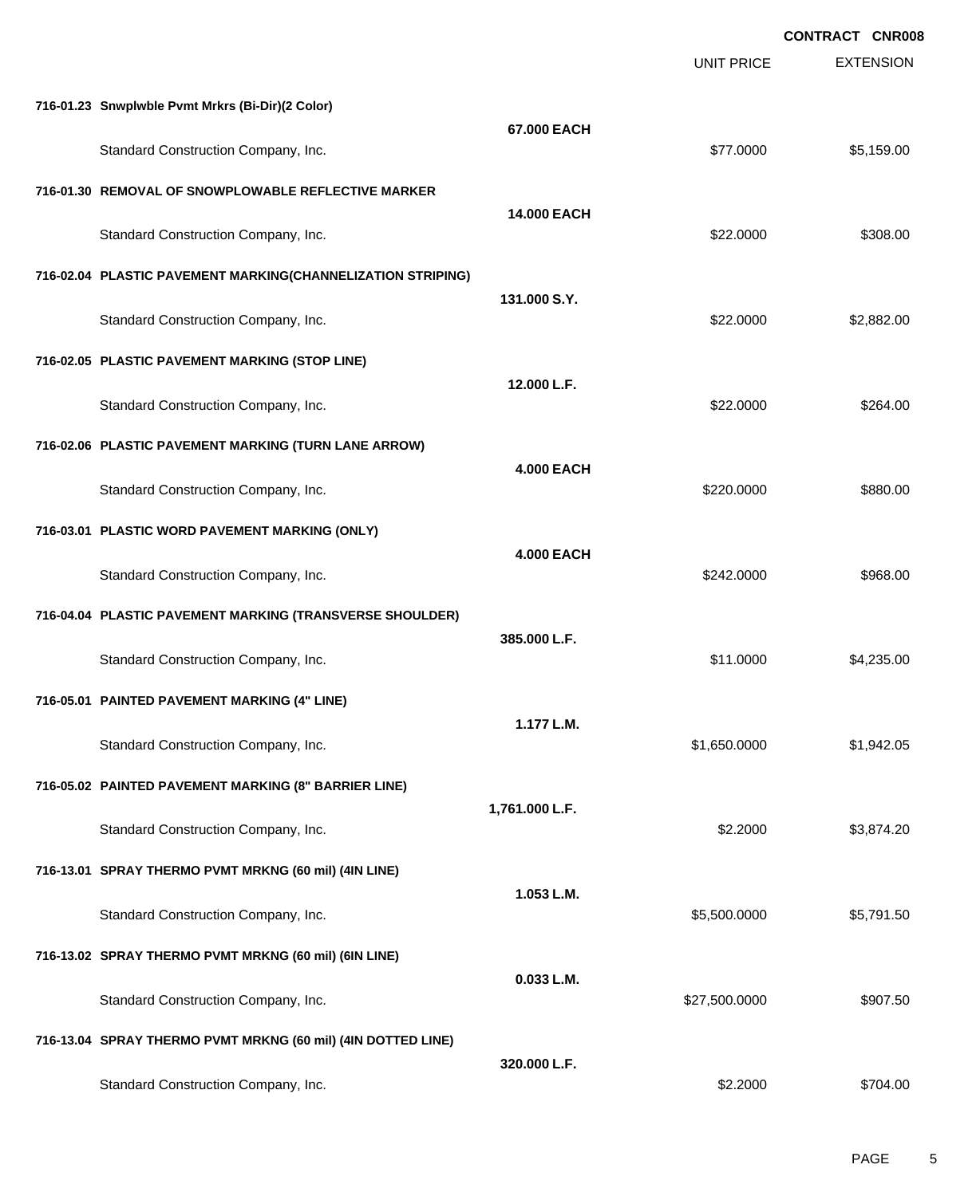| <b>EXTENSION</b><br><b>UNIT PRICE</b><br>716-01.23 Snwplwble Pvmt Mrkrs (Bi-Dir)(2 Color)<br>67.000 EACH<br>\$77.0000<br>Standard Construction Company, Inc.<br>\$5,159.00<br>716-01.30 REMOVAL OF SNOWPLOWABLE REFLECTIVE MARKER<br><b>14.000 EACH</b><br>Standard Construction Company, Inc.<br>\$22.0000<br>\$308.00<br>716-02.04 PLASTIC PAVEMENT MARKING(CHANNELIZATION STRIPING)<br>131.000 S.Y.<br>Standard Construction Company, Inc.<br>\$22.0000<br>\$2,882.00<br>716-02.05 PLASTIC PAVEMENT MARKING (STOP LINE)<br>12.000 L.F.<br>Standard Construction Company, Inc.<br>\$22.0000<br>\$264.00<br>716-02.06 PLASTIC PAVEMENT MARKING (TURN LANE ARROW)<br><b>4.000 EACH</b><br>Standard Construction Company, Inc.<br>\$880.00<br>\$220.0000<br>716-03.01 PLASTIC WORD PAVEMENT MARKING (ONLY)<br><b>4.000 EACH</b><br>Standard Construction Company, Inc.<br>\$968.00<br>\$242.0000<br>716-04.04 PLASTIC PAVEMENT MARKING (TRANSVERSE SHOULDER)<br>385.000 L.F.<br>Standard Construction Company, Inc.<br>\$11.0000<br>\$4,235.00<br>716-05.01 PAINTED PAVEMENT MARKING (4" LINE)<br>1.177 L.M.<br>Standard Construction Company, Inc.<br>\$1,650.0000<br>\$1,942.05<br>716-05.02 PAINTED PAVEMENT MARKING (8" BARRIER LINE)<br>1,761.000 L.F.<br>Standard Construction Company, Inc.<br>\$2.2000<br>\$3,874.20<br>716-13.01 SPRAY THERMO PVMT MRKNG (60 mil) (4IN LINE)<br>1.053 L.M.<br>Standard Construction Company, Inc.<br>\$5,500.0000<br>\$5,791.50<br>716-13.02 SPRAY THERMO PVMT MRKNG (60 mil) (6IN LINE) |  |  | <b>CONTRACT CNR008</b> |
|----------------------------------------------------------------------------------------------------------------------------------------------------------------------------------------------------------------------------------------------------------------------------------------------------------------------------------------------------------------------------------------------------------------------------------------------------------------------------------------------------------------------------------------------------------------------------------------------------------------------------------------------------------------------------------------------------------------------------------------------------------------------------------------------------------------------------------------------------------------------------------------------------------------------------------------------------------------------------------------------------------------------------------------------------------------------------------------------------------------------------------------------------------------------------------------------------------------------------------------------------------------------------------------------------------------------------------------------------------------------------------------------------------------------------------------------------------------------------------------------------------------------------------|--|--|------------------------|
|                                                                                                                                                                                                                                                                                                                                                                                                                                                                                                                                                                                                                                                                                                                                                                                                                                                                                                                                                                                                                                                                                                                                                                                                                                                                                                                                                                                                                                                                                                                                  |  |  |                        |
|                                                                                                                                                                                                                                                                                                                                                                                                                                                                                                                                                                                                                                                                                                                                                                                                                                                                                                                                                                                                                                                                                                                                                                                                                                                                                                                                                                                                                                                                                                                                  |  |  |                        |
|                                                                                                                                                                                                                                                                                                                                                                                                                                                                                                                                                                                                                                                                                                                                                                                                                                                                                                                                                                                                                                                                                                                                                                                                                                                                                                                                                                                                                                                                                                                                  |  |  |                        |
|                                                                                                                                                                                                                                                                                                                                                                                                                                                                                                                                                                                                                                                                                                                                                                                                                                                                                                                                                                                                                                                                                                                                                                                                                                                                                                                                                                                                                                                                                                                                  |  |  |                        |
|                                                                                                                                                                                                                                                                                                                                                                                                                                                                                                                                                                                                                                                                                                                                                                                                                                                                                                                                                                                                                                                                                                                                                                                                                                                                                                                                                                                                                                                                                                                                  |  |  |                        |
|                                                                                                                                                                                                                                                                                                                                                                                                                                                                                                                                                                                                                                                                                                                                                                                                                                                                                                                                                                                                                                                                                                                                                                                                                                                                                                                                                                                                                                                                                                                                  |  |  |                        |
|                                                                                                                                                                                                                                                                                                                                                                                                                                                                                                                                                                                                                                                                                                                                                                                                                                                                                                                                                                                                                                                                                                                                                                                                                                                                                                                                                                                                                                                                                                                                  |  |  |                        |
|                                                                                                                                                                                                                                                                                                                                                                                                                                                                                                                                                                                                                                                                                                                                                                                                                                                                                                                                                                                                                                                                                                                                                                                                                                                                                                                                                                                                                                                                                                                                  |  |  |                        |
|                                                                                                                                                                                                                                                                                                                                                                                                                                                                                                                                                                                                                                                                                                                                                                                                                                                                                                                                                                                                                                                                                                                                                                                                                                                                                                                                                                                                                                                                                                                                  |  |  |                        |
|                                                                                                                                                                                                                                                                                                                                                                                                                                                                                                                                                                                                                                                                                                                                                                                                                                                                                                                                                                                                                                                                                                                                                                                                                                                                                                                                                                                                                                                                                                                                  |  |  |                        |
|                                                                                                                                                                                                                                                                                                                                                                                                                                                                                                                                                                                                                                                                                                                                                                                                                                                                                                                                                                                                                                                                                                                                                                                                                                                                                                                                                                                                                                                                                                                                  |  |  |                        |
|                                                                                                                                                                                                                                                                                                                                                                                                                                                                                                                                                                                                                                                                                                                                                                                                                                                                                                                                                                                                                                                                                                                                                                                                                                                                                                                                                                                                                                                                                                                                  |  |  |                        |
|                                                                                                                                                                                                                                                                                                                                                                                                                                                                                                                                                                                                                                                                                                                                                                                                                                                                                                                                                                                                                                                                                                                                                                                                                                                                                                                                                                                                                                                                                                                                  |  |  |                        |
|                                                                                                                                                                                                                                                                                                                                                                                                                                                                                                                                                                                                                                                                                                                                                                                                                                                                                                                                                                                                                                                                                                                                                                                                                                                                                                                                                                                                                                                                                                                                  |  |  |                        |
|                                                                                                                                                                                                                                                                                                                                                                                                                                                                                                                                                                                                                                                                                                                                                                                                                                                                                                                                                                                                                                                                                                                                                                                                                                                                                                                                                                                                                                                                                                                                  |  |  |                        |
|                                                                                                                                                                                                                                                                                                                                                                                                                                                                                                                                                                                                                                                                                                                                                                                                                                                                                                                                                                                                                                                                                                                                                                                                                                                                                                                                                                                                                                                                                                                                  |  |  |                        |
|                                                                                                                                                                                                                                                                                                                                                                                                                                                                                                                                                                                                                                                                                                                                                                                                                                                                                                                                                                                                                                                                                                                                                                                                                                                                                                                                                                                                                                                                                                                                  |  |  |                        |
|                                                                                                                                                                                                                                                                                                                                                                                                                                                                                                                                                                                                                                                                                                                                                                                                                                                                                                                                                                                                                                                                                                                                                                                                                                                                                                                                                                                                                                                                                                                                  |  |  |                        |
|                                                                                                                                                                                                                                                                                                                                                                                                                                                                                                                                                                                                                                                                                                                                                                                                                                                                                                                                                                                                                                                                                                                                                                                                                                                                                                                                                                                                                                                                                                                                  |  |  |                        |
|                                                                                                                                                                                                                                                                                                                                                                                                                                                                                                                                                                                                                                                                                                                                                                                                                                                                                                                                                                                                                                                                                                                                                                                                                                                                                                                                                                                                                                                                                                                                  |  |  |                        |
|                                                                                                                                                                                                                                                                                                                                                                                                                                                                                                                                                                                                                                                                                                                                                                                                                                                                                                                                                                                                                                                                                                                                                                                                                                                                                                                                                                                                                                                                                                                                  |  |  |                        |
|                                                                                                                                                                                                                                                                                                                                                                                                                                                                                                                                                                                                                                                                                                                                                                                                                                                                                                                                                                                                                                                                                                                                                                                                                                                                                                                                                                                                                                                                                                                                  |  |  |                        |
| 0.033 L.M.<br>Standard Construction Company, Inc.<br>\$27,500.0000<br>\$907.50                                                                                                                                                                                                                                                                                                                                                                                                                                                                                                                                                                                                                                                                                                                                                                                                                                                                                                                                                                                                                                                                                                                                                                                                                                                                                                                                                                                                                                                   |  |  |                        |
| 716-13.04 SPRAY THERMO PVMT MRKNG (60 mil) (4IN DOTTED LINE)                                                                                                                                                                                                                                                                                                                                                                                                                                                                                                                                                                                                                                                                                                                                                                                                                                                                                                                                                                                                                                                                                                                                                                                                                                                                                                                                                                                                                                                                     |  |  |                        |
| 320.000 L.F.<br>Standard Construction Company, Inc.<br>\$2.2000<br>\$704.00                                                                                                                                                                                                                                                                                                                                                                                                                                                                                                                                                                                                                                                                                                                                                                                                                                                                                                                                                                                                                                                                                                                                                                                                                                                                                                                                                                                                                                                      |  |  |                        |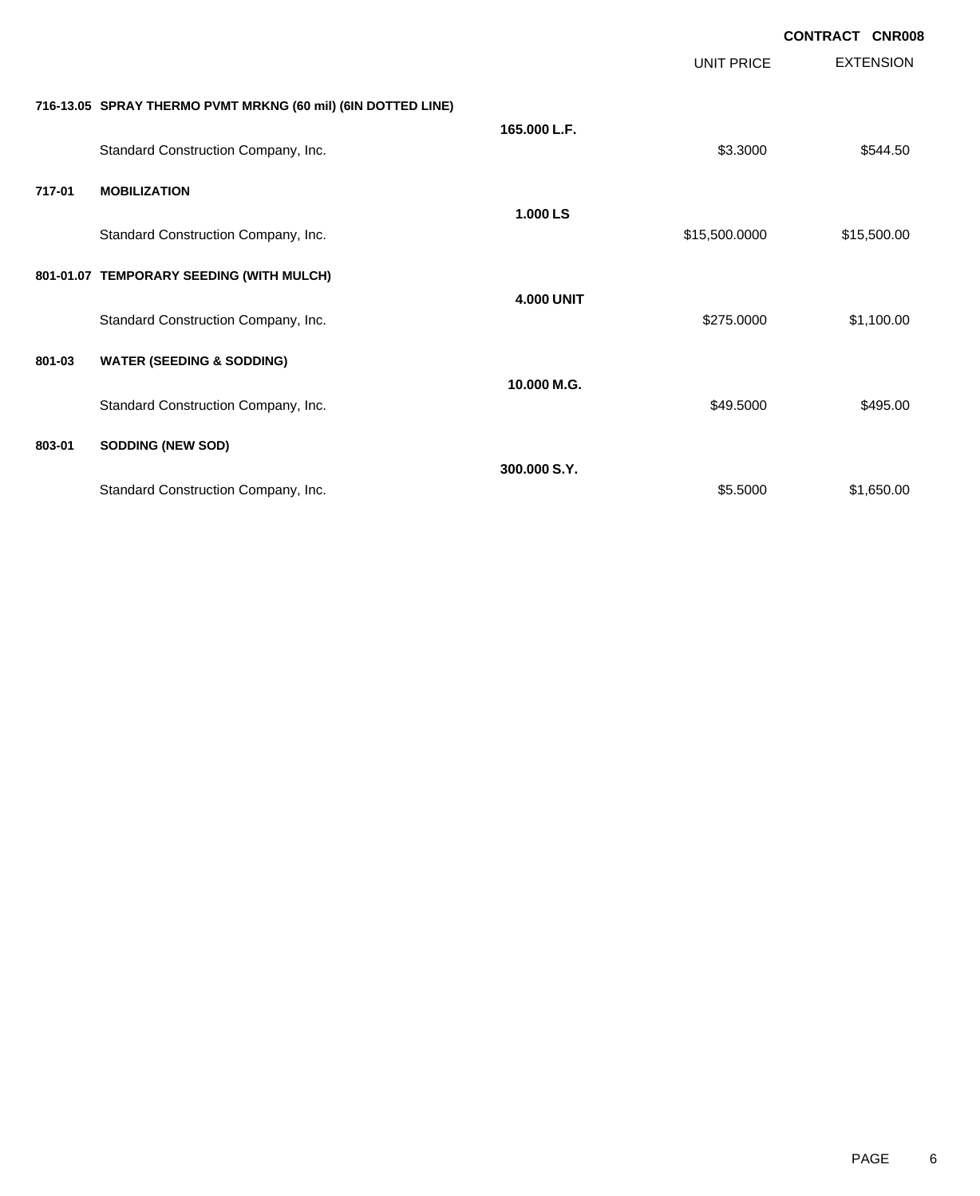|        |                                                              |                   |                   | <b>CONTRACT CNR008</b> |
|--------|--------------------------------------------------------------|-------------------|-------------------|------------------------|
|        |                                                              |                   | <b>UNIT PRICE</b> | <b>EXTENSION</b>       |
|        | 716-13.05 SPRAY THERMO PVMT MRKNG (60 mil) (6IN DOTTED LINE) |                   |                   |                        |
|        | Standard Construction Company, Inc.                          | 165.000 L.F.      | \$3.3000          | \$544.50               |
| 717-01 | <b>MOBILIZATION</b>                                          |                   |                   |                        |
|        | Standard Construction Company, Inc.                          | 1.000 LS          | \$15,500.0000     | \$15,500.00            |
|        | 801-01.07 TEMPORARY SEEDING (WITH MULCH)                     |                   |                   |                        |
|        | Standard Construction Company, Inc.                          | <b>4.000 UNIT</b> | \$275.0000        | \$1,100.00             |
| 801-03 | <b>WATER (SEEDING &amp; SODDING)</b>                         |                   |                   |                        |
|        | Standard Construction Company, Inc.                          | 10.000 M.G.       | \$49.5000         | \$495.00               |
| 803-01 | <b>SODDING (NEW SOD)</b>                                     |                   |                   |                        |
|        | Standard Construction Company, Inc.                          | 300,000 S.Y.      | \$5.5000          | \$1,650.00             |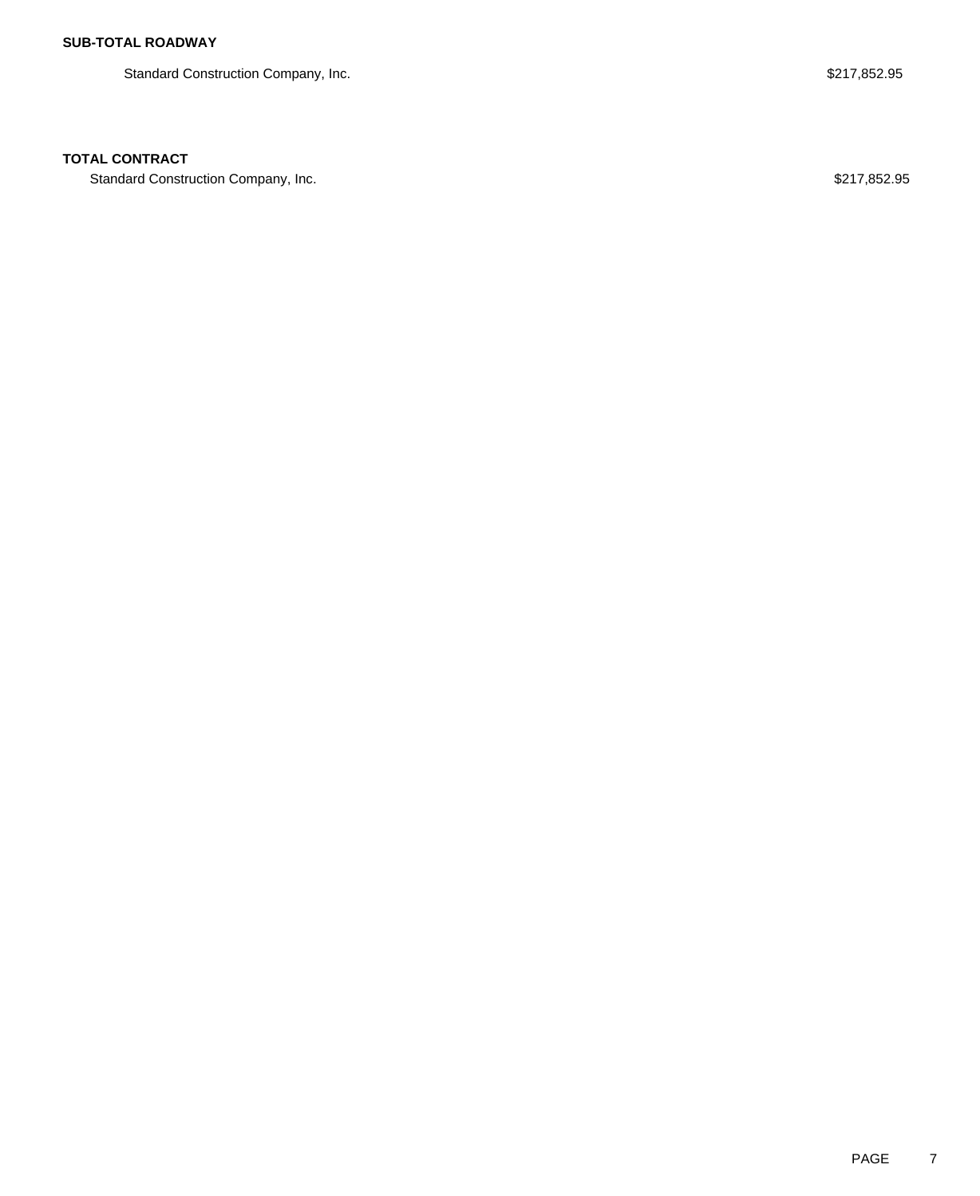Standard Construction Company, Inc. 6. The Standard Construction Company, Inc. 6. The Standard Construction Company, Inc.

### **TOTAL CONTRACT**

Standard Construction Company, Inc. 6. The Standard Construction Company, Inc. 6. The Standard Construction Company, Inc.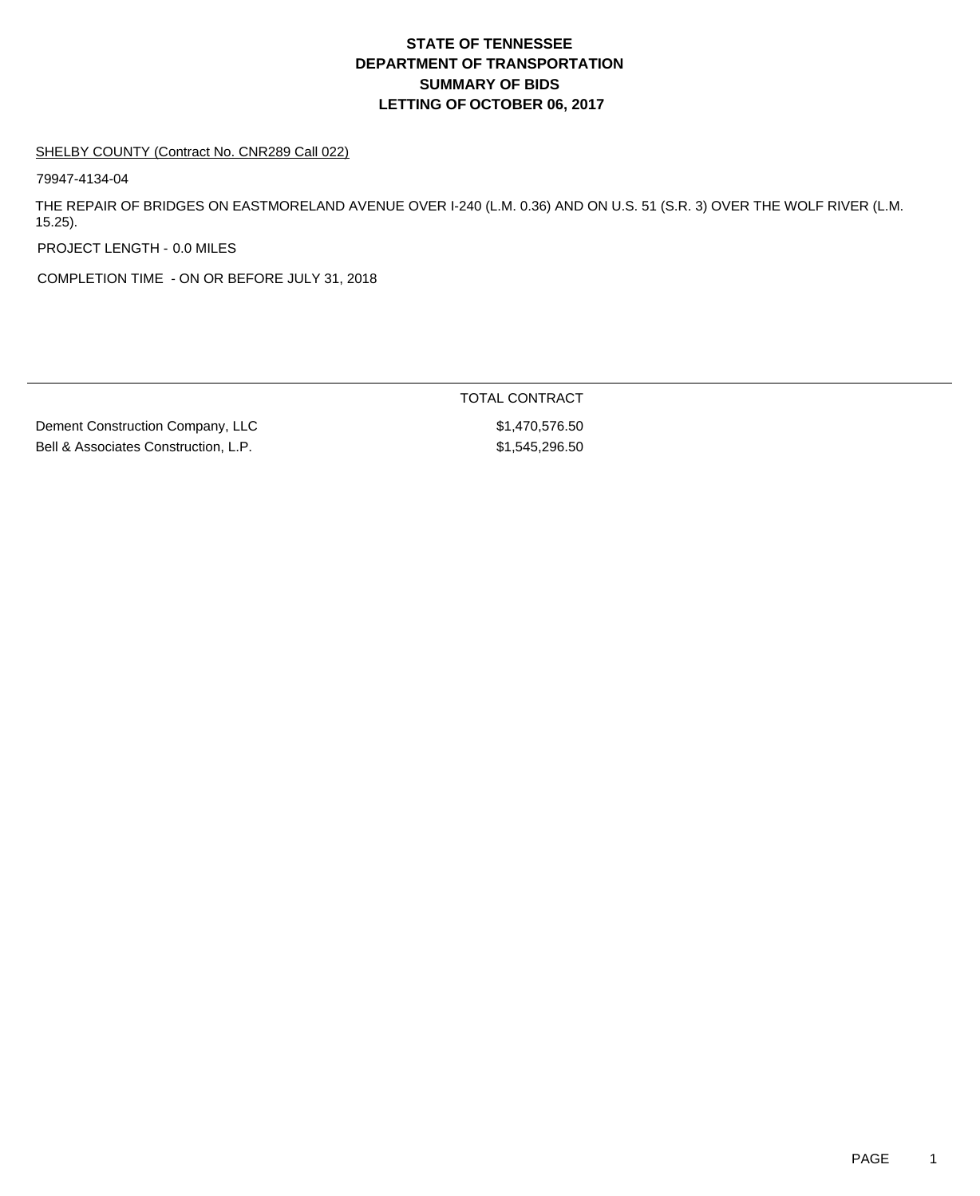# **DEPARTMENT OF TRANSPORTATION SUMMARY OF BIDS LETTING OF OCTOBER 06, 2017 STATE OF TENNESSEE**

#### SHELBY COUNTY (Contract No. CNR289 Call 022)

79947-4134-04

THE REPAIR OF BRIDGES ON EASTMORELAND AVENUE OVER I-240 (L.M. 0.36) AND ON U.S. 51 (S.R. 3) OVER THE WOLF RIVER (L.M. 15.25).

PROJECT LENGTH - 0.0 MILES

COMPLETION TIME - ON OR BEFORE JULY 31, 2018

Dement Construction Company, LLC \$1,470,576.50 Bell & Associates Construction, L.P.  $$1,545,296.50$ 

TOTAL CONTRACT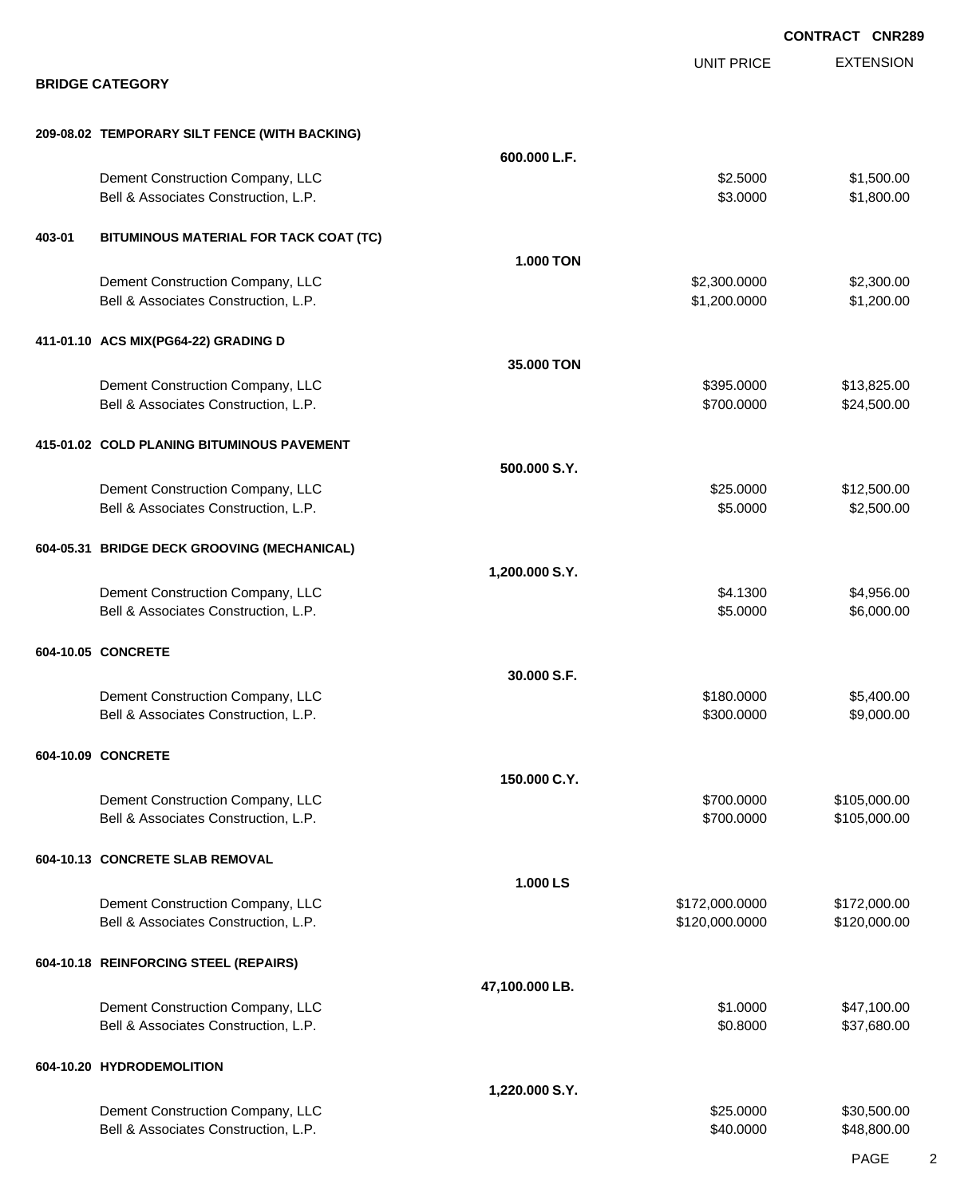|        |                                                                          |                |                              | <b>CONTRACT CNR289</b>       |
|--------|--------------------------------------------------------------------------|----------------|------------------------------|------------------------------|
|        | <b>BRIDGE CATEGORY</b>                                                   |                | <b>UNIT PRICE</b>            | <b>EXTENSION</b>             |
|        |                                                                          |                |                              |                              |
|        | 209-08.02 TEMPORARY SILT FENCE (WITH BACKING)                            |                |                              |                              |
|        |                                                                          | 600.000 L.F.   |                              |                              |
|        | Dement Construction Company, LLC<br>Bell & Associates Construction, L.P. |                | \$2.5000<br>\$3.0000         | \$1,500.00<br>\$1,800.00     |
| 403-01 | BITUMINOUS MATERIAL FOR TACK COAT (TC)                                   |                |                              |                              |
|        |                                                                          | 1.000 TON      |                              |                              |
|        | Dement Construction Company, LLC<br>Bell & Associates Construction, L.P. |                | \$2,300.0000<br>\$1,200.0000 | \$2,300.00<br>\$1,200.00     |
|        | 411-01.10 ACS MIX(PG64-22) GRADING D                                     |                |                              |                              |
|        |                                                                          | 35.000 TON     |                              |                              |
|        | Dement Construction Company, LLC                                         |                | \$395.0000                   | \$13,825.00                  |
|        | Bell & Associates Construction, L.P.                                     |                | \$700.0000                   | \$24,500.00                  |
|        | 415-01.02 COLD PLANING BITUMINOUS PAVEMENT                               |                |                              |                              |
|        |                                                                          | 500.000 S.Y.   |                              |                              |
|        | Dement Construction Company, LLC<br>Bell & Associates Construction, L.P. |                | \$25.0000<br>\$5.0000        | \$12,500.00<br>\$2,500.00    |
|        |                                                                          |                |                              |                              |
|        | 604-05.31 BRIDGE DECK GROOVING (MECHANICAL)                              |                |                              |                              |
|        |                                                                          | 1,200.000 S.Y. | \$4.1300                     | \$4,956.00                   |
|        | Dement Construction Company, LLC<br>Bell & Associates Construction, L.P. |                | \$5.0000                     | \$6,000.00                   |
|        | 604-10.05 CONCRETE                                                       |                |                              |                              |
|        |                                                                          | 30.000 S.F.    |                              |                              |
|        | Dement Construction Company, LLC                                         |                | \$180.0000                   | \$5,400.00                   |
|        | Bell & Associates Construction, L.P.                                     |                | \$300.0000                   | \$9,000.00                   |
|        | 604-10.09 CONCRETE                                                       |                |                              |                              |
|        |                                                                          | 150.000 C.Y.   |                              |                              |
|        | Dement Construction Company, LLC<br>Bell & Associates Construction, L.P. |                | \$700.0000<br>\$700.0000     | \$105,000.00<br>\$105,000.00 |
|        | 604-10.13 CONCRETE SLAB REMOVAL                                          |                |                              |                              |
|        |                                                                          | 1.000 LS       |                              |                              |
|        | Dement Construction Company, LLC                                         |                | \$172,000.0000               | \$172,000.00                 |
|        | Bell & Associates Construction, L.P.                                     |                | \$120,000.0000               | \$120,000.00                 |
|        | 604-10.18 REINFORCING STEEL (REPAIRS)                                    |                |                              |                              |
|        |                                                                          | 47,100.000 LB. |                              |                              |
|        | Dement Construction Company, LLC<br>Bell & Associates Construction, L.P. |                | \$1.0000<br>\$0.8000         | \$47,100.00<br>\$37,680.00   |
|        | 604-10.20 HYDRODEMOLITION                                                |                |                              |                              |
|        |                                                                          | 1,220.000 S.Y. |                              |                              |
|        | Dement Construction Company, LLC                                         |                | \$25.0000                    | \$30,500.00                  |
|        | Bell & Associates Construction, L.P.                                     |                | \$40.0000                    | \$48,800.00                  |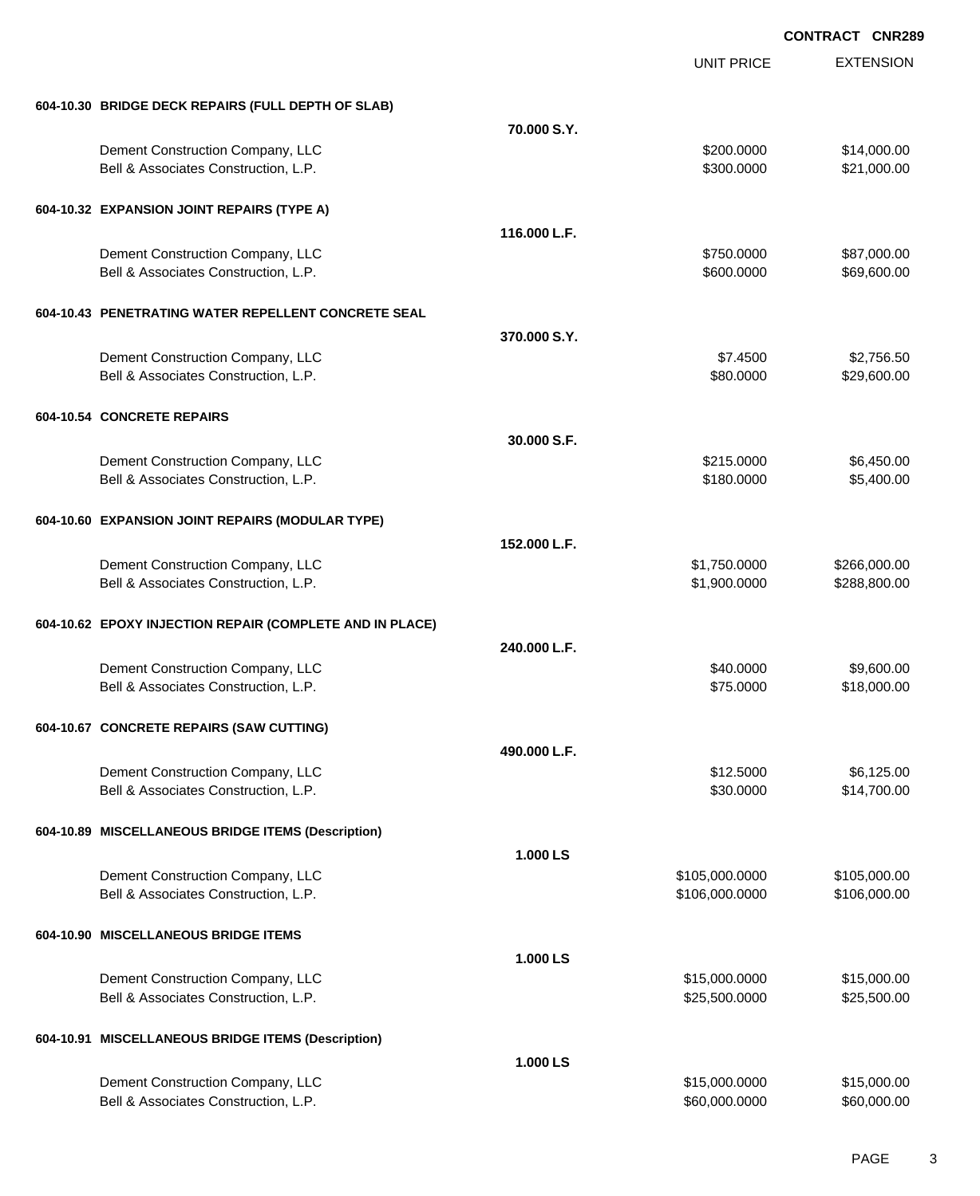|                                                          |              | <b>UNIT PRICE</b> | <b>EXTENSION</b> |
|----------------------------------------------------------|--------------|-------------------|------------------|
| 604-10.30 BRIDGE DECK REPAIRS (FULL DEPTH OF SLAB)       |              |                   |                  |
|                                                          | 70,000 S.Y.  |                   |                  |
| Dement Construction Company, LLC                         |              | \$200.0000        | \$14,000.00      |
| Bell & Associates Construction, L.P.                     |              | \$300.0000        | \$21,000.00      |
| 604-10.32 EXPANSION JOINT REPAIRS (TYPE A)               |              |                   |                  |
|                                                          | 116.000 L.F. |                   |                  |
| Dement Construction Company, LLC                         |              | \$750.0000        | \$87,000.00      |
| Bell & Associates Construction, L.P.                     |              | \$600.0000        | \$69,600.00      |
| 604-10.43 PENETRATING WATER REPELLENT CONCRETE SEAL      |              |                   |                  |
|                                                          | 370,000 S.Y. |                   |                  |
| Dement Construction Company, LLC                         |              | \$7.4500          | \$2,756.50       |
| Bell & Associates Construction, L.P.                     |              | \$80.0000         | \$29,600.00      |
| 604-10.54 CONCRETE REPAIRS                               |              |                   |                  |
|                                                          | 30.000 S.F.  |                   |                  |
| Dement Construction Company, LLC                         |              | \$215.0000        | \$6,450.00       |
| Bell & Associates Construction, L.P.                     |              | \$180.0000        | \$5,400.00       |
| 604-10.60 EXPANSION JOINT REPAIRS (MODULAR TYPE)         |              |                   |                  |
|                                                          | 152.000 L.F. |                   |                  |
| Dement Construction Company, LLC                         |              | \$1,750.0000      | \$266,000.00     |
| Bell & Associates Construction, L.P.                     |              | \$1,900.0000      | \$288,800.00     |
| 604-10.62 EPOXY INJECTION REPAIR (COMPLETE AND IN PLACE) |              |                   |                  |
|                                                          | 240.000 L.F. |                   |                  |
| Dement Construction Company, LLC                         |              | \$40.0000         | \$9,600.00       |
| Bell & Associates Construction, L.P.                     |              | \$75.0000         | \$18,000.00      |
| 604-10.67 CONCRETE REPAIRS (SAW CUTTING)                 |              |                   |                  |
|                                                          | 490.000 L.F. |                   |                  |
| Dement Construction Company, LLC                         |              | \$12.5000         | \$6,125.00       |
| Bell & Associates Construction, L.P.                     |              | \$30.0000         | \$14,700.00      |
| 604-10.89 MISCELLANEOUS BRIDGE ITEMS (Description)       |              |                   |                  |
|                                                          | 1.000 LS     |                   |                  |
| Dement Construction Company, LLC                         |              | \$105,000.0000    | \$105,000.00     |
| Bell & Associates Construction, L.P.                     |              | \$106,000.0000    | \$106,000.00     |
| 604-10.90 MISCELLANEOUS BRIDGE ITEMS                     |              |                   |                  |
|                                                          | 1.000 LS     |                   |                  |
| Dement Construction Company, LLC                         |              | \$15,000.0000     | \$15,000.00      |
| Bell & Associates Construction, L.P.                     |              | \$25,500.0000     | \$25,500.00      |
| 604-10.91 MISCELLANEOUS BRIDGE ITEMS (Description)       |              |                   |                  |
|                                                          | 1.000 LS     |                   |                  |
| Dement Construction Company, LLC                         |              | \$15,000.0000     | \$15,000.00      |
| Bell & Associates Construction, L.P.                     |              | \$60,000.0000     | \$60,000.00      |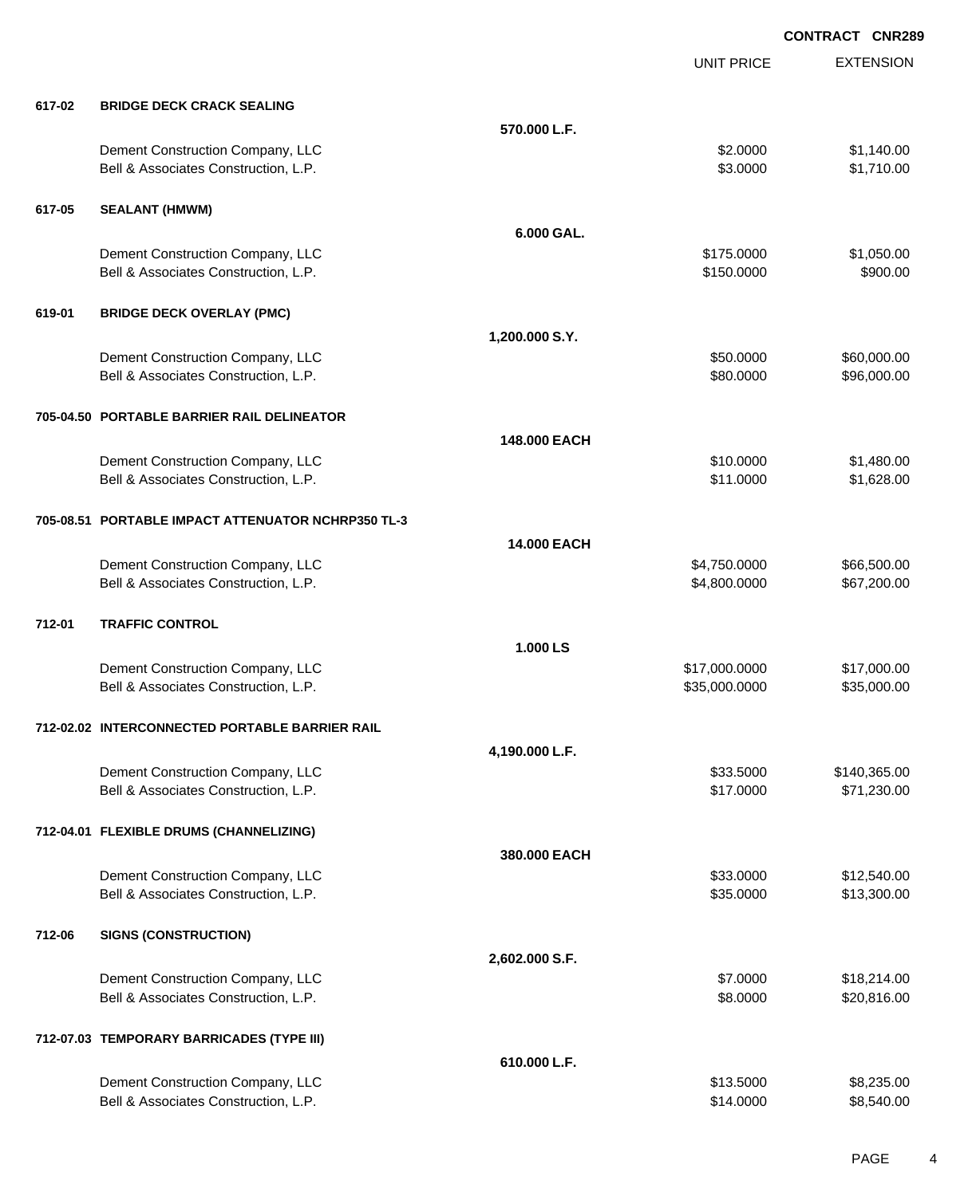EXTENSION **CONTRACT CNR289** UNIT PRICE **617-02 BRIDGE DECK CRACK SEALING 570.000 L.F.** Dement Construction Company, LLC 6 and the construction Company, LLC 6 and the construction Company, LLC 6 and the construction of  $\sim$  51,140.00 Bell & Associates Construction, L.P.  $$3.0000$  \$1,710.00 **617-05 SEALANT (HMWM) 6.000 GAL.** Dement Construction Company, LLC 60000 \$1,050.00 Bell & Associates Construction, L.P. 6900.00 \$900.00 \$900.00 **619-01 BRIDGE DECK OVERLAY (PMC) 1,200.000 S.Y.** Dement Construction Company, LLC 6000000 \$60,000.00 Bell & Associates Construction, L.P.  $$80.0000$  \$96,000.00 **705-04.50 PORTABLE BARRIER RAIL DELINEATOR 148.000 EACH** Dement Construction Company, LLC 6 and the state of the state of the state of the state of the state of the state of the state of the state of the state of the state of the state of the state of the state of the state of t Bell & Associates Construction, L.P.  $$11.0000$  \$1,628.00 **705-08.51 PORTABLE IMPACT ATTENUATOR NCHRP350 TL-3 14.000 EACH** Dement Construction Company, LLC 666,500.00 \$4,750.0000 \$66,500.00 Bell & Associates Construction, L.P. \$4,800.000 \$4,800.0000 \$67,200.00 **712-01 TRAFFIC CONTROL 1.000 LS** Dement Construction Company, LLC 6. 1999 12:000.000 \$17,000.000 \$17,000.000 \$17,000.000 \$17,000.00 Bell & Associates Construction, L.P. \$35,000.000 \$35,000.000 \$35,000.000 \$35,000.000 **712-02.02 INTERCONNECTED PORTABLE BARRIER RAIL 4,190.000 L.F.** Dement Construction Company, LLC 6 and the state of the state of the state  $$33.5000$  \$140,365.00 Bell & Associates Construction, L.P.  $$17.0000$   $$71,230.00$ **712-04.01 FLEXIBLE DRUMS (CHANNELIZING) 380.000 EACH** Dement Construction Company, LLC 6 and the state of the state of the state  $$33.0000$  \$12,540.00 Bell & Associates Construction, L.P.  $$35.0000$  \$13,300.00 **712-06 SIGNS (CONSTRUCTION) 2,602.000 S.F.** Dement Construction Company, LLC **\$7.0000 \$18,214.00** Bell & Associates Construction, L.P.  $$8.0000$  \$20,816.00 **712-07.03 TEMPORARY BARRICADES (TYPE III) 610.000 L.F.** Dement Construction Company, LLC 6. 1999 10:00 \$8,235.00 \$8,235.00 Bell & Associates Construction, L.P.  $$314.0000$   $$8,540.00$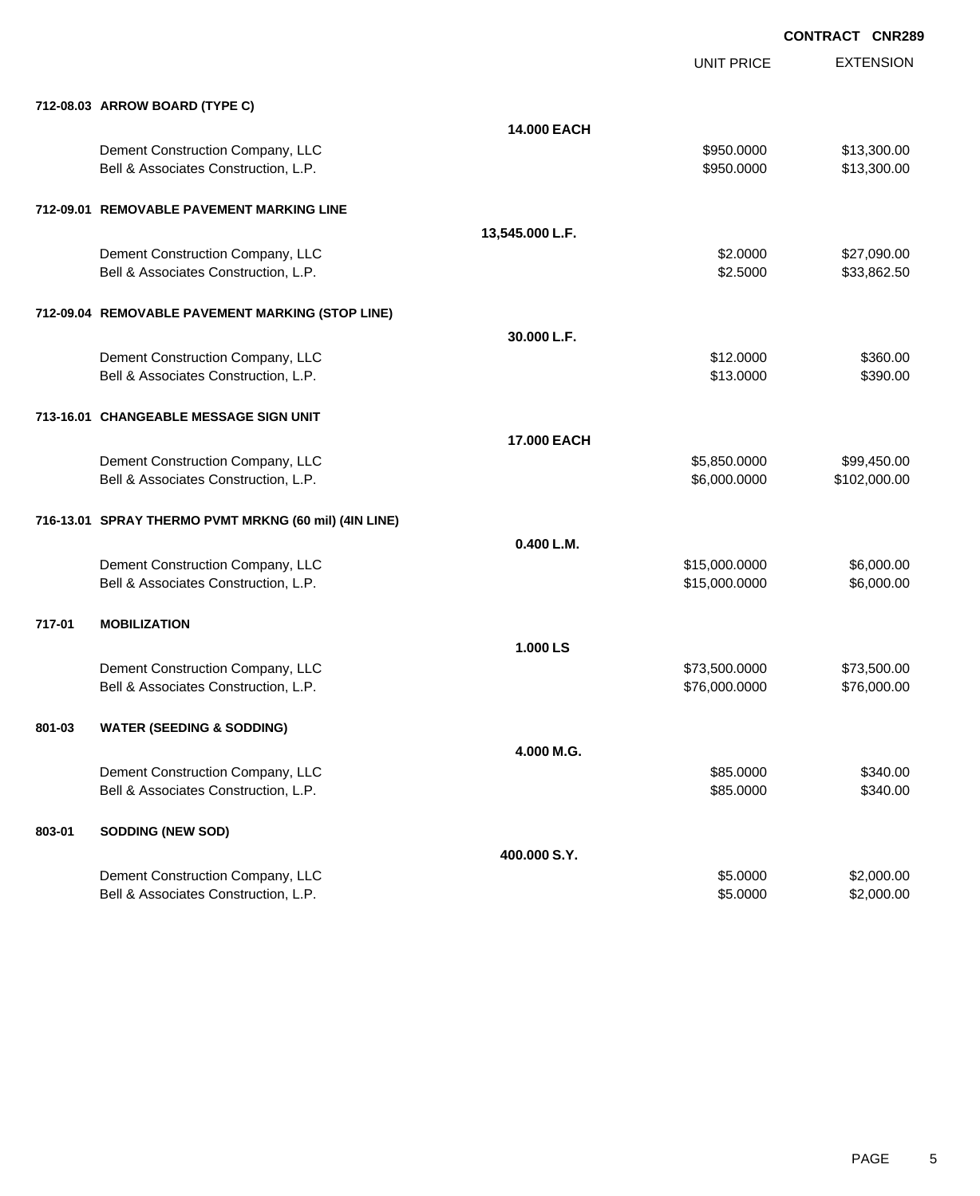|        |                                                       |                 | <b>UNIT PRICE</b> | <b>EXTENSION</b> |
|--------|-------------------------------------------------------|-----------------|-------------------|------------------|
|        | 712-08.03 ARROW BOARD (TYPE C)                        |                 |                   |                  |
|        |                                                       | 14.000 EACH     |                   |                  |
|        | Dement Construction Company, LLC                      |                 | \$950.0000        | \$13,300.00      |
|        | Bell & Associates Construction, L.P.                  |                 | \$950.0000        | \$13,300.00      |
|        | 712-09.01 REMOVABLE PAVEMENT MARKING LINE             |                 |                   |                  |
|        |                                                       | 13,545.000 L.F. |                   |                  |
|        | Dement Construction Company, LLC                      |                 | \$2.0000          | \$27,090.00      |
|        | Bell & Associates Construction, L.P.                  |                 | \$2.5000          | \$33,862.50      |
|        | 712-09.04 REMOVABLE PAVEMENT MARKING (STOP LINE)      |                 |                   |                  |
|        |                                                       | 30.000 L.F.     |                   |                  |
|        | Dement Construction Company, LLC                      |                 | \$12.0000         | \$360.00         |
|        | Bell & Associates Construction, L.P.                  |                 | \$13.0000         | \$390.00         |
|        | 713-16.01 CHANGEABLE MESSAGE SIGN UNIT                |                 |                   |                  |
|        |                                                       | 17.000 EACH     |                   |                  |
|        | Dement Construction Company, LLC                      |                 | \$5,850.0000      | \$99,450.00      |
|        | Bell & Associates Construction, L.P.                  |                 | \$6,000.0000      | \$102,000.00     |
|        | 716-13.01 SPRAY THERMO PVMT MRKNG (60 mil) (4IN LINE) |                 |                   |                  |
|        |                                                       | 0.400 L.M.      |                   |                  |
|        | Dement Construction Company, LLC                      |                 | \$15,000.0000     | \$6,000.00       |
|        | Bell & Associates Construction, L.P.                  |                 | \$15,000.0000     | \$6,000.00       |
| 717-01 | <b>MOBILIZATION</b>                                   |                 |                   |                  |
|        |                                                       | 1.000 LS        |                   |                  |
|        | Dement Construction Company, LLC                      |                 | \$73,500.0000     | \$73,500.00      |
|        | Bell & Associates Construction, L.P.                  |                 | \$76,000.0000     | \$76,000.00      |
| 801-03 | <b>WATER (SEEDING &amp; SODDING)</b>                  |                 |                   |                  |
|        |                                                       | 4.000 M.G.      |                   |                  |
|        | Dement Construction Company, LLC                      |                 | \$85.0000         | \$340.00         |
|        | Bell & Associates Construction, L.P.                  |                 | \$85.0000         | \$340.00         |
| 803-01 | <b>SODDING (NEW SOD)</b>                              |                 |                   |                  |
|        |                                                       | 400.000 S.Y.    |                   |                  |
|        | Dement Construction Company, LLC                      |                 | \$5.0000          | \$2,000.00       |
|        | Bell & Associates Construction, L.P.                  |                 | \$5.0000          | \$2,000.00       |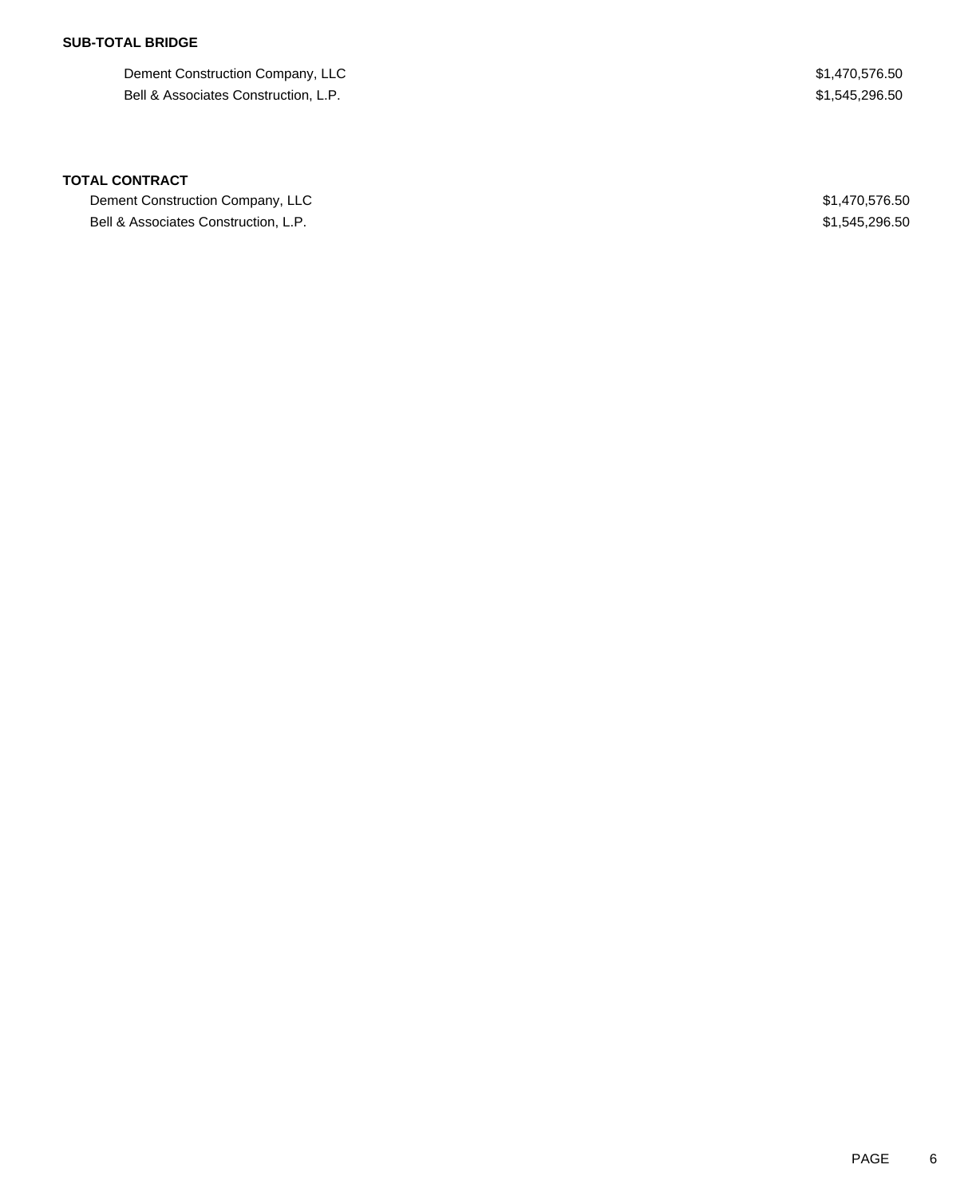### **SUB-TOTAL BRIDGE**

Dement Construction Company, LLC 61,470,576.50 Bell & Associates Construction, L.P.  $$1,545,296.50$ 

#### **TOTAL CONTRACT**

Dement Construction Company, LLC \$1,470,576.50 Bell & Associates Construction, L.P.  $$1,545,296.50$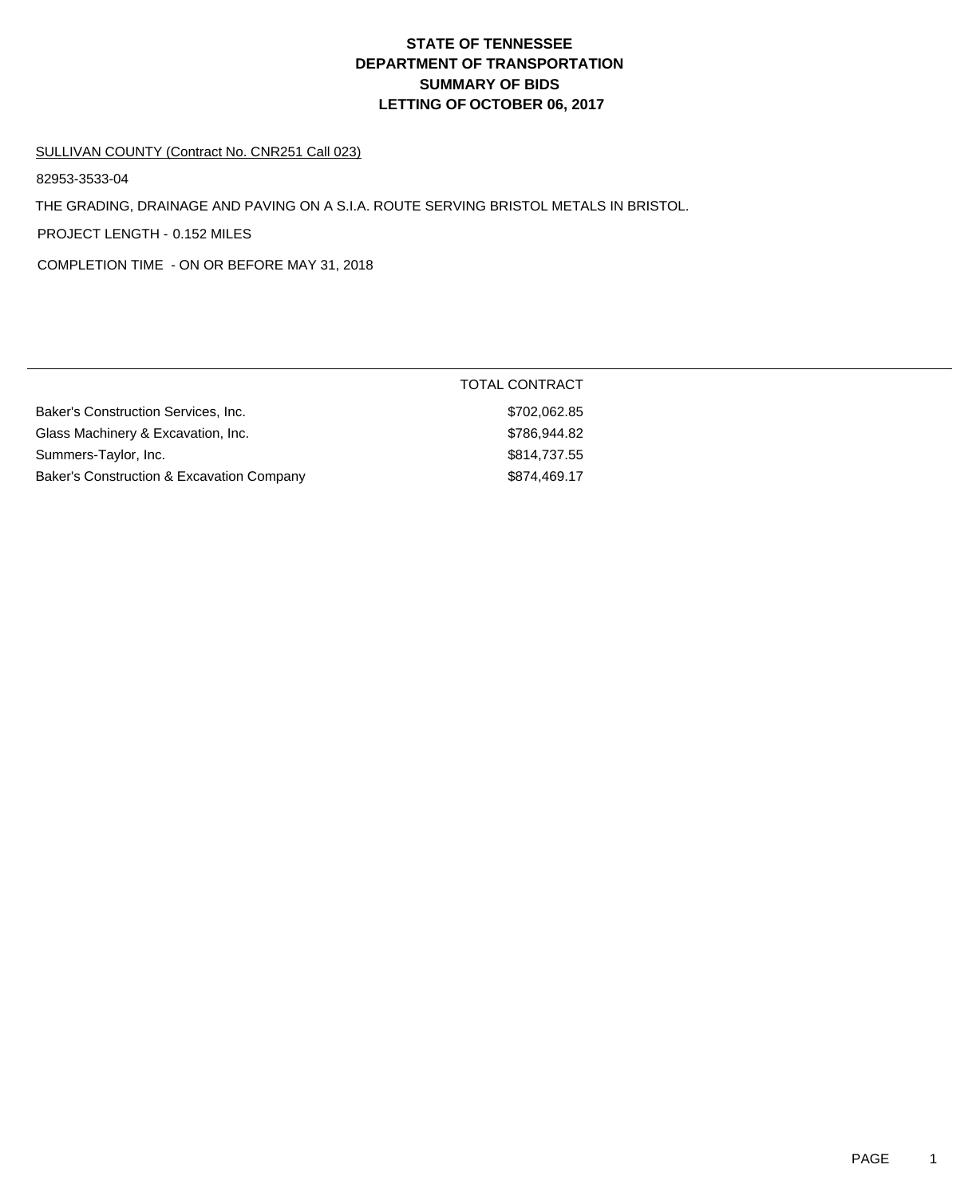# **DEPARTMENT OF TRANSPORTATION SUMMARY OF BIDS LETTING OF OCTOBER 06, 2017 STATE OF TENNESSEE**

#### SULLIVAN COUNTY (Contract No. CNR251 Call 023)

82953-3533-04

THE GRADING, DRAINAGE AND PAVING ON A S.I.A. ROUTE SERVING BRISTOL METALS IN BRISTOL.

PROJECT LENGTH - 0.152 MILES

COMPLETION TIME - ON OR BEFORE MAY 31, 2018

|                                           | <b>TOTAL CONTRACT</b> |
|-------------------------------------------|-----------------------|
| Baker's Construction Services, Inc.       | \$702,062.85          |
| Glass Machinery & Excavation, Inc.        | \$786,944.82          |
| Summers-Taylor, Inc.                      | \$814,737.55          |
| Baker's Construction & Excavation Company | \$874,469.17          |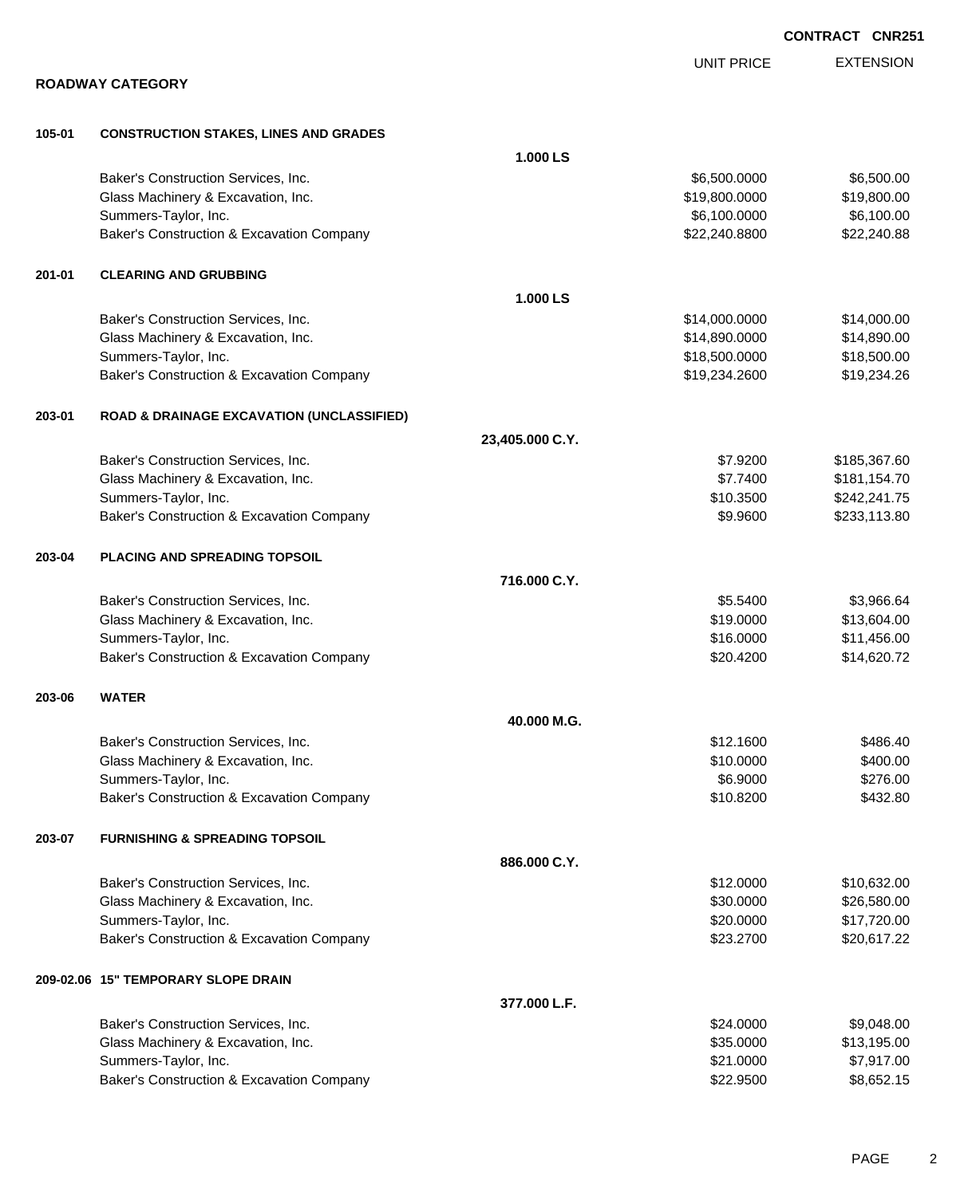|        |                                                      |                 | <b>UNIT PRICE</b> | <b>EXTENSION</b> |
|--------|------------------------------------------------------|-----------------|-------------------|------------------|
|        | <b>ROADWAY CATEGORY</b>                              |                 |                   |                  |
| 105-01 | <b>CONSTRUCTION STAKES, LINES AND GRADES</b>         |                 |                   |                  |
|        |                                                      | 1.000 LS        |                   |                  |
|        | Baker's Construction Services, Inc.                  |                 | \$6,500.0000      | \$6,500.00       |
|        | Glass Machinery & Excavation, Inc.                   |                 | \$19,800.0000     | \$19,800.00      |
|        | Summers-Taylor, Inc.                                 |                 | \$6,100.0000      | \$6,100.00       |
|        | Baker's Construction & Excavation Company            |                 | \$22,240.8800     | \$22,240.88      |
| 201-01 | <b>CLEARING AND GRUBBING</b>                         |                 |                   |                  |
|        |                                                      | 1.000 LS        |                   |                  |
|        | Baker's Construction Services, Inc.                  |                 | \$14,000.0000     | \$14,000.00      |
|        | Glass Machinery & Excavation, Inc.                   |                 | \$14,890.0000     | \$14,890.00      |
|        | Summers-Taylor, Inc.                                 |                 | \$18,500.0000     | \$18,500.00      |
|        | Baker's Construction & Excavation Company            |                 | \$19,234.2600     | \$19,234.26      |
| 203-01 | <b>ROAD &amp; DRAINAGE EXCAVATION (UNCLASSIFIED)</b> |                 |                   |                  |
|        |                                                      | 23,405.000 C.Y. |                   |                  |
|        | Baker's Construction Services, Inc.                  |                 | \$7.9200          | \$185,367.60     |
|        | Glass Machinery & Excavation, Inc.                   |                 | \$7.7400          | \$181,154.70     |
|        | Summers-Taylor, Inc.                                 |                 | \$10.3500         | \$242,241.75     |
|        | Baker's Construction & Excavation Company            |                 | \$9.9600          | \$233,113.80     |
| 203-04 | <b>PLACING AND SPREADING TOPSOIL</b>                 |                 |                   |                  |
|        |                                                      | 716,000 C.Y.    |                   |                  |
|        | Baker's Construction Services, Inc.                  |                 | \$5.5400          | \$3,966.64       |
|        | Glass Machinery & Excavation, Inc.                   |                 | \$19.0000         | \$13,604.00      |
|        | Summers-Taylor, Inc.                                 |                 | \$16.0000         | \$11,456.00      |
|        | Baker's Construction & Excavation Company            |                 | \$20.4200         | \$14,620.72      |
| 203-06 | <b>WATER</b>                                         |                 |                   |                  |
|        |                                                      | 40.000 M.G      |                   |                  |
|        | Baker's Construction Services, Inc.                  |                 | \$12.1600         | \$486.40         |
|        | Glass Machinery & Excavation, Inc.                   |                 | \$10.0000         | \$400.00         |
|        | Summers-Taylor, Inc.                                 |                 | \$6.9000          | \$276.00         |
|        | Baker's Construction & Excavation Company            |                 | \$10.8200         | \$432.80         |
| 203-07 | <b>FURNISHING &amp; SPREADING TOPSOIL</b>            |                 |                   |                  |
|        |                                                      | 886.000 C.Y.    |                   |                  |
|        | Baker's Construction Services, Inc.                  |                 | \$12.0000         | \$10,632.00      |
|        | Glass Machinery & Excavation, Inc.                   |                 | \$30.0000         | \$26,580.00      |
|        | Summers-Taylor, Inc.                                 |                 | \$20.0000         | \$17,720.00      |
|        | Baker's Construction & Excavation Company            |                 | \$23.2700         | \$20,617.22      |
|        | 209-02.06 15" TEMPORARY SLOPE DRAIN                  |                 |                   |                  |
|        |                                                      | 377.000 L.F.    |                   |                  |
|        | Baker's Construction Services, Inc.                  |                 | \$24.0000         | \$9,048.00       |
|        | Glass Machinery & Excavation, Inc.                   |                 | \$35.0000         | \$13,195.00      |
|        | Summers-Taylor, Inc.                                 |                 | \$21.0000         | \$7,917.00       |

Baker's Construction & Excavation Company **\$22.9500** \$8,652.15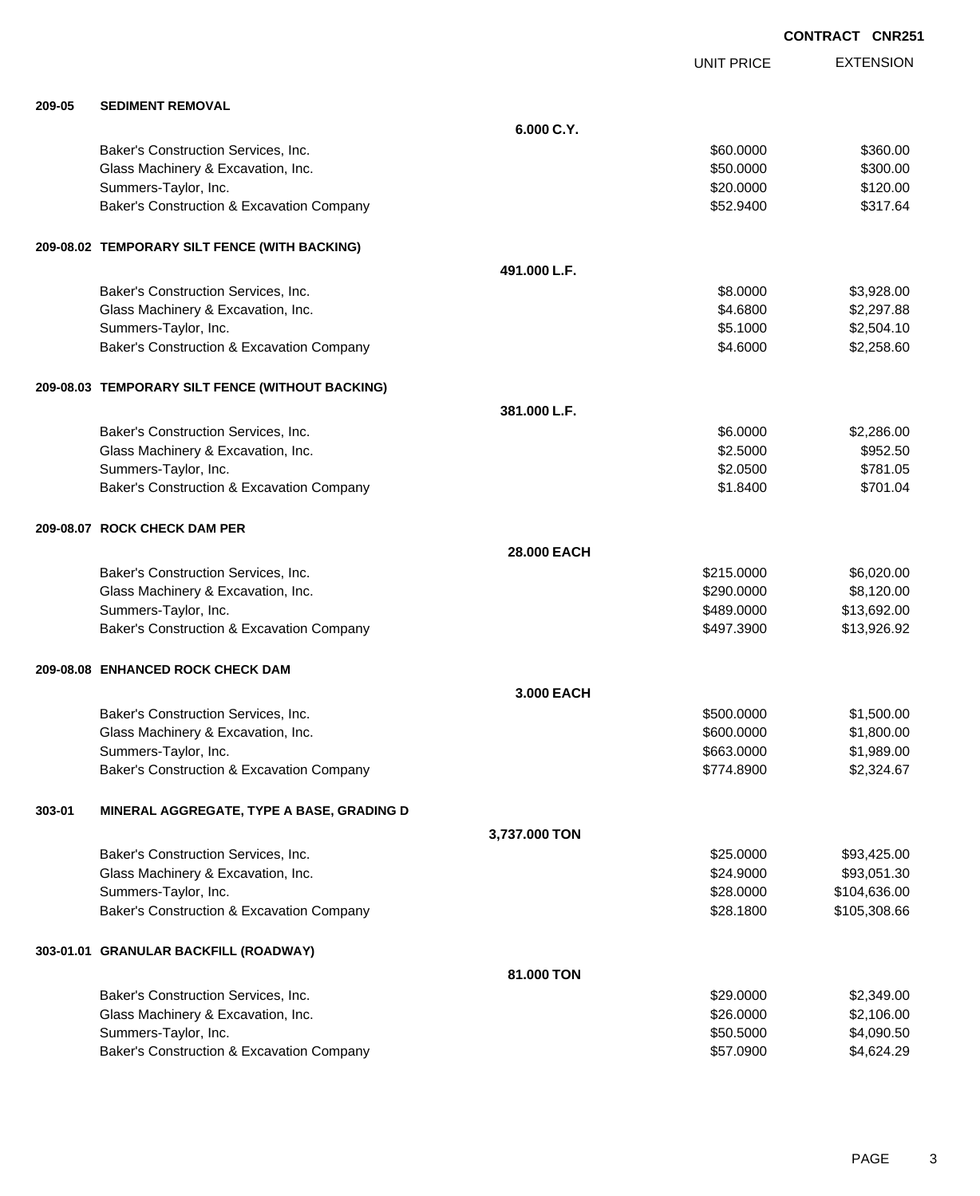|        |                                                  |               | <b>UNIT PRICE</b> | <b>EXTENSION</b> |
|--------|--------------------------------------------------|---------------|-------------------|------------------|
|        |                                                  |               |                   |                  |
| 209-05 | <b>SEDIMENT REMOVAL</b>                          | 6.000 C.Y.    |                   |                  |
|        |                                                  |               |                   |                  |
|        | Baker's Construction Services, Inc.              |               | \$60.0000         | \$360.00         |
|        | Glass Machinery & Excavation, Inc.               |               | \$50.0000         | \$300.00         |
|        | Summers-Taylor, Inc.                             |               | \$20.0000         | \$120.00         |
|        | Baker's Construction & Excavation Company        |               | \$52.9400         | \$317.64         |
|        | 209-08.02 TEMPORARY SILT FENCE (WITH BACKING)    |               |                   |                  |
|        |                                                  | 491.000 L.F.  |                   |                  |
|        | Baker's Construction Services, Inc.              |               | \$8.0000          | \$3,928.00       |
|        | Glass Machinery & Excavation, Inc.               |               | \$4.6800          | \$2,297.88       |
|        | Summers-Taylor, Inc.                             |               | \$5.1000          | \$2,504.10       |
|        |                                                  |               | \$4.6000          | \$2,258.60       |
|        | Baker's Construction & Excavation Company        |               |                   |                  |
|        | 209-08.03 TEMPORARY SILT FENCE (WITHOUT BACKING) |               |                   |                  |
|        |                                                  | 381.000 L.F.  |                   |                  |
|        | Baker's Construction Services, Inc.              |               | \$6.0000          | \$2,286.00       |
|        | Glass Machinery & Excavation, Inc.               |               | \$2.5000          | \$952.50         |
|        | Summers-Taylor, Inc.                             |               | \$2.0500          | \$781.05         |
|        |                                                  |               |                   |                  |
|        | Baker's Construction & Excavation Company        |               | \$1.8400          | \$701.04         |
|        | 209-08.07 ROCK CHECK DAM PER                     |               |                   |                  |
|        |                                                  | 28.000 EACH   |                   |                  |
|        | Baker's Construction Services, Inc.              |               | \$215.0000        | \$6,020.00       |
|        | Glass Machinery & Excavation, Inc.               |               | \$290.0000        | \$8,120.00       |
|        | Summers-Taylor, Inc.                             |               | \$489.0000        | \$13,692.00      |
|        | Baker's Construction & Excavation Company        |               | \$497.3900        | \$13,926.92      |
|        | 209-08.08 ENHANCED ROCK CHECK DAM                |               |                   |                  |
|        |                                                  | 3,000 EACH    |                   |                  |
|        |                                                  |               |                   |                  |
|        | Baker's Construction Services, Inc.              |               | \$500.0000        | \$1,500.00       |
|        | Glass Machinery & Excavation, Inc.               |               | \$600.0000        | \$1,800.00       |
|        | Summers-Taylor, Inc.                             |               | \$663.0000        | \$1,989.00       |
|        | Baker's Construction & Excavation Company        |               | \$774.8900        | \$2,324.67       |
| 303-01 | MINERAL AGGREGATE, TYPE A BASE, GRADING D        |               |                   |                  |
|        |                                                  | 3,737.000 TON |                   |                  |
|        | Baker's Construction Services, Inc.              |               | \$25.0000         | \$93,425.00      |
|        | Glass Machinery & Excavation, Inc.               |               | \$24.9000         | \$93,051.30      |
|        | Summers-Taylor, Inc.                             |               | \$28.0000         | \$104,636.00     |
|        | Baker's Construction & Excavation Company        |               | \$28.1800         | \$105,308.66     |
|        |                                                  |               |                   |                  |
|        | 303-01.01 GRANULAR BACKFILL (ROADWAY)            |               |                   |                  |
|        |                                                  | 81.000 TON    |                   |                  |
|        | Baker's Construction Services, Inc.              |               | \$29.0000         | \$2,349.00       |
|        | Glass Machinery & Excavation, Inc.               |               | \$26.0000         | \$2,106.00       |
|        | Summers-Taylor, Inc.                             |               | \$50.5000         | \$4,090.50       |
|        | Baker's Construction & Excavation Company        |               | \$57.0900         | \$4,624.29       |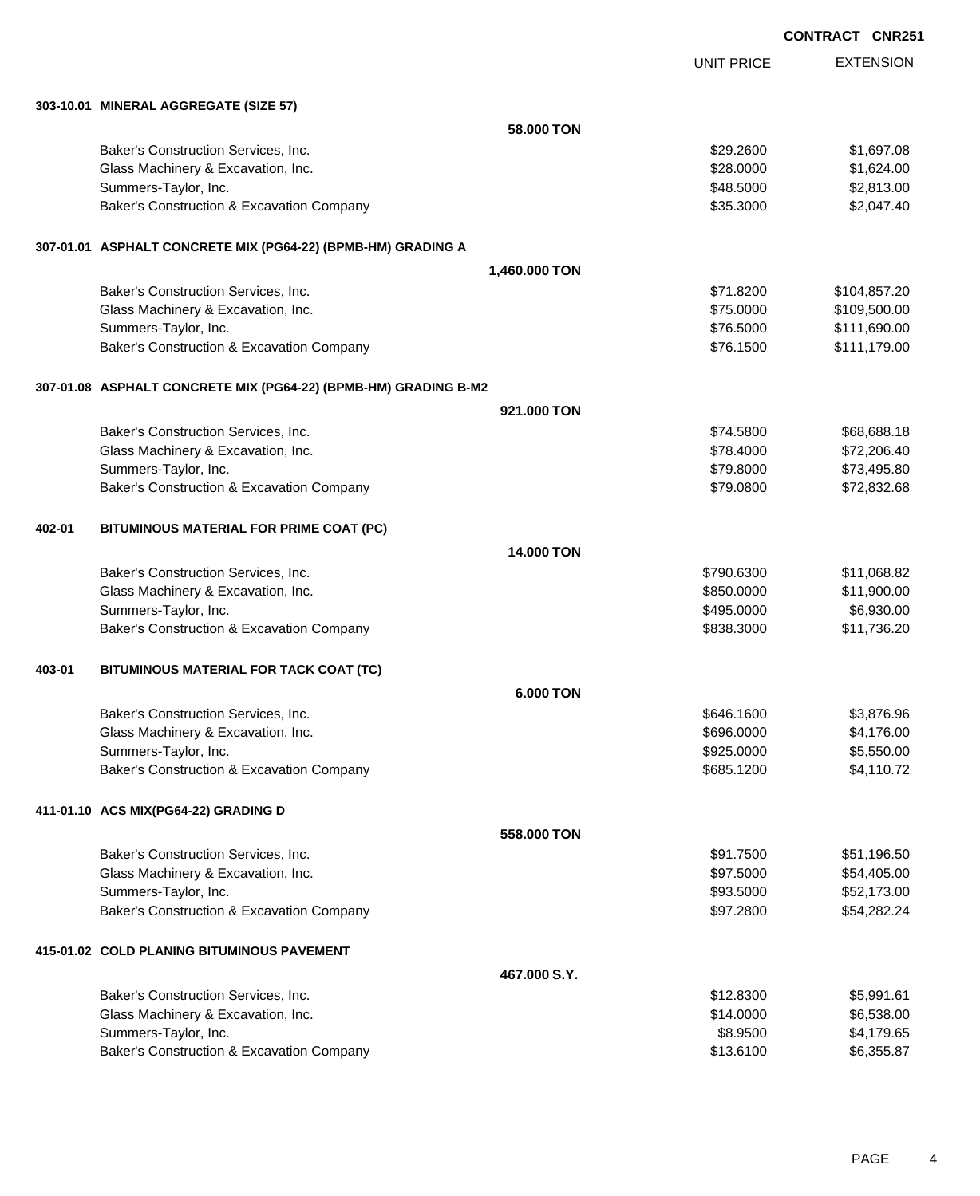|        |                                                                 |                   | <b>UNIT PRICE</b> | <b>EXTENSION</b> |
|--------|-----------------------------------------------------------------|-------------------|-------------------|------------------|
|        | 303-10.01 MINERAL AGGREGATE (SIZE 57)                           |                   |                   |                  |
|        |                                                                 | 58.000 TON        |                   |                  |
|        | Baker's Construction Services, Inc.                             |                   | \$29,2600         | \$1,697.08       |
|        | Glass Machinery & Excavation, Inc.                              |                   | \$28.0000         | \$1,624.00       |
|        | Summers-Taylor, Inc.                                            |                   | \$48.5000         | \$2,813.00       |
|        | Baker's Construction & Excavation Company                       |                   | \$35.3000         | \$2,047.40       |
|        | 307-01.01 ASPHALT CONCRETE MIX (PG64-22) (BPMB-HM) GRADING A    |                   |                   |                  |
|        |                                                                 | 1,460.000 TON     |                   |                  |
|        | Baker's Construction Services, Inc.                             |                   | \$71.8200         | \$104,857.20     |
|        | Glass Machinery & Excavation, Inc.                              |                   | \$75.0000         | \$109,500.00     |
|        | Summers-Taylor, Inc.                                            |                   | \$76.5000         | \$111,690.00     |
|        | Baker's Construction & Excavation Company                       |                   | \$76.1500         | \$111,179.00     |
|        | 307-01.08 ASPHALT CONCRETE MIX (PG64-22) (BPMB-HM) GRADING B-M2 |                   |                   |                  |
|        |                                                                 | 921.000 TON       |                   |                  |
|        | Baker's Construction Services, Inc.                             |                   | \$74.5800         | \$68,688.18      |
|        | Glass Machinery & Excavation, Inc.                              |                   | \$78.4000         | \$72,206.40      |
|        | Summers-Taylor, Inc.                                            |                   | \$79.8000         | \$73,495.80      |
|        | Baker's Construction & Excavation Company                       |                   | \$79.0800         | \$72,832.68      |
| 402-01 | BITUMINOUS MATERIAL FOR PRIME COAT (PC)                         |                   |                   |                  |
|        |                                                                 | <b>14.000 TON</b> |                   |                  |
|        | Baker's Construction Services, Inc.                             |                   | \$790.6300        | \$11,068.82      |
|        | Glass Machinery & Excavation, Inc.                              |                   | \$850.0000        | \$11,900.00      |
|        | Summers-Taylor, Inc.                                            |                   | \$495.0000        | \$6,930.00       |
|        | Baker's Construction & Excavation Company                       |                   | \$838.3000        | \$11,736.20      |
| 403-01 | BITUMINOUS MATERIAL FOR TACK COAT (TC)                          |                   |                   |                  |
|        |                                                                 | <b>6.000 TON</b>  |                   |                  |
|        | Baker's Construction Services, Inc.                             |                   | \$646.1600        | \$3,876.96       |
|        | Glass Machinery & Excavation, Inc.                              |                   | \$696.0000        | \$4,176.00       |
|        | Summers-Taylor, Inc.                                            |                   | \$925.0000        | \$5,550.00       |
|        | Baker's Construction & Excavation Company                       |                   | \$685.1200        | \$4,110.72       |
|        | 411-01.10 ACS MIX(PG64-22) GRADING D                            |                   |                   |                  |
|        |                                                                 | 558.000 TON       |                   |                  |
|        | Baker's Construction Services, Inc.                             |                   | \$91.7500         | \$51,196.50      |
|        | Glass Machinery & Excavation, Inc.                              |                   | \$97.5000         | \$54,405.00      |
|        | Summers-Taylor, Inc.                                            |                   | \$93.5000         | \$52,173.00      |
|        | Baker's Construction & Excavation Company                       |                   | \$97.2800         | \$54,282.24      |
|        | 415-01.02 COLD PLANING BITUMINOUS PAVEMENT                      |                   |                   |                  |
|        |                                                                 | 467.000 S.Y.      |                   |                  |
|        | Baker's Construction Services, Inc.                             |                   | \$12.8300         | \$5,991.61       |
|        | Glass Machinery & Excavation, Inc.                              |                   | \$14.0000         | \$6,538.00       |
|        | Summers-Taylor, Inc.                                            |                   | \$8.9500          | \$4,179.65       |
|        | Baker's Construction & Excavation Company                       |                   | \$13.6100         | \$6,355.87       |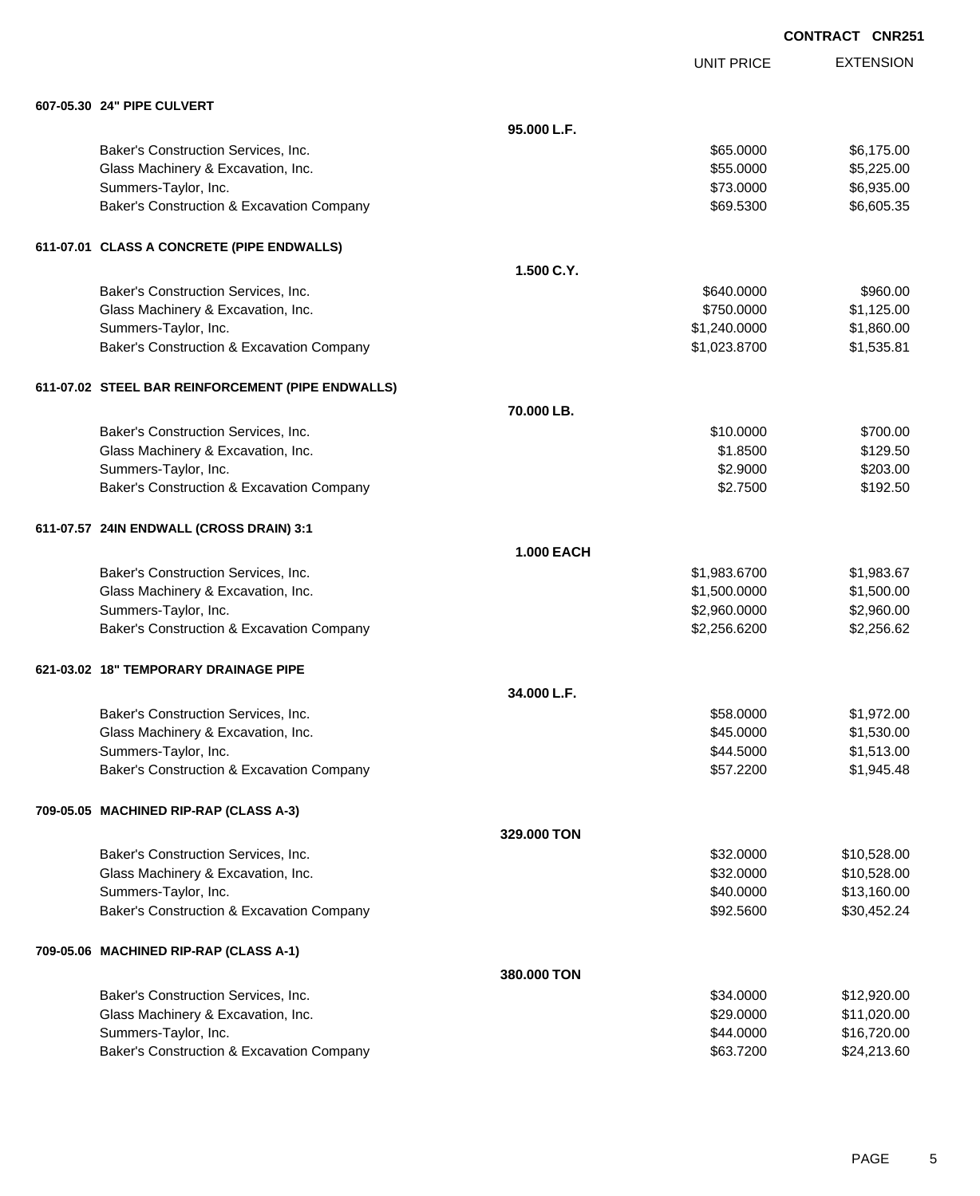|                                                   |             |                   | UUNIRAUI<br><b>UNNZJ</b> |
|---------------------------------------------------|-------------|-------------------|--------------------------|
|                                                   |             | <b>UNIT PRICE</b> | <b>EXTENSION</b>         |
| 607-05.30 24" PIPE CULVERT                        |             |                   |                          |
|                                                   | 95.000 L.F. |                   |                          |
| Baker's Construction Services, Inc.               |             | \$65.0000         | \$6,175.00               |
| Glass Machinery & Excavation, Inc.                |             | \$55.0000         | \$5,225.00               |
| Summers-Taylor, Inc.                              |             | \$73.0000         | \$6,935.00               |
| Baker's Construction & Excavation Company         |             | \$69.5300         | \$6,605.35               |
| 611-07.01 CLASS A CONCRETE (PIPE ENDWALLS)        |             |                   |                          |
|                                                   | 1.500 C.Y.  |                   |                          |
| Baker's Construction Services, Inc.               |             | \$640.0000        | \$960.00                 |
| Glass Machinery & Excavation, Inc.                |             | \$750.0000        | \$1,125.00               |
| Summers-Taylor, Inc.                              |             | \$1,240.0000      | \$1,860.00               |
| Baker's Construction & Excavation Company         |             | \$1,023.8700      | \$1,535.81               |
| 611-07.02 STEEL BAR REINFORCEMENT (PIPE ENDWALLS) |             |                   |                          |
|                                                   | 70.000 LB.  |                   |                          |
| Baker's Construction Services, Inc.               |             | \$10.0000         | \$700.00                 |
| Glass Machinery & Excavation, Inc.                |             | \$1.8500          | \$129.50                 |
| Summers-Taylor, Inc.                              |             | \$2.9000          | \$203.00                 |
| Baker's Construction & Excavation Company         |             | \$2.7500          | \$192.50                 |
| 611-07.57 24IN ENDWALL (CROSS DRAIN) 3:1          |             |                   |                          |
|                                                   | 1.000 EACH  |                   |                          |
| Baker's Construction Services, Inc.               |             | \$1,983.6700      | \$1,983.67               |
| Glass Machinery & Excavation, Inc.                |             | \$1,500.0000      | \$1,500.00               |
| Summers-Taylor, Inc.                              |             | \$2,960.0000      | \$2,960.00               |
| Baker's Construction & Excavation Company         |             | \$2,256.6200      | \$2,256.62               |
| 621-03.02 18" TEMPORARY DRAINAGE PIPE             |             |                   |                          |
|                                                   | 34.000 L.F. |                   |                          |
| Baker's Construction Services, Inc.               |             | \$58.0000         | \$1,972.00               |
| Glass Machinery & Excavation, Inc.                |             | \$45.0000         | \$1,530.00               |
| Summers-Taylor, Inc.                              |             | \$44.5000         | \$1,513.00               |
| Baker's Construction & Excavation Company         |             | \$57.2200         | \$1,945.48               |
| 709-05.05 MACHINED RIP-RAP (CLASS A-3)            |             |                   |                          |
|                                                   | 329.000 TON |                   |                          |
| Baker's Construction Services, Inc.               |             | \$32.0000         | \$10,528.00              |
| Glass Machinery & Excavation, Inc.                |             | \$32.0000         | \$10,528.00              |
| Summers-Taylor, Inc.                              |             | \$40.0000         | \$13,160.00              |
| Baker's Construction & Excavation Company         |             | \$92.5600         | \$30,452.24              |
| 709-05.06 MACHINED RIP-RAP (CLASS A-1)            |             |                   |                          |
|                                                   | 380.000 TON |                   |                          |
| Baker's Construction Services, Inc.               |             | \$34.0000         | \$12,920.00              |
| Glass Machinery & Excavation, Inc.                |             | \$29.0000         | \$11,020.00              |
| Summers-Taylor, Inc.                              |             | \$44.0000         | \$16,720.00              |
| Baker's Construction & Excavation Company         |             | \$63.7200         | \$24,213.60              |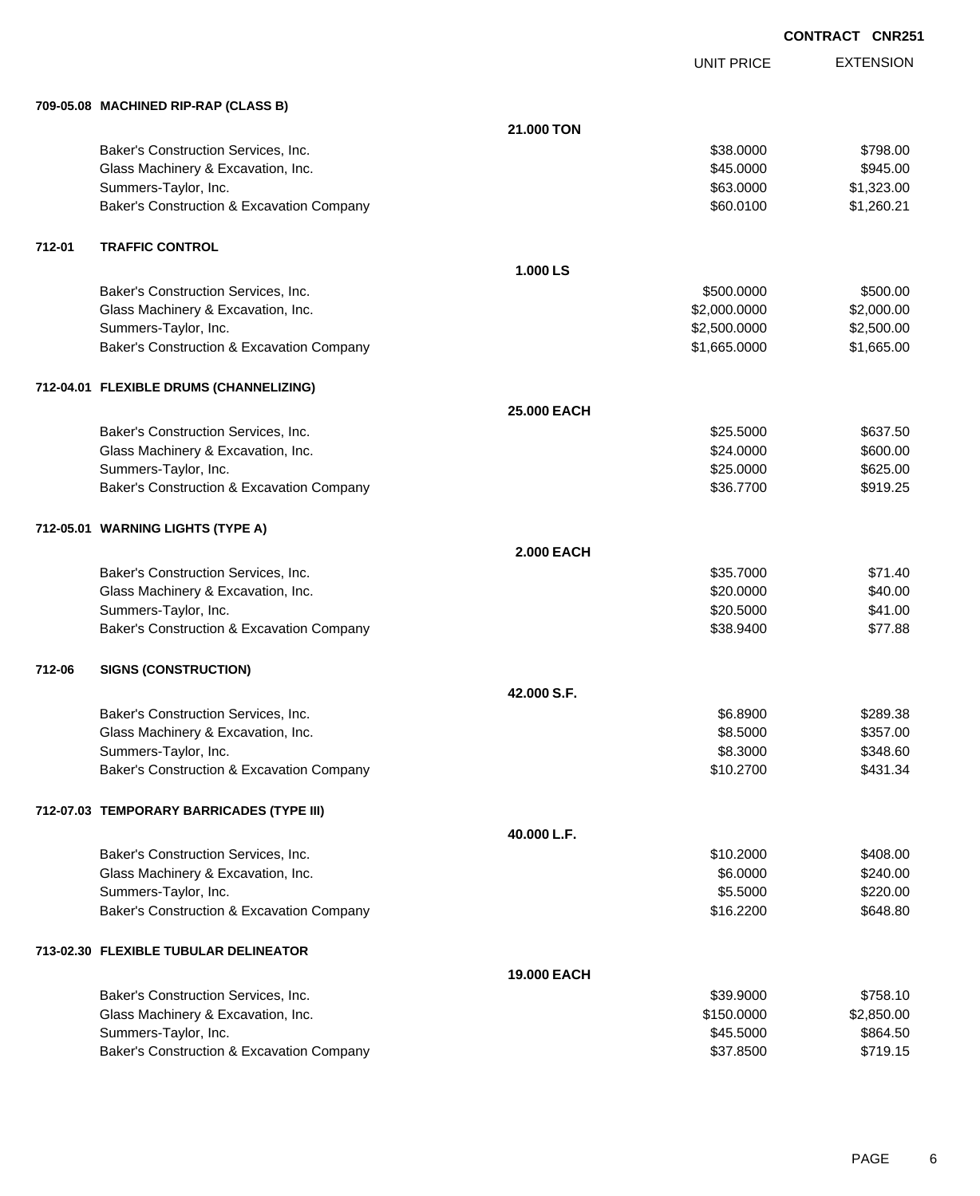EXTENSION **CONTRACT CNR251**

UNIT PRICE

|        | 709-05.08 MACHINED RIP-RAP (CLASS B)      |                    |              |            |
|--------|-------------------------------------------|--------------------|--------------|------------|
|        |                                           | 21.000 TON         |              |            |
|        | Baker's Construction Services, Inc.       |                    | \$38.0000    | \$798.00   |
|        | Glass Machinery & Excavation, Inc.        |                    | \$45.0000    | \$945.00   |
|        | Summers-Taylor, Inc.                      |                    | \$63.0000    | \$1,323.00 |
|        | Baker's Construction & Excavation Company |                    | \$60.0100    | \$1,260.21 |
| 712-01 | <b>TRAFFIC CONTROL</b>                    |                    |              |            |
|        |                                           | 1.000 LS           |              |            |
|        | Baker's Construction Services, Inc.       |                    | \$500.0000   | \$500.00   |
|        | Glass Machinery & Excavation, Inc.        |                    | \$2,000.0000 | \$2,000.00 |
|        | Summers-Taylor, Inc.                      |                    | \$2,500.0000 | \$2,500.00 |
|        | Baker's Construction & Excavation Company |                    | \$1,665.0000 | \$1,665.00 |
|        | 712-04.01 FLEXIBLE DRUMS (CHANNELIZING)   |                    |              |            |
|        |                                           | 25.000 EACH        |              |            |
|        | Baker's Construction Services, Inc.       |                    | \$25.5000    | \$637.50   |
|        | Glass Machinery & Excavation, Inc.        |                    | \$24.0000    | \$600.00   |
|        | Summers-Taylor, Inc.                      |                    | \$25.0000    | \$625.00   |
|        | Baker's Construction & Excavation Company |                    | \$36.7700    | \$919.25   |
|        | 712-05.01 WARNING LIGHTS (TYPE A)         |                    |              |            |
|        |                                           | <b>2.000 EACH</b>  |              |            |
|        | Baker's Construction Services, Inc.       |                    | \$35.7000    | \$71.40    |
|        | Glass Machinery & Excavation, Inc.        |                    | \$20.0000    | \$40.00    |
|        | Summers-Taylor, Inc.                      |                    | \$20.5000    | \$41.00    |
|        | Baker's Construction & Excavation Company |                    | \$38.9400    | \$77.88    |
| 712-06 | <b>SIGNS (CONSTRUCTION)</b>               |                    |              |            |
|        |                                           | 42.000 S.F.        |              |            |
|        | Baker's Construction Services, Inc.       |                    | \$6.8900     | \$289.38   |
|        | Glass Machinery & Excavation, Inc.        |                    | \$8.5000     | \$357.00   |
|        | Summers-Taylor, Inc.                      |                    | \$8.3000     | \$348.60   |
|        | Baker's Construction & Excavation Company |                    | \$10.2700    | \$431.34   |
|        | 712-07.03 TEMPORARY BARRICADES (TYPE III) |                    |              |            |
|        |                                           | 40.000 L.F.        |              |            |
|        | Baker's Construction Services, Inc.       |                    | \$10.2000    | \$408.00   |
|        | Glass Machinery & Excavation, Inc.        |                    | \$6.0000     | \$240.00   |
|        | Summers-Taylor, Inc.                      |                    | \$5.5000     | \$220.00   |
|        | Baker's Construction & Excavation Company |                    | \$16.2200    | \$648.80   |
|        | 713-02.30 FLEXIBLE TUBULAR DELINEATOR     |                    |              |            |
|        |                                           | <b>19.000 EACH</b> |              |            |
|        | Baker's Construction Services, Inc.       |                    | \$39.9000    | \$758.10   |
|        | Glass Machinery & Excavation, Inc.        |                    | \$150.0000   | \$2,850.00 |
|        | Summers-Taylor, Inc.                      |                    | \$45.5000    | \$864.50   |
|        | Baker's Construction & Excavation Company |                    | \$37.8500    | \$719.15   |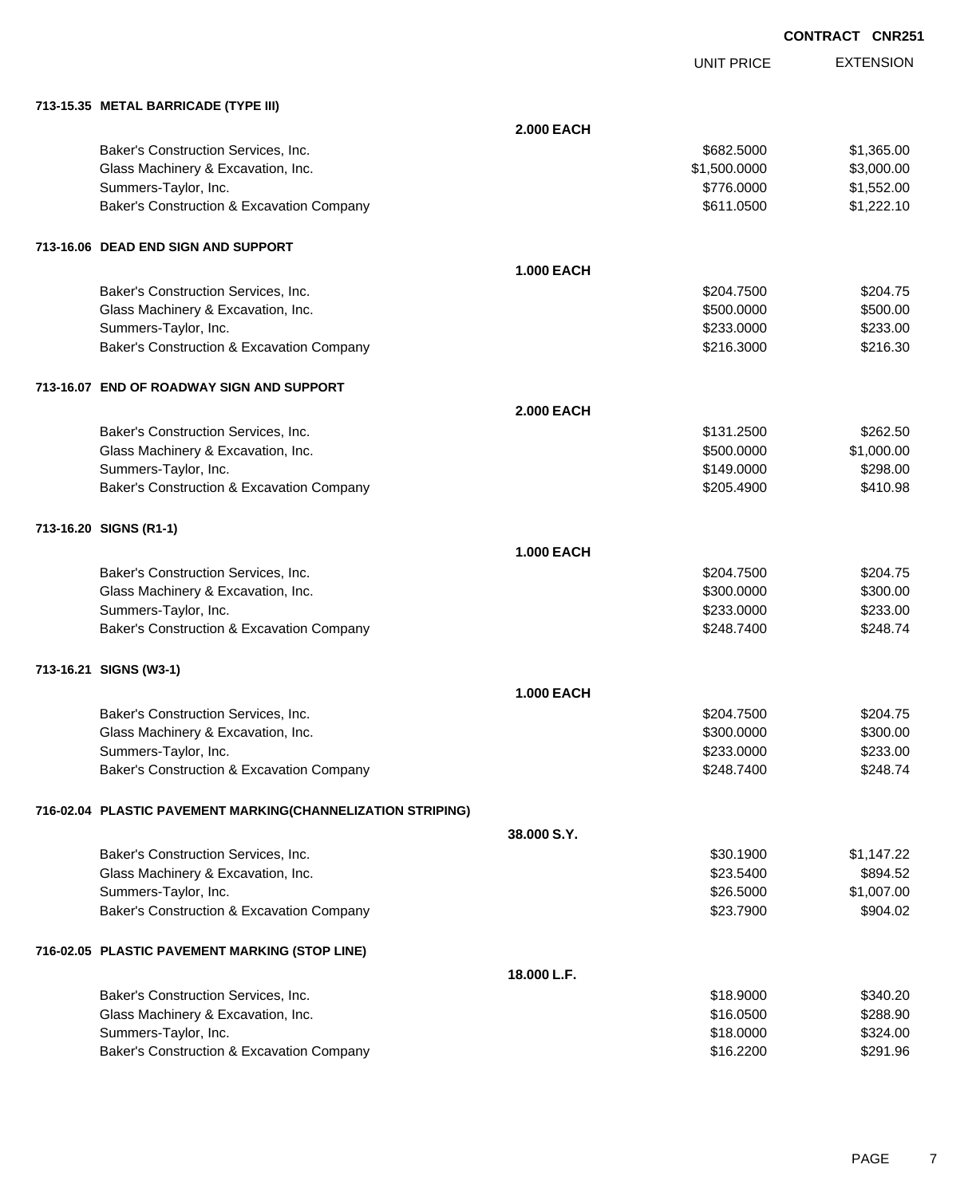UNIT PRICE EXTENSION

| 713-15.35 METAL BARRICADE (TYPE III)                        |                   |              |            |
|-------------------------------------------------------------|-------------------|--------------|------------|
|                                                             | <b>2.000 EACH</b> |              |            |
| Baker's Construction Services, Inc.                         |                   | \$682.5000   | \$1,365.00 |
| Glass Machinery & Excavation, Inc.                          |                   | \$1,500.0000 | \$3,000.00 |
| Summers-Taylor, Inc.                                        |                   | \$776.0000   | \$1,552.00 |
| Baker's Construction & Excavation Company                   |                   | \$611.0500   | \$1,222.10 |
| 713-16.06 DEAD END SIGN AND SUPPORT                         |                   |              |            |
|                                                             | <b>1.000 EACH</b> |              |            |
| Baker's Construction Services, Inc.                         |                   | \$204.7500   | \$204.75   |
| Glass Machinery & Excavation, Inc.                          |                   | \$500.0000   | \$500.00   |
| Summers-Taylor, Inc.                                        |                   | \$233.0000   | \$233.00   |
| Baker's Construction & Excavation Company                   |                   | \$216.3000   | \$216.30   |
| 713-16.07 END OF ROADWAY SIGN AND SUPPORT                   |                   |              |            |
|                                                             | <b>2.000 EACH</b> |              |            |
| Baker's Construction Services, Inc.                         |                   | \$131.2500   | \$262.50   |
| Glass Machinery & Excavation, Inc.                          |                   | \$500.0000   | \$1,000.00 |
| Summers-Taylor, Inc.                                        |                   | \$149.0000   | \$298.00   |
| Baker's Construction & Excavation Company                   |                   | \$205.4900   | \$410.98   |
| 713-16.20 SIGNS (R1-1)                                      |                   |              |            |
|                                                             | <b>1.000 EACH</b> |              |            |
| Baker's Construction Services, Inc.                         |                   | \$204.7500   | \$204.75   |
| Glass Machinery & Excavation, Inc.                          |                   | \$300.0000   | \$300.00   |
| Summers-Taylor, Inc.                                        |                   | \$233.0000   | \$233.00   |
| Baker's Construction & Excavation Company                   |                   | \$248.7400   | \$248.74   |
| 713-16.21 SIGNS (W3-1)                                      |                   |              |            |
|                                                             | <b>1.000 EACH</b> |              |            |
| Baker's Construction Services, Inc.                         |                   | \$204.7500   | \$204.75   |
| Glass Machinery & Excavation, Inc.                          |                   | \$300.0000   | \$300.00   |
| Summers-Taylor, Inc.                                        |                   | \$233.0000   | \$233.00   |
| Baker's Construction & Excavation Company                   |                   | \$248.7400   | \$248.74   |
| 716-02.04 PLASTIC PAVEMENT MARKING(CHANNELIZATION STRIPING) |                   |              |            |
|                                                             | 38.000 S.Y.       |              |            |
| Baker's Construction Services, Inc.                         |                   | \$30.1900    | \$1,147.22 |
| Glass Machinery & Excavation, Inc.                          |                   | \$23.5400    | \$894.52   |
| Summers-Taylor, Inc.                                        |                   | \$26.5000    | \$1,007.00 |
| Baker's Construction & Excavation Company                   |                   | \$23.7900    | \$904.02   |
| 716-02.05 PLASTIC PAVEMENT MARKING (STOP LINE)              |                   |              |            |
|                                                             | 18.000 L.F.       |              |            |
| Baker's Construction Services, Inc.                         |                   | \$18.9000    | \$340.20   |
| Glass Machinery & Excavation, Inc.                          |                   | \$16.0500    | \$288.90   |
| Summers-Taylor, Inc.                                        |                   | \$18.0000    | \$324.00   |
| Baker's Construction & Excavation Company                   |                   | \$16.2200    | \$291.96   |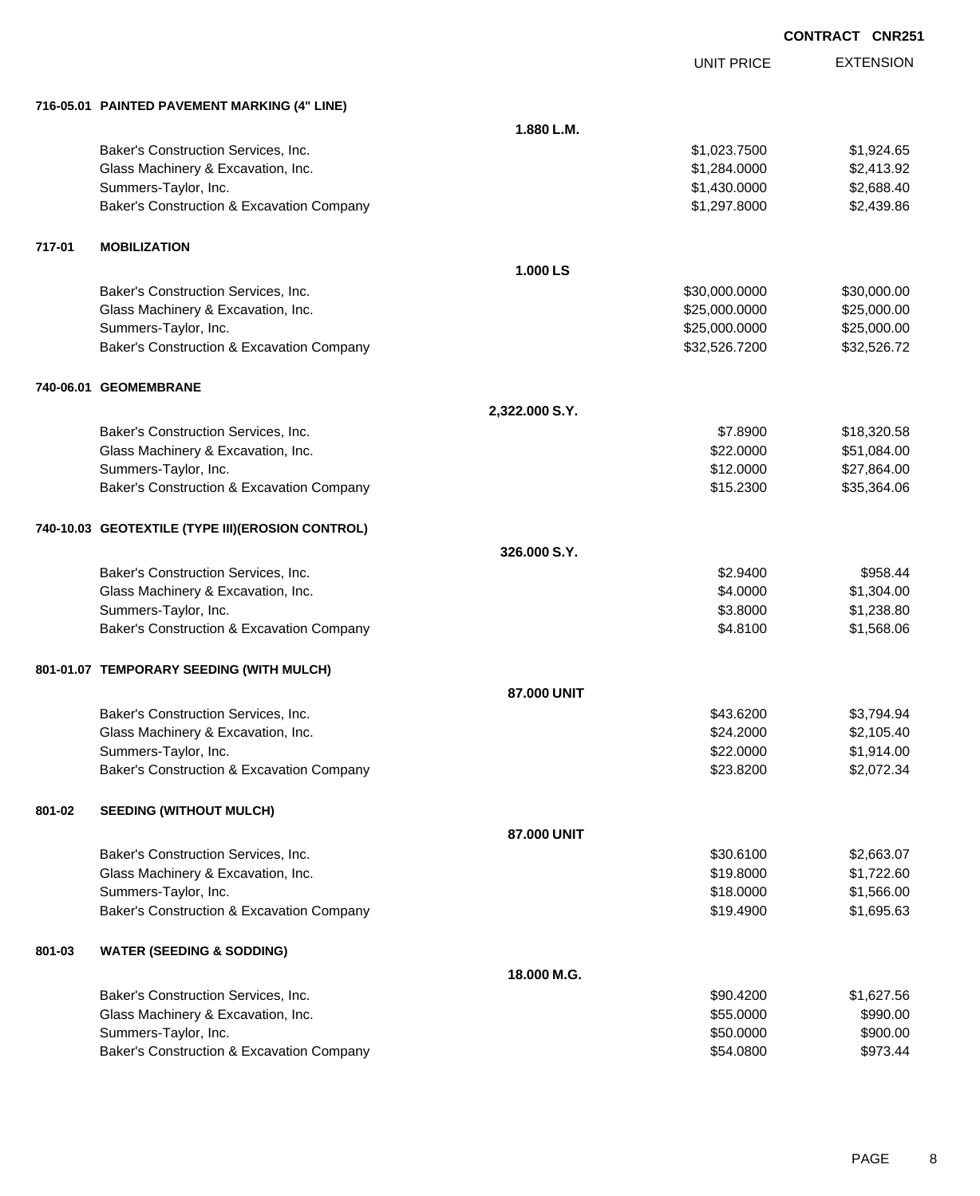# EXTENSION **CONTRACT CNR251**

UNIT PRICE

|        | 716-05.01 PAINTED PAVEMENT MARKING (4" LINE)      |                |               |             |
|--------|---------------------------------------------------|----------------|---------------|-------------|
|        |                                                   | 1.880 L.M.     |               |             |
|        | Baker's Construction Services, Inc.               |                | \$1,023.7500  | \$1,924.65  |
|        | Glass Machinery & Excavation, Inc.                |                | \$1,284.0000  | \$2,413.92  |
|        | Summers-Taylor, Inc.                              |                | \$1,430.0000  | \$2,688.40  |
|        | Baker's Construction & Excavation Company         |                | \$1,297.8000  | \$2,439.86  |
| 717-01 | <b>MOBILIZATION</b>                               |                |               |             |
|        |                                                   | 1.000 LS       |               |             |
|        | Baker's Construction Services, Inc.               |                | \$30,000.0000 | \$30,000.00 |
|        | Glass Machinery & Excavation, Inc.                |                | \$25,000.0000 | \$25,000.00 |
|        | Summers-Taylor, Inc.                              |                | \$25,000.0000 | \$25,000.00 |
|        | Baker's Construction & Excavation Company         |                | \$32,526.7200 | \$32,526.72 |
|        | 740-06.01 GEOMEMBRANE                             |                |               |             |
|        |                                                   | 2,322.000 S.Y. |               |             |
|        | Baker's Construction Services, Inc.               |                | \$7.8900      | \$18,320.58 |
|        | Glass Machinery & Excavation, Inc.                |                | \$22.0000     | \$51,084.00 |
|        | Summers-Taylor, Inc.                              |                | \$12.0000     | \$27,864.00 |
|        | Baker's Construction & Excavation Company         |                | \$15.2300     | \$35,364.06 |
|        | 740-10.03 GEOTEXTILE (TYPE III) (EROSION CONTROL) |                |               |             |
|        |                                                   | 326.000 S.Y.   |               |             |
|        | Baker's Construction Services, Inc.               |                | \$2.9400      | \$958.44    |
|        | Glass Machinery & Excavation, Inc.                |                | \$4.0000      | \$1,304.00  |
|        | Summers-Taylor, Inc.                              |                | \$3.8000      | \$1,238.80  |
|        | Baker's Construction & Excavation Company         |                | \$4.8100      | \$1,568.06  |
|        | 801-01.07 TEMPORARY SEEDING (WITH MULCH)          |                |               |             |
|        |                                                   | 87.000 UNIT    |               |             |
|        | Baker's Construction Services, Inc.               |                | \$43.6200     | \$3,794.94  |
|        | Glass Machinery & Excavation, Inc.                |                | \$24.2000     | \$2,105.40  |
|        | Summers-Taylor, Inc.                              |                | \$22.0000     | \$1,914.00  |
|        | Baker's Construction & Excavation Company         |                | \$23.8200     | \$2,072.34  |
| 801-02 | <b>SEEDING (WITHOUT MULCH)</b>                    |                |               |             |
|        |                                                   | 87.000 UNIT    |               |             |
|        | Baker's Construction Services, Inc.               |                | \$30.6100     | \$2,663.07  |
|        | Glass Machinery & Excavation, Inc.                |                | \$19.8000     | \$1,722.60  |
|        | Summers-Taylor, Inc.                              |                | \$18.0000     | \$1,566.00  |
|        | Baker's Construction & Excavation Company         |                | \$19.4900     | \$1,695.63  |
| 801-03 | <b>WATER (SEEDING &amp; SODDING)</b>              |                |               |             |
|        |                                                   | 18.000 M.G.    |               |             |
|        | Baker's Construction Services, Inc.               |                | \$90.4200     | \$1,627.56  |
|        | Glass Machinery & Excavation, Inc.                |                | \$55.0000     | \$990.00    |
|        | Summers-Taylor, Inc.                              |                | \$50.0000     | \$900.00    |
|        | Baker's Construction & Excavation Company         |                | \$54.0800     | \$973.44    |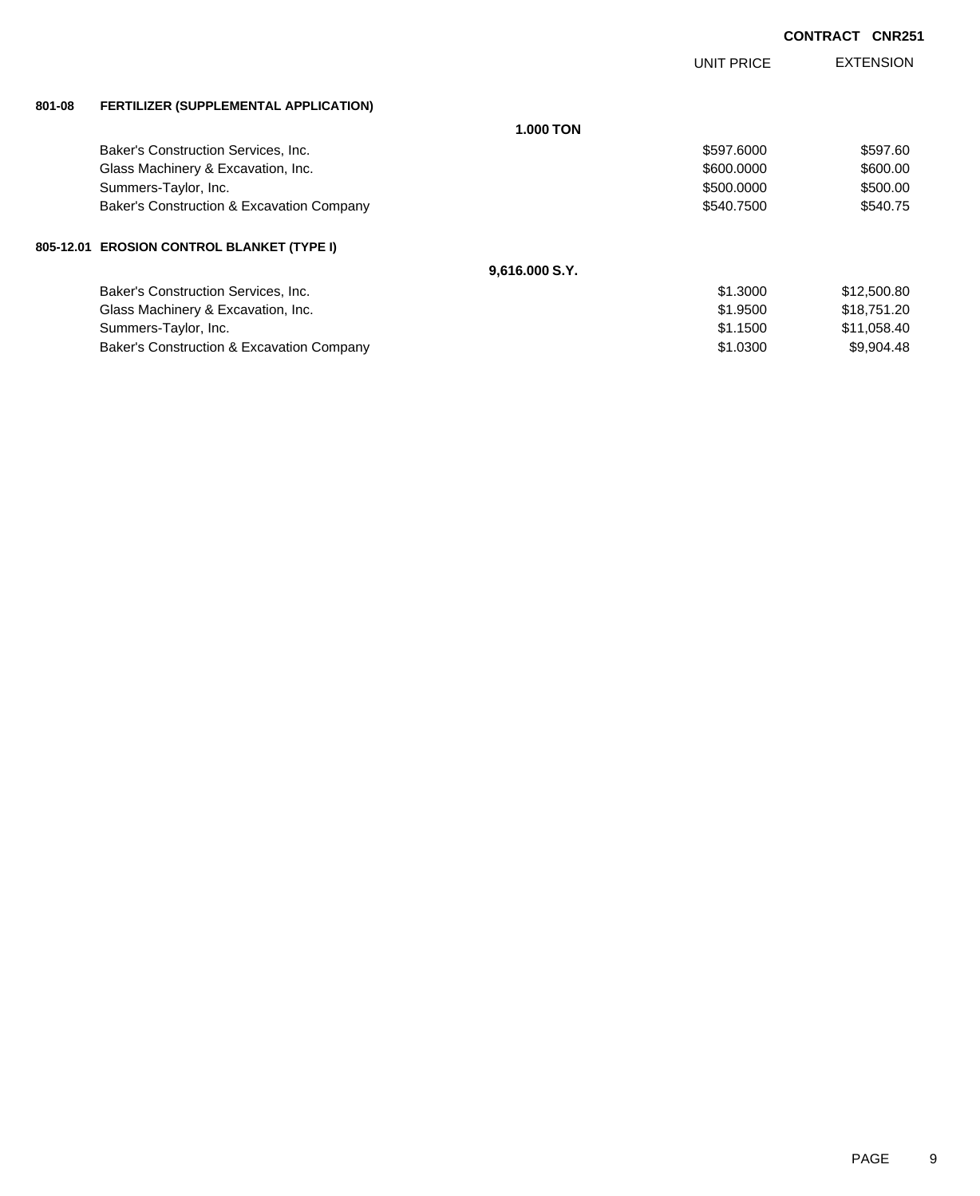|        |                                              |                  | <b>UNIT PRICE</b> | <b>EXTENSION</b> |
|--------|----------------------------------------------|------------------|-------------------|------------------|
| 801-08 | <b>FERTILIZER (SUPPLEMENTAL APPLICATION)</b> |                  |                   |                  |
|        |                                              | <b>1.000 TON</b> |                   |                  |
|        | Baker's Construction Services, Inc.          |                  | \$597.6000        | \$597.60         |
|        | Glass Machinery & Excavation, Inc.           |                  | \$600.0000        | \$600.00         |
|        | Summers-Taylor, Inc.                         |                  | \$500.0000        | \$500.00         |
|        | Baker's Construction & Excavation Company    |                  | \$540.7500        | \$540.75         |
|        | 805-12.01 EROSION CONTROL BLANKET (TYPE I)   |                  |                   |                  |
|        |                                              | 9,616.000 S.Y.   |                   |                  |
|        | Baker's Construction Services, Inc.          |                  | \$1.3000          | \$12,500.80      |
|        | Glass Machinery & Excavation, Inc.           |                  | \$1,9500          | \$18,751.20      |
|        | Summers-Taylor, Inc.                         |                  | \$1.1500          | \$11,058.40      |
|        | Baker's Construction & Excavation Company    |                  | \$1,0300          | \$9,904.48       |
|        |                                              |                  |                   |                  |